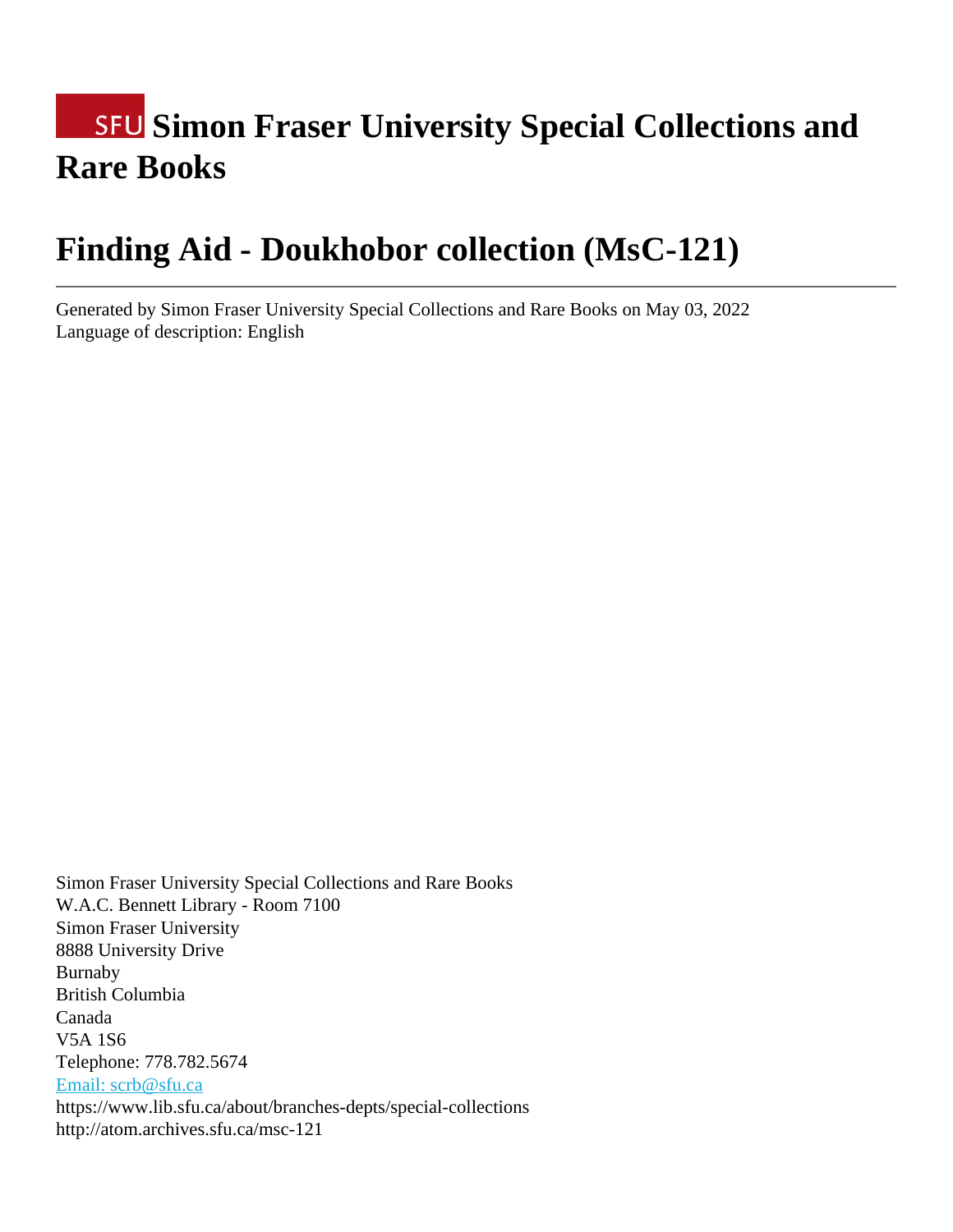# **SFU Simon Fraser University Special Collections and Rare Books**

# **Finding Aid - Doukhobor collection (MsC-121)**

Generated by Simon Fraser University Special Collections and Rare Books on May 03, 2022 Language of description: English

Simon Fraser University Special Collections and Rare Books W.A.C. Bennett Library - Room 7100 Simon Fraser University 8888 University Drive Burnaby British Columbia Canada V5A 1S6 Telephone: 778.782.5674 [Email: scrb@sfu.ca](mailto:Email: scrb@sfu.ca) https://www.lib.sfu.ca/about/branches-depts/special-collections http://atom.archives.sfu.ca/msc-121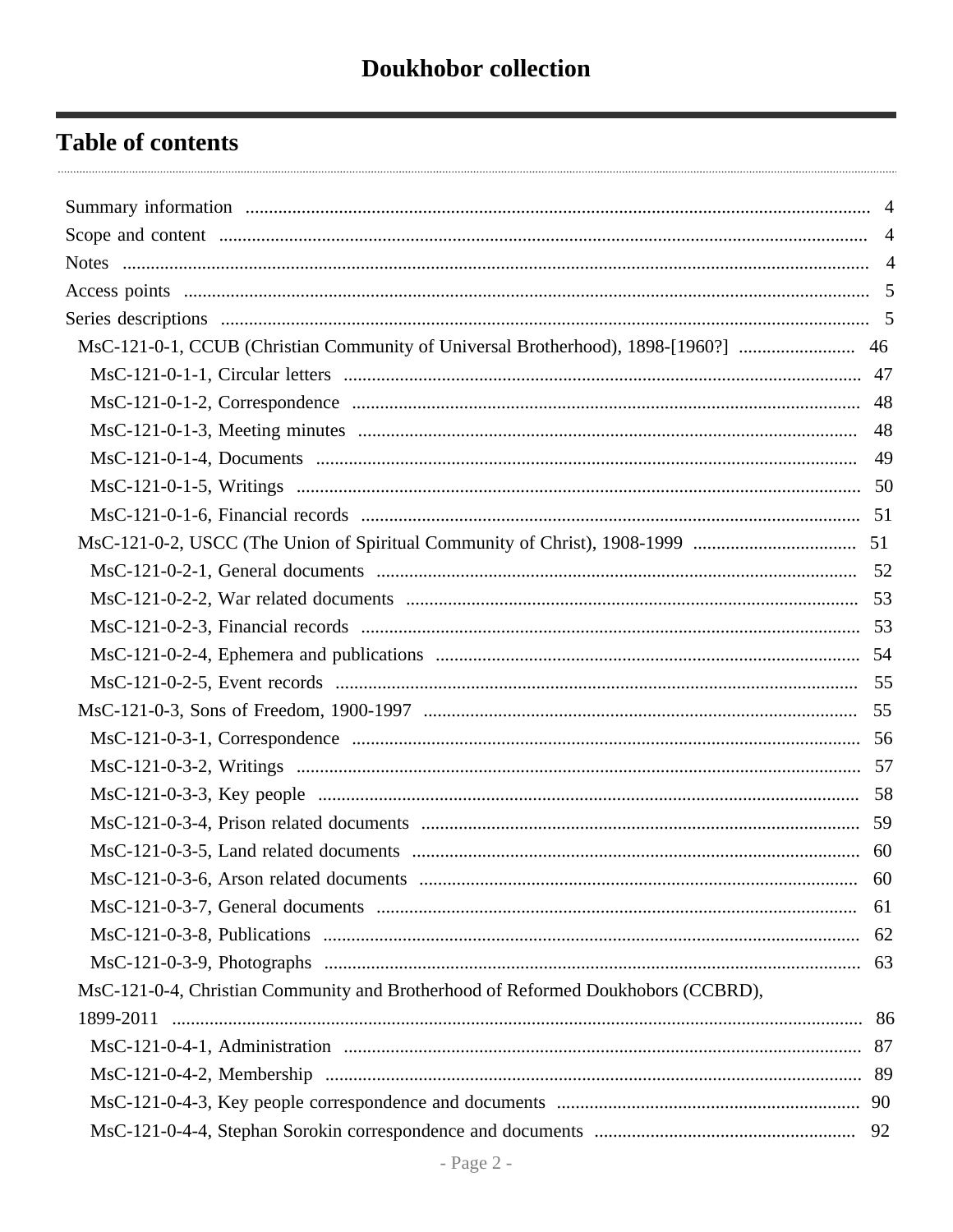# **Table of contents**

| MsC-121-0-1, CCUB (Christian Community of Universal Brotherhood), 1898-[1960?]  46 |    |
|------------------------------------------------------------------------------------|----|
|                                                                                    |    |
|                                                                                    |    |
|                                                                                    |    |
|                                                                                    |    |
|                                                                                    |    |
|                                                                                    |    |
|                                                                                    |    |
|                                                                                    |    |
|                                                                                    |    |
|                                                                                    |    |
|                                                                                    |    |
|                                                                                    |    |
|                                                                                    |    |
|                                                                                    |    |
|                                                                                    |    |
|                                                                                    |    |
|                                                                                    |    |
|                                                                                    |    |
|                                                                                    | 60 |
|                                                                                    | 61 |
|                                                                                    | 62 |
|                                                                                    | 63 |
| MsC-121-0-4, Christian Community and Brotherhood of Reformed Doukhobors (CCBRD),   |    |
| 1899-2011                                                                          |    |
|                                                                                    |    |
|                                                                                    |    |
|                                                                                    |    |
|                                                                                    | 92 |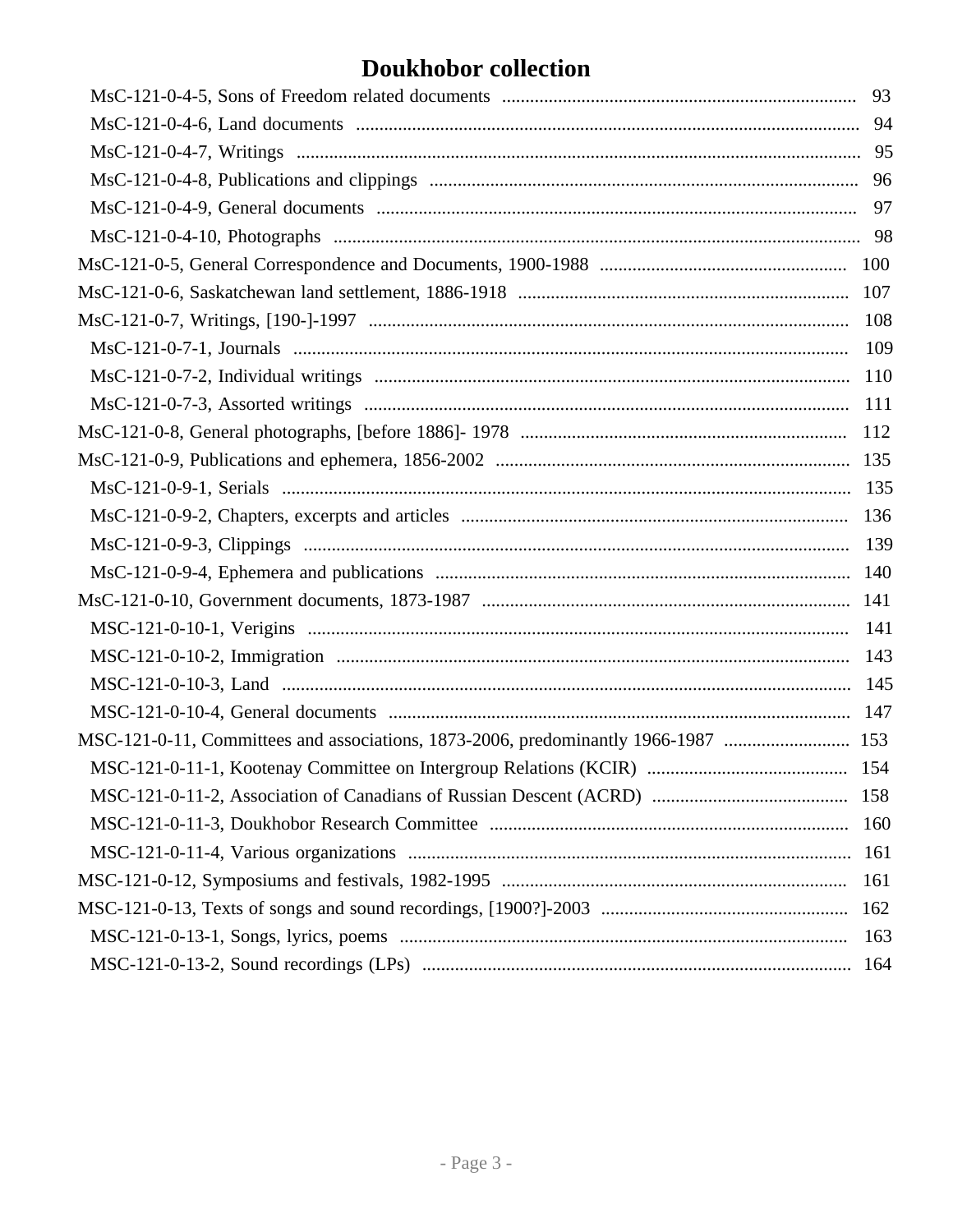# **Doukhobor collection**

| MSC-121-0-11, Committees and associations, 1873-2006, predominantly 1966-1987  153 |     |
|------------------------------------------------------------------------------------|-----|
|                                                                                    |     |
|                                                                                    |     |
|                                                                                    |     |
|                                                                                    |     |
|                                                                                    |     |
|                                                                                    |     |
|                                                                                    | 107 |
|                                                                                    | 108 |
|                                                                                    | 109 |
|                                                                                    | 110 |
|                                                                                    | 111 |
|                                                                                    | 112 |
|                                                                                    | 135 |
|                                                                                    |     |
|                                                                                    | 136 |
|                                                                                    |     |
|                                                                                    |     |
|                                                                                    |     |
|                                                                                    | 141 |
|                                                                                    |     |
|                                                                                    |     |
|                                                                                    |     |
|                                                                                    |     |
|                                                                                    |     |
|                                                                                    | 158 |
|                                                                                    | 160 |
|                                                                                    | 161 |
|                                                                                    | 161 |
|                                                                                    | 162 |
|                                                                                    | 163 |
|                                                                                    | 164 |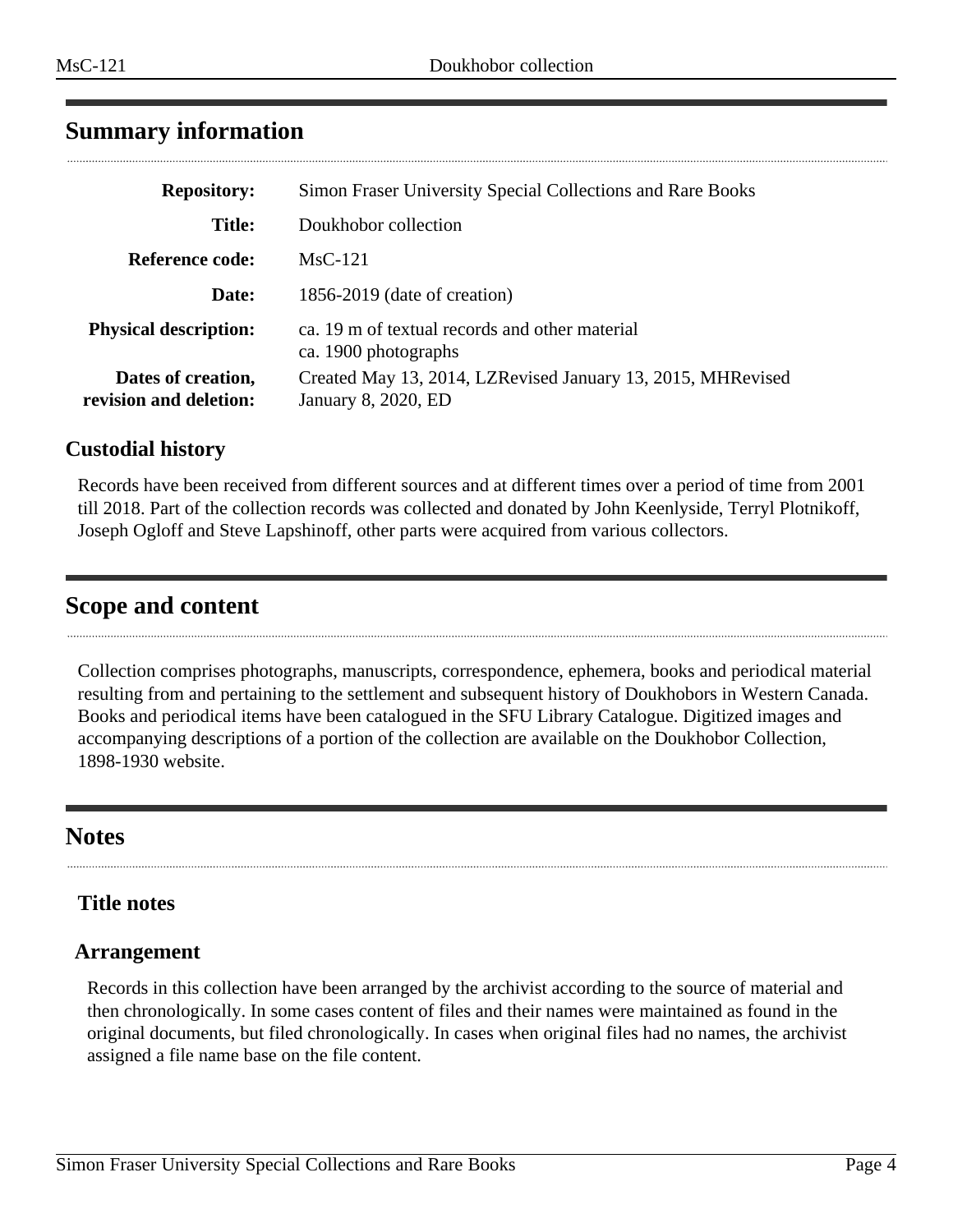# <span id="page-3-0"></span>**Summary information**

| <b>Repository:</b>                           | Simon Fraser University Special Collections and Rare Books                         |
|----------------------------------------------|------------------------------------------------------------------------------------|
| <b>Title:</b>                                | Doukhobor collection                                                               |
| <b>Reference code:</b>                       | $MsC-121$                                                                          |
| Date:                                        | $1856-2019$ (date of creation)                                                     |
| <b>Physical description:</b>                 | ca. 19 m of textual records and other material<br>ca. 1900 photographs             |
| Dates of creation,<br>revision and deletion: | Created May 13, 2014, LZRevised January 13, 2015, MHRevised<br>January 8, 2020, ED |

## **Custodial history**

Records have been received from different sources and at different times over a period of time from 2001 till 2018. Part of the collection records was collected and donated by John Keenlyside, Terryl Plotnikoff, Joseph Ogloff and Steve Lapshinoff, other parts were acquired from various collectors.

# <span id="page-3-1"></span>**Scope and content**

Collection comprises photographs, manuscripts, correspondence, ephemera, books and periodical material resulting from and pertaining to the settlement and subsequent history of Doukhobors in Western Canada. Books and periodical items have been catalogued in the SFU Library Catalogue. Digitized images and accompanying descriptions of a portion of the collection are available on the Doukhobor Collection, 1898-1930 website.

# <span id="page-3-2"></span>**Notes**

# **Title notes**

### **Arrangement**

Records in this collection have been arranged by the archivist according to the source of material and then chronologically. In some cases content of files and their names were maintained as found in the original documents, but filed chronologically. In cases when original files had no names, the archivist assigned a file name base on the file content.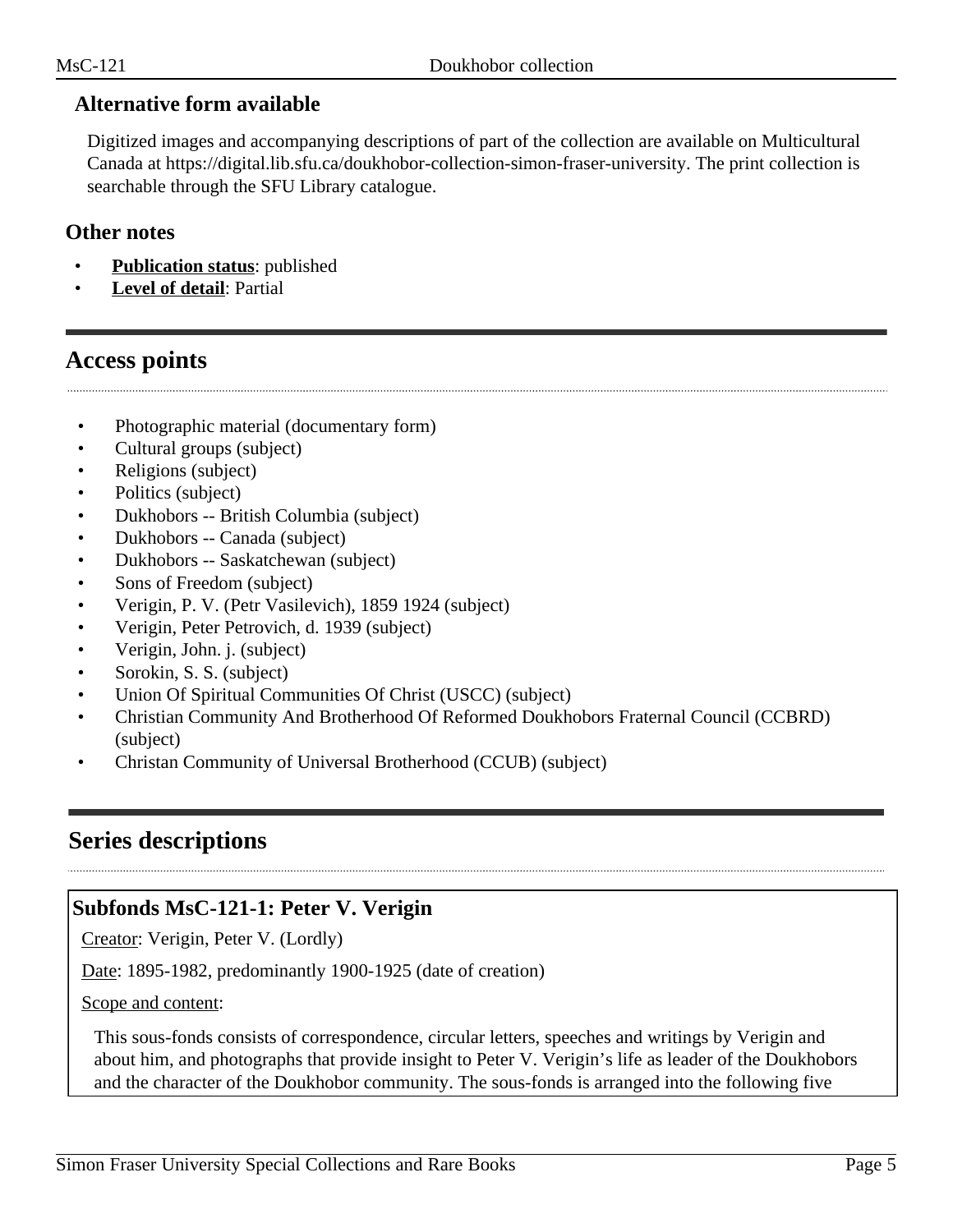## **Alternative form available**

Digitized images and accompanying descriptions of part of the collection are available on Multicultural Canada at https://digital.lib.sfu.ca/doukhobor-collection-simon-fraser-university. The print collection is searchable through the SFU Library catalogue.

### **Other notes**

- **Publication status**: published
- Level of detail: Partial

# <span id="page-4-0"></span>**Access points**

- Photographic material (documentary form)
- Cultural groups (subject)
- Religions (subject)
- Politics (subject)
- Dukhobors -- British Columbia (subject)
- Dukhobors -- Canada (subject)
- Dukhobors -- Saskatchewan (subject)
- Sons of Freedom (subject)
- Verigin, P. V. (Petr Vasilevich), 1859 1924 (subject)
- Verigin, Peter Petrovich, d. 1939 (subject)
- Verigin, John. j. (subject)
- Sorokin, S. S. (subject)
- Union Of Spiritual Communities Of Christ (USCC) (subject)
- Christian Community And Brotherhood Of Reformed Doukhobors Fraternal Council (CCBRD) (subject)
- Christan Community of Universal Brotherhood (CCUB) (subject)

# <span id="page-4-1"></span>**Series descriptions**

# **Subfonds MsC-121-1: Peter V. Verigin**

Creator: Verigin, Peter V. (Lordly)

Date: 1895-1982, predominantly 1900-1925 (date of creation)

Scope and content:

This sous-fonds consists of correspondence, circular letters, speeches and writings by Verigin and about him, and photographs that provide insight to Peter V. Verigin's life as leader of the Doukhobors and the character of the Doukhobor community. The sous-fonds is arranged into the following five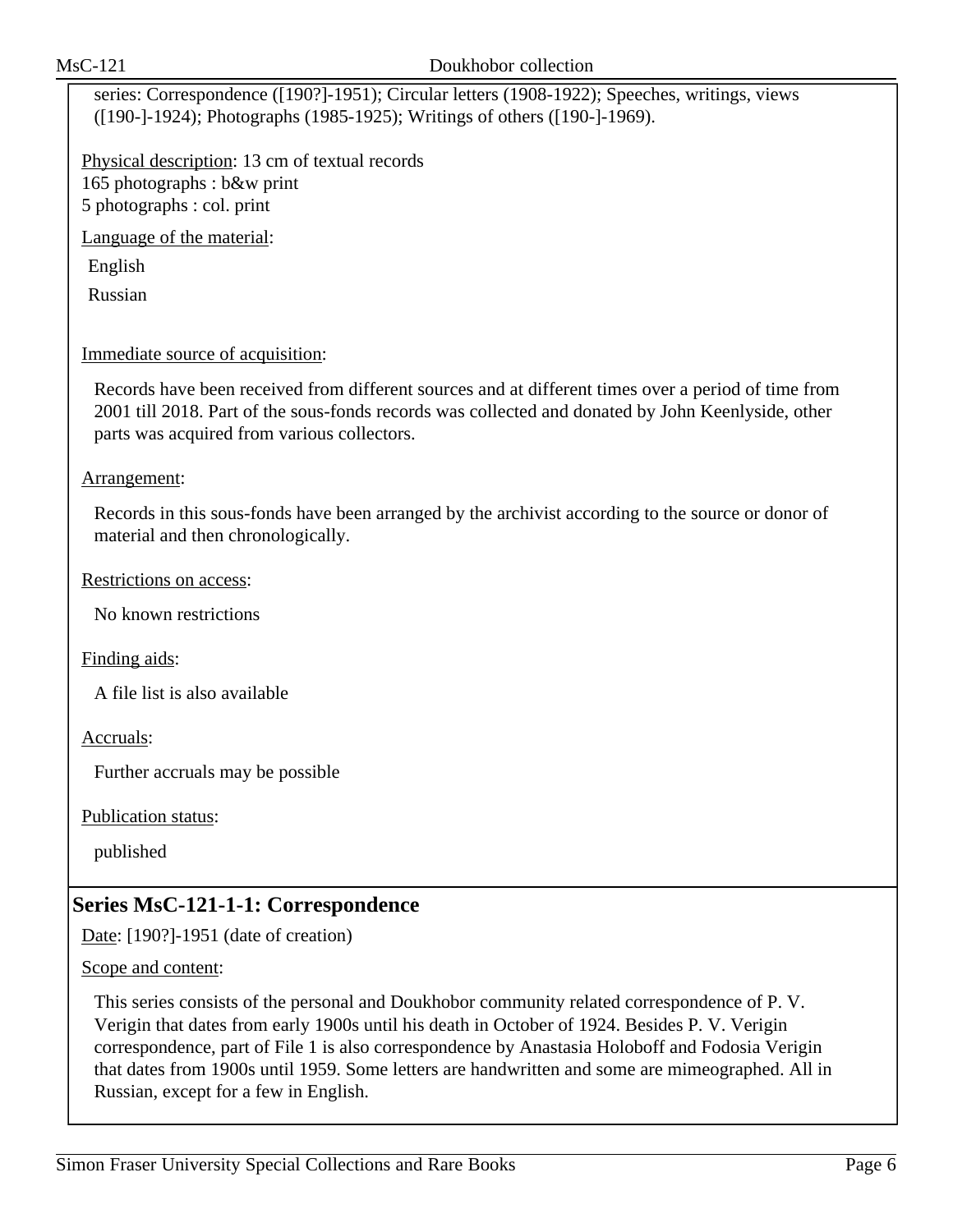series: Correspondence ([190?]-1951); Circular letters (1908-1922); Speeches, writings, views ([190-]-1924); Photographs (1985-1925); Writings of others ([190-]-1969).

Physical description: 13 cm of textual records 165 photographs : b&w print 5 photographs : col. print

Language of the material:

English

Russian

Immediate source of acquisition:

Records have been received from different sources and at different times over a period of time from 2001 till 2018. Part of the sous-fonds records was collected and donated by John Keenlyside, other parts was acquired from various collectors.

Arrangement:

Records in this sous-fonds have been arranged by the archivist according to the source or donor of material and then chronologically.

Restrictions on access:

No known restrictions

Finding aids:

A file list is also available

Accruals:

Further accruals may be possible

Publication status:

published

# **Series MsC-121-1-1: Correspondence**

Date: [190?]-1951 (date of creation)

Scope and content:

This series consists of the personal and Doukhobor community related correspondence of P. V. Verigin that dates from early 1900s until his death in October of 1924. Besides P. V. Verigin correspondence, part of File 1 is also correspondence by Anastasia Holoboff and Fodosia Verigin that dates from 1900s until 1959. Some letters are handwritten and some are mimeographed. All in Russian, except for a few in English.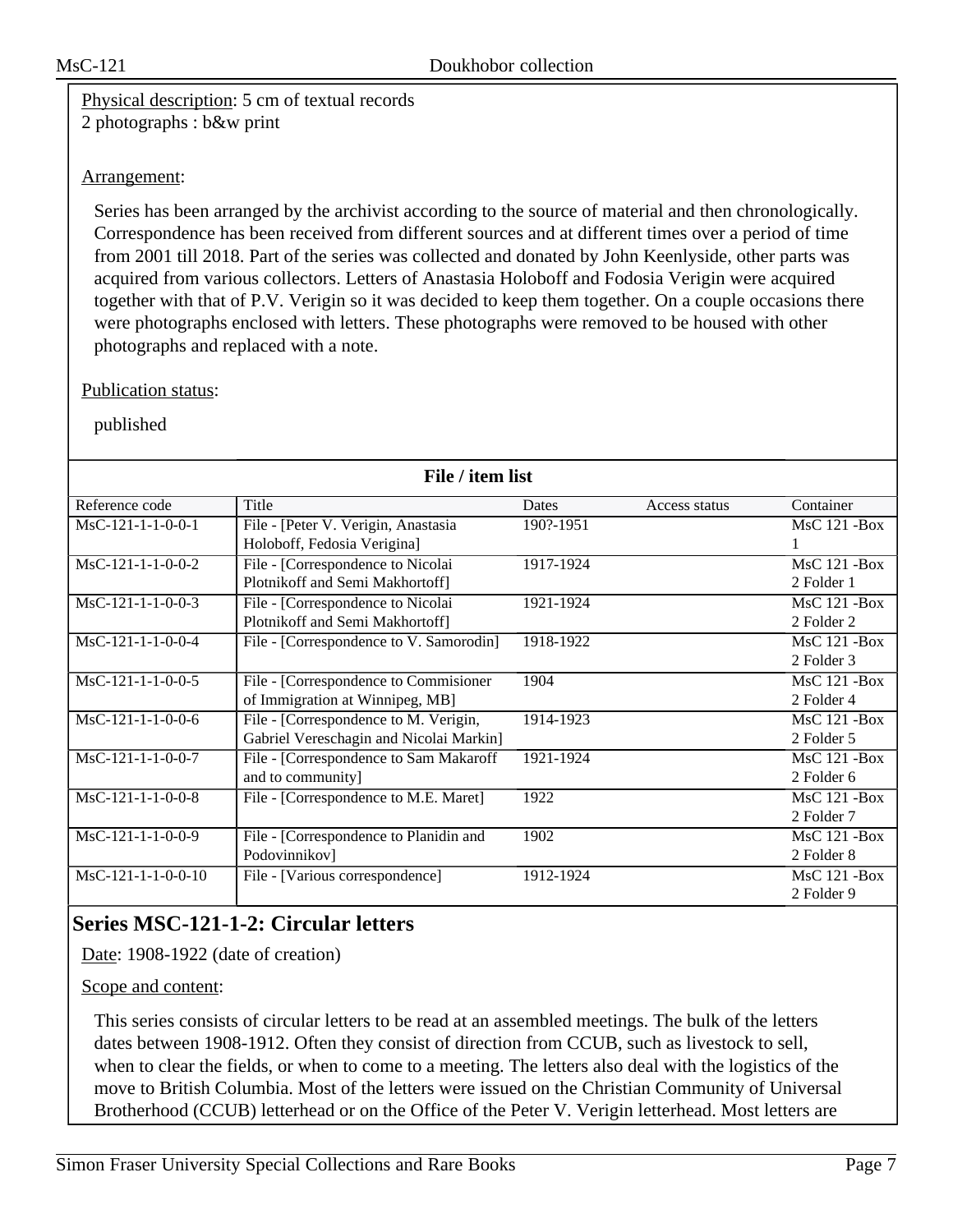Physical description: 5 cm of textual records 2 photographs : b&w print

### Arrangement:

Series has been arranged by the archivist according to the source of material and then chronologically. Correspondence has been received from different sources and at different times over a period of time from 2001 till 2018. Part of the series was collected and donated by John Keenlyside, other parts was acquired from various collectors. Letters of Anastasia Holoboff and Fodosia Verigin were acquired together with that of P.V. Verigin so it was decided to keep them together. On a couple occasions there were photographs enclosed with letters. These photographs were removed to be housed with other photographs and replaced with a note.

#### Publication status:

published

| File / item list     |                                         |           |               |                     |
|----------------------|-----------------------------------------|-----------|---------------|---------------------|
| Reference code       | Title                                   | Dates     | Access status | Container           |
| $MsC-121-1-1-0-0-1$  | File - [Peter V. Verigin, Anastasia     | 190?-1951 |               | <b>MsC 121 -Box</b> |
|                      | Holoboff, Fedosia Verigina]             |           |               |                     |
| $MsC-121-1-1-0-0-2$  | File - [Correspondence to Nicolai       | 1917-1924 |               | <b>MsC 121 -Box</b> |
|                      | Plotnikoff and Semi Makhortoff]         |           |               | 2 Folder 1          |
| $MsC-121-1-1-0-0-3$  | File - [Correspondence to Nicolai       | 1921-1924 |               | <b>MsC 121 -Box</b> |
|                      | Plotnikoff and Semi Makhortoff]         |           |               | 2 Folder 2          |
| $MsC-121-1-1-0-0-4$  | File - [Correspondence to V. Samorodin] | 1918-1922 |               | <b>MsC 121 -Box</b> |
|                      |                                         |           |               | 2 Folder 3          |
| $MsC-121-1-1-0-0-5$  | File - [Correspondence to Commisioner]  | 1904      |               | $MsC$ 121 - Box     |
|                      | of Immigration at Winnipeg, MB]         |           |               | 2 Folder 4          |
| $MsC-121-1-1-0-0-6$  | File - [Correspondence to M. Verigin,   | 1914-1923 |               | <b>MsC 121 -Box</b> |
|                      | Gabriel Vereschagin and Nicolai Markin] |           |               | 2 Folder 5          |
| $MsC-121-1-1-0-0-7$  | File - [Correspondence to Sam Makaroff  | 1921-1924 |               | $MsC$ 121 - Box     |
|                      | and to community]                       |           |               | 2 Folder 6          |
| $MsC-121-1-1-0-0-8$  | File - [Correspondence to M.E. Maret]   | 1922      |               | $MsC$ 121 - Box     |
|                      |                                         |           |               | 2 Folder 7          |
| $MsC-121-1-1-0-0-9$  | File - [Correspondence to Planidin and  | 1902      |               | $MsC$ 121 - Box     |
|                      | Podovinnikov]                           |           |               | 2 Folder 8          |
| $MsC-121-1-1-0-0-10$ | File - [Various correspondence]         | 1912-1924 |               | $MsC$ 121 - Box     |
|                      |                                         |           |               | 2 Folder 9          |

# **Series MSC-121-1-2: Circular letters**

Date: 1908-1922 (date of creation)

#### Scope and content:

This series consists of circular letters to be read at an assembled meetings. The bulk of the letters dates between 1908-1912. Often they consist of direction from CCUB, such as livestock to sell, when to clear the fields, or when to come to a meeting. The letters also deal with the logistics of the move to British Columbia. Most of the letters were issued on the Christian Community of Universal Brotherhood (CCUB) letterhead or on the Office of the Peter V. Verigin letterhead. Most letters are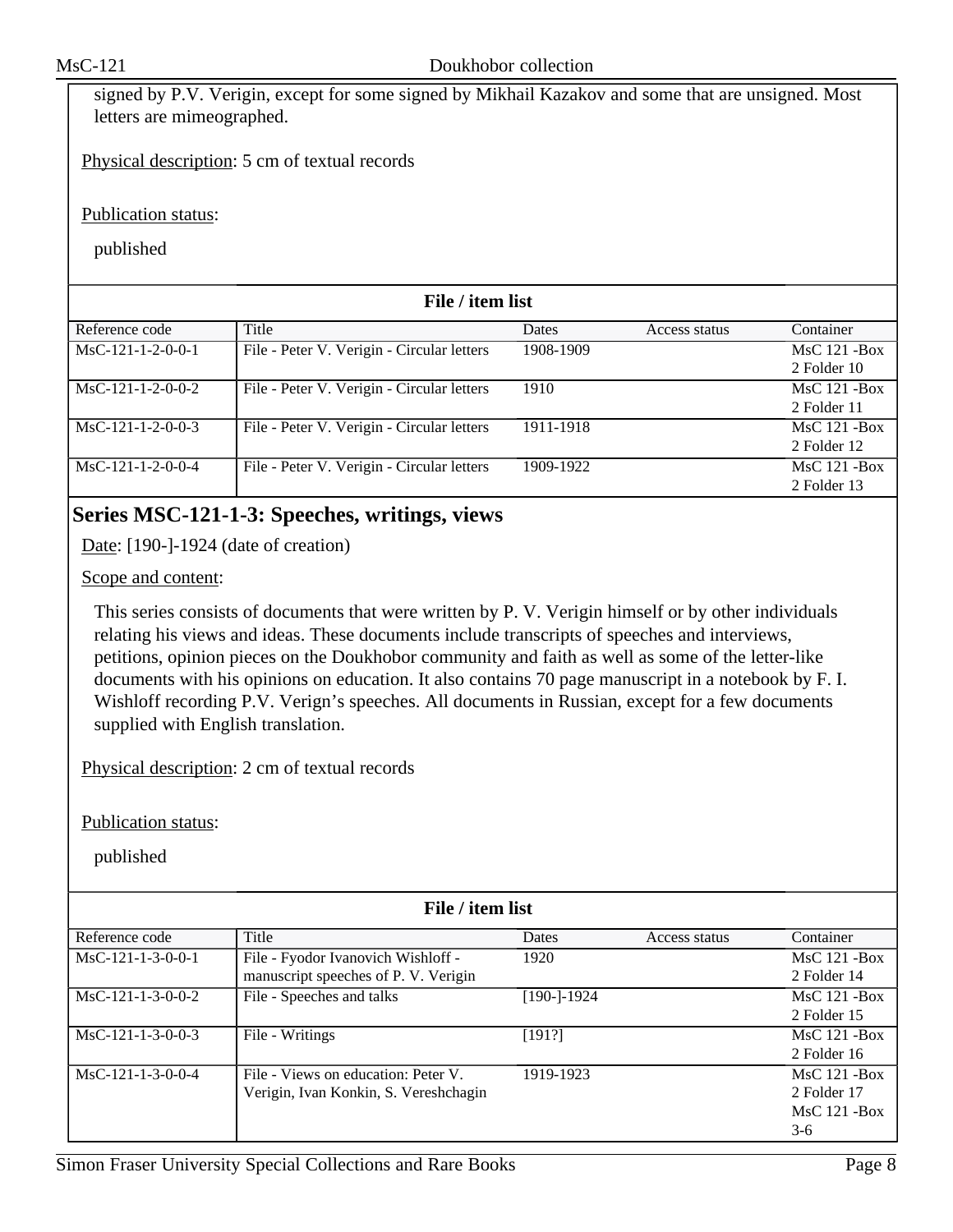signed by P.V. Verigin, except for some signed by Mikhail Kazakov and some that are unsigned. Most letters are mimeographed.

Physical description: 5 cm of textual records

Publication status:

published

| File / item list    |                                            |           |               |                                    |
|---------------------|--------------------------------------------|-----------|---------------|------------------------------------|
| Reference code      | Title                                      | Dates     | Access status | Container                          |
| $MsC-121-1-2-0-0-1$ | File - Peter V. Verigin - Circular letters | 1908-1909 |               | $MsC$ 121 - Box<br>2 Folder 10     |
| $MsC-121-1-2-0-0-2$ | File - Peter V. Verigin - Circular letters | 1910      |               | $MsC$ 121 - Box<br>2 Folder 11     |
| $MsC-121-1-2-0-0-3$ | File - Peter V. Verigin - Circular letters | 1911-1918 |               | <b>MsC 121 -Box</b><br>2 Folder 12 |
| $MsC-121-1-2-0-0-4$ | File - Peter V. Verigin - Circular letters | 1909-1922 |               | $MsC$ 121 - Box<br>2 Folder 13     |

# **Series MSC-121-1-3: Speeches, writings, views**

Date: [190-]-1924 (date of creation)

Scope and content:

This series consists of documents that were written by P. V. Verigin himself or by other individuals relating his views and ideas. These documents include transcripts of speeches and interviews, petitions, opinion pieces on the Doukhobor community and faith as well as some of the letter-like documents with his opinions on education. It also contains 70 page manuscript in a notebook by F. I. Wishloff recording P.V. Verign's speeches. All documents in Russian, except for a few documents supplied with English translation.

Physical description: 2 cm of textual records

Publication status:

| File / item list    |                                       |             |               |                 |
|---------------------|---------------------------------------|-------------|---------------|-----------------|
| Reference code      | Title                                 | Dates       | Access status | Container       |
| $MsC-121-1-3-0-0-1$ | File - Fyodor Ivanovich Wishloff -    | 1920        |               | $MsC$ 121 - Box |
|                     | manuscript speeches of P. V. Verigin  |             |               | 2 Folder 14     |
| $MsC-121-1-3-0-0-2$ | File - Speeches and talks             | [190-]-1924 |               | $MsC$ 121 - Box |
|                     |                                       |             |               | 2 Folder 15     |
| $MsC-121-1-3-0-0-3$ | File - Writings                       | [191?]      |               | $MsC$ 121 - Box |
|                     |                                       |             |               | 2 Folder 16     |
| $MsC-121-1-3-0-0-4$ | File - Views on education: Peter V.   | 1919-1923   |               | $MsC$ 121 - Box |
|                     | Verigin, Ivan Konkin, S. Vereshchagin |             |               | 2 Folder 17     |
|                     |                                       |             |               | $MsC$ 121 - Box |
|                     |                                       |             |               | $3-6$           |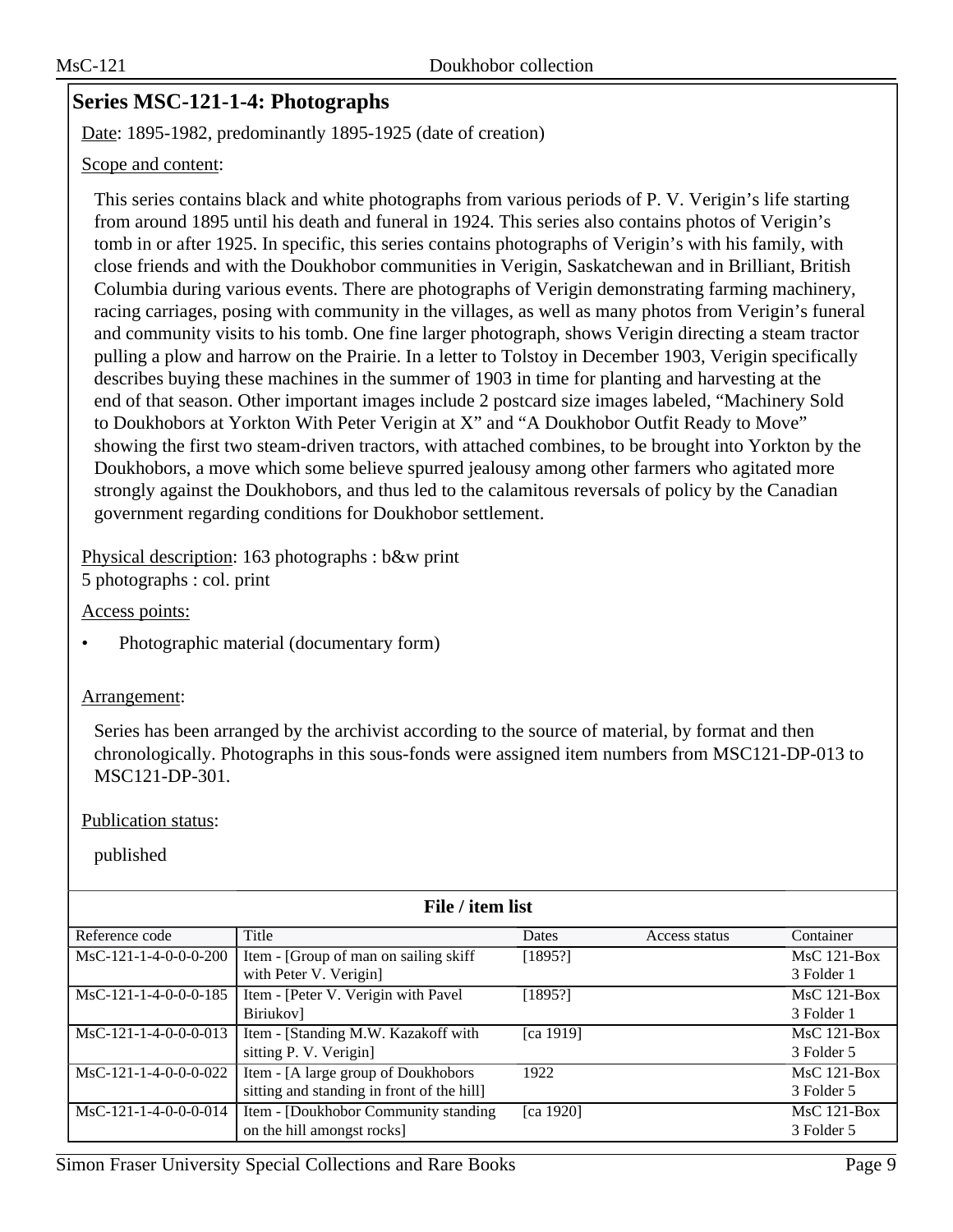# **Series MSC-121-1-4: Photographs**

Date: 1895-1982, predominantly 1895-1925 (date of creation)

#### Scope and content:

This series contains black and white photographs from various periods of P. V. Verigin's life starting from around 1895 until his death and funeral in 1924. This series also contains photos of Verigin's tomb in or after 1925. In specific, this series contains photographs of Verigin's with his family, with close friends and with the Doukhobor communities in Verigin, Saskatchewan and in Brilliant, British Columbia during various events. There are photographs of Verigin demonstrating farming machinery, racing carriages, posing with community in the villages, as well as many photos from Verigin's funeral and community visits to his tomb. One fine larger photograph, shows Verigin directing a steam tractor pulling a plow and harrow on the Prairie. In a letter to Tolstoy in December 1903, Verigin specifically describes buying these machines in the summer of 1903 in time for planting and harvesting at the end of that season. Other important images include 2 postcard size images labeled, "Machinery Sold to Doukhobors at Yorkton With Peter Verigin at X" and "A Doukhobor Outfit Ready to Move" showing the first two steam-driven tractors, with attached combines, to be brought into Yorkton by the Doukhobors, a move which some believe spurred jealousy among other farmers who agitated more strongly against the Doukhobors, and thus led to the calamitous reversals of policy by the Canadian government regarding conditions for Doukhobor settlement.

Physical description: 163 photographs : b&w print 5 photographs : col. print

Access points:

• Photographic material (documentary form)

#### Arrangement:

Series has been arranged by the archivist according to the source of material, by format and then chronologically. Photographs in this sous-fonds were assigned item numbers from MSC121-DP-013 to MSC121-DP-301.

#### Publication status:

|                         | File / item list                          |              |               |               |  |
|-------------------------|-------------------------------------------|--------------|---------------|---------------|--|
| Reference code          | Title                                     | <b>Dates</b> | Access status | Container     |  |
| $MsC-121-1-4-0-0-0-200$ | Item - [Group of man on sailing skiff     | [1895!]      |               | $MsC$ 121-Box |  |
|                         | with Peter V. Verigin]                    |              |               | 3 Folder 1    |  |
| $MsC-121-1-4-0-0-0-185$ | Item - [Peter V. Verigin with Pavel       | [1895!]      |               | $MsC$ 121-Box |  |
|                         | Biriukov]                                 |              |               | 3 Folder 1    |  |
| $MsC-121-1-4-0-0-0-013$ | Item - [Standing M.W. Kazakoff with       | [ca 1919]    |               | $MsC$ 121-Box |  |
|                         | sitting P. V. Verigin]                    |              |               | 3 Folder 5    |  |
| MsC-121-1-4-0-0-0-022   | Item - [A large group of Doukhobors       | 1922         |               | $MsC$ 121-Box |  |
|                         | sitting and standing in front of the hill |              |               | 3 Folder 5    |  |
| $MsC-121-1-4-0-0-0-014$ | Item - [Doukhobor Community standing]     | [ca 1920]    |               | $MsC$ 121-Box |  |
|                         | on the hill amongst rocks]                |              |               | 3 Folder 5    |  |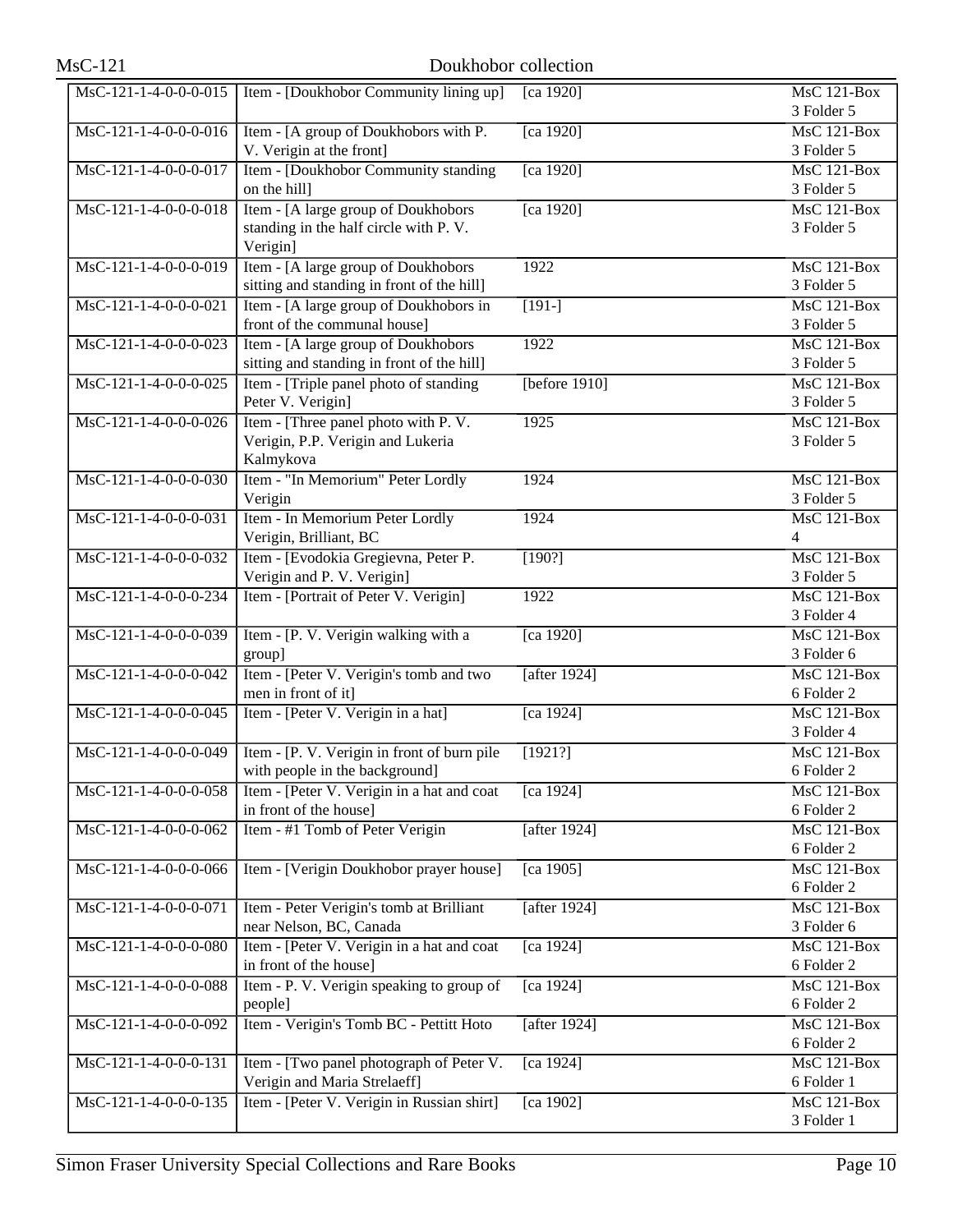| $MsC-121$               | Doukhobor collection                                                               |                     |                                               |
|-------------------------|------------------------------------------------------------------------------------|---------------------|-----------------------------------------------|
| $MsC-121-1-4-0-0-0-015$ | Item - [Doukhobor Community lining up]                                             | [ca 1920]           | $MsC$ 121-Box<br>3 Folder 5                   |
| $MsC-121-1-4-0-0-0-016$ | Item - [A group of Doukhobors with P.<br>V. Verigin at the front]                  | [ca 1920]           | <b>MsC 121-Box</b><br>3 Folder 5              |
| MsC-121-1-4-0-0-0-017   | Item - [Doukhobor Community standing                                               | $\sqrt{[ca\ 1920]}$ | $MsC$ 121-Box                                 |
| MsC-121-1-4-0-0-0-018   | on the hill]<br>Item - [A large group of Doukhobors                                | [ca 1920]           | 3 Folder 5<br><b>MsC 121-Box</b>              |
|                         | standing in the half circle with P.V.<br>Verigin]                                  |                     | 3 Folder 5                                    |
| MsC-121-1-4-0-0-0-019   | Item - [A large group of Doukhobors]<br>sitting and standing in front of the hill] | 1922                | <b>MsC 121-Box</b><br>3 Folder 5              |
| $MsC-121-1-4-0-0-0-021$ | Item - [A large group of Doukhobors in<br>front of the communal house]             | $[191-]$            | $MsC$ 121-Box<br>3 Folder 5                   |
| MsC-121-1-4-0-0-0-023   | Item - [A large group of Doukhobors<br>sitting and standing in front of the hill]  | 1922                | <b>MsC 121-Box</b><br>3 Folder 5              |
| MsC-121-1-4-0-0-0-025   | Item - [Triple panel photo of standing]                                            | [before $1910$ ]    | $\overline{\text{MsC 121-Box}}$<br>3 Folder 5 |
| MsC-121-1-4-0-0-0-026   | Peter V. Verigin]<br>Item - [Three panel photo with P.V.                           | 1925                | $MsC$ 121-Box                                 |
|                         | Verigin, P.P. Verigin and Lukeria<br>Kalmykova                                     |                     | 3 Folder 5                                    |
| MsC-121-1-4-0-0-0-030   | Item - "In Memorium" Peter Lordly<br>Verigin                                       | 1924                | $MsC$ 121-Box<br>3 Folder 5                   |
| MsC-121-1-4-0-0-0-031   | Item - In Memorium Peter Lordly<br>Verigin, Brilliant, BC                          | 1924                | <b>MsC 121-Box</b><br>$\overline{4}$          |
| MsC-121-1-4-0-0-0-032   | Item - [Evodokia Gregievna, Peter P.<br>Verigin and P. V. Verigin]                 | [190?]              | $MsC$ 121-Box<br>3 Folder 5                   |
| MsC-121-1-4-0-0-0-234   | Item - [Portrait of Peter V. Verigin]                                              | 1922                | <b>MsC 121-Box</b><br>3 Folder 4              |
| MsC-121-1-4-0-0-0-039   | Item - [P. V. Verigin walking with a<br>group]                                     | [ca 1920]           | MsC 121-Box<br>3 Folder 6                     |
| MsC-121-1-4-0-0-0-042   | Item - [Peter V. Verigin's tomb and two<br>men in front of it]                     | [after $1924$ ]     | $MsC$ 121-Box<br>6 Folder 2                   |
| MsC-121-1-4-0-0-0-045   | Item - [Peter V. Verigin in a hat]                                                 | [ca 1924]           | $MsC$ 121-Box                                 |
| MsC-121-1-4-0-0-0-049   | Item - [P. V. Verigin in front of burn pile                                        | [1921?]             | 3 Folder 4<br>$MsC$ 121-Box                   |
| MsC-121-1-4-0-0-0-058   | with people in the background]<br>Item - [Peter V. Verigin in a hat and coat       | [ca 1924]           | 6 Folder 2<br>$MsC$ 121-Box                   |
| MsC-121-1-4-0-0-0-062   | in front of the house]<br>Item - #1 Tomb of Peter Verigin                          | [after 1924]        | 6 Folder 2<br>MsC 121-Box                     |
| MsC-121-1-4-0-0-0-066   | Item - [Verigin Doukhobor prayer house]                                            | [ca 1905]           | 6 Folder 2<br>MsC 121-Box                     |
| MsC-121-1-4-0-0-0-071   | Item - Peter Verigin's tomb at Brilliant                                           | [after 1924]        | 6 Folder 2<br>MsC 121-Box                     |
| MsC-121-1-4-0-0-0-080   | near Nelson, BC, Canada<br>Item - [Peter V. Verigin in a hat and coat              | [ca 1924]           | 3 Folder 6<br>MsC 121-Box                     |
|                         | in front of the house]                                                             |                     | 6 Folder 2                                    |
| MsC-121-1-4-0-0-0-088   | Item - P. V. Verigin speaking to group of<br>people]                               | [ca 1924]           | MsC 121-Box<br>6 Folder 2                     |
| MsC-121-1-4-0-0-0-092   | Item - Verigin's Tomb BC - Pettitt Hoto                                            | [after 1924]        | <b>MsC 121-Box</b><br>6 Folder 2              |
| MsC-121-1-4-0-0-0-131   | Item - [Two panel photograph of Peter V.<br>Verigin and Maria Strelaeff]           | [ca 1924]           | <b>MsC 121-Box</b><br>6 Folder 1              |
| MsC-121-1-4-0-0-0-135   | Item - [Peter V. Verigin in Russian shirt]                                         | [ca 1902]           | MsC 121-Box<br>3 Folder 1                     |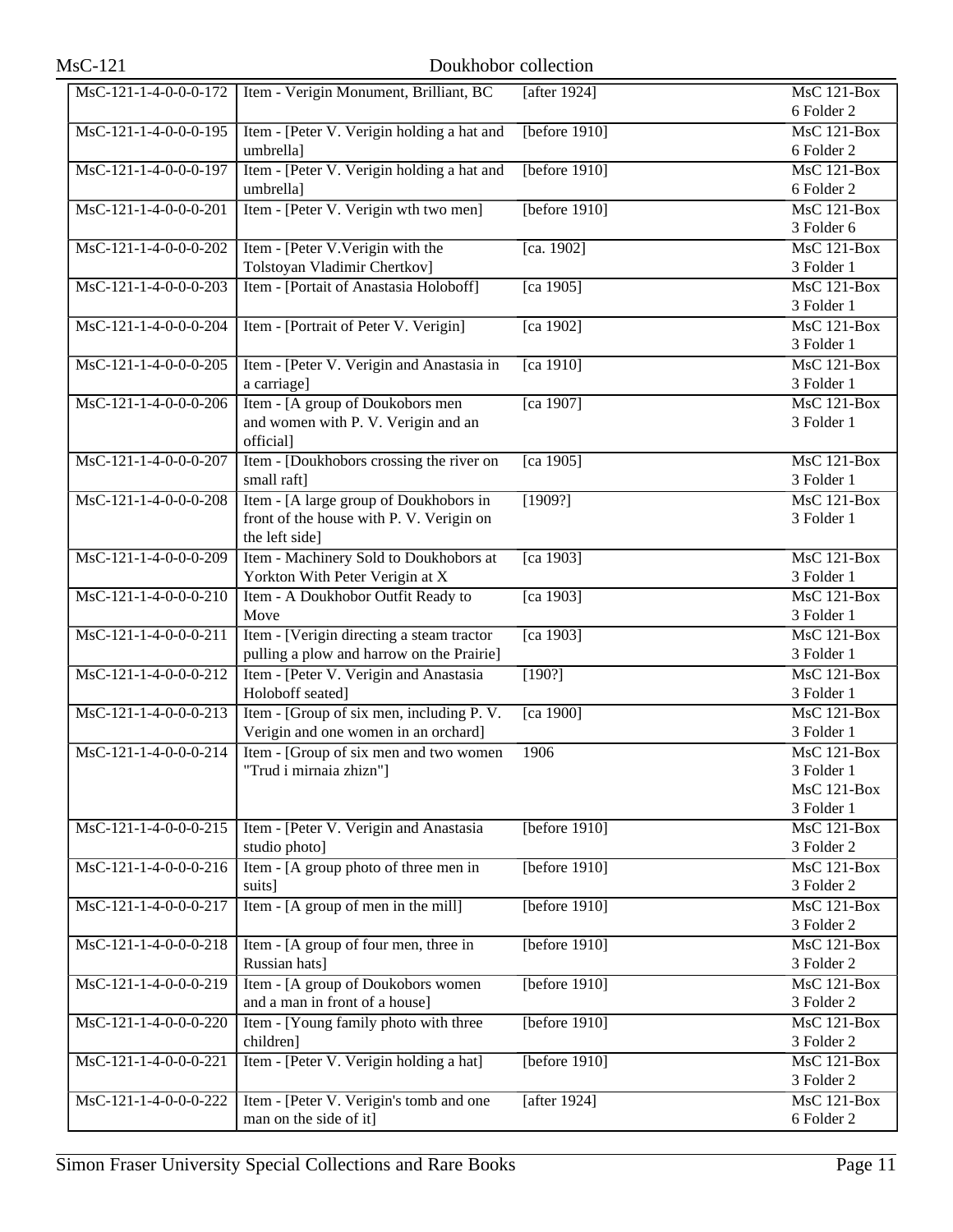| $MsC-121$               | Doukhobor collection                                                                                 |                     |                                                        |
|-------------------------|------------------------------------------------------------------------------------------------------|---------------------|--------------------------------------------------------|
| MsC-121-1-4-0-0-0-172   | Item - Verigin Monument, Brilliant, BC                                                               | [after 1924]        | <b>MsC 121-Box</b><br>6 Folder 2                       |
| MsC-121-1-4-0-0-0-195   | Item - [Peter V. Verigin holding a hat and                                                           | [before $1910$ ]    | MsC 121-Box                                            |
| MsC-121-1-4-0-0-0-197   | umbrella]<br>Item - [Peter V. Verigin holding a hat and                                              | [before $1910$ ]    | 6 Folder 2<br>MsC 121-Box                              |
| MsC-121-1-4-0-0-0-201   | umbrella]<br>Item - [Peter V. Verigin wth two men]                                                   | [before $1910$ ]    | 6 Folder 2<br><b>MsC 121-Box</b>                       |
| MsC-121-1-4-0-0-0-202   | Item - [Peter V. Verigin with the                                                                    | [ca. 1902]          | 3 Folder 6<br><b>MsC 121-Box</b>                       |
| MsC-121-1-4-0-0-0-203   | Tolstoyan Vladimir Chertkov]<br>Item - [Portait of Anastasia Holoboff]                               | $\sqrt{[ca\ 1905]}$ | 3 Folder 1<br><b>MsC 121-Box</b>                       |
|                         |                                                                                                      |                     | 3 Folder 1                                             |
| MsC-121-1-4-0-0-0-204   | Item - [Portrait of Peter V. Verigin]                                                                | [ca 1902]           | $\overline{\text{MsC 121-Box}}$<br>3 Folder 1          |
| MsC-121-1-4-0-0-0-205   | Item - [Peter V. Verigin and Anastasia in<br>a carriage]                                             | [ca 1910]           | MsC 121-Box<br>3 Folder 1                              |
| MsC-121-1-4-0-0-0-206   | Item - [A group of Doukobors men]<br>and women with P. V. Verigin and an<br>official]                | $\sqrt{[ca\ 1907]}$ | MsC 121-Box<br>3 Folder 1                              |
| MsC-121-1-4-0-0-0-207   | Item - [Doukhobors crossing the river on<br>small raft]                                              | [ca 1905]           | <b>MsC 121-Box</b><br>3 Folder 1                       |
| MsC-121-1-4-0-0-0-208   | Item - [A large group of Doukhobors in<br>front of the house with P. V. Verigin on<br>the left side] | [1909?]             | $MsC$ 121-Box<br>3 Folder 1                            |
| MsC-121-1-4-0-0-0-209   | Item - Machinery Sold to Doukhobors at<br>Yorkton With Peter Verigin at X                            | $\sqrt{[ca\ 1903]}$ | $MsC$ 121-Box<br>3 Folder 1                            |
| MsC-121-1-4-0-0-0-210   | Item - A Doukhobor Outfit Ready to<br>Move                                                           | [ca 1903]           | <b>MsC 121-Box</b><br>3 Folder 1                       |
| $MsC-121-1-4-0-0-0-211$ | Item - [Verigin directing a steam tractor<br>pulling a plow and harrow on the Prairie]               | [ca 1903]           | MsC 121-Box<br>3 Folder 1                              |
| MsC-121-1-4-0-0-0-212   | Item - [Peter V. Verigin and Anastasia<br>Holoboff seated]                                           | $[190?]$            | MsC 121-Box<br>3 Folder 1                              |
| MsC-121-1-4-0-0-0-213   | Item - [Group of six men, including P. V.<br>Verigin and one women in an orchard]                    | [ca 1900]           | <b>MsC 121-Box</b><br>3 Folder 1                       |
| MsC-121-1-4-0-0-0-214   | Item - [Group of six men and two women<br>"Trud i mirnaia zhizn"]                                    | 1906                | MsC 121-Box<br>3 Folder 1<br>MsC 121-Box<br>3 Folder 1 |
| $MsC-121-1-4-0-0-0-215$ | Item - [Peter V. Verigin and Anastasia<br>studio photo]                                              | [before $1910$ ]    | MsC 121-Box<br>3 Folder 2                              |
| MsC-121-1-4-0-0-0-216   | Item - [A group photo of three men in<br>suits]                                                      | [before $1910$ ]    | <b>MsC 121-Box</b><br>3 Folder 2                       |
| MsC-121-1-4-0-0-0-217   | Item - [A group of men in the mill]                                                                  | [before $1910$ ]    | MsC 121-Box<br>3 Folder 2                              |
| MsC-121-1-4-0-0-0-218   | Item - [A group of four men, three in<br>Russian hats]                                               | [before $1910$ ]    | MsC 121-Box<br>3 Folder 2                              |
| MsC-121-1-4-0-0-0-219   | Item - [A group of Doukobors women]<br>and a man in front of a house]                                | [before $1910$ ]    | MsC 121-Box<br>3 Folder 2                              |
| MsC-121-1-4-0-0-0-220   | Item - [Young family photo with three<br>children]                                                   | [before $1910$ ]    | MsC 121-Box<br>3 Folder 2                              |
| MsC-121-1-4-0-0-0-221   | Item - [Peter V. Verigin holding a hat]                                                              | [before $1910$ ]    | <b>MsC 121-Box</b><br>3 Folder 2                       |
| MsC-121-1-4-0-0-0-222   | Item - [Peter V. Verigin's tomb and one<br>man on the side of it]                                    | [after 1924]        | <b>MsC 121-Box</b><br>6 Folder 2                       |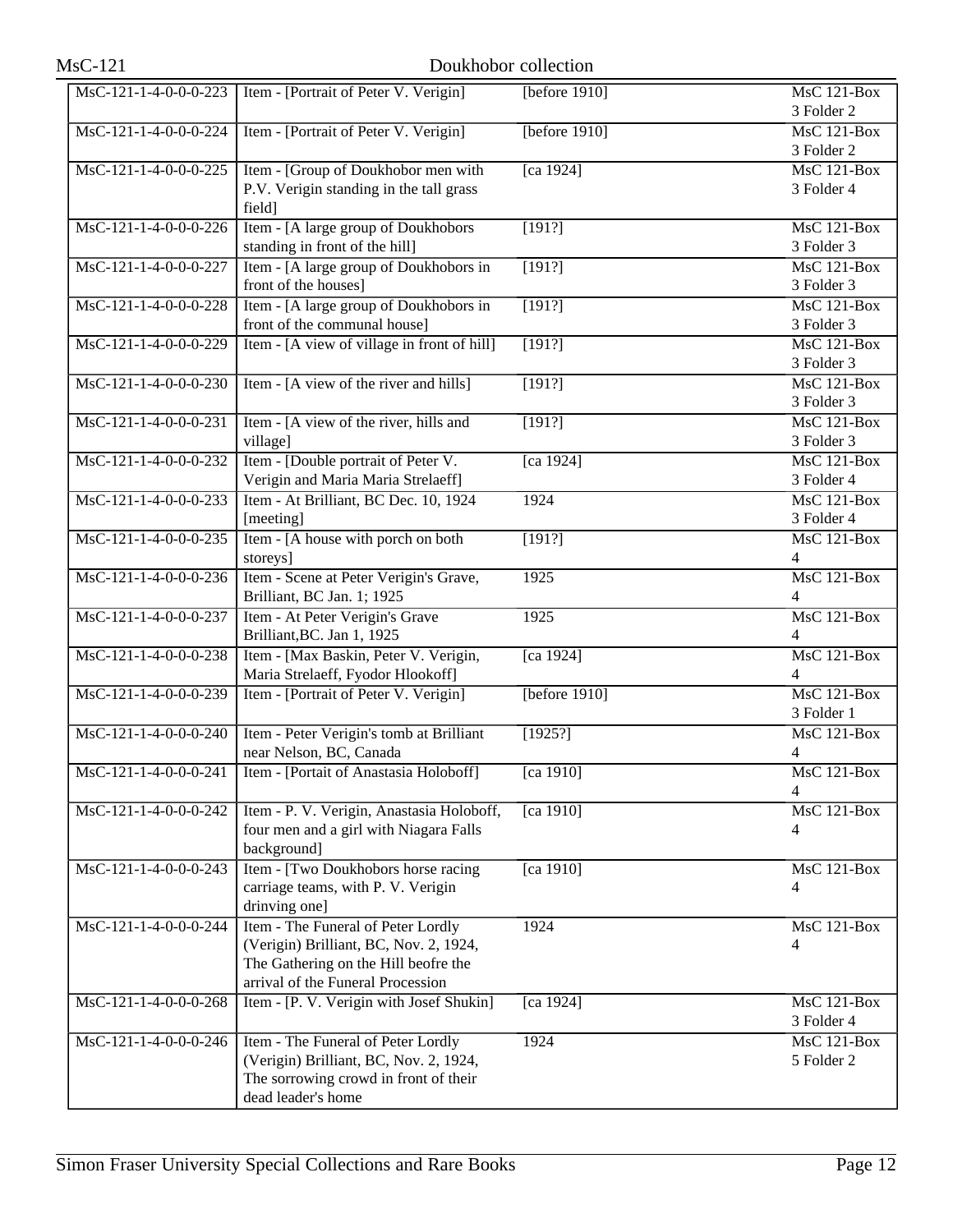| $MsC-121$               |                                                                                                                                                           | Doukhobor collection |                                      |
|-------------------------|-----------------------------------------------------------------------------------------------------------------------------------------------------------|----------------------|--------------------------------------|
| $MsC-121-1-4-0-0-0-223$ | Item - [Portrait of Peter V. Verigin]                                                                                                                     | [before 1910]        | <b>MsC 121-Box</b><br>3 Folder 2     |
| MsC-121-1-4-0-0-0-224   | Item - [Portrait of Peter V. Verigin]                                                                                                                     | [before $1910$ ]     | <b>MsC 121-Box</b><br>3 Folder 2     |
| MsC-121-1-4-0-0-0-225   | Item - [Group of Doukhobor men with<br>P.V. Verigin standing in the tall grass<br>field]                                                                  | [ca 1924]            | $MsC$ 121-Box<br>3 Folder 4          |
| MsC-121-1-4-0-0-0-226   | Item - [A large group of Doukhobors<br>standing in front of the hill]                                                                                     | [191?]               | MsC 121-Box<br>3 Folder 3            |
| MsC-121-1-4-0-0-0-227   | Item - [A large group of Doukhobors in<br>front of the houses]                                                                                            | [191?]               | <b>MsC 121-Box</b><br>3 Folder 3     |
| MsC-121-1-4-0-0-0-228   | Item - [A large group of Doukhobors in<br>front of the communal house]                                                                                    | [191?]               | $MsC$ 121-Box<br>3 Folder 3          |
| MsC-121-1-4-0-0-0-229   | Item - [A view of village in front of hill]                                                                                                               | [191?]               | <b>MsC 121-Box</b><br>3 Folder 3     |
| MsC-121-1-4-0-0-0-230   | Item - [A view of the river and hills]                                                                                                                    | [191?]               | <b>MsC 121-Box</b><br>3 Folder 3     |
| MsC-121-1-4-0-0-0-231   | Item - [A view of the river, hills and<br>village]                                                                                                        | [191?]               | $MsC$ 121-Box<br>3 Folder 3          |
| MsC-121-1-4-0-0-0-232   | Item - [Double portrait of Peter V.<br>Verigin and Maria Maria Strelaeff]                                                                                 | [ca 1924]            | $MsC$ 121-Box<br>3 Folder 4          |
| MsC-121-1-4-0-0-0-233   | Item - At Brilliant, BC Dec. 10, 1924<br>[meeting]                                                                                                        | 1924                 | <b>MsC 121-Box</b><br>3 Folder 4     |
| MsC-121-1-4-0-0-0-235   | Item - [A house with porch on both<br>storeys]                                                                                                            | [191?]               | $MsC$ 121-Box<br>$\overline{4}$      |
| MsC-121-1-4-0-0-0-236   | Item - Scene at Peter Verigin's Grave,<br>Brilliant, BC Jan. 1; 1925                                                                                      | 1925                 | <b>MsC 121-Box</b><br>$\overline{4}$ |
| MsC-121-1-4-0-0-0-237   | Item - At Peter Verigin's Grave<br>Brilliant, BC. Jan 1, 1925                                                                                             | 1925                 | MsC 121-Box<br>4                     |
| MsC-121-1-4-0-0-0-238   | Item - [Max Baskin, Peter V. Verigin,<br>Maria Strelaeff, Fyodor Hlookoff]                                                                                | [ca 1924]            | $MsC$ 121-Box<br>4                   |
| MsC-121-1-4-0-0-0-239   | Item - [Portrait of Peter V. Verigin]                                                                                                                     | [before $1910$ ]     | $MsC$ 121-Box<br>3 Folder 1          |
| MsC-121-1-4-0-0-0-240   | Item - Peter Verigin's tomb at Brilliant<br>near Nelson, BC, Canada                                                                                       | [1925?]              | <b>MsC 121-Box</b><br>4              |
| MsC-121-1-4-0-0-0-241   | Item - [Portait of Anastasia Holoboff]                                                                                                                    | [ca 1910]            | $MsC$ 121-Box<br>4                   |
| MsC-121-1-4-0-0-0-242   | Item - P. V. Verigin, Anastasia Holoboff,<br>four men and a girl with Niagara Falls<br>background]                                                        | [ca 1910]            | $MsC$ 121-Box<br>4                   |
| MsC-121-1-4-0-0-0-243   | Item - [Two Doukhobors horse racing<br>carriage teams, with P. V. Verigin<br>drinving one]                                                                | [ca 1910]            | <b>MsC 121-Box</b><br>4              |
| MsC-121-1-4-0-0-0-244   | Item - The Funeral of Peter Lordly<br>(Verigin) Brilliant, BC, Nov. 2, 1924,<br>The Gathering on the Hill beofre the<br>arrival of the Funeral Procession | 1924                 | <b>MsC 121-Box</b><br>4              |
| MsC-121-1-4-0-0-0-268   | Item - [P. V. Verigin with Josef Shukin]                                                                                                                  | [ca 1924]            | MsC 121-Box<br>3 Folder 4            |
| MsC-121-1-4-0-0-0-246   | Item - The Funeral of Peter Lordly<br>(Verigin) Brilliant, BC, Nov. 2, 1924,<br>The sorrowing crowd in front of their<br>dead leader's home               | 1924                 | MsC 121-Box<br>5 Folder 2            |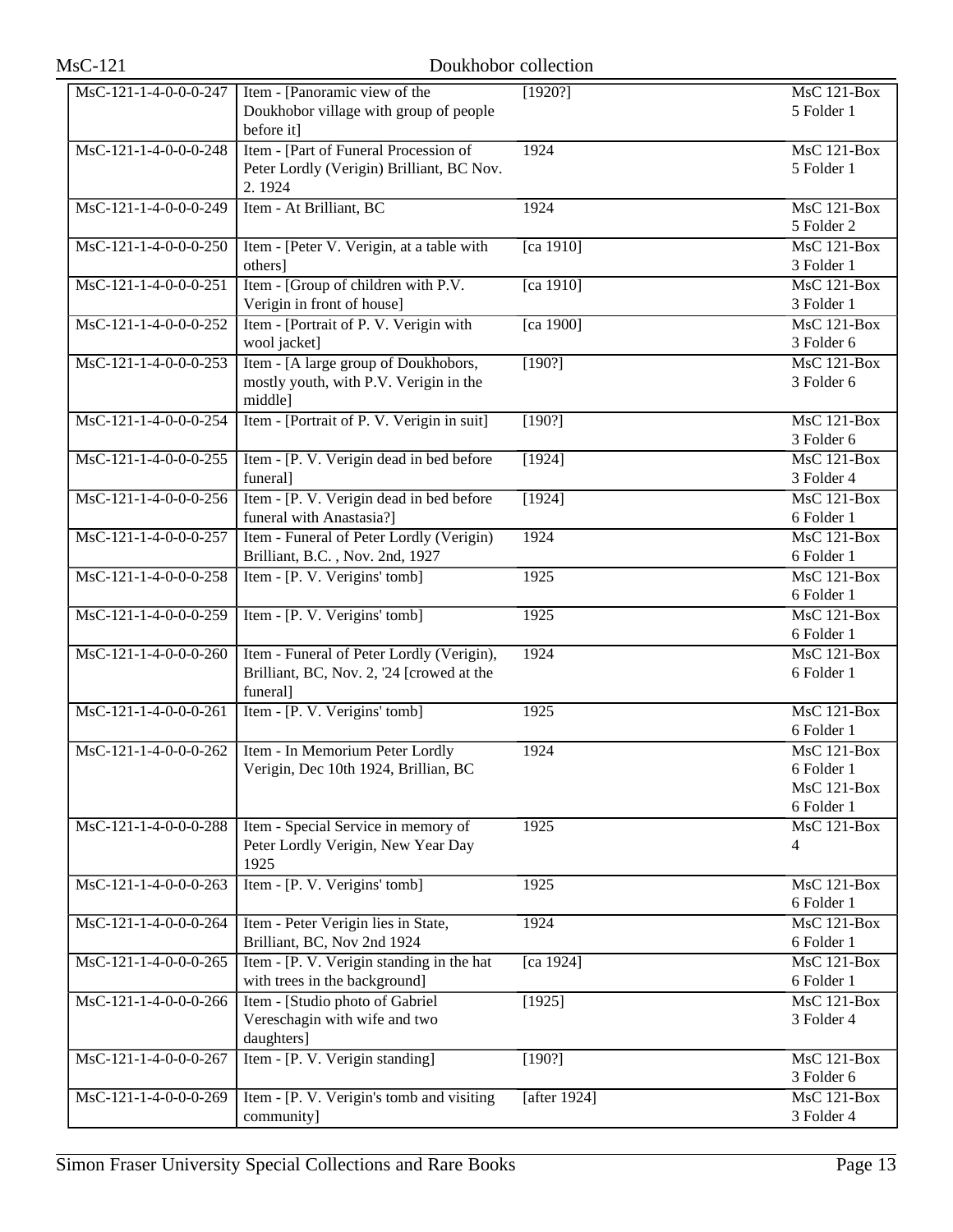| $MsC-121$               |                                                                                                    | Doukhobor collection |                                                          |
|-------------------------|----------------------------------------------------------------------------------------------------|----------------------|----------------------------------------------------------|
| MsC-121-1-4-0-0-0-247   | Item - [Panoramic view of the<br>Doukhobor village with group of people<br>before it]              | [1920?]              | $MsC$ 121-Box<br>5 Folder 1                              |
| $MsC-121-1-4-0-0-0-248$ | Item - [Part of Funeral Procession of<br>Peter Lordly (Verigin) Brilliant, BC Nov.<br>2.1924       | 1924                 | $MsC$ 121-Box<br>5 Folder 1                              |
| MsC-121-1-4-0-0-0-249   | Item - At Brilliant, BC                                                                            | 1924                 | MsC 121-Box<br>5 Folder 2                                |
| MsC-121-1-4-0-0-0-250   | Item - [Peter V. Verigin, at a table with<br>others]                                               | [ca 1910]            | <b>MsC 121-Box</b><br>3 Folder 1                         |
| $MsC-121-1-4-0-0-0-251$ | Item - [Group of children with P.V.<br>Verigin in front of house]                                  | [ca 1910]            | <b>MsC 121-Box</b><br>3 Folder 1                         |
| MsC-121-1-4-0-0-0-252   | Item - [Portrait of P. V. Verigin with<br>wool jacket]                                             | [ca 1900]            | <b>MsC 121-Box</b><br>3 Folder 6                         |
| $MsC-121-1-4-0-0-0-253$ | Item - [A large group of Doukhobors,<br>mostly youth, with P.V. Verigin in the<br>middle]          | [190?]               | $MsC$ 121-Box<br>3 Folder 6                              |
| $MsC-121-1-4-0-0-0-254$ | Item - [Portrait of P. V. Verigin in suit]                                                         | [190?]               | $MsC$ 121-Box<br>3 Folder 6                              |
| MsC-121-1-4-0-0-0-255   | Item - [P. V. Verigin dead in bed before<br>funeral]                                               | [1924]               | <b>MsC 121-Box</b><br>3 Folder 4                         |
| MsC-121-1-4-0-0-0-256   | Item - [P. V. Verigin dead in bed before<br>funeral with Anastasia?]                               | [1924]               | <b>MsC 121-Box</b><br>6 Folder 1                         |
| MsC-121-1-4-0-0-0-257   | Item - Funeral of Peter Lordly (Verigin)<br>Brilliant, B.C., Nov. 2nd, 1927                        | 1924                 | <b>MsC 121-Box</b><br>6 Folder 1                         |
| MsC-121-1-4-0-0-0-258   | Item - [P. V. Verigins' tomb]                                                                      | 1925                 | <b>MsC 121-Box</b><br>6 Folder 1                         |
| $MsC-121-1-4-0-0-0-259$ | Item - [P. V. Verigins' tomb]                                                                      | 1925                 | <b>MsC 121-Box</b><br>6 Folder 1                         |
| $MsC-121-1-4-0-0-0-260$ | Item - Funeral of Peter Lordly (Verigin),<br>Brilliant, BC, Nov. 2, '24 [crowed at the<br>funeral] | 1924                 | <b>MsC 121-Box</b><br>6 Folder 1                         |
| $MsC-121-1-4-0-0-0-261$ | Item - [P. V. Verigins' tomb]                                                                      | 1925                 | <b>MsC 121-Box</b><br>6 Folder 1                         |
| $MsC-121-1-4-0-0-0-262$ | Item - In Memorium Peter Lordly<br>Verigin, Dec 10th 1924, Brillian, BC                            | 1924                 | $MsC$ 121-Box<br>6 Folder 1<br>MsC 121-Box<br>6 Folder 1 |
| MsC-121-1-4-0-0-0-288   | Item - Special Service in memory of<br>Peter Lordly Verigin, New Year Day<br>1925                  | 1925                 | MsC 121-Box<br>4                                         |
| MsC-121-1-4-0-0-0-263   | Item - [P. V. Verigins' tomb]                                                                      | 1925                 | MsC 121-Box<br>6 Folder 1                                |
| MsC-121-1-4-0-0-0-264   | Item - Peter Verigin lies in State,<br>Brilliant, BC, Nov 2nd 1924                                 | 1924                 | $\overline{\text{MsC}}$ 121-Box<br>6 Folder 1            |
| MsC-121-1-4-0-0-0-265   | Item - [P. V. Verigin standing in the hat<br>with trees in the background]                         | [ca 1924]            | MsC 121-Box<br>6 Folder 1                                |
| MsC-121-1-4-0-0-0-266   | Item - [Studio photo of Gabriel]<br>Vereschagin with wife and two<br>daughters]                    | [1925]               | MsC 121-Box<br>3 Folder 4                                |
| MsC-121-1-4-0-0-0-267   | Item - [P. V. Verigin standing]                                                                    | [190?]               | MsC 121-Box<br>3 Folder 6                                |
| MsC-121-1-4-0-0-0-269   | Item - [P. V. Verigin's tomb and visiting<br>community]                                            | [after 1924]         | $\overline{\text{MsC 121-Box}}$<br>3 Folder 4            |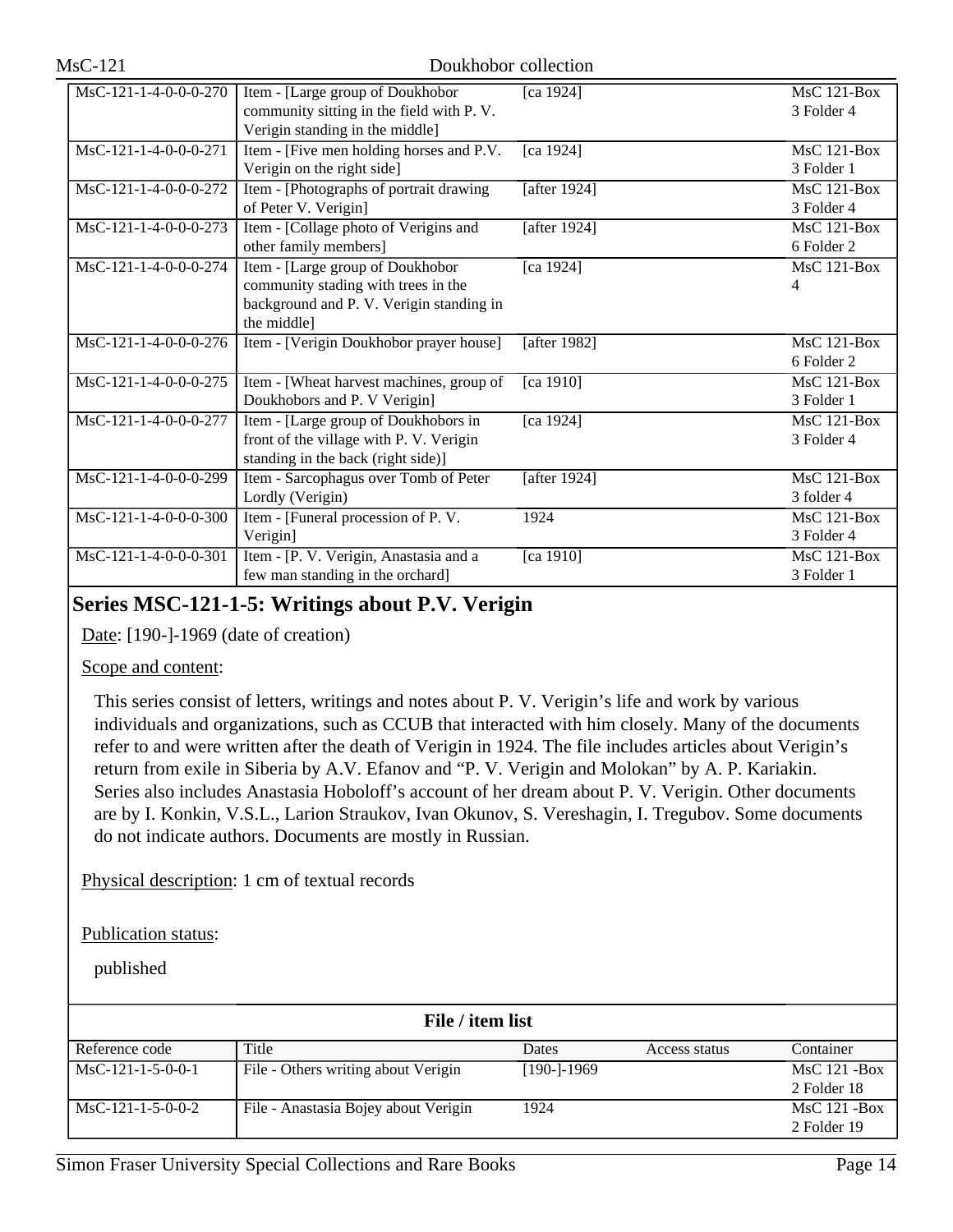| MsC-121-1-4-0-0-0-270   | Item - [Large group of Doukhobor          | [ca 1924]           | $MsC$ 121-Box      |
|-------------------------|-------------------------------------------|---------------------|--------------------|
|                         | community sitting in the field with P.V.  |                     | 3 Folder 4         |
|                         | Verigin standing in the middle]           |                     |                    |
| MsC-121-1-4-0-0-0-271   | Item - [Five men holding horses and P.V.] | [ca 1924]           | <b>MsC 121-Box</b> |
|                         | Verigin on the right side]                |                     | 3 Folder 1         |
| $MsC-121-1-4-0-0-0-272$ | Item - [Photographs of portrait drawing   | [after 1924]        | $MsC$ 121-Box      |
|                         | of Peter V. Verigin]                      |                     | 3 Folder 4         |
| $MsC-121-1-4-0-0-0-273$ | Item - [Collage photo of Verigins and     | [after 1924]        | $MsC$ 121-Box      |
|                         | other family members]                     |                     | 6 Folder 2         |
| MsC-121-1-4-0-0-0-274   | Item - [Large group of Doukhobor          | [ca 1924]           | MsC 121-Box        |
|                         | community stading with trees in the       |                     | $\overline{4}$     |
|                         | background and P. V. Verigin standing in  |                     |                    |
|                         | the middle]                               |                     |                    |
| MsC-121-1-4-0-0-0-276   | Item - [Verigin Doukhobor prayer house]   | [after 1982]        | $MsC$ 121-Box      |
|                         |                                           |                     | 6 Folder 2         |
| MsC-121-1-4-0-0-0-275   | Item - [Wheat harvest machines, group of  | [ca 1910]           | <b>MsC 121-Box</b> |
|                         | Doukhobors and P. V Verigin]              |                     | 3 Folder 1         |
| $MsC-121-1-4-0-0-0-277$ | Item - [Large group of Doukhobors in      | [ca 1924]           | <b>MsC 121-Box</b> |
|                         | front of the village with P. V. Verigin   |                     | 3 Folder 4         |
|                         | standing in the back (right side)]        |                     |                    |
| MsC-121-1-4-0-0-0-299   | Item - Sarcophagus over Tomb of Peter     | [after 1924]        | <b>MsC 121-Box</b> |
|                         | Lordly (Verigin)                          |                     | 3 folder 4         |
| MsC-121-1-4-0-0-0-300   | Item - [Funeral procession of P.V.        | 1924                | <b>MsC 121-Box</b> |
|                         | Verigin]                                  |                     | 3 Folder 4         |
| MsC-121-1-4-0-0-0-301   | Item - [P. V. Verigin, Anastasia and a    | $\sqrt{[ca\ 1910]}$ | $MsC$ 121-Box      |
|                         | few man standing in the orchard]          |                     | 3 Folder 1         |

# **Series MSC-121-1-5: Writings about P.V. Verigin**

Date: [190-]-1969 (date of creation)

#### Scope and content:

This series consist of letters, writings and notes about P. V. Verigin's life and work by various individuals and organizations, such as CCUB that interacted with him closely. Many of the documents refer to and were written after the death of Verigin in 1924. The file includes articles about Verigin's return from exile in Siberia by A.V. Efanov and "P. V. Verigin and Molokan" by A. P. Kariakin. Series also includes Anastasia Hoboloff's account of her dream about P. V. Verigin. Other documents are by I. Konkin, V.S.L., Larion Straukov, Ivan Okunov, S. Vereshagin, I. Tregubov. Some documents do not indicate authors. Documents are mostly in Russian.

Physical description: 1 cm of textual records

Publication status:

| File / item list    |                                      |                |               |                 |
|---------------------|--------------------------------------|----------------|---------------|-----------------|
| Reference code      | Title                                | Dates          | Access status | Container       |
| $MsC-121-1-5-0-0-1$ | File - Others writing about Verigin  | $[190 - 1969]$ |               | $MsC$ 121 - Box |
|                     |                                      |                |               | 2 Folder 18     |
| $MsC-121-1-5-0-0-2$ | File - Anastasia Bojey about Verigin | 1924           |               | $MsC$ 121 - Box |
|                     |                                      |                |               | 2 Folder 19     |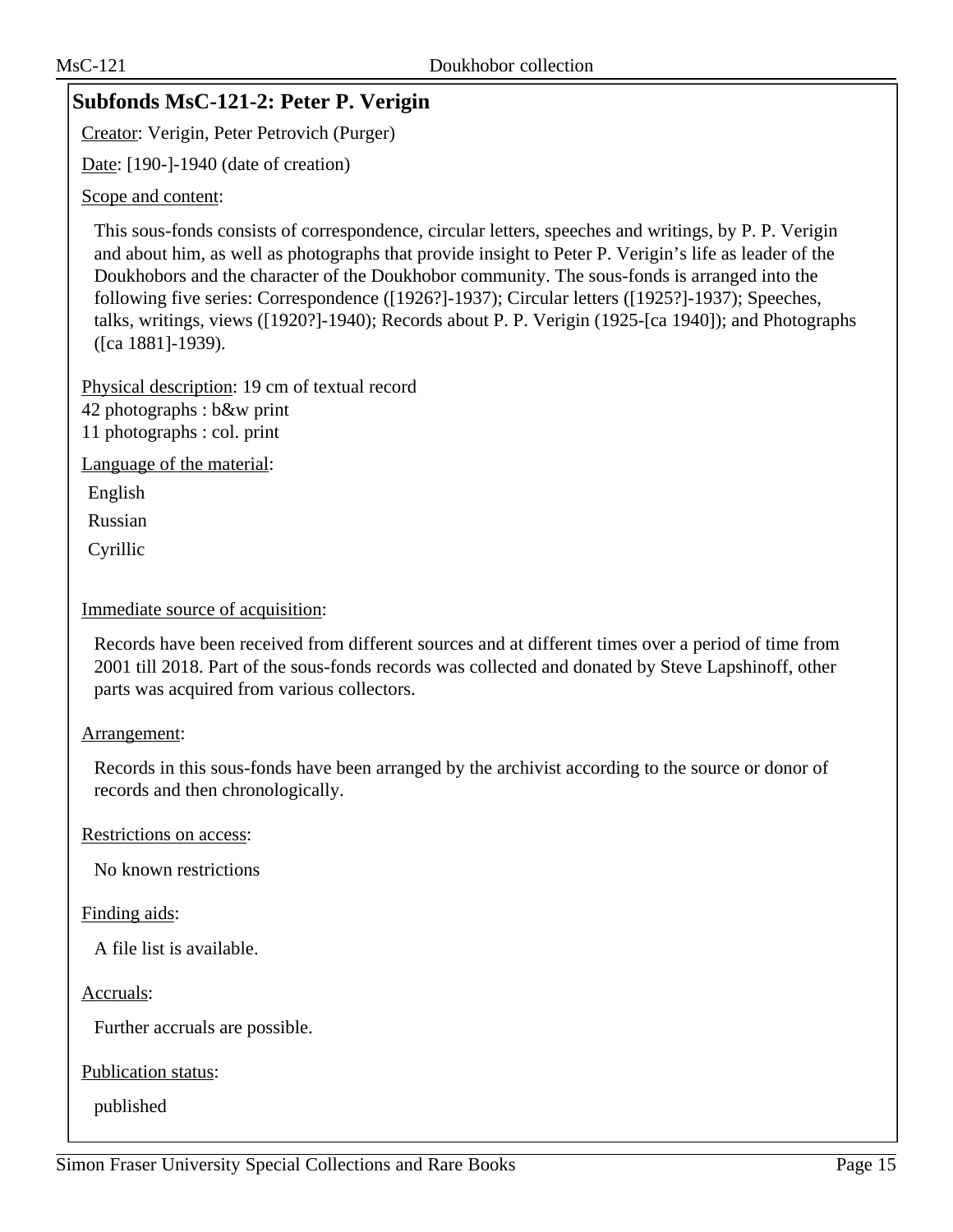# **Subfonds MsC-121-2: Peter P. Verigin**

Creator: Verigin, Peter Petrovich (Purger)

Date: [190-]-1940 (date of creation)

#### Scope and content:

This sous-fonds consists of correspondence, circular letters, speeches and writings, by P. P. Verigin and about him, as well as photographs that provide insight to Peter P. Verigin's life as leader of the Doukhobors and the character of the Doukhobor community. The sous-fonds is arranged into the following five series: Correspondence ([1926?]-1937); Circular letters ([1925?]-1937); Speeches, talks, writings, views ([1920?]-1940); Records about P. P. Verigin (1925-[ca 1940]); and Photographs ([ca 1881]-1939).

Physical description: 19 cm of textual record 42 photographs : b&w print 11 photographs : col. print

Language of the material:

English

Russian

Cyrillic

#### Immediate source of acquisition:

Records have been received from different sources and at different times over a period of time from 2001 till 2018. Part of the sous-fonds records was collected and donated by Steve Lapshinoff, other parts was acquired from various collectors.

#### Arrangement:

Records in this sous-fonds have been arranged by the archivist according to the source or donor of records and then chronologically.

Restrictions on access:

No known restrictions

#### Finding aids:

A file list is available.

Accruals:

Further accruals are possible.

Publication status: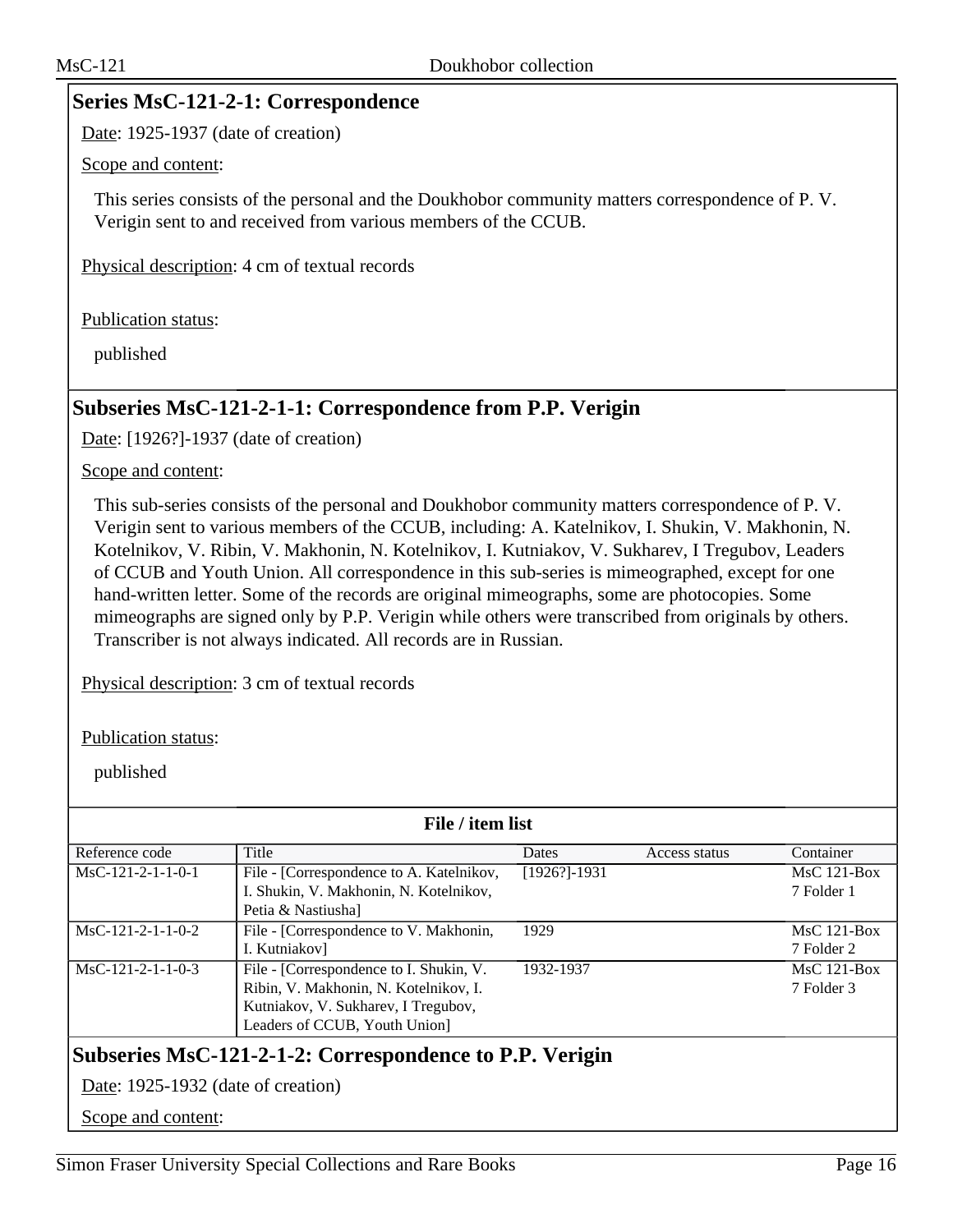### **Series MsC-121-2-1: Correspondence**

Date: 1925-1937 (date of creation)

#### Scope and content:

This series consists of the personal and the Doukhobor community matters correspondence of P. V. Verigin sent to and received from various members of the CCUB.

Physical description: 4 cm of textual records

Publication status:

published

# **Subseries MsC-121-2-1-1: Correspondence from P.P. Verigin**

Date: [1926?]-1937 (date of creation)

Scope and content:

This sub-series consists of the personal and Doukhobor community matters correspondence of P. V. Verigin sent to various members of the CCUB, including: A. Katelnikov, I. Shukin, V. Makhonin, N. Kotelnikov, V. Ribin, V. Makhonin, N. Kotelnikov, I. Kutniakov, V. Sukharev, I Tregubov, Leaders of CCUB and Youth Union. All correspondence in this sub-series is mimeographed, except for one hand-written letter. Some of the records are original mimeographs, some are photocopies. Some mimeographs are signed only by P.P. Verigin while others were transcribed from originals by others. Transcriber is not always indicated. All records are in Russian.

Physical description: 3 cm of textual records

Publication status:

published

| File / item list                                        |                                          |                  |               |               |  |
|---------------------------------------------------------|------------------------------------------|------------------|---------------|---------------|--|
| Reference code                                          | Title                                    | <b>Dates</b>     | Access status | Container     |  |
| $MsC-121-2-1-1-0-1$                                     | File - [Correspondence to A. Katelnikov, | $[1926?] - 1931$ |               | $MsC$ 121-Box |  |
|                                                         | I. Shukin, V. Makhonin, N. Kotelnikov,   |                  |               | 7 Folder 1    |  |
|                                                         | Petia & Nastiusha]                       |                  |               |               |  |
| $MsC-121-2-1-1-0-2$                                     | File - [Correspondence to V. Makhonin,   | 1929             |               | $MsC$ 121-Box |  |
|                                                         | I. Kutniakov                             |                  |               | 7 Folder 2    |  |
| $MsC-121-2-1-1-0-3$                                     | File - [Correspondence to I. Shukin, V.  | 1932-1937        |               | $MsC$ 121-Box |  |
|                                                         | Ribin, V. Makhonin, N. Kotelnikov, I.    |                  |               | 7 Folder 3    |  |
|                                                         | Kutniakov, V. Sukharev, I Tregubov,      |                  |               |               |  |
|                                                         | Leaders of CCUB, Youth Union]            |                  |               |               |  |
| Subseries MsC-121-2-1-2: Correspondence to P.P. Verigin |                                          |                  |               |               |  |
|                                                         | Date: 1925-1932 (date of creation)       |                  |               |               |  |

Scope and content: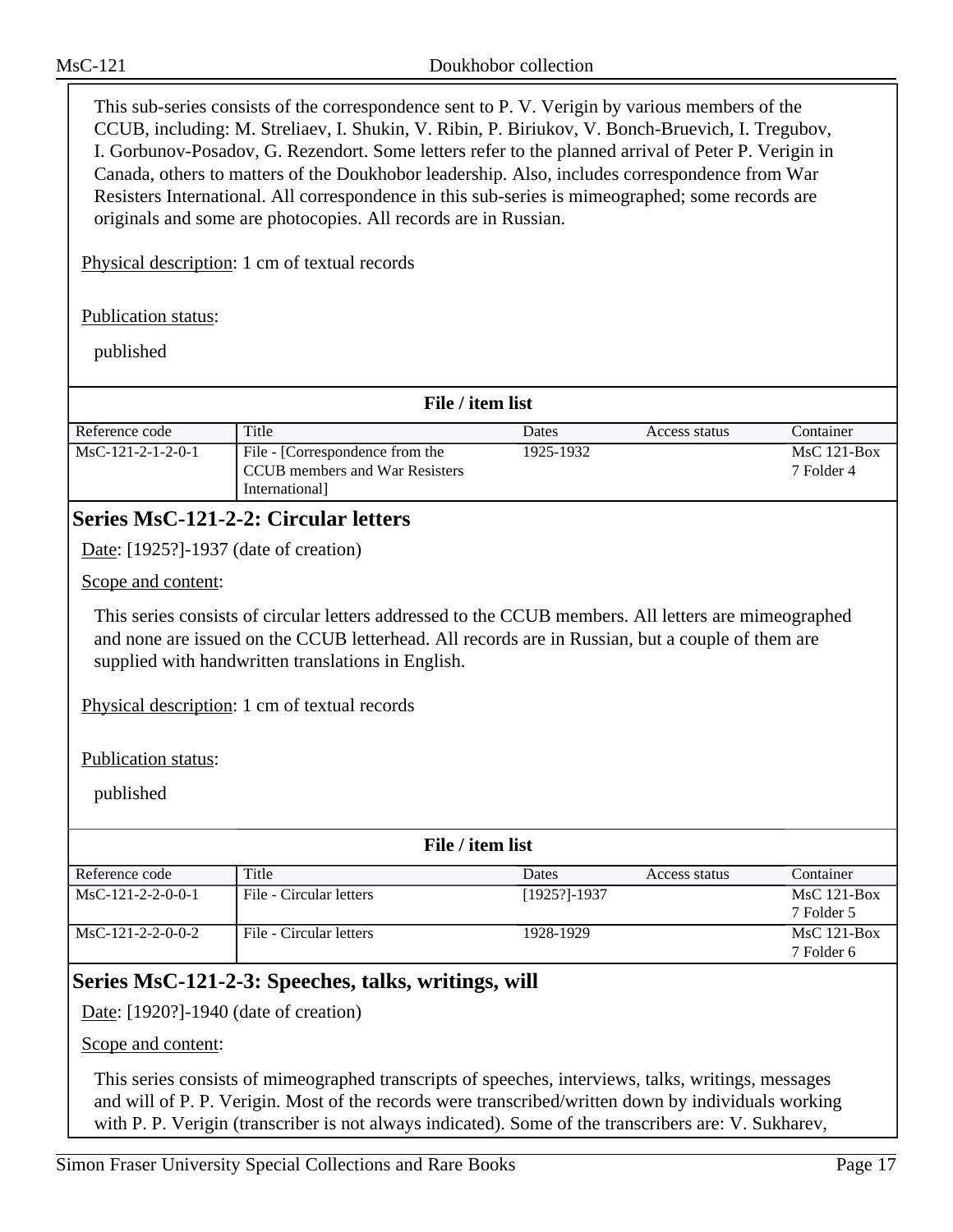This sub-series consists of the correspondence sent to P. V. Verigin by various members of the CCUB, including: M. Streliaev, I. Shukin, V. Ribin, P. Biriukov, V. Bonch-Bruevich, I. Tregubov, I. Gorbunov-Posadov, G. Rezendort. Some letters refer to the planned arrival of Peter P. Verigin in Canada, others to matters of the Doukhobor leadership. Also, includes correspondence from War Resisters International. All correspondence in this sub-series is mimeographed; some records are originals and some are photocopies. All records are in Russian.

Physical description: 1 cm of textual records

Publication status:

published

| File / item list    |                                                                                    |           |               |                             |
|---------------------|------------------------------------------------------------------------------------|-----------|---------------|-----------------------------|
| Reference code      | Title                                                                              | Dates     | Access status | Container                   |
| $MsC-121-2-1-2-0-1$ | File - [Correspondence from the<br>CCUB members and War Resisters<br>International | 1925-1932 |               | $MsC$ 121-Box<br>7 Folder 4 |

## **Series MsC-121-2-2: Circular letters**

Date: [1925?]-1937 (date of creation)

Scope and content:

This series consists of circular letters addressed to the CCUB members. All letters are mimeographed and none are issued on the CCUB letterhead. All records are in Russian, but a couple of them are supplied with handwritten translations in English.

Physical description: 1 cm of textual records

Publication status:

published

| File / item list    |                         |                  |               |               |
|---------------------|-------------------------|------------------|---------------|---------------|
| Reference code      | Title                   | Dates            | Access status | Container     |
| $MsC-121-2-2-0-0-1$ | File - Circular letters | $[1925?] - 1937$ |               | $MsC$ 121-Box |
|                     |                         |                  |               | 7 Folder 5    |
| $MsC-121-2-2-0-0-2$ | File - Circular letters | 1928-1929        |               | $MsC$ 121-Box |
|                     |                         |                  |               | 7 Folder 6    |

# **Series MsC-121-2-3: Speeches, talks, writings, will**

Date: [1920?]-1940 (date of creation)

Scope and content:

This series consists of mimeographed transcripts of speeches, interviews, talks, writings, messages and will of P. P. Verigin. Most of the records were transcribed/written down by individuals working with P. P. Verigin (transcriber is not always indicated). Some of the transcribers are: V. Sukharev,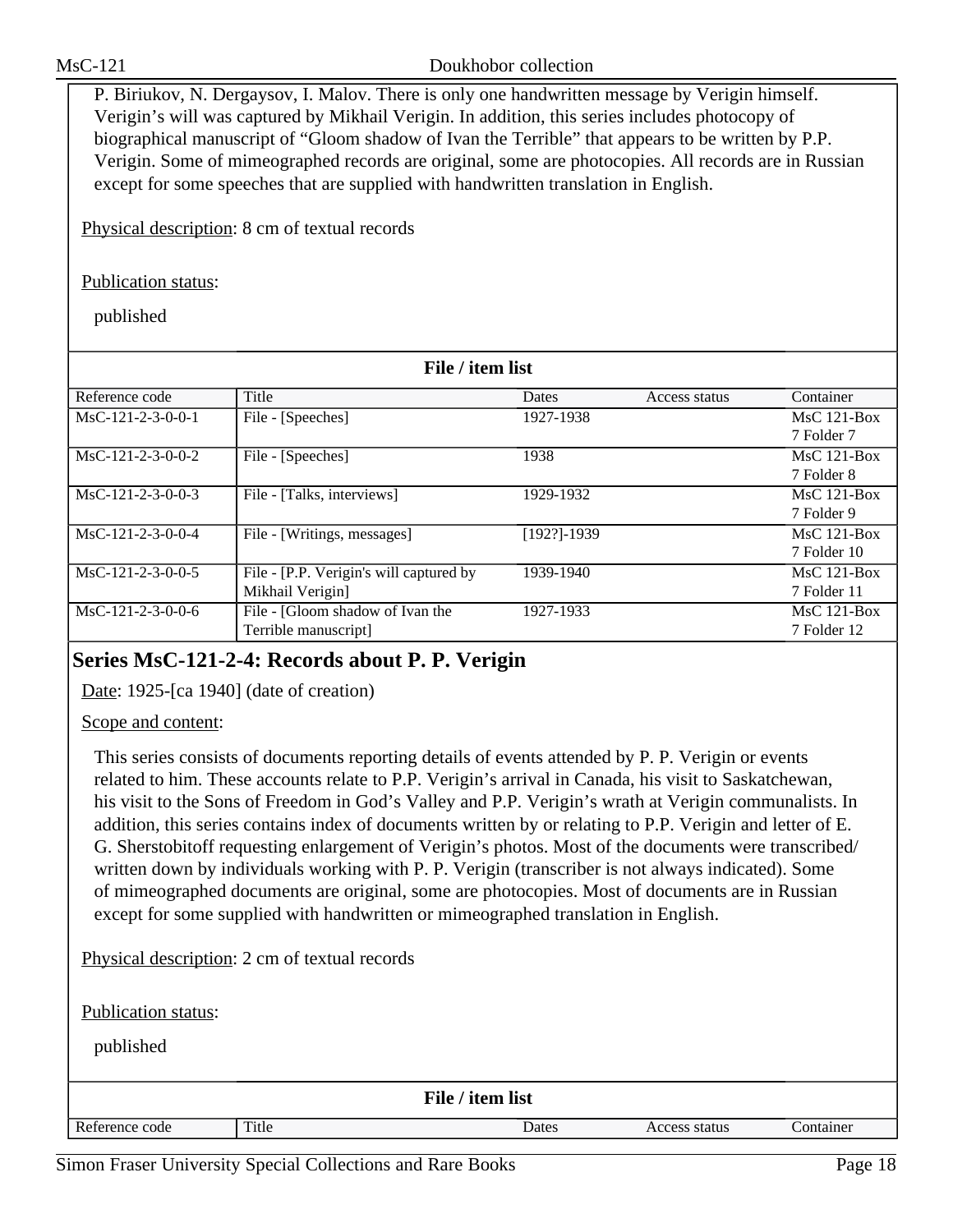P. Biriukov, N. Dergaysov, I. Malov. There is only one handwritten message by Verigin himself. Verigin's will was captured by Mikhail Verigin. In addition, this series includes photocopy of biographical manuscript of "Gloom shadow of Ivan the Terrible" that appears to be written by P.P. Verigin. Some of mimeographed records are original, some are photocopies. All records are in Russian except for some speeches that are supplied with handwritten translation in English.

Physical description: 8 cm of textual records

Publication status:

published

| File / item list    |                                         |                 |               |               |  |
|---------------------|-----------------------------------------|-----------------|---------------|---------------|--|
| Reference code      | Title                                   | Dates           | Access status | Container     |  |
| $MsC-121-2-3-0-0-1$ | File - [Speeches]                       | 1927-1938       |               | $MsC$ 121-Box |  |
|                     |                                         |                 |               | 7 Folder 7    |  |
| $MsC-121-2-3-0-0-2$ | File - [Speeches]                       | 1938            |               | $MsC$ 121-Box |  |
|                     |                                         |                 |               | 7 Folder 8    |  |
| $MsC-121-2-3-0-0-3$ | File - [Talks, interviews]              | 1929-1932       |               | $MsC$ 121-Box |  |
|                     |                                         |                 |               | 7 Folder 9    |  |
| $MsC-121-2-3-0-0-4$ | File - [Writings, messages]             | $[192?] - 1939$ |               | $MsC$ 121-Box |  |
|                     |                                         |                 |               | 7 Folder 10   |  |
| $MsC-121-2-3-0-0-5$ | File - [P.P. Verigin's will captured by | 1939-1940       |               | $MsC$ 121-Box |  |
|                     | Mikhail Verigin]                        |                 |               | 7 Folder 11   |  |
| MsC-121-2-3-0-0-6   | File - [Gloom shadow of Ivan the        | 1927-1933       |               | $MsC$ 121-Box |  |
|                     | Terrible manuscript]                    |                 |               | 7 Folder 12   |  |

# **Series MsC-121-2-4: Records about P. P. Verigin**

Date: 1925-[ca 1940] (date of creation)

Scope and content:

This series consists of documents reporting details of events attended by P. P. Verigin or events related to him. These accounts relate to P.P. Verigin's arrival in Canada, his visit to Saskatchewan, his visit to the Sons of Freedom in God's Valley and P.P. Verigin's wrath at Verigin communalists. In addition, this series contains index of documents written by or relating to P.P. Verigin and letter of E. G. Sherstobitoff requesting enlargement of Verigin's photos. Most of the documents were transcribed/ written down by individuals working with P. P. Verigin (transcriber is not always indicated). Some of mimeographed documents are original, some are photocopies. Most of documents are in Russian except for some supplied with handwritten or mimeographed translation in English.

Physical description: 2 cm of textual records

Publication status:

| published      |       |                  |               |           |
|----------------|-------|------------------|---------------|-----------|
|                |       | File / item list |               |           |
| Reference code | Title | Dates            | Access status | Container |
|                |       |                  |               |           |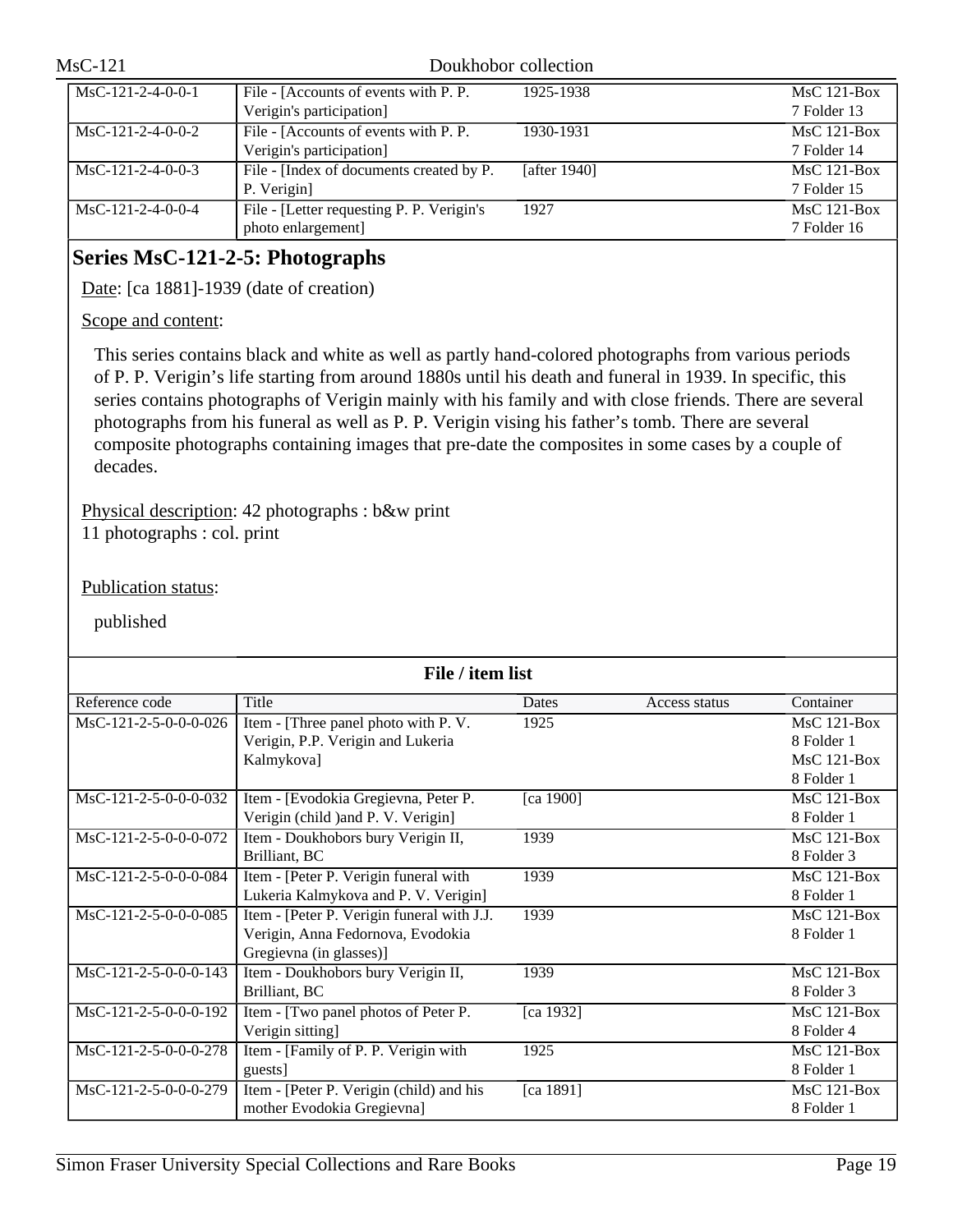| $MsC-121$                                                                  |                                                                                                                                                                                                                                                                                                                                                                                                                                                                                                                                        | Doukhobor collection |               |
|----------------------------------------------------------------------------|----------------------------------------------------------------------------------------------------------------------------------------------------------------------------------------------------------------------------------------------------------------------------------------------------------------------------------------------------------------------------------------------------------------------------------------------------------------------------------------------------------------------------------------|----------------------|---------------|
| MsC-121-2-4-0-0-1                                                          | File - [Accounts of events with P. P.                                                                                                                                                                                                                                                                                                                                                                                                                                                                                                  | 1925-1938            | MsC 121-Box   |
|                                                                            | Verigin's participation]                                                                                                                                                                                                                                                                                                                                                                                                                                                                                                               |                      | 7 Folder 13   |
| $MsC-121-2-4-0-0-2$                                                        | File - [Accounts of events with P. P.                                                                                                                                                                                                                                                                                                                                                                                                                                                                                                  | 1930-1931            | $MsC$ 121-Box |
|                                                                            | Verigin's participation]                                                                                                                                                                                                                                                                                                                                                                                                                                                                                                               |                      | 7 Folder 14   |
| $MsC-121-2-4-0-0-3$                                                        | File - [Index of documents created by P.                                                                                                                                                                                                                                                                                                                                                                                                                                                                                               | [after 1940]         | MsC 121-Box   |
|                                                                            | P. Verigin]                                                                                                                                                                                                                                                                                                                                                                                                                                                                                                                            |                      | 7 Folder 15   |
| $MsC-121-2-4-0-0-4$                                                        | File - [Letter requesting P. P. Verigin's                                                                                                                                                                                                                                                                                                                                                                                                                                                                                              | 1927                 | MsC 121-Box   |
|                                                                            | photo enlargement]                                                                                                                                                                                                                                                                                                                                                                                                                                                                                                                     |                      | 7 Folder 16   |
| Series MsC-121-2-5: Photographs<br>Date: [ca 1881]-1939 (date of creation) |                                                                                                                                                                                                                                                                                                                                                                                                                                                                                                                                        |                      |               |
| Scope and content:                                                         |                                                                                                                                                                                                                                                                                                                                                                                                                                                                                                                                        |                      |               |
|                                                                            | This series contains black and white as well as partly hand-colored photographs from various periods<br>of P. P. Verigin's life starting from around 1880s until his death and funeral in 1939. In specific, this<br>series contains photographs of Verigin mainly with his family and with close friends. There are several<br>photographs from his funeral as well as P. P. Verigin vising his father's tomb. There are several<br>composite photographs containing images that pre-date the composites in some cases by a couple of |                      |               |

Physical description: 42 photographs : b&w print

11 photographs : col. print

Publication status:

published

decades.

| File / item list        |                                            |           |               |               |  |
|-------------------------|--------------------------------------------|-----------|---------------|---------------|--|
| Reference code          | Title                                      | Dates     | Access status | Container     |  |
| $MsC-121-2-5-0-0-0-026$ | Item - [Three panel photo with P.V.        | 1925      |               | $MsC$ 121-Box |  |
|                         | Verigin, P.P. Verigin and Lukeria          |           |               | 8 Folder 1    |  |
|                         | Kalmykova]                                 |           |               | MsC 121-Box   |  |
|                         |                                            |           |               | 8 Folder 1    |  |
| MsC-121-2-5-0-0-0-032   | Item - [Evodokia Gregievna, Peter P.       | [ca 1900] |               | $MsC$ 121-Box |  |
|                         | Verigin (child ) and P. V. Verigin]        |           |               | 8 Folder 1    |  |
| MsC-121-2-5-0-0-0-072   | Item - Doukhobors bury Verigin II,         | 1939      |               | $MsC$ 121-Box |  |
|                         | Brilliant, BC                              |           |               | 8 Folder 3    |  |
| MsC-121-2-5-0-0-0-084   | Item - [Peter P. Verigin funeral with      | 1939      |               | $MsC$ 121-Box |  |
|                         | Lukeria Kalmykova and P. V. Verigin]       |           |               | 8 Folder 1    |  |
| MsC-121-2-5-0-0-0-085   | Item - [Peter P. Verigin funeral with J.J. | 1939      |               | $MsC$ 121-Box |  |
|                         | Verigin, Anna Fedornova, Evodokia          |           |               | 8 Folder 1    |  |
|                         | Gregievna (in glasses)]                    |           |               |               |  |
| MsC-121-2-5-0-0-0-143   | Item - Doukhobors bury Verigin II,         | 1939      |               | $MsC$ 121-Box |  |
|                         | Brilliant, BC                              |           |               | 8 Folder 3    |  |
| MsC-121-2-5-0-0-0-192   | Item - [Two panel photos of Peter P.       | [ca 1932] |               | $MsC$ 121-Box |  |
|                         | Verigin sitting]                           |           |               | 8 Folder 4    |  |
| MsC-121-2-5-0-0-0-278   | Item - [Family of P. P. Verigin with       | 1925      |               | $MsC$ 121-Box |  |
|                         | guests]                                    |           |               | 8 Folder 1    |  |
| MsC-121-2-5-0-0-0-279   | Item - [Peter P. Verigin (child) and his   | [ca 1891] |               | $MsC$ 121-Box |  |
|                         | mother Evodokia Gregievna]                 |           |               | 8 Folder 1    |  |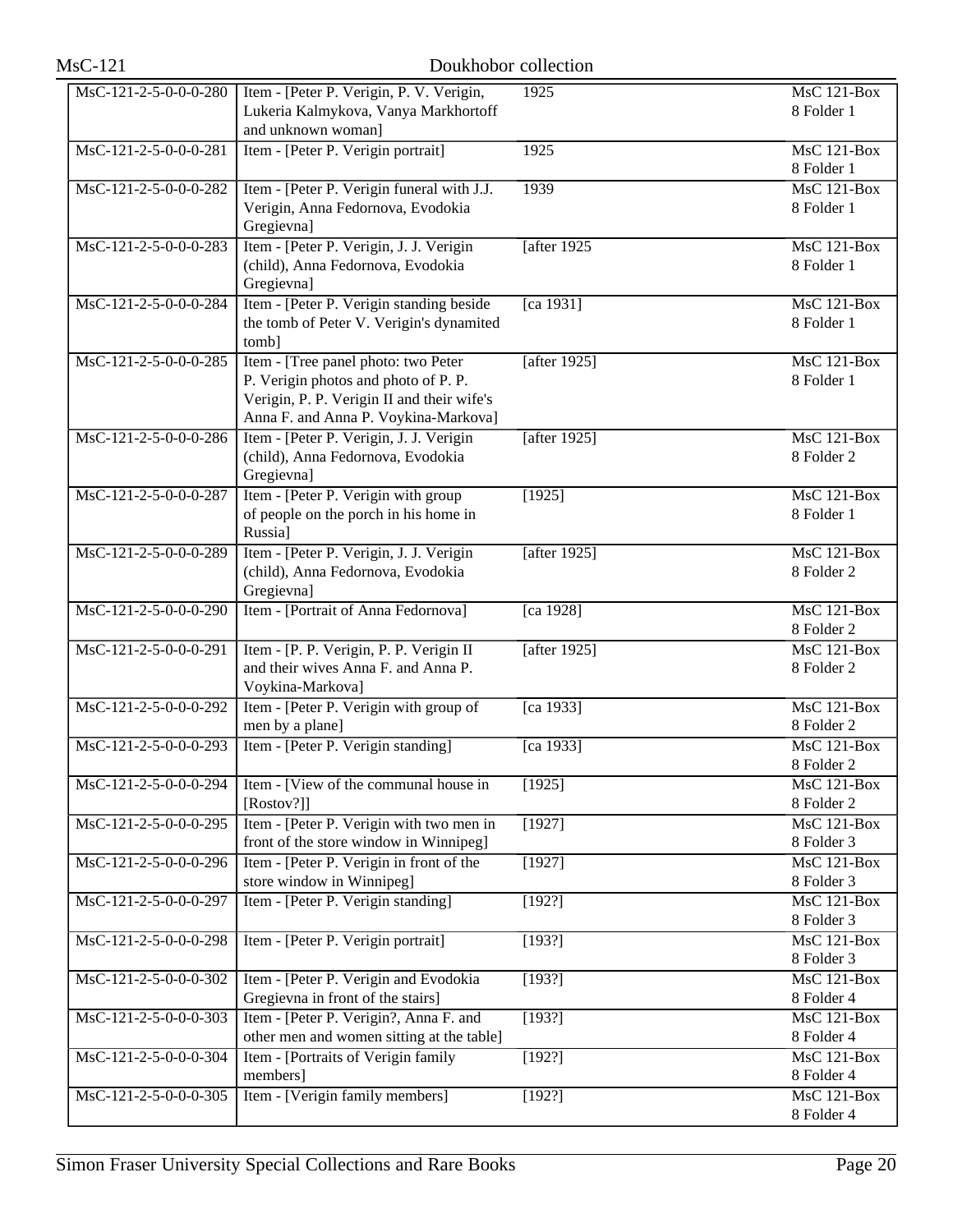| <b>MsC-121</b>                          | Doukhobor collection                                                                                                                                              |                     |                                               |
|-----------------------------------------|-------------------------------------------------------------------------------------------------------------------------------------------------------------------|---------------------|-----------------------------------------------|
| $\overline{\text{MsC-121-2-5-0-0-280}}$ | Item - [Peter P. Verigin, P. V. Verigin,<br>Lukeria Kalmykova, Vanya Markhortoff<br>and unknown woman]                                                            | 1925                | <b>MsC 121-Box</b><br>8 Folder 1              |
| MsC-121-2-5-0-0-0-281                   | Item - [Peter P. Verigin portrait]                                                                                                                                | 1925                | MsC 121-Box<br>8 Folder 1                     |
| MsC-121-2-5-0-0-0-282                   | Item - [Peter P. Verigin funeral with J.J.<br>Verigin, Anna Fedornova, Evodokia<br>Gregievna]                                                                     | 1939                | <b>MsC 121-Box</b><br>8 Folder 1              |
| MsC-121-2-5-0-0-0-283                   | Item - [Peter P. Verigin, J. J. Verigin<br>(child), Anna Fedornova, Evodokia<br>Gregievna]                                                                        | [after $1925$       | <b>MsC 121-Box</b><br>8 Folder 1              |
| MsC-121-2-5-0-0-0-284                   | Item - [Peter P. Verigin standing beside<br>the tomb of Peter V. Verigin's dynamited<br>tomb]                                                                     | $\sqrt{[ca\ 1931]}$ | $MsC$ 121-Box<br>8 Folder 1                   |
| MsC-121-2-5-0-0-0-285                   | Item - [Tree panel photo: two Peter<br>P. Verigin photos and photo of P. P.<br>Verigin, P. P. Verigin II and their wife's<br>Anna F. and Anna P. Voykina-Markova] | [after 1925]        | $MsC$ 121-Box<br>8 Folder 1                   |
| MsC-121-2-5-0-0-0-286                   | Item - [Peter P. Verigin, J. J. Verigin]<br>(child), Anna Fedornova, Evodokia<br>Gregievna]                                                                       | [after 1925]        | $\overline{\text{MsC}}$ 121-Box<br>8 Folder 2 |
| MsC-121-2-5-0-0-0-287                   | Item - [Peter P. Verigin with group]<br>of people on the porch in his home in<br>Russia]                                                                          | [1925]              | MsC 121-Box<br>8 Folder 1                     |
| MsC-121-2-5-0-0-0-289                   | Item - [Peter P. Verigin, J. J. Verigin<br>(child), Anna Fedornova, Evodokia<br>Gregievna]                                                                        | [after 1925]        | <b>MsC 121-Box</b><br>8 Folder 2              |
| MsC-121-2-5-0-0-0-290                   | Item - [Portrait of Anna Fedornova]                                                                                                                               | [ca 1928]           | <b>MsC 121-Box</b><br>8 Folder 2              |
| MsC-121-2-5-0-0-0-291                   | Item - [P. P. Verigin, P. P. Verigin II<br>and their wives Anna F. and Anna P.<br>Voykina-Markova]                                                                | [after $1925$ ]     | $MsC$ 121-Box<br>8 Folder 2                   |
| MsC-121-2-5-0-0-0-292                   | Item - [Peter P. Verigin with group of<br>men by a plane]                                                                                                         | [ca 1933]           | <b>MsC 121-Box</b><br>8 Folder 2              |
|                                         | MsC-121-2-5-0-0-0-293   Item - [Peter P. Verigin standing]                                                                                                        | $\sqrt{[ca\ 1933]}$ | <b>MsC 121-Box</b><br>8 Folder 2              |
| MsC-121-2-5-0-0-0-294                   | Item - [View of the communal house in<br>[Rostov?]]                                                                                                               | [1925]              | MsC 121-Box<br>8 Folder 2                     |
| MsC-121-2-5-0-0-0-295                   | Item - [Peter P. Verigin with two men in<br>front of the store window in Winnipeg]                                                                                | [1927]              | <b>MsC 121-Box</b><br>8 Folder 3              |
| MsC-121-2-5-0-0-0-296                   | Item - [Peter P. Verigin in front of the<br>store window in Winnipeg]                                                                                             | [1927]              | <b>MsC 121-Box</b><br>8 Folder 3              |
| MsC-121-2-5-0-0-0-297                   | Item - [Peter P. Verigin standing]                                                                                                                                | [192?]              | $MsC$ 121-Box<br>8 Folder 3                   |
| MsC-121-2-5-0-0-0-298                   | Item - [Peter P. Verigin portrait]                                                                                                                                | [193?]              | <b>MsC 121-Box</b><br>8 Folder 3              |
| MsC-121-2-5-0-0-0-302                   | Item - [Peter P. Verigin and Evodokia<br>Gregievna in front of the stairs]                                                                                        | [193?]              | <b>MsC 121-Box</b><br>8 Folder 4              |
| $MsC-121-2-5-0-0-0-303$                 | Item - [Peter P. Verigin?, Anna F. and<br>other men and women sitting at the table]                                                                               | [193?]              | MsC 121-Box<br>8 Folder 4                     |
| MsC-121-2-5-0-0-0-304                   | Item - [Portraits of Verigin family<br>members]                                                                                                                   | [192?]              | <b>MsC 121-Box</b><br>8 Folder 4              |
| MsC-121-2-5-0-0-0-305                   | Item - [Verigin family members]                                                                                                                                   | [192?]              | <b>MsC 121-Box</b><br>8 Folder 4              |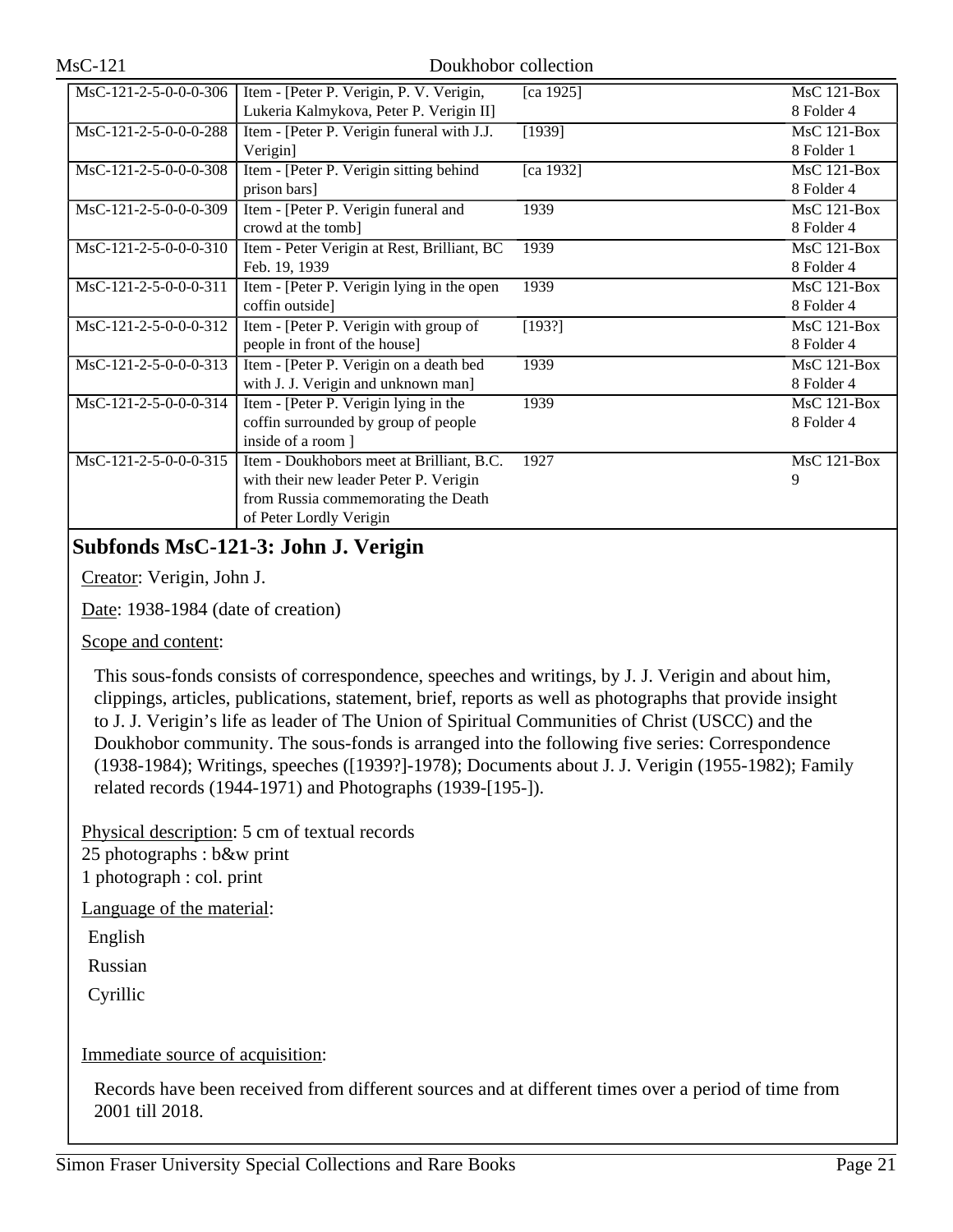| MsC-121-2-5-0-0-0-306   | Item - [Peter P. Verigin, P. V. Verigin,    | [ca 1925] | $MsC$ 121-Box |
|-------------------------|---------------------------------------------|-----------|---------------|
|                         | Lukeria Kalmykova, Peter P. Verigin II]     |           | 8 Folder 4    |
| MsC-121-2-5-0-0-0-288   | Item - [Peter P. Verigin funeral with J.J.  | [1939]    | $MsC$ 121-Box |
|                         | Verigin]                                    |           | 8 Folder 1    |
| MsC-121-2-5-0-0-0-308   | Item - [Peter P. Verigin sitting behind     | [ca 1932] | MsC 121-Box   |
|                         | prison bars]                                |           | 8 Folder 4    |
| MsC-121-2-5-0-0-0-309   | Item - [Peter P. Verigin funeral and        | 1939      | MsC 121-Box   |
|                         | crowd at the tomb]                          |           | 8 Folder 4    |
| MsC-121-2-5-0-0-0-310   | Item - Peter Verigin at Rest, Brilliant, BC | 1939      | $MsC$ 121-Box |
|                         | Feb. 19, 1939                               |           | 8 Folder 4    |
| MsC-121-2-5-0-0-0-311   | Item - [Peter P. Verigin lying in the open  | 1939      | MsC 121-Box   |
|                         | coffin outside]                             |           | 8 Folder 4    |
| MsC-121-2-5-0-0-0-312   | Item - [Peter P. Verigin with group of      | [193?]    | $MsC$ 121-Box |
|                         | people in front of the house]               |           | 8 Folder 4    |
| $MsC-121-2-5-0-0-0-313$ | Item - [Peter P. Verigin on a death bed     | 1939      | MsC 121-Box   |
|                         | with J. J. Verigin and unknown man]         |           | 8 Folder 4    |
| MsC-121-2-5-0-0-0-314   | Item - [Peter P. Verigin lying in the       | 1939      | $MsC$ 121-Box |
|                         | coffin surrounded by group of people        |           | 8 Folder 4    |
|                         | inside of a room ]                          |           |               |
| MsC-121-2-5-0-0-0-315   | Item - Doukhobors meet at Brilliant, B.C.   | 1927      | MsC 121-Box   |
|                         | with their new leader Peter P. Verigin      |           | 9             |
|                         | from Russia commemorating the Death         |           |               |
|                         | of Peter Lordly Verigin                     |           |               |

# **Subfonds MsC-121-3: John J. Verigin**

Creator: Verigin, John J.

Date: 1938-1984 (date of creation)

Scope and content:

This sous-fonds consists of correspondence, speeches and writings, by J. J. Verigin and about him, clippings, articles, publications, statement, brief, reports as well as photographs that provide insight to J. J. Verigin's life as leader of The Union of Spiritual Communities of Christ (USCC) and the Doukhobor community. The sous-fonds is arranged into the following five series: Correspondence (1938-1984); Writings, speeches ([1939?]-1978); Documents about J. J. Verigin (1955-1982); Family related records (1944-1971) and Photographs (1939-[195-]).

Physical description: 5 cm of textual records 25 photographs : b&w print 1 photograph : col. print

Language of the material:

English

Russian

Cyrillic

#### Immediate source of acquisition:

Records have been received from different sources and at different times over a period of time from 2001 till 2018.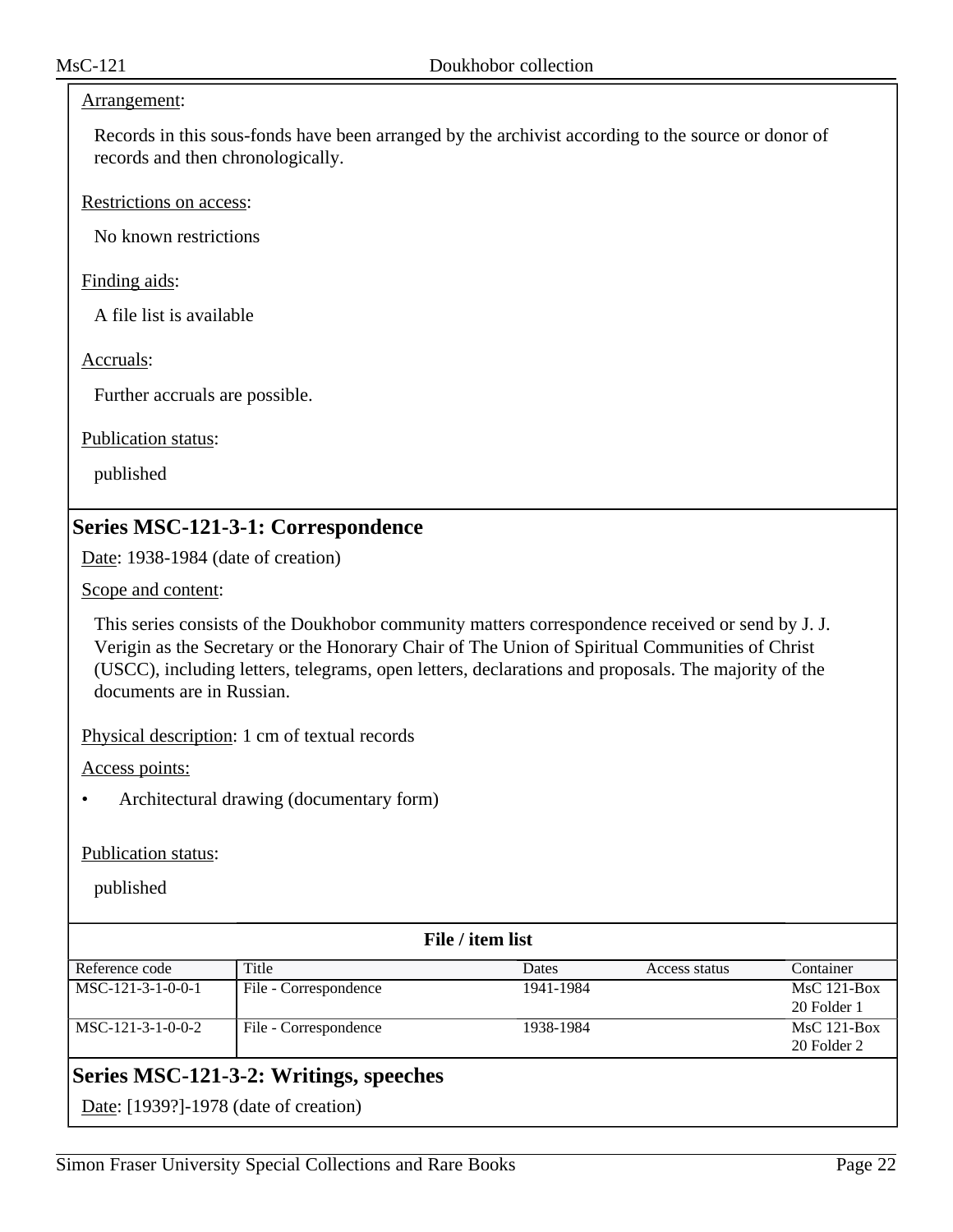#### Arrangement:

Records in this sous-fonds have been arranged by the archivist according to the source or donor of records and then chronologically.

Restrictions on access:

No known restrictions

Finding aids:

A file list is available

Accruals:

Further accruals are possible.

Publication status:

published

# **Series MSC-121-3-1: Correspondence**

Date: 1938-1984 (date of creation)

Scope and content:

This series consists of the Doukhobor community matters correspondence received or send by J. J. Verigin as the Secretary or the Honorary Chair of The Union of Spiritual Communities of Christ (USCC), including letters, telegrams, open letters, declarations and proposals. The majority of the documents are in Russian.

Physical description: 1 cm of textual records

Access points:

• Architectural drawing (documentary form)

#### Publication status:

| File / item list                       |                       |           |               |               |
|----------------------------------------|-----------------------|-----------|---------------|---------------|
| Reference code                         | Title                 | Dates     | Access status | Container     |
| MSC-121-3-1-0-0-1                      | File - Correspondence | 1941-1984 |               | $MsC$ 121-Box |
|                                        |                       |           |               | 20 Folder 1   |
| MSC-121-3-1-0-0-2                      | File - Correspondence | 1938-1984 |               | $MsC$ 121-Box |
|                                        |                       |           |               | 20 Folder 2   |
| Series MSC-121-3-2: Writings, speeches |                       |           |               |               |
| Date: [1939?]-1978 (date of creation)  |                       |           |               |               |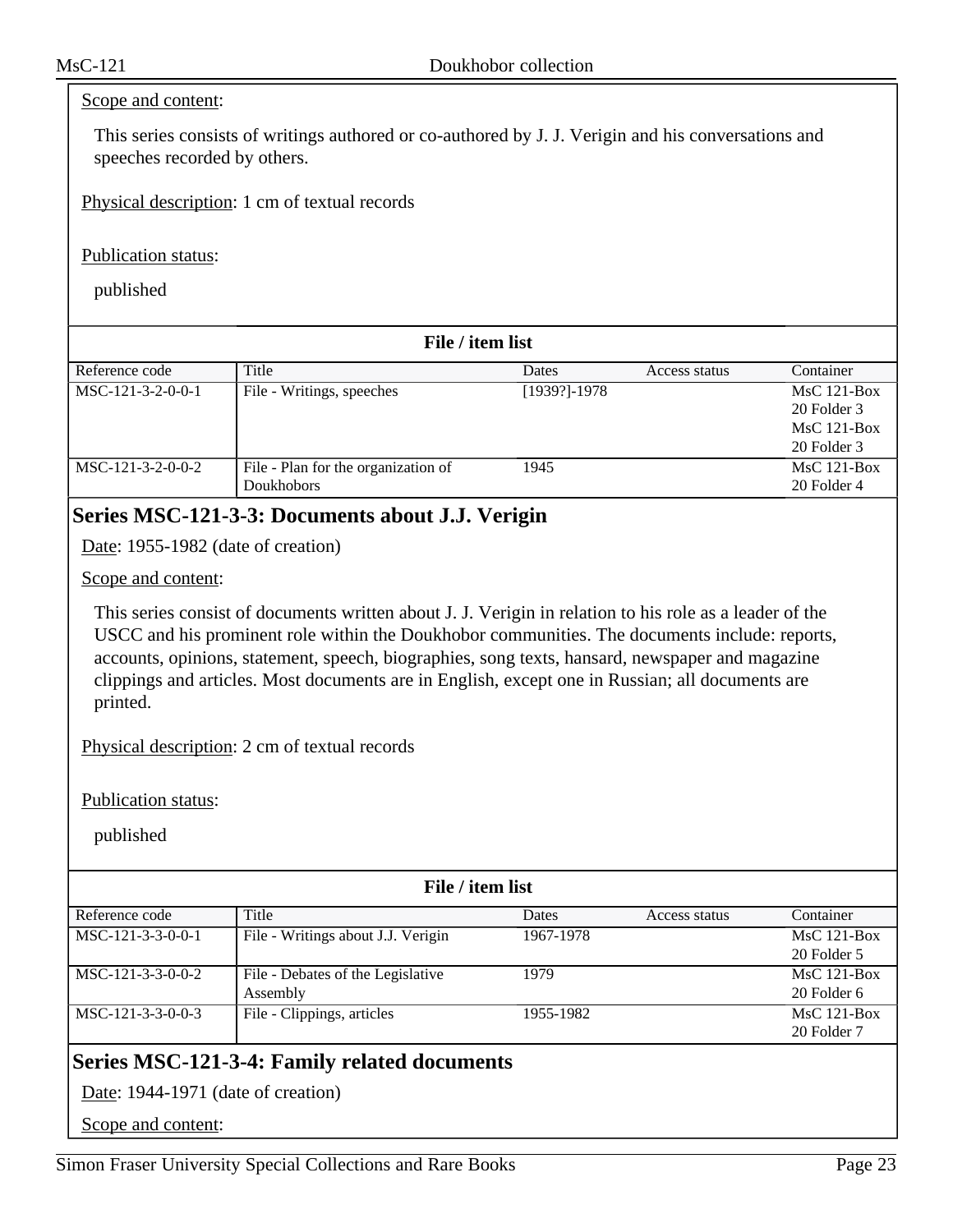#### Scope and content:

This series consists of writings authored or co-authored by J. J. Verigin and his conversations and speeches recorded by others.

Physical description: 1 cm of textual records

#### Publication status:

published

| File / item list    |                                     |                  |               |               |  |
|---------------------|-------------------------------------|------------------|---------------|---------------|--|
| Reference code      | Title                               | Dates            | Access status | Container     |  |
| MSC-121-3-2-0-0-1   | File - Writings, speeches           | $[1939?] - 1978$ |               | $MsC$ 121-Box |  |
|                     |                                     |                  |               | 20 Folder 3   |  |
|                     |                                     |                  |               | $MsC$ 121-Box |  |
|                     |                                     |                  |               | 20 Folder 3   |  |
| $MSC-121-3-2-0-0-2$ | File - Plan for the organization of | 1945             |               | $MsC$ 121-Box |  |
|                     | Doukhobors                          |                  |               | 20 Folder 4   |  |

## **Series MSC-121-3-3: Documents about J.J. Verigin**

Date: 1955-1982 (date of creation)

#### Scope and content:

This series consist of documents written about J. J. Verigin in relation to his role as a leader of the USCC and his prominent role within the Doukhobor communities. The documents include: reports, accounts, opinions, statement, speech, biographies, song texts, hansard, newspaper and magazine clippings and articles. Most documents are in English, except one in Russian; all documents are printed.

Physical description: 2 cm of textual records

Publication status:

published

| File / item list    |                                    |              |               |               |  |
|---------------------|------------------------------------|--------------|---------------|---------------|--|
| Reference code      | Title                              | <b>Dates</b> | Access status | Container     |  |
| $MSC-121-3-3-0-0-1$ | File - Writings about J.J. Verigin | 1967-1978    |               | $MsC$ 121-Box |  |
|                     |                                    |              |               | 20 Folder 5   |  |
| $MSC-121-3-3-0-0-2$ | File - Debates of the Legislative  | 1979         |               | $MsC$ 121-Box |  |
|                     | Assembly                           |              |               | 20 Folder 6   |  |
| $MSC-121-3-3-0-0-3$ | File - Clippings, articles         | 1955-1982    |               | $MsC$ 121-Box |  |
|                     |                                    |              |               | 20 Folder 7   |  |

# **Series MSC-121-3-4: Family related documents**

Date: 1944-1971 (date of creation)

Scope and content: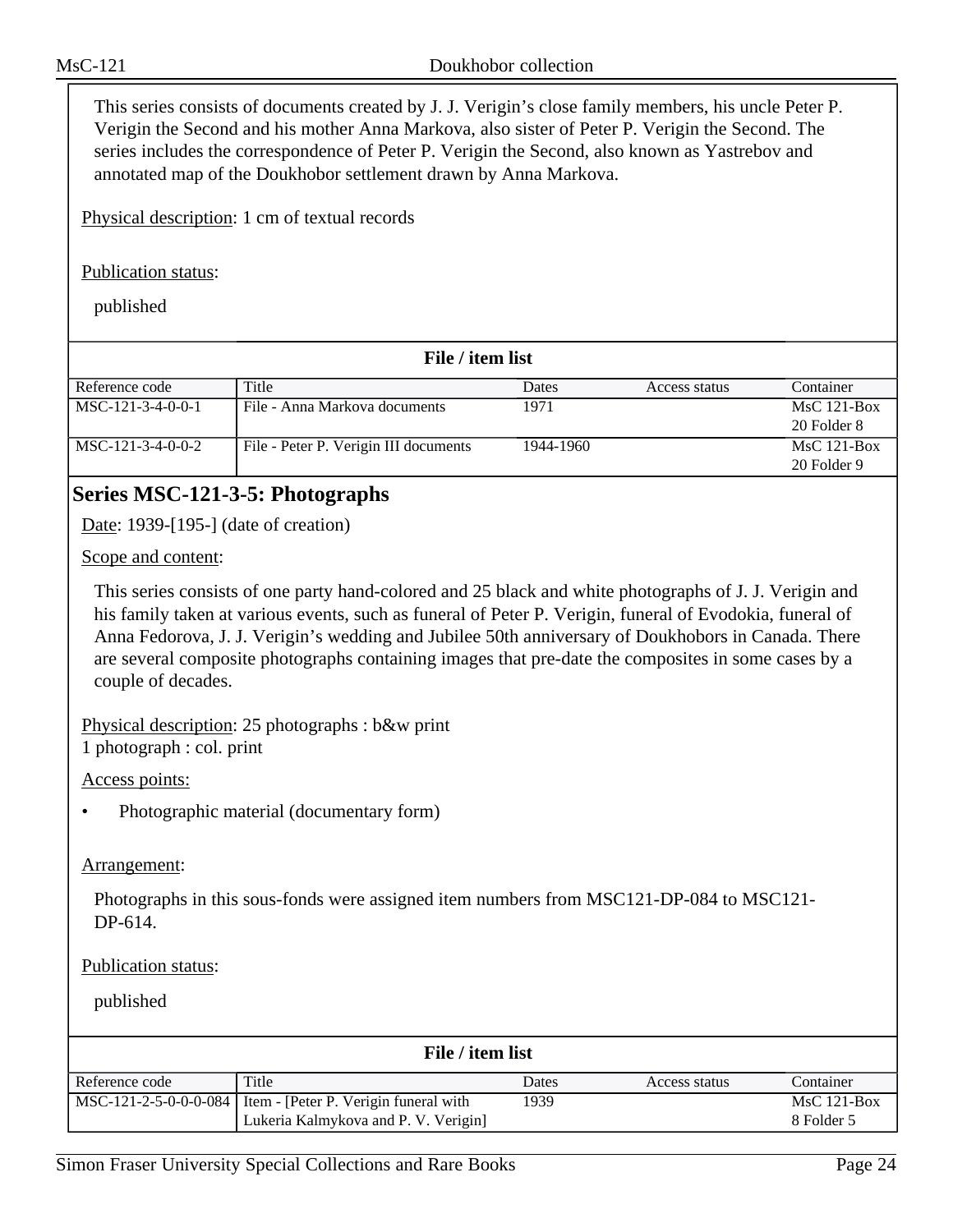This series consists of documents created by J. J. Verigin's close family members, his uncle Peter P. Verigin the Second and his mother Anna Markova, also sister of Peter P. Verigin the Second. The series includes the correspondence of Peter P. Verigin the Second, also known as Yastrebov and annotated map of the Doukhobor settlement drawn by Anna Markova.

Physical description: 1 cm of textual records

#### Publication status:

published

| File / item list  |                                       |           |               |               |  |
|-------------------|---------------------------------------|-----------|---------------|---------------|--|
| Reference code    | Title                                 | Dates     | Access status | Container     |  |
| MSC-121-3-4-0-0-1 | File - Anna Markova documents         | 1971      |               | $MsC$ 121-Box |  |
|                   |                                       |           |               | 20 Folder 8   |  |
| MSC-121-3-4-0-0-2 | File - Peter P. Verigin III documents | 1944-1960 |               | $MsC$ 121-Box |  |
|                   |                                       |           |               | 20 Folder 9   |  |

# **Series MSC-121-3-5: Photographs**

Date: 1939-[195-] (date of creation)

Scope and content:

This series consists of one party hand-colored and 25 black and white photographs of J. J. Verigin and his family taken at various events, such as funeral of Peter P. Verigin, funeral of Evodokia, funeral of Anna Fedorova, J. J. Verigin's wedding and Jubilee 50th anniversary of Doukhobors in Canada. There are several composite photographs containing images that pre-date the composites in some cases by a couple of decades.

Physical description: 25 photographs : b&w print 1 photograph : col. print

Access points:

• Photographic material (documentary form)

#### Arrangement:

Photographs in this sous-fonds were assigned item numbers from MSC121-DP-084 to MSC121- DP-614.

#### Publication status:

| File / item list |                                                                                                       |       |               |                             |  |
|------------------|-------------------------------------------------------------------------------------------------------|-------|---------------|-----------------------------|--|
| Reference code   | Title                                                                                                 | Dates | Access status | Container                   |  |
|                  | MSC-121-2-5-0-0-0-084   Item - [Peter P. Verigin funeral with<br>Lukeria Kalmykova and P. V. Verigin] | 1939  |               | $MsC$ 121-Box<br>8 Folder 5 |  |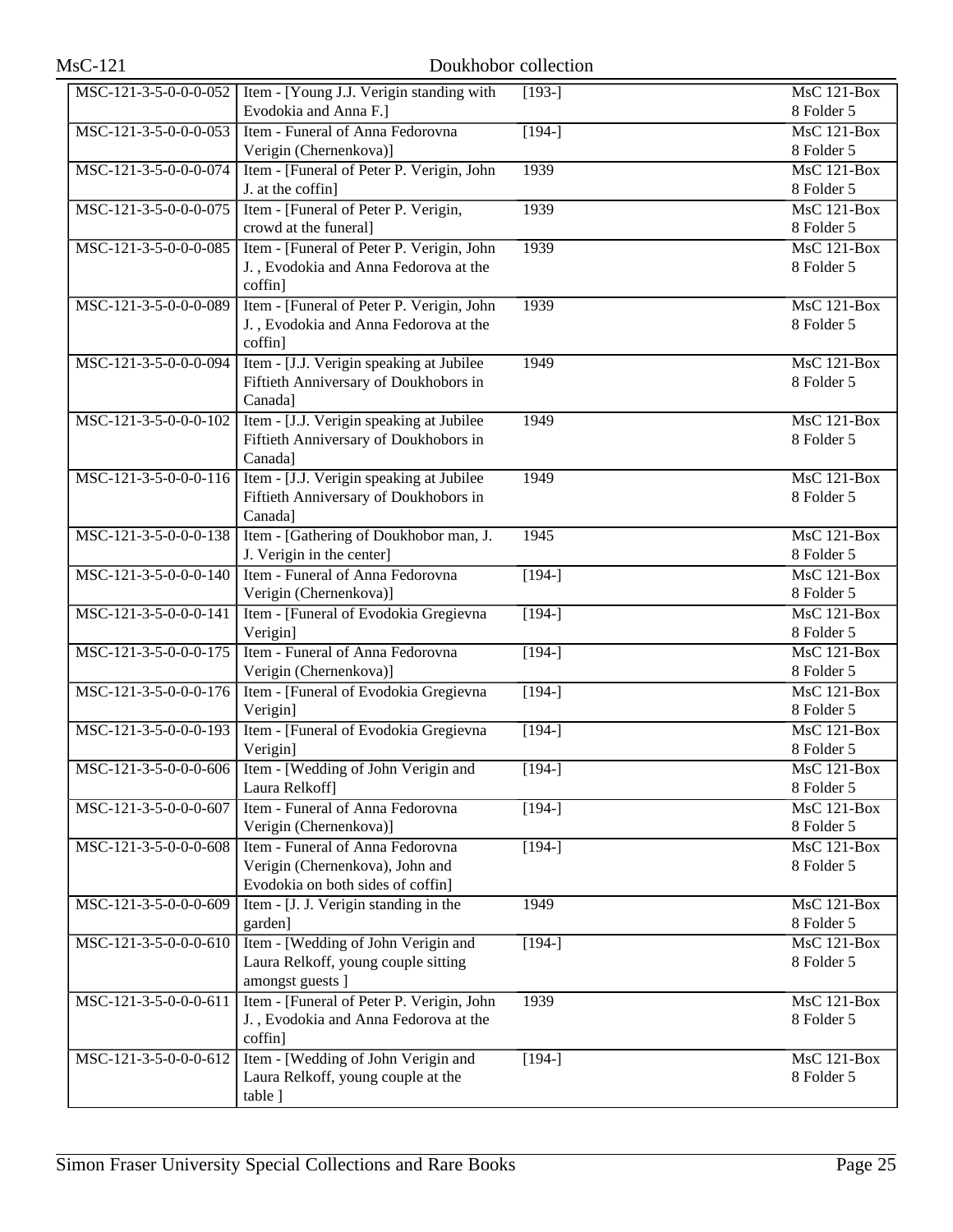| <b>MsC-121</b>        | Doukhobor collection                                                                                     |          |                                  |  |  |
|-----------------------|----------------------------------------------------------------------------------------------------------|----------|----------------------------------|--|--|
| MSC-121-3-5-0-0-0-052 | Item - [Young J.J. Verigin standing with<br>Evodokia and Anna F.]                                        | $[193-]$ | MsC 121-Box<br>8 Folder 5        |  |  |
| MSC-121-3-5-0-0-0-053 | Item - Funeral of Anna Fedorovna                                                                         | $[194-]$ | <b>MsC 121-Box</b>               |  |  |
| MSC-121-3-5-0-0-0-074 | Verigin (Chernenkova)]<br>Item - [Funeral of Peter P. Verigin, John                                      | 1939     | 8 Folder 5<br>MsC 121-Box        |  |  |
|                       | J. at the coffin]                                                                                        |          | 8 Folder 5                       |  |  |
| MSC-121-3-5-0-0-0-075 | Item - [Funeral of Peter P. Verigin,<br>crowd at the funeral]                                            | 1939     | <b>MsC 121-Box</b><br>8 Folder 5 |  |  |
| MSC-121-3-5-0-0-0-085 | Item - [Funeral of Peter P. Verigin, John<br>J., Evodokia and Anna Fedorova at the<br>coffin]            | 1939     | MsC 121-Box<br>8 Folder 5        |  |  |
| MSC-121-3-5-0-0-0-089 | Item - [Funeral of Peter P. Verigin, John<br>J., Evodokia and Anna Fedorova at the<br>coffin]            | 1939     | <b>MsC 121-Box</b><br>8 Folder 5 |  |  |
| MSC-121-3-5-0-0-0-094 | Item - [J.J. Verigin speaking at Jubilee<br>Fiftieth Anniversary of Doukhobors in<br>Canada]             | 1949     | MsC 121-Box<br>8 Folder 5        |  |  |
| MSC-121-3-5-0-0-0-102 | Item - [J.J. Verigin speaking at Jubilee<br>Fiftieth Anniversary of Doukhobors in<br>Canada]             | 1949     | MsC 121-Box<br>8 Folder 5        |  |  |
| MSC-121-3-5-0-0-0-116 | Item - [J.J. Verigin speaking at Jubilee<br>Fiftieth Anniversary of Doukhobors in<br>Canada]             | 1949     | $MsC$ 121-Box<br>8 Folder 5      |  |  |
| MSC-121-3-5-0-0-0-138 | Item - [Gathering of Doukhobor man, J.<br>J. Verigin in the center]                                      | 1945     | <b>MsC 121-Box</b><br>8 Folder 5 |  |  |
| MSC-121-3-5-0-0-0-140 | Item - Funeral of Anna Fedorovna<br>Verigin (Chernenkova)]                                               | $[194-]$ | <b>MsC 121-Box</b><br>8 Folder 5 |  |  |
| MSC-121-3-5-0-0-0-141 | Item - [Funeral of Evodokia Gregievna<br>Verigin]                                                        | $[194-]$ | <b>MsC 121-Box</b><br>8 Folder 5 |  |  |
| MSC-121-3-5-0-0-0-175 | Item - Funeral of Anna Fedorovna<br>Verigin (Chernenkova)]                                               | $[194-]$ | <b>MsC 121-Box</b><br>8 Folder 5 |  |  |
| MSC-121-3-5-0-0-0-176 | Item - [Funeral of Evodokia Gregievna<br>Verigin]                                                        | $[194-]$ | MsC 121-Box<br>8 Folder 5        |  |  |
| MSC-121-3-5-0-0-0-193 | Item - [Funeral of Evodokia Gregievna<br>Verigin]                                                        | $[194-]$ | MsC 121-Box<br>8 Folder 5        |  |  |
| MSC-121-3-5-0-0-0-606 | Item - [Wedding of John Verigin and<br>Laura Relkoff]                                                    | $[194-]$ | MsC 121-Box<br>8 Folder 5        |  |  |
| MSC-121-3-5-0-0-0-607 | Item - Funeral of Anna Fedorovna<br>Verigin (Chernenkova)]                                               | $[194-]$ | MsC 121-Box<br>8 Folder 5        |  |  |
| MSC-121-3-5-0-0-0-608 | Item - Funeral of Anna Fedorovna<br>Verigin (Chernenkova), John and<br>Evodokia on both sides of coffin] | $[194-]$ | <b>MsC 121-Box</b><br>8 Folder 5 |  |  |
| MSC-121-3-5-0-0-0-609 | Item - [J. J. Verigin standing in the<br>garden]                                                         | 1949     | MsC 121-Box<br>8 Folder 5        |  |  |
| MSC-121-3-5-0-0-0-610 | Item - [Wedding of John Verigin and<br>Laura Relkoff, young couple sitting<br>amongst guests ]           | $[194-]$ | MsC 121-Box<br>8 Folder 5        |  |  |
| MSC-121-3-5-0-0-0-611 | Item - [Funeral of Peter P. Verigin, John<br>J., Evodokia and Anna Fedorova at the<br>coffin]            | 1939     | MsC 121-Box<br>8 Folder 5        |  |  |
| MSC-121-3-5-0-0-0-612 | Item - [Wedding of John Verigin and<br>Laura Relkoff, young couple at the<br>table ]                     | $[194-]$ | MsC 121-Box<br>8 Folder 5        |  |  |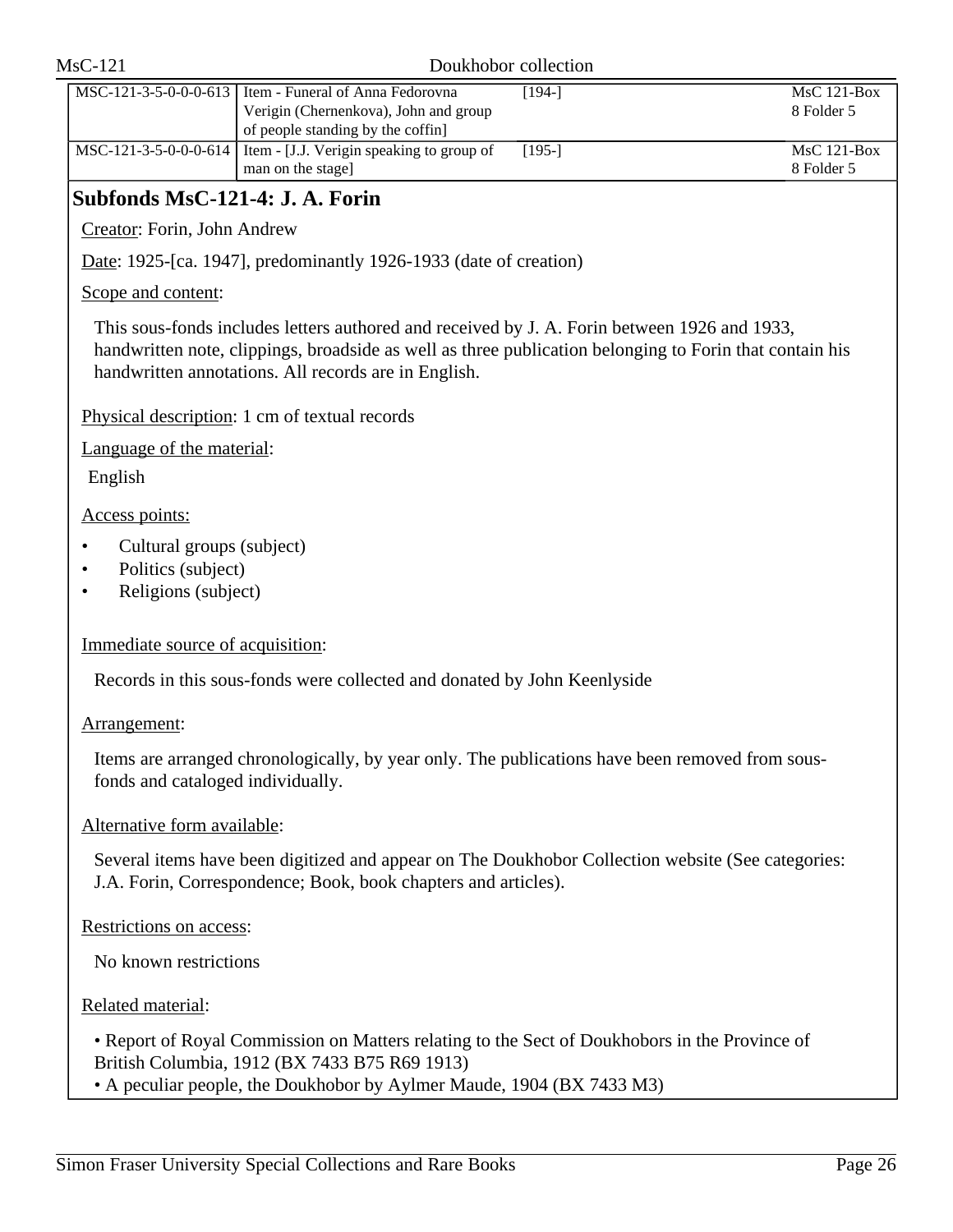| $MsC-121$                                                              |                                                                                                                                                                                                                                                                 | Doukhobor collection |                                  |
|------------------------------------------------------------------------|-----------------------------------------------------------------------------------------------------------------------------------------------------------------------------------------------------------------------------------------------------------------|----------------------|----------------------------------|
| MSC-121-3-5-0-0-0-613                                                  | Item - Funeral of Anna Fedorovna<br>Verigin (Chernenkova), John and group<br>of people standing by the coffin]                                                                                                                                                  | $[194-]$             | <b>MsC 121-Box</b><br>8 Folder 5 |
| MSC-121-3-5-0-0-0-614                                                  | Item - [J.J. Verigin speaking to group of<br>man on the stage]                                                                                                                                                                                                  | $[195-]$             | MsC 121-Box<br>8 Folder 5        |
| Subfonds MsC-121-4: J. A. Forin                                        |                                                                                                                                                                                                                                                                 |                      |                                  |
| Creator: Forin, John Andrew                                            |                                                                                                                                                                                                                                                                 |                      |                                  |
|                                                                        | Date: 1925-[ca. 1947], predominantly 1926-1933 (date of creation)                                                                                                                                                                                               |                      |                                  |
| Scope and content:                                                     |                                                                                                                                                                                                                                                                 |                      |                                  |
|                                                                        | This sous-fonds includes letters authored and received by J. A. Forin between 1926 and 1933,<br>handwritten note, clippings, broadside as well as three publication belonging to Forin that contain his<br>handwritten annotations. All records are in English. |                      |                                  |
|                                                                        | Physical description: 1 cm of textual records                                                                                                                                                                                                                   |                      |                                  |
| Language of the material:                                              |                                                                                                                                                                                                                                                                 |                      |                                  |
| English                                                                |                                                                                                                                                                                                                                                                 |                      |                                  |
| Access points:                                                         |                                                                                                                                                                                                                                                                 |                      |                                  |
| Cultural groups (subject)<br>Politics (subject)<br>Religions (subject) |                                                                                                                                                                                                                                                                 |                      |                                  |
| Immediate source of acquisition:                                       |                                                                                                                                                                                                                                                                 |                      |                                  |
|                                                                        | Records in this sous-fonds were collected and donated by John Keenlyside                                                                                                                                                                                        |                      |                                  |
| Arrangement:                                                           |                                                                                                                                                                                                                                                                 |                      |                                  |
| fonds and cataloged individually.                                      | Items are arranged chronologically, by year only. The publications have been removed from sous-                                                                                                                                                                 |                      |                                  |
| Alternative form available:                                            |                                                                                                                                                                                                                                                                 |                      |                                  |
|                                                                        | Several items have been digitized and appear on The Doukhobor Collection website (See categories:<br>J.A. Forin, Correspondence; Book, book chapters and articles).                                                                                             |                      |                                  |
| Restrictions on access:                                                |                                                                                                                                                                                                                                                                 |                      |                                  |
| No known restrictions                                                  |                                                                                                                                                                                                                                                                 |                      |                                  |
| Related material:                                                      |                                                                                                                                                                                                                                                                 |                      |                                  |
|                                                                        | • Report of Royal Commission on Matters relating to the Sect of Doukhobors in the Province of<br>British Columbia, 1912 (BX 7433 B75 R69 1913)                                                                                                                  |                      |                                  |
|                                                                        | • A peculiar people, the Doukhobor by Aylmer Maude, 1904 (BX 7433 M3)                                                                                                                                                                                           |                      |                                  |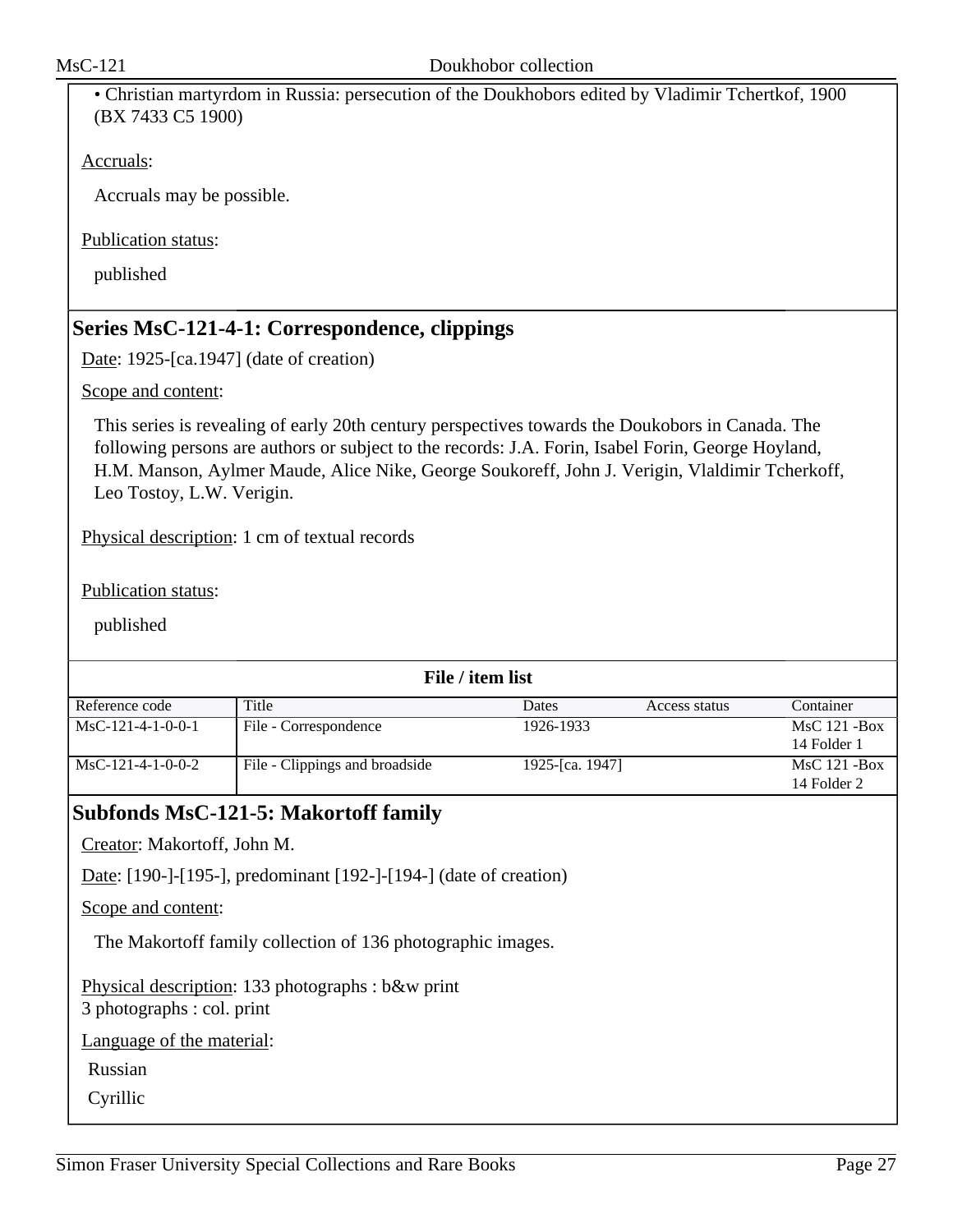• Christian martyrdom in Russia: persecution of the Doukhobors edited by Vladimir Tchertkof, 1900 (BX 7433 C5 1900)

Accruals:

Accruals may be possible.

Publication status:

published

## **Series MsC-121-4-1: Correspondence, clippings**

Date: 1925-[ca.1947] (date of creation)

Scope and content:

This series is revealing of early 20th century perspectives towards the Doukobors in Canada. The following persons are authors or subject to the records: J.A. Forin, Isabel Forin, George Hoyland, H.M. Manson, Aylmer Maude, Alice Nike, George Soukoreff, John J. Verigin, Vlaldimir Tcherkoff, Leo Tostoy, L.W. Verigin.

Physical description: 1 cm of textual records

Publication status:

published

| File / item list    |                                |                 |               |                 |  |
|---------------------|--------------------------------|-----------------|---------------|-----------------|--|
| Reference code      | Title                          | Dates           | Access status | Container       |  |
| $MSC-121-4-1-0-0-1$ | File - Correspondence          | 1926-1933       |               | $MsC$ 121 - Box |  |
|                     |                                |                 |               | 14 Folder 1     |  |
| MsC-121-4-1-0-0-2   | File - Clippings and broadside | 1925-[ca. 1947] |               | $MsC$ 121 - Box |  |
|                     |                                |                 |               | 14 Folder 2     |  |

### **Subfonds MsC-121-5: Makortoff family**

Creator: Makortoff, John M.

Date: [190-]-[195-], predominant [192-]-[194-] (date of creation)

Scope and content:

The Makortoff family collection of 136 photographic images.

Physical description: 133 photographs : b&w print

3 photographs : col. print

Language of the material:

Russian

Cyrillic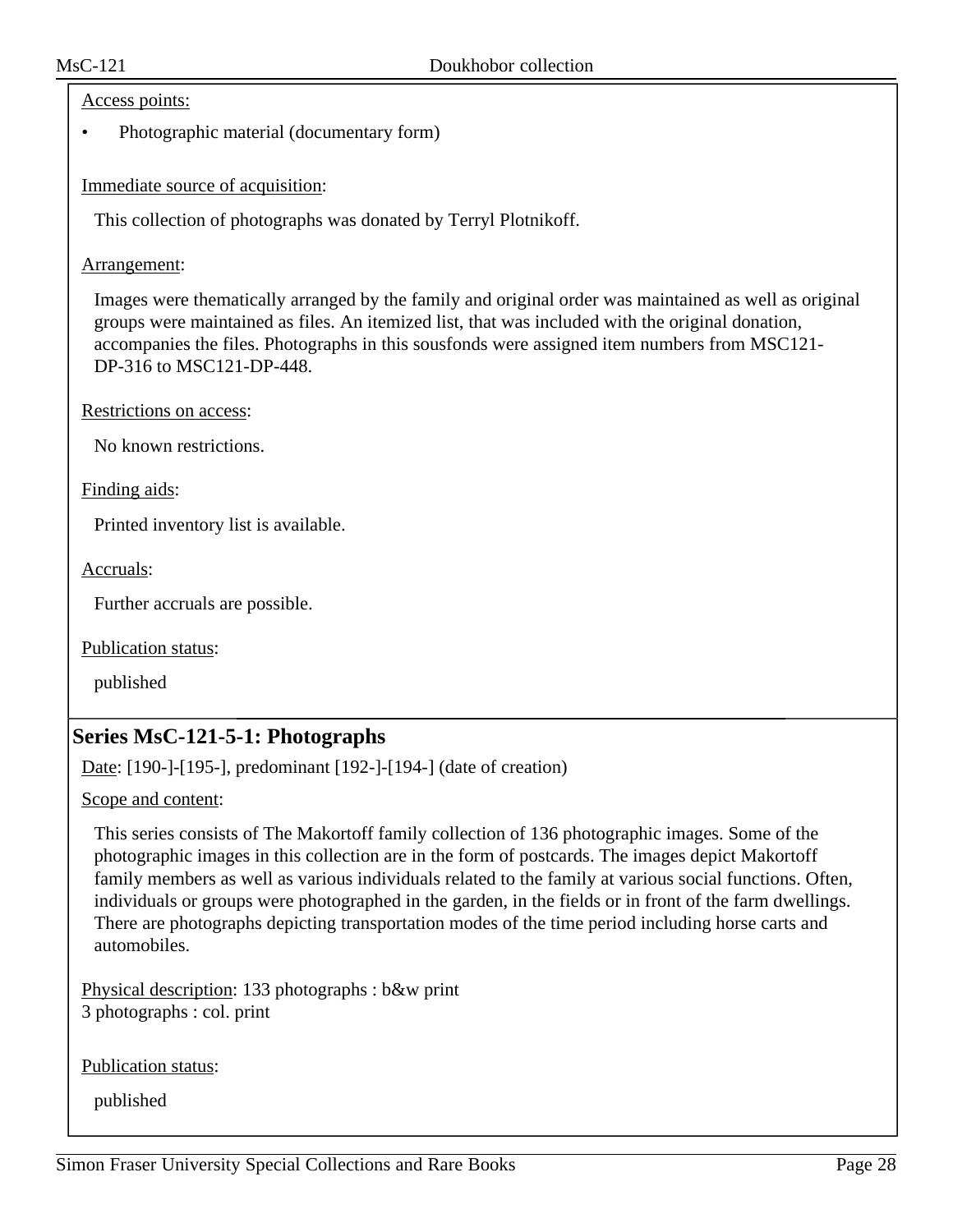#### Access points:

• Photographic material (documentary form)

Immediate source of acquisition:

This collection of photographs was donated by Terryl Plotnikoff.

Arrangement:

Images were thematically arranged by the family and original order was maintained as well as original groups were maintained as files. An itemized list, that was included with the original donation, accompanies the files. Photographs in this sousfonds were assigned item numbers from MSC121- DP-316 to MSC121-DP-448.

Restrictions on access:

No known restrictions.

Finding aids:

Printed inventory list is available.

Accruals:

Further accruals are possible.

Publication status:

published

# **Series MsC-121-5-1: Photographs**

Date: [190-]-[195-], predominant [192-]-[194-] (date of creation)

Scope and content:

This series consists of The Makortoff family collection of 136 photographic images. Some of the photographic images in this collection are in the form of postcards. The images depict Makortoff family members as well as various individuals related to the family at various social functions. Often, individuals or groups were photographed in the garden, in the fields or in front of the farm dwellings. There are photographs depicting transportation modes of the time period including horse carts and automobiles.

Physical description: 133 photographs : b&w print 3 photographs : col. print

Publication status: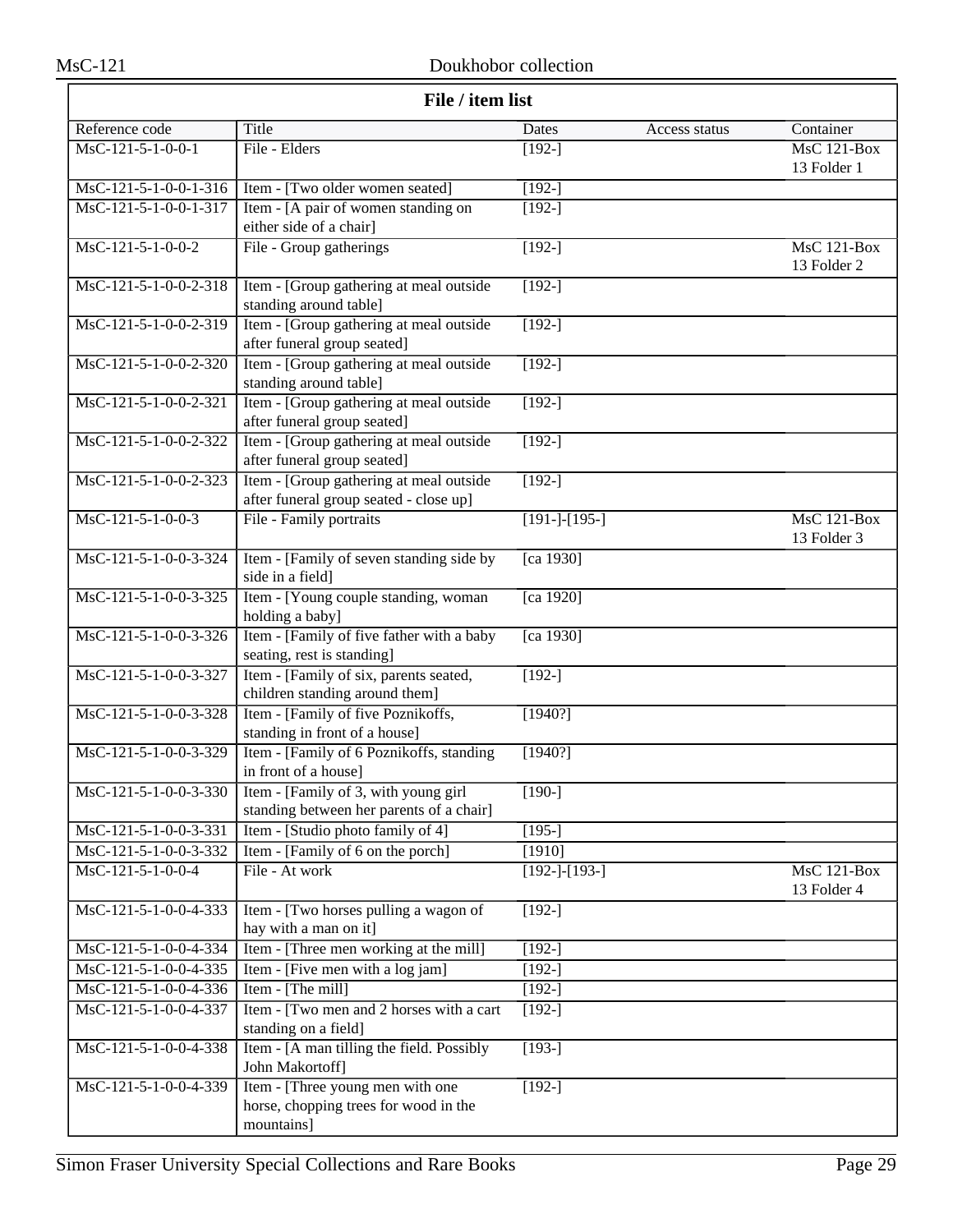| File / item list                          |                                                                                         |                     |               |                                   |
|-------------------------------------------|-----------------------------------------------------------------------------------------|---------------------|---------------|-----------------------------------|
| Reference code                            | Title                                                                                   | Dates               | Access status | Container                         |
| $MsC-121-5-1-0-0-1$                       | File - Elders                                                                           | $[192-]$            |               | $MsC$ 121-Box<br>13 Folder 1      |
| $MsC-121-5-1-0-0-1-316$                   | Item - [Two older women seated]                                                         | $\overline{192}$ -] |               |                                   |
| MsC-121-5-1-0-0-1-317                     | Item - [A pair of women standing on<br>either side of a chair]                          | $[192-]$            |               |                                   |
| $MsC-121-5-1-0-0-2$                       | File - Group gatherings                                                                 | $[192-]$            |               | $MsC$ 121-Box<br>13 Folder 2      |
| MsC-121-5-1-0-0-2-318                     | Item - [Group gathering at meal outside<br>standing around table]                       | $[192-]$            |               |                                   |
| MsC-121-5-1-0-0-2-319                     | Item - [Group gathering at meal outside<br>after funeral group seated]                  | $[192-]$            |               |                                   |
| MsC-121-5-1-0-0-2-320                     | Item - [Group gathering at meal outside<br>standing around table]                       | $[192-]$            |               |                                   |
| MsC-121-5-1-0-0-2-321                     | Item - [Group gathering at meal outside<br>after funeral group seated]                  | $[192-]$            |               |                                   |
| $MsC-121-5-1-0-0-2-322$                   | Item - [Group gathering at meal outside<br>after funeral group seated]                  | $[192-]$            |               |                                   |
| $MsC-121-5-1-0-0-2-323$                   | Item - [Group gathering at meal outside<br>after funeral group seated - close up]       | $[192-]$            |               |                                   |
| MsC-121-5-1-0-0-3                         | File - Family portraits                                                                 | $[191-]-[195-]$     |               | MsC 121-Box<br>13 Folder 3        |
| MsC-121-5-1-0-0-3-324                     | Item - [Family of seven standing side by<br>side in a field]                            | [ca 1930]           |               |                                   |
| $\overline{\text{MsC-121-5-1-0-0-3-325}}$ | Item - [Young couple standing, woman<br>holding a baby]                                 | [ca 1920]           |               |                                   |
| MsC-121-5-1-0-0-3-326                     | Item - [Family of five father with a baby<br>seating, rest is standing]                 | [ca 1930]           |               |                                   |
| MsC-121-5-1-0-0-3-327                     | Item - [Family of six, parents seated,<br>children standing around them]                | $[192-]$            |               |                                   |
| MsC-121-5-1-0-0-3-328                     | Item - [Family of five Poznikoffs,<br>standing in front of a house]                     | [1940?]             |               |                                   |
| MsC-121-5-1-0-0-3-329                     | Item - [Family of 6 Poznikoffs, standing<br>in front of a house]                        | [1940?]             |               |                                   |
| $MsC-121-5-1-0-0-3-330$                   | Item - [Family of 3, with young girl<br>standing between her parents of a chair]        | $[190-]$            |               |                                   |
| MsC-121-5-1-0-0-3-331                     | Item - [Studio photo family of 4]                                                       | $[195-]$            |               |                                   |
| MsC-121-5-1-0-0-3-332                     | Item - [Family of 6 on the porch]                                                       | [1910]              |               |                                   |
| MsC-121-5-1-0-0-4                         | File - At work                                                                          | $[192-]-[193-]$     |               | <b>MsC 121-Box</b><br>13 Folder 4 |
| MsC-121-5-1-0-0-4-333                     | Item - [Two horses pulling a wagon of<br>hay with a man on it]                          | $[192-]$            |               |                                   |
| MsC-121-5-1-0-0-4-334                     | Item - [Three men working at the mill]                                                  | $[192-]$            |               |                                   |
| MsC-121-5-1-0-0-4-335                     | Item - [Five men with a log jam]                                                        | $[192-]$            |               |                                   |
| MsC-121-5-1-0-0-4-336                     | Item - [The mill]                                                                       | $[192-]$            |               |                                   |
| MsC-121-5-1-0-0-4-337                     | Item - [Two men and 2 horses with a cart]<br>standing on a field]                       | $[192-]$            |               |                                   |
| MsC-121-5-1-0-0-4-338                     | Item - [A man tilling the field. Possibly<br>John Makortoff]                            | $[193-]$            |               |                                   |
| MsC-121-5-1-0-0-4-339                     | Item - [Three young men with one<br>horse, chopping trees for wood in the<br>mountains] | $[192-]$            |               |                                   |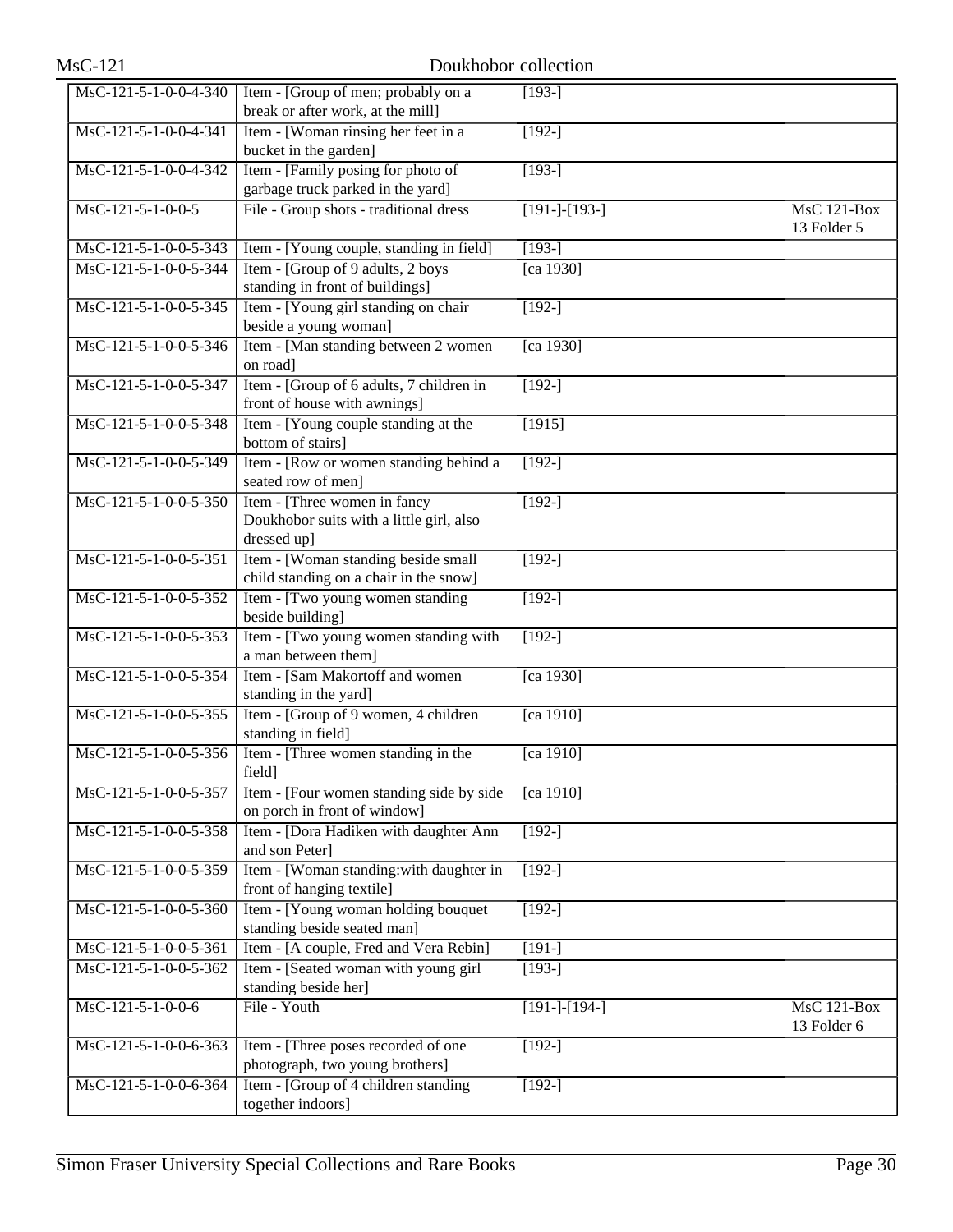| $MsC-121$             | Doukhobor collection                                                                    |                     |                                   |  |  |
|-----------------------|-----------------------------------------------------------------------------------------|---------------------|-----------------------------------|--|--|
| MsC-121-5-1-0-0-4-340 | Item - [Group of men; probably on a<br>break or after work, at the mill]                | $[193-]$            |                                   |  |  |
| MsC-121-5-1-0-0-4-341 | Item - [Woman rinsing her feet in a<br>bucket in the garden]                            | $[192-]$            |                                   |  |  |
| MsC-121-5-1-0-0-4-342 | Item - [Family posing for photo of<br>garbage truck parked in the yard]                 | $[193-]$            |                                   |  |  |
| MsC-121-5-1-0-0-5     | File - Group shots - traditional dress                                                  | $[191-]-[193-]$     | MsC 121-Box<br>13 Folder 5        |  |  |
| MsC-121-5-1-0-0-5-343 | Item - [Young couple, standing in field]                                                | $[193-]$            |                                   |  |  |
| MsC-121-5-1-0-0-5-344 | Item - [Group of 9 adults, 2 boys]<br>standing in front of buildings]                   | [ca 1930]           |                                   |  |  |
| MsC-121-5-1-0-0-5-345 | Item - [Young girl standing on chair<br>beside a young woman]                           | $[192-]$            |                                   |  |  |
| MsC-121-5-1-0-0-5-346 | Item - [Man standing between 2 women]<br>on road]                                       | [ca 1930]           |                                   |  |  |
| MsC-121-5-1-0-0-5-347 | Item - [Group of 6 adults, 7 children in<br>front of house with awnings]                | $\overline{192-1}$  |                                   |  |  |
| MsC-121-5-1-0-0-5-348 | Item - [Young couple standing at the<br>bottom of stairs]                               | [1915]              |                                   |  |  |
| MsC-121-5-1-0-0-5-349 | Item - [Row or women standing behind a<br>seated row of men]                            | $[192-]$            |                                   |  |  |
| MsC-121-5-1-0-0-5-350 | Item - [Three women in fancy<br>Doukhobor suits with a little girl, also<br>dressed up] | $[192-]$            |                                   |  |  |
| MsC-121-5-1-0-0-5-351 | Item - [Woman standing beside small<br>child standing on a chair in the snow]           | $[192-]$            |                                   |  |  |
| MsC-121-5-1-0-0-5-352 | Item - [Two young women standing]<br>beside building]                                   | $[192-]$            |                                   |  |  |
| MsC-121-5-1-0-0-5-353 | Item - [Two young women standing with<br>a man between them]                            | $[192-]$            |                                   |  |  |
| MsC-121-5-1-0-0-5-354 | Item - [Sam Makortoff and women]<br>standing in the yard]                               | [ca 1930]           |                                   |  |  |
| MsC-121-5-1-0-0-5-355 | Item - [Group of 9 women, 4 children]<br>standing in field]                             | [ca $1910$ ]        |                                   |  |  |
| MsC-121-5-1-0-0-5-356 | Item - [Three women standing in the<br>field]                                           | [ca 1910]           |                                   |  |  |
| MsC-121-5-1-0-0-5-357 | Item - [Four women standing side by side<br>on porch in front of window]                | [ca 1910]           |                                   |  |  |
| MsC-121-5-1-0-0-5-358 | Item - [Dora Hadiken with daughter Ann<br>and son Peter]                                | $[192-]$            |                                   |  |  |
| MsC-121-5-1-0-0-5-359 | Item - [Woman standing:with daughter in<br>front of hanging textile]                    | $[192-]$            |                                   |  |  |
| MsC-121-5-1-0-0-5-360 | Item - [Young woman holding bouquet<br>standing beside seated man]                      | $[192-]$            |                                   |  |  |
| MsC-121-5-1-0-0-5-361 | Item - [A couple, Fred and Vera Rebin]                                                  | $[191-]$            |                                   |  |  |
| MsC-121-5-1-0-0-5-362 | Item - [Seated woman with young girl]<br>standing beside her]                           | $\overline{193}$ -] |                                   |  |  |
| MsC-121-5-1-0-0-6     | File - Youth                                                                            | $[191-]-[194-]$     | <b>MsC 121-Box</b><br>13 Folder 6 |  |  |
| MsC-121-5-1-0-0-6-363 | Item - [Three poses recorded of one<br>photograph, two young brothers]                  | $[192-]$            |                                   |  |  |
| MsC-121-5-1-0-0-6-364 | Item - [Group of 4 children standing]<br>together indoors]                              | $[192-]$            |                                   |  |  |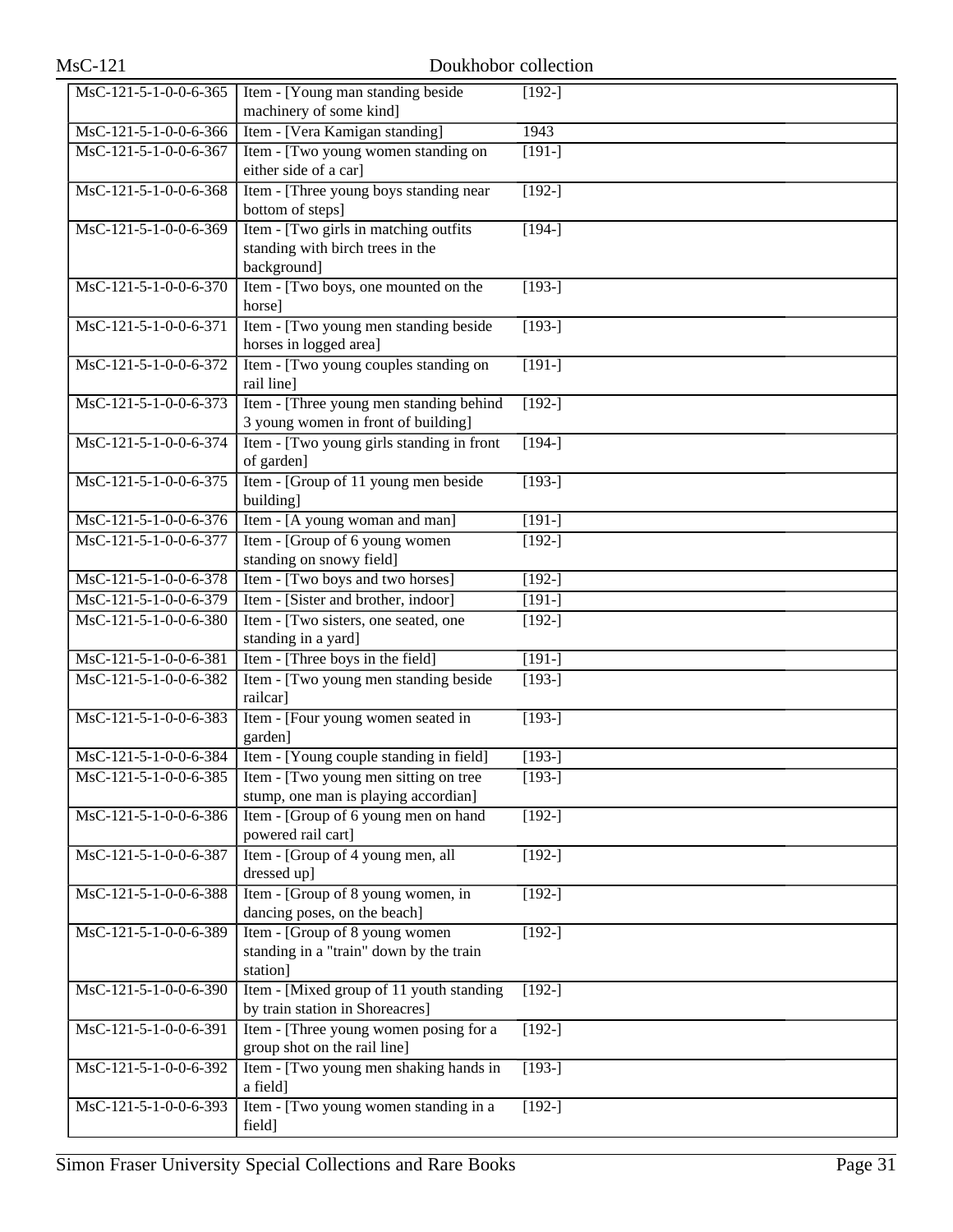| $\overline{\text{MsC-121-5-1-0-0-6-365}}$  | Item - [Young man standing beside                                                                               | $[192-]$             |
|--------------------------------------------|-----------------------------------------------------------------------------------------------------------------|----------------------|
|                                            | machinery of some kind]                                                                                         |                      |
| MsC-121-5-1-0-0-6-366                      | Item - [Vera Kamigan standing]                                                                                  | 1943                 |
| MsC-121-5-1-0-0-6-367                      | Item - [Two young women standing on<br>either side of a car]                                                    | $[191-]$             |
| MsC-121-5-1-0-0-6-368                      | Item - [Three young boys standing near<br>bottom of steps]                                                      | $[192-]$             |
| MsC-121-5-1-0-0-6-369                      | Item - [Two girls in matching outfits                                                                           | $[194-]$             |
|                                            | standing with birch trees in the                                                                                |                      |
|                                            | background]                                                                                                     |                      |
| MsC-121-5-1-0-0-6-370                      | Item - [Two boys, one mounted on the                                                                            | $[193-]$             |
|                                            | horse]                                                                                                          |                      |
| MsC-121-5-1-0-0-6-371                      | Item - [Two young men standing beside                                                                           | $[193-]$             |
|                                            | horses in logged area]                                                                                          |                      |
| MsC-121-5-1-0-0-6-372                      | Item - [Two young couples standing on<br>rail line]                                                             | $[191-]$             |
| $\overline{\text{MsC-121-5-1-0-0}}$ -6-373 | Item - [Three young men standing behind                                                                         | $[192-]$             |
|                                            | 3 young women in front of building]                                                                             |                      |
| MsC-121-5-1-0-0-6-374                      | Item - [Two young girls standing in front]<br>of garden]                                                        | $[194-]$             |
| MsC-121-5-1-0-0-6-375                      | Item - [Group of 11 young men beside                                                                            | $\sqrt{193}$ -]      |
|                                            | building]                                                                                                       |                      |
| MsC-121-5-1-0-0-6-376                      | Item - [A young woman and man]                                                                                  | $[191-]$             |
| MsC-121-5-1-0-0-6-377                      | Item - [Group of 6 young women]                                                                                 | $[192-]$             |
|                                            | standing on snowy field]                                                                                        |                      |
| MsC-121-5-1-0-0-6-378                      | Item - [Two boys and two horses]                                                                                | $[192-]$             |
| MsC-121-5-1-0-0-6-379                      | Item - [Sister and brother, indoor]                                                                             | $[191-]$             |
| MsC-121-5-1-0-0-6-380                      | Item - [Two sisters, one seated, one<br>standing in a yard]                                                     | $[192-]$             |
| MsC-121-5-1-0-0-6-381                      | Item - [Three boys in the field]                                                                                | $[191-]$             |
| MsC-121-5-1-0-0-6-382                      | Item - [Two young men standing beside                                                                           | $[193-]$             |
|                                            | railcar]                                                                                                        |                      |
| MsC-121-5-1-0-0-6-383                      | Item - [Four young women seated in                                                                              | $[193-]$             |
| MsC-121-5-1-0-0-6-384                      | garden]                                                                                                         | $\overline{1}$ 193-] |
|                                            | Item - [Young couple standing in field]<br>$\text{MsC-121-5-1-0-0-6-385}$ Item - [Two young men sitting on tree | $[193-]$             |
|                                            | stump, one man is playing accordian]                                                                            |                      |
| MsC-121-5-1-0-0-6-386                      | Item - [Group of 6 young men on hand                                                                            | $[192-]$             |
|                                            | powered rail cart]                                                                                              |                      |
| MsC-121-5-1-0-0-6-387                      | Item - [Group of 4 young men, all                                                                               | $[192-]$             |
|                                            | dressed up]                                                                                                     |                      |
| MsC-121-5-1-0-0-6-388                      | Item - [Group of 8 young women, in                                                                              | $[192-]$             |
|                                            | dancing poses, on the beach]                                                                                    |                      |
| MsC-121-5-1-0-0-6-389                      | Item - [Group of 8 young women]                                                                                 | $[192-]$             |
|                                            | standing in a "train" down by the train                                                                         |                      |
|                                            | station]                                                                                                        |                      |
| MsC-121-5-1-0-0-6-390                      | Item - [Mixed group of 11 youth standing<br>by train station in Shoreacres]                                     | $[192-]$             |
| MsC-121-5-1-0-0-6-391                      | Item - [Three young women posing for a                                                                          | $[192-]$             |
|                                            | group shot on the rail line]                                                                                    |                      |
| MsC-121-5-1-0-0-6-392                      | Item - [Two young men shaking hands in                                                                          | $[193-]$             |
|                                            | a field]                                                                                                        |                      |
| MsC-121-5-1-0-0-6-393                      | Item - [Two young women standing in a                                                                           | $[192-]$             |
|                                            | field]                                                                                                          |                      |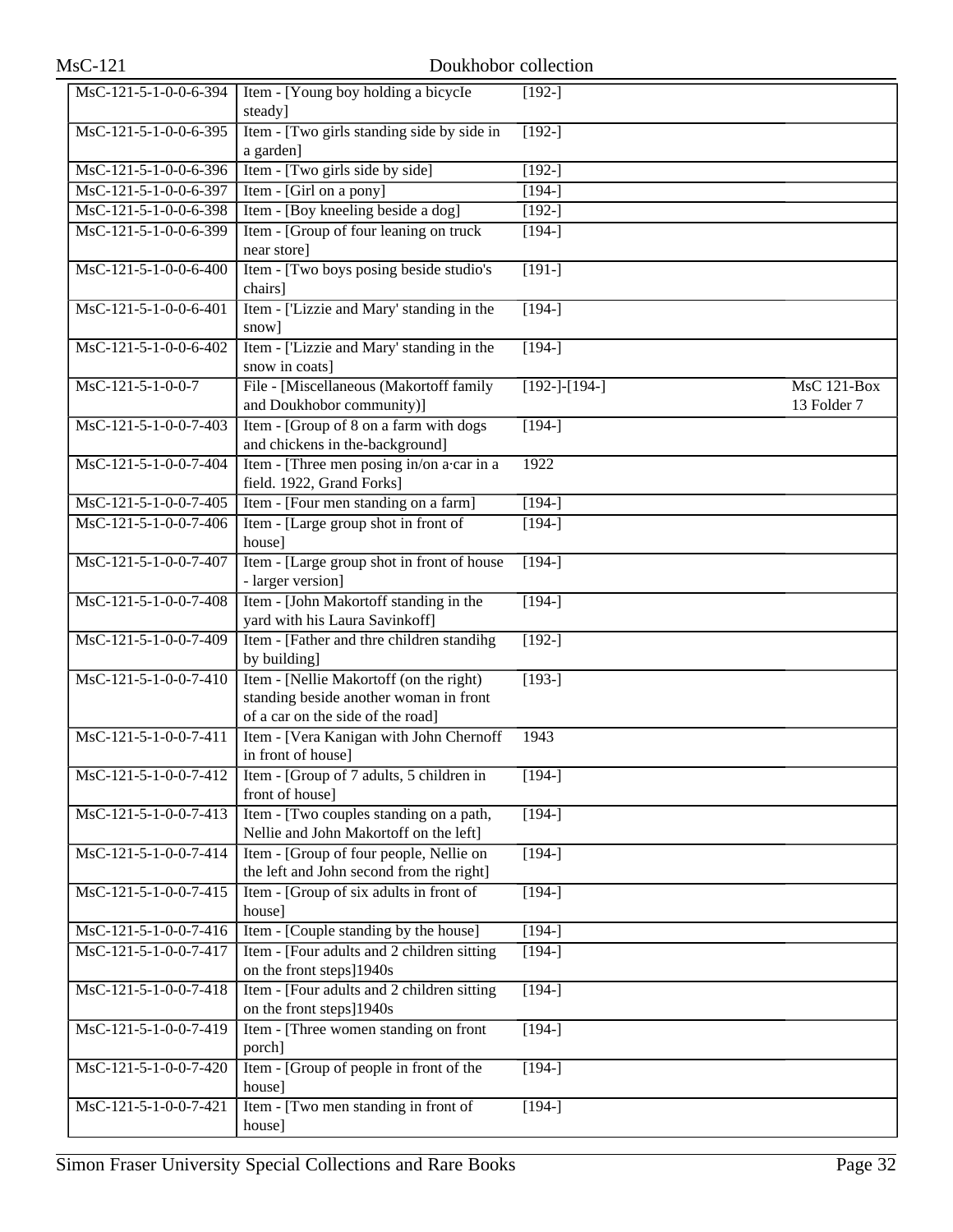| $MsC-121$               | Doukhobor collection                                                                                                   |                 |                                   |  |  |
|-------------------------|------------------------------------------------------------------------------------------------------------------------|-----------------|-----------------------------------|--|--|
| MsC-121-5-1-0-0-6-394   | Item - [Young boy holding a bicycle<br>steady]                                                                         | $[192-]$        |                                   |  |  |
| $MsC-121-5-1-0-0-6-395$ | Item - [Two girls standing side by side in<br>a garden]                                                                | $[192-]$        |                                   |  |  |
| MsC-121-5-1-0-0-6-396   | Item - [Two girls side by side]                                                                                        | $[192-]$        |                                   |  |  |
| MsC-121-5-1-0-0-6-397   | Item - [Girl on a pony]                                                                                                | $[194-]$        |                                   |  |  |
| MsC-121-5-1-0-0-6-398   | Item - [Boy kneeling beside a dog]                                                                                     | $[192-]$        |                                   |  |  |
| MsC-121-5-1-0-0-6-399   | Item - [Group of four leaning on truck]<br>near store]                                                                 | $\sqrt{194}$    |                                   |  |  |
| MsC-121-5-1-0-0-6-400   | Item - [Two boys posing beside studio's<br>chairs]                                                                     | $[191-]$        |                                   |  |  |
| MsC-121-5-1-0-0-6-401   | Item - ['Lizzie and Mary' standing in the<br>snow]                                                                     | $[194-]$        |                                   |  |  |
| MsC-121-5-1-0-0-6-402   | Item - ['Lizzie and Mary' standing in the<br>snow in coats]                                                            | $[194-]$        |                                   |  |  |
| $MsC-121-5-1-0-0-7$     | File - [Miscellaneous (Makortoff family<br>and Doukhobor community)]                                                   | $[192-]-[194-]$ | <b>MsC 121-Box</b><br>13 Folder 7 |  |  |
| MsC-121-5-1-0-0-7-403   | Item - [Group of 8 on a farm with dogs<br>and chickens in the-background]                                              | $[194-]$        |                                   |  |  |
| MsC-121-5-1-0-0-7-404   | Item - [Three men posing in/on a·car in a<br>field. 1922, Grand Forks]                                                 | 1922            |                                   |  |  |
| MsC-121-5-1-0-0-7-405   | Item - [Four men standing on a farm]                                                                                   | $[194-]$        |                                   |  |  |
| MsC-121-5-1-0-0-7-406   | Item - [Large group shot in front of<br>house]                                                                         | $[194-]$        |                                   |  |  |
| MsC-121-5-1-0-0-7-407   | Item - [Large group shot in front of house<br>- larger version]                                                        | $[194-]$        |                                   |  |  |
| MsC-121-5-1-0-0-7-408   | Item - [John Makortoff standing in the<br>yard with his Laura Savinkoff]                                               | $[194-]$        |                                   |  |  |
| MsC-121-5-1-0-0-7-409   | Item - [Father and thre children standing<br>by building]                                                              | $[192-]$        |                                   |  |  |
| $MsC-121-5-1-0-0-7-410$ | Item - [Nellie Makortoff (on the right)<br>standing beside another woman in front<br>of a car on the side of the road] | $[193-]$        |                                   |  |  |
| MsC-121-5-1-0-0-7-411   | Item - [Vera Kanigan with John Chernoff<br>in front of house]                                                          | 1943            |                                   |  |  |
| MsC-121-5-1-0-0-7-412   | Item - [Group of 7 adults, 5 children in<br>front of house]                                                            | $[194-]$        |                                   |  |  |
| MsC-121-5-1-0-0-7-413   | Item - [Two couples standing on a path,<br>Nellie and John Makortoff on the left]                                      | $[194-]$        |                                   |  |  |
| MsC-121-5-1-0-0-7-414   | Item - [Group of four people, Nellie on<br>the left and John second from the right]                                    | $[194-]$        |                                   |  |  |
| MsC-121-5-1-0-0-7-415   | Item - [Group of six adults in front of<br>house]                                                                      | $[194-]$        |                                   |  |  |
| MsC-121-5-1-0-0-7-416   | Item - [Couple standing by the house]                                                                                  | $[194-]$        |                                   |  |  |
| MsC-121-5-1-0-0-7-417   | Item - [Four adults and 2 children sitting]<br>on the front steps]1940s                                                | $[194-]$        |                                   |  |  |
| MsC-121-5-1-0-0-7-418   | Item - [Four adults and 2 children sitting]<br>on the front steps]1940s                                                | $[194-]$        |                                   |  |  |
| MsC-121-5-1-0-0-7-419   | Item - [Three women standing on front<br>porch]                                                                        | $[194-]$        |                                   |  |  |
| MsC-121-5-1-0-0-7-420   | Item - [Group of people in front of the<br>house]                                                                      | $[194-]$        |                                   |  |  |
| MsC-121-5-1-0-0-7-421   | Item - [Two men standing in front of<br>house]                                                                         | $[194-]$        |                                   |  |  |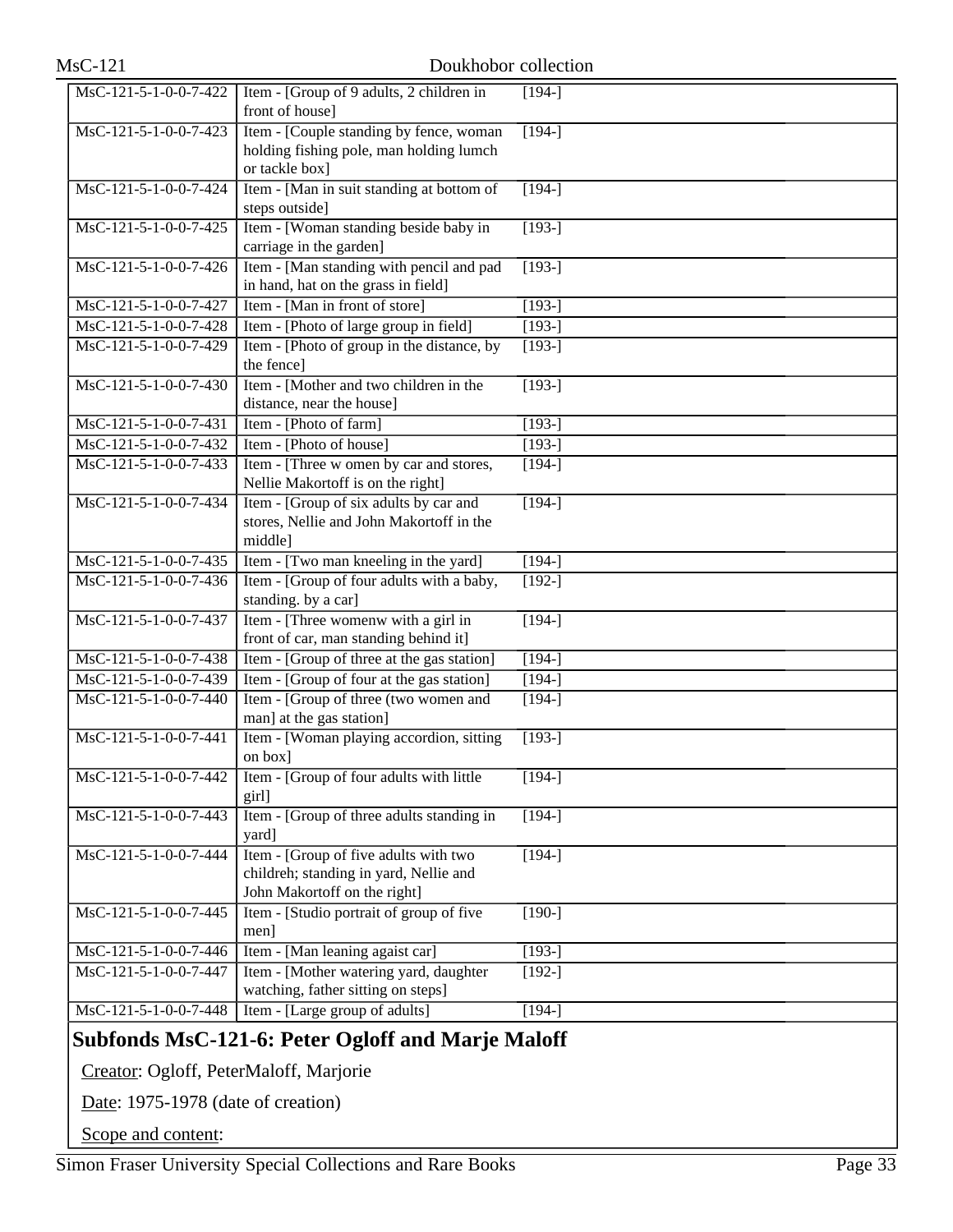| MsC-121-5-1-0-0-7-422                     | Item - [Group of 9 adults, 2 children in                                     | $[194-]$ |
|-------------------------------------------|------------------------------------------------------------------------------|----------|
|                                           | front of house]                                                              |          |
| MsC-121-5-1-0-0-7-423                     | Item - [Couple standing by fence, woman]                                     | $[194-]$ |
|                                           | holding fishing pole, man holding lumch                                      |          |
|                                           | or tackle box]                                                               |          |
| MsC-121-5-1-0-0-7-424                     | Item - [Man in suit standing at bottom of                                    | $[194-]$ |
|                                           | steps outside]                                                               |          |
| MsC-121-5-1-0-0-7-425                     | Item - [Woman standing beside baby in                                        | $[193-]$ |
|                                           | carriage in the garden]                                                      |          |
| MsC-121-5-1-0-0-7-426                     | Item - [Man standing with pencil and pad                                     | $[193-]$ |
|                                           | in hand, hat on the grass in field]                                          |          |
| MsC-121-5-1-0-0-7-427                     | Item - [Man in front of store]                                               | $[193-]$ |
| MsC-121-5-1-0-0-7-428                     | Item - [Photo of large group in field]                                       | $[193-]$ |
| MsC-121-5-1-0-0-7-429                     | Item - [Photo of group in the distance, by                                   | $[193-]$ |
|                                           | the fence]                                                                   |          |
| MsC-121-5-1-0-0-7-430                     | Item - [Mother and two children in the                                       | $[193-]$ |
| MsC-121-5-1-0-0-7-431                     | distance, near the house]                                                    |          |
| MsC-121-5-1-0-0-7-432                     | Item - [Photo of farm]<br>Item - [Photo of house]                            | $[193-]$ |
|                                           |                                                                              | $[193-]$ |
| MsC-121-5-1-0-0-7-433                     | Item - [Three w omen by car and stores,<br>Nellie Makortoff is on the right] | $[194-]$ |
| $\overline{\text{MsC-121-5-1-0-0-7-434}}$ | Item - [Group of six adults by car and                                       | $[194-]$ |
|                                           | stores, Nellie and John Makortoff in the                                     |          |
|                                           | middle]                                                                      |          |
| MsC-121-5-1-0-0-7-435                     | Item - [Two man kneeling in the yard]                                        | $[194-]$ |
| MsC-121-5-1-0-0-7-436                     | Item - [Group of four adults with a baby,                                    | $[192-]$ |
|                                           | standing. by a car]                                                          |          |
| MsC-121-5-1-0-0-7-437                     | Item - [Three womenw with a girl in                                          | $[194-]$ |
|                                           | front of car, man standing behind it]                                        |          |
| MsC-121-5-1-0-0-7-438                     | Item - [Group of three at the gas station]                                   | $[194-]$ |
| MsC-121-5-1-0-0-7-439                     | Item - [Group of four at the gas station]                                    | $[194-]$ |
| MsC-121-5-1-0-0-7-440                     | Item - [Group of three (two women and                                        | $[194-]$ |
|                                           | man] at the gas station]                                                     |          |
| MsC-121-5-1-0-0-7-441                     | Item - [Woman playing accordion, sitting                                     | $[193-]$ |
|                                           | on box]                                                                      |          |
|                                           | MsC-121-5-1-0-0-7-442 Item - [Group of four adults with little               | $[194-]$ |
| MsC-121-5-1-0-0-7-443                     | girl]<br>Item - [Group of three adults standing in                           | $[194-]$ |
|                                           | yard]                                                                        |          |
| MsC-121-5-1-0-0-7-444                     | Item - [Group of five adults with two                                        | $[194-]$ |
|                                           | childreh; standing in yard, Nellie and                                       |          |
|                                           | John Makortoff on the right]                                                 |          |
| MsC-121-5-1-0-0-7-445                     | Item - [Studio portrait of group of five]                                    | $[190-]$ |
|                                           | men]                                                                         |          |
| MsC-121-5-1-0-0-7-446                     | Item - [Man leaning agaist car]                                              | $[193-]$ |
| MsC-121-5-1-0-0-7-447                     | Item - [Mother watering yard, daughter                                       | $[192-]$ |
|                                           | watching, father sitting on steps]                                           |          |
| MsC-121-5-1-0-0-7-448                     | Item - [Large group of adults]                                               | $[194-]$ |
|                                           |                                                                              |          |

# **Subfonds MsC-121-6: Peter Ogloff and Marje Maloff**

Creator: Ogloff, PeterMaloff, Marjorie

Date: 1975-1978 (date of creation)

Scope and content: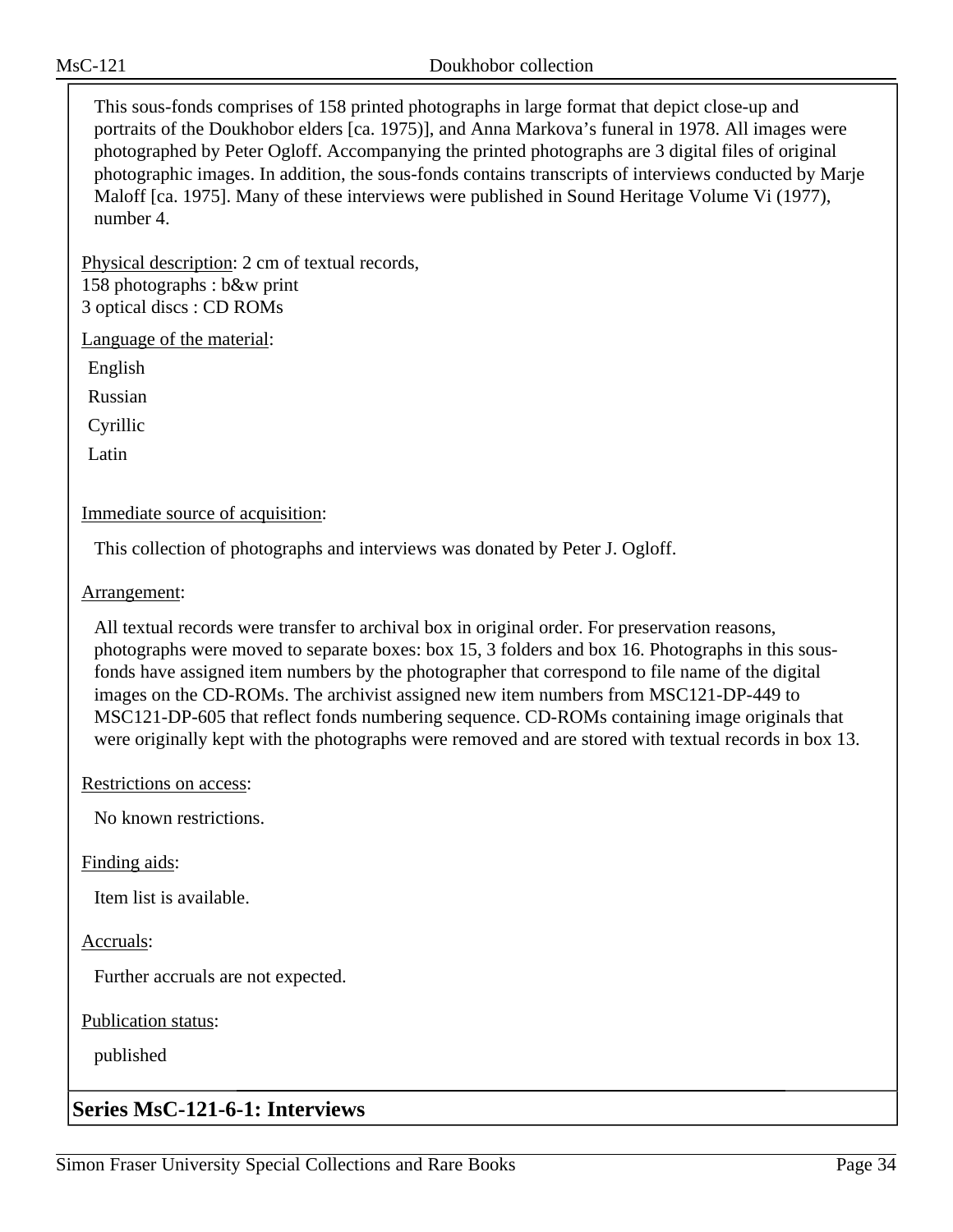This sous-fonds comprises of 158 printed photographs in large format that depict close-up and portraits of the Doukhobor elders [ca. 1975)], and Anna Markova's funeral in 1978. All images were photographed by Peter Ogloff. Accompanying the printed photographs are 3 digital files of original photographic images. In addition, the sous-fonds contains transcripts of interviews conducted by Marje Maloff [ca. 1975]. Many of these interviews were published in Sound Heritage Volume Vi (1977), number 4.

Physical description: 2 cm of textual records, 158 photographs : b&w print 3 optical discs : CD ROMs

Language of the material:

English

Russian

Cyrillic

Latin

Immediate source of acquisition:

This collection of photographs and interviews was donated by Peter J. Ogloff.

Arrangement:

All textual records were transfer to archival box in original order. For preservation reasons, photographs were moved to separate boxes: box 15, 3 folders and box 16. Photographs in this sousfonds have assigned item numbers by the photographer that correspond to file name of the digital images on the CD-ROMs. The archivist assigned new item numbers from MSC121-DP-449 to MSC121-DP-605 that reflect fonds numbering sequence. CD-ROMs containing image originals that were originally kept with the photographs were removed and are stored with textual records in box 13.

Restrictions on access:

No known restrictions.

Finding aids:

Item list is available.

Accruals:

Further accruals are not expected.

Publication status:

published

# **Series MsC-121-6-1: Interviews**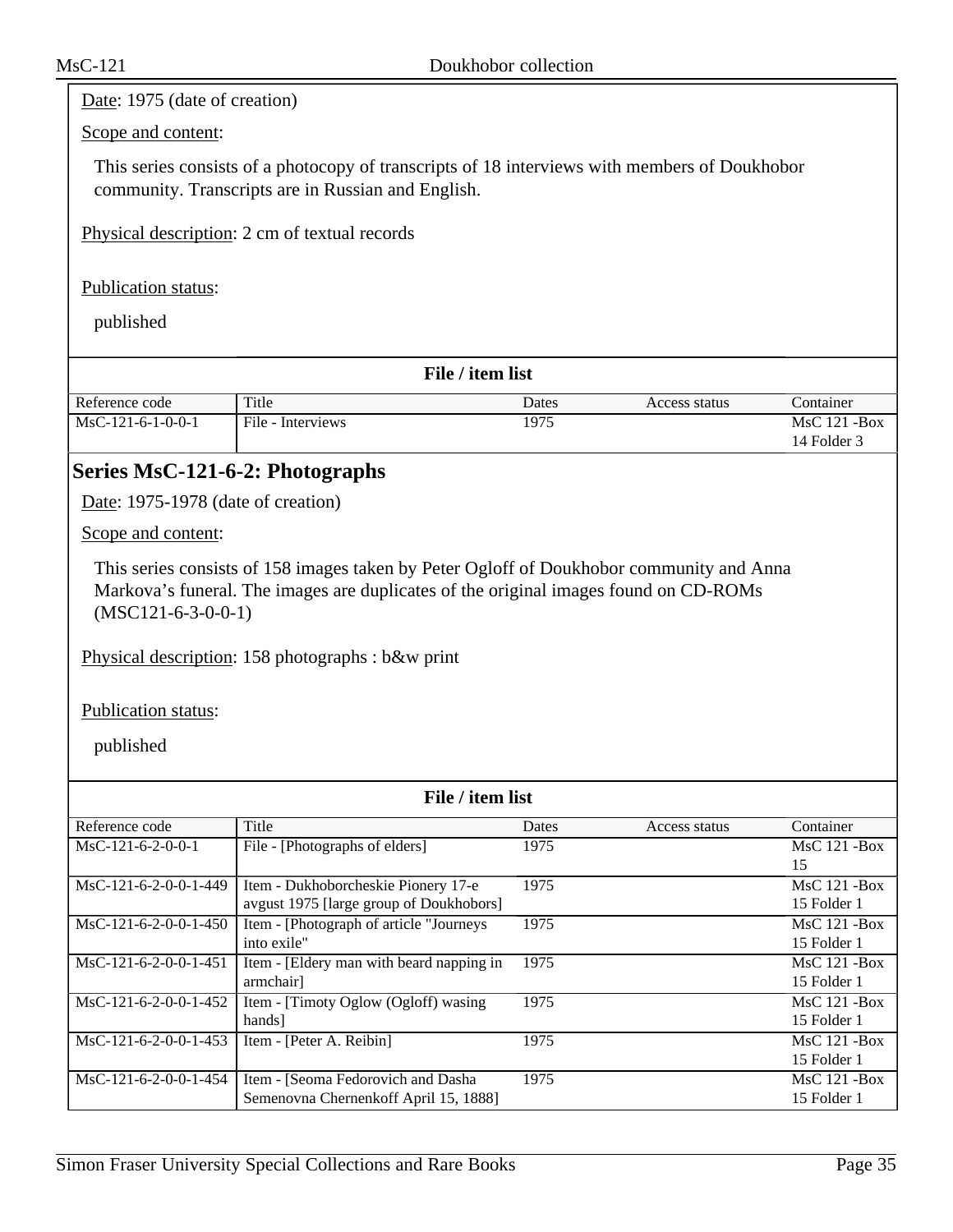### Date: 1975 (date of creation)

#### Scope and content:

This series consists of a photocopy of transcripts of 18 interviews with members of Doukhobor community. Transcripts are in Russian and English.

Physical description: 2 cm of textual records

#### Publication status:

published

| File / item list    |                   |       |               |                 |  |
|---------------------|-------------------|-------|---------------|-----------------|--|
| Reference code      | Title             | Dates | Access status | Container       |  |
| $MSC-121-6-1-0-0-1$ | File - Interviews | 1975  |               | $MsC$ 121 - Box |  |
|                     |                   |       |               | 14 Folder 3     |  |

## **Series MsC-121-6-2: Photographs**

Date: 1975-1978 (date of creation)

Scope and content:

This series consists of 158 images taken by Peter Ogloff of Doukhobor community and Anna Markova's funeral. The images are duplicates of the original images found on CD-ROMs (MSC121-6-3-0-0-1)

Physical description: 158 photographs : b&w print

Publication status:

| File / item list        |                                          |       |               |                 |  |
|-------------------------|------------------------------------------|-------|---------------|-----------------|--|
| Reference code          | Title                                    | Dates | Access status | Container       |  |
| $MsC-121-6-2-0-0-1$     | File - [Photographs of elders]           | 1975  |               | $MsC$ 121 - Box |  |
|                         |                                          |       |               | 15              |  |
| $MsC-121-6-2-0-0-1-449$ | Item - Dukhoborcheskie Pionery 17-e      | 1975  |               | $MsC$ 121 - Box |  |
|                         | avgust 1975 [large group of Doukhobors]  |       |               | 15 Folder 1     |  |
| $MsC-121-6-2-0-0-1-450$ | Item - [Photograph of article "Journeys" | 1975  |               | $MsC$ 121 - Box |  |
|                         | into exile"                              |       |               | 15 Folder 1     |  |
| $MsC-121-6-2-0-0-1-451$ | Item - [Eldery man with beard napping in | 1975  |               | $MsC$ 121 - Box |  |
|                         | armchair]                                |       |               | 15 Folder 1     |  |
| $MsC-121-6-2-0-0-1-452$ | Item - [Timoty Oglow (Ogloff) wasing     | 1975  |               | $MsC$ 121 - Box |  |
|                         | hands]                                   |       |               | 15 Folder 1     |  |
| $MsC-121-6-2-0-0-1-453$ | Item - [Peter A. Reibin]                 | 1975  |               | $MsC$ 121 - Box |  |
|                         |                                          |       |               | 15 Folder 1     |  |
| $MsC-121-6-2-0-0-1-454$ | Item - [Seoma Fedorovich and Dasha       | 1975  |               | MsC 121 -Box    |  |
|                         | Semenovna Chernenkoff April 15, 1888]    |       |               | 15 Folder 1     |  |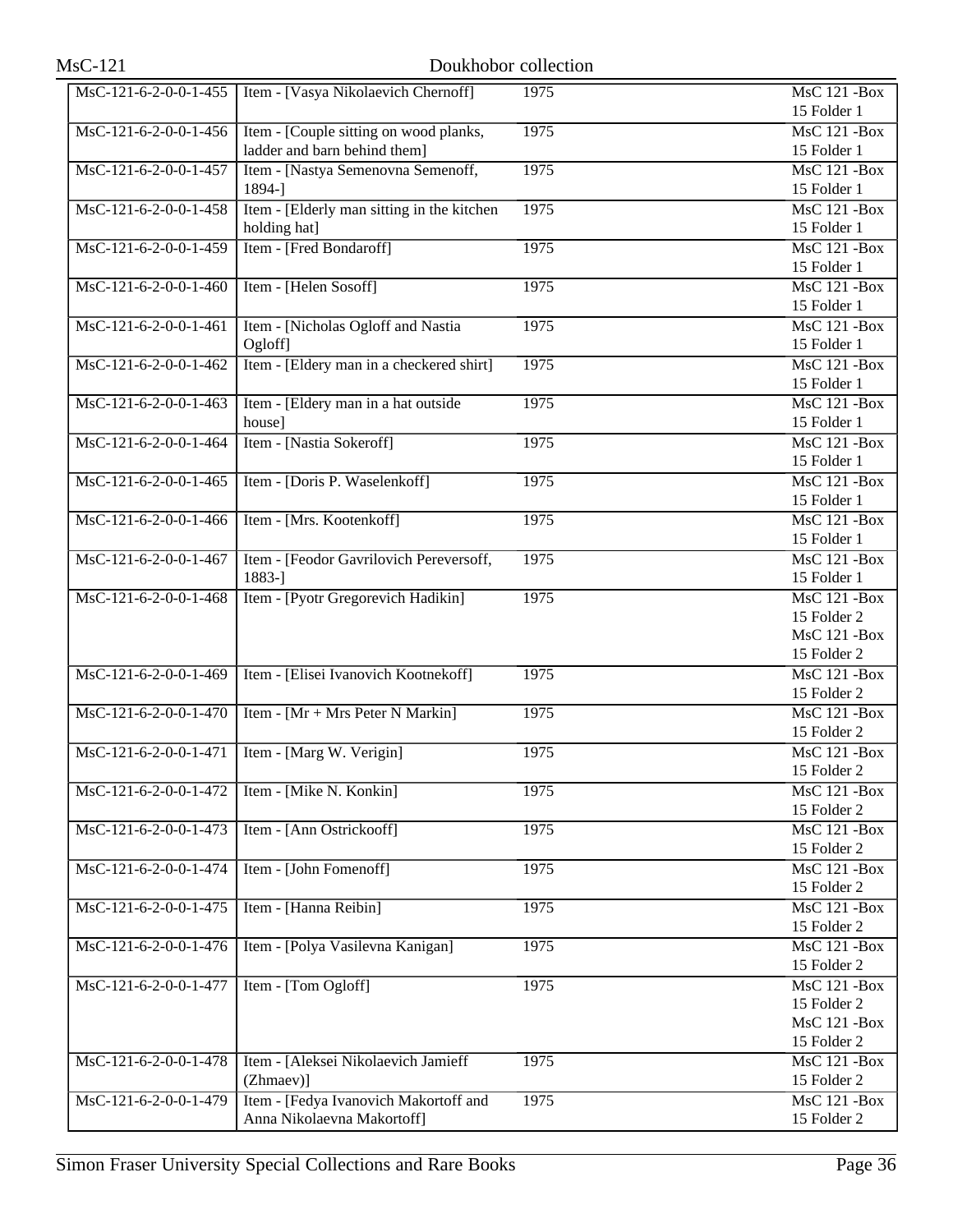| $MsC-121$               |                                            | Doukhobor collection |                     |
|-------------------------|--------------------------------------------|----------------------|---------------------|
| MsC-121-6-2-0-0-1-455   | Item - [Vasya Nikolaevich Chernoff]        | 1975                 | <b>MsC 121 -Box</b> |
|                         |                                            |                      | 15 Folder 1         |
| MsC-121-6-2-0-0-1-456   | Item - [Couple sitting on wood planks,     | 1975                 | $MsC$ 121 - Box     |
|                         | ladder and barn behind them]               |                      | 15 Folder 1         |
| MsC-121-6-2-0-0-1-457   | Item - [Nastya Semenovna Semenoff,         | 1975                 | <b>MsC 121 -Box</b> |
|                         | 1894-]                                     |                      | 15 Folder 1         |
| MsC-121-6-2-0-0-1-458   | Item - [Elderly man sitting in the kitchen | 1975                 | <b>MsC 121 -Box</b> |
|                         | holding hat]                               |                      | 15 Folder 1         |
| MsC-121-6-2-0-0-1-459   | Item - [Fred Bondaroff]                    | 1975                 | <b>MsC 121 -Box</b> |
|                         |                                            |                      | 15 Folder 1         |
| MsC-121-6-2-0-0-1-460   | Item - [Helen Sosoff]                      | 1975                 | <b>MsC 121 -Box</b> |
|                         |                                            |                      | 15 Folder 1         |
| MsC-121-6-2-0-0-1-461   | Item - [Nicholas Ogloff and Nastia         | 1975                 | <b>MsC 121 -Box</b> |
|                         | Ogloff]                                    |                      | 15 Folder 1         |
| MsC-121-6-2-0-0-1-462   | Item - [Eldery man in a checkered shirt]   | 1975                 | <b>MsC 121 -Box</b> |
|                         |                                            |                      | 15 Folder 1         |
| MsC-121-6-2-0-0-1-463   | Item - [Eldery man in a hat outside        | 1975                 | <b>MsC 121 -Box</b> |
|                         | house]                                     |                      | 15 Folder 1         |
| MsC-121-6-2-0-0-1-464   | Item - [Nastia Sokeroff]                   | 1975                 | <b>MsC 121 -Box</b> |
|                         |                                            |                      | 15 Folder 1         |
| $MsC-121-6-2-0-0-1-465$ | Item - [Doris P. Waselenkoff]              | 1975                 | <b>MsC 121 -Box</b> |
|                         |                                            |                      | 15 Folder 1         |
| MsC-121-6-2-0-0-1-466   | Item - [Mrs. Kootenkoff]                   | 1975                 | <b>MsC 121 -Box</b> |
|                         |                                            |                      | 15 Folder 1         |
| MsC-121-6-2-0-0-1-467   | Item - [Feodor Gavrilovich Pereversoff,    | 1975                 | <b>MsC 121 -Box</b> |
|                         | 1883-]                                     |                      | 15 Folder 1         |
| MsC-121-6-2-0-0-1-468   | Item - [Pyotr Gregorevich Hadikin]         | 1975                 | <b>MsC 121 -Box</b> |
|                         |                                            |                      | 15 Folder 2         |
|                         |                                            |                      | <b>MsC 121 -Box</b> |
|                         |                                            |                      | 15 Folder 2         |
| MsC-121-6-2-0-0-1-469   | Item - [Elisei Ivanovich Kootnekoff]       | 1975                 | <b>MsC 121 -Box</b> |
|                         |                                            |                      | 15 Folder 2         |
| MsC-121-6-2-0-0-1-470   | Item - [Mr + Mrs Peter N Markin]           | 1975                 | <b>MsC 121 -Box</b> |
|                         |                                            |                      | 15 Folder 2         |
| MsC-121-6-2-0-0-1-471   | Item - [Marg W. Verigin]                   | 1975                 | <b>MsC 121 -Box</b> |
|                         |                                            |                      | 15 Folder 2         |
| MsC-121-6-2-0-0-1-472   | Item - [Mike N. Konkin]                    | 1975                 | <b>MsC 121 -Box</b> |
|                         |                                            |                      | 15 Folder 2         |
| MsC-121-6-2-0-0-1-473   | Item - [Ann Ostrickooff]                   | 1975                 | <b>MsC 121 -Box</b> |
|                         |                                            |                      | 15 Folder 2         |
| MsC-121-6-2-0-0-1-474   | Item - [John Fomenoff]                     | 1975                 | <b>MsC 121 -Box</b> |
|                         |                                            |                      | 15 Folder 2         |
| MsC-121-6-2-0-0-1-475   | Item - [Hanna Reibin]                      | 1975                 | <b>MsC 121 -Box</b> |
|                         |                                            |                      | 15 Folder 2         |
| MsC-121-6-2-0-0-1-476   | Item - [Polya Vasilevna Kanigan]           | 1975                 | <b>MsC 121 -Box</b> |
|                         |                                            |                      | 15 Folder 2         |
| MsC-121-6-2-0-0-1-477   | Item - [Tom Ogloff]                        | 1975                 | <b>MsC 121 -Box</b> |
|                         |                                            |                      | 15 Folder 2         |
|                         |                                            |                      | <b>MsC 121 -Box</b> |
|                         |                                            |                      | 15 Folder 2         |
| MsC-121-6-2-0-0-1-478   | Item - [Aleksei Nikolaevich Jamieff        | 1975                 | <b>MsC 121 -Box</b> |
|                         | (Zhmaev)]                                  |                      | 15 Folder 2         |
| MsC-121-6-2-0-0-1-479   | Item - [Fedya Ivanovich Makortoff and      | 1975                 | <b>MsC 121 -Box</b> |
|                         | Anna Nikolaevna Makortoff]                 |                      | 15 Folder 2         |
|                         |                                            |                      |                     |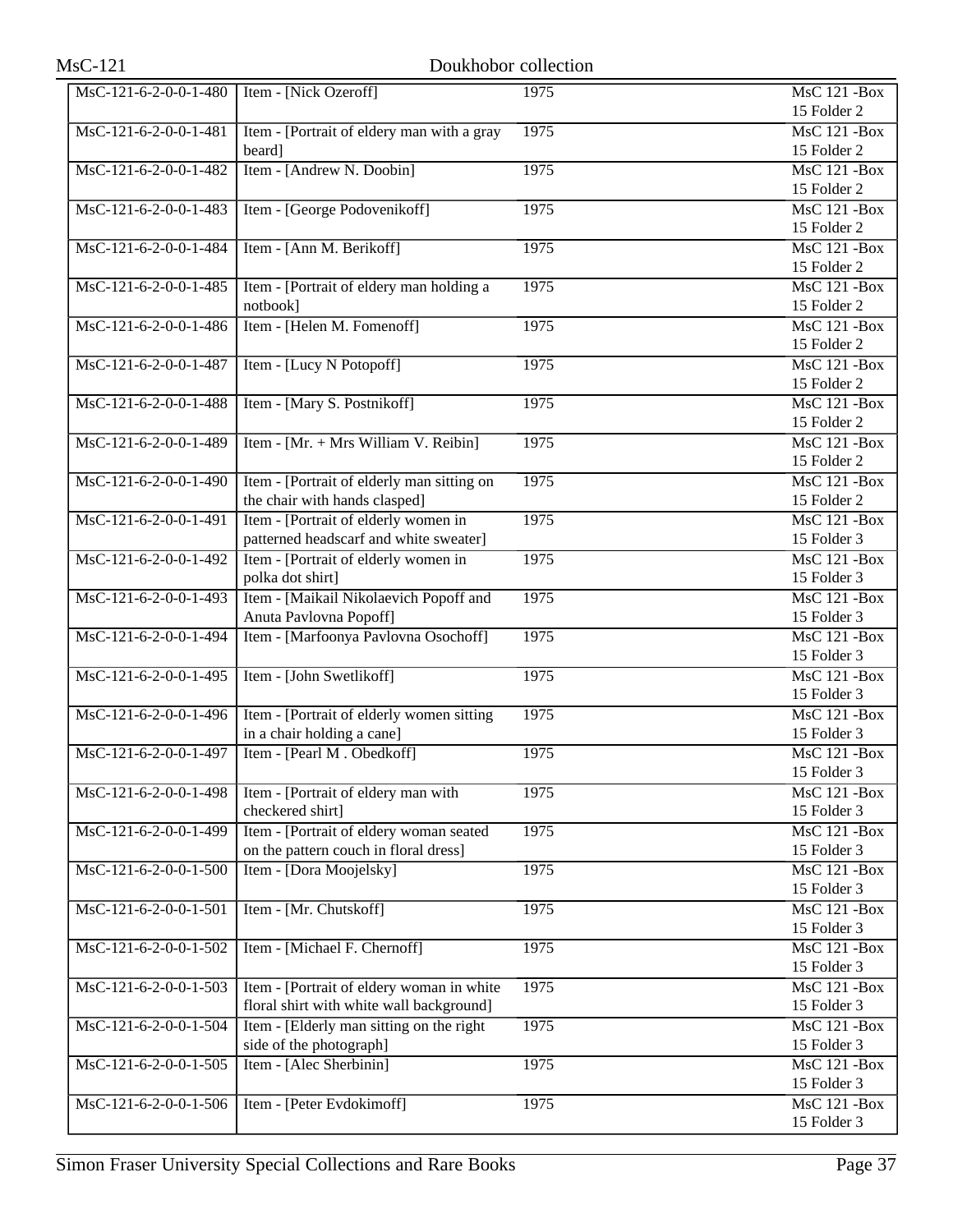| MsC-121-6-2-0-0-1-480   | Item - [Nick Ozeroff]                                                                 | 1975 | <b>MsC 121 -Box</b><br>15 Folder 2              |
|-------------------------|---------------------------------------------------------------------------------------|------|-------------------------------------------------|
| MsC-121-6-2-0-0-1-481   | Item - [Portrait of eldery man with a gray<br>beard]                                  | 1975 | $\overline{\text{MsC}}$ 121 -Box<br>15 Folder 2 |
| MsC-121-6-2-0-0-1-482   | Item - [Andrew N. Doobin]                                                             | 1975 | <b>MsC 121 -Box</b><br>15 Folder 2              |
| MsC-121-6-2-0-0-1-483   | Item - [George Podovenikoff]                                                          | 1975 | <b>MsC 121 -Box</b><br>15 Folder 2              |
| MsC-121-6-2-0-0-1-484   | Item - [Ann M. Berikoff]                                                              | 1975 | $MsC$ 121 - Box<br>15 Folder 2                  |
| MsC-121-6-2-0-0-1-485   | Item - [Portrait of eldery man holding a<br>notbook]                                  | 1975 | $MsC$ 121 - Box<br>15 Folder 2                  |
| MsC-121-6-2-0-0-1-486   | Item - [Helen M. Fomenoff]                                                            | 1975 | $MsC$ 121 - Box<br>15 Folder 2                  |
| MsC-121-6-2-0-0-1-487   | Item - [Lucy N Potopoff]                                                              | 1975 | <b>MsC 121 -Box</b><br>15 Folder 2              |
| MsC-121-6-2-0-0-1-488   | Item - [Mary S. Postnikoff]                                                           | 1975 | $MsC$ 121 - Box<br>15 Folder 2                  |
| MsC-121-6-2-0-0-1-489   | Item - [Mr. + Mrs William V. Reibin]                                                  | 1975 | <b>MsC 121 -Box</b><br>15 Folder 2              |
| MsC-121-6-2-0-0-1-490   | Item - [Portrait of elderly man sitting on<br>the chair with hands clasped]           | 1975 | <b>MsC 121 -Box</b><br>15 Folder 2              |
| MsC-121-6-2-0-0-1-491   | Item - [Portrait of elderly women in<br>patterned headscarf and white sweater]        | 1975 | <b>MsC 121 -Box</b><br>15 Folder 3              |
| MsC-121-6-2-0-0-1-492   | Item - [Portrait of elderly women in<br>polka dot shirt]                              | 1975 | <b>MsC 121 -Box</b><br>15 Folder 3              |
| MsC-121-6-2-0-0-1-493   | Item - [Maikail Nikolaevich Popoff and<br>Anuta Pavlovna Popoff]                      | 1975 | $\overline{\text{MsC}}$ 121 -Box<br>15 Folder 3 |
| MsC-121-6-2-0-0-1-494   | Item - [Marfoonya Pavlovna Osochoff]                                                  | 1975 | <b>MsC 121 -Box</b><br>15 Folder 3              |
| MsC-121-6-2-0-0-1-495   | Item - [John Swetlikoff]                                                              | 1975 | <b>MsC 121 -Box</b><br>15 Folder 3              |
| MsC-121-6-2-0-0-1-496   | Item - [Portrait of elderly women sitting]<br>in a chair holding a cane]              | 1975 | <b>MsC 121 -Box</b><br>15 Folder 3              |
| MsC-121-6-2-0-0-1-497   | Item - [Pearl M. Obedkoff]                                                            | 1975 | <b>MsC 121 -Box</b><br>15 Folder 3              |
| MsC-121-6-2-0-0-1-498   | Item - [Portrait of eldery man with<br>checkered shirt]                               | 1975 | <b>MsC 121 -Box</b><br>15 Folder 3              |
| MsC-121-6-2-0-0-1-499   | Item - [Portrait of eldery woman seated<br>on the pattern couch in floral dress]      | 1975 | <b>MsC 121 -Box</b><br>15 Folder 3              |
| MsC-121-6-2-0-0-1-500   | Item - [Dora Moojelsky]                                                               | 1975 | <b>MsC 121 -Box</b><br>15 Folder 3              |
| MsC-121-6-2-0-0-1-501   | Item - [Mr. Chutskoff]                                                                | 1975 | <b>MsC 121 -Box</b><br>15 Folder 3              |
| MsC-121-6-2-0-0-1-502   | Item - [Michael F. Chernoff]                                                          | 1975 | <b>MsC 121 -Box</b><br>15 Folder 3              |
| $MsC-121-6-2-0-0-1-503$ | Item - [Portrait of eldery woman in white<br>floral shirt with white wall background] | 1975 | <b>MsC 121 -Box</b><br>15 Folder 3              |
| MsC-121-6-2-0-0-1-504   | Item - [Elderly man sitting on the right<br>side of the photograph]                   | 1975 | <b>MsC 121 -Box</b><br>15 Folder 3              |
| MsC-121-6-2-0-0-1-505   | Item - [Alec Sherbinin]                                                               | 1975 | <b>MsC 121 -Box</b><br>15 Folder 3              |
| MsC-121-6-2-0-0-1-506   | Item - [Peter Evdokimoff]                                                             | 1975 | <b>MsC 121 -Box</b><br>15 Folder 3              |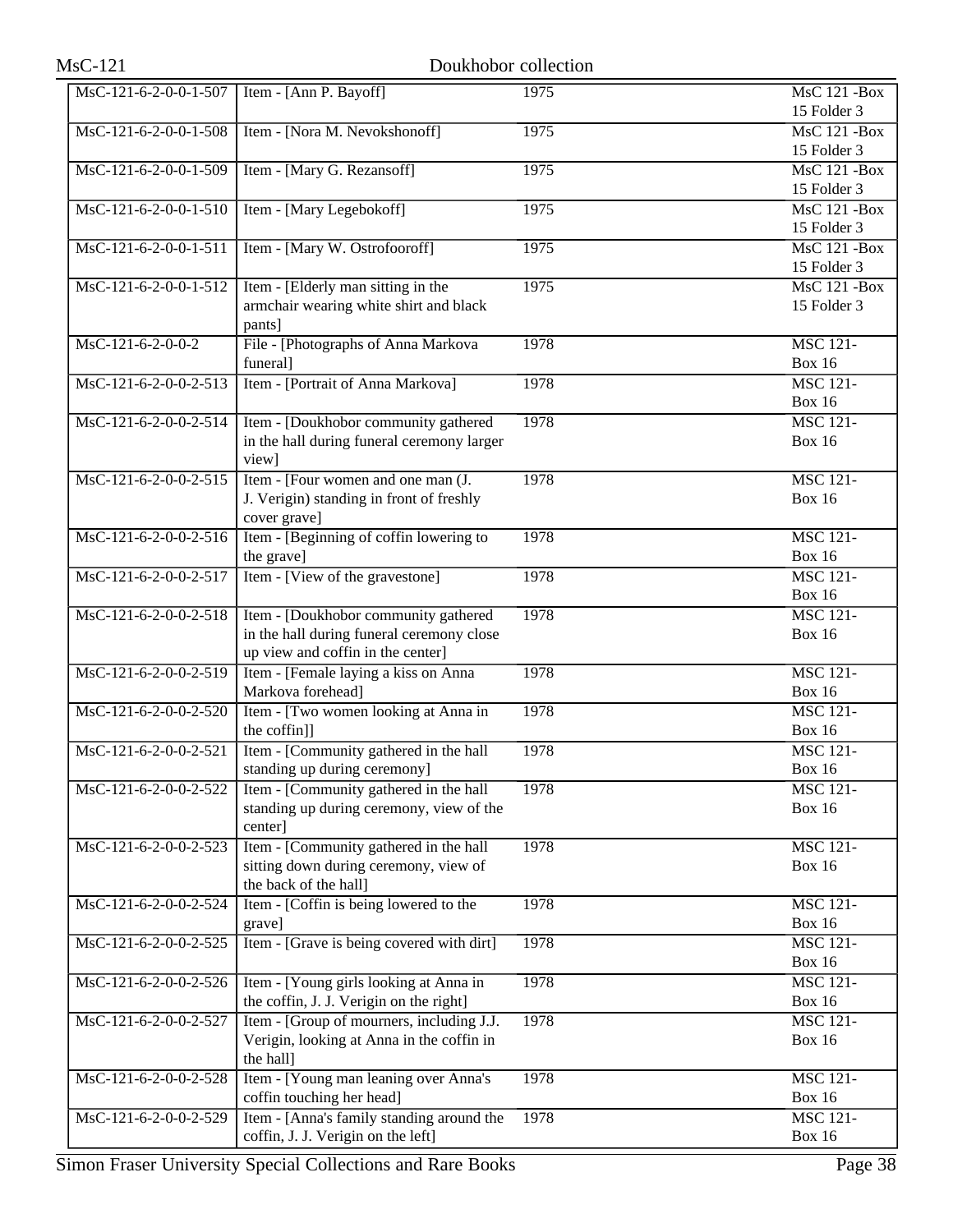| $MsC-121$               | Doukhobor collection                                                                                                   |      |                                    |
|-------------------------|------------------------------------------------------------------------------------------------------------------------|------|------------------------------------|
| MsC-121-6-2-0-0-1-507   | Item - [Ann P. Bayoff]                                                                                                 | 1975 | <b>MsC 121 -Box</b><br>15 Folder 3 |
| MsC-121-6-2-0-0-1-508   | Item - [Nora M. Nevokshonoff]                                                                                          | 1975 | <b>MsC 121 -Box</b><br>15 Folder 3 |
| MsC-121-6-2-0-0-1-509   | Item - [Mary G. Rezansoff]                                                                                             | 1975 | <b>MsC 121 -Box</b><br>15 Folder 3 |
| MsC-121-6-2-0-0-1-510   | Item - [Mary Legebokoff]                                                                                               | 1975 | <b>MsC 121 -Box</b><br>15 Folder 3 |
| $MsC-121-6-2-0-0-1-511$ | Item - [Mary W. Ostrofooroff]                                                                                          | 1975 | <b>MsC 121 -Box</b><br>15 Folder 3 |
| MsC-121-6-2-0-0-1-512   | Item - [Elderly man sitting in the<br>armchair wearing white shirt and black<br>pants]                                 | 1975 | <b>MsC 121 -Box</b><br>15 Folder 3 |
| $MsC-121-6-2-0-0-2$     | File - [Photographs of Anna Markova<br>funeral]                                                                        | 1978 | <b>MSC 121-</b><br><b>Box 16</b>   |
| $MsC-121-6-2-0-0-2-513$ | Item - [Portrait of Anna Markova]                                                                                      | 1978 | <b>MSC 121-</b><br><b>Box 16</b>   |
| MsC-121-6-2-0-0-2-514   | Item - [Doukhobor community gathered<br>in the hall during funeral ceremony larger<br>view]                            | 1978 | <b>MSC 121-</b><br><b>Box 16</b>   |
| MsC-121-6-2-0-0-2-515   | Item - [Four women and one man (J.<br>J. Verigin) standing in front of freshly<br>cover grave]                         | 1978 | <b>MSC 121-</b><br><b>Box 16</b>   |
| MsC-121-6-2-0-0-2-516   | Item - [Beginning of coffin lowering to<br>the grave]                                                                  | 1978 | <b>MSC 121-</b><br><b>Box 16</b>   |
| MsC-121-6-2-0-0-2-517   | Item - [View of the gravestone]                                                                                        | 1978 | <b>MSC 121-</b><br><b>Box 16</b>   |
| MsC-121-6-2-0-0-2-518   | Item - [Doukhobor community gathered<br>in the hall during funeral ceremony close<br>up view and coffin in the center] | 1978 | <b>MSC 121-</b><br><b>Box 16</b>   |
| MsC-121-6-2-0-0-2-519   | Item - [Female laying a kiss on Anna<br>Markova forehead]                                                              | 1978 | <b>MSC 121-</b><br><b>Box 16</b>   |
| MsC-121-6-2-0-0-2-520   | Item - [Two women looking at Anna in<br>the coffin]]                                                                   | 1978 | <b>MSC 121-</b><br><b>Box 16</b>   |
| MsC-121-6-2-0-0-2-521   | Item - [Community gathered in the hall<br>standing up during ceremony]                                                 | 1978 | <b>MSC 121-</b><br><b>Box 16</b>   |
| MsC-121-6-2-0-0-2-522   | Item - [Community gathered in the hall<br>standing up during ceremony, view of the<br>center]                          | 1978 | <b>MSC 121-</b><br><b>Box 16</b>   |
| MsC-121-6-2-0-0-2-523   | Item - [Community gathered in the hall<br>sitting down during ceremony, view of<br>the back of the hall]               | 1978 | <b>MSC 121-</b><br><b>Box 16</b>   |
| MsC-121-6-2-0-0-2-524   | Item - [Coffin is being lowered to the<br>grave]                                                                       | 1978 | <b>MSC 121-</b><br><b>Box 16</b>   |
| MsC-121-6-2-0-0-2-525   | Item - [Grave is being covered with dirt]                                                                              | 1978 | <b>MSC 121-</b><br><b>Box 16</b>   |
| MsC-121-6-2-0-0-2-526   | Item - [Young girls looking at Anna in<br>the coffin, J. J. Verigin on the right]                                      | 1978 | <b>MSC 121-</b><br><b>Box 16</b>   |
| MsC-121-6-2-0-0-2-527   | Item - [Group of mourners, including J.J.<br>Verigin, looking at Anna in the coffin in<br>the hall]                    | 1978 | <b>MSC 121-</b><br><b>Box 16</b>   |
| MsC-121-6-2-0-0-2-528   | Item - [Young man leaning over Anna's<br>coffin touching her head]                                                     | 1978 | <b>MSC 121-</b><br><b>Box 16</b>   |
| MsC-121-6-2-0-0-2-529   | Item - [Anna's family standing around the<br>coffin, J. J. Verigin on the left]                                        | 1978 | <b>MSC 121-</b><br><b>Box 16</b>   |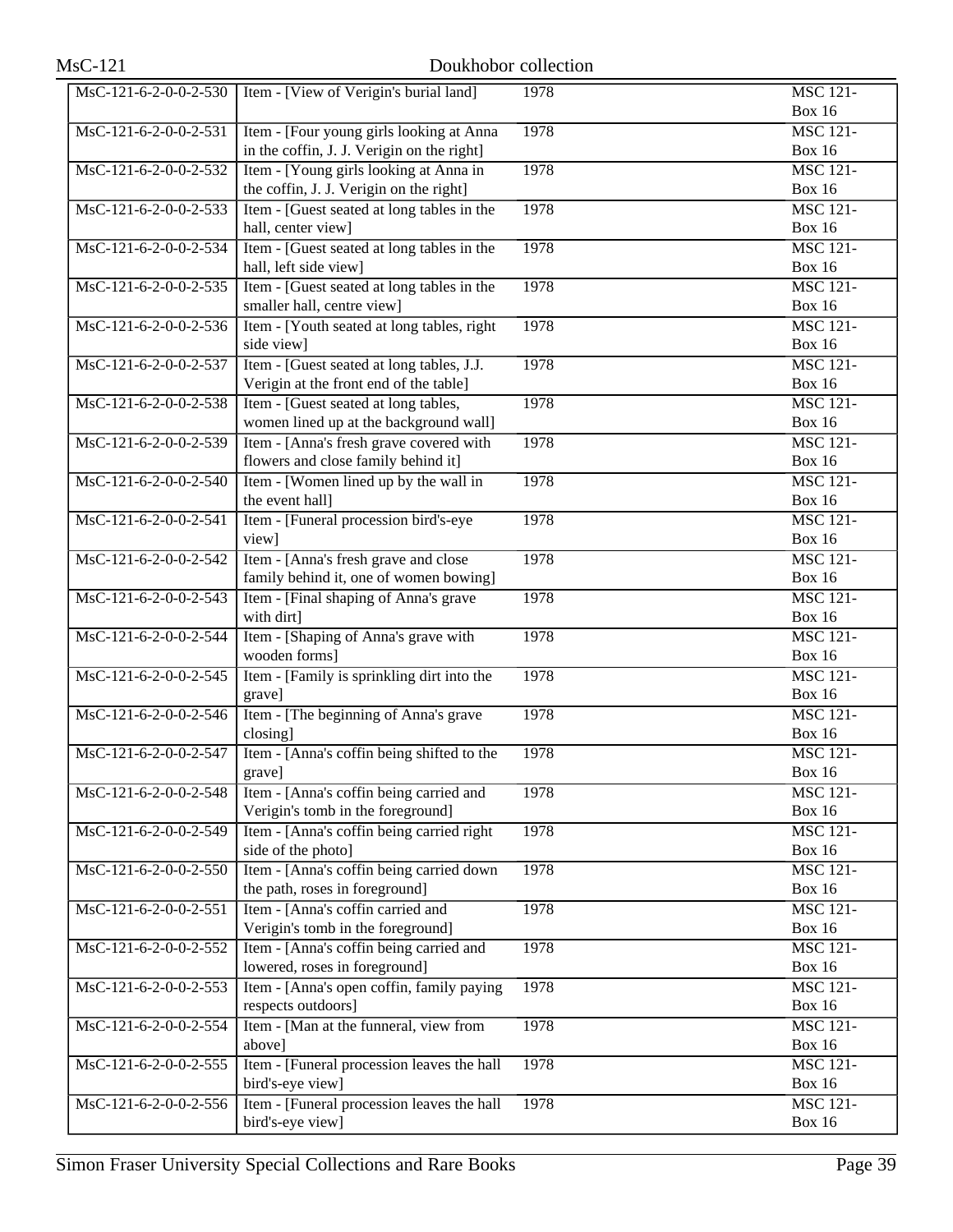| $MsC-121$                                 | Doukhobor collection                                                       |      |                                                |
|-------------------------------------------|----------------------------------------------------------------------------|------|------------------------------------------------|
| $\overline{\text{MsC-121-6-2-0-0-2-530}}$ | Item - [View of Verigin's burial land]                                     | 1978 | <b>MSC 121-</b>                                |
|                                           |                                                                            |      | <b>Box 16</b>                                  |
| MsC-121-6-2-0-0-2-531                     | Item - [Four young girls looking at Anna                                   | 1978 | <b>MSC 121-</b>                                |
|                                           | in the coffin, J. J. Verigin on the right]                                 |      | <b>Box 16</b>                                  |
| MsC-121-6-2-0-0-2-532                     | Item - [Young girls looking at Anna in                                     | 1978 | <b>MSC 121-</b>                                |
|                                           | the coffin, J. J. Verigin on the right]                                    |      | <b>Box 16</b>                                  |
| MsC-121-6-2-0-0-2-533                     | Item - [Guest seated at long tables in the                                 | 1978 | <b>MSC 121-</b>                                |
| MsC-121-6-2-0-0-2-534                     | hall, center view]<br>Item - [Guest seated at long tables in the           | 1978 | <b>Box 16</b><br><b>MSC 121-</b>               |
|                                           | hall, left side view]                                                      |      | <b>Box 16</b>                                  |
| MsC-121-6-2-0-0-2-535                     | Item - [Guest seated at long tables in the                                 | 1978 | <b>MSC 121-</b>                                |
|                                           | smaller hall, centre view]                                                 |      | <b>Box 16</b>                                  |
| MsC-121-6-2-0-0-2-536                     | Item - [Youth seated at long tables, right                                 | 1978 | <b>MSC 121-</b>                                |
|                                           | side view]                                                                 |      | <b>Box 16</b>                                  |
| MsC-121-6-2-0-0-2-537                     | Item - [Guest seated at long tables, J.J.                                  | 1978 | <b>MSC 121-</b>                                |
|                                           | Verigin at the front end of the table]                                     |      | <b>Box 16</b>                                  |
| MsC-121-6-2-0-0-2-538                     | Item - [Guest seated at long tables,                                       | 1978 | <b>MSC 121-</b>                                |
|                                           | women lined up at the background wall]                                     |      | <b>Box 16</b>                                  |
| MsC-121-6-2-0-0-2-539                     | Item - [Anna's fresh grave covered with                                    | 1978 | <b>MSC 121-</b>                                |
| MsC-121-6-2-0-0-2-540                     | flowers and close family behind it]                                        |      | <b>Box 16</b><br><b>MSC 121-</b>               |
|                                           | Item - [Women lined up by the wall in<br>the event hall]                   | 1978 | <b>Box 16</b>                                  |
| MsC-121-6-2-0-0-2-541                     | Item - [Funeral procession bird's-eye                                      | 1978 | <b>MSC 121-</b>                                |
|                                           | view]                                                                      |      | <b>Box 16</b>                                  |
| MsC-121-6-2-0-0-2-542                     | Item - [Anna's fresh grave and close                                       | 1978 | <b>MSC 121-</b>                                |
|                                           | family behind it, one of women bowing]                                     |      | <b>Box 16</b>                                  |
| MsC-121-6-2-0-0-2-543                     | Item - [Final shaping of Anna's grave                                      | 1978 | <b>MSC 121-</b>                                |
|                                           | with dirt]                                                                 |      | <b>Box 16</b>                                  |
| MsC-121-6-2-0-0-2-544                     | Item - [Shaping of Anna's grave with                                       | 1978 | <b>MSC 121-</b>                                |
|                                           | wooden forms]                                                              |      | <b>Box 16</b>                                  |
| MsC-121-6-2-0-0-2-545                     | Item - [Family is sprinkling dirt into the                                 | 1978 | <b>MSC 121-</b>                                |
|                                           | grave]                                                                     |      | <b>Box 16</b>                                  |
| MsC-121-6-2-0-0-2-546                     | Item - [The beginning of Anna's grave<br>closing]                          | 1978 | <b>MSC 121-</b><br><b>Box 16</b>               |
| MsC-121-6-2-0-0-2-547                     | Item - [Anna's coffin being shifted to the                                 | 1978 | <b>MSC 121-</b>                                |
|                                           | grave]                                                                     |      | <b>Box 16</b>                                  |
| MsC-121-6-2-0-0-2-548                     | Item - [Anna's coffin being carried and                                    | 1978 | <b>MSC 121-</b>                                |
|                                           | Verigin's tomb in the foreground]                                          |      | <b>Box 16</b>                                  |
| MsC-121-6-2-0-0-2-549                     | Item - [Anna's coffin being carried right                                  | 1978 | <b>MSC 121-</b>                                |
|                                           | side of the photo]                                                         |      | <b>Box 16</b>                                  |
| MsC-121-6-2-0-0-2-550                     | Item - [Anna's coffin being carried down                                   | 1978 | <b>MSC 121-</b>                                |
|                                           | the path, roses in foreground]                                             |      | <b>Box 16</b>                                  |
| MsC-121-6-2-0-0-2-551                     | Item - [Anna's coffin carried and                                          | 1978 | <b>MSC 121-</b>                                |
|                                           | Verigin's tomb in the foreground]                                          |      | <b>Box 16</b>                                  |
| MsC-121-6-2-0-0-2-552                     | Item - [Anna's coffin being carried and                                    | 1978 | <b>MSC 121-</b>                                |
|                                           | lowered, roses in foreground]<br>Item - [Anna's open coffin, family paying | 1978 | <b>Box 16</b><br>$\overline{\text{MSC }121}$ - |
| MsC-121-6-2-0-0-2-553                     | respects outdoors]                                                         |      | <b>Box 16</b>                                  |
| MsC-121-6-2-0-0-2-554                     | Item - [Man at the funneral, view from                                     | 1978 | <b>MSC 121-</b>                                |
|                                           | above]                                                                     |      | <b>Box 16</b>                                  |
| MsC-121-6-2-0-0-2-555                     | Item - [Funeral procession leaves the hall                                 | 1978 | <b>MSC 121-</b>                                |
|                                           | bird's-eye view]                                                           |      | <b>Box 16</b>                                  |
| MsC-121-6-2-0-0-2-556                     | Item - [Funeral procession leaves the hall                                 | 1978 | <b>MSC 121-</b>                                |
|                                           | bird's-eye view]                                                           |      | <b>Box 16</b>                                  |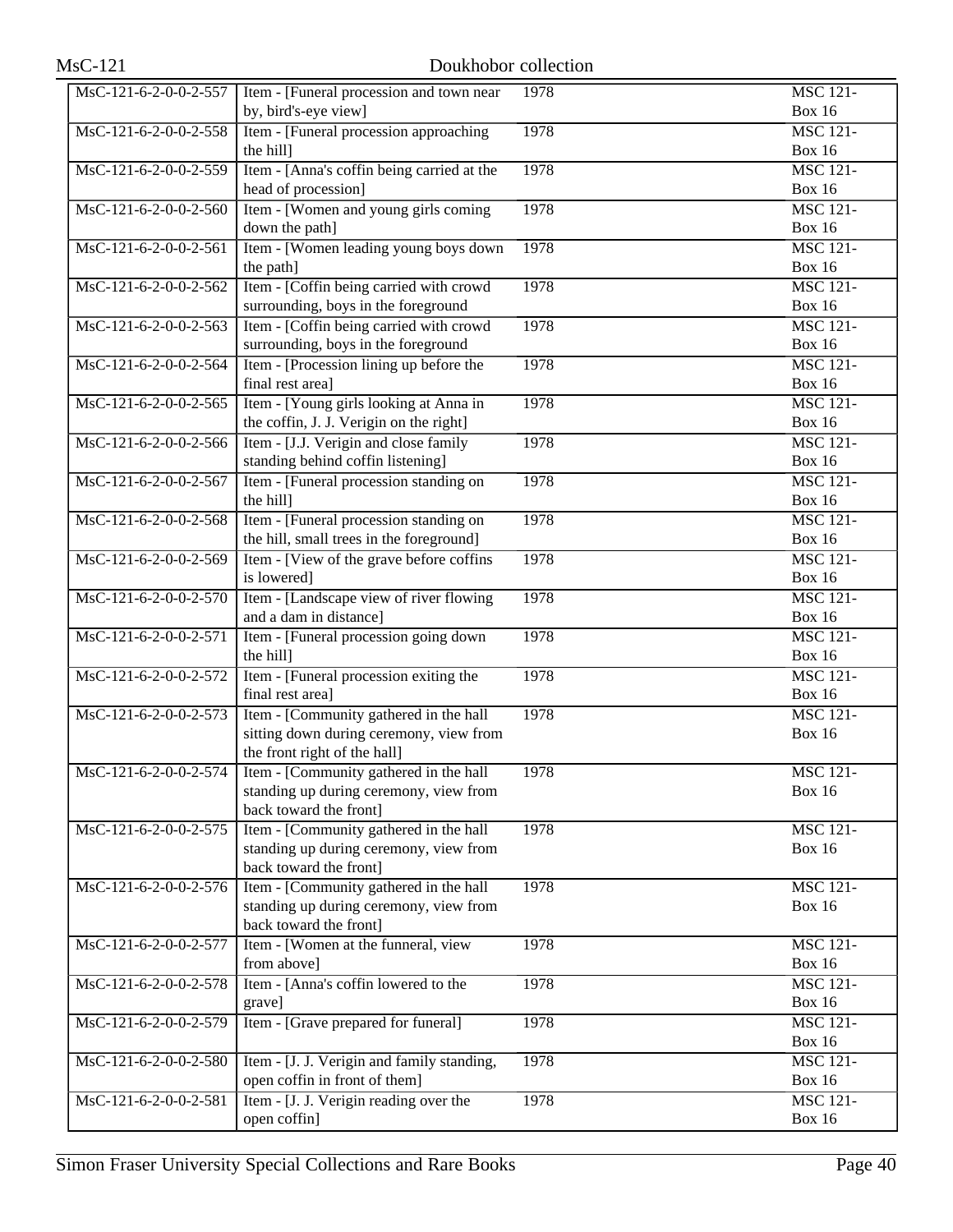| <b>MsC-121</b>          | Doukhobor collection                                                    |      |                                  |
|-------------------------|-------------------------------------------------------------------------|------|----------------------------------|
| MsC-121-6-2-0-0-2-557   | Item - [Funeral procession and town near                                | 1978 | <b>MSC 121-</b>                  |
|                         | by, bird's-eye view]                                                    |      | <b>Box 16</b>                    |
| MsC-121-6-2-0-0-2-558   | Item - [Funeral procession approaching]                                 | 1978 | <b>MSC 121-</b>                  |
|                         | the hill]                                                               |      | <b>Box 16</b>                    |
| MsC-121-6-2-0-0-2-559   | Item - [Anna's coffin being carried at the<br>head of procession]       | 1978 | <b>MSC 121-</b><br><b>Box 16</b> |
| MsC-121-6-2-0-0-2-560   | Item - [Women and young girls coming                                    | 1978 | <b>MSC 121-</b>                  |
|                         | down the path]                                                          |      | <b>Box 16</b>                    |
| MsC-121-6-2-0-0-2-561   | Item - [Women leading young boys down                                   | 1978 | <b>MSC 121-</b>                  |
|                         | the path]                                                               |      | <b>Box 16</b>                    |
| MsC-121-6-2-0-0-2-562   | Item - [Coffin being carried with crowd                                 | 1978 | <b>MSC 121-</b>                  |
|                         | surrounding, boys in the foreground                                     |      | <b>Box 16</b>                    |
| MsC-121-6-2-0-0-2-563   | Item - [Coffin being carried with crowd                                 | 1978 | <b>MSC 121-</b>                  |
|                         | surrounding, boys in the foreground                                     |      | <b>Box 16</b>                    |
| MsC-121-6-2-0-0-2-564   | Item - [Procession lining up before the                                 | 1978 | <b>MSC 121-</b>                  |
|                         | final rest area]                                                        |      | <b>Box 16</b>                    |
| MsC-121-6-2-0-0-2-565   | Item - [Young girls looking at Anna in                                  | 1978 | <b>MSC 121-</b>                  |
|                         | the coffin, J. J. Verigin on the right]                                 |      | <b>Box 16</b>                    |
| MsC-121-6-2-0-0-2-566   | Item - [J.J. Verigin and close family                                   | 1978 | <b>MSC 121-</b>                  |
|                         | standing behind coffin listening]                                       |      | <b>Box 16</b>                    |
| MsC-121-6-2-0-0-2-567   | Item - [Funeral procession standing on<br>the hill]                     | 1978 | <b>MSC 121-</b><br><b>Box 16</b> |
| MsC-121-6-2-0-0-2-568   | Item - [Funeral procession standing on                                  | 1978 | <b>MSC 121-</b>                  |
|                         | the hill, small trees in the foreground]                                |      | <b>Box 16</b>                    |
| MsC-121-6-2-0-0-2-569   | Item - [View of the grave before coffins                                | 1978 | <b>MSC 121-</b>                  |
|                         | is lowered]                                                             |      | <b>Box 16</b>                    |
| MsC-121-6-2-0-0-2-570   | Item - [Landscape view of river flowing                                 | 1978 | <b>MSC 121-</b>                  |
|                         | and a dam in distance]                                                  |      | <b>Box 16</b>                    |
| MsC-121-6-2-0-0-2-571   | Item - [Funeral procession going down                                   | 1978 | <b>MSC 121-</b>                  |
|                         | the hill]                                                               |      | <b>Box 16</b>                    |
| MsC-121-6-2-0-0-2-572   | Item - [Funeral procession exiting the                                  | 1978 | <b>MSC 121-</b>                  |
|                         | final rest area]                                                        |      | <b>Box 16</b>                    |
| $MsC-121-6-2-0-0-2-573$ | Item - [Community gathered in the hall                                  | 1978 | <b>MSC 121-</b>                  |
|                         | sitting down during ceremony, view from<br>the front right of the hall] |      | <b>Box 16</b>                    |
| MsC-121-6-2-0-0-2-574   | Item - [Community gathered in the hall                                  | 1978 | <b>MSC 121-</b>                  |
|                         | standing up during ceremony, view from                                  |      | <b>Box 16</b>                    |
|                         | back toward the front]                                                  |      |                                  |
| MsC-121-6-2-0-0-2-575   | Item - [Community gathered in the hall                                  | 1978 | <b>MSC 121-</b>                  |
|                         | standing up during ceremony, view from                                  |      | <b>Box 16</b>                    |
|                         | back toward the front]                                                  |      |                                  |
| MsC-121-6-2-0-0-2-576   | Item - [Community gathered in the hall                                  | 1978 | <b>MSC 121-</b>                  |
|                         | standing up during ceremony, view from                                  |      | <b>Box 16</b>                    |
|                         | back toward the front]                                                  |      |                                  |
| MsC-121-6-2-0-0-2-577   | Item - [Women at the funneral, view                                     | 1978 | <b>MSC 121-</b>                  |
|                         | from above]                                                             |      | <b>Box 16</b>                    |
| MsC-121-6-2-0-0-2-578   | Item - [Anna's coffin lowered to the                                    | 1978 | <b>MSC 121-</b>                  |
|                         | grave]                                                                  |      | <b>Box 16</b>                    |
| MsC-121-6-2-0-0-2-579   | Item - [Grave prepared for funeral]                                     | 1978 | <b>MSC 121-</b><br><b>Box 16</b> |
| MsC-121-6-2-0-0-2-580   | Item - [J. J. Verigin and family standing,                              | 1978 | <b>MSC 121-</b>                  |
|                         | open coffin in front of them]                                           |      | <b>Box 16</b>                    |
| MsC-121-6-2-0-0-2-581   | Item - [J. J. Verigin reading over the                                  | 1978 | <b>MSC 121-</b>                  |
|                         | open coffin]                                                            |      | <b>Box 16</b>                    |
|                         |                                                                         |      |                                  |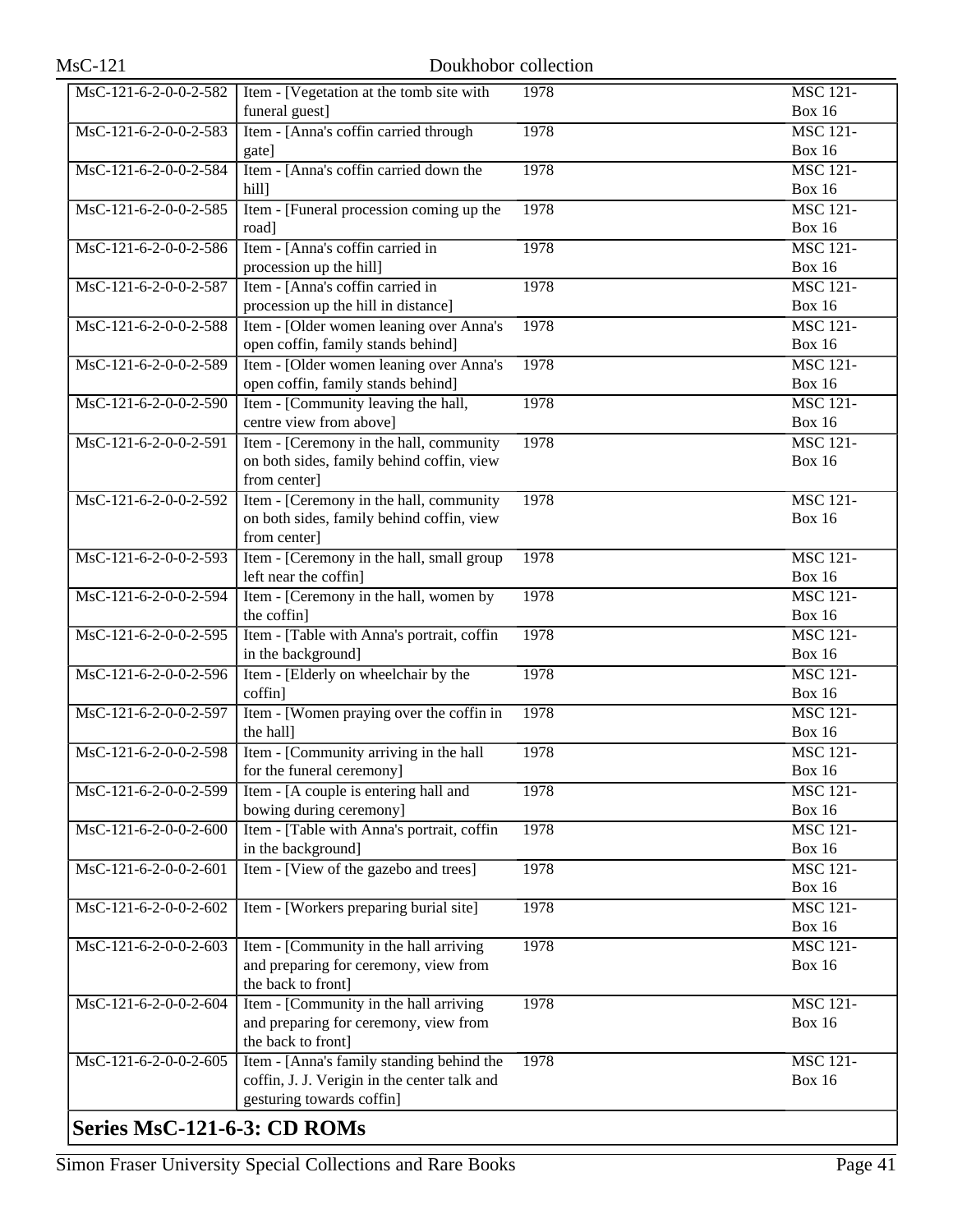| MsC-121-6-2-0-0-2-582       | Item - [Vegetation at the tomb site with              | 1978 | <b>MSC 121-</b>                  |
|-----------------------------|-------------------------------------------------------|------|----------------------------------|
|                             | funeral guest]                                        |      | <b>Box 16</b>                    |
| MsC-121-6-2-0-0-2-583       | Item - [Anna's coffin carried through                 | 1978 | <b>MSC 121-</b>                  |
|                             | gate]                                                 |      | <b>Box 16</b>                    |
| MsC-121-6-2-0-0-2-584       | Item - [Anna's coffin carried down the                | 1978 | <b>MSC 121-</b>                  |
|                             | hill]                                                 |      | <b>Box 16</b>                    |
| MsC-121-6-2-0-0-2-585       | Item - [Funeral procession coming up the              | 1978 | <b>MSC 121-</b>                  |
|                             | road]                                                 |      | <b>Box 16</b>                    |
| MsC-121-6-2-0-0-2-586       | Item - [Anna's coffin carried in                      | 1978 | <b>MSC 121-</b>                  |
|                             | procession up the hill]                               |      | <b>Box 16</b>                    |
| MsC-121-6-2-0-0-2-587       | Item - [Anna's coffin carried in                      | 1978 | <b>MSC 121-</b>                  |
|                             | procession up the hill in distance]                   |      | <b>Box 16</b>                    |
| MsC-121-6-2-0-0-2-588       | Item - [Older women leaning over Anna's               | 1978 | <b>MSC 121-</b>                  |
|                             | open coffin, family stands behind]                    |      | <b>Box 16</b>                    |
| MsC-121-6-2-0-0-2-589       | Item - [Older women leaning over Anna's               | 1978 | <b>MSC 121-</b>                  |
|                             | open coffin, family stands behind]                    |      | <b>Box 16</b>                    |
| MsC-121-6-2-0-0-2-590       | Item - [Community leaving the hall,                   | 1978 | <b>MSC 121-</b>                  |
|                             | centre view from above]                               |      | <b>Box 16</b>                    |
| MsC-121-6-2-0-0-2-591       | Item - [Ceremony in the hall, community               | 1978 | <b>MSC 121-</b>                  |
|                             | on both sides, family behind coffin, view             |      | <b>Box 16</b>                    |
|                             | from center]                                          |      |                                  |
| MsC-121-6-2-0-0-2-592       | Item - [Ceremony in the hall, community               | 1978 | <b>MSC 121-</b>                  |
|                             | on both sides, family behind coffin, view             |      | <b>Box 16</b>                    |
|                             | from center]                                          |      |                                  |
| MsC-121-6-2-0-0-2-593       | Item - [Ceremony in the hall, small group             | 1978 | <b>MSC 121-</b>                  |
|                             | left near the coffin]                                 |      | <b>Box 16</b><br><b>MSC 121-</b> |
| MsC-121-6-2-0-0-2-594       | Item - [Ceremony in the hall, women by<br>the coffin] | 1978 | <b>Box 16</b>                    |
| MsC-121-6-2-0-0-2-595       | Item - [Table with Anna's portrait, coffin            | 1978 | <b>MSC 121-</b>                  |
|                             | in the background]                                    |      | <b>Box 16</b>                    |
| MsC-121-6-2-0-0-2-596       | Item - [Elderly on wheelchair by the                  | 1978 | <b>MSC 121-</b>                  |
|                             | coffin]                                               |      | <b>Box 16</b>                    |
| MsC-121-6-2-0-0-2-597       | Item - [Women praying over the coffin in              | 1978 | <b>MSC 121-</b>                  |
|                             | the hall]                                             |      | <b>Box 16</b>                    |
| MsC-121-6-2-0-0-2-598       | Item - [Community arriving in the hall                | 1978 | <b>MSC 121-</b>                  |
|                             | for the funeral ceremony]                             |      | <b>Box 16</b>                    |
| MsC-121-6-2-0-0-2-599       | Item - [A couple is entering hall and                 | 1978 | <b>MSC 121-</b>                  |
|                             | bowing during ceremony]                               |      | <b>Box 16</b>                    |
| MsC-121-6-2-0-0-2-600       | Item - [Table with Anna's portrait, coffin            | 1978 | <b>MSC 121-</b>                  |
|                             | in the background]                                    |      | <b>Box 16</b>                    |
| MsC-121-6-2-0-0-2-601       | Item - [View of the gazebo and trees]                 | 1978 | <b>MSC 121-</b>                  |
|                             |                                                       |      | <b>Box 16</b>                    |
| MsC-121-6-2-0-0-2-602       | Item - [Workers preparing burial site]                | 1978 | <b>MSC 121-</b>                  |
|                             | Item - [Community in the hall arriving]               | 1978 | <b>Box 16</b>                    |
| MsC-121-6-2-0-0-2-603       | and preparing for ceremony, view from                 |      | <b>MSC 121-</b><br><b>Box 16</b> |
|                             | the back to front]                                    |      |                                  |
| MsC-121-6-2-0-0-2-604       | Item - [Community in the hall arriving                | 1978 | <b>MSC 121-</b>                  |
|                             | and preparing for ceremony, view from                 |      | <b>Box 16</b>                    |
|                             | the back to front]                                    |      |                                  |
| MsC-121-6-2-0-0-2-605       | Item - [Anna's family standing behind the             | 1978 | <b>MSC 121-</b>                  |
|                             | coffin, J. J. Verigin in the center talk and          |      | <b>Box 16</b>                    |
|                             | gesturing towards coffin]                             |      |                                  |
| Series MsC-121-6-3: CD ROMs |                                                       |      |                                  |
|                             |                                                       |      |                                  |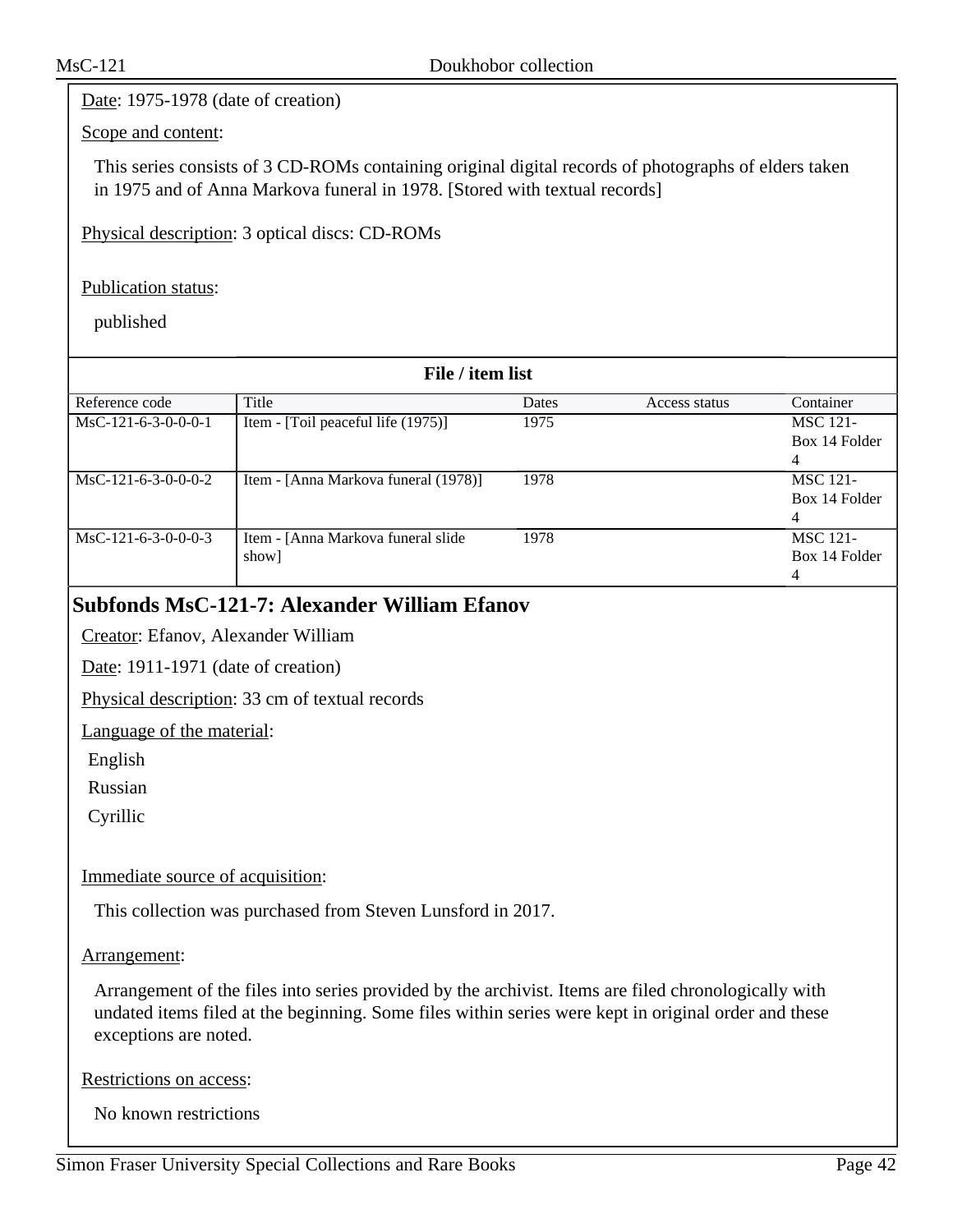Date: 1975-1978 (date of creation)

### Scope and content:

This series consists of 3 CD-ROMs containing original digital records of photographs of elders taken in 1975 and of Anna Markova funeral in 1978. [Stored with textual records]

Physical description: 3 optical discs: CD-ROMs

### Publication status:

published

| File / item list      |                                      |       |               |                 |
|-----------------------|--------------------------------------|-------|---------------|-----------------|
| Reference code        | Title                                | Dates | Access status | Container       |
| $MsC-121-6-3-0-0-0-1$ | Item - [Toil peaceful life (1975)]   | 1975  |               | <b>MSC 121-</b> |
|                       |                                      |       |               | Box 14 Folder   |
|                       |                                      |       |               | 4               |
| $MsC-121-6-3-0-0-0-2$ | Item - [Anna Markova funeral (1978)] | 1978  |               | <b>MSC 121-</b> |
|                       |                                      |       |               | Box 14 Folder   |
|                       |                                      |       |               | 4               |
| $MsC-121-6-3-0-0-0-3$ | Item - [Anna Markova funeral slide   | 1978  |               | <b>MSC 121-</b> |
|                       | show]                                |       |               | Box 14 Folder   |
|                       |                                      |       |               | 4               |

### **Subfonds MsC-121-7: Alexander William Efanov**

Creator: Efanov, Alexander William

Date: 1911-1971 (date of creation)

Physical description: 33 cm of textual records

Language of the material:

English

Russian

Cyrillic

### Immediate source of acquisition:

This collection was purchased from Steven Lunsford in 2017.

### Arrangement:

Arrangement of the files into series provided by the archivist. Items are filed chronologically with undated items filed at the beginning. Some files within series were kept in original order and these exceptions are noted.

Restrictions on access:

No known restrictions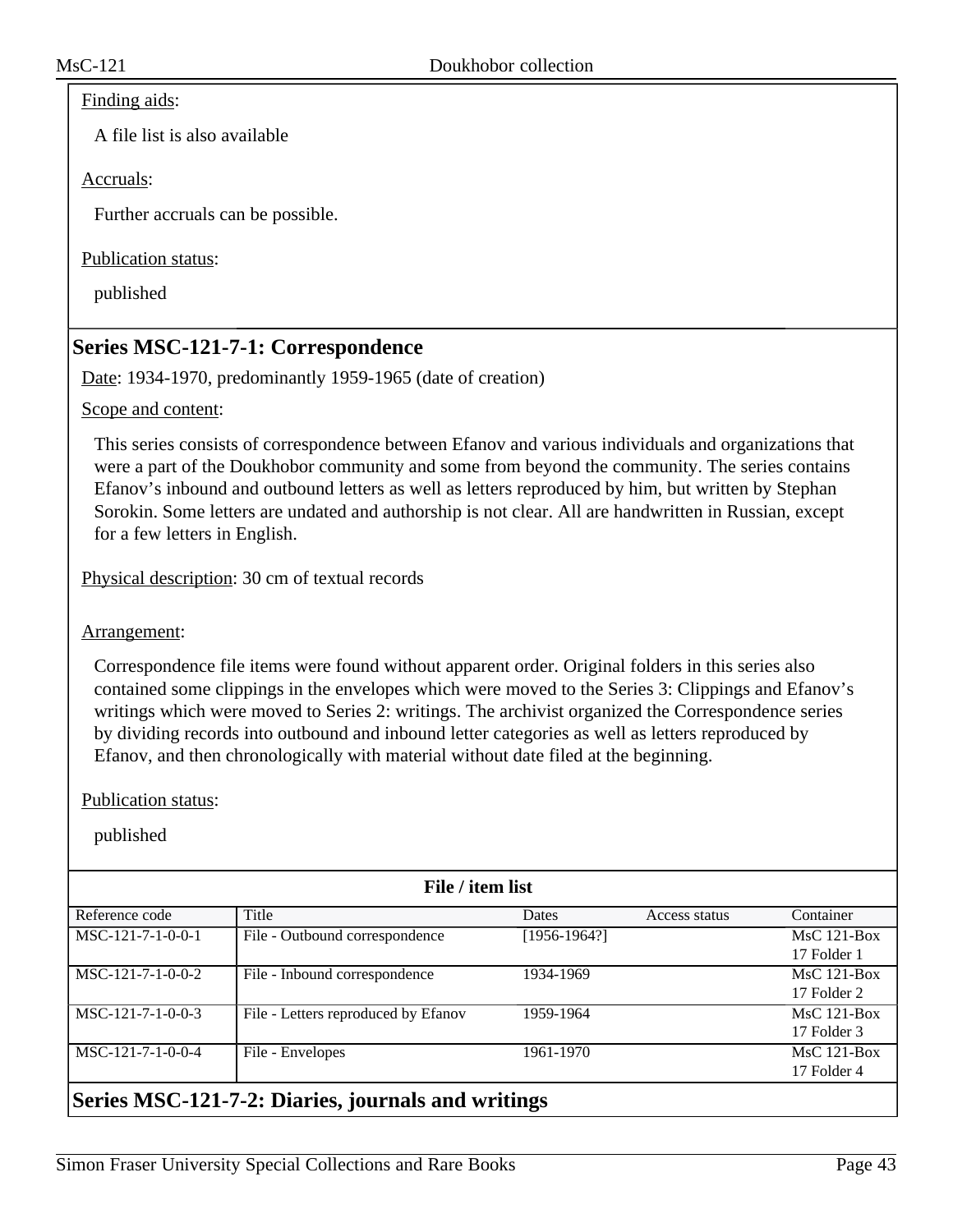#### Finding aids:

A file list is also available

### Accruals:

Further accruals can be possible.

### Publication status:

published

### **Series MSC-121-7-1: Correspondence**

Date: 1934-1970, predominantly 1959-1965 (date of creation)

### Scope and content:

This series consists of correspondence between Efanov and various individuals and organizations that were a part of the Doukhobor community and some from beyond the community. The series contains Efanov's inbound and outbound letters as well as letters reproduced by him, but written by Stephan Sorokin. Some letters are undated and authorship is not clear. All are handwritten in Russian, except for a few letters in English.

Physical description: 30 cm of textual records

Arrangement:

Correspondence file items were found without apparent order. Original folders in this series also contained some clippings in the envelopes which were moved to the Series 3: Clippings and Efanov's writings which were moved to Series 2: writings. The archivist organized the Correspondence series by dividing records into outbound and inbound letter categories as well as letters reproduced by Efanov, and then chronologically with material without date filed at the beginning.

#### Publication status:

published

| File / item list                                   |                                     |                |               |               |
|----------------------------------------------------|-------------------------------------|----------------|---------------|---------------|
| Reference code                                     | Title                               | <b>Dates</b>   | Access status | Container     |
| MSC-121-7-1-0-0-1                                  | File - Outbound correspondence      | $[1956-1964?]$ |               | $MsC$ 121-Box |
|                                                    |                                     |                |               | 17 Folder 1   |
| $MSC-121-7-1-0-0-2$                                | File - Inbound correspondence       | 1934-1969      |               | $MsC$ 121-Box |
|                                                    |                                     |                |               | 17 Folder 2   |
| MSC-121-7-1-0-0-3                                  | File - Letters reproduced by Efanov | 1959-1964      |               | $MsC$ 121-Box |
|                                                    |                                     |                |               | 17 Folder 3   |
| MSC-121-7-1-0-0-4                                  | File - Envelopes                    | 1961-1970      |               | $MsC$ 121-Box |
|                                                    |                                     |                |               | 17 Folder 4   |
| Series MSC-121-7-2: Diaries, journals and writings |                                     |                |               |               |

### Simon Fraser University Special Collections and Rare Books Page 43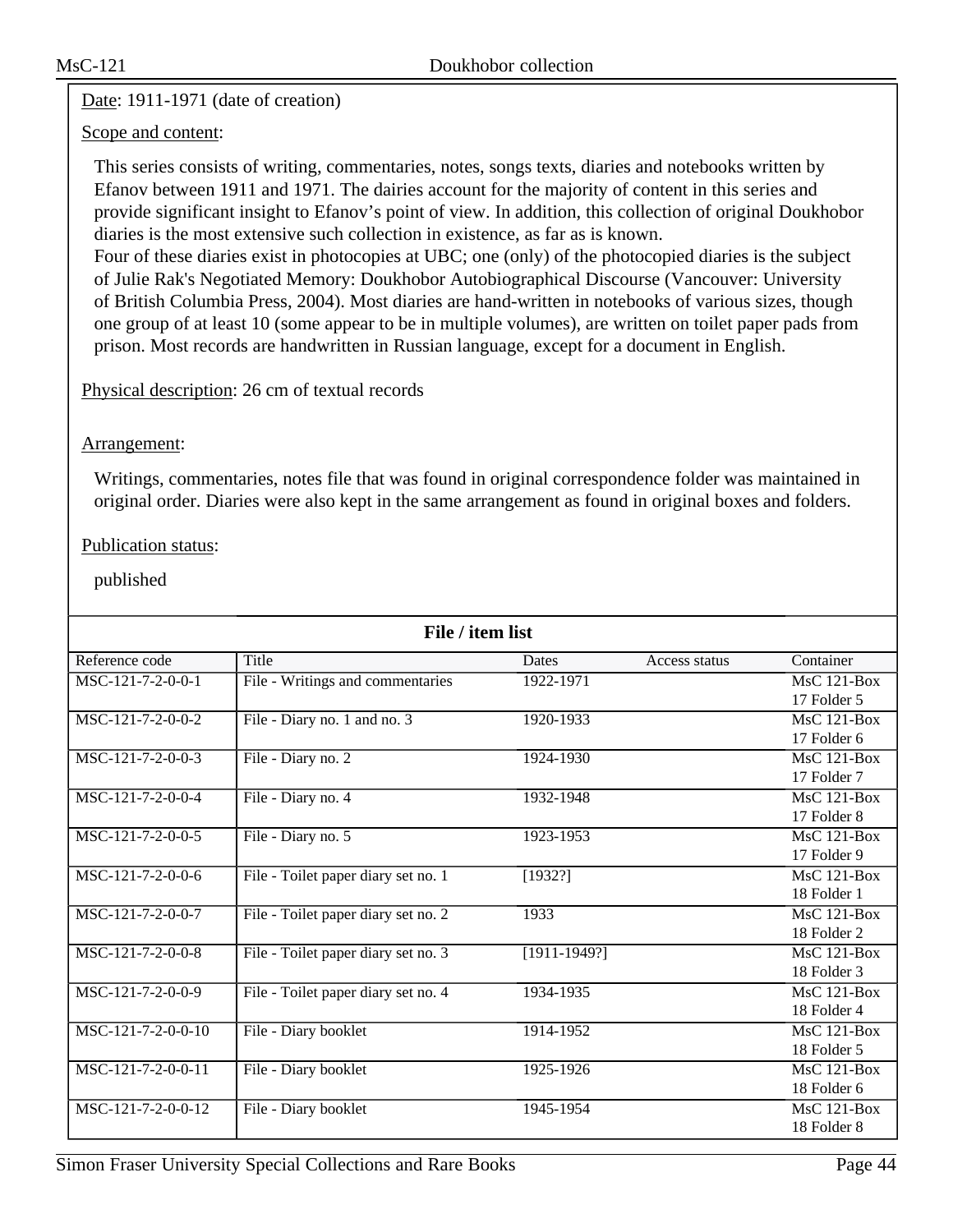### Date: 1911-1971 (date of creation)

### Scope and content:

This series consists of writing, commentaries, notes, songs texts, diaries and notebooks written by Efanov between 1911 and 1971. The dairies account for the majority of content in this series and provide significant insight to Efanov's point of view. In addition, this collection of original Doukhobor diaries is the most extensive such collection in existence, as far as is known.

Four of these diaries exist in photocopies at UBC; one (only) of the photocopied diaries is the subject of Julie Rak's Negotiated Memory: Doukhobor Autobiographical Discourse (Vancouver: University of British Columbia Press, 2004). Most diaries are hand-written in notebooks of various sizes, though one group of at least 10 (some appear to be in multiple volumes), are written on toilet paper pads from prison. Most records are handwritten in Russian language, except for a document in English.

### Physical description: 26 cm of textual records

### Arrangement:

Writings, commentaries, notes file that was found in original correspondence folder was maintained in original order. Diaries were also kept in the same arrangement as found in original boxes and folders.

### Publication status:

| File / item list    |                                     |                |               |               |
|---------------------|-------------------------------------|----------------|---------------|---------------|
| Reference code      | Title                               | <b>Dates</b>   | Access status | Container     |
| MSC-121-7-2-0-0-1   | File - Writings and commentaries    | 1922-1971      |               | $MsC$ 121-Box |
|                     |                                     |                |               | 17 Folder 5   |
| MSC-121-7-2-0-0-2   | File - Diary no. 1 and no. 3        | 1920-1933      |               | MsC 121-Box   |
|                     |                                     |                |               | 17 Folder 6   |
| $MSC-121-7-2-0-0-3$ | File - Diary no. 2                  | 1924-1930      |               | $MsC$ 121-Box |
|                     |                                     |                |               | 17 Folder 7   |
| MSC-121-7-2-0-0-4   | File - Diary no. 4                  | 1932-1948      |               | MsC 121-Box   |
|                     |                                     |                |               | 17 Folder 8   |
| MSC-121-7-2-0-0-5   | File - Diary no. 5                  | 1923-1953      |               | $MsC$ 121-Box |
|                     |                                     |                |               | 17 Folder 9   |
| MSC-121-7-2-0-0-6   | File - Toilet paper diary set no. 1 | [1932?]        |               | MsC 121-Box   |
|                     |                                     |                |               | 18 Folder 1   |
| MSC-121-7-2-0-0-7   | File - Toilet paper diary set no. 2 | 1933           |               | MsC 121-Box   |
|                     |                                     |                |               | 18 Folder 2   |
| MSC-121-7-2-0-0-8   | File - Toilet paper diary set no. 3 | $[1911-1949?]$ |               | $MsC$ 121-Box |
|                     |                                     |                |               | 18 Folder 3   |
| MSC-121-7-2-0-0-9   | File - Toilet paper diary set no. 4 | 1934-1935      |               | MsC 121-Box   |
|                     |                                     |                |               | 18 Folder 4   |
| MSC-121-7-2-0-0-10  | File - Diary booklet                | 1914-1952      |               | MsC 121-Box   |
|                     |                                     |                |               | 18 Folder 5   |
| MSC-121-7-2-0-0-11  | File - Diary booklet                | 1925-1926      |               | $MsC$ 121-Box |
|                     |                                     |                |               | 18 Folder 6   |
| MSC-121-7-2-0-0-12  | File - Diary booklet                | 1945-1954      |               | $MsC$ 121-Box |
|                     |                                     |                |               | 18 Folder 8   |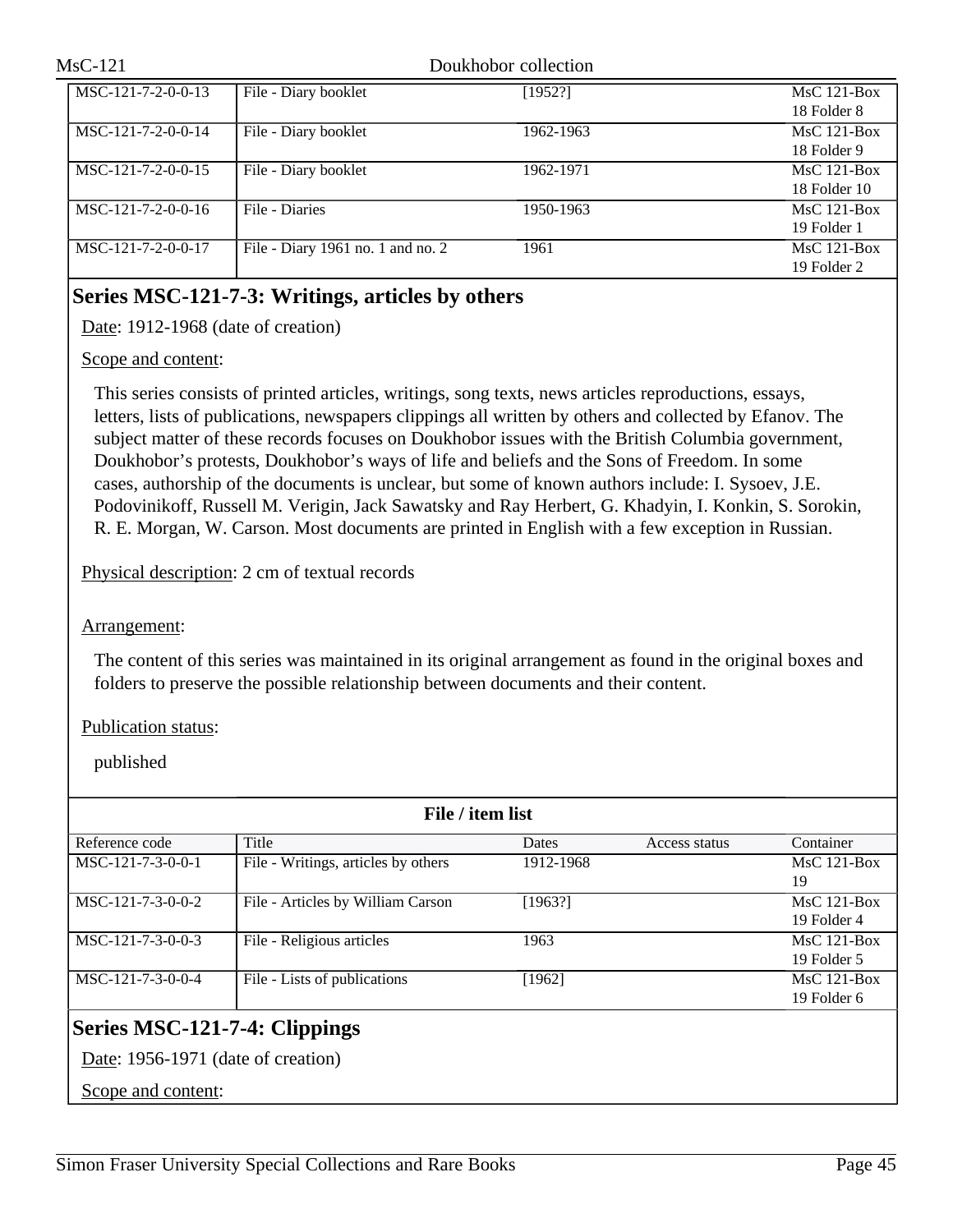| MsC-121              | Doukhobor collection              |           |               |
|----------------------|-----------------------------------|-----------|---------------|
| MSC-121-7-2-0-0-13   | File - Diary booklet              | [1952!]   | $MsC$ 121-Box |
|                      |                                   |           | 18 Folder 8   |
| MSC-121-7-2-0-0-14   | File - Diary booklet              | 1962-1963 | $MsC$ 121-Box |
|                      |                                   |           | 18 Folder 9   |
| $MSC-121-7-2-0-0-15$ | File - Diary booklet              | 1962-1971 | $MsC$ 121-Box |
|                      |                                   |           | 18 Folder 10  |
| $MSC-121-7-2-0-0-16$ | File - Diaries                    | 1950-1963 | $MsC$ 121-Box |
|                      |                                   |           | 19 Folder 1   |
| MSC-121-7-2-0-0-17   | File - Diary 1961 no. 1 and no. 2 | 1961      | $MsC$ 121-Box |
|                      |                                   |           | 19 Folder 2   |

## **Series MSC-121-7-3: Writings, articles by others**

Date: 1912-1968 (date of creation)

### Scope and content:

This series consists of printed articles, writings, song texts, news articles reproductions, essays, letters, lists of publications, newspapers clippings all written by others and collected by Efanov. The subject matter of these records focuses on Doukhobor issues with the British Columbia government, Doukhobor's protests, Doukhobor's ways of life and beliefs and the Sons of Freedom. In some cases, authorship of the documents is unclear, but some of known authors include: I. Sysoev, J.E. Podovinikoff, Russell M. Verigin, Jack Sawatsky and Ray Herbert, G. Khadyin, I. Konkin, S. Sorokin, R. E. Morgan, W. Carson. Most documents are printed in English with a few exception in Russian.

Physical description: 2 cm of textual records

### Arrangement:

The content of this series was maintained in its original arrangement as found in the original boxes and folders to preserve the possible relationship between documents and their content.

### Publication status:

published

| File / item list              |                                     |           |               |                              |
|-------------------------------|-------------------------------------|-----------|---------------|------------------------------|
| Reference code                | Title                               | Dates     | Access status | Container                    |
| MSC-121-7-3-0-0-1             | File - Writings, articles by others | 1912-1968 |               | $MsC$ 121-Box<br>19          |
| MSC-121-7-3-0-0-2             | File - Articles by William Carson   | [1963!]   |               | $MsC$ 121-Box<br>19 Folder 4 |
| MSC-121-7-3-0-0-3             | File - Religious articles           | 1963      |               | $MsC$ 121-Box<br>19 Folder 5 |
| MSC-121-7-3-0-0-4             | File - Lists of publications        | [1962]    |               | $MsC$ 121-Box<br>19 Folder 6 |
| Series MSC-121-7-4: Clippings |                                     |           |               |                              |

Date: 1956-1971 (date of creation)

Scope and content: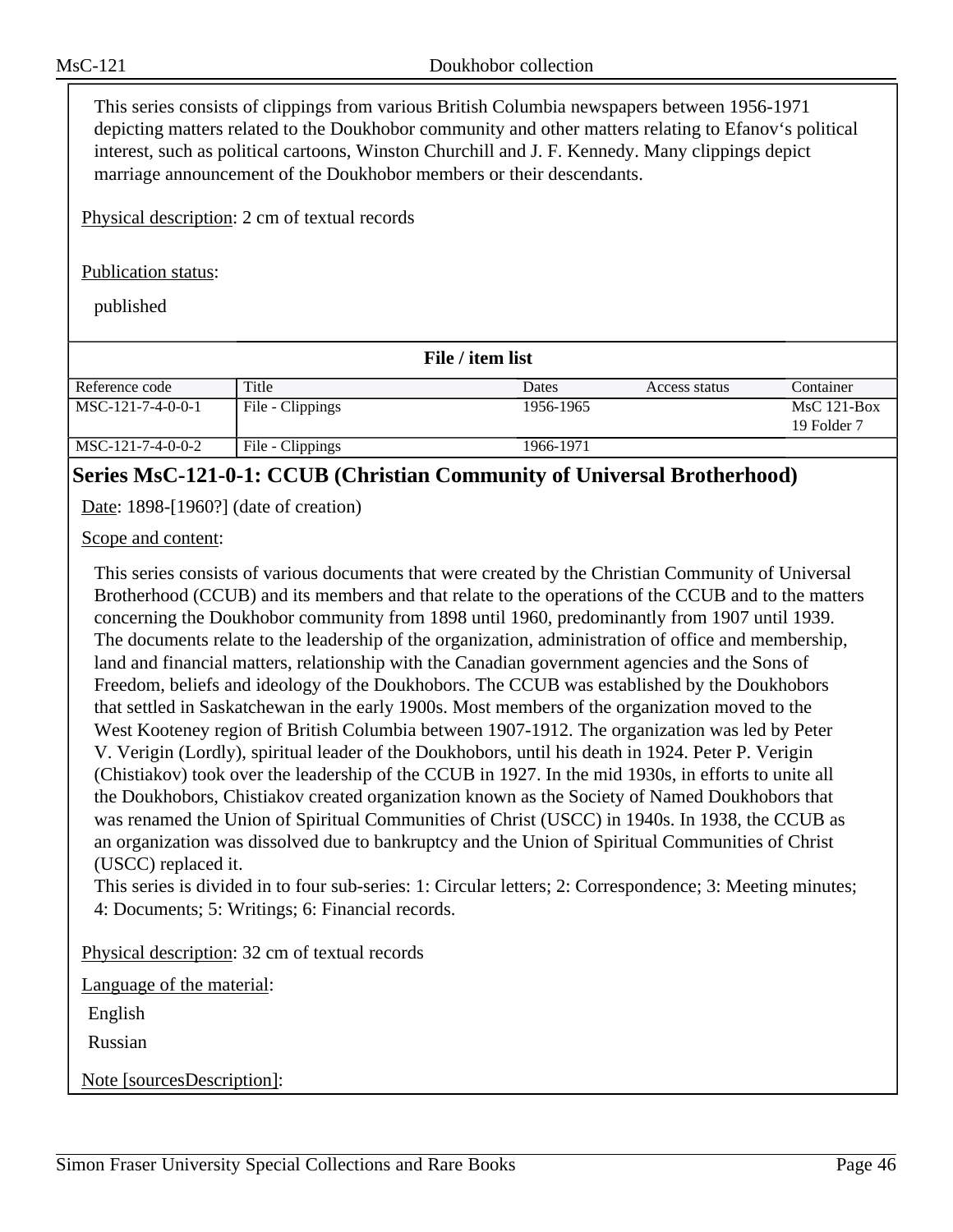This series consists of clippings from various British Columbia newspapers between 1956-1971 depicting matters related to the Doukhobor community and other matters relating to Efanov's political interest, such as political cartoons, Winston Churchill and J. F. Kennedy. Many clippings depict marriage announcement of the Doukhobor members or their descendants.

Physical description: 2 cm of textual records

### Publication status:

published

| File / item list    |                  |           |               |                              |
|---------------------|------------------|-----------|---------------|------------------------------|
| Reference code      | Title            | Dates     | Access status | Container                    |
| $MSC-121-7-4-0-0-1$ | File - Clippings | 1956-1965 |               | $MsC$ 121-Box<br>19 Folder 7 |
| MSC-121-7-4-0-0-2   | File - Clippings | 1966-1971 |               |                              |

### **Series MsC-121-0-1: CCUB (Christian Community of Universal Brotherhood)**

Date: 1898-[1960?] (date of creation)

Scope and content:

This series consists of various documents that were created by the Christian Community of Universal Brotherhood (CCUB) and its members and that relate to the operations of the CCUB and to the matters concerning the Doukhobor community from 1898 until 1960, predominantly from 1907 until 1939. The documents relate to the leadership of the organization, administration of office and membership, land and financial matters, relationship with the Canadian government agencies and the Sons of Freedom, beliefs and ideology of the Doukhobors. The CCUB was established by the Doukhobors that settled in Saskatchewan in the early 1900s. Most members of the organization moved to the West Kooteney region of British Columbia between 1907-1912. The organization was led by Peter V. Verigin (Lordly), spiritual leader of the Doukhobors, until his death in 1924. Peter P. Verigin (Chistiakov) took over the leadership of the CCUB in 1927. In the mid 1930s, in efforts to unite all the Doukhobors, Chistiakov created organization known as the Society of Named Doukhobors that was renamed the Union of Spiritual Communities of Christ (USCC) in 1940s. In 1938, the CCUB as an organization was dissolved due to bankruptcy and the Union of Spiritual Communities of Christ (USCC) replaced it.

This series is divided in to four sub-series: 1: Circular letters; 2: Correspondence; 3: Meeting minutes; 4: Documents; 5: Writings; 6: Financial records.

Physical description: 32 cm of textual records

Language of the material:

English

Russian

Note [sourcesDescription]: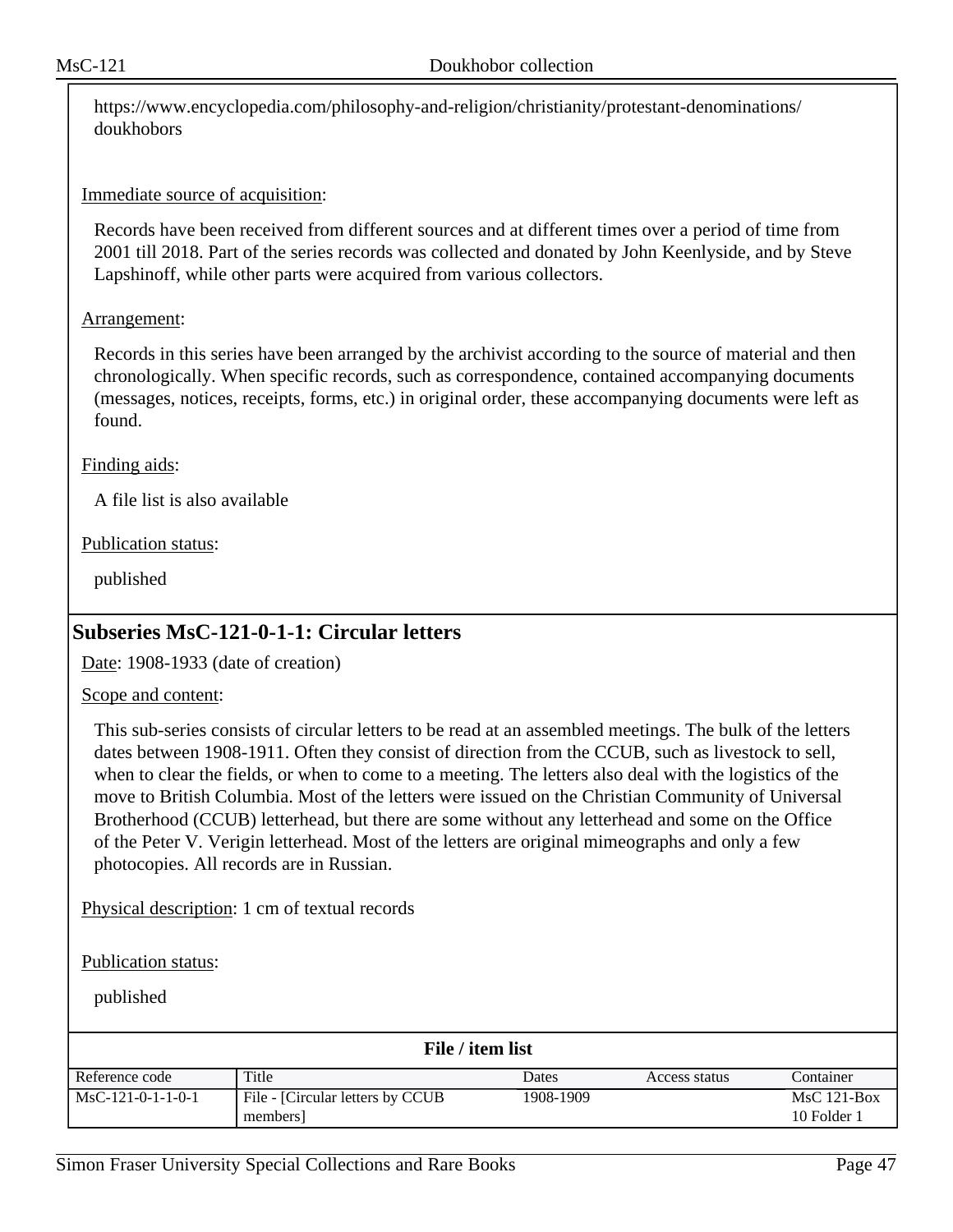https://www.encyclopedia.com/philosophy-and-religion/christianity/protestant-denominations/ doukhobors

### Immediate source of acquisition:

Records have been received from different sources and at different times over a period of time from 2001 till 2018. Part of the series records was collected and donated by John Keenlyside, and by Steve Lapshinoff, while other parts were acquired from various collectors.

#### Arrangement:

Records in this series have been arranged by the archivist according to the source of material and then chronologically. When specific records, such as correspondence, contained accompanying documents (messages, notices, receipts, forms, etc.) in original order, these accompanying documents were left as found.

#### Finding aids:

A file list is also available

#### Publication status:

published

### **Subseries MsC-121-0-1-1: Circular letters**

Date: 1908-1933 (date of creation)

#### Scope and content:

This sub-series consists of circular letters to be read at an assembled meetings. The bulk of the letters dates between 1908-1911. Often they consist of direction from the CCUB, such as livestock to sell, when to clear the fields, or when to come to a meeting. The letters also deal with the logistics of the move to British Columbia. Most of the letters were issued on the Christian Community of Universal Brotherhood (CCUB) letterhead, but there are some without any letterhead and some on the Office of the Peter V. Verigin letterhead. Most of the letters are original mimeographs and only a few photocopies. All records are in Russian.

Physical description: 1 cm of textual records

Publication status:

| File / item list    |                                               |           |               |                              |
|---------------------|-----------------------------------------------|-----------|---------------|------------------------------|
| Reference code      | Title                                         | Dates     | Access status | Container                    |
| $MsC-121-0-1-1-0-1$ | File - [Circular letters by CCUB]<br>members] | 1908-1909 |               | $MsC$ 121-Box<br>10 Folder 1 |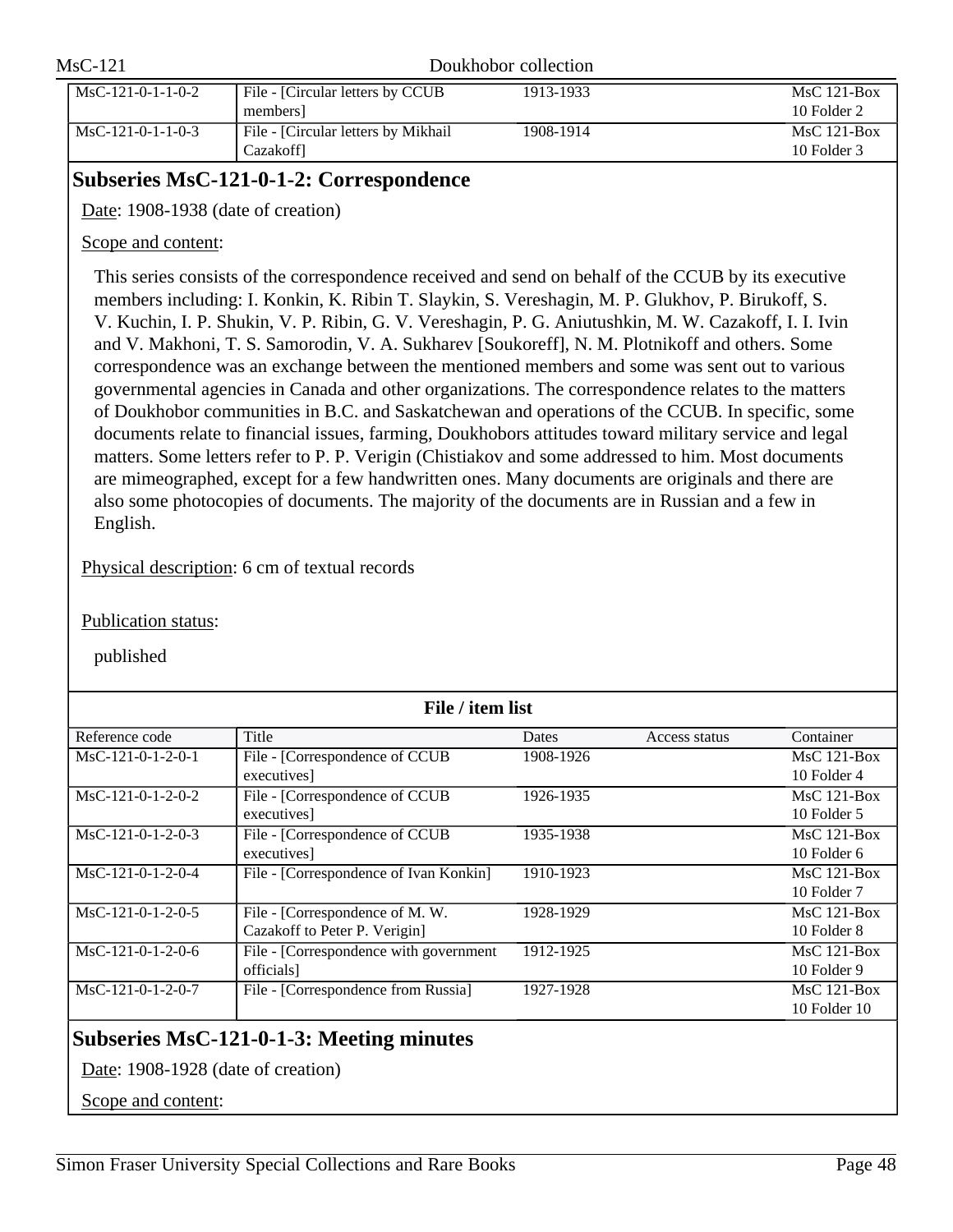| $MsC-121$ |                     | Doukhobor collection                              |           |                              |
|-----------|---------------------|---------------------------------------------------|-----------|------------------------------|
|           | $MsC-121-0-1-1-0-2$ | File - [Circular letters by CCUB]<br>members      | 1913-1933 | $MsC$ 121-Box<br>10 Folder 2 |
|           | $MsC-121-0-1-1-0-3$ | File - [Circular letters by Mikhail]<br>Cazakoffl | 1908-1914 | $MsC$ 121-Box<br>10 Folder 3 |

### **Subseries MsC-121-0-1-2: Correspondence**

Date: 1908-1938 (date of creation)

### Scope and content:

This series consists of the correspondence received and send on behalf of the CCUB by its executive members including: I. Konkin, K. Ribin T. Slaykin, S. Vereshagin, M. P. Glukhov, P. Birukoff, S. V. Kuchin, I. P. Shukin, V. P. Ribin, G. V. Vereshagin, P. G. Aniutushkin, M. W. Cazakoff, I. I. Ivin and V. Makhoni, T. S. Samorodin, V. A. Sukharev [Soukoreff], N. M. Plotnikoff and others. Some correspondence was an exchange between the mentioned members and some was sent out to various governmental agencies in Canada and other organizations. The correspondence relates to the matters of Doukhobor communities in B.C. and Saskatchewan and operations of the CCUB. In specific, some documents relate to financial issues, farming, Doukhobors attitudes toward military service and legal matters. Some letters refer to P. P. Verigin (Chistiakov and some addressed to him. Most documents are mimeographed, except for a few handwritten ones. Many documents are originals and there are also some photocopies of documents. The majority of the documents are in Russian and a few in English.

Physical description: 6 cm of textual records

Publication status:

published

| File / item list    |                                                 |           |               |                  |  |
|---------------------|-------------------------------------------------|-----------|---------------|------------------|--|
| Reference code      | Title                                           | Dates     | Access status | Container        |  |
| MsC-121-0-1-2-0-1   | File - [Correspondence of CCUB                  | 1908-1926 |               | $MsC$ 121-Box    |  |
|                     | executives]                                     |           |               | 10 Folder 4      |  |
| $MsC-121-0-1-2-0-2$ | File - [Correspondence of CCUB                  | 1926-1935 |               | $MsC$ 121-Box    |  |
|                     | executives]                                     |           |               | 10 Folder 5      |  |
| $MsC-121-0-1-2-0-3$ | File - [Correspondence of CCUB                  | 1935-1938 |               | $MsC$ 121-Box    |  |
|                     | executives]                                     |           |               | 10 Folder 6      |  |
| $MsC-121-0-1-2-0-4$ | File - [Correspondence of Ivan Konkin]          | 1910-1923 |               | $MsC$ 121-Box    |  |
|                     |                                                 |           |               | 10 Folder 7      |  |
| $MsC-121-0-1-2-0-5$ | File - [Correspondence of M.W.                  | 1928-1929 |               | $MsC$ 121-Box    |  |
|                     | Cazakoff to Peter P. Verigin]                   |           |               | 10 Folder 8      |  |
| $MsC-121-0-1-2-0-6$ | File - [Correspondence with government          | 1912-1925 |               | $MsC$ 121-Box    |  |
|                     | officials]                                      |           |               | 10 Folder 9      |  |
| MsC-121-0-1-2-0-7   | File - [Correspondence from Russia]             | 1927-1928 |               | $MsC$ 121-Box    |  |
|                     |                                                 |           |               | $10$ Folder $10$ |  |
|                     | <b>Subseries MsC-121-0-1-3: Meeting minutes</b> |           |               |                  |  |

Date: 1908-1928 (date of creation)

Scope and content: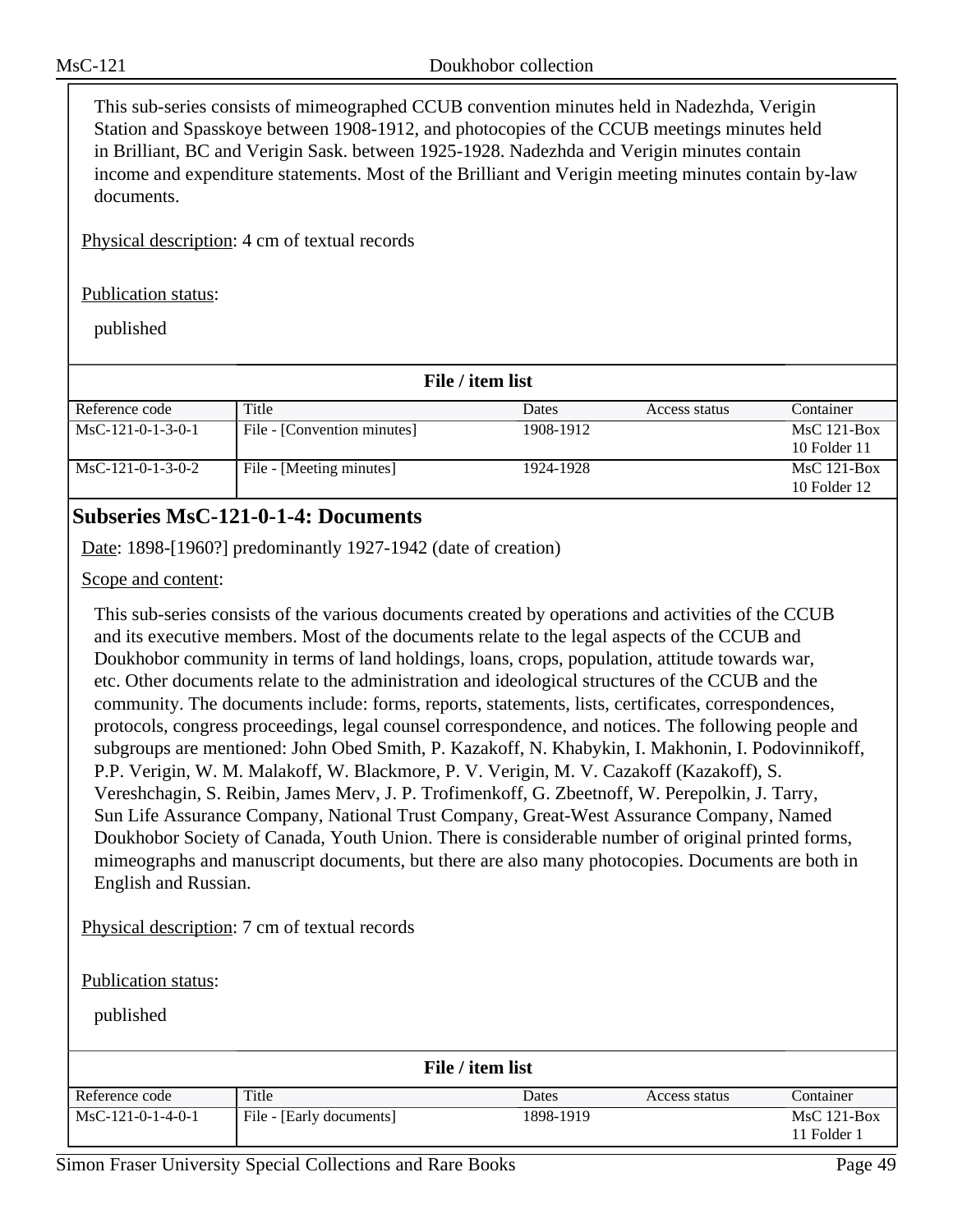This sub-series consists of mimeographed CCUB convention minutes held in Nadezhda, Verigin Station and Spasskoye between 1908-1912, and photocopies of the CCUB meetings minutes held in Brilliant, BC and Verigin Sask. between 1925-1928. Nadezhda and Verigin minutes contain income and expenditure statements. Most of the Brilliant and Verigin meeting minutes contain by-law documents.

Physical description: 4 cm of textual records

#### Publication status:

published

| File / item list    |                             |           |               |                  |
|---------------------|-----------------------------|-----------|---------------|------------------|
| Reference code      | Title                       | Dates     | Access status | Container        |
| $MsC-121-0-1-3-0-1$ | File - [Convention minutes] | 1908-1912 |               | $MsC$ 121-Box    |
|                     |                             |           |               | $10$ Folder $11$ |
| $MsC-121-0-1-3-0-2$ | File - [Meeting minutes]    | 1924-1928 |               | $MsC$ 121-Box    |
|                     |                             |           |               | $10$ Folder $12$ |

### **Subseries MsC-121-0-1-4: Documents**

Date: 1898-[1960?] predominantly 1927-1942 (date of creation)

Scope and content:

This sub-series consists of the various documents created by operations and activities of the CCUB and its executive members. Most of the documents relate to the legal aspects of the CCUB and Doukhobor community in terms of land holdings, loans, crops, population, attitude towards war, etc. Other documents relate to the administration and ideological structures of the CCUB and the community. The documents include: forms, reports, statements, lists, certificates, correspondences, protocols, congress proceedings, legal counsel correspondence, and notices. The following people and subgroups are mentioned: John Obed Smith, P. Kazakoff, N. Khabykin, I. Makhonin, I. Podovinnikoff, P.P. Verigin, W. M. Malakoff, W. Blackmore, P. V. Verigin, M. V. Cazakoff (Kazakoff), S. Vereshchagin, S. Reibin, James Merv, J. P. Trofimenkoff, G. Zbeetnoff, W. Perepolkin, J. Tarry, Sun Life Assurance Company, National Trust Company, Great-West Assurance Company, Named Doukhobor Society of Canada, Youth Union. There is considerable number of original printed forms, mimeographs and manuscript documents, but there are also many photocopies. Documents are both in English and Russian.

Physical description: 7 cm of textual records

Publication status:

published

| File / item list    |                          |           |               |                              |
|---------------------|--------------------------|-----------|---------------|------------------------------|
| Reference code      | Title                    | Dates     | Access status | Container                    |
| $MsC-121-0-1-4-0-1$ | File - [Early documents] | 1898-1919 |               | $MsC$ 121-Box<br>11 Folder 1 |

Simon Fraser University Special Collections and Rare Books Page 49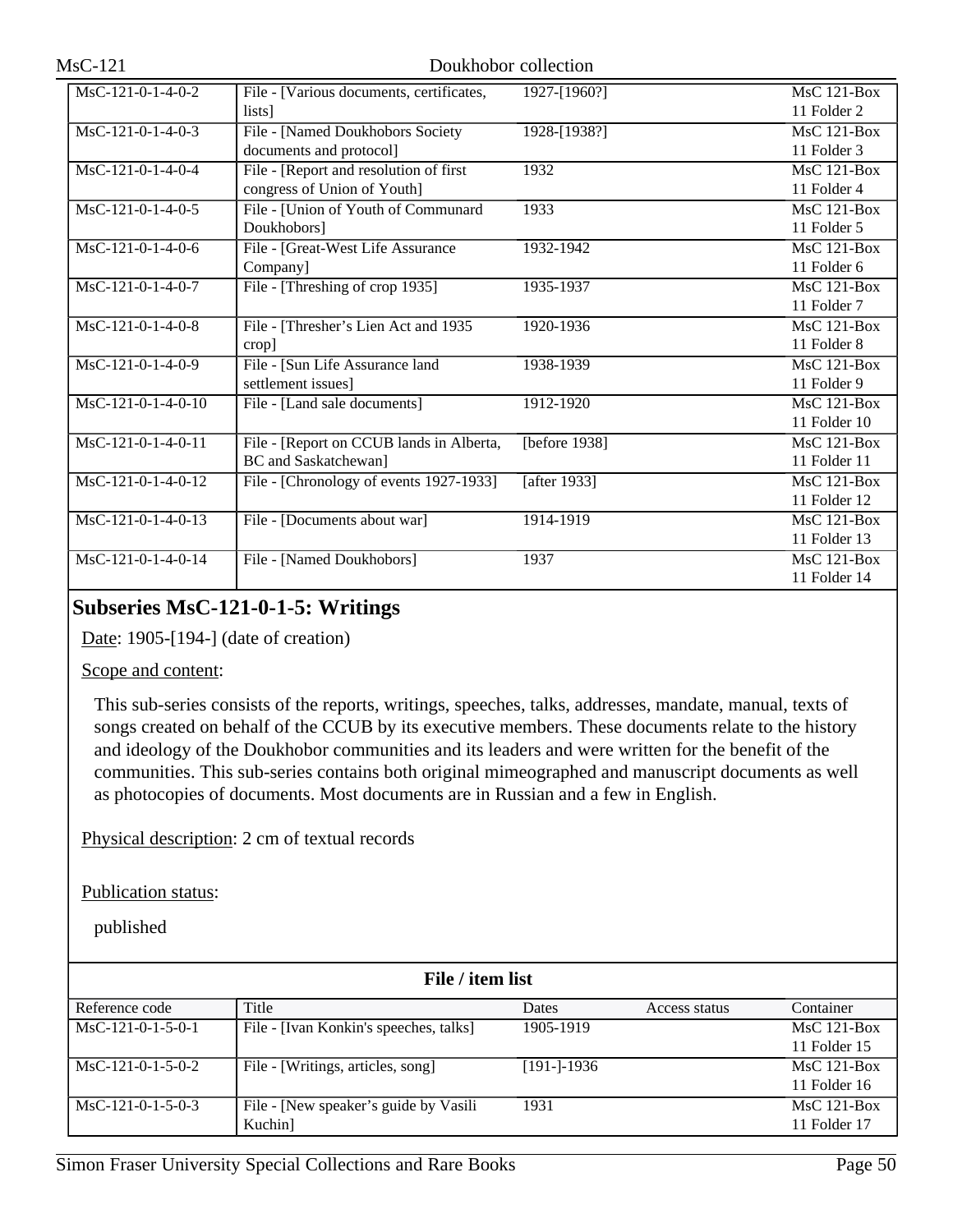| MsC-121-0-1-4-0-2    | File - [Various documents, certificates, | 1927-[1960?]  | <b>MsC 121-Box</b> |
|----------------------|------------------------------------------|---------------|--------------------|
|                      | lists]                                   |               | 11 Folder 2        |
| $MsC-121-0-1-4-0-3$  | File - [Named Doukhobors Society         | 1928-[1938?]  | $MsC$ 121-Box      |
|                      | documents and protocol]                  |               | 11 Folder 3        |
| $MsC-121-0-1-4-0-4$  | File - [Report and resolution of first   | 1932          | $MsC$ 121-Box      |
|                      | congress of Union of Youth]              |               | 11 Folder 4        |
| $MsC-121-0-1-4-0-5$  | File - [Union of Youth of Communard      | 1933          | $MsC$ 121-Box      |
|                      | Doukhobors]                              |               | 11 Folder 5        |
| $MsC-121-0-1-4-0-6$  | File - [Great-West Life Assurance        | 1932-1942     | MsC 121-Box        |
|                      | Company]                                 |               | 11 Folder 6        |
| $MsC-121-0-1-4-0-7$  | File - [Threshing of crop 1935]          | 1935-1937     | $MsC$ 121-Box      |
|                      |                                          |               | 11 Folder 7        |
| $MsC-121-0-1-4-0-8$  | File - [Thresher's Lien Act and 1935     | 1920-1936     | $MsC$ 121-Box      |
|                      | $\c{trop}$                               |               | 11 Folder 8        |
| $MsC-121-0-1-4-0-9$  | File - [Sun Life Assurance land          | 1938-1939     | <b>MsC 121-Box</b> |
|                      | settlement issues]                       |               | 11 Folder 9        |
| $MsC-121-0-1-4-0-10$ | File - [Land sale documents]             | 1912-1920     | <b>MsC 121-Box</b> |
|                      |                                          |               | 11 Folder 10       |
| MsC-121-0-1-4-0-11   | File - [Report on CCUB lands in Alberta, | [before 1938] | MsC 121-Box        |
|                      | BC and Saskatchewan]                     |               | 11 Folder 11       |
| $MsC-121-0-1-4-0-12$ | File - [Chronology of events 1927-1933]  | [after 1933]  | $MsC$ 121-Box      |
|                      |                                          |               | 11 Folder 12       |
| MsC-121-0-1-4-0-13   | File - [Documents about war]             | 1914-1919     | <b>MsC 121-Box</b> |
|                      |                                          |               | 11 Folder 13       |
| MsC-121-0-1-4-0-14   | File - [Named Doukhobors]                | 1937          | $MsC$ 121-Box      |
|                      |                                          |               | 11 Folder 14       |

### **Subseries MsC-121-0-1-5: Writings**

Date: 1905-[194-] (date of creation)

#### Scope and content:

This sub-series consists of the reports, writings, speeches, talks, addresses, mandate, manual, texts of songs created on behalf of the CCUB by its executive members. These documents relate to the history and ideology of the Doukhobor communities and its leaders and were written for the benefit of the communities. This sub-series contains both original mimeographed and manuscript documents as well as photocopies of documents. Most documents are in Russian and a few in English.

Physical description: 2 cm of textual records

Publication status:

| File / item list    |                                        |                |               |               |  |
|---------------------|----------------------------------------|----------------|---------------|---------------|--|
| Reference code      | Title                                  | Dates          | Access status | Container     |  |
| $MsC-121-0-1-5-0-1$ | File - [Ivan Konkin's speeches, talks] | 1905-1919      |               | $MsC$ 121-Box |  |
|                     |                                        |                |               | 11 Folder 15  |  |
| $MsC-121-0-1-5-0-2$ | File - [Writings, articles, song]      | $[191 - 1936]$ |               | $MsC$ 121-Box |  |
|                     |                                        |                |               | 11 Folder 16  |  |
| $MsC-121-0-1-5-0-3$ | File - [New speaker's guide by Vasili  | 1931           |               | $MsC$ 121-Box |  |
|                     | Kuchin]                                |                |               | 11 Folder 17  |  |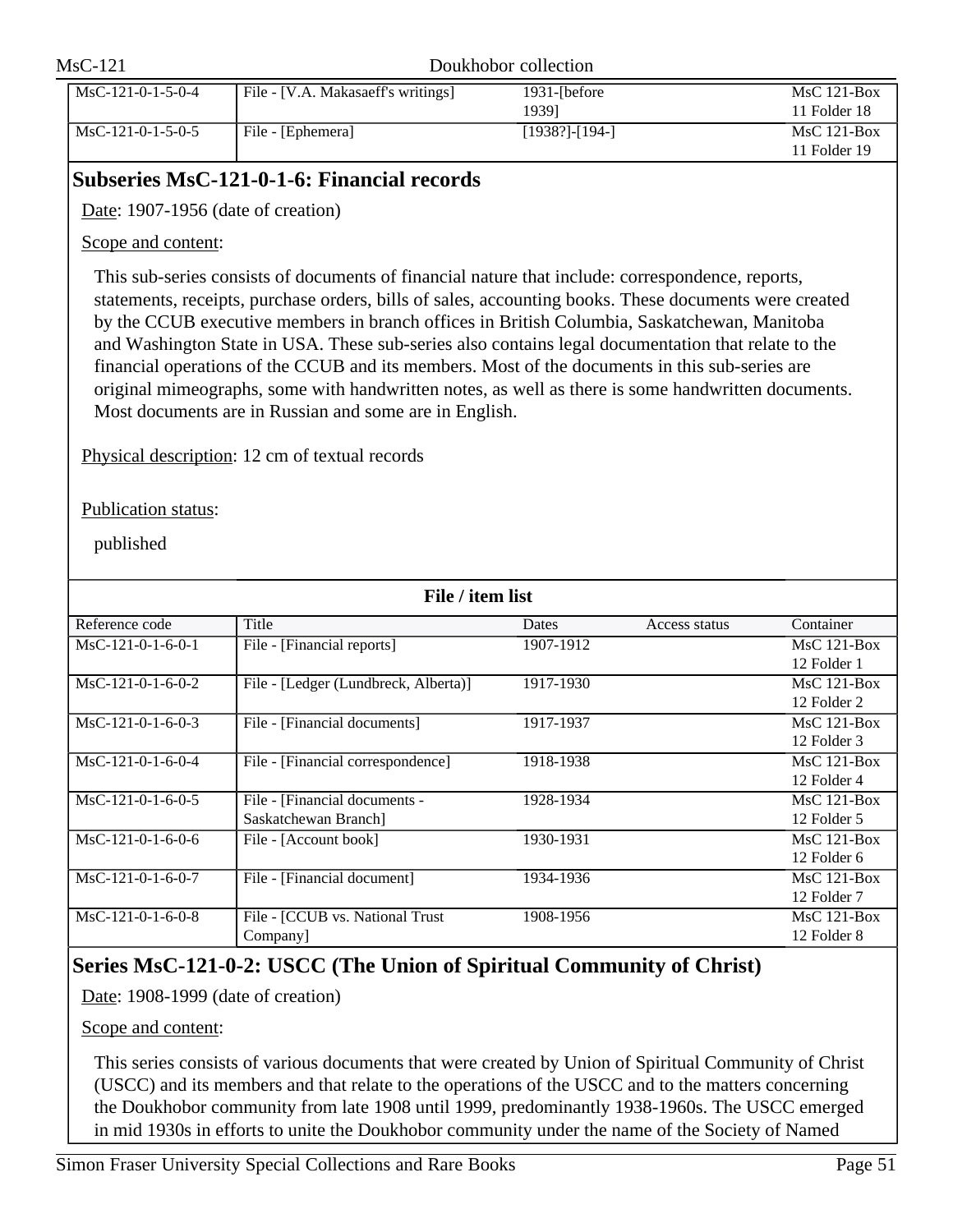| $MsC-121$ |                     | Doukhobor collection               |                              |                               |
|-----------|---------------------|------------------------------------|------------------------------|-------------------------------|
|           | $MsC-121-0-1-5-0-4$ | File - [V.A. Makasaeff's writings] | $1931$ - $I$ before<br>19391 | $MsC$ 121-Box<br>11 Folder 18 |
|           | $MsC-121-0-1-5-0-5$ | File - [Ephemera]                  | [1938?]-[194-]               | $MsC$ 121-Box<br>11 Folder 19 |

### **Subseries MsC-121-0-1-6: Financial records**

Date: 1907-1956 (date of creation)

Scope and content:

This sub-series consists of documents of financial nature that include: correspondence, reports, statements, receipts, purchase orders, bills of sales, accounting books. These documents were created by the CCUB executive members in branch offices in British Columbia, Saskatchewan, Manitoba and Washington State in USA. These sub-series also contains legal documentation that relate to the financial operations of the CCUB and its members. Most of the documents in this sub-series are original mimeographs, some with handwritten notes, as well as there is some handwritten documents. Most documents are in Russian and some are in English.

Physical description: 12 cm of textual records

Publication status:

published

| File / item list    |                                      |           |               |               |  |
|---------------------|--------------------------------------|-----------|---------------|---------------|--|
| Reference code      | Title                                | Dates     | Access status | Container     |  |
| MsC-121-0-1-6-0-1   | File - [Financial reports]           | 1907-1912 |               | $MsC$ 121-Box |  |
|                     |                                      |           |               | 12 Folder 1   |  |
| $MsC-121-0-1-6-0-2$ | File - [Ledger (Lundbreck, Alberta)] | 1917-1930 |               | $MsC$ 121-Box |  |
|                     |                                      |           |               | 12 Folder 2   |  |
| $MsC-121-0-1-6-0-3$ | File - [Financial documents]         | 1917-1937 |               | $MsC$ 121-Box |  |
|                     |                                      |           |               | 12 Folder 3   |  |
| $MsC-121-0-1-6-0-4$ | File - [Financial correspondence]    | 1918-1938 |               | $MsC$ 121-Box |  |
|                     |                                      |           |               | 12 Folder 4   |  |
| $MsC-121-0-1-6-0-5$ | File - [Financial documents -        | 1928-1934 |               | $MsC$ 121-Box |  |
|                     | Saskatchewan Branch]                 |           |               | 12 Folder 5   |  |
| $MsC-121-0-1-6-0-6$ | File - [Account book]                | 1930-1931 |               | $MsC$ 121-Box |  |
|                     |                                      |           |               | 12 Folder 6   |  |
| $MsC-121-0-1-6-0-7$ | File - [Financial document]          | 1934-1936 |               | $MsC$ 121-Box |  |
|                     |                                      |           |               | 12 Folder 7   |  |
| $MsC-121-0-1-6-0-8$ | File - [CCUB vs. National Trust      | 1908-1956 |               | $MsC$ 121-Box |  |
|                     | Company                              |           |               | 12 Folder 8   |  |

## **Series MsC-121-0-2: USCC (The Union of Spiritual Community of Christ)**

Date: 1908-1999 (date of creation)

Scope and content:

This series consists of various documents that were created by Union of Spiritual Community of Christ (USCC) and its members and that relate to the operations of the USCC and to the matters concerning the Doukhobor community from late 1908 until 1999, predominantly 1938-1960s. The USCC emerged in mid 1930s in efforts to unite the Doukhobor community under the name of the Society of Named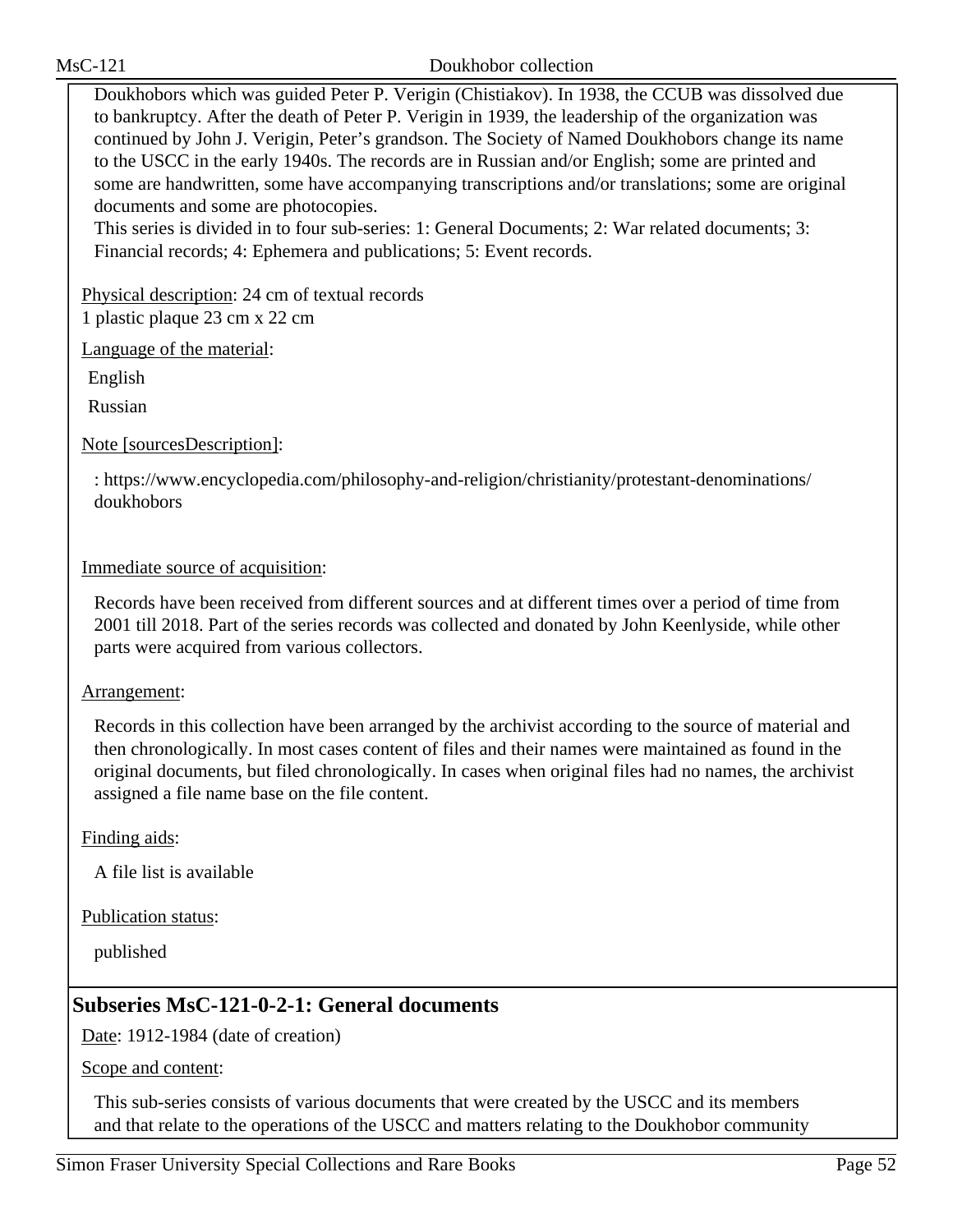Doukhobors which was guided Peter P. Verigin (Chistiakov). In 1938, the CCUB was dissolved due to bankruptcy. After the death of Peter P. Verigin in 1939, the leadership of the organization was continued by John J. Verigin, Peter's grandson. The Society of Named Doukhobors change its name to the USCC in the early 1940s. The records are in Russian and/or English; some are printed and some are handwritten, some have accompanying transcriptions and/or translations; some are original documents and some are photocopies.

This series is divided in to four sub-series: 1: General Documents; 2: War related documents; 3: Financial records; 4: Ephemera and publications; 5: Event records.

Physical description: 24 cm of textual records 1 plastic plaque 23 cm x 22 cm

Language of the material:

English

Russian

Note [sourcesDescription]:

: https://www.encyclopedia.com/philosophy-and-religion/christianity/protestant-denominations/ doukhobors

Immediate source of acquisition:

Records have been received from different sources and at different times over a period of time from 2001 till 2018. Part of the series records was collected and donated by John Keenlyside, while other parts were acquired from various collectors.

### Arrangement:

Records in this collection have been arranged by the archivist according to the source of material and then chronologically. In most cases content of files and their names were maintained as found in the original documents, but filed chronologically. In cases when original files had no names, the archivist assigned a file name base on the file content.

Finding aids:

A file list is available

Publication status:

published

## **Subseries MsC-121-0-2-1: General documents**

Date: 1912-1984 (date of creation)

Scope and content:

This sub-series consists of various documents that were created by the USCC and its members and that relate to the operations of the USCC and matters relating to the Doukhobor community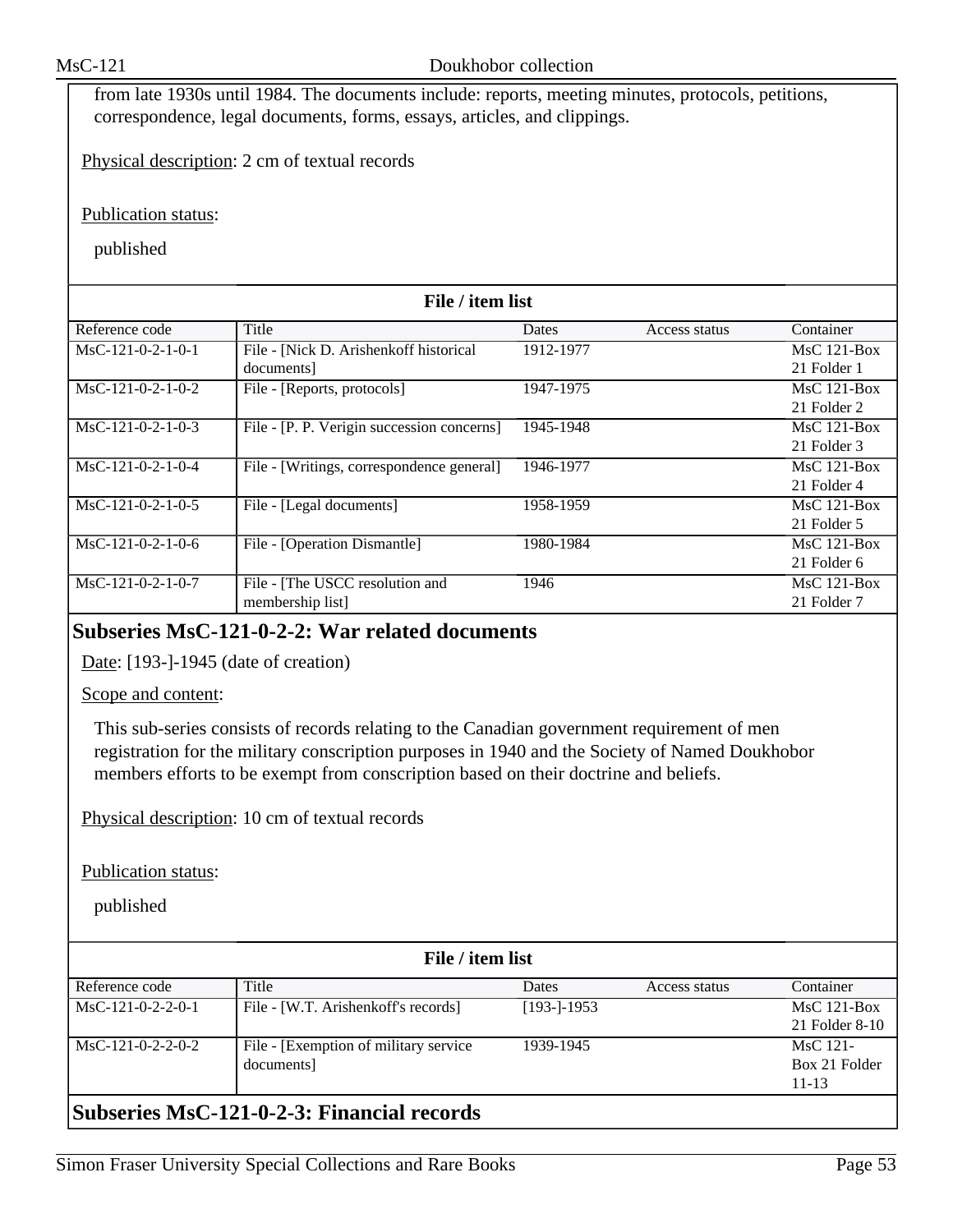from late 1930s until 1984. The documents include: reports, meeting minutes, protocols, petitions, correspondence, legal documents, forms, essays, articles, and clippings.

Physical description: 2 cm of textual records

Publication status:

published

| File / item list    |                                            |              |               |               |  |
|---------------------|--------------------------------------------|--------------|---------------|---------------|--|
| Reference code      | Title                                      | <b>Dates</b> | Access status | Container     |  |
| $MsC-121-0-2-1-0-1$ | File - [Nick D. Arishenkoff historical     | 1912-1977    |               | $MsC$ 121-Box |  |
|                     | documents]                                 |              |               | 21 Folder 1   |  |
| $MsC-121-0-2-1-0-2$ | File - [Reports, protocols]                | 1947-1975    |               | $MsC$ 121-Box |  |
|                     |                                            |              |               | 21 Folder 2   |  |
| $MsC-121-0-2-1-0-3$ | File - [P. P. Verigin succession concerns] | 1945-1948    |               | $MsC$ 121-Box |  |
|                     |                                            |              |               | 21 Folder 3   |  |
| $MsC-121-0-2-1-0-4$ | File - [Writings, correspondence general]  | 1946-1977    |               | $MsC$ 121-Box |  |
|                     |                                            |              |               | 21 Folder 4   |  |
| $MsC-121-0-2-1-0-5$ | File - [Legal documents]                   | 1958-1959    |               | $MsC$ 121-Box |  |
|                     |                                            |              |               | 21 Folder 5   |  |
| $MsC-121-0-2-1-0-6$ | File - [Operation Dismantle]               | 1980-1984    |               | $MsC$ 121-Box |  |
|                     |                                            |              |               | 21 Folder 6   |  |
| $MsC-121-0-2-1-0-7$ | File - [The USCC resolution and            | 1946         |               | $MsC$ 121-Box |  |
|                     | membership list                            |              |               | 21 Folder 7   |  |

### **Subseries MsC-121-0-2-2: War related documents**

Date: [193-]-1945 (date of creation)

#### Scope and content:

This sub-series consists of records relating to the Canadian government requirement of men registration for the military conscription purposes in 1940 and the Society of Named Doukhobor members efforts to be exempt from conscription based on their doctrine and beliefs.

Physical description: 10 cm of textual records

Publication status:

published

| File / item list    |                                                        |                |               |                |  |  |
|---------------------|--------------------------------------------------------|----------------|---------------|----------------|--|--|
| Reference code      | Title                                                  | <b>Dates</b>   | Access status | Container      |  |  |
| $MsC-121-0-2-2-0-1$ | File - [W.T. Arishenkoff's records]                    | $[193-1-1953]$ |               | $MsC$ 121-Box  |  |  |
|                     |                                                        |                |               | 21 Folder 8-10 |  |  |
| $MsC-121-0-2-2-0-2$ | File - [Exemption of military service]                 | 1939-1945      |               | $MsC$ 121-     |  |  |
|                     | documents]                                             |                |               | Box 21 Folder  |  |  |
|                     |                                                        |                |               | $11 - 13$      |  |  |
|                     | $\mathsf{R}$ uhsarias MsC-121-0-2-3: Financial records |                |               |                |  |  |

### **Subseries MsC-121-0-2-3: Financial records**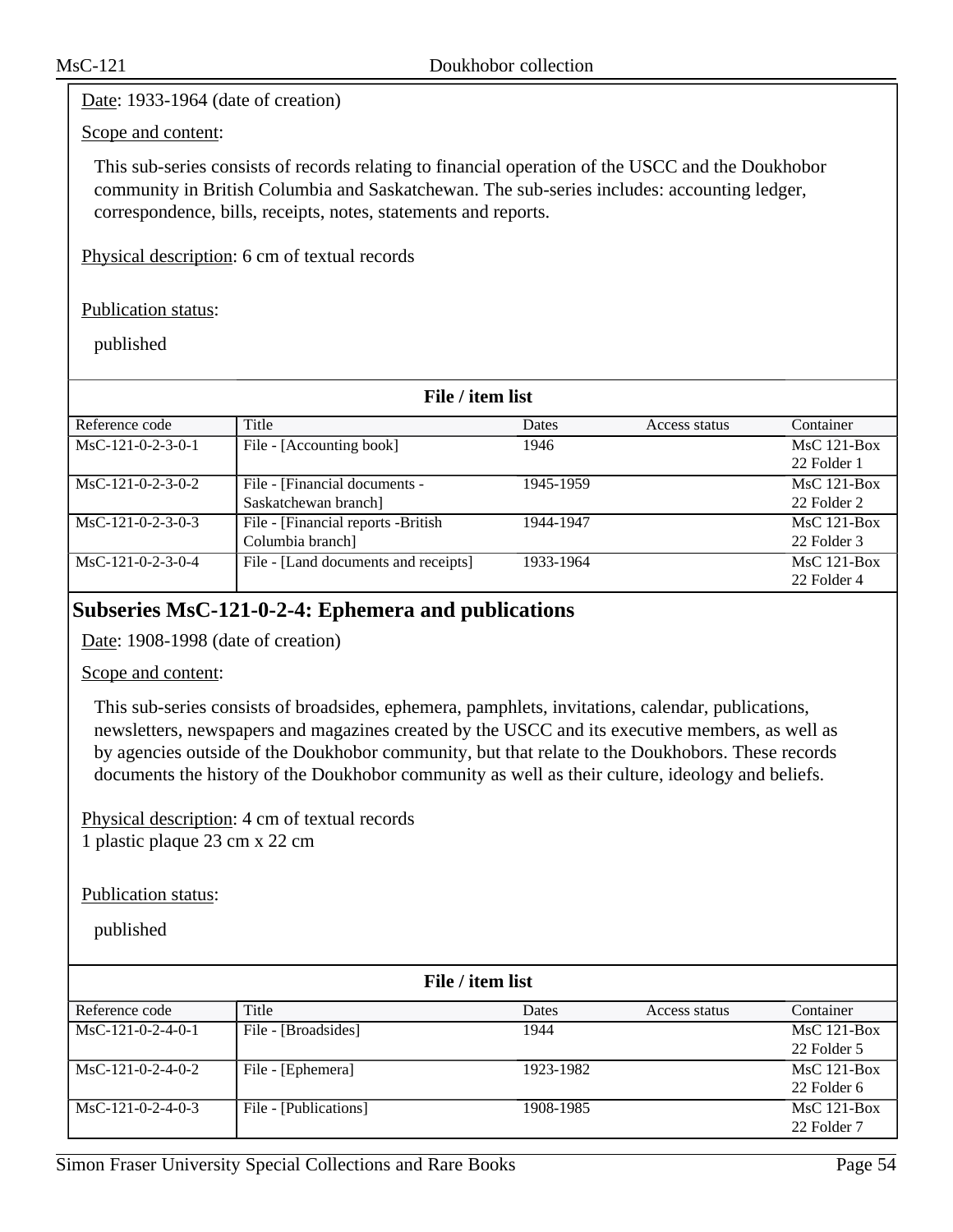Date: 1933-1964 (date of creation)

### Scope and content:

This sub-series consists of records relating to financial operation of the USCC and the Doukhobor community in British Columbia and Saskatchewan. The sub-series includes: accounting ledger, correspondence, bills, receipts, notes, statements and reports.

Physical description: 6 cm of textual records

Publication status:

published

| File / item list    |                                      |              |               |               |  |
|---------------------|--------------------------------------|--------------|---------------|---------------|--|
| Reference code      | Title                                | <b>Dates</b> | Access status | Container     |  |
| $MsC-121-0-2-3-0-1$ | File - [Accounting book]             | 1946         |               | $MsC$ 121-Box |  |
|                     |                                      |              |               | 22 Folder 1   |  |
| $MsC-121-0-2-3-0-2$ | File - [Financial documents -        | 1945-1959    |               | $MsC$ 121-Box |  |
|                     | Saskatchewan branch]                 |              |               | 22 Folder 2   |  |
| $MsC-121-0-2-3-0-3$ | File - [Financial reports -British]  | 1944-1947    |               | $MsC$ 121-Box |  |
|                     | Columbia branch]                     |              |               | 22 Folder 3   |  |
| MsC-121-0-2-3-0-4   | File - [Land documents and receipts] | 1933-1964    |               | $MsC$ 121-Box |  |
|                     |                                      |              |               | 22 Folder 4   |  |

### **Subseries MsC-121-0-2-4: Ephemera and publications**

Date: 1908-1998 (date of creation)

Scope and content:

This sub-series consists of broadsides, ephemera, pamphlets, invitations, calendar, publications, newsletters, newspapers and magazines created by the USCC and its executive members, as well as by agencies outside of the Doukhobor community, but that relate to the Doukhobors. These records documents the history of the Doukhobor community as well as their culture, ideology and beliefs.

Physical description: 4 cm of textual records 1 plastic plaque 23 cm x 22 cm

Publication status:

| File / item list    |                       |           |               |               |  |
|---------------------|-----------------------|-----------|---------------|---------------|--|
| Reference code      | Title                 | Dates     | Access status | Container     |  |
| $MsC-121-0-2-4-0-1$ | File - [Broadsides]   | 1944      |               | $MsC$ 121-Box |  |
|                     |                       |           |               | 22 Folder 5   |  |
| $MsC-121-0-2-4-0-2$ | File - [Ephemera]     | 1923-1982 |               | $MsC$ 121-Box |  |
|                     |                       |           |               | 22 Folder 6   |  |
| $MsC-121-0-2-4-0-3$ | File - [Publications] | 1908-1985 |               | $MsC$ 121-Box |  |
|                     |                       |           |               | 22 Folder 7   |  |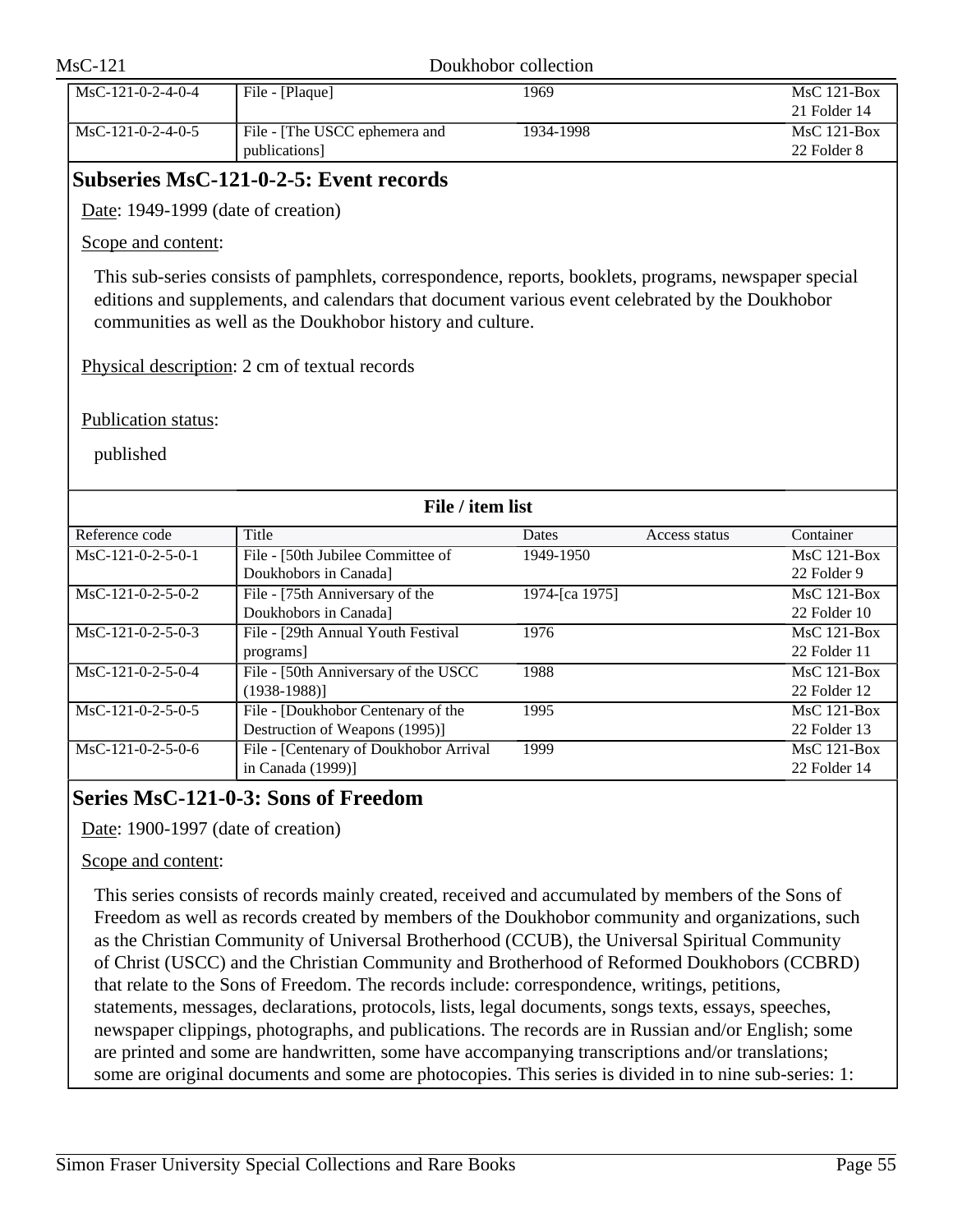| $MsC-121$                          |                                                                                                                                                                                                                                                                       | Doukhobor collection |               |                                                 |
|------------------------------------|-----------------------------------------------------------------------------------------------------------------------------------------------------------------------------------------------------------------------------------------------------------------------|----------------------|---------------|-------------------------------------------------|
| MsC-121-0-2-4-0-4                  | File - [Plaque]                                                                                                                                                                                                                                                       | 1969                 |               | $\overline{\text{MsC 121-Box}}$<br>21 Folder 14 |
| MsC-121-0-2-4-0-5                  | File - [The USCC ephemera and<br>publications]                                                                                                                                                                                                                        | 1934-1998            |               | <b>MsC 121-Box</b><br>22 Folder 8               |
|                                    | <b>Subseries MsC-121-0-2-5: Event records</b>                                                                                                                                                                                                                         |                      |               |                                                 |
| Date: 1949-1999 (date of creation) |                                                                                                                                                                                                                                                                       |                      |               |                                                 |
| Scope and content:                 |                                                                                                                                                                                                                                                                       |                      |               |                                                 |
|                                    | This sub-series consists of pamphlets, correspondence, reports, booklets, programs, newspaper special<br>editions and supplements, and calendars that document various event celebrated by the Doukhobor<br>communities as well as the Doukhobor history and culture. |                      |               |                                                 |
|                                    | Physical description: 2 cm of textual records                                                                                                                                                                                                                         |                      |               |                                                 |
| Publication status:<br>published   |                                                                                                                                                                                                                                                                       |                      |               |                                                 |
|                                    | File / item list                                                                                                                                                                                                                                                      |                      |               |                                                 |
| Reference code                     | Title                                                                                                                                                                                                                                                                 | Dates                | Access status | Container                                       |
| $MsC-121-0-2-5-0-1$                | File - [50th Jubilee Committee of<br>Doukhobors in Canada]                                                                                                                                                                                                            | 1949-1950            |               | <b>MsC 121-Box</b><br>22 Folder 9               |
| MsC-121-0-2-5-0-2                  | File - [75th Anniversary of the<br>Doukhobors in Canada]                                                                                                                                                                                                              | 1974-[ca 1975]       |               | $\overline{\text{MsC 121-Box}}$<br>22 Folder 10 |
| $MsC-121-0-2-5-0-3$                | File - [29th Annual Youth Festival<br>programs]                                                                                                                                                                                                                       | 1976                 |               | <b>MsC 121-Box</b><br>22 Folder 11              |
| MsC-121-0-2-5-0-4                  | File - [50th Anniversary of the USCC<br>$(1938-1988)$ ]                                                                                                                                                                                                               | 1988                 |               | $MsC$ 121-Box<br>22 Folder 12                   |
| $MsC-121-0-2-5-0-5$                | File - [Doukhobor Centenary of the<br>Destruction of Weapons (1995)]                                                                                                                                                                                                  | 1995                 |               | $MsC$ 121-Box<br>22 Folder 13                   |
| $MsC-121-0-2-5-0-6$                | File - [Centenary of Doukhobor Arrival]<br>in Canada (1999)]                                                                                                                                                                                                          | 1999                 |               | <b>MsC 121-Box</b><br>22 Folder 14              |
|                                    | Series MsC-121-0-3: Sons of Freedom                                                                                                                                                                                                                                   |                      |               |                                                 |
| Date: 1900-1997 (date of creation) |                                                                                                                                                                                                                                                                       |                      |               |                                                 |
| Scope and content:                 |                                                                                                                                                                                                                                                                       |                      |               |                                                 |
|                                    |                                                                                                                                                                                                                                                                       |                      |               |                                                 |
|                                    | This series consists of records mainly created, received and accumulated by members of the Sons of                                                                                                                                                                    |                      |               |                                                 |
|                                    | Freedom as well as records created by members of the Doukhobor community and organizations, such                                                                                                                                                                      |                      |               |                                                 |
|                                    | as the Christian Community of Universal Brotherhood (CCUB), the Universal Spiritual Community                                                                                                                                                                         |                      |               |                                                 |
|                                    | of Christ (USCC) and the Christian Community and Brotherhood of Reformed Doukhobors (CCBRD)                                                                                                                                                                           |                      |               |                                                 |
|                                    | that relate to the Sons of Freedom. The records include: correspondence, writings, petitions,                                                                                                                                                                         |                      |               |                                                 |
|                                    | statements, messages, declarations, protocols, lists, legal documents, songs texts, essays, speeches,                                                                                                                                                                 |                      |               |                                                 |

are printed and some are handwritten, some have accompanying transcriptions and/or translations; some are original documents and some are photocopies. This series is divided in to nine sub-series: 1:

newspaper clippings, photographs, and publications. The records are in Russian and/or English; some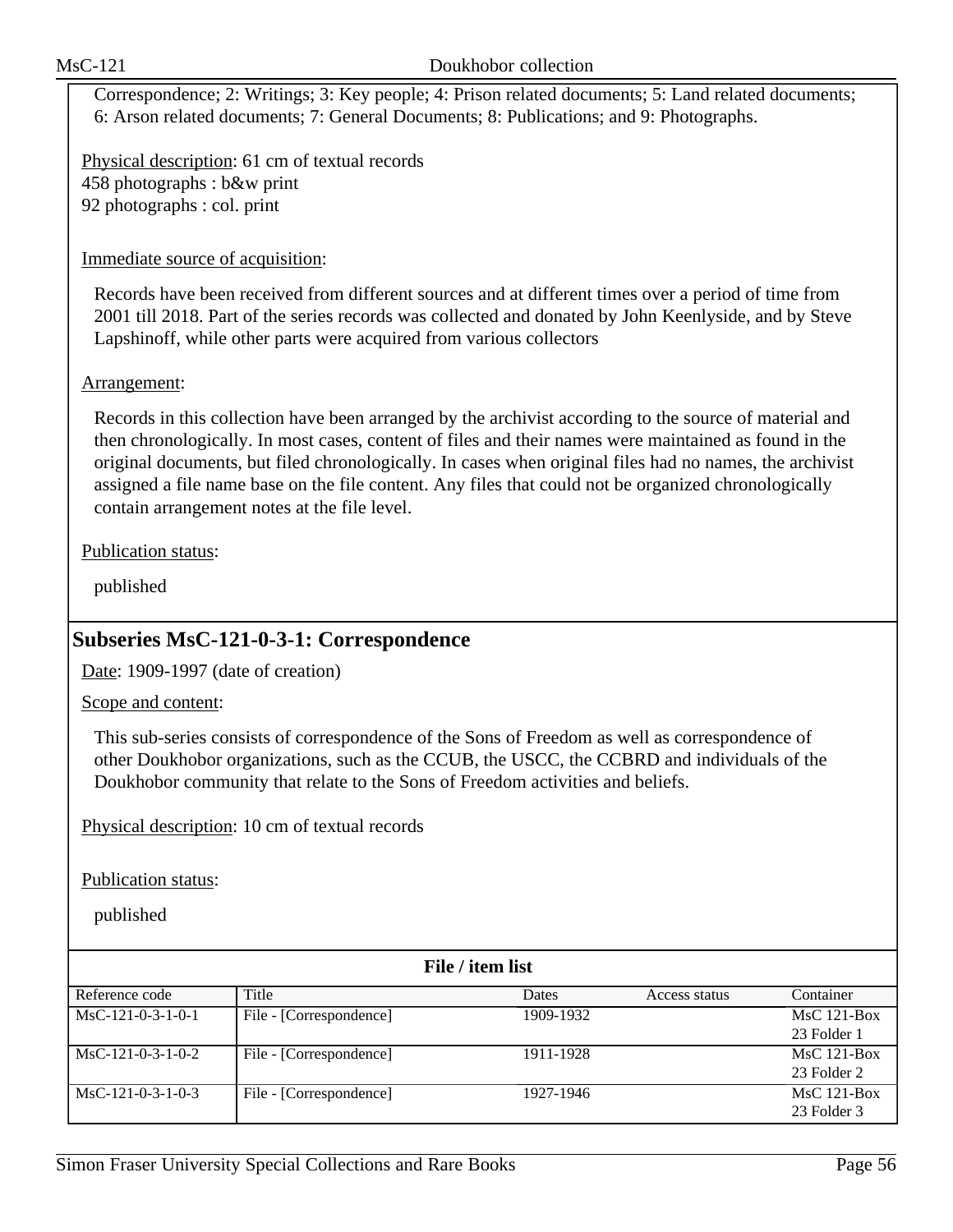Correspondence; 2: Writings; 3: Key people; 4: Prison related documents; 5: Land related documents; 6: Arson related documents; 7: General Documents; 8: Publications; and 9: Photographs.

Physical description: 61 cm of textual records 458 photographs : b&w print 92 photographs : col. print

### Immediate source of acquisition:

Records have been received from different sources and at different times over a period of time from 2001 till 2018. Part of the series records was collected and donated by John Keenlyside, and by Steve Lapshinoff, while other parts were acquired from various collectors

### Arrangement:

Records in this collection have been arranged by the archivist according to the source of material and then chronologically. In most cases, content of files and their names were maintained as found in the original documents, but filed chronologically. In cases when original files had no names, the archivist assigned a file name base on the file content. Any files that could not be organized chronologically contain arrangement notes at the file level.

Publication status:

published

### **Subseries MsC-121-0-3-1: Correspondence**

Date: 1909-1997 (date of creation)

Scope and content:

This sub-series consists of correspondence of the Sons of Freedom as well as correspondence of other Doukhobor organizations, such as the CCUB, the USCC, the CCBRD and individuals of the Doukhobor community that relate to the Sons of Freedom activities and beliefs.

Physical description: 10 cm of textual records

Publication status:

| File / item list    |                         |           |               |               |  |
|---------------------|-------------------------|-----------|---------------|---------------|--|
| Reference code      | Title                   | Dates     | Access status | Container     |  |
| $MsC-121-0-3-1-0-1$ | File - [Correspondence] | 1909-1932 |               | $MsC$ 121-Box |  |
|                     |                         |           |               | 23 Folder 1   |  |
| $MsC-121-0-3-1-0-2$ | File - [Correspondence] | 1911-1928 |               | $MsC$ 121-Box |  |
|                     |                         |           |               | 23 Folder 2   |  |
| $MsC-121-0-3-1-0-3$ | File - [Correspondence] | 1927-1946 |               | $MsC$ 121-Box |  |
|                     |                         |           |               | 23 Folder 3   |  |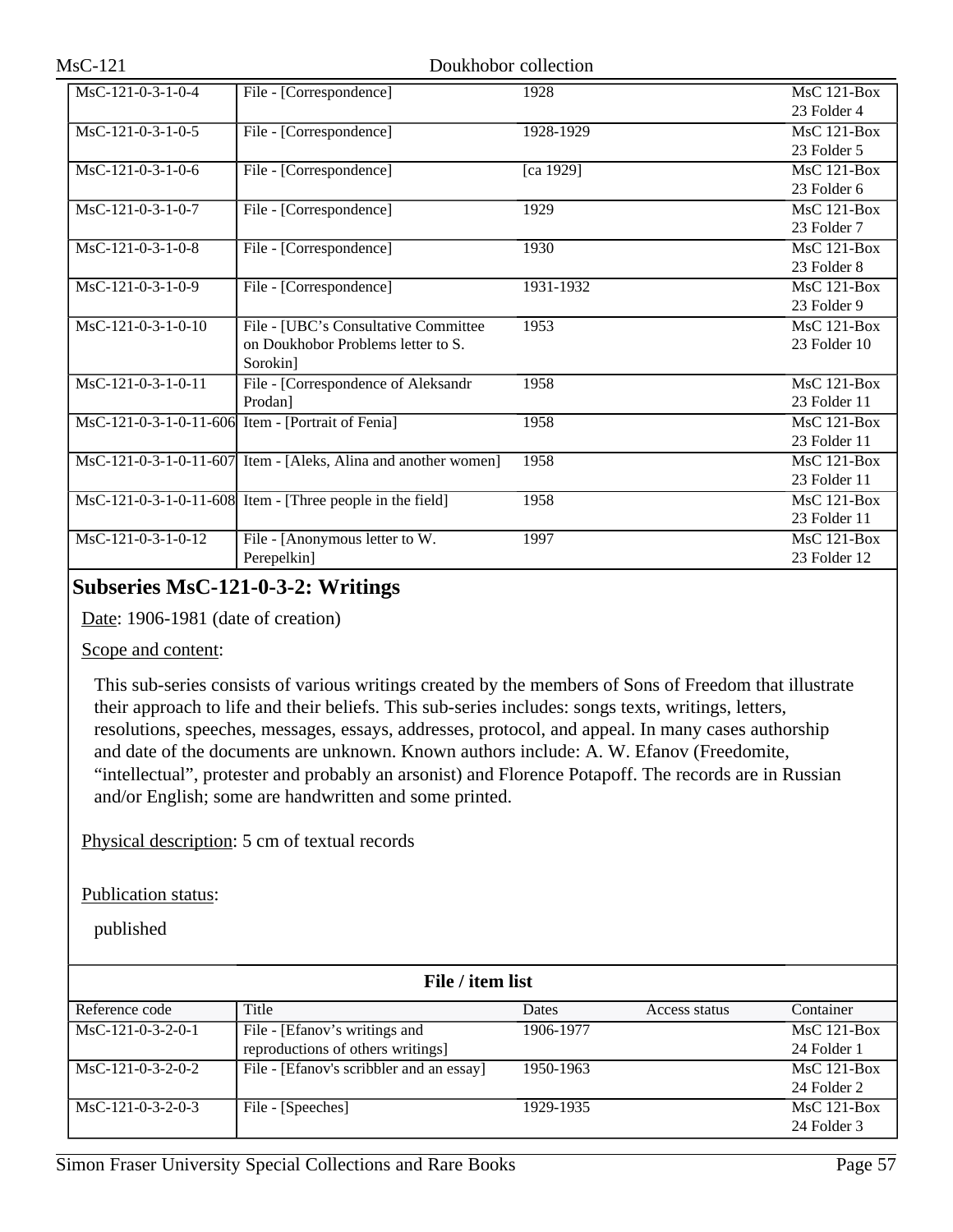| MsC-121-0-3-1-0-4    | File - [Correspondence]                                            | 1928      | <b>MsC 121-Box</b> |
|----------------------|--------------------------------------------------------------------|-----------|--------------------|
|                      |                                                                    |           | 23 Folder 4        |
| $MsC-121-0-3-1-0-5$  | File - [Correspondence]                                            | 1928-1929 | MsC 121-Box        |
|                      |                                                                    |           | 23 Folder 5        |
| $MsC-121-0-3-1-0-6$  | File - [Correspondence]                                            | [ca 1929] | MsC 121-Box        |
|                      |                                                                    |           | 23 Folder 6        |
| $MsC-121-0-3-1-0-7$  | File - [Correspondence]                                            | 1929      | MsC 121-Box        |
|                      |                                                                    |           | 23 Folder 7        |
| $MsC-121-0-3-1-0-8$  | File - [Correspondence]                                            | 1930      | <b>MsC 121-Box</b> |
|                      |                                                                    |           | 23 Folder 8        |
| $MsC-121-0-3-1-0-9$  | File - [Correspondence]                                            | 1931-1932 | $MsC$ 121-Box      |
|                      |                                                                    |           | 23 Folder 9        |
| $MsC-121-0-3-1-0-10$ | File - [UBC's Consultative Committee                               | 1953      | $MsC$ 121-Box      |
|                      | on Doukhobor Problems letter to S.                                 |           | 23 Folder 10       |
|                      | Sorokin]                                                           |           |                    |
| MsC-121-0-3-1-0-11   | File - [Correspondence of Aleksandr                                | 1958      | $MsC$ 121-Box      |
|                      | Prodan]                                                            |           | 23 Folder 11       |
|                      | MsC-121-0-3-1-0-11-606 Item - [Portrait of Fenia]                  | 1958      | MsC 121-Box        |
|                      |                                                                    |           | 23 Folder 11       |
|                      | MsC-121-0-3-1-0-11-607 Item - [Aleks, Alina and another women]     | 1958      | $MsC$ 121-Box      |
|                      |                                                                    |           | 23 Folder 11       |
|                      | $\text{MsC-121-0-3-1-0-11-608}$ Item - [Three people in the field] | 1958      | MsC 121-Box        |
|                      |                                                                    |           | 23 Folder 11       |
| $MsC-121-0-3-1-0-12$ | File - [Anonymous letter to W.                                     | 1997      | $MsC$ 121-Box      |
|                      | Perepelkin]                                                        |           | 23 Folder 12       |

## **Subseries MsC-121-0-3-2: Writings**

Date: 1906-1981 (date of creation)

Scope and content:

This sub-series consists of various writings created by the members of Sons of Freedom that illustrate their approach to life and their beliefs. This sub-series includes: songs texts, writings, letters, resolutions, speeches, messages, essays, addresses, protocol, and appeal. In many cases authorship and date of the documents are unknown. Known authors include: A. W. Efanov (Freedomite, "intellectual", protester and probably an arsonist) and Florence Potapoff. The records are in Russian and/or English; some are handwritten and some printed.

Physical description: 5 cm of textual records

Publication status:

| File / item list    |                                            |           |               |               |  |
|---------------------|--------------------------------------------|-----------|---------------|---------------|--|
| Reference code      | Title                                      | Dates     | Access status | Container     |  |
| $MsC-121-0-3-2-0-1$ | File - [Efanov's writings and<br>1906-1977 |           | $MsC$ 121-Box |               |  |
|                     | reproductions of others writings]          |           |               | 24 Folder 1   |  |
| $MsC-121-0-3-2-0-2$ | File - [Efanov's scribbler and an essay]   | 1950-1963 |               | $MsC$ 121-Box |  |
|                     |                                            |           |               | 24 Folder 2   |  |
| $MsC-121-0-3-2-0-3$ | File - [Speeches]                          | 1929-1935 |               | $MsC$ 121-Box |  |
|                     |                                            |           |               | 24 Folder 3   |  |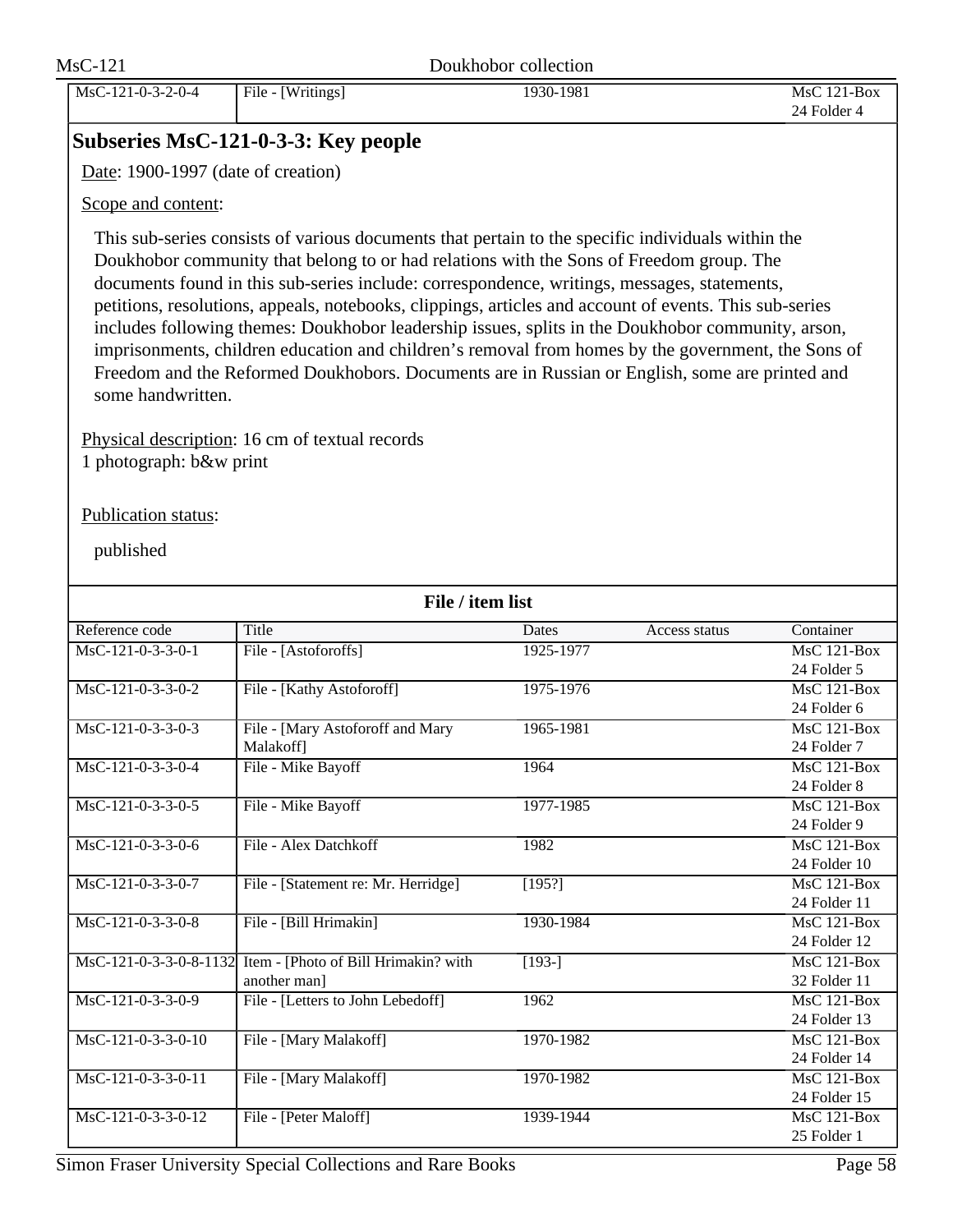MsC-121-0-3-2-0-4 File - [Writings] 1930-1981 MsC 121-Box 24 Folder 4

### **Subseries MsC-121-0-3-3: Key people**

Date: 1900-1997 (date of creation)

### Scope and content:

This sub-series consists of various documents that pertain to the specific individuals within the Doukhobor community that belong to or had relations with the Sons of Freedom group. The documents found in this sub-series include: correspondence, writings, messages, statements, petitions, resolutions, appeals, notebooks, clippings, articles and account of events. This sub-series includes following themes: Doukhobor leadership issues, splits in the Doukhobor community, arson, imprisonments, children education and children's removal from homes by the government, the Sons of Freedom and the Reformed Doukhobors. Documents are in Russian or English, some are printed and some handwritten.

Physical description: 16 cm of textual records 1 photograph: b&w print

### Publication status:

| File / item list    |                                                             |                    |               |               |  |
|---------------------|-------------------------------------------------------------|--------------------|---------------|---------------|--|
| Reference code      | Title                                                       | Dates              | Access status | Container     |  |
| $MsC-121-0-3-3-0-1$ | File - [Astoforoffs]                                        | 1925-1977          |               | MsC 121-Box   |  |
|                     |                                                             |                    |               | 24 Folder 5   |  |
| $MsC-121-0-3-3-0-2$ | File - [Kathy Astoforoff]                                   | 1975-1976          |               | $MsC$ 121-Box |  |
|                     |                                                             |                    |               | 24 Folder 6   |  |
| $MsC-121-0-3-3-0-3$ | File - [Mary Astoforoff and Mary                            | 1965-1981          |               | MsC 121-Box   |  |
|                     | Malakoff]                                                   |                    |               | 24 Folder 7   |  |
| MsC-121-0-3-3-0-4   | File - Mike Bayoff                                          | 1964               |               | MsC 121-Box   |  |
|                     |                                                             |                    |               | 24 Folder 8   |  |
| $MsC-121-0-3-3-0-5$ | File - Mike Bayoff                                          | 1977-1985          |               | $MsC$ 121-Box |  |
|                     |                                                             |                    |               | 24 Folder 9   |  |
| $MsC-121-0-3-3-0-6$ | File - Alex Datchkoff                                       | 1982               |               | $MsC$ 121-Box |  |
|                     |                                                             |                    |               | 24 Folder 10  |  |
| MsC-121-0-3-3-0-7   | File - [Statement re: Mr. Herridge]                         | [195?]             |               | $MsC$ 121-Box |  |
|                     |                                                             |                    |               | 24 Folder 11  |  |
| MsC-121-0-3-3-0-8   | File - [Bill Hrimakin]                                      | 1930-1984          |               | $MsC$ 121-Box |  |
|                     |                                                             |                    |               | 24 Folder 12  |  |
|                     | MsC-121-0-3-3-0-8-1132 Item - [Photo of Bill Hrimakin? with | $\overline{193-1}$ |               | MsC 121-Box   |  |
|                     | another man]                                                |                    |               | 32 Folder 11  |  |
| MsC-121-0-3-3-0-9   | File - [Letters to John Lebedoff]                           | 1962               |               | MsC 121-Box   |  |
|                     |                                                             |                    |               | 24 Folder 13  |  |
| MsC-121-0-3-3-0-10  | File - [Mary Malakoff]                                      | 1970-1982          |               | MsC 121-Box   |  |
|                     |                                                             |                    |               | 24 Folder 14  |  |
| MsC-121-0-3-3-0-11  | File - [Mary Malakoff]                                      | 1970-1982          |               | $MsC$ 121-Box |  |
|                     |                                                             |                    |               | 24 Folder 15  |  |
| MsC-121-0-3-3-0-12  | File - [Peter Maloff]                                       | 1939-1944          |               | MsC 121-Box   |  |
|                     |                                                             |                    |               | 25 Folder 1   |  |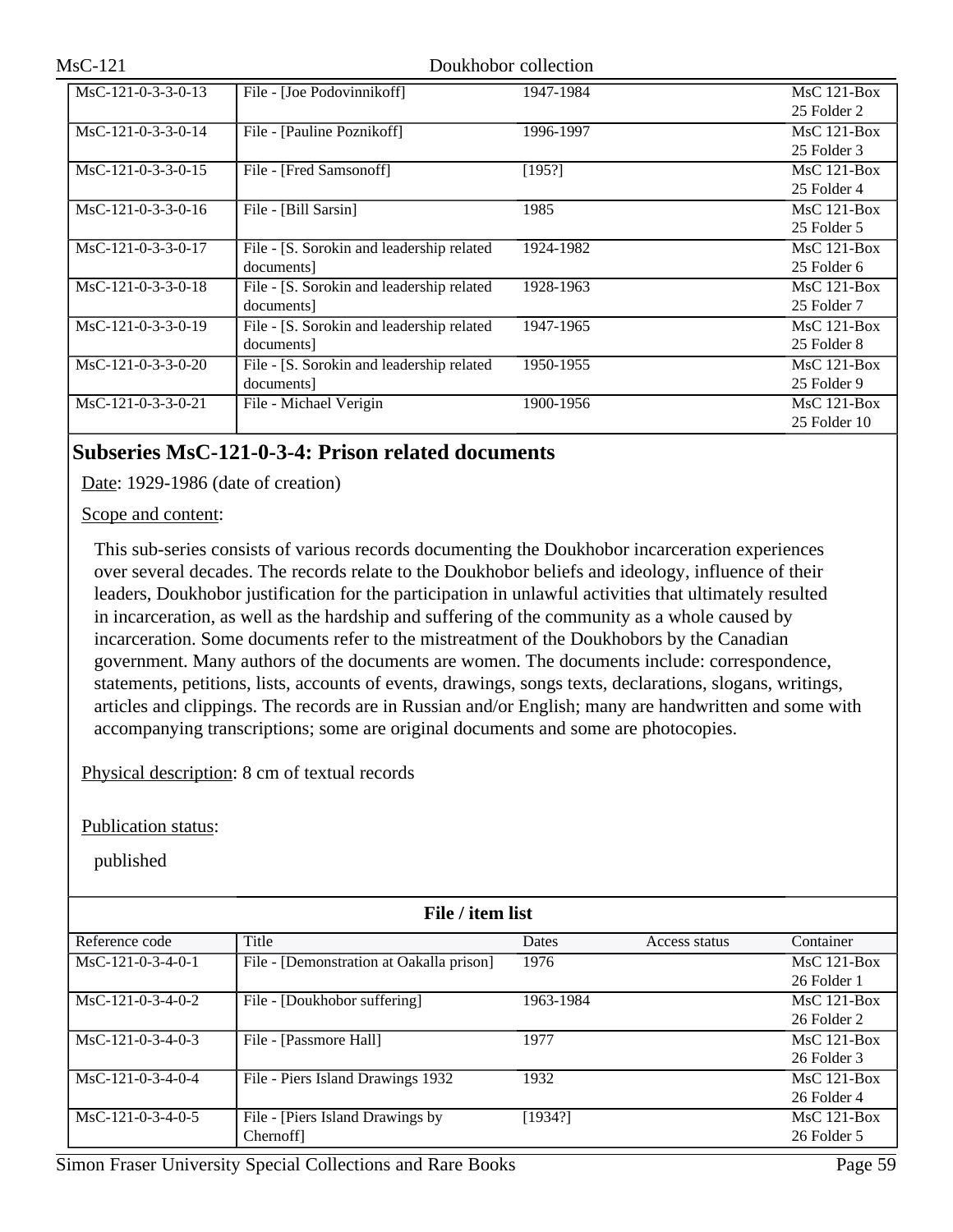| $MsC-121-0-3-3-0-13$ | File - [Joe Podovinnikoff]                | 1947-1984 | $MsC$ 121-Box |
|----------------------|-------------------------------------------|-----------|---------------|
|                      |                                           |           | 25 Folder 2   |
| $MsC-121-0-3-3-0-14$ | File - [Pauline Poznikoff]                | 1996-1997 | $MsC$ 121-Box |
|                      |                                           |           | 25 Folder 3   |
| $MsC-121-0-3-3-0-15$ | File - [Fred Samsonoff]                   | [195?]    | $MsC$ 121-Box |
|                      |                                           |           | 25 Folder 4   |
| $MsC-121-0-3-3-0-16$ | File - [Bill Sarsin]                      | 1985      | $MsC$ 121-Box |
|                      |                                           |           | 25 Folder 5   |
| $MsC-121-0-3-3-0-17$ | File - [S. Sorokin and leadership related | 1924-1982 | $MsC$ 121-Box |
|                      | documents]                                |           | 25 Folder 6   |
| $MsC-121-0-3-3-0-18$ | File - [S. Sorokin and leadership related | 1928-1963 | $MsC$ 121-Box |
|                      | documents]                                |           | 25 Folder 7   |
| $MsC-121-0-3-3-0-19$ | File - [S. Sorokin and leadership related | 1947-1965 | $MsC$ 121-Box |
|                      | documents]                                |           | 25 Folder 8   |
| $MsC-121-0-3-3-0-20$ | File - [S. Sorokin and leadership related | 1950-1955 | $MsC$ 121-Box |
|                      | documents]                                |           | 25 Folder 9   |
| $MsC-121-0-3-3-0-21$ | File - Michael Verigin                    | 1900-1956 | $MsC$ 121-Box |
|                      |                                           |           | 25 Folder 10  |

### **Subseries MsC-121-0-3-4: Prison related documents**

Date: 1929-1986 (date of creation)

Scope and content:

This sub-series consists of various records documenting the Doukhobor incarceration experiences over several decades. The records relate to the Doukhobor beliefs and ideology, influence of their leaders, Doukhobor justification for the participation in unlawful activities that ultimately resulted in incarceration, as well as the hardship and suffering of the community as a whole caused by incarceration. Some documents refer to the mistreatment of the Doukhobors by the Canadian government. Many authors of the documents are women. The documents include: correspondence, statements, petitions, lists, accounts of events, drawings, songs texts, declarations, slogans, writings, articles and clippings. The records are in Russian and/or English; many are handwritten and some with accompanying transcriptions; some are original documents and some are photocopies.

Physical description: 8 cm of textual records

Publication status:

| File / item list    |                                          |              |               |               |  |
|---------------------|------------------------------------------|--------------|---------------|---------------|--|
| Reference code      | Title                                    | <b>Dates</b> | Access status | Container     |  |
| $MsC-121-0-3-4-0-1$ | File - [Demonstration at Oakalla prison] | 1976         |               | $MsC$ 121-Box |  |
|                     | 26 Folder 1                              |              |               |               |  |
| $MsC-121-0-3-4-0-2$ | File - [Doukhobor suffering]             | 1963-1984    |               | $MsC$ 121-Box |  |
|                     |                                          |              |               | 26 Folder 2   |  |
| $MsC-121-0-3-4-0-3$ | File - [Passmore Hall]                   | 1977         |               | $MsC$ 121-Box |  |
|                     |                                          |              |               | 26 Folder 3   |  |
| $MsC-121-0-3-4-0-4$ | File - Piers Island Drawings 1932        | 1932         |               | $MsC$ 121-Box |  |
|                     |                                          |              |               | 26 Folder 4   |  |
| $MsC-121-0-3-4-0-5$ | File - [Piers Island Drawings by         | [1934?]      |               | $MsC$ 121-Box |  |
|                     | <b>Chernoffl</b>                         |              |               | 26 Folder 5   |  |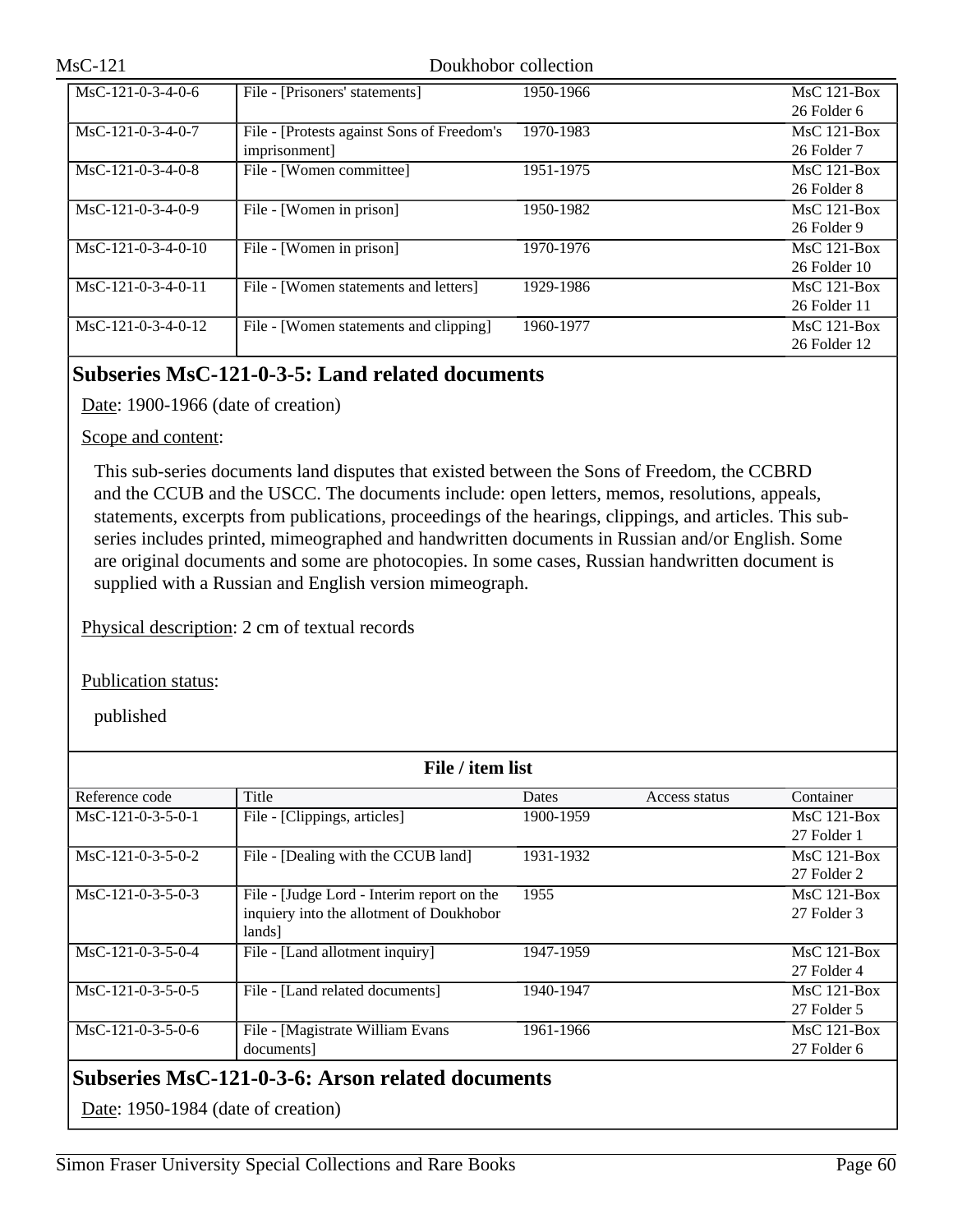| $MsC-121-0-3-4-0-6$  | File - [Prisoners' statements]             | 1950-1966 | $MsC$ 121-Box    |
|----------------------|--------------------------------------------|-----------|------------------|
|                      |                                            |           | 26 Folder 6      |
| $MsC-121-0-3-4-0-7$  | File - [Protests against Sons of Freedom's | 1970-1983 | $MsC$ 121-Box    |
|                      | imprisonment]                              |           | 26 Folder 7      |
| $MsC-121-0-3-4-0-8$  | File - [Women committee]                   | 1951-1975 | $MsC$ 121-Box    |
|                      |                                            |           | 26 Folder 8      |
| $MsC-121-0-3-4-0-9$  | File - [Women in prison]                   | 1950-1982 | $MsC$ 121-Box    |
|                      |                                            |           | 26 Folder 9      |
| $MsC-121-0-3-4-0-10$ | File - [Women in prison]                   | 1970-1976 | $MsC$ 121-Box    |
|                      |                                            |           | $26$ Folder $10$ |
| $MsC-121-0-3-4-0-11$ | File - [Women statements and letters]      | 1929-1986 | $MsC$ 121-Box    |
|                      |                                            |           | 26 Folder 11     |
| $MsC-121-0-3-4-0-12$ | File - [Women statements and clipping]     | 1960-1977 | $MsC$ 121-Box    |
|                      |                                            |           | 26 Folder 12     |

## **Subseries MsC-121-0-3-5: Land related documents**

Date: 1900-1966 (date of creation)

### Scope and content:

This sub-series documents land disputes that existed between the Sons of Freedom, the CCBRD and the CCUB and the USCC. The documents include: open letters, memos, resolutions, appeals, statements, excerpts from publications, proceedings of the hearings, clippings, and articles. This subseries includes printed, mimeographed and handwritten documents in Russian and/or English. Some are original documents and some are photocopies. In some cases, Russian handwritten document is supplied with a Russian and English version mimeograph.

Physical description: 2 cm of textual records

Publication status:

| File / item list                                        |                                            |           |               |               |  |
|---------------------------------------------------------|--------------------------------------------|-----------|---------------|---------------|--|
| Reference code                                          | Title                                      | Dates     | Access status | Container     |  |
| $MsC-121-0-3-5-0-1$                                     | File - [Clippings, articles]               | 1900-1959 |               | $MsC$ 121-Box |  |
|                                                         |                                            |           |               | 27 Folder 1   |  |
| $MsC-121-0-3-5-0-2$                                     | File - [Dealing with the CCUB land]        | 1931-1932 |               | $MsC$ 121-Box |  |
|                                                         |                                            |           |               | 27 Folder 2   |  |
| $MsC-121-0-3-5-0-3$                                     | File - [Judge Lord - Interim report on the | 1955      |               | $MsC$ 121-Box |  |
|                                                         | inquiery into the allotment of Doukhobor   |           |               | 27 Folder 3   |  |
|                                                         | lands]                                     |           |               |               |  |
| MsC-121-0-3-5-0-4                                       | File - [Land allotment inquiry]            | 1947-1959 |               | $MsC$ 121-Box |  |
|                                                         |                                            |           |               | 27 Folder 4   |  |
| MsC-121-0-3-5-0-5                                       | File - [Land related documents]            | 1940-1947 |               | $MsC$ 121-Box |  |
|                                                         |                                            |           |               | 27 Folder 5   |  |
| $MsC-121-0-3-5-0-6$                                     | File - [Magistrate William Evans           | 1961-1966 |               | $MsC$ 121-Box |  |
|                                                         | documents]                                 |           |               | 27 Folder 6   |  |
| <b>Subseries MsC-121-0-3-6: Arson related documents</b> |                                            |           |               |               |  |
| Date: 1950-1984 (date of creation)                      |                                            |           |               |               |  |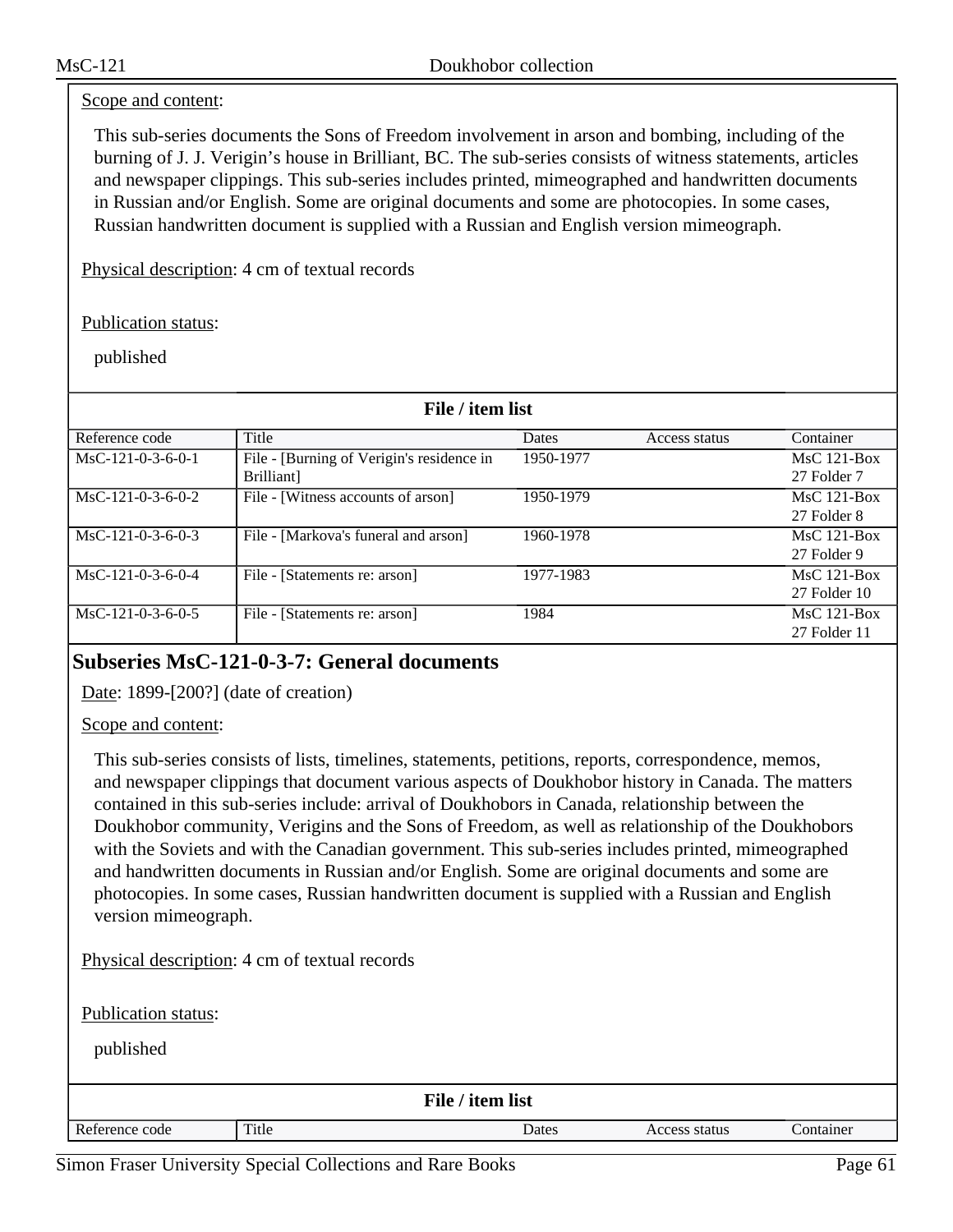#### Scope and content:

This sub-series documents the Sons of Freedom involvement in arson and bombing, including of the burning of J. J. Verigin's house in Brilliant, BC. The sub-series consists of witness statements, articles and newspaper clippings. This sub-series includes printed, mimeographed and handwritten documents in Russian and/or English. Some are original documents and some are photocopies. In some cases, Russian handwritten document is supplied with a Russian and English version mimeograph.

Physical description: 4 cm of textual records

Publication status:

published

| File / item list    |                                           |              |               |               |  |
|---------------------|-------------------------------------------|--------------|---------------|---------------|--|
| Reference code      | Title                                     | <b>Dates</b> | Access status | Container     |  |
| $MsC-121-0-3-6-0-1$ | File - [Burning of Verigin's residence in | 1950-1977    |               | $MsC$ 121-Box |  |
|                     | Brilliant]                                |              |               | 27 Folder 7   |  |
| $MsC-121-0-3-6-0-2$ | File - [Witness accounts of arson]        | 1950-1979    |               | $MsC$ 121-Box |  |
|                     |                                           |              |               | 27 Folder 8   |  |
| $MsC-121-0-3-6-0-3$ | File - [Markova's funeral and arson]      | 1960-1978    |               | $MsC$ 121-Box |  |
|                     |                                           |              |               | 27 Folder 9   |  |
| $MsC-121-0-3-6-0-4$ | File - [Statements re: arson]             | 1977-1983    |               | $MsC$ 121-Box |  |
|                     |                                           |              |               | 27 Folder 10  |  |
| $MsC-121-0-3-6-0-5$ | File - [Statements re: arson]             | 1984         |               | $MsC$ 121-Box |  |
|                     |                                           |              |               | 27 Folder 11  |  |

### **Subseries MsC-121-0-3-7: General documents**

Date: 1899-[200?] (date of creation)

Scope and content:

This sub-series consists of lists, timelines, statements, petitions, reports, correspondence, memos, and newspaper clippings that document various aspects of Doukhobor history in Canada. The matters contained in this sub-series include: arrival of Doukhobors in Canada, relationship between the Doukhobor community, Verigins and the Sons of Freedom, as well as relationship of the Doukhobors with the Soviets and with the Canadian government. This sub-series includes printed, mimeographed and handwritten documents in Russian and/or English. Some are original documents and some are photocopies. In some cases, Russian handwritten document is supplied with a Russian and English version mimeograph.

Physical description: 4 cm of textual records

Publication status:

| File / item list |       |       |               |           |  |
|------------------|-------|-------|---------------|-----------|--|
| Reference code   | Title | Dates | Access status | Container |  |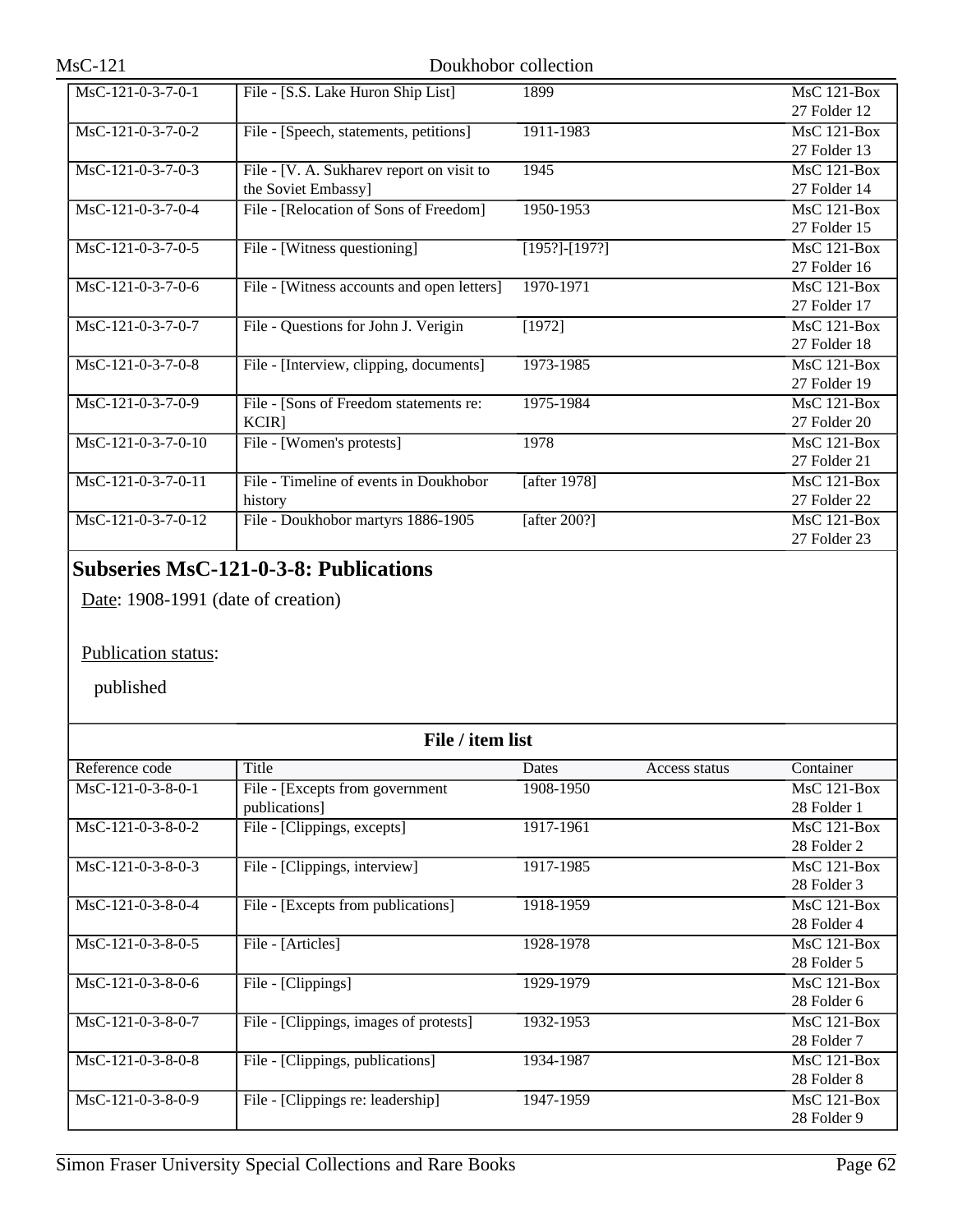| $MsC-121-0-3-7-0-1$ | File - [S.S. Lake Huron Ship List]         | 1899                | MsC 121-Box        |
|---------------------|--------------------------------------------|---------------------|--------------------|
|                     |                                            |                     | 27 Folder 12       |
| $MsC-121-0-3-7-0-2$ | File - [Speech, statements, petitions]     | 1911-1983           | $MsC$ 121-Box      |
|                     |                                            |                     | 27 Folder 13       |
| $MsC-121-0-3-7-0-3$ | File - [V. A. Sukharev report on visit to  | 1945                | MsC 121-Box        |
|                     | the Soviet Embassy]                        |                     | 27 Folder 14       |
| MsC-121-0-3-7-0-4   | File - [Relocation of Sons of Freedom]     | 1950-1953           | <b>MsC 121-Box</b> |
|                     |                                            |                     | 27 Folder 15       |
| $MsC-121-0-3-7-0-5$ | File - [Witness questioning]               | $[195?]$ - $[197?]$ | $MsC$ 121-Box      |
|                     |                                            |                     | 27 Folder 16       |
| MsC-121-0-3-7-0-6   | File - [Witness accounts and open letters] | 1970-1971           | $MsC$ 121-Box      |
|                     |                                            |                     | 27 Folder 17       |
| MsC-121-0-3-7-0-7   | File - Questions for John J. Verigin       | [1972]              | $MsC$ 121-Box      |
|                     |                                            |                     | 27 Folder 18       |
| MsC-121-0-3-7-0-8   | File - [Interview, clipping, documents]    | $1973 - 1985$       | MsC 121-Box        |
|                     |                                            |                     | 27 Folder 19       |
| MsC-121-0-3-7-0-9   | File - [Sons of Freedom statements re:     | 1975-1984           | $MsC$ 121-Box      |
|                     | $KCIR$ ]                                   |                     | 27 Folder 20       |
| MsC-121-0-3-7-0-10  | File - [Women's protests]                  | 1978                | $MsC$ 121-Box      |
|                     |                                            |                     | 27 Folder 21       |
| MsC-121-0-3-7-0-11  | File - Timeline of events in Doukhobor     | [after 1978]        | MsC 121-Box        |
|                     | history                                    |                     | 27 Folder 22       |
| MsC-121-0-3-7-0-12  | File - Doukhobor martyrs 1886-1905         | [after $200$ ?]     | $MsC$ 121-Box      |
|                     |                                            |                     | 27 Folder 23       |

## **Subseries MsC-121-0-3-8: Publications**

Date: 1908-1991 (date of creation)

### Publication status:

| File / item list    |                                        |           |               |               |
|---------------------|----------------------------------------|-----------|---------------|---------------|
| Reference code      | Title                                  | Dates     | Access status | Container     |
| $MsC-121-0-3-8-0-1$ | File - [Excepts from government]       | 1908-1950 |               | $MsC$ 121-Box |
|                     | publications]                          |           |               | 28 Folder 1   |
| $MsC-121-0-3-8-0-2$ | File - [Clippings, excepts]            | 1917-1961 |               | $MsC$ 121-Box |
|                     |                                        |           |               | 28 Folder 2   |
| MsC-121-0-3-8-0-3   | File - [Clippings, interview]          | 1917-1985 |               | $MsC$ 121-Box |
|                     |                                        |           |               | 28 Folder 3   |
| $MsC-121-0-3-8-0-4$ | File - [Excepts from publications]     | 1918-1959 |               | $MsC$ 121-Box |
|                     |                                        |           |               | 28 Folder 4   |
| $MsC-121-0-3-8-0-5$ | File - [Articles]                      | 1928-1978 |               | $MsC$ 121-Box |
|                     |                                        |           |               | 28 Folder 5   |
| $MsC-121-0-3-8-0-6$ | File - [Clippings]                     | 1929-1979 |               | $MsC$ 121-Box |
|                     |                                        |           |               | 28 Folder 6   |
| $MsC-121-0-3-8-0-7$ | File - [Clippings, images of protests] | 1932-1953 |               | $MsC$ 121-Box |
|                     |                                        |           |               | 28 Folder 7   |
| $MsC-121-0-3-8-0-8$ | File - [Clippings, publications]       | 1934-1987 |               | $MsC$ 121-Box |
|                     |                                        |           |               | 28 Folder 8   |
| MsC-121-0-3-8-0-9   | File - [Clippings re: leadership]      | 1947-1959 |               | $MsC$ 121-Box |
|                     |                                        |           |               | 28 Folder 9   |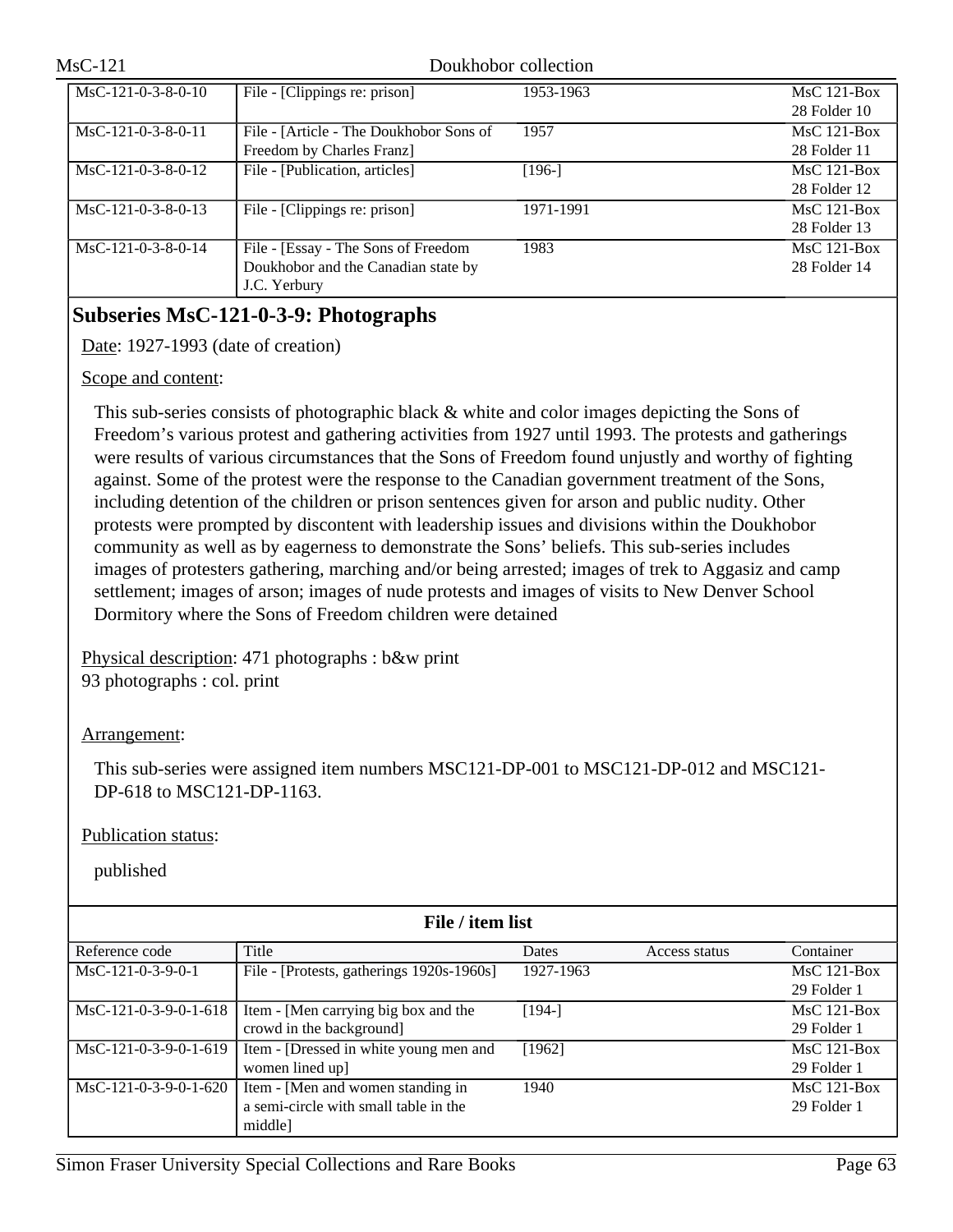| $MsC-121-0-3-8-0-10$ | File - [Clippings re: prison]           | 1953-1963 | $MsC$ 121-Box |
|----------------------|-----------------------------------------|-----------|---------------|
|                      |                                         |           | 28 Folder 10  |
| $MsC-121-0-3-8-0-11$ | File - [Article - The Doukhobor Sons of | 1957      | $MsC$ 121-Box |
|                      | Freedom by Charles Franz]               |           | 28 Folder 11  |
| $MsC-121-0-3-8-0-12$ | File - [Publication, articles]          | $[196-]$  | $MsC$ 121-Box |
|                      |                                         |           | 28 Folder 12  |
| MsC-121-0-3-8-0-13   | File - [Clippings re: prison]           | 1971-1991 | $MsC$ 121-Box |
|                      |                                         |           | 28 Folder 13  |
| $MsC-121-0-3-8-0-14$ | File - [Essay - The Sons of Freedom     | 1983      | $MsC$ 121-Box |
|                      | Doukhobor and the Canadian state by     |           | 28 Folder 14  |
|                      | J.C. Yerbury                            |           |               |

### **Subseries MsC-121-0-3-9: Photographs**

Date: 1927-1993 (date of creation)

#### Scope and content:

This sub-series consists of photographic black & white and color images depicting the Sons of Freedom's various protest and gathering activities from 1927 until 1993. The protests and gatherings were results of various circumstances that the Sons of Freedom found unjustly and worthy of fighting against. Some of the protest were the response to the Canadian government treatment of the Sons, including detention of the children or prison sentences given for arson and public nudity. Other protests were prompted by discontent with leadership issues and divisions within the Doukhobor community as well as by eagerness to demonstrate the Sons' beliefs. This sub-series includes images of protesters gathering, marching and/or being arrested; images of trek to Aggasiz and camp settlement; images of arson; images of nude protests and images of visits to New Denver School Dormitory where the Sons of Freedom children were detained

Physical description: 471 photographs : b&w print 93 photographs : col. print

Arrangement:

This sub-series were assigned item numbers MSC121-DP-001 to MSC121-DP-012 and MSC121- DP-618 to MSC121-DP-1163.

Publication status:

| File / item list        |                                           |           |               |               |
|-------------------------|-------------------------------------------|-----------|---------------|---------------|
| Reference code          | Title                                     | Dates     | Access status | Container     |
| $MsC-121-0-3-9-0-1$     | File - [Protests, gatherings 1920s-1960s] | 1927-1963 |               | $MsC$ 121-Box |
|                         |                                           |           |               | 29 Folder 1   |
| $MsC-121-0-3-9-0-1-618$ | Item - [Men carrying big box and the      | $[194-]$  |               | $MsC$ 121-Box |
|                         | crowd in the background]                  |           |               | 29 Folder 1   |
| MsC-121-0-3-9-0-1-619   | Item - [Dressed in white young men and    | [1962]    |               | $MsC$ 121-Box |
|                         | women lined up]                           |           |               | 29 Folder 1   |
| $MsC-121-0-3-9-0-1-620$ | Item - [Men and women standing in         | 1940      |               | $MsC$ 121-Box |
|                         | a semi-circle with small table in the     |           |               | 29 Folder 1   |
|                         | middle]                                   |           |               |               |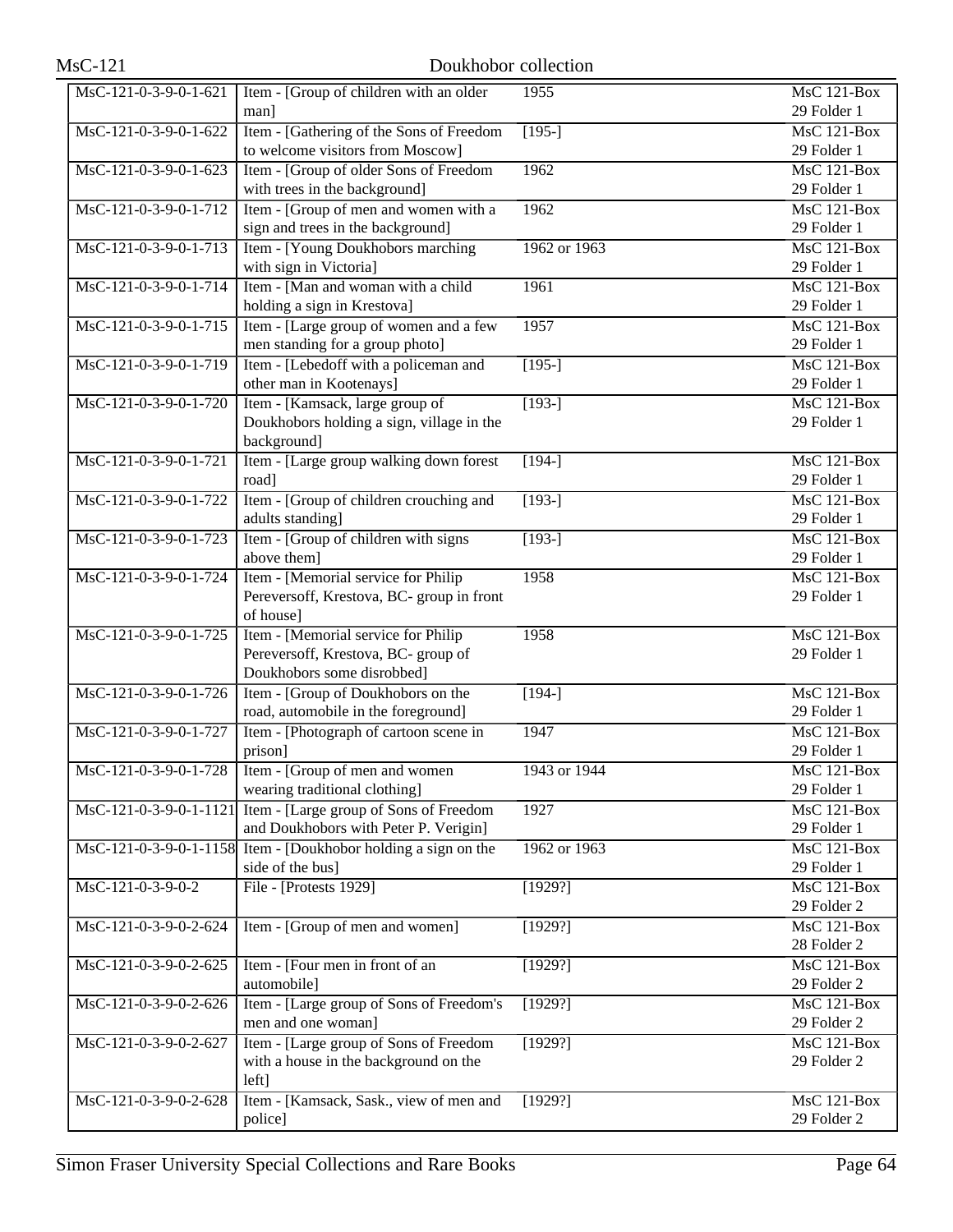| $MsC-121$              | Doukhobor collection                                                                                     |              |                                                |
|------------------------|----------------------------------------------------------------------------------------------------------|--------------|------------------------------------------------|
| MsC-121-0-3-9-0-1-621  | Item - [Group of children with an older<br>man]                                                          | 1955         | <b>MsC 121-Box</b><br>29 Folder 1              |
| MsC-121-0-3-9-0-1-622  | Item - [Gathering of the Sons of Freedom<br>to welcome visitors from Moscow]                             | $[195-]$     | MsC 121-Box<br>29 Folder 1                     |
| MsC-121-0-3-9-0-1-623  | Item - [Group of older Sons of Freedom<br>with trees in the background]                                  | 1962         | MsC 121-Box<br>29 Folder 1                     |
| MsC-121-0-3-9-0-1-712  | Item - [Group of men and women with a<br>sign and trees in the background]                               | 1962         | <b>MsC 121-Box</b><br>29 Folder 1              |
| MsC-121-0-3-9-0-1-713  | Item - [Young Doukhobors marching<br>with sign in Victoria]                                              | 1962 or 1963 | MsC 121-Box<br>29 Folder 1                     |
| MsC-121-0-3-9-0-1-714  | Item - [Man and woman with a child<br>holding a sign in Krestova]                                        | 1961         | $MsC$ 121-Box<br>29 Folder 1                   |
| MsC-121-0-3-9-0-1-715  | Item - [Large group of women and a few<br>men standing for a group photo]                                | 1957         | $\overline{\text{MsC 121-Box}}$<br>29 Folder 1 |
| MsC-121-0-3-9-0-1-719  | Item - [Lebedoff with a policeman and<br>other man in Kootenays]                                         | $[195-]$     | MsC 121-Box<br>29 Folder 1                     |
| MsC-121-0-3-9-0-1-720  | Item - [Kamsack, large group of<br>Doukhobors holding a sign, village in the<br>background]              | $[193-]$     | $MsC$ 121-Box<br>29 Folder 1                   |
| MsC-121-0-3-9-0-1-721  | Item - [Large group walking down forest]<br>road]                                                        | $\sqrt{194}$ | MsC 121-Box<br>29 Folder 1                     |
| MsC-121-0-3-9-0-1-722  | Item - [Group of children crouching and<br>adults standing]                                              | $[193-]$     | $MsC$ 121-Box<br>29 Folder 1                   |
| MsC-121-0-3-9-0-1-723  | Item - [Group of children with signs<br>above them]                                                      | $[193-]$     | $MsC$ 121-Box<br>29 Folder 1                   |
| MsC-121-0-3-9-0-1-724  | Item - [Memorial service for Philip<br>Pereversoff, Krestova, BC- group in front<br>of house]            | 1958         | $MsC$ 121-Box<br>29 Folder 1                   |
| MsC-121-0-3-9-0-1-725  | Item - [Memorial service for Philip<br>Pereversoff, Krestova, BC- group of<br>Doukhobors some disrobbed] | 1958         | <b>MsC 121-Box</b><br>29 Folder 1              |
| MsC-121-0-3-9-0-1-726  | Item - [Group of Doukhobors on the<br>road, automobile in the foreground]                                | $[194-]$     | MsC 121-Box<br>29 Folder 1                     |
| MsC-121-0-3-9-0-1-727  | Item - [Photograph of cartoon scene in<br>prison]                                                        | 1947         | MsC 121-Box<br>29 Folder 1                     |
| MsC-121-0-3-9-0-1-728  | Item - [Group of men and women]<br>wearing traditional clothing]                                         | 1943 or 1944 | $MsC$ 121-Box<br>29 Folder 1                   |
| MsC-121-0-3-9-0-1-1121 | Item - [Large group of Sons of Freedom<br>and Doukhobors with Peter P. Verigin]                          | 1927         | $MsC$ 121-Box<br>29 Folder 1                   |
|                        | MsC-121-0-3-9-0-1-1158 Item - [Doukhobor holding a sign on the<br>side of the bus]                       | 1962 or 1963 | $MsC$ 121-Box<br>29 Folder 1                   |
| MsC-121-0-3-9-0-2      | File - [Protests 1929]                                                                                   | [1929?]      | $MsC$ 121-Box<br>29 Folder 2                   |
| MsC-121-0-3-9-0-2-624  | Item - [Group of men and women]                                                                          | [1929?]      | MsC 121-Box<br>28 Folder 2                     |
| MsC-121-0-3-9-0-2-625  | Item - [Four men in front of an<br>automobile]                                                           | [1929?]      | <b>MsC 121-Box</b><br>29 Folder 2              |
| MsC-121-0-3-9-0-2-626  | Item - [Large group of Sons of Freedom's<br>men and one woman]                                           | [1929?]      | MsC 121-Box<br>29 Folder 2                     |
| MsC-121-0-3-9-0-2-627  | Item - [Large group of Sons of Freedom<br>with a house in the background on the<br>left]                 | [1929?]      | <b>MsC 121-Box</b><br>29 Folder 2              |
| MsC-121-0-3-9-0-2-628  | Item - [Kamsack, Sask., view of men and<br>police]                                                       | [1929?]      | <b>MsC 121-Box</b><br>29 Folder 2              |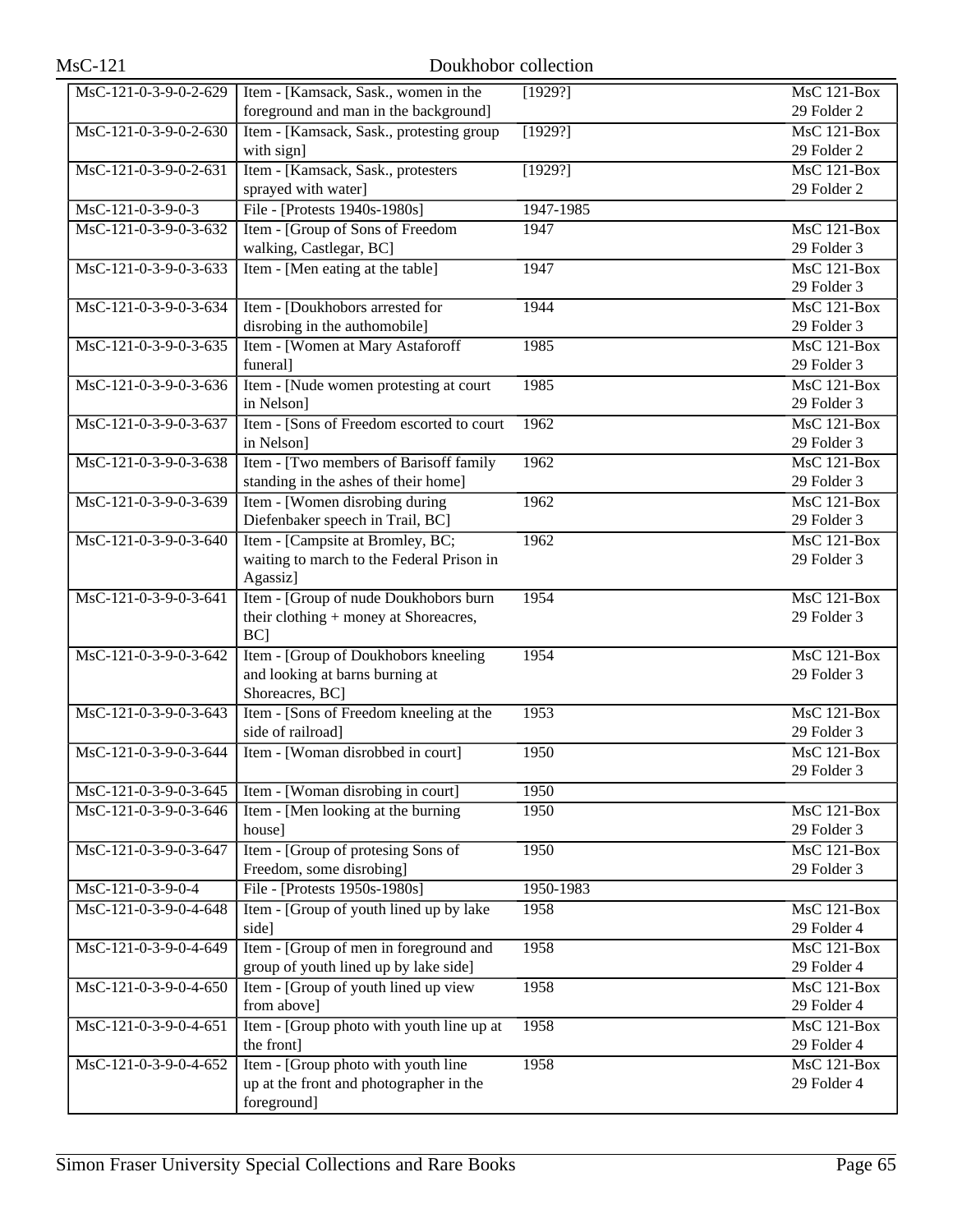| MsC-121-0-3-9-0-2-629                 | Item - [Kamsack, Sask., women in the      | [1929?]   | MsC 121-Box                     |
|---------------------------------------|-------------------------------------------|-----------|---------------------------------|
|                                       | foreground and man in the background]     |           | 29 Folder 2                     |
| MsC-121-0-3-9-0-2-630                 | Item - [Kamsack, Sask., protesting group  | [1929?]   | MsC 121-Box                     |
|                                       | with sign]                                |           | 29 Folder 2                     |
| MsC-121-0-3-9-0-2-631                 | Item - [Kamsack, Sask., protesters        | [1929?]   | $MsC$ 121-Box                   |
|                                       | sprayed with water]                       |           | 29 Folder 2                     |
| MsC-121-0-3-9-0-3                     | File - [Protests 1940s-1980s]             | 1947-1985 |                                 |
| MsC-121-0-3-9-0-3-632                 | Item - [Group of Sons of Freedom          | 1947      | MsC 121-Box                     |
|                                       | walking, Castlegar, BC]                   |           | 29 Folder 3                     |
| MsC-121-0-3-9-0-3-633                 | Item - [Men eating at the table]          | 1947      | $MsC$ 121-Box                   |
|                                       |                                           |           | 29 Folder 3                     |
| MsC-121-0-3-9-0-3-634                 | Item - [Doukhobors arrested for           | 1944      | $MsC$ 121-Box                   |
|                                       | disrobing in the authomobile]             |           | 29 Folder 3                     |
| MsC-121-0-3-9-0-3-635                 | Item - [Women at Mary Astaforoff          | 1985      | $\overline{\text{MsC 121-Box}}$ |
|                                       | funeral]                                  |           | 29 Folder 3                     |
| MsC-121-0-3-9-0-3-636                 | Item - [Nude women protesting at court]   | 1985      | $MsC$ 121-Box                   |
|                                       | in Nelson]                                |           | 29 Folder 3                     |
| MsC-121-0-3-9-0-3-637                 | Item - [Sons of Freedom escorted to court | 1962      | <b>MsC 121-Box</b>              |
|                                       | in Nelson]                                |           | 29 Folder 3                     |
| MsC-121-0-3-9-0-3-638                 | Item - [Two members of Barisoff family    | 1962      | <b>MsC 121-Box</b>              |
|                                       | standing in the ashes of their home]      |           | 29 Folder 3                     |
| MsC-121-0-3-9-0-3-639                 | Item - [Women disrobing during            | 1962      | MsC 121-Box                     |
|                                       | Diefenbaker speech in Trail, BC]          |           | 29 Folder 3                     |
| MsC-121-0-3-9-0-3-640                 | Item - [Campsite at Bromley, BC;          | 1962      | <b>MsC 121-Box</b>              |
|                                       | waiting to march to the Federal Prison in |           | 29 Folder 3                     |
|                                       | Agassiz]                                  |           |                                 |
| MsC-121-0-3-9-0-3-641                 | Item - [Group of nude Doukhobors burn     | 1954      | MsC 121-Box                     |
|                                       | their clothing + money at Shoreacres,     |           | 29 Folder 3                     |
|                                       | $BC$ ]                                    |           |                                 |
| MsC-121-0-3-9-0-3-642                 | Item - [Group of Doukhobors kneeling      | 1954      | $MsC$ 121-Box                   |
|                                       | and looking at barns burning at           |           | 29 Folder 3                     |
|                                       | Shoreacres, BC]                           |           |                                 |
| MsC-121-0-3-9-0-3-643                 | Item - [Sons of Freedom kneeling at the   | 1953      | $MsC$ 121-Box                   |
|                                       | side of railroad]                         |           | 29 Folder 3                     |
| MsC-121-0-3-9-0-3-644                 | Item - [Woman disrobbed in court]         | 1950      | MsC 121-Box                     |
|                                       |                                           |           | 29 Folder 3                     |
| MsC-121-0-3-9-0-3-645                 | Item - [Woman disrobing in court]         | 1950      |                                 |
| MsC-121-0-3-9-0-3-646                 | Item - [Men looking at the burning]       | 1950      | MsC 121-Box                     |
|                                       | house]                                    |           | 29 Folder 3                     |
| MsC-121-0-3-9-0-3-647                 | Item - [Group of protesing Sons of        | 1950      | MsC 121-Box                     |
|                                       | Freedom, some disrobing]                  |           | 29 Folder 3                     |
| $\overline{\text{MsC-121-0-3-9-0-4}}$ | File - [Protests 1950s-1980s]             | 1950-1983 |                                 |
| MsC-121-0-3-9-0-4-648                 | Item - [Group of youth lined up by lake   | 1958      | MsC 121-Box                     |
|                                       | side]                                     |           | 29 Folder 4                     |
| MsC-121-0-3-9-0-4-649                 | Item - [Group of men in foreground and    | 1958      | MsC 121-Box                     |
|                                       | group of youth lined up by lake side]     |           | 29 Folder 4                     |
| MsC-121-0-3-9-0-4-650                 | Item - [Group of youth lined up view      | 1958      | MsC 121-Box                     |
|                                       | from above]                               |           | 29 Folder 4                     |
| MsC-121-0-3-9-0-4-651                 | Item - [Group photo with youth line up at | 1958      | MsC 121-Box                     |
|                                       | the front]                                |           | 29 Folder 4                     |
| MsC-121-0-3-9-0-4-652                 | Item - [Group photo with youth line       | 1958      | MsC 121-Box                     |
|                                       | up at the front and photographer in the   |           | 29 Folder 4                     |
|                                       | foreground]                               |           |                                 |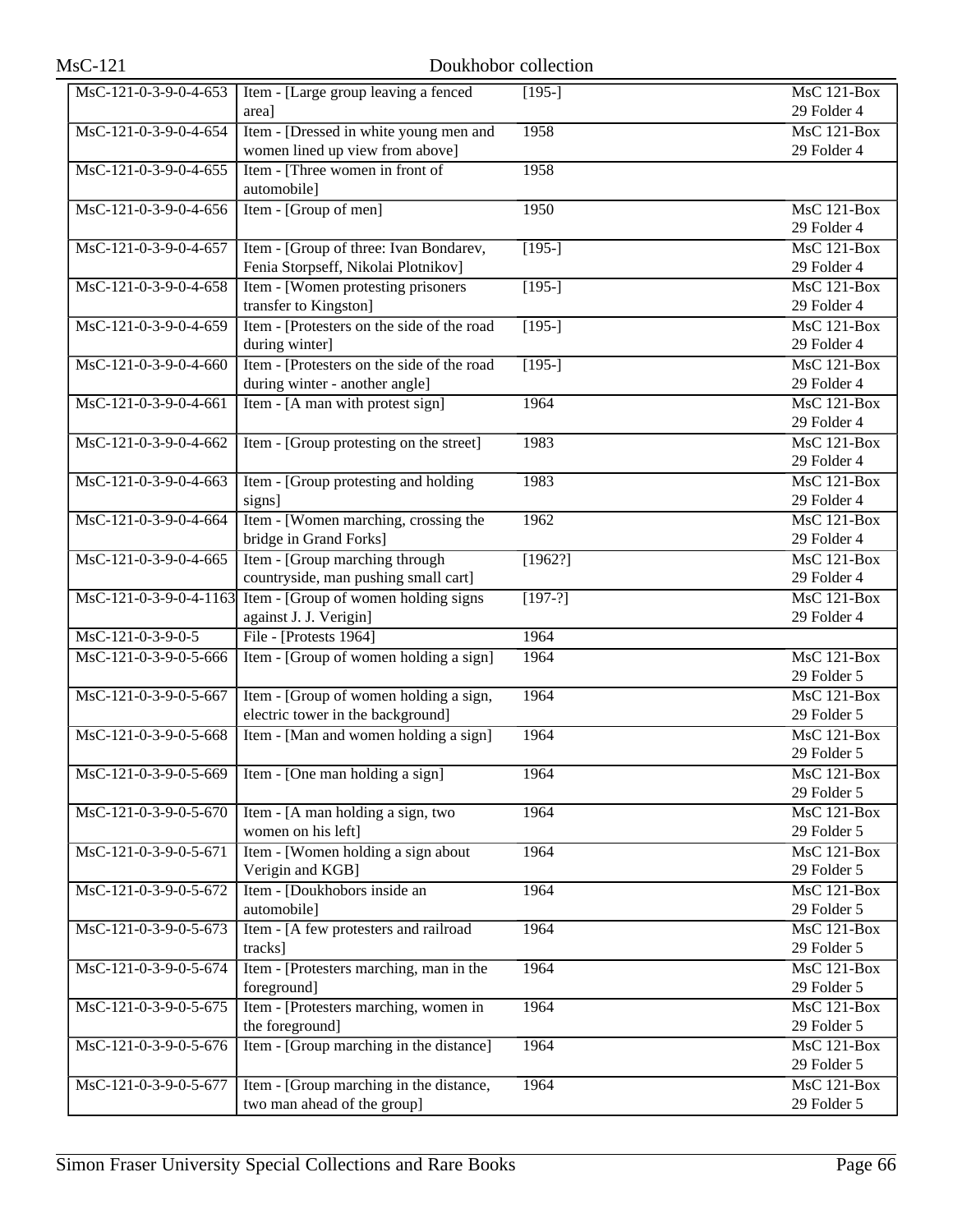| MsC-121-0-3-9-0-4-653 | Item - [Large group leaving a fenced                             | $[195-]$  | MsC 121-Box        |
|-----------------------|------------------------------------------------------------------|-----------|--------------------|
|                       | area]                                                            |           | 29 Folder 4        |
| MsC-121-0-3-9-0-4-654 | Item - [Dressed in white young men and                           | 1958      | MsC 121-Box        |
|                       | women lined up view from above]                                  |           | 29 Folder 4        |
| MsC-121-0-3-9-0-4-655 | Item - [Three women in front of                                  | 1958      |                    |
|                       | automobile]                                                      |           |                    |
| MsC-121-0-3-9-0-4-656 | Item - [Group of men]                                            | 1950      | MsC 121-Box        |
|                       |                                                                  |           | 29 Folder 4        |
| MsC-121-0-3-9-0-4-657 | Item - [Group of three: Ivan Bondarev,                           | $[195-]$  | <b>MsC 121-Box</b> |
|                       | Fenia Storpseff, Nikolai Plotnikov]                              |           | 29 Folder 4        |
| MsC-121-0-3-9-0-4-658 | Item - [Women protesting prisoners]                              | $[195-]$  | $MsC$ 121-Box      |
|                       | transfer to Kingston]                                            |           | 29 Folder 4        |
| MsC-121-0-3-9-0-4-659 | Item - [Protesters on the side of the road                       | $[195-]$  | $MsC$ 121-Box      |
|                       | during winter]                                                   |           | 29 Folder 4        |
| MsC-121-0-3-9-0-4-660 | Item - [Protesters on the side of the road]                      | $[195-]$  | MsC 121-Box        |
|                       | during winter - another angle]                                   |           | 29 Folder 4        |
| MsC-121-0-3-9-0-4-661 | Item - [A man with protest sign]                                 | 1964      | $MsC$ 121-Box      |
|                       |                                                                  |           | 29 Folder 4        |
| MsC-121-0-3-9-0-4-662 | Item - [Group protesting on the street]                          | 1983      | <b>MsC 121-Box</b> |
|                       |                                                                  |           | 29 Folder 4        |
| MsC-121-0-3-9-0-4-663 | Item - [Group protesting and holding                             | 1983      | MsC 121-Box        |
|                       | signs]                                                           |           | 29 Folder 4        |
| MsC-121-0-3-9-0-4-664 | Item - [Women marching, crossing the                             | 1962      | MsC 121-Box        |
|                       | bridge in Grand Forks]                                           |           | 29 Folder 4        |
| MsC-121-0-3-9-0-4-665 | Item - [Group marching through                                   | [1962?]   | <b>MsC 121-Box</b> |
|                       | countryside, man pushing small cart]                             |           | 29 Folder 4        |
|                       | MsC-121-0-3-9-0-4-1163 Item - [Group of women holding signs      | $[197-?]$ | MsC 121-Box        |
|                       | against J. J. Verigin]                                           |           | 29 Folder 4        |
| MsC-121-0-3-9-0-5     | File - [Protests 1964]                                           | 1964      |                    |
| MsC-121-0-3-9-0-5-666 | Item - [Group of women holding a sign]                           | 1964      | <b>MsC 121-Box</b> |
|                       |                                                                  |           | 29 Folder 5        |
| MsC-121-0-3-9-0-5-667 | Item - [Group of women holding a sign,                           | 1964      | MsC 121-Box        |
|                       | electric tower in the background]                                |           | 29 Folder 5        |
| MsC-121-0-3-9-0-5-668 | Item - [Man and women holding a sign]                            | 1964      | $MsC$ 121-Box      |
|                       |                                                                  |           | 29 Folder 5        |
|                       | $\text{MsC-121-0-3-9-0-5-669}$   Item - [One man holding a sign] | 1964      | $MsC$ 121-Box      |
|                       |                                                                  |           | 29 Folder 5        |
| MsC-121-0-3-9-0-5-670 | Item - [A man holding a sign, two                                | 1964      | MsC 121-Box        |
|                       | women on his left]                                               |           | 29 Folder 5        |
| MsC-121-0-3-9-0-5-671 | Item - [Women holding a sign about                               | 1964      | <b>MsC 121-Box</b> |
|                       | Verigin and KGB]                                                 |           | 29 Folder 5        |
| MsC-121-0-3-9-0-5-672 | Item - [Doukhobors inside an                                     | 1964      | MsC 121-Box        |
|                       | automobile]                                                      |           | 29 Folder 5        |
| MsC-121-0-3-9-0-5-673 | Item - [A few protesters and railroad                            | 1964      | MsC 121-Box        |
|                       | tracks]                                                          |           | 29 Folder 5        |
| MsC-121-0-3-9-0-5-674 | Item - [Protesters marching, man in the                          | 1964      | MsC 121-Box        |
|                       | foreground]                                                      |           | 29 Folder 5        |
| MsC-121-0-3-9-0-5-675 | Item - [Protesters marching, women in                            | 1964      | <b>MsC 121-Box</b> |
|                       | the foreground]                                                  |           | 29 Folder 5        |
| MsC-121-0-3-9-0-5-676 | Item - [Group marching in the distance]                          | 1964      | MsC 121-Box        |
|                       |                                                                  |           | 29 Folder 5        |
| MsC-121-0-3-9-0-5-677 | Item - [Group marching in the distance,                          | 1964      | $MsC$ 121-Box      |
|                       | two man ahead of the group]                                      |           | 29 Folder 5        |
|                       |                                                                  |           |                    |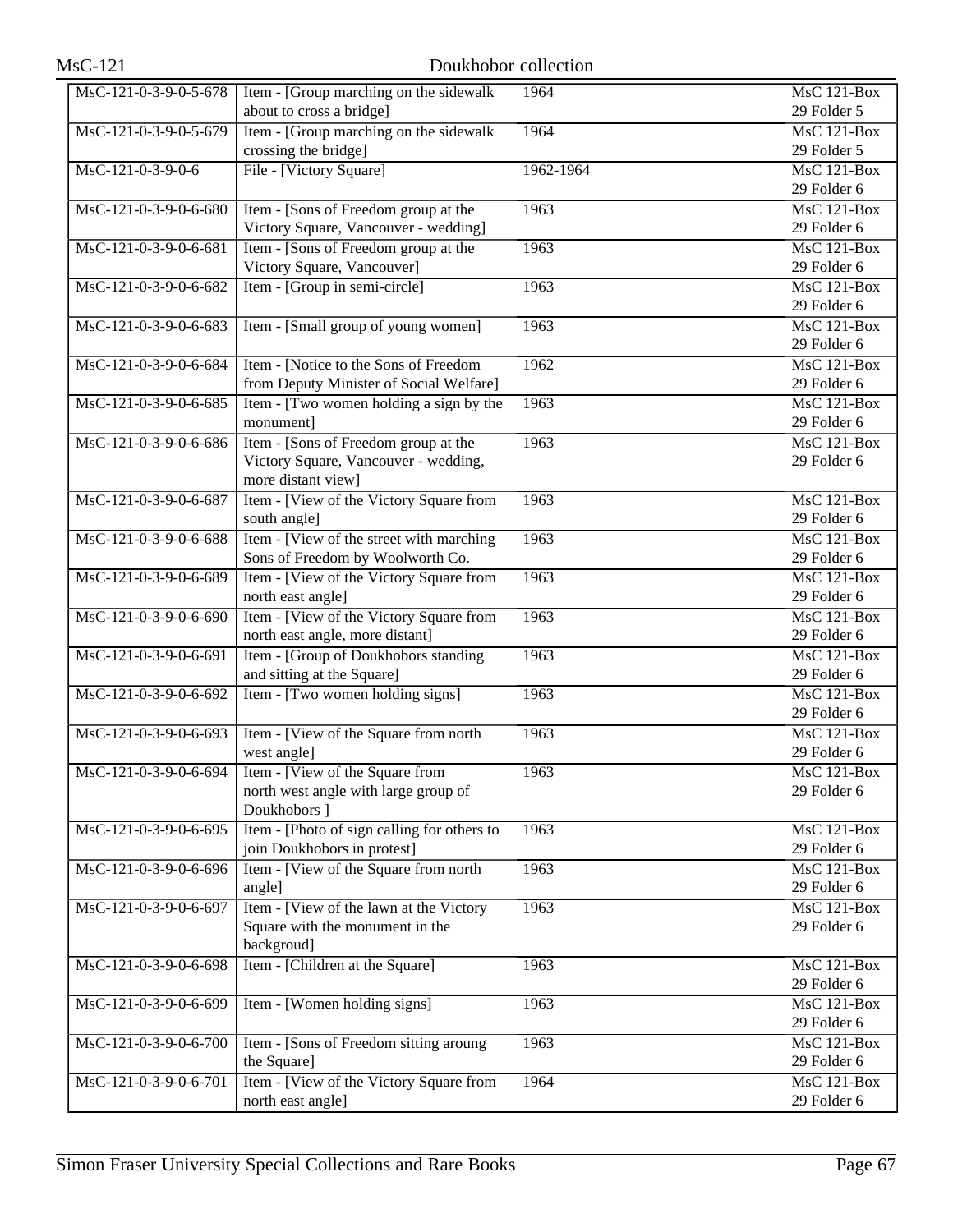| MsC-121-0-3-9-0-5-678 | Item - [Group marching on the sidewalk                                     | 1964      | MsC 121-Box                     |
|-----------------------|----------------------------------------------------------------------------|-----------|---------------------------------|
|                       | about to cross a bridge]                                                   |           | 29 Folder 5                     |
| MsC-121-0-3-9-0-5-679 | Item - [Group marching on the sidewalk]                                    | 1964      | MsC 121-Box                     |
|                       | crossing the bridge]                                                       |           | 29 Folder 5                     |
| MsC-121-0-3-9-0-6     | File - [Victory Square]                                                    | 1962-1964 | MsC 121-Box                     |
|                       |                                                                            |           | 29 Folder 6                     |
| MsC-121-0-3-9-0-6-680 | Item - [Sons of Freedom group at the                                       | 1963      | $\overline{\text{MsC}}$ 121-Box |
|                       | Victory Square, Vancouver - wedding]                                       |           | 29 Folder 6                     |
| MsC-121-0-3-9-0-6-681 | Item - [Sons of Freedom group at the                                       | 1963      | MsC 121-Box                     |
|                       | Victory Square, Vancouver]                                                 |           | 29 Folder 6                     |
| MsC-121-0-3-9-0-6-682 | Item - [Group in semi-circle]                                              | 1963      | MsC 121-Box                     |
|                       |                                                                            |           | 29 Folder 6                     |
| MsC-121-0-3-9-0-6-683 | Item - [Small group of young women]                                        | 1963      | MsC 121-Box                     |
|                       |                                                                            |           | 29 Folder 6                     |
| MsC-121-0-3-9-0-6-684 | Item - [Notice to the Sons of Freedom                                      | 1962      | MsC 121-Box                     |
|                       | from Deputy Minister of Social Welfare]                                    |           | 29 Folder 6                     |
| MsC-121-0-3-9-0-6-685 | Item - [Two women holding a sign by the                                    | 1963      | $MsC$ 121-Box                   |
|                       | monument]                                                                  |           | 29 Folder 6                     |
| MsC-121-0-3-9-0-6-686 | Item - [Sons of Freedom group at the                                       | 1963      | <b>MsC 121-Box</b>              |
|                       | Victory Square, Vancouver - wedding,                                       |           | 29 Folder 6                     |
|                       | more distant view]                                                         |           |                                 |
| MsC-121-0-3-9-0-6-687 | Item - [View of the Victory Square from                                    | 1963      | MsC 121-Box                     |
|                       | south angle]                                                               |           | 29 Folder 6                     |
| MsC-121-0-3-9-0-6-688 | Item - [View of the street with marching                                   | 1963      | MsC 121-Box                     |
|                       | Sons of Freedom by Woolworth Co.                                           |           | 29 Folder 6                     |
| MsC-121-0-3-9-0-6-689 | Item - [View of the Victory Square from                                    | 1963      | MsC 121-Box                     |
|                       | north east angle]                                                          |           | 29 Folder 6                     |
| MsC-121-0-3-9-0-6-690 | Item - [View of the Victory Square from                                    | 1963      | <b>MsC 121-Box</b>              |
|                       | north east angle, more distant]                                            |           | 29 Folder 6                     |
| MsC-121-0-3-9-0-6-691 | Item - [Group of Doukhobors standing                                       | 1963      | $\overline{\text{MsC 121-Box}}$ |
|                       | and sitting at the Square]                                                 |           | 29 Folder 6                     |
| MsC-121-0-3-9-0-6-692 | Item - [Two women holding signs]                                           | 1963      | $MsC$ 121-Box                   |
|                       |                                                                            |           | 29 Folder 6                     |
| MsC-121-0-3-9-0-6-693 | Item - [View of the Square from north]                                     | 1963      | MsC 121-Box                     |
|                       | west angle]                                                                |           | 29 Folder 6                     |
| MsC-121-0-3-9-0-6-694 | Item - [View of the Square from                                            | 1963      | MsC 121-Box                     |
|                       | north west angle with large group of                                       |           | 29 Folder 6                     |
|                       | Doukhobors ]                                                               |           |                                 |
| MsC-121-0-3-9-0-6-695 | Item - [Photo of sign calling for others to<br>join Doukhobors in protest] | 1963      | MsC 121-Box<br>29 Folder 6      |
| MsC-121-0-3-9-0-6-696 | Item - [View of the Square from north                                      | 1963      | MsC 121-Box                     |
|                       | angle]                                                                     |           | 29 Folder 6                     |
| MsC-121-0-3-9-0-6-697 | Item - [View of the lawn at the Victory                                    | 1963      | MsC 121-Box                     |
|                       | Square with the monument in the                                            |           | 29 Folder 6                     |
|                       | backgroud]                                                                 |           |                                 |
| MsC-121-0-3-9-0-6-698 | Item - [Children at the Square]                                            | 1963      | $MsC$ 121-Box                   |
|                       |                                                                            |           | 29 Folder 6                     |
| MsC-121-0-3-9-0-6-699 | Item - [Women holding signs]                                               | 1963      | MsC 121-Box                     |
|                       |                                                                            |           | 29 Folder 6                     |
| MsC-121-0-3-9-0-6-700 | Item - [Sons of Freedom sitting aroung                                     | 1963      | MsC 121-Box                     |
|                       | the Square]                                                                |           | 29 Folder 6                     |
| MsC-121-0-3-9-0-6-701 | Item - [View of the Victory Square from                                    | 1964      | MsC 121-Box                     |
|                       | north east angle]                                                          |           | 29 Folder 6                     |
|                       |                                                                            |           |                                 |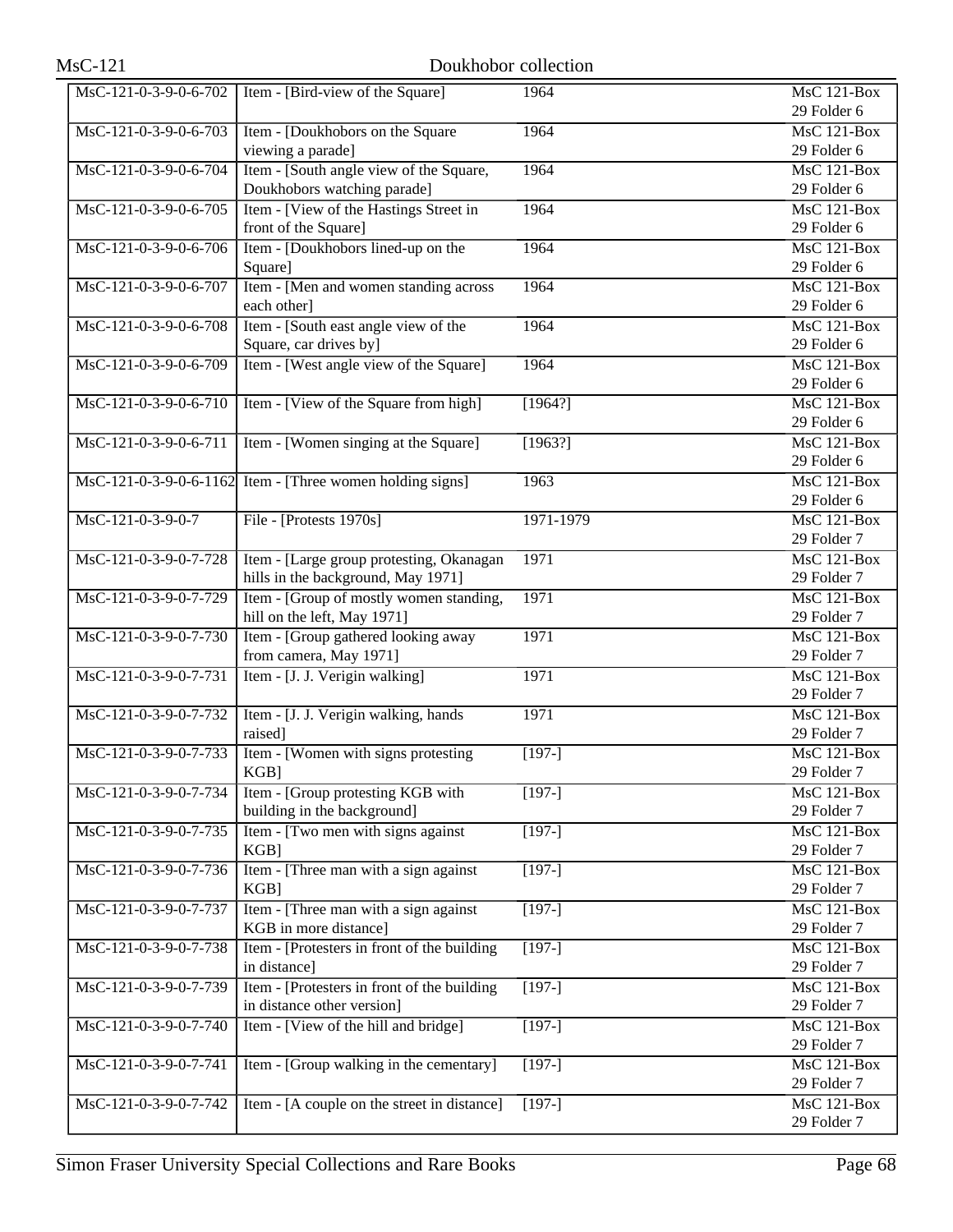| MsC-121-0-3-9-0-6-702 | Item - [Bird-view of the Square]                                              | 1964                | MsC 121-Box                                    |
|-----------------------|-------------------------------------------------------------------------------|---------------------|------------------------------------------------|
|                       |                                                                               |                     | 29 Folder 6                                    |
| MsC-121-0-3-9-0-6-703 | Item - [Doukhobors on the Square<br>viewing a parade]                         | 1964                | $\overline{\text{MsC 121-Box}}$<br>29 Folder 6 |
| MsC-121-0-3-9-0-6-704 | Item - [South angle view of the Square,                                       | 1964                | $\overline{\text{MsC 121-Box}}$                |
|                       | Doukhobors watching parade]                                                   |                     | 29 Folder 6                                    |
| MsC-121-0-3-9-0-6-705 | Item - [View of the Hastings Street in                                        | 1964                | $\overline{\text{MsC 121-Box}}$                |
|                       | front of the Square]                                                          |                     | 29 Folder 6                                    |
| MsC-121-0-3-9-0-6-706 | Item - [Doukhobors lined-up on the                                            | 1964                | MsC 121-Box                                    |
|                       | Square]                                                                       |                     | 29 Folder 6                                    |
| MsC-121-0-3-9-0-6-707 | Item - [Men and women standing across                                         | 1964                | $MsC$ 121-Box                                  |
|                       | each other]                                                                   |                     | 29 Folder 6                                    |
| MsC-121-0-3-9-0-6-708 | Item - [South east angle view of the                                          | 1964                | MsC 121-Box                                    |
|                       | Square, car drives by]                                                        |                     | 29 Folder 6                                    |
| MsC-121-0-3-9-0-6-709 | Item - [West angle view of the Square]                                        | 1964                | $MsC$ 121-Box                                  |
|                       |                                                                               |                     | 29 Folder 6                                    |
| MsC-121-0-3-9-0-6-710 | Item - [View of the Square from high]                                         | [1964?]             | $MsC$ 121-Box                                  |
|                       |                                                                               |                     | 29 Folder 6                                    |
| MsC-121-0-3-9-0-6-711 | Item - [Women singing at the Square]                                          | [1963?]             | $\overline{\text{MsC}}$ 121-Box                |
|                       |                                                                               |                     | 29 Folder 6                                    |
|                       | $\overline{\text{MsC-121-0-3-9-0-6-1162}}$ Item - [Three women holding signs] | 1963                | MsC 121-Box                                    |
|                       |                                                                               |                     | 29 Folder 6                                    |
| MsC-121-0-3-9-0-7     | File - [Protests 1970s]                                                       | 1971-1979           | MsC 121-Box                                    |
|                       |                                                                               |                     | 29 Folder 7                                    |
| MsC-121-0-3-9-0-7-728 | Item - [Large group protesting, Okanagan                                      | 1971                | MsC 121-Box                                    |
|                       | hills in the background, May 1971]                                            |                     | 29 Folder 7                                    |
| MsC-121-0-3-9-0-7-729 | Item - [Group of mostly women standing,                                       | 1971                | MsC 121-Box                                    |
|                       | hill on the left, May 1971]                                                   |                     | 29 Folder 7                                    |
| MsC-121-0-3-9-0-7-730 | Item - [Group gathered looking away<br>from camera, May 1971]                 | 1971                | MsC 121-Box<br>29 Folder 7                     |
| MsC-121-0-3-9-0-7-731 | Item - [J. J. Verigin walking]                                                | 1971                | MsC 121-Box                                    |
|                       |                                                                               |                     | 29 Folder 7                                    |
| MsC-121-0-3-9-0-7-732 | Item - [J. J. Verigin walking, hands                                          | 1971                | MsC 121-Box                                    |
|                       | raised]                                                                       |                     | 29 Folder 7                                    |
| MsC-121-0-3-9-0-7-733 | Item - [Women with signs protesting                                           | $[197-]$            | $MsC$ 121-Box                                  |
|                       | KGB]                                                                          |                     | 29 Folder 7                                    |
| MsC-121-0-3-9-0-7-734 | Item - [Group protesting KGB with                                             | $[197-]$            | MsC 121-Box                                    |
|                       | building in the background]                                                   |                     | 29 Folder 7                                    |
| MsC-121-0-3-9-0-7-735 | Item - [Two men with signs against                                            | $[197-]$            | MsC 121-Box                                    |
|                       | $KGB$ ]                                                                       |                     | 29 Folder 7                                    |
| MsC-121-0-3-9-0-7-736 | Item - [Three man with a sign against                                         | $[197-]$            | MsC 121-Box                                    |
|                       | $KGB$ ]                                                                       |                     | 29 Folder 7                                    |
| MsC-121-0-3-9-0-7-737 | Item - [Three man with a sign against<br>KGB in more distance]                | $[197-]$            | <b>MsC 121-Box</b><br>29 Folder 7              |
| MsC-121-0-3-9-0-7-738 | Item - [Protesters in front of the building                                   | $[197-]$            | MsC 121-Box                                    |
|                       | in distance]                                                                  |                     | 29 Folder 7                                    |
| MsC-121-0-3-9-0-7-739 | Item - [Protesters in front of the building                                   | $\overline{[197-]}$ | MsC 121-Box                                    |
|                       | in distance other version]                                                    |                     | 29 Folder 7                                    |
| MsC-121-0-3-9-0-7-740 | Item - [View of the hill and bridge]                                          | $[197-]$            | MsC 121-Box                                    |
|                       |                                                                               |                     | 29 Folder 7                                    |
| MsC-121-0-3-9-0-7-741 | Item - [Group walking in the cementary]                                       | $[197-]$            | MsC 121-Box                                    |
|                       |                                                                               |                     | 29 Folder 7                                    |
| MsC-121-0-3-9-0-7-742 | Item - [A couple on the street in distance]                                   | $[197-]$            | MsC 121-Box                                    |
|                       |                                                                               |                     | 29 Folder 7                                    |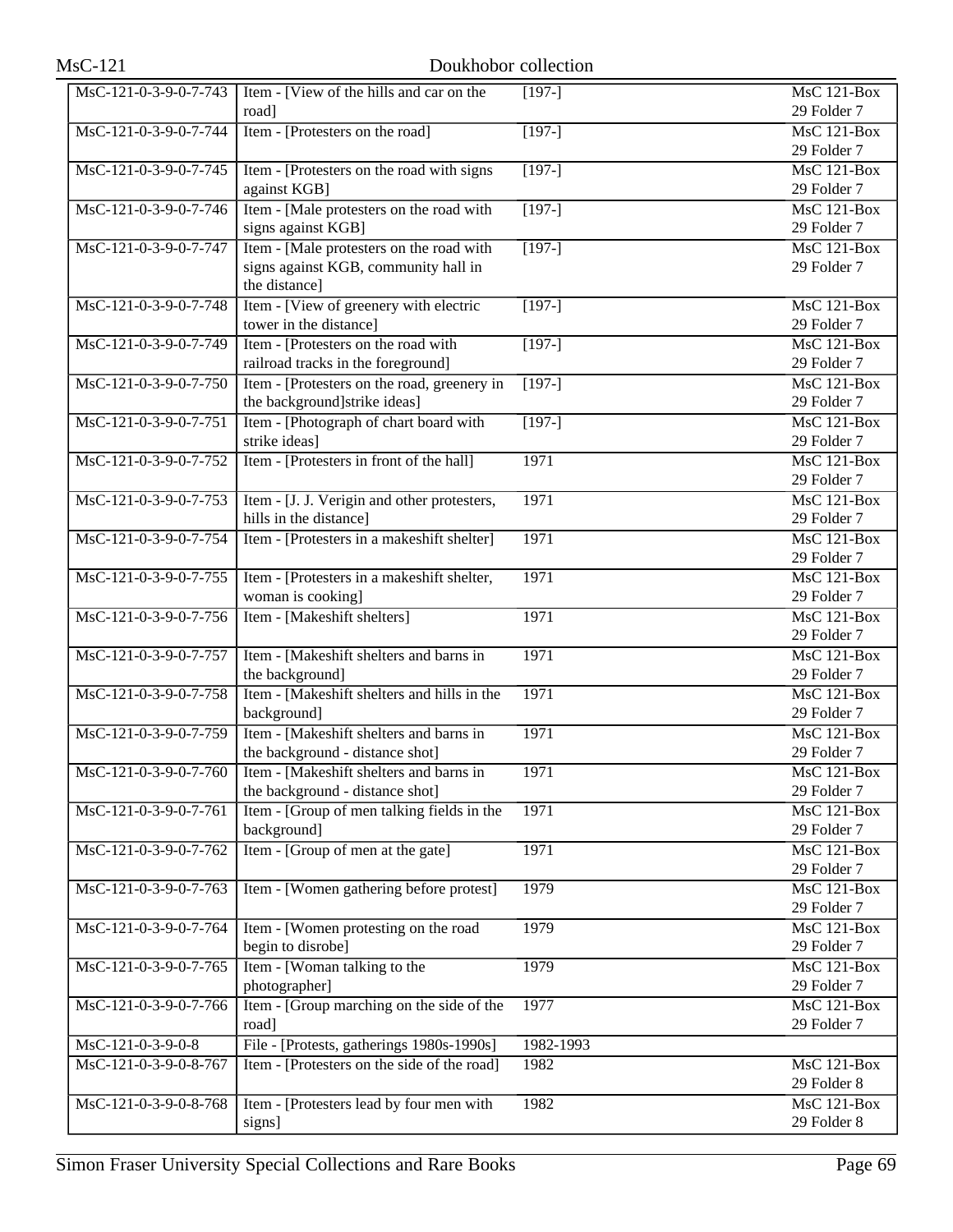| MsC-121-0-3-9-0-7-743 | Item - [View of the hills and car on the    | $[197-]$       | MsC 121-Box        |
|-----------------------|---------------------------------------------|----------------|--------------------|
|                       | road]                                       |                | 29 Folder 7        |
| MsC-121-0-3-9-0-7-744 | Item - [Protesters on the road]             | $[197-]$       | <b>MsC 121-Box</b> |
|                       |                                             |                | 29 Folder 7        |
| MsC-121-0-3-9-0-7-745 | Item - [Protesters on the road with signs   | $[197-]$       | MsC 121-Box        |
|                       | against KGB]                                |                | 29 Folder 7        |
| MsC-121-0-3-9-0-7-746 | Item - [Male protesters on the road with    | $[197-]$       | <b>MsC 121-Box</b> |
|                       | signs against KGB]                          |                | 29 Folder 7        |
| MsC-121-0-3-9-0-7-747 | Item - [Male protesters on the road with    | $[197-]$       | <b>MsC 121-Box</b> |
|                       | signs against KGB, community hall in        |                | 29 Folder 7        |
|                       | the distance]                               |                |                    |
| MsC-121-0-3-9-0-7-748 | Item - [View of greenery with electric      | $\sqrt{197-1}$ | MsC 121-Box        |
|                       | tower in the distance]                      |                | 29 Folder 7        |
| MsC-121-0-3-9-0-7-749 | Item - [Protesters on the road with         | $[197-]$       | <b>MsC 121-Box</b> |
|                       | railroad tracks in the foreground]          |                | 29 Folder 7        |
| MsC-121-0-3-9-0-7-750 |                                             | $[197-]$       | MsC 121-Box        |
|                       | Item - [Protesters on the road, greenery in |                | 29 Folder 7        |
|                       | the background]strike ideas]                |                |                    |
| MsC-121-0-3-9-0-7-751 | Item - [Photograph of chart board with      | $[197-]$       | MsC 121-Box        |
|                       | strike ideas]                               |                | 29 Folder 7        |
| MsC-121-0-3-9-0-7-752 | Item - [Protesters in front of the hall]    | 1971           | <b>MsC 121-Box</b> |
|                       |                                             |                | 29 Folder 7        |
| MsC-121-0-3-9-0-7-753 | Item - [J. J. Verigin and other protesters, | 1971           | <b>MsC 121-Box</b> |
|                       | hills in the distance]                      |                | 29 Folder 7        |
| MsC-121-0-3-9-0-7-754 | Item - [Protesters in a makeshift shelter]  | 1971           | <b>MsC 121-Box</b> |
|                       |                                             |                | 29 Folder 7        |
| MsC-121-0-3-9-0-7-755 | Item - [Protesters in a makeshift shelter,  | 1971           | <b>MsC 121-Box</b> |
|                       | woman is cooking]                           |                | 29 Folder 7        |
| MsC-121-0-3-9-0-7-756 | Item - [Makeshift shelters]                 | 1971           | MsC 121-Box        |
|                       |                                             |                | 29 Folder 7        |
| MsC-121-0-3-9-0-7-757 | Item - [Makeshift shelters and barns in     | 1971           | MsC 121-Box        |
|                       | the background]                             |                | 29 Folder 7        |
| MsC-121-0-3-9-0-7-758 | Item - [Makeshift shelters and hills in the | 1971           | <b>MsC 121-Box</b> |
|                       | background]                                 |                | 29 Folder 7        |
| MsC-121-0-3-9-0-7-759 | Item - [Makeshift shelters and barns in     | 1971           | $MsC$ 121-Box      |
|                       | the background - distance shot]             |                | 29 Folder 7        |
| MsC-121-0-3-9-0-7-760 | Item - [Makeshift shelters and barns in     | 1971           | MsC 121-Box        |
|                       | the background - distance shot]             |                | 29 Folder 7        |
| MsC-121-0-3-9-0-7-761 | Item - [Group of men talking fields in the  | 1971           | MsC 121-Box        |
|                       | background]                                 |                | 29 Folder 7        |
| MsC-121-0-3-9-0-7-762 | Item - [Group of men at the gate]           | 1971           | $MsC$ 121-Box      |
|                       |                                             |                | 29 Folder 7        |
| MsC-121-0-3-9-0-7-763 | Item - [Women gathering before protest]     | 1979           | MsC 121-Box        |
|                       |                                             |                | 29 Folder 7        |
| MsC-121-0-3-9-0-7-764 |                                             | 1979           | <b>MsC 121-Box</b> |
|                       | Item - [Women protesting on the road        |                |                    |
|                       | begin to disrobe]                           |                | 29 Folder 7        |
| MsC-121-0-3-9-0-7-765 | Item - [Woman talking to the                | 1979           | <b>MsC 121-Box</b> |
|                       | photographer]                               |                | 29 Folder 7        |
| MsC-121-0-3-9-0-7-766 | Item - [Group marching on the side of the   | 1977           | <b>MsC 121-Box</b> |
|                       | road]                                       |                | 29 Folder 7        |
| MsC-121-0-3-9-0-8     | File - [Protests, gatherings 1980s-1990s]   | 1982-1993      |                    |
| MsC-121-0-3-9-0-8-767 | Item - [Protesters on the side of the road] | 1982           | <b>MsC 121-Box</b> |
|                       |                                             |                | 29 Folder 8        |
| MsC-121-0-3-9-0-8-768 | Item - [Protesters lead by four men with    | 1982           | <b>MsC 121-Box</b> |
|                       | signs]                                      |                | 29 Folder 8        |
|                       |                                             |                |                    |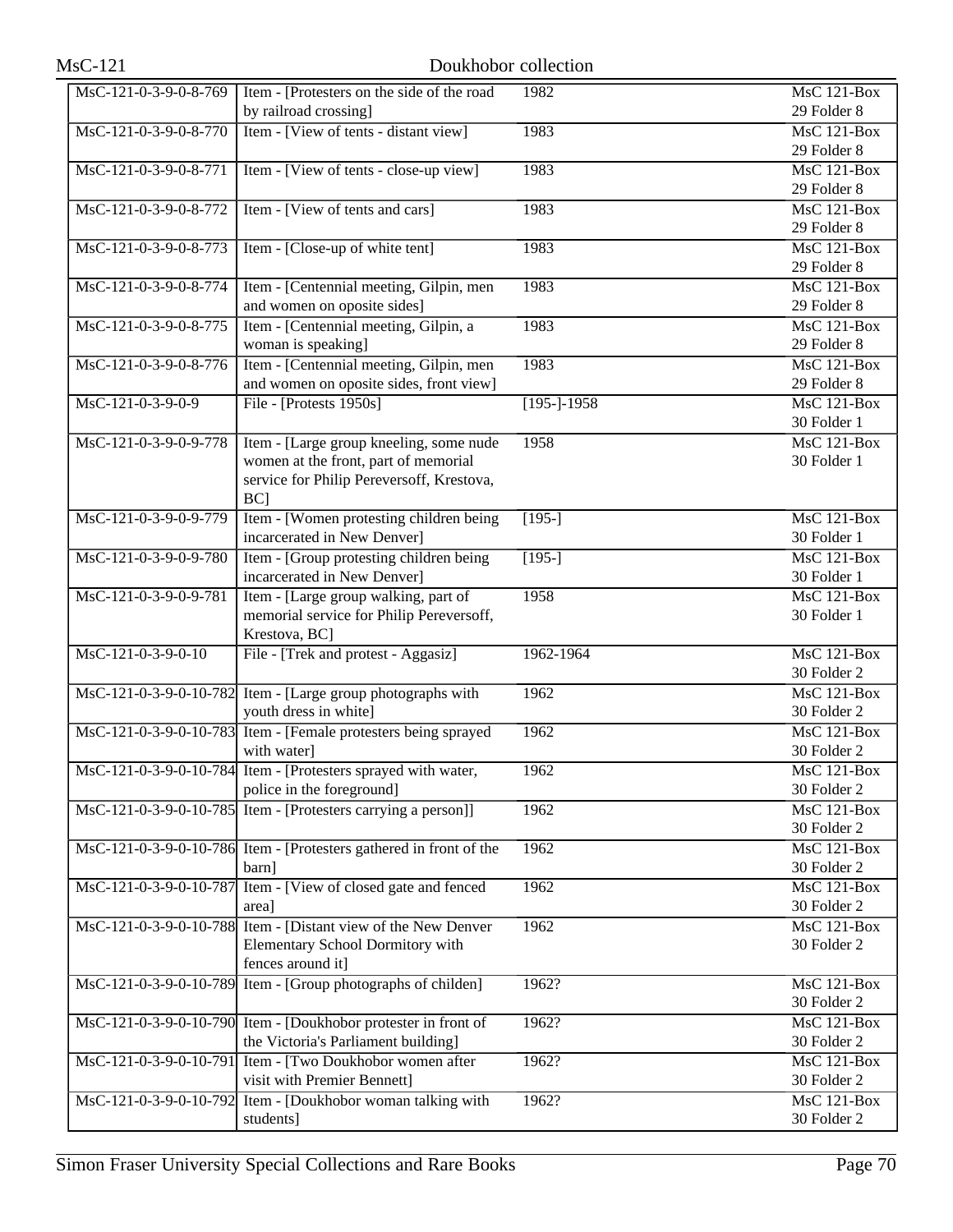| MsC-121-0-3-9-0-8-769  | Item - [Protesters on the side of the road                         | 1982                | <b>MsC 121-Box</b> |
|------------------------|--------------------------------------------------------------------|---------------------|--------------------|
|                        | by railroad crossing]                                              |                     | 29 Folder 8        |
| MsC-121-0-3-9-0-8-770  | Item - [View of tents - distant view]                              | 1983                | MsC 121-Box        |
|                        |                                                                    |                     | 29 Folder 8        |
| MsC-121-0-3-9-0-8-771  | Item - [View of tents - close-up view]                             | 1983                | $MsC$ 121-Box      |
|                        |                                                                    |                     | 29 Folder 8        |
| MsC-121-0-3-9-0-8-772  | Item - [View of tents and cars]                                    | 1983                | <b>MsC 121-Box</b> |
|                        |                                                                    |                     | 29 Folder 8        |
| MsC-121-0-3-9-0-8-773  | Item - [Close-up of white tent]                                    | 1983                | $MsC$ 121-Box      |
|                        |                                                                    |                     | 29 Folder 8        |
| MsC-121-0-3-9-0-8-774  | Item - [Centennial meeting, Gilpin, men                            | 1983                | MsC 121-Box        |
|                        | and women on oposite sides]                                        |                     | 29 Folder 8        |
|                        |                                                                    |                     |                    |
| MsC-121-0-3-9-0-8-775  | Item - [Centennial meeting, Gilpin, a                              | 1983                | <b>MsC 121-Box</b> |
|                        | woman is speaking]                                                 |                     | 29 Folder 8        |
| MsC-121-0-3-9-0-8-776  | Item - [Centennial meeting, Gilpin, men                            | 1983                | <b>MsC 121-Box</b> |
|                        | and women on oposite sides, front view]                            |                     | 29 Folder 8        |
| MsC-121-0-3-9-0-9      | File - [Protests 1950s]                                            | $[195-]-1958$       | $MsC$ 121-Box      |
|                        |                                                                    |                     | 30 Folder 1        |
| MsC-121-0-3-9-0-9-778  | Item - [Large group kneeling, some nude                            | 1958                | <b>MsC 121-Box</b> |
|                        | women at the front, part of memorial                               |                     | 30 Folder 1        |
|                        | service for Philip Pereversoff, Krestova,                          |                     |                    |
|                        | BC]                                                                |                     |                    |
| MsC-121-0-3-9-0-9-779  | Item - [Women protesting children being                            | $[195-]$            | MsC 121-Box        |
|                        | incarcerated in New Denver]                                        |                     | 30 Folder 1        |
| MsC-121-0-3-9-0-9-780  | Item - [Group protesting children being                            | $\overline{[195-]}$ | MsC 121-Box        |
|                        | incarcerated in New Denver]                                        |                     | 30 Folder 1        |
| MsC-121-0-3-9-0-9-781  | Item - [Large group walking, part of                               | 1958                | <b>MsC 121-Box</b> |
|                        | memorial service for Philip Pereversoff,                           |                     | 30 Folder 1        |
|                        | Krestova, BC]                                                      |                     |                    |
| MsC-121-0-3-9-0-10     | File - [Trek and protest - Aggasiz]                                | 1962-1964           | MsC 121-Box        |
|                        |                                                                    |                     | 30 Folder 2        |
|                        | MsC-121-0-3-9-0-10-782 Item - [Large group photographs with        | 1962                | $MsC$ 121-Box      |
|                        | youth dress in white]                                              |                     | 30 Folder 2        |
|                        | MsC-121-0-3-9-0-10-783 Item - [Female protesters being sprayed     | 1962                | $MsC$ 121-Box      |
|                        | with water]                                                        |                     | 30 Folder 2        |
|                        | MsC-121-0-3-9-0-10-784 Item - [Protesters sprayed with water,      | 1962                | MsC 121-Box        |
|                        | police in the foreground]                                          |                     | 30 Folder 2        |
|                        | MsC-121-0-3-9-0-10-785 Item - [Protesters carrying a person]]      | 1962                | MsC 121-Box        |
|                        |                                                                    |                     | 30 Folder 2        |
|                        | MsC-121-0-3-9-0-10-786 Item - [Protesters gathered in front of the | 1962                | MsC 121-Box        |
|                        | barn]                                                              |                     | 30 Folder 2        |
| MsC-121-0-3-9-0-10-787 | Item - [View of closed gate and fenced                             | 1962                | MsC 121-Box        |
|                        | area]                                                              |                     | 30 Folder 2        |
|                        | MsC-121-0-3-9-0-10-788 Item - [Distant view of the New Denver      | 1962                | $MsC$ 121-Box      |
|                        |                                                                    |                     | 30 Folder 2        |
|                        | Elementary School Dormitory with                                   |                     |                    |
|                        | fences around it]                                                  |                     |                    |
|                        | MsC-121-0-3-9-0-10-789 Item - [Group photographs of childen]       | 1962?               | <b>MsC 121-Box</b> |
|                        |                                                                    |                     | 30 Folder 2        |
|                        | MsC-121-0-3-9-0-10-790 Item - [Doukhobor protester in front of     | 1962?               | MsC 121-Box        |
|                        | the Victoria's Parliament building]                                |                     | 30 Folder 2        |
|                        | MsC-121-0-3-9-0-10-791 Item - [Two Doukhobor women after           | 1962?               | MsC 121-Box        |
|                        | visit with Premier Bennett]                                        |                     | 30 Folder 2        |
|                        | MsC-121-0-3-9-0-10-792 Item - [Doukhobor woman talking with        | 1962?               | <b>MsC 121-Box</b> |
|                        | students]                                                          |                     | 30 Folder 2        |
|                        |                                                                    |                     |                    |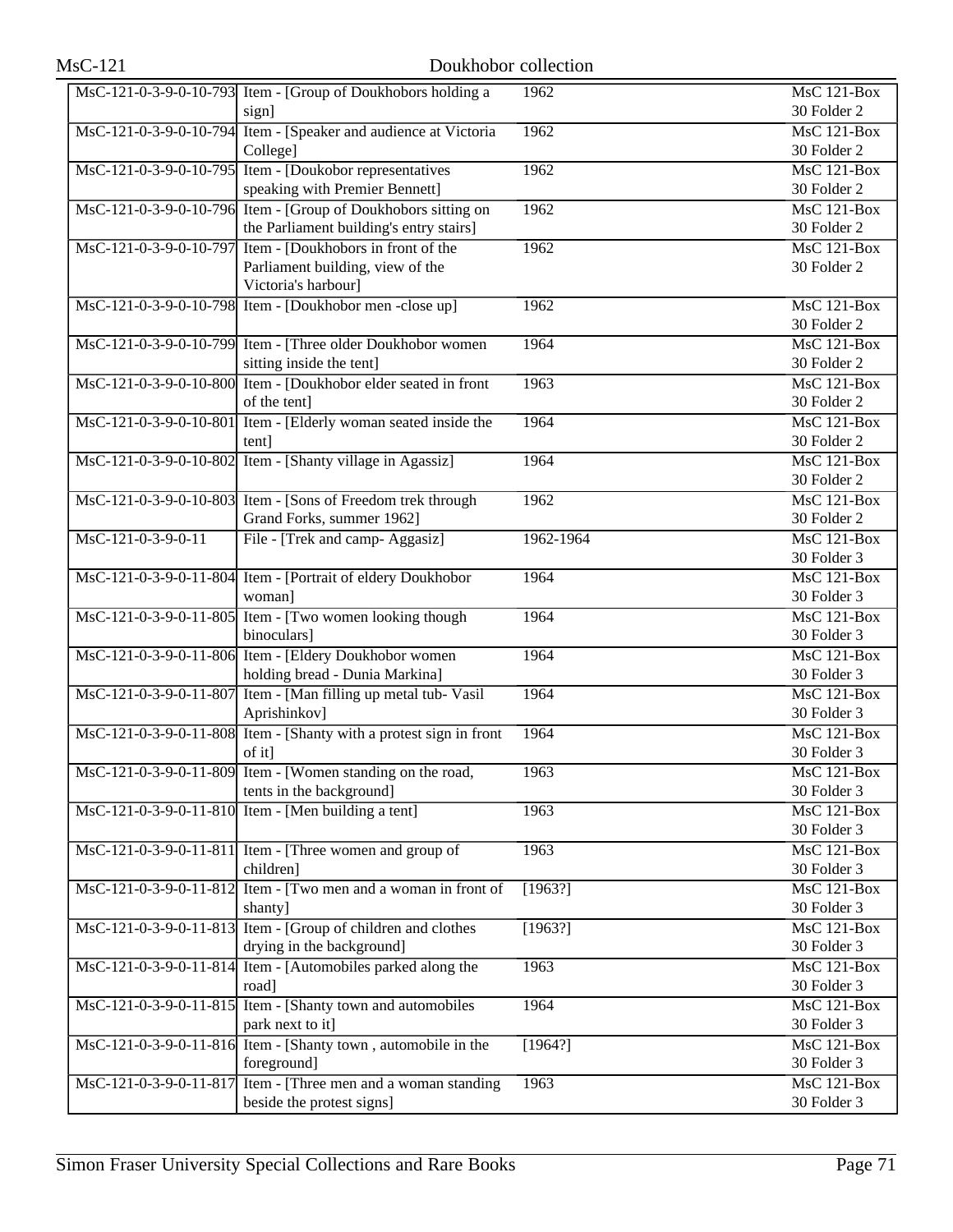|                        | MsC-121-0-3-9-0-10-793 Item - [Group of Doukhobors holding a       | 1962      | MsC 121-Box        |
|------------------------|--------------------------------------------------------------------|-----------|--------------------|
|                        | sign]                                                              |           | 30 Folder 2        |
|                        | MsC-121-0-3-9-0-10-794 Item - [Speaker and audience at Victoria    | 1962      | MsC 121-Box        |
|                        | College]                                                           |           | 30 Folder 2        |
|                        | MsC-121-0-3-9-0-10-795 Item - [Doukobor representatives]           | 1962      | MsC 121-Box        |
|                        | speaking with Premier Bennett]                                     |           | 30 Folder 2        |
|                        | MsC-121-0-3-9-0-10-796 Item - [Group of Doukhobors sitting on      | 1962      | <b>MsC 121-Box</b> |
|                        | the Parliament building's entry stairs]                            |           | 30 Folder 2        |
| MsC-121-0-3-9-0-10-797 | Item - [Doukhobors in front of the                                 | 1962      | MsC 121-Box        |
|                        | Parliament building, view of the                                   |           | 30 Folder 2        |
|                        | Victoria's harbour]                                                |           |                    |
|                        |                                                                    | 1962      | MsC 121-Box        |
|                        | MsC-121-0-3-9-0-10-798 Item - [Doukhobor men -close up]            |           |                    |
|                        |                                                                    |           | 30 Folder 2        |
|                        | MsC-121-0-3-9-0-10-799 Item - [Three older Doukhobor women]        | 1964      | <b>MsC 121-Box</b> |
|                        | sitting inside the tent]                                           |           | 30 Folder 2        |
|                        | MsC-121-0-3-9-0-10-800 Item - [Doukhobor elder seated in front     | 1963      | MsC 121-Box        |
|                        | of the tent]                                                       |           | 30 Folder 2        |
|                        | MsC-121-0-3-9-0-10-801 Item - [Elderly woman seated inside the     | 1964      | MsC 121-Box        |
|                        | tent]                                                              |           | 30 Folder 2        |
|                        | MsC-121-0-3-9-0-10-802 Item - [Shanty village in Agassiz]          | 1964      | <b>MsC 121-Box</b> |
|                        |                                                                    |           | 30 Folder 2        |
|                        | MsC-121-0-3-9-0-10-803 Item - [Sons of Freedom trek through        | 1962      | MsC 121-Box        |
|                        | Grand Forks, summer 1962]                                          |           | 30 Folder 2        |
| MsC-121-0-3-9-0-11     | File - [Trek and camp- Aggasiz]                                    | 1962-1964 | MsC 121-Box        |
|                        |                                                                    |           | 30 Folder 3        |
|                        | MsC-121-0-3-9-0-11-804 Item - [Portrait of eldery Doukhobor        | 1964      | <b>MsC 121-Box</b> |
|                        | woman]                                                             |           | 30 Folder 3        |
|                        | MsC-121-0-3-9-0-11-805 Item - [Two women looking though            | 1964      | MsC 121-Box        |
|                        | binoculars]                                                        |           | 30 Folder 3        |
|                        | MsC-121-0-3-9-0-11-806 Item - [Eldery Doukhobor women              | 1964      | MsC 121-Box        |
|                        | holding bread - Dunia Markina]                                     |           | 30 Folder 3        |
|                        | MsC-121-0-3-9-0-11-807 Item - [Man filling up metal tub- Vasil]    | 1964      | $MsC$ 121-Box      |
|                        | Aprishinkov]                                                       |           | 30 Folder 3        |
|                        | MsC-121-0-3-9-0-11-808 Item - [Shanty with a protest sign in front | 1964      | MsC 121-Box        |
|                        | of it]                                                             |           | 30 Folder 3        |
|                        | MsC-121-0-3-9-0-11-809 Item - [Women standing on the road,         | 1963      | MsC 121-Box        |
|                        | tents in the background]                                           |           | 30 Folder 3        |
|                        | MsC-121-0-3-9-0-11-810 Item - [Men building a tent]                | 1963      | <b>MsC 121-Box</b> |
|                        |                                                                    |           | 30 Folder 3        |
|                        |                                                                    |           |                    |
|                        | $MsC-121-0-3-9-0-11-811$ Item - [Three women and group of          | 1963      | <b>MsC 121-Box</b> |
|                        | children]                                                          |           | 30 Folder 3        |
|                        | MsC-121-0-3-9-0-11-812 Item - [Two men and a woman in front of     | [1963?]   | MsC 121-Box        |
|                        | shanty]                                                            |           | 30 Folder 3        |
|                        | MsC-121-0-3-9-0-11-813 Item - [Group of children and clothes       | [1963?]   | <b>MsC 121-Box</b> |
|                        | drying in the background]                                          |           | 30 Folder 3        |
|                        | MsC-121-0-3-9-0-11-814 Item - [Automobiles parked along the        | 1963      | <b>MsC 121-Box</b> |
|                        | road]                                                              |           | 30 Folder 3        |
|                        | MsC-121-0-3-9-0-11-815 Item - [Shanty town and automobiles         | 1964      | <b>MsC 121-Box</b> |
|                        | park next to it]                                                   |           | 30 Folder 3        |
|                        | MsC-121-0-3-9-0-11-816 Item - [Shanty town, automobile in the      | [1964?]   | <b>MsC 121-Box</b> |
|                        | foreground]                                                        |           | 30 Folder 3        |
|                        | MsC-121-0-3-9-0-11-817 Item - [Three men and a woman standing      | 1963      | <b>MsC 121-Box</b> |
|                        | beside the protest signs]                                          |           | 30 Folder 3        |
|                        |                                                                    |           |                    |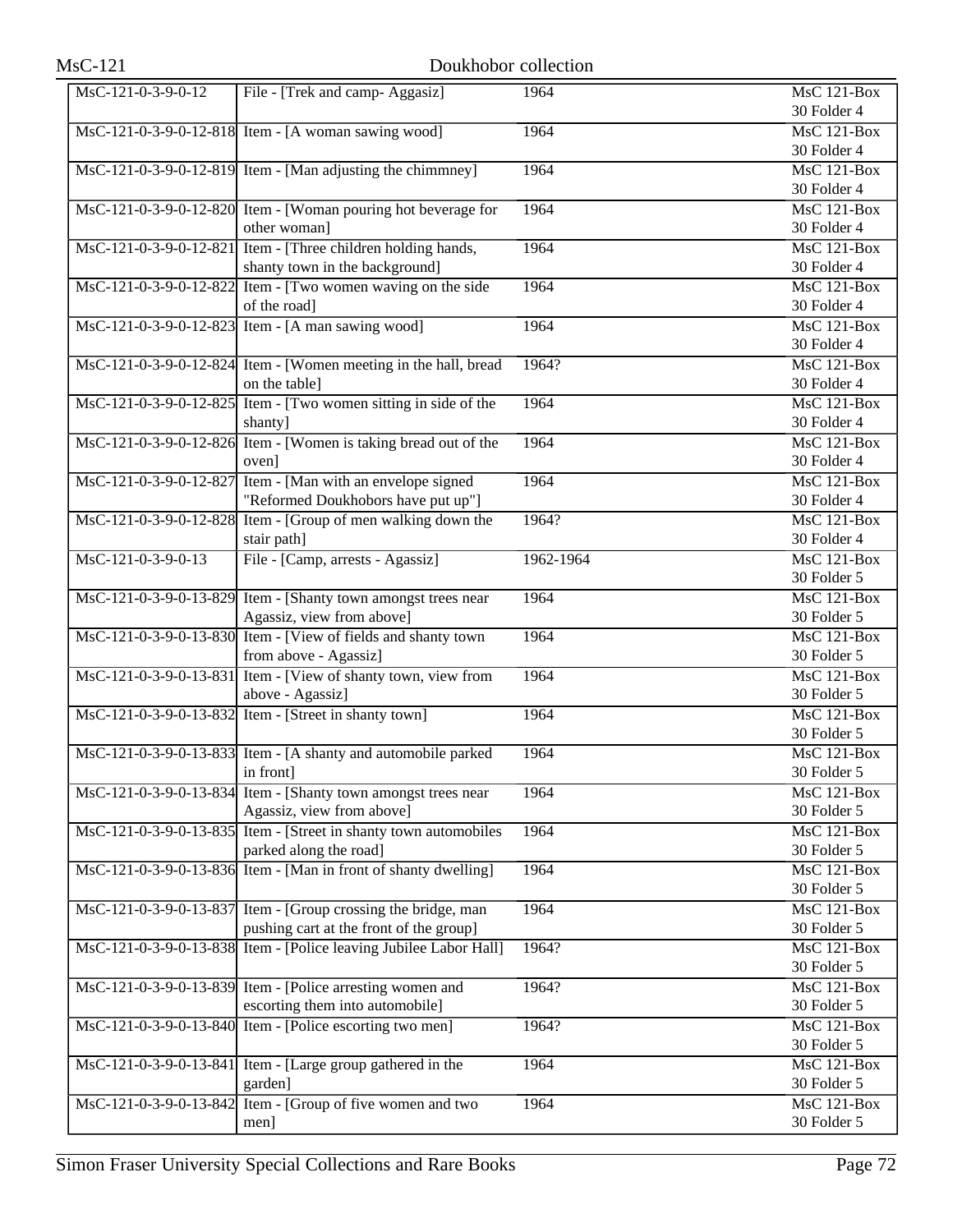| MsC-121-0-3-9-0-12-818 Item - [A woman sawing wood]<br>MsC 121-Box<br>1964<br>30 Folder 4<br>MsC-121-0-3-9-0-12-819 Item - [Man adjusting the chimmney]<br>1964<br><b>MsC 121-Box</b><br>30 Folder 4<br>MsC-121-0-3-9-0-12-820 Item - [Woman pouring hot beverage for<br>1964<br><b>MsC 121-Box</b><br>other woman]<br>30 Folder 4<br>MsC-121-0-3-9-0-12-821 Item - [Three children holding hands,<br>$\overline{\text{MsC 121-Box}}$<br>1964<br>shanty town in the background]<br>30 Folder 4<br>$\overline{\text{MsC-121-0-3-9-0-12-822}}$ Item - [Two women waving on the side<br>1964<br>MsC 121-Box<br>of the road]<br>30 Folder 4<br>MsC-121-0-3-9-0-12-823 Item - [A man sawing wood]<br><b>MsC 121-Box</b><br>1964<br>30 Folder 4<br>MsC-121-0-3-9-0-12-824 Item - [Women meeting in the hall, bread<br>1964?<br><b>MsC 121-Box</b><br>on the table]<br>30 Folder 4<br>MsC-121-0-3-9-0-12-825 Item - [Two women sitting in side of the<br>$MsC$ 121-Box<br>1964<br>30 Folder 4<br>shanty]<br>MsC-121-0-3-9-0-12-826 Item - [Women is taking bread out of the<br>$MsC$ 121-Box<br>1964<br>30 Folder 4<br>oven]<br>MsC-121-0-3-9-0-12-827 Item - [Man with an envelope signed]<br>1964<br><b>MsC 121-Box</b><br>"Reformed Doukhobors have put up"]<br>30 Folder 4<br>MsC-121-0-3-9-0-12-828 Item - [Group of men walking down the<br>1964?<br>MsC 121-Box<br>stair path]<br>30 Folder 4<br>File - [Camp, arrests - Agassiz]<br>MsC-121-0-3-9-0-13<br>1962-1964<br>MsC 121-Box<br>30 Folder 5<br>MsC-121-0-3-9-0-13-829 Item - [Shanty town amongst trees near<br>MsC 121-Box<br>1964<br>Agassiz, view from above]<br>30 Folder 5<br>MsC-121-0-3-9-0-13-830 Item - [View of fields and shanty town<br>$MsC$ 121-Box<br>1964<br>from above - Agassiz]<br>30 Folder 5<br>MsC-121-0-3-9-0-13-831 Item - [View of shanty town, view from<br><b>MsC 121-Box</b><br>1964<br>above - Agassiz]<br>30 Folder 5<br>MsC-121-0-3-9-0-13-832 Item - [Street in shanty town]<br>MsC 121-Box<br>1964<br>30 Folder 5<br>MsC-121-0-3-9-0-13-833 Item - [A shanty and automobile parked<br>$MsC$ 121-Box<br>1964<br>30 Folder 5<br>in front]<br>MsC-121-0-3-9-0-13-834 Item - [Shanty town amongst trees near<br>1964<br>MsC 121-Box<br>Agassiz, view from above]<br>30 Folder 5<br>MsC-121-0-3-9-0-13-835 Item - [Street in shanty town automobiles<br>1964<br>MsC 121-Box<br>parked along the road]<br>30 Folder 5<br>MsC-121-0-3-9-0-13-836 Item - [Man in front of shanty dwelling]<br>1964<br>MsC 121-Box<br>30 Folder 5<br>MsC-121-0-3-9-0-13-837 Item - [Group crossing the bridge, man<br>1964<br>MsC 121-Box<br>pushing cart at the front of the group]<br>30 Folder 5<br>MsC-121-0-3-9-0-13-838 Item - [Police leaving Jubilee Labor Hall]<br><b>MsC 121-Box</b><br>1964?<br>30 Folder 5<br>MsC-121-0-3-9-0-13-839 Item - [Police arresting women and<br>MsC 121-Box<br>1964?<br>escorting them into automobile]<br>30 Folder 5<br>MsC-121-0-3-9-0-13-840 Item - [Police escorting two men]<br>MsC 121-Box<br>1964?<br>30 Folder 5<br>MsC-121-0-3-9-0-13-841 Item - [Large group gathered in the<br>1964<br>MsC 121-Box<br>garden]<br>30 Folder 5<br>MsC-121-0-3-9-0-13-842 Item - [Group of five women and two<br>1964<br>$\overline{\text{MsC 121-Box}}$<br>30 Folder 5<br>men] | MsC-121-0-3-9-0-12 | File - [Trek and camp- Aggasiz] | 1964 | MsC 121-Box |
|--------------------------------------------------------------------------------------------------------------------------------------------------------------------------------------------------------------------------------------------------------------------------------------------------------------------------------------------------------------------------------------------------------------------------------------------------------------------------------------------------------------------------------------------------------------------------------------------------------------------------------------------------------------------------------------------------------------------------------------------------------------------------------------------------------------------------------------------------------------------------------------------------------------------------------------------------------------------------------------------------------------------------------------------------------------------------------------------------------------------------------------------------------------------------------------------------------------------------------------------------------------------------------------------------------------------------------------------------------------------------------------------------------------------------------------------------------------------------------------------------------------------------------------------------------------------------------------------------------------------------------------------------------------------------------------------------------------------------------------------------------------------------------------------------------------------------------------------------------------------------------------------------------------------------------------------------------------------------------------------------------------------------------------------------------------------------------------------------------------------------------------------------------------------------------------------------------------------------------------------------------------------------------------------------------------------------------------------------------------------------------------------------------------------------------------------------------------------------------------------------------------------------------------------------------------------------------------------------------------------------------------------------------------------------------------------------------------------------------------------------------------------------------------------------------------------------------------------------------------------------------------------------------------------------------------------------------------------------------------------------------------------------------------------------------------------------------------------------------------------------------------------------------------------------------------------------------------------------------------------------------------------------------|--------------------|---------------------------------|------|-------------|
|                                                                                                                                                                                                                                                                                                                                                                                                                                                                                                                                                                                                                                                                                                                                                                                                                                                                                                                                                                                                                                                                                                                                                                                                                                                                                                                                                                                                                                                                                                                                                                                                                                                                                                                                                                                                                                                                                                                                                                                                                                                                                                                                                                                                                                                                                                                                                                                                                                                                                                                                                                                                                                                                                                                                                                                                                                                                                                                                                                                                                                                                                                                                                                                                                                                                                |                    |                                 |      | 30 Folder 4 |
|                                                                                                                                                                                                                                                                                                                                                                                                                                                                                                                                                                                                                                                                                                                                                                                                                                                                                                                                                                                                                                                                                                                                                                                                                                                                                                                                                                                                                                                                                                                                                                                                                                                                                                                                                                                                                                                                                                                                                                                                                                                                                                                                                                                                                                                                                                                                                                                                                                                                                                                                                                                                                                                                                                                                                                                                                                                                                                                                                                                                                                                                                                                                                                                                                                                                                |                    |                                 |      |             |
|                                                                                                                                                                                                                                                                                                                                                                                                                                                                                                                                                                                                                                                                                                                                                                                                                                                                                                                                                                                                                                                                                                                                                                                                                                                                                                                                                                                                                                                                                                                                                                                                                                                                                                                                                                                                                                                                                                                                                                                                                                                                                                                                                                                                                                                                                                                                                                                                                                                                                                                                                                                                                                                                                                                                                                                                                                                                                                                                                                                                                                                                                                                                                                                                                                                                                |                    |                                 |      |             |
|                                                                                                                                                                                                                                                                                                                                                                                                                                                                                                                                                                                                                                                                                                                                                                                                                                                                                                                                                                                                                                                                                                                                                                                                                                                                                                                                                                                                                                                                                                                                                                                                                                                                                                                                                                                                                                                                                                                                                                                                                                                                                                                                                                                                                                                                                                                                                                                                                                                                                                                                                                                                                                                                                                                                                                                                                                                                                                                                                                                                                                                                                                                                                                                                                                                                                |                    |                                 |      |             |
|                                                                                                                                                                                                                                                                                                                                                                                                                                                                                                                                                                                                                                                                                                                                                                                                                                                                                                                                                                                                                                                                                                                                                                                                                                                                                                                                                                                                                                                                                                                                                                                                                                                                                                                                                                                                                                                                                                                                                                                                                                                                                                                                                                                                                                                                                                                                                                                                                                                                                                                                                                                                                                                                                                                                                                                                                                                                                                                                                                                                                                                                                                                                                                                                                                                                                |                    |                                 |      |             |
|                                                                                                                                                                                                                                                                                                                                                                                                                                                                                                                                                                                                                                                                                                                                                                                                                                                                                                                                                                                                                                                                                                                                                                                                                                                                                                                                                                                                                                                                                                                                                                                                                                                                                                                                                                                                                                                                                                                                                                                                                                                                                                                                                                                                                                                                                                                                                                                                                                                                                                                                                                                                                                                                                                                                                                                                                                                                                                                                                                                                                                                                                                                                                                                                                                                                                |                    |                                 |      |             |
|                                                                                                                                                                                                                                                                                                                                                                                                                                                                                                                                                                                                                                                                                                                                                                                                                                                                                                                                                                                                                                                                                                                                                                                                                                                                                                                                                                                                                                                                                                                                                                                                                                                                                                                                                                                                                                                                                                                                                                                                                                                                                                                                                                                                                                                                                                                                                                                                                                                                                                                                                                                                                                                                                                                                                                                                                                                                                                                                                                                                                                                                                                                                                                                                                                                                                |                    |                                 |      |             |
|                                                                                                                                                                                                                                                                                                                                                                                                                                                                                                                                                                                                                                                                                                                                                                                                                                                                                                                                                                                                                                                                                                                                                                                                                                                                                                                                                                                                                                                                                                                                                                                                                                                                                                                                                                                                                                                                                                                                                                                                                                                                                                                                                                                                                                                                                                                                                                                                                                                                                                                                                                                                                                                                                                                                                                                                                                                                                                                                                                                                                                                                                                                                                                                                                                                                                |                    |                                 |      |             |
|                                                                                                                                                                                                                                                                                                                                                                                                                                                                                                                                                                                                                                                                                                                                                                                                                                                                                                                                                                                                                                                                                                                                                                                                                                                                                                                                                                                                                                                                                                                                                                                                                                                                                                                                                                                                                                                                                                                                                                                                                                                                                                                                                                                                                                                                                                                                                                                                                                                                                                                                                                                                                                                                                                                                                                                                                                                                                                                                                                                                                                                                                                                                                                                                                                                                                |                    |                                 |      |             |
|                                                                                                                                                                                                                                                                                                                                                                                                                                                                                                                                                                                                                                                                                                                                                                                                                                                                                                                                                                                                                                                                                                                                                                                                                                                                                                                                                                                                                                                                                                                                                                                                                                                                                                                                                                                                                                                                                                                                                                                                                                                                                                                                                                                                                                                                                                                                                                                                                                                                                                                                                                                                                                                                                                                                                                                                                                                                                                                                                                                                                                                                                                                                                                                                                                                                                |                    |                                 |      |             |
|                                                                                                                                                                                                                                                                                                                                                                                                                                                                                                                                                                                                                                                                                                                                                                                                                                                                                                                                                                                                                                                                                                                                                                                                                                                                                                                                                                                                                                                                                                                                                                                                                                                                                                                                                                                                                                                                                                                                                                                                                                                                                                                                                                                                                                                                                                                                                                                                                                                                                                                                                                                                                                                                                                                                                                                                                                                                                                                                                                                                                                                                                                                                                                                                                                                                                |                    |                                 |      |             |
|                                                                                                                                                                                                                                                                                                                                                                                                                                                                                                                                                                                                                                                                                                                                                                                                                                                                                                                                                                                                                                                                                                                                                                                                                                                                                                                                                                                                                                                                                                                                                                                                                                                                                                                                                                                                                                                                                                                                                                                                                                                                                                                                                                                                                                                                                                                                                                                                                                                                                                                                                                                                                                                                                                                                                                                                                                                                                                                                                                                                                                                                                                                                                                                                                                                                                |                    |                                 |      |             |
|                                                                                                                                                                                                                                                                                                                                                                                                                                                                                                                                                                                                                                                                                                                                                                                                                                                                                                                                                                                                                                                                                                                                                                                                                                                                                                                                                                                                                                                                                                                                                                                                                                                                                                                                                                                                                                                                                                                                                                                                                                                                                                                                                                                                                                                                                                                                                                                                                                                                                                                                                                                                                                                                                                                                                                                                                                                                                                                                                                                                                                                                                                                                                                                                                                                                                |                    |                                 |      |             |
|                                                                                                                                                                                                                                                                                                                                                                                                                                                                                                                                                                                                                                                                                                                                                                                                                                                                                                                                                                                                                                                                                                                                                                                                                                                                                                                                                                                                                                                                                                                                                                                                                                                                                                                                                                                                                                                                                                                                                                                                                                                                                                                                                                                                                                                                                                                                                                                                                                                                                                                                                                                                                                                                                                                                                                                                                                                                                                                                                                                                                                                                                                                                                                                                                                                                                |                    |                                 |      |             |
|                                                                                                                                                                                                                                                                                                                                                                                                                                                                                                                                                                                                                                                                                                                                                                                                                                                                                                                                                                                                                                                                                                                                                                                                                                                                                                                                                                                                                                                                                                                                                                                                                                                                                                                                                                                                                                                                                                                                                                                                                                                                                                                                                                                                                                                                                                                                                                                                                                                                                                                                                                                                                                                                                                                                                                                                                                                                                                                                                                                                                                                                                                                                                                                                                                                                                |                    |                                 |      |             |
|                                                                                                                                                                                                                                                                                                                                                                                                                                                                                                                                                                                                                                                                                                                                                                                                                                                                                                                                                                                                                                                                                                                                                                                                                                                                                                                                                                                                                                                                                                                                                                                                                                                                                                                                                                                                                                                                                                                                                                                                                                                                                                                                                                                                                                                                                                                                                                                                                                                                                                                                                                                                                                                                                                                                                                                                                                                                                                                                                                                                                                                                                                                                                                                                                                                                                |                    |                                 |      |             |
|                                                                                                                                                                                                                                                                                                                                                                                                                                                                                                                                                                                                                                                                                                                                                                                                                                                                                                                                                                                                                                                                                                                                                                                                                                                                                                                                                                                                                                                                                                                                                                                                                                                                                                                                                                                                                                                                                                                                                                                                                                                                                                                                                                                                                                                                                                                                                                                                                                                                                                                                                                                                                                                                                                                                                                                                                                                                                                                                                                                                                                                                                                                                                                                                                                                                                |                    |                                 |      |             |
|                                                                                                                                                                                                                                                                                                                                                                                                                                                                                                                                                                                                                                                                                                                                                                                                                                                                                                                                                                                                                                                                                                                                                                                                                                                                                                                                                                                                                                                                                                                                                                                                                                                                                                                                                                                                                                                                                                                                                                                                                                                                                                                                                                                                                                                                                                                                                                                                                                                                                                                                                                                                                                                                                                                                                                                                                                                                                                                                                                                                                                                                                                                                                                                                                                                                                |                    |                                 |      |             |
|                                                                                                                                                                                                                                                                                                                                                                                                                                                                                                                                                                                                                                                                                                                                                                                                                                                                                                                                                                                                                                                                                                                                                                                                                                                                                                                                                                                                                                                                                                                                                                                                                                                                                                                                                                                                                                                                                                                                                                                                                                                                                                                                                                                                                                                                                                                                                                                                                                                                                                                                                                                                                                                                                                                                                                                                                                                                                                                                                                                                                                                                                                                                                                                                                                                                                |                    |                                 |      |             |
|                                                                                                                                                                                                                                                                                                                                                                                                                                                                                                                                                                                                                                                                                                                                                                                                                                                                                                                                                                                                                                                                                                                                                                                                                                                                                                                                                                                                                                                                                                                                                                                                                                                                                                                                                                                                                                                                                                                                                                                                                                                                                                                                                                                                                                                                                                                                                                                                                                                                                                                                                                                                                                                                                                                                                                                                                                                                                                                                                                                                                                                                                                                                                                                                                                                                                |                    |                                 |      |             |
|                                                                                                                                                                                                                                                                                                                                                                                                                                                                                                                                                                                                                                                                                                                                                                                                                                                                                                                                                                                                                                                                                                                                                                                                                                                                                                                                                                                                                                                                                                                                                                                                                                                                                                                                                                                                                                                                                                                                                                                                                                                                                                                                                                                                                                                                                                                                                                                                                                                                                                                                                                                                                                                                                                                                                                                                                                                                                                                                                                                                                                                                                                                                                                                                                                                                                |                    |                                 |      |             |
|                                                                                                                                                                                                                                                                                                                                                                                                                                                                                                                                                                                                                                                                                                                                                                                                                                                                                                                                                                                                                                                                                                                                                                                                                                                                                                                                                                                                                                                                                                                                                                                                                                                                                                                                                                                                                                                                                                                                                                                                                                                                                                                                                                                                                                                                                                                                                                                                                                                                                                                                                                                                                                                                                                                                                                                                                                                                                                                                                                                                                                                                                                                                                                                                                                                                                |                    |                                 |      |             |
|                                                                                                                                                                                                                                                                                                                                                                                                                                                                                                                                                                                                                                                                                                                                                                                                                                                                                                                                                                                                                                                                                                                                                                                                                                                                                                                                                                                                                                                                                                                                                                                                                                                                                                                                                                                                                                                                                                                                                                                                                                                                                                                                                                                                                                                                                                                                                                                                                                                                                                                                                                                                                                                                                                                                                                                                                                                                                                                                                                                                                                                                                                                                                                                                                                                                                |                    |                                 |      |             |
|                                                                                                                                                                                                                                                                                                                                                                                                                                                                                                                                                                                                                                                                                                                                                                                                                                                                                                                                                                                                                                                                                                                                                                                                                                                                                                                                                                                                                                                                                                                                                                                                                                                                                                                                                                                                                                                                                                                                                                                                                                                                                                                                                                                                                                                                                                                                                                                                                                                                                                                                                                                                                                                                                                                                                                                                                                                                                                                                                                                                                                                                                                                                                                                                                                                                                |                    |                                 |      |             |
|                                                                                                                                                                                                                                                                                                                                                                                                                                                                                                                                                                                                                                                                                                                                                                                                                                                                                                                                                                                                                                                                                                                                                                                                                                                                                                                                                                                                                                                                                                                                                                                                                                                                                                                                                                                                                                                                                                                                                                                                                                                                                                                                                                                                                                                                                                                                                                                                                                                                                                                                                                                                                                                                                                                                                                                                                                                                                                                                                                                                                                                                                                                                                                                                                                                                                |                    |                                 |      |             |
|                                                                                                                                                                                                                                                                                                                                                                                                                                                                                                                                                                                                                                                                                                                                                                                                                                                                                                                                                                                                                                                                                                                                                                                                                                                                                                                                                                                                                                                                                                                                                                                                                                                                                                                                                                                                                                                                                                                                                                                                                                                                                                                                                                                                                                                                                                                                                                                                                                                                                                                                                                                                                                                                                                                                                                                                                                                                                                                                                                                                                                                                                                                                                                                                                                                                                |                    |                                 |      |             |
|                                                                                                                                                                                                                                                                                                                                                                                                                                                                                                                                                                                                                                                                                                                                                                                                                                                                                                                                                                                                                                                                                                                                                                                                                                                                                                                                                                                                                                                                                                                                                                                                                                                                                                                                                                                                                                                                                                                                                                                                                                                                                                                                                                                                                                                                                                                                                                                                                                                                                                                                                                                                                                                                                                                                                                                                                                                                                                                                                                                                                                                                                                                                                                                                                                                                                |                    |                                 |      |             |
|                                                                                                                                                                                                                                                                                                                                                                                                                                                                                                                                                                                                                                                                                                                                                                                                                                                                                                                                                                                                                                                                                                                                                                                                                                                                                                                                                                                                                                                                                                                                                                                                                                                                                                                                                                                                                                                                                                                                                                                                                                                                                                                                                                                                                                                                                                                                                                                                                                                                                                                                                                                                                                                                                                                                                                                                                                                                                                                                                                                                                                                                                                                                                                                                                                                                                |                    |                                 |      |             |
|                                                                                                                                                                                                                                                                                                                                                                                                                                                                                                                                                                                                                                                                                                                                                                                                                                                                                                                                                                                                                                                                                                                                                                                                                                                                                                                                                                                                                                                                                                                                                                                                                                                                                                                                                                                                                                                                                                                                                                                                                                                                                                                                                                                                                                                                                                                                                                                                                                                                                                                                                                                                                                                                                                                                                                                                                                                                                                                                                                                                                                                                                                                                                                                                                                                                                |                    |                                 |      |             |
|                                                                                                                                                                                                                                                                                                                                                                                                                                                                                                                                                                                                                                                                                                                                                                                                                                                                                                                                                                                                                                                                                                                                                                                                                                                                                                                                                                                                                                                                                                                                                                                                                                                                                                                                                                                                                                                                                                                                                                                                                                                                                                                                                                                                                                                                                                                                                                                                                                                                                                                                                                                                                                                                                                                                                                                                                                                                                                                                                                                                                                                                                                                                                                                                                                                                                |                    |                                 |      |             |
|                                                                                                                                                                                                                                                                                                                                                                                                                                                                                                                                                                                                                                                                                                                                                                                                                                                                                                                                                                                                                                                                                                                                                                                                                                                                                                                                                                                                                                                                                                                                                                                                                                                                                                                                                                                                                                                                                                                                                                                                                                                                                                                                                                                                                                                                                                                                                                                                                                                                                                                                                                                                                                                                                                                                                                                                                                                                                                                                                                                                                                                                                                                                                                                                                                                                                |                    |                                 |      |             |
|                                                                                                                                                                                                                                                                                                                                                                                                                                                                                                                                                                                                                                                                                                                                                                                                                                                                                                                                                                                                                                                                                                                                                                                                                                                                                                                                                                                                                                                                                                                                                                                                                                                                                                                                                                                                                                                                                                                                                                                                                                                                                                                                                                                                                                                                                                                                                                                                                                                                                                                                                                                                                                                                                                                                                                                                                                                                                                                                                                                                                                                                                                                                                                                                                                                                                |                    |                                 |      |             |
|                                                                                                                                                                                                                                                                                                                                                                                                                                                                                                                                                                                                                                                                                                                                                                                                                                                                                                                                                                                                                                                                                                                                                                                                                                                                                                                                                                                                                                                                                                                                                                                                                                                                                                                                                                                                                                                                                                                                                                                                                                                                                                                                                                                                                                                                                                                                                                                                                                                                                                                                                                                                                                                                                                                                                                                                                                                                                                                                                                                                                                                                                                                                                                                                                                                                                |                    |                                 |      |             |
|                                                                                                                                                                                                                                                                                                                                                                                                                                                                                                                                                                                                                                                                                                                                                                                                                                                                                                                                                                                                                                                                                                                                                                                                                                                                                                                                                                                                                                                                                                                                                                                                                                                                                                                                                                                                                                                                                                                                                                                                                                                                                                                                                                                                                                                                                                                                                                                                                                                                                                                                                                                                                                                                                                                                                                                                                                                                                                                                                                                                                                                                                                                                                                                                                                                                                |                    |                                 |      |             |
|                                                                                                                                                                                                                                                                                                                                                                                                                                                                                                                                                                                                                                                                                                                                                                                                                                                                                                                                                                                                                                                                                                                                                                                                                                                                                                                                                                                                                                                                                                                                                                                                                                                                                                                                                                                                                                                                                                                                                                                                                                                                                                                                                                                                                                                                                                                                                                                                                                                                                                                                                                                                                                                                                                                                                                                                                                                                                                                                                                                                                                                                                                                                                                                                                                                                                |                    |                                 |      |             |
|                                                                                                                                                                                                                                                                                                                                                                                                                                                                                                                                                                                                                                                                                                                                                                                                                                                                                                                                                                                                                                                                                                                                                                                                                                                                                                                                                                                                                                                                                                                                                                                                                                                                                                                                                                                                                                                                                                                                                                                                                                                                                                                                                                                                                                                                                                                                                                                                                                                                                                                                                                                                                                                                                                                                                                                                                                                                                                                                                                                                                                                                                                                                                                                                                                                                                |                    |                                 |      |             |
|                                                                                                                                                                                                                                                                                                                                                                                                                                                                                                                                                                                                                                                                                                                                                                                                                                                                                                                                                                                                                                                                                                                                                                                                                                                                                                                                                                                                                                                                                                                                                                                                                                                                                                                                                                                                                                                                                                                                                                                                                                                                                                                                                                                                                                                                                                                                                                                                                                                                                                                                                                                                                                                                                                                                                                                                                                                                                                                                                                                                                                                                                                                                                                                                                                                                                |                    |                                 |      |             |
|                                                                                                                                                                                                                                                                                                                                                                                                                                                                                                                                                                                                                                                                                                                                                                                                                                                                                                                                                                                                                                                                                                                                                                                                                                                                                                                                                                                                                                                                                                                                                                                                                                                                                                                                                                                                                                                                                                                                                                                                                                                                                                                                                                                                                                                                                                                                                                                                                                                                                                                                                                                                                                                                                                                                                                                                                                                                                                                                                                                                                                                                                                                                                                                                                                                                                |                    |                                 |      |             |
|                                                                                                                                                                                                                                                                                                                                                                                                                                                                                                                                                                                                                                                                                                                                                                                                                                                                                                                                                                                                                                                                                                                                                                                                                                                                                                                                                                                                                                                                                                                                                                                                                                                                                                                                                                                                                                                                                                                                                                                                                                                                                                                                                                                                                                                                                                                                                                                                                                                                                                                                                                                                                                                                                                                                                                                                                                                                                                                                                                                                                                                                                                                                                                                                                                                                                |                    |                                 |      |             |
|                                                                                                                                                                                                                                                                                                                                                                                                                                                                                                                                                                                                                                                                                                                                                                                                                                                                                                                                                                                                                                                                                                                                                                                                                                                                                                                                                                                                                                                                                                                                                                                                                                                                                                                                                                                                                                                                                                                                                                                                                                                                                                                                                                                                                                                                                                                                                                                                                                                                                                                                                                                                                                                                                                                                                                                                                                                                                                                                                                                                                                                                                                                                                                                                                                                                                |                    |                                 |      |             |
|                                                                                                                                                                                                                                                                                                                                                                                                                                                                                                                                                                                                                                                                                                                                                                                                                                                                                                                                                                                                                                                                                                                                                                                                                                                                                                                                                                                                                                                                                                                                                                                                                                                                                                                                                                                                                                                                                                                                                                                                                                                                                                                                                                                                                                                                                                                                                                                                                                                                                                                                                                                                                                                                                                                                                                                                                                                                                                                                                                                                                                                                                                                                                                                                                                                                                |                    |                                 |      |             |
|                                                                                                                                                                                                                                                                                                                                                                                                                                                                                                                                                                                                                                                                                                                                                                                                                                                                                                                                                                                                                                                                                                                                                                                                                                                                                                                                                                                                                                                                                                                                                                                                                                                                                                                                                                                                                                                                                                                                                                                                                                                                                                                                                                                                                                                                                                                                                                                                                                                                                                                                                                                                                                                                                                                                                                                                                                                                                                                                                                                                                                                                                                                                                                                                                                                                                |                    |                                 |      |             |
|                                                                                                                                                                                                                                                                                                                                                                                                                                                                                                                                                                                                                                                                                                                                                                                                                                                                                                                                                                                                                                                                                                                                                                                                                                                                                                                                                                                                                                                                                                                                                                                                                                                                                                                                                                                                                                                                                                                                                                                                                                                                                                                                                                                                                                                                                                                                                                                                                                                                                                                                                                                                                                                                                                                                                                                                                                                                                                                                                                                                                                                                                                                                                                                                                                                                                |                    |                                 |      |             |
|                                                                                                                                                                                                                                                                                                                                                                                                                                                                                                                                                                                                                                                                                                                                                                                                                                                                                                                                                                                                                                                                                                                                                                                                                                                                                                                                                                                                                                                                                                                                                                                                                                                                                                                                                                                                                                                                                                                                                                                                                                                                                                                                                                                                                                                                                                                                                                                                                                                                                                                                                                                                                                                                                                                                                                                                                                                                                                                                                                                                                                                                                                                                                                                                                                                                                |                    |                                 |      |             |
|                                                                                                                                                                                                                                                                                                                                                                                                                                                                                                                                                                                                                                                                                                                                                                                                                                                                                                                                                                                                                                                                                                                                                                                                                                                                                                                                                                                                                                                                                                                                                                                                                                                                                                                                                                                                                                                                                                                                                                                                                                                                                                                                                                                                                                                                                                                                                                                                                                                                                                                                                                                                                                                                                                                                                                                                                                                                                                                                                                                                                                                                                                                                                                                                                                                                                |                    |                                 |      |             |
|                                                                                                                                                                                                                                                                                                                                                                                                                                                                                                                                                                                                                                                                                                                                                                                                                                                                                                                                                                                                                                                                                                                                                                                                                                                                                                                                                                                                                                                                                                                                                                                                                                                                                                                                                                                                                                                                                                                                                                                                                                                                                                                                                                                                                                                                                                                                                                                                                                                                                                                                                                                                                                                                                                                                                                                                                                                                                                                                                                                                                                                                                                                                                                                                                                                                                |                    |                                 |      |             |
|                                                                                                                                                                                                                                                                                                                                                                                                                                                                                                                                                                                                                                                                                                                                                                                                                                                                                                                                                                                                                                                                                                                                                                                                                                                                                                                                                                                                                                                                                                                                                                                                                                                                                                                                                                                                                                                                                                                                                                                                                                                                                                                                                                                                                                                                                                                                                                                                                                                                                                                                                                                                                                                                                                                                                                                                                                                                                                                                                                                                                                                                                                                                                                                                                                                                                |                    |                                 |      |             |
|                                                                                                                                                                                                                                                                                                                                                                                                                                                                                                                                                                                                                                                                                                                                                                                                                                                                                                                                                                                                                                                                                                                                                                                                                                                                                                                                                                                                                                                                                                                                                                                                                                                                                                                                                                                                                                                                                                                                                                                                                                                                                                                                                                                                                                                                                                                                                                                                                                                                                                                                                                                                                                                                                                                                                                                                                                                                                                                                                                                                                                                                                                                                                                                                                                                                                |                    |                                 |      |             |
|                                                                                                                                                                                                                                                                                                                                                                                                                                                                                                                                                                                                                                                                                                                                                                                                                                                                                                                                                                                                                                                                                                                                                                                                                                                                                                                                                                                                                                                                                                                                                                                                                                                                                                                                                                                                                                                                                                                                                                                                                                                                                                                                                                                                                                                                                                                                                                                                                                                                                                                                                                                                                                                                                                                                                                                                                                                                                                                                                                                                                                                                                                                                                                                                                                                                                |                    |                                 |      |             |
|                                                                                                                                                                                                                                                                                                                                                                                                                                                                                                                                                                                                                                                                                                                                                                                                                                                                                                                                                                                                                                                                                                                                                                                                                                                                                                                                                                                                                                                                                                                                                                                                                                                                                                                                                                                                                                                                                                                                                                                                                                                                                                                                                                                                                                                                                                                                                                                                                                                                                                                                                                                                                                                                                                                                                                                                                                                                                                                                                                                                                                                                                                                                                                                                                                                                                |                    |                                 |      |             |
|                                                                                                                                                                                                                                                                                                                                                                                                                                                                                                                                                                                                                                                                                                                                                                                                                                                                                                                                                                                                                                                                                                                                                                                                                                                                                                                                                                                                                                                                                                                                                                                                                                                                                                                                                                                                                                                                                                                                                                                                                                                                                                                                                                                                                                                                                                                                                                                                                                                                                                                                                                                                                                                                                                                                                                                                                                                                                                                                                                                                                                                                                                                                                                                                                                                                                |                    |                                 |      |             |
|                                                                                                                                                                                                                                                                                                                                                                                                                                                                                                                                                                                                                                                                                                                                                                                                                                                                                                                                                                                                                                                                                                                                                                                                                                                                                                                                                                                                                                                                                                                                                                                                                                                                                                                                                                                                                                                                                                                                                                                                                                                                                                                                                                                                                                                                                                                                                                                                                                                                                                                                                                                                                                                                                                                                                                                                                                                                                                                                                                                                                                                                                                                                                                                                                                                                                |                    |                                 |      |             |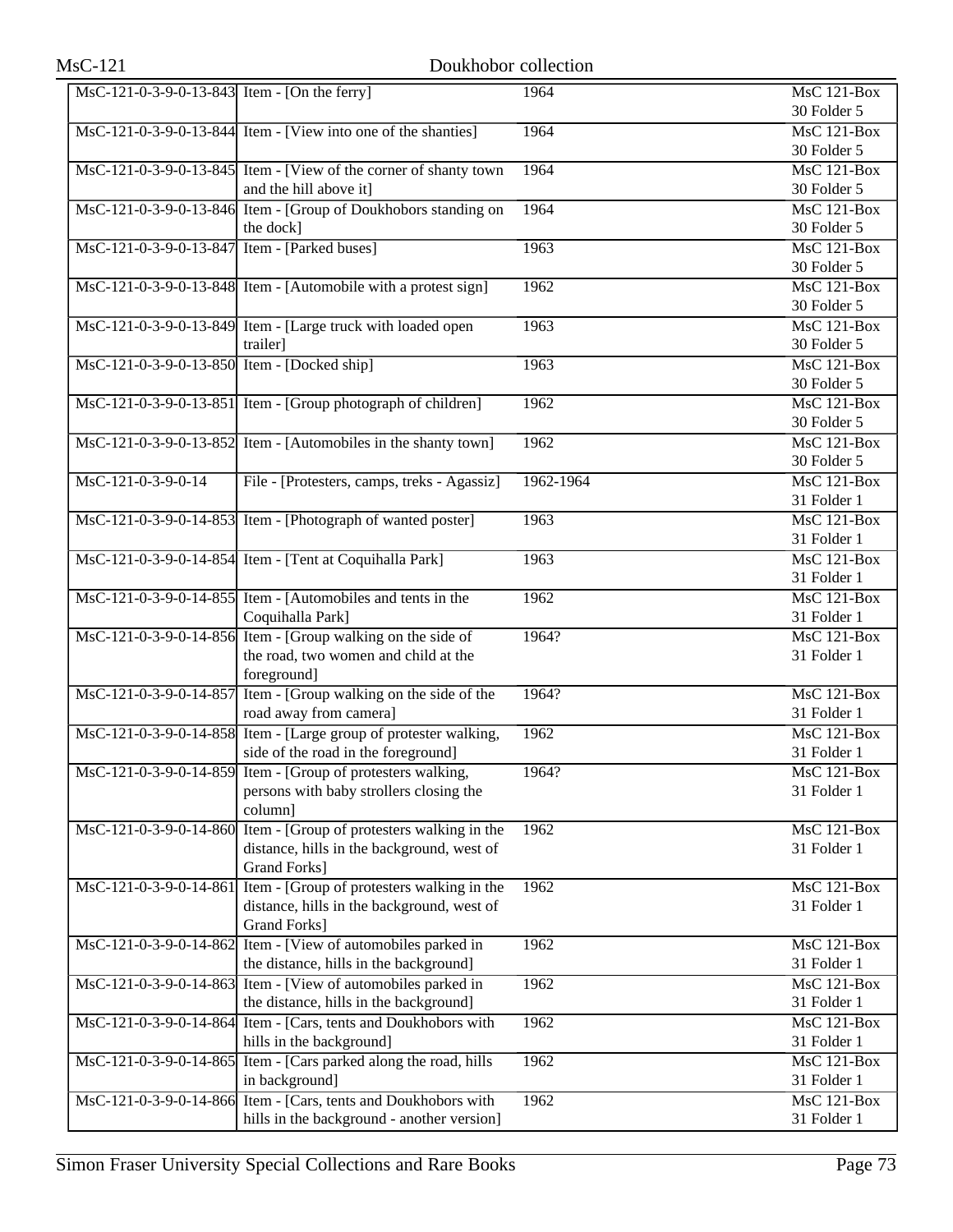| MsC-121-0-3-9-0-13-843 Item - [On the ferry] |                                                                                                                                         | 1964      | <b>MsC 121-Box</b><br>30 Folder 5              |
|----------------------------------------------|-----------------------------------------------------------------------------------------------------------------------------------------|-----------|------------------------------------------------|
|                                              | MsC-121-0-3-9-0-13-844 Item - [View into one of the shanties]                                                                           | 1964      | $\overline{\text{MsC 121-Box}}$<br>30 Folder 5 |
|                                              | MsC-121-0-3-9-0-13-845 Item - [View of the corner of shanty town<br>and the hill above it]                                              | 1964      | $\overline{\text{MsC 121-Box}}$<br>30 Folder 5 |
|                                              | MsC-121-0-3-9-0-13-846 Item - [Group of Doukhobors standing on<br>the dock]                                                             | 1964      | <b>MsC 121-Box</b><br>30 Folder 5              |
| MsC-121-0-3-9-0-13-847 Item - [Parked buses] |                                                                                                                                         | 1963      | $MsC$ 121-Box<br>30 Folder 5                   |
|                                              | MsC-121-0-3-9-0-13-848 Item - [Automobile with a protest sign]                                                                          | 1962      | $MsC$ 121-Box<br>30 Folder 5                   |
|                                              | MsC-121-0-3-9-0-13-849 Item - [Large truck with loaded open<br>trailer]                                                                 | 1963      | <b>MsC 121-Box</b><br>30 Folder 5              |
| MsC-121-0-3-9-0-13-850 Item - [Docked ship]  |                                                                                                                                         | 1963      | $MsC$ 121-Box<br>30 Folder 5                   |
|                                              | MsC-121-0-3-9-0-13-851 Item - [Group photograph of children]                                                                            | 1962      | $\overline{\text{MsC 121-Box}}$<br>30 Folder 5 |
|                                              | MsC-121-0-3-9-0-13-852 Item - [Automobiles in the shanty town]                                                                          | 1962      | $MsC$ 121-Box<br>30 Folder 5                   |
| MsC-121-0-3-9-0-14                           | File - [Protesters, camps, treks - Agassiz]                                                                                             | 1962-1964 | $MsC$ 121-Box<br>31 Folder 1                   |
|                                              | MsC-121-0-3-9-0-14-853 Item - [Photograph of wanted poster]                                                                             | 1963      | MsC 121-Box<br>31 Folder 1                     |
|                                              | MsC-121-0-3-9-0-14-854 Item - [Tent at Coquihalla Park]                                                                                 | 1963      | <b>MsC 121-Box</b><br>31 Folder 1              |
|                                              | MsC-121-0-3-9-0-14-855 Item - [Automobiles and tents in the<br>Coquihalla Park]                                                         | 1962      | $MsC$ 121-Box<br>31 Folder 1                   |
|                                              | MsC-121-0-3-9-0-14-856 Item - [Group walking on the side of<br>the road, two women and child at the<br>foreground]                      | 1964?     | MsC 121-Box<br>31 Folder 1                     |
|                                              | MsC-121-0-3-9-0-14-857 Item - [Group walking on the side of the<br>road away from camera]                                               | 1964?     | <b>MsC 121-Box</b><br>31 Folder 1              |
|                                              | MsC-121-0-3-9-0-14-858 Item - [Large group of protester walking,<br>side of the road in the foreground]                                 | 1962      | $MsC$ 121-Box<br>31 Folder 1                   |
|                                              | MsC-121-0-3-9-0-14-859 Item - [Group of protesters walking,<br>persons with baby strollers closing the<br>column]                       | 1964?     | MsC 121-Box<br>31 Folder 1                     |
|                                              | MsC-121-0-3-9-0-14-860 Item - [Group of protesters walking in the<br>distance, hills in the background, west of<br><b>Grand Forks</b> ] | 1962      | MsC 121-Box<br>31 Folder 1                     |
| MsC-121-0-3-9-0-14-861                       | Item - [Group of protesters walking in the<br>distance, hills in the background, west of<br>Grand Forks]                                | 1962      | MsC 121-Box<br>31 Folder 1                     |
|                                              | MsC-121-0-3-9-0-14-862 Item - [View of automobiles parked in<br>the distance, hills in the background]                                  | 1962      | MsC 121-Box<br>31 Folder 1                     |
|                                              | MsC-121-0-3-9-0-14-863 Item - [View of automobiles parked in<br>the distance, hills in the background]                                  | 1962      | MsC 121-Box<br>31 Folder 1                     |
|                                              | MsC-121-0-3-9-0-14-864 Item - [Cars, tents and Doukhobors with<br>hills in the background]                                              | 1962      | MsC 121-Box<br>31 Folder 1                     |
|                                              | MsC-121-0-3-9-0-14-865 Item - [Cars parked along the road, hills<br>in background]                                                      | 1962      | MsC 121-Box<br>31 Folder 1                     |
|                                              | MsC-121-0-3-9-0-14-866 Item - [Cars, tents and Doukhobors with<br>hills in the background - another version]                            | 1962      | <b>MsC 121-Box</b><br>31 Folder 1              |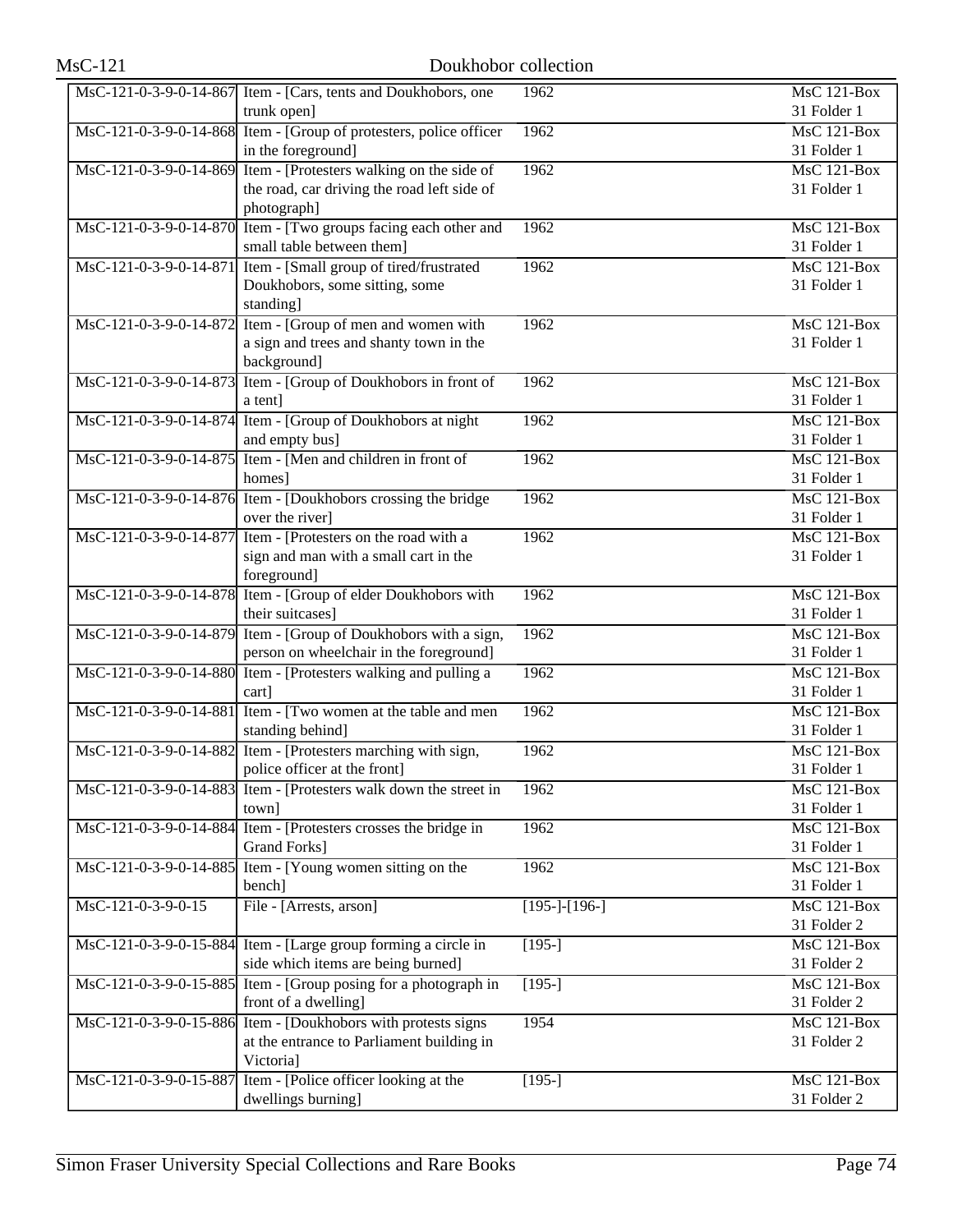| <b>MsC-121</b>         | Doukhobor collection                                                                                       |                 |                                                |
|------------------------|------------------------------------------------------------------------------------------------------------|-----------------|------------------------------------------------|
|                        | MsC-121-0-3-9-0-14-867 Item - [Cars, tents and Doukhobors, one<br>trunk open]                              | 1962            | $\overline{\text{MsC}}$ 121-Box<br>31 Folder 1 |
|                        | MsC-121-0-3-9-0-14-868 Item - [Group of protesters, police officer<br>in the foreground]                   | 1962            | $\overline{\text{MsC}}$ 121-Box<br>31 Folder 1 |
| MsC-121-0-3-9-0-14-869 | Item - [Protesters walking on the side of                                                                  | 1962            | <b>MsC 121-Box</b>                             |
|                        | the road, car driving the road left side of<br>photograph]                                                 |                 | 31 Folder 1                                    |
| MsC-121-0-3-9-0-14-870 | Item - [Two groups facing each other and<br>small table between them]                                      | 1962            | MsC 121-Box<br>31 Folder 1                     |
| MsC-121-0-3-9-0-14-871 | Item - [Small group of tired/frustrated<br>Doukhobors, some sitting, some<br>standing]                     | 1962            | $MsC$ 121-Box<br>31 Folder 1                   |
| MsC-121-0-3-9-0-14-872 | Item - [Group of men and women with<br>a sign and trees and shanty town in the<br>background]              | 1962            | $MsC$ 121-Box<br>31 Folder 1                   |
|                        | MsC-121-0-3-9-0-14-873 Item - [Group of Doukhobors in front of<br>a tent]                                  | 1962            | MsC 121-Box<br>31 Folder 1                     |
|                        | MsC-121-0-3-9-0-14-874 Item - [Group of Doukhobors at night<br>and empty bus]                              | 1962            | $MsC$ 121-Box<br>31 Folder 1                   |
| MsC-121-0-3-9-0-14-875 | Item - [Men and children in front of<br>homes]                                                             | 1962            | $MsC$ 121-Box<br>31 Folder 1                   |
|                        | MsC-121-0-3-9-0-14-876 Item - [Doukhobors crossing the bridge<br>over the river]                           | 1962            | MsC 121-Box<br>31 Folder 1                     |
| MsC-121-0-3-9-0-14-877 | Item - [Protesters on the road with a<br>sign and man with a small cart in the<br>foreground]              | 1962            | $MsC$ 121-Box<br>31 Folder 1                   |
|                        | MsC-121-0-3-9-0-14-878 Item - [Group of elder Doukhobors with<br>their suitcases]                          | 1962            | $MsC$ 121-Box<br>31 Folder 1                   |
|                        | MsC-121-0-3-9-0-14-879 Item - [Group of Doukhobors with a sign,<br>person on wheelchair in the foreground] | 1962            | <b>MsC 121-Box</b><br>31 Folder 1              |
|                        | MsC-121-0-3-9-0-14-880 Item - [Protesters walking and pulling a<br>cart]                                   | 1962            | $\overline{\text{MsC}}$ 121-Box<br>31 Folder 1 |
| MsC-121-0-3-9-0-14-881 | Item - [Two women at the table and men<br>standing behind]                                                 | 1962            | MsC 121-Box<br>31 Folder 1                     |
|                        | MsC-121-0-3-9-0-14-882 Item - [Protesters marching with sign,<br>police officer at the front]              | 1962            | $MsC$ 121-Box<br>31 Folder 1                   |
| MsC-121-0-3-9-0-14-883 | Item - [Protesters walk down the street in<br>town]                                                        | 1962            | MsC 121-Box<br>31 Folder 1                     |
|                        | MsC-121-0-3-9-0-14-884 Item - [Protesters crosses the bridge in<br><b>Grand Forks</b> ]                    | 1962            | <b>MsC 121-Box</b><br>31 Folder 1              |
|                        | MsC-121-0-3-9-0-14-885 Item - [Young women sitting on the<br>bench]                                        | 1962            | <b>MsC 121-Box</b><br>31 Folder 1              |
| $MsC-121-0-3-9-0-15$   | File - [Arrests, arson]                                                                                    | $[195-]-[196-]$ | MsC 121-Box<br>31 Folder 2                     |
|                        | MsC-121-0-3-9-0-15-884 Item - [Large group forming a circle in<br>side which items are being burned]       | $[195-]$        | MsC 121-Box<br>31 Folder 2                     |
| MsC-121-0-3-9-0-15-885 | Item - [Group posing for a photograph in<br>front of a dwelling]                                           | $[195-]$        | MsC 121-Box<br>31 Folder 2                     |
| MsC-121-0-3-9-0-15-886 | Item - [Doukhobors with protests signs<br>at the entrance to Parliament building in                        | 1954            | MsC 121-Box<br>31 Folder 2                     |
| MsC-121-0-3-9-0-15-887 | Victoria]<br>Item - [Police officer looking at the<br>dwellings burning]                                   | $[195-]$        | <b>MsC 121-Box</b><br>31 Folder 2              |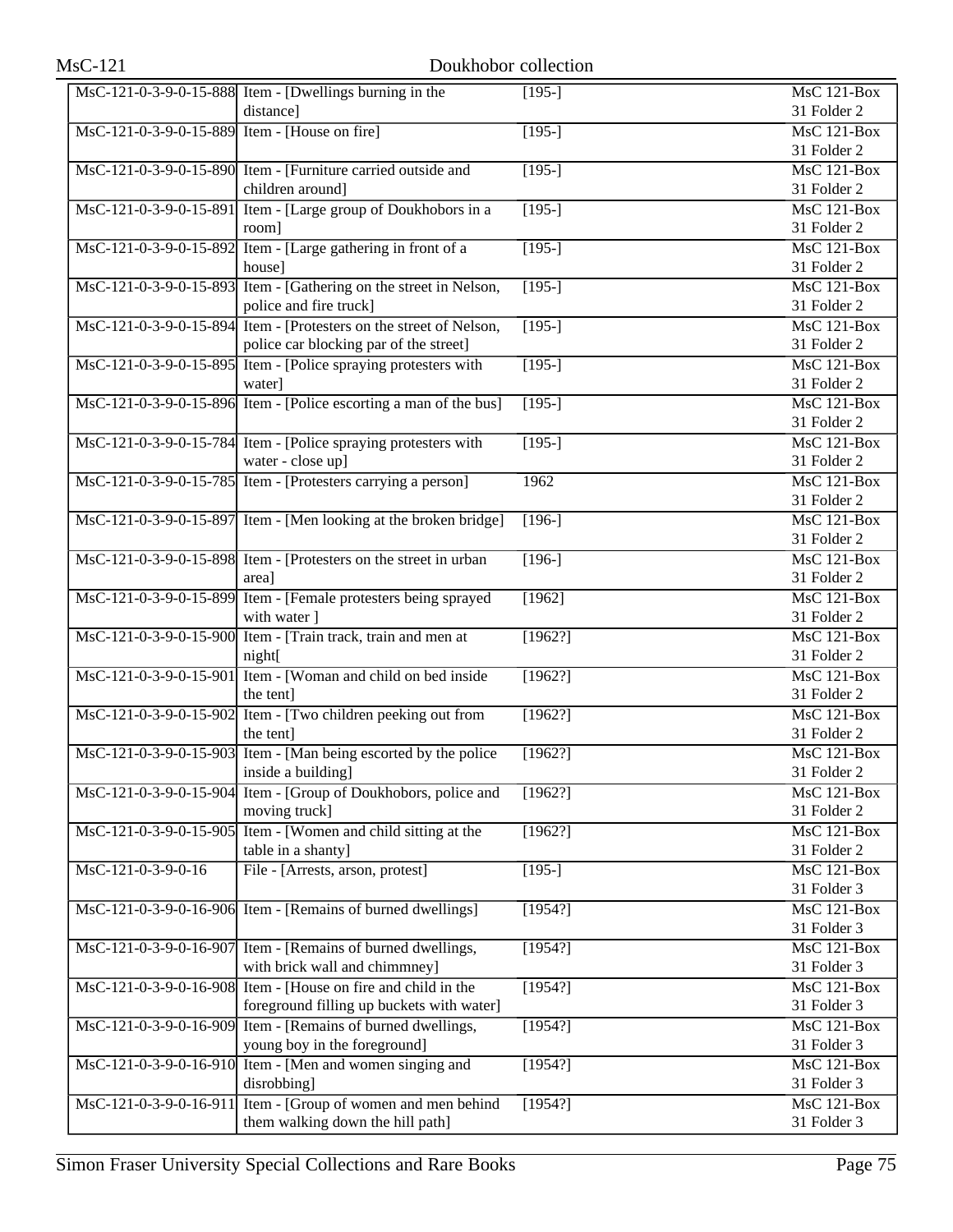|                                               | MsC-121-0-3-9-0-15-888 Item - [Dwellings burning in the            | $[195-]$            | MsC 121-Box        |
|-----------------------------------------------|--------------------------------------------------------------------|---------------------|--------------------|
|                                               | distance]                                                          |                     | 31 Folder 2        |
| MsC-121-0-3-9-0-15-889 Item - [House on fire] |                                                                    | $[195-]$            | MsC 121-Box        |
|                                               |                                                                    |                     | 31 Folder 2        |
|                                               | MsC-121-0-3-9-0-15-890 Item - [Furniture carried outside and       | $\overline{195}$    | MsC 121-Box        |
|                                               | children around]                                                   |                     | 31 Folder 2        |
| MsC-121-0-3-9-0-15-891                        | Item - [Large group of Doukhobors in a                             | $\overline{[195-]}$ | MsC 121-Box        |
|                                               | room]                                                              |                     | 31 Folder 2        |
|                                               | MsC-121-0-3-9-0-15-892 Item - [Large gathering in front of a       | $[195-]$            | $MsC$ 121-Box      |
|                                               | house]                                                             |                     | 31 Folder 2        |
|                                               | MsC-121-0-3-9-0-15-893 Item - [Gathering on the street in Nelson,  | $[195-]$            | MsC 121-Box        |
|                                               | police and fire truck]                                             |                     | 31 Folder 2        |
|                                               | MsC-121-0-3-9-0-15-894 Item - [Protesters on the street of Nelson, | $[195-]$            | MsC 121-Box        |
|                                               | police car blocking par of the street]                             |                     | 31 Folder 2        |
|                                               | MsC-121-0-3-9-0-15-895 Item - [Police spraying protesters with     | $[195-]$            | MsC 121-Box        |
|                                               | water]                                                             |                     | 31 Folder 2        |
|                                               | MsC-121-0-3-9-0-15-896 Item - [Police escorting a man of the bus]  |                     | $MsC$ 121-Box      |
|                                               |                                                                    | $[195-]$            | 31 Folder 2        |
|                                               |                                                                    |                     |                    |
|                                               | MsC-121-0-3-9-0-15-784 Item - [Police spraying protesters with     | $[195-]$            | MsC 121-Box        |
|                                               | water - close up]                                                  |                     | 31 Folder 2        |
|                                               | MsC-121-0-3-9-0-15-785 Item - [Protesters carrying a person]       | 1962                | MsC 121-Box        |
|                                               |                                                                    |                     | 31 Folder 2        |
|                                               | MsC-121-0-3-9-0-15-897 Item - [Men looking at the broken bridge]   | $\sqrt{196}$ -]     | <b>MsC 121-Box</b> |
|                                               |                                                                    |                     | 31 Folder 2        |
|                                               | MsC-121-0-3-9-0-15-898 Item - [Protesters on the street in urban   | $[196-]$            | MsC 121-Box        |
|                                               | area]                                                              |                     | 31 Folder 2        |
|                                               | MsC-121-0-3-9-0-15-899 Item - [Female protesters being sprayed     | [1962]              | MsC 121-Box        |
|                                               | with water ]                                                       |                     | 31 Folder 2        |
|                                               | MsC-121-0-3-9-0-15-900 Item - [Train track, train and men at       | [1962?]             | MsC 121-Box        |
|                                               | night[                                                             |                     | 31 Folder 2        |
|                                               | MsC-121-0-3-9-0-15-901 Item - [Woman and child on bed inside       | [1962?]             | <b>MsC 121-Box</b> |
|                                               | the tent]                                                          |                     | 31 Folder 2        |
|                                               | MsC-121-0-3-9-0-15-902 Item - [Two children peeking out from       | [1962?]             | $MsC$ 121-Box      |
|                                               | the tent]                                                          |                     | 31 Folder 2        |
|                                               | MsC-121-0-3-9-0-15-903 Item - [Man being escorted by the police    | [1962?]             | MsC 121-Box        |
|                                               | inside a building]                                                 |                     | 31 Folder 2        |
|                                               | MsC-121-0-3-9-0-15-904 Item - [Group of Doukhobors, police and     | [1962?]             | <b>MsC 121-Box</b> |
|                                               | moving truck]                                                      |                     | 31 Folder 2        |
|                                               | MsC-121-0-3-9-0-15-905 Item - [Women and child sitting at the      | [1962!]             | MsC 121-Box        |
|                                               | table in a shanty]                                                 |                     | 31 Folder 2        |
| MsC-121-0-3-9-0-16                            | File - [Arrests, arson, protest]                                   | $[195-]$            | $MsC$ 121-Box      |
|                                               |                                                                    |                     | 31 Folder 3        |
|                                               | MsC-121-0-3-9-0-16-906 Item - [Remains of burned dwellings]        | [1954?]             | MsC 121-Box        |
|                                               |                                                                    |                     | 31 Folder 3        |
|                                               | MsC-121-0-3-9-0-16-907 Item - [Remains of burned dwellings,        | [1954?]             | $MsC$ 121-Box      |
|                                               | with brick wall and chimmney]                                      |                     | 31 Folder 3        |
|                                               | MsC-121-0-3-9-0-16-908 Item - [House on fire and child in the      | [1954?]             | MsC 121-Box        |
|                                               | foreground filling up buckets with water]                          |                     | 31 Folder 3        |
|                                               | MsC-121-0-3-9-0-16-909 Item - [Remains of burned dwellings,        | [1954?]             | MsC 121-Box        |
|                                               | young boy in the foreground]                                       |                     | 31 Folder 3        |
|                                               | MsC-121-0-3-9-0-16-910 Item - [Men and women singing and           | [1954?]             | MsC 121-Box        |
|                                               |                                                                    |                     | 31 Folder 3        |
|                                               | disrobbing]                                                        |                     |                    |
| MsC-121-0-3-9-0-16-911                        | Item - [Group of women and men behind                              | [1954?]             | MsC 121-Box        |
|                                               | them walking down the hill path]                                   |                     | 31 Folder 3        |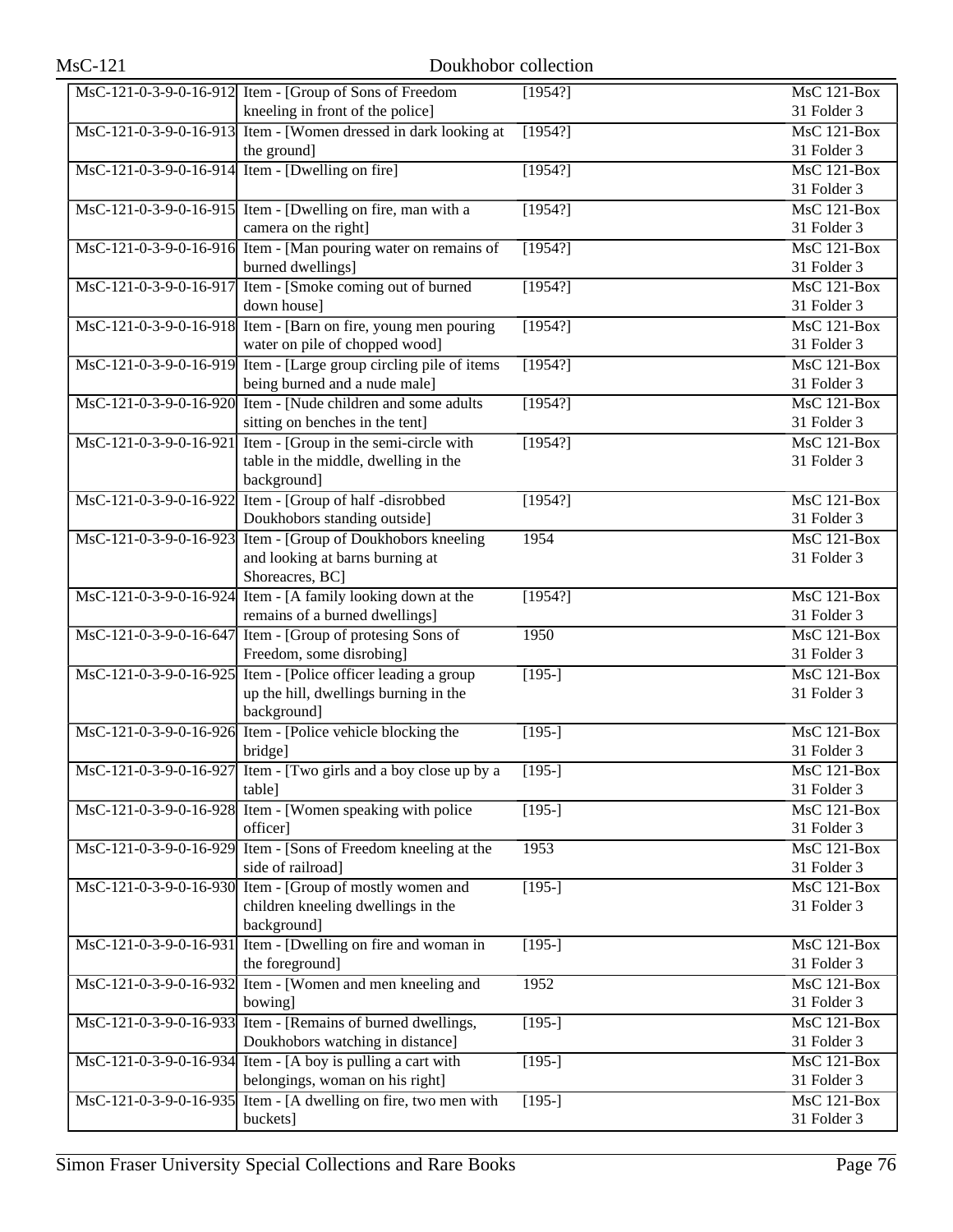|                        | MsC-121-0-3-9-0-16-912 Item - [Group of Sons of Freedom<br>kneeling in front of the police]                                  | [1954?]  | MsC 121-Box<br>31 Folder 3        |
|------------------------|------------------------------------------------------------------------------------------------------------------------------|----------|-----------------------------------|
|                        | MsC-121-0-3-9-0-16-913 Item - [Women dressed in dark looking at<br>the ground]                                               | [1954?]  | MsC 121-Box<br>31 Folder 3        |
|                        | MsC-121-0-3-9-0-16-914 Item - [Dwelling on fire]                                                                             | [1954?]  | MsC 121-Box<br>31 Folder 3        |
|                        | MsC-121-0-3-9-0-16-915 Item - [Dwelling on fire, man with a<br>camera on the right]                                          | [1954?]  | $MsC$ 121-Box<br>31 Folder 3      |
|                        | MsC-121-0-3-9-0-16-916 Item - [Man pouring water on remains of<br>burned dwellings]                                          | [1954?]  | MsC 121-Box<br>31 Folder 3        |
|                        | MsC-121-0-3-9-0-16-917 Item - [Smoke coming out of burned]<br>down house]                                                    | [1954?]  | MsC 121-Box<br>31 Folder 3        |
|                        | MsC-121-0-3-9-0-16-918 Item - [Barn on fire, young men pouring<br>water on pile of chopped wood]                             | [1954?]  | MsC 121-Box<br>31 Folder 3        |
|                        | MsC-121-0-3-9-0-16-919 Item - [Large group circling pile of items<br>being burned and a nude male]                           | [1954?]  | MsC 121-Box<br>31 Folder 3        |
|                        | MsC-121-0-3-9-0-16-920 Item - [Nude children and some adults<br>sitting on benches in the tent]                              | [1954?]  | MsC 121-Box<br>31 Folder 3        |
|                        | $\text{MsC-121-0-3-9-0-16-921}$ Item - [Group in the semi-circle with<br>table in the middle, dwelling in the<br>background] | [1954?]  | <b>MsC 121-Box</b><br>31 Folder 3 |
|                        | MsC-121-0-3-9-0-16-922 Item - [Group of half -disrobbed<br>Doukhobors standing outside]                                      | [1954?]  | MsC 121-Box<br>31 Folder 3        |
| MsC-121-0-3-9-0-16-923 | Item - [Group of Doukhobors kneeling<br>and looking at barns burning at<br>Shoreacres, BC]                                   | 1954     | MsC 121-Box<br>31 Folder 3        |
|                        | MsC-121-0-3-9-0-16-924 Item - [A family looking down at the<br>remains of a burned dwellings]                                | [1954?]  | <b>MsC 121-Box</b><br>31 Folder 3 |
| MsC-121-0-3-9-0-16-647 | Item - [Group of protesing Sons of<br>Freedom, some disrobing]                                                               | 1950     | <b>MsC 121-Box</b><br>31 Folder 3 |
|                        | MsC-121-0-3-9-0-16-925 Item - [Police officer leading a group<br>up the hill, dwellings burning in the<br>background]        | $[195-]$ | <b>MsC 121-Box</b><br>31 Folder 3 |
|                        | MsC-121-0-3-9-0-16-926 Item - [Police vehicle blocking the<br>bridge]                                                        | $[195-]$ | MsC 121-Box<br>31 Folder 3        |
|                        | MsC-121-0-3-9-0-16-927 Item - [Two girls and a boy close up by a<br>table]                                                   | $[195-]$ | MsC 121-Box<br>31 Folder 3        |
|                        | MsC-121-0-3-9-0-16-928 Item - [Women speaking with police<br>officer]                                                        | $[195-]$ | MsC 121-Box<br>31 Folder 3        |
| MsC-121-0-3-9-0-16-929 | Item - [Sons of Freedom kneeling at the<br>side of railroad]                                                                 | 1953     | <b>MsC 121-Box</b><br>31 Folder 3 |
|                        | MsC-121-0-3-9-0-16-930 Item - [Group of mostly women and<br>children kneeling dwellings in the<br>background]                | $[195-]$ | MsC 121-Box<br>31 Folder 3        |
| MsC-121-0-3-9-0-16-931 | Item - [Dwelling on fire and woman in<br>the foreground]                                                                     | $[195-]$ | MsC 121-Box<br>31 Folder 3        |
|                        | MsC-121-0-3-9-0-16-932 Item - [Women and men kneeling and<br>bowing]                                                         | 1952     | <b>MsC 121-Box</b><br>31 Folder 3 |
|                        | MsC-121-0-3-9-0-16-933 Item - [Remains of burned dwellings,<br>Doukhobors watching in distance]                              | $[195-]$ | MsC 121-Box<br>31 Folder 3        |
|                        | $\text{MsC-121-0-3-9-0-16-934}$ Item - [A boy is pulling a cart with<br>belongings, woman on his right]                      | $[195-]$ | <b>MsC 121-Box</b><br>31 Folder 3 |
|                        | $\overline{\text{MsC-121-0-3-9-0-16-935}}$ Item - [A dwelling on fire, two men with<br>buckets]                              | $[195-]$ | <b>MsC 121-Box</b><br>31 Folder 3 |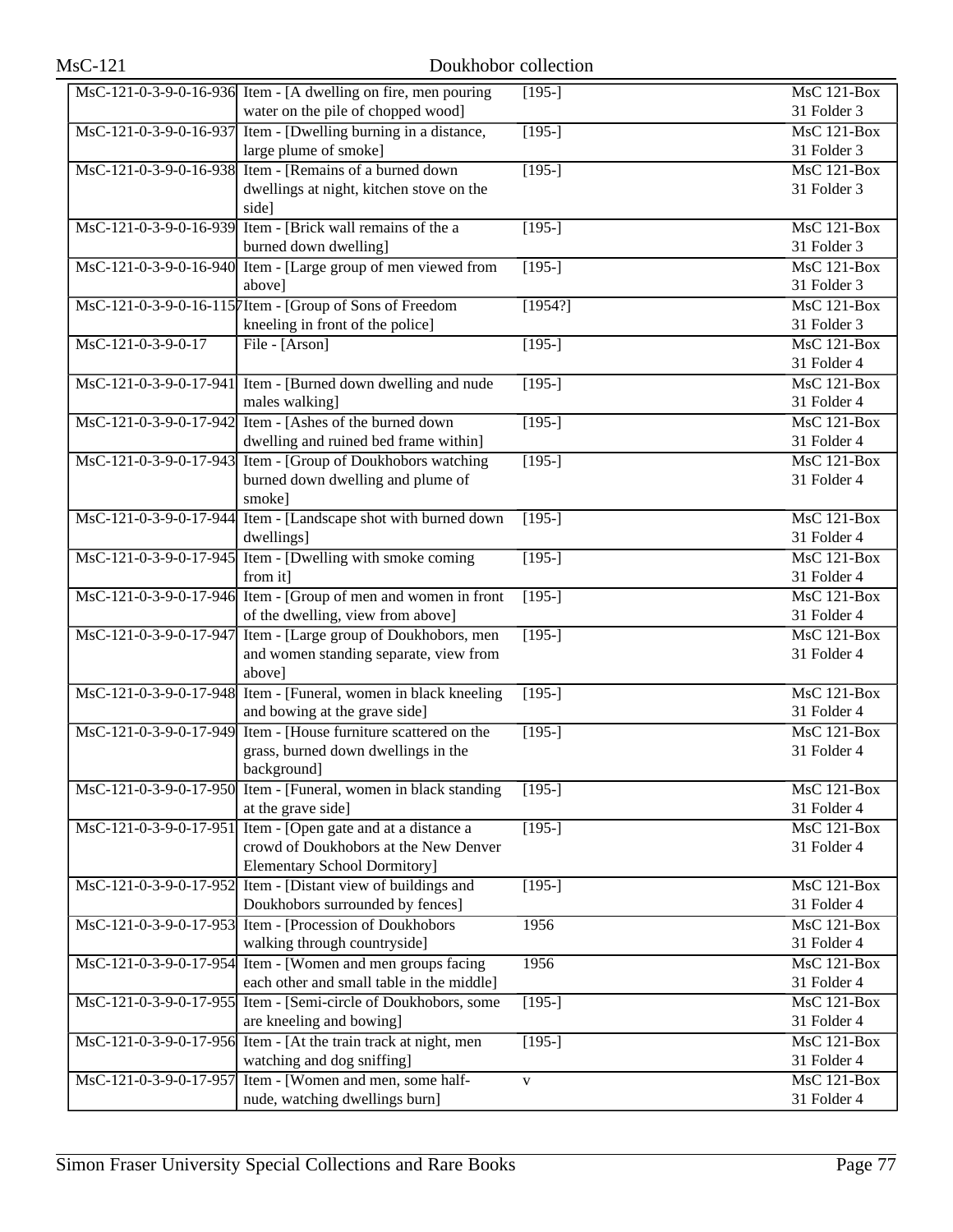| $MsC-121$              | Doukhobor collection                                                       |                    |                    |
|------------------------|----------------------------------------------------------------------------|--------------------|--------------------|
|                        | MsC-121-0-3-9-0-16-936 Item - [A dwelling on fire, men pouring             | $\overline{[195]}$ | <b>MsC 121-Box</b> |
|                        | water on the pile of chopped wood]                                         |                    | 31 Folder 3        |
|                        | MsC-121-0-3-9-0-16-937 Item - [Dwelling burning in a distance,             | $[195-]$           | <b>MsC 121-Box</b> |
|                        | large plume of smoke]                                                      |                    | 31 Folder 3        |
|                        | MsC-121-0-3-9-0-16-938 Item - [Remains of a burned down                    | $[195-]$           | <b>MsC 121-Box</b> |
|                        | dwellings at night, kitchen stove on the                                   |                    | 31 Folder 3        |
|                        | side]                                                                      |                    |                    |
| MsC-121-0-3-9-0-16-939 | Item - [Brick wall remains of the a                                        | $[195-]$           | <b>MsC 121-Box</b> |
|                        | burned down dwelling]                                                      |                    | 31 Folder 3        |
|                        | MsC-121-0-3-9-0-16-940 Item - [Large group of men viewed from              | $[195-]$           | <b>MsC 121-Box</b> |
|                        | above]                                                                     |                    | 31 Folder 3        |
|                        | MsC-121-0-3-9-0-16-1157Item - [Group of Sons of Freedom                    | [1954?]            | $MsC$ 121-Box      |
|                        | kneeling in front of the police]                                           |                    | 31 Folder 3        |
| MsC-121-0-3-9-0-17     | File - [Arson]                                                             | $[195-]$           | $MsC$ 121-Box      |
|                        |                                                                            |                    | 31 Folder 4        |
|                        | MsC-121-0-3-9-0-17-941 Item - [Burned down dwelling and nude               | $[195-]$           | MsC 121-Box        |
|                        | males walking]                                                             |                    | 31 Folder 4        |
|                        | MsC-121-0-3-9-0-17-942 Item - [Ashes of the burned down                    | $[195-]$           | <b>MsC 121-Box</b> |
|                        | dwelling and ruined bed frame within]                                      |                    | 31 Folder 4        |
| MsC-121-0-3-9-0-17-943 | Item - [Group of Doukhobors watching                                       | $[195-]$           | <b>MsC 121-Box</b> |
|                        | burned down dwelling and plume of                                          |                    | 31 Folder 4        |
|                        | smoke]                                                                     |                    |                    |
|                        | MsC-121-0-3-9-0-17-944 Item - [Landscape shot with burned down             | $[195-]$           | $MsC$ 121-Box      |
|                        | dwellings]                                                                 |                    | 31 Folder 4        |
|                        | MsC-121-0-3-9-0-17-945 Item - [Dwelling with smoke coming                  | $[195-]$           | $MsC$ 121-Box      |
|                        | from it]                                                                   |                    | 31 Folder 4        |
|                        | MsC-121-0-3-9-0-17-946 Item - [Group of men and women in front             | $[195-]$           | <b>MsC 121-Box</b> |
|                        | of the dwelling, view from above]                                          |                    | 31 Folder 4        |
| MsC-121-0-3-9-0-17-947 | Item - [Large group of Doukhobors, men                                     | $[195-]$           | <b>MsC 121-Box</b> |
|                        | and women standing separate, view from                                     |                    | 31 Folder 4        |
|                        | above]                                                                     |                    | MsC 121-Box        |
| MsC-121-0-3-9-0-17-948 | Item - [Funeral, women in black kneeling]<br>and bowing at the grave side] | $[195-]$           | 31 Folder 4        |
|                        | MsC-121-0-3-9-0-17-949 Item - [House furniture scattered on the            |                    | <b>MsC 121-Box</b> |
|                        |                                                                            | $[195-]$           |                    |
|                        | grass, burned down dwellings in the<br>background]                         |                    | 31 Folder 4        |
|                        | MsC-121-0-3-9-0-17-950 Item - [Funeral, women in black standing            | $[195-]$           | MsC 121-Box        |
|                        | at the grave side]                                                         |                    | 31 Folder 4        |
|                        | MsC-121-0-3-9-0-17-951 Item - [Open gate and at a distance a               | $[195-]$           | <b>MsC 121-Box</b> |
|                        | crowd of Doukhobors at the New Denver                                      |                    | 31 Folder 4        |
|                        | <b>Elementary School Dormitory]</b>                                        |                    |                    |
|                        | MsC-121-0-3-9-0-17-952 Item - [Distant view of buildings and               | $[195-]$           | $MsC$ 121-Box      |
|                        | Doukhobors surrounded by fences]                                           |                    | 31 Folder 4        |
|                        | MsC-121-0-3-9-0-17-953 Item - [Procession of Doukhobors]                   | 1956               | <b>MsC 121-Box</b> |
|                        | walking through countryside]                                               |                    | 31 Folder 4        |
|                        | MsC-121-0-3-9-0-17-954 Item - [Women and men groups facing                 | 1956               | <b>MsC 121-Box</b> |
|                        | each other and small table in the middle]                                  |                    | 31 Folder 4        |
| MsC-121-0-3-9-0-17-955 | Item - [Semi-circle of Doukhobors, some                                    | $[195-]$           | <b>MsC 121-Box</b> |
|                        | are kneeling and bowing]                                                   |                    | 31 Folder 4        |
| MsC-121-0-3-9-0-17-956 | Item - [At the train track at night, men                                   | $[195-]$           | <b>MsC 121-Box</b> |
|                        | watching and dog sniffing]                                                 |                    | 31 Folder 4        |
| MsC-121-0-3-9-0-17-957 | Item - [Women and men, some half-                                          | $\mathbf{V}$       | <b>MsC 121-Box</b> |
|                        | nude, watching dwellings burn]                                             |                    | 31 Folder 4        |
|                        |                                                                            |                    |                    |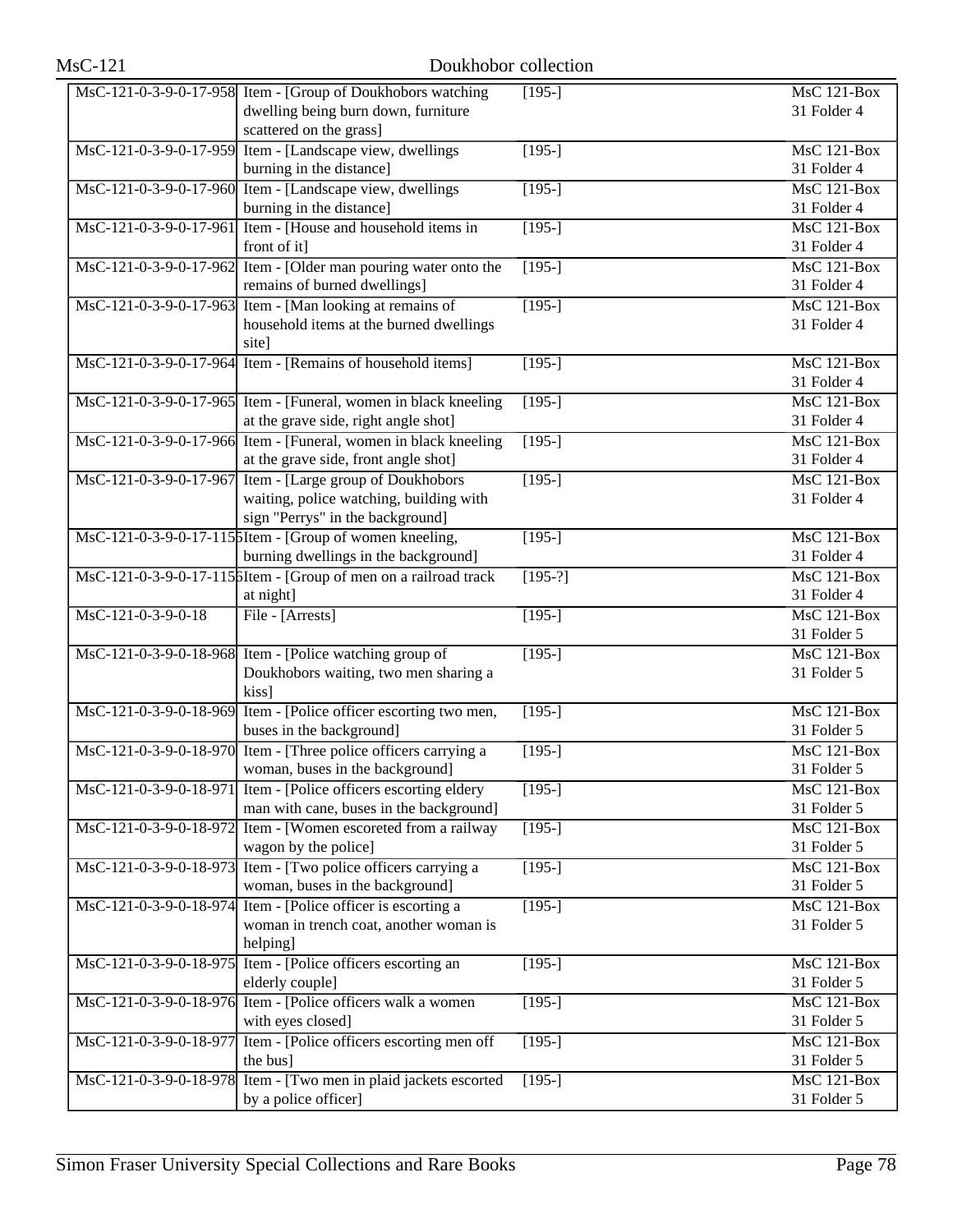| <b>MsC-121</b>         | Doukhobor collection                                                                                                          |              |                                   |
|------------------------|-------------------------------------------------------------------------------------------------------------------------------|--------------|-----------------------------------|
|                        | MsC-121-0-3-9-0-17-958 Item - [Group of Doukhobors watching<br>dwelling being burn down, furniture<br>scattered on the grass] | $[195-]$     | <b>MsC 121-Box</b><br>31 Folder 4 |
|                        | MsC-121-0-3-9-0-17-959 Item - [Landscape view, dwellings<br>burning in the distance]                                          | $[195-]$     | $MsC$ 121-Box<br>31 Folder 4      |
|                        | MsC-121-0-3-9-0-17-960 Item - [Landscape view, dwellings<br>burning in the distance]                                          | $\sqrt{195}$ | $MsC$ 121-Box<br>31 Folder 4      |
| MsC-121-0-3-9-0-17-961 | Item - [House and household items in<br>front of it]                                                                          | $[195-]$     | $MsC$ 121-Box<br>31 Folder 4      |
| MsC-121-0-3-9-0-17-962 | Item - [Older man pouring water onto the<br>remains of burned dwellings]                                                      | $[195-]$     | MsC 121-Box<br>31 Folder 4        |
| MsC-121-0-3-9-0-17-963 | Item - [Man looking at remains of<br>household items at the burned dwellings<br>site]                                         | $[195-]$     | <b>MsC 121-Box</b><br>31 Folder 4 |
|                        | MsC-121-0-3-9-0-17-964 Item - [Remains of household items]                                                                    | $[195-]$     | <b>MsC 121-Box</b><br>31 Folder 4 |
|                        | MsC-121-0-3-9-0-17-965 Item - [Funeral, women in black kneeling<br>at the grave side, right angle shot]                       | $[195-]$     | $MsC$ 121-Box<br>31 Folder 4      |
|                        | MsC-121-0-3-9-0-17-966 Item - [Funeral, women in black kneeling<br>at the grave side, front angle shot]                       | $[195-]$     | $MsC$ 121-Box<br>31 Folder 4      |
| MsC-121-0-3-9-0-17-967 | Item - [Large group of Doukhobors]<br>waiting, police watching, building with<br>sign "Perrys" in the background]             | $[195-]$     | $MsC$ 121-Box<br>31 Folder 4      |
|                        | MsC-121-0-3-9-0-17-115 SItem - [Group of women kneeling,<br>burning dwellings in the background]                              | $[195-]$     | $MsC$ 121-Box<br>31 Folder 4      |
|                        | MsC-121-0-3-9-0-17-1156Item - [Group of men on a railroad track<br>at night]                                                  | $[195-?]$    | $MsC$ 121-Box<br>31 Folder 4      |
| MsC-121-0-3-9-0-18     | File - [Arrests]                                                                                                              | $[195-]$     | <b>MsC 121-Box</b><br>31 Folder 5 |
|                        | MsC-121-0-3-9-0-18-968 Item - [Police watching group of<br>Doukhobors waiting, two men sharing a<br>kiss]                     | $[195-]$     | $MsC$ 121-Box<br>31 Folder 5      |
| MsC-121-0-3-9-0-18-969 | Item - [Police officer escorting two men,<br>buses in the background]                                                         | $[195-]$     | MsC 121-Box<br>31 Folder 5        |
|                        | MsC-121-0-3-9-0-18-970 Item - [Three police officers carrying a<br>woman, buses in the background]                            | $[195-]$     | $MsC$ 121-Box<br>31 Folder 5      |
| MsC-121-0-3-9-0-18-971 | Item - [Police officers escorting eldery<br>man with cane, buses in the background]                                           | $[195-]$     | MsC 121-Box<br>31 Folder 5        |
|                        | MsC-121-0-3-9-0-18-972 Item - [Women escoreted from a railway<br>wagon by the police]                                         | $[195-]$     | <b>MsC 121-Box</b><br>31 Folder 5 |
|                        | MsC-121-0-3-9-0-18-973 Item - [Two police officers carrying a<br>woman, buses in the background]                              | $[195-]$     | $MsC$ 121-Box<br>31 Folder 5      |
|                        | MsC-121-0-3-9-0-18-974 Item - [Police officer is escorting a<br>woman in trench coat, another woman is<br>helping]            | $[195-]$     | <b>MsC 121-Box</b><br>31 Folder 5 |
| MsC-121-0-3-9-0-18-975 | Item - [Police officers escorting an<br>elderly couple]                                                                       | $[195-]$     | MsC 121-Box<br>31 Folder 5        |
| MsC-121-0-3-9-0-18-976 | Item - [Police officers walk a women<br>with eyes closed]                                                                     | $[195-]$     | MsC 121-Box<br>31 Folder 5        |
| MsC-121-0-3-9-0-18-977 | Item - [Police officers escorting men off<br>the bus]                                                                         | $[195-]$     | MsC 121-Box<br>31 Folder 5        |
| MsC-121-0-3-9-0-18-978 | Item - [Two men in plaid jackets escorted<br>by a police officer]                                                             | $[195-]$     | <b>MsC 121-Box</b><br>31 Folder 5 |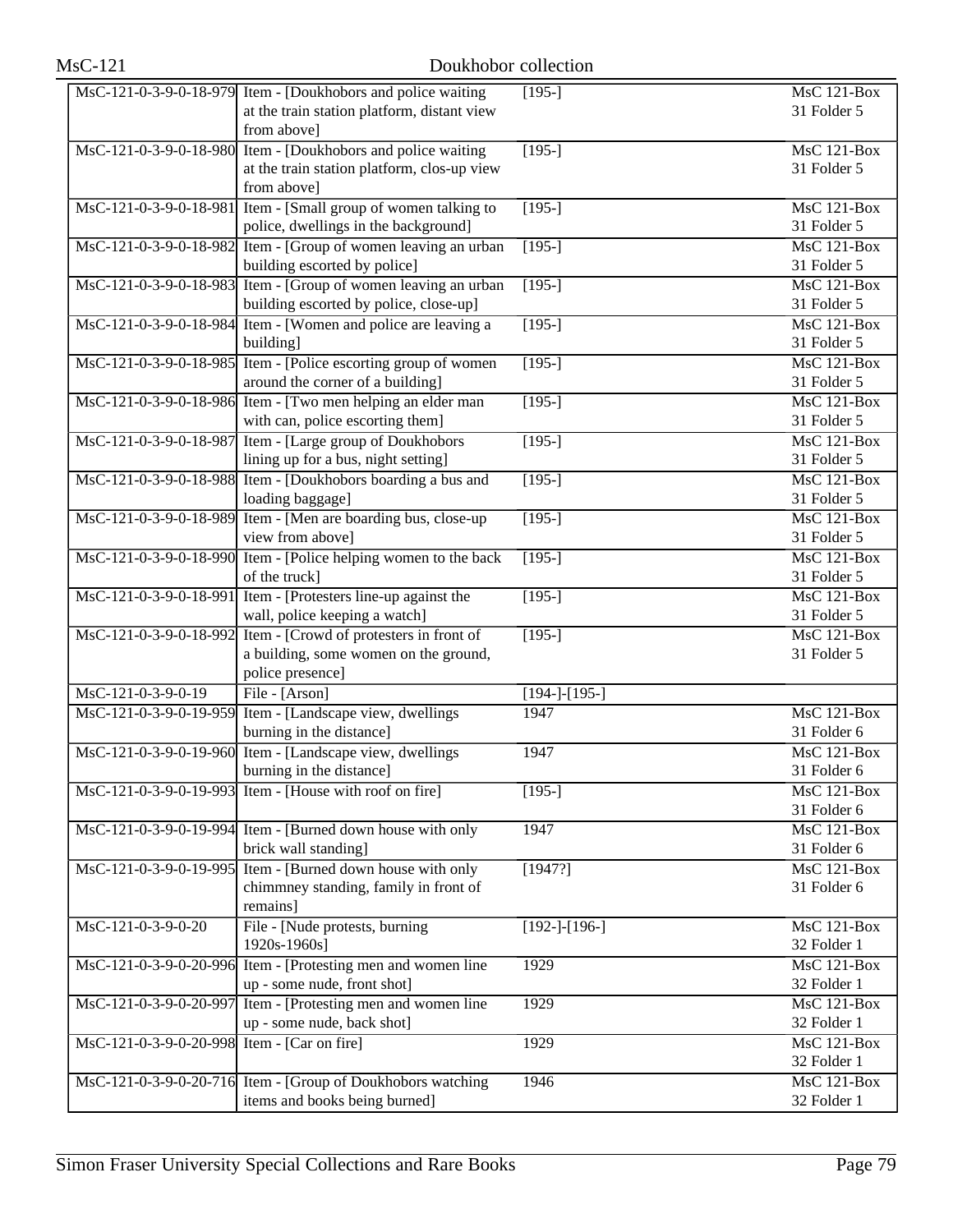| <b>MsC-121</b>         | Doukhobor collection                                                                                                       |                 |                                                |
|------------------------|----------------------------------------------------------------------------------------------------------------------------|-----------------|------------------------------------------------|
|                        | MsC-121-0-3-9-0-18-979 Item - [Doukhobors and police waiting<br>at the train station platform, distant view<br>from above] | $[195-]$        | MsC 121-Box<br>31 Folder 5                     |
|                        | MsC-121-0-3-9-0-18-980 Item - [Doukhobors and police waiting<br>at the train station platform, clos-up view<br>from above] | $[195-]$        | MsC 121-Box<br>31 Folder 5                     |
| MsC-121-0-3-9-0-18-981 | Item - [Small group of women talking to<br>police, dwellings in the background]                                            | $[195-]$        | MsC 121-Box<br>31 Folder 5                     |
| MsC-121-0-3-9-0-18-982 | Item - [Group of women leaving an urban<br>building escorted by police]                                                    | $[195-]$        | <b>MsC 121-Box</b><br>31 Folder 5              |
| MsC-121-0-3-9-0-18-983 | Item - [Group of women leaving an urban<br>building escorted by police, close-up]                                          | $[195-]$        | $MsC$ 121-Box<br>31 Folder 5                   |
|                        | MsC-121-0-3-9-0-18-984 Item - [Women and police are leaving a<br>building]                                                 | $[195-]$        | $MsC$ 121-Box<br>31 Folder 5                   |
|                        | MsC-121-0-3-9-0-18-985 Item - [Police escorting group of women<br>around the corner of a building]                         | $[195-]$        | <b>MsC 121-Box</b><br>31 Folder 5              |
|                        | MsC-121-0-3-9-0-18-986 Item - [Two men helping an elder man<br>with can, police escorting them]                            | $[195-]$        | MsC 121-Box<br>31 Folder 5                     |
| MsC-121-0-3-9-0-18-987 | Item - [Large group of Doukhobors]<br>lining up for a bus, night setting]                                                  | $[195-]$        | $MsC$ 121-Box<br>31 Folder 5                   |
|                        | MsC-121-0-3-9-0-18-988 Item - [Doukhobors boarding a bus and<br>loading baggage]                                           | $[195-]$        | $MsC$ 121-Box<br>31 Folder 5                   |
| MsC-121-0-3-9-0-18-989 | Item - [Men are boarding bus, close-up<br>view from above]                                                                 | $[195-]$        | $MsC$ 121-Box<br>31 Folder 5                   |
|                        | MsC-121-0-3-9-0-18-990 Item - [Police helping women to the back<br>of the truck]                                           | $[195-]$        | $\overline{\text{MsC 121-Box}}$<br>31 Folder 5 |
| MsC-121-0-3-9-0-18-991 | Item - [Protesters line-up against the<br>wall, police keeping a watch]                                                    | $[195-]$        | <b>MsC 121-Box</b><br>31 Folder 5              |
| MsC-121-0-3-9-0-18-992 | Item - [Crowd of protesters in front of<br>a building, some women on the ground,<br>police presence]                       | $[195-]$        | $MsC$ 121-Box<br>31 Folder 5                   |
| MsC-121-0-3-9-0-19     | File - [Arson]                                                                                                             | $[194-]-[195-]$ |                                                |
| MsC-121-0-3-9-0-19-959 | Item - [Landscape view, dwellings<br>burning in the distance]                                                              | 1947            | MsC 121-Box<br>31 Folder 6                     |
|                        | MsC-121-0-3-9-0-19-960 Item - [Landscape view, dwellings<br>burning in the distance]                                       | 1947            | MsC 121-Box<br>31 Folder 6                     |
| MsC-121-0-3-9-0-19-993 | Item - [House with roof on fire]                                                                                           | $[195-]$        | <b>MsC 121-Box</b><br>31 Folder 6              |
|                        | MsC-121-0-3-9-0-19-994 Item - [Burned down house with only<br>brick wall standing]                                         | 1947            | <b>MsC 121-Box</b><br>31 Folder 6              |
| MsC-121-0-3-9-0-19-995 | Item - [Burned down house with only<br>chimmney standing, family in front of<br>remains]                                   | [1947?]         | <b>MsC 121-Box</b><br>31 Folder 6              |
| MsC-121-0-3-9-0-20     | File - [Nude protests, burning<br>1920s-1960s]                                                                             | $[192-]-[196-]$ | MsC 121-Box<br>32 Folder 1                     |
| MsC-121-0-3-9-0-20-996 | Item - [Protesting men and women line<br>up - some nude, front shot]                                                       | 1929            | <b>MsC 121-Box</b><br>32 Folder 1              |
| MsC-121-0-3-9-0-20-997 | Item - [Protesting men and women line<br>up - some nude, back shot]                                                        | 1929            | MsC 121-Box<br>32 Folder 1                     |
| MsC-121-0-3-9-0-20-998 | Item - [Car on fire]                                                                                                       | 1929            | MsC 121-Box<br>32 Folder 1                     |
|                        | MsC-121-0-3-9-0-20-716 Item - [Group of Doukhobors watching<br>items and books being burned]                               | 1946            | <b>MsC 121-Box</b><br>32 Folder 1              |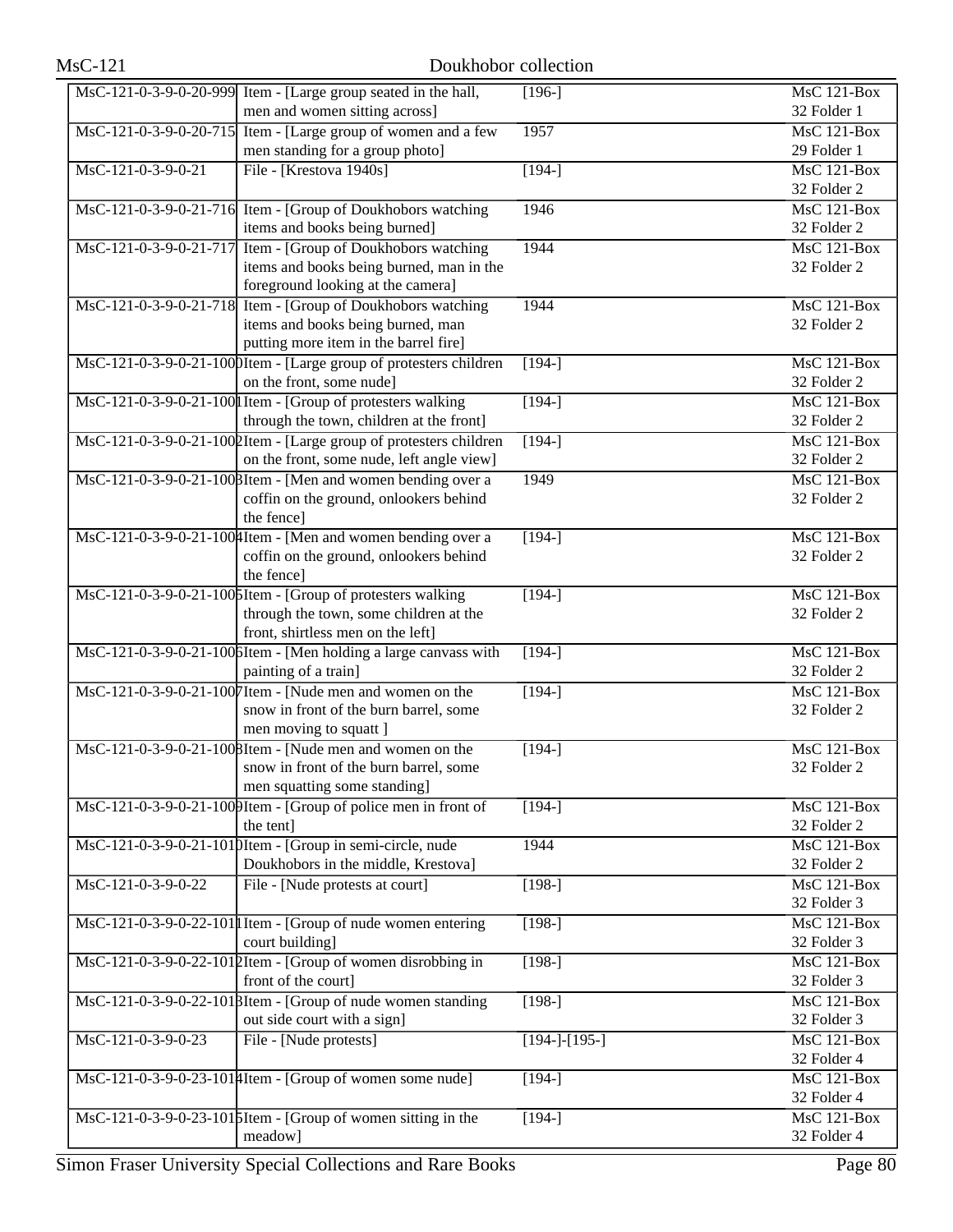| $MsC-121$              | Doukhobor collection                                                                                                                      |                 |                                                |
|------------------------|-------------------------------------------------------------------------------------------------------------------------------------------|-----------------|------------------------------------------------|
|                        | MsC-121-0-3-9-0-20-999 Item - [Large group seated in the hall,<br>men and women sitting across]                                           | $[196-]$        | $MsC$ 121-Box<br>32 Folder 1                   |
|                        | MsC-121-0-3-9-0-20-715 Item - [Large group of women and a few<br>men standing for a group photo]                                          | 1957            | MsC 121-Box<br>29 Folder 1                     |
| MsC-121-0-3-9-0-21     | File - [Krestova 1940s]                                                                                                                   | $[194-]$        | MsC 121-Box<br>32 Folder 2                     |
|                        | MsC-121-0-3-9-0-21-716 Item - [Group of Doukhobors watching<br>items and books being burned]                                              | 1946            | <b>MsC 121-Box</b><br>32 Folder 2              |
| MsC-121-0-3-9-0-21-717 | Item - [Group of Doukhobors watching<br>items and books being burned, man in the<br>foreground looking at the camera]                     | 1944            | <b>MsC 121-Box</b><br>32 Folder 2              |
|                        | MsC-121-0-3-9-0-21-718 Item - [Group of Doukhobors watching<br>items and books being burned, man<br>putting more item in the barrel fire] | 1944            | $MsC$ 121-Box<br>32 Folder 2                   |
|                        | MsC-121-0-3-9-0-21-1000Item - [Large group of protesters children<br>on the front, some nude]                                             | $[194-]$        | $MsC$ 121-Box<br>32 Folder 2                   |
|                        | MsC-121-0-3-9-0-21-100 I Item - [Group of protesters walking<br>through the town, children at the front]                                  | $[194-]$        | <b>MsC 121-Box</b><br>32 Folder 2              |
|                        | MsC-121-0-3-9-0-21-1002Item - [Large group of protesters children<br>on the front, some nude, left angle view]                            | $\sqrt{194}$ -] | <b>MsC 121-Box</b><br>32 Folder 2              |
|                        | MsC-121-0-3-9-0-21-1008Item - [Men and women bending over a<br>coffin on the ground, onlookers behind<br>the fence]                       | 1949            | <b>MsC 121-Box</b><br>32 Folder 2              |
|                        | MsC-121-0-3-9-0-21-100 Htem - [Men and women bending over a<br>coffin on the ground, onlookers behind<br>the fence]                       | $[194-]$        | $MsC$ 121-Box<br>32 Folder 2                   |
|                        | MsC-121-0-3-9-0-21-1005Item - [Group of protesters walking<br>through the town, some children at the<br>front, shirtless men on the left] | $[194-]$        | $MsC$ 121-Box<br>32 Folder 2                   |
|                        | MsC-121-0-3-9-0-21-1006Item - [Men holding a large canvass with<br>painting of a train]                                                   | $[194-]$        | <b>MsC 121-Box</b><br>32 Folder 2              |
|                        | MsC-121-0-3-9-0-21-1007Item - [Nude men and women on the<br>snow in front of the burn barrel, some<br>men moving to squatt ]              | $[194-]$        | <b>MsC 121-Box</b><br>32 Folder 2              |
|                        | MsC-121-0-3-9-0-21-1008Item - [Nude men and women on the<br>snow in front of the burn barrel, some<br>men squatting some standing]        | $[194-]$        | $\overline{\text{MsC}}$ 121-Box<br>32 Folder 2 |
|                        | MsC-121-0-3-9-0-21-1000 Item - [Group of police men in front of<br>the tent]                                                              | $[194-]$        | <b>MsC 121-Box</b><br>32 Folder 2              |
|                        | MsC-121-0-3-9-0-21-1010Item - [Group in semi-circle, nude<br>Doukhobors in the middle, Krestova]                                          | 1944            | <b>MsC 121-Box</b><br>32 Folder 2              |
| MsC-121-0-3-9-0-22     | File - [Nude protests at court]                                                                                                           | $[198-]$        | <b>MsC 121-Box</b><br>32 Folder 3              |
|                        | $\text{MsC-121-0-3-9-0-22-101}$ Item - [Group of nude women entering<br>court building]                                                   | $[198-]$        | $MsC$ 121-Box<br>32 Folder 3                   |
|                        | MsC-121-0-3-9-0-22-1012Item - [Group of women disrobbing in<br>front of the court]                                                        | $[198-]$        | <b>MsC 121-Box</b><br>32 Folder 3              |
|                        | MsC-121-0-3-9-0-22-1018Item - [Group of nude women standing<br>out side court with a sign]                                                | $\sqrt{198}$    | <b>MsC 121-Box</b><br>32 Folder 3              |
| MsC-121-0-3-9-0-23     | File - [Nude protests]                                                                                                                    | $[194-]-[195-]$ | MsC 121-Box<br>32 Folder 4                     |
|                        | MsC-121-0-3-9-0-23-1014 Item - [Group of women some nude]                                                                                 | $[194-]$        | MsC 121-Box<br>32 Folder 4                     |
|                        | $\text{MsC-121-0-3-9-0-23-101}$ [Hem - [Group of women sitting in the<br>meadow]                                                          | $[194-]$        | <b>MsC 121-Box</b><br>32 Folder 4              |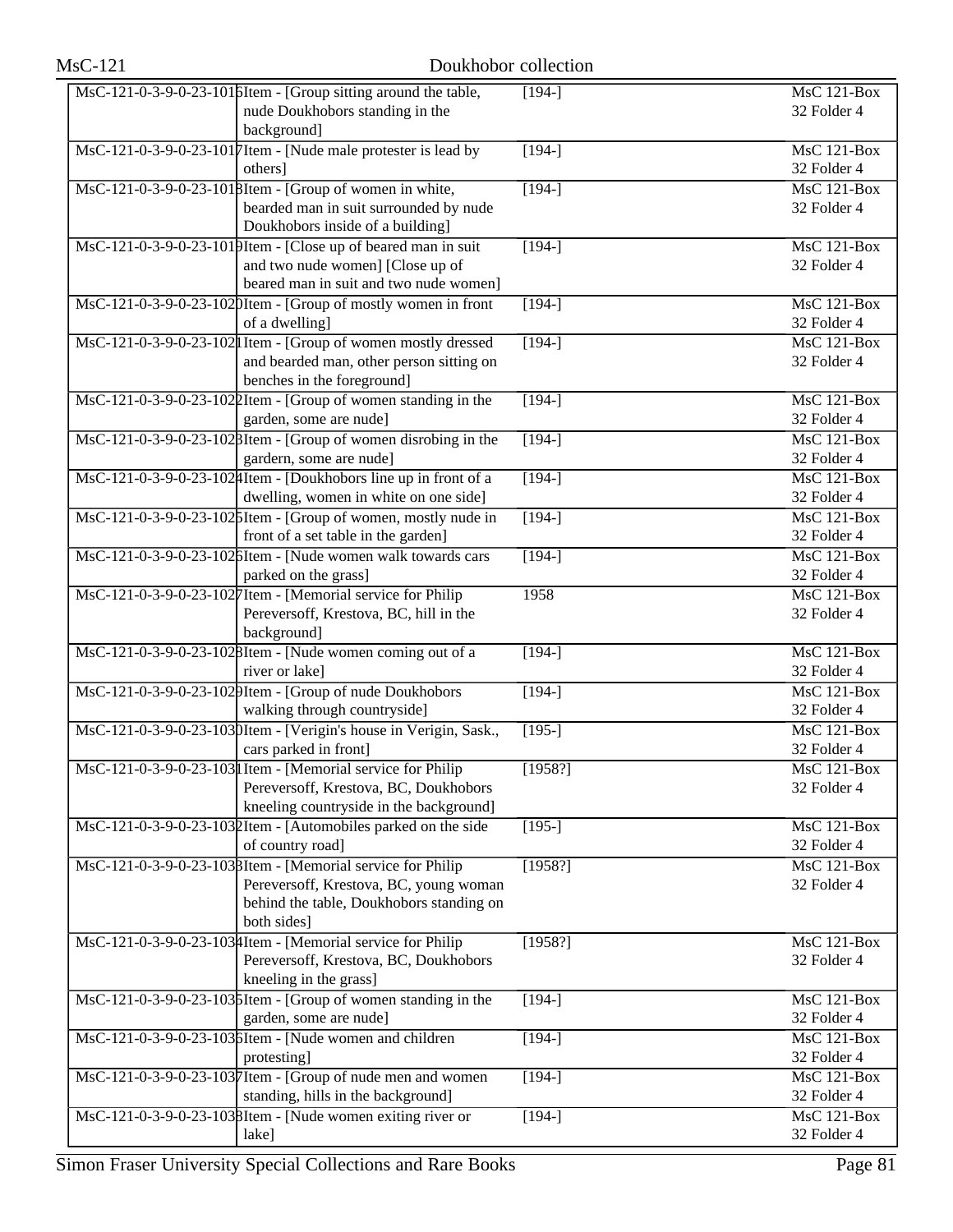| $MsC-121$ | Doukhobor collection                                                                                                                                            |                |                                   |
|-----------|-----------------------------------------------------------------------------------------------------------------------------------------------------------------|----------------|-----------------------------------|
|           | MsC-121-0-3-9-0-23-1016Item - [Group sitting around the table,<br>nude Doukhobors standing in the<br>background]                                                | $[194-]$       | <b>MsC 121-Box</b><br>32 Folder 4 |
|           | MsC-121-0-3-9-0-23-1017 Item - [Nude male protester is lead by<br>others]                                                                                       | $[194-]$       | MsC 121-Box<br>32 Folder 4        |
|           | MsC-121-0-3-9-0-23-1018Item - [Group of women in white,<br>bearded man in suit surrounded by nude<br>Doukhobors inside of a building]                           | $[194-]$       | <b>MsC 121-Box</b><br>32 Folder 4 |
|           | MsC-121-0-3-9-0-23-1019Item - [Close up of beared man in suit<br>and two nude women] [Close up of<br>beared man in suit and two nude women]                     | $[194-]$       | MsC 121-Box<br>32 Folder 4        |
|           | MsC-121-0-3-9-0-23-1020Item - [Group of mostly women in front<br>of a dwelling]                                                                                 | $[194-]$       | MsC 121-Box<br>32 Folder 4        |
|           | MsC-121-0-3-9-0-23-102 I Item - [Group of women mostly dressed<br>and bearded man, other person sitting on<br>benches in the foreground]                        | $[194-]$       | <b>MsC 121-Box</b><br>32 Folder 4 |
|           | MsC-121-0-3-9-0-23-1022Item - [Group of women standing in the<br>garden, some are nude]                                                                         | $\sqrt{194-1}$ | <b>MsC 121-Box</b><br>32 Folder 4 |
|           | MsC-121-0-3-9-0-23-1028Item - [Group of women disrobing in the<br>gardern, some are nude]                                                                       | $[194-]$       | <b>MsC 121-Box</b><br>32 Folder 4 |
|           | MsC-121-0-3-9-0-23-1024Item - [Doukhobors line up in front of a<br>dwelling, women in white on one side]                                                        | $[194-]$       | $MsC$ 121-Box<br>32 Folder 4      |
|           | MsC-121-0-3-9-0-23-1025Item - [Group of women, mostly nude in<br>front of a set table in the garden]                                                            | $[194-]$       | MsC 121-Box<br>32 Folder 4        |
|           | MsC-121-0-3-9-0-23-1026Item - [Nude women walk towards cars<br>parked on the grass]                                                                             | $[194-]$       | $MsC$ 121-Box<br>32 Folder 4      |
|           | MsC-121-0-3-9-0-23-1027Item - [Memorial service for Philip<br>Pereversoff, Krestova, BC, hill in the<br>background]                                             | 1958           | $MsC$ 121-Box<br>32 Folder 4      |
|           | MsC-121-0-3-9-0-23-1028Item - [Nude women coming out of a<br>river or lake]                                                                                     | $[194-]$       | <b>MsC 121-Box</b><br>32 Folder 4 |
|           | MsC-121-0-3-9-0-23-1029Item - [Group of nude Doukhobors<br>walking through countryside]                                                                         | $[194-]$       | MsC 121-Box<br>32 Folder 4        |
|           | MsC-121-0-3-9-0-23-1030Item - [Verigin's house in Verigin, Sask.,<br>cars parked in front]                                                                      | $[195-]$       | MsC 121-Box<br>32 Folder 4        |
|           | MsC-121-0-3-9-0-23-103 I Item - [Memorial service for Philip<br>Pereversoff, Krestova, BC, Doukhobors<br>kneeling countryside in the background]                | [1958?]        | <b>MsC 121-Box</b><br>32 Folder 4 |
|           | MsC-121-0-3-9-0-23-1032Item - [Automobiles parked on the side<br>of country road]                                                                               | $[195-]$       | MsC 121-Box<br>32 Folder 4        |
|           | MsC-121-0-3-9-0-23-1038Item - [Memorial service for Philip<br>Pereversoff, Krestova, BC, young woman<br>behind the table, Doukhobors standing on<br>both sides] | [1958?]        | <b>MsC 121-Box</b><br>32 Folder 4 |
|           | MsC-121-0-3-9-0-23-1034Item - [Memorial service for Philip<br>Pereversoff, Krestova, BC, Doukhobors<br>kneeling in the grass]                                   | [1958?]        | $MsC$ 121-Box<br>32 Folder 4      |
|           | MsC-121-0-3-9-0-23-1036Item - [Group of women standing in the<br>garden, some are nude]                                                                         | $[194-]$       | <b>MsC 121-Box</b><br>32 Folder 4 |
|           | MsC-121-0-3-9-0-23-1036Item - [Nude women and children]<br>protesting]                                                                                          | $[194-]$       | MsC 121-Box<br>32 Folder 4        |
|           | MsC-121-0-3-9-0-23-1037Item - [Group of nude men and women<br>standing, hills in the background]                                                                | $[194-]$       | MsC 121-Box<br>32 Folder 4        |
|           | MsC-121-0-3-9-0-23-1038Item - [Nude women exiting river or<br>lake]                                                                                             | $[194-]$       | MsC 121-Box<br>32 Folder 4        |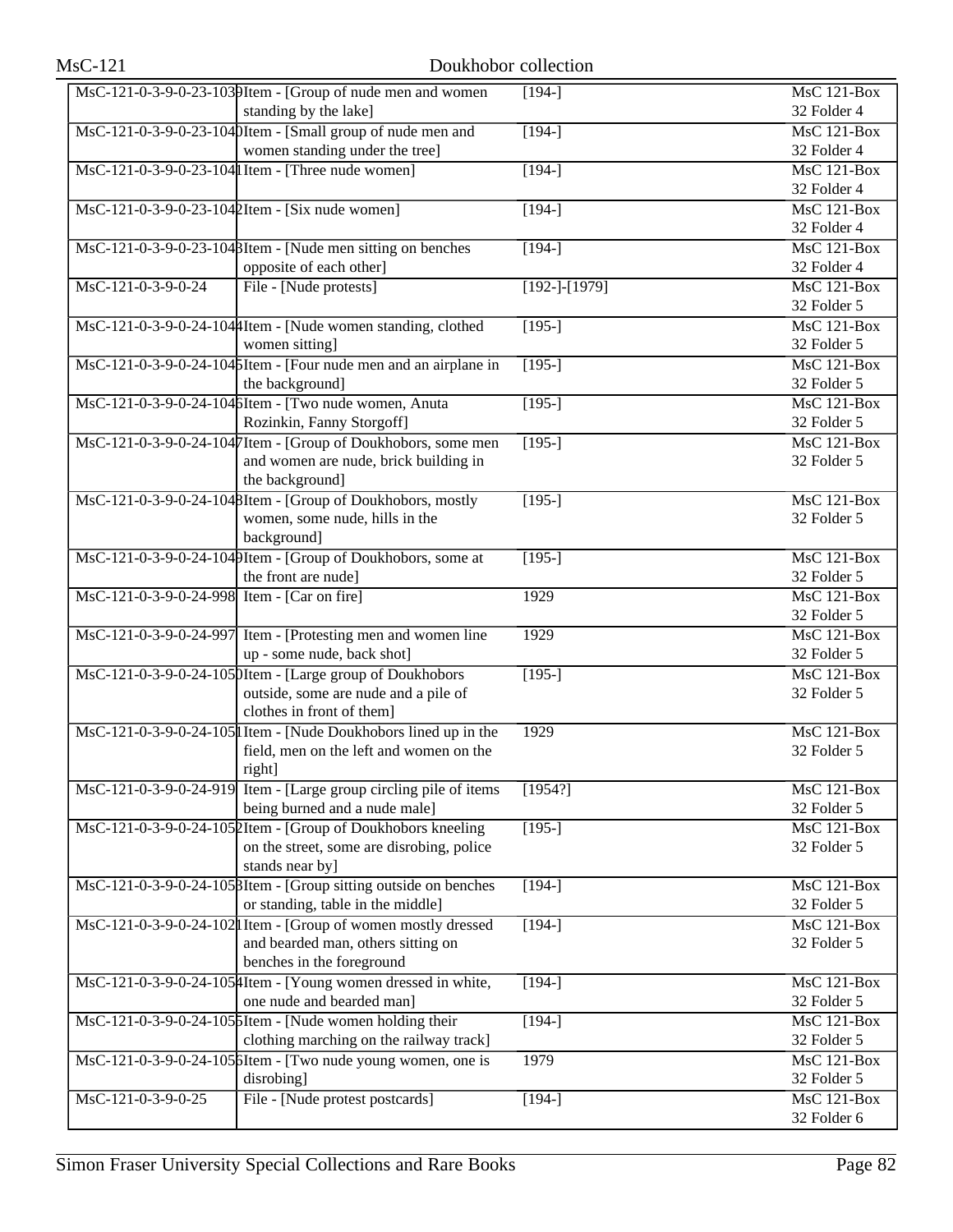|                                             | MsC-121-0-3-9-0-23-1039Item - [Group of nude men and women]<br>standing by the lake]                 | $[194-]$         | <b>MsC 121-Box</b><br>32 Folder 4 |
|---------------------------------------------|------------------------------------------------------------------------------------------------------|------------------|-----------------------------------|
|                                             | MsC-121-0-3-9-0-23-1040Item - [Small group of nude men and                                           | $[194-]$         | <b>MsC 121-Box</b>                |
|                                             | women standing under the tree]                                                                       |                  | 32 Folder 4                       |
|                                             | MsC-121-0-3-9-0-23-104 Item - [Three nude women]                                                     | $[194-]$         | <b>MsC 121-Box</b>                |
|                                             |                                                                                                      |                  | 32 Folder 4                       |
|                                             | MsC-121-0-3-9-0-23-1042Item - [Six nude women]                                                       | $\sqrt{194}$     | $\overline{\text{MsC}}$ 121-Box   |
|                                             |                                                                                                      |                  | 32 Folder 4                       |
|                                             | MsC-121-0-3-9-0-23-1048Item - [Nude men sitting on benches                                           | $[194-]$         | MsC 121-Box                       |
|                                             | opposite of each other]                                                                              |                  | 32 Folder 4                       |
| MsC-121-0-3-9-0-24                          | File - [Nude protests]                                                                               | $[192-]-[1979]$  | $MsC$ 121-Box<br>32 Folder 5      |
|                                             | MsC-121-0-3-9-0-24-104 [Item - [Nude women standing, clothed                                         | $[195-]$         | <b>MsC 121-Box</b>                |
|                                             | women sitting]                                                                                       |                  | 32 Folder 5                       |
|                                             | MsC-121-0-3-9-0-24-1045Item - [Four nude men and an airplane in                                      | $[195-]$         | <b>MsC 121-Box</b>                |
|                                             | the background]                                                                                      |                  | 32 Folder 5                       |
|                                             | MsC-121-0-3-9-0-24-104 SItem - [Two nude women, Anuta]                                               | $\overline{195}$ | $MsC$ 121-Box                     |
|                                             | Rozinkin, Fanny Storgoff]                                                                            |                  | 32 Folder 5                       |
|                                             | MsC-121-0-3-9-0-24-1047Item - [Group of Doukhobors, some men                                         | $[195-]$         | <b>MsC 121-Box</b>                |
|                                             | and women are nude, brick building in                                                                |                  | 32 Folder 5                       |
|                                             | the background]                                                                                      |                  |                                   |
|                                             | MsC-121-0-3-9-0-24-1048Item - [Group of Doukhobors, mostly                                           | $[195-]$         | <b>MsC 121-Box</b>                |
|                                             | women, some nude, hills in the                                                                       |                  | 32 Folder 5                       |
|                                             | background]                                                                                          |                  |                                   |
|                                             | MsC-121-0-3-9-0-24-1049Item - [Group of Doukhobors, some at                                          | $[195-]$         | MsC 121-Box                       |
|                                             | the front are nude]                                                                                  |                  | 32 Folder 5                       |
| MsC-121-0-3-9-0-24-998 Item - [Car on fire] |                                                                                                      | 1929             | <b>MsC 121-Box</b>                |
|                                             |                                                                                                      |                  | 32 Folder 5                       |
|                                             | MsC-121-0-3-9-0-24-997 Item - [Protesting men and women line<br>up - some nude, back shot]           | 1929             | MsC 121-Box<br>32 Folder 5        |
|                                             | MsC-121-0-3-9-0-24-1050Item - [Large group of Doukhobors                                             | $[195-]$         | <b>MsC 121-Box</b>                |
|                                             | outside, some are nude and a pile of                                                                 |                  | 32 Folder 5                       |
|                                             | clothes in front of them]                                                                            |                  |                                   |
|                                             | MsC-121-0-3-9-0-24-105 I Item - [Nude Doukhobors lined up in the                                     | 1929             | <b>MsC 121-Box</b>                |
|                                             | field, men on the left and women on the                                                              |                  | 32 Folder 5                       |
|                                             | right]                                                                                               |                  |                                   |
|                                             | MsC-121-0-3-9-0-24-919 Item - [Large group circling pile of items                                    | [1954?]          | MsC 121-Box                       |
|                                             | being burned and a nude male]                                                                        |                  | 32 Folder 5                       |
|                                             | MsC-121-0-3-9-0-24-1052Item - [Group of Doukhobors kneeling                                          | $[195-]$         | <b>MsC 121-Box</b>                |
|                                             | on the street, some are disrobing, police                                                            |                  | 32 Folder 5                       |
|                                             | stands near by]                                                                                      |                  |                                   |
|                                             | MsC-121-0-3-9-0-24-1058Item - [Group sitting outside on benches                                      | $[194-]$         | MsC 121-Box                       |
|                                             | or standing, table in the middle]                                                                    |                  | 32 Folder 5<br>$MsC$ 121-Box      |
|                                             | MsC-121-0-3-9-0-24-102 I Item - [Group of women mostly dressed<br>and bearded man, others sitting on | $[194-]$         | 32 Folder 5                       |
|                                             | benches in the foreground                                                                            |                  |                                   |
|                                             | MsC-121-0-3-9-0-24-1054Item - [Young women dressed in white,                                         | $[194-]$         | MsC 121-Box                       |
|                                             | one nude and bearded man]                                                                            |                  | 32 Folder 5                       |
|                                             | MsC-121-0-3-9-0-24-105 SItem - [Nude women holding their                                             | $\sqrt{194}$     | $\overline{\text{MsC}}$ 121-Box   |
|                                             | clothing marching on the railway track]                                                              |                  | 32 Folder 5                       |
|                                             | MsC-121-0-3-9-0-24-105 bItem - [Two nude young women, one is                                         | 1979             | MsC 121-Box                       |
|                                             | disrobing]                                                                                           |                  | 32 Folder 5                       |
| MsC-121-0-3-9-0-25                          | File - [Nude protest postcards]                                                                      | $[194-]$         | <b>MsC 121-Box</b>                |
|                                             |                                                                                                      |                  | 32 Folder 6                       |
|                                             |                                                                                                      |                  |                                   |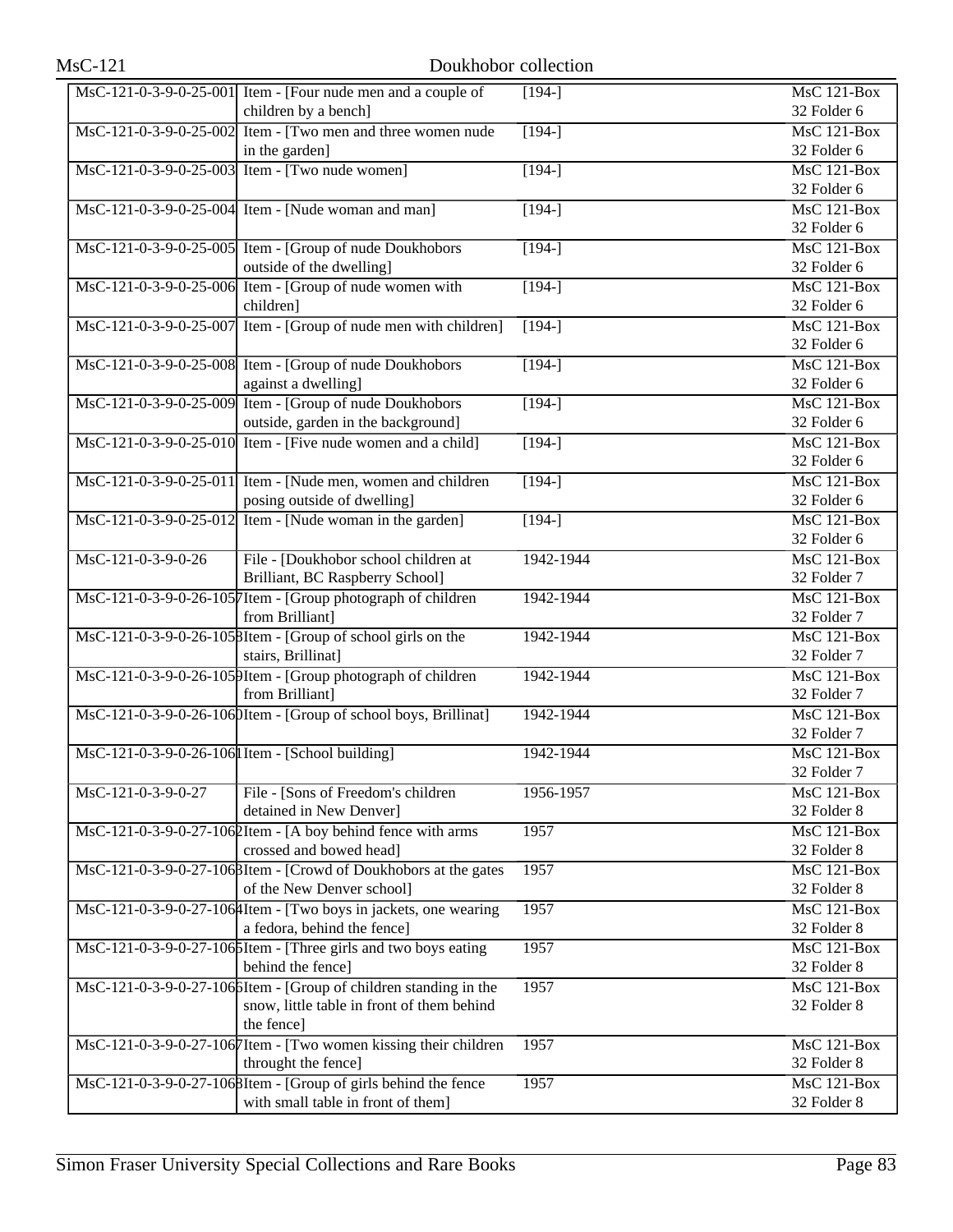|                                                   | $\text{MsC-121-0-3-9-0-25-001}$ Item - [Four nude men and a couple of<br>children by a bench] | $[194-]$      | MsC 121-Box<br>32 Folder 6      |
|---------------------------------------------------|-----------------------------------------------------------------------------------------------|---------------|---------------------------------|
|                                                   | MsC-121-0-3-9-0-25-002 Item - [Two men and three women nude                                   | $[194-]$      | <b>MsC 121-Box</b>              |
|                                                   | in the garden]                                                                                |               | 32 Folder 6                     |
|                                                   | MsC-121-0-3-9-0-25-003 Item - [Two nude women]                                                | $[194-]$      | <b>MsC 121-Box</b>              |
|                                                   |                                                                                               |               | 32 Folder 6                     |
|                                                   | MsC-121-0-3-9-0-25-004 Item - [Nude woman and man]                                            | $\sqrt{194-}$ | MsC 121-Box                     |
|                                                   |                                                                                               |               | 32 Folder 6                     |
|                                                   | MsC-121-0-3-9-0-25-005 Item - [Group of nude Doukhobors                                       | $[194-]$      | MsC 121-Box                     |
|                                                   | outside of the dwelling]                                                                      |               | 32 Folder 6                     |
|                                                   | MsC-121-0-3-9-0-25-006 Item - [Group of nude women with                                       | $[194-]$      | MsC 121-Box                     |
|                                                   | children]                                                                                     |               | 32 Folder 6                     |
|                                                   | MsC-121-0-3-9-0-25-007 Item - [Group of nude men with children]                               | $[194-]$      | MsC 121-Box                     |
|                                                   |                                                                                               |               | 32 Folder 6                     |
|                                                   | MsC-121-0-3-9-0-25-008 Item - [Group of nude Doukhobors                                       | $[194-]$      | MsC 121-Box                     |
|                                                   | against a dwelling]                                                                           |               | 32 Folder 6                     |
|                                                   | MsC-121-0-3-9-0-25-009 Item - [Group of nude Doukhobors                                       | $[194-]$      | MsC 121-Box                     |
|                                                   | outside, garden in the background]                                                            |               | 32 Folder 6                     |
|                                                   | MsC-121-0-3-9-0-25-010 Item - [Five nude women and a child]                                   |               | $\overline{\text{MsC}}$ 121-Box |
|                                                   |                                                                                               | $[194-]$      |                                 |
|                                                   |                                                                                               |               | 32 Folder 6                     |
|                                                   | MsC-121-0-3-9-0-25-011 Item - [Nude men, women and children]                                  | $[194-]$      | MsC 121-Box                     |
|                                                   | posing outside of dwelling]                                                                   |               | 32 Folder 6                     |
|                                                   | $\overline{\text{MsC-121-0-3-9-0-25-012}}$ Item - [Nude woman in the garden]                  | $[194-]$      | $MsC$ 121-Box                   |
|                                                   |                                                                                               |               | 32 Folder 6                     |
| MsC-121-0-3-9-0-26                                | File - [Doukhobor school children at                                                          | 1942-1944     | MsC 121-Box                     |
|                                                   | Brilliant, BC Raspberry School]                                                               |               | 32 Folder 7                     |
|                                                   | MsC-121-0-3-9-0-26-1057Item - [Group photograph of children                                   | 1942-1944     | MsC 121-Box                     |
|                                                   | from Brilliant]                                                                               |               | 32 Folder 7                     |
|                                                   | MsC-121-0-3-9-0-26-1058Item - [Group of school girls on the                                   | 1942-1944     | MsC 121-Box                     |
|                                                   | stairs, Brillinat]                                                                            |               | 32 Folder 7                     |
|                                                   | MsC-121-0-3-9-0-26-1059Item - [Group photograph of children                                   | 1942-1944     | MsC 121-Box                     |
|                                                   | from Brilliant]                                                                               |               | 32 Folder 7                     |
|                                                   | MsC-121-0-3-9-0-26-1060Item - [Group of school boys, Brillinat]                               | 1942-1944     | MsC 121-Box                     |
|                                                   |                                                                                               |               | 32 Folder 7                     |
| MsC-121-0-3-9-0-26-106 I Item - [School building] |                                                                                               | 1942-1944     | MsC 121-Box                     |
|                                                   |                                                                                               |               | 32 Folder 7                     |
| MsC-121-0-3-9-0-27                                | File - [Sons of Freedom's children                                                            | 1956-1957     | MsC 121-Box                     |
|                                                   | detained in New Denver]                                                                       |               | 32 Folder 8                     |
|                                                   | MsC-121-0-3-9-0-27-1062Item - [A boy behind fence with arms                                   | 1957          | MsC 121-Box                     |
|                                                   | crossed and bowed head]                                                                       |               | 32 Folder 8                     |
|                                                   | MsC-121-0-3-9-0-27-1068Item - [Crowd of Doukhobors at the gates                               | 1957          | MsC 121-Box                     |
|                                                   | of the New Denver school]                                                                     |               | 32 Folder 8                     |
|                                                   | MsC-121-0-3-9-0-27-1064Item - [Two boys in jackets, one wearing                               | 1957          | MsC 121-Box                     |
|                                                   | a fedora, behind the fence]                                                                   |               | 32 Folder 8                     |
|                                                   | MsC-121-0-3-9-0-27-106 SItem - [Three girls and two boys eating                               | 1957          | MsC 121-Box                     |
|                                                   | behind the fence]                                                                             |               | 32 Folder 8                     |
|                                                   | MsC-121-0-3-9-0-27-1066Item - [Group of children standing in the                              | 1957          | MsC 121-Box                     |
|                                                   | snow, little table in front of them behind                                                    |               | 32 Folder 8                     |
|                                                   | the fence]                                                                                    |               |                                 |
|                                                   | MsC-121-0-3-9-0-27-1067Item - [Two women kissing their children                               | 1957          | MsC 121-Box                     |
|                                                   | throught the fence]                                                                           |               | 32 Folder 8                     |
|                                                   | MsC-121-0-3-9-0-27-1068Item - [Group of girls behind the fence                                | 1957          | MsC 121-Box                     |
|                                                   | with small table in front of them]                                                            |               |                                 |
|                                                   |                                                                                               |               | 32 Folder 8                     |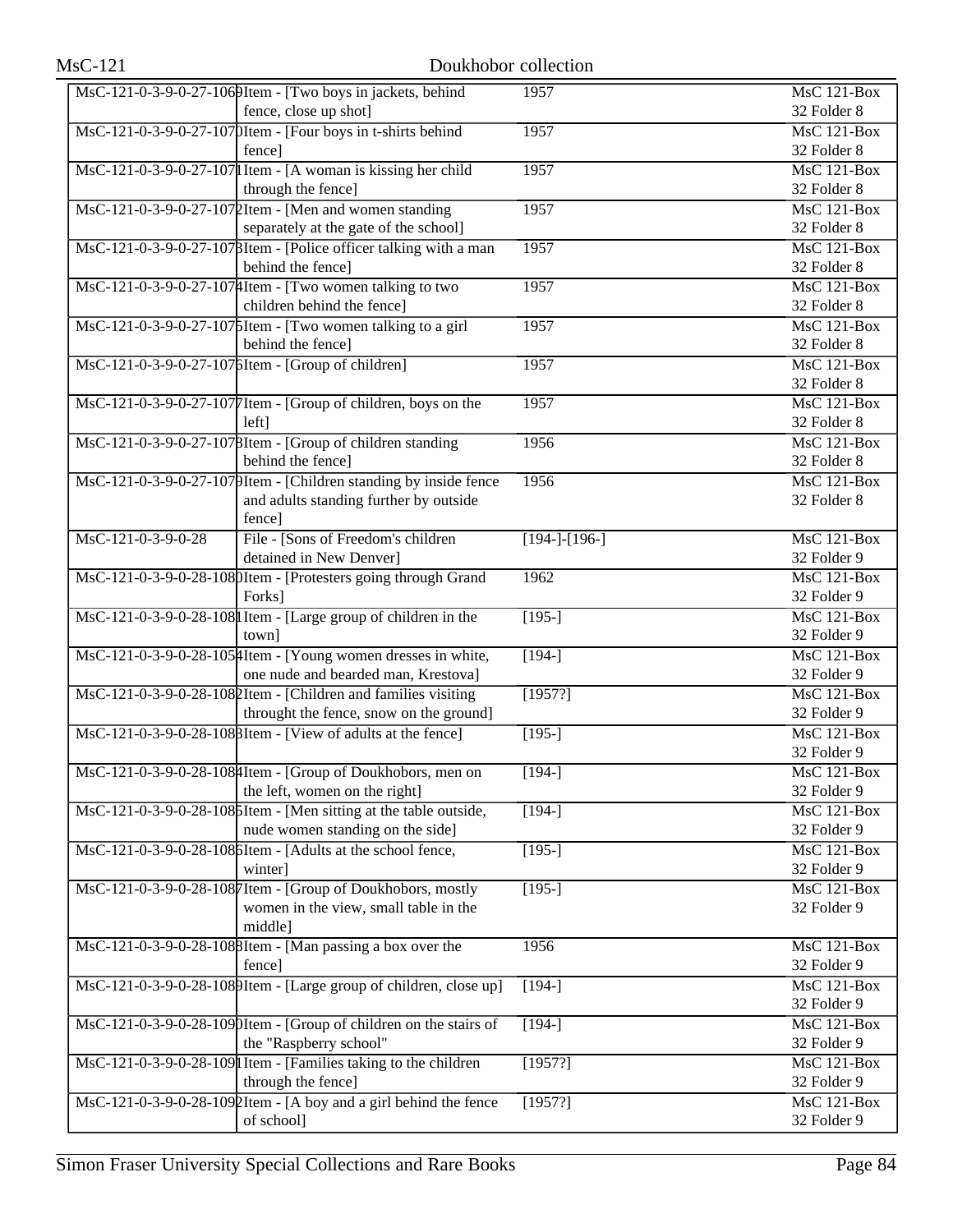|                    | MsC-121-0-3-9-0-27-1069Item - [Two boys in jackets, behind                      | 1957            | MsC 121-Box                     |
|--------------------|---------------------------------------------------------------------------------|-----------------|---------------------------------|
|                    | fence, close up shot]                                                           |                 | 32 Folder 8                     |
|                    | MsC-121-0-3-9-0-27-1070Item - [Four boys in t-shirts behind                     | 1957            | $\overline{\text{MsC 121-Box}}$ |
|                    | fence]                                                                          |                 | 32 Folder 8                     |
|                    | $\overline{\text{MsC-121-0-3-9-0-27-107}}$ Item - [A woman is kissing her child | 1957            | MsC 121-Box                     |
|                    | through the fence]                                                              |                 | 32 Folder 8                     |
|                    | MsC-121-0-3-9-0-27-107 [Item - [Men and women standing                          | 1957            | $\overline{\text{MsC}}$ 121-Box |
|                    | separately at the gate of the school]                                           |                 | 32 Folder 8                     |
|                    | MsC-121-0-3-9-0-27-1078Item - [Police officer talking with a man                | 1957            | $MsC$ 121-Box                   |
|                    | behind the fence]                                                               |                 | 32 Folder 8                     |
|                    | MsC-121-0-3-9-0-27-1074Item - [Two women talking to two                         | 1957            | MsC 121-Box                     |
|                    | children behind the fence]                                                      |                 | 32 Folder 8                     |
|                    | $\text{MsC-121-0-3-9-0-27-107}$ [Item - [Two women talking to a girl]           | 1957            | MsC 121-Box                     |
|                    | behind the fence]                                                               |                 | 32 Folder 8                     |
|                    | MsC-121-0-3-9-0-27-1076Item - [Group of children]                               | 1957            | <b>MsC 121-Box</b>              |
|                    |                                                                                 |                 | 32 Folder 8                     |
|                    | MsC-121-0-3-9-0-27-1077Item - [Group of children, boys on the                   | 1957            | $\overline{\text{MsC 121-Box}}$ |
|                    | left <sub>l</sub>                                                               |                 | 32 Folder 8                     |
|                    | MsC-121-0-3-9-0-27-1078Item - [Group of children standing                       | 1956            | MsC 121-Box                     |
|                    | behind the fence]                                                               |                 | 32 Folder 8                     |
|                    | MsC-121-0-3-9-0-27-1079Item - [Children standing by inside fence                | 1956            | <b>MsC 121-Box</b>              |
|                    | and adults standing further by outside                                          |                 | 32 Folder 8                     |
|                    | fence]                                                                          |                 |                                 |
| MsC-121-0-3-9-0-28 | File - [Sons of Freedom's children                                              | $[194-]-[196-]$ | MsC 121-Box                     |
|                    | detained in New Denver]                                                         |                 | 32 Folder 9                     |
|                    | MsC-121-0-3-9-0-28-1080Item - [Protesters going through Grand                   | 1962            | MsC 121-Box                     |
|                    | Forks]                                                                          |                 | 32 Folder 9                     |
|                    | MsC-121-0-3-9-0-28-108 I Item - [Large group of children in the                 | $[195-]$        | <b>MsC 121-Box</b>              |
|                    | town]                                                                           |                 | 32 Folder 9                     |
|                    | MsC-121-0-3-9-0-28-105 Htem - [Young women dresses in white,                    | $[194-]$        | <b>MsC 121-Box</b>              |
|                    | one nude and bearded man, Krestova]                                             |                 | 32 Folder 9                     |
|                    | MsC-121-0-3-9-0-28-1082Item - [Children and families visiting                   | [1957?]         | MsC 121-Box                     |
|                    | throught the fence, snow on the ground]                                         |                 | 32 Folder 9                     |
|                    | MsC-121-0-3-9-0-28-108 BItem - [View of adults at the fence]                    | $[195-]$        | <b>MsC 121-Box</b>              |
|                    |                                                                                 |                 | 32 Folder 9                     |
|                    | MsC-121-0-3-9-0-28-108 Htem - [Group of Doukhobors, men on                      | $[194-]$        | MsC 121-Box                     |
|                    | the left, women on the right]                                                   |                 | 32 Folder 9                     |
|                    | MsC-121-0-3-9-0-28-1086Item - [Men sitting at the table outside,                | $[194-]$        | MsC 121-Box                     |
|                    | nude women standing on the side]                                                |                 | 32 Folder 9                     |
|                    | MsC-121-0-3-9-0-28-1086Item - [Adults at the school fence,                      | $[195-]$        | MsC 121-Box                     |
|                    | winter]                                                                         |                 | 32 Folder 9                     |
|                    | MsC-121-0-3-9-0-28-1087Item - [Group of Doukhobors, mostly                      | $[195-]$        | MsC 121-Box                     |
|                    | women in the view, small table in the                                           |                 | 32 Folder 9                     |
|                    | middle]                                                                         |                 |                                 |
|                    | MsC-121-0-3-9-0-28-1088Item - [Man passing a box over the                       | 1956            | MsC 121-Box                     |
|                    | fence]                                                                          |                 | 32 Folder 9                     |
|                    | MsC-121-0-3-9-0-28-1089Item - [Large group of children, close up]               | $[194-]$        | MsC 121-Box                     |
|                    |                                                                                 |                 | 32 Folder 9                     |
|                    | MsC-121-0-3-9-0-28-1090Item - [Group of children on the stairs of               | $\sqrt{194}$    | MsC 121-Box                     |
|                    | the "Raspberry school"                                                          |                 | 32 Folder 9                     |
|                    | MsC-121-0-3-9-0-28-109 Item - [Families taking to the children                  | [1957?]         | MsC 121-Box                     |
|                    | through the fence]                                                              |                 | 32 Folder 9                     |
|                    | MsC-121-0-3-9-0-28-1092Item - [A boy and a girl behind the fence                | [1957?]         | MsC 121-Box                     |
|                    | of school]                                                                      |                 | 32 Folder 9                     |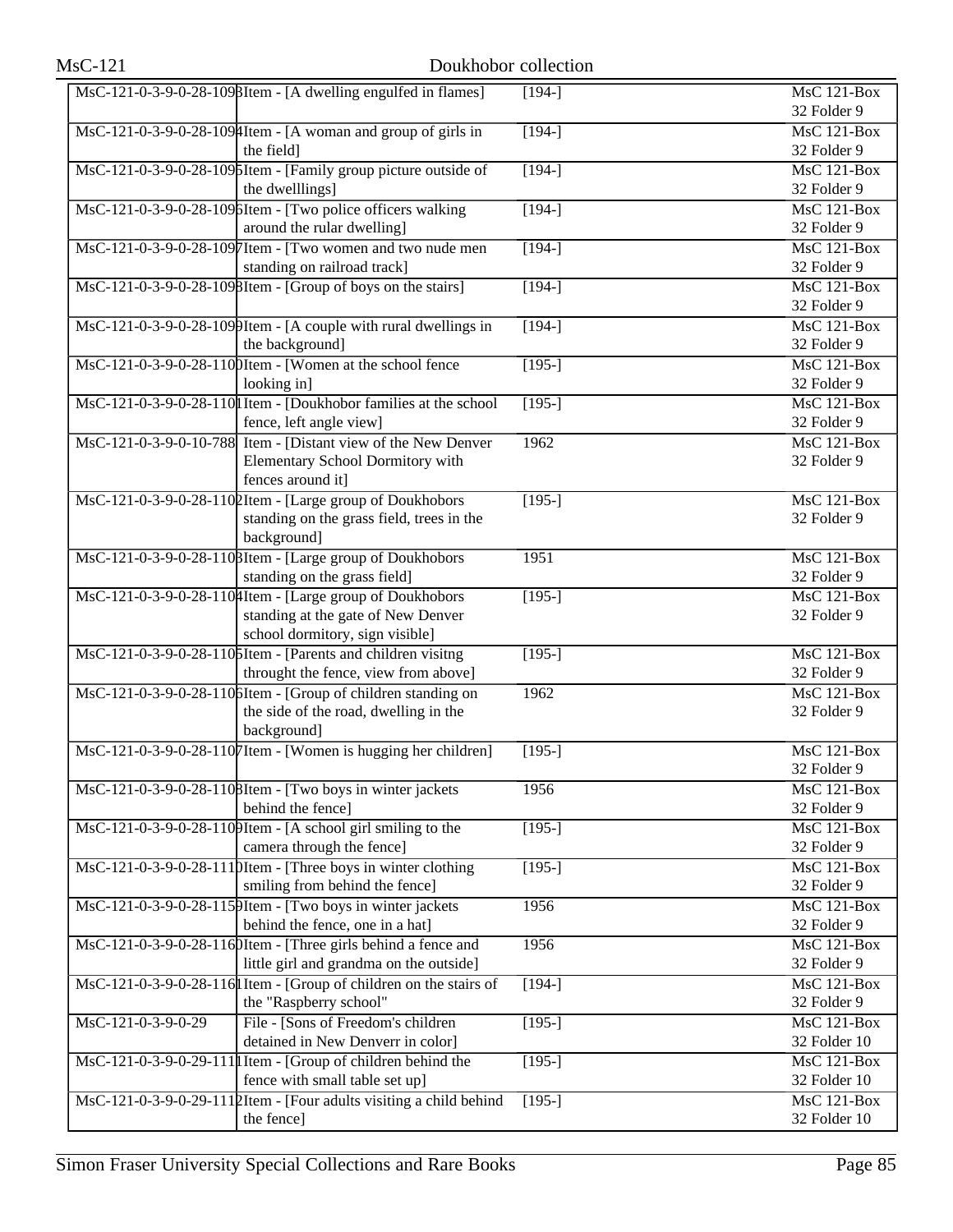|                    | MsC-121-0-3-9-0-28-1098Item - [A dwelling engulfed in flames]                                                                                                                                                                     | $[194-]$            | MsC 121-Box                        |
|--------------------|-----------------------------------------------------------------------------------------------------------------------------------------------------------------------------------------------------------------------------------|---------------------|------------------------------------|
|                    |                                                                                                                                                                                                                                   |                     | 32 Folder 9                        |
|                    | MsC-121-0-3-9-0-28-109 Htem - [A woman and group of girls in                                                                                                                                                                      | $[194-]$            | <b>MsC 121-Box</b>                 |
|                    | the field]                                                                                                                                                                                                                        |                     | 32 Folder 9                        |
|                    | MsC-121-0-3-9-0-28-1096Item - [Family group picture outside of                                                                                                                                                                    | $[194-]$            | $MsC$ 121-Box                      |
|                    | the dwelllings]                                                                                                                                                                                                                   |                     | 32 Folder 9                        |
|                    | MsC-121-0-3-9-0-28-1096Item - [Two police officers walking                                                                                                                                                                        | $[194-]$            | $MsC$ 121-Box                      |
|                    | around the rular dwelling]                                                                                                                                                                                                        |                     | 32 Folder 9                        |
|                    | MsC-121-0-3-9-0-28-1097Item - [Two women and two nude men                                                                                                                                                                         | $[194-]$            | MsC 121-Box                        |
|                    | standing on railroad track]                                                                                                                                                                                                       |                     | 32 Folder 9                        |
|                    | MsC-121-0-3-9-0-28-1098Item - [Group of boys on the stairs]                                                                                                                                                                       | $[194-]$            | MsC 121-Box                        |
|                    |                                                                                                                                                                                                                                   |                     | 32 Folder 9                        |
|                    | $\text{MsC-121-0-3-9-0-28-109}$ [11 at 2015] The U and Security 10 at 2016 11:00:00 Msc and Msc and Msc and Msc and Msc and Msc and Msc and Msc and Msc and Msc and Msc and Msc and Msc and Msc and Msc and Msc and Msc and Msc a | $[194-]$            | $MsC$ 121-Box                      |
|                    | the background]                                                                                                                                                                                                                   |                     | 32 Folder 9                        |
|                    | MsC-121-0-3-9-0-28-1100Item - [Women at the school fence                                                                                                                                                                          | $[195-]$            | $MsC$ 121-Box                      |
|                    | looking in]                                                                                                                                                                                                                       |                     | 32 Folder 9                        |
|                    | MsC-121-0-3-9-0-28-110 I Item - [Doukhobor families at the school]                                                                                                                                                                | $[195-]$            | $MsC$ 121-Box                      |
|                    | fence, left angle view]                                                                                                                                                                                                           |                     | 32 Folder 9                        |
|                    | MsC-121-0-3-9-0-10-788 Item - [Distant view of the New Denver                                                                                                                                                                     | 1962                | <b>MsC 121-Box</b>                 |
|                    | Elementary School Dormitory with                                                                                                                                                                                                  |                     | 32 Folder 9                        |
|                    | fences around it]                                                                                                                                                                                                                 |                     |                                    |
|                    | MsC-121-0-3-9-0-28-1102Item - [Large group of Doukhobors                                                                                                                                                                          | $[195-]$            | MsC 121-Box                        |
|                    | standing on the grass field, trees in the                                                                                                                                                                                         |                     | 32 Folder 9                        |
|                    | background]                                                                                                                                                                                                                       |                     |                                    |
|                    | MsC-121-0-3-9-0-28-110 BItem - [Large group of Doukhobors                                                                                                                                                                         | 1951                | MsC 121-Box                        |
|                    | standing on the grass field]                                                                                                                                                                                                      |                     | 32 Folder 9                        |
|                    | MsC-121-0-3-9-0-28-1104Item - [Large group of Doukhobors                                                                                                                                                                          | $[195-]$            | <b>MsC 121-Box</b>                 |
|                    | standing at the gate of New Denver                                                                                                                                                                                                |                     | 32 Folder 9                        |
|                    | school dormitory, sign visible]                                                                                                                                                                                                   |                     |                                    |
|                    | MsC-121-0-3-9-0-28-1105Item - [Parents and children visitng                                                                                                                                                                       | $[195-]$            | $MsC$ 121-Box                      |
|                    | throught the fence, view from above]                                                                                                                                                                                              |                     | 32 Folder 9                        |
|                    | MsC-121-0-3-9-0-28-1106Item - [Group of children standing on                                                                                                                                                                      | 1962                | $MsC$ 121-Box                      |
|                    | the side of the road, dwelling in the                                                                                                                                                                                             |                     | 32 Folder 9                        |
|                    | background]                                                                                                                                                                                                                       |                     |                                    |
|                    | MsC-121-0-3-9-0-28-1107Item - [Women is hugging her children]                                                                                                                                                                     | $\overline{[195-]}$ | $MsC$ 121-Box                      |
|                    |                                                                                                                                                                                                                                   |                     | 32 Folder 9                        |
|                    | MsC-121-0-3-9-0-28-1108Item - [Two boys in winter jackets                                                                                                                                                                         | 1956                | MsC 121-Box                        |
|                    | behind the fence]                                                                                                                                                                                                                 |                     | 32 Folder 9                        |
|                    | $\text{MsC-121-0-3-9-0-28-110}$ [A school girl smiling to the                                                                                                                                                                     | $[195-]$            | MsC 121-Box                        |
|                    | camera through the fence]                                                                                                                                                                                                         |                     | 32 Folder 9                        |
|                    | $\text{MsC-121-0-3-9-0-28-111}$ [Hem - [Three boys in winter clothing]                                                                                                                                                            | $[195-]$            | MsC 121-Box                        |
|                    | smiling from behind the fence]                                                                                                                                                                                                    |                     | 32 Folder 9                        |
|                    | MsC-121-0-3-9-0-28-115 PItem - [Two boys in winter jackets]                                                                                                                                                                       | 1956                | MsC 121-Box                        |
|                    | behind the fence, one in a hat]                                                                                                                                                                                                   |                     | 32 Folder 9                        |
|                    | MsC-121-0-3-9-0-28-1160Item - [Three girls behind a fence and                                                                                                                                                                     | 1956                | MsC 121-Box                        |
|                    | little girl and grandma on the outside]                                                                                                                                                                                           |                     | 32 Folder 9                        |
|                    | MsC-121-0-3-9-0-28-116 I Item - [Group of children on the stairs of                                                                                                                                                               | $[194-]$            | MsC 121-Box                        |
|                    | the "Raspberry school"                                                                                                                                                                                                            |                     | 32 Folder 9                        |
| MsC-121-0-3-9-0-29 | File - [Sons of Freedom's children                                                                                                                                                                                                | $[195-]$            | MsC 121-Box                        |
|                    | detained in New Denverr in color]                                                                                                                                                                                                 |                     | 32 Folder 10                       |
|                    | $\text{MsC-121-0-3-9-0-29-111}$ I Item - [Group of children behind the                                                                                                                                                            | $[195-]$            | MsC 121-Box                        |
|                    | fence with small table set up]                                                                                                                                                                                                    |                     | 32 Folder 10<br><b>MsC 121-Box</b> |
|                    | MsC-121-0-3-9-0-29-1112Item - [Four adults visiting a child behind<br>the fence]                                                                                                                                                  | $[195-]$            | 32 Folder 10                       |
|                    |                                                                                                                                                                                                                                   |                     |                                    |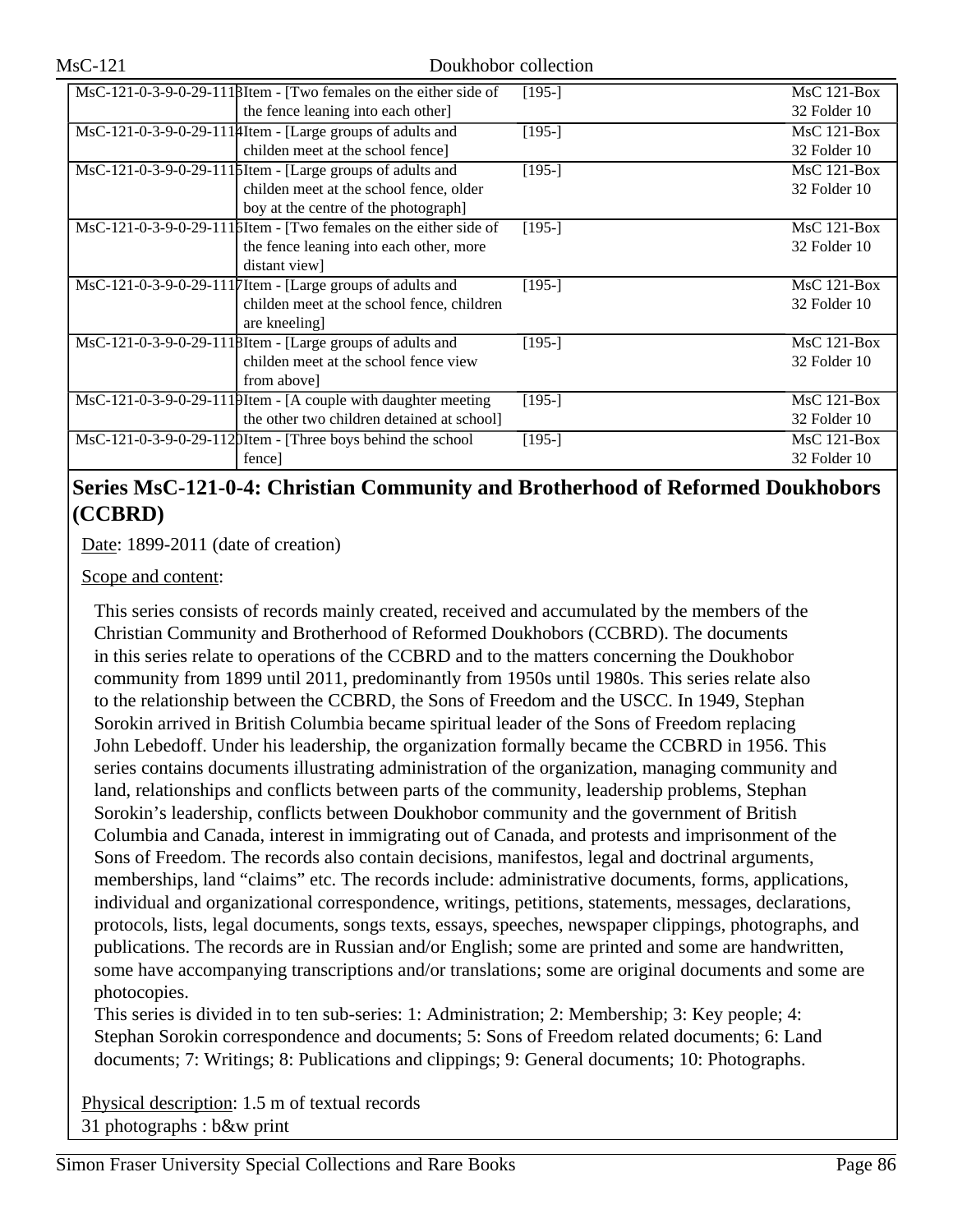| $\text{MsC-121-0-3-9-0-29-111B}$ Item - [Two females on the either side of   | $[195-]$ | $MsC$ 121-Box |
|------------------------------------------------------------------------------|----------|---------------|
| the fence leaning into each other]                                           |          | 32 Folder 10  |
| MsC-121-0-3-9-0-29-111#Item - [Large groups of adults and                    | $[195-]$ | $MsC$ 121-Box |
| childen meet at the school fence                                             |          | 32 Folder 10  |
| MsC-121-0-3-9-0-29-111   SI tem - [Large groups of adults and                | $[195-]$ | $MsC$ 121-Box |
| childen meet at the school fence, older                                      |          | 32 Folder 10  |
| boy at the centre of the photograph]                                         |          |               |
| $\text{MsC-121-0-3-9-0-29-111}$ between - [Two females on the either side of | $[195-]$ | $MsC$ 121-Box |
| the fence leaning into each other, more                                      |          | 32 Folder 10  |
| distant view                                                                 |          |               |
| MsC-121-0-3-9-0-29-1117Item - [Large groups of adults and                    | $[195-]$ | $MsC$ 121-Box |
| childen meet at the school fence, children                                   |          | 32 Folder 10  |
| are kneeling]                                                                |          |               |
| MsC-121-0-3-9-0-29-1118Item - [Large groups of adults and                    | $[195-]$ | $MsC$ 121-Box |
| childen meet at the school fence view                                        |          | 32 Folder 10  |
| from above]                                                                  |          |               |
| MsC-121-0-3-9-0-29-1119Item - [A couple with daughter meeting                | $[195-]$ | $MsC$ 121-Box |
| the other two children detained at school]                                   |          | 32 Folder 10  |
| $\text{MsC-121-0-3-9-0-29-112}$ [Then - [Three boys behind the school]       | $[195-]$ | $MsC$ 121-Box |
| fence]                                                                       |          | 32 Folder 10  |

## **Series MsC-121-0-4: Christian Community and Brotherhood of Reformed Doukhobors (CCBRD)**

Date: 1899-2011 (date of creation)

Scope and content:

This series consists of records mainly created, received and accumulated by the members of the Christian Community and Brotherhood of Reformed Doukhobors (CCBRD). The documents in this series relate to operations of the CCBRD and to the matters concerning the Doukhobor community from 1899 until 2011, predominantly from 1950s until 1980s. This series relate also to the relationship between the CCBRD, the Sons of Freedom and the USCC. In 1949, Stephan Sorokin arrived in British Columbia became spiritual leader of the Sons of Freedom replacing John Lebedoff. Under his leadership, the organization formally became the CCBRD in 1956. This series contains documents illustrating administration of the organization, managing community and land, relationships and conflicts between parts of the community, leadership problems, Stephan Sorokin's leadership, conflicts between Doukhobor community and the government of British Columbia and Canada, interest in immigrating out of Canada, and protests and imprisonment of the Sons of Freedom. The records also contain decisions, manifestos, legal and doctrinal arguments, memberships, land "claims" etc. The records include: administrative documents, forms, applications, individual and organizational correspondence, writings, petitions, statements, messages, declarations, protocols, lists, legal documents, songs texts, essays, speeches, newspaper clippings, photographs, and publications. The records are in Russian and/or English; some are printed and some are handwritten, some have accompanying transcriptions and/or translations; some are original documents and some are photocopies.

This series is divided in to ten sub-series: 1: Administration; 2: Membership; 3: Key people; 4: Stephan Sorokin correspondence and documents; 5: Sons of Freedom related documents; 6: Land documents; 7: Writings; 8: Publications and clippings; 9: General documents; 10: Photographs.

Physical description: 1.5 m of textual records 31 photographs : b&w print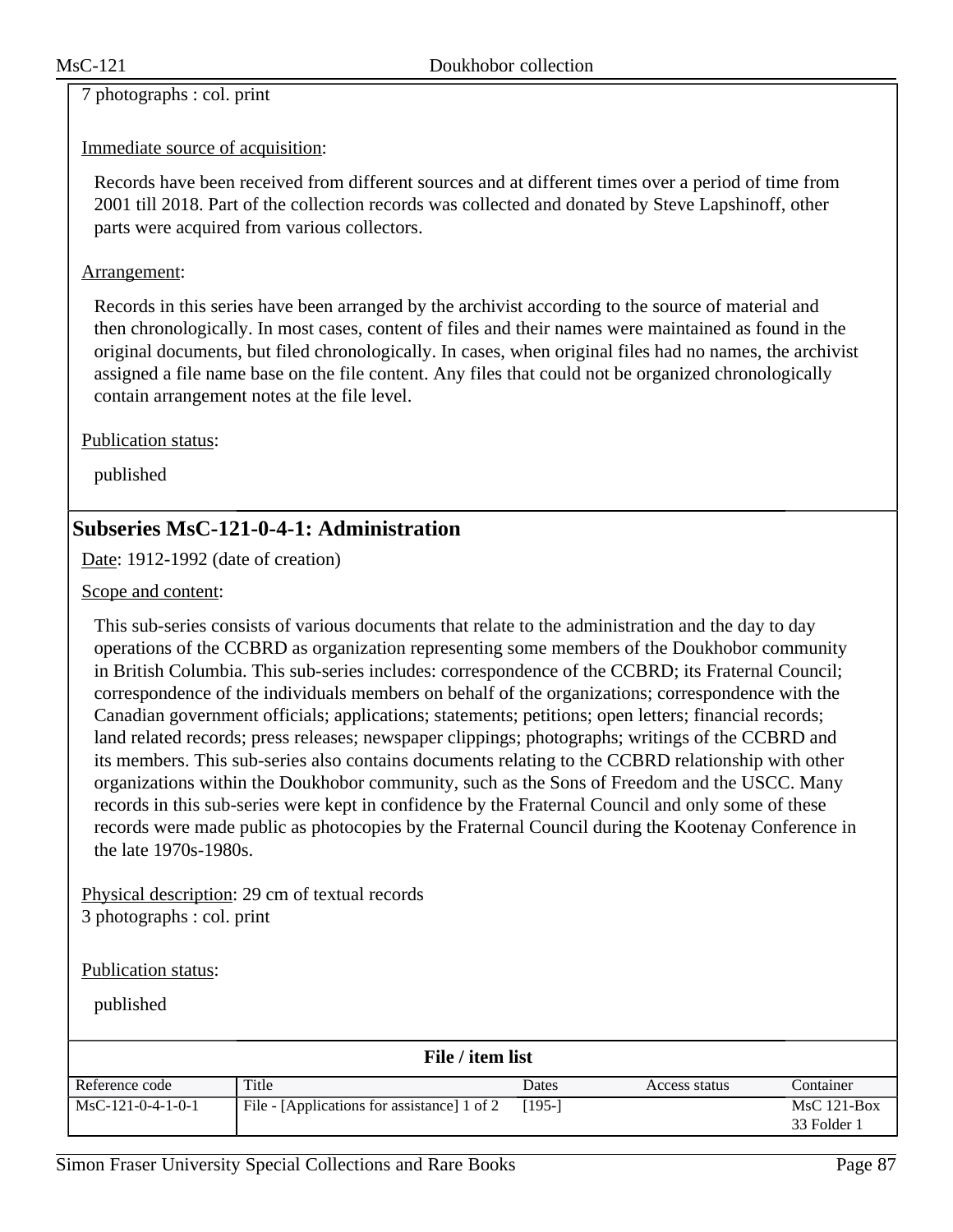7 photographs : col. print

### Immediate source of acquisition:

Records have been received from different sources and at different times over a period of time from 2001 till 2018. Part of the collection records was collected and donated by Steve Lapshinoff, other parts were acquired from various collectors.

### Arrangement:

Records in this series have been arranged by the archivist according to the source of material and then chronologically. In most cases, content of files and their names were maintained as found in the original documents, but filed chronologically. In cases, when original files had no names, the archivist assigned a file name base on the file content. Any files that could not be organized chronologically contain arrangement notes at the file level.

Publication status:

published

## **Subseries MsC-121-0-4-1: Administration**

Date: 1912-1992 (date of creation)

Scope and content:

This sub-series consists of various documents that relate to the administration and the day to day operations of the CCBRD as organization representing some members of the Doukhobor community in British Columbia. This sub-series includes: correspondence of the CCBRD; its Fraternal Council; correspondence of the individuals members on behalf of the organizations; correspondence with the Canadian government officials; applications; statements; petitions; open letters; financial records; land related records; press releases; newspaper clippings; photographs; writings of the CCBRD and its members. This sub-series also contains documents relating to the CCBRD relationship with other organizations within the Doukhobor community, such as the Sons of Freedom and the USCC. Many records in this sub-series were kept in confidence by the Fraternal Council and only some of these records were made public as photocopies by the Fraternal Council during the Kootenay Conference in the late 1970s-1980s.

Physical description: 29 cm of textual records 3 photographs : col. print

Publication status:

| File / item list    |                                             |          |               |                              |  |
|---------------------|---------------------------------------------|----------|---------------|------------------------------|--|
| Reference code      | Title                                       | Dates    | Access status | Container                    |  |
| $MsC-121-0-4-1-0-1$ | File - [Applications for assistance] 1 of 2 | $[195-]$ |               | $MsC$ 121-Box<br>33 Folder 1 |  |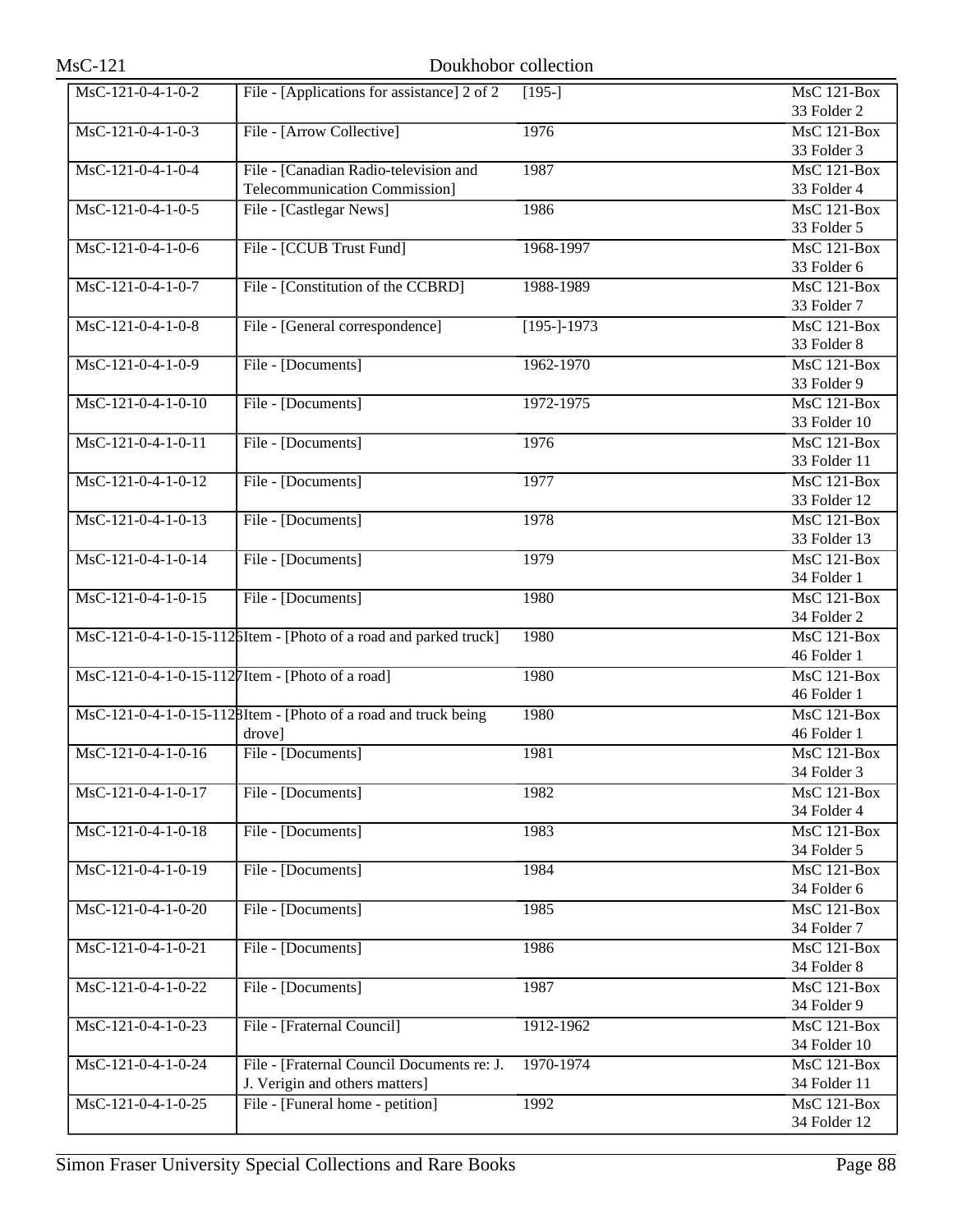| $MsC-121$            | Doukhobor collection                                              |                |                    |
|----------------------|-------------------------------------------------------------------|----------------|--------------------|
| $MsC-121-0-4-1-0-2$  | File - [Applications for assistance] 2 of 2                       | $[195-]$       | <b>MsC 121-Box</b> |
|                      |                                                                   |                | 33 Folder 2        |
| $MsC-121-0-4-1-0-3$  | File - [Arrow Collective]                                         | 1976           | MsC 121-Box        |
|                      |                                                                   |                | 33 Folder 3        |
| $MsC-121-0-4-1-0-4$  | File - [Canadian Radio-television and                             | 1987           | $MsC$ 121-Box      |
|                      | <b>Telecommunication Commission]</b>                              |                | 33 Folder 4        |
| $MsC-121-0-4-1-0-5$  | File - [Castlegar News]                                           | 1986           | <b>MsC 121-Box</b> |
|                      |                                                                   |                | 33 Folder 5        |
| MsC-121-0-4-1-0-6    | File - [CCUB Trust Fund]                                          | 1968-1997      | MsC 121-Box        |
|                      |                                                                   |                | 33 Folder 6        |
| $MsC-121-0-4-1-0-7$  | File - [Constitution of the CCBRD]                                | 1988-1989      | $MsC$ 121-Box      |
|                      |                                                                   |                | 33 Folder 7        |
| MsC-121-0-4-1-0-8    | File - [General correspondence]                                   | $[195 - 1973]$ | <b>MsC 121-Box</b> |
|                      |                                                                   |                | 33 Folder 8        |
| $MsC-121-0-4-1-0-9$  | File - [Documents]                                                | 1962-1970      | <b>MsC 121-Box</b> |
|                      |                                                                   |                | 33 Folder 9        |
| $MsC-121-0-4-1-0-10$ | File - [Documents]                                                | 1972-1975      | $MsC$ 121-Box      |
|                      |                                                                   |                | 33 Folder 10       |
| MsC-121-0-4-1-0-11   | File - [Documents]                                                | 1976           | $MsC$ 121-Box      |
|                      |                                                                   |                | 33 Folder 11       |
| $MsC-121-0-4-1-0-12$ | File - [Documents]                                                | 1977           | <b>MsC 121-Box</b> |
|                      |                                                                   |                | 33 Folder 12       |
| $MsC-121-0-4-1-0-13$ | File - [Documents]                                                | 1978           | $MsC$ 121-Box      |
|                      |                                                                   |                | 33 Folder 13       |
| MsC-121-0-4-1-0-14   | File - [Documents]                                                | 1979           | <b>MsC 121-Box</b> |
|                      |                                                                   |                | 34 Folder 1        |
| MsC-121-0-4-1-0-15   | File - [Documents]                                                | 1980           | MsC 121-Box        |
|                      |                                                                   |                | 34 Folder 2        |
|                      | MsC-121-0-4-1-0-15-112 bItem - [Photo of a road and parked truck] | 1980           | MsC 121-Box        |
|                      |                                                                   |                | 46 Folder 1        |
|                      | MsC-121-0-4-1-0-15-1127Item - [Photo of a road]                   | 1980           | MsC 121-Box        |
|                      |                                                                   |                | 46 Folder 1        |
|                      | MsC-121-0-4-1-0-15-1128Item - [Photo of a road and truck being    | 1980           | MsC 121-Box        |
|                      | drove]                                                            |                | 46 Folder 1        |
| MsC-121-0-4-1-0-16   | File - [Documents]                                                | 1981           | <b>MsC 121-Box</b> |
|                      |                                                                   |                | 34 Folder 3        |
| $MsC-121-0-4-1-0-17$ | File - [Documents]                                                | 1982           | <b>MsC 121-Box</b> |
|                      |                                                                   |                | 34 Folder 4        |
| MsC-121-0-4-1-0-18   | File - [Documents]                                                | 1983           | MsC 121-Box        |
|                      |                                                                   |                | 34 Folder 5        |
| $MsC-121-0-4-1-0-19$ | File - [Documents]                                                | 1984           | <b>MsC 121-Box</b> |
|                      |                                                                   |                | 34 Folder 6        |
| MsC-121-0-4-1-0-20   | File - [Documents]                                                | 1985           | <b>MsC 121-Box</b> |
|                      |                                                                   |                | 34 Folder 7        |
| MsC-121-0-4-1-0-21   | File - [Documents]                                                | 1986           | MsC 121-Box        |
|                      |                                                                   |                | 34 Folder 8        |
| MsC-121-0-4-1-0-22   | File - [Documents]                                                | 1987           | $MsC$ 121-Box      |
|                      |                                                                   |                | 34 Folder 9        |
| $MsC-121-0-4-1-0-23$ | File - [Fraternal Council]                                        | 1912-1962      | <b>MsC 121-Box</b> |
|                      |                                                                   |                | 34 Folder 10       |
| MsC-121-0-4-1-0-24   | File - [Fraternal Council Documents re: J.                        | 1970-1974      | MsC 121-Box        |
|                      | J. Verigin and others matters]                                    |                | 34 Folder 11       |
| MsC-121-0-4-1-0-25   |                                                                   |                | <b>MsC 121-Box</b> |
|                      | File - [Funeral home - petition]                                  | 1992           | 34 Folder 12       |
|                      |                                                                   |                |                    |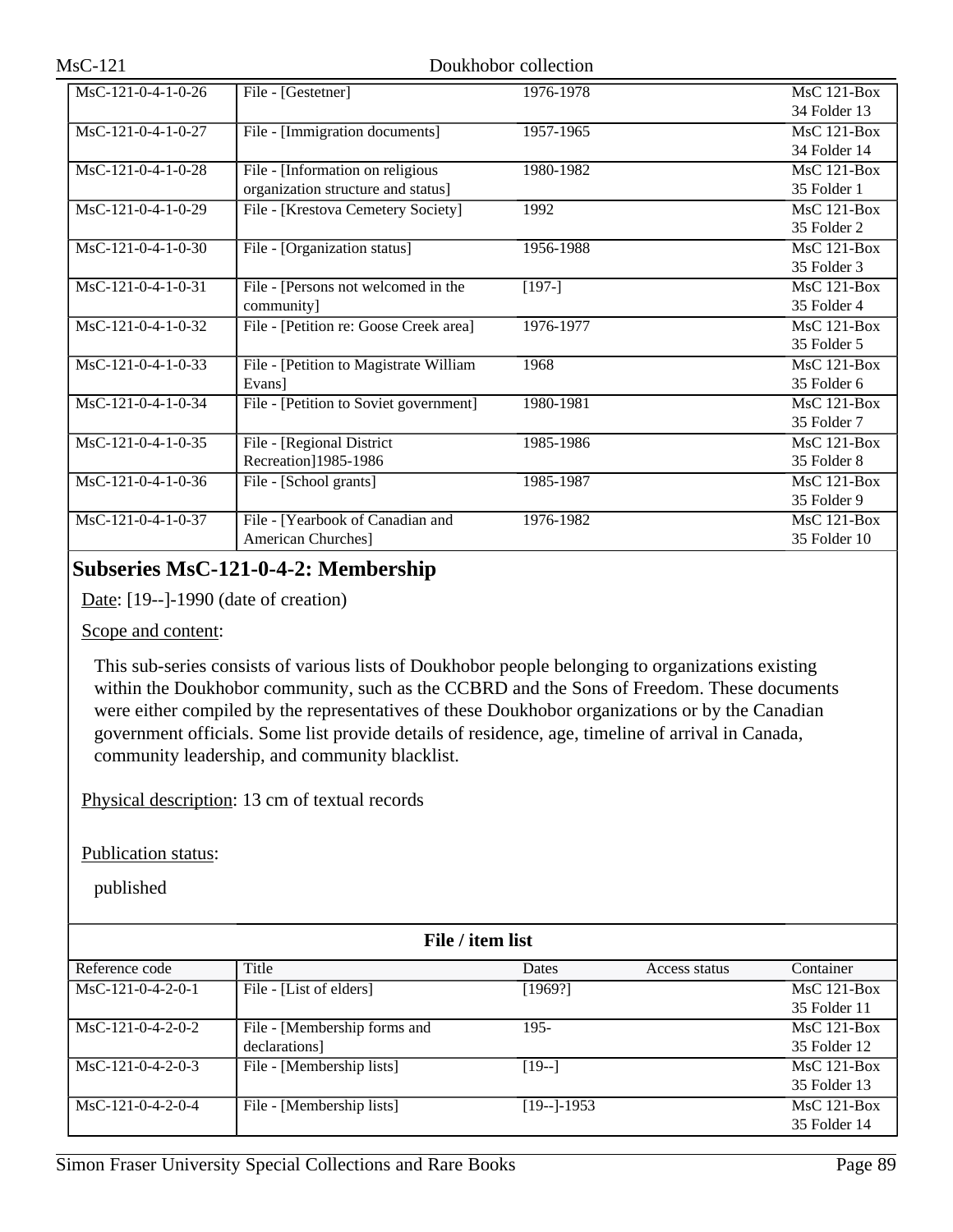| $MsC-121-0-4-1-0-26$ | File - [Gestetner]                     | 1976-1978 | $MsC$ 121-Box      |
|----------------------|----------------------------------------|-----------|--------------------|
|                      |                                        |           | 34 Folder 13       |
| MsC-121-0-4-1-0-27   | File - [Immigration documents]         | 1957-1965 | MsC 121-Box        |
|                      |                                        |           | 34 Folder 14       |
| MsC-121-0-4-1-0-28   | File - [Information on religious       | 1980-1982 | MsC 121-Box        |
|                      | organization structure and status]     |           | 35 Folder 1        |
| MsC-121-0-4-1-0-29   | File - [Krestova Cemetery Society]     | 1992      | $MsC$ 121-Box      |
|                      |                                        |           | 35 Folder 2        |
| $MsC-121-0-4-1-0-30$ | File - [Organization status]           | 1956-1988 | <b>MsC 121-Box</b> |
|                      |                                        |           | 35 Folder 3        |
| MsC-121-0-4-1-0-31   | File - [Persons not welcomed in the    | $[197-]$  | MsC 121-Box        |
|                      | community                              |           | 35 Folder 4        |
| MsC-121-0-4-1-0-32   | File - [Petition re: Goose Creek area] | 1976-1977 | MsC 121-Box        |
|                      |                                        |           | 35 Folder 5        |
| MsC-121-0-4-1-0-33   | File - [Petition to Magistrate William | 1968      | $MsC$ 121-Box      |
|                      | Evans]                                 |           | 35 Folder 6        |
| MsC-121-0-4-1-0-34   | File - [Petition to Soviet government] | 1980-1981 | MsC 121-Box        |
|                      |                                        |           | 35 Folder 7        |
| MsC-121-0-4-1-0-35   | File - [Regional District              | 1985-1986 | MsC 121-Box        |
|                      | Recreation]1985-1986                   |           | 35 Folder 8        |
| $MsC-121-0-4-1-0-36$ | File - [School grants]                 | 1985-1987 | $MsC$ 121-Box      |
|                      |                                        |           | 35 Folder 9        |
| MsC-121-0-4-1-0-37   | File - [Yearbook of Canadian and       | 1976-1982 | $MsC$ 121-Box      |
|                      | American Churches]                     |           | 35 Folder 10       |

## **Subseries MsC-121-0-4-2: Membership**

Date: [19--]-1990 (date of creation)

Scope and content:

This sub-series consists of various lists of Doukhobor people belonging to organizations existing within the Doukhobor community, such as the CCBRD and the Sons of Freedom. These documents were either compiled by the representatives of these Doukhobor organizations or by the Canadian government officials. Some list provide details of residence, age, timeline of arrival in Canada, community leadership, and community blacklist.

Physical description: 13 cm of textual records

Publication status:

| File / item list    |                              |              |               |               |
|---------------------|------------------------------|--------------|---------------|---------------|
| Reference code      | Title                        | Dates        | Access status | Container     |
| $MsC-121-0-4-2-0-1$ | File - [List of elders]      | [1969!]      |               | $MsC$ 121-Box |
|                     |                              |              |               | 35 Folder 11  |
| $MsC-121-0-4-2-0-2$ | File - [Membership forms and | $195 -$      |               | $MsC$ 121-Box |
|                     | declarations]                |              |               | 35 Folder 12  |
| $MsC-121-0-4-2-0-3$ | File - [Membership lists]    | $[19-]$      |               | $MsC$ 121-Box |
|                     |                              |              |               | 35 Folder 13  |
| $MsC-121-0-4-2-0-4$ | File - [Membership lists]    | $[19-]-1953$ |               | $MsC$ 121-Box |
|                     |                              |              |               | 35 Folder 14  |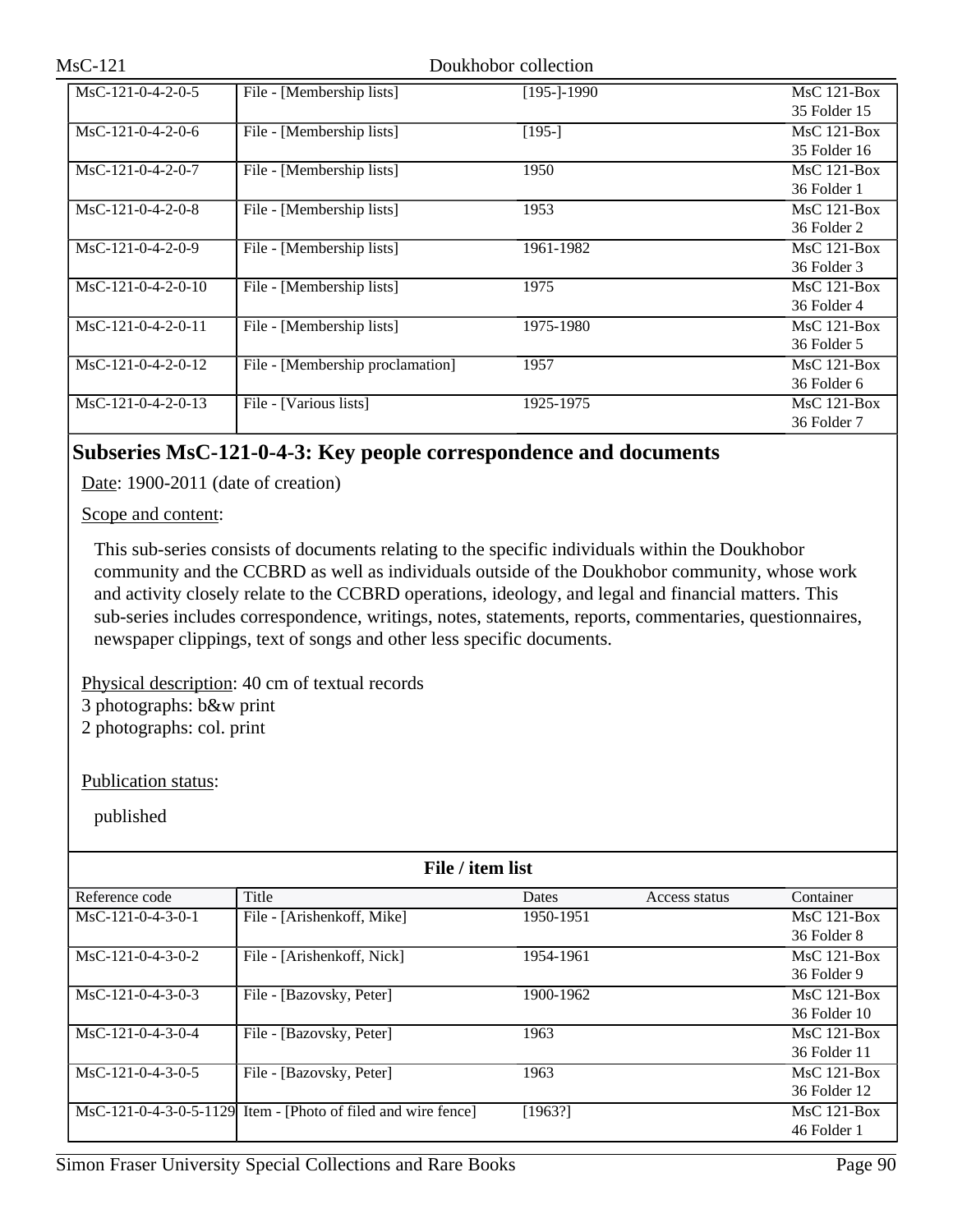| $MsC-121$            |                                  | Doukhobor collection |                               |
|----------------------|----------------------------------|----------------------|-------------------------------|
| MsC-121-0-4-2-0-5    | File - [Membership lists]        | [195-]-1990          | $MsC$ 121-Box<br>35 Folder 15 |
| $MsC-121-0-4-2-0-6$  | File - [Membership lists]        | [195-]               | $MsC$ 121-Box<br>35 Folder 16 |
| $MsC-121-0-4-2-0-7$  | File - [Membership lists]        | 1950                 | MsC 121-Box<br>36 Folder 1    |
| $MsC-121-0-4-2-0-8$  | File - [Membership lists]        | 1953                 | $MsC$ 121-Box<br>36 Folder 2  |
| $MsC-121-0-4-2-0-9$  | File - [Membership lists]        | 1961-1982            | $MsC$ 121-Box<br>36 Folder 3  |
| $MsC-121-0-4-2-0-10$ | File - [Membership lists]        | 1975                 | $MsC$ 121-Box<br>36 Folder 4  |
| $MsC-121-0-4-2-0-11$ | File - [Membership lists]        | 1975-1980            | $MsC$ 121-Box<br>36 Folder 5  |
| $MsC-121-0-4-2-0-12$ | File - [Membership proclamation] | 1957                 | $MsC$ 121-Box<br>36 Folder 6  |
| $MsC-121-0-4-2-0-13$ | File - [Various lists]           | 1925-1975            | $MsC$ 121-Box<br>36 Folder 7  |

## **Subseries MsC-121-0-4-3: Key people correspondence and documents**

Date: 1900-2011 (date of creation)

Scope and content:

This sub-series consists of documents relating to the specific individuals within the Doukhobor community and the CCBRD as well as individuals outside of the Doukhobor community, whose work and activity closely relate to the CCBRD operations, ideology, and legal and financial matters. This sub-series includes correspondence, writings, notes, statements, reports, commentaries, questionnaires, newspaper clippings, text of songs and other less specific documents.

Physical description: 40 cm of textual records

3 photographs: b&w print

2 photographs: col. print

Publication status:

| File / item list    |                                                                        |              |               |               |  |
|---------------------|------------------------------------------------------------------------|--------------|---------------|---------------|--|
| Reference code      | Title                                                                  | <b>Dates</b> | Access status | Container     |  |
| $MsC-121-0-4-3-0-1$ | File - [Arishenkoff, Mike]                                             | 1950-1951    |               | $MsC$ 121-Box |  |
|                     |                                                                        |              |               | 36 Folder 8   |  |
| $MsC-121-0-4-3-0-2$ | File - [Arishenkoff, Nick]                                             | 1954-1961    |               | $MsC$ 121-Box |  |
|                     |                                                                        |              |               | 36 Folder 9   |  |
| $MsC-121-0-4-3-0-3$ | File - [Bazovsky, Peter]                                               | 1900-1962    |               | $MsC$ 121-Box |  |
|                     |                                                                        |              |               | 36 Folder 10  |  |
| $MsC-121-0-4-3-0-4$ | File - [Bazovsky, Peter]                                               | 1963         |               | $MsC$ 121-Box |  |
|                     |                                                                        |              |               | 36 Folder 11  |  |
| $MsC-121-0-4-3-0-5$ | File - [Bazovsky, Peter]                                               | 1963         |               | $MsC$ 121-Box |  |
|                     |                                                                        |              |               | 36 Folder 12  |  |
|                     | $\text{MsC-121-0-4-3-0-5-1129}$ Item - [Photo of filed and wire fence] | [1963!]      |               | $MsC$ 121-Box |  |
|                     |                                                                        |              |               | 46 Folder 1   |  |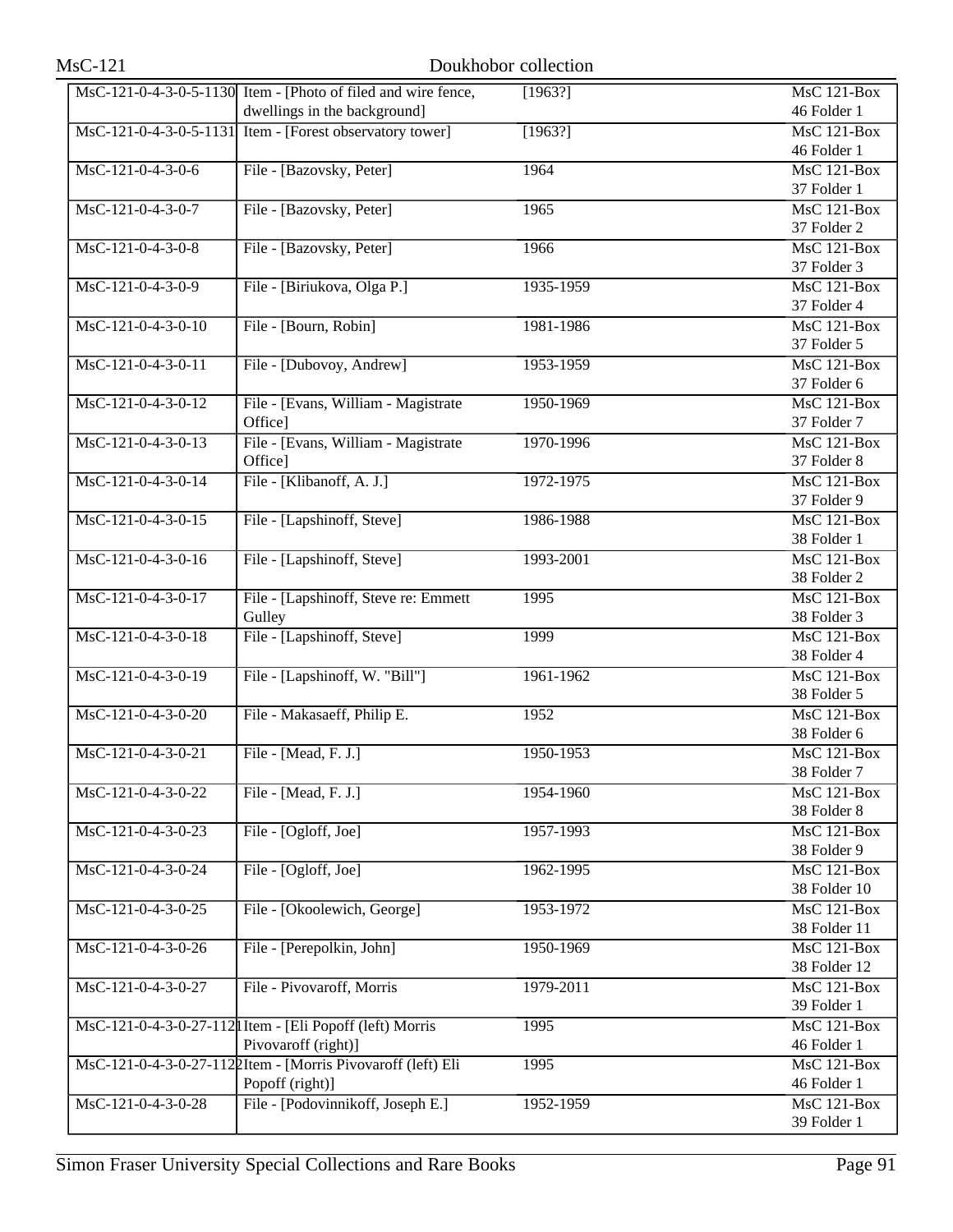|                      | MsC-121-0-4-3-0-5-1130 Item - [Photo of filed and wire fence, | [1963?]   | MsC 121-Box        |
|----------------------|---------------------------------------------------------------|-----------|--------------------|
|                      | dwellings in the background]                                  |           | 46 Folder 1        |
|                      | MsC-121-0-4-3-0-5-1131 Item - [Forest observatory tower]      | [1963!]   | MsC 121-Box        |
|                      |                                                               |           | 46 Folder 1        |
| MsC-121-0-4-3-0-6    | File - [Bazovsky, Peter]                                      | 1964      | $MsC$ 121-Box      |
|                      |                                                               |           | 37 Folder 1        |
| MsC-121-0-4-3-0-7    | File - [Bazovsky, Peter]                                      | 1965      | <b>MsC 121-Box</b> |
|                      |                                                               |           | 37 Folder 2        |
| MsC-121-0-4-3-0-8    | File - [Bazovsky, Peter]                                      | 1966      | MsC 121-Box        |
|                      |                                                               |           | 37 Folder 3        |
| MsC-121-0-4-3-0-9    | File - [Biriukova, Olga P.]                                   | 1935-1959 | $MsC$ 121-Box      |
|                      |                                                               |           | 37 Folder 4        |
| MsC-121-0-4-3-0-10   | File - [Bourn, Robin]                                         | 1981-1986 | $MsC$ 121-Box      |
|                      |                                                               |           | 37 Folder 5        |
| MsC-121-0-4-3-0-11   | File - [Dubovoy, Andrew]                                      | 1953-1959 | MsC 121-Box        |
|                      |                                                               |           | 37 Folder 6        |
| MsC-121-0-4-3-0-12   | File - [Evans, William - Magistrate]                          | 1950-1969 | $MsC$ 121-Box      |
|                      | Office]                                                       |           | 37 Folder 7        |
| MsC-121-0-4-3-0-13   | File - [Evans, William - Magistrate                           | 1970-1996 | <b>MsC 121-Box</b> |
|                      | Office]                                                       |           | 37 Folder 8        |
| MsC-121-0-4-3-0-14   | File - [Klibanoff, A. J.]                                     | 1972-1975 | MsC 121-Box        |
|                      |                                                               |           | 37 Folder 9        |
| MsC-121-0-4-3-0-15   | File - [Lapshinoff, Steve]                                    | 1986-1988 | <b>MsC 121-Box</b> |
|                      |                                                               |           | 38 Folder 1        |
| MsC-121-0-4-3-0-16   | File - [Lapshinoff, Steve]                                    | 1993-2001 | <b>MsC 121-Box</b> |
|                      |                                                               |           | 38 Folder 2        |
| MsC-121-0-4-3-0-17   | File - [Lapshinoff, Steve re: Emmett                          | 1995      | MsC 121-Box        |
|                      | Gulley                                                        |           | 38 Folder 3        |
| MsC-121-0-4-3-0-18   | File - [Lapshinoff, Steve]                                    | 1999      | $MsC$ 121-Box      |
|                      |                                                               |           | 38 Folder 4        |
| MsC-121-0-4-3-0-19   | File - [Lapshinoff, W. "Bill"]                                | 1961-1962 | <b>MsC 121-Box</b> |
|                      |                                                               |           | 38 Folder 5        |
| $MsC-121-0-4-3-0-20$ | File - Makasaeff, Philip E.                                   | 1952      | MsC 121-Box        |
|                      |                                                               |           | 38 Folder 6        |
| MsC-121-0-4-3-0-21   | File - [Mead, F. J.]                                          | 1950-1953 | MsC 121-Box        |
|                      |                                                               |           | 38 Folder 7        |
| MsC-121-0-4-3-0-22   | File - [Mead, F. J.]                                          | 1954-1960 | MsC 121-Box        |
|                      |                                                               |           | 38 Folder 8        |
| MsC-121-0-4-3-0-23   | File - [Ogloff, Joe]                                          | 1957-1993 | MsC 121-Box        |
|                      |                                                               |           | 38 Folder 9        |
| MsC-121-0-4-3-0-24   | File - [Ogloff, Joe]                                          | 1962-1995 | $MsC$ 121-Box      |
|                      |                                                               |           | 38 Folder 10       |
| MsC-121-0-4-3-0-25   | File - [Okoolewich, George]                                   | 1953-1972 | MsC 121-Box        |
|                      |                                                               |           | 38 Folder 11       |
| MsC-121-0-4-3-0-26   | File - [Perepolkin, John]                                     | 1950-1969 | $MsC$ 121-Box      |
|                      |                                                               |           | 38 Folder 12       |
| MsC-121-0-4-3-0-27   | File - Pivovaroff, Morris                                     | 1979-2011 | MsC 121-Box        |
|                      |                                                               |           | 39 Folder 1        |
|                      | MsC-121-0-4-3-0-27-112  Item - [Eli Popoff (left) Morris      | 1995      | <b>MsC 121-Box</b> |
|                      | Pivovaroff (right)]                                           |           | 46 Folder 1        |
|                      | MsC-121-0-4-3-0-27-1122Item - [Morris Pivovaroff (left) Eli   | 1995      | MsC 121-Box        |
|                      | Popoff (right)]                                               |           | 46 Folder 1        |
| MsC-121-0-4-3-0-28   | File - [Podovinnikoff, Joseph E.]                             | 1952-1959 | <b>MsC 121-Box</b> |
|                      |                                                               |           | 39 Folder 1        |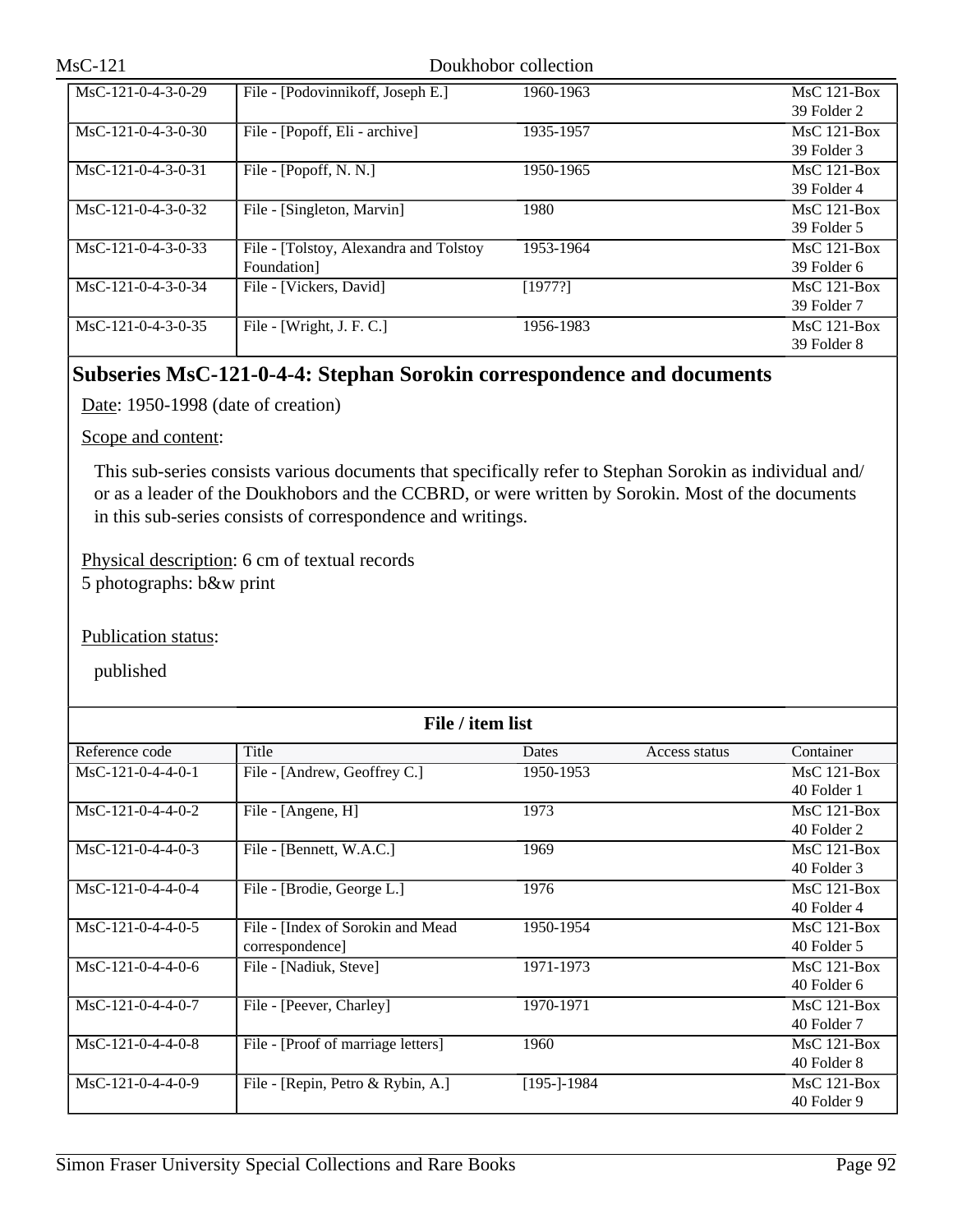| MsC-121              |                                                       | Doukhobor collection |                              |
|----------------------|-------------------------------------------------------|----------------------|------------------------------|
| MsC-121-0-4-3-0-29   | File - [Podovinnikoff, Joseph E.]                     | 1960-1963            | MsC 121-Box<br>39 Folder 2   |
| $MsC-121-0-4-3-0-30$ | File - [Popoff, Eli - archive]                        | 1935-1957            | $MsC$ 121-Box<br>39 Folder 3 |
| $MsC-121-0-4-3-0-31$ | File - [Popoff, N. N.]                                | 1950-1965            | $MsC$ 121-Box<br>39 Folder 4 |
| $MsC-121-0-4-3-0-32$ | File - [Singleton, Marvin]                            | 1980                 | $MsC$ 121-Box<br>39 Folder 5 |
| $MsC-121-0-4-3-0-33$ | File - [Tolstoy, Alexandra and Tolstoy<br>Foundation] | 1953-1964            | $MsC$ 121-Box<br>39 Folder 6 |
| $MsC-121-0-4-3-0-34$ | File - [Vickers, David]                               | [1977?]              | $MsC$ 121-Box<br>39 Folder 7 |
| $MsC-121-0-4-3-0-35$ | File - [Wright, J. F. C.]                             | 1956-1983            | $MsC$ 121-Box<br>39 Folder 8 |

## **Subseries MsC-121-0-4-4: Stephan Sorokin correspondence and documents**

Date: 1950-1998 (date of creation)

Scope and content:

This sub-series consists various documents that specifically refer to Stephan Sorokin as individual and/ or as a leader of the Doukhobors and the CCBRD, or were written by Sorokin. Most of the documents in this sub-series consists of correspondence and writings.

Physical description: 6 cm of textual records 5 photographs: b&w print

Publication status:

| File / item list    |                                    |             |               |               |
|---------------------|------------------------------------|-------------|---------------|---------------|
| Reference code      | Title                              | Dates       | Access status | Container     |
| $MsC-121-0-4-4-0-1$ | File - [Andrew, Geoffrey C.]       | 1950-1953   |               | $MsC$ 121-Box |
|                     |                                    |             |               | 40 Folder 1   |
| $MsC-121-0-4-4-0-2$ | File - [Angene, H]                 | 1973        |               | $MsC$ 121-Box |
|                     |                                    |             |               | 40 Folder 2   |
| $MsC-121-0-4-4-0-3$ | File - [Bennett, W.A.C.]           | 1969        |               | $MsC$ 121-Box |
|                     |                                    |             |               | 40 Folder 3   |
| $MsC-121-0-4-4-0-4$ | File - [Brodie, George L.]         | 1976        |               | $MsC$ 121-Box |
|                     |                                    |             |               | 40 Folder 4   |
| $MsC-121-0-4-4-0-5$ | File - [Index of Sorokin and Mead  | 1950-1954   |               | $MsC$ 121-Box |
|                     | correspondence]                    |             |               | 40 Folder 5   |
| $MsC-121-0-4-4-0-6$ | File - [Nadiuk, Steve]             | 1971-1973   |               | $MsC$ 121-Box |
|                     |                                    |             |               | 40 Folder 6   |
| $MsC-121-0-4-4-0-7$ | File - [Peever, Charley]           | 1970-1971   |               | $MsC$ 121-Box |
|                     |                                    |             |               | 40 Folder 7   |
| $MsC-121-0-4-4-0-8$ | File - [Proof of marriage letters] | 1960        |               | $MsC$ 121-Box |
|                     |                                    |             |               | 40 Folder 8   |
| $MsC-121-0-4-4-0-9$ | File - [Repin, Petro & Rybin, A.]  | [195-]-1984 |               | $MsC$ 121-Box |
|                     |                                    |             |               | 40 Folder 9   |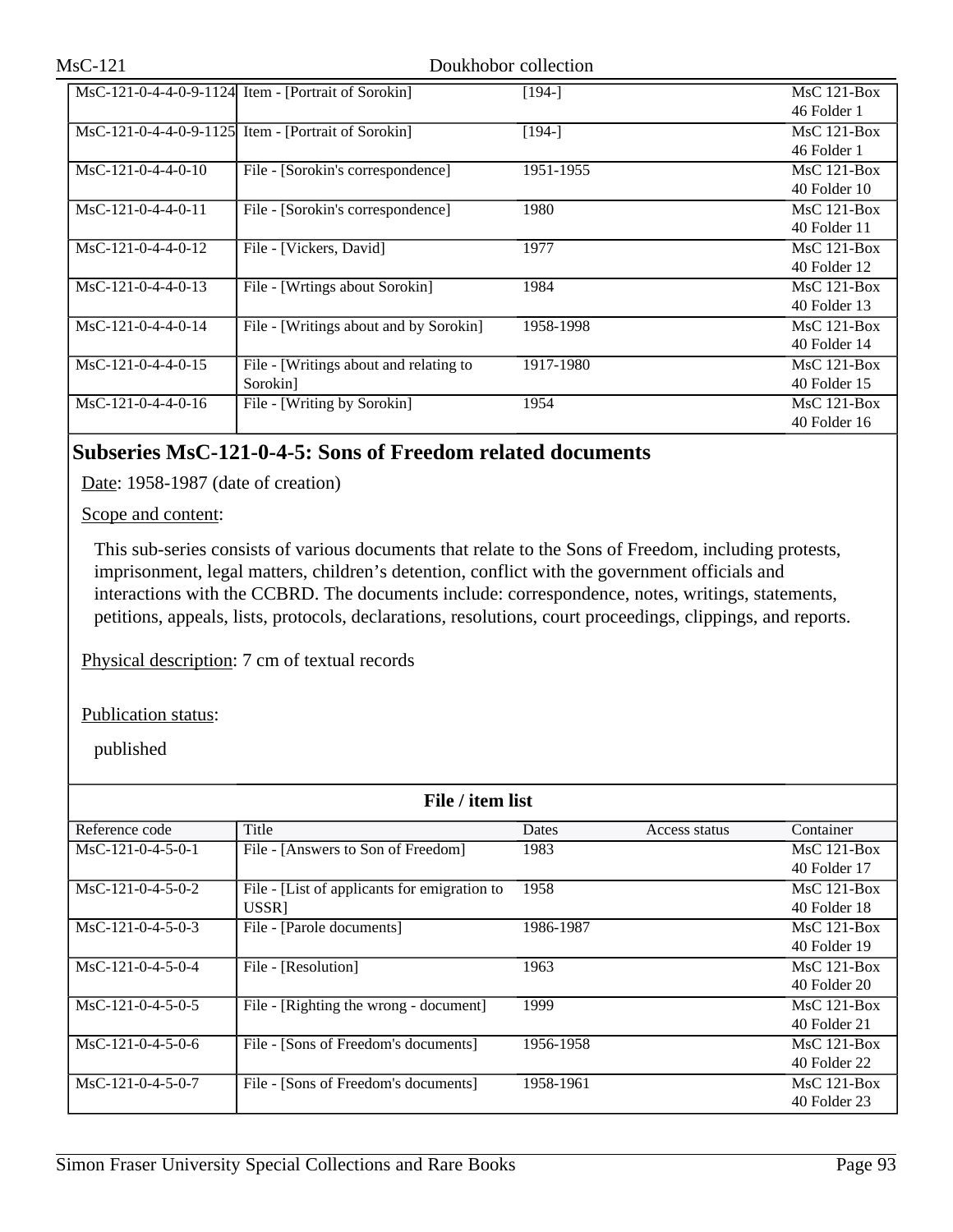|                      | MsC-121-0-4-4-0-9-1124 Item - [Portrait of Sorokin] | [194-]    | $MsC$ 121-Box    |
|----------------------|-----------------------------------------------------|-----------|------------------|
|                      |                                                     |           | 46 Folder 1      |
|                      | MsC-121-0-4-4-0-9-1125 Item - [Portrait of Sorokin] | [194-]    | $MsC$ 121-Box    |
|                      |                                                     |           | 46 Folder 1      |
| $MsC-121-0-4-4-0-10$ | File - [Sorokin's correspondence]                   | 1951-1955 | $MsC$ 121-Box    |
|                      |                                                     |           | $40$ Folder $10$ |
| $MsC-121-0-4-4-0-11$ | File - [Sorokin's correspondence]                   | 1980      | $MsC$ 121-Box    |
|                      |                                                     |           | 40 Folder 11     |
| $MsC-121-0-4-4-0-12$ | File - [Vickers, David]                             | 1977      | $MsC$ 121-Box    |
|                      |                                                     |           | 40 Folder 12     |
| $MsC-121-0-4-4-0-13$ | File - [Wrtings about Sorokin]                      | 1984      | $MsC$ 121-Box    |
|                      |                                                     |           | $40$ Folder 13   |
| MsC-121-0-4-4-0-14   | File - [Writings about and by Sorokin]              | 1958-1998 | $MsC$ 121-Box    |
|                      |                                                     |           | 40 Folder 14     |
| $MsC-121-0-4-4-0-15$ | File - [Writings about and relating to              | 1917-1980 | $MsC$ 121-Box    |
|                      | Sorokin]                                            |           | $40$ Folder $15$ |
| $MsC-121-0-4-4-0-16$ | File - [Writing by Sorokin]                         | 1954      | $MsC$ 121-Box    |
|                      |                                                     |           | $40$ Folder $16$ |

## **Subseries MsC-121-0-4-5: Sons of Freedom related documents**

Date: 1958-1987 (date of creation)

Scope and content:

This sub-series consists of various documents that relate to the Sons of Freedom, including protests, imprisonment, legal matters, children's detention, conflict with the government officials and interactions with the CCBRD. The documents include: correspondence, notes, writings, statements, petitions, appeals, lists, protocols, declarations, resolutions, court proceedings, clippings, and reports.

Physical description: 7 cm of textual records

Publication status:

| File / item list    |                                              |           |               |               |
|---------------------|----------------------------------------------|-----------|---------------|---------------|
| Reference code      | Title                                        | Dates     | Access status | Container     |
| $MsC-121-0-4-5-0-1$ | File - [Answers to Son of Freedom]           | 1983      |               | $MsC$ 121-Box |
|                     |                                              |           |               | 40 Folder 17  |
| $MsC-121-0-4-5-0-2$ | File - [List of applicants for emigration to | 1958      |               | $MsC$ 121-Box |
|                     | USSR1                                        |           |               | 40 Folder 18  |
| $MsC-121-0-4-5-0-3$ | File - [Parole documents]                    | 1986-1987 |               | $MsC$ 121-Box |
|                     |                                              |           |               | 40 Folder 19  |
| $MsC-121-0-4-5-0-4$ | File - [Resolution]                          | 1963      |               | $MsC$ 121-Box |
|                     |                                              |           |               | 40 Folder 20  |
| $MsC-121-0-4-5-0-5$ | File - [Righting the wrong - document]       | 1999      |               | $MsC$ 121-Box |
|                     |                                              |           |               | 40 Folder 21  |
| $MsC-121-0-4-5-0-6$ | File - [Sons of Freedom's documents]         | 1956-1958 |               | $MsC$ 121-Box |
|                     |                                              |           |               | 40 Folder 22  |
| $MsC-121-0-4-5-0-7$ | File - [Sons of Freedom's documents]         | 1958-1961 |               | $MsC$ 121-Box |
|                     |                                              |           |               | 40 Folder 23  |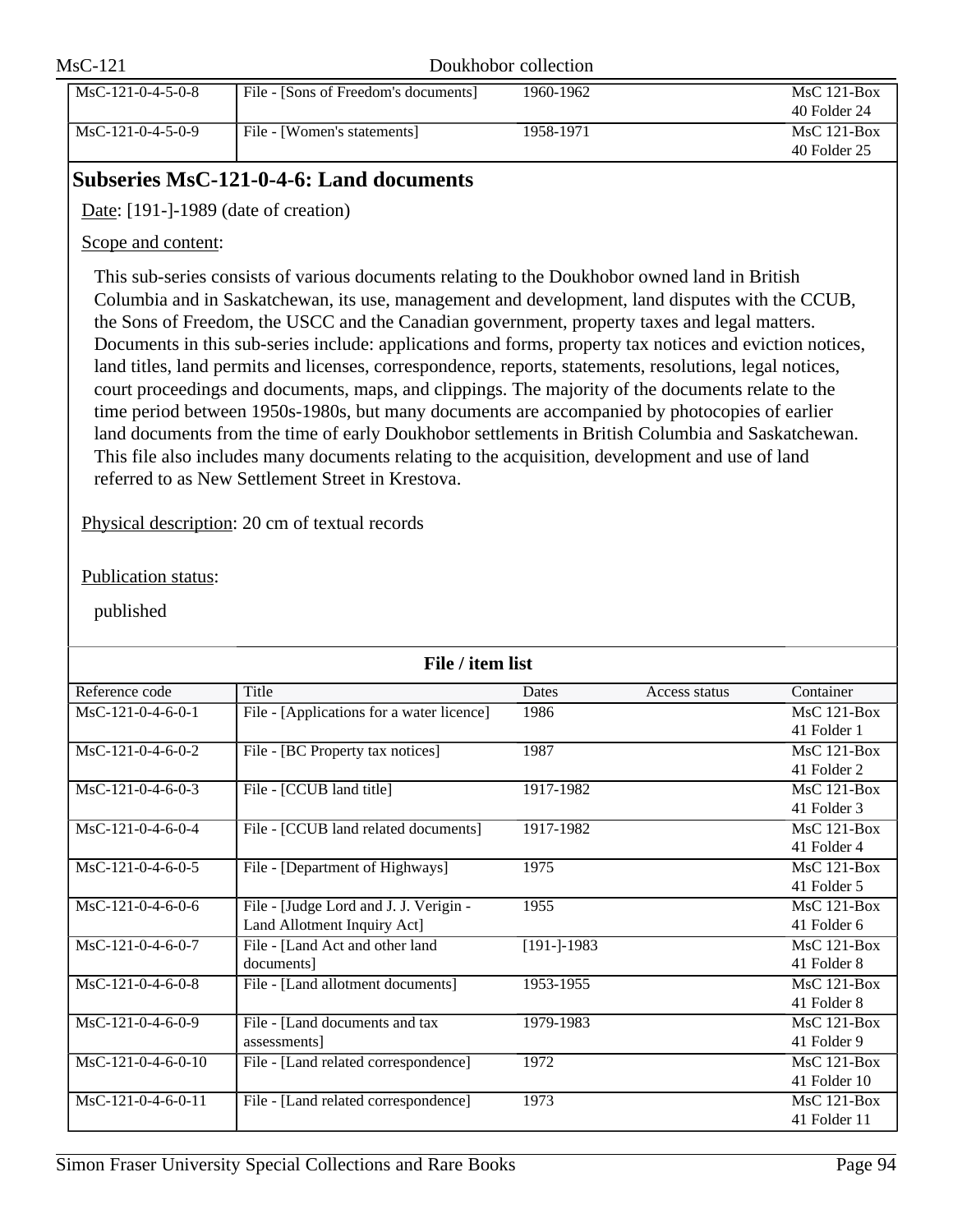| $MsC-121$ |                     |                                      | Doukhobor collection |                               |
|-----------|---------------------|--------------------------------------|----------------------|-------------------------------|
|           | $MsC-121-0-4-5-0-8$ | File - [Sons of Freedom's documents] | 1960-1962            | $MsC$ 121-Box<br>40 Folder 24 |
|           | $MsC-121-0-4-5-0-9$ | File - [Women's statements]          | 1958-1971            | $MsC$ 121-Box<br>40 Folder 25 |

## **Subseries MsC-121-0-4-6: Land documents**

Date: [191-]-1989 (date of creation)

## Scope and content:

This sub-series consists of various documents relating to the Doukhobor owned land in British Columbia and in Saskatchewan, its use, management and development, land disputes with the CCUB, the Sons of Freedom, the USCC and the Canadian government, property taxes and legal matters. Documents in this sub-series include: applications and forms, property tax notices and eviction notices, land titles, land permits and licenses, correspondence, reports, statements, resolutions, legal notices, court proceedings and documents, maps, and clippings. The majority of the documents relate to the time period between 1950s-1980s, but many documents are accompanied by photocopies of earlier land documents from the time of early Doukhobor settlements in British Columbia and Saskatchewan. This file also includes many documents relating to the acquisition, development and use of land referred to as New Settlement Street in Krestova.

Physical description: 20 cm of textual records

## Publication status:

| File / item list     |                                           |                |               |               |
|----------------------|-------------------------------------------|----------------|---------------|---------------|
| Reference code       | Title                                     | Dates          | Access status | Container     |
| $MsC-121-0-4-6-0-1$  | File - [Applications for a water licence] | 1986           |               | $MsC$ 121-Box |
|                      |                                           |                |               | 41 Folder 1   |
| $MsC-121-0-4-6-0-2$  | File - [BC Property tax notices]          | 1987           |               | $MsC$ 121-Box |
|                      |                                           |                |               | 41 Folder 2   |
| $MsC-121-0-4-6-0-3$  | File - [CCUB land title]                  | 1917-1982      |               | $MsC$ 121-Box |
|                      |                                           |                |               | 41 Folder 3   |
| $MsC-121-0-4-6-0-4$  | File - [CCUB land related documents]      | 1917-1982      |               | $MsC$ 121-Box |
|                      |                                           |                |               | 41 Folder 4   |
| MsC-121-0-4-6-0-5    | File - [Department of Highways]           | 1975           |               | $MsC$ 121-Box |
|                      |                                           |                |               | 41 Folder 5   |
| $MsC-121-0-4-6-0-6$  | File - [Judge Lord and J. J. Verigin -    | 1955           |               | $MsC$ 121-Box |
|                      | Land Allotment Inquiry Act]               |                |               | 41 Folder 6   |
| $MsC-121-0-4-6-0-7$  | File - [Land Act and other land           | $[191 - 1983]$ |               | $MsC$ 121-Box |
|                      | documents]                                |                |               | 41 Folder 8   |
| MsC-121-0-4-6-0-8    | File - [Land allotment documents]         | 1953-1955      |               | $MsC$ 121-Box |
|                      |                                           |                |               | 41 Folder 8   |
| $MsC-121-0-4-6-0-9$  | File - [Land documents and tax            | 1979-1983      |               | $MsC$ 121-Box |
|                      | assessments]                              |                |               | 41 Folder 9   |
| $MsC-121-0-4-6-0-10$ | File - [Land related correspondence]      | 1972           |               | $MsC$ 121-Box |
|                      |                                           |                |               | 41 Folder 10  |
| $MsC-121-0-4-6-0-11$ | File - [Land related correspondence]      | 1973           |               | $MsC$ 121-Box |
|                      |                                           |                |               | 41 Folder 11  |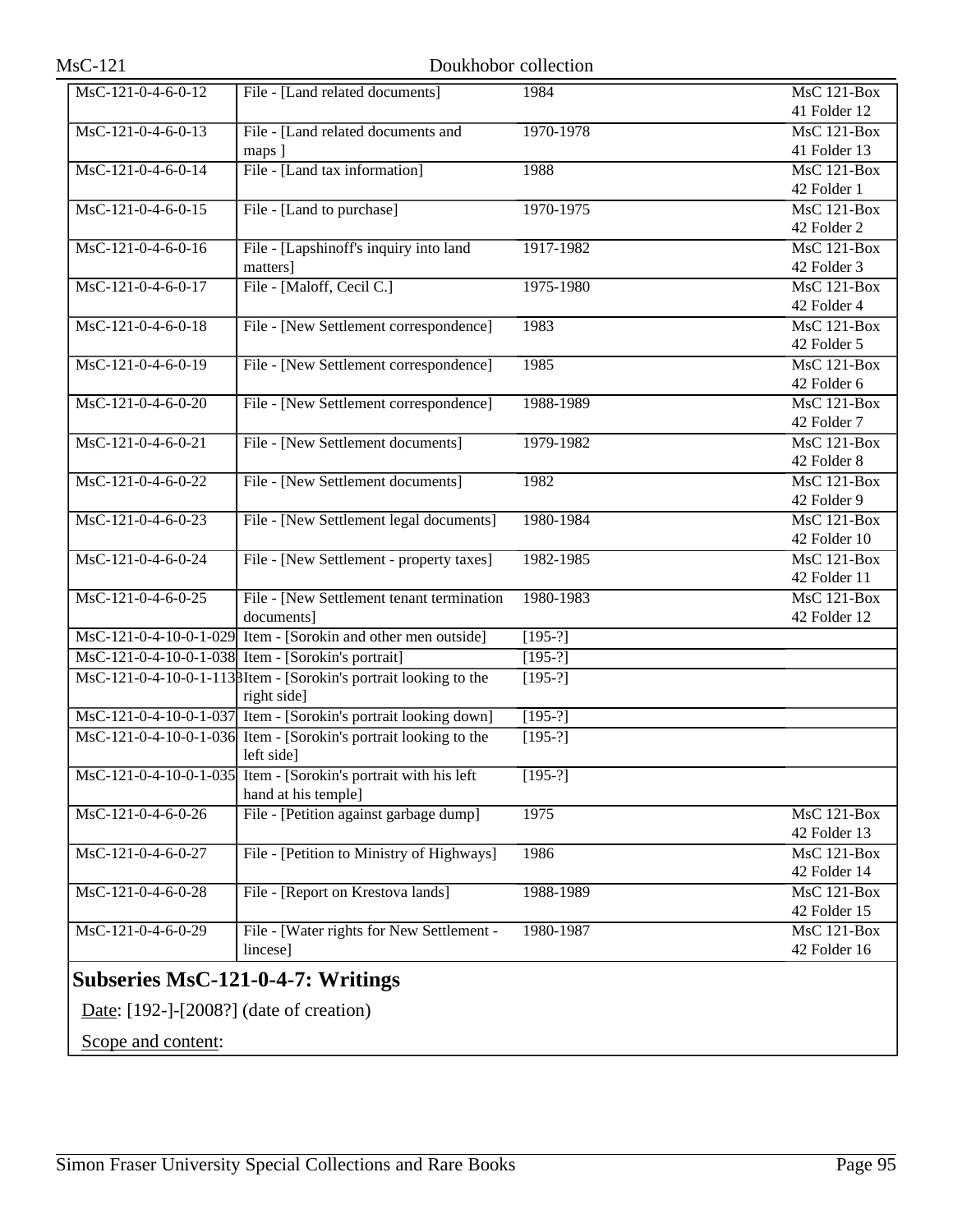| MsC-121-0-4-6-0-12                            | File - [Land related documents]                                  | 1984      | <b>MsC 121-Box</b>              |
|-----------------------------------------------|------------------------------------------------------------------|-----------|---------------------------------|
|                                               |                                                                  |           | 41 Folder 12                    |
| MsC-121-0-4-6-0-13                            | File - [Land related documents and                               | 1970-1978 | $MsC$ 121-Box                   |
|                                               | maps ]                                                           |           | 41 Folder 13                    |
| MsC-121-0-4-6-0-14                            | File - [Land tax information]                                    | 1988      | $\overline{\text{MsC 121-Box}}$ |
|                                               |                                                                  |           | 42 Folder 1                     |
| MsC-121-0-4-6-0-15                            | File - [Land to purchase]                                        | 1970-1975 | $\overline{\text{MsC}}$ 121-Box |
|                                               |                                                                  |           | 42 Folder 2                     |
| $MsC-121-0-4-6-0-16$                          | File - [Lapshinoff's inquiry into land                           | 1917-1982 | MsC 121-Box                     |
|                                               | matters]                                                         |           | 42 Folder 3                     |
| MsC-121-0-4-6-0-17                            | File - [Maloff, Cecil C.]                                        | 1975-1980 | $MsC$ 121-Box                   |
|                                               |                                                                  |           | 42 Folder 4                     |
| MsC-121-0-4-6-0-18                            | File - [New Settlement correspondence]                           | 1983      | MsC 121-Box                     |
|                                               |                                                                  |           | 42 Folder 5                     |
| MsC-121-0-4-6-0-19                            | File - [New Settlement correspondence]                           | 1985      | MsC 121-Box                     |
|                                               |                                                                  |           | 42 Folder 6                     |
| MsC-121-0-4-6-0-20                            | File - [New Settlement correspondence]                           | 1988-1989 | MsC 121-Box                     |
|                                               |                                                                  |           | 42 Folder 7                     |
| MsC-121-0-4-6-0-21                            | File - [New Settlement documents]                                | 1979-1982 | $MsC$ 121-Box                   |
|                                               |                                                                  |           | 42 Folder 8                     |
| MsC-121-0-4-6-0-22                            | File - [New Settlement documents]                                | 1982      | MsC 121-Box                     |
|                                               |                                                                  |           | 42 Folder 9                     |
| MsC-121-0-4-6-0-23                            | File - [New Settlement legal documents]                          | 1980-1984 | $MsC$ 121-Box                   |
|                                               |                                                                  |           | 42 Folder 10                    |
| MsC-121-0-4-6-0-24                            | File - [New Settlement - property taxes]                         | 1982-1985 | MsC 121-Box                     |
|                                               |                                                                  |           | 42 Folder 11                    |
| MsC-121-0-4-6-0-25                            | File - [New Settlement tenant termination                        | 1980-1983 | MsC 121-Box                     |
|                                               | documents]                                                       |           | 42 Folder 12                    |
|                                               | MsC-121-0-4-10-0-1-029 Item - [Sorokin and other men outside]    | $[195-?]$ |                                 |
|                                               | MsC-121-0-4-10-0-1-038 Item - [Sorokin's portrait]               | $[195-?]$ |                                 |
|                                               | MsC-121-0-4-10-0-1-1138Item - [Sorokin's portrait looking to the | $[195-?]$ |                                 |
|                                               | right side]                                                      |           |                                 |
|                                               | MsC-121-0-4-10-0-1-037 Item - [Sorokin's portrait looking down]  | $[195-?]$ |                                 |
|                                               | MsC-121-0-4-10-0-1-036 Item - [Sorokin's portrait looking to the | $[195-?]$ |                                 |
|                                               | left side]                                                       |           |                                 |
|                                               | MsC-121-0-4-10-0-1-035 Item - [Sorokin's portrait with his left  | $[195-?]$ |                                 |
|                                               | hand at his temple]                                              |           |                                 |
| $Ms\overline{C-121-0-4-6-0-26}$               | File - [Petition against garbage dump]                           | 1975      | MsC 121-Box                     |
|                                               |                                                                  |           | 42 Folder 13                    |
| MsC-121-0-4-6-0-27                            | File - [Petition to Ministry of Highways]                        | 1986      | MsC 121-Box                     |
|                                               |                                                                  |           | 42 Folder 14                    |
| MsC-121-0-4-6-0-28                            | File - [Report on Krestova lands]                                | 1988-1989 | MsC 121-Box                     |
|                                               |                                                                  |           | 42 Folder 15                    |
| $Ms\overline{C-121-0-4-6-0-29}$               | File - [Water rights for New Settlement -                        | 1980-1987 | $MsC$ 121-Box                   |
|                                               | lincese]                                                         |           | 42 Folder 16                    |
|                                               |                                                                  |           |                                 |
|                                               | <b>Subseries MsC-121-0-4-7: Writings</b>                         |           |                                 |
| Date: $[192$ -]- $[2008?]$ (date of creation) |                                                                  |           |                                 |
|                                               |                                                                  |           |                                 |

Scope and content: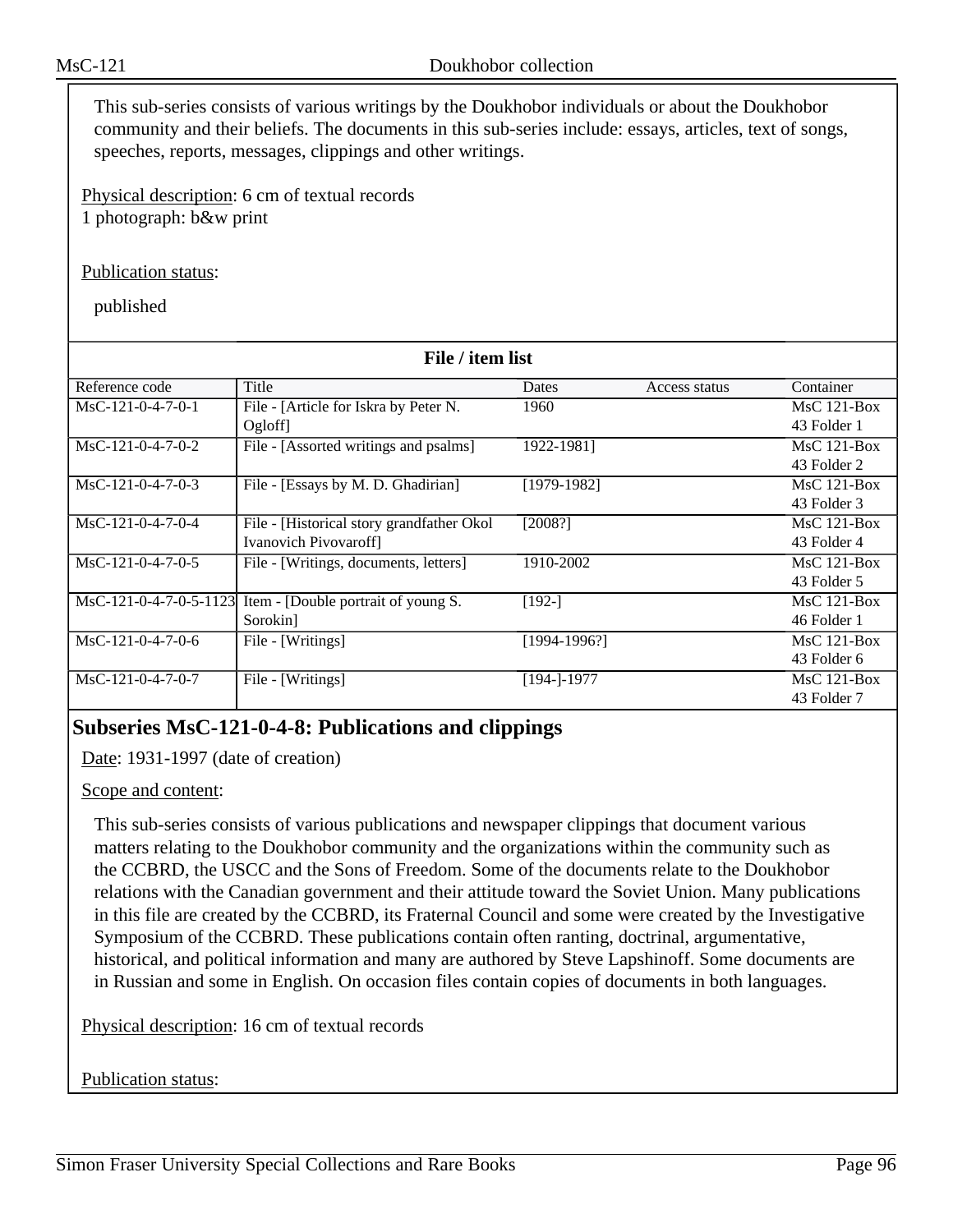This sub-series consists of various writings by the Doukhobor individuals or about the Doukhobor community and their beliefs. The documents in this sub-series include: essays, articles, text of songs, speeches, reports, messages, clippings and other writings.

Physical description: 6 cm of textual records 1 photograph: b&w print

### Publication status:

published

| File / item list       |                                            |              |               |               |
|------------------------|--------------------------------------------|--------------|---------------|---------------|
| Reference code         | Title                                      | Dates        | Access status | Container     |
| $MsC-121-0-4-7-0-1$    | File - [Article for Iskra by Peter N.      | 1960         |               | $MsC$ 121-Box |
|                        | Ogloff                                     |              |               | 43 Folder 1   |
| $MsC-121-0-4-7-0-2$    | File - [Assorted writings and psalms]      | 1922-1981]   |               | $MsC$ 121-Box |
|                        |                                            |              |               | 43 Folder 2   |
| $MsC-121-0-4-7-0-3$    | File - [Essays by M. D. Ghadirian]         | [1979-1982]  |               | $MsC$ 121-Box |
|                        |                                            |              |               | 43 Folder 3   |
| $MsC-121-0-4-7-0-4$    | File - [Historical story grandfather Okol] | [2008?]      |               | $MsC$ 121-Box |
|                        | <b>Ivanovich Pivovaroff</b>                |              |               | 43 Folder 4   |
| $MsC-121-0-4-7-0-5$    | File - [Writings, documents, letters]      | 1910-2002    |               | $MsC$ 121-Box |
|                        |                                            |              |               | 43 Folder 5   |
| MsC-121-0-4-7-0-5-1123 | Item - [Double portrait of young S.        | $[192-]$     |               | $MsC$ 121-Box |
|                        | Sorokin]                                   |              |               | 46 Folder 1   |
| $MsC-121-0-4-7-0-6$    | File - [Writings]                          | [1994-1996?] |               | $MsC$ 121-Box |
|                        |                                            |              |               | 43 Folder 6   |
| $MsC-121-0-4-7-0-7$    | File - [Writings]                          | [194-]-1977  |               | $MsC$ 121-Box |
|                        |                                            |              |               | 43 Folder 7   |

## **Subseries MsC-121-0-4-8: Publications and clippings**

Date: 1931-1997 (date of creation)

## Scope and content:

This sub-series consists of various publications and newspaper clippings that document various matters relating to the Doukhobor community and the organizations within the community such as the CCBRD, the USCC and the Sons of Freedom. Some of the documents relate to the Doukhobor relations with the Canadian government and their attitude toward the Soviet Union. Many publications in this file are created by the CCBRD, its Fraternal Council and some were created by the Investigative Symposium of the CCBRD. These publications contain often ranting, doctrinal, argumentative, historical, and political information and many are authored by Steve Lapshinoff. Some documents are in Russian and some in English. On occasion files contain copies of documents in both languages.

Physical description: 16 cm of textual records

### Publication status: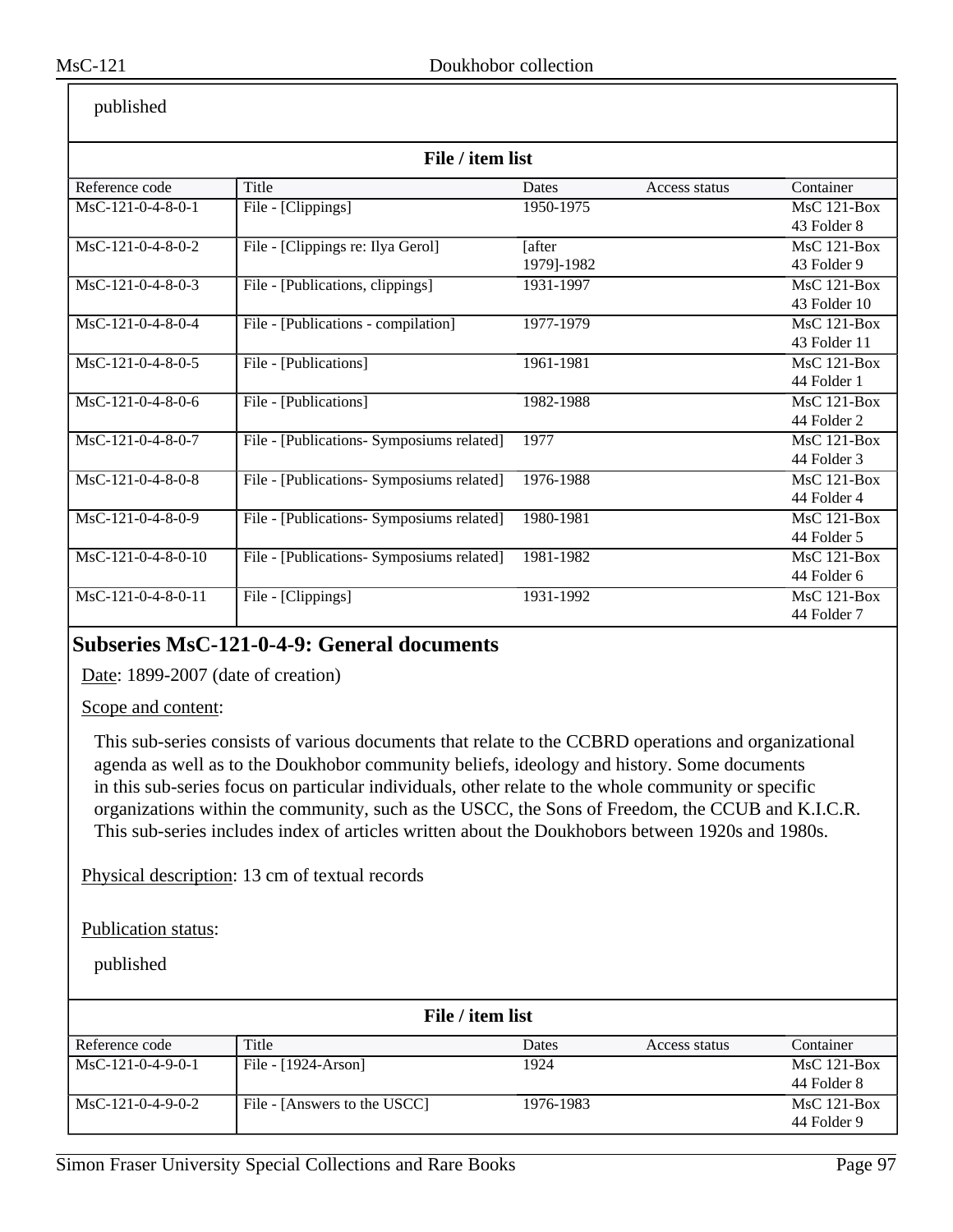| published            |                                           |            |               |                                 |
|----------------------|-------------------------------------------|------------|---------------|---------------------------------|
| File / item list     |                                           |            |               |                                 |
| Reference code       | Title                                     | Dates      | Access status | Container                       |
| MsC-121-0-4-8-0-1    | File - [Clippings]                        | 1950-1975  |               | $\overline{\text{MsC}}$ 121-Box |
|                      |                                           |            |               | 43 Folder 8                     |
| $MsC-121-0-4-8-0-2$  | File - [Clippings re: Ilya Gerol]         | [after     |               | MsC 121-Box                     |
|                      |                                           | 1979]-1982 |               | 43 Folder 9                     |
| MsC-121-0-4-8-0-3    | File - [Publications, clippings]          | 1931-1997  |               | $MsC$ 121-Box                   |
|                      |                                           |            |               | 43 Folder 10                    |
| $MsC-121-0-4-8-0-4$  | File - [Publications - compilation]       | 1977-1979  |               | $MsC$ 121-Box                   |
|                      |                                           |            |               | 43 Folder 11                    |
| $MsC-121-0-4-8-0-5$  | File - [Publications]                     | 1961-1981  |               | $\overline{\text{MsC}}$ 121-Box |
|                      |                                           |            |               | 44 Folder 1                     |
| $MsC-121-0-4-8-0-6$  | File - [Publications]                     | 1982-1988  |               | $MsC$ 121-Box                   |
|                      |                                           |            |               | 44 Folder 2                     |
| MsC-121-0-4-8-0-7    | File - [Publications- Symposiums related] | 1977       |               | $MsC$ 121-Box                   |
|                      |                                           |            |               | 44 Folder 3                     |
| MsC-121-0-4-8-0-8    | File - [Publications- Symposiums related] | 1976-1988  |               | MsC 121-Box                     |
|                      |                                           |            |               | 44 Folder 4                     |
| MsC-121-0-4-8-0-9    | File - [Publications- Symposiums related] | 1980-1981  |               | $MsC$ 121-Box                   |
|                      |                                           |            |               | 44 Folder 5                     |
| $MsC-121-0-4-8-0-10$ | File - [Publications- Symposiums related] | 1981-1982  |               | MsC 121-Box                     |
|                      |                                           |            |               | 44 Folder 6                     |
| MsC-121-0-4-8-0-11   | File - [Clippings]                        | 1931-1992  |               | $MsC$ 121-Box                   |
|                      |                                           |            |               | 44 Folder 7                     |

## **Subseries MsC-121-0-4-9: General documents**

Date: 1899-2007 (date of creation)

## Scope and content:

This sub-series consists of various documents that relate to the CCBRD operations and organizational agenda as well as to the Doukhobor community beliefs, ideology and history. Some documents in this sub-series focus on particular individuals, other relate to the whole community or specific organizations within the community, such as the USCC, the Sons of Freedom, the CCUB and K.I.C.R. This sub-series includes index of articles written about the Doukhobors between 1920s and 1980s.

Physical description: 13 cm of textual records

Publication status:

| File / item list    |                              |           |               |               |
|---------------------|------------------------------|-----------|---------------|---------------|
| Reference code      | Title                        | Dates     | Access status | Container     |
| $MsC-121-0-4-9-0-1$ | File - $[1924-Arson]$        | 1924      |               | $MsC$ 121-Box |
|                     |                              |           |               | 44 Folder 8   |
| $MsC-121-0-4-9-0-2$ | File - [Answers to the USCC] | 1976-1983 |               | $MsC$ 121-Box |
|                     |                              |           |               | 44 Folder 9   |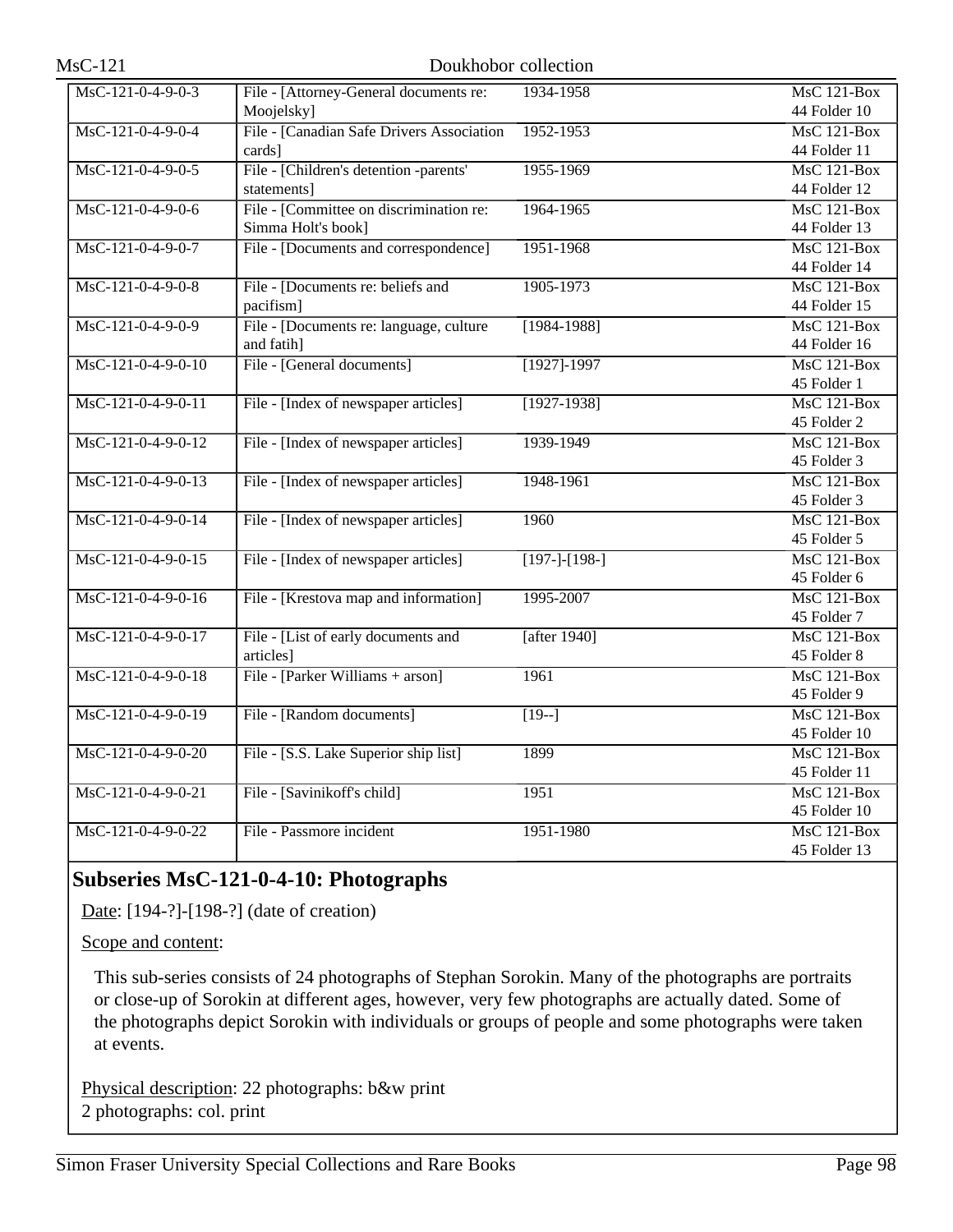| MsC-121-0-4-9-0-3    | File - [Attorney-General documents re:    | 1934-1958       | <b>MsC 121-Box</b>              |
|----------------------|-------------------------------------------|-----------------|---------------------------------|
|                      | Moojelsky]                                |                 | 44 Folder 10                    |
| MsC-121-0-4-9-0-4    | File - [Canadian Safe Drivers Association | 1952-1953       | MsC 121-Box                     |
|                      | cards]                                    |                 | 44 Folder 11                    |
| MsC-121-0-4-9-0-5    | File - [Children's detention -parents'    | 1955-1969       | $MsC$ 121-Box                   |
|                      | statements]                               |                 | 44 Folder 12                    |
| MsC-121-0-4-9-0-6    | File - [Committee on discrimination re:   | 1964-1965       | $MsC$ 121-Box                   |
|                      | Simma Holt's book]                        |                 | 44 Folder 13                    |
| MsC-121-0-4-9-0-7    | File - [Documents and correspondence]     | 1951-1968       | MsC 121-Box                     |
|                      |                                           |                 | 44 Folder 14                    |
| MsC-121-0-4-9-0-8    | File - [Documents re: beliefs and         | 1905-1973       | $\overline{\text{MsC 121-Box}}$ |
|                      | pacifism]                                 |                 | 44 Folder 15                    |
| MsC-121-0-4-9-0-9    | File - [Documents re: language, culture   | $[1984 - 1988]$ | <b>MsC 121-Box</b>              |
|                      | and fatih]                                |                 | 44 Folder 16                    |
| $MsC-121-0-4-9-0-10$ | File - [General documents]                | $[1927] - 1997$ | MsC 121-Box                     |
|                      |                                           |                 | 45 Folder 1                     |
| MsC-121-0-4-9-0-11   | File - [Index of newspaper articles]      | $[1927-1938]$   | $MsC$ 121-Box                   |
|                      |                                           |                 | 45 Folder 2                     |
| MsC-121-0-4-9-0-12   | File - [Index of newspaper articles]      | 1939-1949       | <b>MsC 121-Box</b>              |
|                      |                                           |                 | 45 Folder 3                     |
| MsC-121-0-4-9-0-13   | File - [Index of newspaper articles]      | 1948-1961       | MsC 121-Box                     |
|                      |                                           |                 | 45 Folder 3                     |
| MsC-121-0-4-9-0-14   | File - [Index of newspaper articles]      | 1960            | $MsC$ 121-Box                   |
|                      |                                           |                 | 45 Folder 5                     |
| MsC-121-0-4-9-0-15   | File - [Index of newspaper articles]      | $[197-]-[198-]$ | <b>MsC 121-Box</b>              |
|                      |                                           |                 | 45 Folder 6                     |
| MsC-121-0-4-9-0-16   | File - [Krestova map and information]     | 1995-2007       | MsC 121-Box                     |
|                      |                                           |                 | 45 Folder 7                     |
| MsC-121-0-4-9-0-17   | File - [List of early documents and       | [after 1940]    | <b>MsC 121-Box</b>              |
|                      | articles]                                 |                 | 45 Folder 8                     |
| MsC-121-0-4-9-0-18   | File - [Parker Williams + arson]          | 1961            | <b>MsC 121-Box</b>              |
|                      |                                           |                 | 45 Folder 9                     |
| MsC-121-0-4-9-0-19   | File - [Random documents]                 | $[19-]$         | MsC 121-Box                     |
|                      |                                           |                 | 45 Folder 10                    |
| MsC-121-0-4-9-0-20   | File - [S.S. Lake Superior ship list]     | 1899            | <b>MsC 121-Box</b>              |
|                      |                                           |                 | 45 Folder 11                    |
| MsC-121-0-4-9-0-21   | File - [Savinikoff's child]               | 1951            | <b>MsC 121-Box</b>              |
|                      |                                           |                 | 45 Folder 10                    |
| MsC-121-0-4-9-0-22   | File - Passmore incident                  | 1951-1980       | $MsC$ 121-Box                   |
|                      |                                           |                 | 45 Folder 13                    |

## **Subseries MsC-121-0-4-10: Photographs**

Date: [194-?]-[198-?] (date of creation)

Scope and content:

This sub-series consists of 24 photographs of Stephan Sorokin. Many of the photographs are portraits or close-up of Sorokin at different ages, however, very few photographs are actually dated. Some of the photographs depict Sorokin with individuals or groups of people and some photographs were taken at events.

Physical description: 22 photographs: b&w print 2 photographs: col. print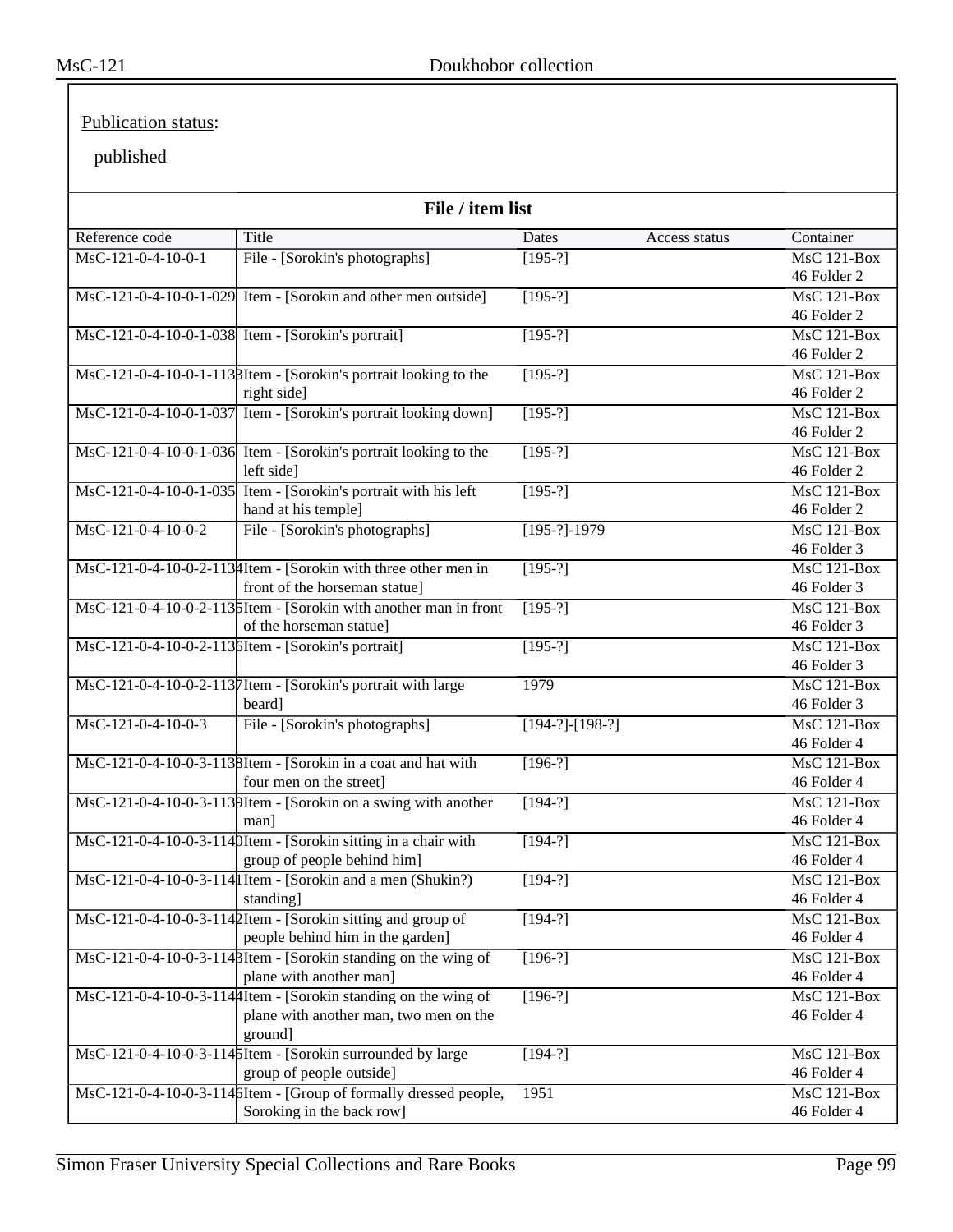## Publication status:

| File / item list     |                                                                                                 |                   |               |                                 |
|----------------------|-------------------------------------------------------------------------------------------------|-------------------|---------------|---------------------------------|
| Reference code       | Title                                                                                           | <b>Dates</b>      | Access status | Container                       |
| MsC-121-0-4-10-0-1   | File - [Sorokin's photographs]                                                                  | $[195-?]$         |               | MsC 121-Box                     |
|                      |                                                                                                 |                   |               | 46 Folder 2                     |
|                      | MsC-121-0-4-10-0-1-029 Item - [Sorokin and other men outside]                                   | $[195-?]$         |               | MsC 121-Box                     |
|                      |                                                                                                 |                   |               | 46 Folder 2                     |
|                      | MsC-121-0-4-10-0-1-038 Item - [Sorokin's portrait]                                              | $[195-?]$         |               | MsC 121-Box                     |
|                      |                                                                                                 |                   |               | 46 Folder 2                     |
|                      | MsC-121-0-4-10-0-1-1138Item - [Sorokin's portrait looking to the                                | $[195-?]$         |               | $MsC$ 121-Box                   |
|                      | right side]                                                                                     |                   |               | 46 Folder 2                     |
|                      | MsC-121-0-4-10-0-1-037 Item - [Sorokin's portrait looking down]                                 | $[195-?]$         |               | $MsC$ 121-Box                   |
|                      |                                                                                                 |                   |               | 46 Folder 2                     |
|                      | MsC-121-0-4-10-0-1-036 Item - [Sorokin's portrait looking to the                                | $[195-?]$         |               | $MsC$ 121-Box                   |
|                      | left side]                                                                                      |                   |               | 46 Folder 2                     |
|                      | MsC-121-0-4-10-0-1-035 Item - [Sorokin's portrait with his left                                 | $[195-?]$         |               | <b>MsC 121-Box</b>              |
|                      | hand at his temple]                                                                             |                   |               | 46 Folder 2                     |
| $MsC-121-0-4-10-0-2$ | File - [Sorokin's photographs]                                                                  | $[195-?]-1979$    |               | MsC 121-Box<br>46 Folder 3      |
|                      |                                                                                                 |                   |               |                                 |
|                      | MsC-121-0-4-10-0-2-113 Htem - [Sorokin with three other men in<br>front of the horseman statue] | $[195-?]$         |               | MsC 121-Box<br>46 Folder 3      |
|                      |                                                                                                 | $[195-?]$         |               | <b>MsC 121-Box</b>              |
|                      | MsC-121-0-4-10-0-2-1135Item - [Sorokin with another man in front<br>of the horseman statue]     |                   |               | 46 Folder 3                     |
|                      | MsC-121-0-4-10-0-2-113 bItem - [Sorokin's portrait]                                             | $[195-?]$         |               | $MsC$ 121-Box                   |
|                      |                                                                                                 |                   |               | 46 Folder 3                     |
|                      | MsC-121-0-4-10-0-2-1137 Item - [Sorokin's portrait with large                                   | 1979              |               | MsC 121-Box                     |
|                      | beard]                                                                                          |                   |               | 46 Folder 3                     |
| $MsC-121-0-4-10-0-3$ | File - [Sorokin's photographs]                                                                  | $[194-?]-[198-?]$ |               | $\overline{\text{MsC 121-Box}}$ |
|                      |                                                                                                 |                   |               | 46 Folder 4                     |
|                      | MsC-121-0-4-10-0-3-1138Item - [Sorokin in a coat and hat with                                   | $[196-?]$         |               | MsC 121-Box                     |
|                      | four men on the street]                                                                         |                   |               | 46 Folder 4                     |
|                      | MsC-121-0-4-10-0-3-1139Item - [Sorokin on a swing with another                                  | $[194-?]$         |               | MsC 121-Box                     |
|                      | man]                                                                                            |                   |               | 46 Folder 4                     |
|                      | MsC-121-0-4-10-0-3-1140Item - [Sorokin sitting in a chair with                                  | $[194-?]$         |               | MsC 121-Box                     |
|                      | group of people behind him]                                                                     |                   |               | 46 Folder 4                     |
|                      | MsC-121-0-4-10-0-3-114 Item - [Sorokin and a men (Shukin?)                                      | $[194-?]$         |               | MsC 121-Box                     |
|                      | standing]                                                                                       |                   |               | 46 Folder 4                     |
|                      | MsC-121-0-4-10-0-3-1142Item - [Sorokin sitting and group of                                     | $[194-?]$         |               | MsC 121-Box                     |
|                      | people behind him in the garden]                                                                |                   |               | 46 Folder 4                     |
|                      | $\text{MsC-121-0-4-10-0-3-114\beta}$ Item - [Sorokin standing on the wing of                    | $[196-?]$         |               | MsC 121-Box                     |
|                      | plane with another man]                                                                         |                   |               | 46 Folder 4                     |
|                      | MsC-121-0-4-10-0-3-1144Item - [Sorokin standing on the wing of                                  | $[196-?]$         |               | MsC 121-Box                     |
|                      | plane with another man, two men on the                                                          |                   |               | 46 Folder 4                     |
|                      | ground]                                                                                         |                   |               |                                 |
|                      | MsC-121-0-4-10-0-3-114 SItem - [Sorokin surrounded by large                                     | $[194-?]$         |               | MsC 121-Box                     |
|                      | group of people outside]                                                                        |                   |               | 46 Folder 4                     |
|                      | MsC-121-0-4-10-0-3-1146Item - [Group of formally dressed people,                                | 1951              |               | <b>MsC 121-Box</b>              |
|                      | Soroking in the back row]                                                                       |                   |               | 46 Folder 4                     |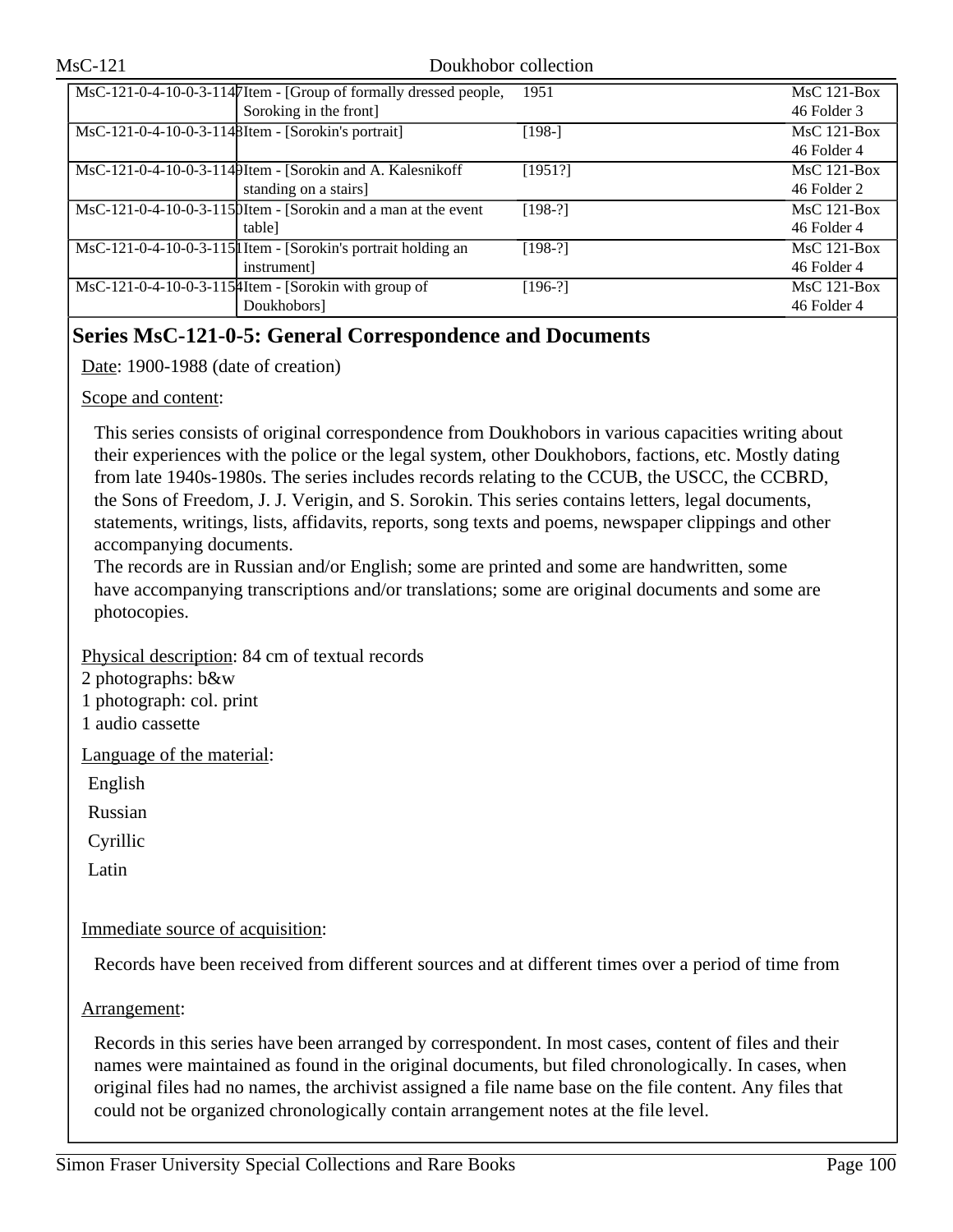| MsC-121-0-4-10-0-3-1147 Item - [Group of formally dressed people, | 1951      | $MsC$ 121-Box |
|-------------------------------------------------------------------|-----------|---------------|
| Soroking in the front]                                            |           | 46 Folder 3   |
| MsC-121-0-4-10-0-3-1148Item - [Sorokin's portrait]                | $[198-]$  | $MsC$ 121-Box |
|                                                                   |           | 46 Folder 4   |
| MsC-121-0-4-10-0-3-1149Item - [Sorokin and A. Kalesnikoff         | [1951?]   | $MsC$ 121-Box |
| standing on a stairs]                                             |           | 46 Folder 2   |
| MsC-121-0-4-10-0-3-1150Item - [Sorokin and a man at the event     | $[198-?]$ | $MsC$ 121-Box |
| table                                                             |           | 46 Folder 4   |
| MsC-121-0-4-10-0-3-115 [I Item - [Sorokin's portrait holding an   | $[198-?]$ | $MsC$ 121-Box |
| instrument]                                                       |           | 46 Folder 4   |
| $\overline{\text{MsC-121-0-4-10-0-3-115}}$ [Sorokin with group of | $[196-?]$ | $MsC$ 121-Box |
| Doukhobors]                                                       |           | 46 Folder 4   |

## **Series MsC-121-0-5: General Correspondence and Documents**

Date: 1900-1988 (date of creation)

### Scope and content:

This series consists of original correspondence from Doukhobors in various capacities writing about their experiences with the police or the legal system, other Doukhobors, factions, etc. Mostly dating from late 1940s-1980s. The series includes records relating to the CCUB, the USCC, the CCBRD, the Sons of Freedom, J. J. Verigin, and S. Sorokin. This series contains letters, legal documents, statements, writings, lists, affidavits, reports, song texts and poems, newspaper clippings and other accompanying documents.

The records are in Russian and/or English; some are printed and some are handwritten, some have accompanying transcriptions and/or translations; some are original documents and some are photocopies.

## Physical description: 84 cm of textual records

- 2 photographs: b&w
- 1 photograph: col. print
- 1 audio cassette

Language of the material:

English

Russian

Cyrillic

Latin

## Immediate source of acquisition:

Records have been received from different sources and at different times over a period of time from

## Arrangement:

Records in this series have been arranged by correspondent. In most cases, content of files and their names were maintained as found in the original documents, but filed chronologically. In cases, when original files had no names, the archivist assigned a file name base on the file content. Any files that could not be organized chronologically contain arrangement notes at the file level.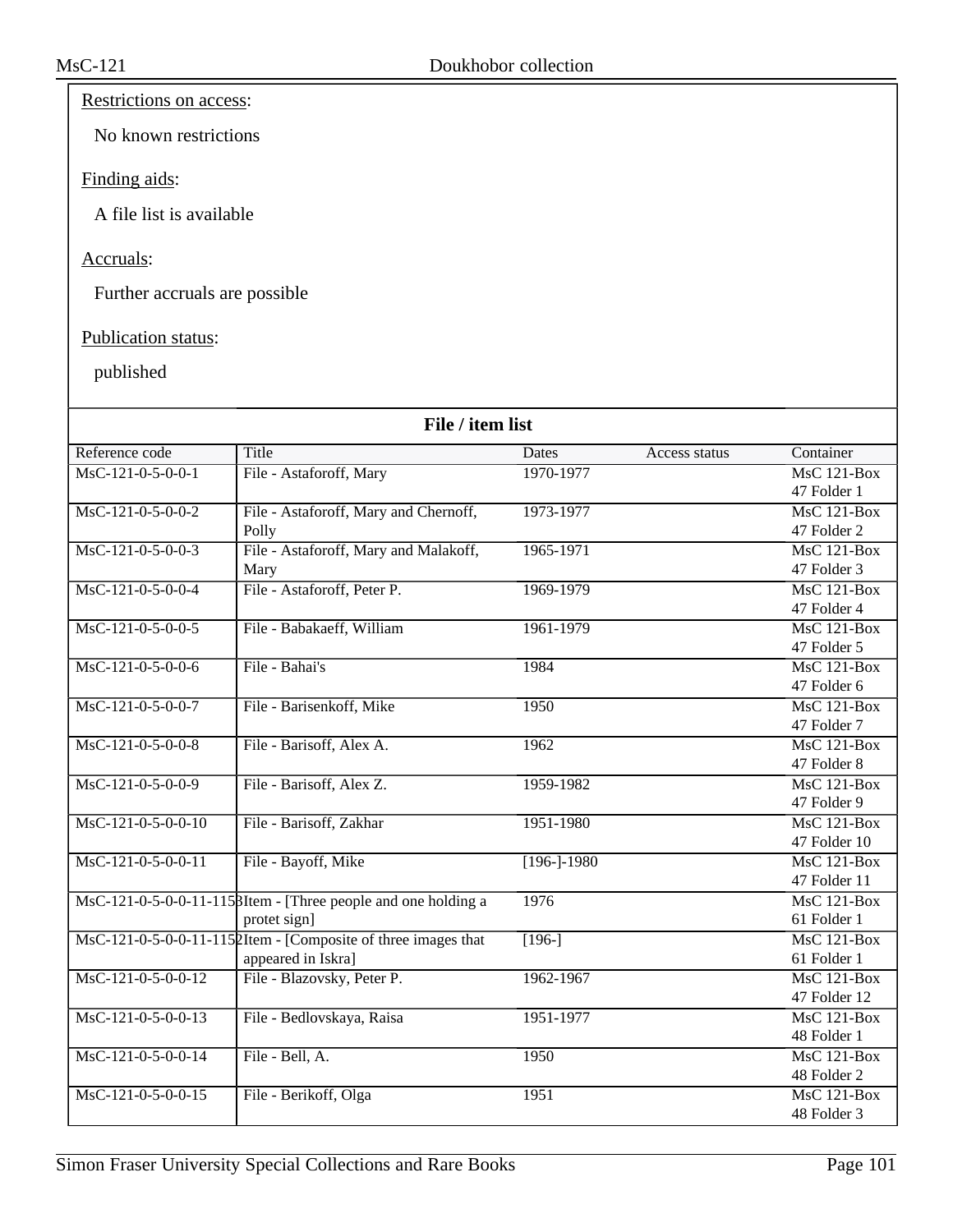## Restrictions on access:

No known restrictions

### Finding aids:

A file list is available

## Accruals:

Further accruals are possible

## Publication status:

|                                       | File / item list                                               |                |               |                                 |  |
|---------------------------------------|----------------------------------------------------------------|----------------|---------------|---------------------------------|--|
| Reference code                        | Title                                                          | Dates          | Access status | Container                       |  |
| $MsC-121-0-5-0-0-1$                   | File - Astaforoff, Mary                                        | 1970-1977      |               | $\overline{\text{MsC 121-Box}}$ |  |
|                                       |                                                                |                |               | 47 Folder 1                     |  |
| $MsC-121-0-5-0-0-2$                   | File - Astaforoff, Mary and Chernoff,                          | 1973-1977      |               | <b>MsC 121-Box</b>              |  |
|                                       | Polly                                                          |                |               | 47 Folder 2                     |  |
| $\overline{\text{MsC-121-0-5-0-0-3}}$ | File - Astaforoff, Mary and Malakoff,                          | 1965-1971      |               | $MsC$ 121-Box                   |  |
|                                       | Mary                                                           |                |               | 47 Folder 3                     |  |
| MsC-121-0-5-0-0-4                     | File - Astaforoff, Peter P.                                    | 1969-1979      |               | <b>MsC 121-Box</b>              |  |
|                                       |                                                                |                |               | 47 Folder 4                     |  |
| $MsC-121-0-5-0-0-5$                   | File - Babakaeff, William                                      | 1961-1979      |               | $MsC$ 121-Box                   |  |
|                                       |                                                                |                |               | 47 Folder 5                     |  |
| $MsC-121-0-5-0-0-6$                   | File - Bahai's                                                 | 1984           |               | $MsC$ 121-Box                   |  |
|                                       |                                                                |                |               | 47 Folder 6                     |  |
| MsC-121-0-5-0-0-7                     | File - Barisenkoff, Mike                                       | 1950           |               | $MsC$ 121-Box                   |  |
|                                       |                                                                |                |               | 47 Folder 7                     |  |
| $MsC-121-0-5-0-0-8$                   | File - Barisoff, Alex A.                                       | 1962           |               | $MsC$ 121-Box                   |  |
|                                       |                                                                |                |               | 47 Folder 8                     |  |
| $MsC-121-0-5-0-0-9$                   | File - Barisoff, Alex Z.                                       | 1959-1982      |               | $MsC$ 121-Box                   |  |
|                                       |                                                                |                |               | 47 Folder 9                     |  |
| $MsC-121-0-5-0-0-10$                  | File - Barisoff, Zakhar                                        | 1951-1980      |               | <b>MsC 121-Box</b>              |  |
|                                       |                                                                |                |               | 47 Folder 10                    |  |
| $MsC-121-0-5-0-0-11$                  | File - Bayoff, Mike                                            | $[196 - 1980]$ |               | <b>MsC 121-Box</b>              |  |
|                                       |                                                                |                |               | 47 Folder 11                    |  |
|                                       | MsC-121-0-5-0-0-11-115 BItem - [Three people and one holding a | 1976           |               | $MsC$ 121-Box                   |  |
|                                       | protet sign]                                                   |                |               | 61 Folder 1                     |  |
|                                       | MsC-121-0-5-0-0-11-1152Item - [Composite of three images that  | $[196-]$       |               | $MsC$ 121-Box                   |  |
|                                       | appeared in Iskra]                                             |                |               | 61 Folder 1                     |  |
| $MsC-121-0-5-0-0-12$                  | File - Blazovsky, Peter P.                                     | 1962-1967      |               | <b>MsC 121-Box</b>              |  |
|                                       |                                                                |                |               | 47 Folder 12                    |  |
| $MsC-121-0-5-0-0-13$                  | File - Bedlovskaya, Raisa                                      | 1951-1977      |               | $MsC$ 121-Box                   |  |
|                                       |                                                                |                |               | 48 Folder 1                     |  |
| $MsC-121-0-5-0-0-14$                  | File - Bell, A.                                                | 1950           |               | $MsC$ 121-Box                   |  |
|                                       |                                                                |                |               | 48 Folder 2                     |  |
| MsC-121-0-5-0-0-15                    | File - Berikoff, Olga                                          | 1951           |               | <b>MsC 121-Box</b>              |  |
|                                       |                                                                |                |               | 48 Folder 3                     |  |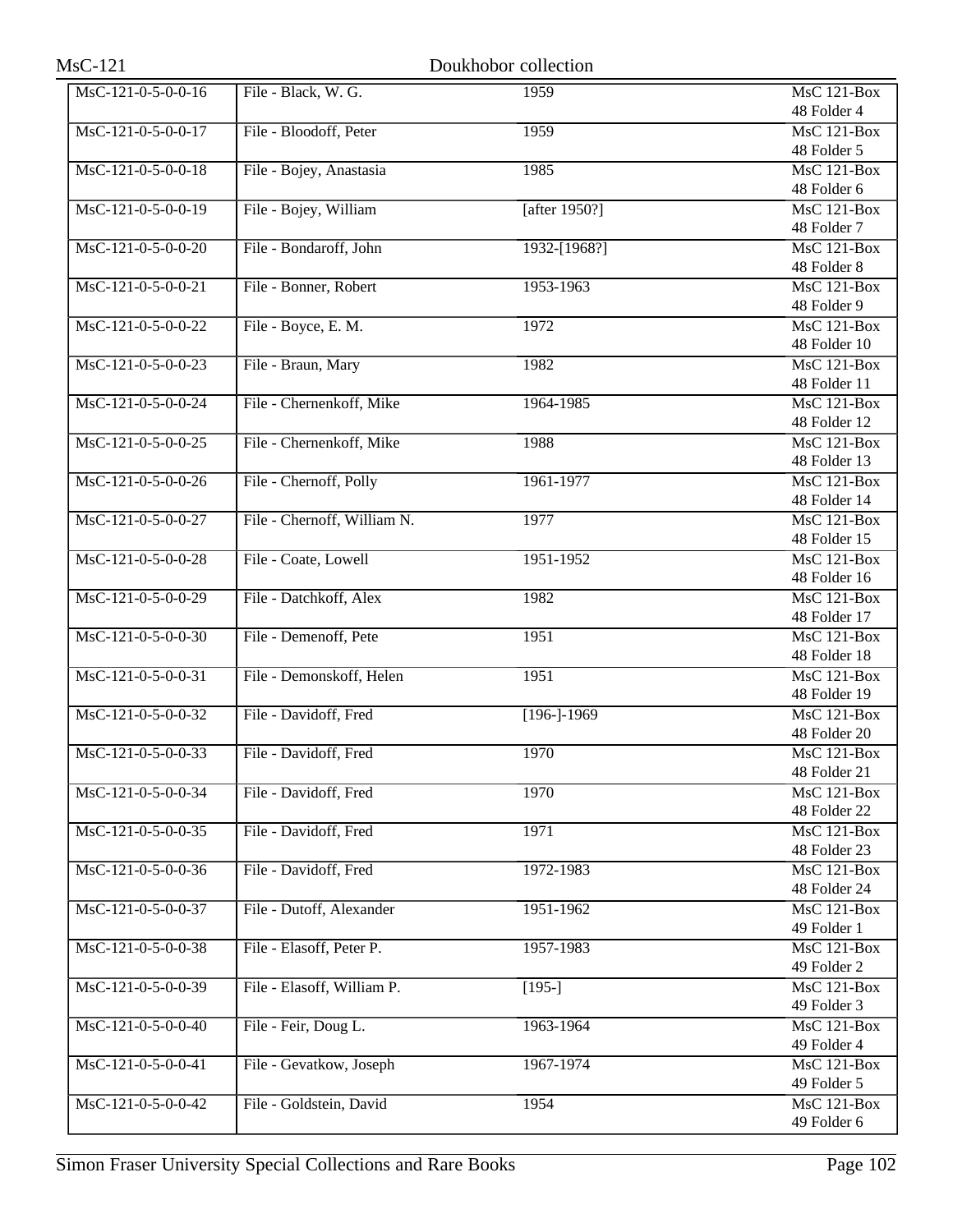| $MsC-121$                              |                             | Doukhobor collection |                                 |
|----------------------------------------|-----------------------------|----------------------|---------------------------------|
| MsC-121-0-5-0-0-16                     | File - Black, W. G.         | 1959                 | <b>MsC 121-Box</b>              |
|                                        |                             |                      | 48 Folder 4                     |
| $MsC-121-0-5-0-0-17$                   | File - Bloodoff, Peter      | 1959                 | $MsC$ 121-Box                   |
|                                        |                             |                      | 48 Folder 5                     |
| MsC-121-0-5-0-0-18                     | File - Bojey, Anastasia     | 1985                 | MsC 121-Box                     |
|                                        |                             |                      | 48 Folder 6                     |
| MsC-121-0-5-0-0-19                     | File - Bojey, William       | [after 1950?]        | MsC 121-Box                     |
|                                        |                             |                      | 48 Folder 7                     |
| $MsC-121-0-5-0-0-20$                   | File - Bondaroff, John      | 1932-[1968?]         | $MsC$ 121-Box                   |
|                                        |                             |                      | 48 Folder 8                     |
| $MsC-121-0-5-0-0-21$                   | File - Bonner, Robert       | 1953-1963            | <b>MsC 121-Box</b>              |
|                                        |                             |                      | 48 Folder 9                     |
| MsC-121-0-5-0-0-22                     | File - Boyce, E. M.         | 1972                 | <b>MsC 121-Box</b>              |
|                                        |                             |                      | 48 Folder 10                    |
| $\overline{\text{MsC-121-0-5-0-0-23}}$ | File - Braun, Mary          | 1982                 | MsC 121-Box                     |
|                                        |                             |                      | 48 Folder 11                    |
| MsC-121-0-5-0-0-24                     | File - Chernenkoff, Mike    | 1964-1985            | MsC 121-Box                     |
|                                        |                             |                      | 48 Folder 12                    |
| $\overline{\text{MsC-121-0-5-0-0-25}}$ | File - Chernenkoff, Mike    | 1988                 | <b>MsC 121-Box</b>              |
|                                        |                             |                      | 48 Folder 13                    |
| $MsC-121-0-5-0-0-26$                   | File - Chernoff, Polly      | 1961-1977            | $MsC$ 121-Box                   |
|                                        |                             |                      | 48 Folder 14                    |
| MsC-121-0-5-0-0-27                     | File - Chernoff, William N. | 1977                 | $MsC$ 121-Box                   |
|                                        |                             |                      | 48 Folder 15                    |
| MsC-121-0-5-0-0-28                     | File - Coate, Lowell        | 1951-1952            | <b>MsC 121-Box</b>              |
|                                        |                             |                      | 48 Folder 16                    |
| MsC-121-0-5-0-0-29                     | File - Datchkoff, Alex      | 1982                 | MsC 121-Box                     |
|                                        |                             |                      | 48 Folder 17                    |
| MsC-121-0-5-0-0-30                     | File - Demenoff, Pete       | 1951                 | MsC 121-Box                     |
|                                        |                             |                      | 48 Folder 18                    |
| $MsC-121-0-5-0-0-31$                   | File - Demonskoff, Helen    | 1951                 | MsC 121-Box                     |
|                                        |                             |                      | 48 Folder 19                    |
| $MsC-121-0-5-0-0-32$                   | File - Davidoff, Fred       | $[196 - 1969]$       | <b>MsC 121-Box</b>              |
|                                        |                             |                      | 48 Folder 20                    |
| MsC-121-0-5-0-0-33                     | File - Davidoff, Fred       | 1970                 | <b>MsC 121-Box</b>              |
|                                        |                             |                      | 48 Folder 21                    |
| MsC-121-0-5-0-0-34                     | File - Davidoff, Fred       | 1970                 | <b>MsC 121-Box</b>              |
|                                        |                             |                      | 48 Folder 22                    |
| $MsC-121-0-5-0-0-35$                   | File - Davidoff, Fred       | 1971                 | <b>MsC 121-Box</b>              |
|                                        |                             |                      | 48 Folder 23                    |
| MsC-121-0-5-0-0-36                     | File - Davidoff, Fred       | 1972-1983            | <b>MsC 121-Box</b>              |
|                                        |                             |                      | 48 Folder 24                    |
| MsC-121-0-5-0-0-37                     | File - Dutoff, Alexander    | 1951-1962            | MsC 121-Box                     |
|                                        |                             |                      | 49 Folder 1                     |
| MsC-121-0-5-0-0-38                     | File - Elasoff, Peter P.    | 1957-1983            | <b>MsC 121-Box</b>              |
|                                        |                             |                      | 49 Folder 2                     |
| MsC-121-0-5-0-0-39                     | File - Elasoff, William P.  | $[195-]$             | <b>MsC 121-Box</b>              |
|                                        |                             |                      | 49 Folder 3                     |
| MsC-121-0-5-0-0-40                     | File - Feir, Doug L.        | 1963-1964            | $\overline{\text{MsC}}$ 121-Box |
|                                        |                             |                      | 49 Folder 4                     |
| $MsC-121-0-5-0-0-41$                   | File - Gevatkow, Joseph     | 1967-1974            | <b>MsC 121-Box</b>              |
|                                        |                             |                      | 49 Folder 5                     |
| MsC-121-0-5-0-0-42                     |                             |                      | <b>MsC 121-Box</b>              |
|                                        | File - Goldstein, David     | 1954                 |                                 |
|                                        |                             |                      | 49 Folder 6                     |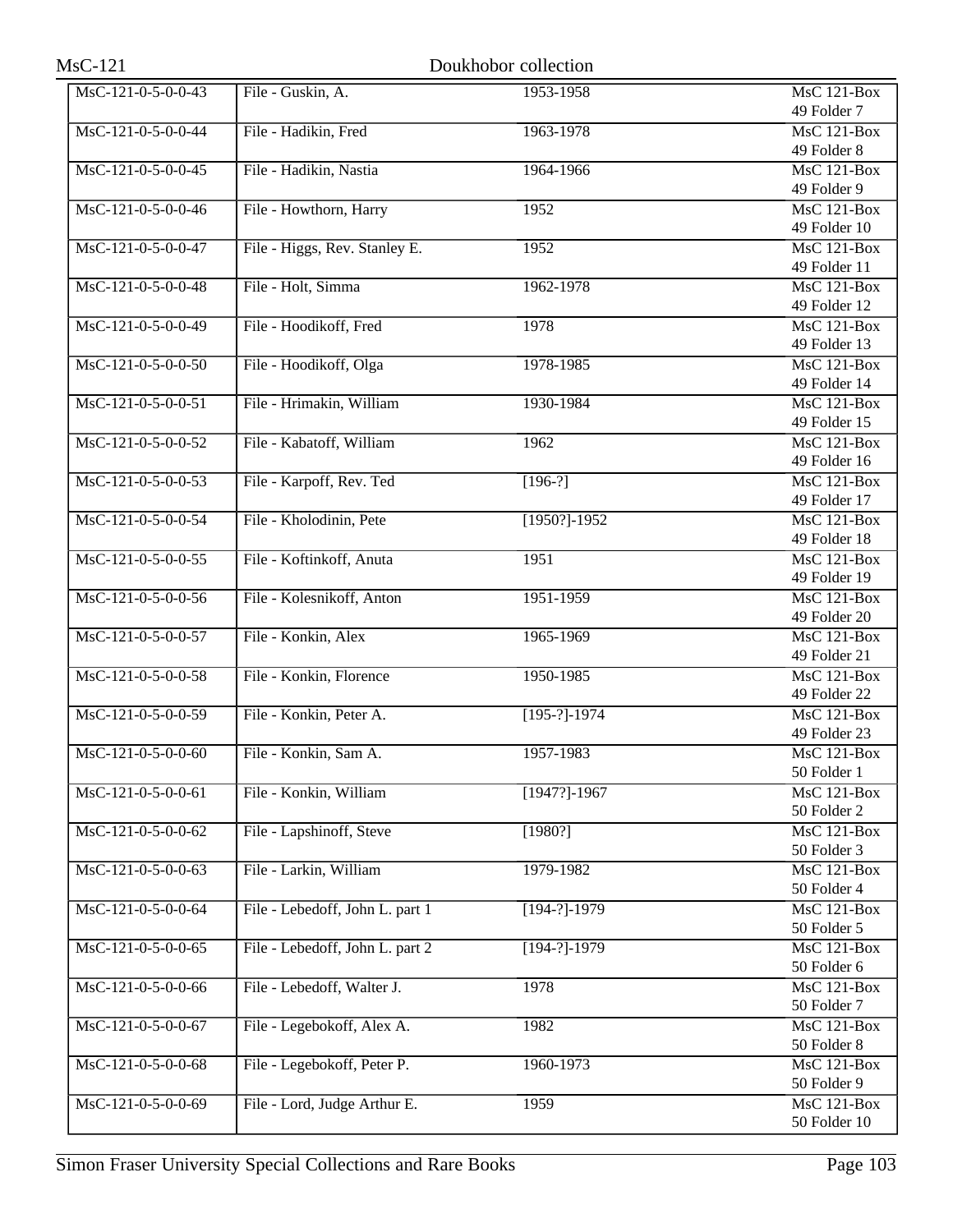| $MsC-121$            |                                 | Doukhobor collection |                                 |
|----------------------|---------------------------------|----------------------|---------------------------------|
| MsC-121-0-5-0-0-43   | File - Guskin, A.               | 1953-1958            | <b>MsC 121-Box</b>              |
|                      |                                 |                      | 49 Folder 7                     |
| MsC-121-0-5-0-0-44   | File - Hadikin, Fred            | 1963-1978            | MsC 121-Box                     |
|                      |                                 |                      | 49 Folder 8                     |
| MsC-121-0-5-0-0-45   | File - Hadikin, Nastia          | 1964-1966            | MsC 121-Box                     |
|                      |                                 |                      | 49 Folder 9                     |
| MsC-121-0-5-0-0-46   | File - Howthorn, Harry          | 1952                 | MsC 121-Box                     |
|                      |                                 |                      | 49 Folder 10                    |
| MsC-121-0-5-0-0-47   | File - Higgs, Rev. Stanley E.   | 1952                 | $MsC$ 121-Box                   |
|                      |                                 |                      | 49 Folder 11                    |
| MsC-121-0-5-0-0-48   | File - Holt, Simma              | 1962-1978            | MsC 121-Box                     |
|                      |                                 |                      | 49 Folder 12                    |
| MsC-121-0-5-0-0-49   | File - Hoodikoff, Fred          | 1978                 | $\overline{\text{MsC 121-Box}}$ |
|                      |                                 |                      | 49 Folder 13                    |
| $MsC-121-0-5-0-0-50$ | File - Hoodikoff, Olga          | 1978-1985            | $MsC$ 121-Box                   |
|                      |                                 |                      | 49 Folder 14                    |
| MsC-121-0-5-0-0-51   | File - Hrimakin, William        | 1930-1984            | MsC 121-Box                     |
|                      |                                 |                      | 49 Folder 15                    |
| MsC-121-0-5-0-0-52   | File - Kabatoff, William        | 1962                 | <b>MsC 121-Box</b>              |
|                      |                                 |                      | 49 Folder 16                    |
| $MsC-121-0-5-0-0-53$ | File - Karpoff, Rev. Ted        | $[196-?]$            | MsC 121-Box                     |
|                      |                                 |                      | 49 Folder 17                    |
| MsC-121-0-5-0-0-54   | File - Kholodinin, Pete         | $[1950?] - 1952$     | $MsC$ 121-Box                   |
|                      |                                 |                      | 49 Folder 18                    |
| $MsC-121-0-5-0-0-55$ | File - Koftinkoff, Anuta        | 1951                 | <b>MsC 121-Box</b>              |
| $MsC-121-0-5-0-0-56$ |                                 |                      | 49 Folder 19                    |
|                      | File - Kolesnikoff, Anton       | 1951-1959            | MsC 121-Box<br>49 Folder 20     |
| MsC-121-0-5-0-0-57   | File - Konkin, Alex             | 1965-1969            | MsC 121-Box                     |
|                      |                                 |                      | 49 Folder 21                    |
| MsC-121-0-5-0-0-58   | File - Konkin, Florence         | 1950-1985            | MsC 121-Box                     |
|                      |                                 |                      | 49 Folder 22                    |
| MsC-121-0-5-0-0-59   | File - Konkin, Peter A.         | $[195-?]-1974$       | $\overline{\text{MsC 121-Box}}$ |
|                      |                                 |                      | 49 Folder 23                    |
| MsC-121-0-5-0-0-60   | File - Konkin, Sam A.           | 1957-1983            | <b>MsC 121-Box</b>              |
|                      |                                 |                      | 50 Folder 1                     |
| MsC-121-0-5-0-0-61   | File - Konkin, William          | $[1947?] - 1967$     | <b>MsC 121-Box</b>              |
|                      |                                 |                      | 50 Folder 2                     |
| MsC-121-0-5-0-0-62   | File - Lapshinoff, Steve        | [1980?]              | MsC 121-Box                     |
|                      |                                 |                      | 50 Folder 3                     |
| MsC-121-0-5-0-0-63   | File - Larkin, William          | 1979-1982            | MsC 121-Box                     |
|                      |                                 |                      | 50 Folder 4                     |
| MsC-121-0-5-0-0-64   | File - Lebedoff, John L. part 1 | $[194-?]-1979$       | <b>MsC 121-Box</b>              |
|                      |                                 |                      | 50 Folder 5                     |
| MsC-121-0-5-0-0-65   | File - Lebedoff, John L. part 2 | $[194-?]-1979$       | MsC 121-Box                     |
|                      |                                 |                      | 50 Folder 6                     |
| MsC-121-0-5-0-0-66   | File - Lebedoff, Walter J.      | 1978                 | MsC 121-Box                     |
|                      |                                 |                      | 50 Folder 7                     |
| MsC-121-0-5-0-0-67   | File - Legebokoff, Alex A.      | 1982                 | <b>MsC 121-Box</b>              |
|                      |                                 |                      | 50 Folder 8                     |
| MsC-121-0-5-0-0-68   | File - Legebokoff, Peter P.     | 1960-1973            | MsC 121-Box                     |
|                      |                                 |                      | 50 Folder 9                     |
| MsC-121-0-5-0-0-69   | File - Lord, Judge Arthur E.    | 1959                 | <b>MsC 121-Box</b>              |
|                      |                                 |                      | 50 Folder 10                    |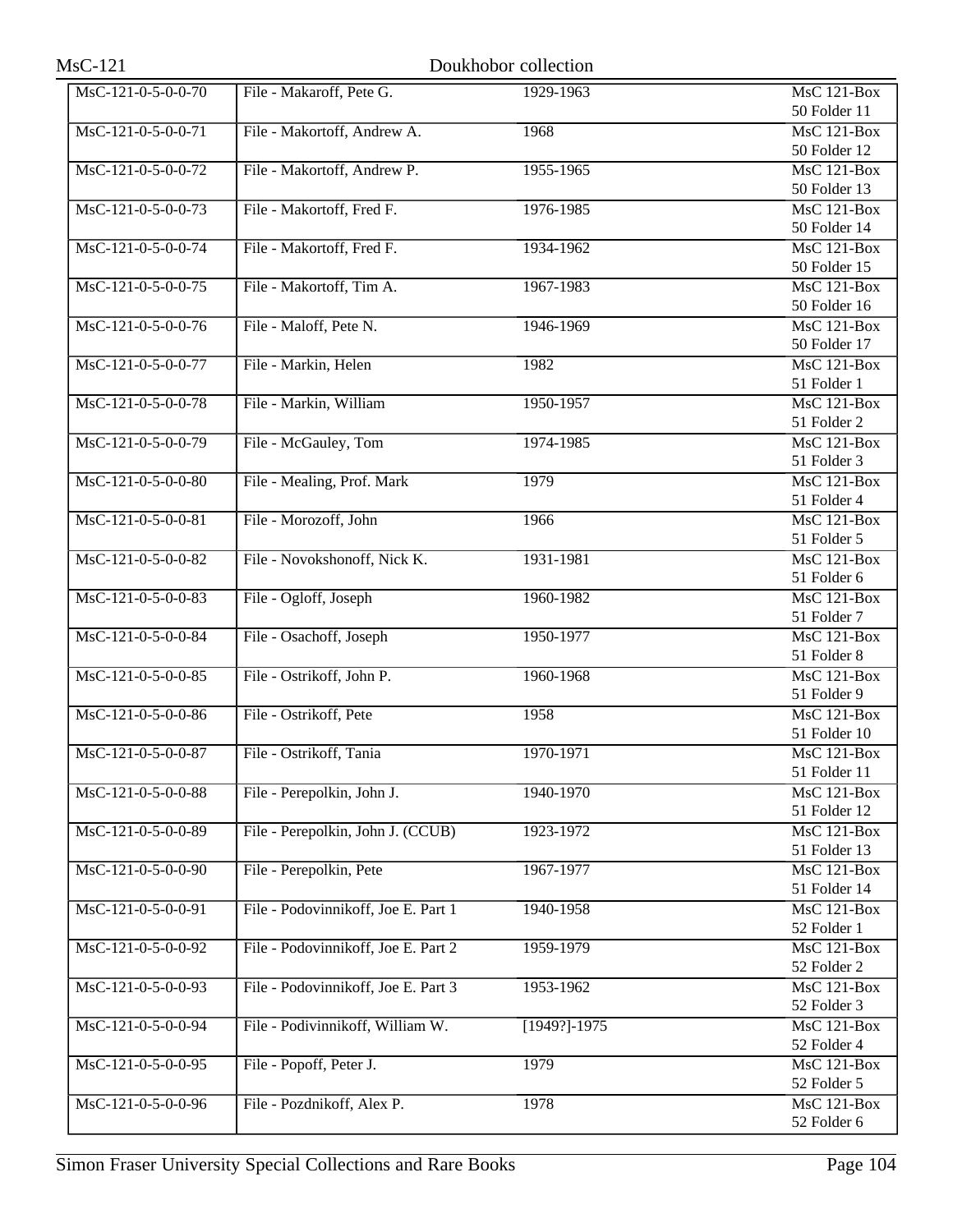| $MsC-121$                              |                                     | Doukhobor collection |                                 |
|----------------------------------------|-------------------------------------|----------------------|---------------------------------|
| MsC-121-0-5-0-0-70                     | File - Makaroff, Pete G.            | 1929-1963            | <b>MsC 121-Box</b>              |
|                                        |                                     |                      | 50 Folder 11                    |
| MsC-121-0-5-0-0-71                     | File - Makortoff, Andrew A.         | 1968                 | MsC 121-Box                     |
|                                        |                                     |                      | 50 Folder 12                    |
| MsC-121-0-5-0-0-72                     | File - Makortoff, Andrew P.         | 1955-1965            | MsC 121-Box                     |
|                                        |                                     |                      | 50 Folder 13                    |
| MsC-121-0-5-0-0-73                     | File - Makortoff, Fred F.           | 1976-1985            | <b>MsC 121-Box</b>              |
|                                        |                                     |                      | 50 Folder 14                    |
| $\overline{\text{MsC-121-0-5-0-0-74}}$ | File - Makortoff, Fred F.           | 1934-1962            | $MsC$ 121-Box                   |
|                                        |                                     |                      | 50 Folder 15                    |
| MsC-121-0-5-0-0-75                     | File - Makortoff, Tim A.            | 1967-1983            | <b>MsC 121-Box</b>              |
|                                        |                                     |                      | 50 Folder 16                    |
| MsC-121-0-5-0-0-76                     | File - Maloff, Pete N.              | 1946-1969            | $MsC$ 121-Box                   |
|                                        |                                     |                      | 50 Folder 17                    |
| MsC-121-0-5-0-0-77                     | File - Markin, Helen                | 1982                 | MsC 121-Box                     |
|                                        |                                     |                      | 51 Folder 1                     |
| MsC-121-0-5-0-0-78                     | File - Markin, William              | 1950-1957            | MsC 121-Box                     |
|                                        |                                     |                      | 51 Folder 2                     |
| MsC-121-0-5-0-0-79                     | File - McGauley, Tom                | 1974-1985            | <b>MsC 121-Box</b>              |
|                                        |                                     |                      | 51 Folder 3                     |
| $MsC-121-0-5-0-0-80$                   | File - Mealing, Prof. Mark          | 1979                 | $MsC$ 121-Box                   |
|                                        |                                     |                      | 51 Folder 4                     |
| MsC-121-0-5-0-0-81                     | File - Morozoff, John               | 1966                 | $\overline{\text{MsC 121-Box}}$ |
|                                        |                                     |                      | 51 Folder 5                     |
| MsC-121-0-5-0-0-82                     | File - Novokshonoff, Nick K.        | 1931-1981            | <b>MsC 121-Box</b>              |
|                                        |                                     |                      | 51 Folder 6                     |
| MsC-121-0-5-0-0-83                     | File - Ogloff, Joseph               | 1960-1982            | MsC 121-Box                     |
|                                        |                                     |                      | 51 Folder 7                     |
| MsC-121-0-5-0-0-84                     | File - Osachoff, Joseph             | 1950-1977            | MsC 121-Box                     |
|                                        |                                     |                      | 51 Folder 8                     |
| MsC-121-0-5-0-0-85                     | File - Ostrikoff, John P.           | 1960-1968            | <b>MsC 121-Box</b>              |
|                                        |                                     |                      | 51 Folder 9                     |
| $\overline{\text{MsC-121-0-5-0-0-86}}$ | File - Ostrikoff, Pete              | 1958                 | <b>MsC 121-Box</b>              |
|                                        |                                     |                      | 51 Folder 10                    |
| MsC-121-0-5-0-0-87                     | File - Ostrikoff, Tania             | 1970-1971            | <b>MsC 121-Box</b>              |
|                                        |                                     |                      | 51 Folder 11                    |
| MsC-121-0-5-0-0-88                     | File - Perepolkin, John J.          | 1940-1970            | <b>MsC 121-Box</b>              |
|                                        |                                     |                      | 51 Folder 12                    |
| MsC-121-0-5-0-0-89                     | File - Perepolkin, John J. (CCUB)   | 1923-1972            | <b>MsC 121-Box</b>              |
|                                        |                                     |                      | 51 Folder 13                    |
| MsC-121-0-5-0-0-90                     | File - Perepolkin, Pete             | 1967-1977            | <b>MsC 121-Box</b>              |
|                                        |                                     |                      | 51 Folder 14                    |
| MsC-121-0-5-0-0-91                     | File - Podovinnikoff, Joe E. Part 1 | 1940-1958            | <b>MsC 121-Box</b>              |
|                                        |                                     |                      | 52 Folder 1                     |
| MsC-121-0-5-0-0-92                     | File - Podovinnikoff, Joe E. Part 2 | 1959-1979            | $MsC$ 121-Box                   |
|                                        |                                     |                      | 52 Folder 2                     |
| MsC-121-0-5-0-0-93                     | File - Podovinnikoff, Joe E. Part 3 | 1953-1962            | <b>MsC 121-Box</b>              |
|                                        |                                     |                      | 52 Folder 3                     |
| MsC-121-0-5-0-0-94                     | File - Podivinnikoff, William W.    | $[1949?] - 1975$     | <b>MsC 121-Box</b>              |
|                                        |                                     |                      | 52 Folder 4                     |
| MsC-121-0-5-0-0-95                     | File - Popoff, Peter J.             | 1979                 | <b>MsC 121-Box</b>              |
|                                        |                                     |                      | 52 Folder 5                     |
| MsC-121-0-5-0-0-96                     | File - Pozdnikoff, Alex P.          | 1978                 | <b>MsC 121-Box</b>              |
|                                        |                                     |                      | 52 Folder 6                     |
|                                        |                                     |                      |                                 |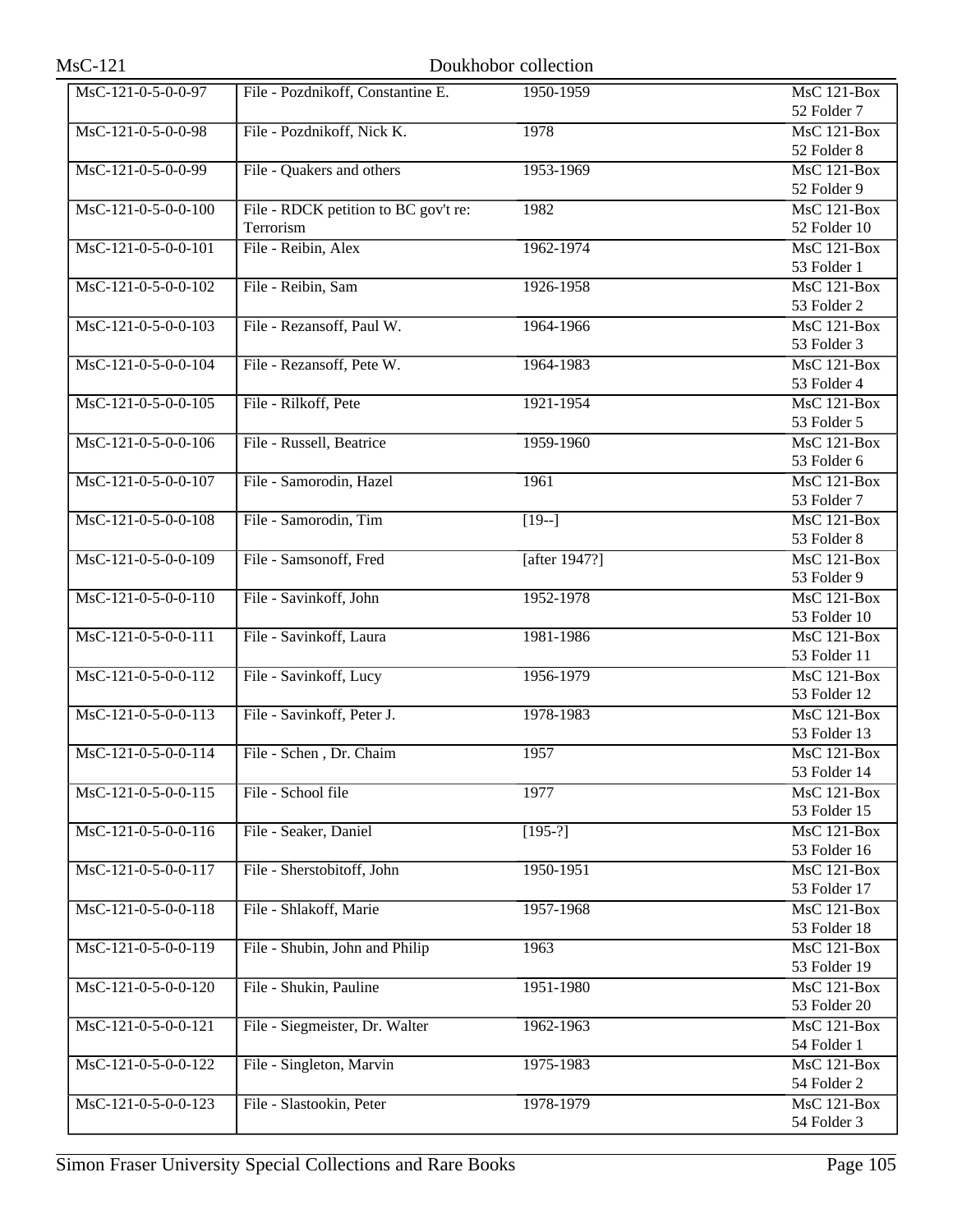| MsC-121-0-5-0-0-97  | File - Pozdnikoff, Constantine E.    | 1950-1959        | <b>MsC 121-Box</b>          |
|---------------------|--------------------------------------|------------------|-----------------------------|
|                     |                                      |                  | 52 Folder 7                 |
| MsC-121-0-5-0-0-98  | File - Pozdnikoff, Nick K.           | 1978             | MsC 121-Box                 |
|                     |                                      |                  | 52 Folder 8                 |
| MsC-121-0-5-0-0-99  | File - Quakers and others            | 1953-1969        | $MsC$ 121-Box               |
|                     |                                      |                  | 52 Folder 9                 |
| MsC-121-0-5-0-0-100 | File - RDCK petition to BC gov't re: | 1982             | <b>MsC 121-Box</b>          |
|                     | Terrorism                            |                  | 52 Folder 10                |
| MsC-121-0-5-0-0-101 | File - Reibin, Alex                  | 1962-1974        | $MsC$ 121-Box               |
|                     |                                      |                  | 53 Folder 1                 |
| MsC-121-0-5-0-0-102 | File - Reibin, Sam                   | 1926-1958        | <b>MsC 121-Box</b>          |
|                     |                                      |                  | 53 Folder 2                 |
| MsC-121-0-5-0-0-103 | File - Rezansoff, Paul W.            | 1964-1966        | <b>MsC 121-Box</b>          |
|                     |                                      |                  | 53 Folder 3                 |
| MsC-121-0-5-0-0-104 | File - Rezansoff, Pete W.            | 1964-1983        | $MsC$ 121-Box               |
|                     |                                      |                  | 53 Folder 4                 |
| MsC-121-0-5-0-0-105 | File - Rilkoff, Pete                 | 1921-1954        | $MsC$ 121-Box               |
|                     |                                      |                  | 53 Folder 5                 |
| MsC-121-0-5-0-0-106 | File - Russell, Beatrice             | 1959-1960        | $MsC$ 121-Box               |
|                     |                                      |                  | 53 Folder 6                 |
| MsC-121-0-5-0-0-107 | File - Samorodin, Hazel              | 1961             | MsC 121-Box                 |
|                     |                                      |                  | 53 Folder 7                 |
| MsC-121-0-5-0-0-108 | File - Samorodin, Tim                | $[19-]$          | $MsC$ 121-Box               |
|                     |                                      |                  | 53 Folder 8                 |
| MsC-121-0-5-0-0-109 | File - Samsonoff, Fred               | [after $1947$ ?] | <b>MsC 121-Box</b>          |
|                     |                                      |                  | 53 Folder 9                 |
| MsC-121-0-5-0-0-110 | File - Savinkoff, John               | 1952-1978        | $MsC$ 121-Box               |
|                     |                                      |                  | 53 Folder 10                |
| MsC-121-0-5-0-0-111 | File - Savinkoff, Laura              | 1981-1986        | $MsC$ 121-Box               |
|                     |                                      |                  | 53 Folder 11                |
| MsC-121-0-5-0-0-112 | File - Savinkoff, Lucy               | 1956-1979        | <b>MsC 121-Box</b>          |
|                     |                                      |                  | 53 Folder 12                |
| MsC-121-0-5-0-0-113 | File - Savinkoff, Peter J.           | 1978-1983        | $MsC$ 121-Box               |
|                     |                                      |                  | 53 Folder 13                |
| MsC-121-0-5-0-0-114 | File - Schen, Dr. Chaim              | 1957             | $MsC$ 121-Box               |
|                     |                                      |                  | 53 Folder 14                |
| MsC-121-0-5-0-0-115 | File - School file                   | 1977             | MsC 121-Box                 |
|                     |                                      |                  | 53 Folder 15                |
| MsC-121-0-5-0-0-116 | File - Seaker, Daniel                | $[195-?]$        | MsC 121-Box<br>53 Folder 16 |
|                     |                                      |                  |                             |
| MsC-121-0-5-0-0-117 | File - Sherstobitoff, John           | 1950-1951        | MsC 121-Box<br>53 Folder 17 |
| MsC-121-0-5-0-0-118 | File - Shlakoff, Marie               |                  | <b>MsC 121-Box</b>          |
|                     |                                      | 1957-1968        | 53 Folder 18                |
| MsC-121-0-5-0-0-119 | File - Shubin, John and Philip       | 1963             | <b>MsC 121-Box</b>          |
|                     |                                      |                  | 53 Folder 19                |
| MsC-121-0-5-0-0-120 | File - Shukin, Pauline               | 1951-1980        | MsC 121-Box                 |
|                     |                                      |                  | 53 Folder 20                |
| MsC-121-0-5-0-0-121 | File - Siegmeister, Dr. Walter       | 1962-1963        | <b>MsC 121-Box</b>          |
|                     |                                      |                  | 54 Folder 1                 |
| MsC-121-0-5-0-0-122 | File - Singleton, Marvin             | 1975-1983        | MsC 121-Box                 |
|                     |                                      |                  | 54 Folder 2                 |
| MsC-121-0-5-0-0-123 | File - Slastookin, Peter             | 1978-1979        | MsC 121-Box                 |
|                     |                                      |                  | 54 Folder 3                 |
|                     |                                      |                  |                             |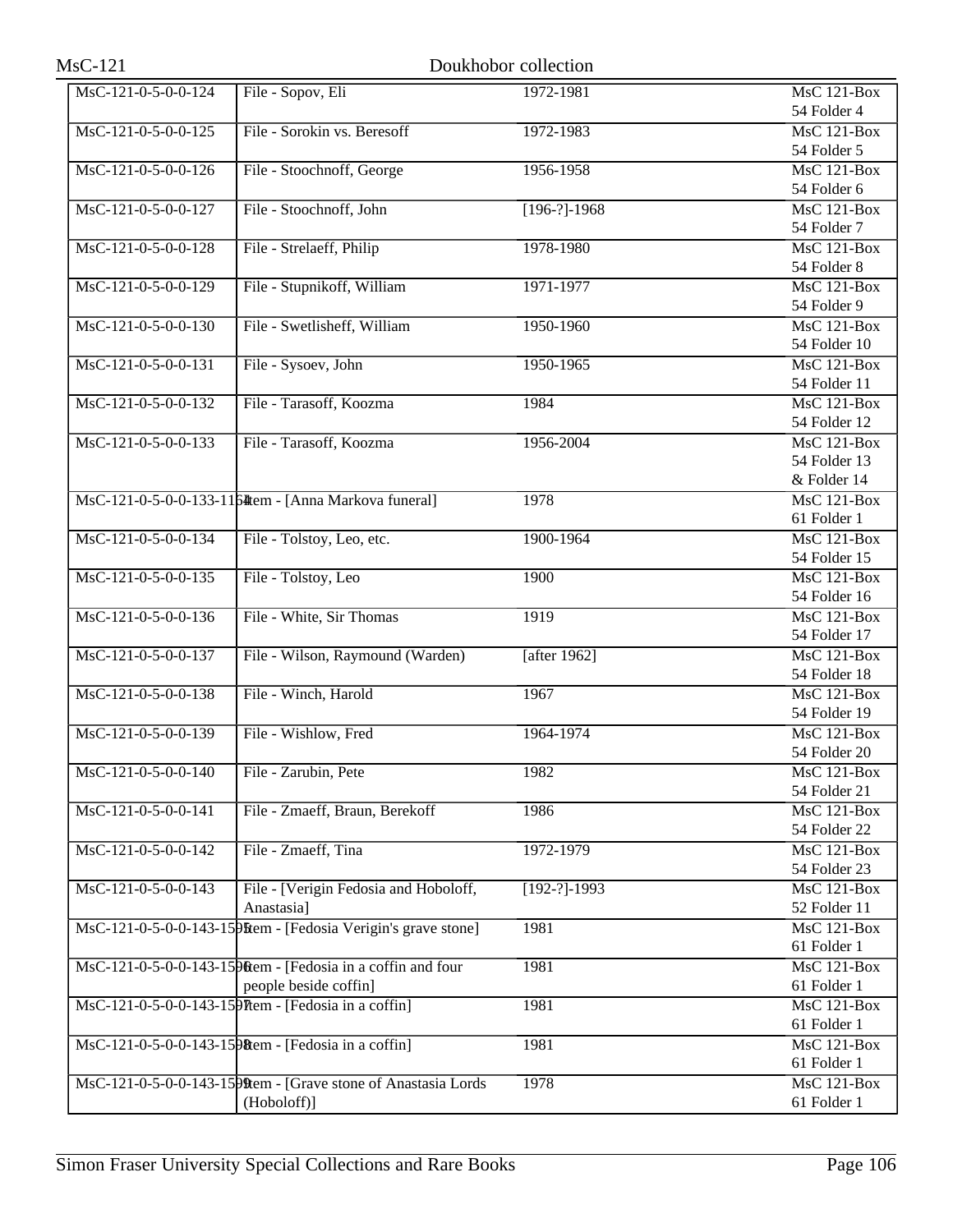| <b>MsC-121</b>        |                                                                                        | Doukhobor collection |                                    |
|-----------------------|----------------------------------------------------------------------------------------|----------------------|------------------------------------|
| MsC-121-0-5-0-0-124   | File - Sopov, Eli                                                                      | 1972-1981            | <b>MsC 121-Box</b><br>54 Folder 4  |
| $MsC-121-0-5-0-0-125$ | File - Sorokin vs. Beresoff                                                            | 1972-1983            | MsC 121-Box                        |
| MsC-121-0-5-0-0-126   | File - Stoochnoff, George                                                              | 1956-1958            | 54 Folder 5<br>MsC 121-Box         |
| MsC-121-0-5-0-0-127   | File - Stoochnoff, John                                                                | $[196-?]-1968$       | 54 Folder 6<br><b>MsC 121-Box</b>  |
| MsC-121-0-5-0-0-128   | File - Strelaeff, Philip                                                               | 1978-1980            | 54 Folder 7<br>MsC 121-Box         |
|                       |                                                                                        |                      | 54 Folder 8                        |
| MsC-121-0-5-0-0-129   | File - Stupnikoff, William                                                             | 1971-1977            | <b>MsC 121-Box</b><br>54 Folder 9  |
| MsC-121-0-5-0-0-130   | File - Swetlisheff, William                                                            | 1950-1960            | $MsC$ 121-Box<br>54 Folder 10      |
| $MsC-121-0-5-0-0-131$ | File - Sysoev, John                                                                    | 1950-1965            | MsC 121-Box<br>54 Folder 11        |
| MsC-121-0-5-0-0-132   | File - Tarasoff, Koozma                                                                | 1984                 | MsC 121-Box                        |
| MsC-121-0-5-0-0-133   | File - Tarasoff, Koozma                                                                | 1956-2004            | 54 Folder 12<br><b>MsC 121-Box</b> |
|                       |                                                                                        |                      | 54 Folder 13<br>& Folder 14        |
|                       | MsC-121-0-5-0-0-133-1164tem - [Anna Markova funeral]                                   | 1978                 | $MsC$ 121-Box<br>61 Folder 1       |
| MsC-121-0-5-0-0-134   | File - Tolstoy, Leo, etc.                                                              | 1900-1964            | $MsC$ 121-Box                      |
| MsC-121-0-5-0-0-135   | File - Tolstoy, Leo                                                                    | 1900                 | 54 Folder 15<br>$MsC$ 121-Box      |
| MsC-121-0-5-0-0-136   | File - White, Sir Thomas                                                               | 1919                 | 54 Folder 16<br>MsC 121-Box        |
|                       |                                                                                        |                      | 54 Folder 17                       |
| MsC-121-0-5-0-0-137   | File - Wilson, Raymound (Warden)                                                       | [after $1962$ ]      | MsC 121-Box<br>54 Folder 18        |
| MsC-121-0-5-0-0-138   | File - Winch, Harold                                                                   | 1967                 | <b>MsC 121-Box</b><br>54 Folder 19 |
| MsC-121-0-5-0-0-139   | File - Wishlow, Fred                                                                   | 1964-1974            | MsC 121-Box<br>54 Folder 20        |
| MsC-121-0-5-0-0-140   | File - Zarubin, Pete                                                                   | 1982                 | $MsC$ 121-Box<br>54 Folder 21      |
| MsC-121-0-5-0-0-141   | File - Zmaeff, Braun, Berekoff                                                         | 1986                 | <b>MsC 121-Box</b>                 |
| MsC-121-0-5-0-0-142   | File - Zmaeff, Tina                                                                    | 1972-1979            | 54 Folder 22<br>$MsC$ 121-Box      |
| MsC-121-0-5-0-0-143   | File - [Verigin Fedosia and Hoboloff,                                                  | $[192-?]-1993$       | 54 Folder 23<br>MsC 121-Box        |
|                       | Anastasia]<br>MsC-121-0-5-0-0-143-15 PM - [Fedosia Verigin's grave stone]              | 1981                 | 52 Folder 11<br><b>MsC 121-Box</b> |
|                       |                                                                                        |                      | 61 Folder 1                        |
|                       | MsC-121-0-5-0-0-143-15 Pittem - [Fedosia in a coffin and four<br>people beside coffin] | 1981                 | MsC 121-Box<br>61 Folder 1         |
|                       | MsC-121-0-5-0-0-143-15 PTtem - [Fedosia in a coffin]                                   | 1981                 | <b>MsC 121-Box</b><br>61 Folder 1  |
|                       | MsC-121-0-5-0-0-143-1598tem - [Fedosia in a coffin]                                    | 1981                 | $MsC$ 121-Box<br>61 Folder 1       |
|                       | MsC-121-0-5-0-0-143-1599tem - [Grave stone of Anastasia Lords                          | 1978                 | MsC 121-Box                        |
|                       | (Hoboloff)]                                                                            |                      | 61 Folder 1                        |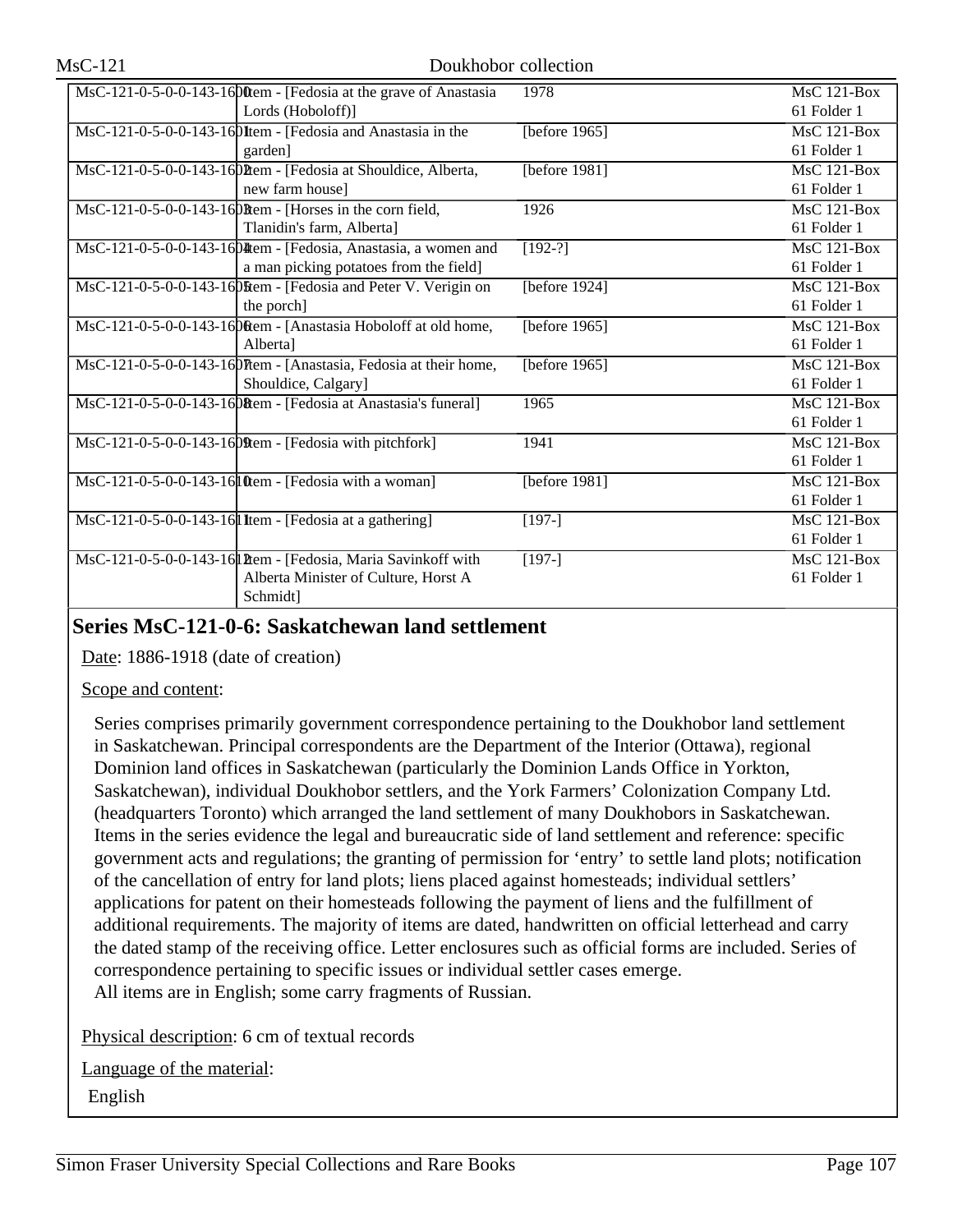| MsC-121-0-5-0-0-143-1600 tem - [Fedosia at the grave of Anastasia | 1978             | MsC 121-Box        |
|-------------------------------------------------------------------|------------------|--------------------|
| Lords (Hoboloff)]                                                 |                  | 61 Folder 1        |
| MsC-121-0-5-0-0-143-160Item - [Fedosia and Anastasia in the       | [before 1965]    | $MsC$ 121-Box      |
| garden]                                                           |                  | 61 Folder 1        |
| MsC-121-0-5-0-0-143-160 Ptem - [Fedosia at Shouldice, Alberta,    | [before 1981]    | <b>MsC 121-Box</b> |
| new farm house]                                                   |                  | 61 Folder 1        |
| MsC-121-0-5-0-0-143-160Rem - [Horses in the corn field,           | 1926             | MsC 121-Box        |
| Tlanidin's farm, Alberta]                                         |                  | 61 Folder 1        |
| MsC-121-0-5-0-0-143-1604 tem - [Fedosia, Anastasia, a women and   | $[192-?]$        | MsC 121-Box        |
| a man picking potatoes from the field]                            |                  | 61 Folder 1        |
| MsC-121-0-5-0-0-143-16 Diftem - [Fedosia and Peter V. Verigin on  | [before $1924$ ] | MsC 121-Box        |
| the porch]                                                        |                  | 61 Folder 1        |
| MsC-121-0-5-0-0-143-16 Ditem - [Anastasia Hoboloff at old home,   | [before 1965]    | $MsC$ 121-Box      |
| Albertal                                                          |                  | 61 Folder 1        |
| MsC-121-0-5-0-0-143-160Them - [Anastasia, Fedosia at their home,  | [before $1965$ ] | MsC 121-Box        |
| Shouldice, Calgary]                                               |                  | 61 Folder 1        |
| MsC-121-0-5-0-0-143-16 (Rem - [Fedosia at Anastasia's funeral]    | 1965             | $MsC$ 121-Box      |
|                                                                   |                  | 61 Folder 1        |
| $\text{MsC-121-0-5-0-0-143-16}$ [Fedosia with pitchfork]          | 1941             | <b>MsC 121-Box</b> |
|                                                                   |                  | 61 Folder 1        |
| MsC-121-0-5-0-0-143-16 ltem - [Fedosia with a woman]              | [before 1981]    | $MsC$ 121-Box      |
|                                                                   |                  | 61 Folder 1        |
| MsC-121-0-5-0-0-143-16 I Item - [Fedosia at a gathering]          | $[197-]$         | MsC 121-Box        |
|                                                                   |                  | 61 Folder 1        |
| MsC-121-0-5-0-0-143-16 Ptem - [Fedosia, Maria Savinkoff with      | $[197-]$         | $MsC$ 121-Box      |
| Alberta Minister of Culture, Horst A                              |                  | 61 Folder 1        |
| Schmidt]                                                          |                  |                    |

## **Series MsC-121-0-6: Saskatchewan land settlement**

Date: 1886-1918 (date of creation)

### Scope and content:

Series comprises primarily government correspondence pertaining to the Doukhobor land settlement in Saskatchewan. Principal correspondents are the Department of the Interior (Ottawa), regional Dominion land offices in Saskatchewan (particularly the Dominion Lands Office in Yorkton, Saskatchewan), individual Doukhobor settlers, and the York Farmers' Colonization Company Ltd. (headquarters Toronto) which arranged the land settlement of many Doukhobors in Saskatchewan. Items in the series evidence the legal and bureaucratic side of land settlement and reference: specific government acts and regulations; the granting of permission for 'entry' to settle land plots; notification of the cancellation of entry for land plots; liens placed against homesteads; individual settlers' applications for patent on their homesteads following the payment of liens and the fulfillment of additional requirements. The majority of items are dated, handwritten on official letterhead and carry the dated stamp of the receiving office. Letter enclosures such as official forms are included. Series of correspondence pertaining to specific issues or individual settler cases emerge. All items are in English; some carry fragments of Russian.

Physical description: 6 cm of textual records

Language of the material:

English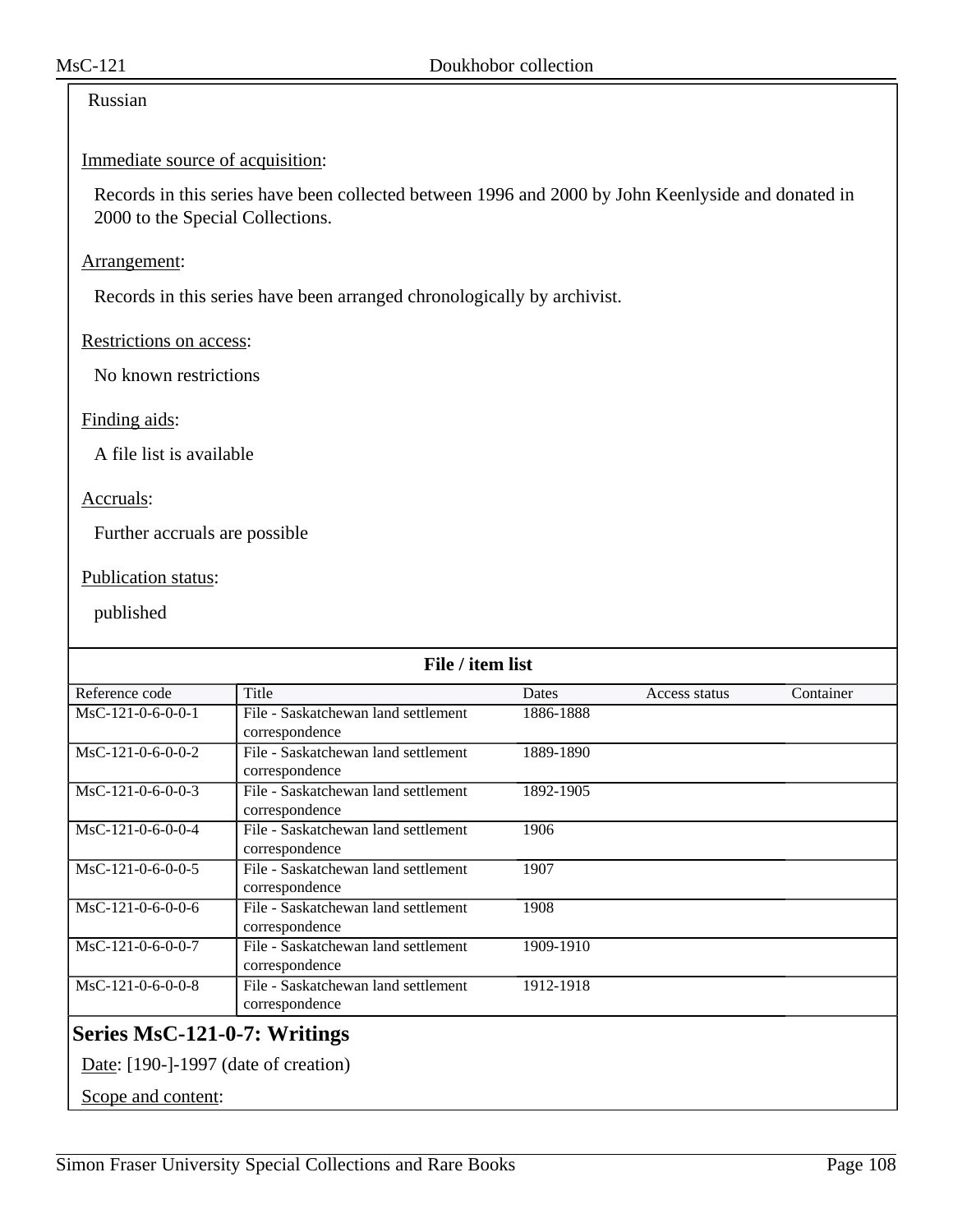## Russian

### Immediate source of acquisition:

Records in this series have been collected between 1996 and 2000 by John Keenlyside and donated in 2000 to the Special Collections.

### Arrangement:

Records in this series have been arranged chronologically by archivist.

### Restrictions on access:

No known restrictions

### Finding aids:

A file list is available

### Accruals:

Further accruals are possible

## Publication status:

| File / item list                     |                                     |           |               |           |
|--------------------------------------|-------------------------------------|-----------|---------------|-----------|
| Reference code                       | Title                               | Dates     | Access status | Container |
| MsC-121-0-6-0-0-1                    | File - Saskatchewan land settlement | 1886-1888 |               |           |
|                                      | correspondence                      |           |               |           |
| MsC-121-0-6-0-0-2                    | File - Saskatchewan land settlement | 1889-1890 |               |           |
|                                      | correspondence                      |           |               |           |
| MsC-121-0-6-0-0-3                    | File - Saskatchewan land settlement | 1892-1905 |               |           |
|                                      | correspondence                      |           |               |           |
| MsC-121-0-6-0-0-4                    | File - Saskatchewan land settlement | 1906      |               |           |
|                                      | correspondence                      |           |               |           |
| MsC-121-0-6-0-0-5                    | File - Saskatchewan land settlement | 1907      |               |           |
|                                      | correspondence                      |           |               |           |
| MsC-121-0-6-0-0-6                    | File - Saskatchewan land settlement | 1908      |               |           |
|                                      | correspondence                      |           |               |           |
| MsC-121-0-6-0-0-7                    | File - Saskatchewan land settlement | 1909-1910 |               |           |
|                                      | correspondence                      |           |               |           |
| MsC-121-0-6-0-0-8                    | File - Saskatchewan land settlement | 1912-1918 |               |           |
|                                      | correspondence                      |           |               |           |
| Series MsC-121-0-7: Writings         |                                     |           |               |           |
| Date: [190-]-1997 (date of creation) |                                     |           |               |           |
| Scope and content:                   |                                     |           |               |           |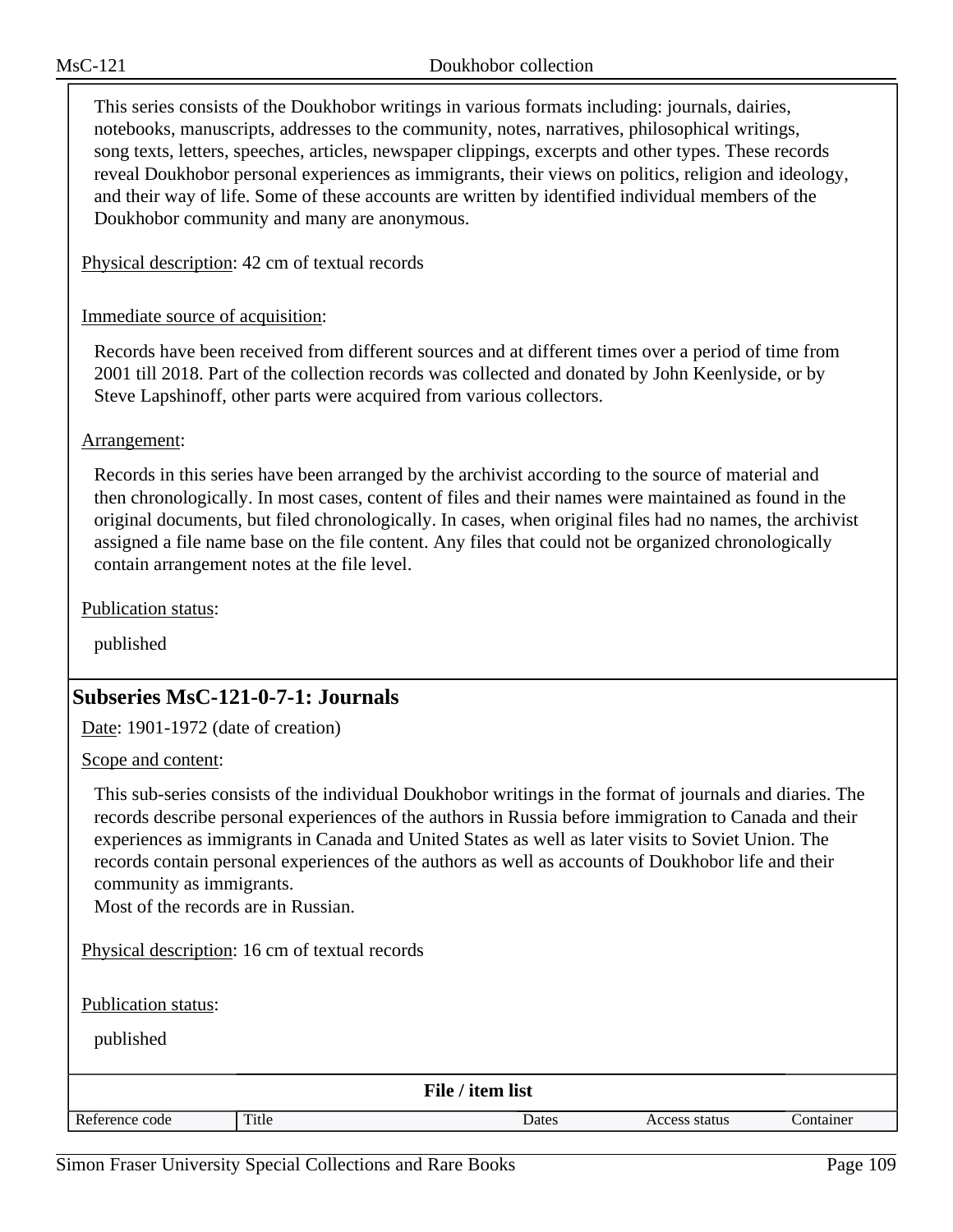This series consists of the Doukhobor writings in various formats including: journals, dairies, notebooks, manuscripts, addresses to the community, notes, narratives, philosophical writings, song texts, letters, speeches, articles, newspaper clippings, excerpts and other types. These records reveal Doukhobor personal experiences as immigrants, their views on politics, religion and ideology, and their way of life. Some of these accounts are written by identified individual members of the Doukhobor community and many are anonymous.

Physical description: 42 cm of textual records

## Immediate source of acquisition:

Records have been received from different sources and at different times over a period of time from 2001 till 2018. Part of the collection records was collected and donated by John Keenlyside, or by Steve Lapshinoff, other parts were acquired from various collectors.

Arrangement:

Records in this series have been arranged by the archivist according to the source of material and then chronologically. In most cases, content of files and their names were maintained as found in the original documents, but filed chronologically. In cases, when original files had no names, the archivist assigned a file name base on the file content. Any files that could not be organized chronologically contain arrangement notes at the file level.

Publication status:

published

# **Subseries MsC-121-0-7-1: Journals**

Date: 1901-1972 (date of creation)

Scope and content:

This sub-series consists of the individual Doukhobor writings in the format of journals and diaries. The records describe personal experiences of the authors in Russia before immigration to Canada and their experiences as immigrants in Canada and United States as well as later visits to Soviet Union. The records contain personal experiences of the authors as well as accounts of Doukhobor life and their community as immigrants.

Most of the records are in Russian.

Physical description: 16 cm of textual records

Publication status:

| File / item list |       |       |               |           |  |
|------------------|-------|-------|---------------|-----------|--|
| Reference code   | Title | Dates | Access status | Container |  |
|                  |       |       |               |           |  |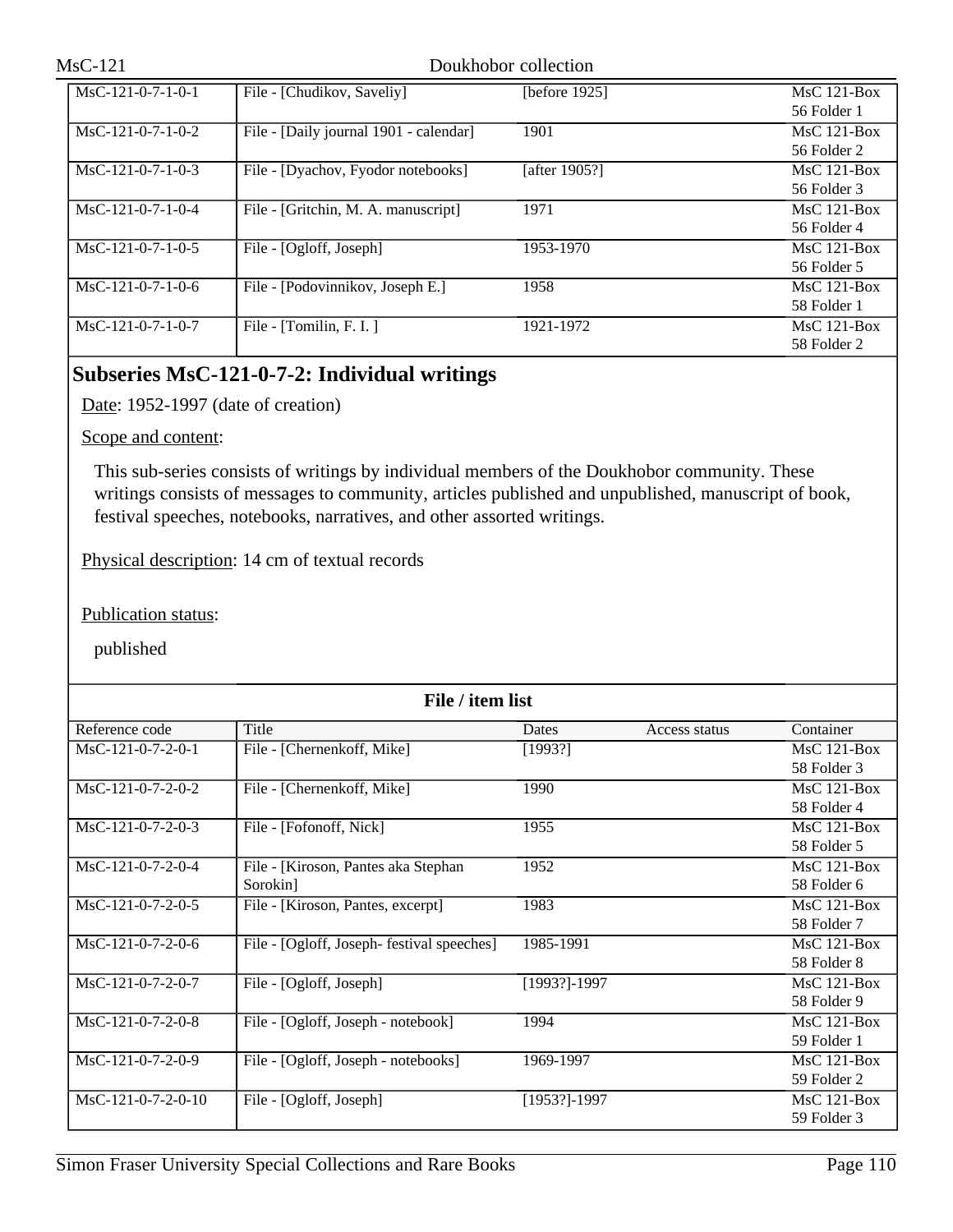| $MsC-121-0-7-1-0-1$ | File - [Chudikov, Saveliy]             | [before $1925$ ] | $MsC$ 121-Box |
|---------------------|----------------------------------------|------------------|---------------|
|                     |                                        |                  |               |
|                     |                                        |                  | 56 Folder 1   |
| $MsC-121-0-7-1-0-2$ | File - [Daily journal 1901 - calendar] | 1901             | $MsC$ 121-Box |
|                     |                                        |                  | 56 Folder 2   |
| $MsC-121-0-7-1-0-3$ | File - [Dyachov, Fyodor notebooks]     | [after 1905?]    | $MsC$ 121-Box |
|                     |                                        |                  | 56 Folder 3   |
| $MsC-121-0-7-1-0-4$ | File - [Gritchin, M. A. manuscript]    | 1971             | $MsC$ 121-Box |
|                     |                                        |                  | 56 Folder 4   |
| $MsC-121-0-7-1-0-5$ | File - [Ogloff, Joseph]                | 1953-1970        | $MsC$ 121-Box |
|                     |                                        |                  | 56 Folder 5   |
| $MsC-121-0-7-1-0-6$ | File - [Podovinnikov, Joseph E.]       | 1958             | $MsC$ 121-Box |
|                     |                                        |                  | 58 Folder 1   |
| $MsC-121-0-7-1-0-7$ | File - $[Tomilin, F. I.]$              | 1921-1972        | $MsC$ 121-Box |
|                     |                                        |                  | 58 Folder 2   |

# **Subseries MsC-121-0-7-2: Individual writings**

Date: 1952-1997 (date of creation)

Scope and content:

This sub-series consists of writings by individual members of the Doukhobor community. These writings consists of messages to community, articles published and unpublished, manuscript of book, festival speeches, notebooks, narratives, and other assorted writings.

Physical description: 14 cm of textual records

Publication status:

| File / item list    |                                            |              |               |               |  |
|---------------------|--------------------------------------------|--------------|---------------|---------------|--|
| Reference code      | Title                                      | Dates        | Access status | Container     |  |
| $MsC-121-0-7-2-0-1$ | File - [Chernenkoff, Mike]                 | [1993?]      |               | $MsC$ 121-Box |  |
|                     |                                            |              |               | 58 Folder 3   |  |
| MsC-121-0-7-2-0-2   | File - [Chernenkoff, Mike]                 | 1990         |               | $MsC$ 121-Box |  |
|                     |                                            |              |               | 58 Folder 4   |  |
| MsC-121-0-7-2-0-3   | File - [Fofonoff, Nick]                    | 1955         |               | $MsC$ 121-Box |  |
|                     |                                            |              |               | 58 Folder 5   |  |
| MsC-121-0-7-2-0-4   | File - [Kiroson, Pantes aka Stephan        | 1952         |               | MsC 121-Box   |  |
|                     | Sorokin]                                   |              |               | 58 Folder 6   |  |
| MsC-121-0-7-2-0-5   | File - [Kiroson, Pantes, excerpt]          | 1983         |               | MsC 121-Box   |  |
|                     |                                            |              |               | 58 Folder 7   |  |
| $MsC-121-0-7-2-0-6$ | File - [Ogloff, Joseph- festival speeches] | 1985-1991    |               | $MsC$ 121-Box |  |
|                     |                                            |              |               | 58 Folder 8   |  |
| $MsC-121-0-7-2-0-7$ | File - [Ogloff, Joseph]                    | [1993?]-1997 |               | $MsC$ 121-Box |  |
|                     |                                            |              |               | 58 Folder 9   |  |
| $MsC-121-0-7-2-0-8$ | File - [Ogloff, Joseph - notebook]         | 1994         |               | $MsC$ 121-Box |  |
|                     |                                            |              |               | 59 Folder 1   |  |
| $MsC-121-0-7-2-0-9$ | File - [Ogloff, Joseph - notebooks]        | 1969-1997    |               | $MsC$ 121-Box |  |
|                     |                                            |              |               | 59 Folder 2   |  |
| MsC-121-0-7-2-0-10  | File - [Ogloff, Joseph]                    | [1953?]-1997 |               | $MsC$ 121-Box |  |
|                     |                                            |              |               | 59 Folder 3   |  |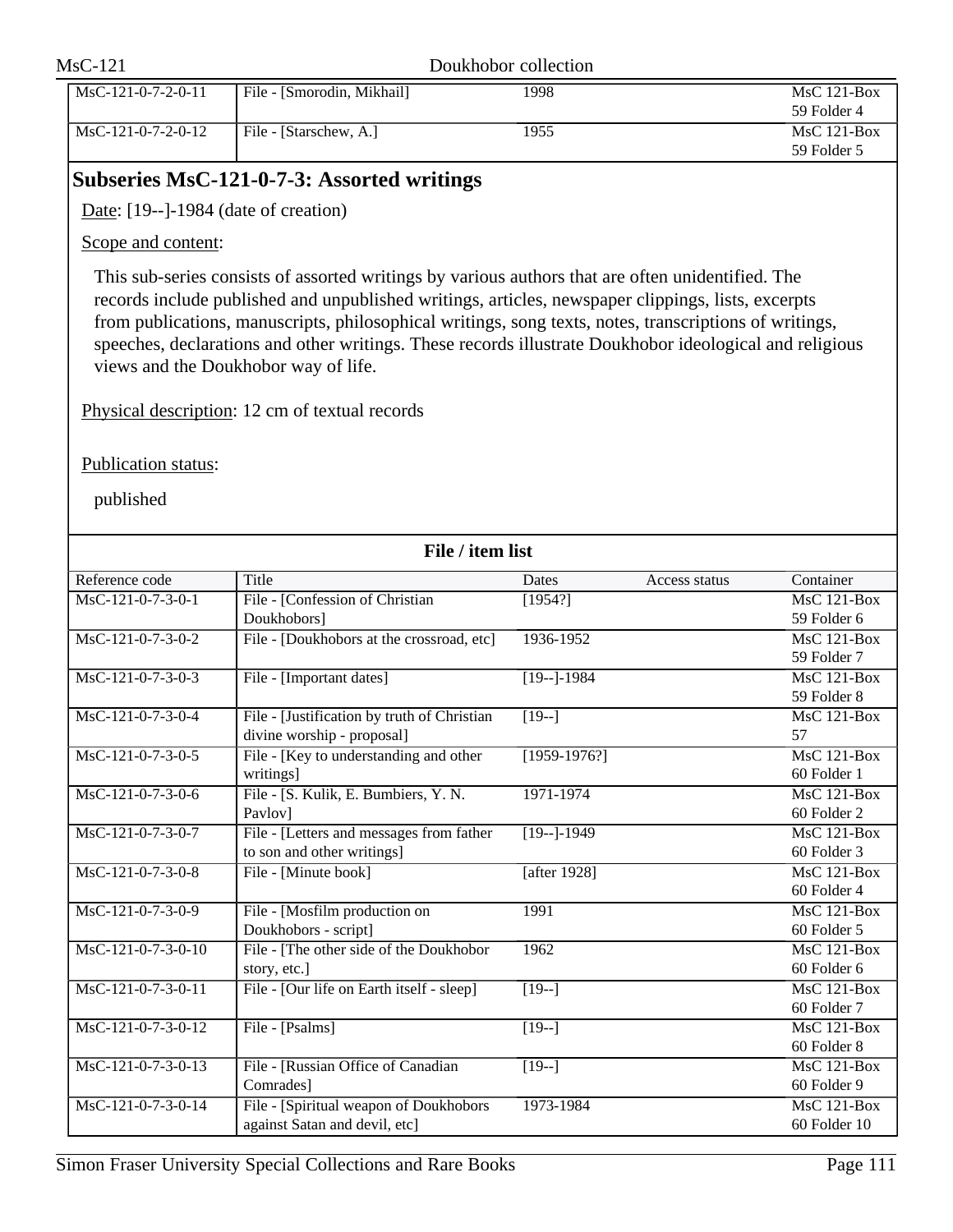| $MsC-121$            | Doukhobor collection       |      |                              |
|----------------------|----------------------------|------|------------------------------|
| $MsC-121-0-7-2-0-11$ | File - [Smorodin, Mikhail] | 1998 | $MsC$ 121-Box<br>59 Folder 4 |
| $MsC-121-0-7-2-0-12$ | File - [Starschew, A.]     | 1955 | $MsC$ 121-Box<br>59 Folder 5 |

# **Subseries MsC-121-0-7-3: Assorted writings**

Date: [19--]-1984 (date of creation)

Scope and content:

This sub-series consists of assorted writings by various authors that are often unidentified. The records include published and unpublished writings, articles, newspaper clippings, lists, excerpts from publications, manuscripts, philosophical writings, song texts, notes, transcriptions of writings, speeches, declarations and other writings. These records illustrate Doukhobor ideological and religious views and the Doukhobor way of life.

Physical description: 12 cm of textual records

Publication status:

|                      | File / item list                            |                       |               |                                 |  |  |
|----------------------|---------------------------------------------|-----------------------|---------------|---------------------------------|--|--|
| Reference code       | Title                                       | Dates                 | Access status | Container                       |  |  |
| $MsC-121-0-7-3-0-1$  | File - [Confession of Christian             | [1954?]               |               | $MsC$ 121-Box                   |  |  |
|                      | Doukhobors]                                 |                       |               | 59 Folder 6                     |  |  |
| $MsC-121-0-7-3-0-2$  | File - [Doukhobors at the crossroad, etc]   | 1936-1952             |               | MsC 121-Box                     |  |  |
|                      |                                             |                       |               | 59 Folder 7                     |  |  |
| $MsC-121-0-7-3-0-3$  | File - [Important dates]                    | $[19-1-1984]$         |               | MsC 121-Box                     |  |  |
|                      |                                             |                       |               | 59 Folder 8                     |  |  |
| MsC-121-0-7-3-0-4    | File - [Justification by truth of Christian | $[19-]$               |               | <b>MsC 121-Box</b>              |  |  |
|                      | divine worship - proposal]                  |                       |               | 57                              |  |  |
| $MsC-121-0-7-3-0-5$  | File - [Key to understanding and other      | $[1959-1976?]$        |               | MsC 121-Box                     |  |  |
|                      | writings]                                   |                       |               | 60 Folder 1                     |  |  |
| MsC-121-0-7-3-0-6    | File - [S. Kulik, E. Bumbiers, Y. N.        | 1971-1974             |               | $MsC$ 121-Box                   |  |  |
|                      | Pavlov]                                     |                       |               | 60 Folder 2                     |  |  |
| $MsC-121-0-7-3-0-7$  | File - [Letters and messages from father    | $\sqrt{19-1-1949}$    |               | $MsC$ 121-Box                   |  |  |
|                      | to son and other writings]                  |                       |               | 60 Folder 3                     |  |  |
| $MsC-121-0-7-3-0-8$  | File - [Minute book]                        | [after 1928]          |               | MsC 121-Box                     |  |  |
|                      |                                             |                       |               | 60 Folder 4                     |  |  |
| MsC-121-0-7-3-0-9    | File - [Mosfilm production on               | 1991                  |               | $\overline{\text{MsC 121-Box}}$ |  |  |
|                      | Doukhobors - script]                        |                       |               | 60 Folder 5                     |  |  |
| $MsC-121-0-7-3-0-10$ | File - [The other side of the Doukhobor     | 1962                  |               | MsC 121-Box                     |  |  |
|                      | story, etc.]                                |                       |               | 60 Folder 6                     |  |  |
| MsC-121-0-7-3-0-11   | File - [Our life on Earth itself - sleep]   | $\overline{1}$ [19--] |               | MsC 121-Box                     |  |  |
|                      |                                             |                       |               | 60 Folder 7                     |  |  |
| MsC-121-0-7-3-0-12   | File - [Psalms]                             | $\sqrt{19-}$          |               | $MsC$ 121-Box                   |  |  |
|                      |                                             |                       |               | 60 Folder 8                     |  |  |
| MsC-121-0-7-3-0-13   | File - [Russian Office of Canadian          | $[19-]$               |               | $MsC$ 121-Box                   |  |  |
|                      | Comrades]                                   |                       |               | 60 Folder 9                     |  |  |
| MsC-121-0-7-3-0-14   | File - [Spiritual weapon of Doukhobors      | 1973-1984             |               | $MsC$ 121-Box                   |  |  |
|                      | against Satan and devil, etc]               |                       |               | 60 Folder 10                    |  |  |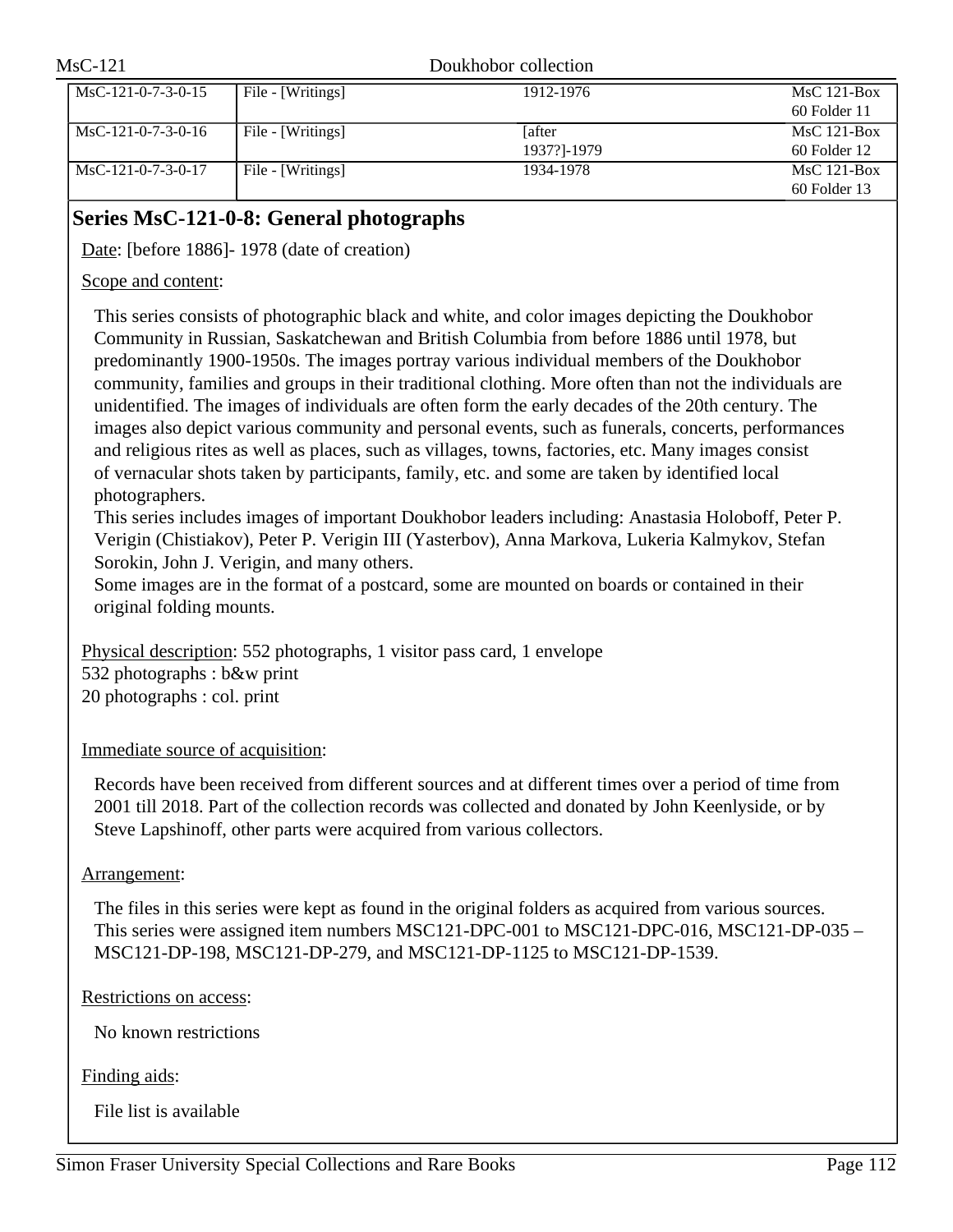| $MsC-121$            |                   | Doukhobor collection          |                                 |  |
|----------------------|-------------------|-------------------------------|---------------------------------|--|
| $MsC-121-0-7-3-0-15$ | File - [Writings] | 1912-1976                     | $MsC$ 121-Box<br>60 Folder 11   |  |
| $MsC-121-0-7-3-0-16$ | File - [Writings] | <b>L</b> after<br>1937?]-1979 | $MsC$ 121-Box<br>$60$ Folder 12 |  |
| $MsC-121-0-7-3-0-17$ | File - [Writings] | 1934-1978                     | $MsC$ 121-Box<br>$60$ Folder 13 |  |

# **Series MsC-121-0-8: General photographs**

Date: [before 1886] - 1978 (date of creation)

## Scope and content:

This series consists of photographic black and white, and color images depicting the Doukhobor Community in Russian, Saskatchewan and British Columbia from before 1886 until 1978, but predominantly 1900-1950s. The images portray various individual members of the Doukhobor community, families and groups in their traditional clothing. More often than not the individuals are unidentified. The images of individuals are often form the early decades of the 20th century. The images also depict various community and personal events, such as funerals, concerts, performances and religious rites as well as places, such as villages, towns, factories, etc. Many images consist of vernacular shots taken by participants, family, etc. and some are taken by identified local photographers.

This series includes images of important Doukhobor leaders including: Anastasia Holoboff, Peter P. Verigin (Chistiakov), Peter P. Verigin III (Yasterbov), Anna Markova, Lukeria Kalmykov, Stefan Sorokin, John J. Verigin, and many others.

Some images are in the format of a postcard, some are mounted on boards or contained in their original folding mounts.

Physical description: 552 photographs, 1 visitor pass card, 1 envelope 532 photographs : b&w print 20 photographs : col. print

## Immediate source of acquisition:

Records have been received from different sources and at different times over a period of time from 2001 till 2018. Part of the collection records was collected and donated by John Keenlyside, or by Steve Lapshinoff, other parts were acquired from various collectors.

## Arrangement:

The files in this series were kept as found in the original folders as acquired from various sources. This series were assigned item numbers MSC121-DPC-001 to MSC121-DPC-016, MSC121-DP-035 – MSC121-DP-198, MSC121-DP-279, and MSC121-DP-1125 to MSC121-DP-1539.

## Restrictions on access:

No known restrictions

## Finding aids:

File list is available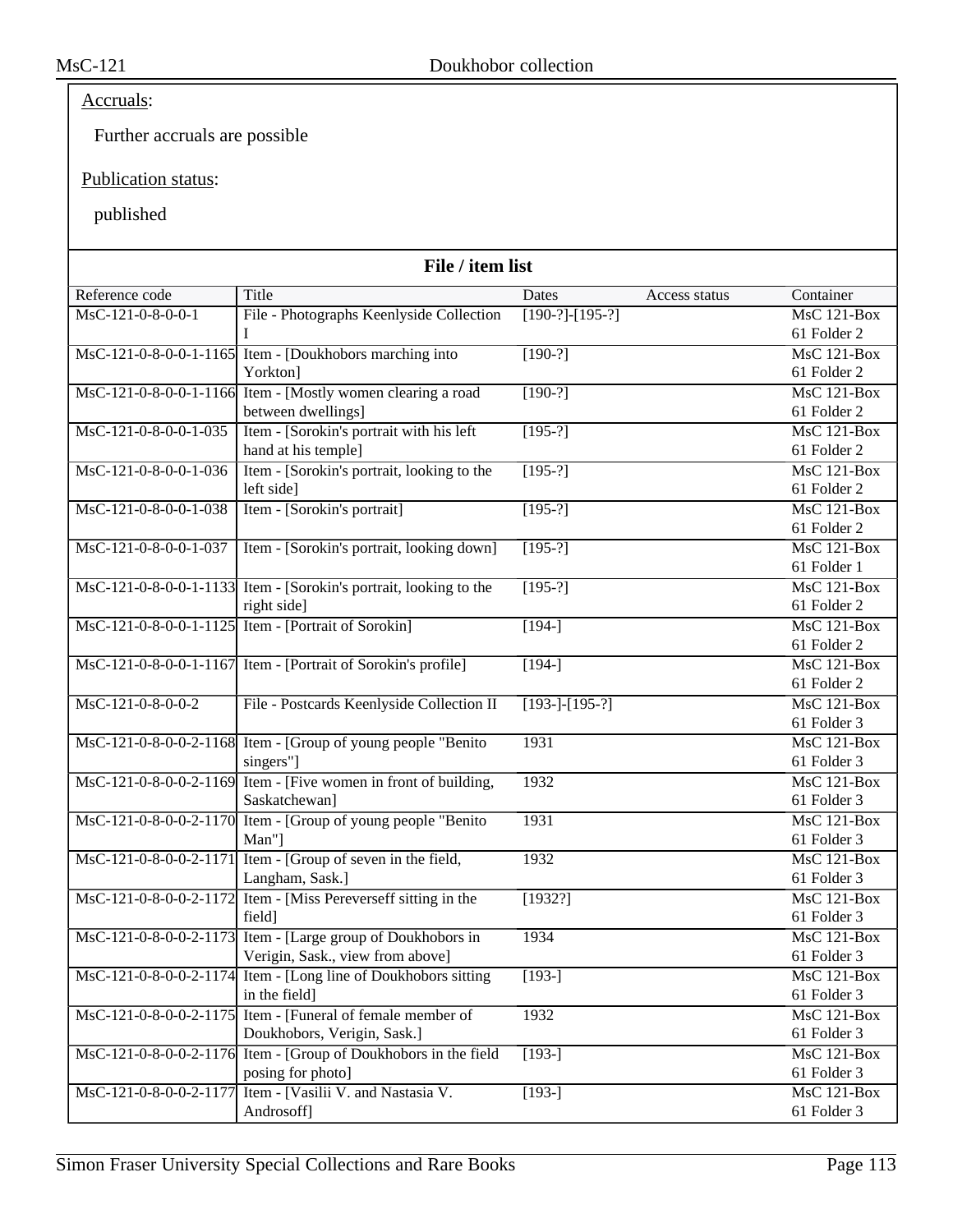# Accruals:

Further accruals are possible

## Publication status:

| File / item list       |                                                                   |                             |                    |  |
|------------------------|-------------------------------------------------------------------|-----------------------------|--------------------|--|
| Reference code         | Title                                                             | Dates<br>Access status      | Container          |  |
| MsC-121-0-8-0-0-1      | File - Photographs Keenlyside Collection                          | $[190-?]-[195-?]$           | MsC 121-Box        |  |
|                        |                                                                   |                             | 61 Folder 2        |  |
|                        | MsC-121-0-8-0-0-1-1165 Item - [Doukhobors marching into           | $[190-?]$                   | $MsC$ 121-Box      |  |
|                        | Yorkton]                                                          |                             | 61 Folder 2        |  |
|                        | MsC-121-0-8-0-0-1-1166 Item - [Mostly women clearing a road       | $[190-?]$                   | <b>MsC 121-Box</b> |  |
|                        | between dwellings]                                                |                             | 61 Folder 2        |  |
| MsC-121-0-8-0-0-1-035  | Item - [Sorokin's portrait with his left                          | $[195-?]$                   | $MsC$ 121-Box      |  |
|                        | hand at his temple]                                               |                             | 61 Folder 2        |  |
| MsC-121-0-8-0-0-1-036  | Item - [Sorokin's portrait, looking to the                        | $[195-?]$                   | <b>MsC 121-Box</b> |  |
|                        | left side]                                                        |                             | 61 Folder 2        |  |
| MsC-121-0-8-0-0-1-038  | Item - [Sorokin's portrait]                                       | $[195-?]$                   | <b>MsC 121-Box</b> |  |
|                        |                                                                   |                             | 61 Folder 2        |  |
| MsC-121-0-8-0-0-1-037  | Item - [Sorokin's portrait, looking down]                         | $[195-?]$                   | MsC 121-Box        |  |
|                        |                                                                   |                             | 61 Folder 1        |  |
|                        | MsC-121-0-8-0-0-1-1133 Item - [Sorokin's portrait, looking to the | $[195-?]$                   | <b>MsC 121-Box</b> |  |
|                        | right side]                                                       |                             | 61 Folder 2        |  |
|                        | MsC-121-0-8-0-0-1-1125 Item - [Portrait of Sorokin]               | $[194-]$                    | MsC 121-Box        |  |
|                        |                                                                   |                             | 61 Folder 2        |  |
|                        | MsC-121-0-8-0-0-1-1167 Item - [Portrait of Sorokin's profile]     | $[194-]$                    | $MsC$ 121-Box      |  |
|                        |                                                                   |                             | 61 Folder 2        |  |
| MsC-121-0-8-0-0-2      | File - Postcards Keenlyside Collection II                         | $\overline{[193-]-[195-?]}$ | <b>MsC 121-Box</b> |  |
|                        |                                                                   |                             | 61 Folder 3        |  |
|                        | MsC-121-0-8-0-0-2-1168 Item - [Group of young people "Benito"     | 1931                        | <b>MsC 121-Box</b> |  |
|                        | singers"]                                                         |                             | 61 Folder 3        |  |
|                        | MsC-121-0-8-0-0-2-1169 Item - [Five women in front of building,   | 1932                        | MsC 121-Box        |  |
|                        | Saskatchewan]                                                     |                             | 61 Folder 3        |  |
|                        | MsC-121-0-8-0-0-2-1170 Item - [Group of young people "Benito"]    | 1931                        | <b>MsC 121-Box</b> |  |
|                        | Man"]                                                             |                             | 61 Folder 3        |  |
| MsC-121-0-8-0-0-2-1171 | Item - [Group of seven in the field,                              | 1932                        | MsC 121-Box        |  |
|                        | Langham, Sask.]                                                   |                             | 61 Folder 3        |  |
|                        | MsC-121-0-8-0-0-2-1172 Item - [Miss Pereverseff sitting in the    | [1932?]                     | MsC 121-Box        |  |
|                        | field]                                                            |                             | 61 Folder 3        |  |
|                        | MsC-121-0-8-0-0-2-1173 Item - [Large group of Doukhobors in       | 1934                        | <b>MsC 121-Box</b> |  |
|                        | Verigin, Sask., view from above]                                  |                             | 61 Folder 3        |  |
|                        | MsC-121-0-8-0-0-2-1174 Item - [Long line of Doukhobors sitting    | $\overline{[193]}$          | MsC 121-Box        |  |
|                        | in the field]                                                     |                             | 61 Folder 3        |  |
|                        | MsC-121-0-8-0-0-2-1175 Item - [Funeral of female member of        | 1932                        | MsC 121-Box        |  |
|                        | Doukhobors, Verigin, Sask.]                                       |                             | 61 Folder 3        |  |
|                        | MsC-121-0-8-0-0-2-1176 Item - [Group of Doukhobors in the field   | $[193-]$                    | $MsC$ 121-Box      |  |
|                        | posing for photo]                                                 |                             | 61 Folder 3        |  |
|                        | MsC-121-0-8-0-0-2-1177 Item - [Vasilii V. and Nastasia V.         | $[193-]$                    | <b>MsC 121-Box</b> |  |
|                        | Androsoff]                                                        |                             | 61 Folder 3        |  |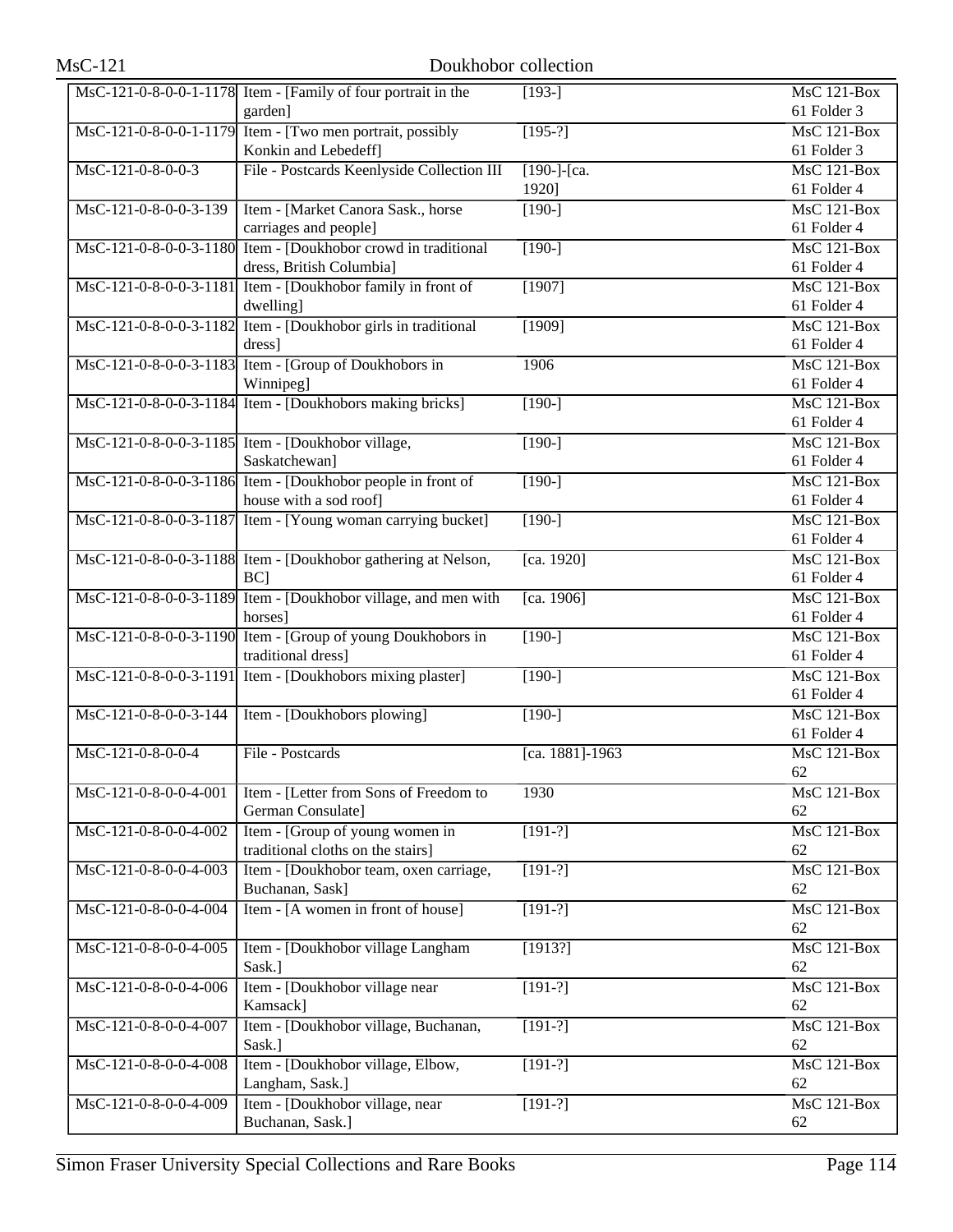| <b>MsC-121</b>           | Doukhobor collection                                                 |                      |                                   |
|--------------------------|----------------------------------------------------------------------|----------------------|-----------------------------------|
|                          | MsC-121-0-8-0-0-1-1178 Item - [Family of four portrait in the        | $[193-]$             | <b>MsC 121-Box</b>                |
|                          | garden]<br>MsC-121-0-8-0-0-1-1179 Item - [Two men portrait, possibly | $[195-?]$            | 61 Folder 3<br>MsC 121-Box        |
|                          | Konkin and Lebedeff]                                                 |                      | 61 Folder 3                       |
|                          |                                                                      |                      |                                   |
| MsC-121-0-8-0-0-3        | File - Postcards Keenlyside Collection III                           | [190-]-[ca.<br>1920] | MsC 121-Box<br>61 Folder 4        |
| MsC-121-0-8-0-0-3-139    | Item - [Market Canora Sask., horse                                   | $[190-]$             | <b>MsC 121-Box</b>                |
|                          | carriages and people]                                                |                      | 61 Folder 4                       |
| $MsC-121-0-8-0-0-3-1180$ | Item - [Doukhobor crowd in traditional                               | $[190-]$             | MsC 121-Box                       |
|                          | dress, British Columbia]                                             |                      | 61 Folder 4                       |
| MsC-121-0-8-0-0-3-1181   | Item - [Doukhobor family in front of                                 | [1907]               | $MsC$ 121-Box                     |
|                          | dwelling]                                                            |                      | 61 Folder 4                       |
|                          | MsC-121-0-8-0-0-3-1182 Item - [Doukhobor girls in traditional        | [1909]               | <b>MsC 121-Box</b>                |
|                          | dress]                                                               |                      | 61 Folder 4                       |
|                          | MsC-121-0-8-0-0-3-1183 Item - [Group of Doukhobors in                | 1906                 | $MsC$ 121-Box                     |
|                          | Winnipeg]                                                            |                      | 61 Folder 4                       |
|                          | MsC-121-0-8-0-0-3-1184 Item - [Doukhobors making bricks]             | $\sqrt{190}$         | $MsC$ 121-Box                     |
|                          |                                                                      |                      | 61 Folder 4                       |
|                          | MsC-121-0-8-0-0-3-1185 Item - [Doukhobor village,<br>Saskatchewan]   | $[190-]$             | <b>MsC 121-Box</b><br>61 Folder 4 |
|                          | MsC-121-0-8-0-0-3-1186 Item - [Doukhobor people in front of          | $[190-]$             | $MsC$ 121-Box                     |
|                          | house with a sod roof]                                               |                      | 61 Folder 4                       |
|                          | MsC-121-0-8-0-0-3-1187 Item - [Young woman carrying bucket]          | $[190-]$             | $MsC$ 121-Box                     |
|                          |                                                                      |                      | 61 Folder 4                       |
|                          | MsC-121-0-8-0-0-3-1188 Item - [Doukhobor gathering at Nelson,        | [ca. 1920]           | <b>MsC 121-Box</b>                |
|                          | <b>BC</b>                                                            |                      | 61 Folder 4                       |
|                          | MsC-121-0-8-0-0-3-1189 Item - [Doukhobor village, and men with       | [ca. 1906]           | MsC 121-Box                       |
|                          | horses]                                                              |                      | 61 Folder 4                       |
|                          | MsC-121-0-8-0-0-3-1190 Item - [Group of young Doukhobors in          | $[190-]$             | MsC 121-Box                       |
|                          | traditional dress]                                                   |                      | 61 Folder 4                       |
|                          | MsC-121-0-8-0-0-3-1191 Item - [Doukhobors mixing plaster]            | $[190-]$             | $MsC$ 121-Box                     |
|                          |                                                                      |                      | 61 Folder 4                       |
| MsC-121-0-8-0-0-3-144    | Item - [Doukhobors plowing]                                          | $[190-]$             | <b>MsC 121-Box</b><br>61 Folder 4 |
| MsC-121-0-8-0-0-4        | File - Postcards                                                     | [ca. 1881]-1963      | $MsC$ 121-Box                     |
|                          |                                                                      |                      | 62                                |
| MsC-121-0-8-0-0-4-001    | Item - [Letter from Sons of Freedom to                               | 1930                 | MsC 121-Box                       |
|                          | German Consulate]                                                    |                      | 62                                |
| MsC-121-0-8-0-0-4-002    | Item - [Group of young women in                                      | $[191-?]$            | MsC 121-Box                       |
|                          | traditional cloths on the stairs]                                    |                      | 62                                |
| MsC-121-0-8-0-0-4-003    | Item - [Doukhobor team, oxen carriage,                               | $\overline{[191-?]}$ | MsC 121-Box                       |
|                          | Buchanan, Sask]                                                      |                      | 62                                |
| MsC-121-0-8-0-0-4-004    | Item - [A women in front of house]                                   | $[191-?]$            | MsC 121-Box<br>62                 |
| MsC-121-0-8-0-0-4-005    | Item - [Doukhobor village Langham                                    | [1913?]              | MsC 121-Box                       |
|                          | Sask.]                                                               |                      | 62                                |
| MsC-121-0-8-0-0-4-006    | Item - [Doukhobor village near                                       | $[191-?]$            | <b>MsC 121-Box</b>                |
|                          | Kamsack]                                                             |                      | 62                                |
| MsC-121-0-8-0-0-4-007    | Item - [Doukhobor village, Buchanan,                                 | $[191-?]$            | MsC 121-Box                       |
|                          | Sask.]                                                               |                      | 62                                |
| MsC-121-0-8-0-0-4-008    | Item - [Doukhobor village, Elbow,                                    | $[191-?]$            | <b>MsC 121-Box</b>                |
|                          | Langham, Sask.]                                                      |                      | 62                                |
| MsC-121-0-8-0-0-4-009    | Item - [Doukhobor village, near                                      | $[191-?]$            | MsC 121-Box                       |
|                          | Buchanan, Sask.]                                                     |                      | 62                                |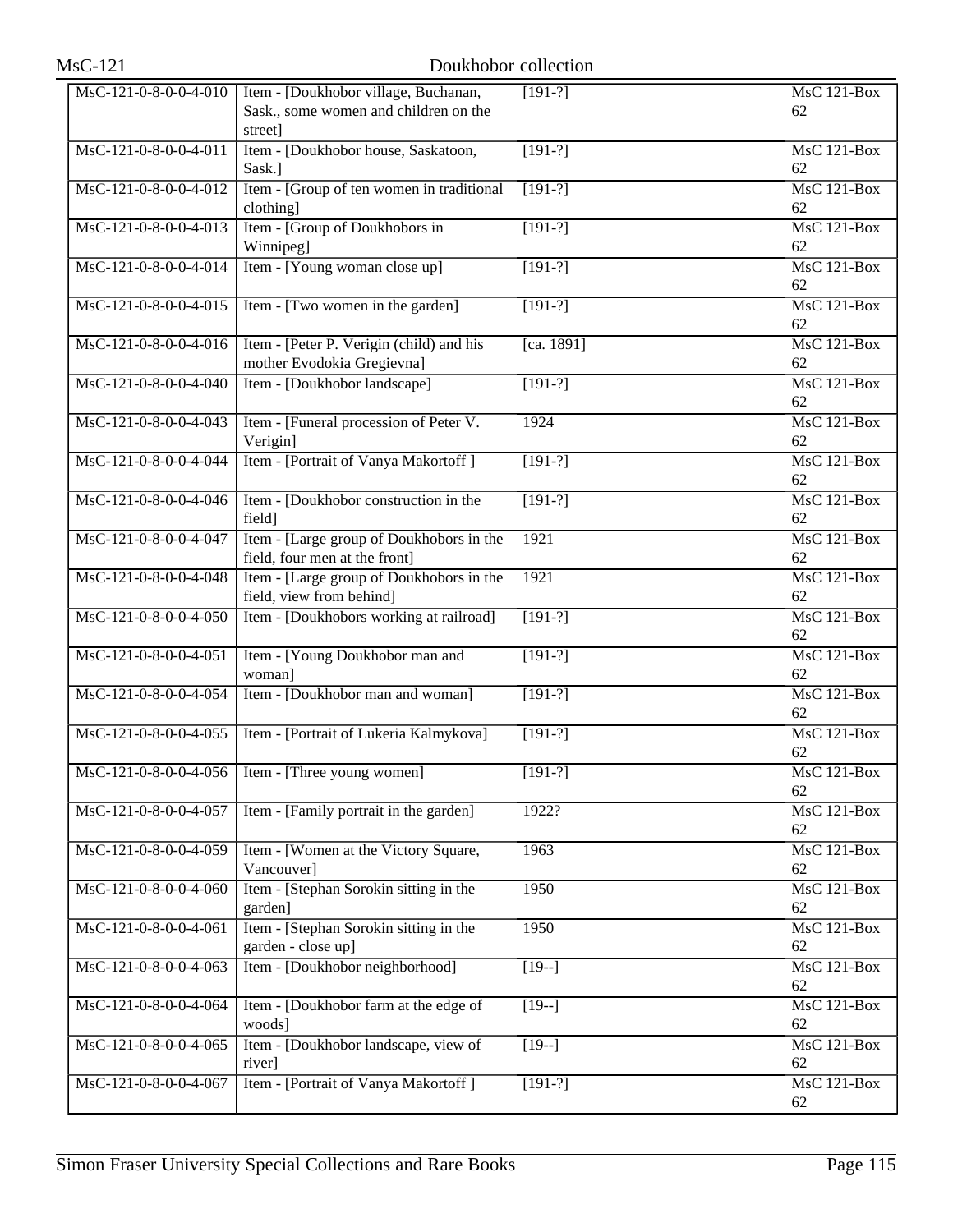| $MsC-121$               | Doukhobor collection                                                                     |            |                          |
|-------------------------|------------------------------------------------------------------------------------------|------------|--------------------------|
| $MsC-121-0-8-0-0-4-010$ | Item - [Doukhobor village, Buchanan,<br>Sask., some women and children on the<br>street] | $[191-?]$  | <b>MsC 121-Box</b><br>62 |
| MsC-121-0-8-0-0-4-011   | Item - [Doukhobor house, Saskatoon,<br>Sask.]                                            | $[191-?]$  | MsC 121-Box<br>62        |
| MsC-121-0-8-0-0-4-012   | Item - [Group of ten women in traditional<br>clothing]                                   | $[191-?]$  | $MsC$ 121-Box<br>62      |
| MsC-121-0-8-0-0-4-013   | Item - [Group of Doukhobors in<br>Winnipeg]                                              | $[191-?]$  | <b>MsC 121-Box</b><br>62 |
| MsC-121-0-8-0-0-4-014   | Item - [Young woman close up]                                                            | $[191-?]$  | MsC 121-Box<br>62        |
| MsC-121-0-8-0-0-4-015   | Item - [Two women in the garden]                                                         | $[191-?]$  | $MsC$ 121-Box<br>62      |
| MsC-121-0-8-0-0-4-016   | Item - [Peter P. Verigin (child) and his<br>mother Evodokia Gregievna]                   | [ca. 1891] | <b>MsC 121-Box</b><br>62 |
| MsC-121-0-8-0-0-4-040   | Item - [Doukhobor landscape]                                                             | $[191-?]$  | $MsC$ 121-Box<br>62      |
| MsC-121-0-8-0-0-4-043   | Item - [Funeral procession of Peter V.<br>Verigin]                                       | 1924       | $MsC$ 121-Box<br>62      |
| MsC-121-0-8-0-0-4-044   | Item - [Portrait of Vanya Makortoff]                                                     | $[191-?]$  | <b>MsC 121-Box</b><br>62 |
| MsC-121-0-8-0-0-4-046   | Item - [Doukhobor construction in the<br>field]                                          | $[191-?]$  | MsC 121-Box<br>62        |
| MsC-121-0-8-0-0-4-047   | Item - [Large group of Doukhobors in the<br>field, four men at the front]                | 1921       | <b>MsC 121-Box</b><br>62 |
| MsC-121-0-8-0-0-4-048   | Item - [Large group of Doukhobors in the<br>field, view from behind]                     | 1921       | <b>MsC 121-Box</b><br>62 |
| MsC-121-0-8-0-0-4-050   | Item - [Doukhobors working at railroad]                                                  | $[191-?]$  | MsC 121-Box<br>62        |
| MsC-121-0-8-0-0-4-051   | Item - [Young Doukhobor man and<br>woman]                                                | $[191-?]$  | $MsC$ 121-Box<br>62      |
| MsC-121-0-8-0-0-4-054   | Item - [Doukhobor man and woman]                                                         | $[191-?]$  | <b>MsC 121-Box</b><br>62 |
| MsC-121-0-8-0-0-4-055   | Item - [Portrait of Lukeria Kalmykova]                                                   | $[191-?]$  | MsC 121-Box<br>62        |
| MsC-121-0-8-0-0-4-056   | Item - [Three young women]                                                               | $[191-?]$  | $MsC$ 121-Box<br>62      |
| MsC-121-0-8-0-0-4-057   | Item - [Family portrait in the garden]                                                   | 1922?      | <b>MsC 121-Box</b><br>62 |
| MsC-121-0-8-0-0-4-059   | Item - [Women at the Victory Square,<br>Vancouver]                                       | 1963       | <b>MsC 121-Box</b><br>62 |
| MsC-121-0-8-0-0-4-060   | Item - [Stephan Sorokin sitting in the<br>garden]                                        | 1950       | MsC 121-Box<br>62        |
| MsC-121-0-8-0-0-4-061   | Item - [Stephan Sorokin sitting in the<br>garden - close up]                             | 1950       | <b>MsC 121-Box</b><br>62 |
| MsC-121-0-8-0-0-4-063   | Item - [Doukhobor neighborhood]                                                          | $[19-]$    | <b>MsC 121-Box</b><br>62 |
| MsC-121-0-8-0-0-4-064   | Item - [Doukhobor farm at the edge of<br>woods]                                          | $[19-]$    | $MsC$ 121-Box<br>62      |
| MsC-121-0-8-0-0-4-065   | Item - [Doukhobor landscape, view of<br>river]                                           | $[19-]$    | <b>MsC 121-Box</b><br>62 |
| MsC-121-0-8-0-0-4-067   | Item - [Portrait of Vanya Makortoff]                                                     | $[191-?]$  | MsC 121-Box<br>62        |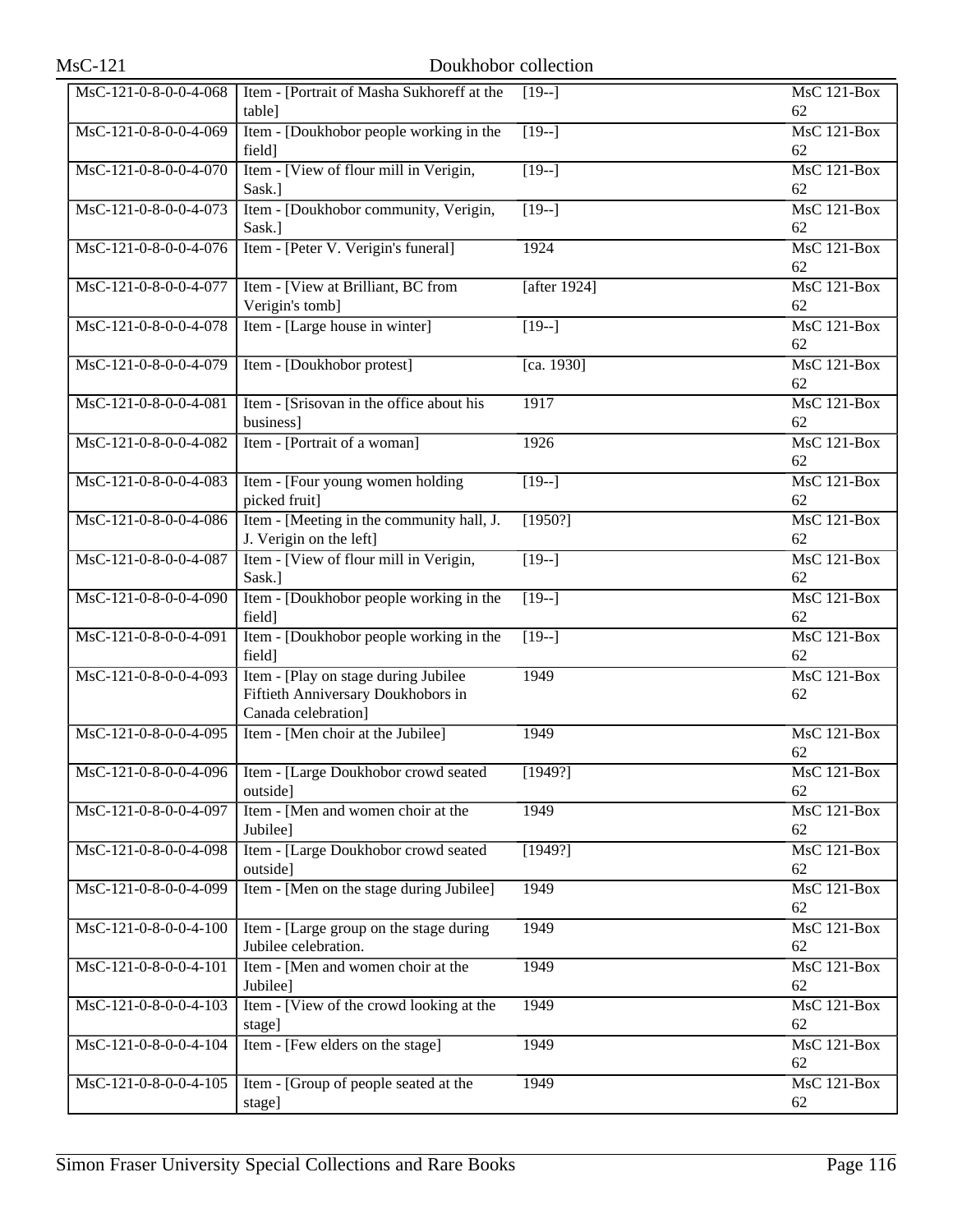| $MsC-121$             |                                                                                                   | Doukhobor collection |                          |
|-----------------------|---------------------------------------------------------------------------------------------------|----------------------|--------------------------|
| MsC-121-0-8-0-0-4-068 | Item - [Portrait of Masha Sukhoreff at the<br>table]                                              | $[19-]$              | <b>MsC 121-Box</b><br>62 |
| MsC-121-0-8-0-0-4-069 | Item - [Doukhobor people working in the<br>field]                                                 | $[19-]$              | MsC 121-Box<br>62        |
| MsC-121-0-8-0-0-4-070 | Item - [View of flour mill in Verigin,<br>Sask.]                                                  | $\overline{19-1}$    | $MsC$ 121-Box<br>62      |
| MsC-121-0-8-0-0-4-073 | Item - [Doukhobor community, Verigin,<br>Sask.]                                                   | $[19-]$              | <b>MsC 121-Box</b><br>62 |
| MsC-121-0-8-0-0-4-076 | Item - [Peter V. Verigin's funeral]                                                               | 1924                 | MsC 121-Box<br>62        |
| MsC-121-0-8-0-0-4-077 | Item - [View at Brilliant, BC from<br>Verigin's tomb]                                             | [after $1924$ ]      | $MsC$ 121-Box<br>62      |
| MsC-121-0-8-0-0-4-078 | Item - [Large house in winter]                                                                    | $[19-]$              | MsC 121-Box<br>62        |
| MsC-121-0-8-0-0-4-079 | Item - [Doukhobor protest]                                                                        | [ca. 1930]           | MsC 121-Box<br>62        |
| MsC-121-0-8-0-0-4-081 | Item - [Srisovan in the office about his<br>business]                                             | 1917                 | $MsC$ 121-Box<br>62      |
| MsC-121-0-8-0-0-4-082 | Item - [Portrait of a woman]                                                                      | 1926                 | $MsC$ 121-Box<br>62      |
| MsC-121-0-8-0-0-4-083 | Item - [Four young women holding<br>picked fruit]                                                 | $[19-]$              | MsC 121-Box<br>62        |
| MsC-121-0-8-0-0-4-086 | Item - [Meeting in the community hall, J.<br>J. Verigin on the left]                              | [1950?]              | <b>MsC 121-Box</b><br>62 |
| MsC-121-0-8-0-0-4-087 | Item - [View of flour mill in Verigin,<br>Sask.]                                                  | $\overline{119-1}$   | <b>MsC 121-Box</b><br>62 |
| MsC-121-0-8-0-0-4-090 | Item - [Doukhobor people working in the<br>field]                                                 | $[19-]$              | MsC 121-Box<br>62        |
| MsC-121-0-8-0-0-4-091 | Item - [Doukhobor people working in the<br>field]                                                 | $[19-]$              | $MsC$ 121-Box<br>62      |
| MsC-121-0-8-0-0-4-093 | Item - [Play on stage during Jubilee<br>Fiftieth Anniversary Doukhobors in<br>Canada celebration] | 1949                 | <b>MsC 121-Box</b><br>62 |
| MsC-121-0-8-0-0-4-095 | Item - [Men choir at the Jubilee]                                                                 | 1949                 | MsC 121-Box<br>62        |
| MsC-121-0-8-0-0-4-096 | Item - [Large Doukhobor crowd seated<br>outside]                                                  | [1949?]              | $MsC$ 121-Box<br>62      |
| MsC-121-0-8-0-0-4-097 | Item - [Men and women choir at the<br>Jubilee]                                                    | 1949                 | <b>MsC 121-Box</b><br>62 |
| MsC-121-0-8-0-0-4-098 | Item - [Large Doukhobor crowd seated<br>outside]                                                  | [1949?]              | MsC 121-Box<br>62        |
| MsC-121-0-8-0-0-4-099 | Item - [Men on the stage during Jubilee]                                                          | 1949                 | $MsC$ 121-Box<br>62      |
| MsC-121-0-8-0-0-4-100 | Item - [Large group on the stage during]<br>Jubilee celebration.                                  | 1949                 | <b>MsC 121-Box</b><br>62 |
| MsC-121-0-8-0-0-4-101 | Item - [Men and women choir at the<br>Jubilee]                                                    | 1949                 | MsC 121-Box<br>62        |
| MsC-121-0-8-0-0-4-103 | Item - [View of the crowd looking at the<br>stage]                                                | 1949                 | $MsC$ 121-Box<br>62      |
| MsC-121-0-8-0-0-4-104 | Item - [Few elders on the stage]                                                                  | 1949                 | MsC 121-Box<br>62        |
| MsC-121-0-8-0-0-4-105 | Item - [Group of people seated at the<br>stage]                                                   | 1949                 | MsC 121-Box<br>62        |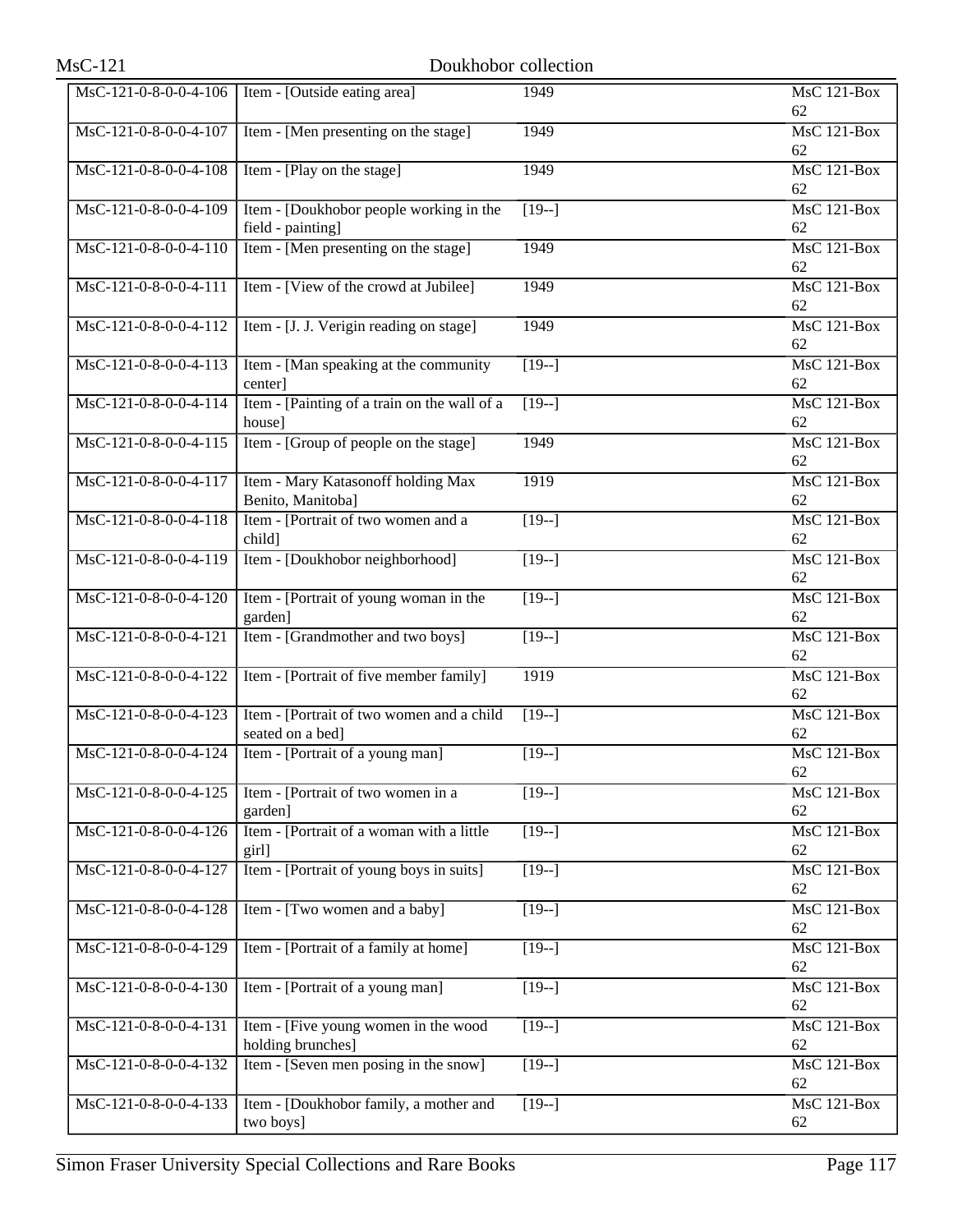| $MsC-121$               | Doukhobor collection                                          |                   |                          |
|-------------------------|---------------------------------------------------------------|-------------------|--------------------------|
| MsC-121-0-8-0-0-4-106   | Item - [Outside eating area]                                  | 1949              | <b>MsC 121-Box</b><br>62 |
| MsC-121-0-8-0-0-4-107   | Item - [Men presenting on the stage]                          | 1949              | MsC 121-Box<br>62        |
| MsC-121-0-8-0-0-4-108   | Item - [Play on the stage]                                    | 1949              | MsC 121-Box<br>62        |
| MsC-121-0-8-0-0-4-109   | Item - [Doukhobor people working in the<br>field - painting]  | $\sqrt{19-1}$     | <b>MsC 121-Box</b><br>62 |
| MsC-121-0-8-0-0-4-110   | Item - [Men presenting on the stage]                          | 1949              | $MsC$ 121-Box<br>62      |
| MsC-121-0-8-0-0-4-111   | Item - [View of the crowd at Jubilee]                         | 1949              | $MsC$ 121-Box<br>62      |
| MsC-121-0-8-0-0-4-112   | Item - [J. J. Verigin reading on stage]                       | 1949              | <b>MsC 121-Box</b><br>62 |
| MsC-121-0-8-0-0-4-113   | Item - [Man speaking at the community]<br>center]             | $[19-]$           | $MsC$ 121-Box<br>62      |
| MsC-121-0-8-0-0-4-114   | Item - [Painting of a train on the wall of a<br>house]        | $[19-]$           | <b>MsC 121-Box</b><br>62 |
| MsC-121-0-8-0-0-4-115   | Item - [Group of people on the stage]                         | 1949              | <b>MsC 121-Box</b><br>62 |
| MsC-121-0-8-0-0-4-117   | Item - Mary Katasonoff holding Max<br>Benito, Manitoba]       | 1919              | MsC 121-Box<br>62        |
| MsC-121-0-8-0-0-4-118   | Item - [Portrait of two women and a<br>child]                 | $[19-]$           | <b>MsC 121-Box</b><br>62 |
| MsC-121-0-8-0-0-4-119   | Item - [Doukhobor neighborhood]                               | $[19-]$           | <b>MsC 121-Box</b><br>62 |
| MsC-121-0-8-0-0-4-120   | Item - [Portrait of young woman in the<br>garden]             | $[19-]$           | MsC 121-Box<br>62        |
| MsC-121-0-8-0-0-4-121   | Item - [Grandmother and two boys]                             | $\overline{19-1}$ | $MsC$ 121-Box<br>62      |
| MsC-121-0-8-0-0-4-122   | Item - [Portrait of five member family]                       | 1919              | <b>MsC 121-Box</b><br>62 |
| MsC-121-0-8-0-0-4-123   | Item - [Portrait of two women and a child<br>seated on a bed] | $[19-]$           | MsC 121-Box<br>62        |
| MsC-121-0-8-0-0-4-124   | Item - [Portrait of a young man]                              | $[19-]$           | <b>MsC 121-Box</b><br>62 |
| MsC-121-0-8-0-0-4-125   | Item - [Portrait of two women in a<br>garden]                 | $[19-]$           | MsC 121-Box<br>62        |
| MsC-121-0-8-0-0-4-126   | Item - [Portrait of a woman with a little<br>girl]            | $[19-]$           | MsC 121-Box<br>62        |
| MsC-121-0-8-0-0-4-127   | Item - [Portrait of young boys in suits]                      | $\overline{19-1}$ | MsC 121-Box<br>62        |
| MsC-121-0-8-0-0-4-128   | Item - [Two women and a baby]                                 | $[19-]$           | <b>MsC 121-Box</b><br>62 |
| MsC-121-0-8-0-0-4-129   | Item - [Portrait of a family at home]                         | $[19-]$           | MsC 121-Box<br>62        |
| MsC-121-0-8-0-0-4-130   | Item - [Portrait of a young man]                              | $\overline{19-1}$ | MsC 121-Box<br>62        |
| MsC-121-0-8-0-0-4-131   | Item - [Five young women in the wood<br>holding brunches]     | $[19-]$           | MsC 121-Box<br>62        |
| MsC-121-0-8-0-0-4-132   | Item - [Seven men posing in the snow]                         | $[19-]$           | MsC 121-Box<br>62        |
| $MsC-121-0-8-0-0-4-133$ | Item - [Doukhobor family, a mother and<br>two boys]           | $\overline{19-1}$ | <b>MsC 121-Box</b><br>62 |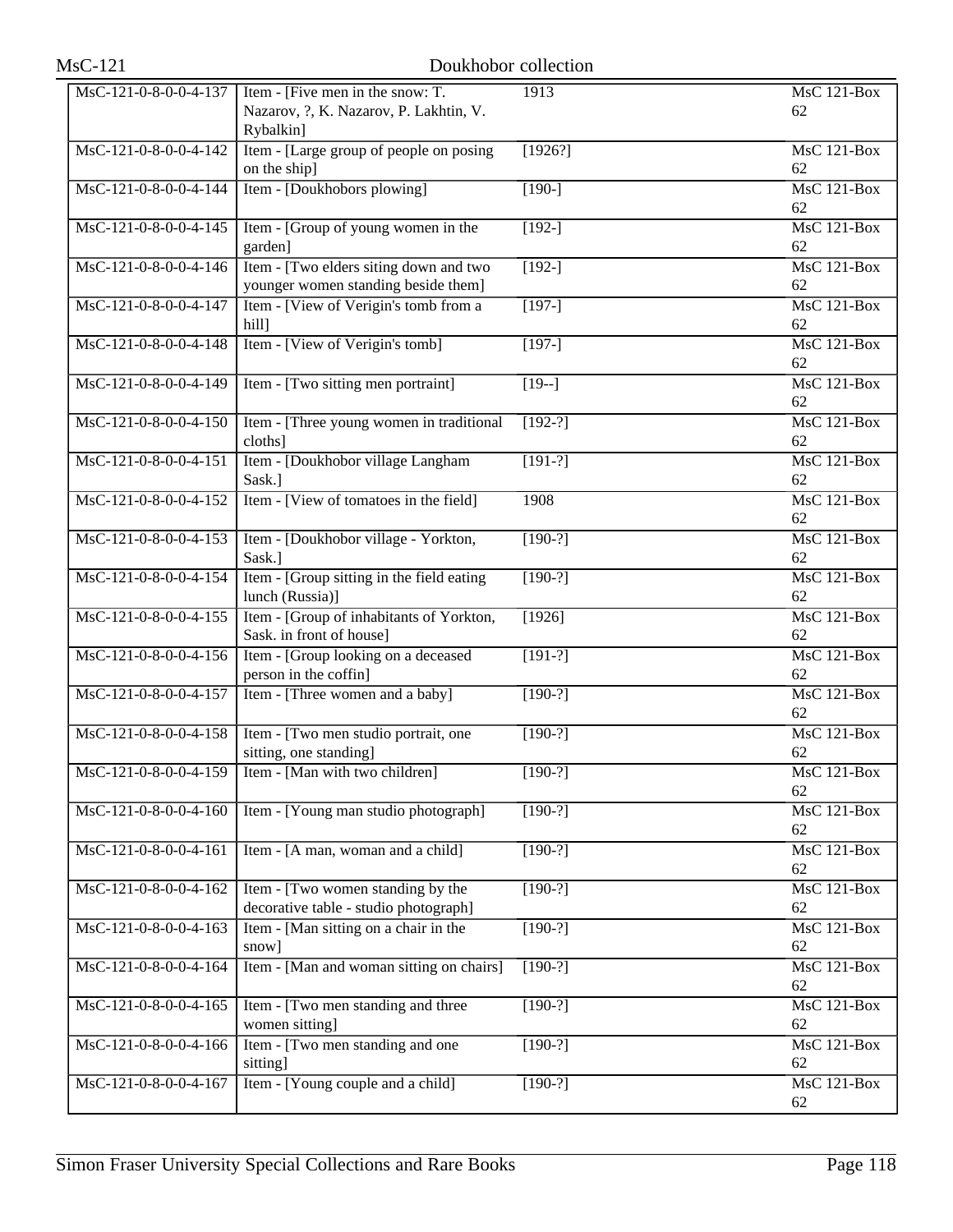| $MsC-121$               |                                                                                         | Doukhobor collection |                                       |
|-------------------------|-----------------------------------------------------------------------------------------|----------------------|---------------------------------------|
| MsC-121-0-8-0-0-4-137   | Item - [Five men in the snow: T.<br>Nazarov, ?, K. Nazarov, P. Lakhtin, V.<br>Rybalkin] | 1913                 | <b>MsC 121-Box</b><br>62              |
| MsC-121-0-8-0-0-4-142   | Item - [Large group of people on posing]<br>on the ship]                                | [1926?]              | MsC 121-Box<br>62                     |
| MsC-121-0-8-0-0-4-144   | Item - [Doukhobors plowing]                                                             | $[190-]$             | $MsC$ 121-Box<br>62                   |
| MsC-121-0-8-0-0-4-145   | Item - [Group of young women in the<br>garden]                                          | $\sqrt{192}$ -]      | <b>MsC 121-Box</b><br>62              |
| MsC-121-0-8-0-0-4-146   | Item - [Two elders siting down and two<br>younger women standing beside them]           | $[192-]$             | <b>MsC 121-Box</b><br>62              |
| MsC-121-0-8-0-0-4-147   | Item - [View of Verigin's tomb from a<br>hill]                                          | $[197-]$             | $MsC$ 121-Box<br>62                   |
| MsC-121-0-8-0-0-4-148   | Item - [View of Verigin's tomb]                                                         | $[197-]$             | <b>MsC 121-Box</b><br>62              |
| MsC-121-0-8-0-0-4-149   | Item - [Two sitting men portraint]                                                      | $[19-]$              | MsC 121-Box<br>62                     |
| MsC-121-0-8-0-0-4-150   | Item - [Three young women in traditional<br>cloths]                                     | $[192-?]$            | <b>MsC 121-Box</b><br>62              |
| MsC-121-0-8-0-0-4-151   | Item - [Doukhobor village Langham<br>Sask.]                                             | $[191-?]$            | <b>MsC 121-Box</b><br>62              |
| MsC-121-0-8-0-0-4-152   | Item - [View of tomatoes in the field]                                                  | 1908                 | MsC 121-Box<br>62                     |
| MsC-121-0-8-0-0-4-153   | Item - [Doukhobor village - Yorkton,<br>Sask.]                                          | $[190-?]$            | <b>MsC 121-Box</b><br>62              |
| MsC-121-0-8-0-0-4-154   | Item - [Group sitting in the field eating<br>lunch (Russia)]                            | $[190-?]$            | <b>MsC 121-Box</b><br>62              |
| MsC-121-0-8-0-0-4-155   | Item - [Group of inhabitants of Yorkton,<br>Sask. in front of house]                    | [1926]               | MsC 121-Box<br>62                     |
| MsC-121-0-8-0-0-4-156   | Item - [Group looking on a deceased<br>person in the coffin]                            | $[191-?]$            | $MsC$ 121-Box<br>62                   |
| MsC-121-0-8-0-0-4-157   | Item - [Three women and a baby]                                                         | $[190-?]$            | <b>MsC 121-Box</b><br>62              |
| MsC-121-0-8-0-0-4-158   | Item - [Two men studio portrait, one<br>sitting, one standing]                          | $[190-?]$            | <b>MsC 121-Box</b><br>62              |
| MsC-121-0-8-0-0-4-159   | Item - [Man with two children]                                                          | $[190-?]$            | <b>MsC 121-Box</b><br>62              |
| MsC-121-0-8-0-0-4-160   | Item - [Young man studio photograph]                                                    | $[190-?]$            | <b>MsC 121-Box</b><br>62              |
| MsC-121-0-8-0-0-4-161   | Item - [A man, woman and a child]                                                       | $[190-?]$            | MsC 121-Box<br>62                     |
| $MsC-121-0-8-0-0-4-162$ | Item - [Two women standing by the<br>decorative table - studio photograph]              | $[190-?]$            | <b>MsC 121-Box</b><br>62              |
| MsC-121-0-8-0-0-4-163   | Item - [Man sitting on a chair in the<br>snow]                                          | $[190-?]$            | <b>MsC 121-Box</b><br>62              |
| MsC-121-0-8-0-0-4-164   | Item - [Man and woman sitting on chairs]                                                | $[190-?]$            | $\overline{\text{MsC 121-Box}}$<br>62 |
| MsC-121-0-8-0-0-4-165   | Item - [Two men standing and three<br>women sitting]                                    | $[190-?]$            | <b>MsC 121-Box</b><br>62              |
| MsC-121-0-8-0-0-4-166   | Item - [Two men standing and one<br>sitting]                                            | $[190-?]$            | MsC 121-Box<br>62                     |
| MsC-121-0-8-0-0-4-167   | Item - [Young couple and a child]                                                       | $[190-?]$            | MsC 121-Box<br>62                     |
|                         |                                                                                         |                      |                                       |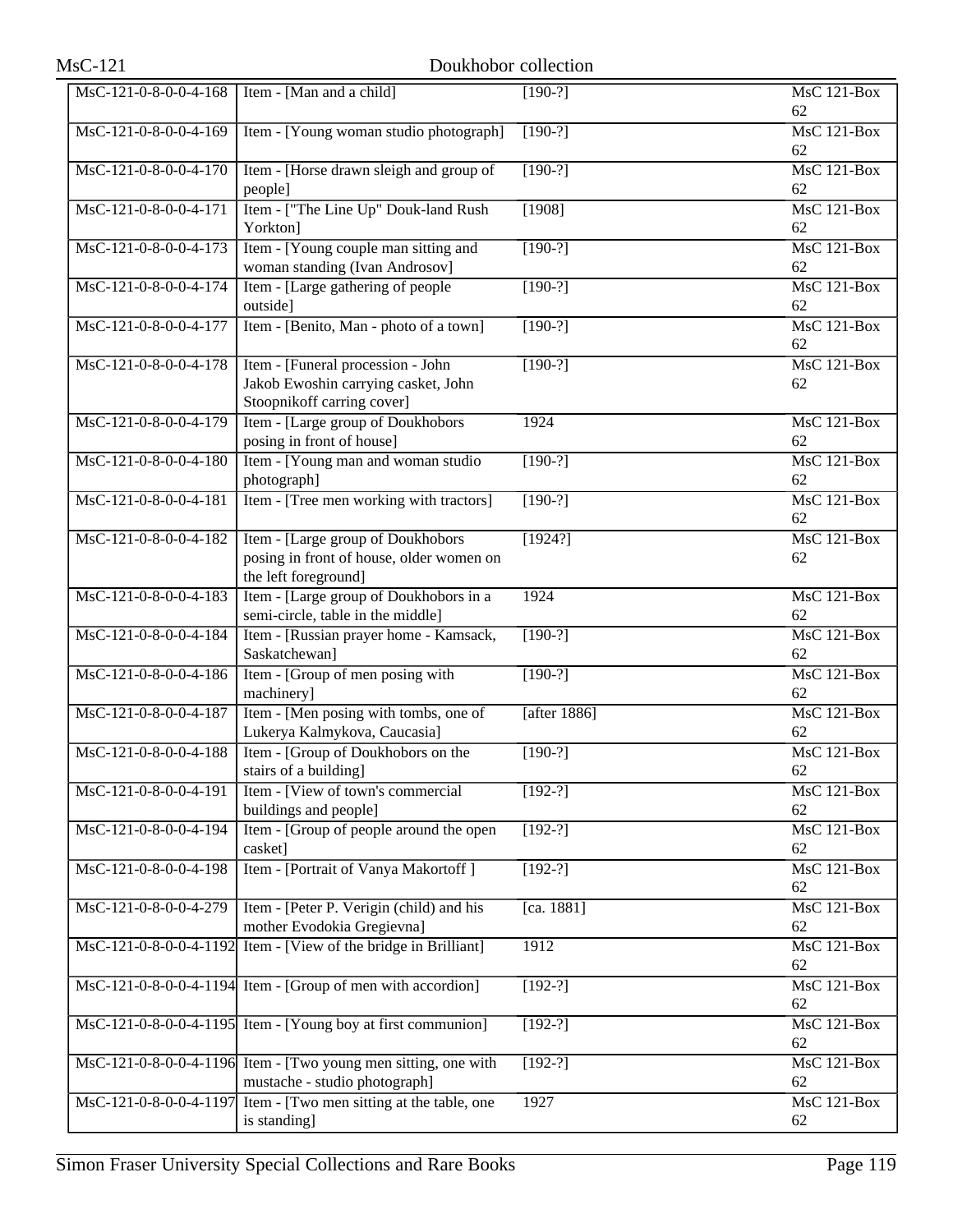| $MsC-121$              | Doukhobor collection                                                                                   |              |                          |
|------------------------|--------------------------------------------------------------------------------------------------------|--------------|--------------------------|
| MsC-121-0-8-0-0-4-168  | Item - [Man and a child]                                                                               | $[190-?]$    | <b>MsC 121-Box</b><br>62 |
| MsC-121-0-8-0-0-4-169  | Item - [Young woman studio photograph]                                                                 | $[190-?]$    | <b>MsC 121-Box</b><br>62 |
| MsC-121-0-8-0-0-4-170  | Item - [Horse drawn sleigh and group of<br>people]                                                     | $[190-?]$    | $MsC$ 121-Box<br>62      |
| MsC-121-0-8-0-0-4-171  | Item - ["The Line Up" Douk-land Rush<br>Yorkton]                                                       | [1908]       | <b>MsC 121-Box</b><br>62 |
| MsC-121-0-8-0-0-4-173  | Item - [Young couple man sitting and<br>woman standing (Ivan Androsov)                                 | $[190-?]$    | MsC 121-Box<br>62        |
| MsC-121-0-8-0-0-4-174  | Item - [Large gathering of people<br>outside]                                                          | $[190-?]$    | $MsC$ 121-Box<br>62      |
| MsC-121-0-8-0-0-4-177  | Item - [Benito, Man - photo of a town]                                                                 | $[190-?]$    | MsC 121-Box<br>62        |
| MsC-121-0-8-0-0-4-178  | Item - [Funeral procession - John<br>Jakob Ewoshin carrying casket, John<br>Stoopnikoff carring cover] | $[190-?]$    | <b>MsC 121-Box</b><br>62 |
| MsC-121-0-8-0-0-4-179  | Item - [Large group of Doukhobors<br>posing in front of house]                                         | 1924         | MsC 121-Box<br>62        |
| MsC-121-0-8-0-0-4-180  | Item - [Young man and woman studio<br>photograph]                                                      | $[190-?]$    | $MsC$ 121-Box<br>62      |
| MsC-121-0-8-0-0-4-181  | Item - [Tree men working with tractors]                                                                | $[190-?]$    | MsC 121-Box<br>62        |
| MsC-121-0-8-0-0-4-182  | Item - [Large group of Doukhobors<br>posing in front of house, older women on<br>the left foreground]  | 1924?        | <b>MsC 121-Box</b><br>62 |
| MsC-121-0-8-0-0-4-183  | Item - [Large group of Doukhobors in a<br>semi-circle, table in the middle]                            | 1924         | <b>MsC 121-Box</b><br>62 |
| MsC-121-0-8-0-0-4-184  | Item - [Russian prayer home - Kamsack,<br>Saskatchewan]                                                | $[190-?]$    | MsC 121-Box<br>62        |
| MsC-121-0-8-0-0-4-186  | Item - [Group of men posing with<br>machinery]                                                         | $[190-?]$    | $MsC$ 121-Box<br>62      |
| MsC-121-0-8-0-0-4-187  | Item - [Men posing with tombs, one of<br>Lukerya Kalmykova, Caucasia]                                  | [after 1886] | <b>MsC 121-Box</b><br>62 |
| MsC-121-0-8-0-0-4-188  | Item - [Group of Doukhobors on the<br>stairs of a building]                                            | $[190-?]$    | MsC 121-Box<br>62        |
| MsC-121-0-8-0-0-4-191  | Item - [View of town's commercial<br>buildings and people]                                             | $[192-?]$    | MsC 121-Box<br>62        |
| MsC-121-0-8-0-0-4-194  | Item - [Group of people around the open<br>casket]                                                     | $[192-?]$    | MsC 121-Box<br>62        |
| MsC-121-0-8-0-0-4-198  | Item - [Portrait of Vanya Makortoff]                                                                   | $[192-?]$    | MsC 121-Box<br>62        |
| MsC-121-0-8-0-0-4-279  | Item - [Peter P. Verigin (child) and his<br>mother Evodokia Gregievna]                                 | [ca. 1881]   | MsC 121-Box<br>62        |
|                        | MsC-121-0-8-0-0-4-1192 Item - [View of the bridge in Brilliant]                                        | 1912         | $MsC$ 121-Box<br>62      |
|                        | MsC-121-0-8-0-0-4-1194 Item - [Group of men with accordion]                                            | $[192-?]$    | MsC 121-Box<br>62        |
|                        | MsC-121-0-8-0-0-4-1195 Item - [Young boy at first communion]                                           | $[192-?]$    | MsC 121-Box<br>62        |
|                        | MsC-121-0-8-0-0-4-1196 Item - [Two young men sitting, one with<br>mustache - studio photograph]        | $[192-?]$    | MsC 121-Box<br>62        |
| MsC-121-0-8-0-0-4-1197 | Item - [Two men sitting at the table, one<br>is standing]                                              | 1927         | MsC 121-Box<br>62        |
|                        |                                                                                                        |              |                          |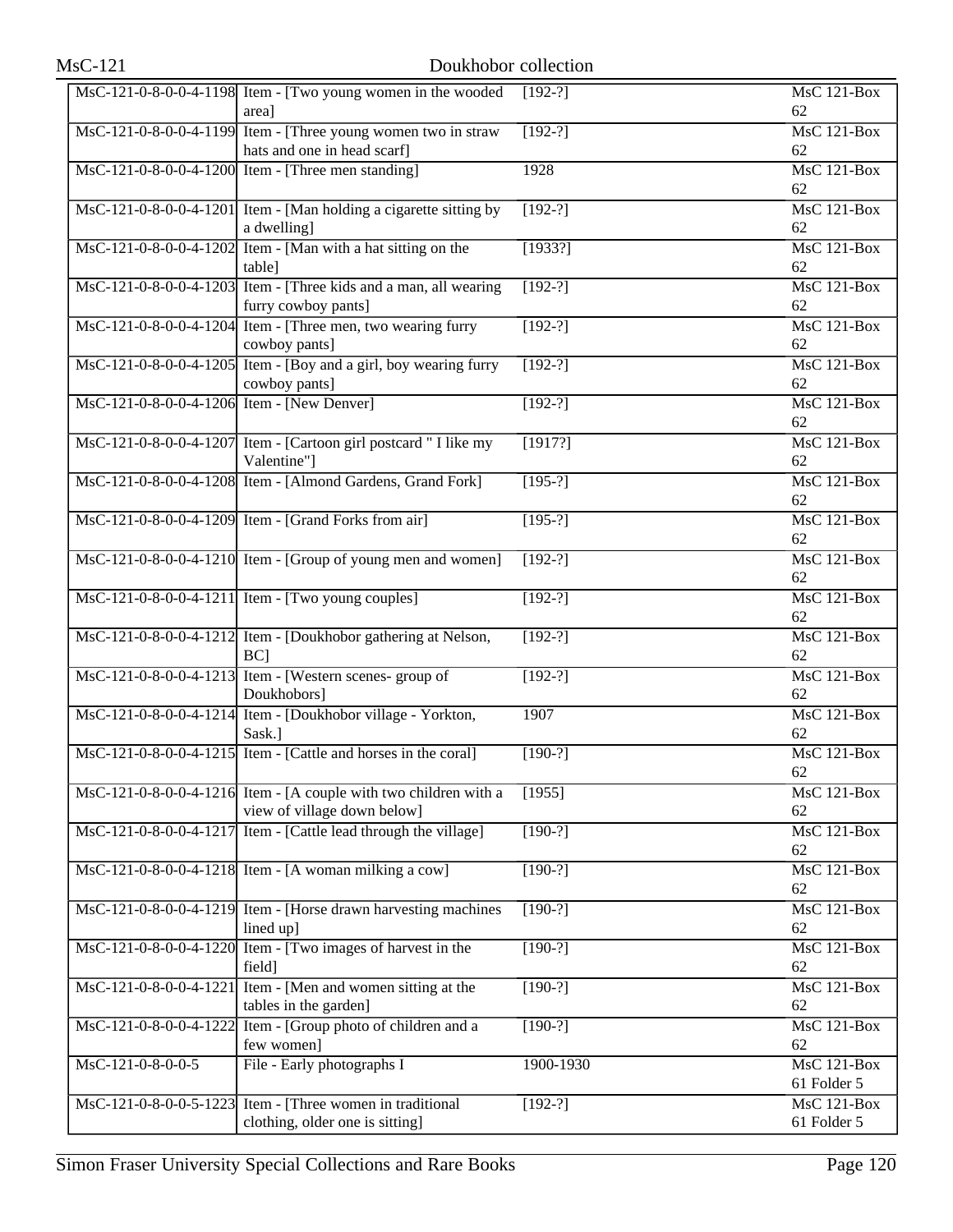|                                            | MsC-121-0-8-0-0-4-1198 Item - [Two young women in the wooded<br>area]                           | $[192-?]$ | MsC 121-Box<br>62                     |
|--------------------------------------------|-------------------------------------------------------------------------------------------------|-----------|---------------------------------------|
|                                            | MsC-121-0-8-0-0-4-1199 Item - [Three young women two in straw<br>hats and one in head scarf]    | $[192-?]$ | MsC 121-Box<br>62                     |
|                                            | MsC-121-0-8-0-0-4-1200 Item - [Three men standing]                                              | 1928      | MsC 121-Box<br>62                     |
|                                            | MsC-121-0-8-0-0-4-1201 Item - [Man holding a cigarette sitting by<br>a dwelling]                | $[192-?]$ | $\overline{\text{MsC 121-Box}}$<br>62 |
|                                            | MsC-121-0-8-0-0-4-1202 Item - [Man with a hat sitting on the<br>table]                          | [1933?]   | MsC 121-Box<br>62                     |
|                                            | MsC-121-0-8-0-0-4-1203 Item - [Three kids and a man, all wearing<br>furry cowboy pants]         | $[192-?]$ | MsC 121-Box<br>62                     |
|                                            | MsC-121-0-8-0-0-4-1204 Item - [Three men, two wearing furry<br>cowboy pants]                    | $[192-?]$ | MsC 121-Box<br>62                     |
|                                            | MsC-121-0-8-0-0-4-1205 Item - [Boy and a girl, boy wearing furry<br>cowboy pants]               | $[192-?]$ | MsC 121-Box<br>62                     |
| MsC-121-0-8-0-0-4-1206 Item - [New Denver] |                                                                                                 | $[192-?]$ | MsC 121-Box<br>62                     |
|                                            | MsC-121-0-8-0-0-4-1207 Item - [Cartoon girl postcard " I like my<br>Valentine"]                 | [1917?]   | <b>MsC 121-Box</b><br>62              |
|                                            | MsC-121-0-8-0-0-4-1208 Item - [Almond Gardens, Grand Fork]                                      | $[195-?]$ | MsC 121-Box<br>62                     |
|                                            | MsC-121-0-8-0-0-4-1209 Item - [Grand Forks from air]                                            | $[195-?]$ | MsC 121-Box<br>62                     |
|                                            | MsC-121-0-8-0-0-4-1210 Item - [Group of young men and women]                                    | $[192-?]$ | MsC 121-Box<br>62                     |
|                                            | MsC-121-0-8-0-0-4-1211 Item - [Two young couples]                                               | $[192-?]$ | MsC 121-Box<br>62                     |
|                                            | MsC-121-0-8-0-0-4-1212 Item - [Doukhobor gathering at Nelson,<br>$BC$ ]                         | $[192-?]$ | MsC 121-Box<br>62                     |
|                                            | MsC-121-0-8-0-0-4-1213 Item - [Western scenes- group of<br>Doukhobors]                          | $[192-?]$ | MsC 121-Box<br>62                     |
|                                            | MsC-121-0-8-0-0-4-1214 Item - [Doukhobor village - Yorkton,<br>Sask.]                           | 1907      | MsC 121-Box<br>62                     |
|                                            | MsC-121-0-8-0-0-4-1215 Item - [Cattle and horses in the coral]                                  | $[190-?]$ | MsC 121-Box<br>62                     |
|                                            | MsC-121-0-8-0-0-4-1216 Item - [A couple with two children with a<br>view of village down below] | [1955]    | MsC 121-Box<br>62                     |
|                                            | MsC-121-0-8-0-0-4-1217 Item - [Cattle lead through the village]                                 | $[190-?]$ | MsC 121-Box<br>62                     |
|                                            | MsC-121-0-8-0-0-4-1218 Item - [A woman milking a cow]                                           | $[190-?]$ | MsC 121-Box<br>62                     |
|                                            | MsC-121-0-8-0-0-4-1219 Item - [Horse drawn harvesting machines<br>lined up]                     | $[190-?]$ | MsC 121-Box<br>62                     |
|                                            | $\overline{\text{MsC-121-0-8-0-0-4-1220}}$ Item - [Two images of harvest in the<br>field]       | $[190-?]$ | MsC 121-Box<br>62                     |
| MsC-121-0-8-0-0-4-1221                     | Item - [Men and women sitting at the<br>tables in the garden]                                   | $[190-?]$ | MsC 121-Box<br>62                     |
|                                            | MsC-121-0-8-0-0-4-1222 Item - [Group photo of children and a<br>few women]                      | $[190-?]$ | MsC 121-Box<br>62                     |
| MsC-121-0-8-0-0-5                          | File - Early photographs I                                                                      | 1900-1930 | MsC 121-Box<br>61 Folder 5            |
|                                            | MsC-121-0-8-0-0-5-1223 Item - [Three women in traditional<br>clothing, older one is sitting]    | $[192-?]$ | MsC 121-Box<br>61 Folder 5            |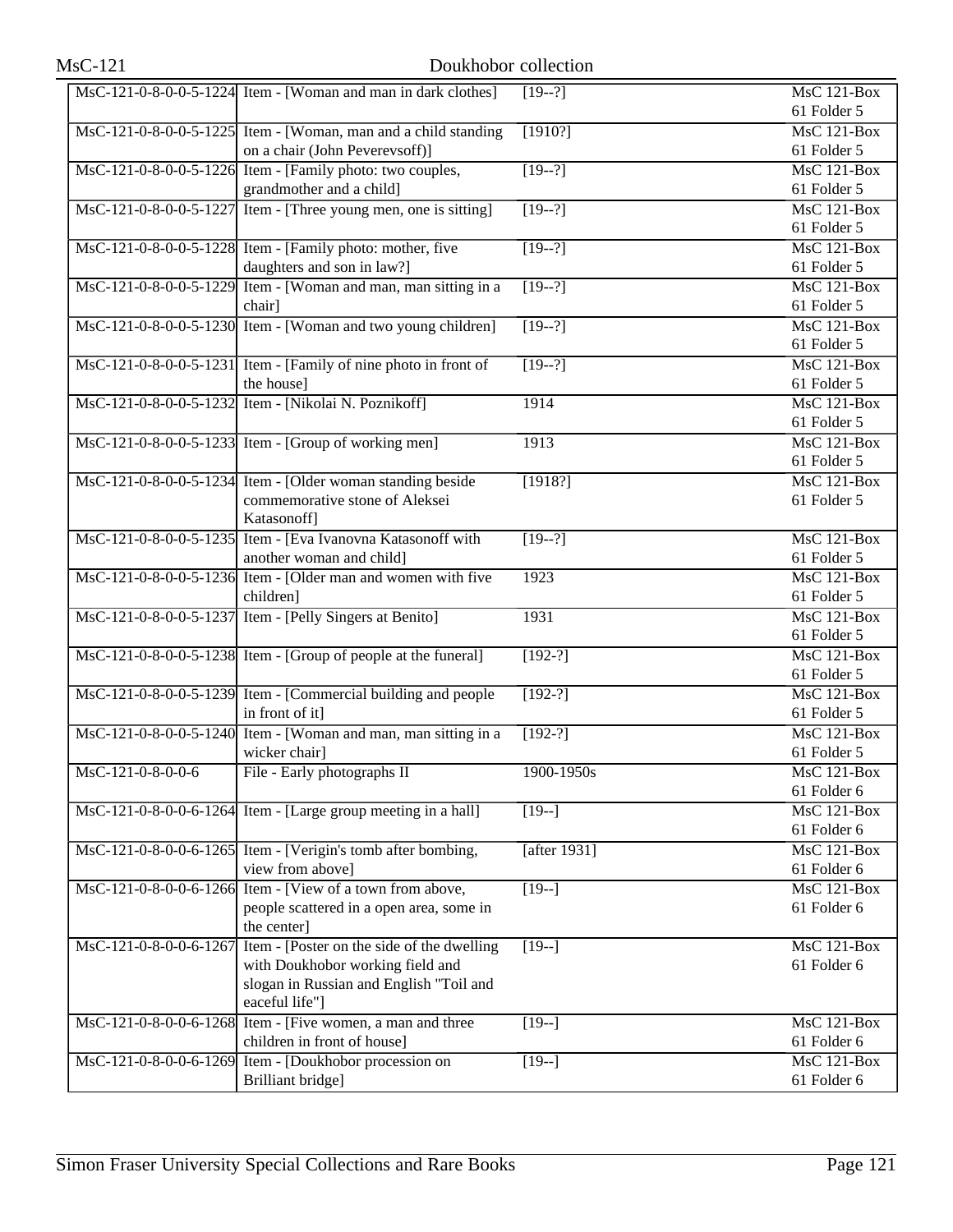|                        | MsC-121-0-8-0-0-5-1224 Item - [Woman and man in dark clothes]   | $[19-2]$          | MsC 121-Box<br>61 Folder 5      |
|------------------------|-----------------------------------------------------------------|-------------------|---------------------------------|
|                        | MsC-121-0-8-0-0-5-1225 Item - [Woman, man and a child standing  | [1910?]           | MsC 121-Box                     |
|                        | on a chair (John Peverevsoff)]                                  |                   | 61 Folder 5                     |
|                        | MsC-121-0-8-0-0-5-1226 Item - [Family photo: two couples,       | $[19-2]$          | MsC 121-Box                     |
|                        | grandmother and a child]                                        |                   | 61 Folder 5                     |
|                        | MsC-121-0-8-0-0-5-1227 Item - [Three young men, one is sitting] | $[19-2]$          | MsC 121-Box                     |
|                        |                                                                 |                   | 61 Folder 5                     |
|                        | MsC-121-0-8-0-0-5-1228 Item - [Family photo: mother, five       | $[19-2]$          | MsC 121-Box                     |
|                        | daughters and son in law?]                                      |                   | 61 Folder 5                     |
|                        | MsC-121-0-8-0-0-5-1229 Item - [Woman and man, man sitting in a  | $[19-2]$          | MsC 121-Box                     |
|                        | chair]                                                          |                   | 61 Folder 5                     |
|                        | MsC-121-0-8-0-0-5-1230 Item - [Woman and two young children]    | $[19-2]$          | MsC 121-Box                     |
|                        |                                                                 |                   | 61 Folder 5                     |
|                        | MsC-121-0-8-0-0-5-1231 Item - [Family of nine photo in front of | $[19-2]$          | MsC 121-Box                     |
|                        | the house]                                                      |                   | 61 Folder 5                     |
|                        | MsC-121-0-8-0-0-5-1232 Item - [Nikolai N. Poznikoff]            | 1914              | $MsC$ 121-Box                   |
|                        |                                                                 |                   | 61 Folder 5                     |
|                        | MsC-121-0-8-0-0-5-1233 Item - [Group of working men]            | 1913              | MsC 121-Box                     |
|                        |                                                                 |                   | 61 Folder 5                     |
|                        | MsC-121-0-8-0-0-5-1234 Item - [Older woman standing beside      | [1918?]           | MsC 121-Box                     |
|                        | commemorative stone of Aleksei                                  |                   | 61 Folder 5                     |
|                        | Katasonoff]                                                     |                   |                                 |
|                        | MsC-121-0-8-0-0-5-1235 Item - [Eva Ivanovna Katasonoff with     | $[19-2]$          | MsC 121-Box                     |
|                        | another woman and child]                                        |                   | 61 Folder 5                     |
|                        | MsC-121-0-8-0-0-5-1236 Item - [Older man and women with five    | 1923              | MsC 121-Box                     |
|                        | children]                                                       |                   | 61 Folder 5                     |
|                        | MsC-121-0-8-0-0-5-1237 Item - [Pelly Singers at Benito]         | 1931              | MsC 121-Box                     |
|                        |                                                                 |                   | 61 Folder 5                     |
|                        | MsC-121-0-8-0-0-5-1238 Item - [Group of people at the funeral]  | $[192-?]$         | $\overline{\text{MsC 121-Box}}$ |
|                        |                                                                 |                   | 61 Folder 5                     |
|                        | MsC-121-0-8-0-0-5-1239 Item - [Commercial building and people   | $[192-?]$         | MsC 121-Box                     |
|                        | in front of it]                                                 |                   | 61 Folder 5                     |
|                        | MsC-121-0-8-0-0-5-1240 Item - [Woman and man, man sitting in a  | $[192-?]$         | MsC 121-Box                     |
|                        | wicker chair]                                                   |                   | 61 Folder 5                     |
| MsC-121-0-8-0-0-6      | File - Early photographs II                                     | 1900-1950s        | MsC 121-Box                     |
|                        |                                                                 |                   | 61 Folder 6                     |
|                        | MsC-121-0-8-0-0-6-1264 Item - [Large group meeting in a hall]   | $[19-]$           | MsC 121-Box                     |
|                        |                                                                 |                   | 61 Folder 6                     |
|                        | MsC-121-0-8-0-0-6-1265 Item - [Verigin's tomb after bombing,    | [after 1931]      | MsC 121-Box                     |
|                        | view from above]                                                |                   | 61 Folder 6                     |
|                        | MsC-121-0-8-0-0-6-1266 Item - [View of a town from above,       | $\overline{19-1}$ | <b>MsC 121-Box</b>              |
|                        | people scattered in a open area, some in                        |                   | 61 Folder 6                     |
|                        | the center]                                                     |                   |                                 |
| MsC-121-0-8-0-0-6-1267 | Item - [Poster on the side of the dwelling                      | $[19-]$           | <b>MsC 121-Box</b>              |
|                        | with Doukhobor working field and                                |                   | 61 Folder 6                     |
|                        | slogan in Russian and English "Toil and                         |                   |                                 |
|                        | eaceful life"]                                                  |                   |                                 |
|                        | MsC-121-0-8-0-0-6-1268 Item - [Five women, a man and three      | $[19-]$           | <b>MsC 121-Box</b>              |
|                        | children in front of house]                                     |                   | 61 Folder 6                     |
|                        | MsC-121-0-8-0-0-6-1269 Item - [Doukhobor procession on          | $[19-]$           | <b>MsC 121-Box</b>              |
|                        | Brilliant bridge]                                               |                   | 61 Folder 6                     |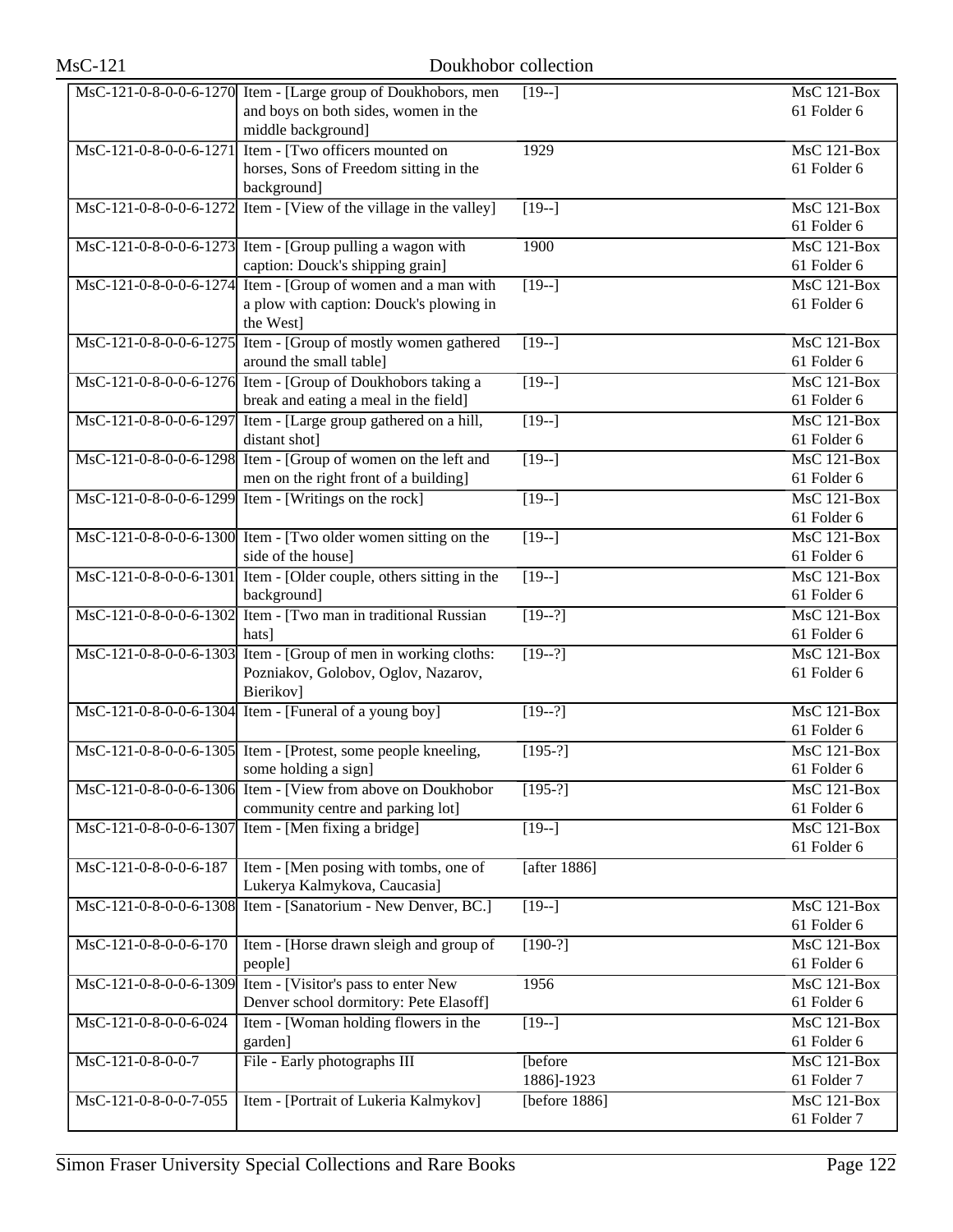| <b>MsC-121</b>         |                                                                                                                                   | Doukhobor collection  |                                   |
|------------------------|-----------------------------------------------------------------------------------------------------------------------------------|-----------------------|-----------------------------------|
|                        | MsC-121-0-8-0-0-6-1270 Item - [Large group of Doukhobors, men<br>and boys on both sides, women in the<br>middle background]       | $[19-]$               | $MsC$ 121-Box<br>61 Folder 6      |
|                        | MsC-121-0-8-0-0-6-1271 Item - [Two officers mounted on<br>horses, Sons of Freedom sitting in the<br>background]                   | 1929                  | $MsC$ 121-Box<br>61 Folder 6      |
|                        | MsC-121-0-8-0-0-6-1272 Item - [View of the village in the valley]                                                                 | $\sqrt{19-1}$         | $MsC$ 121-Box<br>61 Folder 6      |
|                        | $\text{MsC-121-0-8-0-0-6-1273}$ Item - [Group pulling a wagon with<br>caption: Douck's shipping grain]                            | 1900                  | <b>MsC 121-Box</b><br>61 Folder 6 |
|                        | $\overline{MsC-121-0-8-0-0-6-1274}$ Item - [Group of women and a man with<br>a plow with caption: Douck's plowing in<br>the West] | $[19-]$               | <b>MsC 121-Box</b><br>61 Folder 6 |
|                        | MsC-121-0-8-0-0-6-1275 Item - [Group of mostly women gathered<br>around the small table]                                          | $[19-]$               | <b>MsC 121-Box</b><br>61 Folder 6 |
|                        | MsC-121-0-8-0-0-6-1276 Item - [Group of Doukhobors taking a<br>break and eating a meal in the field]                              | $[19-]$               | $MsC$ 121-Box<br>61 Folder 6      |
|                        | MsC-121-0-8-0-0-6-1297 Item - [Large group gathered on a hill,<br>distant shot]                                                   | $[19-]$               | <b>MsC 121-Box</b><br>61 Folder 6 |
|                        | MsC-121-0-8-0-0-6-1298 Item - [Group of women on the left and<br>men on the right front of a building]                            | $[19-]$               | MsC 121-Box<br>61 Folder 6        |
|                        | $\text{MsC-121-0-8-0-0-6-1299}$ Item - [Writings on the rock]                                                                     | $\sqrt{19-1}$         | $MsC$ 121-Box<br>61 Folder 6      |
|                        | MsC-121-0-8-0-0-6-1300 Item - [Two older women sitting on the<br>side of the house]                                               | $[19-]$               | <b>MsC 121-Box</b><br>61 Folder 6 |
|                        | $\overline{MsC-121-0-8-0-0-6-1301}$ Item - [Older couple, others sitting in the<br>background]                                    | $\overline{[19-]}$    | <b>MsC 121-Box</b><br>61 Folder 6 |
|                        | MsC-121-0-8-0-0-6-1302 Item - [Two man in traditional Russian<br>hats]                                                            | $[19-2]$              | <b>MsC 121-Box</b><br>61 Folder 6 |
| MsC-121-0-8-0-0-6-1303 | Item - [Group of men in working cloths:<br>Pozniakov, Golobov, Oglov, Nazarov,<br>Bierikov]                                       | $[19-2]$              | <b>MsC 121-Box</b><br>61 Folder 6 |
|                        | MsC-121-0-8-0-0-6-1304 Item - [Funeral of a young boy]                                                                            | $[19-2]$              | MsC 121-Box<br>61 Folder 6        |
|                        | $\text{MsC-121-0-8-0-0-6-1305}$ Item - [Protest, some people kneeling,<br>some holding a sign]                                    | $[195-?]$             | $MsC$ 121-Box<br>61 Folder 6      |
|                        | MsC-121-0-8-0-0-6-1306 Item - [View from above on Doukhobor<br>community centre and parking lot]                                  | $[195-?]$             | MsC 121-Box<br>61 Folder 6        |
| MsC-121-0-8-0-0-6-1307 | Item - [Men fixing a bridge]                                                                                                      | $[19-]$               | <b>MsC 121-Box</b><br>61 Folder 6 |
| MsC-121-0-8-0-0-6-187  | Item - [Men posing with tombs, one of<br>Lukerya Kalmykova, Caucasia]                                                             | [after 1886]          |                                   |
|                        | MsC-121-0-8-0-0-6-1308 Item - [Sanatorium - New Denver, BC.]                                                                      | $[19-]$               | MsC 121-Box<br>61 Folder 6        |
| MsC-121-0-8-0-0-6-170  | Item - [Horse drawn sleigh and group of<br>people]                                                                                | $[190-?]$             | MsC 121-Box<br>61 Folder 6        |
| MsC-121-0-8-0-0-6-1309 | Item - [Visitor's pass to enter New<br>Denver school dormitory: Pete Elasoff]                                                     | 1956                  | <b>MsC 121-Box</b><br>61 Folder 6 |
| MsC-121-0-8-0-0-6-024  | Item - [Woman holding flowers in the<br>garden]                                                                                   | $[19-]$               | MsC 121-Box<br>61 Folder 6        |
| MsC-121-0-8-0-0-7      | File - Early photographs III                                                                                                      | [before<br>1886]-1923 | MsC 121-Box<br>61 Folder 7        |
| MsC-121-0-8-0-0-7-055  | Item - [Portrait of Lukeria Kalmykov]                                                                                             | [before $1886$ ]      | <b>MsC 121-Box</b><br>61 Folder 7 |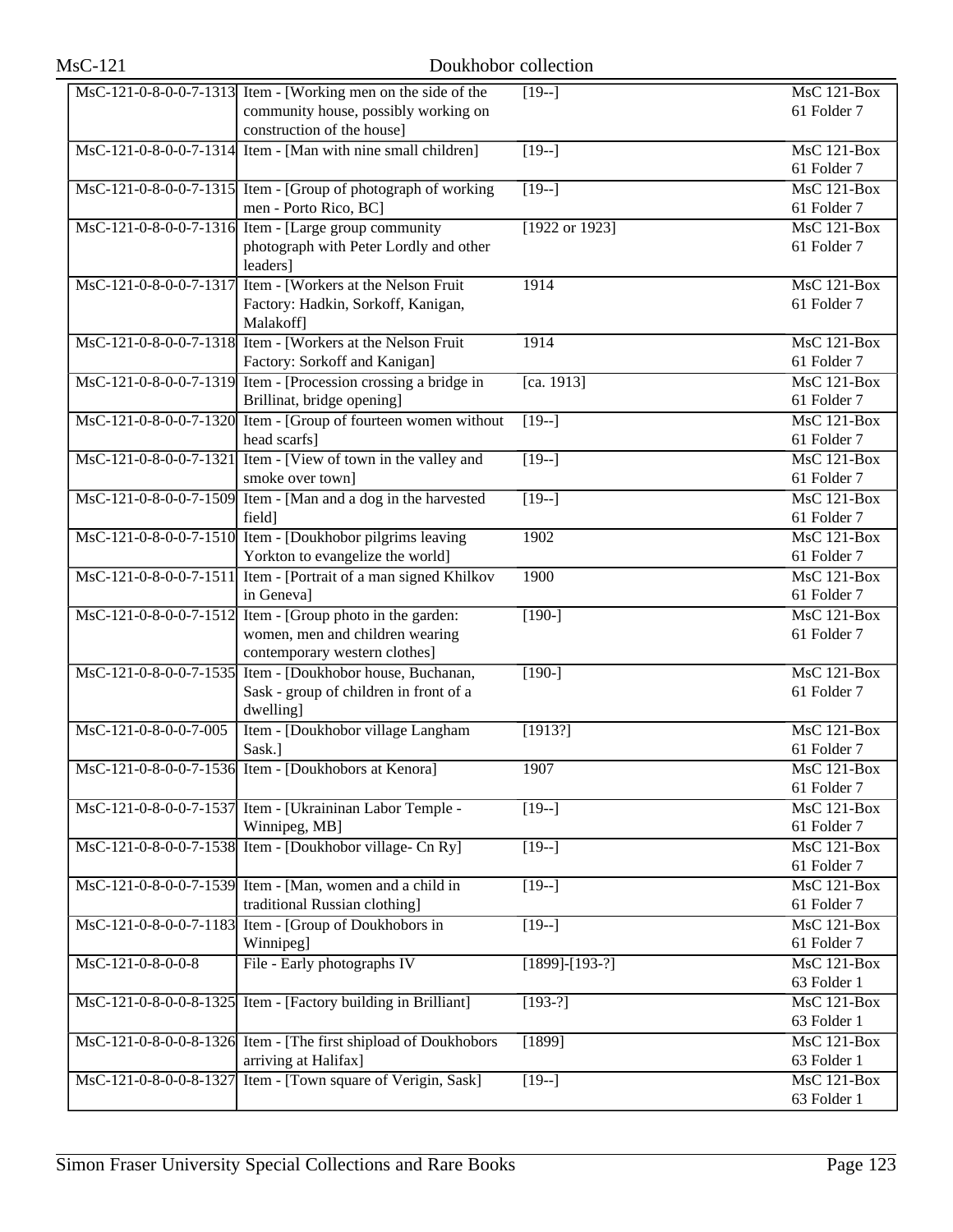| $MsC-121$                | Doukhobor collection                                                                                                                |                    |                                   |
|--------------------------|-------------------------------------------------------------------------------------------------------------------------------------|--------------------|-----------------------------------|
|                          | MsC-121-0-8-0-0-7-1313 Item - [Working men on the side of the<br>community house, possibly working on<br>construction of the house] | $[19-]$            | <b>MsC 121-Box</b><br>61 Folder 7 |
|                          | MsC-121-0-8-0-0-7-1314 Item - [Man with nine small children]                                                                        | $[19-]$            | MsC 121-Box<br>61 Folder 7        |
|                          | MsC-121-0-8-0-0-7-1315 Item - [Group of photograph of working<br>men - Porto Rico, BC]                                              | $[19-]$            | MsC 121-Box<br>61 Folder 7        |
|                          | $\text{MsC-121-0-8-0-0-7-1316}$ Item - [Large group community<br>photograph with Peter Lordly and other<br>leaders]                 | [1922 or 1923]     | MsC 121-Box<br>61 Folder 7        |
| MsC-121-0-8-0-0-7-1317   | Item - [Workers at the Nelson Fruit<br>Factory: Hadkin, Sorkoff, Kanigan,<br>Malakoff]                                              | 1914               | $MsC$ 121-Box<br>61 Folder 7      |
|                          | MsC-121-0-8-0-0-7-1318 Item - [Workers at the Nelson Fruit]<br>Factory: Sorkoff and Kanigan]                                        | 1914               | MsC 121-Box<br>61 Folder 7        |
|                          | MsC-121-0-8-0-0-7-1319 Item - [Procession crossing a bridge in<br>Brillinat, bridge opening]                                        | [ca. 1913]         | <b>MsC 121-Box</b><br>61 Folder 7 |
|                          | MsC-121-0-8-0-0-7-1320 Item - [Group of fourteen women without<br>head scarfs]                                                      | $[19-]$            | MsC 121-Box<br>61 Folder 7        |
| MsC-121-0-8-0-0-7-1321   | Item - [View of town in the valley and<br>smoke over town]                                                                          | $[19-]$            | MsC 121-Box<br>61 Folder 7        |
| MsC-121-0-8-0-0-7-1509   | Item - [Man and a dog in the harvested<br>field]                                                                                    | $[19-]$            | MsC 121-Box<br>61 Folder 7        |
|                          | MsC-121-0-8-0-0-7-1510 Item - [Doukhobor pilgrims leaving<br>Yorkton to evangelize the world]                                       | 1902               | <b>MsC 121-Box</b><br>61 Folder 7 |
|                          | MsC-121-0-8-0-0-7-1511 Item - [Portrait of a man signed Khilkov<br>in Geneval                                                       | 1900               | $MsC$ 121-Box<br>61 Folder 7      |
|                          | MsC-121-0-8-0-0-7-1512 Item - [Group photo in the garden:<br>women, men and children wearing<br>contemporary western clothes]       | $[190-]$           | <b>MsC 121-Box</b><br>61 Folder 7 |
| $MsC-121-0-8-0-0-7-1535$ | Item - [Doukhobor house, Buchanan,<br>Sask - group of children in front of a<br>dwelling]                                           | $[190-]$           | MsC 121-Box<br>61 Folder 7        |
| MsC-121-0-8-0-0-7-005    | Item - [Doukhobor village Langham<br>Sask.]                                                                                         | [1913?]            | MsC 121-Box<br>61 Folder 7        |
|                          | MsC-121-0-8-0-0-7-1536 Item - [Doukhobors at Kenora]                                                                                | 1907               | MsC 121-Box<br>61 Folder 7        |
| MsC-121-0-8-0-0-7-1537   | Item - [Ukraininan Labor Temple -<br>Winnipeg, MB]                                                                                  | $[19-]$            | MsC 121-Box<br>61 Folder 7        |
| MsC-121-0-8-0-0-7-1538   | Item - [Doukhobor village- Cn Ry]                                                                                                   | $[19-]$            | MsC 121-Box<br>61 Folder 7        |
| MsC-121-0-8-0-0-7-1539   | Item - [Man, women and a child in<br>traditional Russian clothing]                                                                  | $[19-]$            | MsC 121-Box<br>61 Folder 7        |
| MsC-121-0-8-0-0-7-1183   | Item - [Group of Doukhobors in<br>Winnipeg]                                                                                         | $[19-]$            | MsC 121-Box<br>61 Folder 7        |
| MsC-121-0-8-0-0-8        | File - Early photographs IV                                                                                                         | $[1899] - [193-?]$ | MsC 121-Box<br>63 Folder 1        |
| MsC-121-0-8-0-0-8-1325   | Item - [Factory building in Brilliant]                                                                                              | $[193-?]$          | MsC 121-Box<br>63 Folder 1        |
|                          | MsC-121-0-8-0-0-8-1326 Item - [The first shipload of Doukhobors<br>arriving at Halifax]                                             | [1899]             | MsC 121-Box<br>63 Folder 1        |
| MsC-121-0-8-0-0-8-1327   | Item - [Town square of Verigin, Sask]                                                                                               | $[19-]$            | <b>MsC 121-Box</b><br>63 Folder 1 |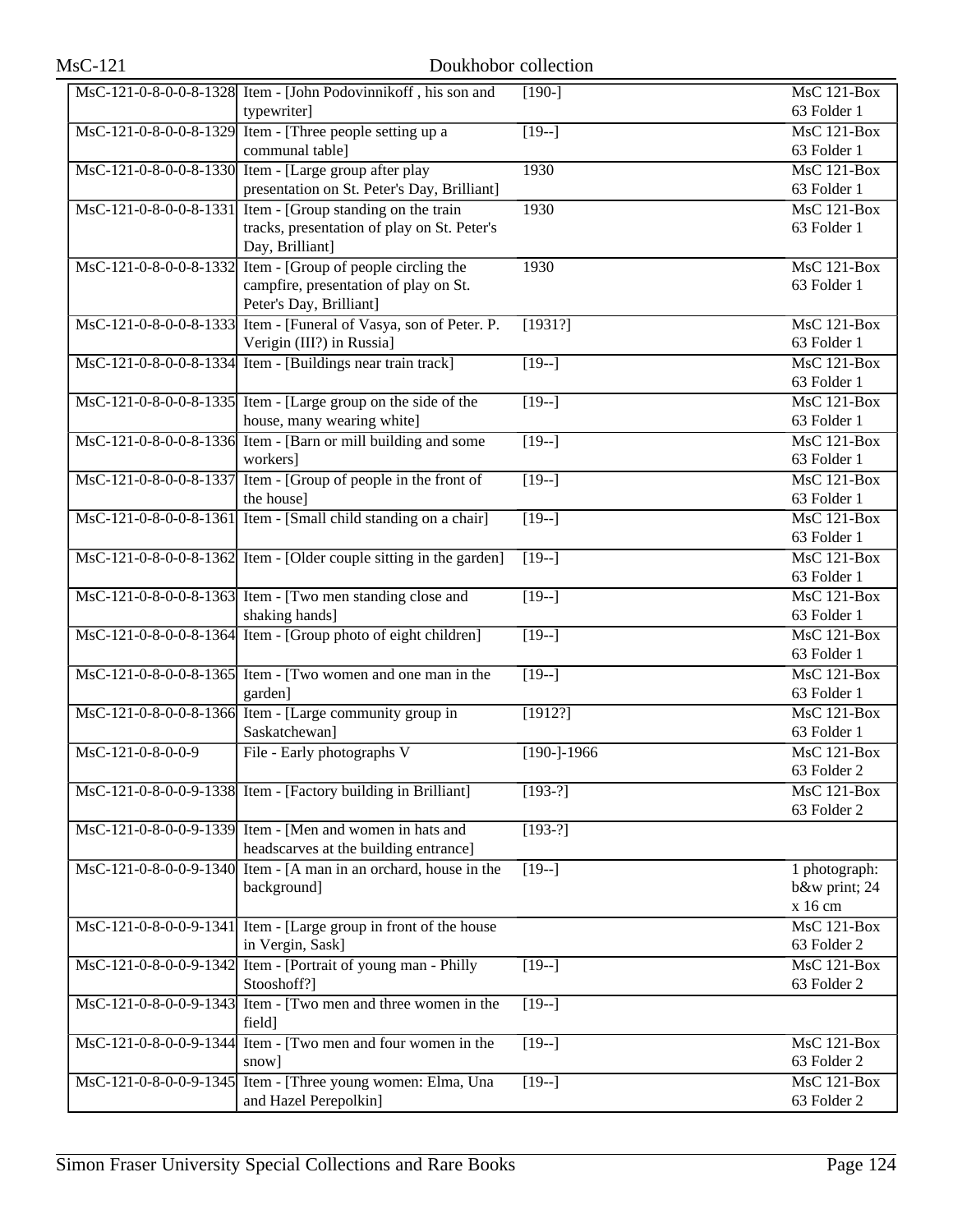| <b>MsC-121</b>         | Doukhobor collection                                               |                    |                                 |
|------------------------|--------------------------------------------------------------------|--------------------|---------------------------------|
|                        | MsC-121-0-8-0-0-8-1328 Item - [John Podovinnikoff, his son and     | $[190-]$           | <b>MsC 121-Box</b>              |
|                        | typewriter]                                                        |                    | 63 Folder 1                     |
|                        | MsC-121-0-8-0-0-8-1329 Item - [Three people setting up a           | $[19-]$            | $MsC$ 121-Box                   |
|                        | communal table]                                                    |                    | 63 Folder 1                     |
|                        | MsC-121-0-8-0-0-8-1330 Item - [Large group after play              | 1930               | $MsC$ 121-Box                   |
|                        | presentation on St. Peter's Day, Brilliant]                        |                    | 63 Folder 1                     |
| MsC-121-0-8-0-0-8-1331 | Item - [Group standing on the train]                               | 1930               | <b>MsC 121-Box</b>              |
|                        | tracks, presentation of play on St. Peter's                        |                    | 63 Folder 1                     |
|                        | Day, Brilliant]                                                    |                    |                                 |
| MsC-121-0-8-0-0-8-1332 | Item - [Group of people circling the                               | 1930               | <b>MsC 121-Box</b>              |
|                        | campfire, presentation of play on St.                              |                    | 63 Folder 1                     |
|                        | Peter's Day, Brilliant]                                            |                    |                                 |
|                        | MsC-121-0-8-0-0-8-1333 Item - [Funeral of Vasya, son of Peter. P.  | [1931?]            | $MsC$ 121-Box                   |
|                        | Verigin (III?) in Russia]                                          |                    | 63 Folder 1                     |
|                        | MsC-121-0-8-0-0-8-1334 Item - [Buildings near train track]         | $[19-]$            | $MsC$ 121-Box                   |
|                        |                                                                    |                    | 63 Folder 1                     |
|                        | MsC-121-0-8-0-0-8-1335 Item - [Large group on the side of the      | $\overline{19}$ -] | <b>MsC 121-Box</b>              |
|                        | house, many wearing white]                                         |                    | 63 Folder 1                     |
|                        | MsC-121-0-8-0-0-8-1336 Item - [Barn or mill building and some      | $\overline{19-1}$  | $MsC$ 121-Box                   |
|                        | workers]                                                           |                    | 63 Folder 1                     |
|                        | MsC-121-0-8-0-0-8-1337 Item - [Group of people in the front of     | $[19-]$            | $MsC$ 121-Box                   |
|                        | the house]                                                         |                    | 63 Folder 1                     |
|                        | MsC-121-0-8-0-0-8-1361 Item - [Small child standing on a chair]    | $[19-]$            | <b>MsC 121-Box</b>              |
|                        |                                                                    |                    | 63 Folder 1                     |
|                        | MsC-121-0-8-0-0-8-1362 Item - [Older couple sitting in the garden] | $[19-]$            | $MsC$ 121-Box                   |
|                        |                                                                    |                    | 63 Folder 1                     |
|                        | MsC-121-0-8-0-0-8-1363 Item - [Two men standing close and          | $[19-]$            | <b>MsC 121-Box</b>              |
|                        | shaking hands]                                                     |                    | 63 Folder 1                     |
|                        | MsC-121-0-8-0-0-8-1364 Item - [Group photo of eight children]      | $[19-]$            | $MsC$ 121-Box                   |
|                        |                                                                    |                    | 63 Folder 1                     |
|                        | MsC-121-0-8-0-0-8-1365 Item - [Two women and one man in the        | $\sqrt{19-1}$      | $\overline{\text{MsC}}$ 121-Box |
|                        | garden]                                                            |                    | 63 Folder 1                     |
|                        | MsC-121-0-8-0-0-8-1366 Item - [Large community group in            | [1912?]            | <b>MsC 121-Box</b>              |
|                        | Saskatchewan]                                                      |                    | 63 Folder 1                     |
| MsC-121-0-8-0-0-9      | File - Early photographs V                                         | $[190 - 1966]$     | MsC 121-Box                     |
|                        |                                                                    |                    | 63 Folder 2                     |
|                        | MsC-121-0-8-0-0-9-1338 Item - [Factory building in Brilliant]      | $[193-?]$          | $MsC$ 121-Box                   |
|                        |                                                                    |                    | 63 Folder 2                     |
|                        | MsC-121-0-8-0-0-9-1339 Item - [Men and women in hats and           | $[193-?]$          |                                 |
|                        | headscarves at the building entrance]                              |                    |                                 |
|                        | MsC-121-0-8-0-0-9-1340 Item - [A man in an orchard, house in the   | $[19-]$            | 1 photograph:                   |
|                        | background]                                                        |                    | b&w print; 24                   |
|                        |                                                                    |                    | x 16 cm                         |
| MsC-121-0-8-0-0-9-1341 | Item - [Large group in front of the house                          |                    | <b>MsC 121-Box</b>              |
|                        | in Vergin, Sask]                                                   |                    | 63 Folder 2                     |
| MsC-121-0-8-0-0-9-1342 | Item - [Portrait of young man - Philly                             | $[19-]$            | <b>MsC 121-Box</b>              |
|                        | Stooshoff?]                                                        |                    | 63 Folder 2                     |
| MsC-121-0-8-0-0-9-1343 | Item - [Two men and three women in the                             | $[19-]$            |                                 |
|                        | field]                                                             |                    |                                 |
|                        | MsC-121-0-8-0-0-9-1344 Item - [Two men and four women in the       | $\sqrt{19-1}$      | <b>MsC 121-Box</b>              |
|                        | snow]                                                              |                    | 63 Folder 2                     |
|                        | MsC-121-0-8-0-0-9-1345 Item - [Three young women: Elma, Una        | $[19-]$            | <b>MsC 121-Box</b>              |
|                        | and Hazel Perepolkin]                                              |                    | 63 Folder 2                     |
|                        |                                                                    |                    |                                 |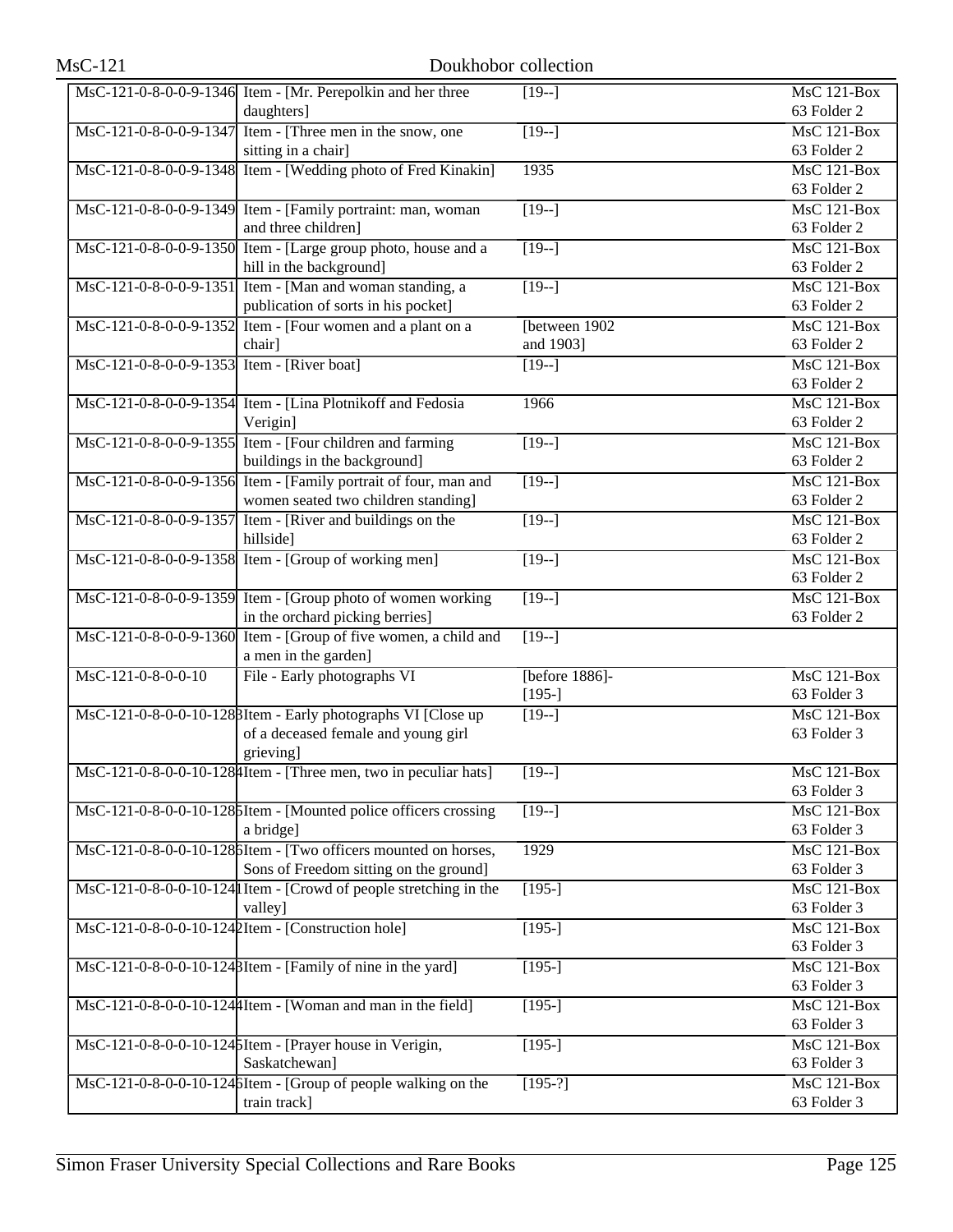|                                            | MsC-121-0-8-0-0-9-1346 Item - [Mr. Perepolkin and her three                                     | $[19-]$            | MsC 121-Box                                    |
|--------------------------------------------|-------------------------------------------------------------------------------------------------|--------------------|------------------------------------------------|
|                                            | daughters]                                                                                      |                    | 63 Folder 2                                    |
|                                            | MsC-121-0-8-0-0-9-1347 Item - [Three men in the snow, one<br>sitting in a chair]                | $[19-]$            | $MsC$ 121-Box<br>63 Folder 2                   |
|                                            | MsC-121-0-8-0-0-9-1348 Item - [Wedding photo of Fred Kinakin]                                   | 1935               | $MsC$ 121-Box                                  |
|                                            |                                                                                                 |                    | 63 Folder 2                                    |
|                                            | MsC-121-0-8-0-0-9-1349 Item - [Family portraint: man, woman                                     | $[19-]$            | MsC 121-Box                                    |
|                                            | and three children]                                                                             |                    | 63 Folder 2                                    |
|                                            | MsC-121-0-8-0-0-9-1350 Item - [Large group photo, house and a                                   | $[19-]$            | MsC 121-Box                                    |
|                                            | hill in the background]                                                                         |                    | 63 Folder 2                                    |
|                                            | MsC-121-0-8-0-0-9-1351 Item - [Man and woman standing, a<br>publication of sorts in his pocket] | $\sqrt{19-1}$      | MsC 121-Box<br>63 Folder 2                     |
|                                            | MsC-121-0-8-0-0-9-1352 Item - [Four women and a plant on a                                      | [between 1902]     | MsC 121-Box                                    |
|                                            | chair]                                                                                          | and 1903]          | 63 Folder 2                                    |
| MsC-121-0-8-0-0-9-1353 Item - [River boat] |                                                                                                 | $[19-]$            | $\overline{\text{MsC 121-Box}}$                |
|                                            |                                                                                                 |                    | 63 Folder 2                                    |
|                                            | MsC-121-0-8-0-0-9-1354 Item - [Lina Plotnikoff and Fedosia                                      | 1966               | $MsC$ 121-Box                                  |
|                                            | Verigin]                                                                                        |                    | 63 Folder 2                                    |
|                                            | MsC-121-0-8-0-0-9-1355 Item - [Four children and farming                                        | $[19-]$            | MsC 121-Box                                    |
|                                            | buildings in the background]                                                                    |                    | 63 Folder 2                                    |
|                                            | MsC-121-0-8-0-0-9-1356 Item - [Family portrait of four, man and                                 | $\overline{[19-]}$ | MsC 121-Box                                    |
|                                            | women seated two children standing]                                                             |                    | 63 Folder 2                                    |
|                                            | MsC-121-0-8-0-0-9-1357 Item - [River and buildings on the                                       | $\sqrt{19-1}$      | MsC 121-Box                                    |
|                                            | hillside]                                                                                       |                    | 63 Folder 2                                    |
|                                            | MsC-121-0-8-0-0-9-1358 Item - [Group of working men]                                            | $\overline{[19-]}$ | MsC 121-Box                                    |
|                                            | MsC-121-0-8-0-0-9-1359 Item - [Group photo of women working                                     | $[19-]$            | 63 Folder 2<br>$\overline{\text{MsC 121-Box}}$ |
|                                            | in the orchard picking berries]                                                                 |                    | 63 Folder 2                                    |
|                                            | MsC-121-0-8-0-0-9-1360 Item - [Group of five women, a child and                                 | $\overline{[19-]}$ |                                                |
|                                            | a men in the garden]                                                                            |                    |                                                |
| MsC-121-0-8-0-0-10                         | File - Early photographs VI                                                                     | [before 1886]-     | <b>MsC 121-Box</b>                             |
|                                            |                                                                                                 | $[195-]$           | 63 Folder 3                                    |
|                                            | MsC-121-0-8-0-0-10-1288Item - Early photographs VI [Close up                                    | $[19-]$            | <b>MsC 121-Box</b>                             |
|                                            | of a deceased female and young girl                                                             |                    | 63 Folder 3                                    |
|                                            | grieving]                                                                                       |                    |                                                |
|                                            | MsC-121-0-8-0-0-10-128 4 Item - [Three men, two in peculiar hats]                               | $[19-]$            | MsC 121-Box<br>63 Folder 3                     |
|                                            |                                                                                                 |                    | MsC 121-Box                                    |
|                                            | MsC-121-0-8-0-0-10-128 Material - [Mounted police officers crossing<br>a bridge]                | $[19-]$            | 63 Folder 3                                    |
|                                            | MsC-121-0-8-0-0-10-1286Item - [Two officers mounted on horses,                                  | 1929               | MsC 121-Box                                    |
|                                            | Sons of Freedom sitting on the ground]                                                          |                    | 63 Folder 3                                    |
|                                            | MsC-121-0-8-0-0-10-124 I Item - [Crowd of people stretching in the                              | $[195-]$           | MsC 121-Box                                    |
|                                            | valley]                                                                                         |                    | 63 Folder 3                                    |
|                                            | MsC-121-0-8-0-0-10-1242Item - [Construction hole]                                               | $[195-]$           | $MsC$ 121-Box                                  |
|                                            |                                                                                                 |                    | 63 Folder 3                                    |
|                                            | MsC-121-0-8-0-0-10-1248Item - [Family of nine in the yard]                                      | $[195-]$           | MsC 121-Box                                    |
|                                            |                                                                                                 |                    | 63 Folder 3                                    |
|                                            | MsC-121-0-8-0-0-10-1244 Item - [Woman and man in the field]                                     | $[195-]$           | MsC 121-Box                                    |
|                                            |                                                                                                 |                    | 63 Folder 3                                    |
|                                            | MsC-121-0-8-0-0-10-124 SItem - [Prayer house in Verigin,                                        | $[195-]$           | MsC 121-Box                                    |
|                                            | Saskatchewan]                                                                                   |                    | 63 Folder 3                                    |
|                                            | MsC-121-0-8-0-0-10-1246Item - [Group of people walking on the                                   | $[195-?]$          | MsC 121-Box                                    |
|                                            | train track]                                                                                    |                    | 63 Folder 3                                    |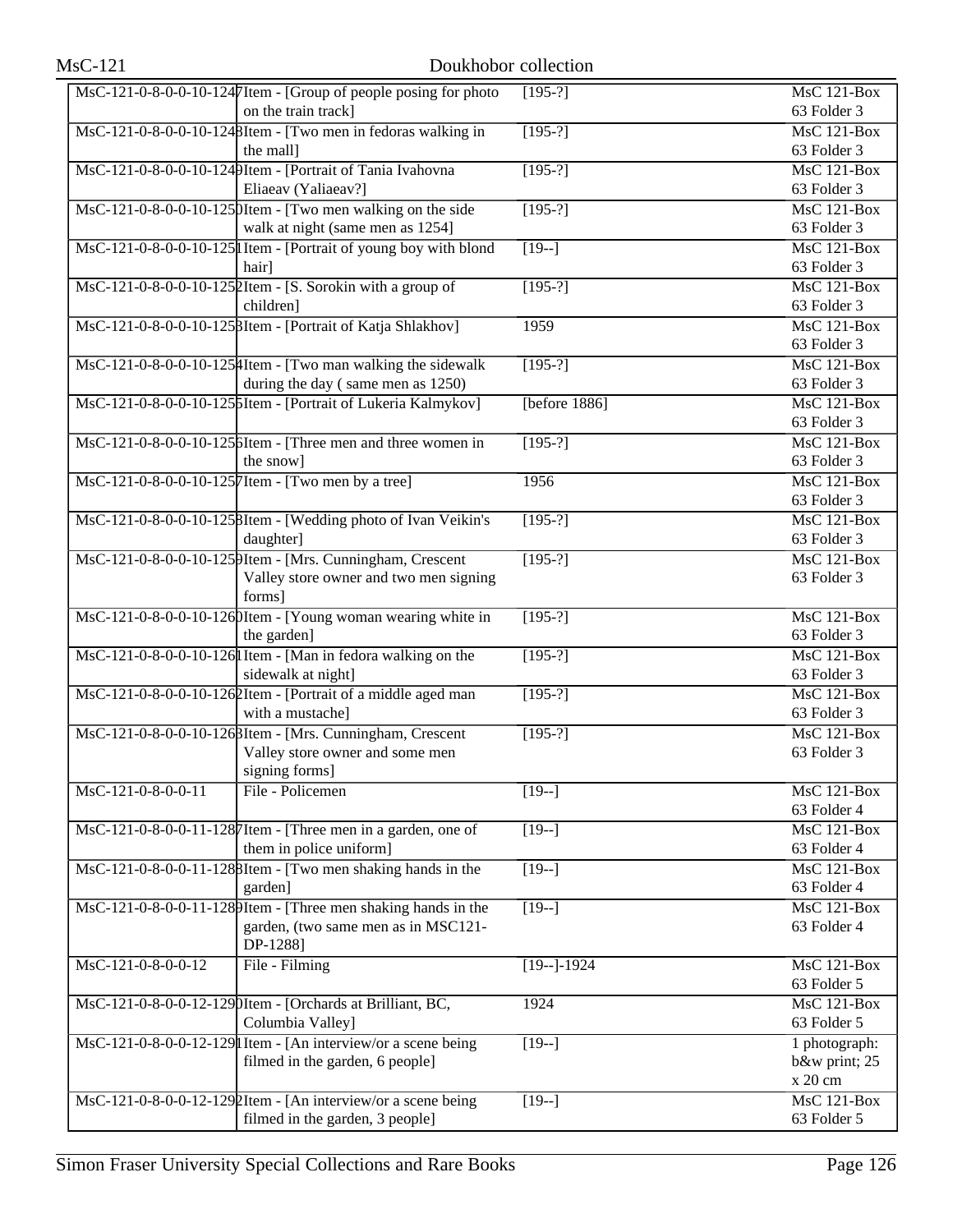| <b>MsC-121</b>       |                                                                                        | Doukhobor collection |                                 |
|----------------------|----------------------------------------------------------------------------------------|----------------------|---------------------------------|
|                      | MsC-121-0-8-0-0-10-1247Item - [Group of people posing for photo<br>on the train track] | $[195-?]$            | $MsC$ 121-Box<br>63 Folder 3    |
|                      | MsC-121-0-8-0-0-10-1248Item - [Two men in fedoras walking in                           | $[195-?]$            | $MsC$ 121-Box                   |
|                      | the mall]                                                                              |                      | 63 Folder 3                     |
|                      | MsC-121-0-8-0-0-10-1249Item - [Portrait of Tania Ivahovna                              | $[195-?]$            | $MsC$ 121-Box                   |
|                      | Eliaeav (Yaliaeav?]                                                                    |                      | 63 Folder 3                     |
|                      | $\text{MsC-121-0-8-0-0-10-125}$ [Item - [Two men walking on the side                   | $[195-?]$            | <b>MsC 121-Box</b>              |
|                      | walk at night (same men as 1254]                                                       |                      | 63 Folder 3                     |
|                      | MsC-121-0-8-0-0-10-125 I Item - [Portrait of young boy with blond                      | $[19-]$              | <b>MsC 121-Box</b>              |
|                      | hair]                                                                                  |                      | 63 Folder 3                     |
|                      | MsC-121-0-8-0-0-10-1252Item - [S. Sorokin with a group of                              | $[195-?]$            | $MsC$ 121-Box                   |
|                      | children]                                                                              |                      | 63 Folder 3                     |
|                      | MsC-121-0-8-0-0-10-125 BItem - [Portrait of Katja Shlakhov]                            | 1959                 | <b>MsC 121-Box</b>              |
|                      |                                                                                        |                      | 63 Folder 3                     |
|                      | MsC-121-0-8-0-0-10-1254Item - [Two man walking the sidewalk                            | $[195-?]$            | <b>MsC 121-Box</b>              |
|                      | during the day (same men as 1250)                                                      |                      | 63 Folder 3                     |
|                      | MsC-121-0-8-0-0-10-125 5 Item - [Portrait of Lukeria Kalmykov]                         | [before $1886$ ]     | $MsC$ 121-Box                   |
|                      |                                                                                        |                      | 63 Folder 3                     |
|                      | MsC-121-0-8-0-0-10-1256Item - [Three men and three women in                            | $[195-?]$            | $MsC$ 121-Box                   |
|                      | the snow]                                                                              |                      | 63 Folder 3                     |
|                      | MsC-121-0-8-0-0-10-1257 Item - [Two men by a tree]                                     | 1956                 | <b>MsC 121-Box</b>              |
|                      |                                                                                        |                      | 63 Folder 3                     |
|                      | MsC-121-0-8-0-0-10-1258Item - [Wedding photo of Ivan Veikin's                          | $[195-?]$            | $MsC$ 121-Box                   |
|                      | daughter]                                                                              |                      | 63 Folder 3                     |
|                      | MsC-121-0-8-0-0-10-1259Item - [Mrs. Cunningham, Crescent                               | $[195-?]$            | <b>MsC 121-Box</b>              |
|                      | Valley store owner and two men signing                                                 |                      | 63 Folder 3                     |
|                      | forms]<br>MsC-121-0-8-0-0-10-1260Item - [Young woman wearing white in                  | $[195-?]$            | MsC 121-Box                     |
|                      | the garden]                                                                            |                      | 63 Folder 3                     |
|                      | MsC-121-0-8-0-0-10-126 I Item - [Man in fedora walking on the                          | $[195-?]$            | <b>MsC 121-Box</b>              |
|                      | sidewalk at night]                                                                     |                      | 63 Folder 3                     |
|                      | MsC-121-0-8-0-0-10-1262Item - [Portrait of a middle aged man                           | $[195-?]$            | <b>MsC 121-Box</b>              |
|                      | with a mustache]                                                                       |                      | 63 Folder 3                     |
|                      | MsC-121-0-8-0-0-10-1268Item - [Mrs. Cunningham, Crescent                               | $[195-?]$            | MsC 121-Box                     |
|                      | Valley store owner and some men                                                        |                      | 63 Folder 3                     |
|                      | signing forms]                                                                         |                      |                                 |
| MsC-121-0-8-0-0-11   | File - Policemen                                                                       | $[19-]$              | $MsC$ 121-Box                   |
|                      |                                                                                        |                      | 63 Folder 4                     |
|                      | MsC-121-0-8-0-0-11-1287 Item - [Three men in a garden, one of                          | $[19-]$              | <b>MsC 121-Box</b>              |
|                      | them in police uniform]                                                                |                      | 63 Folder 4                     |
|                      | MsC-121-0-8-0-0-11-1288Item - [Two men shaking hands in the                            | $[19-]$              | <b>MsC 121-Box</b>              |
|                      | garden]                                                                                |                      | 63 Folder 4                     |
|                      | MsC-121-0-8-0-0-11-1289Item - [Three men shaking hands in the                          | $[19-]$              | <b>MsC 121-Box</b>              |
|                      | garden, (two same men as in MSC121-                                                    |                      | 63 Folder 4                     |
|                      | DP-1288]                                                                               |                      |                                 |
| $MsC-121-0-8-0-0-12$ | File - Filming                                                                         | $[19-]-1924$         | MsC 121-Box                     |
|                      |                                                                                        |                      | 63 Folder 5                     |
|                      | MsC-121-0-8-0-0-12-1290Item - [Orchards at Brilliant, BC,                              | 1924                 | $\overline{\text{MsC 121-Box}}$ |
|                      | Columbia Valley]                                                                       |                      | 63 Folder 5                     |
|                      | MsC-121-0-8-0-0-12-129 I Item - [An interview/or a scene being                         | $\sqrt{19-1}$        | 1 photograph:                   |
|                      | filmed in the garden, 6 people]                                                        |                      | b&w print; 25                   |
|                      |                                                                                        |                      | x 20 cm                         |
|                      | MsC-121-0-8-0-0-12-1292Item - [An interview/or a scene being                           | $[19-]$              | $MsC$ 121-Box<br>63 Folder 5    |
|                      | filmed in the garden, 3 people]                                                        |                      |                                 |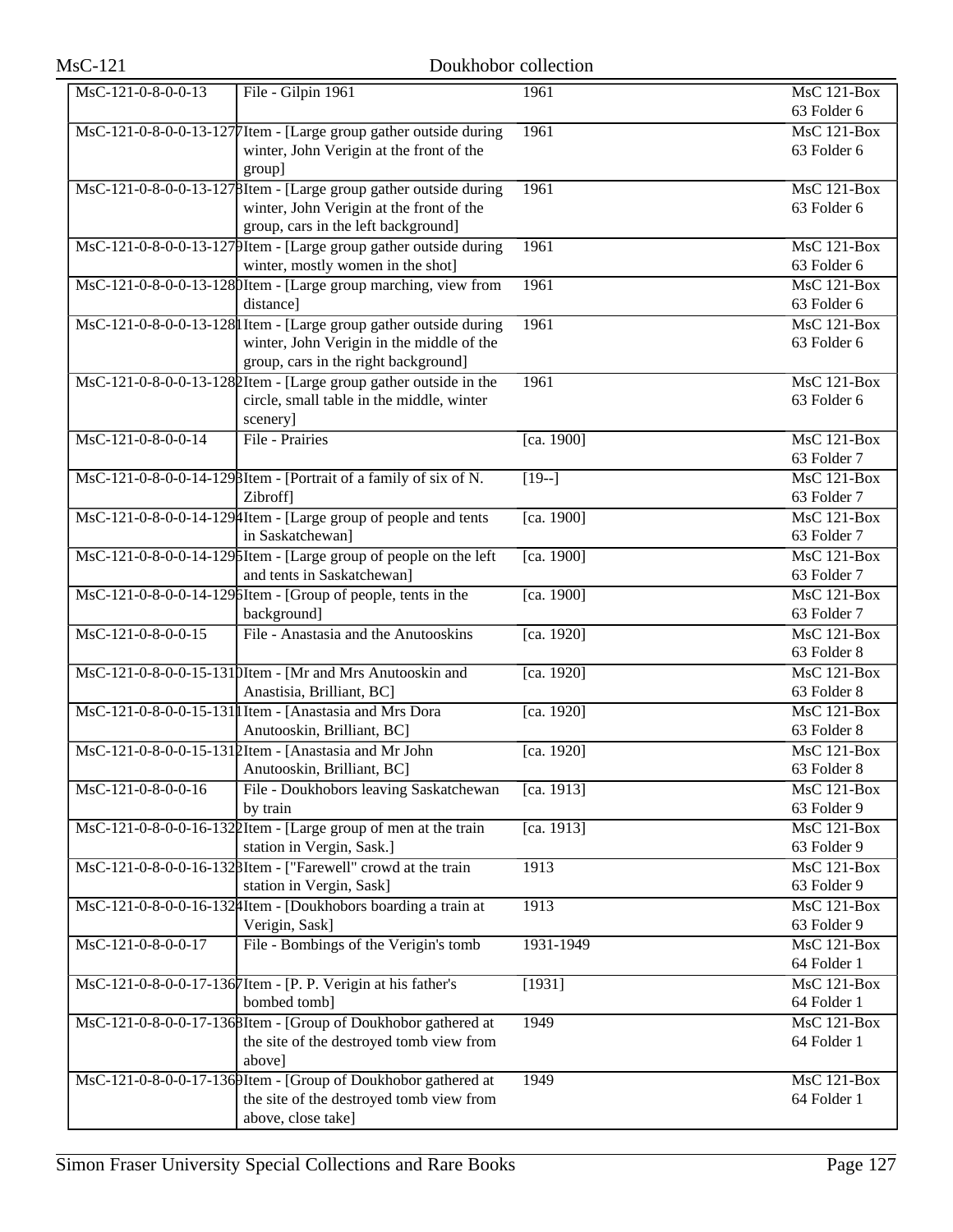| $MsC-121$                       | Doukhobor collection                                                          |            |                                   |
|---------------------------------|-------------------------------------------------------------------------------|------------|-----------------------------------|
| MsC-121-0-8-0-0-13              | File - Gilpin 1961                                                            | 1961       | $MsC$ 121-Box<br>63 Folder 6      |
|                                 | MsC-121-0-8-0-0-13-1277 Item - [Large group gather outside during             | 1961       | <b>MsC 121-Box</b>                |
|                                 | winter, John Verigin at the front of the                                      |            | 63 Folder 6                       |
|                                 | group]                                                                        |            |                                   |
|                                 | MsC-121-0-8-0-0-13-1278Item - [Large group gather outside during              | 1961       | <b>MsC 121-Box</b>                |
|                                 | winter, John Verigin at the front of the                                      |            | 63 Folder 6                       |
|                                 | group, cars in the left background]                                           |            |                                   |
|                                 | MsC-121-0-8-0-0-13-1279Item - [Large group gather outside during              | 1961       | <b>MsC 121-Box</b>                |
|                                 | winter, mostly women in the shot]                                             |            | 63 Folder 6                       |
|                                 | MsC-121-0-8-0-0-13-1280Item - [Large group marching, view from                | 1961       | <b>MsC 121-Box</b>                |
|                                 | distance]                                                                     |            | 63 Folder 6                       |
|                                 | MsC-121-0-8-0-0-13-128 l Item - [Large group gather outside during            | 1961       | $MsC$ 121-Box                     |
|                                 | winter, John Verigin in the middle of the                                     |            | 63 Folder 6                       |
|                                 | group, cars in the right background]                                          |            |                                   |
|                                 | MsC-121-0-8-0-0-13-1282Item - [Large group gather outside in the              | 1961       | <b>MsC 121-Box</b>                |
|                                 | circle, small table in the middle, winter                                     |            | 63 Folder 6                       |
|                                 | scenery]                                                                      |            |                                   |
| MsC-121-0-8-0-0-14              | File - Prairies                                                               | [ca. 1900] | MsC 121-Box<br>63 Folder 7        |
|                                 |                                                                               |            | $MsC$ 121-Box                     |
|                                 | MsC-121-0-8-0-0-14-129 BItem - [Portrait of a family of six of N.<br>Zibroff] | $[19-]$    | 63 Folder 7                       |
|                                 | MsC-121-0-8-0-0-14-129 4Item - [Large group of people and tents               | [ca. 1900] | <b>MsC 121-Box</b>                |
|                                 | in Saskatchewan]                                                              |            | 63 Folder 7                       |
|                                 | MsC-121-0-8-0-0-14-1295Item - [Large group of people on the left              | [ca. 1900] | <b>MsC 121-Box</b>                |
|                                 | and tents in Saskatchewan]                                                    |            | 63 Folder 7                       |
|                                 | MsC-121-0-8-0-0-14-1296Item - [Group of people, tents in the                  | [ca. 1900] | $MsC$ 121-Box                     |
|                                 | background]                                                                   |            | 63 Folder 7                       |
| MsC-121-0-8-0-0-15              | File - Anastasia and the Anutooskins                                          | [ca. 1920] | <b>MsC 121-Box</b>                |
|                                 |                                                                               |            | 63 Folder 8                       |
|                                 | MsC-121-0-8-0-0-15-1310Item - [Mr and Mrs Anutooskin and                      | [ca. 1920] | $MsC$ 121-Box                     |
|                                 | Anastisia, Brilliant, BC]                                                     |            | 63 Folder 8                       |
|                                 | MsC-121-0-8-0-0-15-131 I Item - [Anastasia and Mrs Dora                       | [ca. 1920] | $MsC$ 121-Box                     |
|                                 | Anutooskin, Brilliant, BC]                                                    |            | 63 Folder 8                       |
|                                 | MsC-121-0-8-0-0-15-1312Item - [Anastasia and Mr John                          | [ca. 1920] | MsC 121-Box                       |
|                                 | Anutooskin, Brilliant, BC]                                                    |            | 63 Folder 8                       |
| $MsC-121-0-8-0-0-16$            | File - Doukhobors leaving Saskatchewan                                        | [ca. 1913] | <b>MsC 121-Box</b>                |
|                                 | by train                                                                      |            | 63 Folder 9                       |
|                                 | MsC-121-0-8-0-0-16-1322Item - [Large group of men at the train                | [ca. 1913] | $MsC$ 121-Box                     |
|                                 | station in Vergin, Sask.]                                                     |            | 63 Folder 9                       |
|                                 | MsC-121-0-8-0-0-16-1328Item - ["Farewell" crowd at the train                  | 1913       | MsC 121-Box                       |
|                                 | station in Vergin, Sask]                                                      |            | 63 Folder 9                       |
|                                 | MsC-121-0-8-0-0-16-1324Item - [Doukhobors boarding a train at                 | 1913       | <b>MsC 121-Box</b>                |
|                                 | Verigin, Sask]                                                                |            | 63 Folder 9                       |
| $Ms\overline{C-121-0-8-0-0-17}$ | File - Bombings of the Verigin's tomb                                         | 1931-1949  | MsC 121-Box                       |
|                                 |                                                                               |            | 64 Folder 1                       |
|                                 | MsC-121-0-8-0-0-17-1367Item - [P. P. Verigin at his father's                  | [1931]     | <b>MsC 121-Box</b><br>64 Folder 1 |
|                                 | bombed tomb]<br>MsC-121-0-8-0-0-17-1368Item - [Group of Doukhobor gathered at | 1949       | MsC 121-Box                       |
|                                 | the site of the destroyed tomb view from                                      |            | 64 Folder 1                       |
|                                 | above]                                                                        |            |                                   |
|                                 | MsC-121-0-8-0-0-17-1369Item - [Group of Doukhobor gathered at                 | 1949       | MsC 121-Box                       |
|                                 | the site of the destroyed tomb view from                                      |            | 64 Folder 1                       |
|                                 | above, close take]                                                            |            |                                   |
|                                 |                                                                               |            |                                   |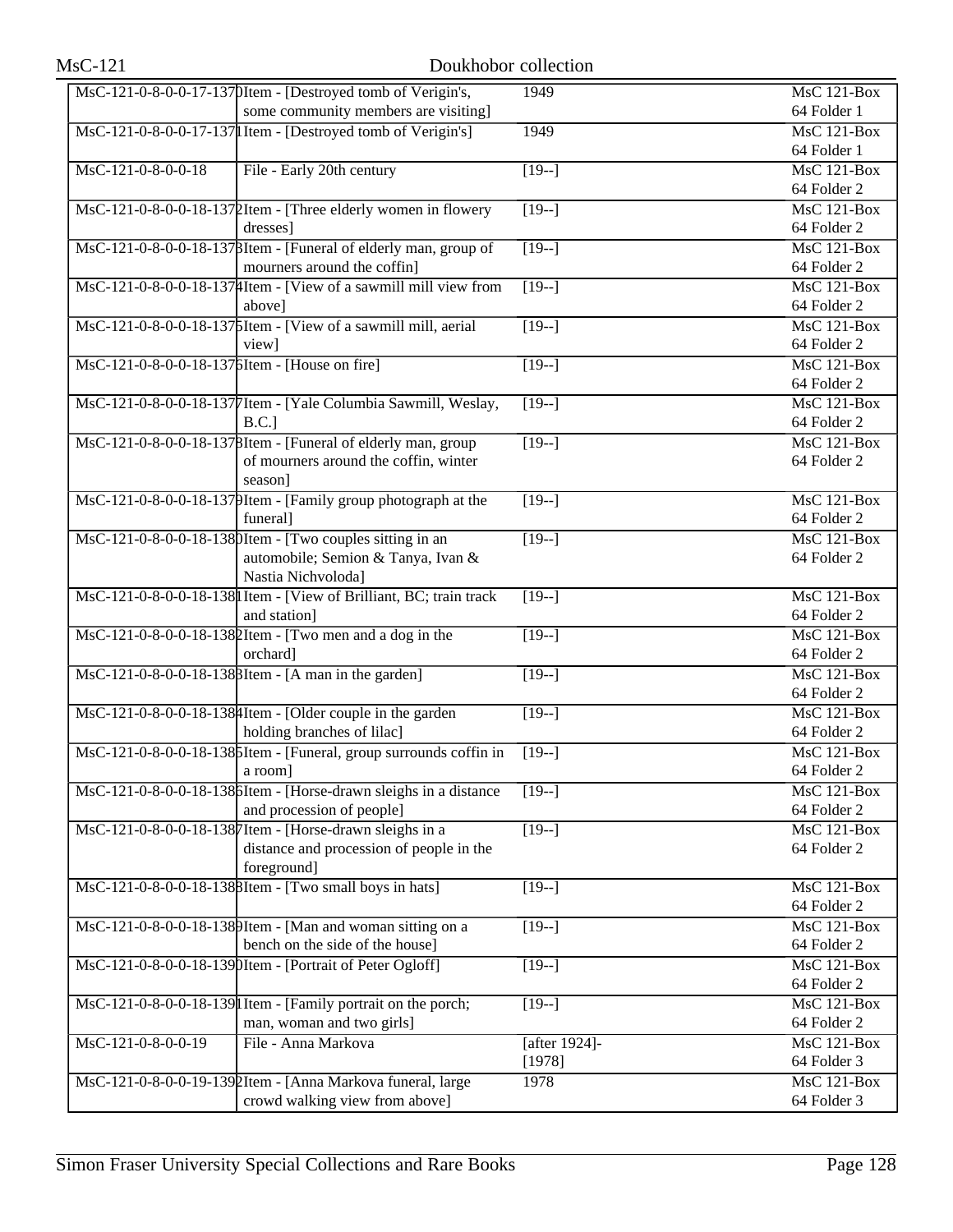| $MsC-121$                                      | Doukhobor collection                                                |               |                                 |
|------------------------------------------------|---------------------------------------------------------------------|---------------|---------------------------------|
|                                                | MsC-121-0-8-0-0-17-1370Item - [Destroyed tomb of Verigin's,         | 1949          | <b>MsC 121-Box</b>              |
|                                                | some community members are visiting]                                |               | 64 Folder 1                     |
|                                                | MsC-121-0-8-0-0-17-137 Item - [Destroyed tomb of Verigin's]         | 1949          | <b>MsC 121-Box</b>              |
|                                                |                                                                     |               | 64 Folder 1                     |
| MsC-121-0-8-0-0-18                             | File - Early 20th century                                           | $[19-]$       | <b>MsC 121-Box</b>              |
|                                                |                                                                     |               | 64 Folder 2                     |
|                                                | MsC-121-0-8-0-0-18-1372Item - [Three elderly women in flowery       | $[19-]$       | <b>MsC 121-Box</b>              |
|                                                | dresses]                                                            |               | 64 Folder 2                     |
|                                                | MsC-121-0-8-0-0-18-137 BItem - [Funeral of elderly man, group of    | $[19-]$       | $MsC$ 121-Box                   |
|                                                | mourners around the coffin]                                         |               | 64 Folder 2                     |
|                                                | MsC-121-0-8-0-0-18-137   Htem - [View of a sawmill mill view from   | $[19-]$       | $MsC$ 121-Box                   |
|                                                | above]                                                              |               | 64 Folder 2                     |
|                                                | MsC-121-0-8-0-0-18-1375Item - [View of a sawmill mill, aerial       | $[19-]$       | $MsC$ 121-Box                   |
|                                                | view]                                                               |               | 64 Folder 2                     |
| MsC-121-0-8-0-0-18-137 bItem - [House on fire] |                                                                     | $[19-]$       | $MsC$ 121-Box                   |
|                                                |                                                                     |               | 64 Folder 2                     |
|                                                | MsC-121-0-8-0-0-18-137 [Item - [Yale Columbia Sawmill, Weslay,      | $[19-]$       | $MsC$ 121-Box                   |
|                                                | $B.C.$ ]                                                            |               | 64 Folder 2                     |
|                                                | MsC-121-0-8-0-0-18-1378Item - [Funeral of elderly man, group        | $[19-]$       | $MsC$ 121-Box                   |
|                                                | of mourners around the coffin, winter                               |               | 64 Folder 2                     |
|                                                | season]                                                             |               |                                 |
|                                                | MsC-121-0-8-0-0-18-1379Item - [Family group photograph at the       | $[19-]$       | $MsC$ 121-Box                   |
|                                                | funeral]                                                            |               | 64 Folder 2                     |
|                                                | MsC-121-0-8-0-0-18-1380Item - [Two couples sitting in an            | $[19-]$       | $MsC$ 121-Box                   |
|                                                | automobile; Semion & Tanya, Ivan &                                  |               | 64 Folder 2                     |
|                                                | Nastia Nichvoloda]                                                  |               |                                 |
|                                                | MsC-121-0-8-0-0-18-138 I Item - [View of Brilliant, BC; train track | $[19-]$       | $MsC$ 121-Box                   |
|                                                | and station]                                                        |               | 64 Folder 2                     |
|                                                | MsC-121-0-8-0-0-18-1382Item - [Two men and a dog in the             | $[19-]$       | $MsC$ 121-Box                   |
|                                                | orchard]                                                            |               | 64 Folder 2                     |
|                                                | MsC-121-0-8-0-0-18-138 BItem - [A man in the garden]                | $[19-]$       | MsC 121-Box                     |
|                                                |                                                                     |               | 64 Folder 2                     |
|                                                | MsC-121-0-8-0-0-18-138 4 Item - [Older couple in the garden         | $[19-]$       | $MsC$ 121-Box                   |
|                                                | holding branches of lilac]                                          |               | 64 Folder 2                     |
|                                                | MsC-121-0-8-0-0-18-1385Item - [Funeral, group surrounds coffin in   | $[19-]$       | MsC 121-Box                     |
|                                                | a room                                                              |               | 64 Folder 2                     |
|                                                | MsC-121-0-8-0-0-18-1386Item - [Horse-drawn sleighs in a distance    | $\sqrt{19-1}$ | <b>MsC 121-Box</b>              |
|                                                | and procession of people]                                           |               | 64 Folder 2                     |
|                                                | MsC-121-0-8-0-0-18-1387Item - [Horse-drawn sleighs in a             | $[19-]$       | $\overline{\text{MsC 121-Box}}$ |
|                                                | distance and procession of people in the                            |               | 64 Folder 2                     |
|                                                | foreground]                                                         |               |                                 |
|                                                | MsC-121-0-8-0-0-18-1388Item - [Two small boys in hats]              | $[19-]$       | MsC 121-Box                     |
|                                                |                                                                     |               | 64 Folder 2                     |
|                                                | MsC-121-0-8-0-0-18-1389Item - [Man and woman sitting on a           | $[19-]$       | MsC 121-Box                     |
|                                                | bench on the side of the house]                                     |               | 64 Folder 2                     |
|                                                | MsC-121-0-8-0-0-18-1390Item - [Portrait of Peter Ogloff]            | $[19-]$       | MsC 121-Box                     |
|                                                |                                                                     |               | 64 Folder 2                     |
|                                                | MsC-121-0-8-0-0-18-139 I Item - [Family portrait on the porch;      | $[19-]$       | MsC 121-Box                     |
|                                                | man, woman and two girls]                                           |               | 64 Folder 2                     |
| MsC-121-0-8-0-0-19                             | File - Anna Markova                                                 | [after 1924]- | <b>MsC 121-Box</b>              |
|                                                |                                                                     | [1978]        | 64 Folder 3                     |
|                                                | MsC-121-0-8-0-0-19-1392Item - [Anna Markova funeral, large          | 1978          | <b>MsC 121-Box</b>              |
|                                                | crowd walking view from above]                                      |               | 64 Folder 3                     |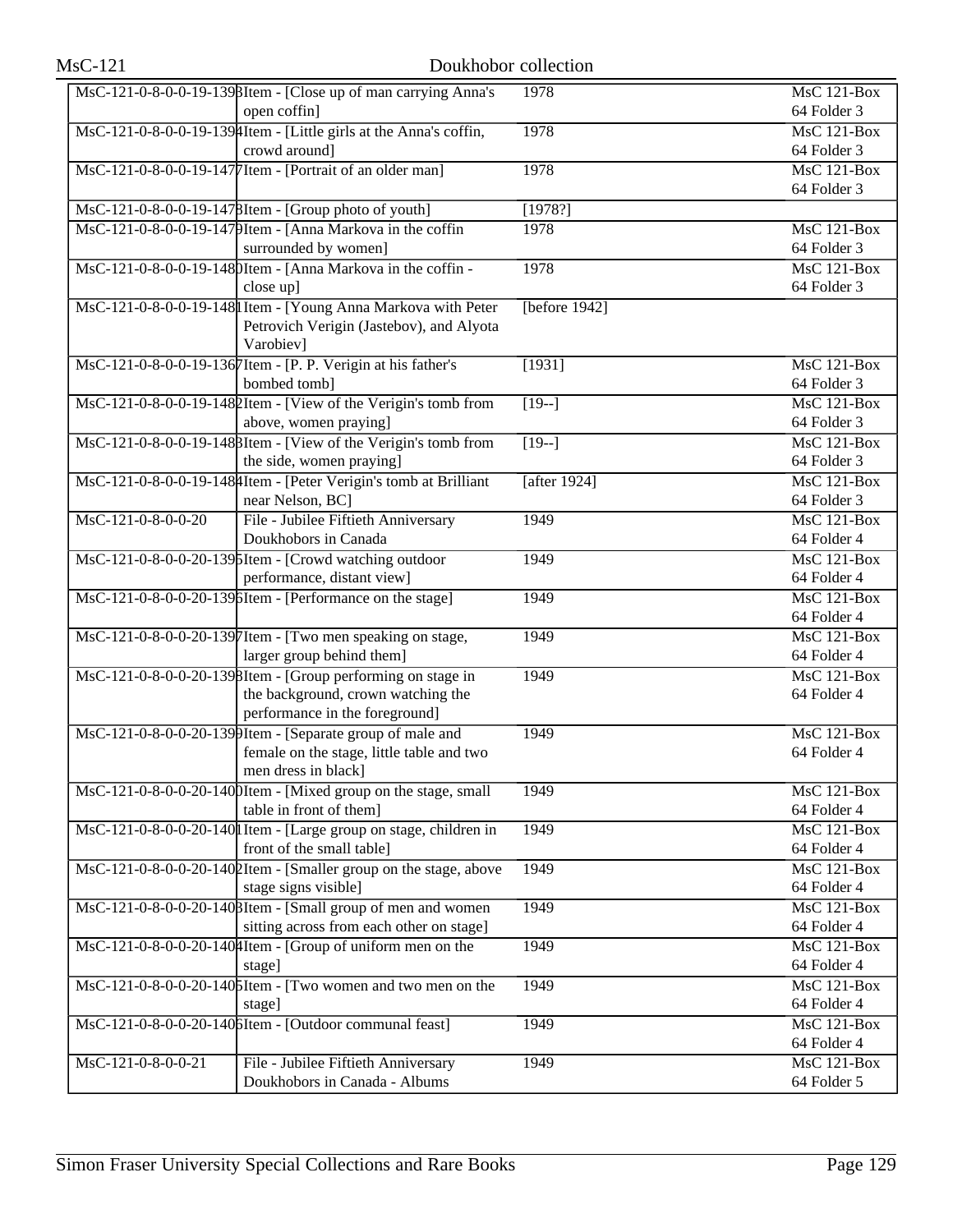| MsC-121-0-8-0-0-19-1398Item - [Close up of man carrying Anna's<br><b>MsC 121-Box</b><br>1978<br>64 Folder 3<br>open coffin]<br>MsC-121-0-8-0-0-19-1394Item - [Little girls at the Anna's coffin,<br>1978<br>$MsC$ 121-Box<br>crowd around]<br>64 Folder 3<br>MsC-121-0-8-0-0-19-1477 Item - [Portrait of an older man]<br>$MsC$ 121-Box<br>1978<br>64 Folder 3<br>MsC-121-0-8-0-0-19-1478Item - [Group photo of youth]<br>[1978?]<br>MsC-121-0-8-0-0-19-1479Item - [Anna Markova in the coffin<br>1978<br>$MsC$ 121-Box<br>surrounded by women]<br>64 Folder 3<br>MsC-121-0-8-0-0-19-1480Item - [Anna Markova in the coffin -<br>1978<br>$MsC$ 121-Box<br>64 Folder 3<br>close up]<br>MsC-121-0-8-0-0-19-148 Item - [Young Anna Markova with Peter<br>[before $1942$ ]<br>Petrovich Verigin (Jastebov), and Alyota<br>Varobiev]<br>MsC-121-0-8-0-0-19-1367Item - [P. P. Verigin at his father's<br>[1931]<br>MsC 121-Box<br>bombed tomb]<br>64 Folder 3<br>MsC-121-0-8-0-0-19-1480 Item - [View of the Verigin's tomb from<br>$MsC$ 121-Box<br>$\overline{[19-]}$<br>above, women praying]<br>64 Folder 3<br>MsC-121-0-8-0-0-19-1488Item - [View of the Verigin's tomb from<br>$MsC$ 121-Box<br>$[19-]$<br>the side, women praying]<br>64 Folder 3<br>MsC-121-0-8-0-0-19-148 [Item - [Peter Verigin's tomb at Brilliant<br>[after $1924$ ]<br><b>MsC 121-Box</b><br>near Nelson, BC]<br>64 Folder 3<br>File - Jubilee Fiftieth Anniversary<br>$MsC-121-0-8-0-0-20$<br>$MsC$ 121-Box<br>1949<br>Doukhobors in Canada<br>64 Folder 4<br>MsC-121-0-8-0-0-20-1395Item - [Crowd watching outdoor<br>1949<br><b>MsC 121-Box</b><br>performance, distant view]<br>64 Folder 4<br>MsC-121-0-8-0-0-20-1396Item - [Performance on the stage]<br><b>MsC 121-Box</b><br>1949<br>64 Folder 4<br>MsC-121-0-8-0-0-20-1397Item - [Two men speaking on stage,<br>$MsC$ 121-Box<br>1949<br>larger group behind them]<br>64 Folder 4<br>MsC-121-0-8-0-0-20-1398Item - [Group performing on stage in<br>$MsC$ 121-Box<br>1949<br>the background, crown watching the<br>64 Folder 4<br>performance in the foreground]<br>MsC-121-0-8-0-0-20-1399Item - [Separate group of male and<br>1949<br>MsC 121-Box<br>female on the stage, little table and two<br>64 Folder 4<br>men dress in black]<br>MsC-121-0-8-0-0-20-1400Item - [Mixed group on the stage, small<br>$MsC$ 121-Box<br>1949<br>table in front of them]<br>64 Folder 4<br>MsC-121-0-8-0-0-20-140 I Item - [Large group on stage, children in<br>1949<br><b>MsC 121-Box</b><br>front of the small table]<br>64 Folder 4<br>MsC-121-0-8-0-0-20-1402Item - [Smaller group on the stage, above<br>1949<br>MsC 121-Box<br>stage signs visible]<br>64 Folder 4<br>MsC-121-0-8-0-0-20-1408Item - [Small group of men and women]<br>$MsC$ 121-Box<br>1949<br>sitting across from each other on stage]<br>64 Folder 4<br>MsC-121-0-8-0-0-20-140 Htem - [Group of uniform men on the<br><b>MsC 121-Box</b><br>1949<br>64 Folder 4<br>stage]<br>MsC-121-0-8-0-0-20-140 SItem - [Two women and two men on the<br>1949<br><b>MsC 121-Box</b><br>64 Folder 4<br>stage]<br>$MsC$ 121-Box<br>MsC-121-0-8-0-0-20-1406Item - [Outdoor communal feast]<br>1949<br>64 Folder 4<br>$MsC-121-0-8-0-0-21$<br>File - Jubilee Fiftieth Anniversary<br>1949<br><b>MsC 121-Box</b> | $MsC-121$ | Doukhobor collection |  |
|-----------------------------------------------------------------------------------------------------------------------------------------------------------------------------------------------------------------------------------------------------------------------------------------------------------------------------------------------------------------------------------------------------------------------------------------------------------------------------------------------------------------------------------------------------------------------------------------------------------------------------------------------------------------------------------------------------------------------------------------------------------------------------------------------------------------------------------------------------------------------------------------------------------------------------------------------------------------------------------------------------------------------------------------------------------------------------------------------------------------------------------------------------------------------------------------------------------------------------------------------------------------------------------------------------------------------------------------------------------------------------------------------------------------------------------------------------------------------------------------------------------------------------------------------------------------------------------------------------------------------------------------------------------------------------------------------------------------------------------------------------------------------------------------------------------------------------------------------------------------------------------------------------------------------------------------------------------------------------------------------------------------------------------------------------------------------------------------------------------------------------------------------------------------------------------------------------------------------------------------------------------------------------------------------------------------------------------------------------------------------------------------------------------------------------------------------------------------------------------------------------------------------------------------------------------------------------------------------------------------------------------------------------------------------------------------------------------------------------------------------------------------------------------------------------------------------------------------------------------------------------------------------------------------------------------------------------------------------------------------------------------------------------------------------------------------------------------------------------------------------------------------------------------------------------------------------------------------------------------------------------------------------------------------------|-----------|----------------------|--|
|                                                                                                                                                                                                                                                                                                                                                                                                                                                                                                                                                                                                                                                                                                                                                                                                                                                                                                                                                                                                                                                                                                                                                                                                                                                                                                                                                                                                                                                                                                                                                                                                                                                                                                                                                                                                                                                                                                                                                                                                                                                                                                                                                                                                                                                                                                                                                                                                                                                                                                                                                                                                                                                                                                                                                                                                                                                                                                                                                                                                                                                                                                                                                                                                                                                                                               |           |                      |  |
|                                                                                                                                                                                                                                                                                                                                                                                                                                                                                                                                                                                                                                                                                                                                                                                                                                                                                                                                                                                                                                                                                                                                                                                                                                                                                                                                                                                                                                                                                                                                                                                                                                                                                                                                                                                                                                                                                                                                                                                                                                                                                                                                                                                                                                                                                                                                                                                                                                                                                                                                                                                                                                                                                                                                                                                                                                                                                                                                                                                                                                                                                                                                                                                                                                                                                               |           |                      |  |
|                                                                                                                                                                                                                                                                                                                                                                                                                                                                                                                                                                                                                                                                                                                                                                                                                                                                                                                                                                                                                                                                                                                                                                                                                                                                                                                                                                                                                                                                                                                                                                                                                                                                                                                                                                                                                                                                                                                                                                                                                                                                                                                                                                                                                                                                                                                                                                                                                                                                                                                                                                                                                                                                                                                                                                                                                                                                                                                                                                                                                                                                                                                                                                                                                                                                                               |           |                      |  |
|                                                                                                                                                                                                                                                                                                                                                                                                                                                                                                                                                                                                                                                                                                                                                                                                                                                                                                                                                                                                                                                                                                                                                                                                                                                                                                                                                                                                                                                                                                                                                                                                                                                                                                                                                                                                                                                                                                                                                                                                                                                                                                                                                                                                                                                                                                                                                                                                                                                                                                                                                                                                                                                                                                                                                                                                                                                                                                                                                                                                                                                                                                                                                                                                                                                                                               |           |                      |  |
|                                                                                                                                                                                                                                                                                                                                                                                                                                                                                                                                                                                                                                                                                                                                                                                                                                                                                                                                                                                                                                                                                                                                                                                                                                                                                                                                                                                                                                                                                                                                                                                                                                                                                                                                                                                                                                                                                                                                                                                                                                                                                                                                                                                                                                                                                                                                                                                                                                                                                                                                                                                                                                                                                                                                                                                                                                                                                                                                                                                                                                                                                                                                                                                                                                                                                               |           |                      |  |
|                                                                                                                                                                                                                                                                                                                                                                                                                                                                                                                                                                                                                                                                                                                                                                                                                                                                                                                                                                                                                                                                                                                                                                                                                                                                                                                                                                                                                                                                                                                                                                                                                                                                                                                                                                                                                                                                                                                                                                                                                                                                                                                                                                                                                                                                                                                                                                                                                                                                                                                                                                                                                                                                                                                                                                                                                                                                                                                                                                                                                                                                                                                                                                                                                                                                                               |           |                      |  |
|                                                                                                                                                                                                                                                                                                                                                                                                                                                                                                                                                                                                                                                                                                                                                                                                                                                                                                                                                                                                                                                                                                                                                                                                                                                                                                                                                                                                                                                                                                                                                                                                                                                                                                                                                                                                                                                                                                                                                                                                                                                                                                                                                                                                                                                                                                                                                                                                                                                                                                                                                                                                                                                                                                                                                                                                                                                                                                                                                                                                                                                                                                                                                                                                                                                                                               |           |                      |  |
|                                                                                                                                                                                                                                                                                                                                                                                                                                                                                                                                                                                                                                                                                                                                                                                                                                                                                                                                                                                                                                                                                                                                                                                                                                                                                                                                                                                                                                                                                                                                                                                                                                                                                                                                                                                                                                                                                                                                                                                                                                                                                                                                                                                                                                                                                                                                                                                                                                                                                                                                                                                                                                                                                                                                                                                                                                                                                                                                                                                                                                                                                                                                                                                                                                                                                               |           |                      |  |
|                                                                                                                                                                                                                                                                                                                                                                                                                                                                                                                                                                                                                                                                                                                                                                                                                                                                                                                                                                                                                                                                                                                                                                                                                                                                                                                                                                                                                                                                                                                                                                                                                                                                                                                                                                                                                                                                                                                                                                                                                                                                                                                                                                                                                                                                                                                                                                                                                                                                                                                                                                                                                                                                                                                                                                                                                                                                                                                                                                                                                                                                                                                                                                                                                                                                                               |           |                      |  |
|                                                                                                                                                                                                                                                                                                                                                                                                                                                                                                                                                                                                                                                                                                                                                                                                                                                                                                                                                                                                                                                                                                                                                                                                                                                                                                                                                                                                                                                                                                                                                                                                                                                                                                                                                                                                                                                                                                                                                                                                                                                                                                                                                                                                                                                                                                                                                                                                                                                                                                                                                                                                                                                                                                                                                                                                                                                                                                                                                                                                                                                                                                                                                                                                                                                                                               |           |                      |  |
|                                                                                                                                                                                                                                                                                                                                                                                                                                                                                                                                                                                                                                                                                                                                                                                                                                                                                                                                                                                                                                                                                                                                                                                                                                                                                                                                                                                                                                                                                                                                                                                                                                                                                                                                                                                                                                                                                                                                                                                                                                                                                                                                                                                                                                                                                                                                                                                                                                                                                                                                                                                                                                                                                                                                                                                                                                                                                                                                                                                                                                                                                                                                                                                                                                                                                               |           |                      |  |
|                                                                                                                                                                                                                                                                                                                                                                                                                                                                                                                                                                                                                                                                                                                                                                                                                                                                                                                                                                                                                                                                                                                                                                                                                                                                                                                                                                                                                                                                                                                                                                                                                                                                                                                                                                                                                                                                                                                                                                                                                                                                                                                                                                                                                                                                                                                                                                                                                                                                                                                                                                                                                                                                                                                                                                                                                                                                                                                                                                                                                                                                                                                                                                                                                                                                                               |           |                      |  |
|                                                                                                                                                                                                                                                                                                                                                                                                                                                                                                                                                                                                                                                                                                                                                                                                                                                                                                                                                                                                                                                                                                                                                                                                                                                                                                                                                                                                                                                                                                                                                                                                                                                                                                                                                                                                                                                                                                                                                                                                                                                                                                                                                                                                                                                                                                                                                                                                                                                                                                                                                                                                                                                                                                                                                                                                                                                                                                                                                                                                                                                                                                                                                                                                                                                                                               |           |                      |  |
|                                                                                                                                                                                                                                                                                                                                                                                                                                                                                                                                                                                                                                                                                                                                                                                                                                                                                                                                                                                                                                                                                                                                                                                                                                                                                                                                                                                                                                                                                                                                                                                                                                                                                                                                                                                                                                                                                                                                                                                                                                                                                                                                                                                                                                                                                                                                                                                                                                                                                                                                                                                                                                                                                                                                                                                                                                                                                                                                                                                                                                                                                                                                                                                                                                                                                               |           |                      |  |
|                                                                                                                                                                                                                                                                                                                                                                                                                                                                                                                                                                                                                                                                                                                                                                                                                                                                                                                                                                                                                                                                                                                                                                                                                                                                                                                                                                                                                                                                                                                                                                                                                                                                                                                                                                                                                                                                                                                                                                                                                                                                                                                                                                                                                                                                                                                                                                                                                                                                                                                                                                                                                                                                                                                                                                                                                                                                                                                                                                                                                                                                                                                                                                                                                                                                                               |           |                      |  |
|                                                                                                                                                                                                                                                                                                                                                                                                                                                                                                                                                                                                                                                                                                                                                                                                                                                                                                                                                                                                                                                                                                                                                                                                                                                                                                                                                                                                                                                                                                                                                                                                                                                                                                                                                                                                                                                                                                                                                                                                                                                                                                                                                                                                                                                                                                                                                                                                                                                                                                                                                                                                                                                                                                                                                                                                                                                                                                                                                                                                                                                                                                                                                                                                                                                                                               |           |                      |  |
|                                                                                                                                                                                                                                                                                                                                                                                                                                                                                                                                                                                                                                                                                                                                                                                                                                                                                                                                                                                                                                                                                                                                                                                                                                                                                                                                                                                                                                                                                                                                                                                                                                                                                                                                                                                                                                                                                                                                                                                                                                                                                                                                                                                                                                                                                                                                                                                                                                                                                                                                                                                                                                                                                                                                                                                                                                                                                                                                                                                                                                                                                                                                                                                                                                                                                               |           |                      |  |
|                                                                                                                                                                                                                                                                                                                                                                                                                                                                                                                                                                                                                                                                                                                                                                                                                                                                                                                                                                                                                                                                                                                                                                                                                                                                                                                                                                                                                                                                                                                                                                                                                                                                                                                                                                                                                                                                                                                                                                                                                                                                                                                                                                                                                                                                                                                                                                                                                                                                                                                                                                                                                                                                                                                                                                                                                                                                                                                                                                                                                                                                                                                                                                                                                                                                                               |           |                      |  |
|                                                                                                                                                                                                                                                                                                                                                                                                                                                                                                                                                                                                                                                                                                                                                                                                                                                                                                                                                                                                                                                                                                                                                                                                                                                                                                                                                                                                                                                                                                                                                                                                                                                                                                                                                                                                                                                                                                                                                                                                                                                                                                                                                                                                                                                                                                                                                                                                                                                                                                                                                                                                                                                                                                                                                                                                                                                                                                                                                                                                                                                                                                                                                                                                                                                                                               |           |                      |  |
|                                                                                                                                                                                                                                                                                                                                                                                                                                                                                                                                                                                                                                                                                                                                                                                                                                                                                                                                                                                                                                                                                                                                                                                                                                                                                                                                                                                                                                                                                                                                                                                                                                                                                                                                                                                                                                                                                                                                                                                                                                                                                                                                                                                                                                                                                                                                                                                                                                                                                                                                                                                                                                                                                                                                                                                                                                                                                                                                                                                                                                                                                                                                                                                                                                                                                               |           |                      |  |
|                                                                                                                                                                                                                                                                                                                                                                                                                                                                                                                                                                                                                                                                                                                                                                                                                                                                                                                                                                                                                                                                                                                                                                                                                                                                                                                                                                                                                                                                                                                                                                                                                                                                                                                                                                                                                                                                                                                                                                                                                                                                                                                                                                                                                                                                                                                                                                                                                                                                                                                                                                                                                                                                                                                                                                                                                                                                                                                                                                                                                                                                                                                                                                                                                                                                                               |           |                      |  |
|                                                                                                                                                                                                                                                                                                                                                                                                                                                                                                                                                                                                                                                                                                                                                                                                                                                                                                                                                                                                                                                                                                                                                                                                                                                                                                                                                                                                                                                                                                                                                                                                                                                                                                                                                                                                                                                                                                                                                                                                                                                                                                                                                                                                                                                                                                                                                                                                                                                                                                                                                                                                                                                                                                                                                                                                                                                                                                                                                                                                                                                                                                                                                                                                                                                                                               |           |                      |  |
|                                                                                                                                                                                                                                                                                                                                                                                                                                                                                                                                                                                                                                                                                                                                                                                                                                                                                                                                                                                                                                                                                                                                                                                                                                                                                                                                                                                                                                                                                                                                                                                                                                                                                                                                                                                                                                                                                                                                                                                                                                                                                                                                                                                                                                                                                                                                                                                                                                                                                                                                                                                                                                                                                                                                                                                                                                                                                                                                                                                                                                                                                                                                                                                                                                                                                               |           |                      |  |
|                                                                                                                                                                                                                                                                                                                                                                                                                                                                                                                                                                                                                                                                                                                                                                                                                                                                                                                                                                                                                                                                                                                                                                                                                                                                                                                                                                                                                                                                                                                                                                                                                                                                                                                                                                                                                                                                                                                                                                                                                                                                                                                                                                                                                                                                                                                                                                                                                                                                                                                                                                                                                                                                                                                                                                                                                                                                                                                                                                                                                                                                                                                                                                                                                                                                                               |           |                      |  |
|                                                                                                                                                                                                                                                                                                                                                                                                                                                                                                                                                                                                                                                                                                                                                                                                                                                                                                                                                                                                                                                                                                                                                                                                                                                                                                                                                                                                                                                                                                                                                                                                                                                                                                                                                                                                                                                                                                                                                                                                                                                                                                                                                                                                                                                                                                                                                                                                                                                                                                                                                                                                                                                                                                                                                                                                                                                                                                                                                                                                                                                                                                                                                                                                                                                                                               |           |                      |  |
|                                                                                                                                                                                                                                                                                                                                                                                                                                                                                                                                                                                                                                                                                                                                                                                                                                                                                                                                                                                                                                                                                                                                                                                                                                                                                                                                                                                                                                                                                                                                                                                                                                                                                                                                                                                                                                                                                                                                                                                                                                                                                                                                                                                                                                                                                                                                                                                                                                                                                                                                                                                                                                                                                                                                                                                                                                                                                                                                                                                                                                                                                                                                                                                                                                                                                               |           |                      |  |
|                                                                                                                                                                                                                                                                                                                                                                                                                                                                                                                                                                                                                                                                                                                                                                                                                                                                                                                                                                                                                                                                                                                                                                                                                                                                                                                                                                                                                                                                                                                                                                                                                                                                                                                                                                                                                                                                                                                                                                                                                                                                                                                                                                                                                                                                                                                                                                                                                                                                                                                                                                                                                                                                                                                                                                                                                                                                                                                                                                                                                                                                                                                                                                                                                                                                                               |           |                      |  |
|                                                                                                                                                                                                                                                                                                                                                                                                                                                                                                                                                                                                                                                                                                                                                                                                                                                                                                                                                                                                                                                                                                                                                                                                                                                                                                                                                                                                                                                                                                                                                                                                                                                                                                                                                                                                                                                                                                                                                                                                                                                                                                                                                                                                                                                                                                                                                                                                                                                                                                                                                                                                                                                                                                                                                                                                                                                                                                                                                                                                                                                                                                                                                                                                                                                                                               |           |                      |  |
|                                                                                                                                                                                                                                                                                                                                                                                                                                                                                                                                                                                                                                                                                                                                                                                                                                                                                                                                                                                                                                                                                                                                                                                                                                                                                                                                                                                                                                                                                                                                                                                                                                                                                                                                                                                                                                                                                                                                                                                                                                                                                                                                                                                                                                                                                                                                                                                                                                                                                                                                                                                                                                                                                                                                                                                                                                                                                                                                                                                                                                                                                                                                                                                                                                                                                               |           |                      |  |
|                                                                                                                                                                                                                                                                                                                                                                                                                                                                                                                                                                                                                                                                                                                                                                                                                                                                                                                                                                                                                                                                                                                                                                                                                                                                                                                                                                                                                                                                                                                                                                                                                                                                                                                                                                                                                                                                                                                                                                                                                                                                                                                                                                                                                                                                                                                                                                                                                                                                                                                                                                                                                                                                                                                                                                                                                                                                                                                                                                                                                                                                                                                                                                                                                                                                                               |           |                      |  |
|                                                                                                                                                                                                                                                                                                                                                                                                                                                                                                                                                                                                                                                                                                                                                                                                                                                                                                                                                                                                                                                                                                                                                                                                                                                                                                                                                                                                                                                                                                                                                                                                                                                                                                                                                                                                                                                                                                                                                                                                                                                                                                                                                                                                                                                                                                                                                                                                                                                                                                                                                                                                                                                                                                                                                                                                                                                                                                                                                                                                                                                                                                                                                                                                                                                                                               |           |                      |  |
|                                                                                                                                                                                                                                                                                                                                                                                                                                                                                                                                                                                                                                                                                                                                                                                                                                                                                                                                                                                                                                                                                                                                                                                                                                                                                                                                                                                                                                                                                                                                                                                                                                                                                                                                                                                                                                                                                                                                                                                                                                                                                                                                                                                                                                                                                                                                                                                                                                                                                                                                                                                                                                                                                                                                                                                                                                                                                                                                                                                                                                                                                                                                                                                                                                                                                               |           |                      |  |
|                                                                                                                                                                                                                                                                                                                                                                                                                                                                                                                                                                                                                                                                                                                                                                                                                                                                                                                                                                                                                                                                                                                                                                                                                                                                                                                                                                                                                                                                                                                                                                                                                                                                                                                                                                                                                                                                                                                                                                                                                                                                                                                                                                                                                                                                                                                                                                                                                                                                                                                                                                                                                                                                                                                                                                                                                                                                                                                                                                                                                                                                                                                                                                                                                                                                                               |           |                      |  |
|                                                                                                                                                                                                                                                                                                                                                                                                                                                                                                                                                                                                                                                                                                                                                                                                                                                                                                                                                                                                                                                                                                                                                                                                                                                                                                                                                                                                                                                                                                                                                                                                                                                                                                                                                                                                                                                                                                                                                                                                                                                                                                                                                                                                                                                                                                                                                                                                                                                                                                                                                                                                                                                                                                                                                                                                                                                                                                                                                                                                                                                                                                                                                                                                                                                                                               |           |                      |  |
|                                                                                                                                                                                                                                                                                                                                                                                                                                                                                                                                                                                                                                                                                                                                                                                                                                                                                                                                                                                                                                                                                                                                                                                                                                                                                                                                                                                                                                                                                                                                                                                                                                                                                                                                                                                                                                                                                                                                                                                                                                                                                                                                                                                                                                                                                                                                                                                                                                                                                                                                                                                                                                                                                                                                                                                                                                                                                                                                                                                                                                                                                                                                                                                                                                                                                               |           |                      |  |
|                                                                                                                                                                                                                                                                                                                                                                                                                                                                                                                                                                                                                                                                                                                                                                                                                                                                                                                                                                                                                                                                                                                                                                                                                                                                                                                                                                                                                                                                                                                                                                                                                                                                                                                                                                                                                                                                                                                                                                                                                                                                                                                                                                                                                                                                                                                                                                                                                                                                                                                                                                                                                                                                                                                                                                                                                                                                                                                                                                                                                                                                                                                                                                                                                                                                                               |           |                      |  |
|                                                                                                                                                                                                                                                                                                                                                                                                                                                                                                                                                                                                                                                                                                                                                                                                                                                                                                                                                                                                                                                                                                                                                                                                                                                                                                                                                                                                                                                                                                                                                                                                                                                                                                                                                                                                                                                                                                                                                                                                                                                                                                                                                                                                                                                                                                                                                                                                                                                                                                                                                                                                                                                                                                                                                                                                                                                                                                                                                                                                                                                                                                                                                                                                                                                                                               |           |                      |  |
|                                                                                                                                                                                                                                                                                                                                                                                                                                                                                                                                                                                                                                                                                                                                                                                                                                                                                                                                                                                                                                                                                                                                                                                                                                                                                                                                                                                                                                                                                                                                                                                                                                                                                                                                                                                                                                                                                                                                                                                                                                                                                                                                                                                                                                                                                                                                                                                                                                                                                                                                                                                                                                                                                                                                                                                                                                                                                                                                                                                                                                                                                                                                                                                                                                                                                               |           |                      |  |
|                                                                                                                                                                                                                                                                                                                                                                                                                                                                                                                                                                                                                                                                                                                                                                                                                                                                                                                                                                                                                                                                                                                                                                                                                                                                                                                                                                                                                                                                                                                                                                                                                                                                                                                                                                                                                                                                                                                                                                                                                                                                                                                                                                                                                                                                                                                                                                                                                                                                                                                                                                                                                                                                                                                                                                                                                                                                                                                                                                                                                                                                                                                                                                                                                                                                                               |           |                      |  |
|                                                                                                                                                                                                                                                                                                                                                                                                                                                                                                                                                                                                                                                                                                                                                                                                                                                                                                                                                                                                                                                                                                                                                                                                                                                                                                                                                                                                                                                                                                                                                                                                                                                                                                                                                                                                                                                                                                                                                                                                                                                                                                                                                                                                                                                                                                                                                                                                                                                                                                                                                                                                                                                                                                                                                                                                                                                                                                                                                                                                                                                                                                                                                                                                                                                                                               |           |                      |  |
|                                                                                                                                                                                                                                                                                                                                                                                                                                                                                                                                                                                                                                                                                                                                                                                                                                                                                                                                                                                                                                                                                                                                                                                                                                                                                                                                                                                                                                                                                                                                                                                                                                                                                                                                                                                                                                                                                                                                                                                                                                                                                                                                                                                                                                                                                                                                                                                                                                                                                                                                                                                                                                                                                                                                                                                                                                                                                                                                                                                                                                                                                                                                                                                                                                                                                               |           |                      |  |
|                                                                                                                                                                                                                                                                                                                                                                                                                                                                                                                                                                                                                                                                                                                                                                                                                                                                                                                                                                                                                                                                                                                                                                                                                                                                                                                                                                                                                                                                                                                                                                                                                                                                                                                                                                                                                                                                                                                                                                                                                                                                                                                                                                                                                                                                                                                                                                                                                                                                                                                                                                                                                                                                                                                                                                                                                                                                                                                                                                                                                                                                                                                                                                                                                                                                                               |           |                      |  |
|                                                                                                                                                                                                                                                                                                                                                                                                                                                                                                                                                                                                                                                                                                                                                                                                                                                                                                                                                                                                                                                                                                                                                                                                                                                                                                                                                                                                                                                                                                                                                                                                                                                                                                                                                                                                                                                                                                                                                                                                                                                                                                                                                                                                                                                                                                                                                                                                                                                                                                                                                                                                                                                                                                                                                                                                                                                                                                                                                                                                                                                                                                                                                                                                                                                                                               |           |                      |  |
|                                                                                                                                                                                                                                                                                                                                                                                                                                                                                                                                                                                                                                                                                                                                                                                                                                                                                                                                                                                                                                                                                                                                                                                                                                                                                                                                                                                                                                                                                                                                                                                                                                                                                                                                                                                                                                                                                                                                                                                                                                                                                                                                                                                                                                                                                                                                                                                                                                                                                                                                                                                                                                                                                                                                                                                                                                                                                                                                                                                                                                                                                                                                                                                                                                                                                               |           |                      |  |
|                                                                                                                                                                                                                                                                                                                                                                                                                                                                                                                                                                                                                                                                                                                                                                                                                                                                                                                                                                                                                                                                                                                                                                                                                                                                                                                                                                                                                                                                                                                                                                                                                                                                                                                                                                                                                                                                                                                                                                                                                                                                                                                                                                                                                                                                                                                                                                                                                                                                                                                                                                                                                                                                                                                                                                                                                                                                                                                                                                                                                                                                                                                                                                                                                                                                                               |           |                      |  |
|                                                                                                                                                                                                                                                                                                                                                                                                                                                                                                                                                                                                                                                                                                                                                                                                                                                                                                                                                                                                                                                                                                                                                                                                                                                                                                                                                                                                                                                                                                                                                                                                                                                                                                                                                                                                                                                                                                                                                                                                                                                                                                                                                                                                                                                                                                                                                                                                                                                                                                                                                                                                                                                                                                                                                                                                                                                                                                                                                                                                                                                                                                                                                                                                                                                                                               |           |                      |  |
|                                                                                                                                                                                                                                                                                                                                                                                                                                                                                                                                                                                                                                                                                                                                                                                                                                                                                                                                                                                                                                                                                                                                                                                                                                                                                                                                                                                                                                                                                                                                                                                                                                                                                                                                                                                                                                                                                                                                                                                                                                                                                                                                                                                                                                                                                                                                                                                                                                                                                                                                                                                                                                                                                                                                                                                                                                                                                                                                                                                                                                                                                                                                                                                                                                                                                               |           |                      |  |
|                                                                                                                                                                                                                                                                                                                                                                                                                                                                                                                                                                                                                                                                                                                                                                                                                                                                                                                                                                                                                                                                                                                                                                                                                                                                                                                                                                                                                                                                                                                                                                                                                                                                                                                                                                                                                                                                                                                                                                                                                                                                                                                                                                                                                                                                                                                                                                                                                                                                                                                                                                                                                                                                                                                                                                                                                                                                                                                                                                                                                                                                                                                                                                                                                                                                                               |           |                      |  |
|                                                                                                                                                                                                                                                                                                                                                                                                                                                                                                                                                                                                                                                                                                                                                                                                                                                                                                                                                                                                                                                                                                                                                                                                                                                                                                                                                                                                                                                                                                                                                                                                                                                                                                                                                                                                                                                                                                                                                                                                                                                                                                                                                                                                                                                                                                                                                                                                                                                                                                                                                                                                                                                                                                                                                                                                                                                                                                                                                                                                                                                                                                                                                                                                                                                                                               |           |                      |  |
|                                                                                                                                                                                                                                                                                                                                                                                                                                                                                                                                                                                                                                                                                                                                                                                                                                                                                                                                                                                                                                                                                                                                                                                                                                                                                                                                                                                                                                                                                                                                                                                                                                                                                                                                                                                                                                                                                                                                                                                                                                                                                                                                                                                                                                                                                                                                                                                                                                                                                                                                                                                                                                                                                                                                                                                                                                                                                                                                                                                                                                                                                                                                                                                                                                                                                               |           |                      |  |
|                                                                                                                                                                                                                                                                                                                                                                                                                                                                                                                                                                                                                                                                                                                                                                                                                                                                                                                                                                                                                                                                                                                                                                                                                                                                                                                                                                                                                                                                                                                                                                                                                                                                                                                                                                                                                                                                                                                                                                                                                                                                                                                                                                                                                                                                                                                                                                                                                                                                                                                                                                                                                                                                                                                                                                                                                                                                                                                                                                                                                                                                                                                                                                                                                                                                                               |           |                      |  |
| Doukhobors in Canada - Albums<br>64 Folder 5                                                                                                                                                                                                                                                                                                                                                                                                                                                                                                                                                                                                                                                                                                                                                                                                                                                                                                                                                                                                                                                                                                                                                                                                                                                                                                                                                                                                                                                                                                                                                                                                                                                                                                                                                                                                                                                                                                                                                                                                                                                                                                                                                                                                                                                                                                                                                                                                                                                                                                                                                                                                                                                                                                                                                                                                                                                                                                                                                                                                                                                                                                                                                                                                                                                  |           |                      |  |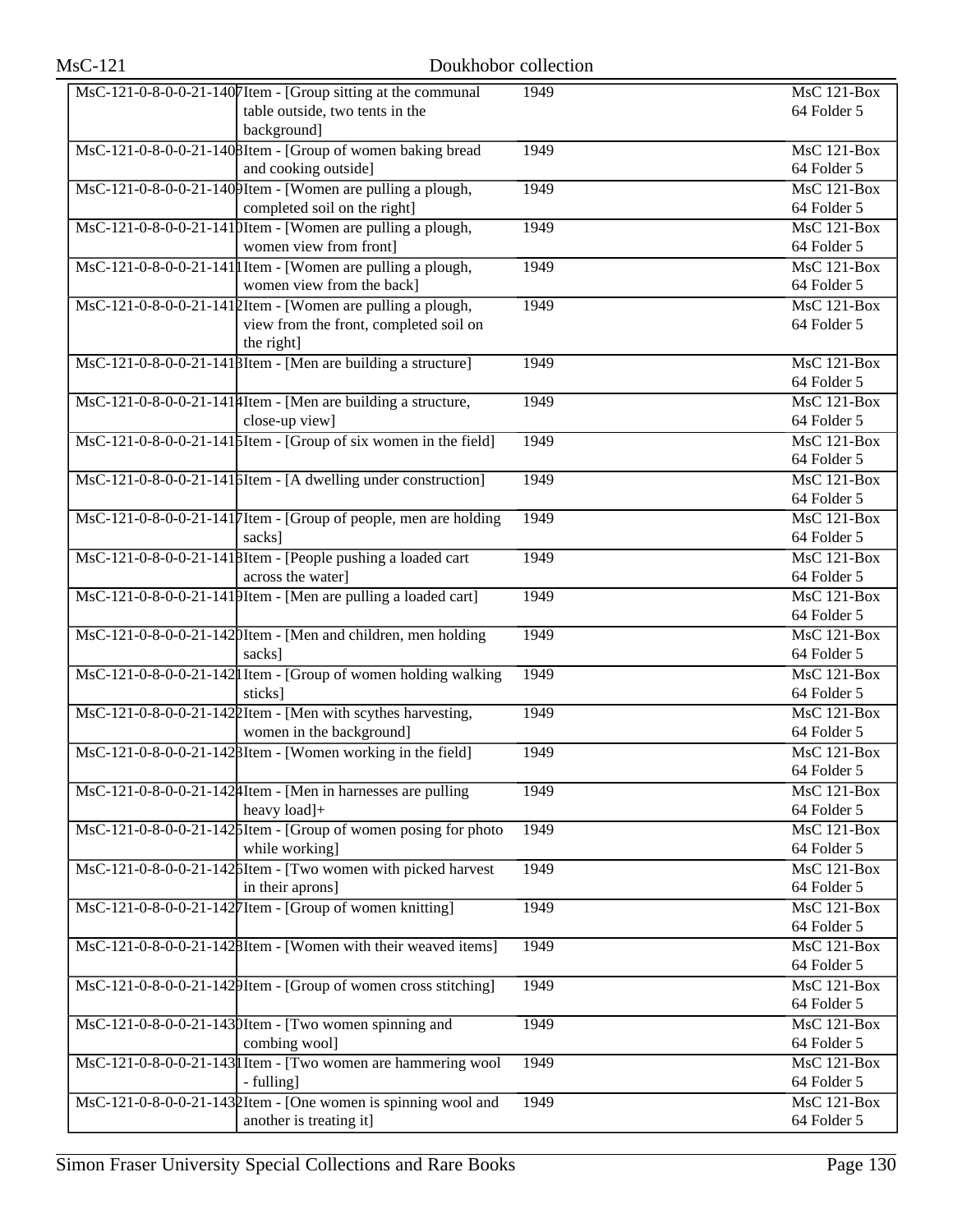| MsC-121-0-8-0-0-21-1407Item - [Group sitting at the communal                                  | 1949 | MsC 121-Box        |
|-----------------------------------------------------------------------------------------------|------|--------------------|
| table outside, two tents in the                                                               |      | 64 Folder 5        |
| background]                                                                                   |      |                    |
| MsC-121-0-8-0-0-21-1408Item - [Group of women baking bread                                    | 1949 | <b>MsC 121-Box</b> |
| and cooking outside]                                                                          |      | 64 Folder 5        |
| MsC-121-0-8-0-0-21-1409Item - [Women are pulling a plough,                                    | 1949 | $MsC$ 121-Box      |
| completed soil on the right]                                                                  |      | 64 Folder 5        |
| MsC-121-0-8-0-0-21-1410Item - [Women are pulling a plough,                                    | 1949 | <b>MsC 121-Box</b> |
| women view from front]                                                                        |      | 64 Folder 5        |
| MsC-121-0-8-0-0-21-141 Htem - [Women are pulling a plough,                                    | 1949 | MsC 121-Box        |
| women view from the back]                                                                     |      | 64 Folder 5        |
| MsC-121-0-8-0-0-21-1412Item - [Women are pulling a plough,                                    | 1949 | $MsC$ 121-Box      |
| view from the front, completed soil on                                                        |      | 64 Folder 5        |
| the right]                                                                                    |      |                    |
| MsC-121-0-8-0-0-21-1418Item - [Men are building a structure]                                  | 1949 | $MsC$ 121-Box      |
|                                                                                               |      | 64 Folder 5        |
| MsC-121-0-8-0-0-21-1414Item - [Men are building a structure,                                  | 1949 | $MsC$ 121-Box      |
| close-up view]                                                                                |      | 64 Folder 5        |
| $\overline{\text{MsC-121-0-8-0-0-21-141}}$ [Item - [Group of six women in the field]          | 1949 | $MsC$ 121-Box      |
|                                                                                               |      | 64 Folder 5        |
| MsC-121-0-8-0-0-21-1416Item - [A dwelling under construction]                                 | 1949 | <b>MsC 121-Box</b> |
|                                                                                               |      | 64 Folder 5        |
| MsC-121-0-8-0-0-21-1417Item - [Group of people, men are holding                               | 1949 | <b>MsC 121-Box</b> |
| sacks]                                                                                        |      | 64 Folder 5        |
| MsC-121-0-8-0-0-21-1418Item - [People pushing a loaded cart                                   | 1949 | <b>MsC 121-Box</b> |
| across the water]                                                                             |      | 64 Folder 5        |
| MsC-121-0-8-0-0-21-1419Item - [Men are pulling a loaded cart]                                 | 1949 | <b>MsC 121-Box</b> |
|                                                                                               |      | 64 Folder 5        |
| MsC-121-0-8-0-0-21-1420Item - [Men and children, men holding                                  | 1949 | $MsC$ 121-Box      |
| sacks]                                                                                        |      | 64 Folder 5        |
| MsC-121-0-8-0-0-21-142 I Item - [Group of women holding walking                               | 1949 | $MsC$ 121-Box      |
| sticks]                                                                                       |      | 64 Folder 5        |
| MsC-121-0-8-0-0-21-1422Item - [Men with scythes harvesting,                                   | 1949 | $MsC$ 121-Box      |
| women in the background]                                                                      |      | 64 Folder 5        |
| MsC-121-0-8-0-0-21-1428Item - [Women working in the field]                                    | 1949 | $MsC$ 121-Box      |
|                                                                                               |      | 64 Folder 5        |
| $\overline{\text{MsC-121-0-8-0-0-21-142\text{}}\text{4}$ Item - [Men in harnesses are pulling | 1949 | MsC 121-Box        |
| heavy load]+                                                                                  |      | 64 Folder 5        |
| MsC-121-0-8-0-0-21-1425Item - [Group of women posing for photo                                | 1949 | MsC 121-Box        |
| while working]                                                                                |      | 64 Folder 5        |
| MsC-121-0-8-0-0-21-1426Item - [Two women with picked harvest]                                 | 1949 | MsC 121-Box        |
| in their aprons]                                                                              |      | 64 Folder 5        |
| MsC-121-0-8-0-0-21-1427 Item - [Group of women knitting]                                      | 1949 | $MsC$ 121-Box      |
|                                                                                               |      | 64 Folder 5        |
| MsC-121-0-8-0-0-21-1428Item - [Women with their weaved items]                                 | 1949 | MsC 121-Box        |
|                                                                                               |      | 64 Folder 5        |
| MsC-121-0-8-0-0-21-1429Item - [Group of women cross stitching]                                | 1949 | MsC 121-Box        |
|                                                                                               |      | 64 Folder 5        |
| MsC-121-0-8-0-0-21-1430Item - [Two women spinning and                                         | 1949 | MsC 121-Box        |
| combing wool]                                                                                 |      | 64 Folder 5        |
| MsC-121-0-8-0-0-21-143 I Item - [Two women are hammering wool                                 | 1949 | MsC 121-Box        |
| - fulling]                                                                                    |      | 64 Folder 5        |
| $\overline{\text{MsC-121-0-8-0-0-21-143}}$ ltem - [One women is spinning wool and             | 1949 | MsC 121-Box        |
| another is treating it]                                                                       |      | 64 Folder 5        |
|                                                                                               |      |                    |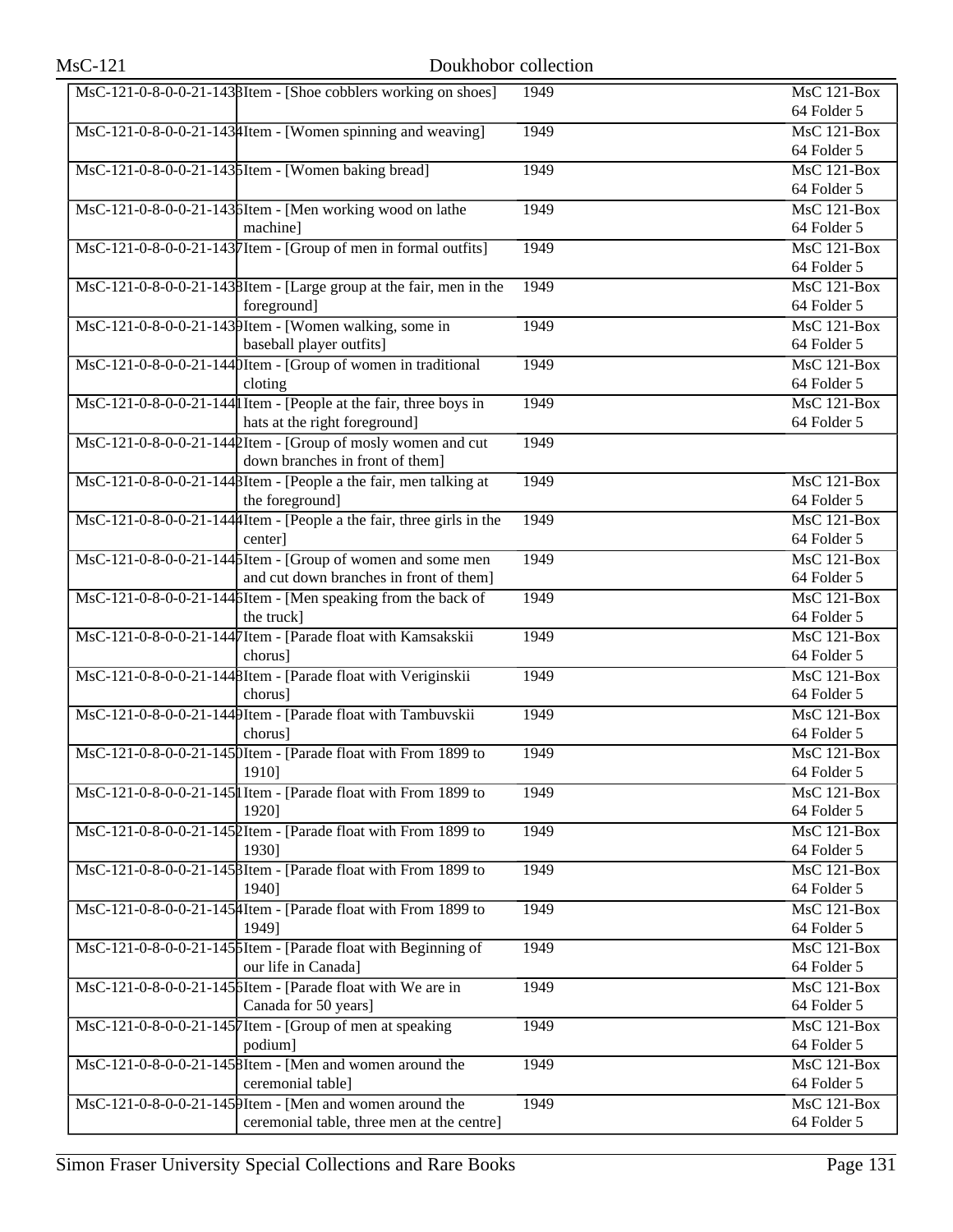| MsC-121-0-8-0-0-21-1438Item - [Shoe cobblers working on shoes]       | 1949 | MsC 121-Box                     |
|----------------------------------------------------------------------|------|---------------------------------|
|                                                                      |      | 64 Folder 5                     |
| MsC-121-0-8-0-0-21-1434Item - [Women spinning and weaving]           | 1949 | $MsC$ 121-Box<br>64 Folder 5    |
| MsC-121-0-8-0-0-21-143 [Item - [Women baking bread]                  | 1949 | $MsC$ 121-Box                   |
|                                                                      |      | 64 Folder 5                     |
| MsC-121-0-8-0-0-21-143 SItem - [Men working wood on lathe            | 1949 | MsC 121-Box                     |
| machinel                                                             |      | 64 Folder 5                     |
| MsC-121-0-8-0-0-21-1437Item - [Group of men in formal outfits]       | 1949 | MsC 121-Box                     |
|                                                                      |      | 64 Folder 5                     |
| MsC-121-0-8-0-0-21-1438Item - [Large group at the fair, men in the   | 1949 | $MsC$ 121-Box                   |
| foreground]                                                          |      | 64 Folder 5                     |
| MsC-121-0-8-0-0-21-1439Item - [Women walking, some in                | 1949 | $MsC$ 121-Box                   |
| baseball player outfits]                                             |      | 64 Folder 5                     |
| MsC-121-0-8-0-0-21-1440Item - [Group of women in traditional         | 1949 | $MsC$ 121-Box                   |
| cloting                                                              |      | 64 Folder 5                     |
| MsC-121-0-8-0-0-21-144 I Item - [People at the fair, three boys in   | 1949 | $MsC$ 121-Box                   |
| hats at the right foreground]                                        |      | 64 Folder 5                     |
| MsC-121-0-8-0-0-21-1442Item - [Group of mosly women and cut          | 1949 |                                 |
| down branches in front of them]                                      |      |                                 |
| MsC-121-0-8-0-0-21-1448Item - [People a the fair, men talking at     | 1949 | $MsC$ 121-Box                   |
| the foreground]                                                      |      | 64 Folder 5                     |
| MsC-121-0-8-0-0-21-144 Htem - [People a the fair, three girls in the | 1949 | MsC 121-Box                     |
| center]                                                              |      | 64 Folder 5                     |
| MsC-121-0-8-0-0-21-1445Item - [Group of women and some men           | 1949 | MsC 121-Box                     |
| and cut down branches in front of them]                              |      | 64 Folder 5                     |
| MsC-121-0-8-0-0-21-144 bItem - [Men speaking from the back of        | 1949 | $MsC$ 121-Box                   |
| the truck]                                                           |      | 64 Folder 5                     |
| MsC-121-0-8-0-0-21-1447Item - [Parade float with Kamsakskii          | 1949 | $MsC$ 121-Box                   |
| chorus]                                                              |      | 64 Folder 5                     |
| MsC-121-0-8-0-0-21-1448Item - [Parade float with Veriginskii         | 1949 | MsC 121-Box                     |
| chorus]                                                              |      | 64 Folder 5                     |
| MsC-121-0-8-0-0-21-1449Item - [Parade float with Tambuvskii          | 1949 | MsC 121-Box                     |
| chorus]                                                              |      | 64 Folder 5                     |
| MsC-121-0-8-0-0-21-145 [Item - [Parade float with From 1899 to       | 1949 | $MsC$ 121-Box                   |
| 1910]                                                                |      | 64 Folder 5                     |
| MsC-121-0-8-0-0-21-145 Item - [Parade float with From 1899 to        | 1949 | <b>MsC 121-Box</b>              |
| 1920]                                                                |      | 64 Folder 5                     |
| MsC-121-0-8-0-0-21-1452Item - [Parade float with From 1899 to        | 1949 | $\overline{\text{MsC 121-Box}}$ |
| 1930]                                                                |      | 64 Folder 5                     |
| MsC-121-0-8-0-0-21-145 BItem - [Parade float with From 1899 to       | 1949 | $MsC$ 121-Box                   |
| 1940]                                                                |      | 64 Folder 5                     |
| MsC-121-0-8-0-0-21-145 Htem - [Parade float with From 1899 to        | 1949 | MsC 121-Box                     |
| 1949]                                                                |      | 64 Folder 5                     |
| MsC-121-0-8-0-0-21-145 SItem - [Parade float with Beginning of       | 1949 | MsC 121-Box                     |
| our life in Canada]                                                  |      | 64 Folder 5                     |
| MsC-121-0-8-0-0-21-145 bItem - [Parade float with We are in          | 1949 | MsC 121-Box                     |
| Canada for 50 years]                                                 |      | 64 Folder 5                     |
| MsC-121-0-8-0-0-21-1457 Item - [Group of men at speaking             | 1949 | MsC 121-Box                     |
| podium]                                                              |      | 64 Folder 5                     |
| MsC-121-0-8-0-0-21-1458Item - [Men and women around the              | 1949 | MsC 121-Box                     |
| ceremonial table]                                                    |      | 64 Folder 5                     |
| MsC-121-0-8-0-0-21-1459Item - [Men and women around the              | 1949 | <b>MsC 121-Box</b>              |
| ceremonial table, three men at the centre]                           |      | 64 Folder 5                     |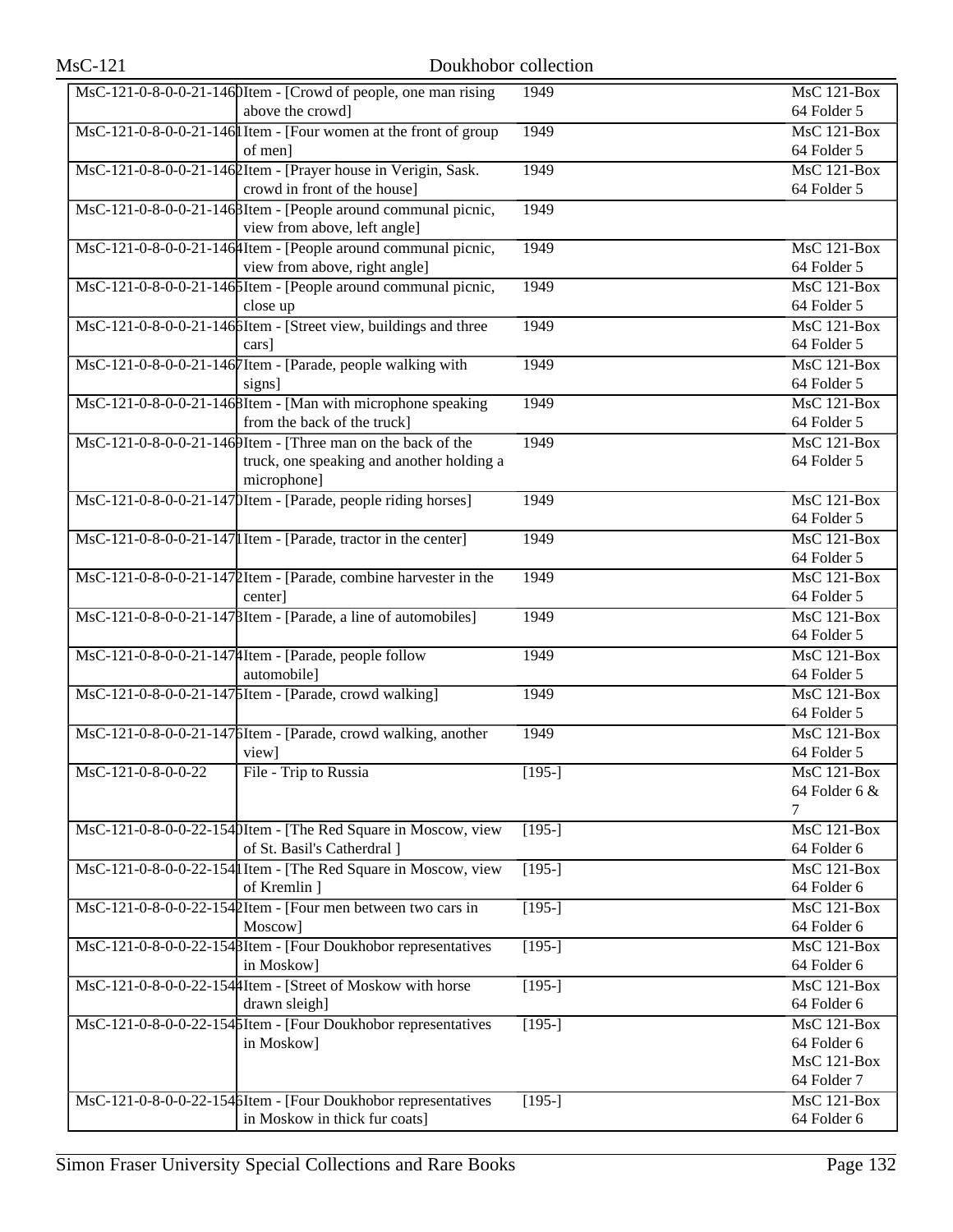|                    | MsC-121-0-8-0-0-21-1460Item - [Crowd of people, one man rising    | 1949     | MsC 121-Box                |
|--------------------|-------------------------------------------------------------------|----------|----------------------------|
|                    | above the crowd]                                                  |          | 64 Folder 5                |
|                    | MsC-121-0-8-0-0-21-146 I Item - [Four women at the front of group | 1949     | $MsC$ 121-Box              |
|                    | of men]                                                           |          | 64 Folder 5                |
|                    | MsC-121-0-8-0-0-21-146 2Item - [Prayer house in Verigin, Sask.    | 1949     | $MsC$ 121-Box              |
|                    | crowd in front of the house]                                      |          | 64 Folder 5                |
|                    | MsC-121-0-8-0-0-21-146 BItem - [People around communal picnic,    | 1949     |                            |
|                    | view from above, left angle]                                      |          |                            |
|                    | MsC-121-0-8-0-0-21-1464Item - [People around communal picnic,     | 1949     | MsC 121-Box                |
|                    | view from above, right angle]                                     |          | 64 Folder 5                |
|                    | MsC-121-0-8-0-0-21-146 SItem - [People around communal picnic,    | 1949     | MsC 121-Box                |
|                    | close up                                                          |          | 64 Folder 5                |
|                    | MsC-121-0-8-0-0-21-146 SItem - [Street view, buildings and three  | 1949     | $MsC$ 121-Box              |
|                    | cars]                                                             |          | 64 Folder 5                |
|                    | MsC-121-0-8-0-0-21-1467Item - [Parade, people walking with        | 1949     | <b>MsC 121-Box</b>         |
|                    | signs]                                                            |          | 64 Folder 5                |
|                    | MsC-121-0-8-0-0-21-1468Item - [Man with microphone speaking       | 1949     | $MsC$ 121-Box              |
|                    | from the back of the truck]                                       |          | 64 Folder 5                |
|                    | MsC-121-0-8-0-0-21-1469Item - [Three man on the back of the       | 1949     | <b>MsC 121-Box</b>         |
|                    | truck, one speaking and another holding a                         |          | 64 Folder 5                |
|                    | microphone]                                                       |          |                            |
|                    | MsC-121-0-8-0-0-21-147 DItem - [Parade, people riding horses]     | 1949     | <b>MsC 121-Box</b>         |
|                    |                                                                   |          | 64 Folder 5                |
|                    | MsC-121-0-8-0-0-21-147 Item - [Parade, tractor in the center]     | 1949     | MsC 121-Box                |
|                    |                                                                   |          | 64 Folder 5                |
|                    | MsC-121-0-8-0-0-21-1472Item - [Parade, combine harvester in the   | 1949     | $MsC$ 121-Box              |
|                    | center]                                                           |          | 64 Folder 5                |
|                    | MsC-121-0-8-0-0-21-147 BItem - [Parade, a line of automobiles]    | 1949     | $MsC$ 121-Box              |
|                    |                                                                   |          | 64 Folder 5                |
|                    | MsC-121-0-8-0-0-21-147 Htem - [Parade, people follow              | 1949     | $MsC$ 121-Box              |
|                    | automobile]                                                       |          | 64 Folder 5                |
|                    | MsC-121-0-8-0-0-21-1475Item - [Parade, crowd walking]             | 1949     | $MsC$ 121-Box              |
|                    |                                                                   |          | 64 Folder 5                |
|                    | MsC-121-0-8-0-0-21-1476Item - [Parade, crowd walking, another     | 1949     | <b>MsC 121-Box</b>         |
|                    | view]                                                             |          | 64 Folder 5                |
| MsC-121-0-8-0-0-22 | File - Trip to Russia                                             | $[195-]$ | MsC 121-Box                |
|                    |                                                                   |          | 64 Folder 6 &              |
|                    |                                                                   |          | 7                          |
|                    | MsC-121-0-8-0-0-22-1540Item - [The Red Square in Moscow, view     | $[195-]$ | MsC 121-Box                |
|                    | of St. Basil's Catherdral ]                                       |          | 64 Folder 6                |
|                    | MsC-121-0-8-0-0-22-154 I Item - [The Red Square in Moscow, view   | $[195-]$ | <b>MsC 121-Box</b>         |
|                    | of Kremlin ]                                                      |          | 64 Folder 6                |
|                    | MsC-121-0-8-0-0-22-1542Item - [Four men between two cars in       | $[195-]$ | $MsC$ 121-Box              |
|                    | Moscow]                                                           |          | 64 Folder 6                |
|                    | MsC-121-0-8-0-0-22-1548Item - [Four Doukhobor representatives     | $[195-]$ | $MsC$ 121-Box              |
|                    | in Moskow]                                                        |          | 64 Folder 6                |
|                    | MsC-121-0-8-0-0-22-154 Htem - [Street of Moskow with horse        | $[195-]$ | MsC 121-Box                |
|                    | drawn sleigh]                                                     |          | 64 Folder 6                |
|                    | MsC-121-0-8-0-0-22-1545Item - [Four Doukhobor representatives     | $[195-]$ | MsC 121-Box                |
|                    | in Moskow]                                                        |          | 64 Folder 6                |
|                    |                                                                   |          | MsC 121-Box                |
|                    |                                                                   |          | 64 Folder 7                |
|                    | MsC-121-0-8-0-0-22-154 SItem - [Four Doukhobor representatives    | $[195-]$ | MsC 121-Box<br>64 Folder 6 |
|                    | in Moskow in thick fur coats]                                     |          |                            |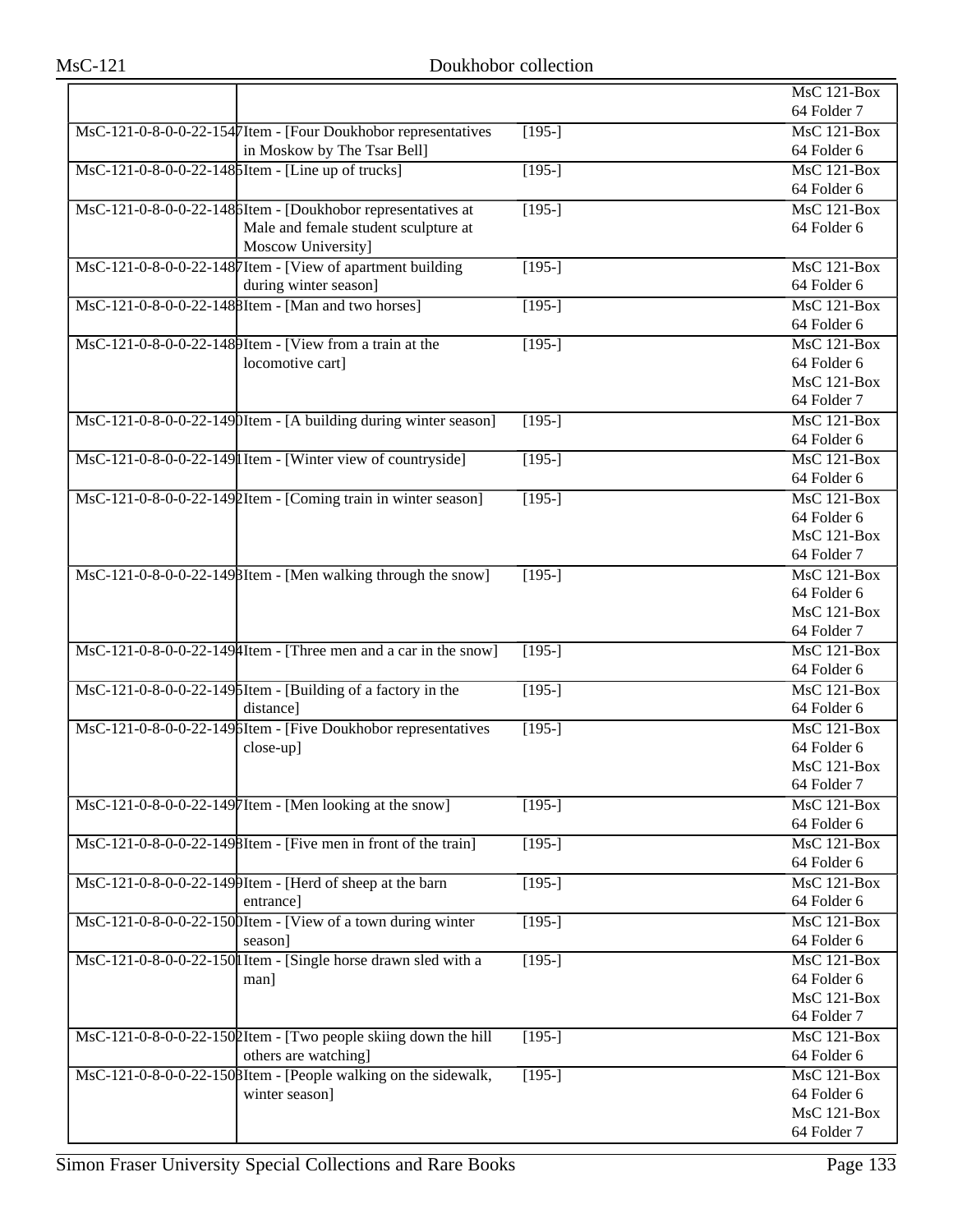|                                                                          |                | MsC 121-Box                     |
|--------------------------------------------------------------------------|----------------|---------------------------------|
|                                                                          |                | 64 Folder 7                     |
| MsC-121-0-8-0-0-22-1547Item - [Four Doukhobor representatives            | $[195-]$       | MsC 121-Box                     |
| in Moskow by The Tsar Bell]                                              |                | 64 Folder 6                     |
| MsC-121-0-8-0-0-22-148 [Item - [Line up of trucks]                       | $[195-]$       | MsC 121-Box                     |
|                                                                          |                | 64 Folder 6                     |
| MsC-121-0-8-0-0-22-148 bItem - [Doukhobor representatives at             | $[195-]$       | $MsC$ 121-Box                   |
| Male and female student sculpture at                                     |                | 64 Folder 6                     |
| Moscow University]                                                       |                |                                 |
| MsC-121-0-8-0-0-22-1487Item - [View of apartment building                | $[195-]$       | MsC 121-Box                     |
| during winter season]                                                    |                | 64 Folder 6                     |
| MsC-121-0-8-0-0-22-148 BItem - [Man and two horses]                      | $\sqrt{195}$   | $\overline{\text{MsC 121-Box}}$ |
|                                                                          |                | 64 Folder 6                     |
| MsC-121-0-8-0-0-22-1489Item - [View from a train at the                  | $[195-]$       | $MsC$ 121-Box                   |
| locomotive cart]                                                         |                | 64 Folder 6                     |
|                                                                          |                | <b>MsC 121-Box</b>              |
|                                                                          |                | 64 Folder 7                     |
| MsC-121-0-8-0-0-22-1490Item - [A building during winter season]          | $[195-]$       | MsC 121-Box                     |
|                                                                          |                | 64 Folder 6                     |
| MsC-121-0-8-0-0-22-149 Item - [Winter view of countryside]               | $[195-]$       | $MsC$ 121-Box                   |
|                                                                          |                | 64 Folder 6                     |
| MsC-121-0-8-0-0-22-1492Item - [Coming train in winter season]            | $[195-]$       | $MsC$ 121-Box                   |
|                                                                          |                | 64 Folder 6                     |
|                                                                          |                | <b>MsC 121-Box</b>              |
|                                                                          |                | 64 Folder 7                     |
| MsC-121-0-8-0-0-22-149 BItem - [Men walking through the snow]            | $[195-]$       | $MsC$ 121-Box                   |
|                                                                          |                | 64 Folder 6                     |
|                                                                          |                | MsC 121-Box                     |
|                                                                          |                | 64 Folder 7                     |
| $MsC-121-0-8-0-0-22-1494$ Item - [Three men and a car in the snow]       | $[195-]$       | <b>MsC 121-Box</b>              |
|                                                                          |                | 64 Folder 6                     |
| MsC-121-0-8-0-0-22-149 SItem - [Building of a factory in the             | $[195-]$       | <b>MsC 121-Box</b>              |
| distance]                                                                |                | 64 Folder 6                     |
| MsC-121-0-8-0-0-22-1496Item - [Five Doukhobor representatives            | $[195-]$       | MsC 121-Box                     |
| close-up]                                                                |                | 64 Folder 6                     |
|                                                                          |                | MsC 121-Box                     |
|                                                                          |                | 64 Folder 7                     |
| MsC-121-0-8-0-0-22-1497Item - [Men looking at the snow]                  | $\sqrt{195-1}$ | MsC 121-Box                     |
|                                                                          |                | 64 Folder 6                     |
| MsC-121-0-8-0-0-22-1498Item - [Five men in front of the train]           | $[195-]$       | <b>MsC 121-Box</b>              |
|                                                                          |                | 64 Folder 6                     |
| MsC-121-0-8-0-0-22-1499Item - [Herd of sheep at the barn                 | $[195-]$       | <b>MsC 121-Box</b>              |
| entrance]                                                                |                | 64 Folder 6                     |
| MsC-121-0-8-0-0-22-1500Item - [View of a town during winter              | $[195-]$       | <b>MsC 121-Box</b>              |
| season]                                                                  |                | 64 Folder 6                     |
| MsC-121-0-8-0-0-22-150 I Item - [Single horse drawn sled with a          | $[195-]$       | <b>MsC 121-Box</b>              |
| man]                                                                     |                | 64 Folder 6                     |
|                                                                          |                | MsC 121-Box                     |
|                                                                          |                | 64 Folder 7                     |
| $\text{MsC-121-0-8-0-0-22-150}$ [Item - [Two people skiing down the hill | $[195-]$       | MsC 121-Box                     |
| others are watching]                                                     |                | 64 Folder 6                     |
| MsC-121-0-8-0-0-22-1508Item - [People walking on the sidewalk,           | $[195-]$       | MsC 121-Box                     |
| winter season]                                                           |                | 64 Folder 6<br>MsC 121-Box      |
|                                                                          |                |                                 |
|                                                                          |                | 64 Folder 7                     |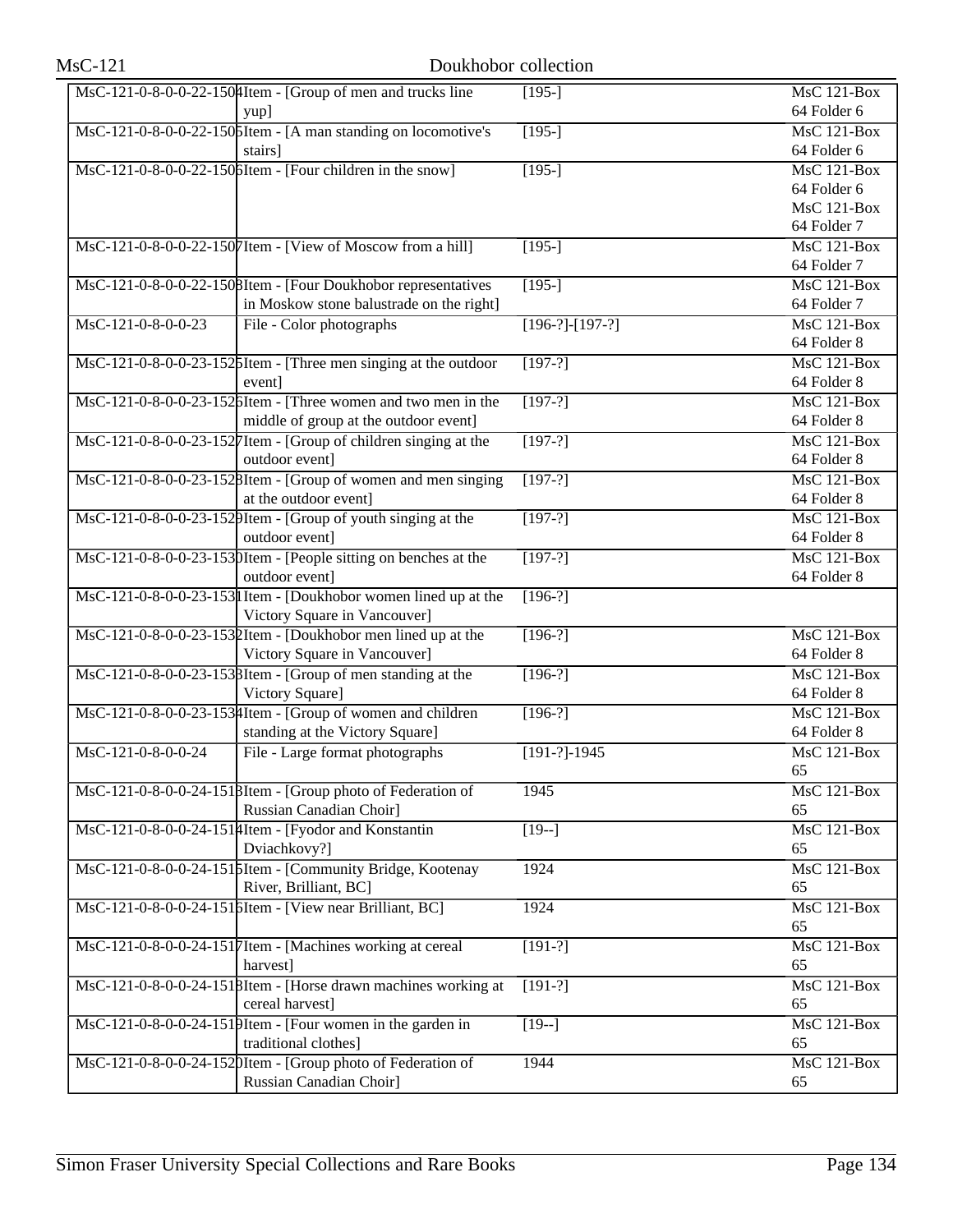| $MsC-121$          | Doukhobor collection                                                         |                   |                                   |
|--------------------|------------------------------------------------------------------------------|-------------------|-----------------------------------|
|                    | $\text{MsC-121-0-8-0-0-22-150}$ [Hem - [Group of men and trucks line<br>yup] | $[195-]$          | <b>MsC 121-Box</b><br>64 Folder 6 |
|                    | MsC-121-0-8-0-0-22-150 SItem - [A man standing on locomotive's               | $[195-]$          | $MsC$ 121-Box                     |
|                    | stairs]                                                                      |                   | 64 Folder 6                       |
|                    | MsC-121-0-8-0-0-22-150 bItem - [Four children in the snow]                   | $[195-]$          | <b>MsC 121-Box</b>                |
|                    |                                                                              |                   | 64 Folder 6                       |
|                    |                                                                              |                   | MsC 121-Box                       |
|                    |                                                                              |                   | 64 Folder 7                       |
|                    | MsC-121-0-8-0-0-22-1507Item - [View of Moscow from a hill]                   | $[195-]$          | $MsC$ 121-Box                     |
|                    |                                                                              |                   | 64 Folder 7                       |
|                    | MsC-121-0-8-0-0-22-1508Item - [Four Doukhobor representatives                | $[195-]$          | MsC 121-Box                       |
|                    | in Moskow stone balustrade on the right]                                     |                   | 64 Folder 7                       |
| MsC-121-0-8-0-0-23 | File - Color photographs                                                     | $[196-?]-[197-?]$ | $MsC$ 121-Box                     |
|                    |                                                                              |                   | 64 Folder 8                       |
|                    | MsC-121-0-8-0-0-23-1526Item - [Three men singing at the outdoor              | $[197-?]$         | $MsC$ 121-Box                     |
|                    | event]                                                                       |                   | 64 Folder 8                       |
|                    | MsC-121-0-8-0-0-23-1526Item - [Three women and two men in the                | $[197-?]$         | $MsC$ 121-Box                     |
|                    | middle of group at the outdoor event]                                        |                   | 64 Folder 8                       |
|                    | MsC-121-0-8-0-0-23-1527 Item - [Group of children singing at the             | $[197-?]$         | $MsC$ 121-Box                     |
|                    | outdoor event]                                                               |                   | 64 Folder 8                       |
|                    | MsC-121-0-8-0-0-23-1528Item - [Group of women and men singing                | $[197-?]$         | $MsC$ 121-Box                     |
|                    | at the outdoor event]                                                        |                   | 64 Folder 8                       |
|                    | MsC-121-0-8-0-0-23-1529Item - [Group of youth singing at the                 | $[197-?]$         | $MsC$ 121-Box                     |
|                    | outdoor event]                                                               |                   | 64 Folder 8                       |
|                    | MsC-121-0-8-0-0-23-1530Item - [People sitting on benches at the              | $[197-?]$         | $MsC$ 121-Box                     |
|                    | outdoor event]                                                               |                   | 64 Folder 8                       |
|                    | MsC-121-0-8-0-0-23-153 I Item - [Doukhobor women lined up at the             | $[196-?]$         |                                   |
|                    | Victory Square in Vancouver]                                                 |                   |                                   |
|                    | MsC-121-0-8-0-0-23-1532Item - [Doukhobor men lined up at the                 | $[196-?]$         | $MsC$ 121-Box                     |
|                    | Victory Square in Vancouver]                                                 |                   | 64 Folder 8                       |
|                    | MsC-121-0-8-0-0-23-1538Item - [Group of men standing at the                  | $[196-?]$         | MsC 121-Box                       |
|                    | Victory Square]                                                              |                   | 64 Folder 8                       |
|                    | MsC-121-0-8-0-0-23-1534Item - [Group of women and children                   | $[196-?]$         | MsC 121-Box                       |
| MsC-121-0-8-0-0-24 | standing at the Victory Square]                                              | $[191-?]-1945$    | 64 Folder 8<br>MsC 121-Box        |
|                    | File - Large format photographs                                              |                   | 65                                |
|                    | MsC-121-0-8-0-0-24-1518Item - [Group photo of Federation of                  | 1945              | $\overline{\text{MsC 121-Box}}$   |
|                    | Russian Canadian Choir]                                                      |                   | 65                                |
|                    | MsC-121-0-8-0-0-24-1514Item - [Fyodor and Konstantin                         | $[19-]$           | $MsC$ 121-Box                     |
|                    | Dviachkovy?]                                                                 |                   | 65                                |
|                    | MsC-121-0-8-0-0-24-1515Item - [Community Bridge, Kootenay                    | 1924              | MsC 121-Box                       |
|                    | River, Brilliant, BC]                                                        |                   | 65                                |
|                    | MsC-121-0-8-0-0-24-1516Item - [View near Brilliant, BC]                      | 1924              | MsC 121-Box                       |
|                    |                                                                              |                   | 65                                |
|                    | MsC-121-0-8-0-0-24-1517Item - [Machines working at cereal                    | $[191-?]$         | MsC 121-Box                       |
|                    | harvest]                                                                     |                   | 65                                |
|                    | MsC-121-0-8-0-0-24-1518Item - [Horse drawn machines working at               | $[191-?]$         | MsC 121-Box                       |
|                    | cereal harvest]                                                              |                   | 65                                |
|                    | MsC-121-0-8-0-0-24-1519Item - [Four women in the garden in                   | $[19-]$           | <b>MsC 121-Box</b>                |
|                    | traditional clothes]                                                         |                   | 65                                |
|                    | MsC-121-0-8-0-0-24-1520Item - [Group photo of Federation of                  | 1944              | MsC 121-Box                       |
|                    | Russian Canadian Choir]                                                      |                   | 65                                |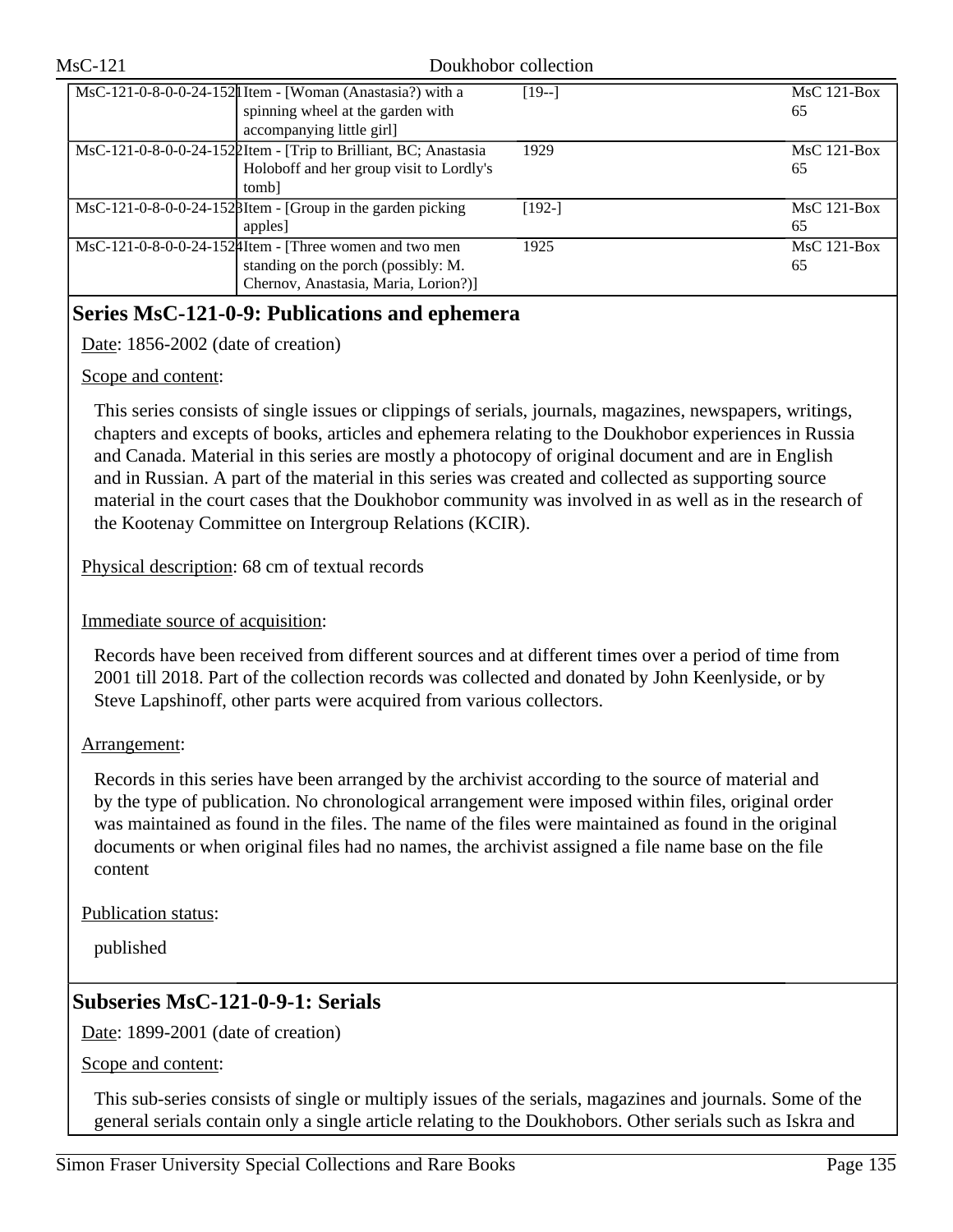| MsC-121 |                                                                                                                                                | Doukhobor collection |                     |
|---------|------------------------------------------------------------------------------------------------------------------------------------------------|----------------------|---------------------|
|         | $\overline{\text{MsC-121-0-8-0-0-24-152}}$ Item - [Woman (Anastasia?) with a<br>spinning wheel at the garden with<br>accompanying little girl] | $[19-]$              | $MsC$ 121-Box<br>65 |
|         | MsC-121-0-8-0-0-24-1522Item - [Trip to Brilliant, BC; Anastasia<br>Holoboff and her group visit to Lordly's<br>tomb]                           | 1929                 | $MsC$ 121-Box<br>65 |
|         | $\text{MsC-121-0-8-0-0-24-152}}$ Hem - [Group in the garden picking<br>apples]                                                                 | $[192-]$             | $MsC$ 121-Box<br>65 |
|         | MsC-121-0-8-0-0-24-152 4 Item - [Three women and two men<br>standing on the porch (possibly: M.<br>Chernov, Anastasia, Maria, Lorion?)]        | 1925                 | $MsC$ 121-Box<br>65 |

# **Series MsC-121-0-9: Publications and ephemera**

Date: 1856-2002 (date of creation)

## Scope and content:

This series consists of single issues or clippings of serials, journals, magazines, newspapers, writings, chapters and excepts of books, articles and ephemera relating to the Doukhobor experiences in Russia and Canada. Material in this series are mostly a photocopy of original document and are in English and in Russian. A part of the material in this series was created and collected as supporting source material in the court cases that the Doukhobor community was involved in as well as in the research of the Kootenay Committee on Intergroup Relations (KCIR).

Physical description: 68 cm of textual records

## Immediate source of acquisition:

Records have been received from different sources and at different times over a period of time from 2001 till 2018. Part of the collection records was collected and donated by John Keenlyside, or by Steve Lapshinoff, other parts were acquired from various collectors.

## Arrangement:

Records in this series have been arranged by the archivist according to the source of material and by the type of publication. No chronological arrangement were imposed within files, original order was maintained as found in the files. The name of the files were maintained as found in the original documents or when original files had no names, the archivist assigned a file name base on the file content

Publication status:

published

# **Subseries MsC-121-0-9-1: Serials**

Date: 1899-2001 (date of creation)

Scope and content:

This sub-series consists of single or multiply issues of the serials, magazines and journals. Some of the general serials contain only a single article relating to the Doukhobors. Other serials such as Iskra and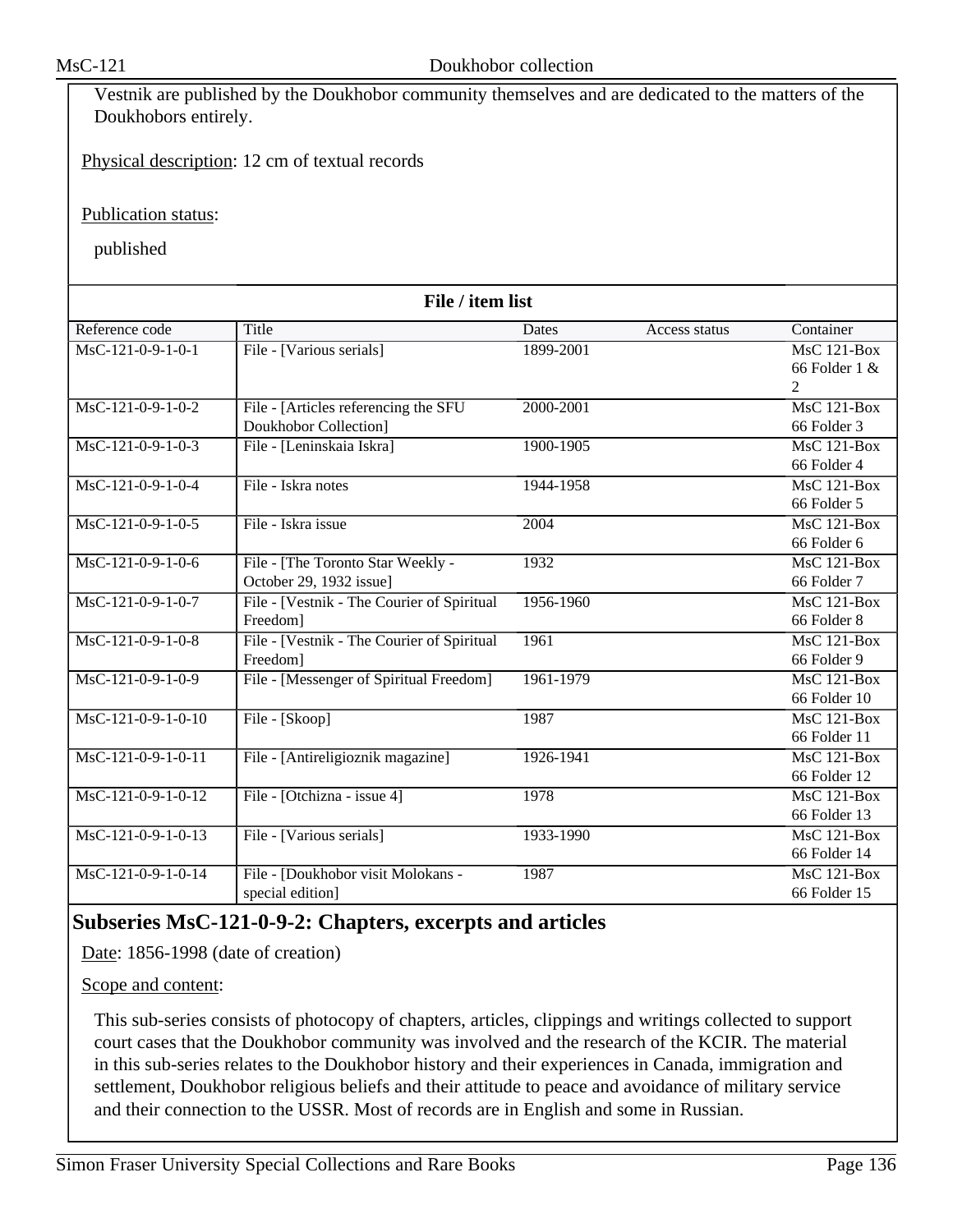| Vestnik are published by the Doukhobor community themselves and are dedicated to the matters of the |  |
|-----------------------------------------------------------------------------------------------------|--|
| Doukhobors entirely.                                                                                |  |

Physical description: 12 cm of textual records

Publication status:

published

| File / item list     |                                            |              |               |                    |
|----------------------|--------------------------------------------|--------------|---------------|--------------------|
| Reference code       | Title                                      | <b>Dates</b> | Access status | Container          |
| MsC-121-0-9-1-0-1    | File - [Various serials]                   | 1899-2001    |               | <b>MsC 121-Box</b> |
|                      |                                            |              |               | 66 Folder $1 \&$   |
|                      |                                            |              |               | 2                  |
| $MsC-121-0-9-1-0-2$  | File - [Articles referencing the SFU       | 2000-2001    |               | <b>MsC 121-Box</b> |
|                      | Doukhobor Collection]                      |              |               | 66 Folder 3        |
| $MsC-121-0-9-1-0-3$  | File - [Leninskaia Iskra]                  | 1900-1905    |               | MsC 121-Box        |
|                      |                                            |              |               | 66 Folder 4        |
| $MsC-121-0-9-1-0-4$  | File - Iskra notes                         | 1944-1958    |               | <b>MsC 121-Box</b> |
|                      |                                            |              |               | 66 Folder 5        |
| MsC-121-0-9-1-0-5    | File - Iskra issue                         | 2004         |               | <b>MsC 121-Box</b> |
|                      |                                            |              |               | 66 Folder 6        |
| MsC-121-0-9-1-0-6    | File - [The Toronto Star Weekly -          | 1932         |               | MsC 121-Box        |
|                      | October 29, 1932 issue]                    |              |               | 66 Folder 7        |
| $MsC-121-0-9-1-0-7$  | File - [Vestnik - The Courier of Spiritual | 1956-1960    |               | MsC 121-Box        |
|                      | Freedom]                                   |              |               | 66 Folder 8        |
| MsC-121-0-9-1-0-8    | File - [Vestnik - The Courier of Spiritual | 1961         |               | <b>MsC 121-Box</b> |
|                      | Freedom                                    |              |               | 66 Folder 9        |
| $MsC-121-0-9-1-0-9$  | File - [Messenger of Spiritual Freedom]    | 1961-1979    |               | <b>MsC 121-Box</b> |
|                      |                                            |              |               | 66 Folder 10       |
| $MsC-121-0-9-1-0-10$ | File - [Skoop]                             | 1987         |               | <b>MsC 121-Box</b> |
|                      |                                            |              |               | 66 Folder 11       |
| $MsC-121-0-9-1-0-11$ | File - [Antireligioznik magazine]          | 1926-1941    |               | $MsC$ 121-Box      |
|                      |                                            |              |               | 66 Folder 12       |
| $MsC-121-0-9-1-0-12$ | File - [Otchizna - issue 4]                | 1978         |               | $MsC$ 121-Box      |
|                      |                                            |              |               | 66 Folder 13       |
| MsC-121-0-9-1-0-13   | File - [Various serials]                   | 1933-1990    |               | <b>MsC 121-Box</b> |
|                      |                                            |              |               | 66 Folder 14       |
| MsC-121-0-9-1-0-14   | File - [Doukhobor visit Molokans -         | 1987         |               | $MsC$ 121-Box      |
|                      | special edition]                           |              |               | 66 Folder 15       |

# **Subseries MsC-121-0-9-2: Chapters, excerpts and articles**

Date: 1856-1998 (date of creation)

Scope and content:

This sub-series consists of photocopy of chapters, articles, clippings and writings collected to support court cases that the Doukhobor community was involved and the research of the KCIR. The material in this sub-series relates to the Doukhobor history and their experiences in Canada, immigration and settlement, Doukhobor religious beliefs and their attitude to peace and avoidance of military service and their connection to the USSR. Most of records are in English and some in Russian.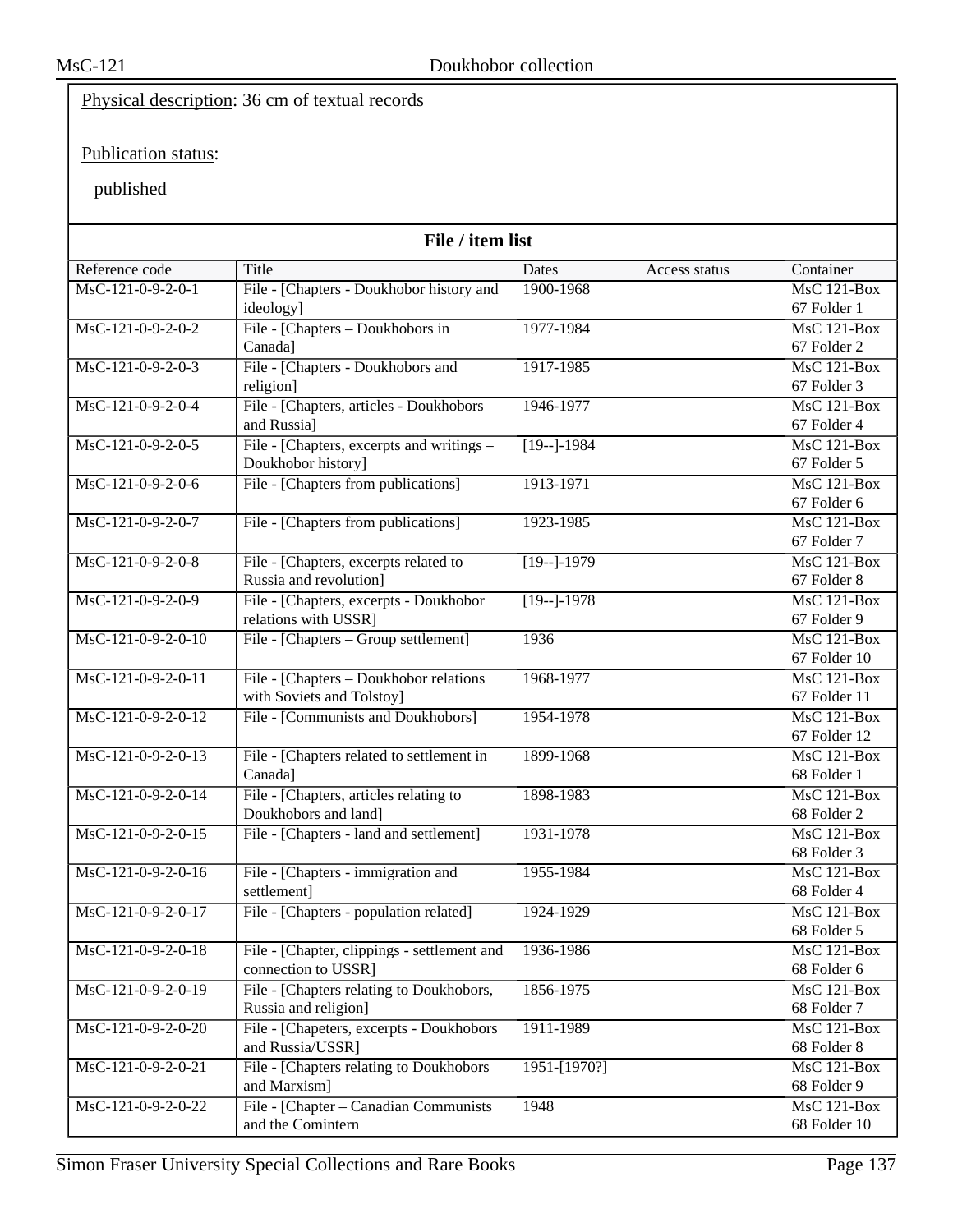# Physical description: 36 cm of textual records

# Publication status:

| File / item list    |                                                                |               |               |                                 |
|---------------------|----------------------------------------------------------------|---------------|---------------|---------------------------------|
| Reference code      | Title                                                          | Dates         | Access status | Container                       |
| MsC-121-0-9-2-0-1   | File - [Chapters - Doukhobor history and                       | 1900-1968     |               | $MsC$ 121-Box                   |
|                     | ideology]                                                      |               |               | 67 Folder 1                     |
| MsC-121-0-9-2-0-2   | File - [Chapters – Doukhobors in                               | 1977-1984     |               | $MsC$ 121-Box                   |
|                     | Canada]                                                        |               |               | 67 Folder 2                     |
| $MsC-121-0-9-2-0-3$ | File - [Chapters - Doukhobors and                              | 1917-1985     |               | $MsC$ 121-Box                   |
|                     | religion]                                                      |               |               | 67 Folder 3                     |
| MsC-121-0-9-2-0-4   | File - [Chapters, articles - Doukhobors                        | 1946-1977     |               | $MsC$ 121-Box                   |
|                     | and Russia]                                                    |               |               | 67 Folder 4                     |
| MsC-121-0-9-2-0-5   | File - [Chapters, excerpts and writings -                      | $[19-1-1984]$ |               | $MsC$ 121-Box                   |
|                     | Doukhobor history]                                             |               |               | 67 Folder 5                     |
| MsC-121-0-9-2-0-6   | File - [Chapters from publications]                            | 1913-1971     |               | $MsC$ 121-Box                   |
|                     |                                                                |               |               | 67 Folder 6                     |
| MsC-121-0-9-2-0-7   | File - [Chapters from publications]                            | 1923-1985     |               | $MsC$ 121-Box                   |
|                     |                                                                |               |               | 67 Folder 7                     |
| MsC-121-0-9-2-0-8   | File - [Chapters, excerpts related to                          | $[19-]-1979$  |               | MsC 121-Box                     |
| MsC-121-0-9-2-0-9   | Russia and revolution]                                         |               |               | 67 Folder 8<br>$MsC$ 121-Box    |
|                     | File - [Chapters, excerpts - Doukhobor<br>relations with USSR] | $[19-]-1978$  |               | 67 Folder 9                     |
| MsC-121-0-9-2-0-10  | File - [Chapters – Group settlement]                           | 1936          |               | $MsC$ 121-Box                   |
|                     |                                                                |               |               | 67 Folder 10                    |
| MsC-121-0-9-2-0-11  | File - [Chapters - Doukhobor relations                         | 1968-1977     |               | $MsC$ 121-Box                   |
|                     | with Soviets and Tolstoy]                                      |               |               | 67 Folder 11                    |
| MsC-121-0-9-2-0-12  | File - [Communists and Doukhobors]                             | 1954-1978     |               | $MsC$ 121-Box                   |
|                     |                                                                |               |               | 67 Folder 12                    |
| MsC-121-0-9-2-0-13  | File - [Chapters related to settlement in                      | 1899-1968     |               | $MsC$ 121-Box                   |
|                     | Canada]                                                        |               |               | 68 Folder 1                     |
| MsC-121-0-9-2-0-14  | File - [Chapters, articles relating to                         | 1898-1983     |               | <b>MsC 121-Box</b>              |
|                     | Doukhobors and land]                                           |               |               | 68 Folder 2                     |
| MsC-121-0-9-2-0-15  | File - [Chapters - land and settlement]                        | 1931-1978     |               | $MsC$ 121-Box                   |
|                     |                                                                |               |               | 68 Folder 3                     |
| MsC-121-0-9-2-0-16  | File - [Chapters - immigration and                             | 1955-1984     |               | $MsC$ 121-Box                   |
|                     | settlement]                                                    |               |               | 68 Folder 4                     |
| MsC-121-0-9-2-0-17  | File - [Chapters - population related]                         | 1924-1929     |               | $\overline{\text{MsC}}$ 121-Box |
|                     |                                                                |               |               | 68 Folder 5                     |
| MsC-121-0-9-2-0-18  | File - [Chapter, clippings - settlement and                    | 1936-1986     |               | MsC 121-Box                     |
|                     | connection to USSR]                                            |               |               | 68 Folder 6                     |
| MsC-121-0-9-2-0-19  | File - [Chapters relating to Doukhobors,                       | 1856-1975     |               | $MsC$ 121-Box                   |
|                     | Russia and religion]                                           |               |               | 68 Folder 7                     |
| MsC-121-0-9-2-0-20  | File - [Chapeters, excerpts - Doukhobors                       | 1911-1989     |               | MsC 121-Box                     |
|                     | and Russia/USSR]                                               |               |               | 68 Folder 8                     |
| MsC-121-0-9-2-0-21  | File - [Chapters relating to Doukhobors                        | 1951-[1970?]  |               | <b>MsC 121-Box</b>              |
|                     | and Marxism]                                                   |               |               | 68 Folder 9                     |
| MsC-121-0-9-2-0-22  | File - [Chapter – Canadian Communists]                         | 1948          |               | $MsC$ 121-Box                   |
|                     | and the Comintern                                              |               |               | 68 Folder 10                    |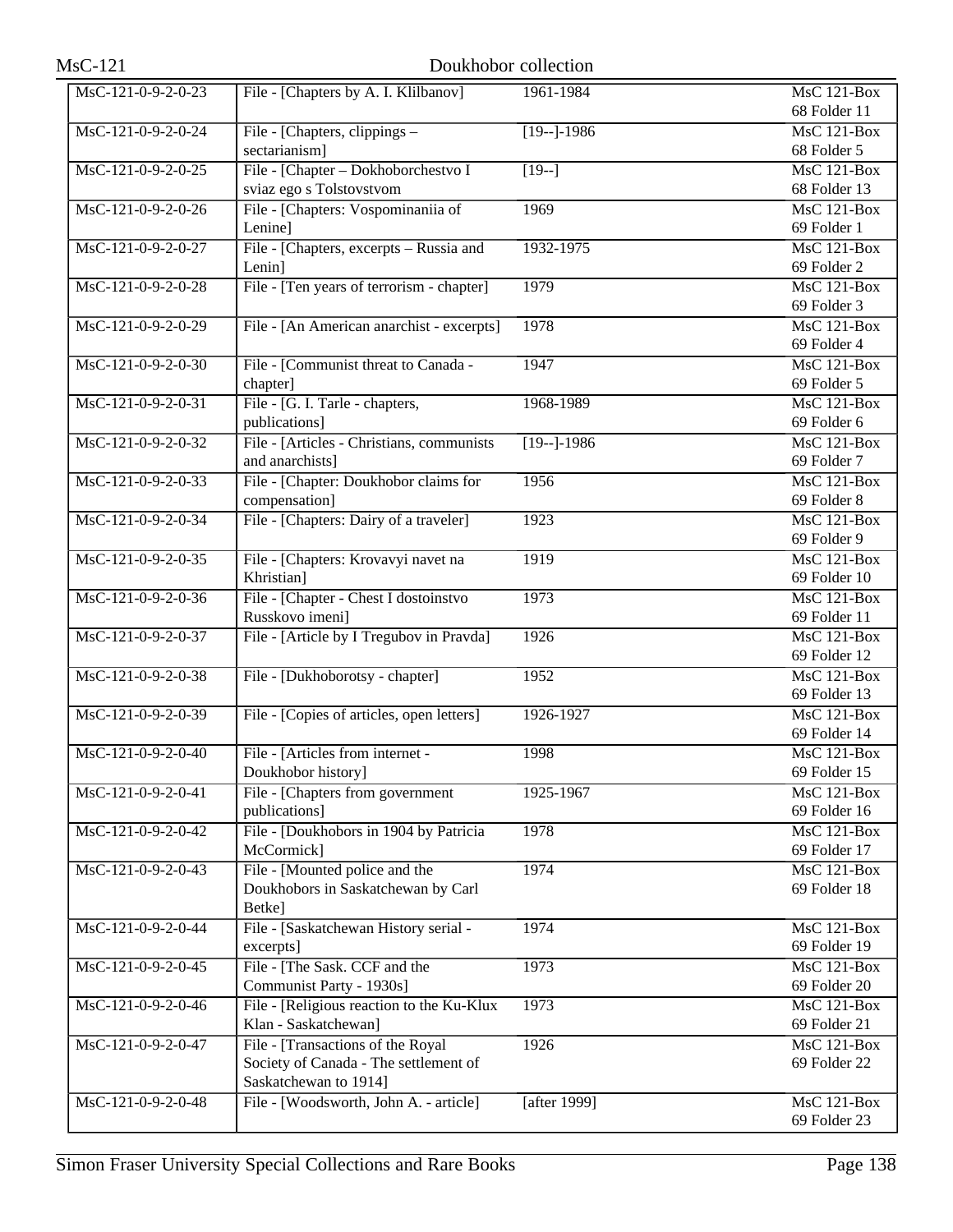| $MsC-121$                       |                                           | Doukhobor collection |                                 |
|---------------------------------|-------------------------------------------|----------------------|---------------------------------|
| MsC-121-0-9-2-0-23              | File - [Chapters by A. I. Klilbanov]      | 1961-1984            | <b>MsC 121-Box</b>              |
|                                 |                                           |                      | 68 Folder 11                    |
| MsC-121-0-9-2-0-24              | File - [Chapters, clippings -             | $[19-]-1986$         | $\overline{\text{MsC}}$ 121-Box |
|                                 | sectarianism]                             |                      | 68 Folder 5                     |
| MsC-121-0-9-2-0-25              | File - [Chapter - Dokhoborchestvo I       | $\overline{19-1}$    | <b>MsC 121-Box</b>              |
|                                 | sviaz ego s Tolstovstvom                  |                      | 68 Folder 13                    |
| MsC-121-0-9-2-0-26              | File - [Chapters: Vospominaniia of        | 1969                 | <b>MsC 121-Box</b>              |
|                                 | Lenine]                                   |                      | 69 Folder 1                     |
| MsC-121-0-9-2-0-27              | File - [Chapters, excerpts - Russia and   | 1932-1975            | <b>MsC 121-Box</b>              |
|                                 | Lenin]                                    |                      | 69 Folder 2                     |
| MsC-121-0-9-2-0-28              | File - [Ten years of terrorism - chapter] | 1979                 | <b>MsC 121-Box</b>              |
|                                 |                                           |                      | 69 Folder 3                     |
| MsC-121-0-9-2-0-29              | File - [An American anarchist - excerpts] | 1978                 | $MsC$ 121-Box                   |
|                                 |                                           |                      | 69 Folder 4                     |
| $MsC-121-0-9-2-0-30$            | File - [Communist threat to Canada -      | 1947                 | MsC 121-Box                     |
|                                 | chapter]                                  |                      | 69 Folder 5                     |
| MsC-121-0-9-2-0-31              | File - [G. I. Tarle - chapters,           | 1968-1989            | MsC 121-Box                     |
|                                 | publications]                             |                      | 69 Folder 6                     |
| MsC-121-0-9-2-0-32              | File - [Articles - Christians, communists | $[19-]-1986$         | <b>MsC 121-Box</b>              |
|                                 | and anarchists]                           |                      | 69 Folder 7                     |
| $MsC-121-0-9-2-0-33$            | File - [Chapter: Doukhobor claims for     | 1956                 | $MsC$ 121-Box                   |
|                                 | compensation]                             |                      | 69 Folder 8                     |
| MsC-121-0-9-2-0-34              | File - [Chapters: Dairy of a traveler]    | 1923                 | $MsC$ 121-Box                   |
|                                 |                                           |                      | 69 Folder 9                     |
| MsC-121-0-9-2-0-35              | File - [Chapters: Krovavyi navet na       | 1919                 | <b>MsC 121-Box</b>              |
|                                 | Khristian]                                |                      | 69 Folder 10                    |
| MsC-121-0-9-2-0-36              | File - [Chapter - Chest I dostoinstvo     | 1973                 | MsC 121-Box                     |
|                                 | Russkovo imeni]                           |                      | 69 Folder 11                    |
| MsC-121-0-9-2-0-37              | File - [Article by I Tregubov in Pravda]  | 1926                 | MsC 121-Box                     |
|                                 |                                           |                      | 69 Folder 12                    |
| MsC-121-0-9-2-0-38              | File - [Dukhoborotsy - chapter]           | 1952                 | <b>MsC 121-Box</b>              |
|                                 |                                           |                      | 69 Folder 13                    |
| MsC-121-0-9-2-0-39              | File - [Copies of articles, open letters] | 1926-1927            | <b>MsC 121-Box</b>              |
|                                 |                                           |                      | 69 Folder 14                    |
| MsC-121-0-9-2-0-40              | File - [Articles from internet -          | 1998                 | MsC 121-Box                     |
|                                 | Doukhobor history]                        |                      | 69 Folder 15                    |
| MsC-121-0-9-2-0-41              | File - [Chapters from government]         | 1925-1967            | <b>MsC 121-Box</b>              |
|                                 | publications]                             |                      | 69 Folder 16                    |
| MsC-121-0-9-2-0-42              | File - [Doukhobors in 1904 by Patricia    | 1978                 | MsC 121-Box                     |
|                                 | McCormick]                                |                      | 69 Folder 17                    |
| MsC-121-0-9-2-0-43              | File - [Mounted police and the            | 1974                 | <b>MsC 121-Box</b>              |
|                                 | Doukhobors in Saskatchewan by Carl        |                      | 69 Folder 18                    |
|                                 | Betke]                                    |                      |                                 |
| MsC-121-0-9-2-0-44              | File - [Saskatchewan History serial -     | 1974                 | MsC 121-Box                     |
|                                 | excerpts]                                 |                      | 69 Folder 19                    |
| $Ms\overline{C-121-0-9-2-0-45}$ | File - [The Sask. CCF and the             | 1973                 | MsC 121-Box                     |
|                                 | Communist Party - 1930s]                  |                      | 69 Folder 20                    |
| MsC-121-0-9-2-0-46              | File - [Religious reaction to the Ku-Klux | 1973                 | <b>MsC 121-Box</b>              |
|                                 | Klan - Saskatchewan]                      |                      | 69 Folder 21                    |
| MsC-121-0-9-2-0-47              | File - [Transactions of the Royal         | 1926                 | <b>MsC 121-Box</b>              |
|                                 | Society of Canada - The settlement of     |                      | 69 Folder 22                    |
|                                 | Saskatchewan to 1914]                     |                      |                                 |
| MsC-121-0-9-2-0-48              | File - [Woodsworth, John A. - article]    | [after 1999]         | <b>MsC 121-Box</b>              |
|                                 |                                           |                      | 69 Folder 23                    |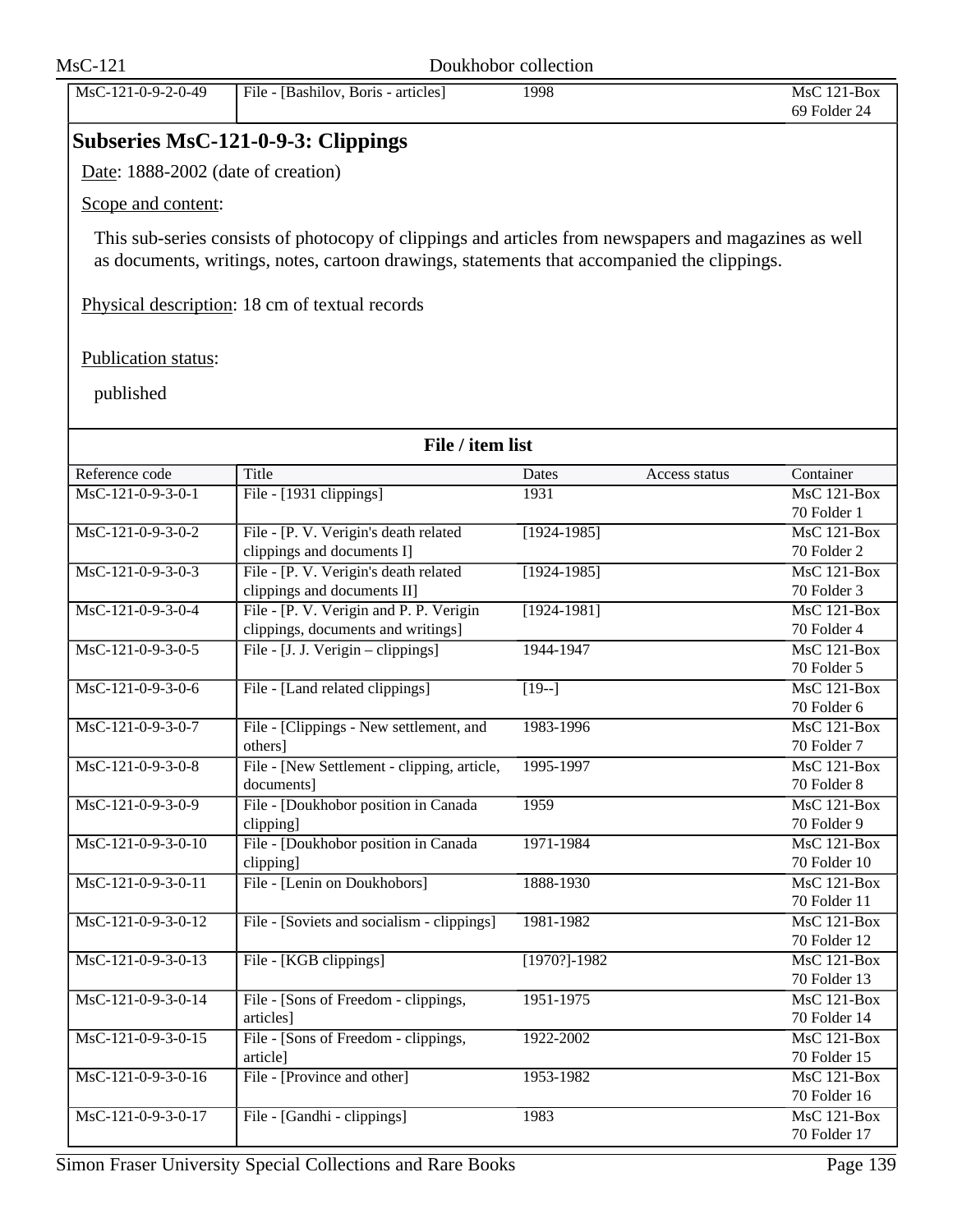| $MsC-121$                          |                                                                                                       | Doukhobor collection |               |                                   |
|------------------------------------|-------------------------------------------------------------------------------------------------------|----------------------|---------------|-----------------------------------|
| MsC-121-0-9-2-0-49                 | File - [Bashilov, Boris - articles]                                                                   | 1998                 |               | MsC 121-Box<br>69 Folder 24       |
|                                    | <b>Subseries MsC-121-0-9-3: Clippings</b>                                                             |                      |               |                                   |
| Date: 1888-2002 (date of creation) |                                                                                                       |                      |               |                                   |
| Scope and content:                 |                                                                                                       |                      |               |                                   |
|                                    | This sub-series consists of photocopy of clippings and articles from newspapers and magazines as well |                      |               |                                   |
|                                    | as documents, writings, notes, cartoon drawings, statements that accompanied the clippings.           |                      |               |                                   |
|                                    | Physical description: 18 cm of textual records                                                        |                      |               |                                   |
| Publication status:                |                                                                                                       |                      |               |                                   |
| published                          |                                                                                                       |                      |               |                                   |
|                                    | File / item list                                                                                      |                      |               |                                   |
| Reference code                     | Title                                                                                                 | <b>Dates</b>         | Access status | Container                         |
| MsC-121-0-9-3-0-1                  | File - [1931 clippings]                                                                               | 1931                 |               | $\overline{\text{MsC 121-Box}}$   |
|                                    |                                                                                                       |                      |               | 70 Folder 1                       |
| MsC-121-0-9-3-0-2                  | File - [P. V. Verigin's death related                                                                 | $[1924 - 1985]$      |               | <b>MsC 121-Box</b>                |
|                                    | clippings and documents I]                                                                            |                      |               | 70 Folder 2                       |
| MsC-121-0-9-3-0-3                  | File - [P. V. Verigin's death related                                                                 | $[1924 - 1985]$      |               | MsC 121-Box                       |
| MsC-121-0-9-3-0-4                  | clippings and documents II]<br>File - [P. V. Verigin and P. P. Verigin                                | $[1924 - 1981]$      |               | 70 Folder 3<br><b>MsC 121-Box</b> |
|                                    | clippings, documents and writings]                                                                    |                      |               | 70 Folder 4                       |
| MsC-121-0-9-3-0-5                  | File - [J. J. Verigin - clippings]                                                                    | 1944-1947            |               | <b>MsC 121-Box</b>                |
|                                    |                                                                                                       |                      |               | 70 Folder 5                       |
| MsC-121-0-9-3-0-6                  | File - [Land related clippings]                                                                       | $[19-]$              |               | $MsC$ 121-Box                     |
|                                    |                                                                                                       |                      |               | 70 Folder 6                       |
| MsC-121-0-9-3-0-7                  | File - [Clippings - New settlement, and                                                               | 1983-1996            |               | $\overline{\text{MsC 121-Box}}$   |
|                                    | others]                                                                                               |                      |               | 70 Folder 7                       |
| MsC-121-0-9-3-0-8                  | File - [New Settlement - clipping, article,                                                           | 1995-1997            |               | MsC 121-Box                       |
| MsC-121-0-9-3-0-9                  | documents]<br>File - [Doukhobor position in Canada                                                    | 1959                 |               | 70 Folder 8<br>$MsC$ 121-Box      |
|                                    | clipping]                                                                                             |                      |               | 70 Folder 9                       |
| MsC-121-0-9-3-0-10                 | File - [Doukhobor position in Canada                                                                  | 1971-1984            |               | MsC 121-Box                       |
|                                    | clipping]                                                                                             |                      |               | 70 Folder 10                      |
| MsC-121-0-9-3-0-11                 | File - [Lenin on Doukhobors]                                                                          | 1888-1930            |               | MsC 121-Box                       |
|                                    |                                                                                                       |                      |               | 70 Folder 11                      |
| MsC-121-0-9-3-0-12                 | File - [Soviets and socialism - clippings]                                                            | 1981-1982            |               | $MsC$ 121-Box                     |
|                                    |                                                                                                       |                      |               | 70 Folder 12                      |
| MsC-121-0-9-3-0-13                 | File - [KGB clippings]                                                                                | $[1970?]-1982$       |               | MsC 121-Box                       |
| MsC-121-0-9-3-0-14                 | File - [Sons of Freedom - clippings,                                                                  | 1951-1975            |               | 70 Folder 13<br>MsC 121-Box       |
|                                    | articles]                                                                                             |                      |               | 70 Folder 14                      |
| MsC-121-0-9-3-0-15                 | File - [Sons of Freedom - clippings,                                                                  | 1922-2002            |               | MsC 121-Box                       |
|                                    | article]                                                                                              |                      |               | 70 Folder 15                      |
| MsC-121-0-9-3-0-16                 | File - [Province and other]                                                                           | 1953-1982            |               | MsC 121-Box                       |
|                                    |                                                                                                       |                      |               | 70 Folder 16                      |
| MsC-121-0-9-3-0-17                 | File - [Gandhi - clippings]                                                                           | 1983                 |               | MsC 121-Box                       |
|                                    |                                                                                                       |                      |               | 70 Folder 17                      |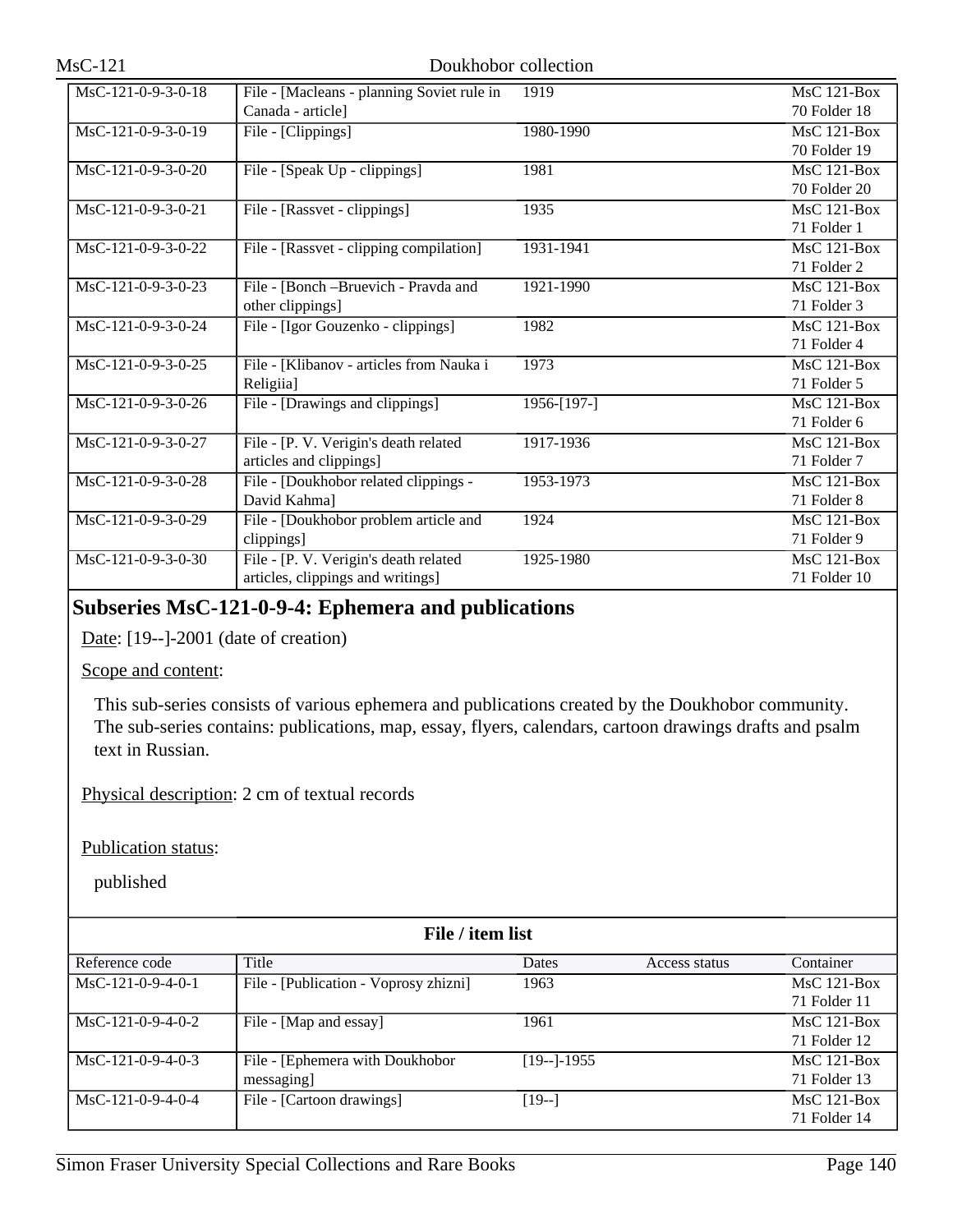| MsC-121-0-9-3-0-18   | File - [Macleans - planning Soviet rule in | 1919            | $\overline{\text{MsC } 121 - \text{Box}}$ |
|----------------------|--------------------------------------------|-----------------|-------------------------------------------|
|                      | Canada - article]                          |                 | 70 Folder 18                              |
| MsC-121-0-9-3-0-19   | File - [Clippings]                         | 1980-1990       | MsC 121-Box                               |
|                      |                                            |                 | 70 Folder 19                              |
| $MsC-121-0-9-3-0-20$ | File - [Speak Up - clippings]              | 1981            | $MsC$ 121-Box                             |
|                      |                                            |                 | 70 Folder 20                              |
| $MsC-121-0-9-3-0-21$ | File - [Rassvet - clippings]               | 1935            | $MsC$ 121-Box                             |
|                      |                                            |                 | 71 Folder 1                               |
| $MsC-121-0-9-3-0-22$ | File - [Rassvet - clipping compilation]    | 1931-1941       | <b>MsC 121-Box</b>                        |
|                      |                                            |                 | 71 Folder 2                               |
| $MsC-121-0-9-3-0-23$ | File - [Bonch - Bruevich - Pravda and      | 1921-1990       | MsC 121-Box                               |
|                      | other clippings]                           |                 | 71 Folder 3                               |
| $MsC-121-0-9-3-0-24$ | File - [Igor Gouzenko - clippings]         | 1982            | $MsC$ 121-Box                             |
|                      |                                            |                 | 71 Folder 4                               |
| MsC-121-0-9-3-0-25   | File - [Klibanov - articles from Nauka i   | 1973            | <b>MsC 121-Box</b>                        |
|                      | Religiia]                                  |                 | 71 Folder 5                               |
| $MsC-121-0-9-3-0-26$ | File - [Drawings and clippings]            | $1956 - [197-]$ | $MsC$ 121-Box                             |
|                      |                                            |                 | 71 Folder 6                               |
| MsC-121-0-9-3-0-27   | File - [P. V. Verigin's death related      | 1917-1936       | MsC 121-Box                               |
|                      | articles and clippings]                    |                 | 71 Folder 7                               |
| MsC-121-0-9-3-0-28   | File - [Doukhobor related clippings -      | 1953-1973       | $MsC$ 121-Box                             |
|                      | David Kahma]                               |                 | 71 Folder 8                               |
| MsC-121-0-9-3-0-29   | File - [Doukhobor problem article and      | 1924            | $MsC$ 121-Box                             |
|                      | clippings]                                 |                 | 71 Folder 9                               |
| MsC-121-0-9-3-0-30   | File - [P. V. Verigin's death related      | 1925-1980       | MsC 121-Box                               |
|                      | articles, clippings and writings]          |                 | 71 Folder 10                              |

# **Subseries MsC-121-0-9-4: Ephemera and publications**

Date: [19--]-2001 (date of creation)

## Scope and content:

This sub-series consists of various ephemera and publications created by the Doukhobor community. The sub-series contains: publications, map, essay, flyers, calendars, cartoon drawings drafts and psalm text in Russian.

Physical description: 2 cm of textual records

Publication status:

| File / item list    |                                       |              |               |               |
|---------------------|---------------------------------------|--------------|---------------|---------------|
| Reference code      | Title                                 | <b>Dates</b> | Access status | Container     |
| $MsC-121-0-9-4-0-1$ | File - [Publication - Voprosy zhizni] | 1963         |               | $MsC$ 121-Box |
|                     |                                       |              |               | 71 Folder 11  |
| $MsC-121-0-9-4-0-2$ | File - [Map and essay]                | 1961         |               | $MsC$ 121-Box |
|                     |                                       |              |               | 71 Folder 12  |
| $MsC-121-0-9-4-0-3$ | File - [Ephemera with Doukhobor]      | $[19-]-1955$ |               | $MsC$ 121-Box |
|                     | messaging                             |              |               | 71 Folder 13  |
| MsC-121-0-9-4-0-4   | File - [Cartoon drawings]             | $[19-]$      |               | $MsC$ 121-Box |
|                     |                                       |              |               | 71 Folder 14  |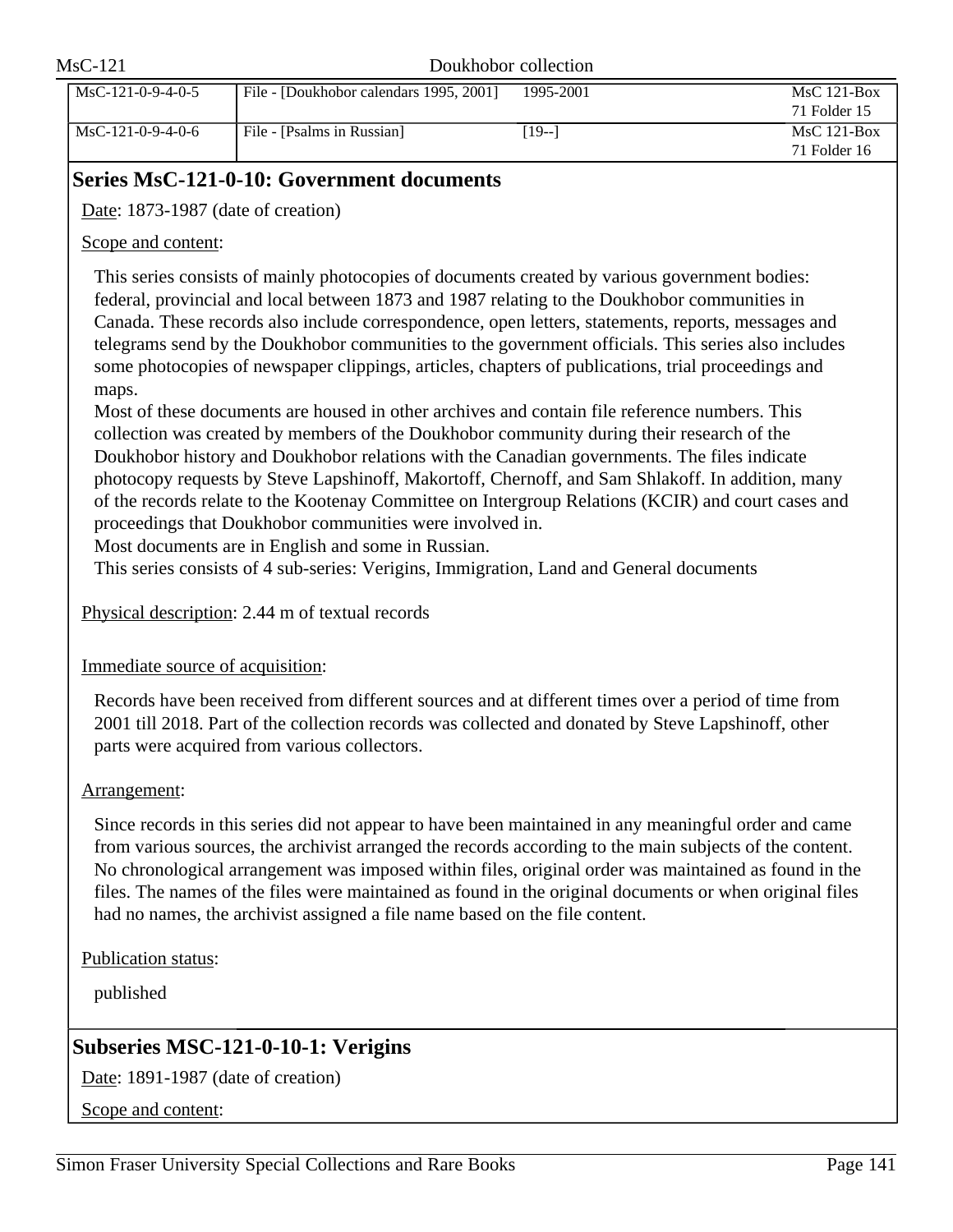| $MsC-121$ |                     | Doukhobor collection                    |           |                               |
|-----------|---------------------|-----------------------------------------|-----------|-------------------------------|
|           | $MsC-121-0-9-4-0-5$ | File - [Doukhobor calendars 1995, 2001] | 1995-2001 | $MsC$ 121-Box<br>71 Folder 15 |
|           | $MsC-121-0-9-4-0-6$ | File - [Psalms in Russian]              | $[19-1]$  | $MsC$ 121-Box<br>71 Folder 16 |

# **Series MsC-121-0-10: Government documents**

Date: 1873-1987 (date of creation)

Scope and content:

This series consists of mainly photocopies of documents created by various government bodies: federal, provincial and local between 1873 and 1987 relating to the Doukhobor communities in Canada. These records also include correspondence, open letters, statements, reports, messages and telegrams send by the Doukhobor communities to the government officials. This series also includes some photocopies of newspaper clippings, articles, chapters of publications, trial proceedings and maps.

Most of these documents are housed in other archives and contain file reference numbers. This collection was created by members of the Doukhobor community during their research of the Doukhobor history and Doukhobor relations with the Canadian governments. The files indicate photocopy requests by Steve Lapshinoff, Makortoff, Chernoff, and Sam Shlakoff. In addition, many of the records relate to the Kootenay Committee on Intergroup Relations (KCIR) and court cases and proceedings that Doukhobor communities were involved in.

Most documents are in English and some in Russian.

This series consists of 4 sub-series: Verigins, Immigration, Land and General documents

Physical description: 2.44 m of textual records

Immediate source of acquisition:

Records have been received from different sources and at different times over a period of time from 2001 till 2018. Part of the collection records was collected and donated by Steve Lapshinoff, other parts were acquired from various collectors.

## Arrangement:

Since records in this series did not appear to have been maintained in any meaningful order and came from various sources, the archivist arranged the records according to the main subjects of the content. No chronological arrangement was imposed within files, original order was maintained as found in the files. The names of the files were maintained as found in the original documents or when original files had no names, the archivist assigned a file name based on the file content.

Publication status:

published

# **Subseries MSC-121-0-10-1: Verigins**

Date: 1891-1987 (date of creation)

Scope and content: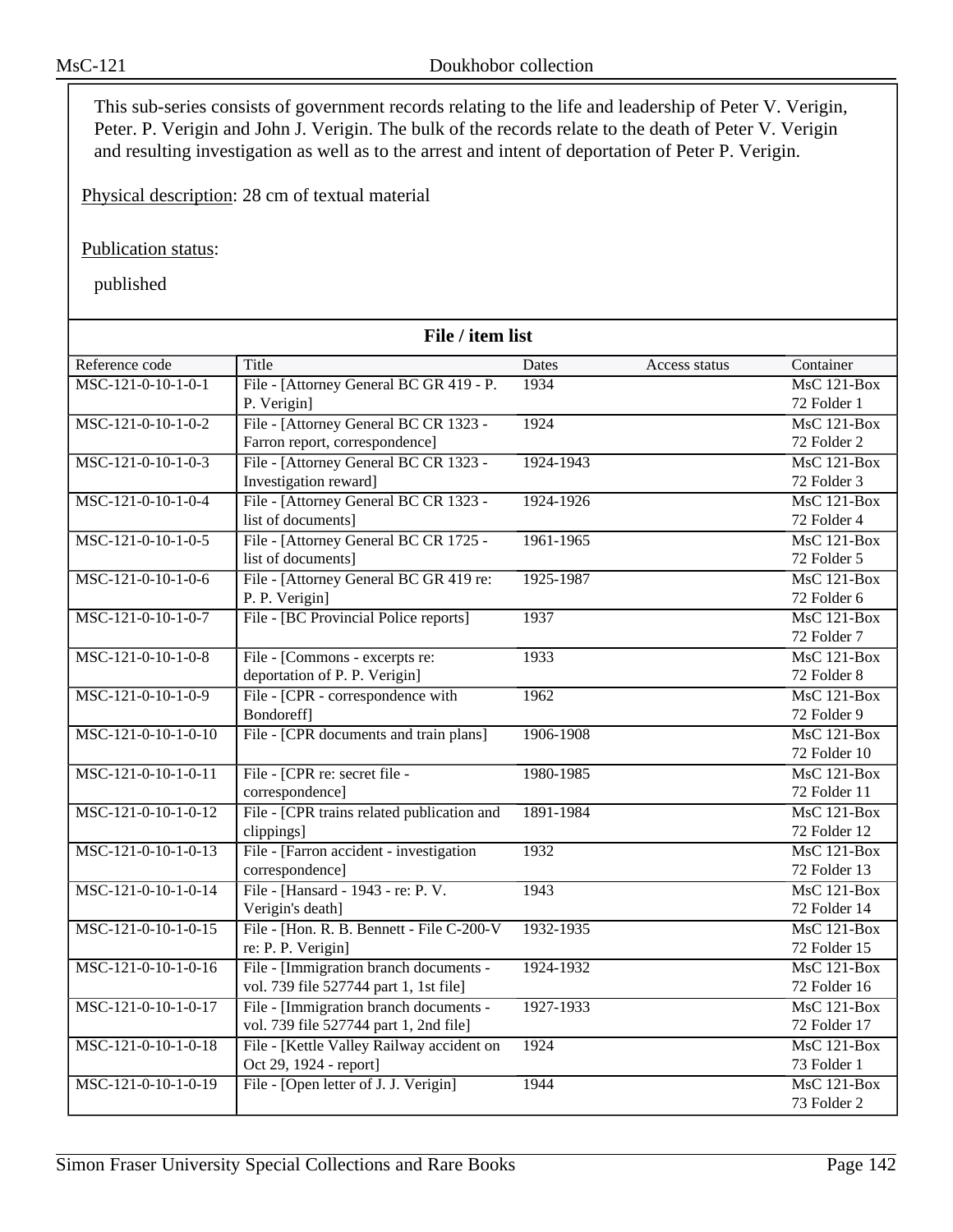This sub-series consists of government records relating to the life and leadership of Peter V. Verigin, Peter. P. Verigin and John J. Verigin. The bulk of the records relate to the death of Peter V. Verigin and resulting investigation as well as to the arrest and intent of deportation of Peter P. Verigin.

Physical description: 28 cm of textual material

Publication status:

| File / item list     |                                            |           |               |                                 |
|----------------------|--------------------------------------------|-----------|---------------|---------------------------------|
| Reference code       | Title                                      | Dates     | Access status | Container                       |
| $MSC-121-0-10-1-0-1$ | File - [Attorney General BC GR 419 - P.    | 1934      |               | $MsC$ 121-Box                   |
|                      | P. Verigin]                                |           |               | 72 Folder 1                     |
| MSC-121-0-10-1-0-2   | File - [Attorney General BC CR 1323 -      | 1924      |               | $MsC$ 121-Box                   |
|                      | Farron report, correspondence]             |           |               | 72 Folder 2                     |
| MSC-121-0-10-1-0-3   | File - [Attorney General BC CR 1323 -      | 1924-1943 |               | MsC 121-Box                     |
|                      | Investigation reward]                      |           |               | 72 Folder 3                     |
| MSC-121-0-10-1-0-4   | File - [Attorney General BC CR 1323 -      | 1924-1926 |               | <b>MsC 121-Box</b>              |
|                      | list of documents]                         |           |               | 72 Folder 4                     |
| MSC-121-0-10-1-0-5   | File - [Attorney General BC CR 1725 -      | 1961-1965 |               | $MsC$ 121-Box                   |
|                      | list of documents]                         |           |               | 72 Folder 5                     |
| MSC-121-0-10-1-0-6   | File - [Attorney General BC GR 419 re:     | 1925-1987 |               | $MsC$ 121-Box                   |
|                      | P. P. Verigin]                             |           |               | 72 Folder 6                     |
| $MSC-121-0-10-1-0-7$ | File - [BC Provincial Police reports]      | 1937      |               | $MsC$ 121-Box                   |
|                      |                                            |           |               | 72 Folder 7                     |
| MSC-121-0-10-1-0-8   | File - [Commons - excerpts re:             | 1933      |               | $MsC$ 121-Box                   |
|                      | deportation of P. P. Verigin]              |           |               | 72 Folder 8                     |
| MSC-121-0-10-1-0-9   | File - [CPR - correspondence with          | 1962      |               | $MsC$ 121-Box                   |
|                      | Bondoreff]                                 |           |               | 72 Folder 9                     |
| MSC-121-0-10-1-0-10  | File - [CPR documents and train plans]     | 1906-1908 |               | $MsC$ 121-Box                   |
|                      |                                            |           |               | 72 Folder 10                    |
| MSC-121-0-10-1-0-11  | File - [CPR re: secret file -              | 1980-1985 |               | $MsC$ 121-Box                   |
|                      | correspondence]                            |           |               | 72 Folder 11                    |
| MSC-121-0-10-1-0-12  | File - [CPR trains related publication and | 1891-1984 |               | <b>MsC 121-Box</b>              |
|                      | clippings]                                 |           |               | 72 Folder 12                    |
| MSC-121-0-10-1-0-13  | File - [Farron accident - investigation]   | 1932      |               | $MsC$ 121-Box                   |
|                      | correspondence]                            |           |               | 72 Folder 13                    |
| MSC-121-0-10-1-0-14  | File - [Hansard - 1943 - re: P. V.         | 1943      |               | $MsC$ 121-Box                   |
|                      | Verigin's death]                           |           |               | 72 Folder 14                    |
| MSC-121-0-10-1-0-15  | File - [Hon. R. B. Bennett - File C-200-V  | 1932-1935 |               | $\overline{\text{MsC}}$ 121-Box |
|                      | re: P. P. Verigin]                         |           |               | 72 Folder 15                    |
| MSC-121-0-10-1-0-16  | File - [Immigration branch documents -     | 1924-1932 |               | $MsC$ 121-Box                   |
|                      | vol. 739 file 527744 part 1, 1st file]     |           |               | 72 Folder 16                    |
| MSC-121-0-10-1-0-17  | File - [Immigration branch documents -     | 1927-1933 |               | $MsC$ 121-Box                   |
|                      | vol. 739 file 527744 part 1, 2nd file]     |           |               | 72 Folder 17                    |
| MSC-121-0-10-1-0-18  | File - [Kettle Valley Railway accident on  | 1924      |               | $MsC$ 121-Box                   |
|                      | Oct 29, 1924 - report]                     |           |               | 73 Folder 1                     |
| MSC-121-0-10-1-0-19  | File - [Open letter of J. J. Verigin]      | 1944      |               | $MsC$ 121-Box                   |
|                      |                                            |           |               | 73 Folder 2                     |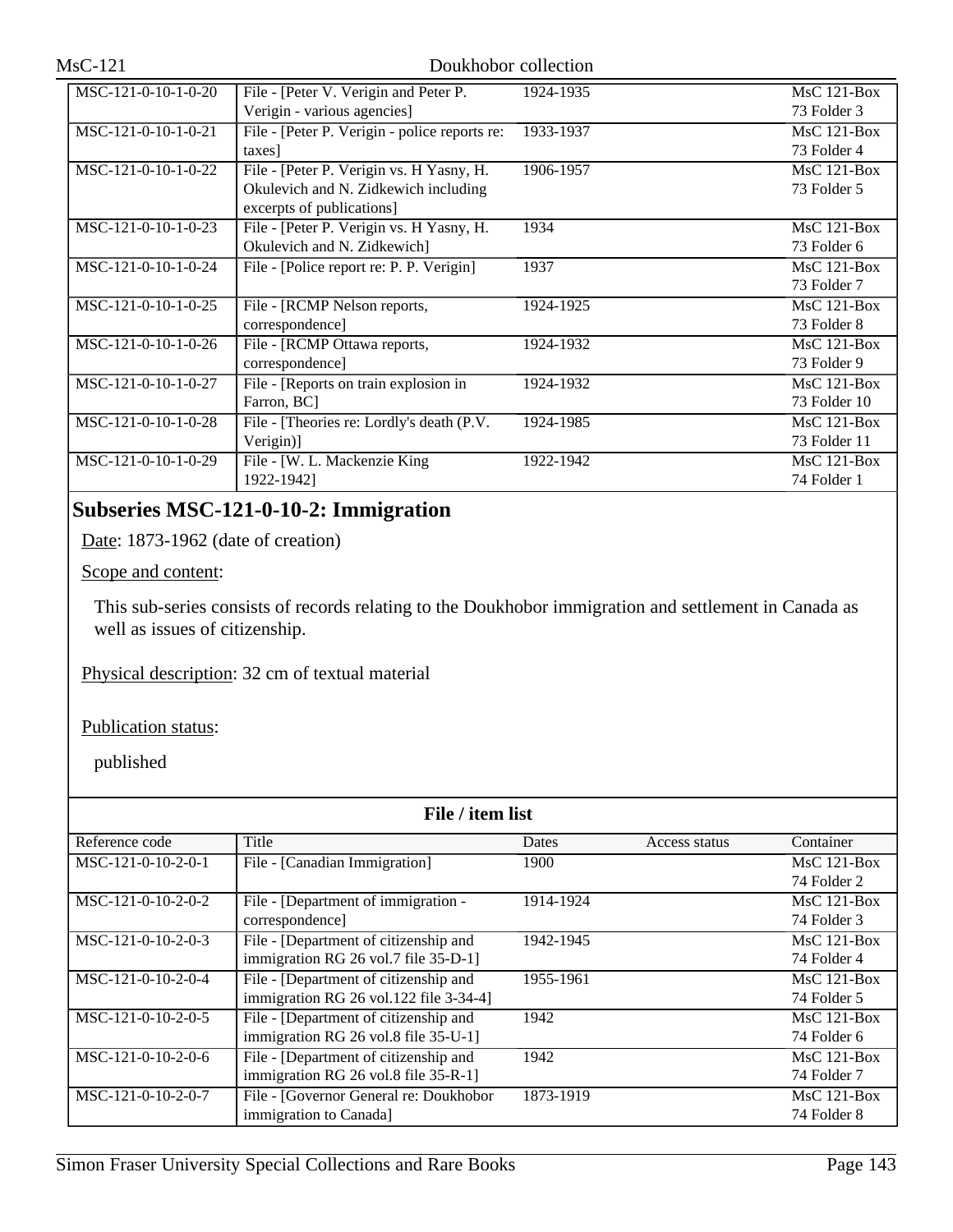| $MSC-121-0-10-1-0-20$ | File - [Peter V. Verigin and Peter P.         | 1924-1935 | $MsC$ 121-Box |
|-----------------------|-----------------------------------------------|-----------|---------------|
|                       | Verigin - various agencies]                   |           | 73 Folder 3   |
| MSC-121-0-10-1-0-21   | File - [Peter P. Verigin - police reports re: | 1933-1937 | $MsC$ 121-Box |
|                       | taxes]                                        |           | 73 Folder 4   |
| $MSC-121-0-10-1-0-22$ | File - [Peter P. Verigin vs. H Yasny, H.      | 1906-1957 | $MsC$ 121-Box |
|                       | Okulevich and N. Zidkewich including          |           | 73 Folder 5   |
|                       | excerpts of publications]                     |           |               |
| MSC-121-0-10-1-0-23   | File - [Peter P. Verigin vs. H Yasny, H.      | 1934      | $MsC$ 121-Box |
|                       | Okulevich and N. Zidkewich]                   |           | 73 Folder 6   |
| MSC-121-0-10-1-0-24   | File - [Police report re: P. P. Verigin]      | 1937      | $MsC$ 121-Box |
|                       |                                               |           | 73 Folder 7   |
| $MSC-121-0-10-1-0-25$ | File - [RCMP Nelson reports,                  | 1924-1925 | $MsC$ 121-Box |
|                       | correspondence]                               |           | 73 Folder 8   |
| $MSC-121-0-10-1-0-26$ | File - [RCMP Ottawa reports,                  | 1924-1932 | $MsC$ 121-Box |
|                       | correspondence]                               |           | 73 Folder 9   |
| MSC-121-0-10-1-0-27   | File - [Reports on train explosion in         | 1924-1932 | $MsC$ 121-Box |
|                       | Farron, BC                                    |           | 73 Folder 10  |
| MSC-121-0-10-1-0-28   | File - [Theories re: Lordly's death (P.V.     | 1924-1985 | $MsC$ 121-Box |
|                       | Verigin)                                      |           | 73 Folder 11  |
| $MSC-121-0-10-1-0-29$ | File - [W. L. Mackenzie King                  | 1922-1942 | $MsC$ 121-Box |
|                       | 1922-1942]                                    |           | 74 Folder 1   |

# **Subseries MSC-121-0-10-2: Immigration**

Date: 1873-1962 (date of creation)

## Scope and content:

This sub-series consists of records relating to the Doukhobor immigration and settlement in Canada as well as issues of citizenship.

Physical description: 32 cm of textual material

Publication status:

| File / item list     |                                        |           |               |               |
|----------------------|----------------------------------------|-----------|---------------|---------------|
| Reference code       | Title                                  | Dates     | Access status | Container     |
| MSC-121-0-10-2-0-1   | File - [Canadian Immigration]          | 1900      |               | MsC 121-Box   |
|                      |                                        |           |               | 74 Folder 2   |
| $MSC-121-0-10-2-0-2$ | File - [Department of immigration -    | 1914-1924 |               | $MsC$ 121-Box |
|                      | correspondence]                        |           |               | 74 Folder 3   |
| $MSC-121-0-10-2-0-3$ | File - [Department of citizenship and  | 1942-1945 |               | $MsC$ 121-Box |
|                      | immigration RG 26 vol.7 file 35-D-1]   |           |               | 74 Folder 4   |
| MSC-121-0-10-2-0-4   | File - [Department of citizenship and  | 1955-1961 |               | $MsC$ 121-Box |
|                      | immigration RG 26 vol.122 file 3-34-4] |           |               | 74 Folder 5   |
| $MSC-121-0-10-2-0-5$ | File - [Department of citizenship and  | 1942      |               | $MsC$ 121-Box |
|                      | immigration RG 26 vol.8 file 35-U-1]   |           |               | 74 Folder 6   |
| MSC-121-0-10-2-0-6   | File - [Department of citizenship and  | 1942      |               | $MsC$ 121-Box |
|                      | immigration RG 26 vol.8 file 35-R-1]   |           |               | 74 Folder 7   |
| MSC-121-0-10-2-0-7   | File - [Governor General re: Doukhobor | 1873-1919 |               | $MsC$ 121-Box |
|                      | immigration to Canada]                 |           |               | 74 Folder 8   |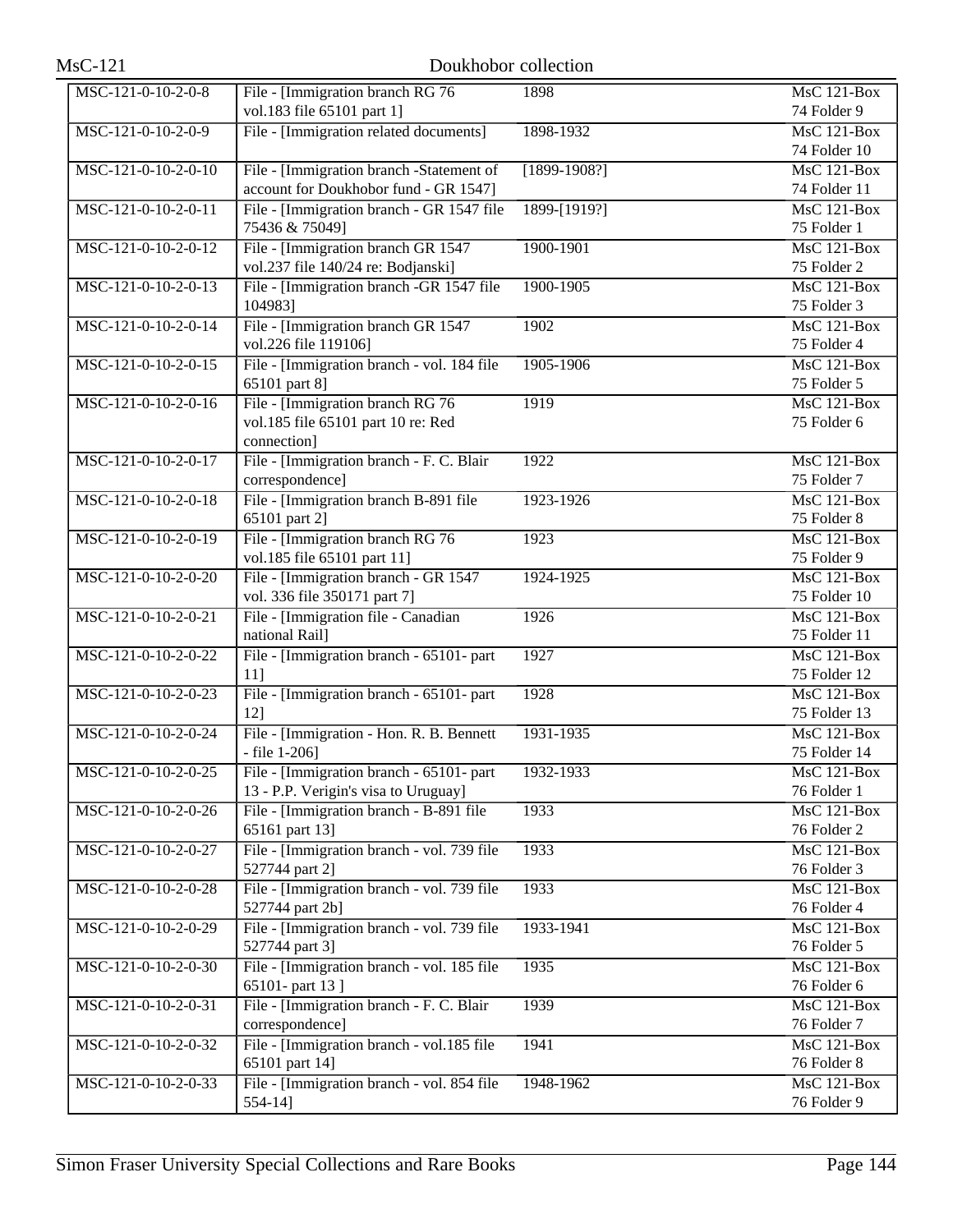| <b>MsC-121</b>      | Doukhobor collection                                                     |                |                                 |
|---------------------|--------------------------------------------------------------------------|----------------|---------------------------------|
| MSC-121-0-10-2-0-8  | File - [Immigration branch RG 76                                         | 1898           | <b>MsC 121-Box</b>              |
|                     | vol.183 file 65101 part 1]                                               |                | 74 Folder 9                     |
| MSC-121-0-10-2-0-9  | File - [Immigration related documents]                                   | 1898-1932      | MsC 121-Box                     |
|                     |                                                                          |                | 74 Folder 10                    |
| MSC-121-0-10-2-0-10 | File - [Immigration branch -Statement of                                 | $[1899-1908?]$ | MsC 121-Box                     |
|                     | account for Doukhobor fund - GR 1547]                                    |                | 74 Folder 11                    |
| MSC-121-0-10-2-0-11 | File - [Immigration branch - GR 1547 file                                | 1899-[1919?]   | $MsC$ 121-Box                   |
|                     | 75436 & 75049]                                                           |                | 75 Folder 1                     |
| MSC-121-0-10-2-0-12 | File - [Immigration branch GR 1547<br>vol.237 file 140/24 re: Bodjanski] | 1900-1901      | MsC 121-Box<br>75 Folder 2      |
| MSC-121-0-10-2-0-13 | File - [Immigration branch -GR 1547 file                                 | 1900-1905      | $MsC$ 121-Box                   |
|                     | 104983]                                                                  |                | 75 Folder 3                     |
| MSC-121-0-10-2-0-14 | File - [Immigration branch GR 1547                                       | 1902           | <b>MsC 121-Box</b>              |
|                     | vol.226 file 119106]                                                     |                | 75 Folder 4                     |
| MSC-121-0-10-2-0-15 | File - [Immigration branch - vol. 184 file                               | 1905-1906      | MsC 121-Box                     |
|                     | 65101 part 8]                                                            |                | 75 Folder 5                     |
| MSC-121-0-10-2-0-16 | File - [Immigration branch RG 76                                         | 1919           | $MsC$ 121-Box                   |
|                     | vol.185 file 65101 part 10 re: Red                                       |                | 75 Folder 6                     |
|                     | connection]                                                              |                |                                 |
| MSC-121-0-10-2-0-17 | File - [Immigration branch - F. C. Blair                                 | 1922           | <b>MsC 121-Box</b>              |
|                     | correspondence]                                                          |                | 75 Folder 7                     |
| MSC-121-0-10-2-0-18 | File - [Immigration branch B-891 file                                    | 1923-1926      | $MsC$ 121-Box                   |
|                     | 65101 part 2]                                                            |                | 75 Folder 8                     |
| MSC-121-0-10-2-0-19 | File - [Immigration branch RG 76                                         | 1923           | $MsC$ 121-Box                   |
|                     | vol.185 file 65101 part 11]                                              |                | 75 Folder 9                     |
| MSC-121-0-10-2-0-20 | File - [Immigration branch - GR 1547                                     | 1924-1925      | <b>MsC 121-Box</b>              |
|                     | vol. 336 file 350171 part 7]                                             |                | 75 Folder 10                    |
| MSC-121-0-10-2-0-21 | File - [Immigration file - Canadian<br>national Rail]                    | 1926           | MsC 121-Box<br>75 Folder 11     |
| MSC-121-0-10-2-0-22 | File - [Immigration branch - 65101- part                                 | 1927           | MsC 121-Box                     |
|                     | $11$ ]                                                                   |                | 75 Folder 12                    |
| MSC-121-0-10-2-0-23 | File - [Immigration branch - 65101- part                                 | 1928           | <b>MsC 121-Box</b>              |
|                     | $12$ ]                                                                   |                | 75 Folder 13                    |
| MSC-121-0-10-2-0-24 | File - [Immigration - Hon. R. B. Bennett                                 | 1931-1935      | MsC 121-Box                     |
|                     | $-$ file 1-206]                                                          |                | 75 Folder 14                    |
| MSC-121-0-10-2-0-25 | File - [Immigration branch - 65101- part]                                | 1932-1933      | $\overline{\text{MsC 121-Box}}$ |
|                     | 13 - P.P. Verigin's visa to Uruguay]                                     |                | 76 Folder 1                     |
| MSC-121-0-10-2-0-26 | File - [Immigration branch - B-891 file                                  | 1933           | <b>MsC 121-Box</b>              |
|                     | 65161 part 13]                                                           |                | 76 Folder 2                     |
| MSC-121-0-10-2-0-27 | File - [Immigration branch - vol. 739 file                               | 1933           | <b>MsC 121-Box</b>              |
|                     | 527744 part 2]                                                           |                | 76 Folder 3                     |
| MSC-121-0-10-2-0-28 | File - [Immigration branch - vol. 739 file                               | 1933           | MsC 121-Box                     |
|                     | 527744 part 2b]                                                          |                | 76 Folder 4                     |
| MSC-121-0-10-2-0-29 | File - [Immigration branch - vol. 739 file                               | 1933-1941      | <b>MsC 121-Box</b>              |
| MSC-121-0-10-2-0-30 | 527744 part 3]                                                           | 1935           | 76 Folder 5<br>MsC 121-Box      |
|                     | File - [Immigration branch - vol. 185 file<br>65101- part 13]            |                | 76 Folder 6                     |
| MSC-121-0-10-2-0-31 | File - [Immigration branch - F. C. Blair                                 | 1939           | <b>MsC 121-Box</b>              |
|                     | correspondence]                                                          |                | 76 Folder 7                     |
| MSC-121-0-10-2-0-32 | File - [Immigration branch - vol.185 file                                | 1941           | <b>MsC 121-Box</b>              |
|                     | 65101 part 14]                                                           |                | 76 Folder 8                     |
| MSC-121-0-10-2-0-33 | File - [Immigration branch - vol. 854 file                               | 1948-1962      | <b>MsC 121-Box</b>              |
|                     | $554-14$ ]                                                               |                | 76 Folder 9                     |
|                     |                                                                          |                |                                 |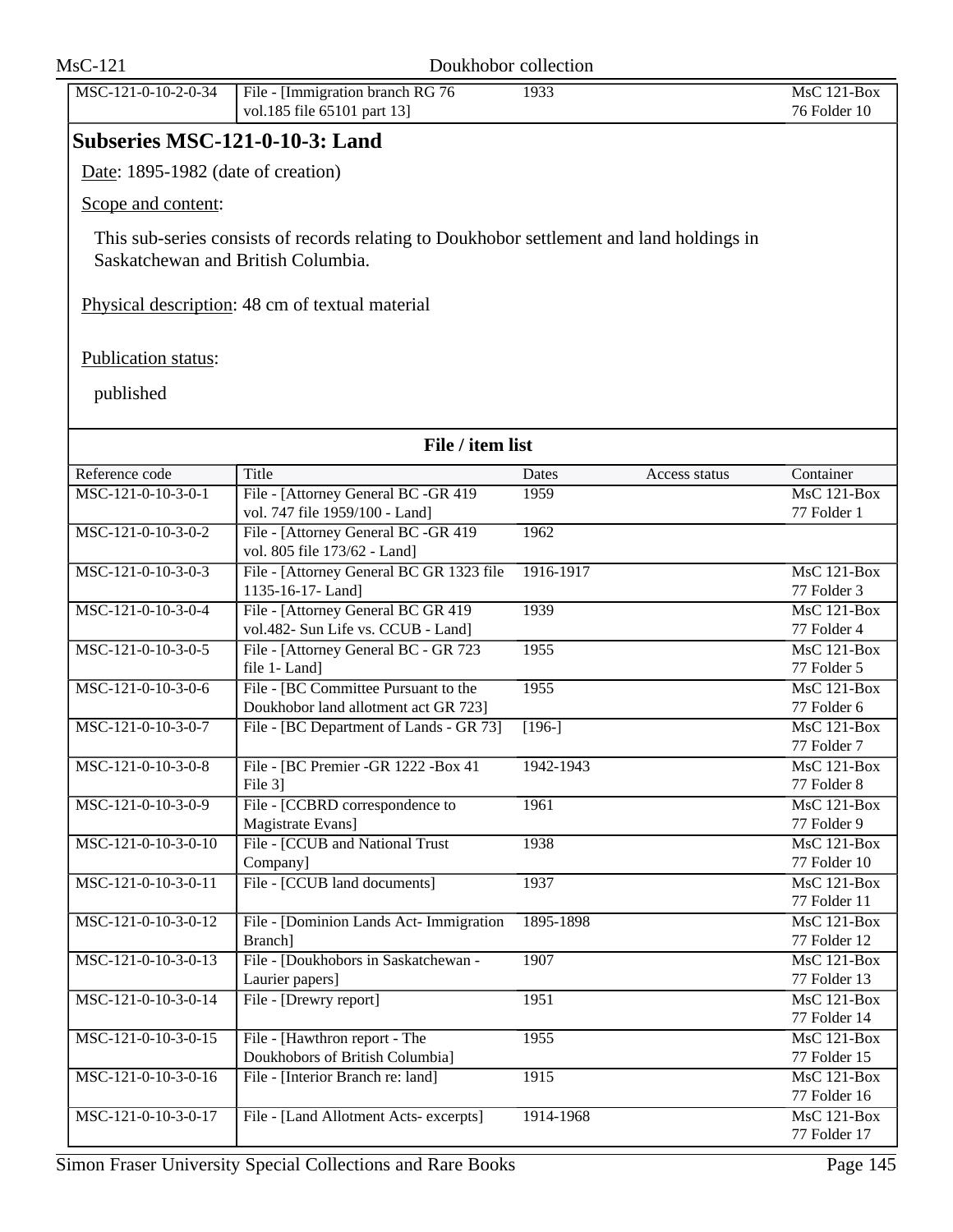| $MsC-121$                          | Doukhobor collection                                                                                                            |                        |                                    |
|------------------------------------|---------------------------------------------------------------------------------------------------------------------------------|------------------------|------------------------------------|
| MSC-121-0-10-2-0-34                | File - [Immigration branch RG 76<br>vol.185 file 65101 part 13]                                                                 | 1933                   | MsC 121-Box<br>76 Folder 10        |
| Subseries MSC-121-0-10-3: Land     |                                                                                                                                 |                        |                                    |
| Date: 1895-1982 (date of creation) |                                                                                                                                 |                        |                                    |
| Scope and content:                 |                                                                                                                                 |                        |                                    |
|                                    |                                                                                                                                 |                        |                                    |
|                                    | This sub-series consists of records relating to Doukhobor settlement and land holdings in<br>Saskatchewan and British Columbia. |                        |                                    |
|                                    | Physical description: 48 cm of textual material                                                                                 |                        |                                    |
| Publication status:                |                                                                                                                                 |                        |                                    |
| published                          |                                                                                                                                 |                        |                                    |
|                                    | File / item list                                                                                                                |                        |                                    |
| Reference code                     | <b>Title</b>                                                                                                                    | Dates<br>Access status | Container                          |
| MSC-121-0-10-3-0-1                 | File - [Attorney General BC -GR 419<br>vol. 747 file 1959/100 - Land]                                                           | 1959                   | $MsC$ 121-Box<br>77 Folder 1       |
| MSC-121-0-10-3-0-2                 | File - [Attorney General BC -GR 419<br>vol. 805 file 173/62 - Land]                                                             | 1962                   |                                    |
| MSC-121-0-10-3-0-3                 | File - [Attorney General BC GR 1323 file<br>1135-16-17-Land]                                                                    | 1916-1917              | <b>MsC 121-Box</b><br>77 Folder 3  |
| MSC-121-0-10-3-0-4                 | File - [Attorney General BC GR 419<br>vol.482- Sun Life vs. CCUB - Land]                                                        | 1939                   | <b>MsC 121-Box</b><br>77 Folder 4  |
| MSC-121-0-10-3-0-5                 | File - [Attorney General BC - GR 723<br>file 1- Land]                                                                           | 1955                   | $MsC$ 121-Box<br>77 Folder 5       |
| MSC-121-0-10-3-0-6                 | File - [BC Committee Pursuant to the                                                                                            | 1955                   | $MsC$ 121-Box                      |
| MSC-121-0-10-3-0-7                 | Doukhobor land allotment act GR 723]<br>File - [BC Department of Lands - GR 73]                                                 | $[196-]$               | 77 Folder 6<br><b>MsC 121-Box</b>  |
| MSC-121-0-10-3-0-8                 | File - [BC Premier - GR 1222 - Box 41]                                                                                          | 1942-1943              | 77 Folder 7<br>MsC 121-Box         |
| MSC-121-0-10-3-0-9                 | File 3]<br>File - [CCBRD correspondence to                                                                                      |                        | 77 Folder 8                        |
|                                    | Magistrate Evans]                                                                                                               | 1961                   | MsC 121-Box<br>77 Folder 9         |
| MSC-121-0-10-3-0-10                | File - [CCUB and National Trust<br>Company]                                                                                     | 1938                   | MsC 121-Box<br>77 Folder 10        |
| MSC-121-0-10-3-0-11                | File - [CCUB land documents]                                                                                                    | 1937                   | MsC 121-Box                        |
| MSC-121-0-10-3-0-12                | File - [Dominion Lands Act- Immigration                                                                                         | 1895-1898              | 77 Folder 11<br>MsC 121-Box        |
| MSC-121-0-10-3-0-13                | Branch]<br>File - [Doukhobors in Saskatchewan -                                                                                 | 1907                   | 77 Folder 12<br><b>MsC 121-Box</b> |
|                                    | Laurier papers]                                                                                                                 |                        | 77 Folder 13                       |
| MSC-121-0-10-3-0-14                | File - [Drewry report]                                                                                                          | 1951                   | MsC 121-Box<br>77 Folder 14        |
| MSC-121-0-10-3-0-15                | File - [Hawthron report - The<br>Doukhobors of British Columbia]                                                                | 1955                   | MsC 121-Box<br>77 Folder 15        |
| MSC-121-0-10-3-0-16                | File - [Interior Branch re: land]                                                                                               | 1915                   | MsC 121-Box<br>77 Folder 16        |
| MSC-121-0-10-3-0-17                | File - [Land Allotment Acts- excerpts]                                                                                          | 1914-1968              | MsC 121-Box<br>77 Folder 17        |
|                                    |                                                                                                                                 |                        |                                    |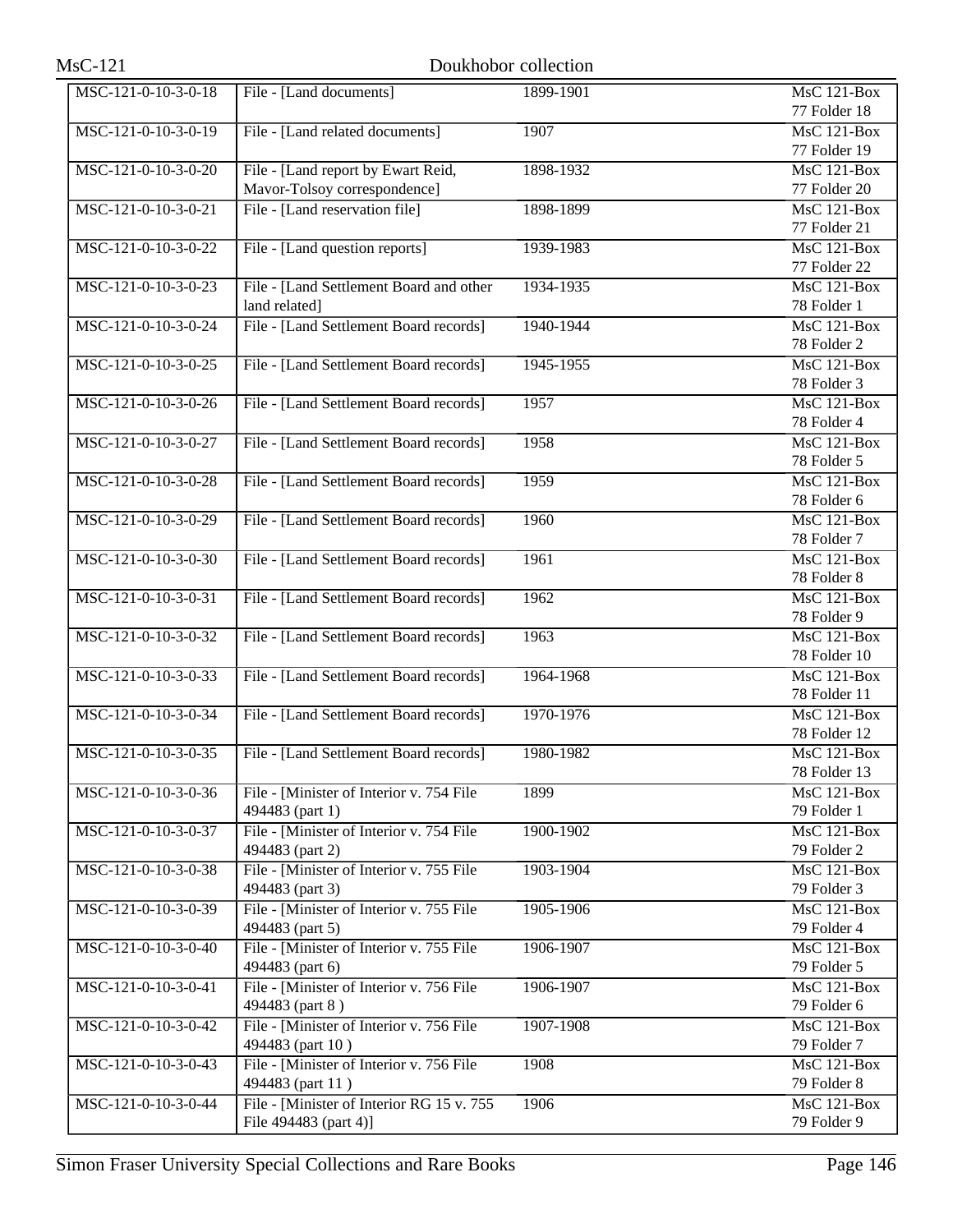| $MsC-121$           |                                            | Doukhobor collection |                    |
|---------------------|--------------------------------------------|----------------------|--------------------|
| MSC-121-0-10-3-0-18 | File - [Land documents]                    | 1899-1901            | MsC 121-Box        |
|                     |                                            |                      | 77 Folder 18       |
| MSC-121-0-10-3-0-19 | File - [Land related documents]            | 1907                 | MsC 121-Box        |
|                     |                                            |                      | 77 Folder 19       |
| MSC-121-0-10-3-0-20 | File - [Land report by Ewart Reid,         | 1898-1932            | MsC 121-Box        |
|                     | Mavor-Tolsoy correspondence]               |                      | 77 Folder 20       |
| MSC-121-0-10-3-0-21 | File - [Land reservation file]             | 1898-1899            | MsC 121-Box        |
|                     |                                            |                      | 77 Folder 21       |
| MSC-121-0-10-3-0-22 | File - [Land question reports]             | 1939-1983            | <b>MsC 121-Box</b> |
|                     |                                            |                      | 77 Folder 22       |
| MSC-121-0-10-3-0-23 | File - [Land Settlement Board and other    | 1934-1935            | <b>MsC 121-Box</b> |
|                     | land related]                              |                      | 78 Folder 1        |
| MSC-121-0-10-3-0-24 | File - [Land Settlement Board records]     | 1940-1944            | <b>MsC 121-Box</b> |
|                     |                                            |                      | 78 Folder 2        |
| MSC-121-0-10-3-0-25 | File - [Land Settlement Board records]     | 1945-1955            | $MsC$ 121-Box      |
|                     |                                            |                      | 78 Folder 3        |
| MSC-121-0-10-3-0-26 | File - [Land Settlement Board records]     | 1957                 | <b>MsC 121-Box</b> |
|                     |                                            |                      | 78 Folder 4        |
| MSC-121-0-10-3-0-27 | File - [Land Settlement Board records]     | 1958                 | <b>MsC 121-Box</b> |
|                     |                                            |                      | 78 Folder 5        |
| MSC-121-0-10-3-0-28 | File - [Land Settlement Board records]     | 1959                 | <b>MsC 121-Box</b> |
|                     |                                            |                      | 78 Folder 6        |
| MSC-121-0-10-3-0-29 | File - [Land Settlement Board records]     | 1960                 | $MsC$ 121-Box      |
|                     |                                            |                      | 78 Folder 7        |
| MSC-121-0-10-3-0-30 | File - [Land Settlement Board records]     | 1961                 | <b>MsC 121-Box</b> |
|                     |                                            |                      | 78 Folder 8        |
| MSC-121-0-10-3-0-31 | File - [Land Settlement Board records]     | 1962                 | MsC 121-Box        |
|                     |                                            |                      | 78 Folder 9        |
| MSC-121-0-10-3-0-32 | File - [Land Settlement Board records]     | 1963                 | MsC 121-Box        |
|                     |                                            |                      | 78 Folder 10       |
| MSC-121-0-10-3-0-33 | File - [Land Settlement Board records]     | 1964-1968            | MsC 121-Box        |
|                     |                                            |                      | 78 Folder 11       |
| MSC-121-0-10-3-0-34 | File - [Land Settlement Board records]     | 1970-1976            | $MsC$ 121-Box      |
|                     |                                            |                      | 78 Folder 12       |
| MSC-121-0-10-3-0-35 | File - [Land Settlement Board records]     | 1980-1982            | <b>MsC 121-Box</b> |
|                     |                                            |                      | 78 Folder 13       |
| MSC-121-0-10-3-0-36 | File - [Minister of Interior v. 754 File   | 1899                 | <b>MsC 121-Box</b> |
|                     | 494483 (part 1)                            |                      | 79 Folder 1        |
| MSC-121-0-10-3-0-37 | File - [Minister of Interior v. 754 File   | 1900-1902            | <b>MsC 121-Box</b> |
|                     | 494483 (part 2)                            |                      | 79 Folder 2        |
| MSC-121-0-10-3-0-38 | File - [Minister of Interior v. 755 File   | 1903-1904            | MsC 121-Box        |
|                     | 494483 (part 3)                            |                      | 79 Folder 3        |
| MSC-121-0-10-3-0-39 | File - [Minister of Interior v. 755 File   | 1905-1906            | <b>MsC 121-Box</b> |
|                     | 494483 (part 5)                            |                      | 79 Folder 4        |
| MSC-121-0-10-3-0-40 | File - [Minister of Interior v. 755 File   | 1906-1907            | MsC 121-Box        |
|                     | 494483 (part 6)                            |                      | 79 Folder 5        |
| MSC-121-0-10-3-0-41 | File - [Minister of Interior v. 756 File   | 1906-1907            | MsC 121-Box        |
|                     | 494483 (part 8)                            |                      | 79 Folder 6        |
| MSC-121-0-10-3-0-42 | File - [Minister of Interior v. 756 File   | 1907-1908            | <b>MsC 121-Box</b> |
|                     | 494483 (part 10)                           |                      | 79 Folder 7        |
| MSC-121-0-10-3-0-43 | File - Minister of Interior v. 756 File    | 1908                 | MsC 121-Box        |
|                     | 494483 (part 11)                           |                      | 79 Folder 8        |
| MSC-121-0-10-3-0-44 | File - [Minister of Interior RG 15 v. 755] | 1906                 | <b>MsC 121-Box</b> |
|                     | File 494483 (part 4)]                      |                      | 79 Folder 9        |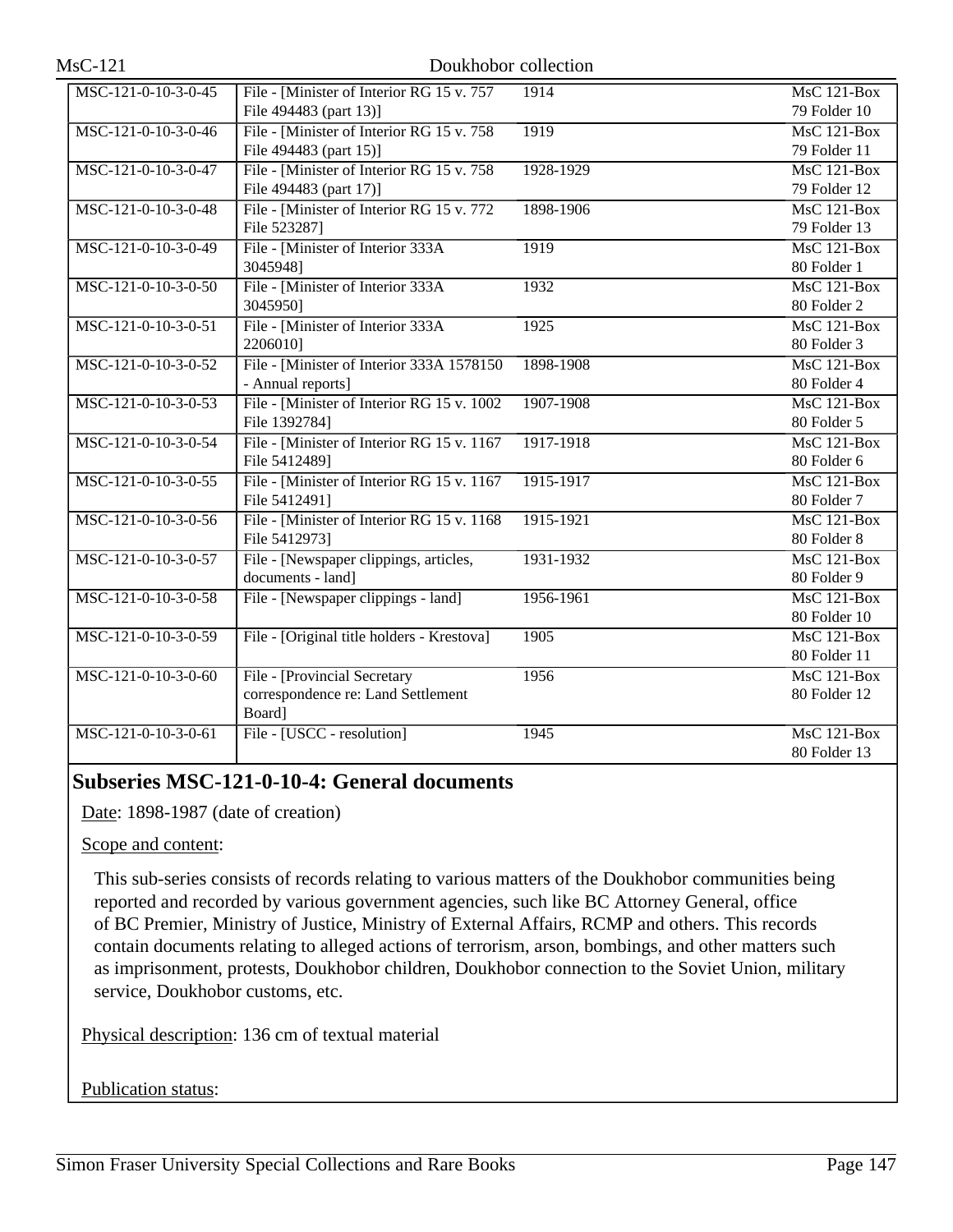| MSC-121-0-10-3-0-45 | File - [Minister of Interior RG 15 v. 757   | 1914      | MsC 121-Box                     |
|---------------------|---------------------------------------------|-----------|---------------------------------|
|                     | File 494483 (part 13)]                      |           | 79 Folder 10                    |
| MSC-121-0-10-3-0-46 | File - [Minister of Interior RG 15 v. 758]  | 1919      | MsC 121-Box                     |
|                     | File 494483 (part 15)]                      |           | 79 Folder 11                    |
| MSC-121-0-10-3-0-47 | File - [Minister of Interior RG 15 v. 758]  | 1928-1929 | MsC 121-Box                     |
|                     | File 494483 (part 17)]                      |           | 79 Folder 12                    |
| MSC-121-0-10-3-0-48 | File - [Minister of Interior RG 15 v. 772]  | 1898-1906 | $MsC$ 121-Box                   |
|                     | File 523287]                                |           | 79 Folder 13                    |
| MSC-121-0-10-3-0-49 | File - [Minister of Interior 333A]          | 1919      | $MsC$ 121-Box                   |
|                     | 30459481                                    |           | 80 Folder 1                     |
| MSC-121-0-10-3-0-50 | File - [Minister of Interior 333A]          | 1932      | $MsC$ 121-Box                   |
|                     | 30459501                                    |           | 80 Folder 2                     |
| MSC-121-0-10-3-0-51 | File - [Minister of Interior 333A           | 1925      | <b>MsC 121-Box</b>              |
|                     | 22060101                                    |           | 80 Folder 3                     |
| MSC-121-0-10-3-0-52 | File - [Minister of Interior 333A 1578150]  | 1898-1908 | MsC 121-Box                     |
|                     | - Annual reports]                           |           | 80 Folder 4                     |
| MSC-121-0-10-3-0-53 | File - [Minister of Interior RG 15 v. 1002] | 1907-1908 | <b>MsC 121-Box</b>              |
|                     | File 1392784]                               |           | 80 Folder 5                     |
| MSC-121-0-10-3-0-54 | File - [Minister of Interior RG 15 v. 1167  | 1917-1918 | $\overline{\text{MsC 121-Box}}$ |
|                     | File 5412489]                               |           | 80 Folder 6                     |
| MSC-121-0-10-3-0-55 | File - [Minister of Interior RG 15 v. 1167] | 1915-1917 | $MsC$ 121-Box                   |
|                     | File 5412491]                               |           | 80 Folder 7                     |
| MSC-121-0-10-3-0-56 | File - [Minister of Interior RG 15 v. 1168] | 1915-1921 | $MsC$ 121-Box                   |
|                     | File 5412973]                               |           | 80 Folder 8                     |
| MSC-121-0-10-3-0-57 | File - [Newspaper clippings, articles,      | 1931-1932 | $MsC$ 121-Box                   |
|                     | documents - land]                           |           | 80 Folder 9                     |
| MSC-121-0-10-3-0-58 | File - [Newspaper clippings - land]         | 1956-1961 | <b>MsC 121-Box</b>              |
|                     |                                             |           | 80 Folder 10                    |
| MSC-121-0-10-3-0-59 | File - [Original title holders - Krestova]  | 1905      | MsC 121-Box                     |
|                     |                                             |           | 80 Folder 11                    |
| MSC-121-0-10-3-0-60 | File - [Provincial Secretary                | 1956      | <b>MsC 121-Box</b>              |
|                     | correspondence re: Land Settlement          |           | 80 Folder 12                    |
|                     | Board]                                      |           |                                 |
| MSC-121-0-10-3-0-61 | File - [USCC - resolution]                  | 1945      | $MsC$ 121-Box                   |
|                     |                                             |           | 80 Folder 13                    |

# **Subseries MSC-121-0-10-4: General documents**

Date: 1898-1987 (date of creation)

Scope and content:

This sub-series consists of records relating to various matters of the Doukhobor communities being reported and recorded by various government agencies, such like BC Attorney General, office of BC Premier, Ministry of Justice, Ministry of External Affairs, RCMP and others. This records contain documents relating to alleged actions of terrorism, arson, bombings, and other matters such as imprisonment, protests, Doukhobor children, Doukhobor connection to the Soviet Union, military service, Doukhobor customs, etc.

Physical description: 136 cm of textual material

Publication status: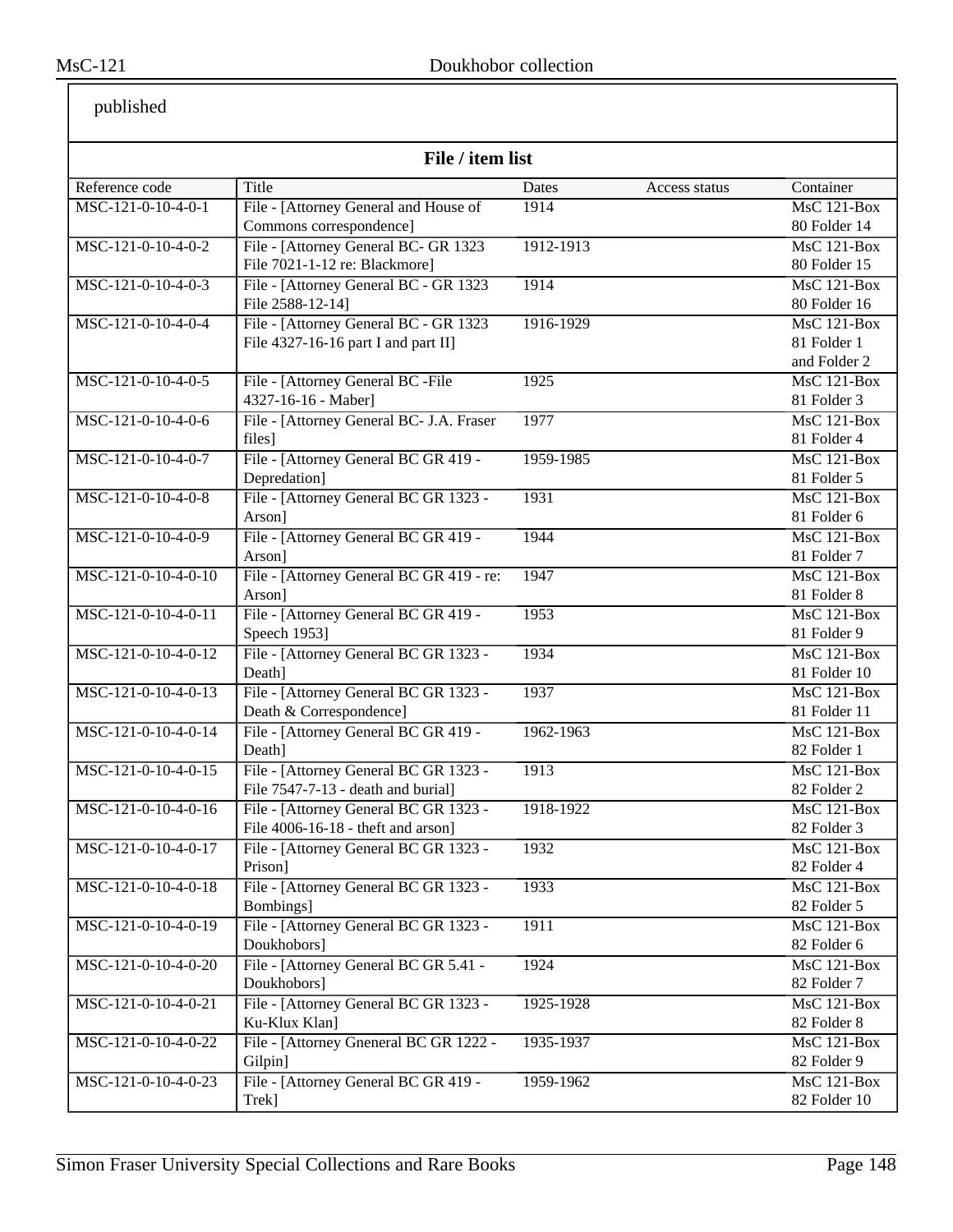| published |
|-----------|
|-----------|

| File / item list    |                                                           |                        |                                    |  |
|---------------------|-----------------------------------------------------------|------------------------|------------------------------------|--|
| Reference code      | Title                                                     | Dates<br>Access status | Container                          |  |
| MSC-121-0-10-4-0-1  | File - [Attorney General and House of                     | 1914                   | MsC 121-Box                        |  |
|                     | Commons correspondence]                                   |                        | 80 Folder 14                       |  |
|                     | File - [Attorney General BC- GR 1323                      | 1912-1913              | MsC 121-Box                        |  |
| MSC-121-0-10-4-0-2  | File 7021-1-12 re: Blackmore]                             |                        | 80 Folder 15                       |  |
|                     |                                                           |                        |                                    |  |
| MSC-121-0-10-4-0-3  | File - [Attorney General BC - GR 1323<br>File 2588-12-14] | 1914                   | <b>MsC 121-Box</b><br>80 Folder 16 |  |
| MSC-121-0-10-4-0-4  | File - [Attorney General BC - GR 1323                     |                        | MsC 121-Box                        |  |
|                     | File 4327-16-16 part I and part II]                       | 1916-1929              | 81 Folder 1                        |  |
|                     |                                                           |                        | and Folder 2                       |  |
| MSC-121-0-10-4-0-5  |                                                           | 1925                   | $MsC$ 121-Box                      |  |
|                     | File - [Attorney General BC -File<br>4327-16-16 - Maber]  |                        | 81 Folder 3                        |  |
| MSC-121-0-10-4-0-6  |                                                           |                        | $MsC$ 121-Box                      |  |
|                     | File - [Attorney General BC- J.A. Fraser                  | 1977                   |                                    |  |
| MSC-121-0-10-4-0-7  | files]                                                    |                        | 81 Folder 4                        |  |
|                     | File - [Attorney General BC GR 419 -<br>Depredation]      | 1959-1985              | MsC 121-Box                        |  |
|                     |                                                           |                        | 81 Folder 5                        |  |
| MSC-121-0-10-4-0-8  | File - [Attorney General BC GR 1323 -                     | 1931                   | $MsC$ 121-Box                      |  |
|                     | Arson]                                                    |                        | 81 Folder 6                        |  |
| MSC-121-0-10-4-0-9  | File - [Attorney General BC GR 419 -                      | 1944                   | <b>MsC 121-Box</b>                 |  |
|                     | Arson]                                                    |                        | 81 Folder 7                        |  |
| MSC-121-0-10-4-0-10 | File - [Attorney General BC GR 419 - re:                  | 1947                   | <b>MsC 121-Box</b>                 |  |
|                     | Arson]                                                    |                        | 81 Folder 8                        |  |
| MSC-121-0-10-4-0-11 | File - [Attorney General BC GR 419 -                      | 1953                   | $MsC$ 121-Box                      |  |
|                     | Speech 1953]                                              |                        | 81 Folder 9                        |  |
| MSC-121-0-10-4-0-12 | File - [Attorney General BC GR 1323 -                     | 1934                   | <b>MsC 121-Box</b>                 |  |
|                     | Death]                                                    |                        | 81 Folder 10                       |  |
| MSC-121-0-10-4-0-13 | File - [Attorney General BC GR 1323 -                     | 1937                   | MsC 121-Box                        |  |
|                     | Death & Correspondence]                                   |                        | 81 Folder 11                       |  |
| MSC-121-0-10-4-0-14 | File - [Attorney General BC GR 419 -                      | 1962-1963              | MsC 121-Box                        |  |
|                     | Death]                                                    |                        | 82 Folder 1                        |  |
| MSC-121-0-10-4-0-15 | File - [Attorney General BC GR 1323 -                     | 1913                   | <b>MsC 121-Box</b>                 |  |
|                     | File 7547-7-13 - death and burial]                        |                        | 82 Folder 2                        |  |
| MSC-121-0-10-4-0-16 | File - [Attorney General BC GR 1323 -                     | 1918-1922              | MsC 121-Box                        |  |
|                     | File 4006-16-18 - theft and arson]                        |                        | 82 Folder 3                        |  |
| MSC-121-0-10-4-0-17 | File - [Attorney General BC GR 1323 -                     | 1932                   | $MsC$ 121-Box                      |  |
|                     | Prison]                                                   |                        | 82 Folder 4                        |  |
| MSC-121-0-10-4-0-18 | File - [Attorney General BC GR 1323 -                     | 1933                   | MsC 121-Box                        |  |
|                     | Bombings]                                                 |                        | 82 Folder 5                        |  |
| MSC-121-0-10-4-0-19 | File - [Attorney General BC GR 1323 -                     | 1911                   | MsC 121-Box                        |  |
|                     | Doukhobors]                                               |                        | 82 Folder 6                        |  |
| MSC-121-0-10-4-0-20 | File - [Attorney General BC GR 5.41 -                     | 1924                   | $MsC$ 121-Box                      |  |
|                     | Doukhobors]                                               |                        | 82 Folder 7                        |  |
| MSC-121-0-10-4-0-21 | File - [Attorney General BC GR 1323 -                     | 1925-1928              | MsC 121-Box                        |  |
|                     | Ku-Klux Klan]                                             |                        | 82 Folder 8                        |  |
| MSC-121-0-10-4-0-22 | File - [Attorney Gneneral BC GR 1222 -                    | 1935-1937              | <b>MsC 121-Box</b>                 |  |
|                     | Gilpin]                                                   |                        | 82 Folder 9                        |  |
| MSC-121-0-10-4-0-23 | File - [Attorney General BC GR 419 -                      | 1959-1962              | <b>MsC 121-Box</b>                 |  |
|                     | Trek]                                                     |                        | 82 Folder 10                       |  |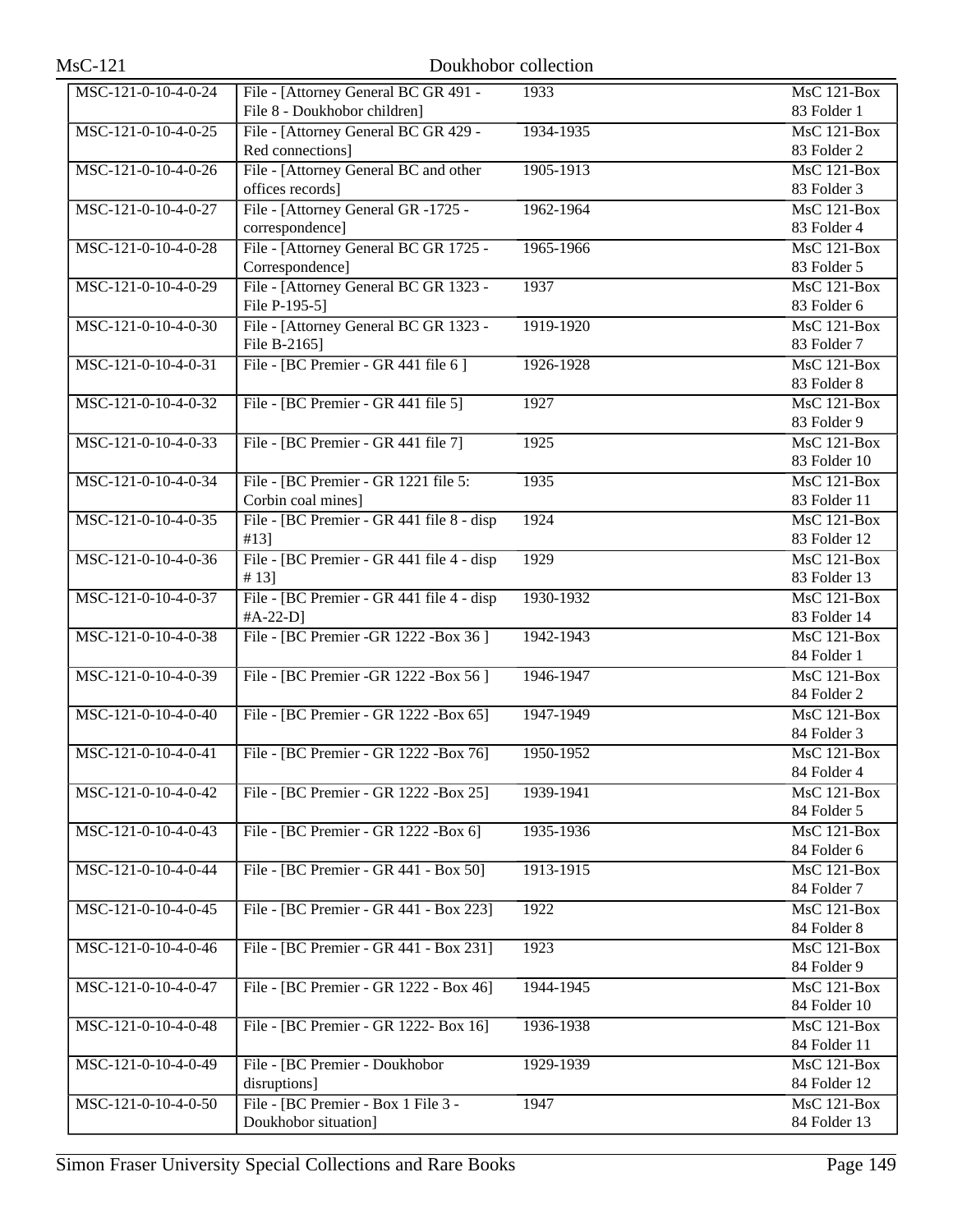| $MsC-121$           |                                                    | Doukhobor collection |                                 |
|---------------------|----------------------------------------------------|----------------------|---------------------------------|
| MSC-121-0-10-4-0-24 | File - [Attorney General BC GR 491 -               | 1933                 | <b>MsC 121-Box</b>              |
|                     | File 8 - Doukhobor children]                       |                      | 83 Folder 1                     |
| MSC-121-0-10-4-0-25 | File - [Attorney General BC GR 429 -               | 1934-1935            | $\overline{\text{MsC}}$ 121-Box |
|                     | Red connections]                                   |                      | 83 Folder 2                     |
| MSC-121-0-10-4-0-26 | File - [Attorney General BC and other              | 1905-1913            | MsC 121-Box                     |
|                     | offices records]                                   |                      | 83 Folder 3                     |
| MSC-121-0-10-4-0-27 | File - [Attorney General GR -1725 -                | 1962-1964            | <b>MsC 121-Box</b>              |
|                     | correspondence]                                    |                      | 83 Folder 4                     |
| MSC-121-0-10-4-0-28 | File - [Attorney General BC GR 1725 -              | 1965-1966            | <b>MsC 121-Box</b>              |
|                     | Correspondence]                                    |                      | 83 Folder 5                     |
| MSC-121-0-10-4-0-29 | File - [Attorney General BC GR 1323 -              | 1937                 | <b>MsC 121-Box</b>              |
|                     | File P-195-5]                                      |                      | 83 Folder 6                     |
| MSC-121-0-10-4-0-30 | File - [Attorney General BC GR 1323 -              | 1919-1920            | <b>MsC 121-Box</b>              |
|                     | File B-2165]                                       |                      | 83 Folder 7                     |
| MSC-121-0-10-4-0-31 | File - [BC Premier - GR 441 file 6]                | 1926-1928            | <b>MsC 121-Box</b>              |
|                     |                                                    |                      | 83 Folder 8                     |
| MSC-121-0-10-4-0-32 | File - [BC Premier - GR 441 file 5]                | 1927                 | $MsC$ 121-Box                   |
|                     |                                                    |                      | 83 Folder 9                     |
| MSC-121-0-10-4-0-33 | File - [BC Premier - GR 441 file 7]                | 1925                 | <b>MsC 121-Box</b>              |
|                     |                                                    |                      | 83 Folder 10                    |
| MSC-121-0-10-4-0-34 | File - [BC Premier - GR 1221 file 5:               | 1935                 | $MsC$ 121-Box                   |
|                     | Corbin coal mines]                                 |                      | 83 Folder 11                    |
| MSC-121-0-10-4-0-35 | File - [BC Premier - GR 441 file 8 - disp          | 1924                 | <b>MsC 121-Box</b>              |
|                     | #13]                                               |                      | 83 Folder 12                    |
| MSC-121-0-10-4-0-36 | File - [BC Premier - GR 441 file 4 - disp          | 1929                 | <b>MsC 121-Box</b>              |
| MSC-121-0-10-4-0-37 | # 13]<br>File - [BC Premier - GR 441 file 4 - disp | 1930-1932            | 83 Folder 13<br>MsC 121-Box     |
|                     | $#A-22-D]$                                         |                      | 83 Folder 14                    |
| MSC-121-0-10-4-0-38 | File - [BC Premier - GR 1222 - Box 36]             | 1942-1943            | MsC 121-Box                     |
|                     |                                                    |                      | 84 Folder 1                     |
| MSC-121-0-10-4-0-39 | File - [BC Premier - GR 1222 - Box 56]             | 1946-1947            | MsC 121-Box                     |
|                     |                                                    |                      | 84 Folder 2                     |
| MSC-121-0-10-4-0-40 | File - [BC Premier - GR 1222 - Box 65]             | 1947-1949            | $MsC$ 121-Box                   |
|                     |                                                    |                      | 84 Folder 3                     |
| MSC-121-0-10-4-0-41 | File - [BC Premier - GR 1222 - Box 76]             | 1950-1952            | <b>MsC 121-Box</b>              |
|                     |                                                    |                      | 84 Folder 4                     |
| MSC-121-0-10-4-0-42 | File - [BC Premier - GR 1222 - Box 25]             | 1939-1941            | <b>MsC 121-Box</b>              |
|                     |                                                    |                      | 84 Folder 5                     |
| MSC-121-0-10-4-0-43 | File - [BC Premier - GR 1222 - Box 6]              | 1935-1936            | MsC 121-Box                     |
|                     |                                                    |                      | 84 Folder 6                     |
| MSC-121-0-10-4-0-44 | File - [BC Premier - GR 441 - Box 50]              | 1913-1915            | MsC 121-Box                     |
|                     |                                                    |                      | 84 Folder 7                     |
| MSC-121-0-10-4-0-45 | File - [BC Premier - GR 441 - Box 223]             | 1922                 | MsC 121-Box                     |
|                     |                                                    |                      | 84 Folder 8                     |
| MSC-121-0-10-4-0-46 | File - [BC Premier - GR 441 - Box 231]             | 1923                 | MsC 121-Box                     |
|                     |                                                    |                      | 84 Folder 9                     |
| MSC-121-0-10-4-0-47 | File - [BC Premier - GR 1222 - Box 46]             | 1944-1945            | MsC 121-Box                     |
|                     |                                                    |                      | 84 Folder 10                    |
| MSC-121-0-10-4-0-48 | File - [BC Premier - GR 1222- Box 16]              | 1936-1938            | <b>MsC 121-Box</b>              |
|                     |                                                    |                      | 84 Folder 11                    |
| MSC-121-0-10-4-0-49 | File - [BC Premier - Doukhobor                     | 1929-1939            | MsC 121-Box                     |
|                     | disruptions]                                       |                      | 84 Folder 12                    |
| MSC-121-0-10-4-0-50 | File - [BC Premier - Box 1 File 3 -                | 1947                 | <b>MsC 121-Box</b>              |
|                     | Doukhobor situation]                               |                      | 84 Folder 13                    |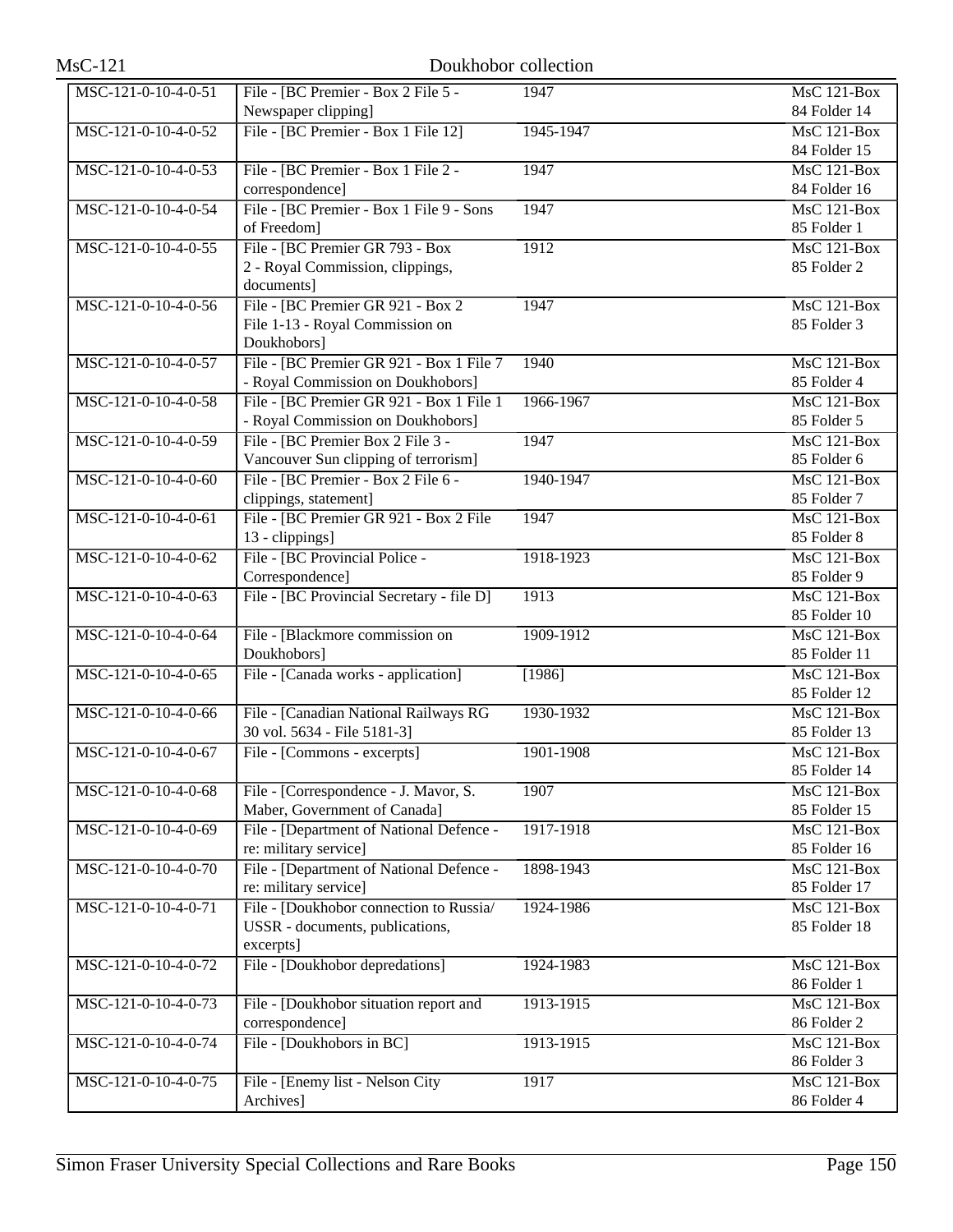| $MsC-121$           | Doukhobor collection                      |           |                                 |
|---------------------|-------------------------------------------|-----------|---------------------------------|
| MSC-121-0-10-4-0-51 | File - [BC Premier - Box 2 File 5 -       | 1947      | <b>MsC 121-Box</b>              |
|                     | Newspaper clipping]                       |           | 84 Folder 14                    |
| MSC-121-0-10-4-0-52 | File - [BC Premier - Box 1 File 12]       | 1945-1947 | MsC 121-Box                     |
|                     |                                           |           | 84 Folder 15                    |
| MSC-121-0-10-4-0-53 | File - [BC Premier - Box 1 File 2 -       | 1947      | $MsC$ 121-Box                   |
|                     | correspondence]                           |           | 84 Folder 16                    |
| MSC-121-0-10-4-0-54 | File - [BC Premier - Box 1 File 9 - Sons  | 1947      | $\overline{\text{MsC}}$ 121-Box |
|                     | of Freedom]                               |           | 85 Folder 1                     |
| MSC-121-0-10-4-0-55 | File - [BC Premier GR 793 - Box           | 1912      | MsC 121-Box                     |
|                     | 2 - Royal Commission, clippings,          |           | 85 Folder 2                     |
|                     | documents]                                |           |                                 |
| MSC-121-0-10-4-0-56 | File - [BC Premier GR 921 - Box 2         | 1947      | $MsC$ 121-Box                   |
|                     | File 1-13 - Royal Commission on           |           | 85 Folder 3                     |
|                     | Doukhobors]                               |           |                                 |
| MSC-121-0-10-4-0-57 | File - [BC Premier GR 921 - Box 1 File 7  | 1940      | <b>MsC 121-Box</b>              |
|                     | - Royal Commission on Doukhobors]         |           | 85 Folder 4                     |
| MSC-121-0-10-4-0-58 | File - [BC Premier GR 921 - Box 1 File 1  | 1966-1967 | MsC 121-Box                     |
|                     | - Royal Commission on Doukhobors]         |           | 85 Folder 5                     |
| MSC-121-0-10-4-0-59 | File - [BC Premier Box 2 File 3 -         | 1947      | $MsC$ 121-Box                   |
|                     | Vancouver Sun clipping of terrorism]      |           | 85 Folder 6                     |
| MSC-121-0-10-4-0-60 | File - [BC Premier - Box 2 File 6 -       | 1940-1947 | $MsC$ 121-Box                   |
|                     | clippings, statement]                     |           | 85 Folder 7                     |
| MSC-121-0-10-4-0-61 | File - [BC Premier GR 921 - Box 2 File    | 1947      | <b>MsC 121-Box</b>              |
|                     | 13 - clippings]                           |           | 85 Folder 8                     |
| MSC-121-0-10-4-0-62 | File - [BC Provincial Police -            | 1918-1923 | $MsC$ 121-Box                   |
|                     | Correspondence]                           |           | 85 Folder 9                     |
| MSC-121-0-10-4-0-63 | File - [BC Provincial Secretary - file D] | 1913      | <b>MsC 121-Box</b>              |
|                     |                                           |           | 85 Folder 10                    |
| MSC-121-0-10-4-0-64 | File - [Blackmore commission on           | 1909-1912 | MsC 121-Box                     |
|                     | Doukhobors]                               |           | 85 Folder 11                    |
| MSC-121-0-10-4-0-65 | File - [Canada works - application]       | [1986]    | $MsC$ 121-Box                   |
|                     |                                           |           | 85 Folder 12                    |
| MSC-121-0-10-4-0-66 | File - [Canadian National Railways RG     | 1930-1932 | <b>MsC 121-Box</b>              |
|                     | 30 vol. 5634 - File 5181-3]               |           | 85 Folder 13                    |
| MSC-121-0-10-4-0-67 | File - [Commons - excerpts]               | 1901-1908 | MsC 121-Box                     |
|                     |                                           |           | 85 Folder 14                    |
| MSC-121-0-10-4-0-68 | File - [Correspondence - J. Mavor, S.     | 1907      | MsC 121-Box                     |
|                     | Maber, Government of Canada]              |           | 85 Folder 15                    |
| MSC-121-0-10-4-0-69 | File - [Department of National Defence -  | 1917-1918 | MsC 121-Box                     |
|                     | re: military service]                     |           | 85 Folder 16                    |
| MSC-121-0-10-4-0-70 | File - [Department of National Defence -  | 1898-1943 | MsC 121-Box                     |
|                     | re: military service]                     |           | 85 Folder 17                    |
| MSC-121-0-10-4-0-71 | File - [Doukhobor connection to Russia/   | 1924-1986 | MsC 121-Box                     |
|                     | USSR - documents, publications,           |           | 85 Folder 18                    |
|                     | excerpts]                                 |           |                                 |
| MSC-121-0-10-4-0-72 | File - [Doukhobor depredations]           | 1924-1983 | <b>MsC 121-Box</b>              |
|                     |                                           |           | 86 Folder 1                     |
| MSC-121-0-10-4-0-73 | File - [Doukhobor situation report and    | 1913-1915 | MsC 121-Box                     |
|                     | correspondence]                           |           | 86 Folder 2                     |
| MSC-121-0-10-4-0-74 | File - [Doukhobors in BC]                 | 1913-1915 | $MsC$ 121-Box                   |
|                     |                                           |           | 86 Folder 3                     |
| MSC-121-0-10-4-0-75 | File - [Enemy list - Nelson City          | 1917      | <b>MsC 121-Box</b>              |
|                     | Archives]                                 |           | 86 Folder 4                     |
|                     |                                           |           |                                 |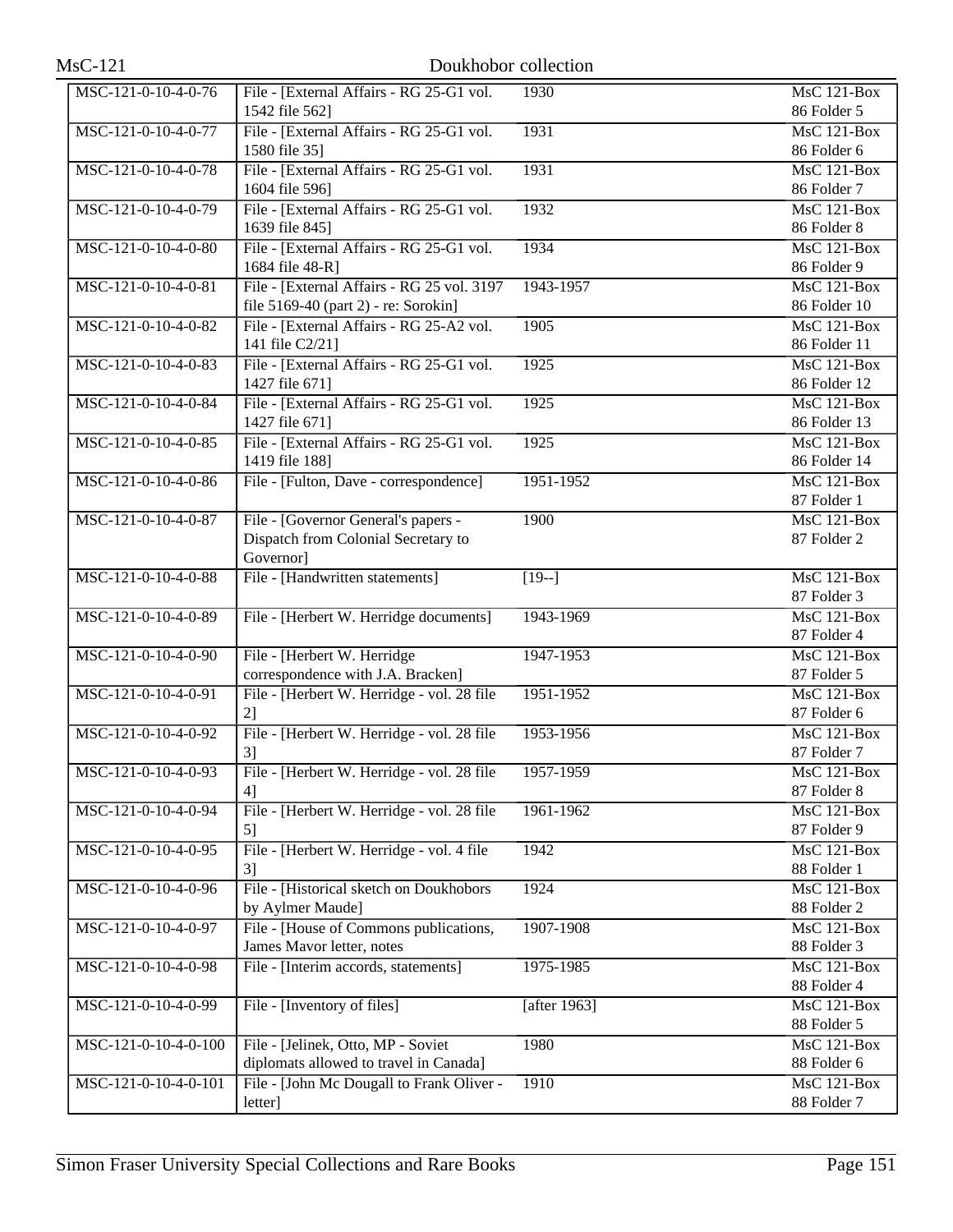| $MsC-121$            | Doukhobor collection                                                                    |                 |                                                |
|----------------------|-----------------------------------------------------------------------------------------|-----------------|------------------------------------------------|
| MSC-121-0-10-4-0-76  | File - [External Affairs - RG 25-G1 vol.<br>1542 file 562]                              | 1930            | $MsC$ 121-Box<br>86 Folder 5                   |
| MSC-121-0-10-4-0-77  | File - [External Affairs - RG 25-G1 vol.]<br>1580 file 35]                              | 1931            | <b>MsC 121-Box</b><br>86 Folder 6              |
| MSC-121-0-10-4-0-78  | File - [External Affairs - RG 25-G1 vol.<br>1604 file 596]                              | 1931            | <b>MsC 121-Box</b><br>86 Folder 7              |
| MSC-121-0-10-4-0-79  | File - [External Affairs - RG 25-G1 vol.]<br>1639 file 845]                             | 1932            | $\overline{\text{MsC 121-Box}}$<br>86 Folder 8 |
| MSC-121-0-10-4-0-80  | File - [External Affairs - RG 25-G1 vol.]<br>1684 file 48-R]                            | 1934            | $MsC$ 121-Box<br>86 Folder 9                   |
| MSC-121-0-10-4-0-81  | File - [External Affairs - RG 25 vol. 3197<br>file 5169-40 (part 2) - re: Sorokin]      | 1943-1957       | <b>MsC 121-Box</b><br>86 Folder 10             |
| MSC-121-0-10-4-0-82  | File - [External Affairs - RG 25-A2 vol.<br>141 file C2/21]                             | 1905            | <b>MsC 121-Box</b><br>86 Folder 11             |
| MSC-121-0-10-4-0-83  | File - [External Affairs - RG 25-G1 vol.]<br>1427 file 671]                             | 1925            | <b>MsC 121-Box</b><br>86 Folder 12             |
| MSC-121-0-10-4-0-84  | File - [External Affairs - RG 25-G1 vol.<br>1427 file 671]                              | 1925            | <b>MsC 121-Box</b><br>86 Folder 13             |
| MSC-121-0-10-4-0-85  | File - [External Affairs - RG 25-G1 vol.]<br>1419 file 188]                             | 1925            | <b>MsC 121-Box</b><br>86 Folder 14             |
| MSC-121-0-10-4-0-86  | File - [Fulton, Dave - correspondence]                                                  | 1951-1952       | <b>MsC 121-Box</b><br>87 Folder 1              |
| MSC-121-0-10-4-0-87  | File - [Governor General's papers -<br>Dispatch from Colonial Secretary to<br>Governor] | 1900            | $MsC$ 121-Box<br>87 Folder 2                   |
| MSC-121-0-10-4-0-88  | File - [Handwritten statements]                                                         | $[19-]$         | <b>MsC 121-Box</b><br>87 Folder 3              |
| MSC-121-0-10-4-0-89  | File - [Herbert W. Herridge documents]                                                  | 1943-1969       | <b>MsC 121-Box</b><br>87 Folder 4              |
| MSC-121-0-10-4-0-90  | File - [Herbert W. Herridge<br>correspondence with J.A. Bracken]                        | 1947-1953       | <b>MsC 121-Box</b><br>87 Folder 5              |
| MSC-121-0-10-4-0-91  | File - [Herbert W. Herridge - vol. 28 file<br>2                                         | 1951-1952       | <b>MsC 121-Box</b><br>87 Folder 6              |
| MSC-121-0-10-4-0-92  | File - [Herbert W. Herridge - vol. 28 file<br>3]                                        | 1953-1956       | MsC 121-Box<br>87 Folder 7                     |
| MSC-121-0-10-4-0-93  | File - [Herbert W. Herridge - vol. 28 file<br>4]                                        | 1957-1959       | $\overline{\text{MsC 121-Box}}$<br>87 Folder 8 |
| MSC-121-0-10-4-0-94  | File - [Herbert W. Herridge - vol. 28 file<br>5]                                        | 1961-1962       | <b>MsC 121-Box</b><br>87 Folder 9              |
| MSC-121-0-10-4-0-95  | File - [Herbert W. Herridge - vol. 4 file<br>3]                                         | 1942            | <b>MsC 121-Box</b><br>88 Folder 1              |
| MSC-121-0-10-4-0-96  | File - [Historical sketch on Doukhobors]<br>by Aylmer Maude]                            | 1924            | MsC 121-Box<br>88 Folder 2                     |
| MSC-121-0-10-4-0-97  | File - [House of Commons publications,<br>James Mavor letter, notes                     | 1907-1908       | MsC 121-Box<br>88 Folder 3                     |
| MSC-121-0-10-4-0-98  | File - [Interim accords, statements]                                                    | 1975-1985       | MsC 121-Box<br>88 Folder 4                     |
| MSC-121-0-10-4-0-99  | File - [Inventory of files]                                                             | $[a$ fter 1963] | MsC 121-Box<br>88 Folder 5                     |
| MSC-121-0-10-4-0-100 | File - [Jelinek, Otto, MP - Soviet<br>diplomats allowed to travel in Canada]            | 1980            | <b>MsC 121-Box</b><br>88 Folder 6              |
| MSC-121-0-10-4-0-101 | File - [John Mc Dougall to Frank Oliver -<br>letter]                                    | 1910            | <b>MsC 121-Box</b><br>88 Folder 7              |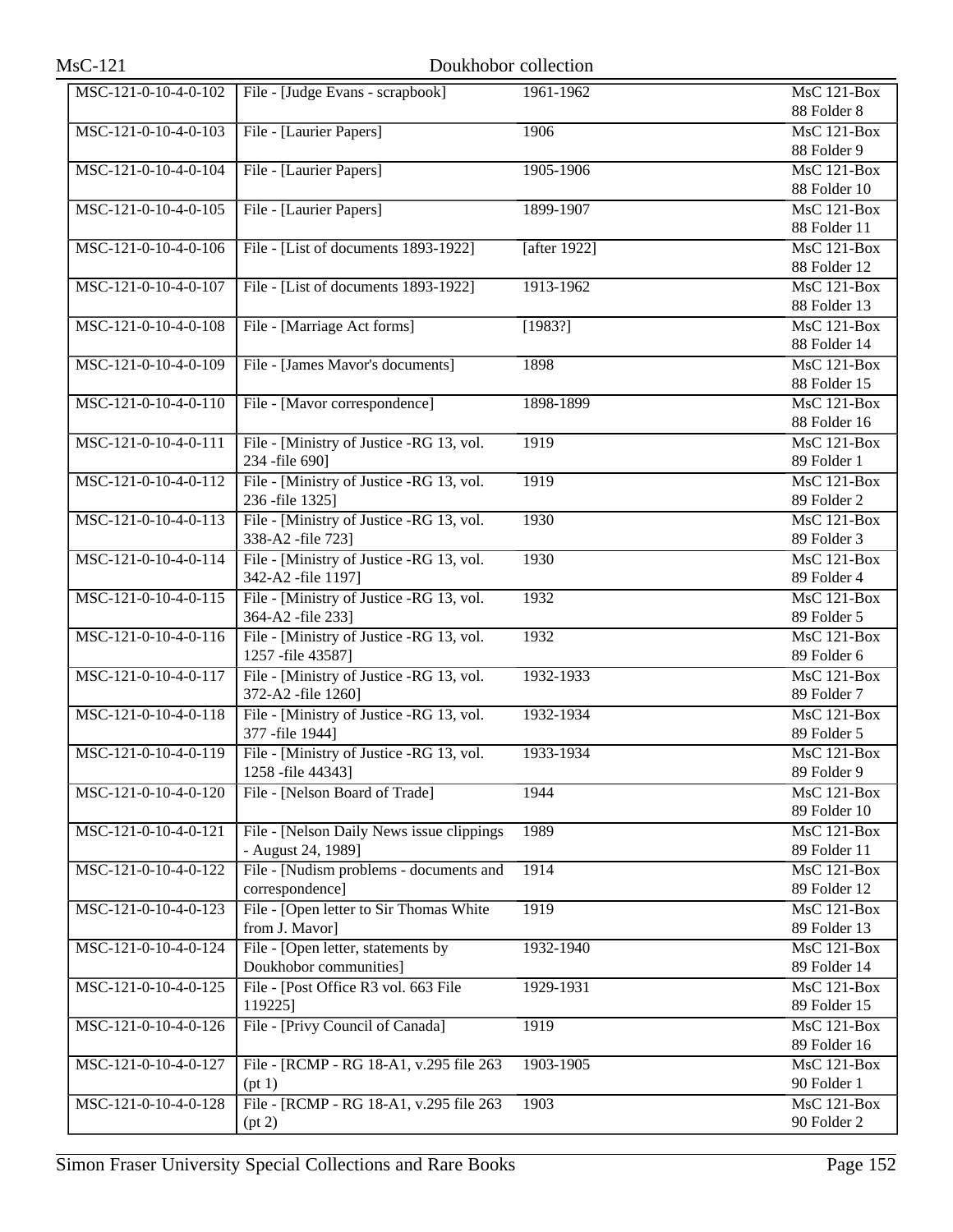| MSC-121-0-10-4-0-102 | File - [Judge Evans - scrapbook]                               | 1961-1962    | <b>MsC 121-Box</b>                |
|----------------------|----------------------------------------------------------------|--------------|-----------------------------------|
|                      |                                                                |              | 88 Folder 8                       |
| MSC-121-0-10-4-0-103 | File - [Laurier Papers]                                        | 1906         | MsC 121-Box                       |
|                      |                                                                |              | 88 Folder 9                       |
| MSC-121-0-10-4-0-104 | File - [Laurier Papers]                                        | 1905-1906    | MsC 121-Box                       |
|                      |                                                                |              | 88 Folder 10                      |
| MSC-121-0-10-4-0-105 | File - [Laurier Papers]                                        | 1899-1907    | <b>MsC 121-Box</b>                |
|                      |                                                                |              | 88 Folder 11                      |
| MSC-121-0-10-4-0-106 | File - [List of documents 1893-1922]                           | [after 1922] | MsC 121-Box                       |
|                      |                                                                |              | 88 Folder 12                      |
| MSC-121-0-10-4-0-107 | File - [List of documents 1893-1922]                           | 1913-1962    | <b>MsC 121-Box</b>                |
|                      |                                                                |              | 88 Folder 13                      |
| MSC-121-0-10-4-0-108 | File - [Marriage Act forms]                                    | [1983?]      | <b>MsC 121-Box</b>                |
|                      |                                                                |              | 88 Folder 14                      |
| MSC-121-0-10-4-0-109 | File - [James Mavor's documents]                               | 1898         | <b>MsC 121-Box</b>                |
|                      |                                                                |              | 88 Folder 15                      |
| MSC-121-0-10-4-0-110 | File - [Mavor correspondence]                                  | 1898-1899    | <b>MsC 121-Box</b>                |
|                      |                                                                |              | 88 Folder 16                      |
| MSC-121-0-10-4-0-111 | File - [Ministry of Justice -RG 13, vol.                       | 1919         | <b>MsC 121-Box</b>                |
|                      | 234 -file 690]                                                 |              | 89 Folder 1                       |
| MSC-121-0-10-4-0-112 | File - [Ministry of Justice -RG 13, vol.]                      | 1919         | <b>MsC 121-Box</b>                |
|                      | 236 -file 1325]                                                |              | 89 Folder 2                       |
| MSC-121-0-10-4-0-113 | File - [Ministry of Justice -RG 13, vol.                       | 1930         | MsC 121-Box                       |
|                      | 338-A2 -file 723]                                              |              | 89 Folder 3                       |
| MSC-121-0-10-4-0-114 | File - [Ministry of Justice -RG 13, vol.                       | 1930         | <b>MsC 121-Box</b>                |
|                      | 342-A2 -file 1197]                                             |              | 89 Folder 4                       |
| MSC-121-0-10-4-0-115 | File - [Ministry of Justice -RG 13, vol.                       | 1932         | MsC 121-Box                       |
|                      | 364-A2 -file 233]                                              |              | 89 Folder 5                       |
| MSC-121-0-10-4-0-116 | File - [Ministry of Justice -RG 13, vol.                       | 1932         | MsC 121-Box                       |
| MSC-121-0-10-4-0-117 | 1257 - file 43587]                                             | 1932-1933    | 89 Folder 6<br><b>MsC 121-Box</b> |
|                      | File - [Ministry of Justice -RG 13, vol.<br>372-A2 -file 1260] |              | 89 Folder 7                       |
| MSC-121-0-10-4-0-118 | File - [Ministry of Justice -RG 13, vol.                       | 1932-1934    | <b>MsC 121-Box</b>                |
|                      | 377 -file 1944]                                                |              | 89 Folder 5                       |
| MSC-121-0-10-4-0-119 | File - [Ministry of Justice -RG 13, vol.                       | 1933-1934    | $MsC$ 121-Box                     |
|                      | 1258 - file 44343]                                             |              | 89 Folder 9                       |
| MSC-121-0-10-4-0-120 | File - [Nelson Board of Trade]                                 | 1944         | <b>MsC 121-Box</b>                |
|                      |                                                                |              | 89 Folder 10                      |
| MSC-121-0-10-4-0-121 | File - [Nelson Daily News issue clippings                      | 1989         | MsC 121-Box                       |
|                      | - August 24, 1989]                                             |              | 89 Folder 11                      |
| MSC-121-0-10-4-0-122 | File - [Nudism problems - documents and                        | 1914         | MsC 121-Box                       |
|                      | correspondence]                                                |              | 89 Folder 12                      |
| MSC-121-0-10-4-0-123 | File - [Open letter to Sir Thomas White                        | 1919         | MsC 121-Box                       |
|                      | from J. Mavor]                                                 |              | 89 Folder 13                      |
| MSC-121-0-10-4-0-124 | File - [Open letter, statements by                             | 1932-1940    | <b>MsC 121-Box</b>                |
|                      | Doukhobor communities]                                         |              | 89 Folder 14                      |
| MSC-121-0-10-4-0-125 | File - [Post Office R3 vol. 663 File                           | 1929-1931    | MsC 121-Box                       |
|                      | 119225]                                                        |              | 89 Folder 15                      |
| MSC-121-0-10-4-0-126 | File - [Privy Council of Canada]                               | 1919         | MsC 121-Box                       |
|                      |                                                                |              | 89 Folder 16                      |
| MSC-121-0-10-4-0-127 | File - [RCMP - RG 18-A1, v.295 file 263                        | 1903-1905    | MsC 121-Box                       |
|                      | (pt 1)                                                         |              | 90 Folder 1                       |
| MSC-121-0-10-4-0-128 | File - [RCMP - RG 18-A1, v.295 file 263]                       | 1903         | <b>MsC 121-Box</b>                |
|                      | (pt 2)                                                         |              | 90 Folder 2                       |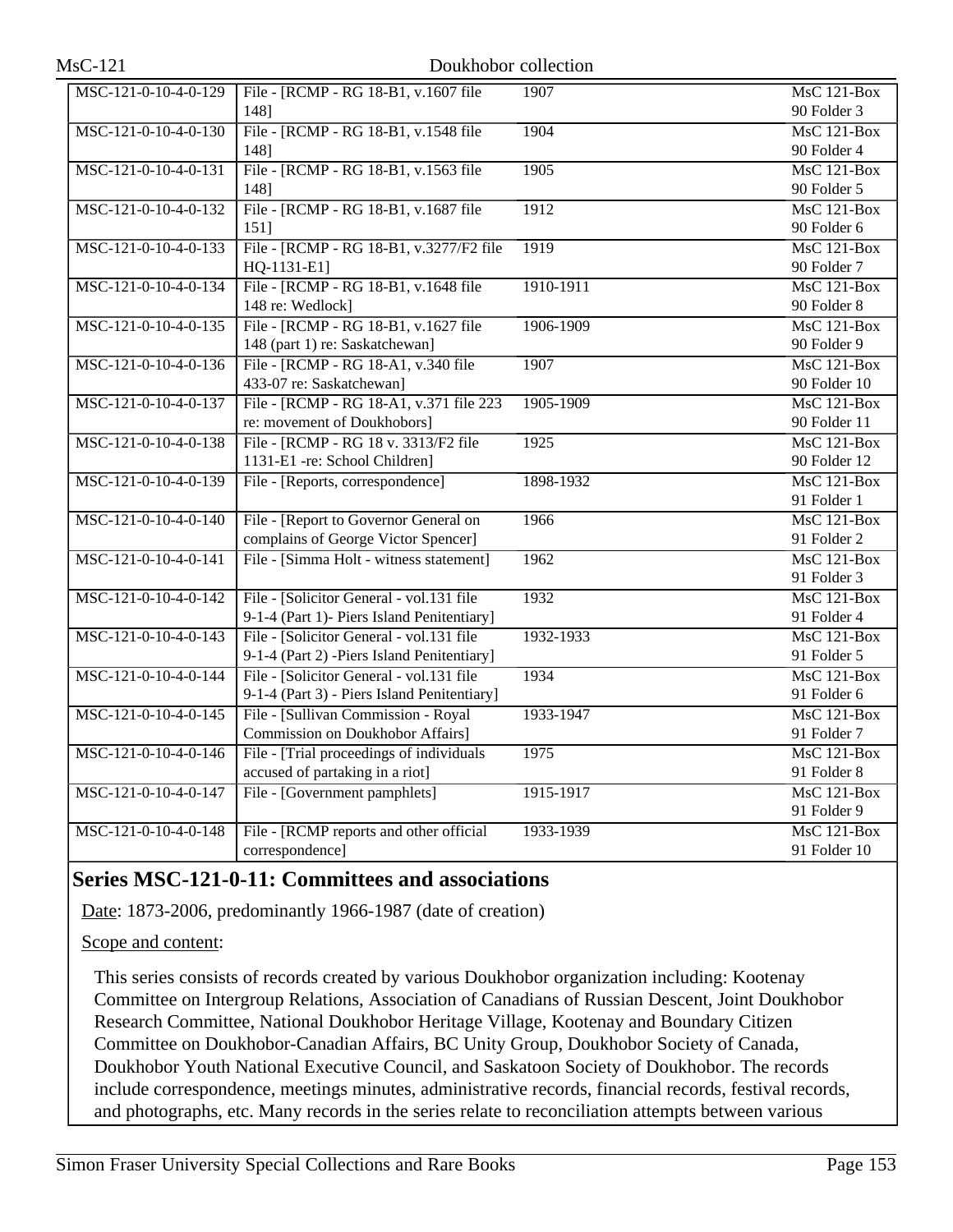| MSC-121-0-10-4-0-129 | File - [RCMP - RG 18-B1, v.1607 file        | 1907      | <b>MsC 121-Box</b> |
|----------------------|---------------------------------------------|-----------|--------------------|
|                      | 148]                                        |           | 90 Folder 3        |
| MSC-121-0-10-4-0-130 | File - [RCMP - RG 18-B1, v.1548 file        | 1904      | $MsC$ 121-Box      |
|                      | 148]                                        |           | 90 Folder 4        |
| MSC-121-0-10-4-0-131 | File - [RCMP - RG 18-B1, v.1563 file        | 1905      | <b>MsC 121-Box</b> |
|                      | 148]                                        |           | 90 Folder 5        |
| MSC-121-0-10-4-0-132 | File - [RCMP - RG 18-B1, v.1687 file        | 1912      | $MsC$ 121-Box      |
|                      | 151]                                        |           | 90 Folder 6        |
| MSC-121-0-10-4-0-133 | File - [RCMP - RG 18-B1, v.3277/F2 file     | 1919      | MsC 121-Box        |
|                      | HQ-1131-E1]                                 |           | 90 Folder 7        |
| MSC-121-0-10-4-0-134 | File - [RCMP - RG 18-B1, v.1648 file        | 1910-1911 | $MsC$ 121-Box      |
|                      | 148 re: Wedlock]                            |           | 90 Folder 8        |
| MSC-121-0-10-4-0-135 | File - [RCMP - RG 18-B1, v.1627 file        | 1906-1909 | $MsC$ 121-Box      |
|                      | 148 (part 1) re: Saskatchewan]              |           | 90 Folder 9        |
| MSC-121-0-10-4-0-136 | File - [RCMP - RG 18-A1, v.340 file         | 1907      | $MsC$ 121-Box      |
|                      | 433-07 re: Saskatchewan]                    |           | 90 Folder 10       |
| MSC-121-0-10-4-0-137 | File - [RCMP - RG 18-A1, v.371 file 223     | 1905-1909 | <b>MsC 121-Box</b> |
|                      | re: movement of Doukhobors]                 |           | 90 Folder 11       |
| MSC-121-0-10-4-0-138 | File - [RCMP - RG 18 v. 3313/F2 file        | 1925      | <b>MsC 121-Box</b> |
|                      | 1131-E1 -re: School Children]               |           | 90 Folder 12       |
| MSC-121-0-10-4-0-139 | File - [Reports, correspondence]            | 1898-1932 | MsC 121-Box        |
|                      |                                             |           | 91 Folder 1        |
| MSC-121-0-10-4-0-140 | File - [Report to Governor General on       | 1966      | $MsC$ 121-Box      |
|                      | complains of George Victor Spencer]         |           | 91 Folder 2        |
| MSC-121-0-10-4-0-141 | File - [Simma Holt - witness statement]     | 1962      | <b>MsC 121-Box</b> |
|                      |                                             |           | 91 Folder 3        |
| MSC-121-0-10-4-0-142 | File - [Solicitor General - vol.131 file    | 1932      | MsC 121-Box        |
|                      | 9-1-4 (Part 1)- Piers Island Penitentiary]  |           | 91 Folder 4        |
| MSC-121-0-10-4-0-143 | File - [Solicitor General - vol.131 file    | 1932-1933 | $MsC$ 121-Box      |
|                      | 9-1-4 (Part 2) -Piers Island Penitentiary]  |           | 91 Folder 5        |
| MSC-121-0-10-4-0-144 | File - [Solicitor General - vol.131 file    | 1934      | <b>MsC 121-Box</b> |
|                      | 9-1-4 (Part 3) - Piers Island Penitentiary] |           | 91 Folder 6        |
| MSC-121-0-10-4-0-145 | File - [Sullivan Commission - Royal         | 1933-1947 | $MsC$ 121-Box      |
|                      | Commission on Doukhobor Affairs]            |           | 91 Folder 7        |
| MSC-121-0-10-4-0-146 | File - [Trial proceedings of individuals    | 1975      | $MsC$ 121-Box      |
|                      | accused of partaking in a riot]             |           | 91 Folder 8        |
| MSC-121-0-10-4-0-147 | File - [Government pamphlets]               | 1915-1917 | <b>MsC 121-Box</b> |
|                      |                                             |           | 91 Folder 9        |
| MSC-121-0-10-4-0-148 | File - [RCMP reports and other official     | 1933-1939 | <b>MsC 121-Box</b> |
|                      | correspondence]                             |           | 91 Folder 10       |

# **Series MSC-121-0-11: Committees and associations**

Date: 1873-2006, predominantly 1966-1987 (date of creation)

Scope and content:

This series consists of records created by various Doukhobor organization including: Kootenay Committee on Intergroup Relations, Association of Canadians of Russian Descent, Joint Doukhobor Research Committee, National Doukhobor Heritage Village, Kootenay and Boundary Citizen Committee on Doukhobor-Canadian Affairs, BC Unity Group, Doukhobor Society of Canada, Doukhobor Youth National Executive Council, and Saskatoon Society of Doukhobor. The records include correspondence, meetings minutes, administrative records, financial records, festival records, and photographs, etc. Many records in the series relate to reconciliation attempts between various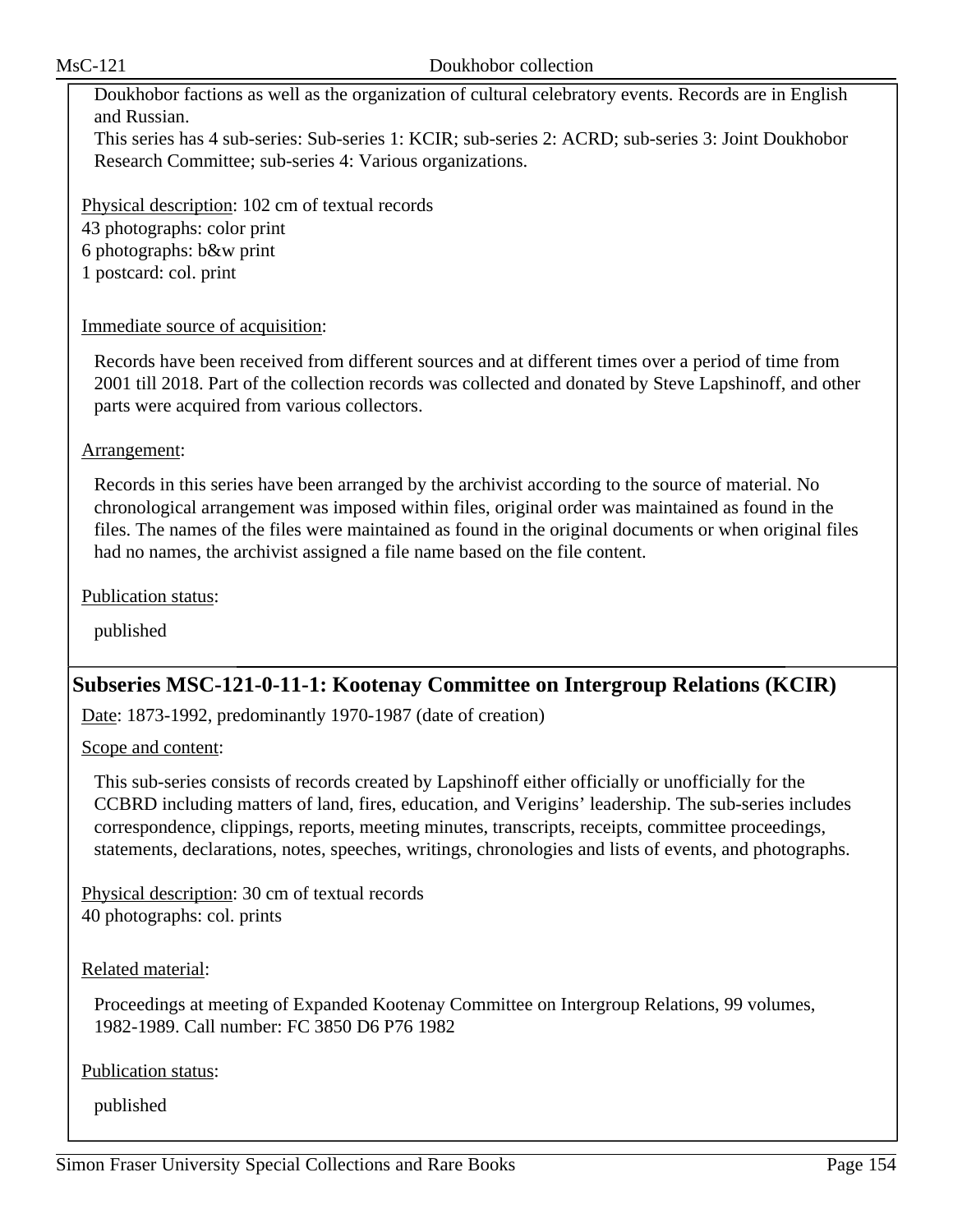Doukhobor factions as well as the organization of cultural celebratory events. Records are in English and Russian.

This series has 4 sub-series: Sub-series 1: KCIR; sub-series 2: ACRD; sub-series 3: Joint Doukhobor Research Committee; sub-series 4: Various organizations.

Physical description: 102 cm of textual records 43 photographs: color print 6 photographs: b&w print 1 postcard: col. print

### Immediate source of acquisition:

Records have been received from different sources and at different times over a period of time from 2001 till 2018. Part of the collection records was collected and donated by Steve Lapshinoff, and other parts were acquired from various collectors.

#### Arrangement:

Records in this series have been arranged by the archivist according to the source of material. No chronological arrangement was imposed within files, original order was maintained as found in the files. The names of the files were maintained as found in the original documents or when original files had no names, the archivist assigned a file name based on the file content.

Publication status:

published

# **Subseries MSC-121-0-11-1: Kootenay Committee on Intergroup Relations (KCIR)**

Date: 1873-1992, predominantly 1970-1987 (date of creation)

Scope and content:

This sub-series consists of records created by Lapshinoff either officially or unofficially for the CCBRD including matters of land, fires, education, and Verigins' leadership. The sub-series includes correspondence, clippings, reports, meeting minutes, transcripts, receipts, committee proceedings, statements, declarations, notes, speeches, writings, chronologies and lists of events, and photographs.

Physical description: 30 cm of textual records 40 photographs: col. prints

### Related material:

Proceedings at meeting of Expanded Kootenay Committee on Intergroup Relations, 99 volumes, 1982-1989. Call number: FC 3850 D6 P76 1982

Publication status: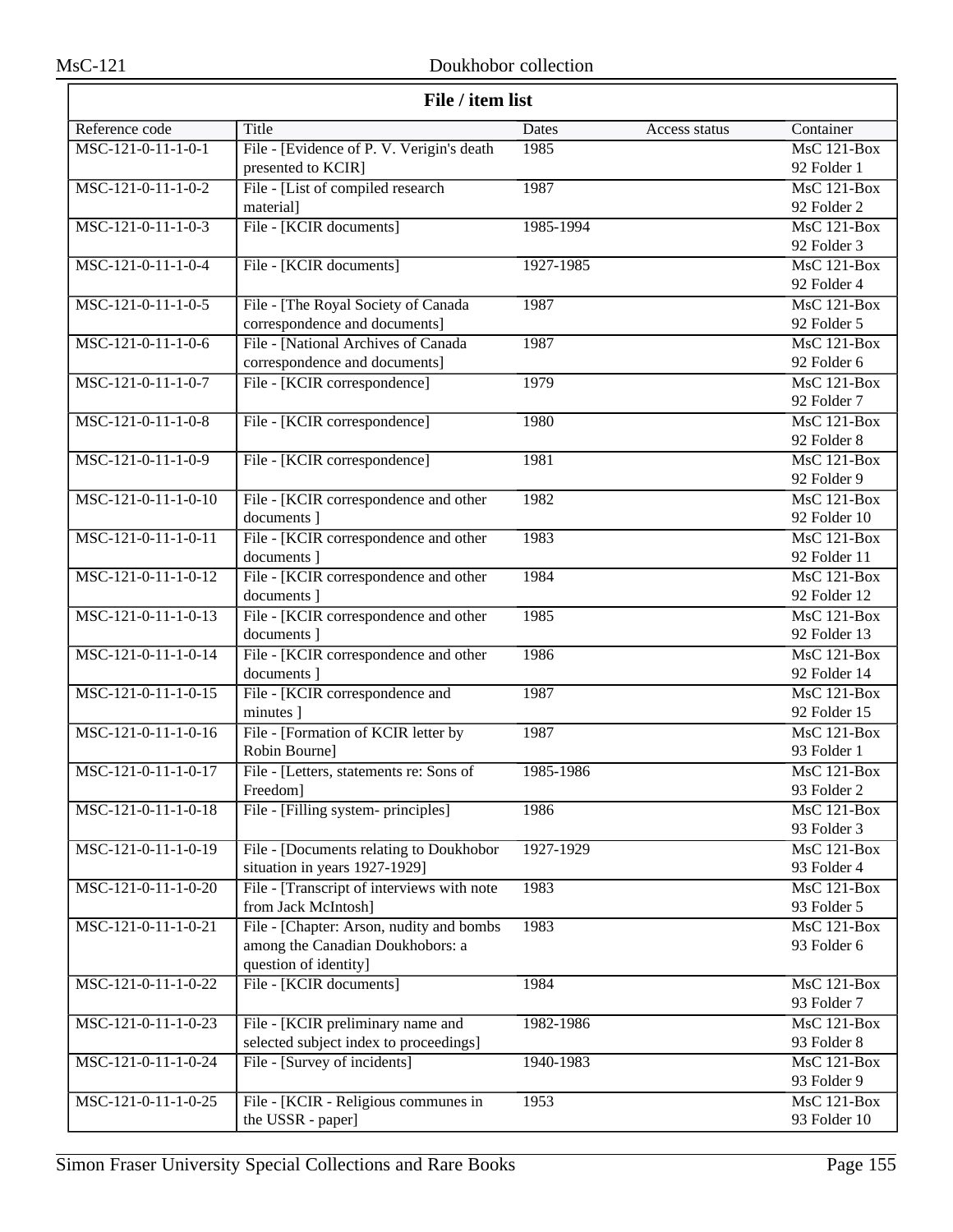ᅮ

| File / item list      |                                                      |           |               |                                                 |
|-----------------------|------------------------------------------------------|-----------|---------------|-------------------------------------------------|
| Reference code        | Title                                                | Dates     | Access status | Container                                       |
| MSC-121-0-11-1-0-1    | File - [Evidence of P. V. Verigin's death            | 1985      |               | <b>MsC 121-Box</b>                              |
|                       | presented to KCIR]                                   |           |               | 92 Folder 1                                     |
| MSC-121-0-11-1-0-2    | File - [List of compiled research                    | 1987      |               | MsC 121-Box                                     |
|                       | material]                                            |           |               | 92 Folder 2                                     |
| $MSC-121-0-11-1-0-3$  | File - [KCIR documents]                              | 1985-1994 |               | $MsC$ 121-Box                                   |
|                       |                                                      |           |               | 92 Folder 3                                     |
| MSC-121-0-11-1-0-4    | File - [KCIR documents]                              | 1927-1985 |               | $MsC$ 121-Box                                   |
|                       |                                                      |           |               | 92 Folder 4                                     |
| MSC-121-0-11-1-0-5    | File - [The Royal Society of Canada                  | 1987      |               | <b>MsC 121-Box</b>                              |
|                       | correspondence and documents]                        |           |               | 92 Folder 5                                     |
| MSC-121-0-11-1-0-6    | File - [National Archives of Canada                  | 1987      |               | $MsC$ 121-Box                                   |
|                       | correspondence and documents]                        |           |               | 92 Folder 6                                     |
| MSC-121-0-11-1-0-7    | File - [KCIR correspondence]                         | 1979      |               | <b>MsC 121-Box</b>                              |
|                       |                                                      |           |               | 92 Folder 7                                     |
| $MSC-121-0-11-1-0-8$  | File - [KCIR correspondence]                         | 1980      |               | MsC 121-Box                                     |
|                       |                                                      |           |               | 92 Folder 8                                     |
| MSC-121-0-11-1-0-9    | File - [KCIR correspondence]                         | 1981      |               | MsC 121-Box                                     |
|                       |                                                      |           |               | 92 Folder 9                                     |
| MSC-121-0-11-1-0-10   | File - [KCIR correspondence and other                | 1982      |               | <b>MsC 121-Box</b>                              |
|                       | documents ]                                          |           |               | 92 Folder 10                                    |
| MSC-121-0-11-1-0-11   | File - [KCIR correspondence and other                | 1983      |               | <b>MsC 121-Box</b>                              |
| MSC-121-0-11-1-0-12   | documents ]                                          |           |               | 92 Folder 11<br>$\overline{\text{MsC 121-Box}}$ |
|                       | File - [KCIR correspondence and other<br>documents ] | 1984      |               | 92 Folder 12                                    |
| MSC-121-0-11-1-0-13   | File - [KCIR correspondence and other                | 1985      |               | <b>MsC 121-Box</b>                              |
|                       | documents ]                                          |           |               | 92 Folder 13                                    |
| MSC-121-0-11-1-0-14   | File - [KCIR correspondence and other                | 1986      |               | MsC 121-Box                                     |
|                       | documents ]                                          |           |               | 92 Folder 14                                    |
| MSC-121-0-11-1-0-15   | File - [KCIR correspondence and                      | 1987      |               | $MsC$ 121-Box                                   |
|                       | minutes ]                                            |           |               | 92 Folder 15                                    |
| MSC-121-0-11-1-0-16   | File - [Formation of KCIR letter by                  | 1987      |               | $\overline{\text{MsC}}$ 121-Box                 |
|                       | Robin Bourne]                                        |           |               | 93 Folder 1                                     |
| MSC-121-0-11-1-0-17   | File - [Letters, statements re: Sons of              | 1985-1986 |               | MsC 121-Box                                     |
|                       | Freedom]                                             |           |               | 93 Folder 2                                     |
| MSC-121-0-11-1-0-18   | File - [Filling system- principles]                  | 1986      |               | MsC 121-Box                                     |
|                       |                                                      |           |               | 93 Folder 3                                     |
| MSC-121-0-11-1-0-19   | File - [Documents relating to Doukhobor              | 1927-1929 |               | $MsC$ 121-Box                                   |
|                       | situation in years 1927-1929]                        |           |               | 93 Folder 4                                     |
| $MSC-121-0-11-1-0-20$ | File - [Transcript of interviews with note           | 1983      |               | MsC 121-Box                                     |
|                       | from Jack McIntosh]                                  |           |               | 93 Folder 5                                     |
| MSC-121-0-11-1-0-21   | File - [Chapter: Arson, nudity and bombs]            | 1983      |               | $MsC$ 121-Box                                   |
|                       | among the Canadian Doukhobors: a                     |           |               | 93 Folder 6                                     |
|                       | question of identity]                                |           |               |                                                 |
| MSC-121-0-11-1-0-22   | File - [KCIR documents]                              | 1984      |               | MsC 121-Box                                     |
|                       |                                                      |           |               | 93 Folder 7                                     |
| MSC-121-0-11-1-0-23   | File - [KCIR preliminary name and                    | 1982-1986 |               | MsC 121-Box                                     |
|                       | selected subject index to proceedings]               |           |               | 93 Folder 8                                     |
| MSC-121-0-11-1-0-24   | File - [Survey of incidents]                         | 1940-1983 |               | MsC 121-Box                                     |
|                       |                                                      |           |               | 93 Folder 9                                     |
| MSC-121-0-11-1-0-25   | File - [KCIR - Religious communes in                 | 1953      |               | MsC 121-Box                                     |
|                       | the USSR - paper]                                    |           |               | 93 Folder 10                                    |

٦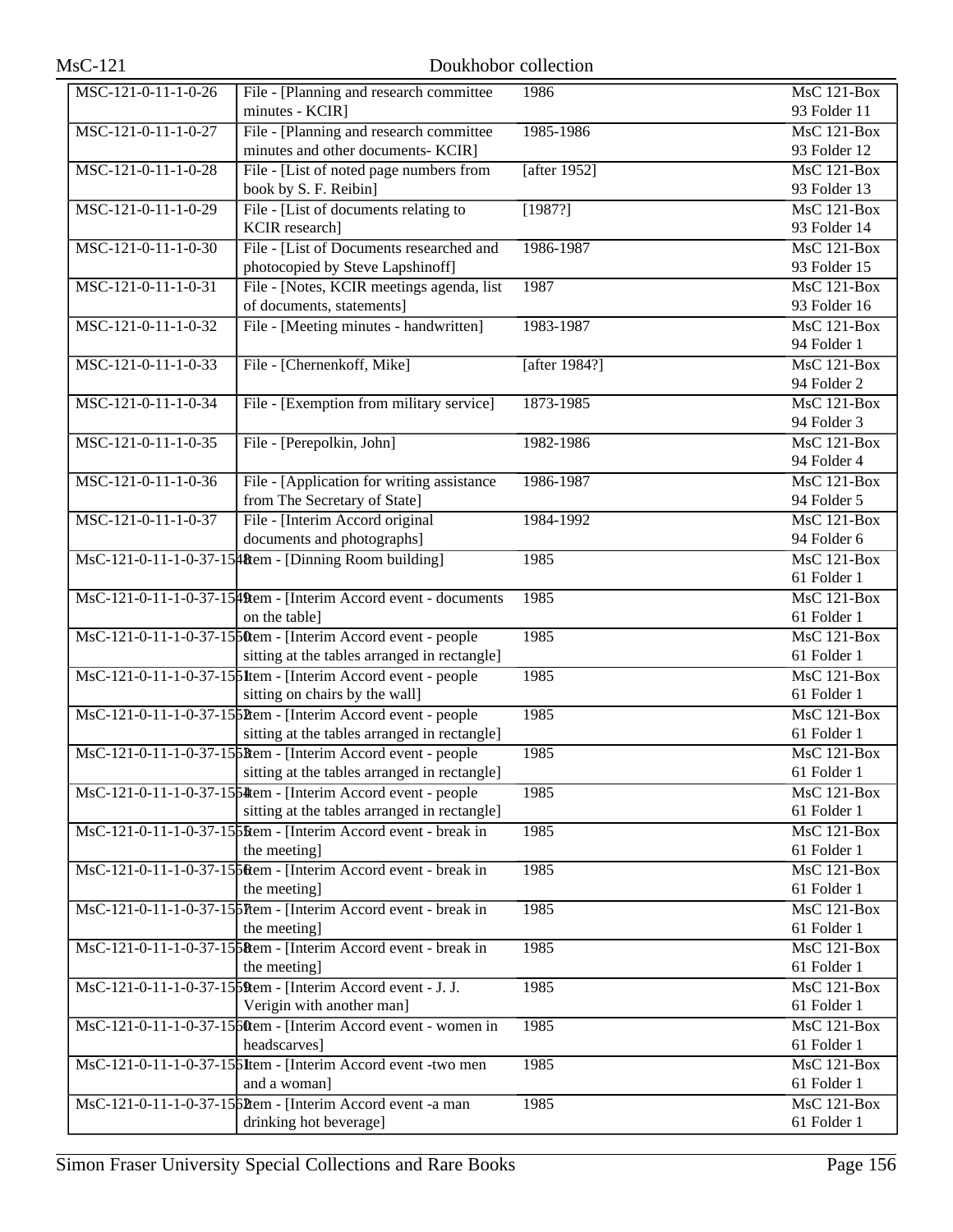| <b>MsC-121</b>        | Doukhobor collection                                                                            |                 |                                                |
|-----------------------|-------------------------------------------------------------------------------------------------|-----------------|------------------------------------------------|
| MSC-121-0-11-1-0-26   | File - [Planning and research committee                                                         | 1986            | <b>MsC 121-Box</b>                             |
|                       | minutes - KCIR]                                                                                 |                 | 93 Folder 11                                   |
| MSC-121-0-11-1-0-27   | File - [Planning and research committee                                                         | 1985-1986       | MsC 121-Box                                    |
|                       | minutes and other documents- KCIR]                                                              |                 | 93 Folder 12                                   |
| MSC-121-0-11-1-0-28   | File - [List of noted page numbers from                                                         | [after $1952$ ] | MsC 121-Box                                    |
|                       | book by S. F. Reibin]                                                                           |                 | 93 Folder 13                                   |
| MSC-121-0-11-1-0-29   | File - [List of documents relating to                                                           | [1987?]         | <b>MsC 121-Box</b>                             |
|                       | KCIR research]                                                                                  |                 | 93 Folder 14                                   |
| MSC-121-0-11-1-0-30   | File - [List of Documents researched and<br>photocopied by Steve Lapshinoff]                    | 1986-1987       | <b>MsC 121-Box</b><br>93 Folder 15             |
| MSC-121-0-11-1-0-31   | File - [Notes, KCIR meetings agenda, list                                                       | 1987            | $MsC$ 121-Box                                  |
|                       | of documents, statements]                                                                       |                 | 93 Folder 16                                   |
| MSC-121-0-11-1-0-32   | File - [Meeting minutes - handwritten]                                                          | 1983-1987       | <b>MsC 121-Box</b>                             |
|                       |                                                                                                 |                 | 94 Folder 1                                    |
| $MSC-121-0-11-1-0-33$ | File - [Chernenkoff, Mike]                                                                      | [after 1984?]   | $MsC$ 121-Box                                  |
|                       |                                                                                                 |                 | 94 Folder 2                                    |
| MSC-121-0-11-1-0-34   | File - [Exemption from military service]                                                        | 1873-1985       | <b>MsC 121-Box</b>                             |
|                       |                                                                                                 |                 | 94 Folder 3                                    |
| MSC-121-0-11-1-0-35   | File - [Perepolkin, John]                                                                       | 1982-1986       | $\overline{\text{MsC}}$ 121-Box                |
|                       |                                                                                                 |                 | 94 Folder 4                                    |
| MSC-121-0-11-1-0-36   | File - [Application for writing assistance                                                      | 1986-1987       | $MsC$ 121-Box                                  |
|                       | from The Secretary of State]                                                                    |                 | 94 Folder 5                                    |
| MSC-121-0-11-1-0-37   | File - [Interim Accord original                                                                 | 1984-1992       | $MsC$ 121-Box                                  |
|                       | documents and photographs]                                                                      |                 | 94 Folder 6                                    |
|                       | MsC-121-0-11-1-0-37-15 48tem - [Dinning Room building]                                          | 1985            | <b>MsC 121-Box</b>                             |
|                       |                                                                                                 |                 | 61 Folder 1                                    |
|                       | MsC-121-0-11-1-0-37-15 400 Fem - [Interim Accord event - documents                              | 1985            | $MsC$ 121-Box                                  |
|                       | on the table]                                                                                   |                 | 61 Folder 1                                    |
|                       | MsC-121-0-11-1-0-37-1550tem - [Interim Accord event - people                                    | 1985            | MsC 121-Box                                    |
|                       | sitting at the tables arranged in rectangle]                                                    |                 | 61 Folder 1                                    |
|                       | MsC-121-0-11-1-0-37-155 Item - [Interim Accord event - people<br>sitting on chairs by the wall] | 1985            | <b>MsC 121-Box</b><br>61 Folder 1              |
|                       | MsC-121-0-11-1-0-37-1552tem - [Interim Accord event - people                                    | 1985            | <b>MsC 121-Box</b>                             |
|                       | sitting at the tables arranged in rectangle]                                                    |                 | 61 Folder 1                                    |
|                       | MsC-121-0-11-1-0-37-15 [Rem - [Interim Accord event - people]                                   | 1985            | <b>MsC 121-Box</b>                             |
|                       | sitting at the tables arranged in rectangle]                                                    |                 | 61 Folder 1                                    |
|                       | MsC-121-0-11-1-0-37-1554 tem - [Interim Accord event - people]                                  | 1985            | <b>MsC 121-Box</b>                             |
|                       | sitting at the tables arranged in rectangle]                                                    |                 | 61 Folder 1                                    |
|                       | MsC-121-0-11-1-0-37-155 ftem - [Interim Accord event - break in                                 | 1985            | MsC 121-Box                                    |
|                       | the meeting]                                                                                    |                 | 61 Folder 1                                    |
|                       | MsC-121-0-11-1-0-37-15 btem - [Interim Accord event - break in                                  | 1985            | MsC 121-Box                                    |
|                       | the meeting]                                                                                    |                 | 61 Folder 1                                    |
|                       | MsC-121-0-11-1-0-37-15 Mem - [Interim Accord event - break in                                   | 1985            | <b>MsC 121-Box</b>                             |
|                       | the meeting]                                                                                    |                 | 61 Folder 1                                    |
|                       | MsC-121-0-11-1-0-37-1558tem - [Interim Accord event - break in                                  | 1985            | <b>MsC 121-Box</b>                             |
|                       | the meeting]                                                                                    |                 | 61 Folder 1                                    |
|                       | MsC-121-0-11-1-0-37-1559tem - [Interim Accord event - J. J.                                     | 1985            | MsC 121-Box                                    |
|                       | Verigin with another man]                                                                       |                 | 61 Folder 1                                    |
|                       | MsC-121-0-11-1-0-37-1560tem - [Interim Accord event - women in                                  | 1985            | <b>MsC 121-Box</b>                             |
|                       | headscarves]<br>MsC-121-0-11-1-0-37-156Item - [Interim Accord event -two men]                   | 1985            | 61 Folder 1<br>$\overline{\text{MsC 121-Box}}$ |
|                       | and a woman]                                                                                    |                 | 61 Folder 1                                    |
|                       | MsC-121-0-11-1-0-37-1560tem - [Interim Accord event -a man                                      | 1985            | <b>MsC 121-Box</b>                             |
|                       | drinking hot beverage]                                                                          |                 | 61 Folder 1                                    |
|                       |                                                                                                 |                 |                                                |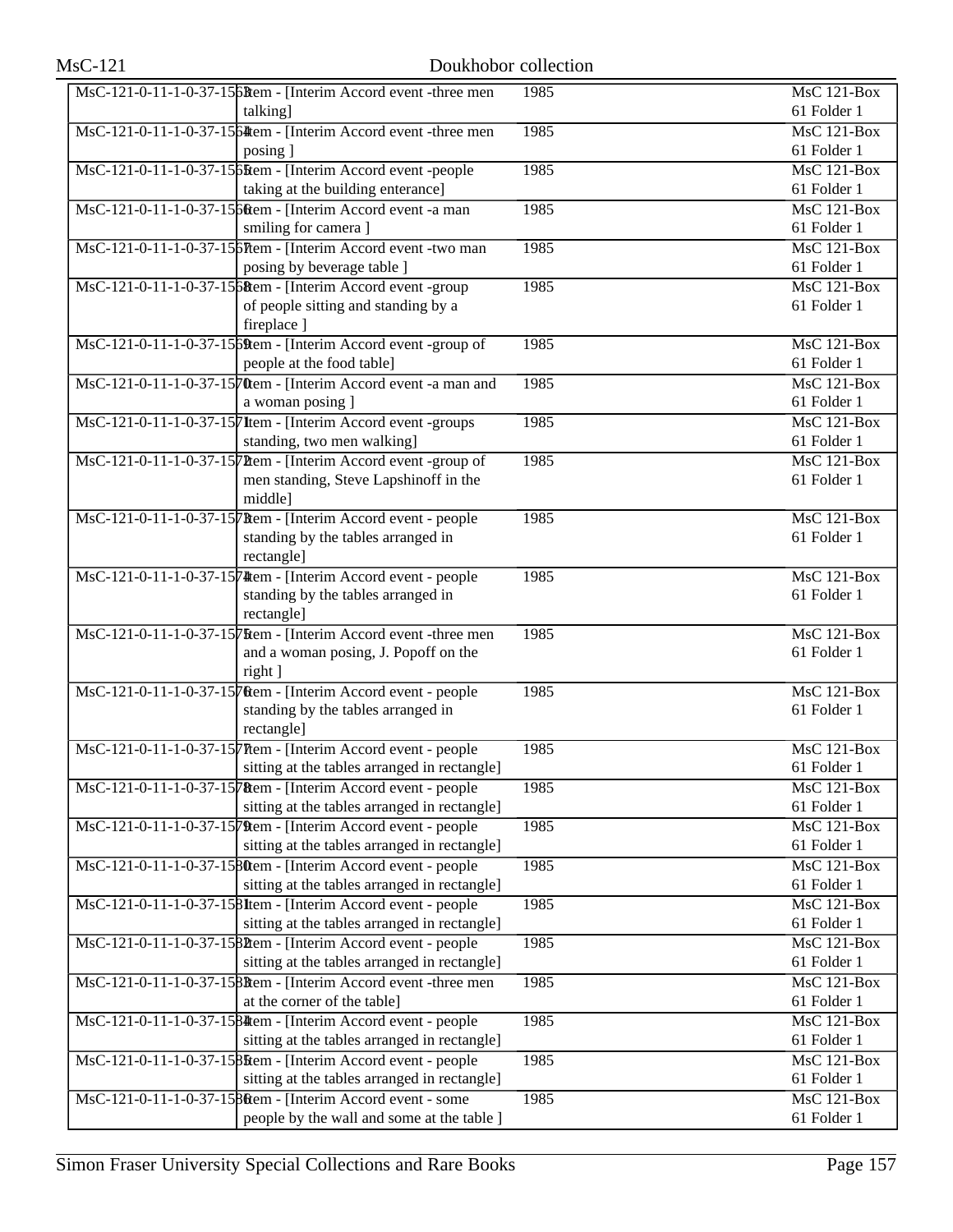| $MsC-121-0-11-1-0-37-156$ Rem - [Interim Accord event -three men | 1985 | MsC 121-Box        |
|------------------------------------------------------------------|------|--------------------|
| talking]                                                         |      | 61 Folder 1        |
| MsC-121-0-11-1-0-37-1564tem - [Interim Accord event -three men]  | 1985 | <b>MsC 121-Box</b> |
| posing ]                                                         |      | 61 Folder 1        |
| MsC-121-0-11-1-0-37-1565tem - [Interim Accord event -people      | 1985 | <b>MsC 121-Box</b> |
| taking at the building enterance]                                |      | 61 Folder 1        |
| MsC-121-0-11-1-0-37-15 6 tem - [Interim Accord event -a man      | 1985 | $MsC$ 121-Box      |
| smiling for camera ]                                             |      | 61 Folder 1        |
| MsC-121-0-11-1-0-37-156Ttem - [Interim Accord event -two man     | 1985 | $MsC$ 121-Box      |
| posing by beverage table ]                                       |      | 61 Folder 1        |
| MsC-121-0-11-1-0-37-15 http://www.faccord.event-group            | 1985 | <b>MsC 121-Box</b> |
| of people sitting and standing by a                              |      | 61 Folder 1        |
| fireplace ]                                                      |      |                    |
| MsC-121-0-11-1-0-37-1569tem - [Interim Accord event -group of    | 1985 | MsC 121-Box        |
| people at the food table]                                        |      | 61 Folder 1        |
| MsC-121-0-11-1-0-37-1570em - [Interim Accord event -a man and    | 1985 | MsC 121-Box        |
|                                                                  |      |                    |
| a woman posing ]                                                 |      | 61 Folder 1        |
| MsC-121-0-11-1-0-37-157 Item - [Interim Accord event -groups     | 1985 | $MsC$ 121-Box      |
| standing, two men walking]                                       |      | 61 Folder 1        |
| MsC-121-0-11-1-0-37-157 Them - [Interim Accord event -group of   | 1985 | $MsC$ 121-Box      |
| men standing, Steve Lapshinoff in the                            |      | 61 Folder 1        |
| middle]                                                          |      |                    |
| MsC-121-0-11-1-0-37-15 Rem - [Interim Accord event - people      | 1985 | $MsC$ 121-Box      |
| standing by the tables arranged in                               |      | 61 Folder 1        |
| rectangle]                                                       |      |                    |
| MsC-121-0-11-1-0-37-1574 tem - [Interim Accord event - people    | 1985 | MsC 121-Box        |
| standing by the tables arranged in                               |      | 61 Folder 1        |
| rectangle]                                                       |      |                    |
| MsC-121-0-11-1-0-37-1575 kem - [Interim Accord event -three men] | 1985 | MsC 121-Box        |
| and a woman posing, J. Popoff on the                             |      | 61 Folder 1        |
| right ]                                                          |      |                    |
| MsC-121-0-11-1-0-37-1570em - [Interim Accord event - people      | 1985 | MsC 121-Box        |
| standing by the tables arranged in                               |      | 61 Folder 1        |
| rectangle]                                                       |      |                    |
| MsC-121-0-11-1-0-37-157 Ttem - [Interim Accord event - people    | 1985 | MsC 121-Box        |
| sitting at the tables arranged in rectangle]                     |      | 61 Folder 1        |
| MsC-121-0-11-1-0-37-15 Rem - [Interim Accord event - people      | 1985 | <b>MsC 121-Box</b> |
| sitting at the tables arranged in rectangle]                     |      | 61 Folder 1        |
| MsC-121-0-11-1-0-37-1579tem - [Interim Accord event - people]    | 1985 | MsC 121-Box        |
| sitting at the tables arranged in rectangle]                     |      | 61 Folder 1        |
| MsC-121-0-11-1-0-37-1580tem - [Interim Accord event - people     | 1985 | $MsC$ 121-Box      |
| sitting at the tables arranged in rectangle]                     |      | 61 Folder 1        |
| MsC-121-0-11-1-0-37-158Item - [Interim Accord event - people]    | 1985 | MsC 121-Box        |
| sitting at the tables arranged in rectangle]                     |      | 61 Folder 1        |
| MsC-121-0-11-1-0-37-1582tem - [Interim Accord event - people     | 1985 | MsC 121-Box        |
| sitting at the tables arranged in rectangle]                     |      | 61 Folder 1        |
| MsC-121-0-11-1-0-37-158Rem - Herrim Accord event -three men      | 1985 | MsC 121-Box        |
| at the corner of the table]                                      |      | 61 Folder 1        |
| MsC-121-0-11-1-0-37-1584 tem - [Interim Accord event - people    | 1985 | MsC 121-Box        |
| sitting at the tables arranged in rectangle]                     |      | 61 Folder 1        |
| MsC-121-0-11-1-0-37-15 Bottom - [Interim Accord event - people   | 1985 | MsC 121-Box        |
| sitting at the tables arranged in rectangle]                     |      | 61 Folder 1        |
| MsC-121-0-11-1-0-37-15 8 tem - [Interim Accord event - some      | 1985 | MsC 121-Box        |
|                                                                  |      |                    |
| people by the wall and some at the table ]                       |      | 61 Folder 1        |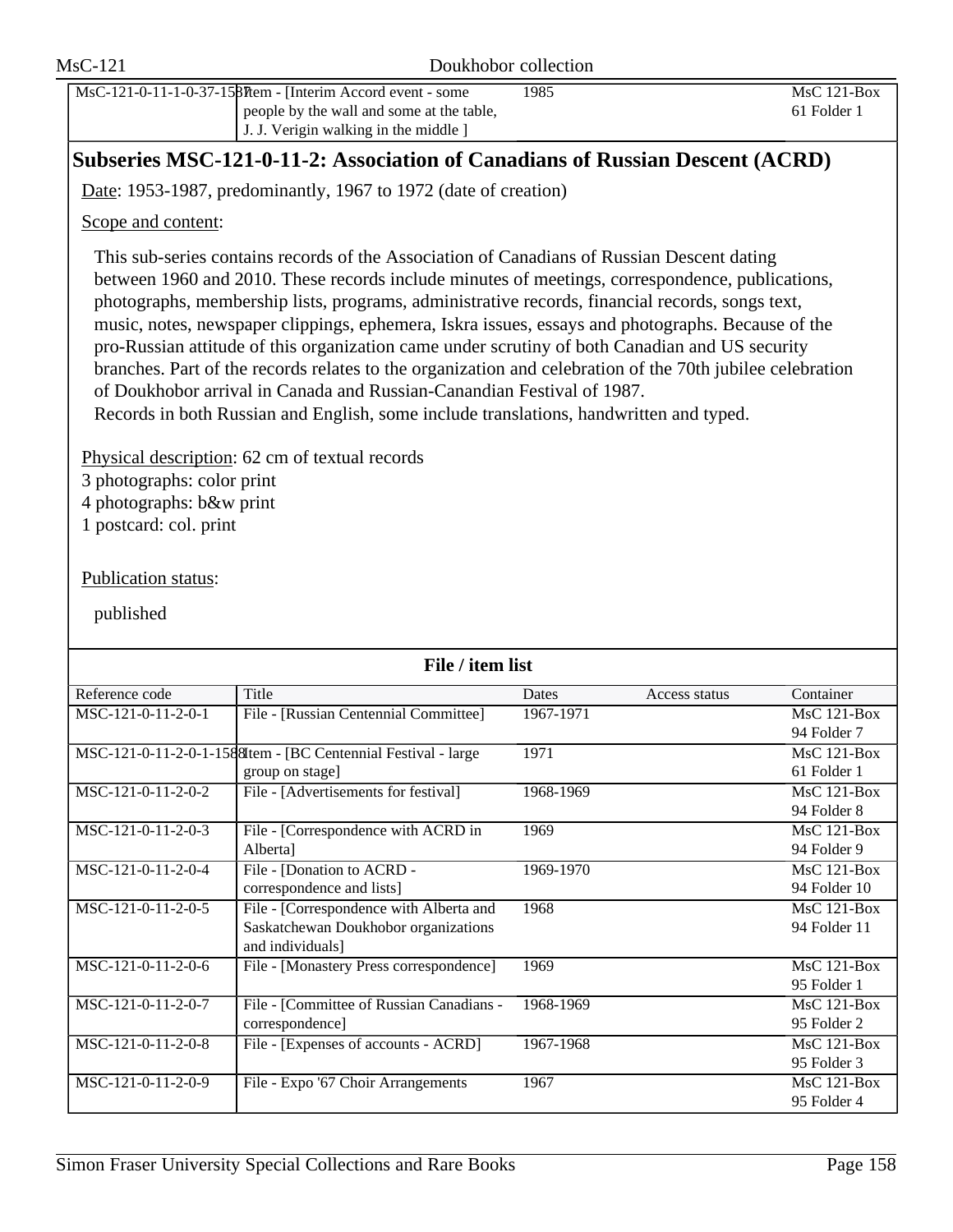|                                                                                                                      | Subseries MSC-121-0-11-2: Association of Canadians of Russian Descent (ACRD)                                                                                                                                                                                                                                                                                                                                                                                                                                                                                                                                                                                                                                                                                                             |           |               |                                   |
|----------------------------------------------------------------------------------------------------------------------|------------------------------------------------------------------------------------------------------------------------------------------------------------------------------------------------------------------------------------------------------------------------------------------------------------------------------------------------------------------------------------------------------------------------------------------------------------------------------------------------------------------------------------------------------------------------------------------------------------------------------------------------------------------------------------------------------------------------------------------------------------------------------------------|-----------|---------------|-----------------------------------|
|                                                                                                                      | Date: 1953-1987, predominantly, 1967 to 1972 (date of creation)                                                                                                                                                                                                                                                                                                                                                                                                                                                                                                                                                                                                                                                                                                                          |           |               |                                   |
| Scope and content:                                                                                                   |                                                                                                                                                                                                                                                                                                                                                                                                                                                                                                                                                                                                                                                                                                                                                                                          |           |               |                                   |
|                                                                                                                      | This sub-series contains records of the Association of Canadians of Russian Descent dating<br>between 1960 and 2010. These records include minutes of meetings, correspondence, publications,<br>photographs, membership lists, programs, administrative records, financial records, songs text,<br>music, notes, newspaper clippings, ephemera, Iskra issues, essays and photographs. Because of the<br>pro-Russian attitude of this organization came under scrutiny of both Canadian and US security<br>branches. Part of the records relates to the organization and celebration of the 70th jubilee celebration<br>of Doukhobor arrival in Canada and Russian-Canandian Festival of 1987.<br>Records in both Russian and English, some include translations, handwritten and typed. |           |               |                                   |
| 3 photographs: color print<br>4 photographs: b&w print<br>1 postcard: col. print<br>Publication status:<br>published | Physical description: 62 cm of textual records                                                                                                                                                                                                                                                                                                                                                                                                                                                                                                                                                                                                                                                                                                                                           |           |               |                                   |
|                                                                                                                      | File / item list                                                                                                                                                                                                                                                                                                                                                                                                                                                                                                                                                                                                                                                                                                                                                                         |           |               |                                   |
| Reference code                                                                                                       | Title                                                                                                                                                                                                                                                                                                                                                                                                                                                                                                                                                                                                                                                                                                                                                                                    | Dates     | Access status | Container                         |
| MSC-121-0-11-2-0-1                                                                                                   | File - [Russian Centennial Committee]                                                                                                                                                                                                                                                                                                                                                                                                                                                                                                                                                                                                                                                                                                                                                    | 1967-1971 |               | MsC 121-Box<br>94 Folder 7        |
|                                                                                                                      | MSC-121-0-11-2-0-1-158 Sttem - [BC Centennial Festival - large<br>group on stage]                                                                                                                                                                                                                                                                                                                                                                                                                                                                                                                                                                                                                                                                                                        | 1971      |               | $MsC$ 121-Box<br>61 Folder 1      |
| MSC-121-0-11-2-0-2                                                                                                   | File - [Advertisements for festival]                                                                                                                                                                                                                                                                                                                                                                                                                                                                                                                                                                                                                                                                                                                                                     | 1968-1969 |               | MsC 121-Box<br>94 Folder 8        |
| MSC-121-0-11-2-0-3                                                                                                   | File - [Correspondence with ACRD in<br>Alberta]                                                                                                                                                                                                                                                                                                                                                                                                                                                                                                                                                                                                                                                                                                                                          | 1969      |               | $MsC$ 121-Box<br>94 Folder 9      |
| MSC-121-0-11-2-0-4                                                                                                   | File - [Donation to ACRD -<br>correspondence and lists]                                                                                                                                                                                                                                                                                                                                                                                                                                                                                                                                                                                                                                                                                                                                  | 1969-1970 |               | $MsC$ 121-Box<br>94 Folder 10     |
| MSC-121-0-11-2-0-5                                                                                                   | File - [Correspondence with Alberta and<br>Saskatchewan Doukhobor organizations<br>and individuals]                                                                                                                                                                                                                                                                                                                                                                                                                                                                                                                                                                                                                                                                                      | 1968      |               | MsC 121-Box<br>94 Folder 11       |
| MSC-121-0-11-2-0-6                                                                                                   | File - [Monastery Press correspondence]                                                                                                                                                                                                                                                                                                                                                                                                                                                                                                                                                                                                                                                                                                                                                  | 1969      |               | MsC 121-Box<br>95 Folder 1        |
| MSC-121-0-11-2-0-7                                                                                                   | File - [Committee of Russian Canadians -<br>correspondence]                                                                                                                                                                                                                                                                                                                                                                                                                                                                                                                                                                                                                                                                                                                              | 1968-1969 |               | MsC 121-Box<br>95 Folder 2        |
| MSC-121-0-11-2-0-8                                                                                                   | File - [Expenses of accounts - ACRD]                                                                                                                                                                                                                                                                                                                                                                                                                                                                                                                                                                                                                                                                                                                                                     | 1967-1968 |               | $MsC$ 121-Box<br>95 Folder 3      |
| MSC-121-0-11-2-0-9                                                                                                   | File - Expo '67 Choir Arrangements                                                                                                                                                                                                                                                                                                                                                                                                                                                                                                                                                                                                                                                                                                                                                       | 1967      |               | <b>MsC 121-Box</b><br>95 Folder 4 |
|                                                                                                                      | Simon Fraser University Special Collections and Rare Books                                                                                                                                                                                                                                                                                                                                                                                                                                                                                                                                                                                                                                                                                                                               |           |               | Page 158                          |

people by the wall and some at the table, J. J. Verigin walking in the middle ]

1985 MsC 121-Box

61 Folder 1

MsC-121-0-11-1-0-37-1587Item - [Interim Accord event - some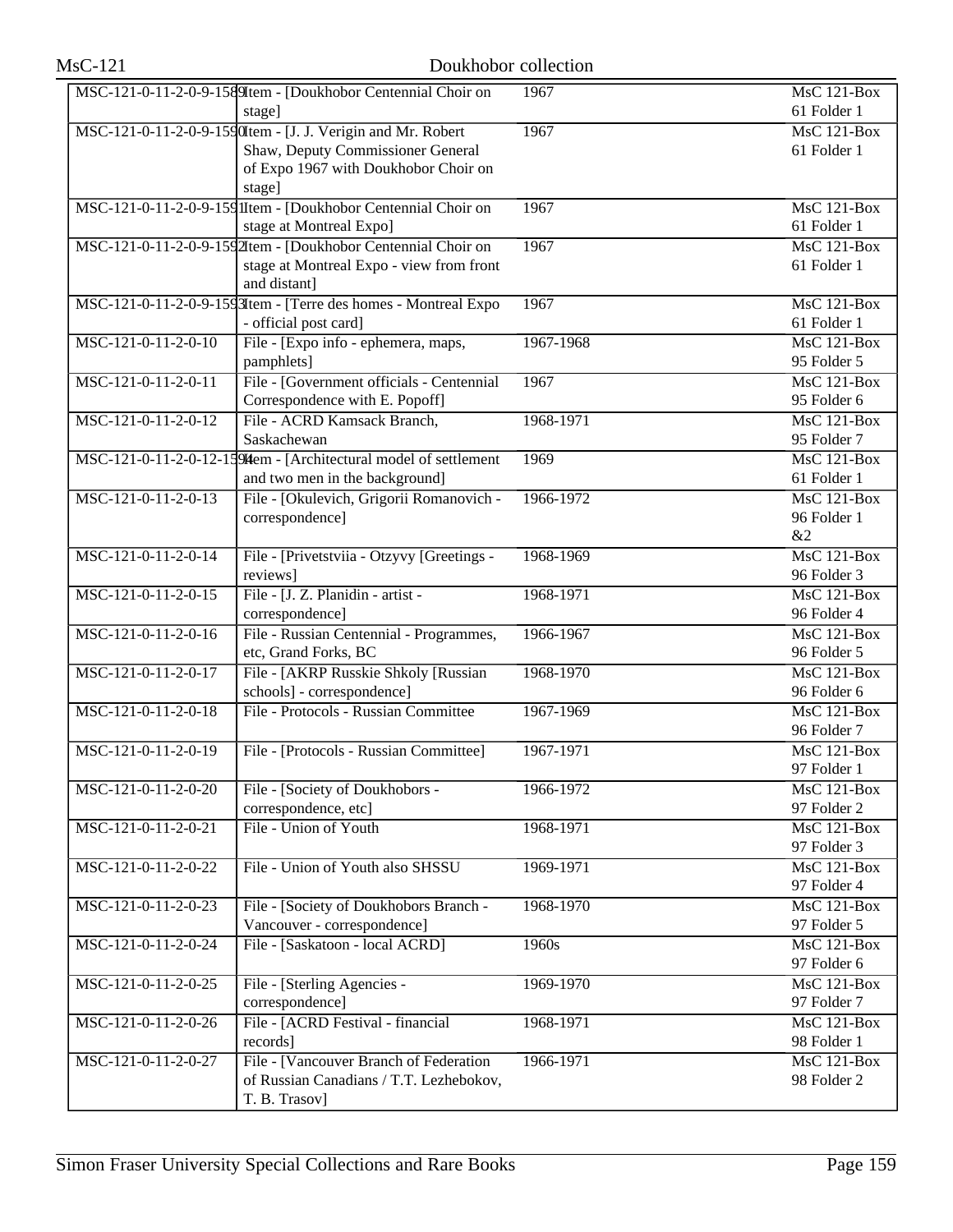|                       | MSC-121-0-11-2-0-9-1589 Item - [Doukhobor Centennial Choir on     | 1967      | MsC 121-Box        |
|-----------------------|-------------------------------------------------------------------|-----------|--------------------|
|                       | stage]                                                            |           | 61 Folder 1        |
|                       | MSC-121-0-11-2-0-9-1590Item - [J. J. Verigin and Mr. Robert       | 1967      | <b>MsC 121-Box</b> |
|                       | Shaw, Deputy Commissioner General                                 |           | 61 Folder 1        |
|                       | of Expo 1967 with Doukhobor Choir on                              |           |                    |
|                       | stage]                                                            |           |                    |
|                       | MSC-121-0-11-2-0-9-159 IItem - [Doukhobor Centennial Choir on     | 1967      | $MsC$ 121-Box      |
|                       | stage at Montreal Expo]                                           |           | 61 Folder 1        |
|                       | MSC-121-0-11-2-0-9-1592Item - [Doukhobor Centennial Choir on      | 1967      | $MsC$ 121-Box      |
|                       | stage at Montreal Expo - view from front                          |           | 61 Folder 1        |
|                       | and distant]                                                      |           |                    |
|                       | MSC-121-0-11-2-0-9-1593Item - [Terre des homes - Montreal Expo    | 1967      | MsC 121-Box        |
|                       | - official post card]                                             |           | 61 Folder 1        |
| MSC-121-0-11-2-0-10   | File - [Expo info - ephemera, maps,                               | 1967-1968 | $MsC$ 121-Box      |
|                       | pamphlets]                                                        |           | 95 Folder 5        |
| MSC-121-0-11-2-0-11   | File - [Government officials - Centennial                         | 1967      | $MsC$ 121-Box      |
|                       | Correspondence with E. Popoff]                                    |           | 95 Folder 6        |
| $MSC-121-0-11-2-0-12$ | File - ACRD Kamsack Branch,                                       | 1968-1971 | $MsC$ 121-Box      |
|                       | Saskachewan                                                       |           | 95 Folder 7        |
|                       | MSC-121-0-11-2-0-12-15 94tem - [Architectural model of settlement | 1969      | $MsC$ 121-Box      |
|                       | and two men in the background]                                    |           | 61 Folder 1        |
| $MSC-121-0-11-2-0-13$ | File - [Okulevich, Grigorii Romanovich -                          | 1966-1972 | <b>MsC 121-Box</b> |
|                       | correspondence]                                                   |           | 96 Folder 1        |
|                       |                                                                   |           | &2                 |
| MSC-121-0-11-2-0-14   | File - [Privetstviia - Otzyvy [Greetings -                        | 1968-1969 | $MsC$ 121-Box      |
|                       | reviews]                                                          |           | 96 Folder 3        |
| MSC-121-0-11-2-0-15   | File - [J. Z. Planidin - artist -                                 | 1968-1971 | <b>MsC 121-Box</b> |
|                       | correspondence]                                                   |           | 96 Folder 4        |
| MSC-121-0-11-2-0-16   | File - Russian Centennial - Programmes,                           | 1966-1967 | <b>MsC 121-Box</b> |
|                       | etc, Grand Forks, BC                                              |           | 96 Folder 5        |
| MSC-121-0-11-2-0-17   | File - [AKRP Russkie Shkoly [Russian                              | 1968-1970 | $MsC$ 121-Box      |
|                       | schools] - correspondence]                                        |           | 96 Folder 6        |
| MSC-121-0-11-2-0-18   | File - Protocols - Russian Committee                              | 1967-1969 | $MsC$ 121-Box      |
|                       |                                                                   |           | 96 Folder 7        |
| MSC-121-0-11-2-0-19   | File - [Protocols - Russian Committee]                            | 1967-1971 | <b>MsC 121-Box</b> |
|                       |                                                                   |           | 97 Folder 1        |
| MSC-121-0-11-2-0-20   | File - [Society of Doukhobors -                                   | 1966-1972 | MsC 121-Box        |
|                       | correspondence, etc]                                              |           | 97 Folder 2        |
| MSC-121-0-11-2-0-21   | File - Union of Youth                                             | 1968-1971 | MsC 121-Box        |
|                       |                                                                   |           | 97 Folder 3        |
| MSC-121-0-11-2-0-22   | File - Union of Youth also SHSSU                                  | 1969-1971 | MsC 121-Box        |
|                       |                                                                   |           | 97 Folder 4        |
| MSC-121-0-11-2-0-23   | File - [Society of Doukhobors Branch -                            | 1968-1970 | MsC 121-Box        |
|                       | Vancouver - correspondence]                                       |           | 97 Folder 5        |
| MSC-121-0-11-2-0-24   | File - [Saskatoon - local ACRD]                                   | 1960s     | $MsC$ 121-Box      |
|                       |                                                                   |           | 97 Folder 6        |
| MSC-121-0-11-2-0-25   | File - [Sterling Agencies -                                       | 1969-1970 | <b>MsC 121-Box</b> |
|                       | correspondence]                                                   |           | 97 Folder 7        |
| MSC-121-0-11-2-0-26   | File - [ACRD Festival - financial                                 | 1968-1971 | MsC 121-Box        |
|                       | records]                                                          |           | 98 Folder 1        |
| MSC-121-0-11-2-0-27   | File - [Vancouver Branch of Federation                            | 1966-1971 | MsC 121-Box        |
|                       | of Russian Canadians / T.T. Lezhebokov,                           |           | 98 Folder 2        |
|                       | T. B. Trasov]                                                     |           |                    |
|                       |                                                                   |           |                    |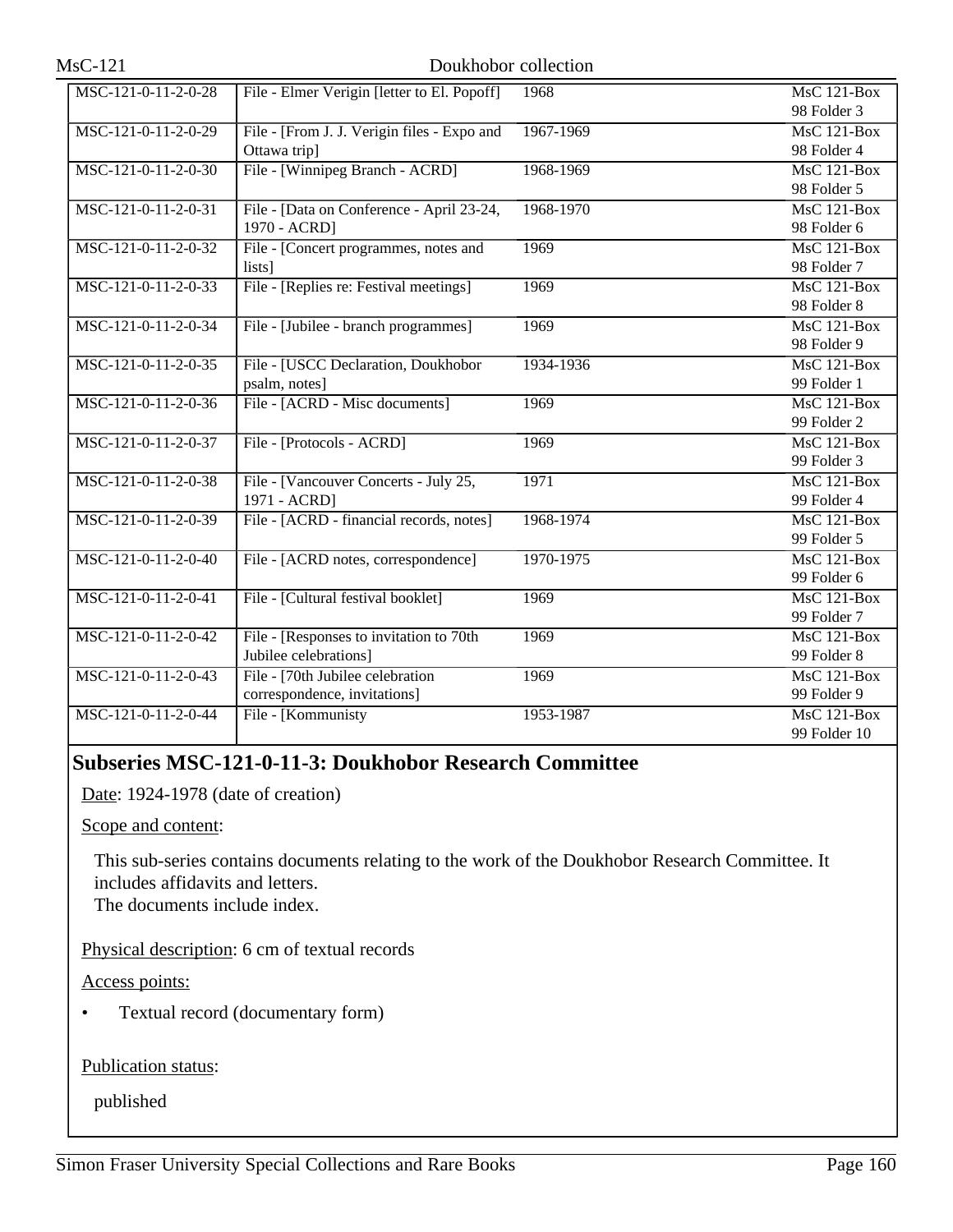| $MSC-121-0-11-2-0-28$ | File - Elmer Verigin [letter to El. Popoff] | 1968      | MsC 121-Box                     |
|-----------------------|---------------------------------------------|-----------|---------------------------------|
|                       |                                             |           | 98 Folder 3                     |
| MSC-121-0-11-2-0-29   | File - [From J. J. Verigin files - Expo and | 1967-1969 | $MsC$ 121-Box                   |
|                       | Ottawa trip]                                |           | 98 Folder 4                     |
| MSC-121-0-11-2-0-30   | File - [Winnipeg Branch - ACRD]             | 1968-1969 | $MsC$ 121-Box                   |
|                       |                                             |           | 98 Folder 5                     |
| MSC-121-0-11-2-0-31   | File - [Data on Conference - April 23-24,   | 1968-1970 | $\overline{\text{MsC 121-Box}}$ |
|                       | 1970 - ACRD]                                |           | 98 Folder 6                     |
| MSC-121-0-11-2-0-32   | File - [Concert programmes, notes and       | 1969      | <b>MsC 121-Box</b>              |
|                       | lists]                                      |           | 98 Folder 7                     |
| MSC-121-0-11-2-0-33   | File - [Replies re: Festival meetings]      | 1969      | <b>MsC 121-Box</b>              |
|                       |                                             |           | 98 Folder 8                     |
| MSC-121-0-11-2-0-34   | File - [Jubilee - branch programmes]        | 1969      | $MsC$ 121-Box                   |
|                       |                                             |           | 98 Folder 9                     |
| MSC-121-0-11-2-0-35   | File - [USCC Declaration, Doukhobor         | 1934-1936 | MsC 121-Box                     |
|                       | psalm, notes]                               |           | 99 Folder 1                     |
| MSC-121-0-11-2-0-36   | File - [ACRD - Misc documents]              | 1969      | $MsC$ 121-Box                   |
|                       |                                             |           | 99 Folder 2                     |
| MSC-121-0-11-2-0-37   | File - [Protocols - ACRD]                   | 1969      | <b>MsC 121-Box</b>              |
|                       |                                             |           | 99 Folder 3                     |
| MSC-121-0-11-2-0-38   | File - [Vancouver Concerts - July 25,       | 1971      | MsC 121-Box                     |
|                       | 1971 - ACRD]                                |           | 99 Folder 4                     |
| MSC-121-0-11-2-0-39   | File - [ACRD - financial records, notes]    | 1968-1974 | $MsC$ 121-Box                   |
|                       |                                             |           | 99 Folder 5                     |
| MSC-121-0-11-2-0-40   | File - [ACRD notes, correspondence]         | 1970-1975 | <b>MsC 121-Box</b>              |
|                       |                                             |           | 99 Folder 6                     |
| MSC-121-0-11-2-0-41   | File - [Cultural festival booklet]          | 1969      | $MsC$ 121-Box                   |
|                       |                                             |           | 99 Folder 7                     |
| MSC-121-0-11-2-0-42   | File - [Responses to invitation to 70th     | 1969      | <b>MsC 121-Box</b>              |
|                       | Jubilee celebrations]                       |           | 99 Folder 8                     |
| MSC-121-0-11-2-0-43   | File - [70th Jubilee celebration            | 1969      | MsC 121-Box                     |
|                       | correspondence, invitations]                |           | 99 Folder 9                     |
| MSC-121-0-11-2-0-44   | File - [Kommunisty                          | 1953-1987 | <b>MsC 121-Box</b>              |
|                       |                                             |           | 99 Folder 10                    |

# **Subseries MSC-121-0-11-3: Doukhobor Research Committee**

Date: 1924-1978 (date of creation)

Scope and content:

This sub-series contains documents relating to the work of the Doukhobor Research Committee. It includes affidavits and letters.

The documents include index.

Physical description: 6 cm of textual records

Access points:

• Textual record (documentary form)

Publication status: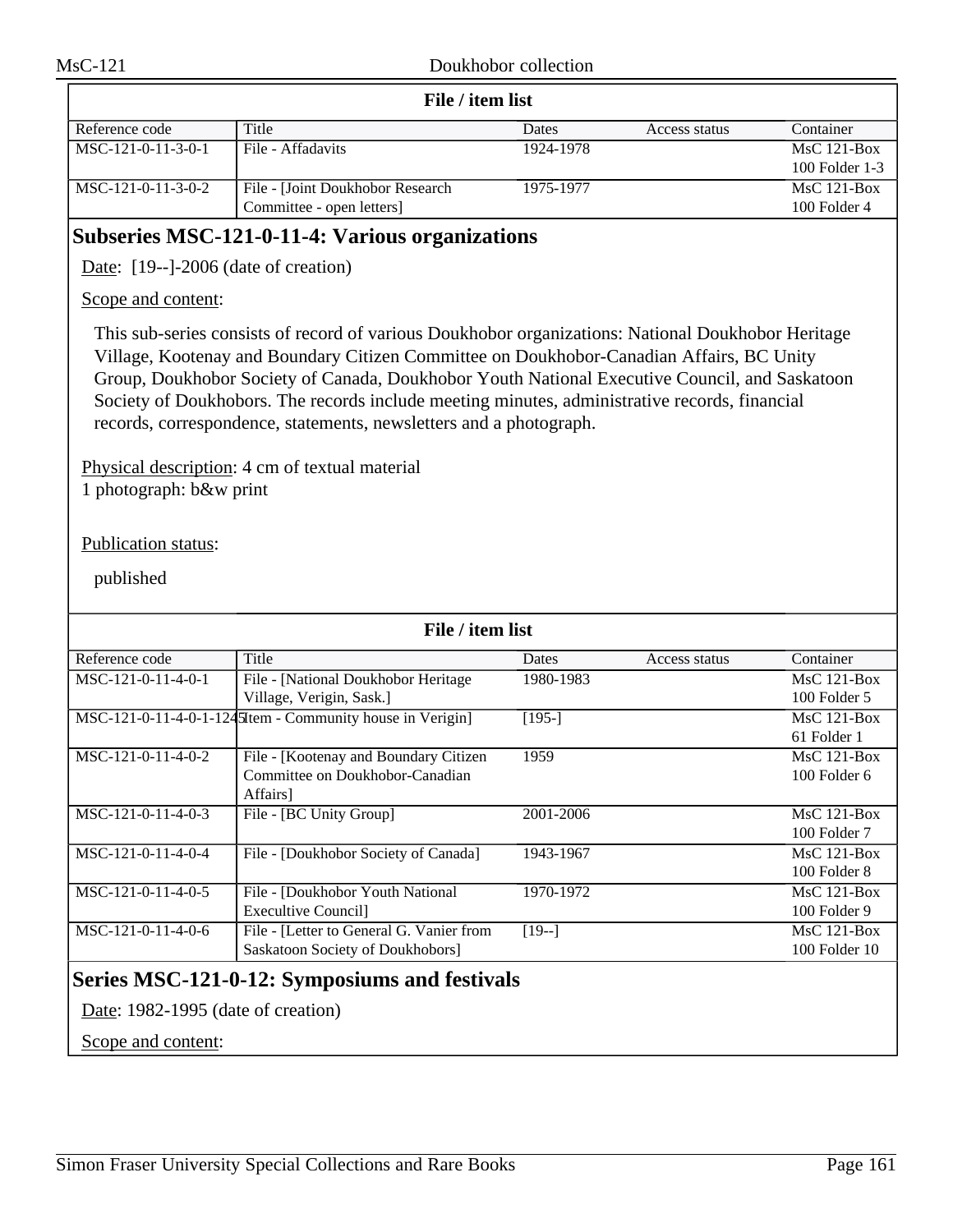| File / item list     |                                  |           |               |                |  |
|----------------------|----------------------------------|-----------|---------------|----------------|--|
| Reference code       | Title                            | Dates     | Access status | Container      |  |
| $MSC-121-0-11-3-0-1$ | File - Affadavits                | 1924-1978 |               | $MsC$ 121-Box  |  |
|                      |                                  |           |               | 100 Folder 1-3 |  |
| MSC-121-0-11-3-0-2   | File - [Joint Doukhobor Research | 1975-1977 |               | $MsC$ 121-Box  |  |
|                      | Committee - open letters         |           |               | $100$ Folder 4 |  |

# **Subseries MSC-121-0-11-4: Various organizations**

Date: [19--]-2006 (date of creation)

#### Scope and content:

This sub-series consists of record of various Doukhobor organizations: National Doukhobor Heritage Village, Kootenay and Boundary Citizen Committee on Doukhobor-Canadian Affairs, BC Unity Group, Doukhobor Society of Canada, Doukhobor Youth National Executive Council, and Saskatoon Society of Doukhobors. The records include meeting minutes, administrative records, financial records, correspondence, statements, newsletters and a photograph.

Physical description: 4 cm of textual material 1 photograph: b&w print

#### Publication status:

published

| File / item list                              |                                                           |           |               |                   |
|-----------------------------------------------|-----------------------------------------------------------|-----------|---------------|-------------------|
| Reference code                                | Title                                                     | Dates     | Access status | Container         |
| MSC-121-0-11-4-0-1                            | File - [National Doukhobor Heritage]                      | 1980-1983 |               | $MsC$ 121-Box     |
|                                               | Village, Verigin, Sask.]                                  |           |               | 100 Folder 5      |
|                                               | MSC-121-0-11-4-0-1-1245Item - Community house in Verigin] | $[195-]$  |               | $MsC$ 121-Box     |
|                                               |                                                           |           |               | 61 Folder 1       |
| $MSC-121-0-11-4-0-2$                          | File - [Kootenay and Boundary Citizen]                    | 1959      |               | $MsC$ 121-Box     |
|                                               | Committee on Doukhobor-Canadian                           |           |               | $100$ Folder $6$  |
|                                               | Affairs]                                                  |           |               |                   |
| $MSC-121-0-11-4-0-3$                          | File - [BC Unity Group]                                   | 2001-2006 |               | $MsC$ 121-Box     |
|                                               |                                                           |           |               | 100 Folder 7      |
| MSC-121-0-11-4-0-4                            | File - [Doukhobor Society of Canada]                      | 1943-1967 |               | $MsC$ 121-Box     |
|                                               |                                                           |           |               | 100 Folder 8      |
| $MSC-121-0-11-4-0-5$                          | File - [Doukhobor Youth National]                         | 1970-1972 |               | $MsC$ 121-Box     |
|                                               | Execultive Council]                                       |           |               | 100 Folder 9      |
| MSC-121-0-11-4-0-6                            | File - [Letter to General G. Vanier from                  | $[19-]$   |               | $MsC$ 121-Box     |
|                                               | Saskatoon Society of Doukhobors]                          |           |               | $100$ Folder $10$ |
| Series MSC-121-0-12: Symposiums and festivals |                                                           |           |               |                   |

Date: 1982-1995 (date of creation)

Scope and content: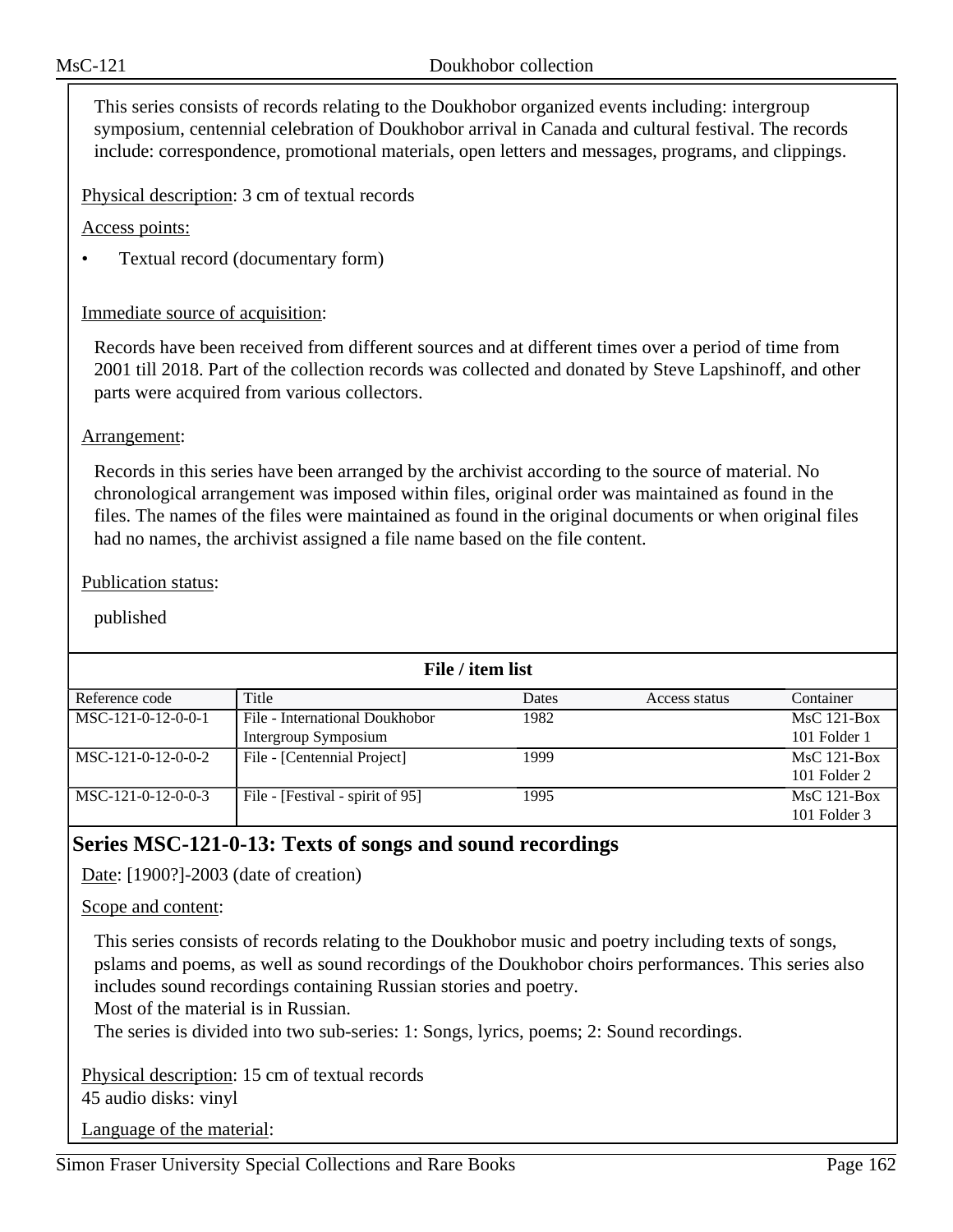This series consists of records relating to the Doukhobor organized events including: intergroup symposium, centennial celebration of Doukhobor arrival in Canada and cultural festival. The records include: correspondence, promotional materials, open letters and messages, programs, and clippings.

Physical description: 3 cm of textual records

Access points:

• Textual record (documentary form)

### Immediate source of acquisition:

Records have been received from different sources and at different times over a period of time from 2001 till 2018. Part of the collection records was collected and donated by Steve Lapshinoff, and other parts were acquired from various collectors.

#### Arrangement:

Records in this series have been arranged by the archivist according to the source of material. No chronological arrangement was imposed within files, original order was maintained as found in the files. The names of the files were maintained as found in the original documents or when original files had no names, the archivist assigned a file name based on the file content.

#### Publication status:

published

| File / item list     |                                  |       |               |                  |  |
|----------------------|----------------------------------|-------|---------------|------------------|--|
| Reference code       | Title                            | Dates | Access status | Container        |  |
| MSC-121-0-12-0-0-1   | File - International Doukhobor   | 1982  |               | $MsC$ 121-Box    |  |
|                      | Intergroup Symposium             |       |               | 101 Folder 1     |  |
| $MSC-121-0-12-0-0-2$ | File - [Centennial Project]      | 1999  |               | $MsC$ 121-Box    |  |
|                      |                                  |       |               | 101 Folder 2     |  |
| $MSC-121-0-12-0-0-3$ | File - [Festival - spirit of 95] | 1995  |               | $MsC$ 121-Box    |  |
|                      |                                  |       |               | $101$ Folder $3$ |  |

# **Series MSC-121-0-13: Texts of songs and sound recordings**

Date: [1900?]-2003 (date of creation)

#### Scope and content:

This series consists of records relating to the Doukhobor music and poetry including texts of songs, pslams and poems, as well as sound recordings of the Doukhobor choirs performances. This series also includes sound recordings containing Russian stories and poetry.

Most of the material is in Russian.

The series is divided into two sub-series: 1: Songs, lyrics, poems; 2: Sound recordings.

Physical description: 15 cm of textual records 45 audio disks: vinyl

Language of the material: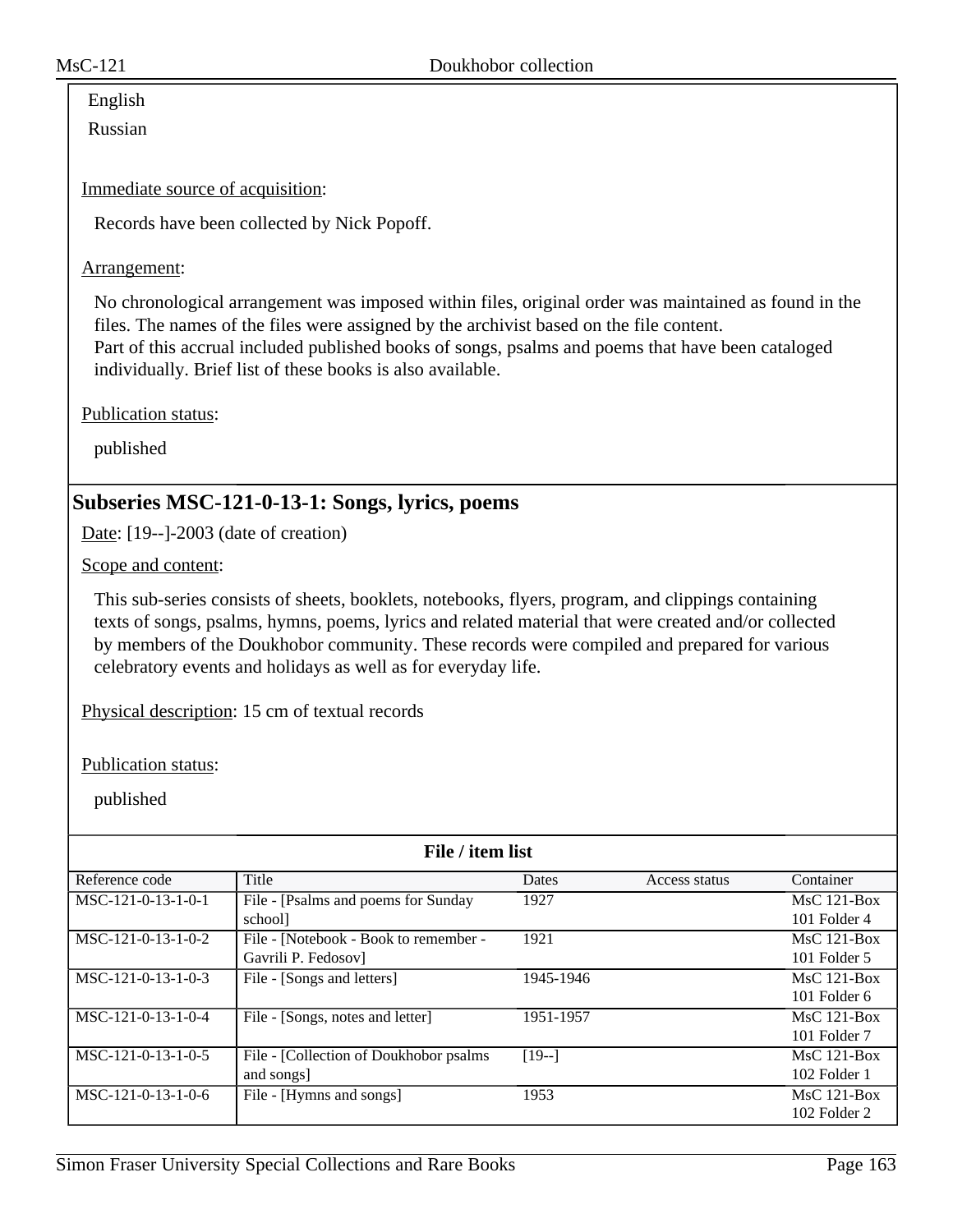# English

Russian

Immediate source of acquisition:

Records have been collected by Nick Popoff.

### Arrangement:

No chronological arrangement was imposed within files, original order was maintained as found in the files. The names of the files were assigned by the archivist based on the file content. Part of this accrual included published books of songs, psalms and poems that have been cataloged individually. Brief list of these books is also available.

Publication status:

published

# **Subseries MSC-121-0-13-1: Songs, lyrics, poems**

Date: [19--]-2003 (date of creation)

Scope and content:

This sub-series consists of sheets, booklets, notebooks, flyers, program, and clippings containing texts of songs, psalms, hymns, poems, lyrics and related material that were created and/or collected by members of the Doukhobor community. These records were compiled and prepared for various celebratory events and holidays as well as for everyday life.

Physical description: 15 cm of textual records

Publication status:

| File / item list     |                                         |           |               |                |  |
|----------------------|-----------------------------------------|-----------|---------------|----------------|--|
| Reference code       | Title                                   | Dates     | Access status | Container      |  |
| $MSC-121-0-13-1-0-1$ | File - [Psalms and poems for Sunday     | 1927      |               | $MsC$ 121-Box  |  |
|                      | school]                                 |           |               | 101 Folder 4   |  |
| MSC-121-0-13-1-0-2   | File - [Notebook - Book to remember -   | 1921      |               | $MsC$ 121-Box  |  |
|                      | Gavrili P. Fedosov                      |           |               | $101$ Folder 5 |  |
| MSC-121-0-13-1-0-3   | File - [Songs and letters]              | 1945-1946 |               | $MsC$ 121-Box  |  |
|                      |                                         |           |               | $101$ Folder 6 |  |
| $MSC-121-0-13-1-0-4$ | File - [Songs, notes and letter]        | 1951-1957 |               | $MsC$ 121-Box  |  |
|                      |                                         |           |               | 101 Folder 7   |  |
| $MSC-121-0-13-1-0-5$ | File - [Collection of Doukhobor psalms] | $[19-]$   |               | $MsC$ 121-Box  |  |
|                      | and songs]                              |           |               | 102 Folder 1   |  |
| $MSC-121-0-13-1-0-6$ | File - [Hymns and songs]                | 1953      |               | $MsC$ 121-Box  |  |
|                      |                                         |           |               | 102 Folder 2   |  |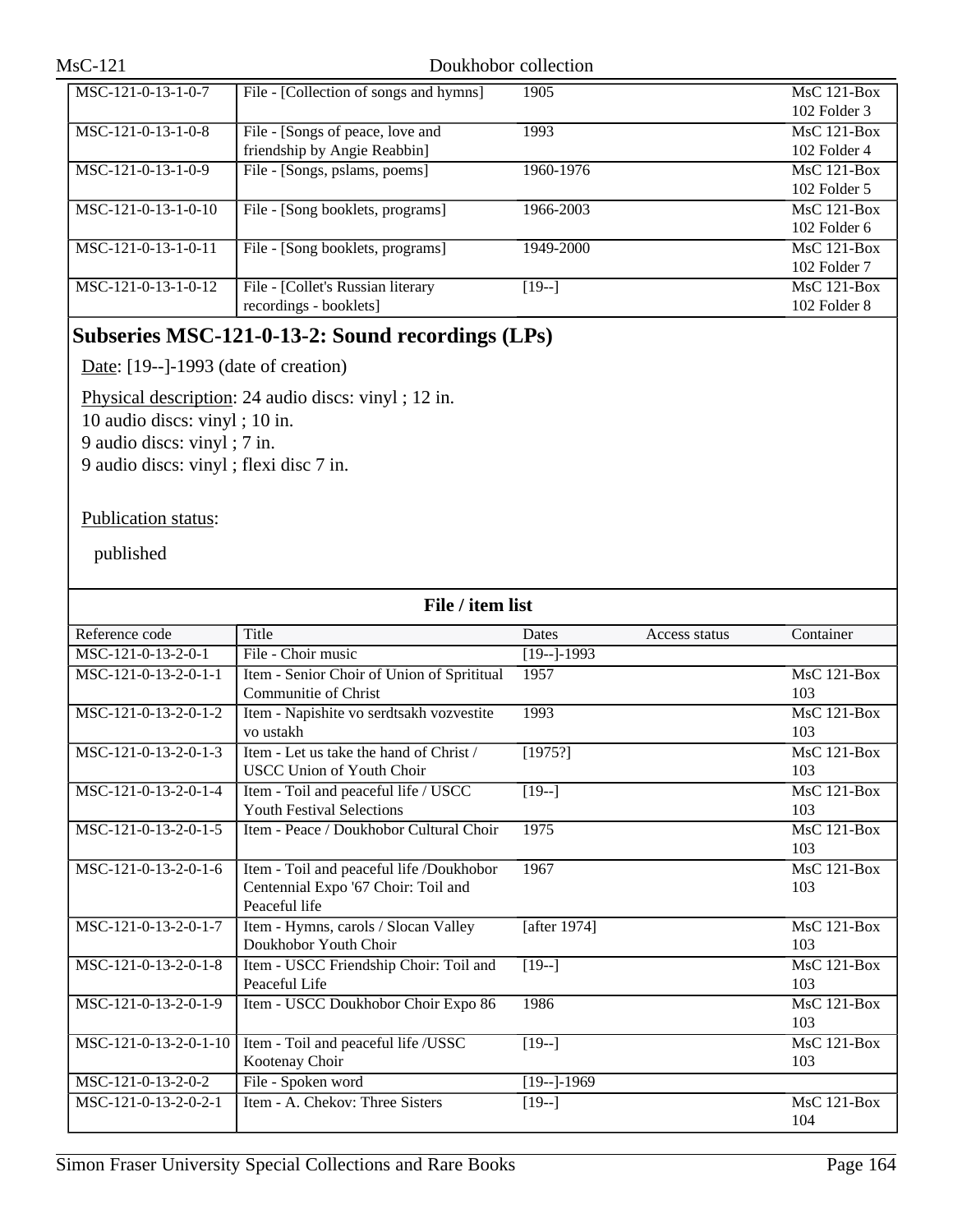| MSC-121-0-13-1-0-7    | File - [Collection of songs and hymns] | 1905      | $MsC$ 121-Box    |
|-----------------------|----------------------------------------|-----------|------------------|
|                       |                                        |           | $102$ Folder $3$ |
| $MSC-121-0-13-1-0-8$  | File - [Songs of peace, love and       | 1993      | $MsC$ 121-Box    |
|                       | friendship by Angie Reabbin]           |           | $102$ Folder 4   |
| MSC-121-0-13-1-0-9    | File - [Songs, pslams, poems]          | 1960-1976 | $MsC$ 121-Box    |
|                       |                                        |           | 102 Folder 5     |
| MSC-121-0-13-1-0-10   | File - [Song booklets, programs]       | 1966-2003 | $MsC$ 121-Box    |
|                       |                                        |           | 102 Folder 6     |
| MSC-121-0-13-1-0-11   | File - [Song booklets, programs]       | 1949-2000 | $MsC$ 121-Box    |
|                       |                                        |           | 102 Folder 7     |
| $MSC-121-0-13-1-0-12$ | File - [Collet's Russian literary      | $[19-]$   | $MsC$ 121-Box    |
|                       | recordings - booklets]                 |           | 102 Folder 8     |

# **Subseries MSC-121-0-13-2: Sound recordings (LPs)**

Date: [19--]-1993 (date of creation)

Physical description: 24 audio discs: vinyl ; 12 in.

10 audio discs: vinyl ; 10 in.

9 audio discs: vinyl ; 7 in.

9 audio discs: vinyl ; flexi disc 7 in.

#### Publication status:

| File / item list      |                                            |                |               |                    |
|-----------------------|--------------------------------------------|----------------|---------------|--------------------|
| Reference code        | Title                                      | Dates          | Access status | Container          |
| MSC-121-0-13-2-0-1    | File - Choir music                         | $[19--]$ -1993 |               |                    |
| MSC-121-0-13-2-0-1-1  | Item - Senior Choir of Union of Sprititual | 1957           |               | $MsC$ 121-Box      |
|                       | Communitie of Christ                       |                |               | 103                |
| MSC-121-0-13-2-0-1-2  | Item - Napishite vo serdtsakh vozvestite   | 1993           |               | $MsC$ 121-Box      |
|                       | vo ustakh                                  |                |               | 103                |
| MSC-121-0-13-2-0-1-3  | Item - Let us take the hand of Christ /    | [1975!]        |               | <b>MsC 121-Box</b> |
|                       | <b>USCC Union of Youth Choir</b>           |                |               | 103                |
| MSC-121-0-13-2-0-1-4  | Item - Toil and peaceful life / USCC       | $[19-]$        |               | <b>MsC 121-Box</b> |
|                       | <b>Youth Festival Selections</b>           |                |               | 103                |
| MSC-121-0-13-2-0-1-5  | Item - Peace / Doukhobor Cultural Choir    | 1975           |               | MsC 121-Box        |
|                       |                                            |                |               | 103                |
| MSC-121-0-13-2-0-1-6  | Item - Toil and peaceful life /Doukhobor   | 1967           |               | $MsC$ 121-Box      |
|                       | Centennial Expo '67 Choir: Toil and        |                |               | 103                |
|                       | Peaceful life                              |                |               |                    |
| MSC-121-0-13-2-0-1-7  | Item - Hymns, carols / Slocan Valley       | [after 1974]   |               | MsC 121-Box        |
|                       | Doukhobor Youth Choir                      |                |               | 103                |
| MSC-121-0-13-2-0-1-8  | Item - USCC Friendship Choir: Toil and     | $[19-]$        |               | $MsC$ 121-Box      |
|                       | Peaceful Life                              |                |               | 103                |
| MSC-121-0-13-2-0-1-9  | Item - USCC Doukhobor Choir Expo 86        | 1986           |               | MsC 121-Box        |
|                       |                                            |                |               | 103                |
| MSC-121-0-13-2-0-1-10 | Item - Toil and peaceful life /USSC        | $[19-]$        |               | MsC 121-Box        |
|                       | Kootenay Choir                             |                |               | 103                |
| MSC-121-0-13-2-0-2    | File - Spoken word                         | $[19-]-1969$   |               |                    |
| MSC-121-0-13-2-0-2-1  | Item - A. Chekov: Three Sisters            | $[19-]$        |               | MsC 121-Box        |
|                       |                                            |                |               | 104                |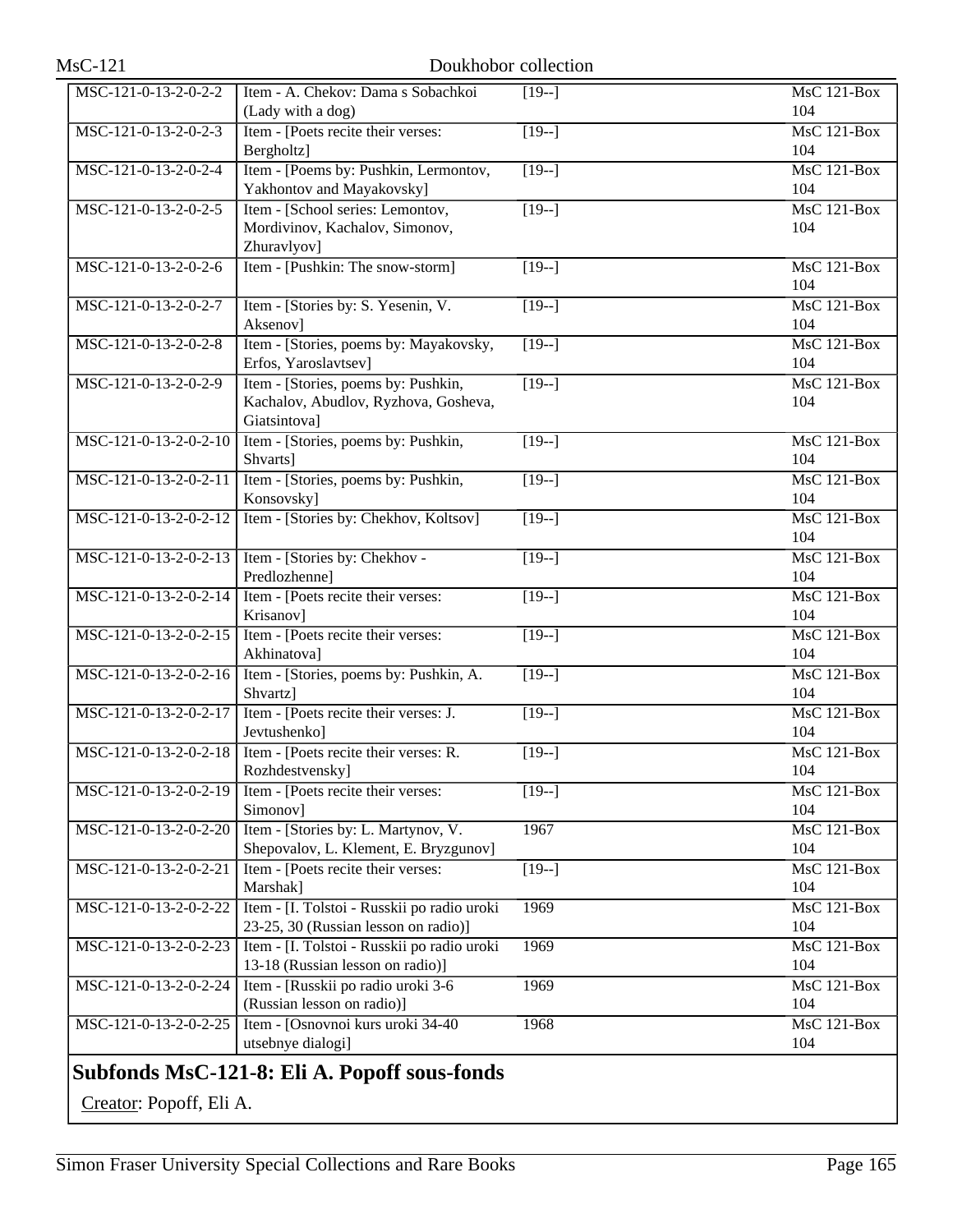| $MsC-121$             |                                                                                             | Doukhobor collection |                           |
|-----------------------|---------------------------------------------------------------------------------------------|----------------------|---------------------------|
| MSC-121-0-13-2-0-2-2  | Item - A. Chekov: Dama s Sobachkoi<br>(Lady with a dog)                                     | $[19-]$              | $MsC$ 121-Box<br>104      |
| MSC-121-0-13-2-0-2-3  | Item - [Poets recite their verses:<br>Bergholtz]                                            | $[19-]$              | $MsC$ 121-Box<br>104      |
| MSC-121-0-13-2-0-2-4  | Item - [Poems by: Pushkin, Lermontov,<br>Yakhontov and Mayakovsky]                          | $[19-]$              | $MsC$ 121-Box<br>104      |
| MSC-121-0-13-2-0-2-5  | Item - [School series: Lemontov,<br>Mordivinov, Kachalov, Simonov,<br>Zhuravlyov]           | $\sqrt{19-1}$        | MsC 121-Box<br>104        |
| MSC-121-0-13-2-0-2-6  | Item - [Pushkin: The snow-storm]                                                            | $[19-]$              | MsC 121-Box<br>104        |
| MSC-121-0-13-2-0-2-7  | Item - [Stories by: S. Yesenin, V.<br>Aksenov]                                              | $\sqrt{19-1}$        | $MsC$ 121-Box<br>104      |
| MSC-121-0-13-2-0-2-8  | Item - [Stories, poems by: Mayakovsky,<br>Erfos, Yaroslavtsev]                              | $\sqrt{19-1}$        | <b>MsC 121-Box</b><br>104 |
| MSC-121-0-13-2-0-2-9  | Item - [Stories, poems by: Pushkin,<br>Kachalov, Abudlov, Ryzhova, Gosheva,<br>Giatsintova] | $\overline{[19-]}$   | MsC 121-Box<br>104        |
| MSC-121-0-13-2-0-2-10 | Item - [Stories, poems by: Pushkin,<br>Shvarts]                                             | $[19-]$              | $MsC$ 121-Box<br>104      |
| MSC-121-0-13-2-0-2-11 | Item - [Stories, poems by: Pushkin,<br>Konsovsky]                                           | $\overline{[19-]}$   | <b>MsC 121-Box</b><br>104 |
| MSC-121-0-13-2-0-2-12 | Item - [Stories by: Chekhov, Koltsov]                                                       | $\overline{119}$ -]  | MsC 121-Box<br>104        |
| MSC-121-0-13-2-0-2-13 | Item - [Stories by: Chekhov -<br>Predlozhenne]                                              | $\overline{[19-]}$   | $MsC$ 121-Box<br>104      |
| MSC-121-0-13-2-0-2-14 | Item - [Poets recite their verses:<br>Krisanov]                                             | $[19-]$              | <b>MsC 121-Box</b><br>104 |
| MSC-121-0-13-2-0-2-15 | Item - [Poets recite their verses:<br>Akhinatova]                                           | $\overline{19-1}$    | MsC 121-Box<br>104        |
| MSC-121-0-13-2-0-2-16 | Item - [Stories, poems by: Pushkin, A.<br>Shvartz]                                          | $[19-]$              | $MsC$ 121-Box<br>104      |
| MSC-121-0-13-2-0-2-17 | Item - [Poets recite their verses: J.<br>Jevtushenko]                                       | $[19-]$              | MsC 121-Box<br>104        |
| MSC-121-0-13-2-0-2-18 | Item - [Poets recite their verses: R.<br>Rozhdestvensky]                                    | $ 19-1 $             | $MsC$ 121-Box<br>104      |
| MSC-121-0-13-2-0-2-19 | Item - [Poets recite their verses:<br>Simonov]                                              | $[19-]$              | MsC 121-Box<br>104        |
| MSC-121-0-13-2-0-2-20 | Item - [Stories by: L. Martynov, V.<br>Shepovalov, L. Klement, E. Bryzgunov]                | 1967                 | <b>MsC 121-Box</b><br>104 |
| MSC-121-0-13-2-0-2-21 | Item - [Poets recite their verses:<br>Marshak]                                              | $[19-]$              | MsC 121-Box<br>104        |
| MSC-121-0-13-2-0-2-22 | Item - [I. Tolstoi - Russkii po radio uroki<br>23-25, 30 (Russian lesson on radio)]         | 1969                 | MsC 121-Box<br>104        |
| MSC-121-0-13-2-0-2-23 | Item - [I. Tolstoi - Russkii po radio uroki<br>13-18 (Russian lesson on radio)]             | 1969                 | MsC 121-Box<br>104        |
| MSC-121-0-13-2-0-2-24 | Item - [Russkii po radio uroki 3-6<br>(Russian lesson on radio)]                            | 1969                 | MsC 121-Box<br>104        |
| MSC-121-0-13-2-0-2-25 | Item - [Osnovnoi kurs uroki 34-40<br>utsebnye dialogi]                                      | 1968                 | MsC 121-Box<br>104        |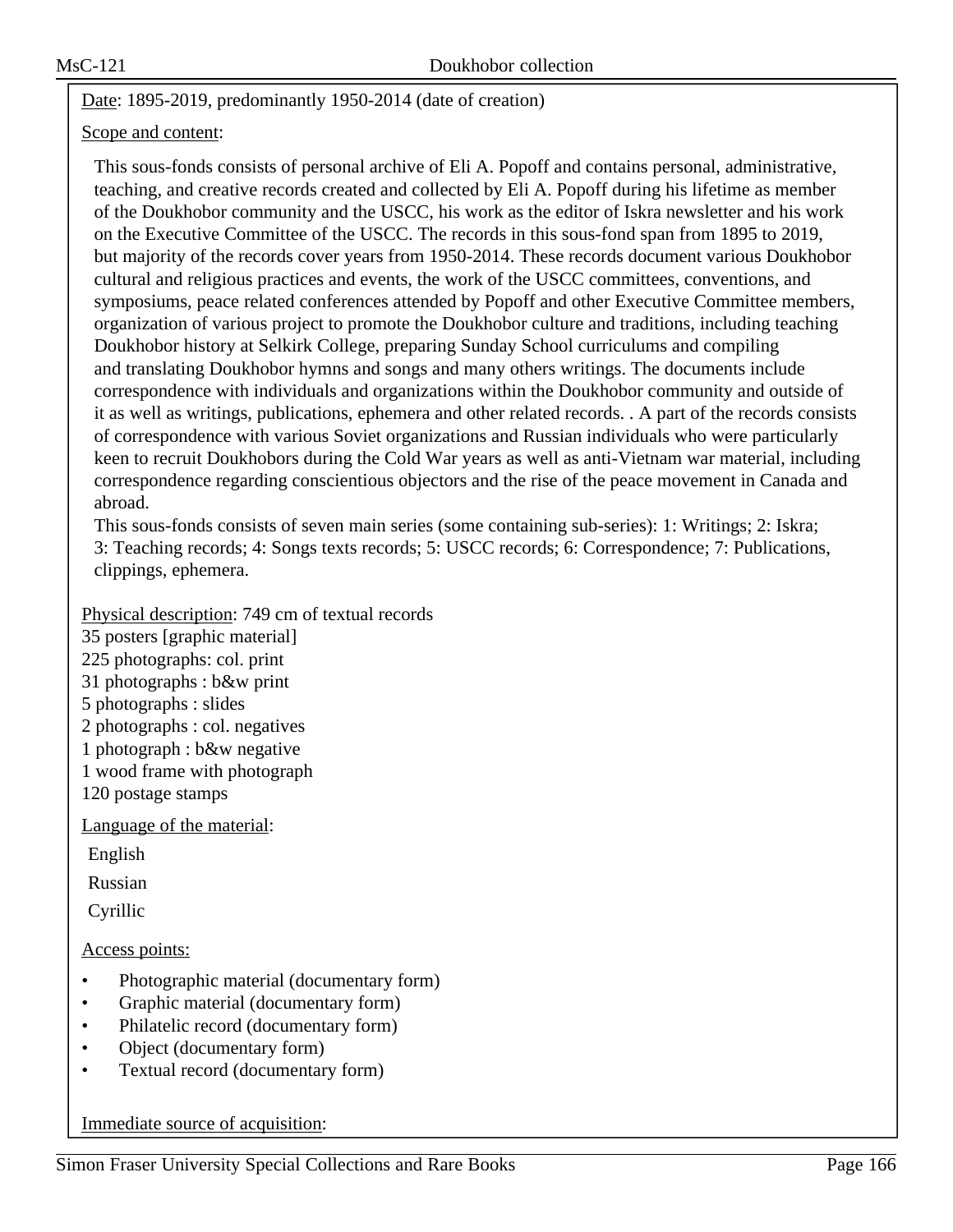# Date: 1895-2019, predominantly 1950-2014 (date of creation)

### Scope and content:

This sous-fonds consists of personal archive of Eli A. Popoff and contains personal, administrative, teaching, and creative records created and collected by Eli A. Popoff during his lifetime as member of the Doukhobor community and the USCC, his work as the editor of Iskra newsletter and his work on the Executive Committee of the USCC. The records in this sous-fond span from 1895 to 2019, but majority of the records cover years from 1950-2014. These records document various Doukhobor cultural and religious practices and events, the work of the USCC committees, conventions, and symposiums, peace related conferences attended by Popoff and other Executive Committee members, organization of various project to promote the Doukhobor culture and traditions, including teaching Doukhobor history at Selkirk College, preparing Sunday School curriculums and compiling and translating Doukhobor hymns and songs and many others writings. The documents include correspondence with individuals and organizations within the Doukhobor community and outside of it as well as writings, publications, ephemera and other related records. . A part of the records consists of correspondence with various Soviet organizations and Russian individuals who were particularly keen to recruit Doukhobors during the Cold War years as well as anti-Vietnam war material, including correspondence regarding conscientious objectors and the rise of the peace movement in Canada and abroad.

This sous-fonds consists of seven main series (some containing sub-series): 1: Writings; 2: Iskra; 3: Teaching records; 4: Songs texts records; 5: USCC records; 6: Correspondence; 7: Publications, clippings, ephemera.

# Physical description: 749 cm of textual records

35 posters [graphic material]

225 photographs: col. print

31 photographs : b&w print

- 5 photographs : slides
- 2 photographs : col. negatives
- 1 photograph : b&w negative
- 1 wood frame with photograph

120 postage stamps

Language of the material:

English

Russian

Cyrillic

Access points:

- Photographic material (documentary form)
- Graphic material (documentary form)
- Philatelic record (documentary form)
- Object (documentary form)
- Textual record (documentary form)

Immediate source of acquisition: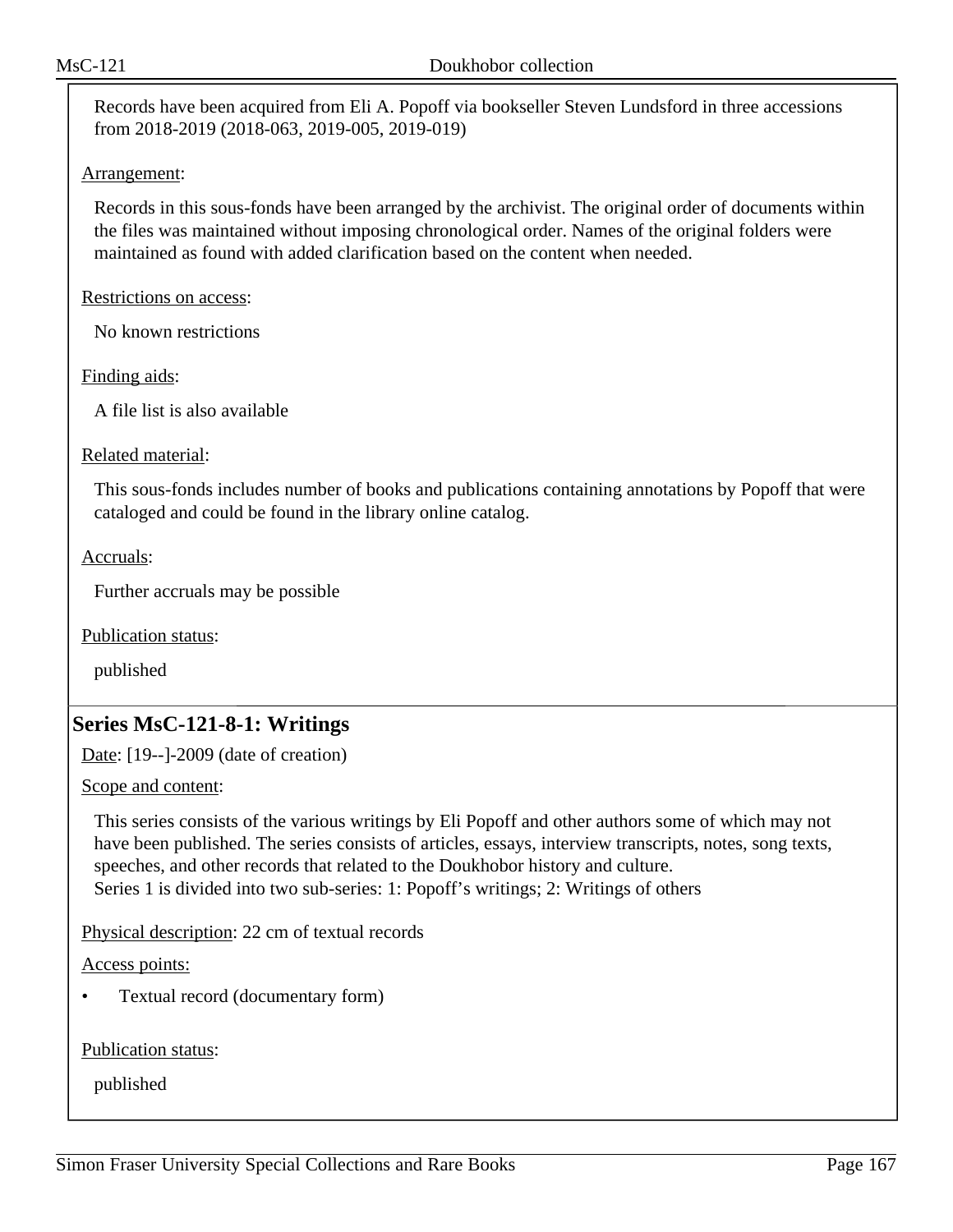Records have been acquired from Eli A. Popoff via bookseller Steven Lundsford in three accessions from 2018-2019 (2018-063, 2019-005, 2019-019)

#### Arrangement:

Records in this sous-fonds have been arranged by the archivist. The original order of documents within the files was maintained without imposing chronological order. Names of the original folders were maintained as found with added clarification based on the content when needed.

Restrictions on access:

No known restrictions

Finding aids:

A file list is also available

Related material:

This sous-fonds includes number of books and publications containing annotations by Popoff that were cataloged and could be found in the library online catalog.

Accruals:

Further accruals may be possible

Publication status:

published

# **Series MsC-121-8-1: Writings**

Date: [19--]-2009 (date of creation)

Scope and content:

This series consists of the various writings by Eli Popoff and other authors some of which may not have been published. The series consists of articles, essays, interview transcripts, notes, song texts, speeches, and other records that related to the Doukhobor history and culture. Series 1 is divided into two sub-series: 1: Popoff's writings; 2: Writings of others

Physical description: 22 cm of textual records

Access points:

• Textual record (documentary form)

Publication status: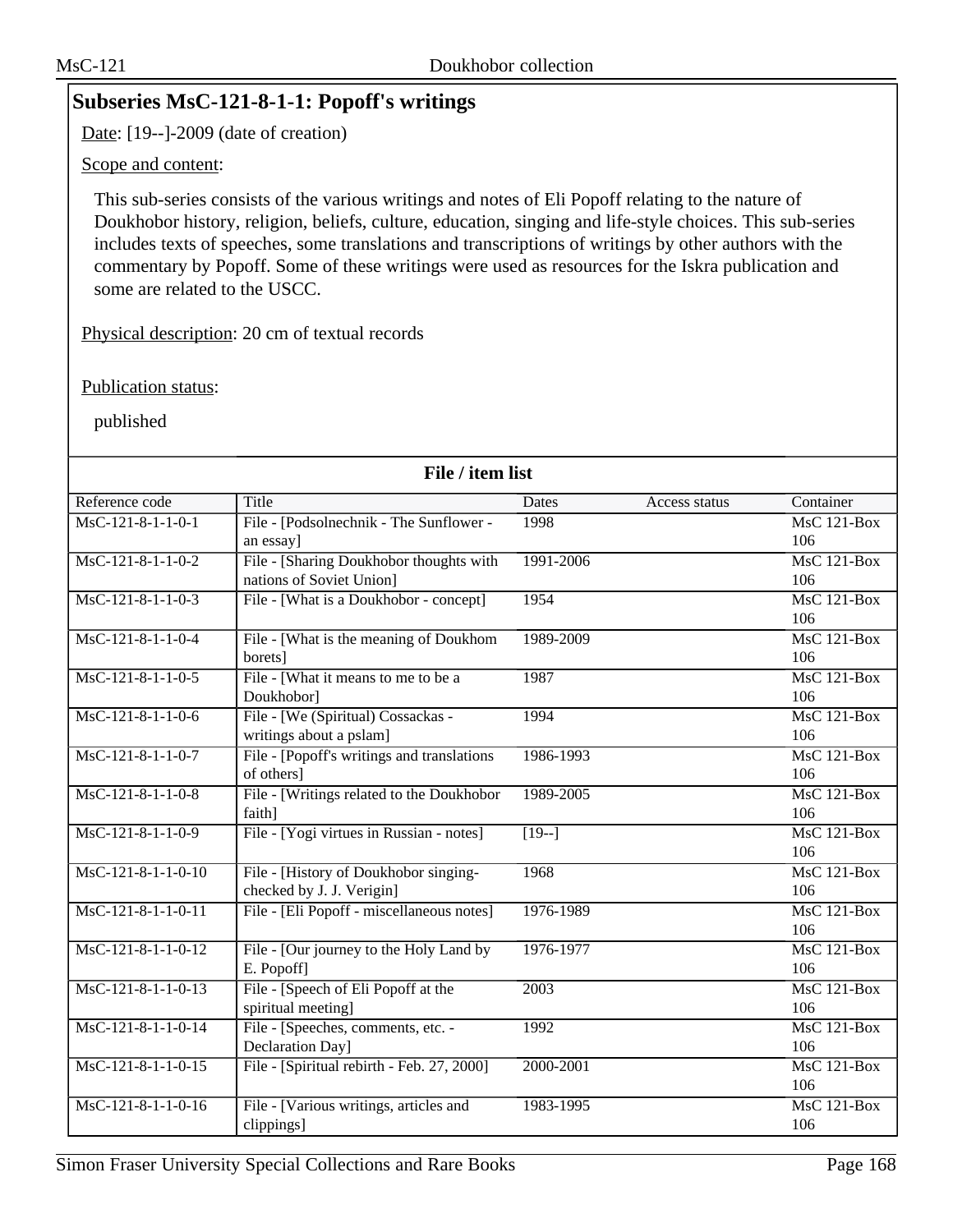# **Subseries MsC-121-8-1-1: Popoff's writings**

Date: [19--]-2009 (date of creation)

Scope and content:

This sub-series consists of the various writings and notes of Eli Popoff relating to the nature of Doukhobor history, religion, beliefs, culture, education, singing and life-style choices. This sub-series includes texts of speeches, some translations and transcriptions of writings by other authors with the commentary by Popoff. Some of these writings were used as resources for the Iskra publication and some are related to the USCC.

Physical description: 20 cm of textual records

Publication status:

| File / item list     |                                             |               |               |                    |
|----------------------|---------------------------------------------|---------------|---------------|--------------------|
| Reference code       | Title                                       | Dates         | Access status | Container          |
| $MsC-121-8-1-1-0-1$  | File - [Podsolnechnik - The Sunflower -     | 1998          |               | $MsC$ 121-Box      |
|                      | an essay]                                   |               |               | 106                |
| $MsC-121-8-1-1-0-2$  | File - [Sharing Doukhobor thoughts with     | 1991-2006     |               | $MsC$ 121-Box      |
|                      | nations of Soviet Union]                    |               |               | 106                |
| $MsC-121-8-1-1-0-3$  | File - [What is a Doukhobor - concept]      | 1954          |               | $MsC$ 121-Box      |
|                      |                                             |               |               | 106                |
| MsC-121-8-1-1-0-4    | File - [What is the meaning of Doukhom      | 1989-2009     |               | MsC 121-Box        |
|                      | borets]                                     |               |               | 106                |
| MsC-121-8-1-1-0-5    | File - [What it means to me to be a         | 1987          |               | $MsC$ 121-Box      |
|                      | Doukhobor]                                  |               |               | 106                |
| MsC-121-8-1-1-0-6    | File - [We (Spiritual) Cossackas -          | 1994          |               | MsC 121-Box        |
|                      | writings about a pslam]                     |               |               | 106                |
| $MsC-121-8-1-1-0-7$  | File - [Popoff's writings and translations] | 1986-1993     |               | $MsC$ 121-Box      |
|                      | of others]                                  |               |               | 106                |
| $MsC-121-8-1-1-0-8$  | File - [Writings related to the Doukhobor   | 1989-2005     |               | <b>MsC 121-Box</b> |
|                      | faith]                                      |               |               | 106                |
| MsC-121-8-1-1-0-9    | File - [Yogi virtues in Russian - notes]    | $\sqrt{19-1}$ |               | <b>MsC 121-Box</b> |
|                      |                                             |               |               | 106                |
| $MsC-121-8-1-1-0-10$ | File - [History of Doukhobor singing-       | 1968          |               | $MsC$ 121-Box      |
|                      | checked by J. J. Verigin]                   |               |               | 106                |
| $MsC-121-8-1-1-0-11$ | File - [Eli Popoff - miscellaneous notes]   | 1976-1989     |               | $MsC$ 121-Box      |
|                      |                                             |               |               | 106                |
| $MsC-121-8-1-1-0-12$ | File - [Our journey to the Holy Land by     | 1976-1977     |               | <b>MsC 121-Box</b> |
|                      | E. Popoff]                                  |               |               | 106                |
| $MsC-121-8-1-1-0-13$ | File - [Speech of Eli Popoff at the         | 2003          |               | $MsC$ 121-Box      |
|                      | spiritual meeting]                          |               |               | 106                |
| MsC-121-8-1-1-0-14   | File - [Speeches, comments, etc. -          | 1992          |               | <b>MsC 121-Box</b> |
|                      | Declaration Day]                            |               |               | 106                |
| $MsC-121-8-1-1-0-15$ | File - [Spiritual rebirth - Feb. 27, 2000]  | 2000-2001     |               | MsC 121-Box        |
|                      |                                             |               |               | 106                |
| MsC-121-8-1-1-0-16   | File - [Various writings, articles and      | 1983-1995     |               | $MsC$ 121-Box      |
|                      | clippings]                                  |               |               | 106                |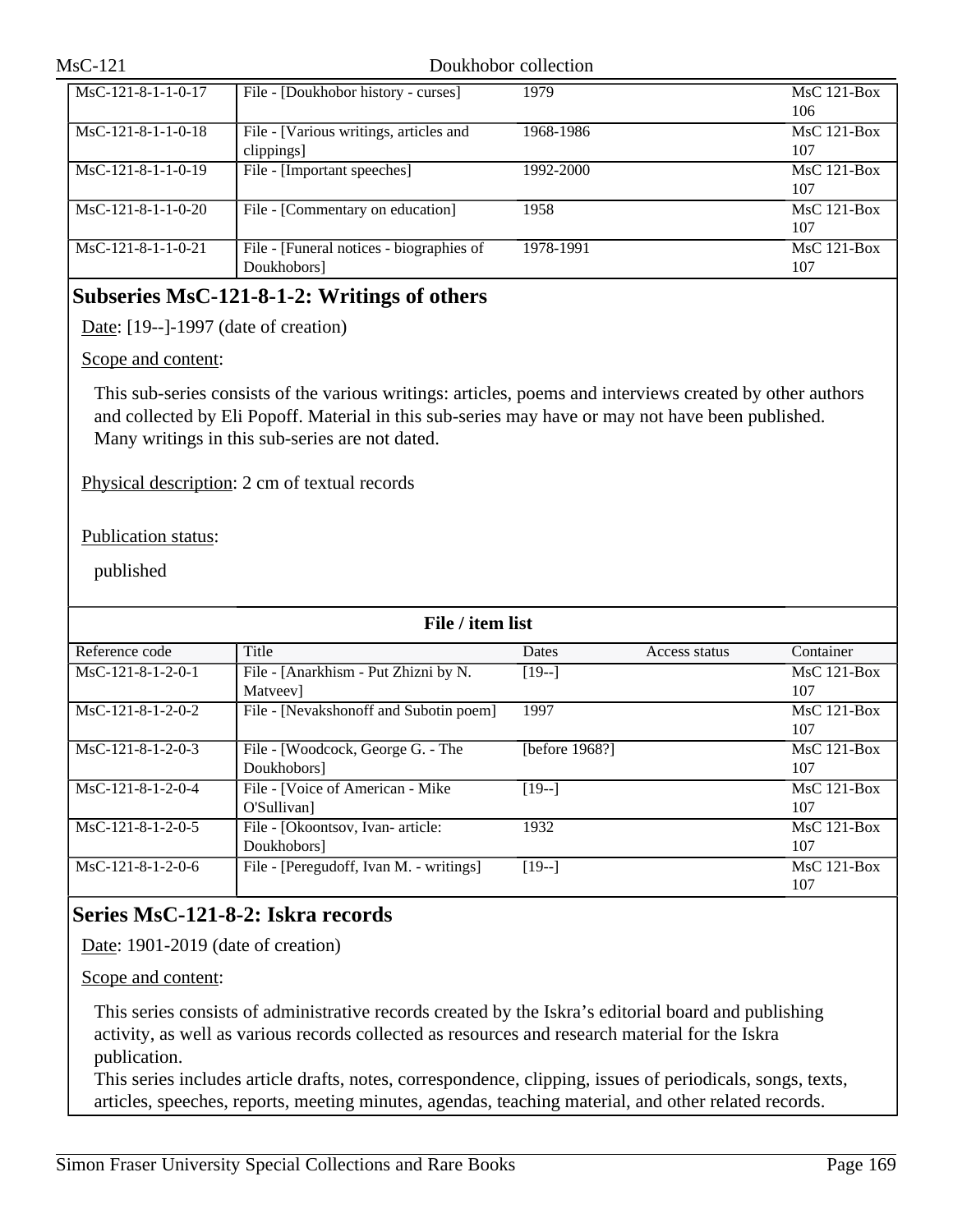#### Doukhobor collection

| $MsC-121-8-1-1-0-17$ | File - [Doukhobor history - curses]      | 1979      | $MsC$ 121-Box |
|----------------------|------------------------------------------|-----------|---------------|
|                      |                                          |           | 106           |
| $MsC-121-8-1-1-0-18$ | File - [Various writings, articles and   | 1968-1986 | $MsC$ 121-Box |
|                      | clippings]                               |           | 107           |
| $MsC-121-8-1-1-0-19$ | File - [Important speeches]              | 1992-2000 | $MsC$ 121-Box |
|                      |                                          |           | 107           |
| $MsC-121-8-1-1-0-20$ | File - [Commentary on education]         | 1958      | $MsC$ 121-Box |
|                      |                                          |           | 107           |
| $MsC-121-8-1-1-0-21$ | File - [Funeral notices - biographies of | 1978-1991 | $MsC$ 121-Box |
|                      | Doukhobors]                              |           | 107           |

# **Subseries MsC-121-8-1-2: Writings of others**

Date: [19--]-1997 (date of creation)

#### Scope and content:

This sub-series consists of the various writings: articles, poems and interviews created by other authors and collected by Eli Popoff. Material in this sub-series may have or may not have been published. Many writings in this sub-series are not dated.

Physical description: 2 cm of textual records

Publication status:

published

| File / item list    |                                         |                |               |               |  |
|---------------------|-----------------------------------------|----------------|---------------|---------------|--|
| Reference code      | Title                                   | Dates          | Access status | Container     |  |
| $MsC-121-8-1-2-0-1$ | File - [Anarkhism - Put Zhizni by N.    | $[19-]$        |               | $MsC$ 121-Box |  |
|                     | Matyeev]                                |                |               | 107           |  |
| $MsC-121-8-1-2-0-2$ | File - [Nevakshonoff and Subotin poem]  | 1997           |               | $MsC$ 121-Box |  |
|                     |                                         |                |               | 107           |  |
| $MsC-121-8-1-2-0-3$ | File - [Woodcock, George G. - The       | [before 1968?] |               | $MsC$ 121-Box |  |
|                     | Doukhobors]                             |                |               | 107           |  |
| $MsC-121-8-1-2-0-4$ | File - [Voice of American - Mike        | $[19-]$        |               | $MsC$ 121-Box |  |
|                     | O'Sullivan]                             |                |               | 107           |  |
| $MsC-121-8-1-2-0-5$ | File - [Okoontsov, Ivan- article:       | 1932           |               | $MsC$ 121-Box |  |
|                     | Doukhobors]                             |                |               | 107           |  |
| $MsC-121-8-1-2-0-6$ | File - [Peregudoff, Ivan M. - writings] | $[19-]$        |               | $MsC$ 121-Box |  |
|                     |                                         |                |               | 107           |  |

# **Series MsC-121-8-2: Iskra records**

Date: 1901-2019 (date of creation)

Scope and content:

This series consists of administrative records created by the Iskra's editorial board and publishing activity, as well as various records collected as resources and research material for the Iskra publication.

This series includes article drafts, notes, correspondence, clipping, issues of periodicals, songs, texts, articles, speeches, reports, meeting minutes, agendas, teaching material, and other related records.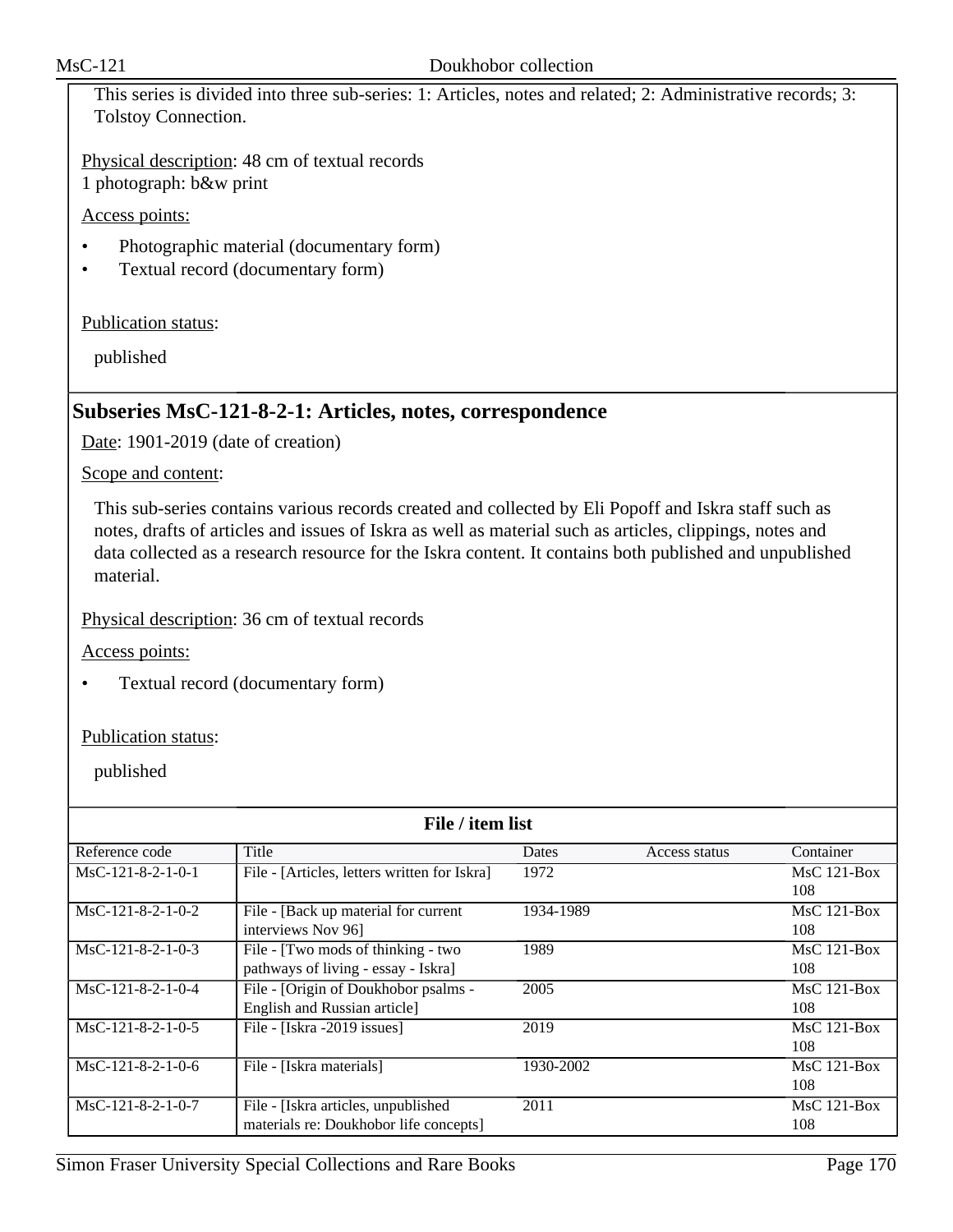This series is divided into three sub-series: 1: Articles, notes and related; 2: Administrative records; 3: Tolstoy Connection.

Physical description: 48 cm of textual records 1 photograph: b&w print

Access points:

- Photographic material (documentary form)
- Textual record (documentary form)

Publication status:

published

# **Subseries MsC-121-8-2-1: Articles, notes, correspondence**

Date: 1901-2019 (date of creation)

Scope and content:

This sub-series contains various records created and collected by Eli Popoff and Iskra staff such as notes, drafts of articles and issues of Iskra as well as material such as articles, clippings, notes and data collected as a research resource for the Iskra content. It contains both published and unpublished material.

Physical description: 36 cm of textual records

Access points:

• Textual record (documentary form)

Publication status:

| File / item list    |                                              |              |               |               |
|---------------------|----------------------------------------------|--------------|---------------|---------------|
| Reference code      | Title                                        | <b>Dates</b> | Access status | Container     |
| $MsC-121-8-2-1-0-1$ | File - [Articles, letters written for Iskra] | 1972         |               | $MsC$ 121-Box |
|                     |                                              |              |               | 108           |
| $MsC-121-8-2-1-0-2$ | File - [Back up material for current         | 1934-1989    |               | $MsC$ 121-Box |
|                     | interviews Nov 96]                           |              |               | 108           |
| $MsC-121-8-2-1-0-3$ | File - [Two mods of thinking - two           | 1989         |               | $MsC$ 121-Box |
|                     | pathways of living - essay - Iskra]          |              |               | 108           |
| MsC-121-8-2-1-0-4   | File - [Origin of Doukhobor psalms -         | 2005         |               | $MsC$ 121-Box |
|                     | English and Russian article]                 |              |               | 108           |
| $MsC-121-8-2-1-0-5$ | File - [Iskra -2019 issues]                  | 2019         |               | $MsC$ 121-Box |
|                     |                                              |              |               | 108           |
| $MsC-121-8-2-1-0-6$ | File - [Iskra materials]                     | 1930-2002    |               | MsC 121-Box   |
|                     |                                              |              |               | 108           |
| $MsC-121-8-2-1-0-7$ | File - [Iskra articles, unpublished]         | 2011         |               | $MsC$ 121-Box |
|                     | materials re: Doukhobor life concepts]       |              |               | 108           |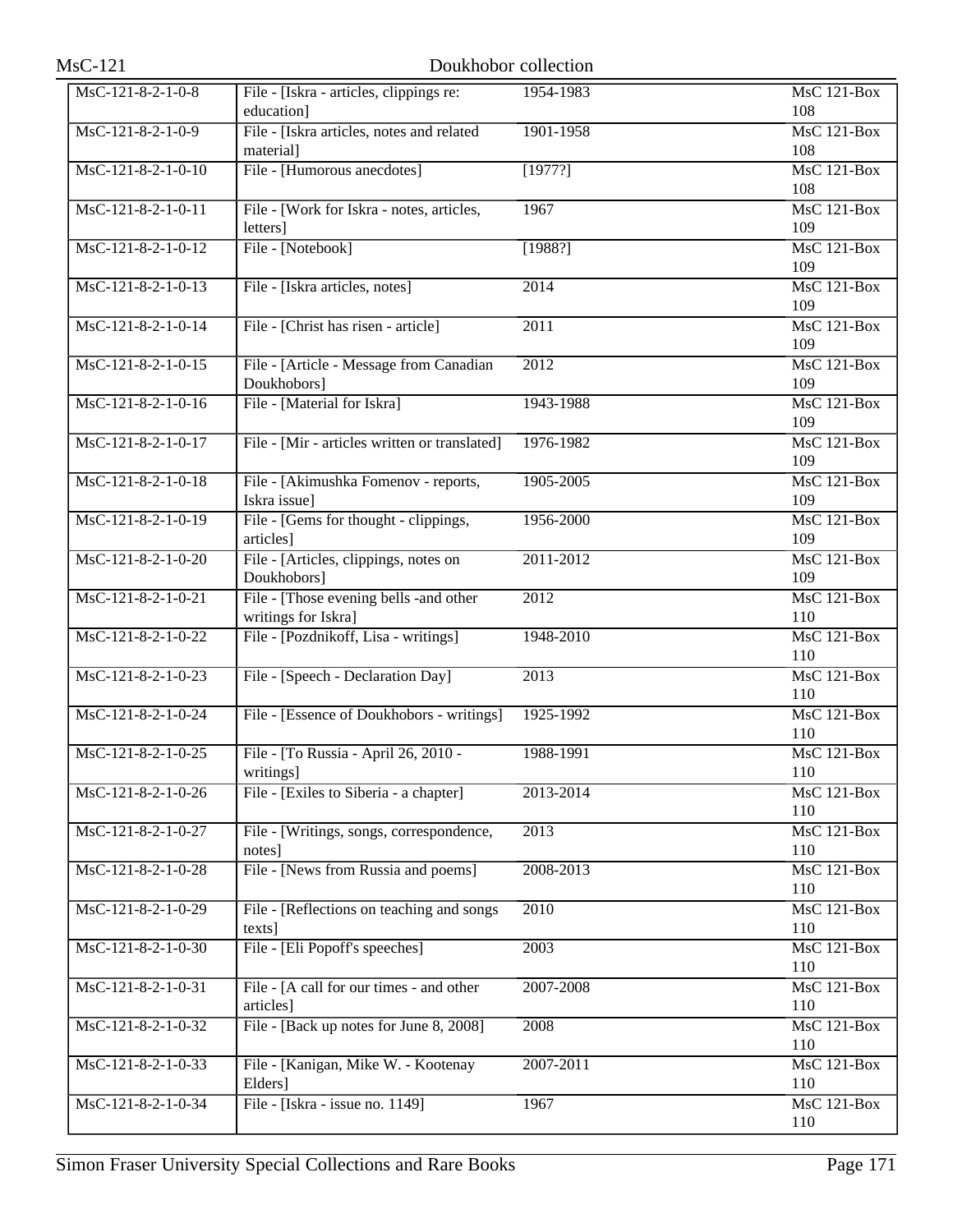| $MsC-121$            |                                                                | Doukhobor collection |                           |
|----------------------|----------------------------------------------------------------|----------------------|---------------------------|
| MsC-121-8-2-1-0-8    | File - [Iskra - articles, clippings re:<br>education]          | 1954-1983            | <b>MsC 121-Box</b><br>108 |
| $MsC-121-8-2-1-0-9$  | File - [Iskra articles, notes and related<br>material]         | 1901-1958            | $MsC$ 121-Box<br>108      |
| MsC-121-8-2-1-0-10   | File - [Humorous anecdotes]                                    | [1977?]              | MsC 121-Box<br>108        |
| MsC-121-8-2-1-0-11   | File - [Work for Iskra - notes, articles,<br>letters]          | 1967                 | <b>MsC 121-Box</b><br>109 |
| MsC-121-8-2-1-0-12   | File - [Notebook]                                              | [1988?]              | MsC 121-Box<br>109        |
| $MsC-121-8-2-1-0-13$ | File - [Iskra articles, notes]                                 | $\overline{2014}$    | $MsC$ 121-Box<br>109      |
| MsC-121-8-2-1-0-14   | File - [Christ has risen - article]                            | 2011                 | <b>MsC 121-Box</b><br>109 |
| $MsC-121-8-2-1-0-15$ | File - [Article - Message from Canadian<br>Doukhobors]         | 2012                 | MsC 121-Box<br>109        |
| MsC-121-8-2-1-0-16   | File - [Material for Iskra]                                    | 1943-1988            | MsC 121-Box<br>109        |
| MsC-121-8-2-1-0-17   | File - [Mir - articles written or translated]                  | 1976-1982            | MsC 121-Box<br>109        |
| MsC-121-8-2-1-0-18   | File - [Akimushka Fomenov - reports,<br>Iskra issue]           | 1905-2005            | MsC 121-Box<br>109        |
| MsC-121-8-2-1-0-19   | File - [Gems for thought - clippings,<br>articles]             | 1956-2000            | $MsC$ 121-Box<br>109      |
| MsC-121-8-2-1-0-20   | File - [Articles, clippings, notes on<br>Doukhobors]           | 2011-2012            | <b>MsC 121-Box</b><br>109 |
| MsC-121-8-2-1-0-21   | File - [Those evening bells - and other<br>writings for Iskra] | 2012                 | MsC 121-Box<br>110        |
| MsC-121-8-2-1-0-22   | File - [Pozdnikoff, Lisa - writings]                           | 1948-2010            | MsC 121-Box<br>110        |
| MsC-121-8-2-1-0-23   | File - [Speech - Declaration Day]                              | 2013                 | MsC 121-Box<br>110        |
| MsC-121-8-2-1-0-24   | File - [Essence of Doukhobors - writings]                      | 1925-1992            | MsC 121-Box<br>110        |
| MsC-121-8-2-1-0-25   | File - [To Russia - April 26, 2010 -<br>writings]              | 1988-1991            | MsC 121-Box<br>110        |
| MsC-121-8-2-1-0-26   | File - [Exiles to Siberia - a chapter]                         | 2013-2014            | $MsC$ 121-Box<br>110      |
| MsC-121-8-2-1-0-27   | File - [Writings, songs, correspondence,<br>notes]             | 2013                 | MsC 121-Box<br>110        |
| MsC-121-8-2-1-0-28   | File - [News from Russia and poems]                            | 2008-2013            | MsC 121-Box<br>110        |
| MsC-121-8-2-1-0-29   | File - [Reflections on teaching and songs<br>texts]            | 2010                 | MsC 121-Box<br>110        |
| MsC-121-8-2-1-0-30   | File - [Eli Popoff's speeches]                                 | 2003                 | MsC 121-Box<br>110        |
| MsC-121-8-2-1-0-31   | File - [A call for our times - and other<br>articles]          | 2007-2008            | MsC 121-Box<br>110        |
| MsC-121-8-2-1-0-32   | File - [Back up notes for June 8, 2008]                        | 2008                 | MsC 121-Box<br>110        |
| MsC-121-8-2-1-0-33   | File - [Kanigan, Mike W. - Kootenay<br>Elders]                 | 2007-2011            | MsC 121-Box<br>110        |
| MsC-121-8-2-1-0-34   | File - [Iskra - issue no. 1149]                                | 1967                 | MsC 121-Box<br>110        |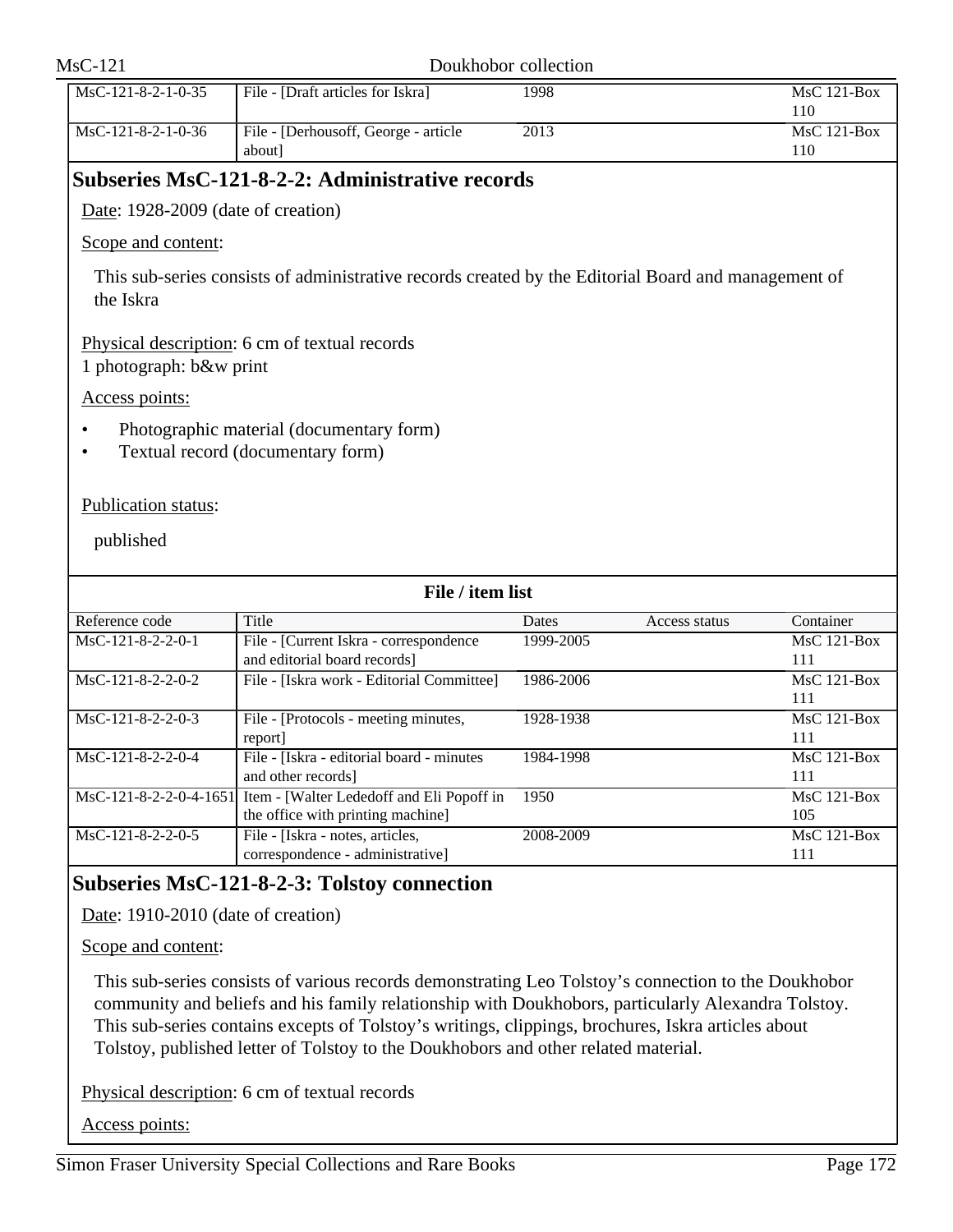|                                    | Doukhobor collection                                                                                |           |               |                           |
|------------------------------------|-----------------------------------------------------------------------------------------------------|-----------|---------------|---------------------------|
| MsC-121-8-2-1-0-35                 | File - [Draft articles for Iskra]                                                                   | 1998      |               | MsC 121-Box<br>110        |
| MsC-121-8-2-1-0-36                 | File - [Derhousoff, George - article<br>about]                                                      | 2013      |               | MsC 121-Box<br>110        |
|                                    | Subseries MsC-121-8-2-2: Administrative records                                                     |           |               |                           |
| Date: 1928-2009 (date of creation) |                                                                                                     |           |               |                           |
| Scope and content:                 |                                                                                                     |           |               |                           |
| the Iskra                          | This sub-series consists of administrative records created by the Editorial Board and management of |           |               |                           |
| 1 photograph: b&w print            | Physical description: 6 cm of textual records                                                       |           |               |                           |
| Access points:                     |                                                                                                     |           |               |                           |
|                                    |                                                                                                     |           |               |                           |
| $\bullet$<br>٠                     | Photographic material (documentary form)<br>Textual record (documentary form)                       |           |               |                           |
| Publication status:<br>published   |                                                                                                     |           |               |                           |
|                                    | File / item list                                                                                    |           |               |                           |
| Reference code                     | Title                                                                                               | Dates     | Access status | Container                 |
| MsC-121-8-2-2-0-1                  | File - [Current Iskra - correspondence<br>and editorial board records]                              | 1999-2005 |               | <b>MsC 121-Box</b><br>111 |
| MsC-121-8-2-2-0-2                  | File - [Iskra work - Editorial Committee]                                                           | 1986-2006 |               | MsC 121-Box<br>111        |
| MsC-121-8-2-2-0-3                  | File - [Protocols - meeting minutes,                                                                | 1928-1938 |               | $MsC$ 121-Box             |
| $MsC-121-8-2-2-0-4$                | report]<br>File - [Iskra - editorial board - minutes<br>and other records]                          | 1984-1998 |               | 111<br>MsC 121-Box<br>111 |
| $MsC-121-8-2-2-0-4-1651$           | Item - [Walter Lededoff and Eli Popoff in<br>the office with printing machine]                      | 1950      |               | MsC 121-Box<br>105        |

# **Subseries MsC-121-8-2-3: Tolstoy connection**

Date: 1910-2010 (date of creation)

Scope and content:

This sub-series consists of various records demonstrating Leo Tolstoy's connection to the Doukhobor community and beliefs and his family relationship with Doukhobors, particularly Alexandra Tolstoy. This sub-series contains excepts of Tolstoy's writings, clippings, brochures, Iskra articles about Tolstoy, published letter of Tolstoy to the Doukhobors and other related material.

Physical description: 6 cm of textual records

Access points: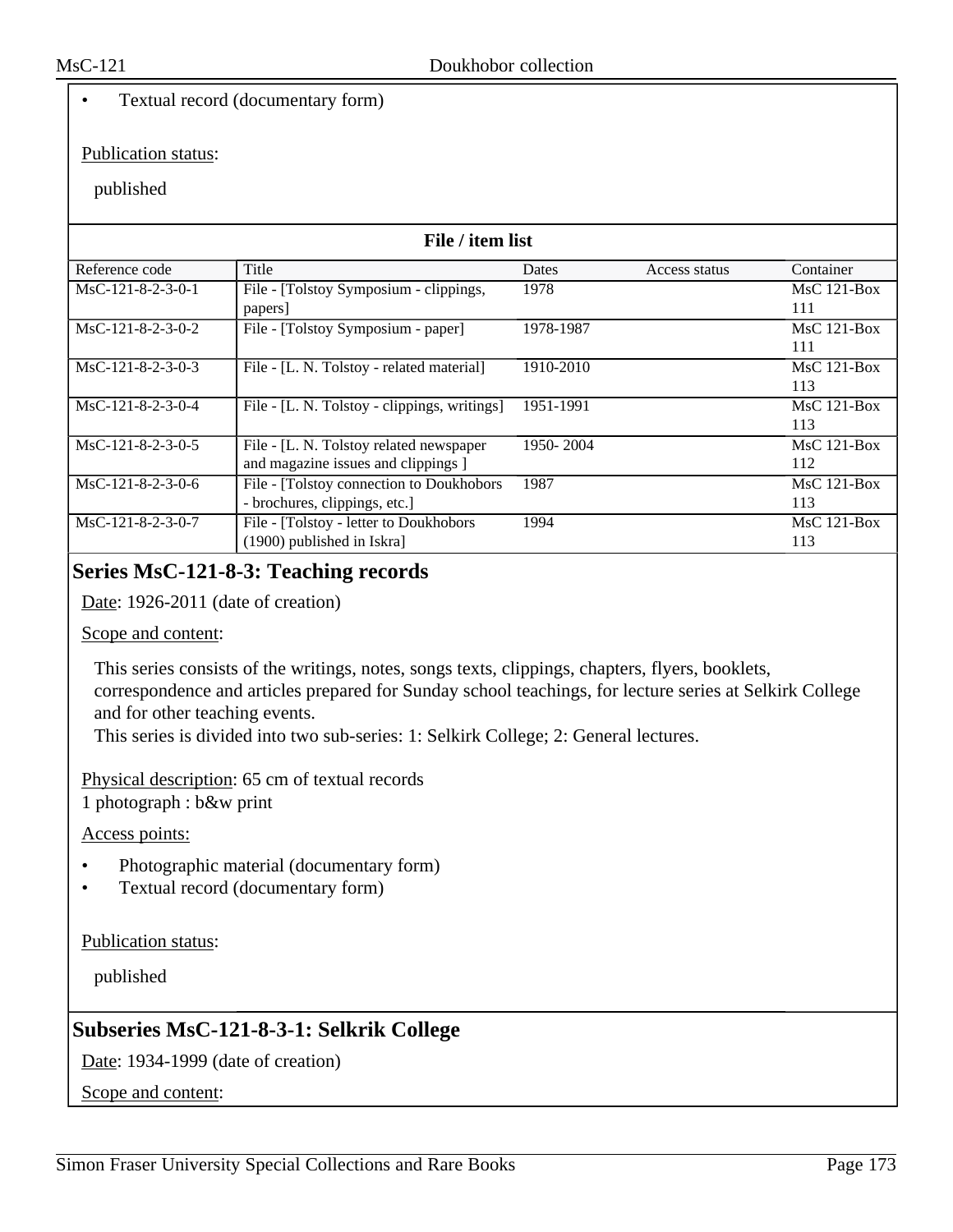### • Textual record (documentary form)

#### Publication status:

#### published

| File / item list    |                                              |           |               |               |
|---------------------|----------------------------------------------|-----------|---------------|---------------|
| Reference code      | Title                                        | Dates     | Access status | Container     |
| $MsC-121-8-2-3-0-1$ | File - [Tolstoy Symposium - clippings,       | 1978      |               | $MsC$ 121-Box |
|                     | papers                                       |           |               | 111           |
| $MsC-121-8-2-3-0-2$ | File - [Tolstoy Symposium - paper]           | 1978-1987 |               | $MsC$ 121-Box |
|                     |                                              |           |               | 111           |
| MsC-121-8-2-3-0-3   | File - [L. N. Tolstoy - related material]    | 1910-2010 |               | MsC 121-Box   |
|                     |                                              |           |               | 113           |
| $MsC-121-8-2-3-0-4$ | File - [L. N. Tolstoy - clippings, writings] | 1951-1991 |               | $MsC$ 121-Box |
|                     |                                              |           |               | 113           |
| $MsC-121-8-2-3-0-5$ | File - [L. N. Tolstoy related newspaper      | 1950-2004 |               | $MsC$ 121-Box |
|                     | and magazine issues and clippings ]          |           |               | 112           |
| MsC-121-8-2-3-0-6   | File - [Tolstoy connection to Doukhobors     | 1987      |               | $MsC$ 121-Box |
|                     | - brochures, clippings, etc.]                |           |               | 113           |
| MsC-121-8-2-3-0-7   | File - [Tolstoy - letter to Doukhobors       | 1994      |               | $MsC$ 121-Box |
|                     | $(1900)$ published in Iskra]                 |           |               | 113           |

# **Series MsC-121-8-3: Teaching records**

Date: 1926-2011 (date of creation)

Scope and content:

This series consists of the writings, notes, songs texts, clippings, chapters, flyers, booklets, correspondence and articles prepared for Sunday school teachings, for lecture series at Selkirk College and for other teaching events.

This series is divided into two sub-series: 1: Selkirk College; 2: General lectures.

Physical description: 65 cm of textual records

1 photograph : b&w print

Access points:

- Photographic material (documentary form)
- Textual record (documentary form)

Publication status:

published

# **Subseries MsC-121-8-3-1: Selkrik College**

Date: 1934-1999 (date of creation)

Scope and content: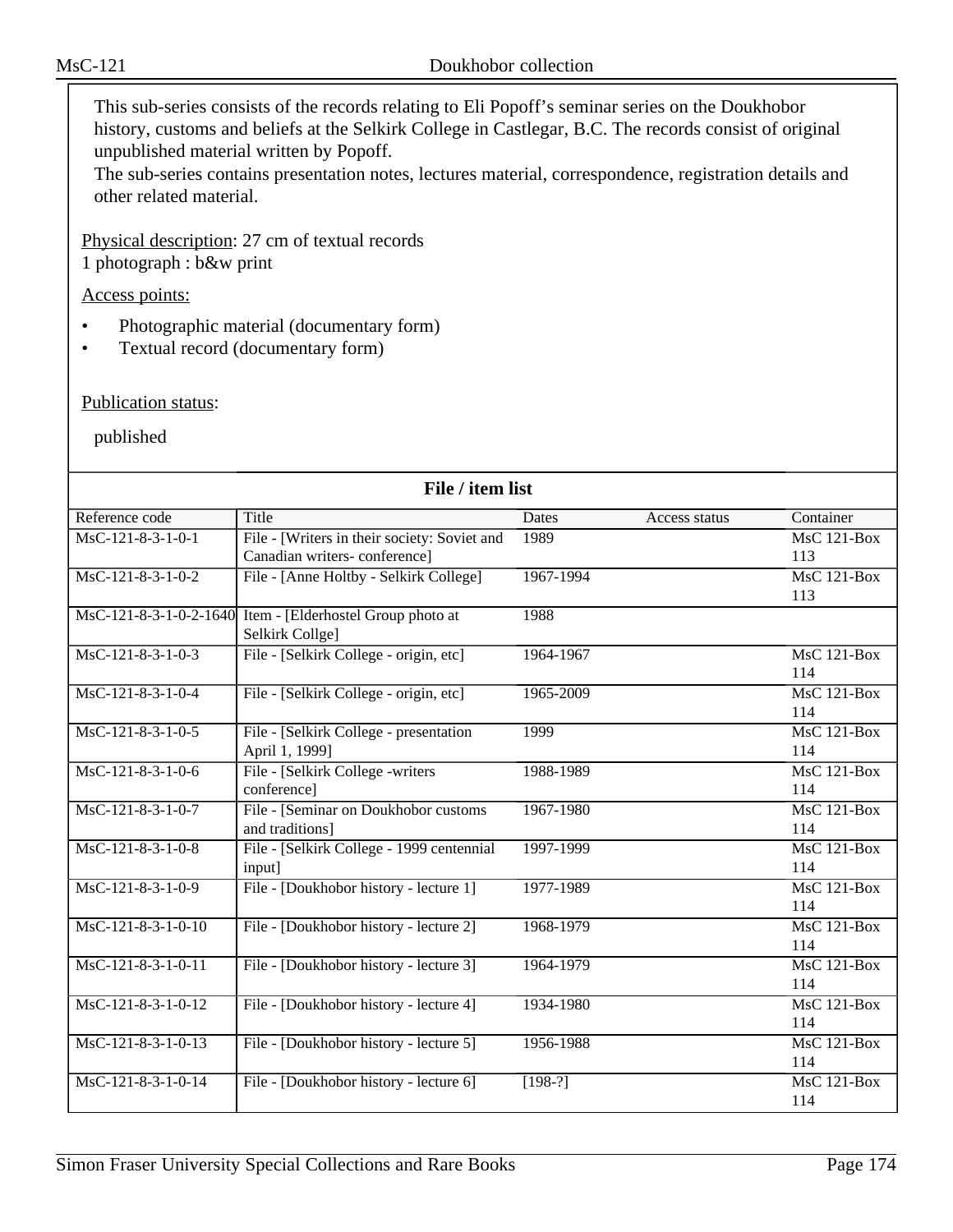This sub-series consists of the records relating to Eli Popoff's seminar series on the Doukhobor history, customs and beliefs at the Selkirk College in Castlegar, B.C. The records consist of original unpublished material written by Popoff.

The sub-series contains presentation notes, lectures material, correspondence, registration details and other related material.

Physical description: 27 cm of textual records

1 photograph : b&w print

Access points:

- Photographic material (documentary form)
- Textual record (documentary form)

Publication status:

| File / item list     |                                                           |              |               |                    |  |
|----------------------|-----------------------------------------------------------|--------------|---------------|--------------------|--|
| Reference code       | Title                                                     | <b>Dates</b> | Access status | Container          |  |
| $MsC-121-8-3-1-0-1$  | File - [Writers in their society: Soviet and              | 1989         |               | <b>MsC 121-Box</b> |  |
|                      | Canadian writers-conference]                              |              |               | 113                |  |
| $MsC-121-8-3-1-0-2$  | File - [Anne Holtby - Selkirk College]                    | 1967-1994    |               | MsC 121-Box        |  |
|                      |                                                           |              |               | 113                |  |
|                      | MsC-121-8-3-1-0-2-1640 Item - [Elderhostel Group photo at | 1988         |               |                    |  |
|                      | Selkirk Collge]                                           |              |               |                    |  |
| MsC-121-8-3-1-0-3    | File - [Selkirk College - origin, etc]                    | 1964-1967    |               | <b>MsC 121-Box</b> |  |
|                      |                                                           |              |               | 114                |  |
| $MsC-121-8-3-1-0-4$  | File - [Selkirk College - origin, etc]                    | 1965-2009    |               | $MsC$ 121-Box      |  |
|                      |                                                           |              |               | 114                |  |
| $MsC-121-8-3-1-0-5$  | File - [Selkirk College - presentation                    | 1999         |               | $MsC$ 121-Box      |  |
|                      | April 1, 1999]                                            |              |               | 114                |  |
| MsC-121-8-3-1-0-6    | File - [Selkirk College -writers                          | 1988-1989    |               | <b>MsC 121-Box</b> |  |
|                      | conference]                                               |              |               | 114                |  |
| $MsC-121-8-3-1-0-7$  | File - [Seminar on Doukhobor customs                      | 1967-1980    |               | $MsC$ 121-Box      |  |
|                      | and traditions]                                           |              |               | 114                |  |
| $MsC-121-8-3-1-0-8$  | File - [Selkirk College - 1999 centennial                 | 1997-1999    |               | $MsC$ 121-Box      |  |
|                      | input]                                                    |              |               | 114                |  |
| MsC-121-8-3-1-0-9    | File - [Doukhobor history - lecture 1]                    | 1977-1989    |               | $MsC$ 121-Box      |  |
|                      |                                                           |              |               | 114                |  |
| MsC-121-8-3-1-0-10   | File - [Doukhobor history - lecture 2]                    | 1968-1979    |               | $MsC$ 121-Box      |  |
|                      |                                                           |              |               | 114                |  |
| MsC-121-8-3-1-0-11   | File - [Doukhobor history - lecture 3]                    | 1964-1979    |               | $MsC$ 121-Box      |  |
|                      |                                                           |              |               | 114                |  |
| MsC-121-8-3-1-0-12   | File - [Doukhobor history - lecture 4]                    | 1934-1980    |               | <b>MsC 121-Box</b> |  |
|                      |                                                           |              |               | 114                |  |
| $MsC-121-8-3-1-0-13$ | File - [Doukhobor history - lecture 5]                    | 1956-1988    |               | MsC 121-Box        |  |
|                      |                                                           |              |               | 114                |  |
| MsC-121-8-3-1-0-14   | File - [Doukhobor history - lecture 6]                    | $[198-?]$    |               | MsC 121-Box        |  |
|                      |                                                           |              |               | 114                |  |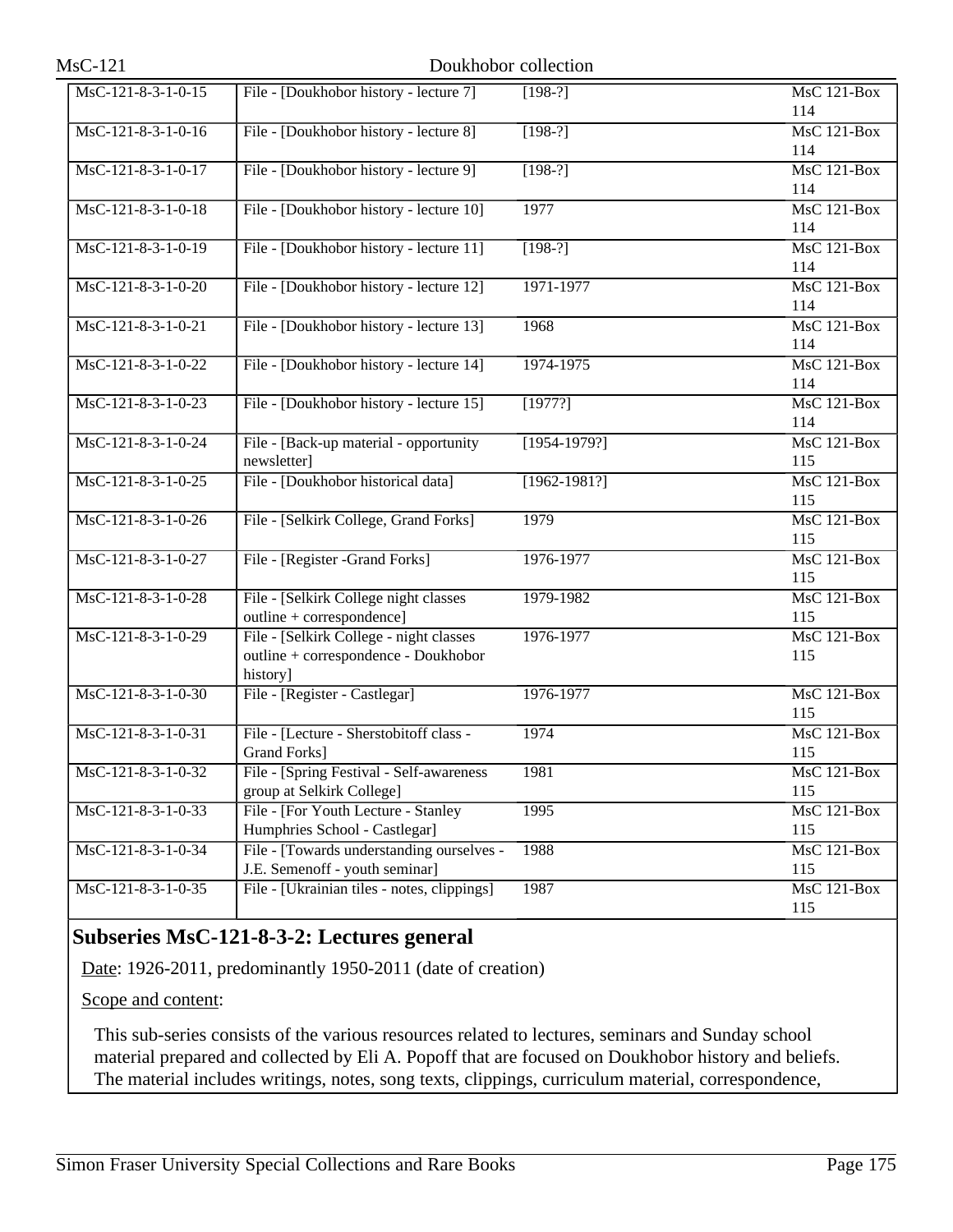| MsC-121-8-3-1-0-15   | File - [Doukhobor history - lecture 7]      | $[198-?]$        | MsC 121-Box        |
|----------------------|---------------------------------------------|------------------|--------------------|
|                      |                                             |                  | 114                |
| $MsC-121-8-3-1-0-16$ | File - [Doukhobor history - lecture 8]      | $[198-?]$        | MsC 121-Box        |
|                      |                                             |                  | 114                |
| $MsC-121-8-3-1-0-17$ | File - [Doukhobor history - lecture 9]      | $[198-?]$        | <b>MsC 121-Box</b> |
|                      |                                             |                  | 114                |
| MsC-121-8-3-1-0-18   | File - [Doukhobor history - lecture 10]     | 1977             | <b>MsC 121-Box</b> |
|                      |                                             |                  | 114                |
| $MsC-121-8-3-1-0-19$ | File - [Doukhobor history - lecture 11]     | $[198-?]$        | MsC 121-Box        |
|                      |                                             |                  | 114                |
| $MsC-121-8-3-1-0-20$ | File - [Doukhobor history - lecture 12]     | 1971-1977        | MsC 121-Box        |
|                      |                                             |                  | 114                |
| MsC-121-8-3-1-0-21   | File - [Doukhobor history - lecture 13]     | 1968             | MsC 121-Box        |
|                      |                                             |                  | 114                |
| MsC-121-8-3-1-0-22   | File - [Doukhobor history - lecture 14]     | 1974-1975        | MsC 121-Box        |
|                      |                                             |                  | 114                |
| $MsC-121-8-3-1-0-23$ | File - [Doukhobor history - lecture 15]     | [1977?]          | MsC 121-Box        |
|                      |                                             |                  | 114                |
| MsC-121-8-3-1-0-24   | File - [Back-up material - opportunity      | $[1954-1979?]$   | <b>MsC 121-Box</b> |
|                      | newsletter]                                 |                  | 115                |
| $MsC-121-8-3-1-0-25$ | File - [Doukhobor historical data]          | $[1962 - 1981?]$ | MsC 121-Box        |
|                      |                                             |                  | 115                |
| MsC-121-8-3-1-0-26   | File - [Selkirk College, Grand Forks]       | 1979             | MsC 121-Box        |
|                      |                                             |                  | 115                |
| MsC-121-8-3-1-0-27   | File - [Register -Grand Forks]              | 1976-1977        | MsC 121-Box        |
|                      |                                             |                  | 115                |
| MsC-121-8-3-1-0-28   | File - [Selkirk College night classes]      | 1979-1982        | MsC 121-Box        |
|                      | outline + correspondence]                   |                  | 115                |
| MsC-121-8-3-1-0-29   | File - [Selkirk College - night classes     | 1976-1977        | MsC 121-Box        |
|                      | outline + correspondence - Doukhobor        |                  | 115                |
|                      | history]                                    |                  |                    |
| $MsC-121-8-3-1-0-30$ | File - [Register - Castlegar]               | 1976-1977        | <b>MsC 121-Box</b> |
|                      |                                             |                  | 115                |
| MsC-121-8-3-1-0-31   | File - [Lecture - Sherstobitoff class -     | 1974             | MsC 121-Box        |
|                      | <b>Grand Forks</b> ]                        |                  | 115                |
| MsC-121-8-3-1-0-32   | File - [Spring Festival - Self-awareness    | 1981             | MsC 121-Box        |
|                      | group at Selkirk College]                   |                  | 115                |
| MsC-121-8-3-1-0-33   | File - [For Youth Lecture - Stanley         | 1995             | MsC 121-Box        |
|                      | Humphries School - Castlegar]               |                  | 115                |
| MsC-121-8-3-1-0-34   | File - [Towards understanding ourselves -   | 1988             | MsC 121-Box        |
|                      | J.E. Semenoff - youth seminar]              |                  | 115                |
| MsC-121-8-3-1-0-35   | File - [Ukrainian tiles - notes, clippings] | 1987             | $MsC$ 121-Box      |
|                      |                                             |                  | 115                |

# **Subseries MsC-121-8-3-2: Lectures general**

Date: 1926-2011, predominantly 1950-2011 (date of creation)

Scope and content:

This sub-series consists of the various resources related to lectures, seminars and Sunday school material prepared and collected by Eli A. Popoff that are focused on Doukhobor history and beliefs. The material includes writings, notes, song texts, clippings, curriculum material, correspondence,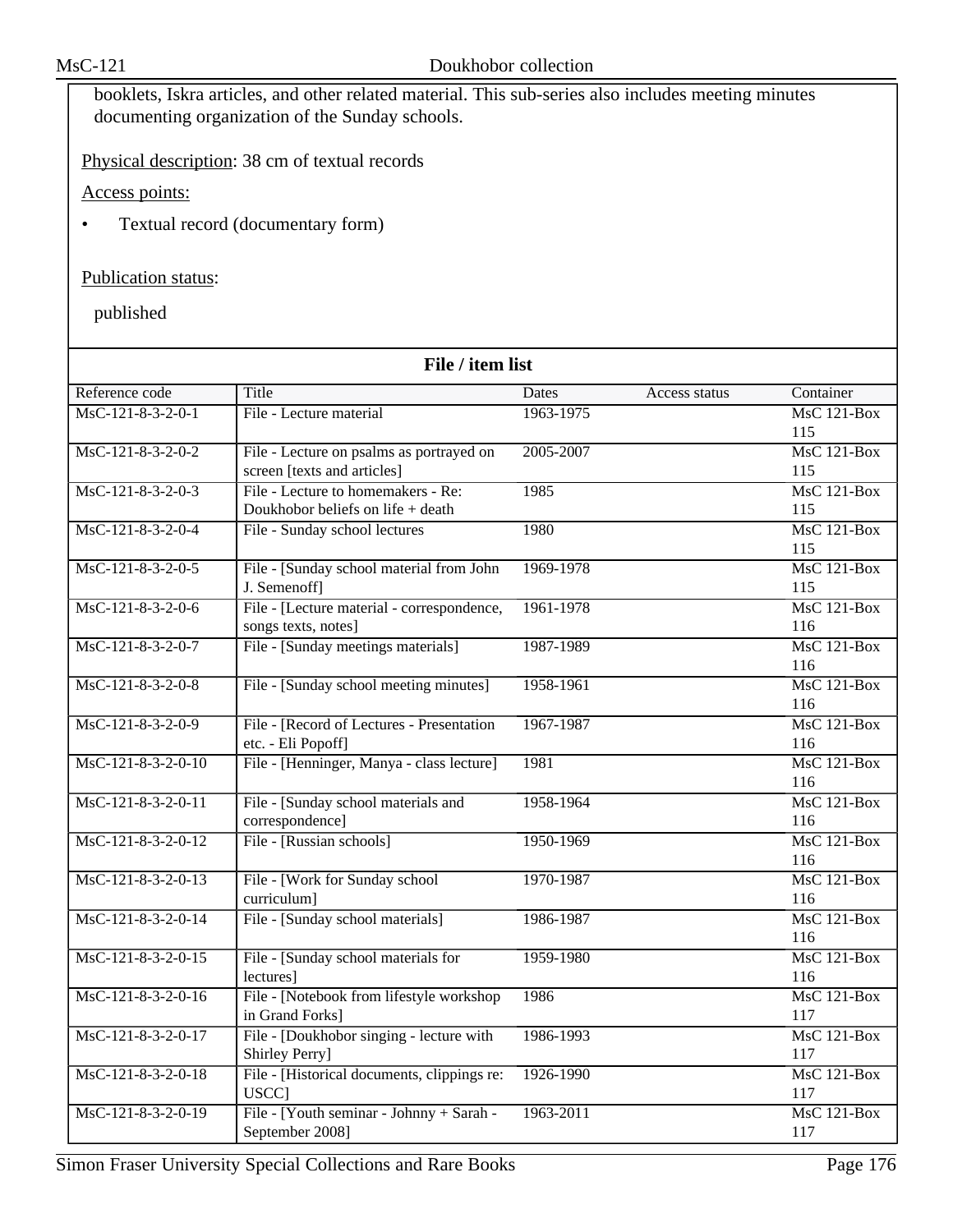booklets, Iskra articles, and other related material. This sub-series also includes meeting minutes documenting organization of the Sunday schools.

Physical description: 38 cm of textual records

Access points:

• Textual record (documentary form)

# Publication status:

| File / item list     |                                                                         |           |               |                                        |
|----------------------|-------------------------------------------------------------------------|-----------|---------------|----------------------------------------|
| Reference code       | Title                                                                   | Dates     | Access status | Container                              |
| MsC-121-8-3-2-0-1    | File - Lecture material                                                 | 1963-1975 |               | $MsC$ 121-Box<br>115                   |
| $MsC-121-8-3-2-0-2$  | File - Lecture on psalms as portrayed on<br>screen [texts and articles] | 2005-2007 |               | $MsC$ 121-Box<br>115                   |
| $MsC-121-8-3-2-0-3$  | File - Lecture to homemakers - Re:<br>Doukhobor beliefs on life + death | 1985      |               | <b>MsC 121-Box</b><br>115              |
| MsC-121-8-3-2-0-4    | File - Sunday school lectures                                           | 1980      |               | $MsC$ 121-Box<br>115                   |
| $MsC-121-8-3-2-0-5$  | File - [Sunday school material from John<br>J. Semenoff]                | 1969-1978 |               | $MsC$ 121-Box<br>115                   |
| MsC-121-8-3-2-0-6    | File - [Lecture material - correspondence,<br>songs texts, notes]       | 1961-1978 |               | <b>MsC 121-Box</b><br>116              |
| MsC-121-8-3-2-0-7    | File - [Sunday meetings materials]                                      | 1987-1989 |               | $MsC$ 121-Box<br>116                   |
| $MsC-121-8-3-2-0-8$  | File - [Sunday school meeting minutes]                                  | 1958-1961 |               | $MsC$ 121-Box<br>116                   |
| MsC-121-8-3-2-0-9    | File - [Record of Lectures - Presentation<br>etc. - Eli Popoff]         | 1967-1987 |               | <b>MsC 121-Box</b><br>116              |
| $MsC-121-8-3-2-0-10$ | File - [Henninger, Manya - class lecture]                               | 1981      |               | $MsC$ 121-Box<br>116                   |
| MsC-121-8-3-2-0-11   | File - [Sunday school materials and<br>correspondence]                  | 1958-1964 |               | $MsC$ 121-Box<br>116                   |
| MsC-121-8-3-2-0-12   | File - [Russian schools]                                                | 1950-1969 |               | $MsC$ 121-Box<br>116                   |
| MsC-121-8-3-2-0-13   | File - [Work for Sunday school]<br>curriculum]                          | 1970-1987 |               | MsC 121-Box<br>116                     |
| MsC-121-8-3-2-0-14   | File - [Sunday school materials]                                        | 1986-1987 |               | $\overline{\text{MsC 121-Box}}$<br>116 |
| MsC-121-8-3-2-0-15   | File - [Sunday school materials for<br>lectures]                        | 1959-1980 |               | <b>MsC 121-Box</b><br>116              |
| MsC-121-8-3-2-0-16   | File - [Notebook from lifestyle workshop<br>in Grand Forks]             | 1986      |               | $MsC$ 121-Box<br>117                   |
| MsC-121-8-3-2-0-17   | File - [Doukhobor singing - lecture with<br>Shirley Perry]              | 1986-1993 |               | $MsC$ 121-Box<br>117                   |
| MsC-121-8-3-2-0-18   | File - [Historical documents, clippings re:<br>USCC]                    | 1926-1990 |               | $MsC$ 121-Box<br>117                   |
| MsC-121-8-3-2-0-19   | File - [Youth seminar - Johnny + Sarah -<br>September 2008]             | 1963-2011 |               | MsC 121-Box<br>117                     |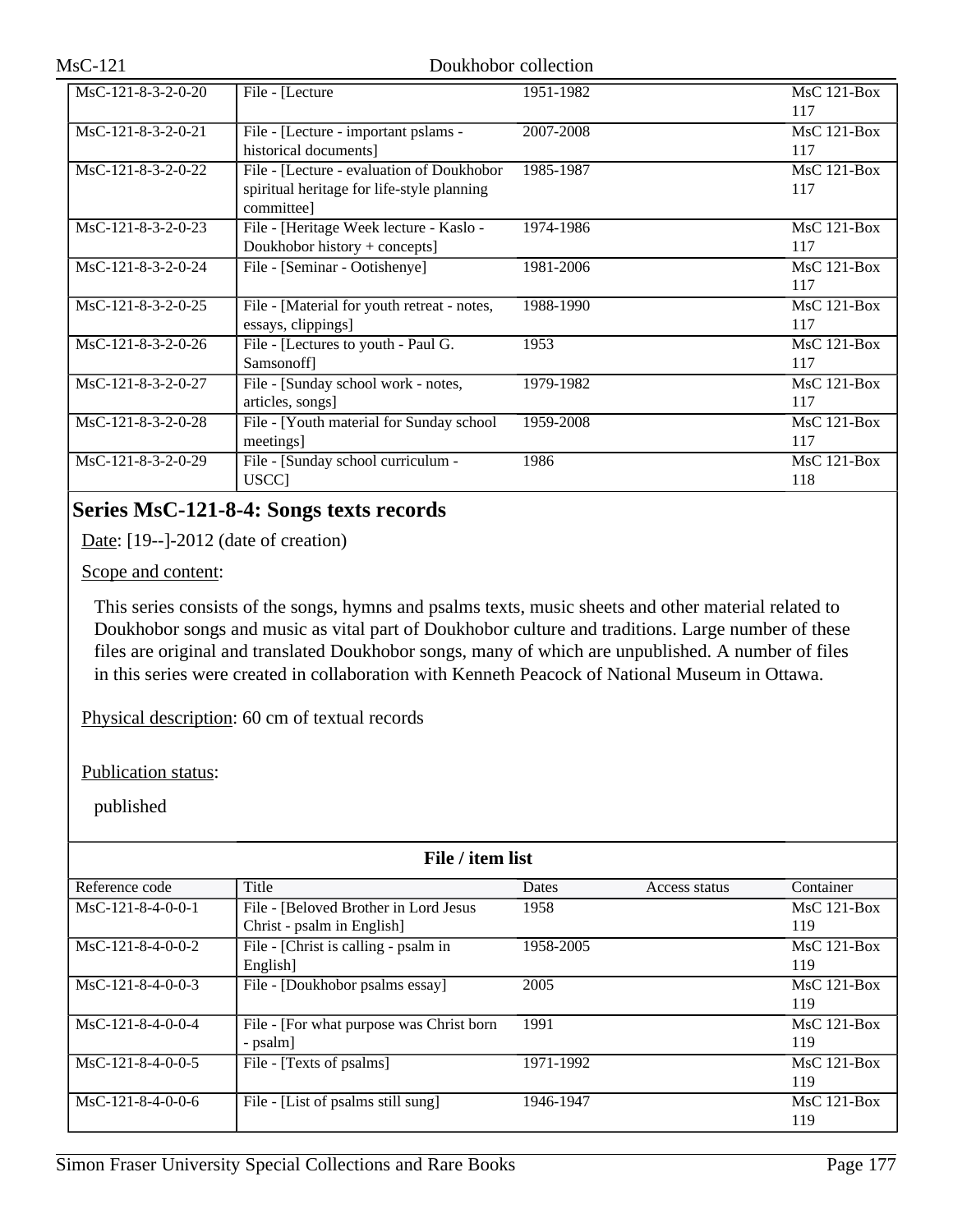| MsC-121-8-3-2-0-20   | File - [Lecture]                                                                                      | 1951-1982 | $MsC$ 121-Box<br>117 |
|----------------------|-------------------------------------------------------------------------------------------------------|-----------|----------------------|
| MsC-121-8-3-2-0-21   | File - [Lecture - important pslams -<br>historical documents]                                         | 2007-2008 | $MsC$ 121-Box<br>117 |
| $MsC-121-8-3-2-0-22$ | File - [Lecture - evaluation of Doukhobor<br>spiritual heritage for life-style planning<br>committee] | 1985-1987 | $MsC$ 121-Box<br>117 |
| $MsC-121-8-3-2-0-23$ | File - [Heritage Week lecture - Kaslo -<br>Doukhobor history + concepts]                              | 1974-1986 | $MsC$ 121-Box<br>117 |
| $MsC-121-8-3-2-0-24$ | File - [Seminar - Ootishenye]                                                                         | 1981-2006 | $MsC$ 121-Box<br>117 |
| $MsC-121-8-3-2-0-25$ | File - [Material for youth retreat - notes,<br>essays, clippings]                                     | 1988-1990 | $MsC$ 121-Box<br>117 |
| $MsC-121-8-3-2-0-26$ | File - [Lectures to youth - Paul G.<br>Samsonoff]                                                     | 1953      | $MsC$ 121-Box<br>117 |
| $MsC-121-8-3-2-0-27$ | File - [Sunday school work - notes,<br>articles, songs]                                               | 1979-1982 | $MsC$ 121-Box<br>117 |
| $MsC-121-8-3-2-0-28$ | File - [Youth material for Sunday school]<br>meetings]                                                | 1959-2008 | $MsC$ 121-Box<br>117 |
| $MsC-121-8-3-2-0-29$ | File - [Sunday school curriculum -<br>USCC]                                                           | 1986      | $MsC$ 121-Box<br>118 |

# **Series MsC-121-8-4: Songs texts records**

Date: [19--]-2012 (date of creation)

Scope and content:

This series consists of the songs, hymns and psalms texts, music sheets and other material related to Doukhobor songs and music as vital part of Doukhobor culture and traditions. Large number of these files are original and translated Doukhobor songs, many of which are unpublished. A number of files in this series were created in collaboration with Kenneth Peacock of National Museum in Ottawa.

Physical description: 60 cm of textual records

Publication status:

| File / item list    |                                          |              |               |               |  |
|---------------------|------------------------------------------|--------------|---------------|---------------|--|
| Reference code      | Title                                    | <b>Dates</b> | Access status | Container     |  |
| $MsC-121-8-4-0-0-1$ | File - [Beloved Brother in Lord Jesus    | 1958         |               | $MsC$ 121-Box |  |
|                     | Christ - psalm in English                |              |               | 119           |  |
| $MsC-121-8-4-0-0-2$ | File - [Christ is calling - psalm in     | 1958-2005    |               | $MsC$ 121-Box |  |
|                     | English]                                 |              |               | 119           |  |
| MsC-121-8-4-0-0-3   | File - [Doukhobor psalms essay]          | 2005         |               | $MsC$ 121-Box |  |
|                     |                                          |              |               | 119           |  |
| $MsC-121-8-4-0-0-4$ | File - [For what purpose was Christ born | 1991         |               | $MsC$ 121-Box |  |
|                     | - psalm]                                 |              |               | 119           |  |
| $MsC-121-8-4-0-0-5$ | File - [Texts of psalms]                 | 1971-1992    |               | $MsC$ 121-Box |  |
|                     |                                          |              |               | 119           |  |
| $MsC-121-8-4-0-0-6$ | File - [List of psalms still sung]       | 1946-1947    |               | $MsC$ 121-Box |  |
|                     |                                          |              |               | 119           |  |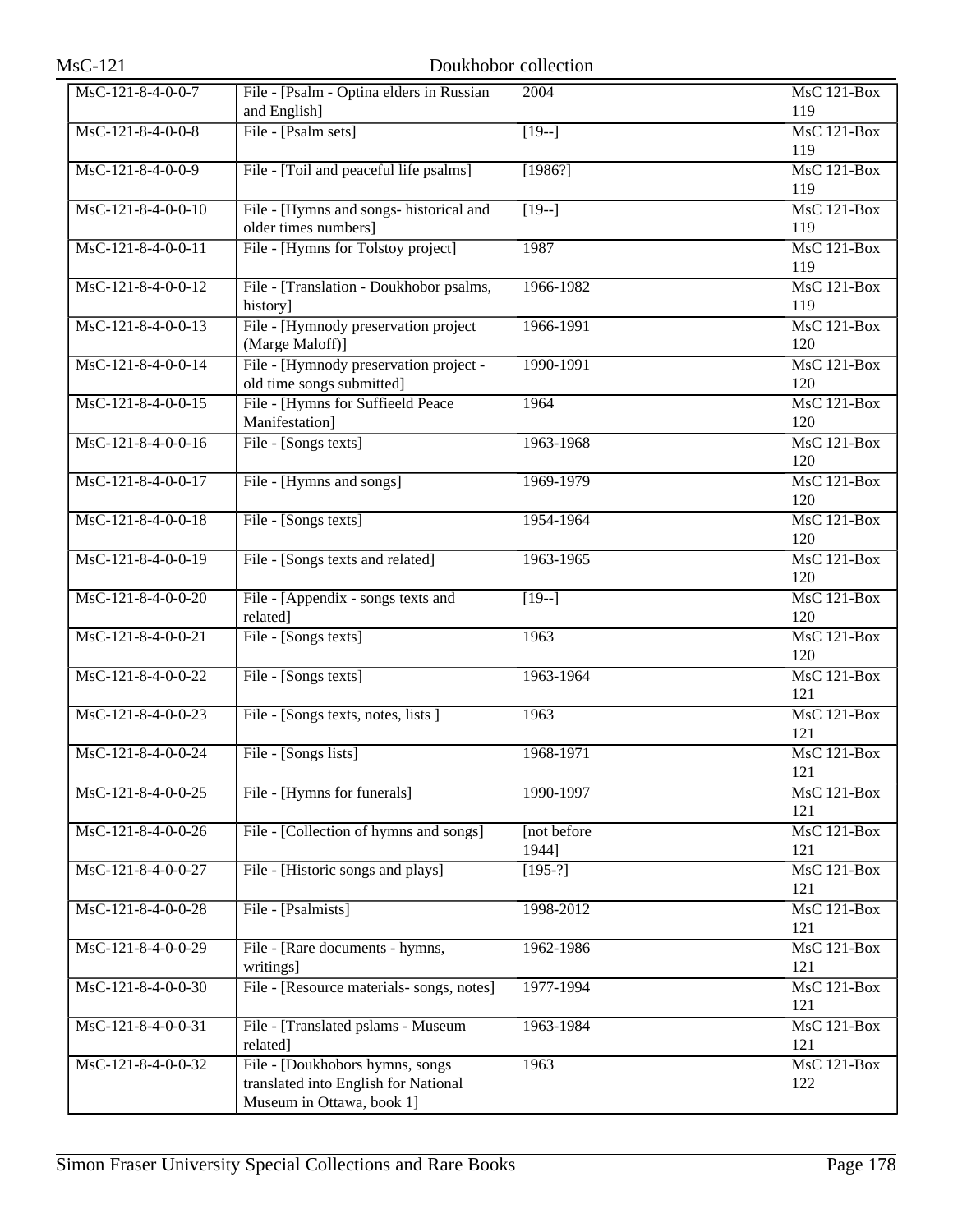| $MsC-121$                              |                                                                                                       | Doukhobor collection  |                           |
|----------------------------------------|-------------------------------------------------------------------------------------------------------|-----------------------|---------------------------|
| MsC-121-8-4-0-0-7                      | File - [Psalm - Optina elders in Russian<br>and English]                                              | 2004                  | <b>MsC 121-Box</b><br>119 |
| $MsC-121-8-4-0-0-8$                    | File - [Psalm sets]                                                                                   | $[19-]$               | MsC 121-Box<br>119        |
| MsC-121-8-4-0-0-9                      | File - [Toil and peaceful life psalms]                                                                | [1986?]               | <b>MsC 121-Box</b><br>119 |
| MsC-121-8-4-0-0-10                     | File - [Hymns and songs- historical and<br>older times numbers]                                       | $[19-]$               | <b>MsC 121-Box</b><br>119 |
| MsC-121-8-4-0-0-11                     | File - [Hymns for Tolstoy project]                                                                    | 1987                  | MsC 121-Box<br>119        |
| $\overline{\text{MsC-121-8-4-0-0-12}}$ | File - [Translation - Doukhobor psalms,<br>history]                                                   | 1966-1982             | $MsC$ 121-Box<br>119      |
| MsC-121-8-4-0-0-13                     | File - [Hymnody preservation project<br>(Marge Maloff)]                                               | 1966-1991             | <b>MsC 121-Box</b><br>120 |
| $MsC-121-8-4-0-0-14$                   | File - [Hymnody preservation project -<br>old time songs submitted]                                   | 1990-1991             | MsC 121-Box<br>120        |
| $\overline{\text{MsC-121-8-4-0-0-15}}$ | File - [Hymns for Suffieeld Peace<br>Manifestation]                                                   | 1964                  | <b>MsC 121-Box</b><br>120 |
| MsC-121-8-4-0-0-16                     | File - [Songs texts]                                                                                  | 1963-1968             | $MsC$ 121-Box<br>120      |
| $MsC-121-8-4-0-0-17$                   | File - [Hymns and songs]                                                                              | 1969-1979             | MsC 121-Box<br>120        |
| MsC-121-8-4-0-0-18                     | File - [Songs texts]                                                                                  | 1954-1964             | $MsC$ 121-Box<br>120      |
| MsC-121-8-4-0-0-19                     | File - [Songs texts and related]                                                                      | 1963-1965             | $MsC$ 121-Box<br>120      |
| MsC-121-8-4-0-0-20                     | File - [Appendix - songs texts and<br>related]                                                        | $[19-]$               | MsC 121-Box<br>120        |
| MsC-121-8-4-0-0-21                     | File - [Songs texts]                                                                                  | 1963                  | <b>MsC 121-Box</b><br>120 |
| MsC-121-8-4-0-0-22                     | File - [Songs texts]                                                                                  | 1963-1964             | <b>MsC 121-Box</b><br>121 |
| $MsC-121-8-4-0-0-23$                   | File - [Songs texts, notes, lists ]                                                                   | 1963                  | MsC 121-Box<br>121        |
| MsC-121-8-4-0-0-24                     | File - [Songs lists]                                                                                  | 1968-1971             | MsC 121-Box<br>121        |
| MsC-121-8-4-0-0-25                     | File - [Hymns for funerals]                                                                           | 1990-1997             | <b>MsC 121-Box</b><br>121 |
| $MsC-121-8-4-0-0-26$                   | File - [Collection of hymns and songs]                                                                | [not before]<br>1944] | MsC 121-Box<br>121        |
| MsC-121-8-4-0-0-27                     | File - [Historic songs and plays]                                                                     | $[195-?]$             | MsC 121-Box<br>121        |
| MsC-121-8-4-0-0-28                     | File - [Psalmists]                                                                                    | 1998-2012             | MsC 121-Box<br>121        |
| MsC-121-8-4-0-0-29                     | File - [Rare documents - hymns,<br>writings]                                                          | 1962-1986             | MsC 121-Box<br>121        |
| MsC-121-8-4-0-0-30                     | File - [Resource materials- songs, notes]                                                             | 1977-1994             | MsC 121-Box<br>121        |
| MsC-121-8-4-0-0-31                     | File - [Translated pslams - Museum<br>related]                                                        | 1963-1984             | <b>MsC 121-Box</b><br>121 |
| MsC-121-8-4-0-0-32                     | File - [Doukhobors hymns, songs]<br>translated into English for National<br>Museum in Ottawa, book 1] | 1963                  | MsC 121-Box<br>122        |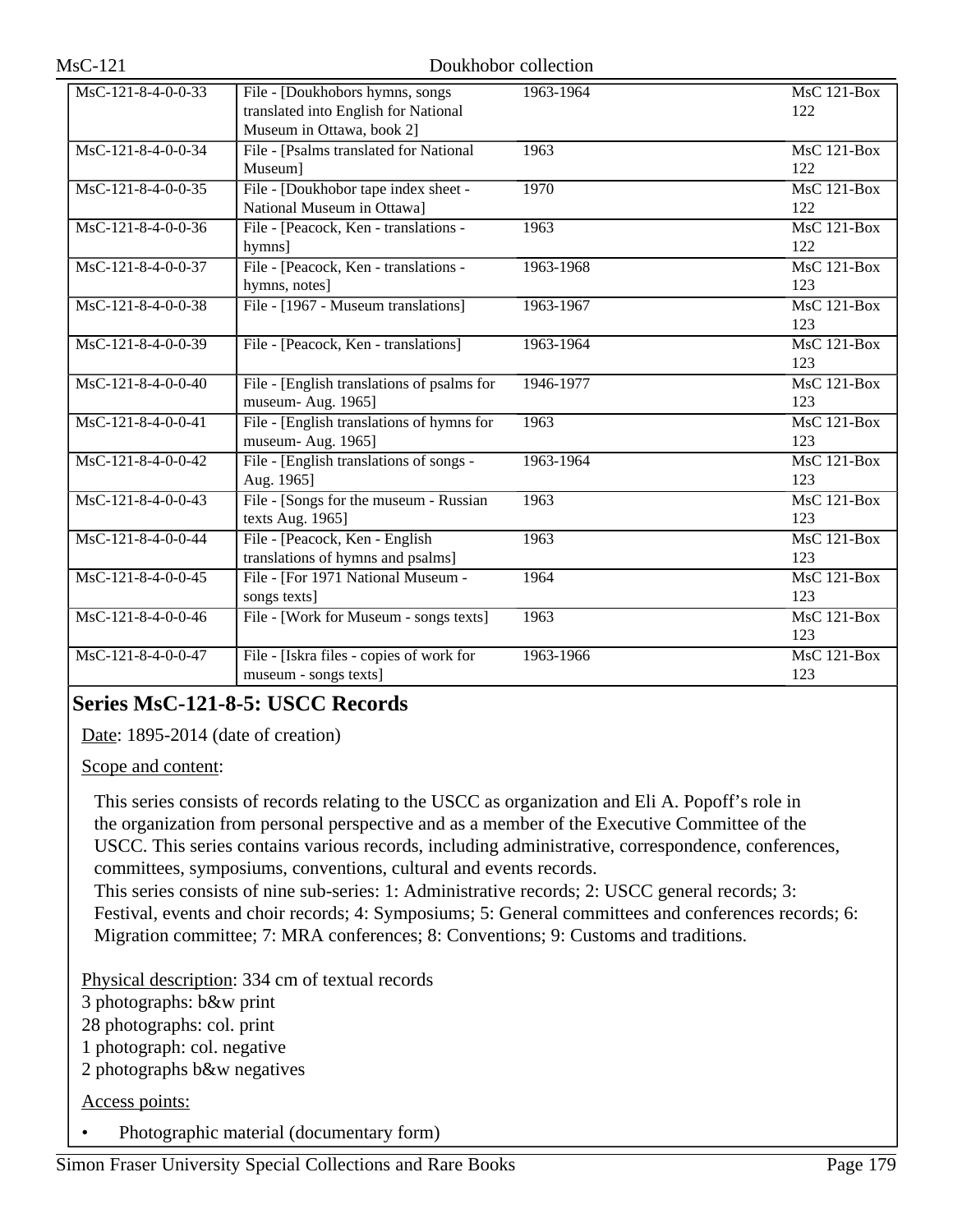| MsC-121-8-4-0-0-33   | File - [Doukhobors hymns, songs            | 1963-1964 | $MsC$ 121-Box      |
|----------------------|--------------------------------------------|-----------|--------------------|
|                      | translated into English for National       |           | 122                |
|                      | Museum in Ottawa, book 2]                  |           |                    |
| MsC-121-8-4-0-0-34   | File - [Psalms translated for National     | 1963      | <b>MsC 121-Box</b> |
|                      | Museum]                                    |           | 122                |
| $MsC-121-8-4-0-0-35$ | File - [Doukhobor tape index sheet -       | 1970      | $MsC$ 121-Box      |
|                      | National Museum in Ottawa]                 |           | 122                |
| MsC-121-8-4-0-0-36   | File - [Peacock, Ken - translations -      | 1963      | MsC 121-Box        |
|                      | hymns]                                     |           | 122                |
| MsC-121-8-4-0-0-37   | File - [Peacock, Ken - translations -      | 1963-1968 | <b>MsC 121-Box</b> |
|                      | hymns, notes]                              |           | 123                |
| MsC-121-8-4-0-0-38   | File - [1967 - Museum translations]        | 1963-1967 | $MsC$ 121-Box      |
|                      |                                            |           | 123                |
| MsC-121-8-4-0-0-39   | File - [Peacock, Ken - translations]       | 1963-1964 | <b>MsC 121-Box</b> |
|                      |                                            |           | 123                |
| MsC-121-8-4-0-0-40   | File - [English translations of psalms for | 1946-1977 | <b>MsC 121-Box</b> |
|                      | museum- Aug. 1965]                         |           | 123                |
| MsC-121-8-4-0-0-41   | File - [English translations of hymns for  | 1963      | <b>MsC 121-Box</b> |
|                      | museum- Aug. 1965]                         |           | 123                |
| $MsC-121-8-4-0-0-42$ | File - [English translations of songs -    | 1963-1964 | <b>MsC 121-Box</b> |
|                      | Aug. 1965]                                 |           | 123                |
| MsC-121-8-4-0-0-43   | File - [Songs for the museum - Russian]    | 1963      | <b>MsC 121-Box</b> |
|                      | texts Aug. 1965]                           |           | 123                |
| MsC-121-8-4-0-0-44   | File - [Peacock, Ken - English             | 1963      | $MsC$ 121-Box      |
|                      | translations of hymns and psalms]          |           | 123                |
| MsC-121-8-4-0-0-45   | File - [For 1971 National Museum -         | 1964      | $MsC$ 121-Box      |
|                      | songs texts]                               |           | 123                |
| MsC-121-8-4-0-0-46   | File - [Work for Museum - songs texts]     | 1963      | MsC 121-Box        |
|                      |                                            |           | 123                |
| MsC-121-8-4-0-0-47   | File - [Iskra files - copies of work for   | 1963-1966 | <b>MsC 121-Box</b> |
|                      | museum - songs texts]                      |           | 123                |

# **Series MsC-121-8-5: USCC Records**

Date: 1895-2014 (date of creation)

Scope and content:

This series consists of records relating to the USCC as organization and Eli A. Popoff's role in the organization from personal perspective and as a member of the Executive Committee of the USCC. This series contains various records, including administrative, correspondence, conferences, committees, symposiums, conventions, cultural and events records.

This series consists of nine sub-series: 1: Administrative records; 2: USCC general records; 3: Festival, events and choir records; 4: Symposiums; 5: General committees and conferences records; 6: Migration committee; 7: MRA conferences; 8: Conventions; 9: Customs and traditions.

Physical description: 334 cm of textual records

3 photographs: b&w print

28 photographs: col. print

1 photograph: col. negative

2 photographs b&w negatives

Access points:

• Photographic material (documentary form)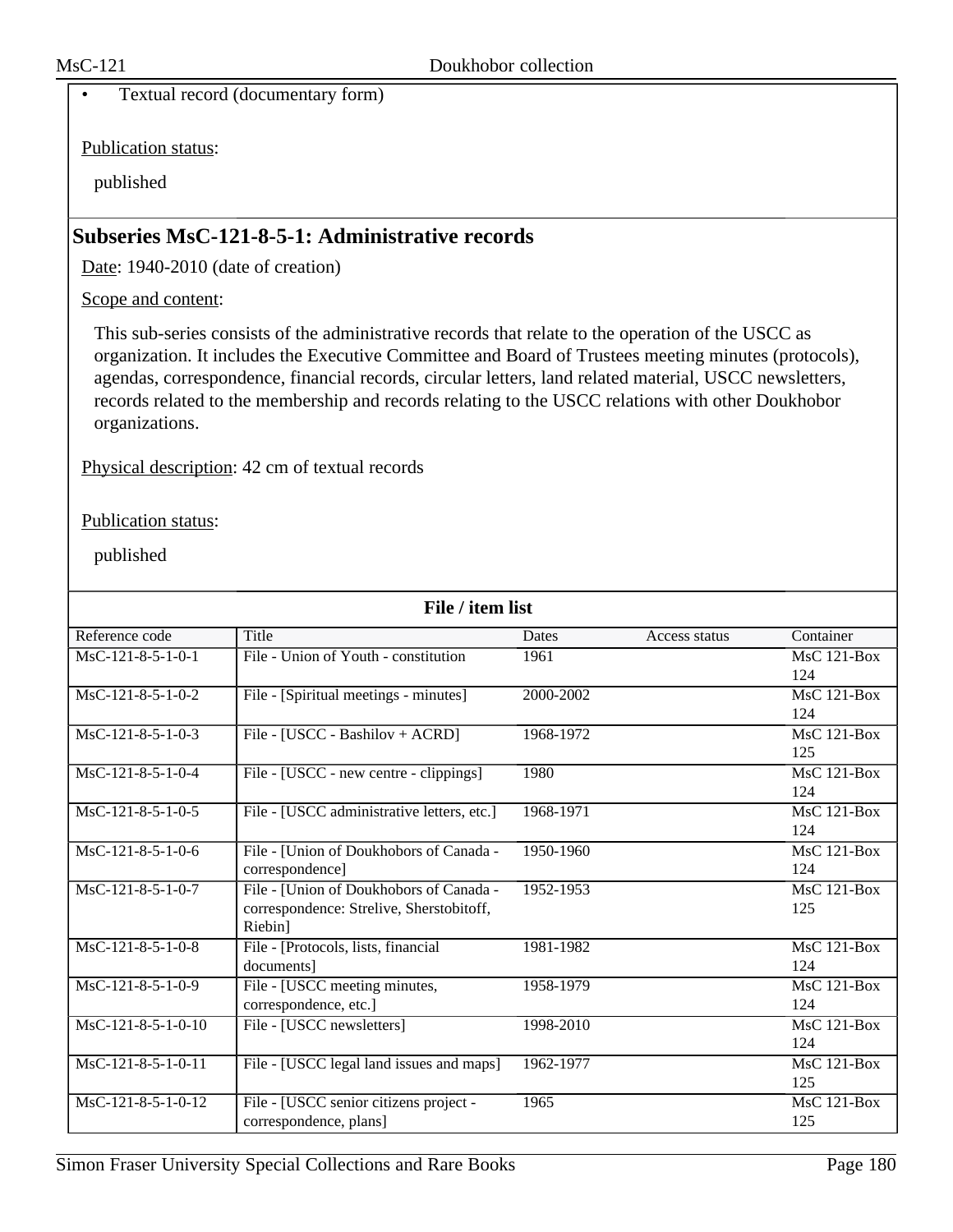• Textual record (documentary form)

Publication status:

published

# **Subseries MsC-121-8-5-1: Administrative records**

Date: 1940-2010 (date of creation)

Scope and content:

This sub-series consists of the administrative records that relate to the operation of the USCC as organization. It includes the Executive Committee and Board of Trustees meeting minutes (protocols), agendas, correspondence, financial records, circular letters, land related material, USCC newsletters, records related to the membership and records relating to the USCC relations with other Doukhobor organizations.

Physical description: 42 cm of textual records

#### Publication status:

| File / item list     |                                            |           |               |               |  |  |
|----------------------|--------------------------------------------|-----------|---------------|---------------|--|--|
| Reference code       | Title                                      | Dates     | Access status | Container     |  |  |
| $MsC-121-8-5-1-0-1$  | File - Union of Youth - constitution       | 1961      |               | $MsC$ 121-Box |  |  |
|                      |                                            |           |               | 124           |  |  |
| $MsC-121-8-5-1-0-2$  | File - [Spiritual meetings - minutes]      | 2000-2002 |               | MsC 121-Box   |  |  |
|                      |                                            |           |               | 124           |  |  |
| $MsC-121-8-5-1-0-3$  | File - [USCC - Bashilov + ACRD]            | 1968-1972 |               | $MsC$ 121-Box |  |  |
|                      |                                            |           |               | 125           |  |  |
| $MsC-121-8-5-1-0-4$  | File - [USCC - new centre - clippings]     | 1980      |               | $MsC$ 121-Box |  |  |
|                      |                                            |           |               | 124           |  |  |
| $MsC-121-8-5-1-0-5$  | File - [USCC administrative letters, etc.] | 1968-1971 |               | $MsC$ 121-Box |  |  |
|                      |                                            |           |               | 124           |  |  |
| $MsC-121-8-5-1-0-6$  | File - [Union of Doukhobors of Canada -    | 1950-1960 |               | $MsC$ 121-Box |  |  |
|                      | correspondence]                            |           |               | 124           |  |  |
| $MsC-121-8-5-1-0-7$  | File - [Union of Doukhobors of Canada -    | 1952-1953 |               | MsC 121-Box   |  |  |
|                      | correspondence: Strelive, Sherstobitoff,   |           |               | 125           |  |  |
|                      | Riebin]                                    |           |               |               |  |  |
| $MsC-121-8-5-1-0-8$  | File - [Protocols, lists, financial        | 1981-1982 |               | MsC 121-Box   |  |  |
|                      | documents]                                 |           |               | 124           |  |  |
| MsC-121-8-5-1-0-9    | File - [USCC meeting minutes,              | 1958-1979 |               | $MsC$ 121-Box |  |  |
|                      | correspondence, etc.]                      |           |               | 124           |  |  |
| $MsC-121-8-5-1-0-10$ | File - [USCC newsletters]                  | 1998-2010 |               | $MsC$ 121-Box |  |  |
|                      |                                            |           |               | 124           |  |  |
| $MsC-121-8-5-1-0-11$ | File - [USCC legal land issues and maps]   | 1962-1977 |               | MsC 121-Box   |  |  |
|                      |                                            |           |               | 125           |  |  |
| MsC-121-8-5-1-0-12   | File - [USCC senior citizens project -     | 1965      |               | MsC 121-Box   |  |  |
|                      | correspondence, plans]                     |           |               | 125           |  |  |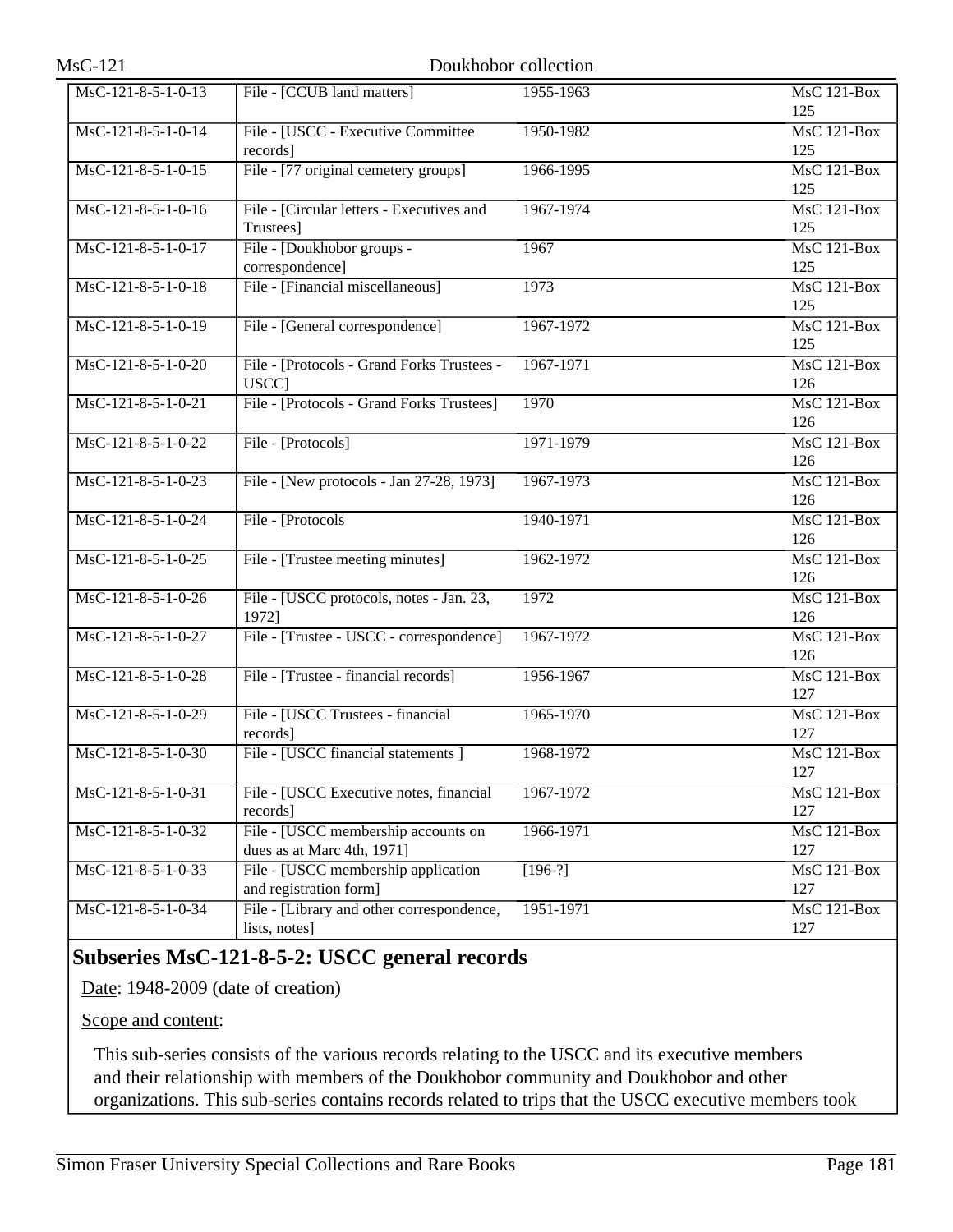| MsC-121-8-5-1-0-13   | File - [CCUB land matters]                                    | 1955-1963 | <b>MsC 121-Box</b>              |
|----------------------|---------------------------------------------------------------|-----------|---------------------------------|
|                      |                                                               |           | 125                             |
| $MsC-121-8-5-1-0-14$ | File - [USCC - Executive Committee                            | 1950-1982 | MsC 121-Box                     |
|                      | records]                                                      |           | 125                             |
| $MsC-121-8-5-1-0-15$ | File - [77 original cemetery groups]                          | 1966-1995 | $MsC$ 121-Box                   |
|                      |                                                               |           | 125                             |
| MsC-121-8-5-1-0-16   | File - [Circular letters - Executives and                     | 1967-1974 | <b>MsC 121-Box</b>              |
|                      | Trustees]                                                     |           | 125                             |
| $MsC-121-8-5-1-0-17$ | File - [Doukhobor groups -                                    | 1967      | MsC 121-Box                     |
|                      | correspondence]                                               |           | 125                             |
| $MsC-121-8-5-1-0-18$ | File - [Financial miscellaneous]                              | 1973      | MsC 121-Box                     |
|                      |                                                               |           | 125                             |
| MsC-121-8-5-1-0-19   | File - [General correspondence]                               | 1967-1972 | <b>MsC 121-Box</b>              |
|                      |                                                               |           | 125                             |
| $MsC-121-8-5-1-0-20$ | File - [Protocols - Grand Forks Trustees -                    | 1967-1971 | MsC 121-Box                     |
|                      | <b>USCC</b>                                                   |           | 126                             |
| $MsC-121-8-5-1-0-21$ | File - [Protocols - Grand Forks Trustees]                     | 1970      | $MsC$ 121-Box                   |
|                      |                                                               |           | 126                             |
| MsC-121-8-5-1-0-22   | File - [Protocols]                                            | 1971-1979 | <b>MsC 121-Box</b>              |
|                      |                                                               |           | 126                             |
| MsC-121-8-5-1-0-23   | File - [New protocols - Jan 27-28, 1973]                      | 1967-1973 | MsC 121-Box                     |
|                      |                                                               |           | 126                             |
| MsC-121-8-5-1-0-24   | File - [Protocols]                                            | 1940-1971 | MsC 121-Box                     |
|                      |                                                               |           | 126                             |
| MsC-121-8-5-1-0-25   | File - [Trustee meeting minutes]                              | 1962-1972 | <b>MsC 121-Box</b>              |
|                      |                                                               |           | 126                             |
| $MsC-121-8-5-1-0-26$ | File - [USCC protocols, notes - Jan. 23,                      | 1972      | MsC 121-Box                     |
|                      | 1972]                                                         |           | 126                             |
| $MsC-121-8-5-1-0-27$ | File - [Trustee - USCC - correspondence]                      | 1967-1972 | $MsC$ 121-Box                   |
|                      |                                                               |           | 126                             |
| MsC-121-8-5-1-0-28   | File - [Trustee - financial records]                          | 1956-1967 | <b>MsC 121-Box</b>              |
|                      |                                                               |           | 127                             |
| MsC-121-8-5-1-0-29   | File - [USCC Trustees - financial                             | 1965-1970 | MsC 121-Box                     |
|                      | records]                                                      |           | 127                             |
| MsC-121-8-5-1-0-30   | File - [USCC financial statements ]                           | 1968-1972 | $\overline{\text{MsC 121-Box}}$ |
|                      |                                                               |           | 127                             |
| MsC-121-8-5-1-0-31   | File - [USCC Executive notes, financial                       | 1967-1972 | <b>MsC 121-Box</b>              |
|                      | records]<br>File - [USCC membership accounts on               | 1966-1971 | 127                             |
| MsC-121-8-5-1-0-32   | dues as at Marc 4th, 1971]                                    |           | MsC 121-Box<br>127              |
|                      |                                                               | $[196-?]$ |                                 |
| MsC-121-8-5-1-0-33   | File - [USCC membership application<br>and registration form] |           | MsC 121-Box<br>127              |
| MsC-121-8-5-1-0-34   |                                                               | 1951-1971 |                                 |
|                      | File - [Library and other correspondence,                     |           | MsC 121-Box                     |
|                      | lists, notes]                                                 |           | 127                             |

## **Subseries MsC-121-8-5-2: USCC general records**

Date: 1948-2009 (date of creation)

Scope and content:

This sub-series consists of the various records relating to the USCC and its executive members and their relationship with members of the Doukhobor community and Doukhobor and other organizations. This sub-series contains records related to trips that the USCC executive members took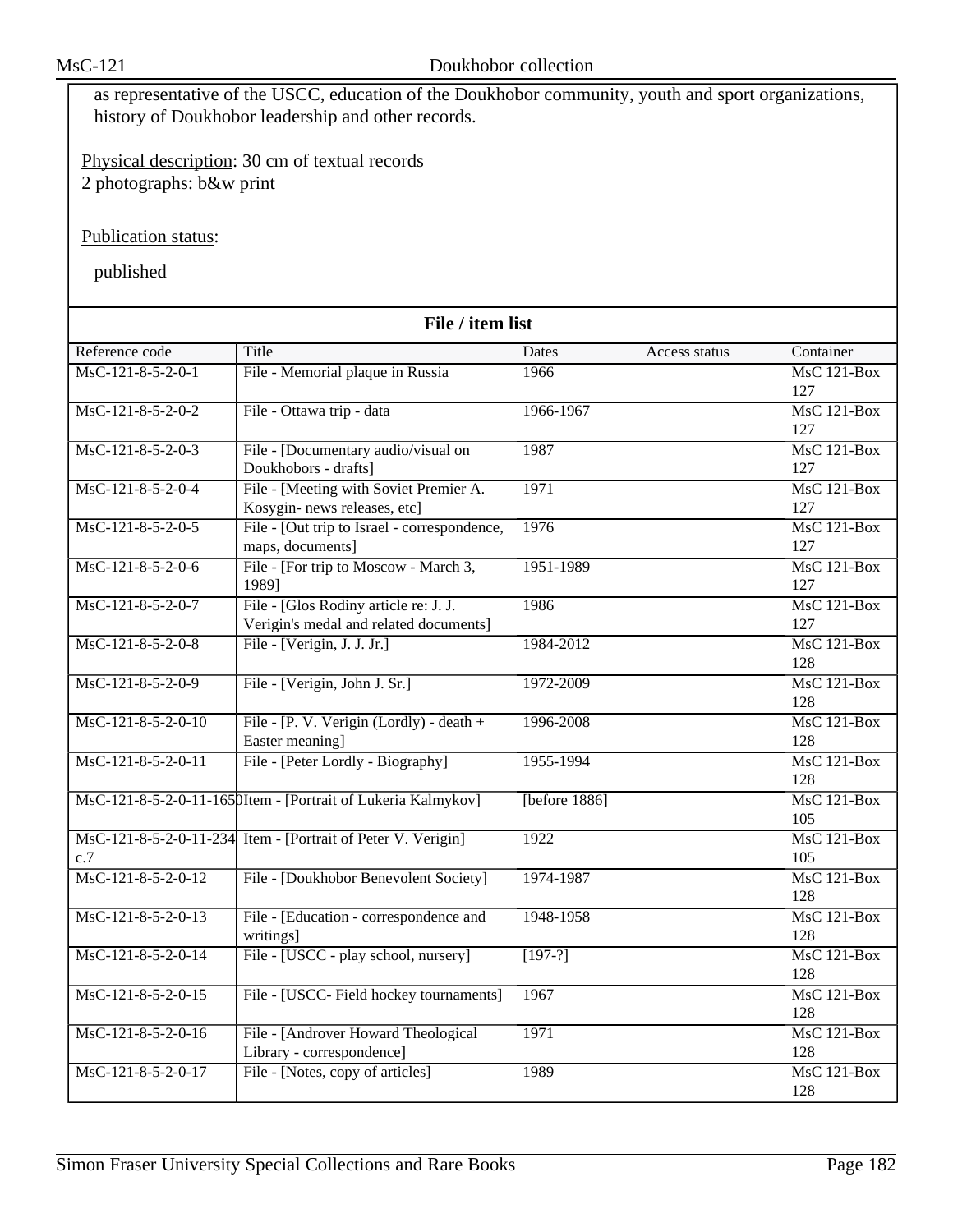as representative of the USCC, education of the Doukhobor community, youth and sport organizations, history of Doukhobor leadership and other records.

Physical description: 30 cm of textual records 2 photographs: b&w print

Publication status:

| File / item list     |                                                                                 |                  |               |                      |  |
|----------------------|---------------------------------------------------------------------------------|------------------|---------------|----------------------|--|
| Reference code       | Title                                                                           | Dates            | Access status | Container            |  |
| $MsC-121-8-5-2-0-1$  | File - Memorial plaque in Russia                                                | 1966             |               | $MsC$ 121-Box        |  |
|                      |                                                                                 |                  |               | 127                  |  |
| MsC-121-8-5-2-0-2    | File - Ottawa trip - data                                                       | 1966-1967        |               | <b>MsC 121-Box</b>   |  |
|                      |                                                                                 |                  |               | 127                  |  |
| $MsC-121-8-5-2-0-3$  | File - [Documentary audio/visual on                                             | 1987             |               | $MsC$ 121-Box        |  |
|                      | Doukhobors - drafts]                                                            |                  |               | 127                  |  |
| MsC-121-8-5-2-0-4    | File - [Meeting with Soviet Premier A.                                          | 1971             |               | <b>MsC 121-Box</b>   |  |
|                      | Kosygin- news releases, etc]                                                    |                  |               | 127                  |  |
| $MsC-121-8-5-2-0-5$  | File - [Out trip to Israel - correspondence,                                    | 1976             |               | $MsC$ 121-Box        |  |
|                      | maps, documents]                                                                |                  |               | 127                  |  |
| MsC-121-8-5-2-0-6    | File - [For trip to Moscow - March 3,                                           | 1951-1989        |               | $MsC$ 121-Box        |  |
|                      | 1989]                                                                           |                  |               | 127                  |  |
| MsC-121-8-5-2-0-7    | File - [Glos Rodiny article re: J. J.<br>Verigin's medal and related documents] | 1986             |               | $MsC$ 121-Box<br>127 |  |
| $MsC-121-8-5-2-0-8$  | File - [Verigin, J. J. Jr.]                                                     | 1984-2012        |               | <b>MsC 121-Box</b>   |  |
|                      |                                                                                 |                  |               | 128                  |  |
| MsC-121-8-5-2-0-9    | File - [Verigin, John J. Sr.]                                                   | 1972-2009        |               | $MsC$ 121-Box        |  |
|                      |                                                                                 |                  |               | 128                  |  |
| $MsC-121-8-5-2-0-10$ | File - [P. V. Verigin (Lordly) - death +                                        | 1996-2008        |               | $MsC$ 121-Box        |  |
|                      | Easter meaning]                                                                 |                  |               | 128                  |  |
| MsC-121-8-5-2-0-11   | File - [Peter Lordly - Biography]                                               | 1955-1994        |               | $MsC$ 121-Box        |  |
|                      |                                                                                 |                  |               | 128                  |  |
|                      | MsC-121-8-5-2-0-11-1650Item - [Portrait of Lukeria Kalmykov]                    | [before $1886$ ] |               | MsC 121-Box          |  |
|                      |                                                                                 |                  |               | 105                  |  |
|                      | MsC-121-8-5-2-0-11-234 Item - [Portrait of Peter V. Verigin]                    | 1922             |               | $MsC$ 121-Box        |  |
| c.7                  |                                                                                 |                  |               | 105                  |  |
| MsC-121-8-5-2-0-12   | File - [Doukhobor Benevolent Society]                                           | 1974-1987        |               | <b>MsC 121-Box</b>   |  |
|                      |                                                                                 |                  |               | 128                  |  |
| MsC-121-8-5-2-0-13   | File - [Education - correspondence and                                          | 1948-1958        |               | MsC 121-Box          |  |
|                      | writings]                                                                       |                  |               | 128                  |  |
| MsC-121-8-5-2-0-14   | File - [USCC - play school, nursery]                                            | $[197-?]$        |               | $MsC$ 121-Box        |  |
|                      |                                                                                 |                  |               | 128                  |  |
| MsC-121-8-5-2-0-15   | File - [USCC- Field hockey tournaments]                                         | 1967             |               | <b>MsC 121-Box</b>   |  |
|                      |                                                                                 |                  |               | 128                  |  |
| MsC-121-8-5-2-0-16   | File - [Androver Howard Theological                                             | 1971             |               | <b>MsC 121-Box</b>   |  |
|                      | Library - correspondence]                                                       |                  |               | 128                  |  |
| MsC-121-8-5-2-0-17   | File - [Notes, copy of articles]                                                | 1989             |               | MsC 121-Box<br>128   |  |
|                      |                                                                                 |                  |               |                      |  |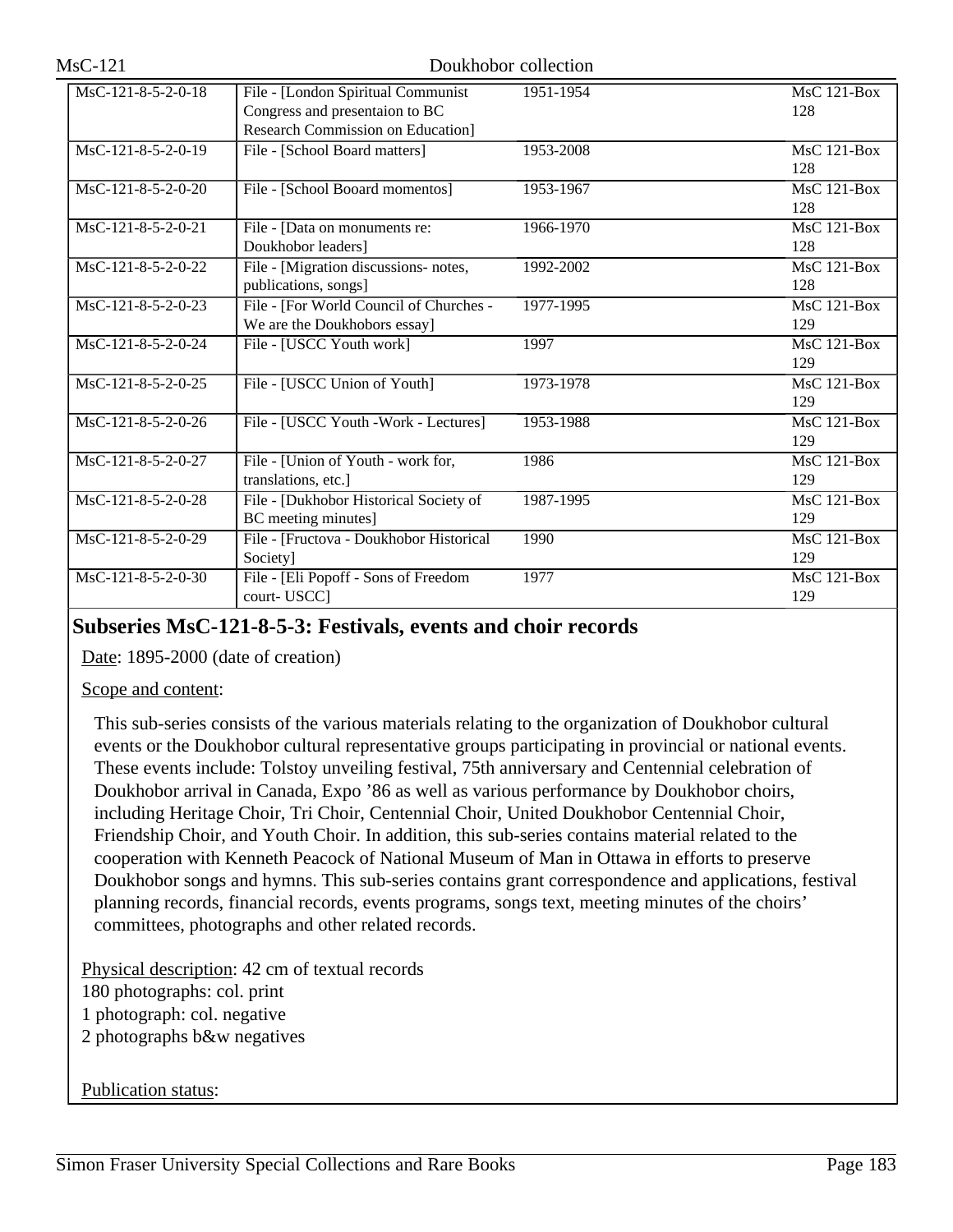| MsC-121-8-5-2-0-18   | File - [London Spiritual Communist      | 1951-1954 | $MsC$ 121-Box      |
|----------------------|-----------------------------------------|-----------|--------------------|
|                      | Congress and presentaion to BC          |           | 128                |
|                      | Research Commission on Education]       |           |                    |
| MsC-121-8-5-2-0-19   | File - [School Board matters]           | 1953-2008 | <b>MsC 121-Box</b> |
|                      |                                         |           | 128                |
| MsC-121-8-5-2-0-20   | File - [School Booard momentos]         | 1953-1967 | $MsC$ 121-Box      |
|                      |                                         |           | 128                |
| MsC-121-8-5-2-0-21   | File - [Data on monuments re:           | 1966-1970 | MsC 121-Box        |
|                      | Doukhobor leaders]                      |           | 128                |
| MsC-121-8-5-2-0-22   | File - [Migration discussions- notes,   | 1992-2002 | MsC 121-Box        |
|                      | publications, songs]                    |           | 128                |
| MsC-121-8-5-2-0-23   | File - [For World Council of Churches - | 1977-1995 | MsC 121-Box        |
|                      | We are the Doukhobors essay]            |           | 129                |
| MsC-121-8-5-2-0-24   | File - [USCC Youth work]                | 1997      | $MsC$ 121-Box      |
|                      |                                         |           | 129                |
| MsC-121-8-5-2-0-25   | File - [USCC Union of Youth]            | 1973-1978 | <b>MsC 121-Box</b> |
|                      |                                         |           | 129                |
| MsC-121-8-5-2-0-26   | File - [USCC Youth - Work - Lectures]   | 1953-1988 | $MsC$ 121-Box      |
|                      |                                         |           | 129                |
| $MsC-121-8-5-2-0-27$ | File - [Union of Youth - work for,      | 1986      | $MsC$ 121-Box      |
|                      | translations, etc.]                     |           | 129                |
| MsC-121-8-5-2-0-28   | File - [Dukhobor Historical Society of  | 1987-1995 | $MsC$ 121-Box      |
|                      | BC meeting minutes]                     |           | 129                |
| MsC-121-8-5-2-0-29   | File - [Fructova - Doukhobor Historical | 1990      | $MsC$ 121-Box      |
|                      | Society]                                |           | 129                |
| MsC-121-8-5-2-0-30   | File - [Eli Popoff - Sons of Freedom    | 1977      | $MsC$ 121-Box      |
|                      | court-USCC]                             |           | 129                |

## **Subseries MsC-121-8-5-3: Festivals, events and choir records**

Date: 1895-2000 (date of creation)

### Scope and content:

This sub-series consists of the various materials relating to the organization of Doukhobor cultural events or the Doukhobor cultural representative groups participating in provincial or national events. These events include: Tolstoy unveiling festival, 75th anniversary and Centennial celebration of Doukhobor arrival in Canada, Expo '86 as well as various performance by Doukhobor choirs, including Heritage Choir, Tri Choir, Centennial Choir, United Doukhobor Centennial Choir, Friendship Choir, and Youth Choir. In addition, this sub-series contains material related to the cooperation with Kenneth Peacock of National Museum of Man in Ottawa in efforts to preserve Doukhobor songs and hymns. This sub-series contains grant correspondence and applications, festival planning records, financial records, events programs, songs text, meeting minutes of the choirs' committees, photographs and other related records.

Physical description: 42 cm of textual records 180 photographs: col. print 1 photograph: col. negative 2 photographs b&w negatives

### Publication status: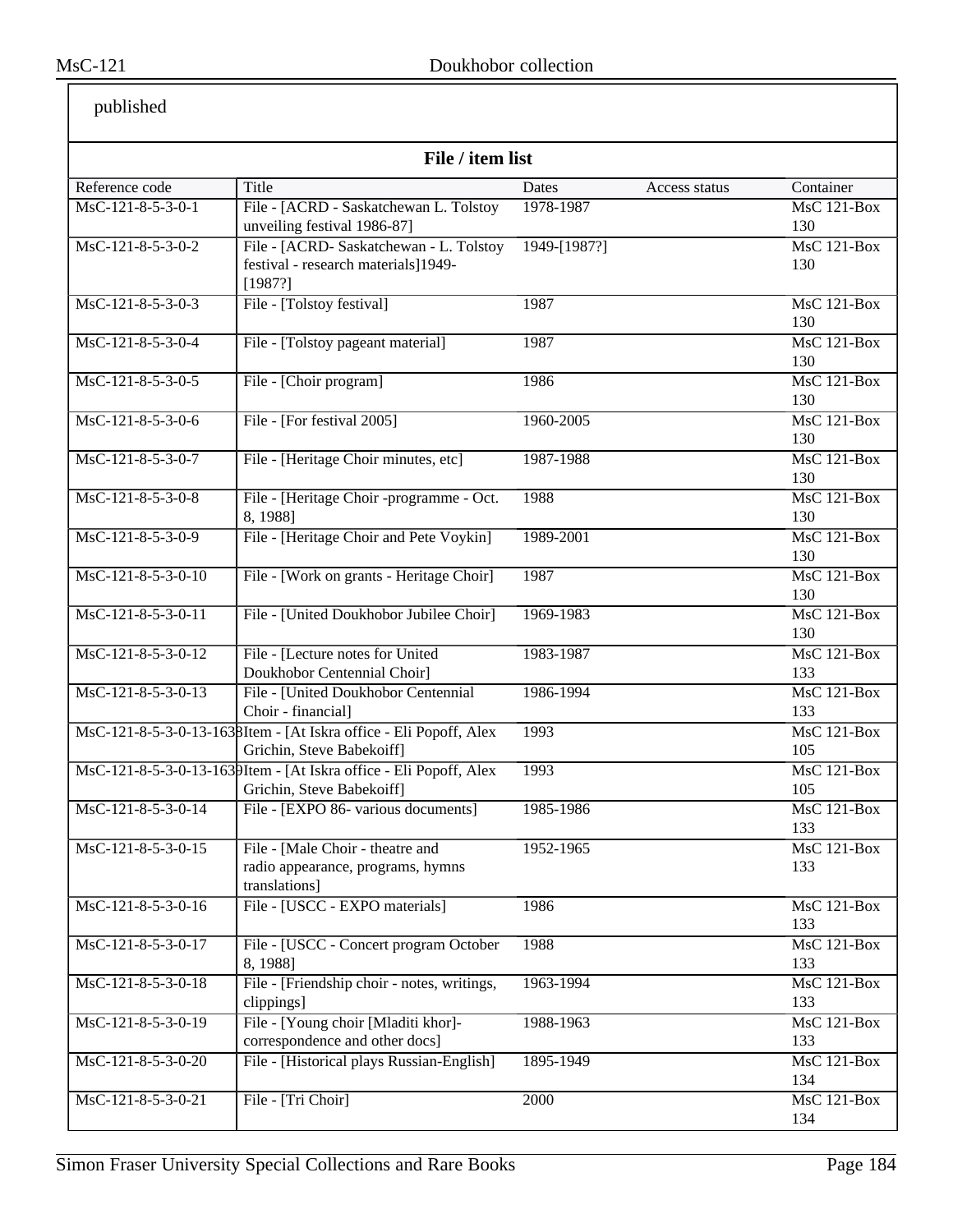| File / item list     |                                                                                                |                        |                           |  |
|----------------------|------------------------------------------------------------------------------------------------|------------------------|---------------------------|--|
| Reference code       | Title                                                                                          | Dates<br>Access status | Container                 |  |
| MsC-121-8-5-3-0-1    | File - [ACRD - Saskatchewan L. Tolstoy                                                         | 1978-1987              | MsC 121-Box               |  |
|                      | unveiling festival 1986-87]                                                                    |                        | 130                       |  |
| MsC-121-8-5-3-0-2    | File - [ACRD- Saskatchewan - L. Tolstoy]                                                       | 1949-[1987?]           | MsC 121-Box               |  |
|                      | festival - research materials]1949-<br>[1987?]                                                 |                        | 130                       |  |
| MsC-121-8-5-3-0-3    | File - [Tolstoy festival]                                                                      | 1987                   | <b>MsC 121-Box</b><br>130 |  |
| MsC-121-8-5-3-0-4    | File - [Tolstoy pageant material]                                                              | 1987                   | <b>MsC 121-Box</b><br>130 |  |
| MsC-121-8-5-3-0-5    | File - [Choir program]                                                                         | 1986                   | $MsC$ 121-Box<br>130      |  |
| MsC-121-8-5-3-0-6    | File - [For festival 2005]                                                                     | 1960-2005              | <b>MsC 121-Box</b><br>130 |  |
| MsC-121-8-5-3-0-7    | File - [Heritage Choir minutes, etc]                                                           | 1987-1988              | MsC 121-Box<br>130        |  |
| MsC-121-8-5-3-0-8    | File - [Heritage Choir -programme - Oct.<br>8, 1988]                                           | 1988                   | MsC 121-Box<br>130        |  |
| MsC-121-8-5-3-0-9    | File - [Heritage Choir and Pete Voykin]                                                        | 1989-2001              | $MsC$ 121-Box<br>130      |  |
| $MsC-121-8-5-3-0-10$ | File - [Work on grants - Heritage Choir]                                                       | 1987                   | $MsC$ 121-Box<br>130      |  |
| MsC-121-8-5-3-0-11   | File - [United Doukhobor Jubilee Choir]                                                        | 1969-1983              | $MsC$ 121-Box<br>130      |  |
| MsC-121-8-5-3-0-12   | File - [Lecture notes for United<br>Doukhobor Centennial Choir]                                | 1983-1987              | <b>MsC 121-Box</b><br>133 |  |
| MsC-121-8-5-3-0-13   | File - [United Doukhobor Centennial<br>Choir - financial]                                      | 1986-1994              | MsC 121-Box<br>133        |  |
|                      | MsC-121-8-5-3-0-13-1638Item - [At Iskra office - Eli Popoff, Alex<br>Grichin, Steve Babekoiff] | 1993                   | MsC 121-Box<br>105        |  |
|                      | MsC-121-8-5-3-0-13-1639Item - [At Iskra office - Eli Popoff, Alex<br>Grichin, Steve Babekoiff] | 1993                   | <b>MsC 121-Box</b><br>105 |  |
| MsC-121-8-5-3-0-14   | File - [EXPO 86- various documents]                                                            | 1985-1986              | MsC 121-Box<br>133        |  |
| MsC-121-8-5-3-0-15   | File - [Male Choir - theatre and<br>radio appearance, programs, hymns<br>translations]         | 1952-1965              | $MsC$ 121-Box<br>133      |  |
| MsC-121-8-5-3-0-16   | File - [USCC - EXPO materials]                                                                 | 1986                   | <b>MsC 121-Box</b><br>133 |  |
| MsC-121-8-5-3-0-17   | File - [USCC - Concert program October<br>8, 1988]                                             | 1988                   | <b>MsC 121-Box</b><br>133 |  |
| MsC-121-8-5-3-0-18   | File - [Friendship choir - notes, writings,<br>clippings]                                      | 1963-1994              | $MsC$ 121-Box<br>133      |  |
| MsC-121-8-5-3-0-19   | File - [Young choir [Mladiti khor]-<br>correspondence and other docs]                          | 1988-1963              | MsC 121-Box<br>133        |  |
| MsC-121-8-5-3-0-20   | File - [Historical plays Russian-English]                                                      | 1895-1949              | MsC 121-Box<br>134        |  |
| MsC-121-8-5-3-0-21   | File - [Tri Choir]                                                                             | 2000                   | $MsC$ 121-Box<br>134      |  |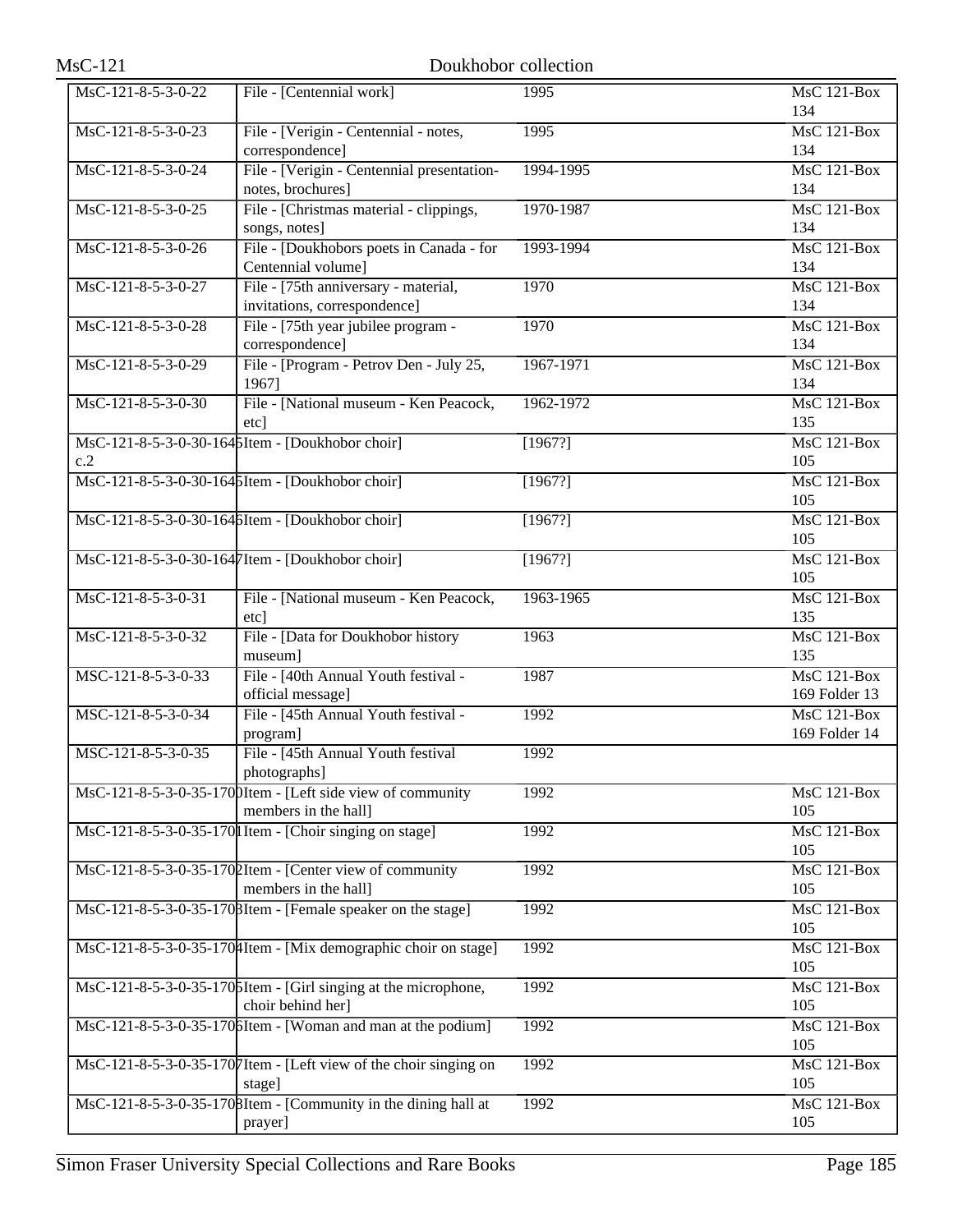| $MsC-121$            |                                                                                     | Doukhobor collection |                                     |
|----------------------|-------------------------------------------------------------------------------------|----------------------|-------------------------------------|
| MsC-121-8-5-3-0-22   | File - [Centennial work]                                                            | 1995                 | <b>MsC 121-Box</b><br>134           |
| $MsC-121-8-5-3-0-23$ | File - [Verigin - Centennial - notes,<br>correspondence]                            | 1995                 | MsC 121-Box<br>134                  |
| MsC-121-8-5-3-0-24   | File - [Verigin - Centennial presentation-<br>notes, brochures]                     | 1994-1995            | $MsC$ 121-Box<br>134                |
| MsC-121-8-5-3-0-25   | File - [Christmas material - clippings,<br>songs, notes]                            | 1970-1987            | <b>MsC 121-Box</b><br>134           |
| MsC-121-8-5-3-0-26   | File - [Doukhobors poets in Canada - for<br>Centennial volume]                      | 1993-1994            | MsC 121-Box<br>134                  |
| MsC-121-8-5-3-0-27   | File - [75th anniversary - material,<br>invitations, correspondence]                | 1970                 | MsC 121-Box<br>134                  |
| MsC-121-8-5-3-0-28   | File - [75th year jubilee program -<br>correspondence]                              | 1970                 | <b>MsC 121-Box</b><br>134           |
| MsC-121-8-5-3-0-29   | File - [Program - Petrov Den - July 25,<br>1967]                                    | 1967-1971            | <b>MsC 121-Box</b><br>134           |
| MsC-121-8-5-3-0-30   | File - [National museum - Ken Peacock,<br>etc]                                      | 1962-1972            | <b>MsC 121-Box</b><br>135           |
| c.2                  | MsC-121-8-5-3-0-30-1645Item - [Doukhobor choir]                                     | [1967?]              | <b>MsC 121-Box</b><br>105           |
|                      | MsC-121-8-5-3-0-30-1645Item - [Doukhobor choir]                                     | [1967?]              | <b>MsC 121-Box</b><br>105           |
|                      | MsC-121-8-5-3-0-30-164 SItem - [Doukhobor choir]                                    | [1967?]              | MsC 121-Box<br>105                  |
|                      | MsC-121-8-5-3-0-30-1647Item - [Doukhobor choir]                                     | [1967?]              | <b>MsC 121-Box</b><br>105           |
| MsC-121-8-5-3-0-31   | File - [National museum - Ken Peacock,<br>etc]                                      | 1963-1965            | MsC 121-Box<br>135                  |
| MsC-121-8-5-3-0-32   | File - [Data for Doukhobor history<br>museum]                                       | 1963                 | $MsC$ 121-Box<br>135                |
| MSC-121-8-5-3-0-33   | File - [40th Annual Youth festival -<br>official message]                           | 1987                 | <b>MsC 121-Box</b><br>169 Folder 13 |
| MSC-121-8-5-3-0-34   | File - [45th Annual Youth festival -<br>program]                                    | 1992                 | $MsC$ 121-Box<br>169 Folder 14      |
| MSC-121-8-5-3-0-35   | File - [45th Annual Youth festival<br>photographs]                                  | 1992                 |                                     |
|                      | MsC-121-8-5-3-0-35-1700Item - [Left side view of community<br>members in the hall]  | 1992                 | MsC 121-Box<br>105                  |
|                      | MsC-121-8-5-3-0-35-170 I Item - [Choir singing on stage]                            | 1992                 | $MsC$ 121-Box<br>105                |
|                      | MsC-121-8-5-3-0-35-1702Item - [Center view of community<br>members in the hall]     | 1992                 | <b>MsC 121-Box</b><br>105           |
|                      | MsC-121-8-5-3-0-35-170 BItem - [Female speaker on the stage]                        | 1992                 | <b>MsC 121-Box</b><br>105           |
|                      | MsC-121-8-5-3-0-35-1704Item - [Mix demographic choir on stage]                      | 1992                 | MsC 121-Box<br>105                  |
|                      | MsC-121-8-5-3-0-35-1706Item - [Girl singing at the microphone,<br>choir behind her] | 1992                 | MsC 121-Box<br>105                  |
|                      | MsC-121-8-5-3-0-35-1706Item - [Woman and man at the podium]                         | 1992                 | MsC 121-Box<br>105                  |
|                      | MsC-121-8-5-3-0-35-1707 Item - [Left view of the choir singing on<br>stage]         | 1992                 | MsC 121-Box<br>105                  |
|                      | MsC-121-8-5-3-0-35-1708Item - [Community in the dining hall at<br>prayer]           | 1992                 | MsC 121-Box<br>105                  |
|                      |                                                                                     |                      |                                     |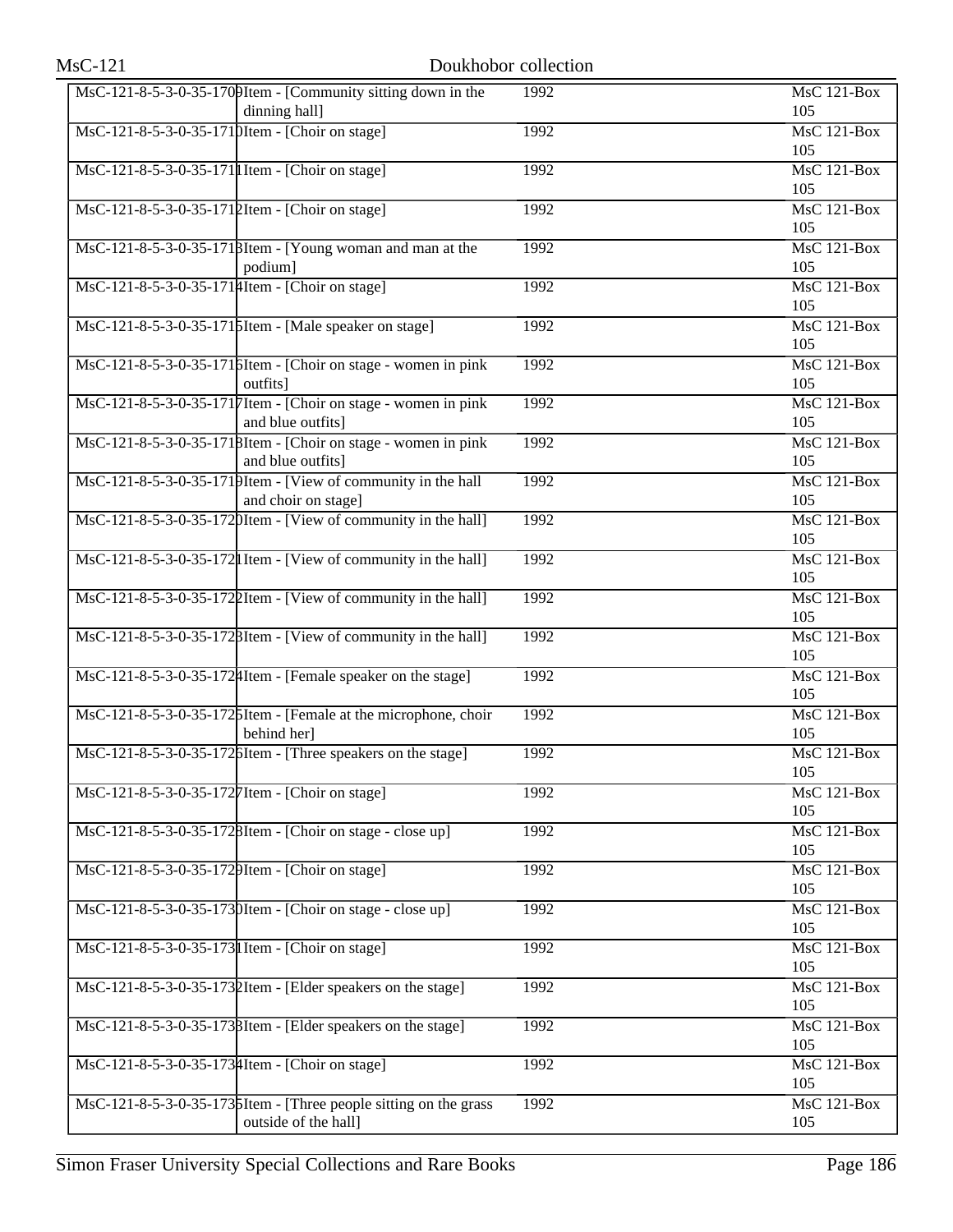| <b>MsC-121</b>                                    |                                                                                          | Doukhobor collection |                                        |
|---------------------------------------------------|------------------------------------------------------------------------------------------|----------------------|----------------------------------------|
|                                                   | $\text{MsC-121-8-5-3-0-35-170}$ [Community sitting down in the<br>dinning hall]          | 1992                 | <b>MsC 121-Box</b><br>105              |
| MsC-121-8-5-3-0-35-1710Item - [Choir on stage]    |                                                                                          | 1992                 | MsC 121-Box<br>105                     |
| MsC-121-8-5-3-0-35-171  I Item - [Choir on stage] |                                                                                          | 1992                 | $\overline{\text{MsC 121-Box}}$<br>105 |
| MsC-121-8-5-3-0-35-1712Item - [Choir on stage]    |                                                                                          | 1992                 | <b>MsC 121-Box</b><br>105              |
|                                                   | MsC-121-8-5-3-0-35-1718Item - [Young woman and man at the<br>podium]                     | 1992                 | <b>MsC 121-Box</b><br>105              |
| MsC-121-8-5-3-0-35-1714 Item - [Choir on stage]   |                                                                                          | 1992                 | $MsC$ 121-Box<br>105                   |
|                                                   | MsC-121-8-5-3-0-35-1715Item - [Male speaker on stage]                                    | 1992                 | <b>MsC 121-Box</b><br>105              |
|                                                   | MsC-121-8-5-3-0-35-1716Item - [Choir on stage - women in pink]<br>outfits]               | 1992                 | MsC 121-Box<br>105                     |
|                                                   | MsC-121-8-5-3-0-35-1717 Item - [Choir on stage - women in pink<br>and blue outfits]      | 1992                 | <b>MsC 121-Box</b><br>105              |
|                                                   | MsC-121-8-5-3-0-35-1718Item - [Choir on stage - women in pink<br>and blue outfits]       | 1992                 | <b>MsC 121-Box</b><br>105              |
|                                                   | MsC-121-8-5-3-0-35-1719Item - [View of community in the hall<br>and choir on stage]      | 1992                 | MsC 121-Box<br>105                     |
|                                                   | MsC-121-8-5-3-0-35-1720Item - [View of community in the hall]                            | 1992                 | $MsC$ 121-Box<br>105                   |
|                                                   | $\text{MsC-121-8-5-3-0-35-172}$ I Item - [View of community in the hall]                 | 1992                 | <b>MsC 121-Box</b><br>105              |
|                                                   | MsC-121-8-5-3-0-35-1722Item - [View of community in the hall]                            | 1992                 | MsC 121-Box<br>105                     |
|                                                   | MsC-121-8-5-3-0-35-1728Item - [View of community in the hall]                            | 1992                 | $MsC$ 121-Box<br>105                   |
|                                                   | MsC-121-8-5-3-0-35-1724 Item - [Female speaker on the stage]                             | 1992                 | <b>MsC 121-Box</b><br>105              |
|                                                   | MsC-121-8-5-3-0-35-1725Item - [Female at the microphone, choir<br>behind her]            | 1992                 | MsC 121-Box<br>105                     |
|                                                   | MsC-121-8-5-3-0-35-1726Item - [Three speakers on the stage]                              | 1992                 | <b>MsC 121-Box</b><br>105              |
| MsC-121-8-5-3-0-35-1727Item - [Choir on stage]    |                                                                                          | 1992                 | <b>MsC 121-Box</b><br>105              |
|                                                   | MsC-121-8-5-3-0-35-1728Item - [Choir on stage - close up]                                | 1992                 | MsC 121-Box<br>105                     |
| MsC-121-8-5-3-0-35-1729Item - [Choir on stage]    |                                                                                          | 1992                 | <b>MsC 121-Box</b><br>105              |
|                                                   | MsC-121-8-5-3-0-35-1730Item - [Choir on stage - close up]                                | 1992                 | <b>MsC 121-Box</b><br>105              |
| MsC-121-8-5-3-0-35-173 [I Item - [Choir on stage] |                                                                                          | 1992                 | MsC 121-Box<br>105                     |
|                                                   | MsC-121-8-5-3-0-35-1732Item - [Elder speakers on the stage]                              | 1992                 | <b>MsC 121-Box</b><br>105              |
|                                                   | MsC-121-8-5-3-0-35-1738Item - [Elder speakers on the stage]                              | 1992                 | <b>MsC 121-Box</b><br>105              |
| MsC-121-8-5-3-0-35-1734Item - [Choir on stage]    |                                                                                          | 1992                 | <b>MsC 121-Box</b><br>105              |
|                                                   | MsC-121-8-5-3-0-35-1735Item - [Three people sitting on the grass<br>outside of the hall] | 1992                 | MsC 121-Box<br>105                     |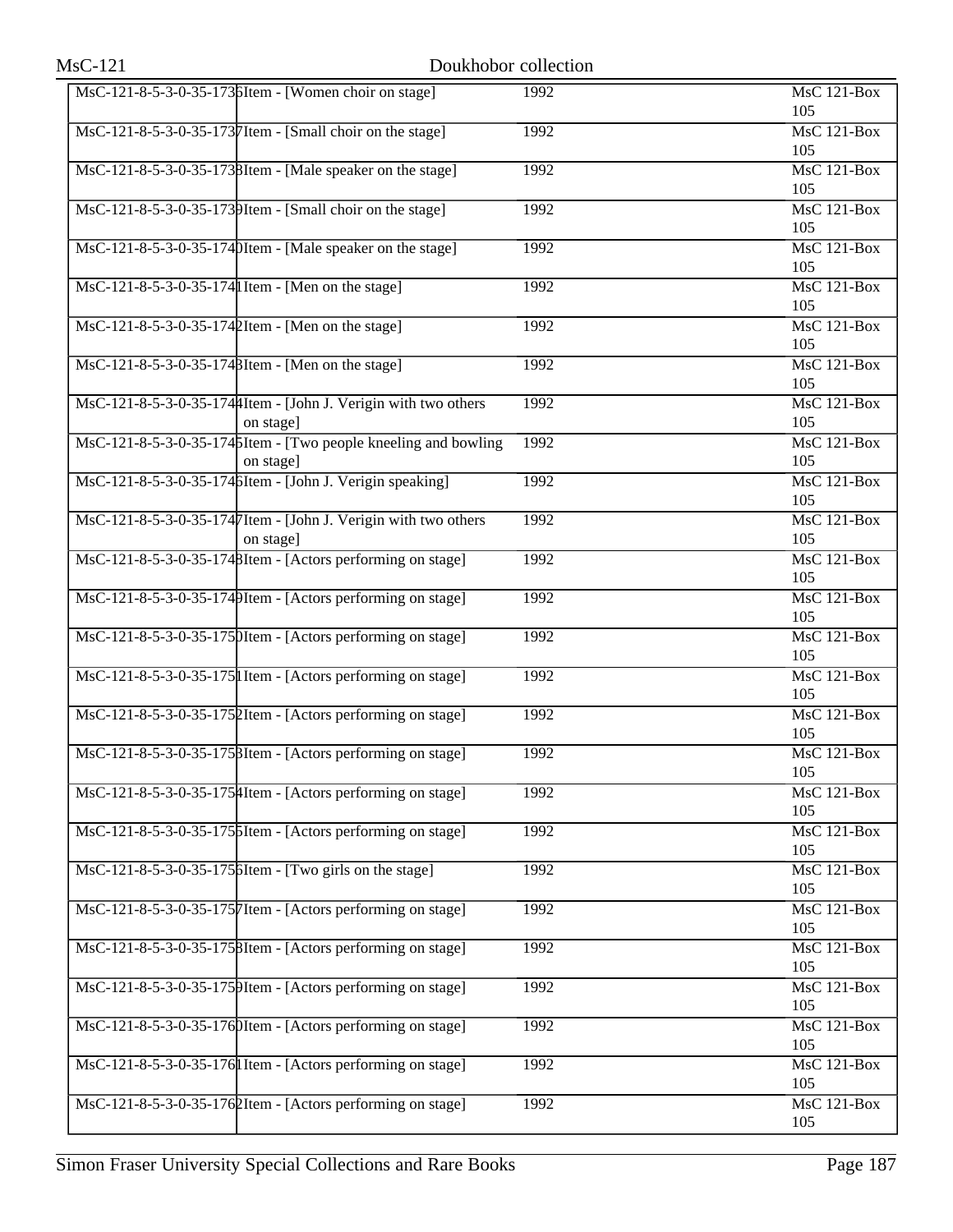| $MsC-121$ |                                                                              | Doukhobor collection |                           |
|-----------|------------------------------------------------------------------------------|----------------------|---------------------------|
|           | MsC-121-8-5-3-0-35-1736Item - [Women choir on stage]                         | 1992                 | $MsC$ 121-Box<br>105      |
|           | MsC-121-8-5-3-0-35-1737Item - [Small choir on the stage]                     | 1992                 | MsC 121-Box<br>105        |
|           | MsC-121-8-5-3-0-35-1738Item - [Male speaker on the stage]                    | 1992                 | MsC 121-Box<br>105        |
|           | MsC-121-8-5-3-0-35-1739Item - [Small choir on the stage]                     | 1992                 | <b>MsC 121-Box</b><br>105 |
|           | MsC-121-8-5-3-0-35-1740Item - [Male speaker on the stage]                    | 1992                 | <b>MsC 121-Box</b><br>105 |
|           | MsC-121-8-5-3-0-35-174 I Item - [Men on the stage]                           | 1992                 | $MsC$ 121-Box<br>105      |
|           | MsC-121-8-5-3-0-35-1742Item - [Men on the stage]                             | 1992                 | <b>MsC 121-Box</b><br>105 |
|           | MsC-121-8-5-3-0-35-174 BItem - [Men on the stage]                            | 1992                 | MsC 121-Box<br>105        |
|           | MsC-121-8-5-3-0-35-1744 Item - [John J. Verigin with two others<br>on stage] | 1992                 | MsC 121-Box<br>105        |
|           | MsC-121-8-5-3-0-35-1745Item - [Two people kneeling and bowling<br>on stage]  | 1992                 | <b>MsC 121-Box</b><br>105 |
|           | MsC-121-8-5-3-0-35-1746Item - [John J. Verigin speaking]                     | 1992                 | MsC 121-Box<br>105        |
|           | MsC-121-8-5-3-0-35-1747 Item - [John J. Verigin with two others<br>on stage] | 1992                 | $MsC$ 121-Box<br>105      |
|           | MsC-121-8-5-3-0-35-1748Item - [Actors performing on stage]                   | 1992                 | <b>MsC 121-Box</b><br>105 |
|           | MsC-121-8-5-3-0-35-1749Item - [Actors performing on stage]                   | 1992                 | MsC 121-Box<br>105        |
|           | MsC-121-8-5-3-0-35-1750Item - [Actors performing on stage]                   | 1992                 | MsC 121-Box<br>105        |
|           | MsC-121-8-5-3-0-35-175  Item - [Actors performing on stage]                  | 1992                 | <b>MsC 121-Box</b><br>105 |
|           | MsC-121-8-5-3-0-35-1752Item - [Actors performing on stage]                   | 1992                 | $MsC$ 121-Box<br>105      |
|           | MsC-121-8-5-3-0-35-175 BItem - [Actors performing on stage]                  | 1992                 | <b>MsC 121-Box</b><br>105 |
|           | MsC-121-8-5-3-0-35-1754 Item - [Actors performing on stage]                  | 1992                 | <b>MsC 121-Box</b><br>105 |
|           | MsC-121-8-5-3-0-35-1756Item - [Actors performing on stage]                   | 1992                 | MsC 121-Box<br>105        |
|           | MsC-121-8-5-3-0-35-1756Item - [Two girls on the stage]                       | 1992                 | MsC 121-Box<br>105        |
|           | MsC-121-8-5-3-0-35-1757 Item - [Actors performing on stage]                  | 1992                 | $MsC$ 121-Box<br>105      |
|           | MsC-121-8-5-3-0-35-1758Item - [Actors performing on stage]                   | 1992                 | MsC 121-Box<br>105        |
|           | MsC-121-8-5-3-0-35-1759Item - [Actors performing on stage]                   | 1992                 | <b>MsC 121-Box</b><br>105 |
|           | MsC-121-8-5-3-0-35-1760Item - [Actors performing on stage]                   | 1992                 | <b>MsC 121-Box</b><br>105 |
|           | MsC-121-8-5-3-0-35-176  Item - [Actors performing on stage]                  | 1992                 | MsC 121-Box<br>105        |
|           | MsC-121-8-5-3-0-35-1762Item - [Actors performing on stage]                   | 1992                 | MsC 121-Box<br>105        |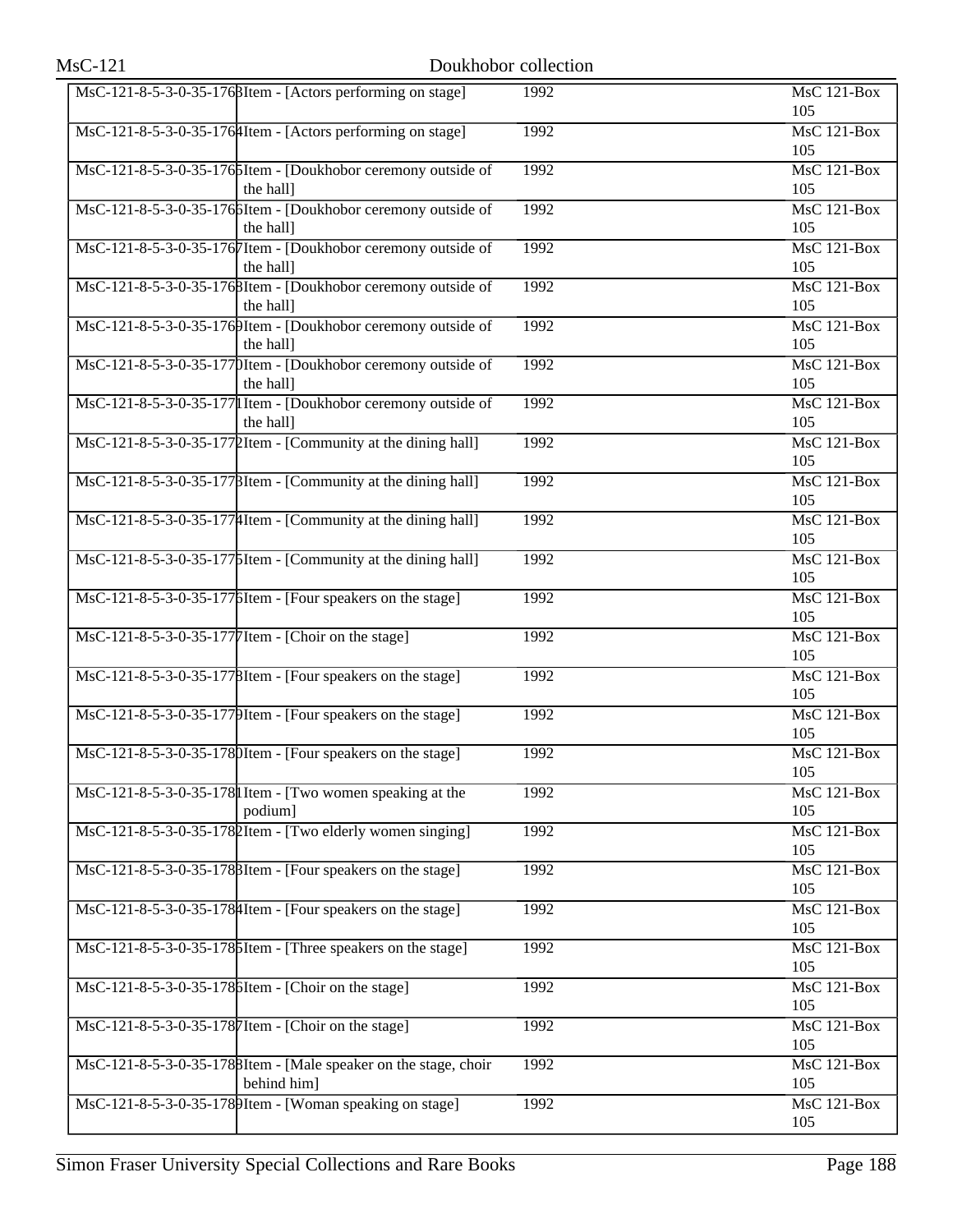| $MsC-121$ |                                                                                | Doukhobor collection |                                        |
|-----------|--------------------------------------------------------------------------------|----------------------|----------------------------------------|
|           | MsC-121-8-5-3-0-35-176 BItem - [Actors performing on stage]                    | 1992                 | <b>MsC 121-Box</b><br>105              |
|           | MsC-121-8-5-3-0-35-1764Item - [Actors performing on stage]                     | 1992                 | MsC 121-Box<br>105                     |
|           | MsC-121-8-5-3-0-35-1765Item - [Doukhobor ceremony outside of<br>the hall]      | 1992                 | $MsC$ 121-Box<br>105                   |
|           | MsC-121-8-5-3-0-35-1766Item - [Doukhobor ceremony outside of<br>the hall]      | 1992                 | <b>MsC 121-Box</b><br>105              |
|           | MsC-121-8-5-3-0-35-1767Item - [Doukhobor ceremony outside of<br>the hall]      | 1992                 | MsC 121-Box<br>105                     |
|           | MsC-121-8-5-3-0-35-1768Item - [Doukhobor ceremony outside of<br>the hall]      | 1992                 | $MsC$ 121-Box<br>105                   |
|           | MsC-121-8-5-3-0-35-1769Item - [Doukhobor ceremony outside of<br>the hall]      | 1992                 | <b>MsC 121-Box</b><br>105              |
|           | MsC-121-8-5-3-0-35-1770Item - [Doukhobor ceremony outside of<br>the hall]      | 1992                 | <b>MsC 121-Box</b><br>105              |
|           | MsC-121-8-5-3-0-35-177 I Item - [Doukhobor ceremony outside of<br>the hall]    | 1992                 | $MsC$ 121-Box<br>105                   |
|           | MsC-121-8-5-3-0-35-1772Item - [Community at the dining hall]                   | 1992                 | <b>MsC 121-Box</b><br>105              |
|           | MsC-121-8-5-3-0-35-1778Item - [Community at the dining hall]                   | 1992                 | MsC 121-Box<br>105                     |
|           | MsC-121-8-5-3-0-35-1774Item - [Community at the dining hall]                   | 1992                 | $MsC$ 121-Box<br>105                   |
|           | MsC-121-8-5-3-0-35-1775Item - [Community at the dining hall]                   | 1992                 | <b>MsC 121-Box</b><br>105              |
|           | MsC-121-8-5-3-0-35-1776Item - [Four speakers on the stage]                     | 1992                 | MsC 121-Box<br>105                     |
|           | MsC-121-8-5-3-0-35-1777 Item - [Choir on the stage]                            | 1992                 | $MsC$ 121-Box<br>105                   |
|           | MsC-121-8-5-3-0-35-1778Item - [Four speakers on the stage]                     | 1992                 | <b>MsC 121-Box</b><br>105              |
|           | MsC-121-8-5-3-0-35-1779Item - [Four speakers on the stage]                     | 1992                 | MsC 121-Box<br>105                     |
|           | MsC-121-8-5-3-0-35-1780Item - [Four speakers on the stage]                     | 1992                 | MsC 121-Box<br>105                     |
|           | MsC-121-8-5-3-0-35-178 I Item - [Two women speaking at the<br>podium]          | 1992                 | <b>MsC 121-Box</b><br>105              |
|           | MsC-121-8-5-3-0-35-1782Item - [Two elderly women singing]                      | 1992                 | $\overline{\text{MsC 121-Box}}$<br>105 |
|           | MsC-121-8-5-3-0-35-178 BItem - [Four speakers on the stage]                    | 1992                 | MsC 121-Box<br>105                     |
|           | MsC-121-8-5-3-0-35-178 4 Item - [Four speakers on the stage]                   | 1992                 | MsC 121-Box<br>105                     |
|           | MsC-121-8-5-3-0-35-1786Item - [Three speakers on the stage]                    | 1992                 | $MsC$ 121-Box<br>105                   |
|           | MsC-121-8-5-3-0-35-1786Item - [Choir on the stage]                             | 1992                 | MsC 121-Box<br>105                     |
|           | MsC-121-8-5-3-0-35-1787 Item - [Choir on the stage]                            | 1992                 | <b>MsC 121-Box</b><br>105              |
|           | MsC-121-8-5-3-0-35-1788Item - [Male speaker on the stage, choir<br>behind him] | 1992                 | MsC 121-Box<br>105                     |
|           | MsC-121-8-5-3-0-35-1789Item - [Woman speaking on stage]                        | 1992                 | <b>MsC 121-Box</b><br>105              |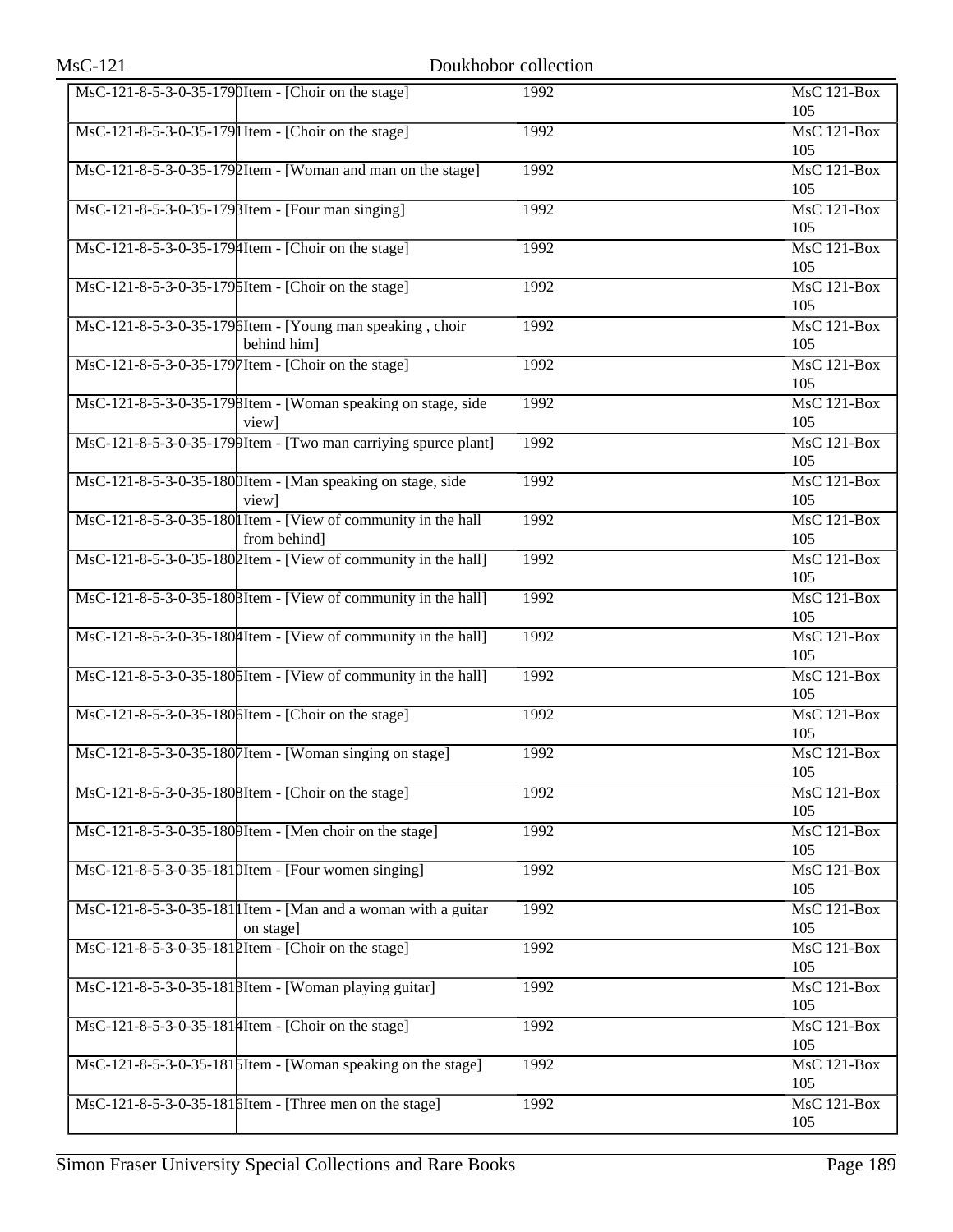| $MsC-121$ |                                                                                | Doukhobor collection |                                        |
|-----------|--------------------------------------------------------------------------------|----------------------|----------------------------------------|
|           | MsC-121-8-5-3-0-35-1790Item - [Choir on the stage]                             | 1992                 | <b>MsC 121-Box</b><br>105              |
|           | MsC-121-8-5-3-0-35-179 I Item - [Choir on the stage]                           | 1992                 | MsC 121-Box<br>105                     |
|           | MsC-121-8-5-3-0-35-1792Item - [Woman and man on the stage]                     | 1992                 | $MsC$ 121-Box<br>105                   |
|           | MsC-121-8-5-3-0-35-179 BItem - [Four man singing]                              | 1992                 | <b>MsC 121-Box</b><br>105              |
|           | MsC-121-8-5-3-0-35-1794Item - [Choir on the stage]                             | 1992                 | MsC 121-Box<br>105                     |
|           | MsC-121-8-5-3-0-35-1795Item - [Choir on the stage]                             | 1992                 | $MsC$ 121-Box<br>105                   |
|           | MsC-121-8-5-3-0-35-1796Item - [Young man speaking, choir<br>behind him]        | 1992                 | <b>MsC 121-Box</b><br>105              |
|           | MsC-121-8-5-3-0-35-1797Item - [Choir on the stage]                             | 1992                 | MsC 121-Box<br>105                     |
|           | MsC-121-8-5-3-0-35-1798Item - [Woman speaking on stage, side<br>view]          | 1992                 | $MsC$ 121-Box<br>105                   |
|           | $\text{MsC-121-8-5-3-0-35-179}$ Item - [Two man carriying spurce plant]        | 1992                 | $MsC$ 121-Box<br>105                   |
|           | MsC-121-8-5-3-0-35-1800Item - [Man speaking on stage, side<br>view]            | 1992                 | MsC 121-Box<br>105                     |
|           | MsC-121-8-5-3-0-35-180 I Item - [View of community in the hall<br>from behind] | 1992                 | $MsC$ 121-Box<br>105                   |
|           | MsC-121-8-5-3-0-35-1802Item - [View of community in the hall]                  | 1992                 | <b>MsC 121-Box</b><br>105              |
|           | MsC-121-8-5-3-0-35-180 BItem - [View of community in the hall]                 | 1992                 | MsC 121-Box<br>105                     |
|           | MsC-121-8-5-3-0-35-1804 Item - [View of community in the hall]                 | 1992                 | $MsC$ 121-Box<br>105                   |
|           | MsC-121-8-5-3-0-35-180 SI tem - [View of community in the hall]                | 1992                 | <b>MsC 121-Box</b><br>105              |
|           | MsC-121-8-5-3-0-35-1806Item - [Choir on the stage]                             | 1992                 | $MsC$ 121-Box<br>105                   |
|           | MsC-121-8-5-3-0-35-1807Item - [Woman singing on stage]                         | 1992                 | MsC 121-Box<br>105                     |
|           | MsC-121-8-5-3-0-35-1808Item - [Choir on the stage]                             | 1992                 | <b>MsC 121-Box</b><br>105              |
|           | MsC-121-8-5-3-0-35-1809Item - [Men choir on the stage]                         | 1992                 | $\overline{\text{MsC 121-Box}}$<br>105 |
|           | MsC-121-8-5-3-0-35-1810Item - [Four women singing]                             | 1992                 | MsC 121-Box<br>105                     |
|           | MsC-121-8-5-3-0-35-181   I Item - [Man and a woman with a guitar<br>on stage]  | 1992                 | MsC 121-Box<br>105                     |
|           | MsC-121-8-5-3-0-35-1812Item - [Choir on the stage]                             | 1992                 | MsC 121-Box<br>105                     |
|           | MsC-121-8-5-3-0-35-1818Item - [Woman playing guitar]                           | 1992                 | MsC 121-Box<br>105                     |
|           | MsC-121-8-5-3-0-35-1814 Item - [Choir on the stage]                            | 1992                 | <b>MsC 121-Box</b><br>105              |
|           | MsC-121-8-5-3-0-35-1815Item - [Woman speaking on the stage]                    | 1992                 | MsC 121-Box<br>105                     |
|           | MsC-121-8-5-3-0-35-1816Item - [Three men on the stage]                         | 1992                 | <b>MsC 121-Box</b><br>105              |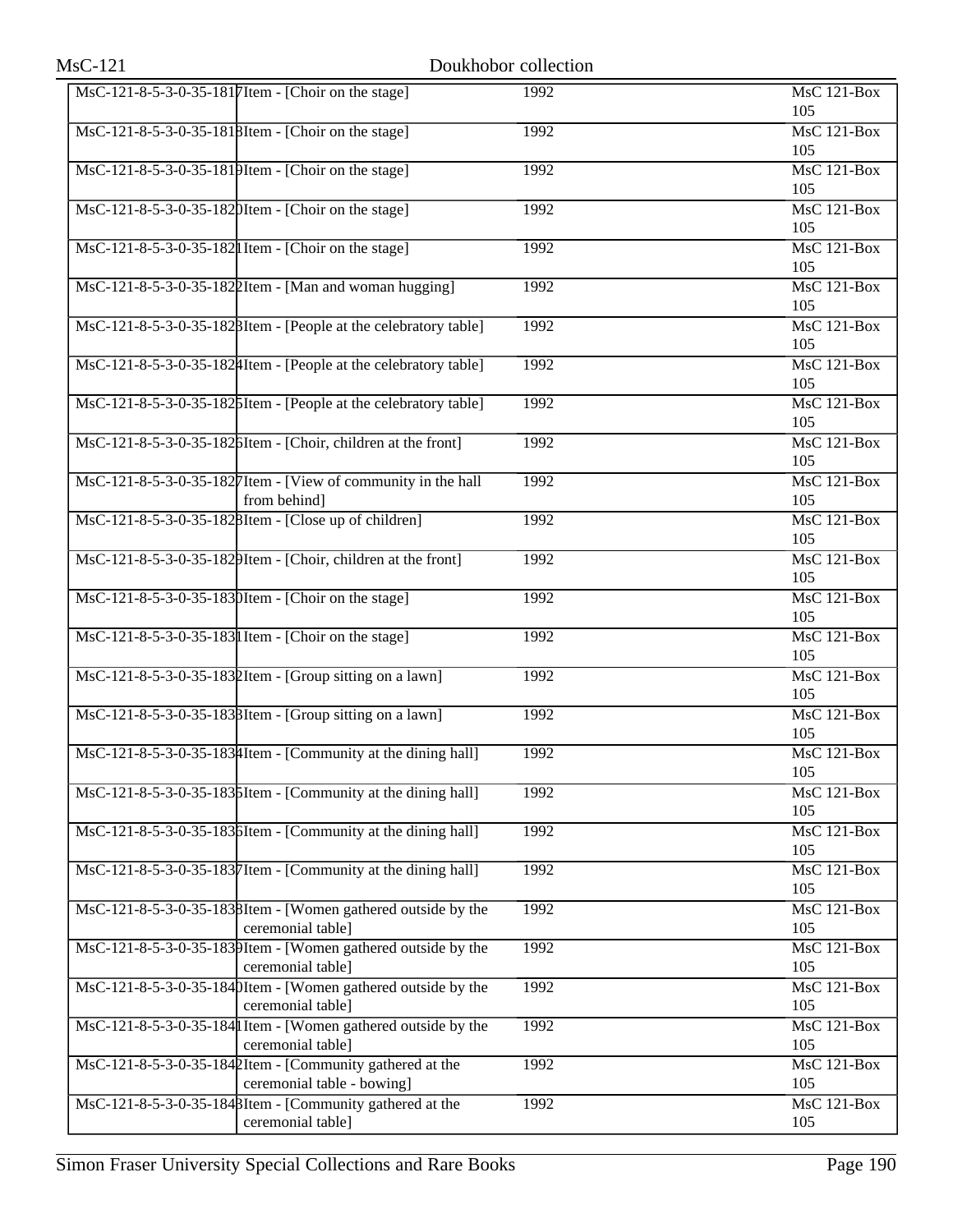| $MsC-121$ |                                                                                        | Doukhobor collection |                           |
|-----------|----------------------------------------------------------------------------------------|----------------------|---------------------------|
|           | MsC-121-8-5-3-0-35-1817Item - [Choir on the stage]                                     | 1992                 | <b>MsC 121-Box</b><br>105 |
|           | MsC-121-8-5-3-0-35-1818Item - [Choir on the stage]                                     | 1992                 | MsC 121-Box<br>105        |
|           | MsC-121-8-5-3-0-35-1819Item - [Choir on the stage]                                     | 1992                 | MsC 121-Box<br>105        |
|           | MsC-121-8-5-3-0-35-1820Item - [Choir on the stage]                                     | 1992                 | <b>MsC 121-Box</b><br>105 |
|           | MsC-121-8-5-3-0-35-182  Item - [Choir on the stage]                                    | 1992                 | <b>MsC 121-Box</b><br>105 |
|           | MsC-121-8-5-3-0-35-1822Item - [Man and woman hugging]                                  | 1992                 | $MsC$ 121-Box<br>105      |
|           | MsC-121-8-5-3-0-35-1828Item - [People at the celebratory table]                        | 1992                 | <b>MsC 121-Box</b><br>105 |
|           | MsC-121-8-5-3-0-35-1824Item - [People at the celebratory table]                        | 1992                 | $MsC$ 121-Box<br>105      |
|           | MsC-121-8-5-3-0-35-1825Item - [People at the celebratory table]                        | 1992                 | MsC 121-Box<br>105        |
|           | MsC-121-8-5-3-0-35-1826Item - [Choir, children at the front]                           | 1992                 | <b>MsC 121-Box</b><br>105 |
|           | MsC-121-8-5-3-0-35-1827Item - [View of community in the hall<br>from behind]           | 1992                 | MsC 121-Box<br>105        |
|           | MsC-121-8-5-3-0-35-1828Item - [Close up of children]                                   | 1992                 | $MsC$ 121-Box<br>105      |
|           | MsC-121-8-5-3-0-35-1829Item - [Choir, children at the front]                           | 1992                 | <b>MsC 121-Box</b><br>105 |
|           | MsC-121-8-5-3-0-35-1830Item - [Choir on the stage]                                     | 1992                 | MsC 121-Box<br>105        |
|           | MsC-121-8-5-3-0-35-183 I Item - [Choir on the stage]                                   | 1992                 | MsC 121-Box<br>105        |
|           | MsC-121-8-5-3-0-35-1832Item - [Group sitting on a lawn]                                | 1992                 | <b>MsC 121-Box</b><br>105 |
|           | MsC-121-8-5-3-0-35-1838Item - [Group sitting on a lawn]                                | 1992                 | MsC 121-Box<br>105        |
|           | MsC-121-8-5-3-0-35-1834 Item - [Community at the dining hall]                          | 1992                 | MsC 121-Box<br>105        |
|           | MsC-121-8-5-3-0-35-1835Item - [Community at the dining hall]                           | 1992                 | <b>MsC 121-Box</b><br>105 |
|           | MsC-121-8-5-3-0-35-1836Item - [Community at the dining hall]                           | 1992                 | MsC 121-Box<br>105        |
|           | MsC-121-8-5-3-0-35-1837Item - [Community at the dining hall]                           | 1992                 | MsC 121-Box<br>105        |
|           | MsC-121-8-5-3-0-35-1838Item - [Women gathered outside by the<br>ceremonial table]      | 1992                 | <b>MsC 121-Box</b><br>105 |
|           | MsC-121-8-5-3-0-35-1839Item - [Women gathered outside by the<br>ceremonial table]      | 1992                 | MsC 121-Box<br>105        |
|           | MsC-121-8-5-3-0-35-1840Item - [Women gathered outside by the<br>ceremonial table]      | 1992                 | <b>MsC 121-Box</b><br>105 |
|           | MsC-121-8-5-3-0-35-184 I Item - [Women gathered outside by the<br>ceremonial table]    | 1992                 | MsC 121-Box<br>105        |
|           | MsC-121-8-5-3-0-35-1842Item - [Community gathered at the<br>ceremonial table - bowing] | 1992                 | MsC 121-Box<br>105        |
|           | MsC-121-8-5-3-0-35-1848Item - [Community gathered at the<br>ceremonial table]          | 1992                 | MsC 121-Box<br>105        |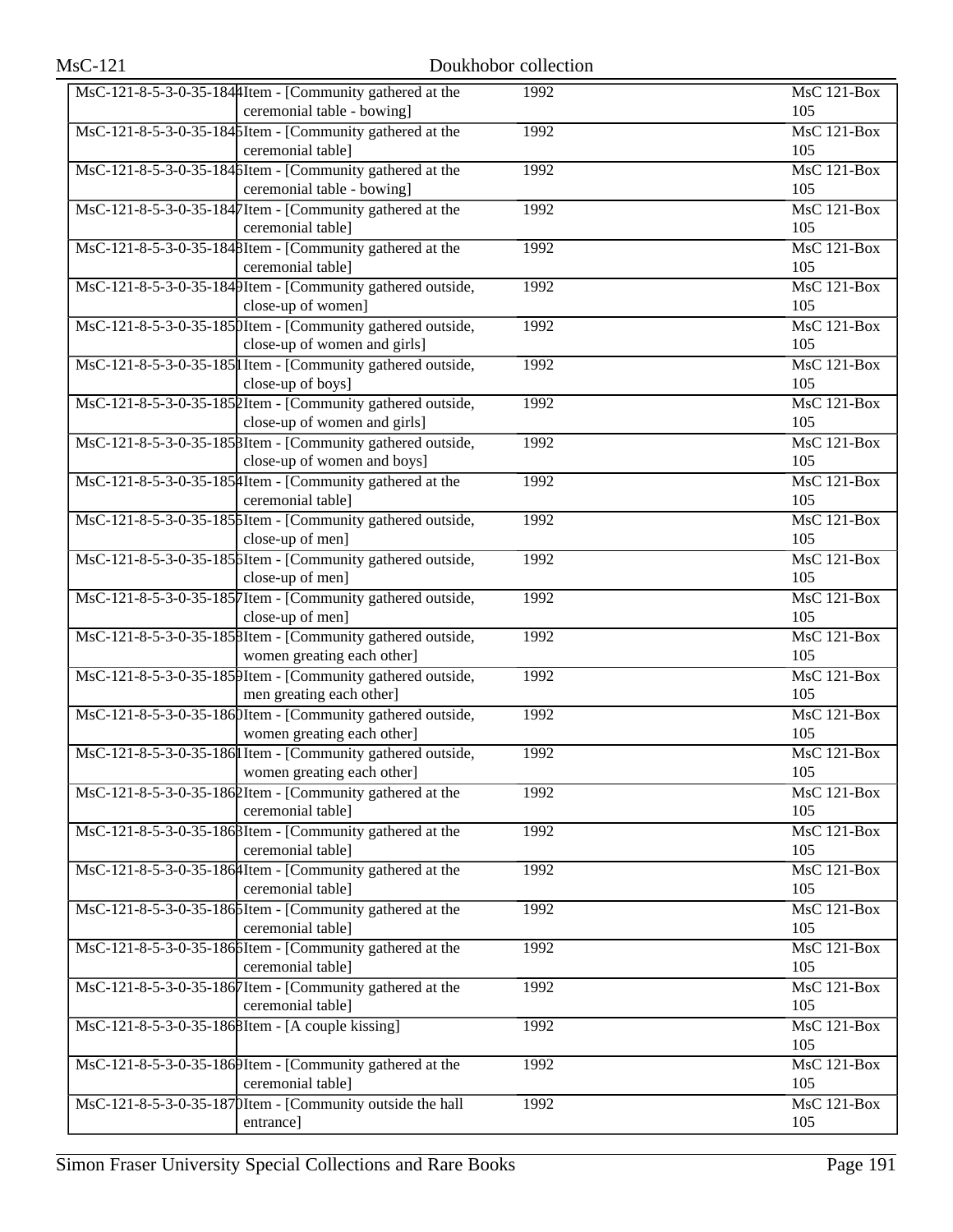| MsC-121-8-5-3-0-35-1844 Item - [Community gathered at the   | 1992 | MsC 121-Box        |
|-------------------------------------------------------------|------|--------------------|
| ceremonial table - bowing]                                  |      | 105                |
| MsC-121-8-5-3-0-35-1845Item - [Community gathered at the    | 1992 | MsC 121-Box        |
| ceremonial table]                                           |      | 105                |
| MsC-121-8-5-3-0-35-1846Item - [Community gathered at the    | 1992 | $MsC$ 121-Box      |
| ceremonial table - bowing]                                  |      | 105                |
| MsC-121-8-5-3-0-35-1847Item - [Community gathered at the    | 1992 | MsC 121-Box        |
| ceremonial table]                                           |      | 105                |
| MsC-121-8-5-3-0-35-1848Item - [Community gathered at the    | 1992 | MsC 121-Box        |
| ceremonial table]                                           |      | 105                |
| MsC-121-8-5-3-0-35-1849Item - [Community gathered outside,  | 1992 | MsC 121-Box        |
| close-up of women]                                          |      | 105                |
| MsC-121-8-5-3-0-35-1850Item - [Community gathered outside,  | 1992 | <b>MsC 121-Box</b> |
| close-up of women and girls]                                |      | 105                |
| MsC-121-8-5-3-0-35-185  Item - [Community gathered outside, | 1992 | MsC 121-Box        |
| close-up of boys]                                           |      | 105                |
| MsC-121-8-5-3-0-35-1852Item - [Community gathered outside,  | 1992 | $MsC$ 121-Box      |
| close-up of women and girls]                                |      | 105                |
| MsC-121-8-5-3-0-35-1858Item - [Community gathered outside,  | 1992 | <b>MsC 121-Box</b> |
| close-up of women and boys]                                 |      | 105                |
| MsC-121-8-5-3-0-35-1854Item - [Community gathered at the    | 1992 | $MsC$ 121-Box      |
| ceremonial table]                                           |      | 105                |
| MsC-121-8-5-3-0-35-185 SItem - [Community gathered outside, | 1992 | MsC 121-Box        |
| close-up of men]                                            |      | 105                |
| MsC-121-8-5-3-0-35-1856Item - [Community gathered outside,  | 1992 | <b>MsC 121-Box</b> |
| close-up of men]                                            |      | 105                |
| MsC-121-8-5-3-0-35-1857Item - [Community gathered outside,  | 1992 | MsC 121-Box        |
| close-up of men]                                            |      | 105                |
| MsC-121-8-5-3-0-35-1858Item - [Community gathered outside,  | 1992 | MsC 121-Box        |
| women greating each other]                                  |      | 105                |
| MsC-121-8-5-3-0-35-1859Item - [Community gathered outside,  | 1992 | <b>MsC 121-Box</b> |
| men greating each other]                                    |      | 105                |
| MsC-121-8-5-3-0-35-1860Item - [Community gathered outside,  | 1992 | MsC 121-Box        |
| women greating each other]                                  |      | 105                |
| MsC-121-8-5-3-0-35-186  Item - [Community gathered outside, | 1992 | MsC 121-Box        |
| women greating each other]                                  |      | 105                |
| MsC-121-8-5-3-0-35-1862Item - [Community gathered at the    | 1992 | MsC 121-Box        |
| ceremonial table]                                           |      | 105                |
| MsC-121-8-5-3-0-35-1868Item - [Community gathered at the    | 1992 | MsC 121-Box        |
| ceremonial table]                                           |      | 105                |
| MsC-121-8-5-3-0-35-1864Item - [Community gathered at the    | 1992 | <b>MsC 121-Box</b> |
| ceremonial table]                                           |      | 105                |
| MsC-121-8-5-3-0-35-1865Item - [Community gathered at the    | 1992 | MsC 121-Box        |
| ceremonial table]                                           |      | 105                |
| MsC-121-8-5-3-0-35-186 SItem - [Community gathered at the   | 1992 | MsC 121-Box        |
| ceremonial table]                                           |      | 105                |
| MsC-121-8-5-3-0-35-1867Item - [Community gathered at the    | 1992 | MsC 121-Box<br>105 |
| ceremonial table]                                           |      |                    |
| MsC-121-8-5-3-0-35-1868Item - [A couple kissing]            | 1992 | MsC 121-Box        |
| MsC-121-8-5-3-0-35-1869Item - [Community gathered at the    | 1992 | 105<br>MsC 121-Box |
| ceremonial table]                                           |      | 105                |
| MsC-121-8-5-3-0-35-1870Item - [Community outside the hall   | 1992 | <b>MsC 121-Box</b> |
| entrance]                                                   |      | 105                |
|                                                             |      |                    |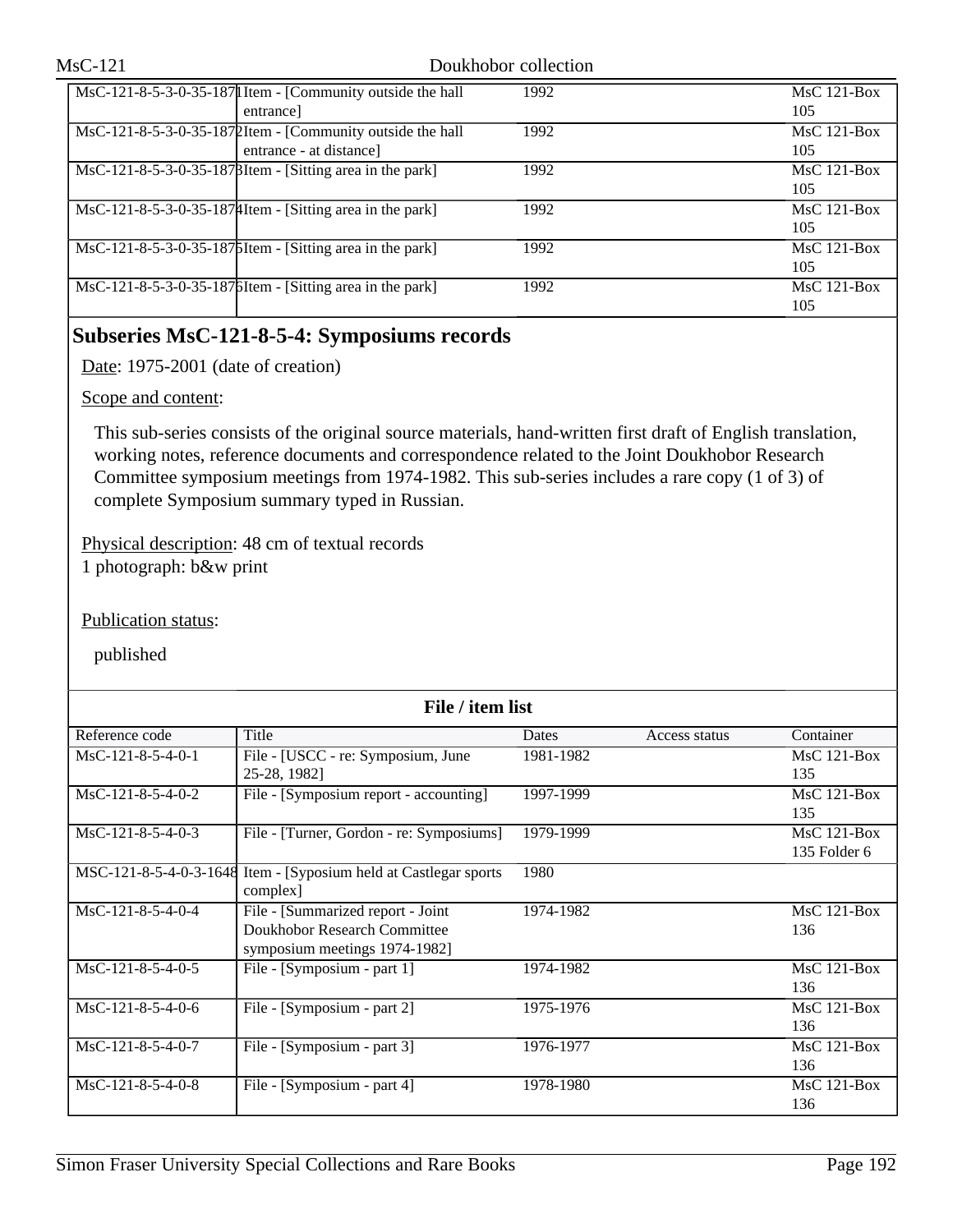| MsC-121-8-5-3-0-35-187  Item - [Community outside the hall             | 1992 | $MsC$ 121-Box |
|------------------------------------------------------------------------|------|---------------|
| entrance                                                               |      | 105           |
| MsC-121-8-5-3-0-35-1872Item - [Community outside the hall              | 1992 | $MsC$ 121-Box |
| entrance - at distance                                                 |      | 105           |
| $\text{MsC-121-8-5-3-0-35-187\beta}$ Item - [Sitting area in the park] | 1992 | $MsC$ 121-Box |
|                                                                        |      | 105           |
| $\text{MsC-121-8-5-3-0-35-187}$ [Hem - [Sitting area in the park]      | 1992 | $MsC$ 121-Box |
|                                                                        |      | 105           |
| MsC-121-8-5-3-0-35-1875 Item - [Sitting area in the park]              | 1992 | $MsC$ 121-Box |
|                                                                        |      | 105           |
| MsC-121-8-5-3-0-35-187 [Sitting area in the park]                      | 1992 | $MsC$ 121-Box |
|                                                                        |      | 105           |

## **Subseries MsC-121-8-5-4: Symposiums records**

Date: 1975-2001 (date of creation)

### Scope and content:

This sub-series consists of the original source materials, hand-written first draft of English translation, working notes, reference documents and correspondence related to the Joint Doukhobor Research Committee symposium meetings from 1974-1982. This sub-series includes a rare copy (1 of 3) of complete Symposium summary typed in Russian.

Physical description: 48 cm of textual records 1 photograph: b&w print

Publication status:

| File / item list    |                                                                                                    |           |               |                               |  |  |
|---------------------|----------------------------------------------------------------------------------------------------|-----------|---------------|-------------------------------|--|--|
| Reference code      | Title                                                                                              | Dates     | Access status | Container                     |  |  |
| $MsC-121-8-5-4-0-1$ | File - [USCC - re: Symposium, June<br>25-28, 1982]                                                 | 1981-1982 |               | $MsC$ 121-Box<br>135          |  |  |
| $MsC-121-8-5-4-0-2$ | File - [Symposium report - accounting]                                                             | 1997-1999 |               | $MsC$ 121-Box<br>135          |  |  |
| $MsC-121-8-5-4-0-3$ | File - [Turner, Gordon - re: Symposiums]                                                           | 1979-1999 |               | $MsC$ 121-Box<br>135 Folder 6 |  |  |
|                     | MSC-121-8-5-4-0-3-1648 Item - [Syposium held at Castlegar sports]<br>$complex$ ]                   | 1980      |               |                               |  |  |
| $MsC-121-8-5-4-0-4$ | File - [Summarized report - Joint<br>Doukhobor Research Committee<br>symposium meetings 1974-1982] | 1974-1982 |               | $MsC$ 121-Box<br>136          |  |  |
| $MsC-121-8-5-4-0-5$ | File - [Symposium - part 1]                                                                        | 1974-1982 |               | $MsC$ 121-Box<br>136          |  |  |
| MsC-121-8-5-4-0-6   | File - [Symposium - part 2]                                                                        | 1975-1976 |               | $MsC$ 121-Box<br>136          |  |  |
| $MsC-121-8-5-4-0-7$ | File - [Symposium - part 3]                                                                        | 1976-1977 |               | $MsC$ 121-Box<br>136          |  |  |
| MsC-121-8-5-4-0-8   | File - [Symposium - part 4]                                                                        | 1978-1980 |               | $MsC$ 121-Box<br>136          |  |  |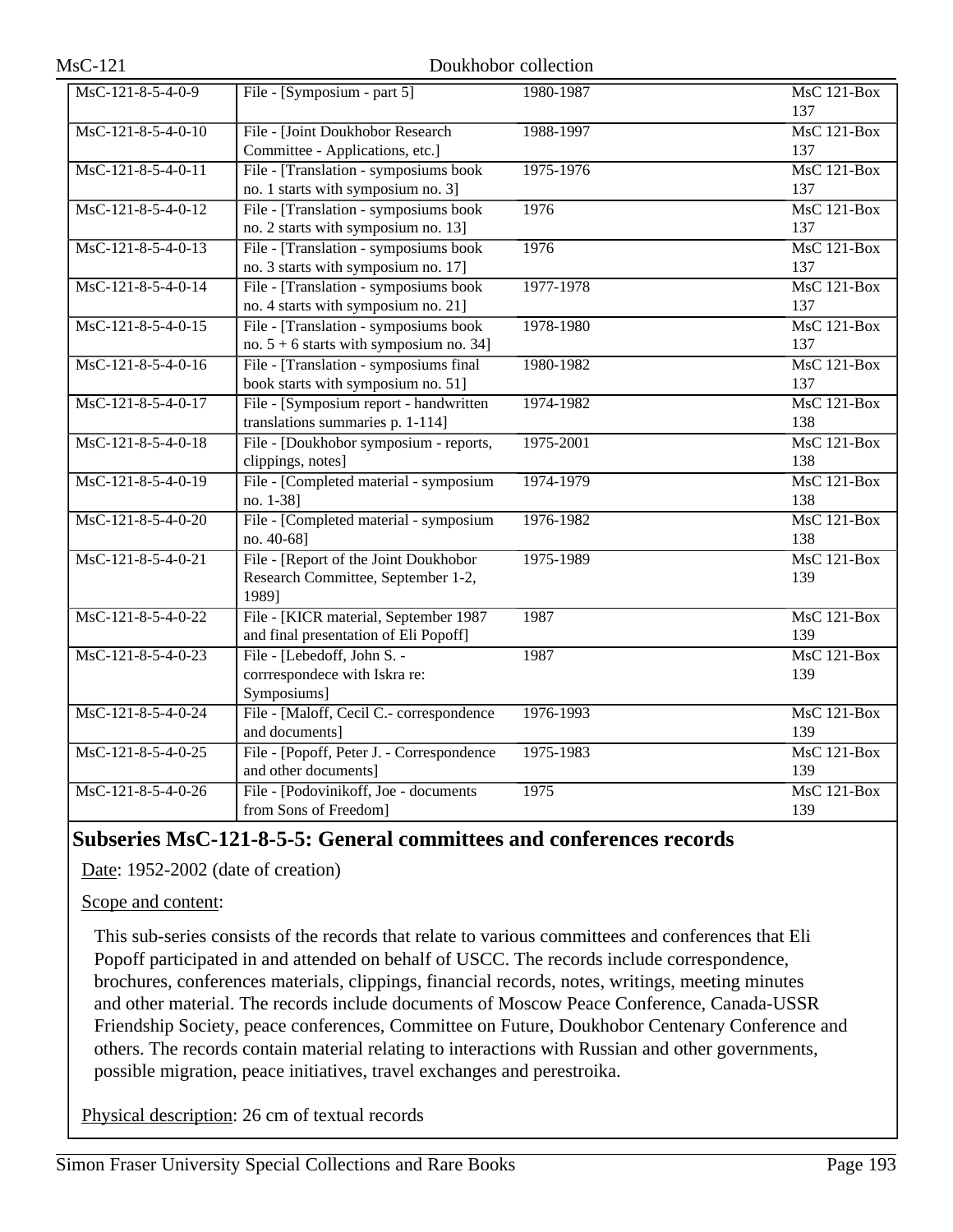| MsC-121-8-5-4-0-9  | File - [Symposium - part 5]                                       | 1980-1987 | <b>MsC 121-Box</b>              |
|--------------------|-------------------------------------------------------------------|-----------|---------------------------------|
|                    |                                                                   |           | 137                             |
| MsC-121-8-5-4-0-10 | File - [Joint Doukhobor Research                                  | 1988-1997 | MsC 121-Box                     |
|                    | Committee - Applications, etc.]                                   |           | 137                             |
| MsC-121-8-5-4-0-11 | File - [Translation - symposiums book]                            | 1975-1976 | $MsC$ 121-Box                   |
|                    | no. 1 starts with symposium no. 3]                                |           | 137                             |
| MsC-121-8-5-4-0-12 | File - [Translation - symposiums book                             | 1976      | <b>MsC 121-Box</b>              |
|                    | no. 2 starts with symposium no. 13]                               |           | 137                             |
| MsC-121-8-5-4-0-13 | File - [Translation - symposiums book]                            | 1976      | MsC 121-Box                     |
|                    | no. 3 starts with symposium no. 17]                               |           | 137                             |
| MsC-121-8-5-4-0-14 | File - [Translation - symposiums book]                            | 1977-1978 | $MsC$ 121-Box                   |
|                    | no. 4 starts with symposium no. 21]                               |           | 137                             |
| MsC-121-8-5-4-0-15 | File - [Translation - symposiums book                             | 1978-1980 | <b>MsC 121-Box</b>              |
|                    | no. $5 + 6$ starts with symposium no. 34]                         |           | 137                             |
| MsC-121-8-5-4-0-16 | File - [Translation - symposiums final                            | 1980-1982 | $\overline{\text{MsC 121-Box}}$ |
|                    | book starts with symposium no. 51]                                |           | 137                             |
| MsC-121-8-5-4-0-17 | File - [Symposium report - handwritten]                           | 1974-1982 | $MsC$ 121-Box                   |
|                    | translations summaries p. 1-114]                                  |           | 138                             |
| MsC-121-8-5-4-0-18 | File - [Doukhobor symposium - reports,                            | 1975-2001 | <b>MsC 121-Box</b>              |
|                    | clippings, notes]                                                 |           | 138                             |
| MsC-121-8-5-4-0-19 | File - [Completed material - symposium                            | 1974-1979 | $MsC$ 121-Box                   |
|                    | no. 1-38]                                                         |           | 138                             |
| MsC-121-8-5-4-0-20 | File - [Completed material - symposium                            | 1976-1982 | $MsC$ 121-Box                   |
|                    | no. 40-68]                                                        |           | 138                             |
| MsC-121-8-5-4-0-21 | File - [Report of the Joint Doukhobor                             | 1975-1989 | <b>MsC 121-Box</b>              |
|                    | Research Committee, September 1-2,                                |           | 139                             |
|                    | 1989]                                                             |           |                                 |
| MsC-121-8-5-4-0-22 | File - [KICR material, September 1987                             | 1987      | MsC 121-Box                     |
|                    | and final presentation of Eli Popoff]                             |           | 139                             |
| MsC-121-8-5-4-0-23 | File - [Lebedoff, John S. -                                       | 1987      | $MsC$ 121-Box                   |
|                    | corrrespondece with Iskra re:                                     |           | 139                             |
|                    | Symposiums]                                                       |           |                                 |
| MsC-121-8-5-4-0-24 | File - [Maloff, Cecil C.- correspondence                          | 1976-1993 | <b>MsC 121-Box</b>              |
|                    | and documents]                                                    |           | 139                             |
| MsC-121-8-5-4-0-25 | File - [Popoff, Peter J. - Correspondence<br>and other documents] | 1975-1983 | MsC 121-Box<br>139              |
|                    |                                                                   |           |                                 |
| MsC-121-8-5-4-0-26 | File - [Podovinikoff, Joe - documents                             | 1975      | MsC 121-Box                     |
|                    | from Sons of Freedom]                                             |           | 139                             |

## **Subseries MsC-121-8-5-5: General committees and conferences records**

Date: 1952-2002 (date of creation)

Scope and content:

This sub-series consists of the records that relate to various committees and conferences that Eli Popoff participated in and attended on behalf of USCC. The records include correspondence, brochures, conferences materials, clippings, financial records, notes, writings, meeting minutes and other material. The records include documents of Moscow Peace Conference, Canada-USSR Friendship Society, peace conferences, Committee on Future, Doukhobor Centenary Conference and others. The records contain material relating to interactions with Russian and other governments, possible migration, peace initiatives, travel exchanges and perestroika.

Physical description: 26 cm of textual records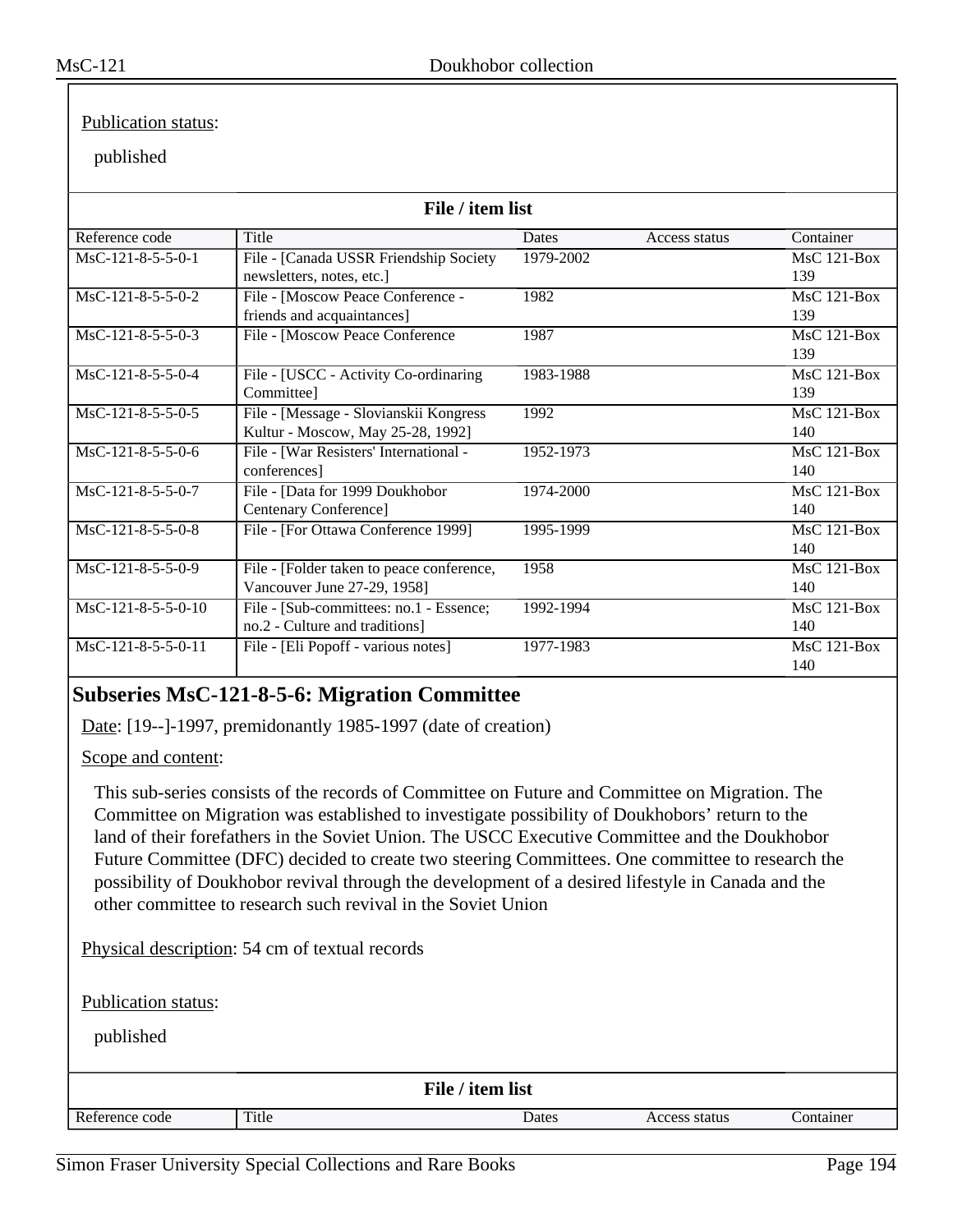### Publication status:

### published

| File / item list    |                                           |           |               |                                 |  |
|---------------------|-------------------------------------------|-----------|---------------|---------------------------------|--|
| Reference code      | Title                                     | Dates     | Access status | Container                       |  |
| $MsC-121-8-5-5-0-1$ | File - [Canada USSR Friendship Society    | 1979-2002 |               | MsC 121-Box                     |  |
|                     | newsletters, notes, etc.]                 |           |               | 139                             |  |
| MsC-121-8-5-5-0-2   | File - [Moscow Peace Conference -         | 1982      |               | $MsC$ 121-Box                   |  |
|                     | friends and acquaintances]                |           |               | 139                             |  |
| $MsC-121-8-5-5-0-3$ | File - [Moscow Peace Conference           | 1987      |               | $MsC$ 121-Box                   |  |
|                     |                                           |           |               | 139                             |  |
| $MsC-121-8-5-5-0-4$ | File - [USCC - Activity Co-ordinaring     | 1983-1988 |               | $MsC$ 121-Box                   |  |
|                     | Committeel                                |           |               | 139                             |  |
| MsC-121-8-5-5-0-5   | File - [Message - Slovianskii Kongress]   | 1992      |               | $MsC$ 121-Box                   |  |
|                     | Kultur - Moscow, May 25-28, 1992]         |           |               | 140                             |  |
| MsC-121-8-5-5-0-6   | File - [War Resisters' International -    | 1952-1973 |               | $MsC$ 121-Box                   |  |
|                     | conferences]                              |           |               | 140                             |  |
| MsC-121-8-5-5-0-7   | File - [Data for 1999 Doukhobor           | 1974-2000 |               | $MsC$ 121-Box                   |  |
|                     | Centenary Conference]                     |           |               | 140                             |  |
| MsC-121-8-5-5-0-8   | File - [For Ottawa Conference 1999]       | 1995-1999 |               | $MsC$ 121-Box                   |  |
|                     |                                           |           |               | 140                             |  |
| MsC-121-8-5-5-0-9   | File - [Folder taken to peace conference, | 1958      |               | $\overline{\text{MsC}}$ 121-Box |  |
|                     | Vancouver June 27-29, 1958]               |           |               | 140                             |  |
| MsC-121-8-5-5-0-10  | File - [Sub-committees: no.1 - Essence;   | 1992-1994 |               | $MsC$ 121-Box                   |  |
|                     | no.2 - Culture and traditions]            |           |               | 140                             |  |
| MsC-121-8-5-5-0-11  | File - [Eli Popoff - various notes]       | 1977-1983 |               | $MsC$ 121-Box                   |  |
|                     |                                           |           |               | 140                             |  |

## **Subseries MsC-121-8-5-6: Migration Committee**

Date: [19--]-1997, premidonantly 1985-1997 (date of creation)

Scope and content:

This sub-series consists of the records of Committee on Future and Committee on Migration. The Committee on Migration was established to investigate possibility of Doukhobors' return to the land of their forefathers in the Soviet Union. The USCC Executive Committee and the Doukhobor Future Committee (DFC) decided to create two steering Committees. One committee to research the possibility of Doukhobor revival through the development of a desired lifestyle in Canada and the other committee to research such revival in the Soviet Union

Physical description: 54 cm of textual records

Publication status:

| File / item list |       |       |               |           |  |
|------------------|-------|-------|---------------|-----------|--|
| Reference code   | Title | Dates | Access status | Container |  |
|                  |       |       |               |           |  |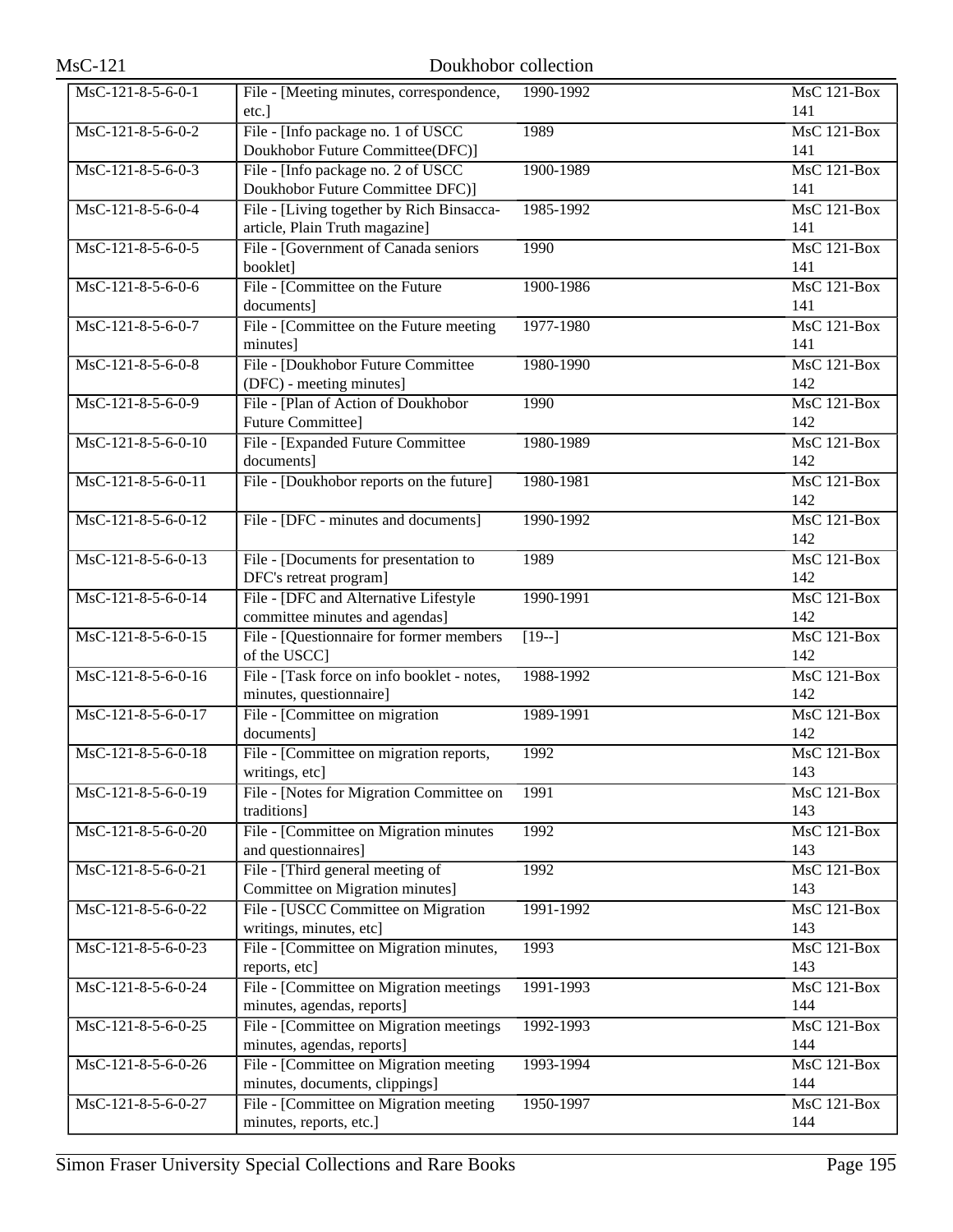| $MsC-121$            | Doukhobor collection                                                        |                   |                                        |
|----------------------|-----------------------------------------------------------------------------|-------------------|----------------------------------------|
| MsC-121-8-5-6-0-1    | File - [Meeting minutes, correspondence,<br>etc.]                           | 1990-1992         | $MsC$ 121-Box<br>141                   |
| MsC-121-8-5-6-0-2    | File - [Info package no. 1 of USCC<br>Doukhobor Future Committee(DFC)]      | 1989              | MsC 121-Box<br>141                     |
| MsC-121-8-5-6-0-3    | File - [Info package no. 2 of USCC<br>Doukhobor Future Committee DFC)]      | 1900-1989         | <b>MsC 121-Box</b><br>141              |
| MsC-121-8-5-6-0-4    | File - [Living together by Rich Binsacca-<br>article, Plain Truth magazine] | 1985-1992         | <b>MsC 121-Box</b><br>141              |
| MsC-121-8-5-6-0-5    | File - [Government of Canada seniors]<br>booklet]                           | 1990              | MsC 121-Box<br>141                     |
| MsC-121-8-5-6-0-6    | File - [Committee on the Future<br>documents]                               | 1900-1986         | $MsC$ 121-Box<br>141                   |
| MsC-121-8-5-6-0-7    | File - [Committee on the Future meeting<br>minutes]                         | 1977-1980         | $MsC$ 121-Box<br>141                   |
| $MsC-121-8-5-6-0-8$  | File - [Doukhobor Future Committee<br>(DFC) - meeting minutes]              | 1980-1990         | MsC 121-Box<br>142                     |
| MsC-121-8-5-6-0-9    | File - [Plan of Action of Doukhobor<br><b>Future Committee]</b>             | 1990              | <b>MsC 121-Box</b><br>142              |
| MsC-121-8-5-6-0-10   | File - [Expanded Future Committee<br>documents]                             | 1980-1989         | <b>MsC 121-Box</b><br>142              |
| $MsC-121-8-5-6-0-11$ | File - [Doukhobor reports on the future]                                    | 1980-1981         | $MsC$ 121-Box<br>142                   |
| MsC-121-8-5-6-0-12   | File - [DFC - minutes and documents]                                        | 1990-1992         | $MsC$ 121-Box<br>142                   |
| MsC-121-8-5-6-0-13   | File - [Documents for presentation to<br>DFC's retreat program]             | 1989              | $MsC$ 121-Box<br>142                   |
| MsC-121-8-5-6-0-14   | File - [DFC and Alternative Lifestyle<br>committee minutes and agendas]     | 1990-1991         | MsC 121-Box<br>142                     |
| MsC-121-8-5-6-0-15   | File - [Questionnaire for former members<br>of the USCC]                    | $\overline{19-1}$ | <b>MsC 121-Box</b><br>142              |
| MsC-121-8-5-6-0-16   | File - [Task force on info booklet - notes,<br>minutes, questionnaire]      | 1988-1992         | <b>MsC 121-Box</b><br>142              |
| MsC-121-8-5-6-0-17   | File - [Committee on migration]<br>documents]                               | 1989-1991         | MsC 121-Box<br>142                     |
| MsC-121-8-5-6-0-18   | File - [Committee on migration reports,<br>writings, etc]                   | 1992              | MsC 121-Box<br>143                     |
| MsC-121-8-5-6-0-19   | File - [Notes for Migration Committee on<br>traditions]                     | 1991              | MsC 121-Box<br>143                     |
| MsC-121-8-5-6-0-20   | File - [Committee on Migration minutes<br>and questionnaires]               | 1992              | MsC 121-Box<br>143                     |
| MsC-121-8-5-6-0-21   | File - [Third general meeting of<br>Committee on Migration minutes]         | 1992              | MsC 121-Box<br>143                     |
| MsC-121-8-5-6-0-22   | File - [USCC Committee on Migration<br>writings, minutes, etc]              | 1991-1992         | MsC 121-Box<br>143                     |
| MsC-121-8-5-6-0-23   | File - [Committee on Migration minutes,<br>reports, etc]                    | 1993              | MsC 121-Box<br>143                     |
| MsC-121-8-5-6-0-24   | File - [Committee on Migration meetings<br>minutes, agendas, reports]       | 1991-1993         | $\overline{\text{MsC 121-Box}}$<br>144 |
| MsC-121-8-5-6-0-25   | File - [Committee on Migration meetings<br>minutes, agendas, reports]       | 1992-1993         | MsC 121-Box<br>144                     |
| MsC-121-8-5-6-0-26   | File - [Committee on Migration meeting<br>minutes, documents, clippings]    | 1993-1994         | MsC 121-Box<br>144                     |
| MsC-121-8-5-6-0-27   | File - [Committee on Migration meeting]<br>minutes, reports, etc.]          | 1950-1997         | MsC 121-Box<br>144                     |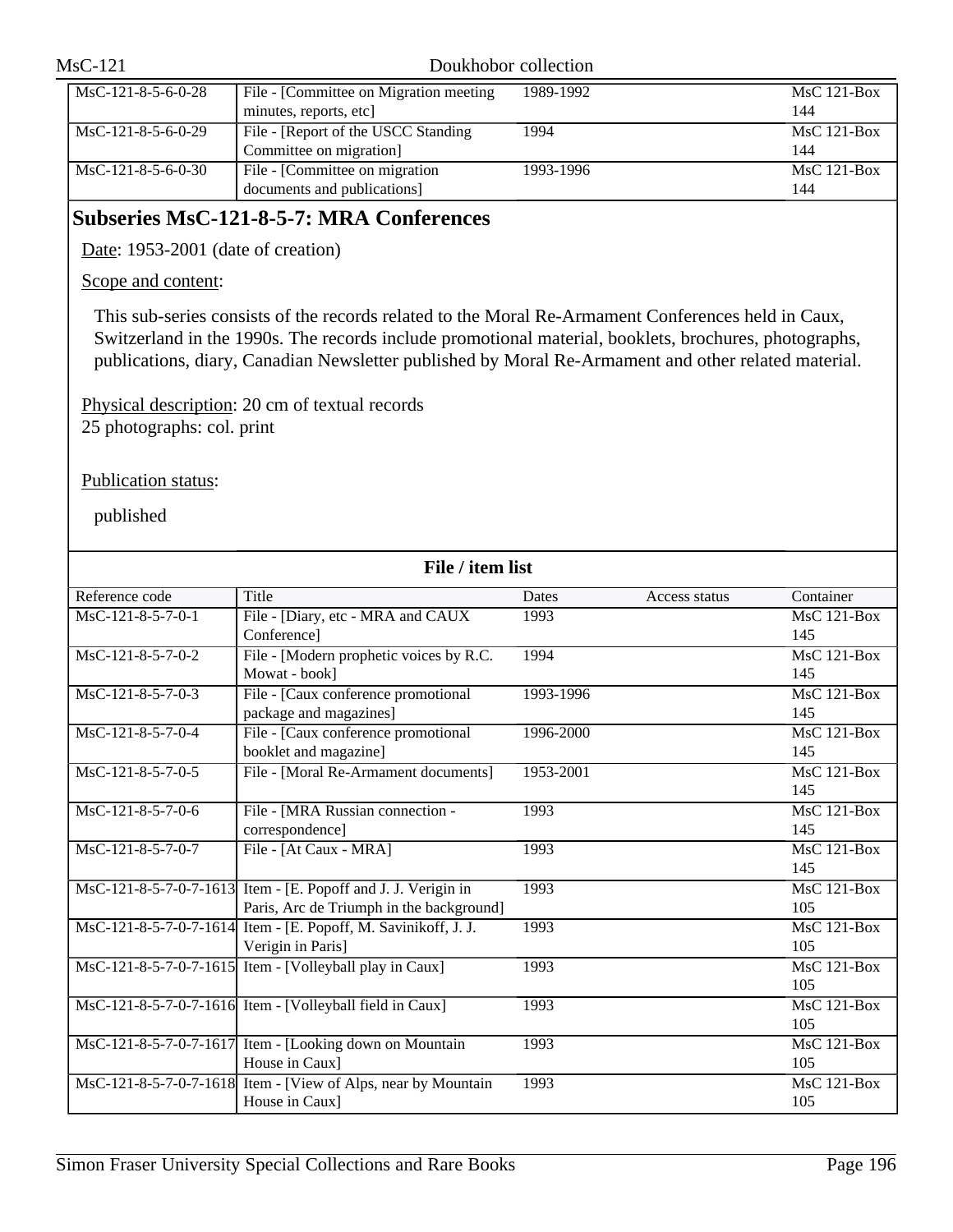| $MsC-121$            |                                                                   | Doukhobor collection |                      |
|----------------------|-------------------------------------------------------------------|----------------------|----------------------|
| MsC-121-8-5-6-0-28   | File - [Committee on Migration meeting]<br>minutes, reports, etc. | 1989-1992            | $MsC$ 121-Box<br>144 |
| $MsC-121-8-5-6-0-29$ | File - [Report of the USCC Standing<br>Committee on migration]    | 1994                 | $MsC$ 121-Box<br>144 |
| $MsC-121-8-5-6-0-30$ | File - [Committee on migration]<br>documents and publications]    | 1993-1996            | $MsC$ 121-Box<br>144 |

## **Subseries MsC-121-8-5-7: MRA Conferences**

Date: 1953-2001 (date of creation)

## Scope and content:

This sub-series consists of the records related to the Moral Re-Armament Conferences held in Caux, Switzerland in the 1990s. The records include promotional material, booklets, brochures, photographs, publications, diary, Canadian Newsletter published by Moral Re-Armament and other related material.

Physical description: 20 cm of textual records 25 photographs: col. print

## Publication status:

| File / item list    |                                                                |           |               |               |  |
|---------------------|----------------------------------------------------------------|-----------|---------------|---------------|--|
| Reference code      | <b>Title</b>                                                   | Dates     | Access status | Container     |  |
| $MsC-121-8-5-7-0-1$ | File - [Diary, etc - MRA and CAUX                              | 1993      |               | MsC 121-Box   |  |
|                     | Conference]                                                    |           |               | 145           |  |
| MsC-121-8-5-7-0-2   | File - [Modern prophetic voices by R.C.                        | 1994      |               | MsC 121-Box   |  |
|                     | Mowat - book]                                                  |           |               | 145           |  |
| MsC-121-8-5-7-0-3   | File - [Caux conference promotional                            | 1993-1996 |               | $MsC$ 121-Box |  |
|                     | package and magazines]                                         |           |               | 145           |  |
| $MsC-121-8-5-7-0-4$ | File - [Caux conference promotional                            | 1996-2000 |               | $MsC$ 121-Box |  |
|                     | booklet and magazine]                                          |           |               | 145           |  |
| $MsC-121-8-5-7-0-5$ | File - [Moral Re-Armament documents]                           | 1953-2001 |               | $MsC$ 121-Box |  |
|                     |                                                                |           |               | 145           |  |
| MsC-121-8-5-7-0-6   | File - [MRA Russian connection -                               | 1993      |               | $MsC$ 121-Box |  |
|                     | correspondence]                                                |           |               | 145           |  |
| MsC-121-8-5-7-0-7   | File - [At Caux - MRA]                                         | 1993      |               | MsC 121-Box   |  |
|                     |                                                                |           |               | 145           |  |
|                     | MsC-121-8-5-7-0-7-1613 Item - [E. Popoff and J. J. Verigin in  | 1993      |               | MsC 121-Box   |  |
|                     | Paris, Arc de Triumph in the background]                       |           |               | 105           |  |
|                     | MsC-121-8-5-7-0-7-1614 Item - [E. Popoff, M. Savinikoff, J. J. | 1993      |               | $MsC$ 121-Box |  |
|                     | Verigin in Paris]                                              |           |               | 105           |  |
|                     | MsC-121-8-5-7-0-7-1615 Item - [Volleyball play in Caux]        | 1993      |               | $MsC$ 121-Box |  |
|                     |                                                                |           |               | 105           |  |
|                     | MsC-121-8-5-7-0-7-1616 Item - [Volleyball field in Caux]       | 1993      |               | MsC 121-Box   |  |
|                     |                                                                |           |               | 105           |  |
|                     | MsC-121-8-5-7-0-7-1617 Item - [Looking down on Mountain        | 1993      |               | $MsC$ 121-Box |  |
|                     | House in Caux]                                                 |           |               | 105           |  |
|                     | MsC-121-8-5-7-0-7-1618 Item - [View of Alps, near by Mountain  | 1993      |               | MsC 121-Box   |  |
|                     | House in Caux]                                                 |           |               | 105           |  |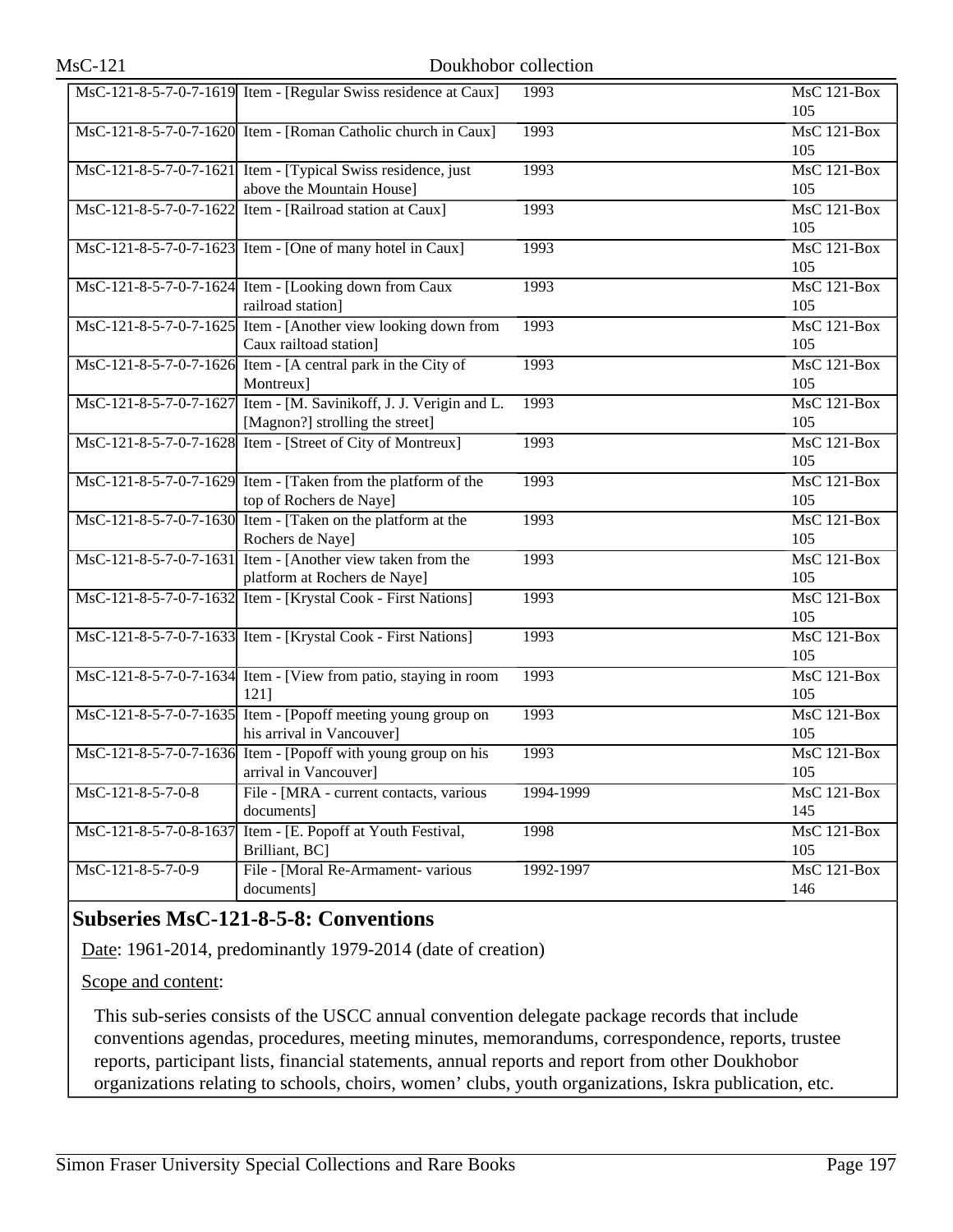|                        | MsC-121-8-5-7-0-7-1619 Item - [Regular Swiss residence at Caux]    | 1993      | MsC 121-Box        |
|------------------------|--------------------------------------------------------------------|-----------|--------------------|
|                        |                                                                    |           | 105                |
|                        | MsC-121-8-5-7-0-7-1620 Item - [Roman Catholic church in Caux]      | 1993      | $MsC$ 121-Box      |
|                        |                                                                    |           | 105                |
|                        | MsC-121-8-5-7-0-7-1621 Item - [Typical Swiss residence, just]      | 1993      | MsC 121-Box        |
|                        | above the Mountain House]                                          |           | 105                |
|                        | MsC-121-8-5-7-0-7-1622 Item - [Railroad station at Caux]           | 1993      | MsC 121-Box        |
|                        |                                                                    |           | 105                |
|                        | MsC-121-8-5-7-0-7-1623 Item - [One of many hotel in Caux]          | 1993      | MsC 121-Box        |
|                        |                                                                    |           | 105                |
|                        | MsC-121-8-5-7-0-7-1624 Item - [Looking down from Caux              | 1993      | MsC 121-Box        |
|                        | railroad station]                                                  |           | 105                |
|                        | MsC-121-8-5-7-0-7-1625 Item - [Another view looking down from      | 1993      | MsC 121-Box        |
|                        | Caux railtoad station]                                             |           | 105                |
|                        | MsC-121-8-5-7-0-7-1626 Item - [A central park in the City of       | 1993      | $MsC$ 121-Box      |
|                        | Montreux]                                                          |           | 105                |
|                        | MsC-121-8-5-7-0-7-1627 Item - [M. Savinikoff, J. J. Verigin and L. | 1993      | $MsC$ 121-Box      |
|                        | [Magnon?] strolling the street]                                    |           | 105                |
|                        | MsC-121-8-5-7-0-7-1628 Item - [Street of City of Montreux]         | 1993      | <b>MsC 121-Box</b> |
|                        |                                                                    |           | 105                |
|                        | MsC-121-8-5-7-0-7-1629 Item - [Taken from the platform of the      | 1993      | MsC 121-Box        |
|                        | top of Rochers de Naye]                                            |           | 105                |
|                        | MsC-121-8-5-7-0-7-1630 Item - [Taken on the platform at the        | 1993      | MsC 121-Box        |
|                        | Rochers de Naye]                                                   |           | 105                |
|                        | MsC-121-8-5-7-0-7-1631 Item - [Another view taken from the         | 1993      | MsC 121-Box        |
|                        | platform at Rochers de Naye]                                       |           | 105                |
|                        | MsC-121-8-5-7-0-7-1632 Item - [Krystal Cook - First Nations]       | 1993      | MsC 121-Box        |
|                        |                                                                    |           | 105                |
|                        | MsC-121-8-5-7-0-7-1633 Item - [Krystal Cook - First Nations]       | 1993      | MsC 121-Box        |
|                        |                                                                    |           | 105                |
|                        | MsC-121-8-5-7-0-7-1634 Item - [View from patio, staying in room    | 1993      | MsC 121-Box        |
|                        | 121]                                                               |           | 105                |
|                        | MsC-121-8-5-7-0-7-1635 Item - [Popoff meeting young group on       | 1993      | MsC 121-Box        |
|                        | his arrival in Vancouver]                                          |           | 105                |
|                        | MsC-121-8-5-7-0-7-1636 Item - [Popoff with young group on his      | 1993      | MsC 121-Box        |
|                        | arrival in Vancouver]                                              |           | 105                |
| $MsC-121-8-5-7-0-8$    | File - [MRA - current contacts, various                            | 1994-1999 | MsC 121-Box        |
|                        | documents]<br>Item - [E. Popoff at Youth Festival,                 |           | 145                |
| MsC-121-8-5-7-0-8-1637 |                                                                    | 1998      | MsC 121-Box<br>105 |
|                        | Brilliant, BC]                                                     |           |                    |
| MsC-121-8-5-7-0-9      | File - [Moral Re-Armament- various                                 | 1992-1997 | MsC 121-Box        |
|                        | documents]                                                         |           | 146                |

## **Subseries MsC-121-8-5-8: Conventions**

Date: 1961-2014, predominantly 1979-2014 (date of creation)

Scope and content:

This sub-series consists of the USCC annual convention delegate package records that include conventions agendas, procedures, meeting minutes, memorandums, correspondence, reports, trustee reports, participant lists, financial statements, annual reports and report from other Doukhobor organizations relating to schools, choirs, women' clubs, youth organizations, Iskra publication, etc.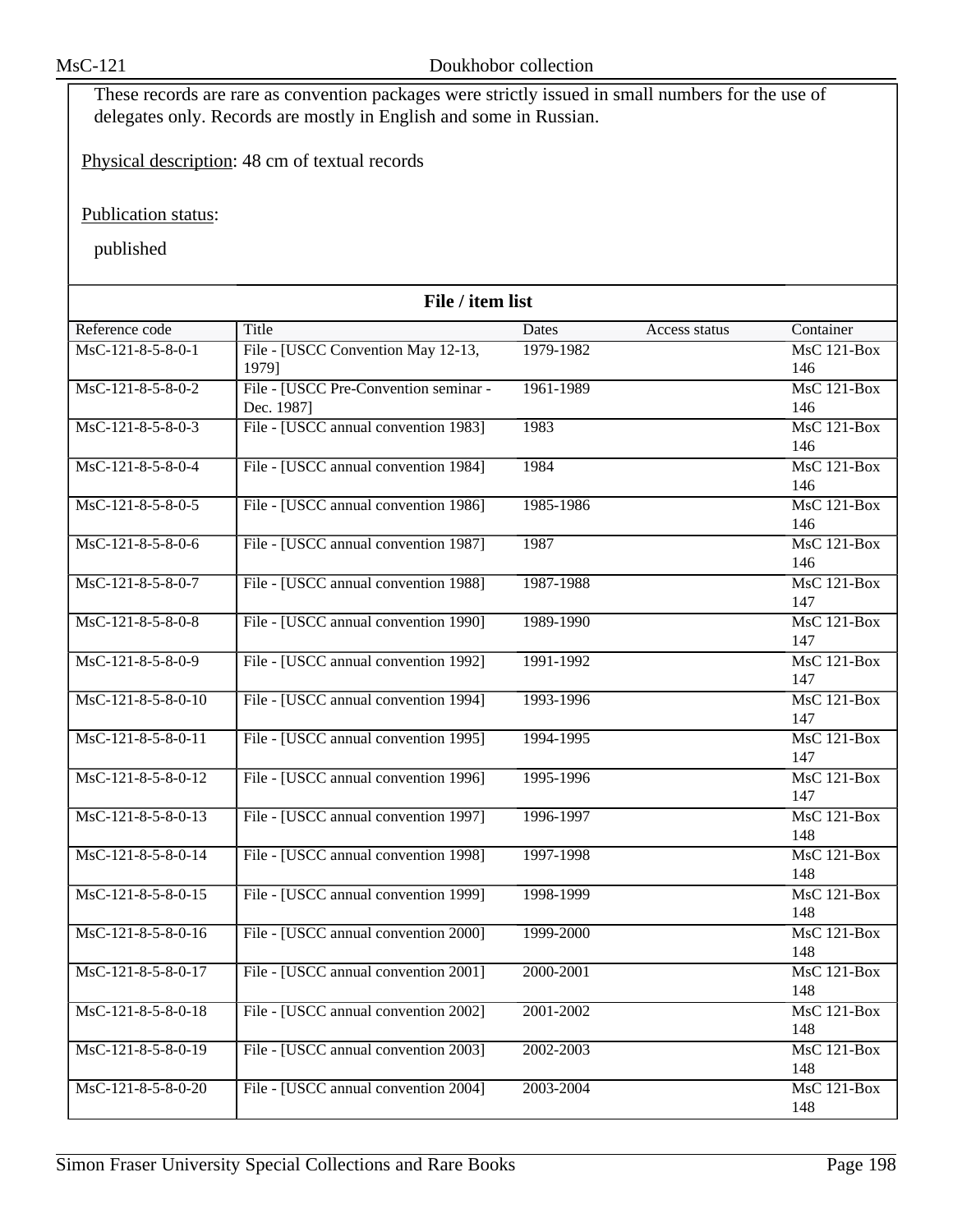These records are rare as convention packages were strictly issued in small numbers for the use of delegates only. Records are mostly in English and some in Russian.

Physical description: 48 cm of textual records

Publication status:

| File / item list     |                                       |           |               |                    |  |
|----------------------|---------------------------------------|-----------|---------------|--------------------|--|
| Reference code       | <b>Title</b>                          | Dates     | Access status | Container          |  |
| $MsC-121-8-5-8-0-1$  | File - [USCC Convention May 12-13,    | 1979-1982 |               | <b>MsC 121-Box</b> |  |
|                      | 1979]                                 |           |               | 146                |  |
| MsC-121-8-5-8-0-2    | File - [USCC Pre-Convention seminar - | 1961-1989 |               | MsC 121-Box        |  |
|                      | Dec. 1987]                            |           |               | 146                |  |
| MsC-121-8-5-8-0-3    | File - [USCC annual convention 1983]  | 1983      |               | $MsC$ 121-Box      |  |
|                      |                                       |           |               | 146                |  |
| MsC-121-8-5-8-0-4    | File - [USCC annual convention 1984]  | 1984      |               | $MsC$ 121-Box      |  |
|                      |                                       |           |               | 146                |  |
| MsC-121-8-5-8-0-5    | File - [USCC annual convention 1986]  | 1985-1986 |               | MsC 121-Box        |  |
|                      |                                       |           |               | 146                |  |
| MsC-121-8-5-8-0-6    | File - [USCC annual convention 1987]  | 1987      |               | <b>MsC 121-Box</b> |  |
|                      |                                       |           |               | 146                |  |
| MsC-121-8-5-8-0-7    | File - [USCC annual convention 1988]  | 1987-1988 |               | <b>MsC 121-Box</b> |  |
|                      |                                       |           |               | 147                |  |
| MsC-121-8-5-8-0-8    | File - [USCC annual convention 1990]  | 1989-1990 |               | $MsC$ 121-Box      |  |
|                      |                                       |           |               | 147                |  |
| MsC-121-8-5-8-0-9    | File - [USCC annual convention 1992]  | 1991-1992 |               | <b>MsC 121-Box</b> |  |
|                      |                                       |           |               | 147                |  |
| MsC-121-8-5-8-0-10   | File - [USCC annual convention 1994]  | 1993-1996 |               | <b>MsC 121-Box</b> |  |
|                      |                                       |           |               | 147                |  |
| MsC-121-8-5-8-0-11   | File - [USCC annual convention 1995]  | 1994-1995 |               | MsC 121-Box        |  |
|                      |                                       |           |               | 147                |  |
| MsC-121-8-5-8-0-12   | File - [USCC annual convention 1996]  | 1995-1996 |               | MsC 121-Box        |  |
|                      |                                       |           |               | 147                |  |
| MsC-121-8-5-8-0-13   | File - [USCC annual convention 1997]  | 1996-1997 |               | <b>MsC 121-Box</b> |  |
|                      |                                       |           |               | 148                |  |
| MsC-121-8-5-8-0-14   | File - [USCC annual convention 1998]  | 1997-1998 |               | MsC 121-Box        |  |
|                      |                                       |           |               | 148                |  |
| $MsC-121-8-5-8-0-15$ | File - [USCC annual convention 1999]  | 1998-1999 |               | MsC 121-Box        |  |
|                      |                                       |           |               | 148                |  |
| MsC-121-8-5-8-0-16   | File - [USCC annual convention 2000]  | 1999-2000 |               | <b>MsC 121-Box</b> |  |
|                      |                                       |           |               | 148                |  |
| $MsC-121-8-5-8-0-17$ | File - [USCC annual convention 2001]  | 2000-2001 |               | $MsC$ 121-Box      |  |
|                      |                                       |           |               | 148                |  |
| MsC-121-8-5-8-0-18   | File - [USCC annual convention 2002]  | 2001-2002 |               | MsC 121-Box        |  |
|                      |                                       |           |               | 148                |  |
| MsC-121-8-5-8-0-19   | File - [USCC annual convention 2003]  | 2002-2003 |               | MsC 121-Box        |  |
|                      |                                       |           |               | 148                |  |
| MsC-121-8-5-8-0-20   | File - [USCC annual convention 2004]  | 2003-2004 |               | <b>MsC 121-Box</b> |  |
|                      |                                       |           |               | 148                |  |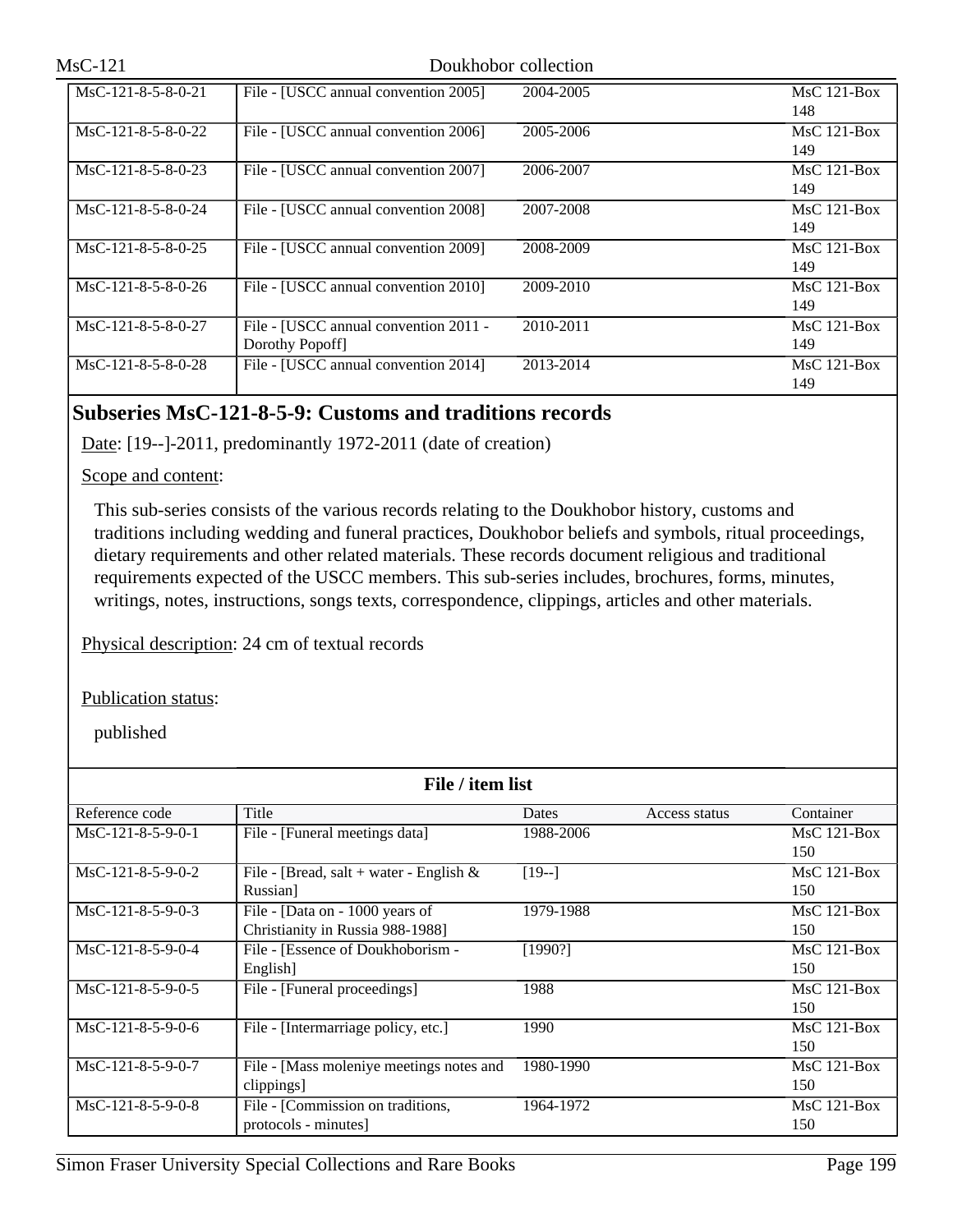| $MsC-121$            |                                                          | Doukhobor collection |                      |
|----------------------|----------------------------------------------------------|----------------------|----------------------|
| MsC-121-8-5-8-0-21   | File - [USCC annual convention 2005]                     | 2004-2005            | $MsC$ 121-Box<br>148 |
| $MsC-121-8-5-8-0-22$ | File - [USCC annual convention 2006]                     | 2005-2006            | $MsC$ 121-Box<br>149 |
| $MsC-121-8-5-8-0-23$ | File - [USCC annual convention 2007]                     | 2006-2007            | $MsC$ 121-Box<br>149 |
| MsC-121-8-5-8-0-24   | File - [USCC annual convention 2008]                     | 2007-2008            | $MsC$ 121-Box<br>149 |
| $MsC-121-8-5-8-0-25$ | File - [USCC annual convention 2009]                     | 2008-2009            | $MsC$ 121-Box<br>149 |
| $MsC-121-8-5-8-0-26$ | File - [USCC annual convention 2010]                     | 2009-2010            | $MsC$ 121-Box<br>149 |
| MsC-121-8-5-8-0-27   | File - [USCC annual convention 2011 -<br>Dorothy Popoff] | 2010-2011            | $MsC$ 121-Box<br>149 |
| $MsC-121-8-5-8-0-28$ | File - [USCC annual convention 2014]                     | 2013-2014            | $MsC$ 121-Box<br>149 |

## **Subseries MsC-121-8-5-9: Customs and traditions records**

Date: [19--]-2011, predominantly 1972-2011 (date of creation)

Scope and content:

This sub-series consists of the various records relating to the Doukhobor history, customs and traditions including wedding and funeral practices, Doukhobor beliefs and symbols, ritual proceedings, dietary requirements and other related materials. These records document religious and traditional requirements expected of the USCC members. This sub-series includes, brochures, forms, minutes, writings, notes, instructions, songs texts, correspondence, clippings, articles and other materials.

Physical description: 24 cm of textual records

Publication status:

| File / item list    |                                            |              |               |               |  |
|---------------------|--------------------------------------------|--------------|---------------|---------------|--|
| Reference code      | Title                                      | <b>Dates</b> | Access status | Container     |  |
| $MsC-121-8-5-9-0-1$ | File - [Funeral meetings data]             | 1988-2006    |               | $MsC$ 121-Box |  |
|                     |                                            |              |               | 150           |  |
| MsC-121-8-5-9-0-2   | File - [Bread, salt + water - English $\&$ | $[19-]$      |               | $MsC$ 121-Box |  |
|                     | Russian]                                   |              |               | 150           |  |
| $MsC-121-8-5-9-0-3$ | File - [Data on - 1000 years of            | 1979-1988    |               | $MsC$ 121-Box |  |
|                     | Christianity in Russia 988-1988]           |              |               | 150           |  |
| $MsC-121-8-5-9-0-4$ | File - [Essence of Doukhoborism -          | [1990?]      |               | $MsC$ 121-Box |  |
|                     | English]                                   |              |               | 150           |  |
| $MsC-121-8-5-9-0-5$ | File - [Funeral proceedings]               | 1988         |               | $MsC$ 121-Box |  |
|                     |                                            |              |               | 150           |  |
| $MsC-121-8-5-9-0-6$ | File - [Intermarriage policy, etc.]        | 1990         |               | $MsC$ 121-Box |  |
|                     |                                            |              |               | 150           |  |
| $MsC-121-8-5-9-0-7$ | File - [Mass moleniye meetings notes and   | 1980-1990    |               | $MsC$ 121-Box |  |
|                     | clippings]                                 |              |               | 150           |  |
| MsC-121-8-5-9-0-8   | File - [Commission on traditions,          | 1964-1972    |               | $MsC$ 121-Box |  |
|                     | protocols - minutes]                       |              |               | 150           |  |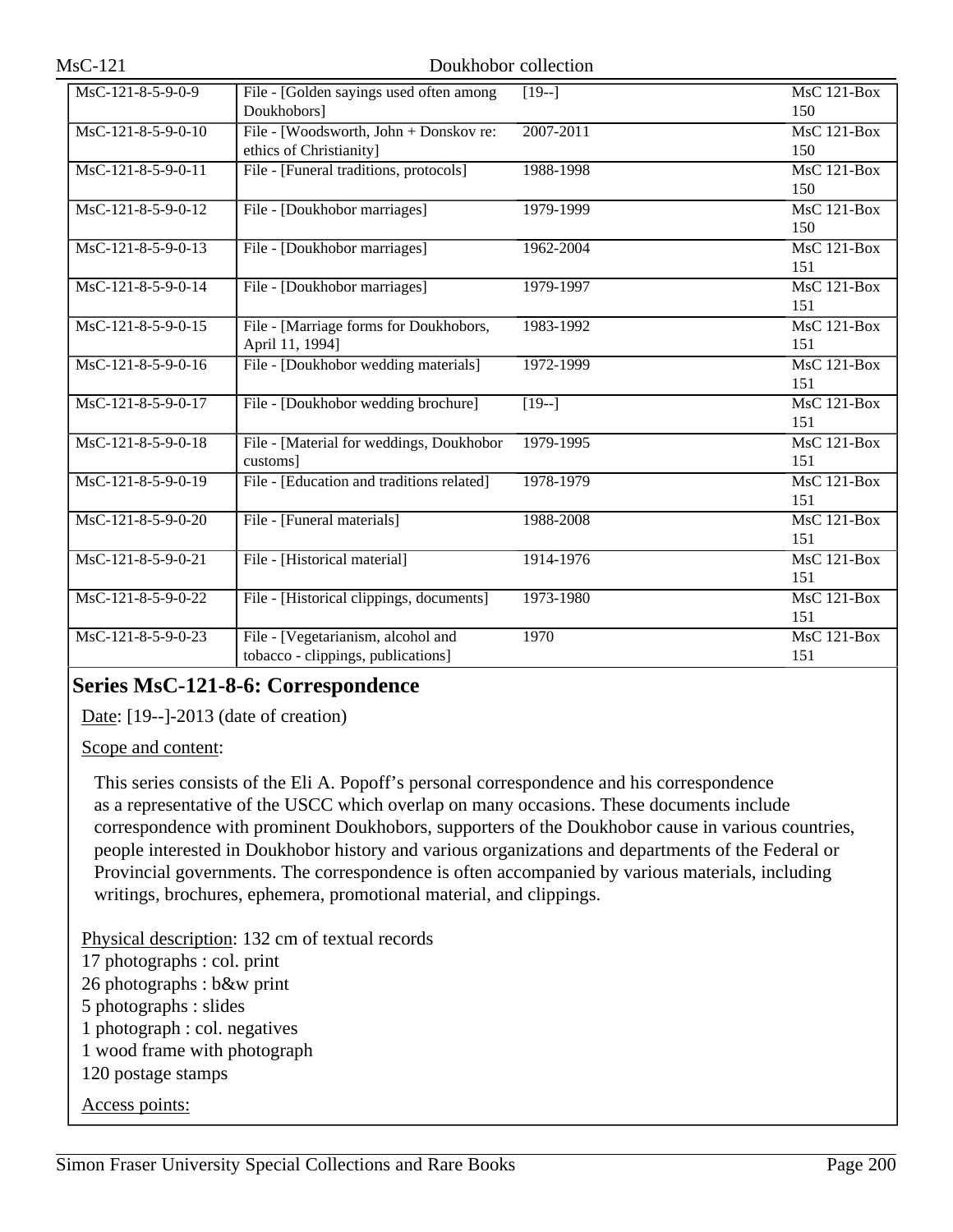| MsC-121-8-5-9-0-9                       | File - [Golden sayings used often among   | $[19-]$       | $MsC$ 121-Box      |
|-----------------------------------------|-------------------------------------------|---------------|--------------------|
|                                         | Doukhobors]                               |               | 150                |
| MsC-121-8-5-9-0-10                      | File - [Woodsworth, John + Donskov re:    | 2007-2011     | $MsC$ 121-Box      |
|                                         | ethics of Christianity]                   |               | 150                |
| MsC-121-8-5-9-0-11                      | File - [Funeral traditions, protocols]    | 1988-1998     | $MsC$ 121-Box      |
|                                         |                                           |               | 150                |
| MsC-121-8-5-9-0-12                      | File - [Doukhobor marriages]              | 1979-1999     | $MsC$ 121-Box      |
|                                         |                                           |               | 150                |
| MsC-121-8-5-9-0-13                      | File - [Doukhobor marriages]              | 1962-2004     | $MsC$ 121-Box      |
|                                         |                                           |               | 151                |
| MsC-121-8-5-9-0-14                      | File - [Doukhobor marriages]              | 1979-1997     | $MsC$ 121-Box      |
|                                         |                                           |               | 151                |
| MsC-121-8-5-9-0-15                      | File - [Marriage forms for Doukhobors,    | 1983-1992     | $MsC$ 121-Box      |
|                                         | April 11, 1994]                           |               | 151                |
| MsC-121-8-5-9-0-16                      | File - [Doukhobor wedding materials]      | $1972 - 1999$ | $MsC$ 121-Box      |
|                                         |                                           |               | 151                |
| MsC-121-8-5-9-0-17                      | File - [Doukhobor wedding brochure]       | $\sqrt{19-1}$ | <b>MsC 121-Box</b> |
|                                         |                                           |               | 151                |
| MsC-121-8-5-9-0-18                      | File - [Material for weddings, Doukhobor  | $1979 - 1995$ | <b>MsC 121-Box</b> |
|                                         | customs]                                  |               | 151                |
| MsC-121-8-5-9-0-19                      | File - [Education and traditions related] | 1978-1979     | <b>MsC 121-Box</b> |
|                                         |                                           |               | 151                |
| MsC-121-8-5-9-0-20                      | File - [Funeral materials]                | 1988-2008     | $MsC$ 121-Box      |
|                                         |                                           |               | 151                |
| MsC-121-8-5-9-0-21                      | File - [Historical material]              | 1914-1976     | <b>MsC 121-Box</b> |
|                                         |                                           |               | 151                |
| $\overline{\text{MsC-121-8-5-9}}$ -0-22 | File - [Historical clippings, documents]  | 1973-1980     | $MsC$ 121-Box      |
|                                         |                                           |               | 151                |
| MsC-121-8-5-9-0-23                      | File - [Vegetarianism, alcohol and        | 1970          | $MsC$ 121-Box      |
|                                         | tobacco - clippings, publications]        |               | 151                |

## **Series MsC-121-8-6: Correspondence**

Date: [19--]-2013 (date of creation)

Scope and content:

This series consists of the Eli A. Popoff's personal correspondence and his correspondence as a representative of the USCC which overlap on many occasions. These documents include correspondence with prominent Doukhobors, supporters of the Doukhobor cause in various countries, people interested in Doukhobor history and various organizations and departments of the Federal or Provincial governments. The correspondence is often accompanied by various materials, including writings, brochures, ephemera, promotional material, and clippings.

Physical description: 132 cm of textual records

17 photographs : col. print

26 photographs : b&w print

5 photographs : slides

1 photograph : col. negatives

1 wood frame with photograph

120 postage stamps

Access points: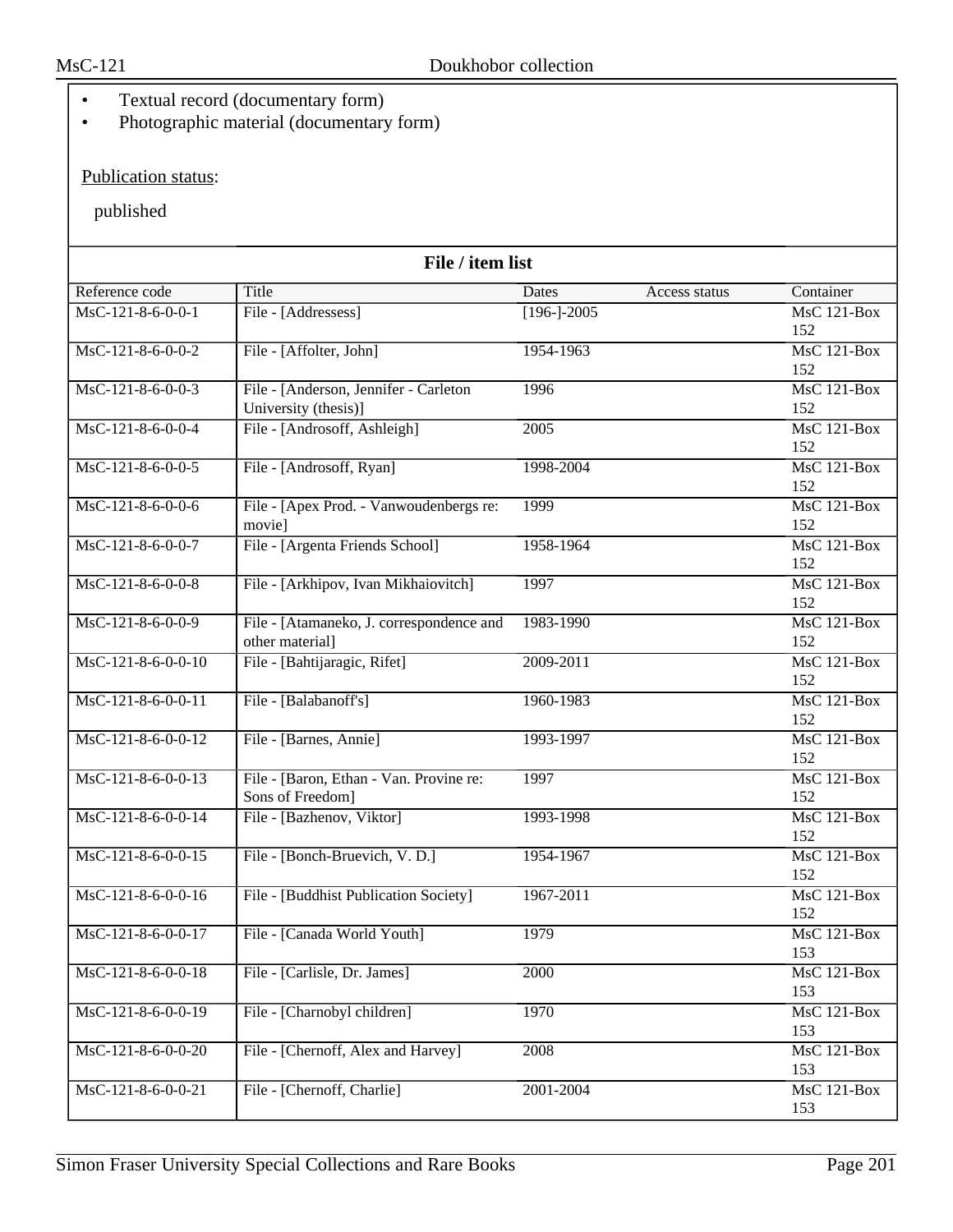- Textual record (documentary form)
- Photographic material (documentary form)

## Publication status:

| File / item list     |                                          |                 |               |                    |
|----------------------|------------------------------------------|-----------------|---------------|--------------------|
| Reference code       | Title                                    | Dates           | Access status | Container          |
| $MsC-121-8-6-0-0-1$  | File - [Addressess]                      | $[196 - ]-2005$ |               | $MsC$ 121-Box      |
|                      |                                          |                 |               | 152                |
| $MsC-121-8-6-0-0-2$  | File - [Affolter, John]                  | 1954-1963       |               | MsC 121-Box        |
|                      |                                          |                 |               | 152                |
| $MsC-121-8-6-0-0-3$  | File - [Anderson, Jennifer - Carleton    | 1996            |               | $MsC$ 121-Box      |
|                      | University (thesis)]                     |                 |               | 152                |
| MsC-121-8-6-0-0-4    | File - [Androsoff, Ashleigh]             | 2005            |               | <b>MsC 121-Box</b> |
|                      |                                          |                 |               | 152                |
| MsC-121-8-6-0-0-5    | File - [Androsoff, Ryan]                 | 1998-2004       |               | MsC 121-Box        |
|                      |                                          |                 |               | 152                |
| MsC-121-8-6-0-0-6    | File - [Apex Prod. - Vanwoudenbergs re:  | 1999            |               | MsC 121-Box        |
|                      | movie]                                   |                 |               | 152                |
| MsC-121-8-6-0-0-7    | File - [Argenta Friends School]          | 1958-1964       |               | <b>MsC 121-Box</b> |
|                      |                                          |                 |               | 152                |
| MsC-121-8-6-0-0-8    | File - [Arkhipov, Ivan Mikhaiovitch]     | 1997            |               | MsC 121-Box        |
|                      |                                          |                 |               | 152                |
| $MsC-121-8-6-0-0-9$  | File - [Atamaneko, J. correspondence and | 1983-1990       |               | MsC 121-Box        |
|                      | other material]                          |                 |               | 152                |
| $MsC-121-8-6-0-0-10$ | File - [Bahtijaragic, Rifet]             | 2009-2011       |               | MsC 121-Box        |
|                      |                                          |                 |               | 152                |
| MsC-121-8-6-0-0-11   | File - [Balabanoff's]                    | 1960-1983       |               | $MsC$ 121-Box      |
|                      |                                          |                 |               | 152                |
| MsC-121-8-6-0-0-12   | File - [Barnes, Annie]                   | 1993-1997       |               | MsC 121-Box        |
|                      |                                          |                 |               | 152                |
| $MsC-121-8-6-0-0-13$ | File - [Baron, Ethan - Van. Provine re:  | 1997            |               | $MsC$ 121-Box      |
|                      | Sons of Freedom]                         |                 |               | 152                |
| MsC-121-8-6-0-0-14   | File - [Bazhenov, Viktor]                | 1993-1998       |               | MsC 121-Box        |
|                      |                                          |                 |               | 152                |
| MsC-121-8-6-0-0-15   | File - [Bonch-Bruevich, V. D.]           | 1954-1967       |               | <b>MsC 121-Box</b> |
|                      |                                          |                 |               | 152                |
| MsC-121-8-6-0-0-16   | File - [Buddhist Publication Society]    | 1967-2011       |               | <b>MsC 121-Box</b> |
|                      |                                          |                 |               | 152                |
| $MsC-121-8-6-0-0-17$ | File - [Canada World Youth]              | 1979            |               | MsC 121-Box        |
|                      |                                          |                 |               | 153                |
| MsC-121-8-6-0-0-18   | File - [Carlisle, Dr. James]             | 2000            |               | MsC 121-Box        |
|                      |                                          |                 |               | 153                |
| MsC-121-8-6-0-0-19   | File - [Charnobyl children]              | 1970            |               | MsC 121-Box        |
|                      |                                          |                 |               | 153                |
| MsC-121-8-6-0-0-20   | File - [Chernoff, Alex and Harvey]       | 2008            |               | MsC 121-Box        |
|                      |                                          |                 |               | 153                |
| $MsC-121-8-6-0-0-21$ | File - [Chernoff, Charlie]               | 2001-2004       |               | MsC 121-Box        |
|                      |                                          |                 |               | 153                |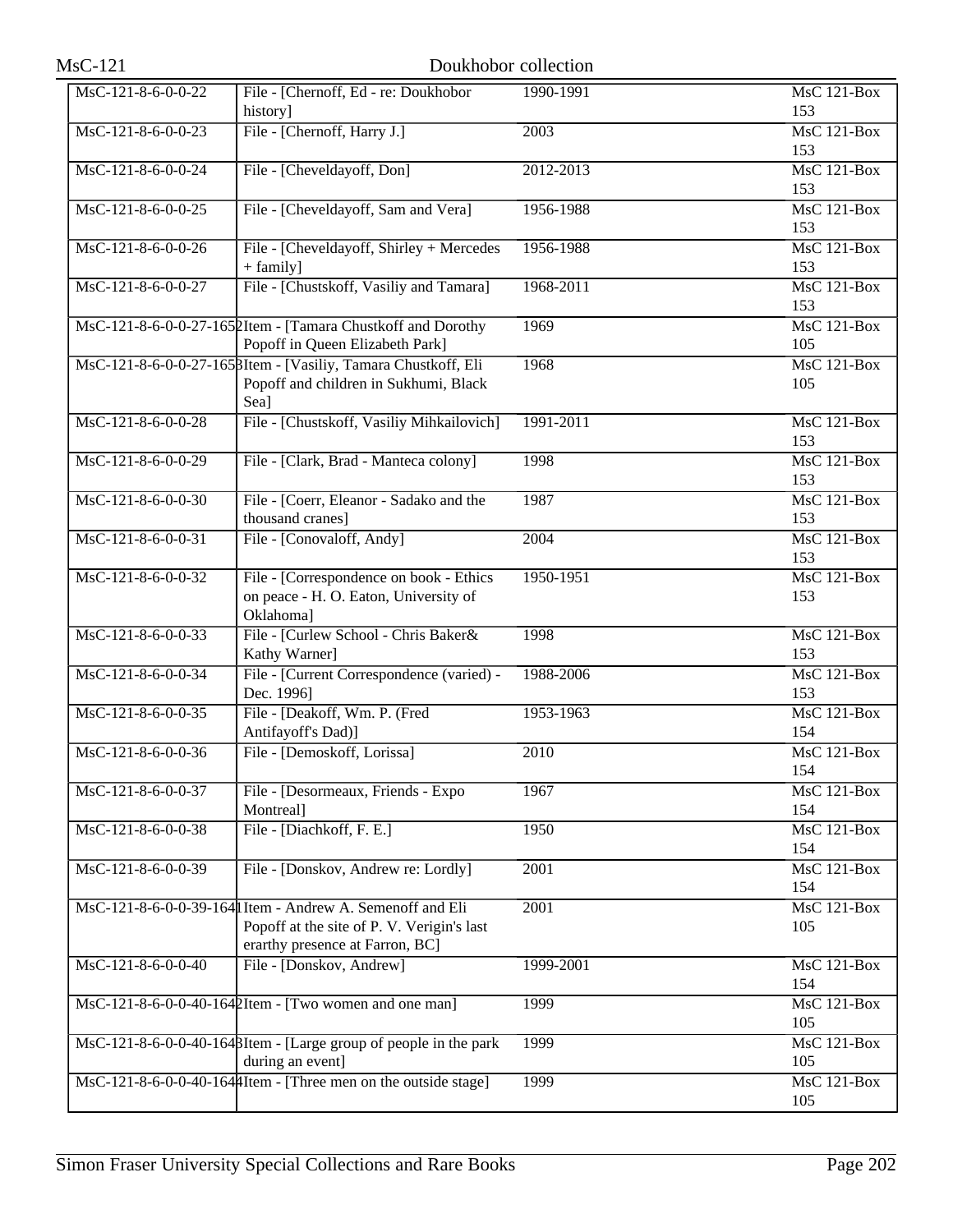| $MsC-121$            |                                                                                                                                             | Doukhobor collection |                                        |
|----------------------|---------------------------------------------------------------------------------------------------------------------------------------------|----------------------|----------------------------------------|
| MsC-121-8-6-0-0-22   | File - [Chernoff, Ed - re: Doukhobor<br>history]                                                                                            | 1990-1991            | <b>MsC 121-Box</b><br>153              |
| MsC-121-8-6-0-0-23   | File - [Chernoff, Harry J.]                                                                                                                 | $\overline{2003}$    | <b>MsC 121-Box</b><br>153              |
| MsC-121-8-6-0-0-24   | File - [Cheveldayoff, Don]                                                                                                                  | 2012-2013            | $MsC$ 121-Box<br>153                   |
| MsC-121-8-6-0-0-25   | File - [Cheveldayoff, Sam and Vera]                                                                                                         | 1956-1988            | <b>MsC 121-Box</b><br>153              |
| MsC-121-8-6-0-0-26   | File - [Cheveldayoff, Shirley + Mercedes<br>$+$ family]                                                                                     | 1956-1988            | MsC 121-Box<br>153                     |
| MsC-121-8-6-0-0-27   | File - [Chustskoff, Vasiliy and Tamara]                                                                                                     | 1968-2011            | $MsC$ 121-Box<br>153                   |
|                      | MsC-121-8-6-0-0-27-1652Item - [Tamara Chustkoff and Dorothy<br>Popoff in Queen Elizabeth Park]                                              | 1969                 | <b>MsC 121-Box</b><br>105              |
|                      | MsC-121-8-6-0-0-27-165 BItem - [Vasiliy, Tamara Chustkoff, Eli<br>Popoff and children in Sukhumi, Black<br>Sea]                             | 1968                 | <b>MsC 121-Box</b><br>105              |
| MsC-121-8-6-0-0-28   | File - [Chustskoff, Vasiliy Mihkailovich]                                                                                                   | 1991-2011            | MsC 121-Box<br>153                     |
| MsC-121-8-6-0-0-29   | File - [Clark, Brad - Manteca colony]                                                                                                       | 1998                 | $MsC$ 121-Box<br>153                   |
| MsC-121-8-6-0-0-30   | File - [Coerr, Eleanor - Sadako and the<br>thousand cranes]                                                                                 | 1987                 | <b>MsC 121-Box</b><br>153              |
| MsC-121-8-6-0-0-31   | File - [Conovaloff, Andy]                                                                                                                   | $\overline{2004}$    | <b>MsC 121-Box</b><br>153              |
| MsC-121-8-6-0-0-32   | File - [Correspondence on book - Ethics<br>on peace - H. O. Eaton, University of<br>Oklahoma]                                               | 1950-1951            | $MsC$ 121-Box<br>153                   |
| MsC-121-8-6-0-0-33   | File - [Curlew School - Chris Baker&<br>Kathy Warner]                                                                                       | 1998                 | $\overline{\text{MsC 121-Box}}$<br>153 |
| MsC-121-8-6-0-0-34   | File - [Current Correspondence (varied) -<br>Dec. 1996]                                                                                     | 1988-2006            | $MsC$ 121-Box<br>153                   |
| MsC-121-8-6-0-0-35   | File - [Deakoff, Wm. P. (Fred<br>Antifayoff's Dad)]                                                                                         | 1953-1963            | $MsC$ 121-Box<br>154                   |
| $MsC-121-8-6-0-0-36$ | File - [Demoskoff, Lorissa]                                                                                                                 | 2010                 | MsC 121-Box<br>154                     |
| MsC-121-8-6-0-0-37   | File - [Desormeaux, Friends - Expo<br>Montreal]                                                                                             | 1967                 | $MsC$ 121-Box<br>154                   |
| MsC-121-8-6-0-0-38   | File - [Diachkoff, F. E.]                                                                                                                   | 1950                 | <b>MsC 121-Box</b><br>154              |
| MsC-121-8-6-0-0-39   | File - [Donskov, Andrew re: Lordly]                                                                                                         | 2001                 | MsC 121-Box<br>154                     |
|                      | MsC-121-8-6-0-0-39-164 I Item - Andrew A. Semenoff and Eli<br>Popoff at the site of P. V. Verigin's last<br>erarthy presence at Farron, BC] | 2001                 | <b>MsC 121-Box</b><br>105              |
| MsC-121-8-6-0-0-40   | File - [Donskov, Andrew]                                                                                                                    | 1999-2001            | MsC 121-Box<br>154                     |
|                      | MsC-121-8-6-0-0-40-1642Item - [Two women and one man]                                                                                       | 1999                 | <b>MsC 121-Box</b><br>105              |
|                      | MsC-121-8-6-0-0-40-1648Item - [Large group of people in the park<br>during an event]                                                        | 1999                 | $MsC$ 121-Box<br>105                   |
|                      | MsC-121-8-6-0-0-40-1644Item - [Three men on the outside stage]                                                                              | 1999                 | MsC 121-Box<br>105                     |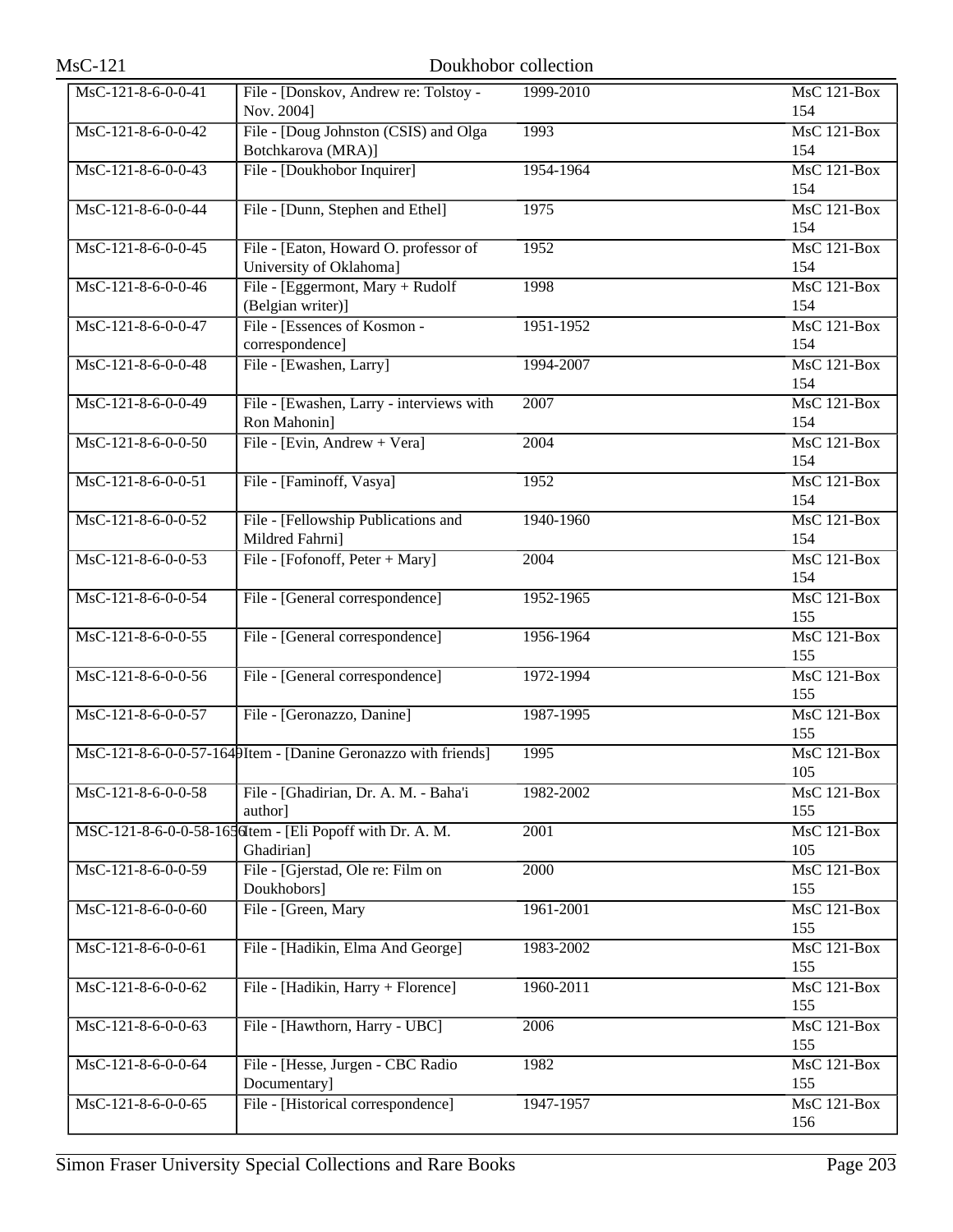| $MsC-121$                              |                                                                        | Doukhobor collection |                           |
|----------------------------------------|------------------------------------------------------------------------|----------------------|---------------------------|
| MsC-121-8-6-0-0-41                     | File - [Donskov, Andrew re: Tolstoy -<br>Nov. 2004]                    | 1999-2010            | $MsC$ 121-Box<br>154      |
| $\overline{\text{MsC-121-8-6-0-0-42}}$ | File - [Doug Johnston (CSIS) and Olga<br>Botchkarova (MRA)]            | 1993                 | <b>MsC 121-Box</b><br>154 |
| $\overline{\text{MsC-121-8-6-0-0-43}}$ | File - [Doukhobor Inquirer]                                            | 1954-1964            | $MsC$ 121-Box<br>154      |
| MsC-121-8-6-0-0-44                     | File - [Dunn, Stephen and Ethel]                                       | 1975                 | <b>MsC 121-Box</b><br>154 |
| MsC-121-8-6-0-0-45                     | File - [Eaton, Howard O. professor of<br>University of Oklahoma]       | 1952                 | MsC 121-Box<br>154        |
| MsC-121-8-6-0-0-46                     | File - [Eggermont, Mary + Rudolf<br>(Belgian writer)]                  | 1998                 | <b>MsC 121-Box</b><br>154 |
| MsC-121-8-6-0-0-47                     | File - [Essences of Kosmon -<br>correspondence]                        | 1951-1952            | $MsC$ 121-Box<br>154      |
| MsC-121-8-6-0-0-48                     | File - [Ewashen, Larry]                                                | 1994-2007            | $MsC$ 121-Box<br>154      |
| $\overline{\text{MsC-121-8-6-0-0-49}}$ | File - [Ewashen, Larry - interviews with<br>Ron Mahonin]               | 2007                 | $MsC$ 121-Box<br>154      |
| MsC-121-8-6-0-0-50                     | File - [Evin, Andrew + Vera]                                           | 2004                 | MsC 121-Box<br>154        |
| MsC-121-8-6-0-0-51                     | File - [Faminoff, Vasya]                                               | 1952                 | MsC 121-Box<br>154        |
| $MsC-121-8-6-0-0-52$                   | File - [Fellowship Publications and<br>Mildred Fahrni]                 | 1940-1960            | $MsC$ 121-Box<br>154      |
| MsC-121-8-6-0-0-53                     | File - [Fofonoff, Peter + Mary]                                        | 2004                 | $MsC$ 121-Box<br>154      |
| MsC-121-8-6-0-0-54                     | File - [General correspondence]                                        | 1952-1965            | MsC 121-Box<br>155        |
| MsC-121-8-6-0-0-55                     | File - [General correspondence]                                        | 1956-1964            | $MsC$ 121-Box<br>155      |
| MsC-121-8-6-0-0-56                     | File - [General correspondence]                                        | 1972-1994            | <b>MsC 121-Box</b><br>155 |
| MsC-121-8-6-0-0-57                     | File - [Geronazzo, Danine]                                             | 1987-1995            | <b>MsC 121-Box</b><br>155 |
|                                        | MsC-121-8-6-0-0-57-1649Item - [Danine Geronazzo with friends]          | 1995                 | MsC 121-Box<br>105        |
| MsC-121-8-6-0-0-58                     | File - [Ghadirian, Dr. A. M. - Baha'i<br>author]                       | 1982-2002            | MsC 121-Box<br>155        |
|                                        | MSC-121-8-6-0-0-58-165 dtem - [Eli Popoff with Dr. A. M.<br>Ghadirian] | 2001                 | $MsC$ 121-Box<br>105      |
| MsC-121-8-6-0-0-59                     | File - [Gjerstad, Ole re: Film on<br>Doukhobors]                       | 2000                 | $MsC$ 121-Box<br>155      |
| $MsC-121-8-6-0-0-60$                   | File - [Green, Mary                                                    | 1961-2001            | <b>MsC 121-Box</b><br>155 |
| MsC-121-8-6-0-0-61                     | File - [Hadikin, Elma And George]                                      | 1983-2002            | MsC 121-Box<br>155        |
| MsC-121-8-6-0-0-62                     | File - [Hadikin, Harry + Florence]                                     | 1960-2011            | MsC 121-Box<br>155        |
| MsC-121-8-6-0-0-63                     | File - [Hawthorn, Harry - UBC]                                         | 2006                 | MsC 121-Box<br>155        |
| MsC-121-8-6-0-0-64                     | File - [Hesse, Jurgen - CBC Radio<br>Documentary]                      | 1982                 | MsC 121-Box<br>155        |
| MsC-121-8-6-0-0-65                     | File - [Historical correspondence]                                     | 1947-1957            | MsC 121-Box<br>156        |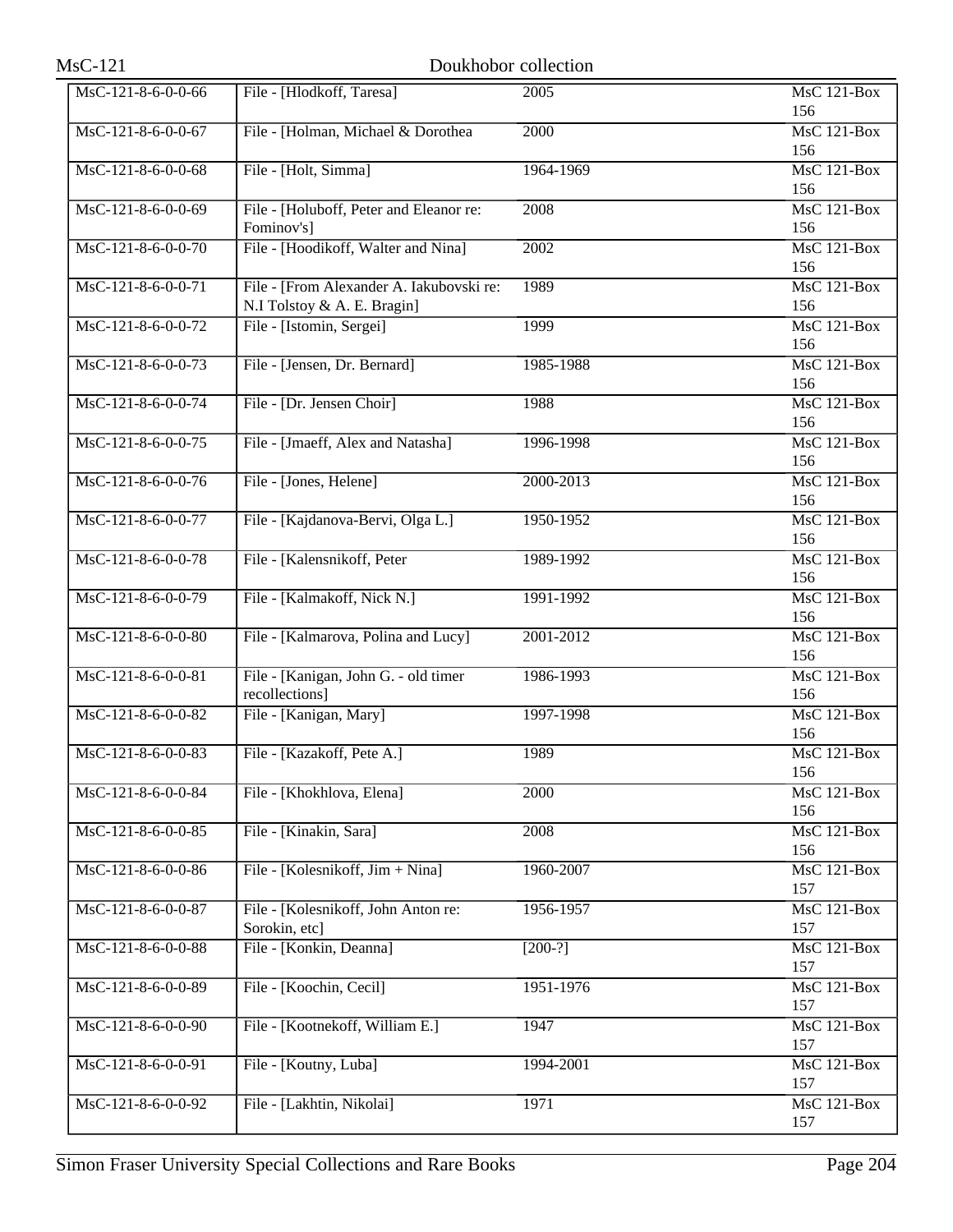| $MsC-121$            |                                                                         | Doukhobor collection |                           |
|----------------------|-------------------------------------------------------------------------|----------------------|---------------------------|
| MsC-121-8-6-0-0-66   | File - [Hlodkoff, Taresa]                                               | 2005                 | $MsC$ 121-Box<br>156      |
| MsC-121-8-6-0-0-67   | File - [Holman, Michael & Dorothea                                      | 2000                 | MsC 121-Box<br>156        |
| MsC-121-8-6-0-0-68   | File - [Holt, Simma]                                                    | 1964-1969            | MsC 121-Box<br>156        |
| MsC-121-8-6-0-0-69   | File - [Holuboff, Peter and Eleanor re:<br>Fominov's]                   | 2008                 | MsC 121-Box<br>156        |
| MsC-121-8-6-0-0-70   | File - [Hoodikoff, Walter and Nina]                                     | 2002                 | MsC 121-Box<br>156        |
| MsC-121-8-6-0-0-71   | File - [From Alexander A. Iakubovski re:<br>N.I Tolstoy & A. E. Bragin] | 1989                 | $MsC$ 121-Box<br>156      |
| MsC-121-8-6-0-0-72   | File - [Istomin, Sergei]                                                | 1999                 | <b>MsC 121-Box</b><br>156 |
| $MsC-121-8-6-0-0-73$ | File - [Jensen, Dr. Bernard]                                            | 1985-1988            | $MsC$ 121-Box<br>156      |
| $MsC-121-8-6-0-0-74$ | File - [Dr. Jensen Choir]                                               | 1988                 | MsC 121-Box<br>156        |
| MsC-121-8-6-0-0-75   | File - [Jmaeff, Alex and Natasha]                                       | 1996-1998            | $MsC$ 121-Box<br>156      |
| $MsC-121-8-6-0-0-76$ | File - [Jones, Helene]                                                  | 2000-2013            | MsC 121-Box<br>156        |
| MsC-121-8-6-0-0-77   | File - [Kajdanova-Bervi, Olga L.]                                       | 1950-1952            | $MsC$ 121-Box<br>156      |
| MsC-121-8-6-0-0-78   | File - [Kalensnikoff, Peter                                             | 1989-1992            | <b>MsC 121-Box</b><br>156 |
| MsC-121-8-6-0-0-79   | File - [Kalmakoff, Nick N.]                                             | 1991-1992            | MsC 121-Box<br>156        |
| MsC-121-8-6-0-0-80   | File - [Kalmarova, Polina and Lucy]                                     | 2001-2012            | MsC 121-Box<br>156        |
| MsC-121-8-6-0-0-81   | File - [Kanigan, John G. - old timer<br>recollections]                  | 1986-1993            | MsC 121-Box<br>156        |
| $MsC-121-8-6-0-0-82$ | File - [Kanigan, Mary]                                                  | 1997-1998            | $MsC$ 121-Box<br>156      |
| MsC-121-8-6-0-0-83   | File - [Kazakoff, Pete A.]                                              | 1989                 | <b>MsC 121-Box</b><br>156 |
| MsC-121-8-6-0-0-84   | File - [Khokhlova, Elena]                                               | 2000                 | MsC 121-Box<br>156        |
| MsC-121-8-6-0-0-85   | File - [Kinakin, Sara]                                                  | 2008                 | MsC 121-Box<br>156        |
| MsC-121-8-6-0-0-86   | File - [Kolesnikoff, Jim + Nina]                                        | 1960-2007            | MsC 121-Box<br>157        |
| MsC-121-8-6-0-0-87   | File - [Kolesnikoff, John Anton re:<br>Sorokin, etc]                    | 1956-1957            | MsC 121-Box<br>157        |
| MsC-121-8-6-0-0-88   | File - [Konkin, Deanna]                                                 | $[200-?]$            | MsC 121-Box<br>157        |
| MsC-121-8-6-0-0-89   | File - [Koochin, Cecil]                                                 | 1951-1976            | MsC 121-Box<br>157        |
| MsC-121-8-6-0-0-90   | File - [Kootnekoff, William E.]                                         | 1947                 | MsC 121-Box<br>157        |
| MsC-121-8-6-0-0-91   | File - [Koutny, Luba]                                                   | 1994-2001            | MsC 121-Box<br>157        |
| MsC-121-8-6-0-0-92   | File - [Lakhtin, Nikolai]                                               | 1971                 | MsC 121-Box<br>157        |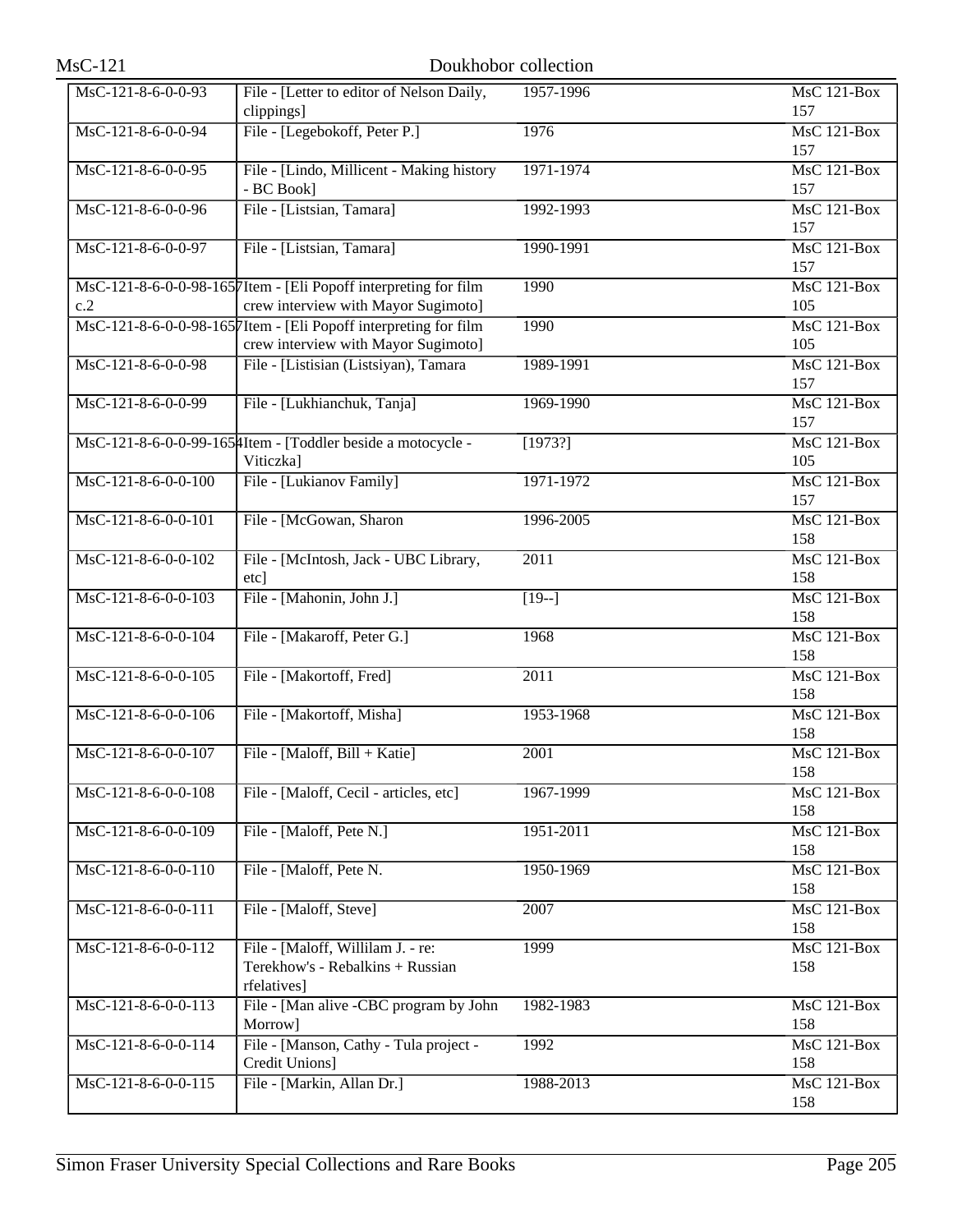| <b>MsC-121</b>        |                                                                                                        | Doukhobor collection |                           |
|-----------------------|--------------------------------------------------------------------------------------------------------|----------------------|---------------------------|
| MsC-121-8-6-0-0-93    | File - [Letter to editor of Nelson Daily,<br>clippings]                                                | 1957-1996            | <b>MsC 121-Box</b><br>157 |
| MsC-121-8-6-0-0-94    | File - [Legebokoff, Peter P.]                                                                          | 1976                 | MsC 121-Box<br>157        |
| MsC-121-8-6-0-0-95    | File - [Lindo, Millicent - Making history<br>- BC Book]                                                | 1971-1974            | $MsC$ 121-Box<br>157      |
| MsC-121-8-6-0-0-96    | File - [Listsian, Tamara]                                                                              | 1992-1993            | <b>MsC 121-Box</b><br>157 |
| MsC-121-8-6-0-0-97    | File - [Listsian, Tamara]                                                                              | 1990-1991            | MsC 121-Box<br>157        |
| c.2                   | MsC-121-8-6-0-0-98-1657Item - [Eli Popoff interpreting for film<br>crew interview with Mayor Sugimoto] | 1990                 | <b>MsC 121-Box</b><br>105 |
|                       | MsC-121-8-6-0-0-98-1657Item - [Eli Popoff interpreting for film<br>crew interview with Mayor Sugimoto] | 1990                 | <b>MsC 121-Box</b><br>105 |
| MsC-121-8-6-0-0-98    | File - [Listisian (Listsiyan), Tamara                                                                  | 1989-1991            | <b>MsC 121-Box</b><br>157 |
| MsC-121-8-6-0-0-99    | File - [Lukhianchuk, Tanja]                                                                            | 1969-1990            | $MsC$ 121-Box<br>157      |
|                       | MsC-121-8-6-0-0-99-1654Item - [Toddler beside a motocycle -<br>Viticzka]                               | [1973?]              | <b>MsC 121-Box</b><br>105 |
| $MsC-121-8-6-0-0-100$ | File - [Lukianov Family]                                                                               | 1971-1972            | MsC 121-Box<br>157        |
| MsC-121-8-6-0-0-101   | File - [McGowan, Sharon                                                                                | 1996-2005            | <b>MsC 121-Box</b><br>158 |
| MsC-121-8-6-0-0-102   | File - [McIntosh, Jack - UBC Library,<br>etc]                                                          | 2011                 | <b>MsC 121-Box</b><br>158 |
| MsC-121-8-6-0-0-103   | File - [Mahonin, John J.]                                                                              | $[19-]$              | MsC 121-Box<br>158        |
| MsC-121-8-6-0-0-104   | File - [Makaroff, Peter G.]                                                                            | 1968                 | $MsC$ 121-Box<br>158      |
| MsC-121-8-6-0-0-105   | File - [Makortoff, Fred]                                                                               | 2011                 | <b>MsC 121-Box</b><br>158 |
| MsC-121-8-6-0-0-106   | File - [Makortoff, Misha]                                                                              | 1953-1968            | <b>MsC 121-Box</b><br>158 |
| MsC-121-8-6-0-0-107   | File - [Maloff, Bill + Katie]                                                                          | 2001                 | MsC 121-Box<br>158        |
| MsC-121-8-6-0-0-108   | File - [Maloff, Cecil - articles, etc]                                                                 | 1967-1999            | $MsC$ 121-Box<br>158      |
| MsC-121-8-6-0-0-109   | File - [Maloff, Pete N.]                                                                               | 1951-2011            | MsC 121-Box<br>158        |
| MsC-121-8-6-0-0-110   | File - [Maloff, Pete N.                                                                                | 1950-1969            | <b>MsC 121-Box</b><br>158 |
| MsC-121-8-6-0-0-111   | File - [Maloff, Steve]                                                                                 | 2007                 | <b>MsC 121-Box</b><br>158 |
| MsC-121-8-6-0-0-112   | File - [Maloff, Willilam J. - re:<br>Terekhow's - Rebalkins + Russian<br>rfelatives]                   | 1999                 | MsC 121-Box<br>158        |
| MsC-121-8-6-0-0-113   | File - [Man alive -CBC program by John<br>Morrow]                                                      | 1982-1983            | MsC 121-Box<br>158        |
| MsC-121-8-6-0-0-114   | File - [Manson, Cathy - Tula project -<br>Credit Unions]                                               | 1992                 | MsC 121-Box<br>158        |
| MsC-121-8-6-0-0-115   | File - [Markin, Allan Dr.]                                                                             | 1988-2013            | MsC 121-Box<br>158        |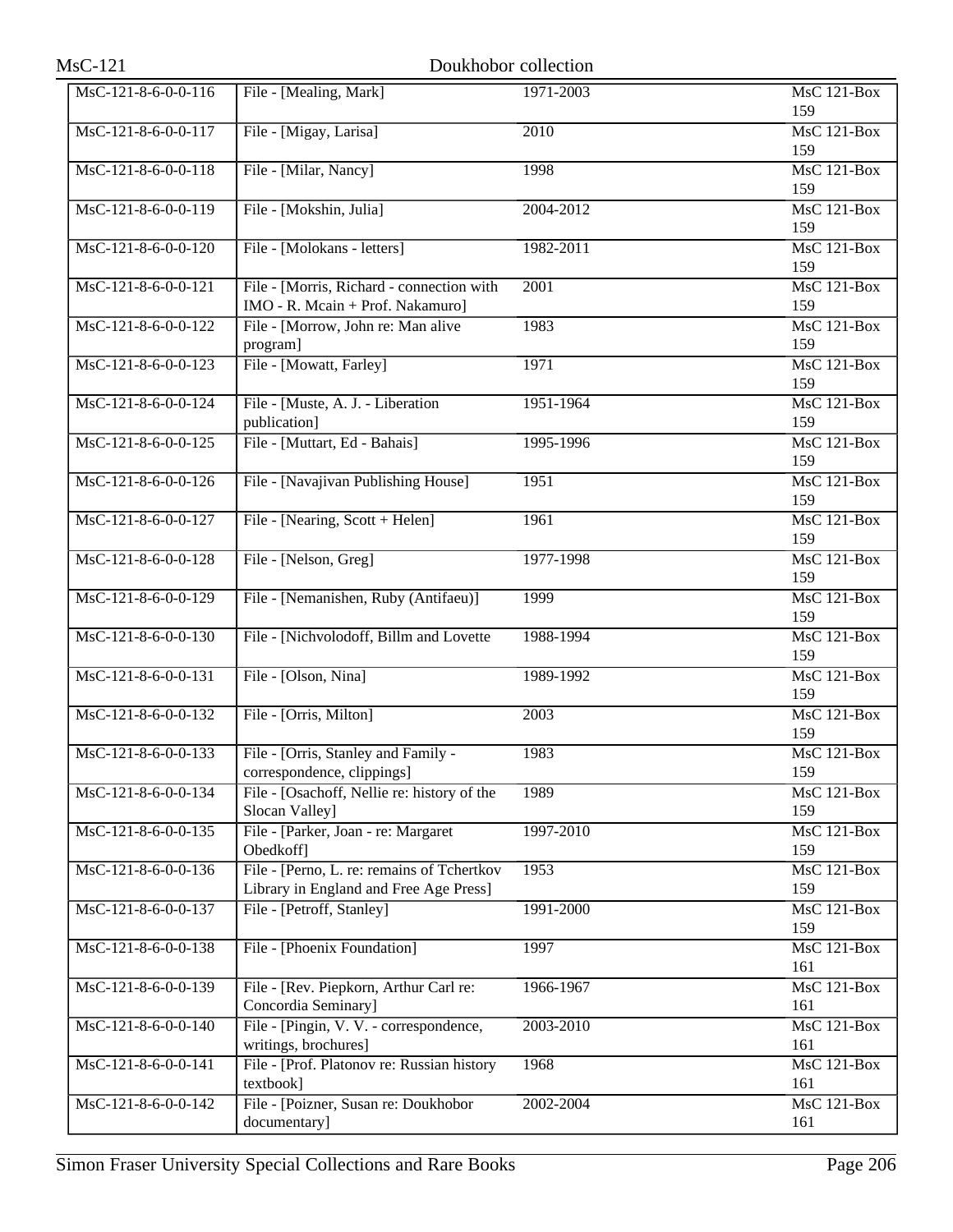| $MsC-121$             | Doukhobor collection                                                                 |           |                           |
|-----------------------|--------------------------------------------------------------------------------------|-----------|---------------------------|
| MsC-121-8-6-0-0-116   | File - [Mealing, Mark]                                                               | 1971-2003 | <b>MsC 121-Box</b><br>159 |
| MsC-121-8-6-0-0-117   | File - [Migay, Larisa]                                                               | 2010      | MsC 121-Box<br>159        |
| MsC-121-8-6-0-0-118   | File - [Milar, Nancy]                                                                | 1998      | MsC 121-Box<br>159        |
| MsC-121-8-6-0-0-119   | File - [Mokshin, Julia]                                                              | 2004-2012 | MsC 121-Box<br>159        |
| MsC-121-8-6-0-0-120   | File - [Molokans - letters]                                                          | 1982-2011 | MsC 121-Box<br>159        |
| MsC-121-8-6-0-0-121   | File - [Morris, Richard - connection with<br>IMO - R. Mcain + Prof. Nakamuro]        | 2001      | $MsC$ 121-Box<br>159      |
| MsC-121-8-6-0-0-122   | File - [Morrow, John re: Man alive<br>program]                                       | 1983      | <b>MsC 121-Box</b><br>159 |
| MsC-121-8-6-0-0-123   | File - [Mowatt, Farley]                                                              | 1971      | MsC 121-Box<br>159        |
| MsC-121-8-6-0-0-124   | File - [Muste, A. J. - Liberation<br>publication]                                    | 1951-1964 | $MsC$ 121-Box<br>159      |
| MsC-121-8-6-0-0-125   | File - [Muttart, Ed - Bahais]                                                        | 1995-1996 | $MsC$ 121-Box<br>159      |
| $MsC-121-8-6-0-0-126$ | File - [Navajivan Publishing House]                                                  | 1951      | MsC 121-Box<br>159        |
| MsC-121-8-6-0-0-127   | File - [Nearing, Scott + Helen]                                                      | 1961      | $MsC$ 121-Box<br>159      |
| MsC-121-8-6-0-0-128   | File - [Nelson, Greg]                                                                | 1977-1998 | <b>MsC 121-Box</b><br>159 |
| MsC-121-8-6-0-0-129   | File - [Nemanishen, Ruby (Antifaeu)]                                                 | 1999      | MsC 121-Box<br>159        |
| MsC-121-8-6-0-0-130   | File - [Nichvolodoff, Billm and Lovette                                              | 1988-1994 | MsC 121-Box<br>159        |
| MsC-121-8-6-0-0-131   | File - [Olson, Nina]                                                                 | 1989-1992 | MsC 121-Box<br>159        |
| MsC-121-8-6-0-0-132   | File - [Orris, Milton]                                                               | 2003      | MsC 121-Box<br>159        |
| MsC-121-8-6-0-0-133   | File - [Orris, Stanley and Family -<br>correspondence, clippings]                    | 1983      | <b>MsC 121-Box</b><br>159 |
| MsC-121-8-6-0-0-134   | File - [Osachoff, Nellie re: history of the<br>Slocan Valley]                        | 1989      | MsC 121-Box<br>159        |
| MsC-121-8-6-0-0-135   | File - [Parker, Joan - re: Margaret<br>Obedkoff]                                     | 1997-2010 | MsC 121-Box<br>159        |
| MsC-121-8-6-0-0-136   | File - [Perno, L. re: remains of Tchertkov<br>Library in England and Free Age Press] | 1953      | MsC 121-Box<br>159        |
| MsC-121-8-6-0-0-137   | File - [Petroff, Stanley]                                                            | 1991-2000 | MsC 121-Box<br>159        |
| MsC-121-8-6-0-0-138   | File - [Phoenix Foundation]                                                          | 1997      | <b>MsC 121-Box</b><br>161 |
| MsC-121-8-6-0-0-139   | File - [Rev. Piepkorn, Arthur Carl re:<br>Concordia Seminary]                        | 1966-1967 | <b>MsC 121-Box</b><br>161 |
| MsC-121-8-6-0-0-140   | File - [Pingin, V. V. - correspondence,<br>writings, brochures]                      | 2003-2010 | <b>MsC 121-Box</b><br>161 |
| MsC-121-8-6-0-0-141   | File - [Prof. Platonov re: Russian history<br>textbook]                              | 1968      | MsC 121-Box<br>161        |
| MsC-121-8-6-0-0-142   | File - [Poizner, Susan re: Doukhobor<br>documentary]                                 | 2002-2004 | <b>MsC 121-Box</b><br>161 |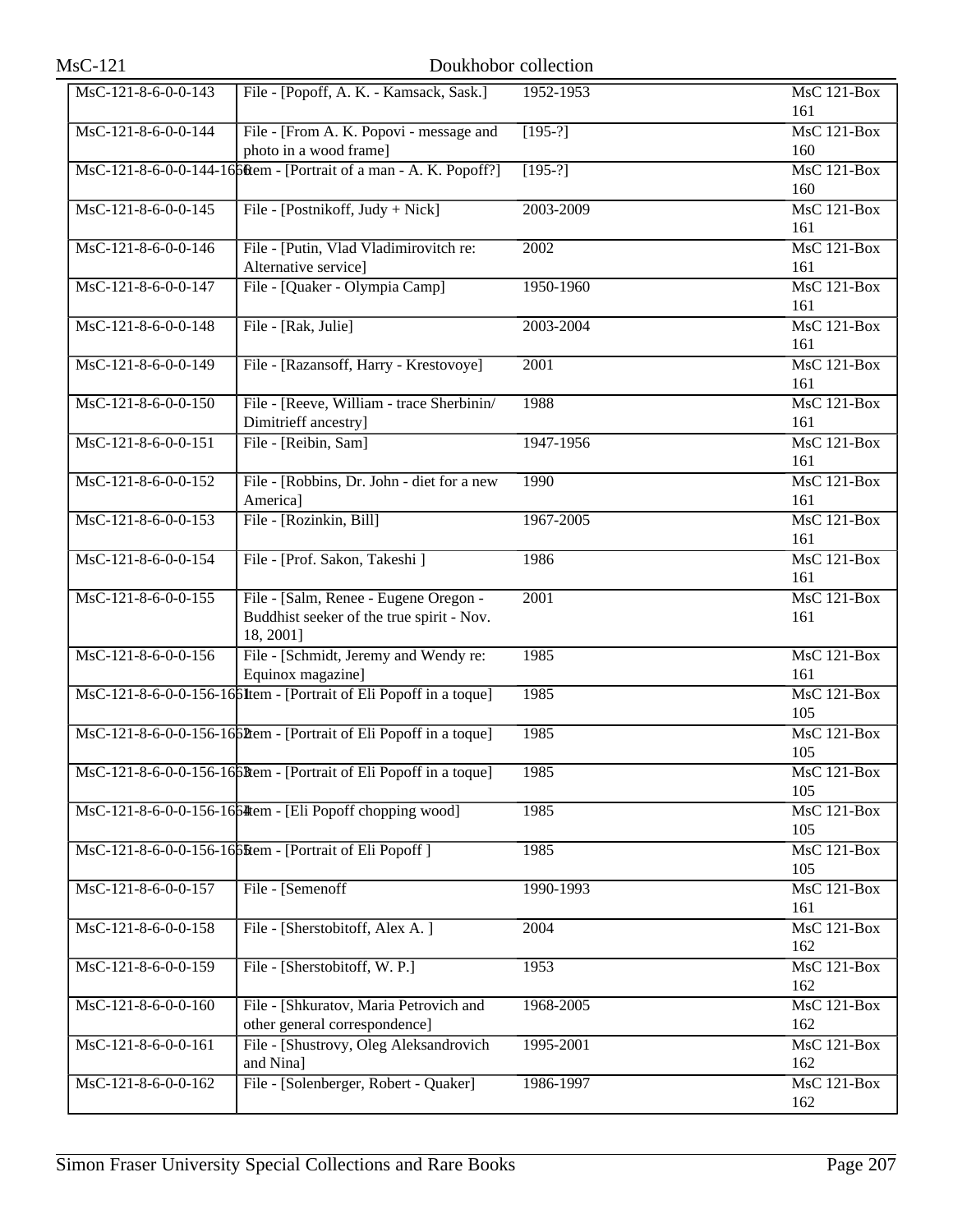| $MsC-121$           |                                                                                                 | Doukhobor collection |                           |
|---------------------|-------------------------------------------------------------------------------------------------|----------------------|---------------------------|
| MsC-121-8-6-0-0-143 | File - [Popoff, A. K. - Kamsack, Sask.]                                                         | 1952-1953            | <b>MsC 121-Box</b><br>161 |
| MsC-121-8-6-0-0-144 | File - [From A. K. Popovi - message and<br>photo in a wood frame]                               | $[195-?]$            | <b>MsC 121-Box</b><br>160 |
|                     | MsC-121-8-6-0-0-144-1660tem - [Portrait of a man - A. K. Popoff?]                               | $[195-?]$            | $MsC$ 121-Box<br>160      |
| MsC-121-8-6-0-0-145 | File - [Postnikoff, Judy + Nick]                                                                | 2003-2009            | <b>MsC 121-Box</b><br>161 |
| MsC-121-8-6-0-0-146 | File - [Putin, Vlad Vladimirovitch re:<br>Alternative service]                                  | 2002                 | $MsC$ 121-Box<br>161      |
| MsC-121-8-6-0-0-147 | File - [Quaker - Olympia Camp]                                                                  | 1950-1960            | $MsC$ 121-Box<br>161      |
| MsC-121-8-6-0-0-148 | File - [Rak, Julie]                                                                             | 2003-2004            | <b>MsC 121-Box</b><br>161 |
| MsC-121-8-6-0-0-149 | File - [Razansoff, Harry - Krestovoye]                                                          | 2001                 | <b>MsC 121-Box</b><br>161 |
| MsC-121-8-6-0-0-150 | File - [Reeve, William - trace Sherbinin/<br>Dimitrieff ancestry]                               | 1988                 | $MsC$ 121-Box<br>161      |
| MsC-121-8-6-0-0-151 | File - [Reibin, Sam]                                                                            | 1947-1956            | <b>MsC 121-Box</b><br>161 |
| MsC-121-8-6-0-0-152 | File - [Robbins, Dr. John - diet for a new<br>America]                                          | 1990                 | MsC 121-Box<br>161        |
| MsC-121-8-6-0-0-153 | File - [Rozinkin, Bill]                                                                         | 1967-2005            | <b>MsC 121-Box</b><br>161 |
| MsC-121-8-6-0-0-154 | File - [Prof. Sakon, Takeshi]                                                                   | 1986                 | $MsC$ 121-Box<br>161      |
| MsC-121-8-6-0-0-155 | File - [Salm, Renee - Eugene Oregon -<br>Buddhist seeker of the true spirit - Nov.<br>18, 2001] | 2001                 | <b>MsC 121-Box</b><br>161 |
| MsC-121-8-6-0-0-156 | File - [Schmidt, Jeremy and Wendy re:<br>Equinox magazine]                                      | 1985                 | MsC 121-Box<br>161        |
|                     | MsC-121-8-6-0-0-156-166Item - [Portrait of Eli Popoff in a toque]                               | 1985                 | <b>MsC 121-Box</b><br>105 |
|                     | MsC-121-8-6-0-0-156-1660tem - [Portrait of Eli Popoff in a toque]                               | 1985                 | $MsC$ 121-Box<br>105      |
|                     | MsC-121-8-6-0-0-156-166Rem - [Portrait of Eli Popoff in a toque]                                | 1985                 | $MsC$ 121-Box<br>105      |
|                     | MsC-121-8-6-0-0-156-1664 tem - [Eli Popoff chopping wood]                                       | 1985                 | $MsC$ 121-Box<br>105      |
|                     | MsC-121-8-6-0-0-156-16 bHtem - [Portrait of Eli Popoff]                                         | 1985                 | <b>MsC 121-Box</b><br>105 |
| MsC-121-8-6-0-0-157 | File - [Semenoff]                                                                               | 1990-1993            | $MsC$ 121-Box<br>161      |
| MsC-121-8-6-0-0-158 | File - [Sherstobitoff, Alex A.]                                                                 | 2004                 | MsC 121-Box<br>162        |
| MsC-121-8-6-0-0-159 | File - [Sherstobitoff, W. P.]                                                                   | 1953                 | <b>MsC 121-Box</b><br>162 |
| MsC-121-8-6-0-0-160 | File - [Shkuratov, Maria Petrovich and<br>other general correspondence]                         | 1968-2005            | $MsC$ 121-Box<br>162      |
| MsC-121-8-6-0-0-161 | File - [Shustrovy, Oleg Aleksandrovich<br>and Nina]                                             | 1995-2001            | <b>MsC 121-Box</b><br>162 |
| MsC-121-8-6-0-0-162 | File - [Solenberger, Robert - Quaker]                                                           | 1986-1997            | MsC 121-Box<br>162        |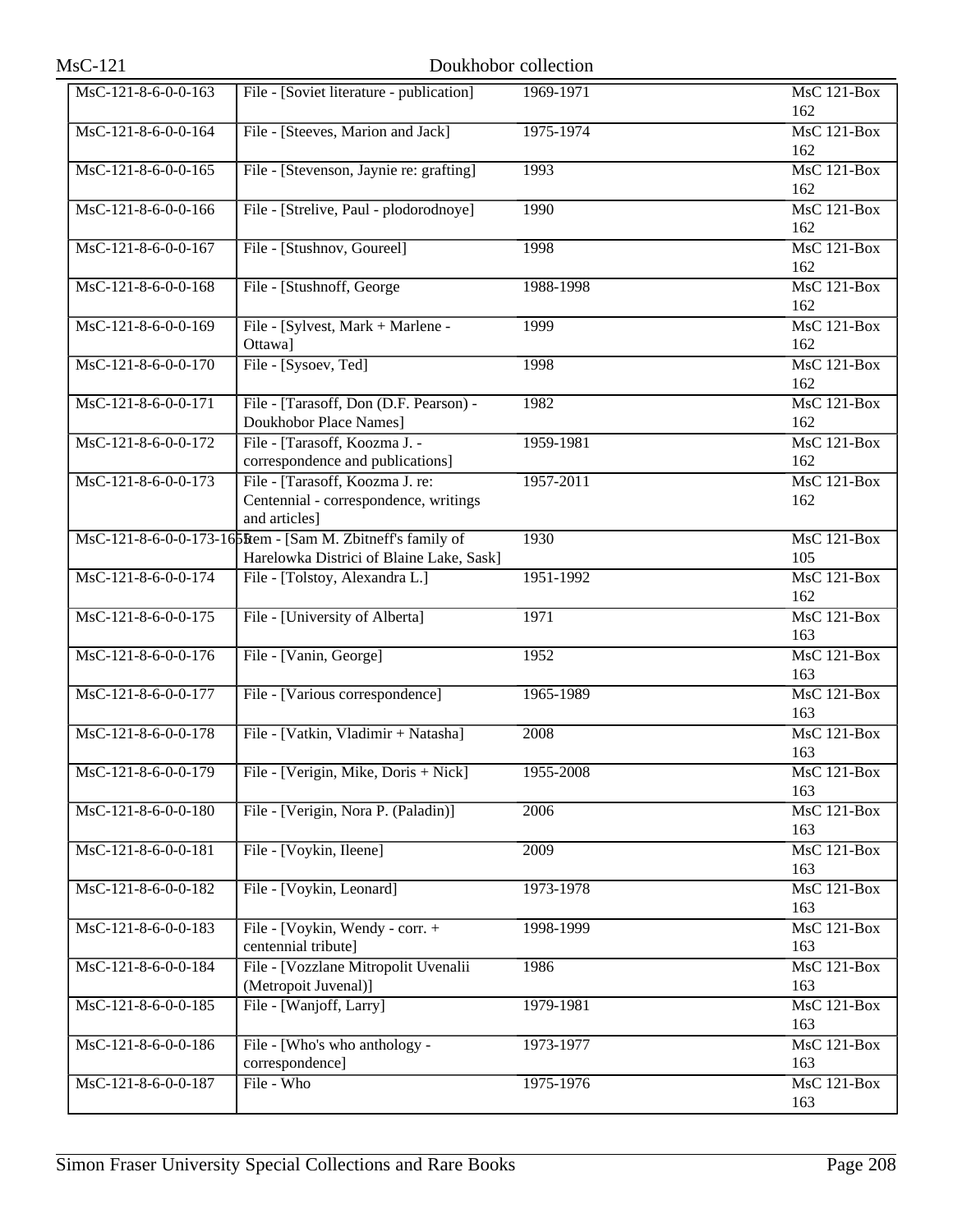| $MsC-121$             | Doukhobor collection                                                                                   |           |                           |
|-----------------------|--------------------------------------------------------------------------------------------------------|-----------|---------------------------|
| MsC-121-8-6-0-0-163   | File - [Soviet literature - publication]                                                               | 1969-1971 | <b>MsC 121-Box</b><br>162 |
| $MsC-121-8-6-0-0-164$ | File - [Steeves, Marion and Jack]                                                                      | 1975-1974 | MsC 121-Box<br>162        |
| MsC-121-8-6-0-0-165   | File - [Stevenson, Jaynie re: grafting]                                                                | 1993      | <b>MsC 121-Box</b><br>162 |
| MsC-121-8-6-0-0-166   | File - [Strelive, Paul - plodorodnoye]                                                                 | 1990      | MsC 121-Box<br>162        |
| MsC-121-8-6-0-0-167   | File - [Stushnov, Goureel]                                                                             | 1998      | MsC 121-Box<br>162        |
| MsC-121-8-6-0-0-168   | File - [Stushnoff, George]                                                                             | 1988-1998 | $MsC$ 121-Box<br>162      |
| MsC-121-8-6-0-0-169   | File - [Sylvest, Mark + Marlene -<br>Ottawa]                                                           | 1999      | <b>MsC 121-Box</b><br>162 |
| $MsC-121-8-6-0-0-170$ | File - [Sysoev, Ted]                                                                                   | 1998      | <b>MsC 121-Box</b><br>162 |
| MsC-121-8-6-0-0-171   | File - [Tarasoff, Don (D.F. Pearson) -<br>Doukhobor Place Names]                                       | 1982      | <b>MsC 121-Box</b><br>162 |
| MsC-121-8-6-0-0-172   | File - [Tarasoff, Koozma J. -<br>correspondence and publications]                                      | 1959-1981 | MsC 121-Box<br>162        |
| MsC-121-8-6-0-0-173   | File - [Tarasoff, Koozma J. re:<br>Centennial - correspondence, writings<br>and articles]              | 1957-2011 | MsC 121-Box<br>162        |
|                       | MsC-121-8-6-0-0-173-16 5tem - [Sam M. Zbitneff's family of<br>Harelowka Districi of Blaine Lake, Sask] | 1930      | $MsC$ 121-Box<br>105      |
| MsC-121-8-6-0-0-174   | File - [Tolstoy, Alexandra L.]                                                                         | 1951-1992 | $MsC$ 121-Box<br>162      |
| MsC-121-8-6-0-0-175   | File - [University of Alberta]                                                                         | 1971      | MsC 121-Box<br>163        |
| MsC-121-8-6-0-0-176   | File - [Vanin, George]                                                                                 | 1952      | MsC 121-Box<br>163        |
| MsC-121-8-6-0-0-177   | File - [Various correspondence]                                                                        | 1965-1989 | MsC 121-Box<br>163        |
| MsC-121-8-6-0-0-178   | File - [Vatkin, Vladimir + Natasha]                                                                    | 2008      | MsC 121-Box<br>163        |
| MsC-121-8-6-0-0-179   | File - [Verigin, Mike, Doris + Nick]                                                                   | 1955-2008 | <b>MsC 121-Box</b><br>163 |
| MsC-121-8-6-0-0-180   | File - [Verigin, Nora P. (Paladin)]                                                                    | 2006      | $MsC$ 121-Box<br>163      |
| MsC-121-8-6-0-0-181   | File - [Voykin, Ileene]                                                                                | 2009      | <b>MsC 121-Box</b><br>163 |
| MsC-121-8-6-0-0-182   | File - [Voykin, Leonard]                                                                               | 1973-1978 | <b>MsC 121-Box</b><br>163 |
| MsC-121-8-6-0-0-183   | File - [Voykin, Wendy - corr. +<br>centennial tribute]                                                 | 1998-1999 | MsC 121-Box<br>163        |
| MsC-121-8-6-0-0-184   | File - [Vozzlane Mitropolit Uvenalii<br>(Metropoit Juvenal)]                                           | 1986      | MsC 121-Box<br>163        |
| MsC-121-8-6-0-0-185   | File - [Wanjoff, Larry]                                                                                | 1979-1981 | MsC 121-Box<br>163        |
| MsC-121-8-6-0-0-186   | File - [Who's who anthology -<br>correspondence]                                                       | 1973-1977 | MsC 121-Box<br>163        |
| MsC-121-8-6-0-0-187   | File - Who                                                                                             | 1975-1976 | MsC 121-Box<br>163        |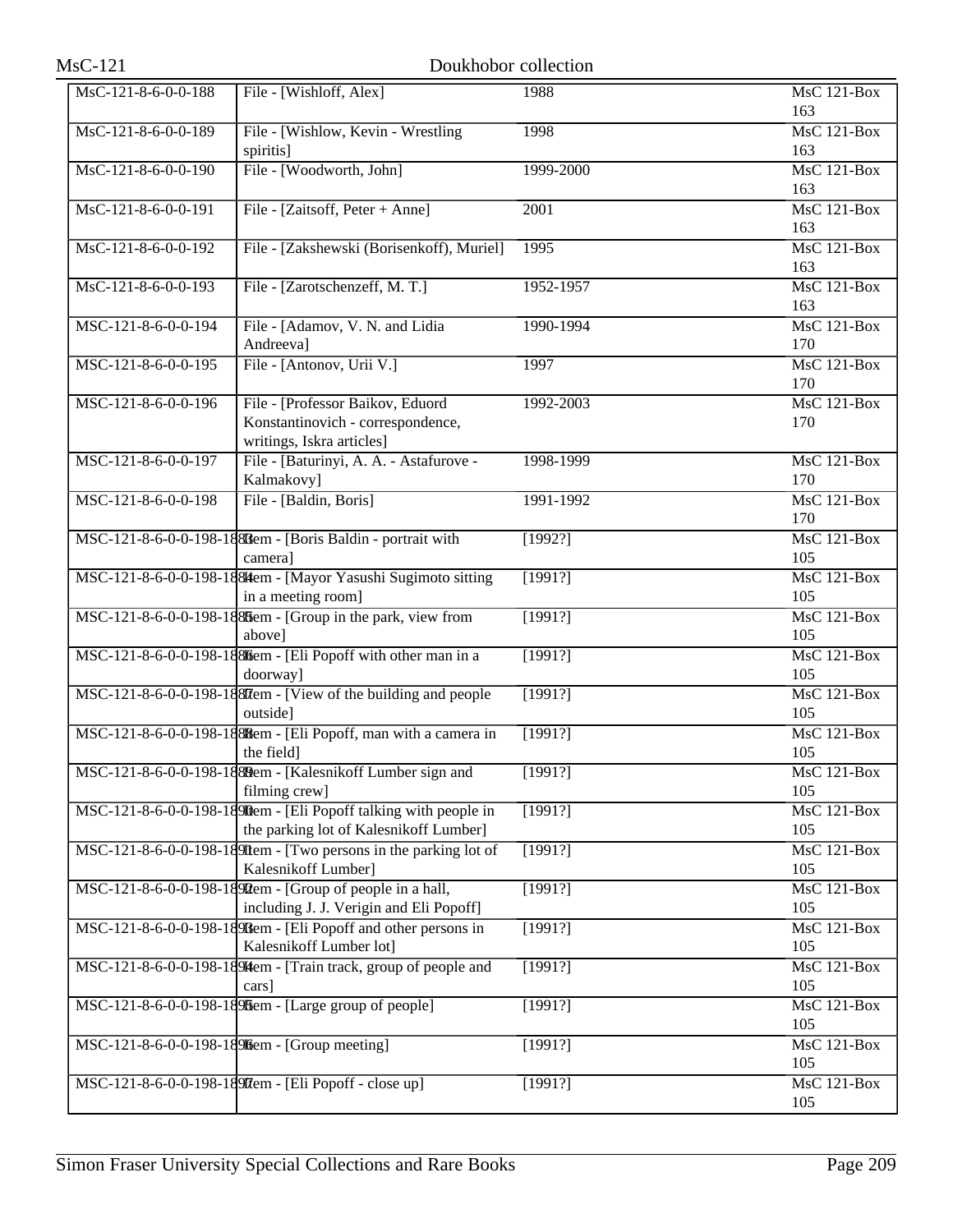| $MsC-121$           |                                                                                                           | Doukhobor collection |                             |
|---------------------|-----------------------------------------------------------------------------------------------------------|----------------------|-----------------------------|
| MsC-121-8-6-0-0-188 | File - [Wishloff, Alex]                                                                                   | 1988                 | <b>MsC 121-Box</b>          |
| MsC-121-8-6-0-0-189 | File - [Wishlow, Kevin - Wrestling<br>spiritis]                                                           | 1998                 | 163<br>$MsC$ 121-Box<br>163 |
| MsC-121-8-6-0-0-190 | File - [Woodworth, John]                                                                                  | 1999-2000            | $MsC$ 121-Box<br>163        |
| MsC-121-8-6-0-0-191 | File - [Zaitsoff, Peter + Anne]                                                                           | 2001                 | <b>MsC 121-Box</b>          |
| MsC-121-8-6-0-0-192 | File - [Zakshewski (Borisenkoff), Muriel]                                                                 | 1995                 | 163<br>MsC 121-Box<br>163   |
| MsC-121-8-6-0-0-193 | File - [Zarotschenzeff, M. T.]                                                                            | 1952-1957            | $MsC$ 121-Box<br>163        |
| MSC-121-8-6-0-0-194 | File - [Adamov, V. N. and Lidia<br>Andreeva]                                                              | 1990-1994            | <b>MsC 121-Box</b><br>170   |
| MSC-121-8-6-0-0-195 | File - [Antonov, Urii V.]                                                                                 | 1997                 | <b>MsC 121-Box</b><br>170   |
| MSC-121-8-6-0-0-196 | File - [Professor Baikov, Eduord<br>Konstantinovich - correspondence,<br>writings, Iskra articles]        | 1992-2003            | $MsC$ 121-Box<br>170        |
| MSC-121-8-6-0-0-197 | File - [Baturinyi, A. A. - Astafurove -<br>Kalmakovy]                                                     | 1998-1999            | <b>MsC 121-Box</b><br>170   |
| MSC-121-8-6-0-0-198 | File - [Baldin, Boris]                                                                                    | 1991-1992            | <b>MsC 121-Box</b><br>170   |
|                     | MSC-121-8-6-0-0-198-1888em - [Boris Baldin - portrait with<br>camera]                                     | [1992?]              | <b>MsC 121-Box</b><br>105   |
|                     | MSC-121-8-6-0-0-198-1884 tem - [Mayor Yasushi Sugimoto sitting<br>in a meeting room]                      | [1991?]              | $MsC$ 121-Box<br>105        |
|                     | MSC-121-8-6-0-0-198-188ffem - [Group in the park, view from<br>above]                                     | [1991?]              | <b>MsC 121-Box</b><br>105   |
|                     | MSC-121-8-6-0-0-198-1886 em - [Eli Popoff with other man in a<br>doorway]                                 | [1991?]              | $MsC$ 121-Box<br>105        |
|                     | MSC-121-8-6-0-0-198-188Tem - [View of the building and people<br>outside]                                 | [1991?]              | <b>MsC 121-Box</b><br>105   |
|                     | MSC-121-8-6-0-0-198-1888em - [Eli Popoff, man with a camera in<br>the field]                              | [1991?]              | $MsC$ 121-Box<br>105        |
|                     | MSC-121-8-6-0-0-198-1880em - [Kalesnikoff Lumber sign and<br>filming crew]                                | [1991?]              | $MsC$ 121-Box<br>105        |
|                     | MSC-121-8-6-0-0-198-1890em - [Eli Popoff talking with people in<br>the parking lot of Kalesnikoff Lumber] | [1991?]              | <b>MsC 121-Box</b><br>105   |
|                     | MSC-121-8-6-0-0-198-189 Item - [Two persons in the parking lot of<br>Kalesnikoff Lumber]                  | [1991?]              | MsC 121-Box<br>105          |
|                     | MSC-121-8-6-0-0-198-1890em - [Group of people in a hall,<br>including J. J. Verigin and Eli Popoff]       | [1991?]              | MsC 121-Box<br>105          |
|                     | MSC-121-8-6-0-0-198-189Riem - [Eli Popoff and other persons in<br>Kalesnikoff Lumber lot]                 | [1991?]              | MsC 121-Box<br>105          |
|                     | MSC-121-8-6-0-0-198-1894em - [Train track, group of people and<br>cars]                                   | [1991?]              | MsC 121-Box<br>105          |
|                     | MSC-121-8-6-0-0-198-189 ffem - [Large group of people]                                                    | [1991?]              | MsC 121-Box<br>105          |
|                     | MSC-121-8-6-0-0-198-18916em - [Group meeting]                                                             | [1991?]              | <b>MsC 121-Box</b><br>105   |
|                     | MSC-121-8-6-0-0-198-189 Tem - [Eli Popoff - close up]                                                     | [1991?]              | MsC 121-Box<br>105          |
|                     |                                                                                                           |                      |                             |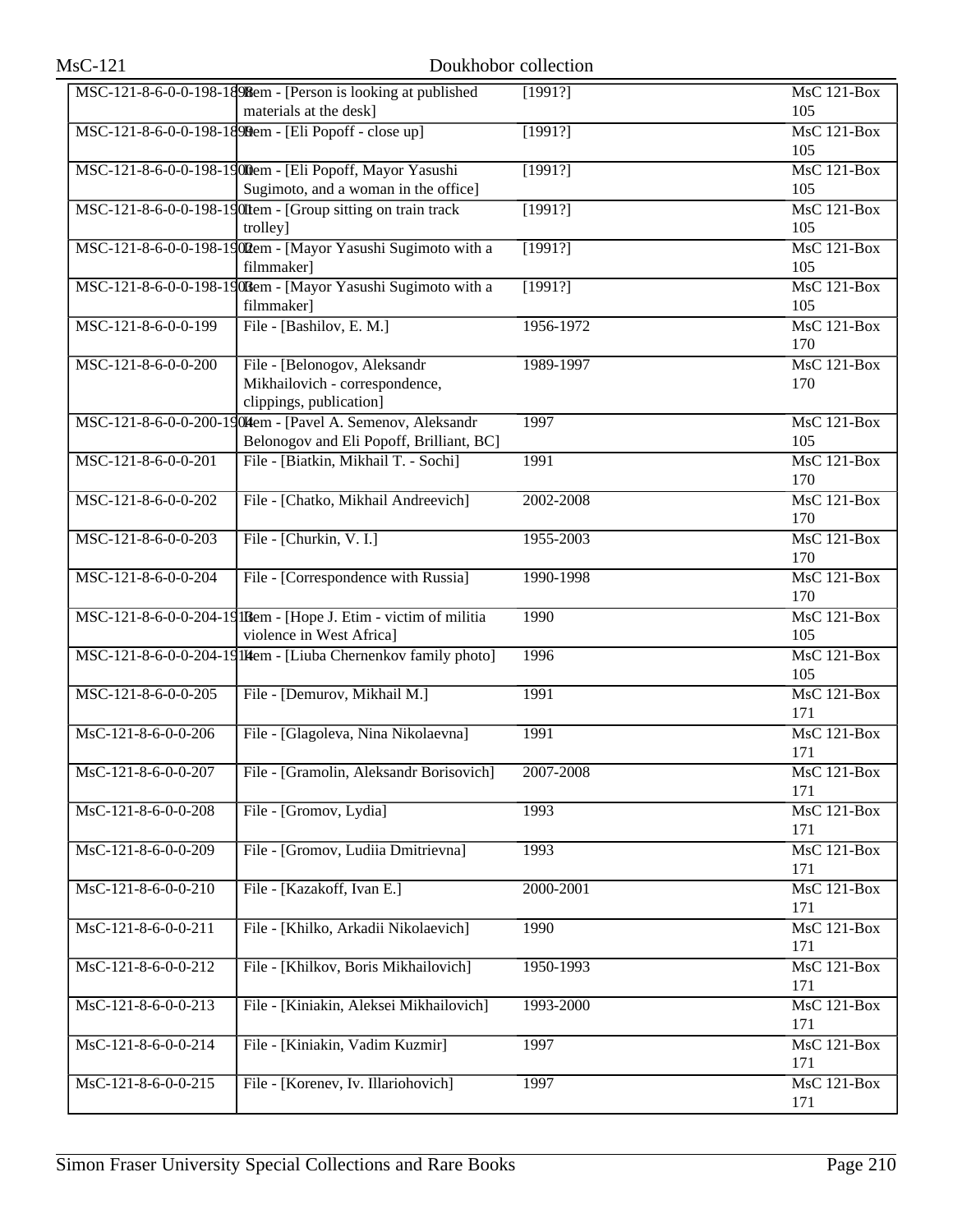| $MsC-121$             |                                                                                                         | Doukhobor collection |                           |
|-----------------------|---------------------------------------------------------------------------------------------------------|----------------------|---------------------------|
|                       | MSC-121-8-6-0-0-198-1898em - [Person is looking at published<br>materials at the desk]                  | [1991?]              | <b>MsC 121-Box</b><br>105 |
|                       | MSC-121-8-6-0-0-198-1890em - [Eli Popoff - close up]                                                    | [1991?]              | MsC 121-Box<br>105        |
|                       | MSC-121-8-6-0-0-198-1900em - [Eli Popoff, Mayor Yasushi<br>Sugimoto, and a woman in the office]         | [1991?]              | MsC 121-Box<br>105        |
|                       | MSC-121-8-6-0-0-198-190Item - [Group sitting on train track<br>trolley]                                 | [1991?]              | <b>MsC 121-Box</b><br>105 |
|                       | MSC-121-8-6-0-0-198-1902em - [Mayor Yasushi Sugimoto with a<br>filmmaker]                               | [1991?]              | MsC 121-Box<br>105        |
|                       | MSC-121-8-6-0-0-198-190Bem - [Mayor Yasushi Sugimoto with a<br>filmmaker]                               | [1991?]              | $MsC$ 121-Box<br>105      |
| MSC-121-8-6-0-0-199   | File - [Bashilov, E. M.]                                                                                | 1956-1972            | <b>MsC 121-Box</b><br>170 |
| MSC-121-8-6-0-0-200   | File - [Belonogov, Aleksandr<br>Mikhailovich - correspondence,<br>clippings, publication]               | 1989-1997            | MsC 121-Box<br>170        |
|                       | MSC-121-8-6-0-0-200-1904 tem - [Pavel A. Semenov, Aleksandr<br>Belonogov and Eli Popoff, Brilliant, BC] | 1997                 | $MsC$ 121-Box<br>105      |
| MSC-121-8-6-0-0-201   | File - [Biatkin, Mikhail T. - Sochi]                                                                    | 1991                 | MsC 121-Box<br>170        |
| MSC-121-8-6-0-0-202   | File - [Chatko, Mikhail Andreevich]                                                                     | 2002-2008            | MsC 121-Box<br>170        |
| MSC-121-8-6-0-0-203   | File - [Churkin, V. I.]                                                                                 | 1955-2003            | $MsC$ 121-Box<br>170      |
| MSC-121-8-6-0-0-204   | File - [Correspondence with Russia]                                                                     | 1990-1998            | <b>MsC 121-Box</b><br>170 |
|                       | MSC-121-8-6-0-0-204-19 IRem - [Hope J. Etim - victim of militia<br>violence in West Africa]             | 1990                 | MsC 121-Box<br>105        |
|                       | MSC-121-8-6-0-0-204-19 Illem - [Liuba Chernenkov family photo]                                          | 1996                 | $MsC$ 121-Box<br>105      |
| MSC-121-8-6-0-0-205   | File - [Demurov, Mikhail M.]                                                                            | 1991                 | <b>MsC 121-Box</b><br>171 |
| MsC-121-8-6-0-0-206   | File - [Glagoleva, Nina Nikolaevna]                                                                     | 1991                 | <b>MsC 121-Box</b><br>171 |
| MsC-121-8-6-0-0-207   | File - [Gramolin, Aleksandr Borisovich]                                                                 | 2007-2008            | MsC 121-Box<br>171        |
| MsC-121-8-6-0-0-208   | File - [Gromov, Lydia]                                                                                  | 1993                 | MsC 121-Box<br>171        |
| MsC-121-8-6-0-0-209   | File - [Gromov, Ludiia Dmitrievna]                                                                      | 1993                 | MsC 121-Box<br>171        |
| $MsC-121-8-6-0-0-210$ | File - [Kazakoff, Ivan E.]                                                                              | 2000-2001            | MsC 121-Box<br>171        |
| MsC-121-8-6-0-0-211   | File - [Khilko, Arkadii Nikolaevich]                                                                    | 1990                 | MsC 121-Box<br>171        |
| MsC-121-8-6-0-0-212   | File - [Khilkov, Boris Mikhailovich]                                                                    | 1950-1993            | MsC 121-Box<br>171        |
| MsC-121-8-6-0-0-213   | File - [Kiniakin, Aleksei Mikhailovich]                                                                 | 1993-2000            | <b>MsC 121-Box</b><br>171 |
| MsC-121-8-6-0-0-214   | File - [Kiniakin, Vadim Kuzmir]                                                                         | 1997                 | MsC 121-Box<br>171        |
| MsC-121-8-6-0-0-215   | File - [Korenev, Iv. Illariohovich]                                                                     | 1997                 | MsC 121-Box<br>171        |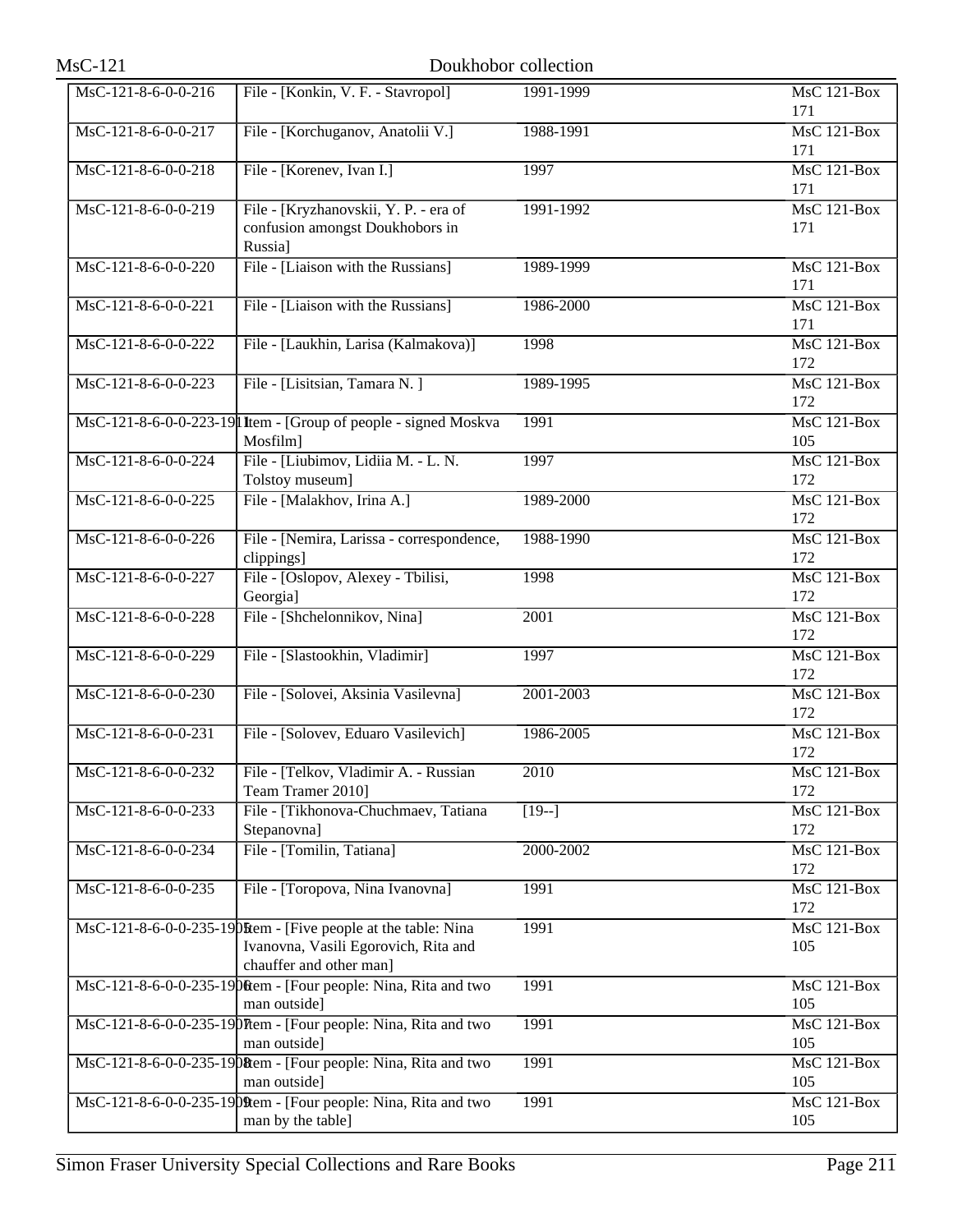| <b>MsC-121</b>                           |                                                                                                                                           | Doukhobor collection |                           |
|------------------------------------------|-------------------------------------------------------------------------------------------------------------------------------------------|----------------------|---------------------------|
| MsC-121-8-6-0-0-216                      | File - [Konkin, V. F. - Stavropol]                                                                                                        | 1991-1999            | <b>MsC 121-Box</b><br>171 |
| MsC-121-8-6-0-0-217                      | File - [Korchuganov, Anatolii V.]                                                                                                         | 1988-1991            | MsC 121-Box<br>171        |
| MsC-121-8-6-0-0-218                      | File - [Korenev, Ivan I.]                                                                                                                 | 1997                 | $MsC$ 121-Box<br>171      |
| MsC-121-8-6-0-0-219                      | File - [Kryzhanovskii, Y. P. - era of<br>confusion amongst Doukhobors in<br>Russia]                                                       | 1991-1992            | <b>MsC 121-Box</b><br>171 |
| MsC-121-8-6-0-0-220                      | File - [Liaison with the Russians]                                                                                                        | 1989-1999            | MsC 121-Box<br>171        |
| MsC-121-8-6-0-0-221                      | File - [Liaison with the Russians]                                                                                                        | 1986-2000            | $MsC$ 121-Box<br>171      |
| MsC-121-8-6-0-0-222                      | File - [Laukhin, Larisa (Kalmakova)]                                                                                                      | 1998                 | MsC 121-Box<br>172        |
| MsC-121-8-6-0-0-223                      | File - [Lisitsian, Tamara N. ]                                                                                                            | 1989-1995            | MsC 121-Box<br>172        |
|                                          | MsC-121-8-6-0-0-223-19 l Item - [Group of people - signed Moskva<br>Mosfilm]                                                              | 1991                 | MsC 121-Box<br>105        |
| MsC-121-8-6-0-0-224                      | File - [Liubimov, Lidiia M. - L. N.<br>Tolstoy museum]                                                                                    | 1997                 | <b>MsC 121-Box</b><br>172 |
| MsC-121-8-6-0-0-225                      | File - [Malakhov, Irina A.]                                                                                                               | 1989-2000            | $MsC$ 121-Box<br>172      |
| MsC-121-8-6-0-0-226                      | File - [Nemira, Larissa - correspondence,<br>clippings]                                                                                   | 1988-1990            | <b>MsC 121-Box</b><br>172 |
| MsC-121-8-6-0-0-227                      | File - [Oslopov, Alexey - Tbilisi,<br>Georgia]                                                                                            | 1998                 | <b>MsC 121-Box</b><br>172 |
| MsC-121-8-6-0-0-228                      | File - [Shchelonnikov, Nina]                                                                                                              | 2001                 | MsC 121-Box<br>172        |
| MsC-121-8-6-0-0-229                      | File - [Slastookhin, Vladimir]                                                                                                            | 1997                 | $MsC$ 121-Box<br>172      |
| $MsC-121-8-6-0-0-230$                    | File - [Solovei, Aksinia Vasilevna]                                                                                                       | 2001-2003            | <b>MsC 121-Box</b><br>172 |
| $\overline{\text{MsC-121-8-6-0-0}}$ -231 | File - [Solovev, Eduaro Vasilevich]                                                                                                       | 1986-2005            | MsC 121-Box<br>172        |
| MsC-121-8-6-0-0-232                      | File - [Telkov, Vladimir A. - Russian<br>Team Tramer 2010]                                                                                | $\overline{2010}$    | $MsC$ 121-Box<br>172      |
| MsC-121-8-6-0-0-233                      | File - [Tikhonova-Chuchmaev, Tatiana<br>Stepanovna]                                                                                       | $\sqrt{19-1}$        | <b>MsC 121-Box</b><br>172 |
| MsC-121-8-6-0-0-234                      | File - [Tomilin, Tatiana]                                                                                                                 | 2000-2002            | MsC 121-Box<br>172        |
| $MsC-121-8-6-0-0-235$                    | File - [Toropova, Nina Ivanovna]                                                                                                          | 1991                 | MsC 121-Box<br>172        |
|                                          | $\text{MsC-121-8-6-0-0-235-19}$ both - [Five people at the table: Nina<br>Ivanovna, Vasili Egorovich, Rita and<br>chauffer and other man] | 1991                 | <b>MsC 121-Box</b><br>105 |
|                                          | MsC-121-8-6-0-0-235-1900tem - [Four people: Nina, Rita and two<br>man outside]                                                            | 1991                 | MsC 121-Box<br>105        |
|                                          | MsC-121-8-6-0-0-235-190Them - [Four people: Nina, Rita and two<br>man outside]                                                            | 1991                 | MsC 121-Box<br>105        |
|                                          | MsC-121-8-6-0-0-235-1908tem - [Four people: Nina, Rita and two<br>man outside]                                                            | 1991                 | MsC 121-Box<br>105        |
|                                          | MsC-121-8-6-0-0-235-1909tem - [Four people: Nina, Rita and two<br>man by the table]                                                       | 1991                 | MsC 121-Box<br>105        |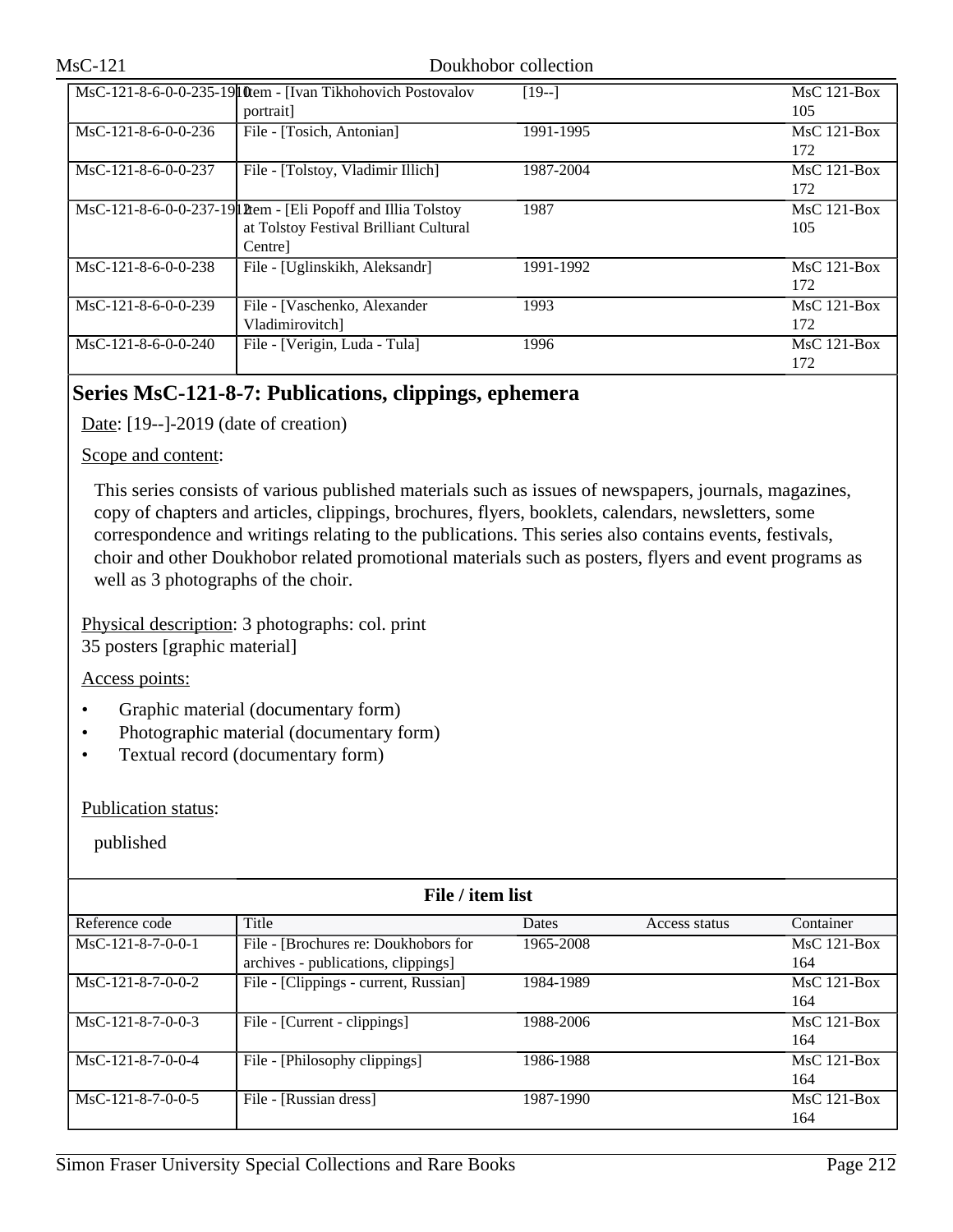|                                          | MsC-121-8-6-0-0-235-19 ltem - [Ivan Tikhohovich Postovalov     | $[19-]$   | $MsC$ 121-Box |
|------------------------------------------|----------------------------------------------------------------|-----------|---------------|
|                                          | portrait                                                       |           | 105           |
| MsC-121-8-6-0-0-236                      | File - [Tosich, Antonian]                                      | 1991-1995 | $MsC$ 121-Box |
|                                          |                                                                |           | 172           |
| $\overline{\text{Ms}}$ C-121-8-6-0-0-237 | File - [Tolstoy, Vladimir Illich]                              | 1987-2004 | $MsC$ 121-Box |
|                                          |                                                                |           | 172           |
|                                          | MsC-121-8-6-0-0-237-19 l1 Ptem - [Eli Popoff and Illia Tolstoy | 1987      | $MsC$ 121-Box |
|                                          | at Tolstoy Festival Brilliant Cultural                         |           | 105           |
|                                          | Centre]                                                        |           |               |
| $MsC-121-8-6-0-0-238$                    | File - [Uglinskikh, Aleksandr]                                 | 1991-1992 | $MsC$ 121-Box |
|                                          |                                                                |           | 172           |
| $MsC-121-8-6-0-0-239$                    | File - [Vaschenko, Alexander                                   | 1993      | $MsC$ 121-Box |
|                                          | Vladimirovitch]                                                |           | 172           |
| $MsC-121-8-6-0-0-240$                    | File - [Verigin, Luda - Tula]                                  | 1996      | $MsC$ 121-Box |
|                                          |                                                                |           | 172           |

## **Series MsC-121-8-7: Publications, clippings, ephemera**

Date: [19--]-2019 (date of creation)

## Scope and content:

This series consists of various published materials such as issues of newspapers, journals, magazines, copy of chapters and articles, clippings, brochures, flyers, booklets, calendars, newsletters, some correspondence and writings relating to the publications. This series also contains events, festivals, choir and other Doukhobor related promotional materials such as posters, flyers and event programs as well as 3 photographs of the choir.

Physical description: 3 photographs: col. print 35 posters [graphic material]

## Access points:

- Graphic material (documentary form)
- Photographic material (documentary form)
- Textual record (documentary form)

## Publication status:

| File / item list    |                                       |           |               |               |  |
|---------------------|---------------------------------------|-----------|---------------|---------------|--|
| Reference code      | Title                                 | Dates     | Access status | Container     |  |
| $MsC-121-8-7-0-0-1$ | File - [Brochures re: Doukhobors for  | 1965-2008 |               | $MsC$ 121-Box |  |
|                     | archives - publications, clippings]   |           |               | 164           |  |
| $MsC-121-8-7-0-0-2$ | File - [Clippings - current, Russian] | 1984-1989 |               | $MsC$ 121-Box |  |
|                     |                                       |           |               | 164           |  |
| $MsC-121-8-7-0-0-3$ | File - [Current - clippings]          | 1988-2006 |               | $MsC$ 121-Box |  |
|                     |                                       |           |               | 164           |  |
| $MsC-121-8-7-0-0-4$ | File - [Philosophy clippings]         | 1986-1988 |               | MsC 121-Box   |  |
|                     |                                       |           |               | 164           |  |
| $MsC-121-8-7-0-0-5$ | File - [Russian dress]                | 1987-1990 |               | $MsC$ 121-Box |  |
|                     |                                       |           |               | 164           |  |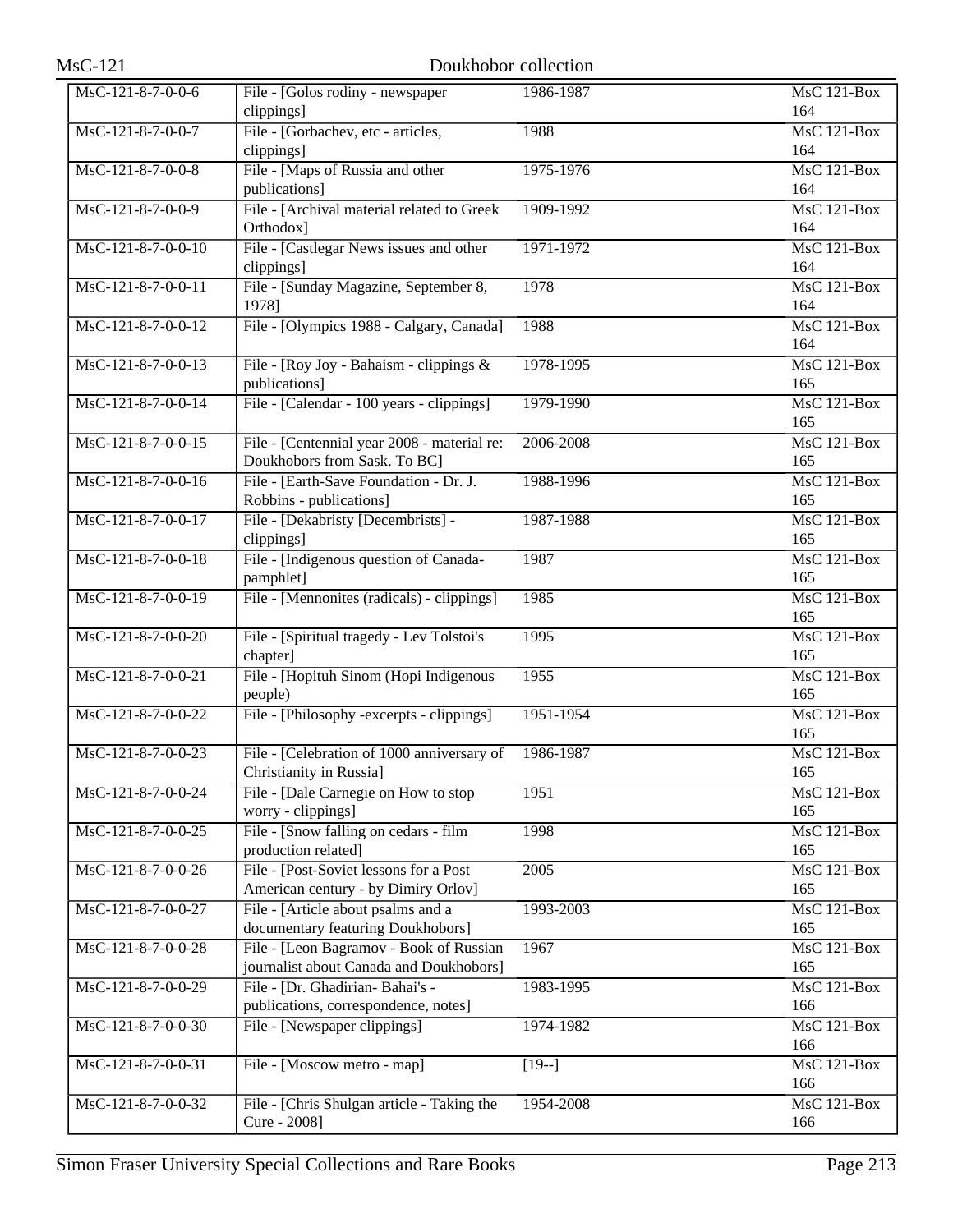| $MsC-121$            | Doukhobor collection                                                               |                   |                           |
|----------------------|------------------------------------------------------------------------------------|-------------------|---------------------------|
| MsC-121-8-7-0-0-6    | File - [Golos rodiny - newspaper<br>clippings]                                     | 1986-1987         | $MsC$ 121-Box<br>164      |
| MsC-121-8-7-0-0-7    | File - [Gorbachev, etc - articles,<br>clippings]                                   | 1988              | MsC 121-Box<br>164        |
| MsC-121-8-7-0-0-8    | File - [Maps of Russia and other<br>publications]                                  | 1975-1976         | <b>MsC 121-Box</b><br>164 |
| MsC-121-8-7-0-0-9    | File - [Archival material related to Greek]<br>Orthodox]                           | 1909-1992         | <b>MsC 121-Box</b><br>164 |
| $MsC-121-8-7-0-0-10$ | File - [Castlegar News issues and other<br>clippings]                              | 1971-1972         | MsC 121-Box<br>164        |
| MsC-121-8-7-0-0-11   | File - [Sunday Magazine, September 8,<br>1978]                                     | 1978              | $MsC$ 121-Box<br>164      |
| MsC-121-8-7-0-0-12   | File - [Olympics 1988 - Calgary, Canada]                                           | 1988              | <b>MsC 121-Box</b><br>164 |
| $MsC-121-8-7-0-0-13$ | File - [Roy Joy - Bahaism - clippings $\&$<br>publications]                        | 1978-1995         | <b>MsC 121-Box</b><br>165 |
| MsC-121-8-7-0-0-14   | File - [Calendar - 100 years - clippings]                                          | 1979-1990         | <b>MsC 121-Box</b><br>165 |
| MsC-121-8-7-0-0-15   | File - [Centennial year 2008 - material re:<br>Doukhobors from Sask. To BC]        | 2006-2008         | $MsC$ 121-Box<br>165      |
| $MsC-121-8-7-0-0-16$ | File - [Earth-Save Foundation - Dr. J.<br>Robbins - publications]                  | 1988-1996         | MsC 121-Box<br>165        |
| MsC-121-8-7-0-0-17   | File - [Dekabristy [Decembrists] -<br>clippings]                                   | 1987-1988         | $MsC$ 121-Box<br>165      |
| MsC-121-8-7-0-0-18   | File - [Indigenous question of Canada-<br>pamphlet]                                | 1987              | $MsC$ 121-Box<br>165      |
| MsC-121-8-7-0-0-19   | File - [Mennonites (radicals) - clippings]                                         | 1985              | MsC 121-Box<br>165        |
| MsC-121-8-7-0-0-20   | File - [Spiritual tragedy - Lev Tolstoi's<br>chapter]                              | 1995              | <b>MsC 121-Box</b><br>165 |
| MsC-121-8-7-0-0-21   | File - [Hopituh Sinom (Hopi Indigenous<br>people)                                  | 1955              | MsC 121-Box<br>165        |
| $MsC-121-8-7-0-0-22$ | File - [Philosophy -excerpts - clippings]                                          | 1951-1954         | MsC 121-Box<br>165        |
| MsC-121-8-7-0-0-23   | File - [Celebration of 1000 anniversary of<br>Christianity in Russia]              | 1986-1987         | MsC 121-Box<br>165        |
| MsC-121-8-7-0-0-24   | File - [Dale Carnegie on How to stop<br>worry - clippings]                         | 1951              | $MsC$ 121-Box<br>165      |
| MsC-121-8-7-0-0-25   | File - [Snow falling on cedars - film<br>production related]                       | 1998              | $MsC$ 121-Box<br>165      |
| MsC-121-8-7-0-0-26   | File - [Post-Soviet lessons for a Post]<br>American century - by Dimiry Orlov]     | $\overline{2005}$ | MsC 121-Box<br>165        |
| MsC-121-8-7-0-0-27   | File - [Article about psalms and a<br>documentary featuring Doukhobors]            | 1993-2003         | MsC 121-Box<br>165        |
| MsC-121-8-7-0-0-28   | File - [Leon Bagramov - Book of Russian<br>journalist about Canada and Doukhobors] | 1967              | MsC 121-Box<br>165        |
| MsC-121-8-7-0-0-29   | File - [Dr. Ghadirian- Bahai's -<br>publications, correspondence, notes]           | 1983-1995         | MsC 121-Box<br>166        |
| MsC-121-8-7-0-0-30   | File - [Newspaper clippings]                                                       | 1974-1982         | <b>MsC 121-Box</b><br>166 |
| MsC-121-8-7-0-0-31   | File - [Moscow metro - map]                                                        | $[19-]$           | MsC 121-Box<br>166        |
| MsC-121-8-7-0-0-32   | File - [Chris Shulgan article - Taking the<br>Cure - 2008]                         | 1954-2008         | MsC 121-Box<br>166        |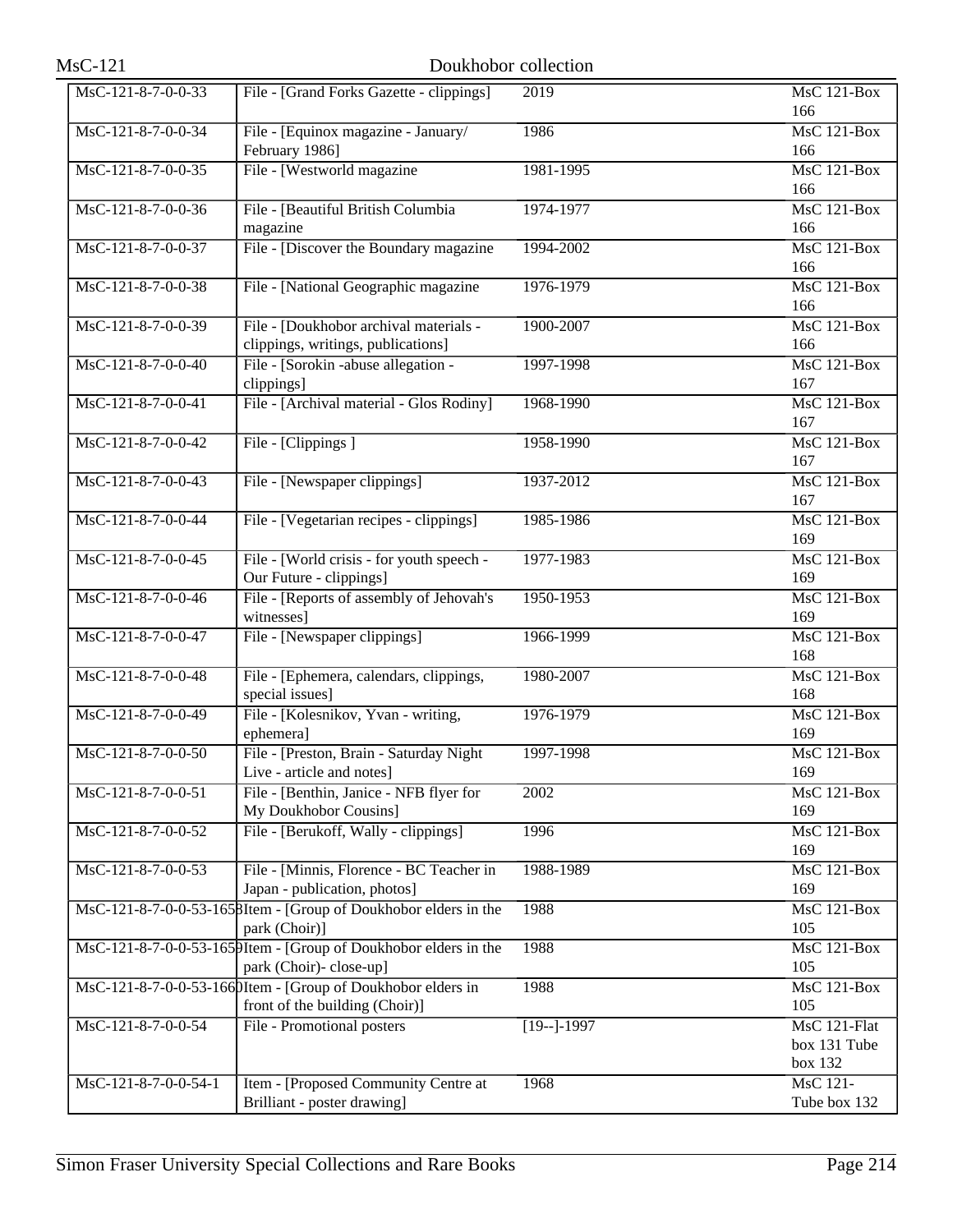| $MsC-121$                              |                                                                                                | Doukhobor collection |                                         |
|----------------------------------------|------------------------------------------------------------------------------------------------|----------------------|-----------------------------------------|
| MsC-121-8-7-0-0-33                     | File - [Grand Forks Gazette - clippings]                                                       | 2019                 | $MsC$ 121-Box<br>166                    |
| MsC-121-8-7-0-0-34                     | File - [Equinox magazine - January/<br>February 1986]                                          | 1986                 | MsC 121-Box<br>166                      |
| MsC-121-8-7-0-0-35                     | File - [Westworld magazine                                                                     | 1981-1995            | <b>MsC 121-Box</b><br>166               |
| MsC-121-8-7-0-0-36                     | File - [Beautiful British Columbia<br>magazine                                                 | 1974-1977            | <b>MsC 121-Box</b><br>166               |
| MsC-121-8-7-0-0-37                     | File - [Discover the Boundary magazine                                                         | 1994-2002            | <b>MsC 121-Box</b><br>166               |
| MsC-121-8-7-0-0-38                     | File - [National Geographic magazine                                                           | 1976-1979            | $MsC$ 121-Box<br>166                    |
| MsC-121-8-7-0-0-39                     | File - [Doukhobor archival materials -<br>clippings, writings, publications]                   | 1900-2007            | <b>MsC 121-Box</b><br>166               |
| $\overline{\text{MsC-121-8-7-0-0-40}}$ | File - [Sorokin -abuse allegation -<br>clippings]                                              | 1997-1998            | MsC 121-Box<br>167                      |
| MsC-121-8-7-0-0-41                     | File - [Archival material - Glos Rodiny]                                                       | 1968-1990            | <b>MsC 121-Box</b><br>167               |
| MsC-121-8-7-0-0-42                     | File - [Clippings]                                                                             | 1958-1990            | <b>MsC 121-Box</b><br>167               |
| $MsC-121-8-7-0-0-43$                   | File - [Newspaper clippings]                                                                   | 1937-2012            | $MsC$ 121-Box<br>167                    |
| MsC-121-8-7-0-0-44                     | File - [Vegetarian recipes - clippings]                                                        | 1985-1986            | $MsC$ 121-Box<br>169                    |
| MsC-121-8-7-0-0-45                     | File - [World crisis - for youth speech -<br>Our Future - clippings]                           | 1977-1983            | <b>MsC 121-Box</b><br>169               |
| MsC-121-8-7-0-0-46                     | File - [Reports of assembly of Jehovah's<br>witnesses]                                         | 1950-1953            | MsC 121-Box<br>169                      |
| MsC-121-8-7-0-0-47                     | File - [Newspaper clippings]                                                                   | 1966-1999            | <b>MsC 121-Box</b><br>168               |
| MsC-121-8-7-0-0-48                     | File - [Ephemera, calendars, clippings,<br>special issues]                                     | 1980-2007            | <b>MsC 121-Box</b><br>168               |
| MsC-121-8-7-0-0-49                     | File - [Kolesnikov, Yvan - writing,<br>ephemera]                                               | 1976-1979            | MsC 121-Box<br>169                      |
| MsC-121-8-7-0-0-50                     | File - [Preston, Brain - Saturday Night<br>Live - article and notes]                           | 1997-1998            | MsC 121-Box<br>169                      |
| MsC-121-8-7-0-0-51                     | File - [Benthin, Janice - NFB flyer for<br>My Doukhobor Cousins]                               | 2002                 | <b>MsC 121-Box</b><br>169               |
| MsC-121-8-7-0-0-52                     | File - [Berukoff, Wally - clippings]                                                           | 1996                 | <b>MsC 121-Box</b><br>169               |
| MsC-121-8-7-0-0-53                     | File - [Minnis, Florence - BC Teacher in<br>Japan - publication, photos]                       | 1988-1989            | MsC 121-Box<br>169                      |
|                                        | MsC-121-8-7-0-0-53-1658Item - [Group of Doukhobor elders in the<br>park (Choir)]               | 1988                 | <b>MsC 121-Box</b><br>105               |
|                                        | MsC-121-8-7-0-0-53-1659Item - [Group of Doukhobor elders in the<br>park (Choir)-close-up]      | 1988                 | MsC 121-Box<br>105                      |
|                                        | MsC-121-8-7-0-0-53-166 DItem - [Group of Doukhobor elders in<br>front of the building (Choir)] | 1988                 | <b>MsC 121-Box</b><br>105               |
| MsC-121-8-7-0-0-54                     | File - Promotional posters                                                                     | $[19-]-1997$         | MsC 121-Flat<br>box 131 Tube<br>box 132 |
| MsC-121-8-7-0-0-54-1                   | Item - [Proposed Community Centre at<br>Brilliant - poster drawing]                            | 1968                 | MsC 121-<br>Tube box 132                |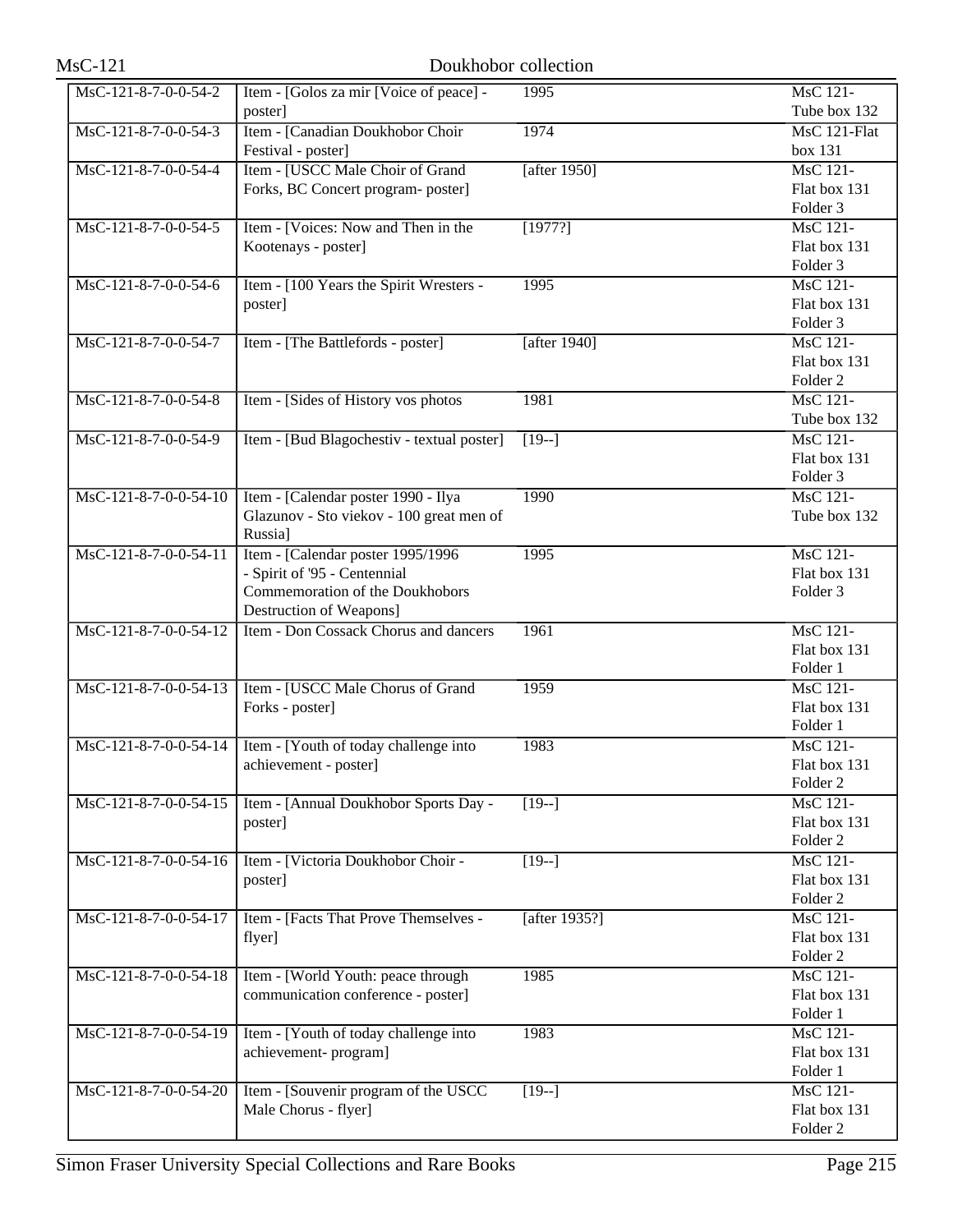| $MsC-121$               | Doukhobor collection                                                            |                 |                                 |
|-------------------------|---------------------------------------------------------------------------------|-----------------|---------------------------------|
| MsC-121-8-7-0-0-54-2    | Item - [Golos za mir [Voice of peace] -                                         | 1995            | <b>MsC 121-</b>                 |
|                         | poster]                                                                         |                 | Tube box 132                    |
| MsC-121-8-7-0-0-54-3    | Item - [Canadian Doukhobor Choir                                                | 1974            | MsC 121-Flat                    |
|                         | Festival - poster]                                                              |                 | box 131                         |
| MsC-121-8-7-0-0-54-4    | Item - [USCC Male Choir of Grand                                                | [after $1950$ ] | <b>MsC</b> 121-                 |
|                         | Forks, BC Concert program- poster]                                              |                 | Flat box 131                    |
|                         |                                                                                 |                 | Folder 3                        |
| MsC-121-8-7-0-0-54-5    | Item - [Voices: Now and Then in the                                             | [1977?]         | MsC 121-                        |
|                         | Kootenays - poster]                                                             |                 | Flat box 131                    |
|                         |                                                                                 |                 | Folder <sub>3</sub>             |
| MsC-121-8-7-0-0-54-6    | Item - [100 Years the Spirit Wresters -                                         | 1995            | <b>MsC 121-</b>                 |
|                         | poster]                                                                         |                 | Flat box 131                    |
|                         |                                                                                 |                 | Folder <sub>3</sub>             |
| MsC-121-8-7-0-0-54-7    | Item - [The Battlefords - poster]                                               | [after $1940$ ] | <b>MsC 121-</b>                 |
|                         |                                                                                 |                 | Flat box 131                    |
|                         |                                                                                 |                 | Folder <sub>2</sub>             |
| MsC-121-8-7-0-0-54-8    | Item - [Sides of History vos photos                                             | 1981            | <b>MsC</b> 121-                 |
|                         |                                                                                 |                 | Tube box 132<br><b>MsC 121-</b> |
| MsC-121-8-7-0-0-54-9    | Item - [Bud Blagochestiv - textual poster]                                      | $[19-]$         | Flat box 131                    |
|                         |                                                                                 |                 | Folder <sub>3</sub>             |
| MsC-121-8-7-0-0-54-10   | Item - [Calendar poster 1990 - Ilya                                             | 1990            | <b>MsC</b> 121-                 |
|                         | Glazunov - Sto viekov - 100 great men of                                        |                 | Tube box 132                    |
|                         | Russia]                                                                         |                 |                                 |
| MsC-121-8-7-0-0-54-11   | Item - [Calendar poster 1995/1996                                               | 1995            | <b>MsC</b> 121-                 |
|                         | - Spirit of '95 - Centennial                                                    |                 | Flat box 131                    |
|                         | Commemoration of the Doukhobors                                                 |                 | Folder <sub>3</sub>             |
|                         | Destruction of Weapons]                                                         |                 |                                 |
| $MsC-121-8-7-0-0-54-12$ | Item - Don Cossack Chorus and dancers                                           | 1961            | <b>MsC 121-</b>                 |
|                         |                                                                                 |                 | Flat box 131                    |
|                         |                                                                                 |                 | Folder 1                        |
| MsC-121-8-7-0-0-54-13   | Item - [USCC Male Chorus of Grand                                               | 1959            | <b>MsC 121-</b>                 |
|                         | Forks - poster]                                                                 |                 | Flat box 131                    |
|                         |                                                                                 |                 | Folder 1                        |
|                         | $\overline{\text{MsC-121-8-7-0-0-54-14}}$ Item - [Youth of today challenge into | 1983            | MsC 121-                        |
|                         | achievement - poster]                                                           |                 | Flat box 131                    |
|                         |                                                                                 |                 | Folder <sub>2</sub>             |
| $MsC-121-8-7-0-0-54-15$ | Item - [Annual Doukhobor Sports Day -                                           | $\sqrt{19-1}$   | <b>MsC</b> 121-                 |
|                         | poster]                                                                         |                 | Flat box 131                    |
|                         |                                                                                 |                 | Folder <sub>2</sub>             |
| MsC-121-8-7-0-0-54-16   | Item - [Victoria Doukhobor Choir -                                              | $[19-]$         | MsC 121-<br>Flat box 131        |
|                         | poster]                                                                         |                 | Folder <sub>2</sub>             |
| MsC-121-8-7-0-0-54-17   | Item - [Facts That Prove Themselves -                                           | [after 1935?]   | <b>MsC 121-</b>                 |
|                         | flyer]                                                                          |                 | Flat box 131                    |
|                         |                                                                                 |                 | Folder <sub>2</sub>             |
| MsC-121-8-7-0-0-54-18   | Item - [World Youth: peace through                                              | 1985            | <b>MsC 121-</b>                 |
|                         | communication conference - poster]                                              |                 | Flat box 131                    |
|                         |                                                                                 |                 | Folder 1                        |
| MsC-121-8-7-0-0-54-19   | Item - [Youth of today challenge into                                           | 1983            | <b>MsC</b> 121-                 |
|                         | achievement-program]                                                            |                 | Flat box 131                    |
|                         |                                                                                 |                 | Folder 1                        |
| MsC-121-8-7-0-0-54-20   | Item - [Souvenir program of the USCC]                                           | $[19-]$         | MsC 121-                        |
|                         | Male Chorus - flyer]                                                            |                 | Flat box 131                    |
|                         |                                                                                 |                 | Folder <sub>2</sub>             |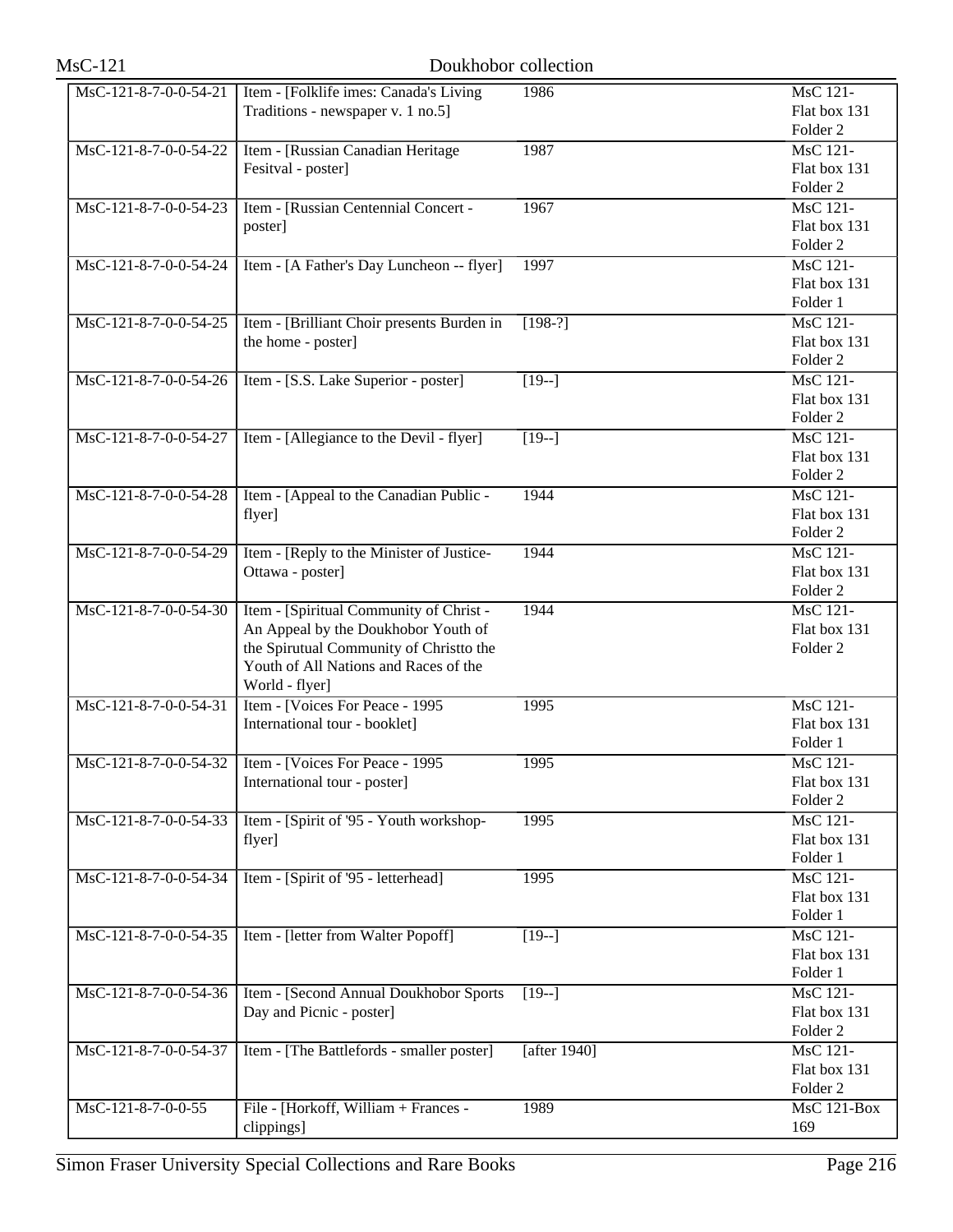| $MsC-121$                                                                   | Doukhobor collection                                                                                                                                                                 |                 |                                                        |
|-----------------------------------------------------------------------------|--------------------------------------------------------------------------------------------------------------------------------------------------------------------------------------|-----------------|--------------------------------------------------------|
| MsC-121-8-7-0-0-54-21                                                       | Item - [Folklife imes: Canada's Living<br>Traditions - newspaper v. 1 no.5]                                                                                                          | 1986            | <b>MsC 121-</b><br>Flat box 131<br>Folder <sub>2</sub> |
| MsC-121-8-7-0-0-54-22                                                       | Item - [Russian Canadian Heritage]<br>Fesitval - poster]                                                                                                                             | 1987            | <b>MsC 121-</b><br>Flat box 131<br>Folder <sub>2</sub> |
| MsC-121-8-7-0-0-54-23                                                       | Item - [Russian Centennial Concert -<br>poster]                                                                                                                                      | 1967            | <b>MsC</b> 121-<br>Flat box 131<br>Folder <sub>2</sub> |
| MsC-121-8-7-0-0-54-24                                                       | Item - [A Father's Day Luncheon -- flyer]                                                                                                                                            | 1997            | <b>MsC</b> 121-<br>Flat box 131<br>Folder 1            |
| MsC-121-8-7-0-0-54-25                                                       | Item - [Brilliant Choir presents Burden in<br>the home - poster]                                                                                                                     | $[198-?]$       | MsC 121-<br>Flat box 131<br>Folder <sub>2</sub>        |
| MsC-121-8-7-0-0-54-26                                                       | Item - [S.S. Lake Superior - poster]                                                                                                                                                 | $[19-]$         | <b>MsC 121-</b><br>Flat box 131<br>Folder <sub>2</sub> |
| MsC-121-8-7-0-0-54-27                                                       | Item - [Allegiance to the Devil - flyer]                                                                                                                                             | $[19-]$         | <b>MsC</b> 121-<br>Flat box 131<br>Folder <sub>2</sub> |
| MsC-121-8-7-0-0-54-28                                                       | Item - [Appeal to the Canadian Public -<br>flyer]                                                                                                                                    | 1944            | <b>MsC 121-</b><br>Flat box 131<br>Folder <sub>2</sub> |
| MsC-121-8-7-0-0-54-29                                                       | Item - [Reply to the Minister of Justice-<br>Ottawa - poster]                                                                                                                        | 1944            | <b>MsC 121-</b><br>Flat box 131<br>Folder <sub>2</sub> |
| MsC-121-8-7-0-0-54-30                                                       | Item - [Spiritual Community of Christ -<br>An Appeal by the Doukhobor Youth of<br>the Spirutual Community of Christto the<br>Youth of All Nations and Races of the<br>World - flyer] | 1944            | <b>MsC</b> 121-<br>Flat box 131<br>Folder <sub>2</sub> |
| MsC-121-8-7-0-0-54-31                                                       | Item - [Voices For Peace - 1995]<br>International tour - booklet]                                                                                                                    | 1995            | <b>MsC 121-</b><br>Flat box 131<br>Folder 1            |
| MsC-121-8-7-0-0-54-32                                                       | Item - [Voices For Peace - 1995]<br>International tour - poster]                                                                                                                     | 1995            | MsC 121-<br>Flat box 131<br>Folder <sub>2</sub>        |
| MsC-121-8-7-0-0-54-33                                                       | Item - [Spirit of '95 - Youth workshop-<br>flyer]                                                                                                                                    | 1995            | MsC 121-<br>Flat box 131<br>Folder 1                   |
| MsC-121-8-7-0-0-54-34                                                       | Item - [Spirit of '95 - letterhead]                                                                                                                                                  | 1995            | MsC 121-<br>Flat box 131<br>Folder 1                   |
| $MsC - \frac{121 - 8 - 7 - 0 - 0 - 54 - 35}{121 - 8 - 7 - 0 - 0 - 54 - 35}$ | Item - [letter from Walter Popoff]                                                                                                                                                   | $[19-]$         | <b>MsC</b> 121-<br>Flat box 131<br>Folder 1            |
| MsC-121-8-7-0-0-54-36                                                       | Item - [Second Annual Doukhobor Sports<br>Day and Picnic - poster]                                                                                                                   | $[19-]$         | MsC 121-<br>Flat box 131<br>Folder <sub>2</sub>        |
| MsC-121-8-7-0-0-54-37                                                       | Item - [The Battlefords - smaller poster]                                                                                                                                            | [after $1940$ ] | <b>MsC</b> 121-<br>Flat box 131<br>Folder <sub>2</sub> |
| MsC-121-8-7-0-0-55                                                          | File - [Horkoff, William + Frances -<br>clippings]                                                                                                                                   | 1989            | $MsC$ 121-Box<br>169                                   |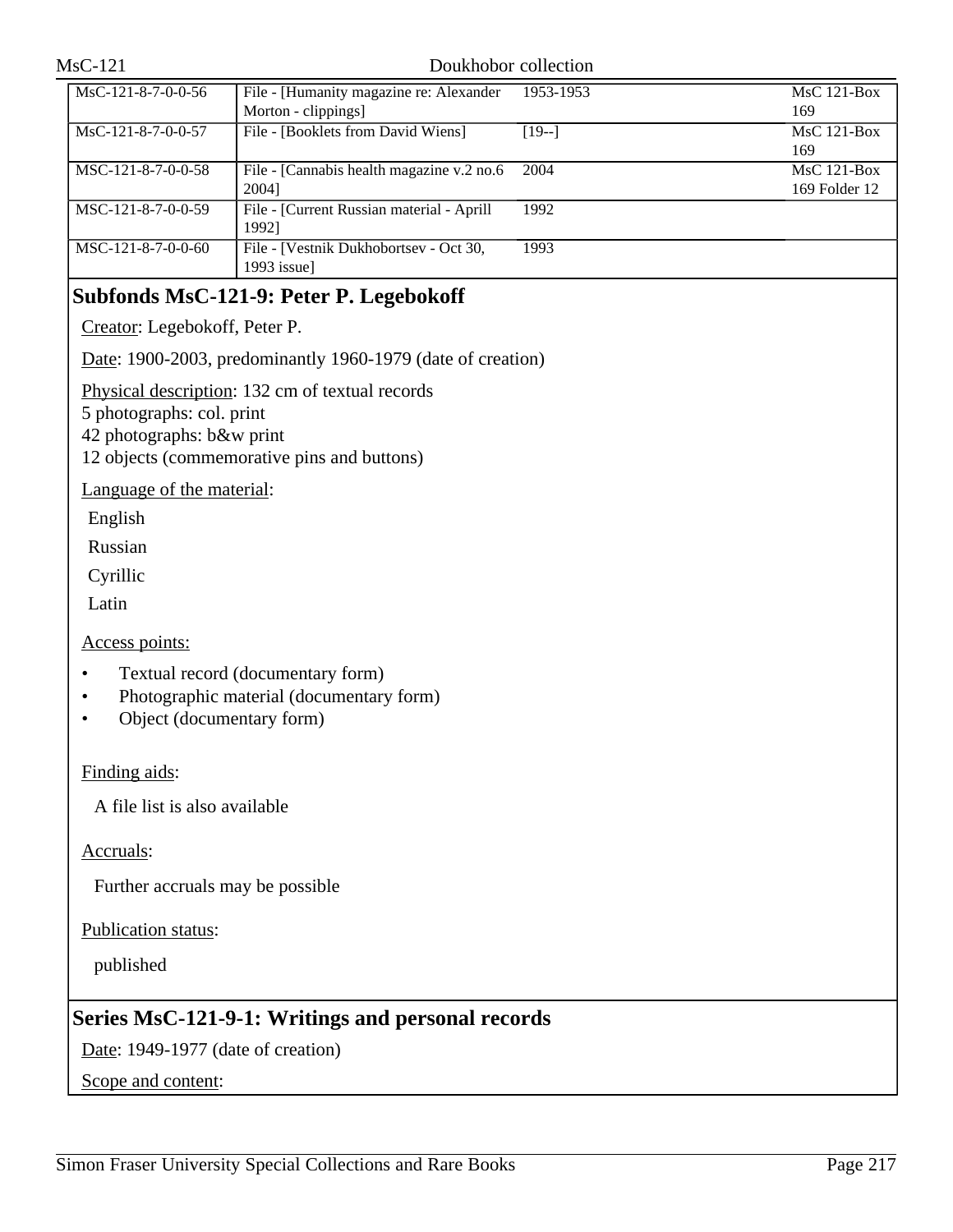| $MsC-121$ |
|-----------|
|-----------|

#### Doukhobor collection

| File - [Humanity magazine re: Alexander    | 1953-1953 | $MsC$ 121-Box |
|--------------------------------------------|-----------|---------------|
| Morton - clippings]                        |           | 169           |
| File - [Booklets from David Wiens]         | $[19-]$   | $MsC$ 121-Box |
|                                            |           | 169           |
| File - [Cannabis health magazine v.2 no.6] | 2004      | $MsC$ 121-Box |
| 2004]                                      |           | 169 Folder 12 |
| File - [Current Russian material - Aprill  | 1992      |               |
| 19921                                      |           |               |
| File - [Vestnik Dukhobortsev - Oct 30,     | 1993      |               |
| $1993$ issue]                              |           |               |
|                                            |           |               |

# **Subfonds MsC-121-9: Peter P. Legebokoff**

Creator: Legebokoff, Peter P.

Date: 1900-2003, predominantly 1960-1979 (date of creation)

Physical description: 132 cm of textual records

5 photographs: col. print

42 photographs: b&w print

12 objects (commemorative pins and buttons)

Language of the material:

English

Russian

Cyrillic

Latin

Access points:

- Textual record (documentary form)
- Photographic material (documentary form)
- Object (documentary form)

### Finding aids:

A file list is also available

Accruals:

Further accruals may be possible

Publication status:

published

## **Series MsC-121-9-1: Writings and personal records**

Date: 1949-1977 (date of creation)

Scope and content: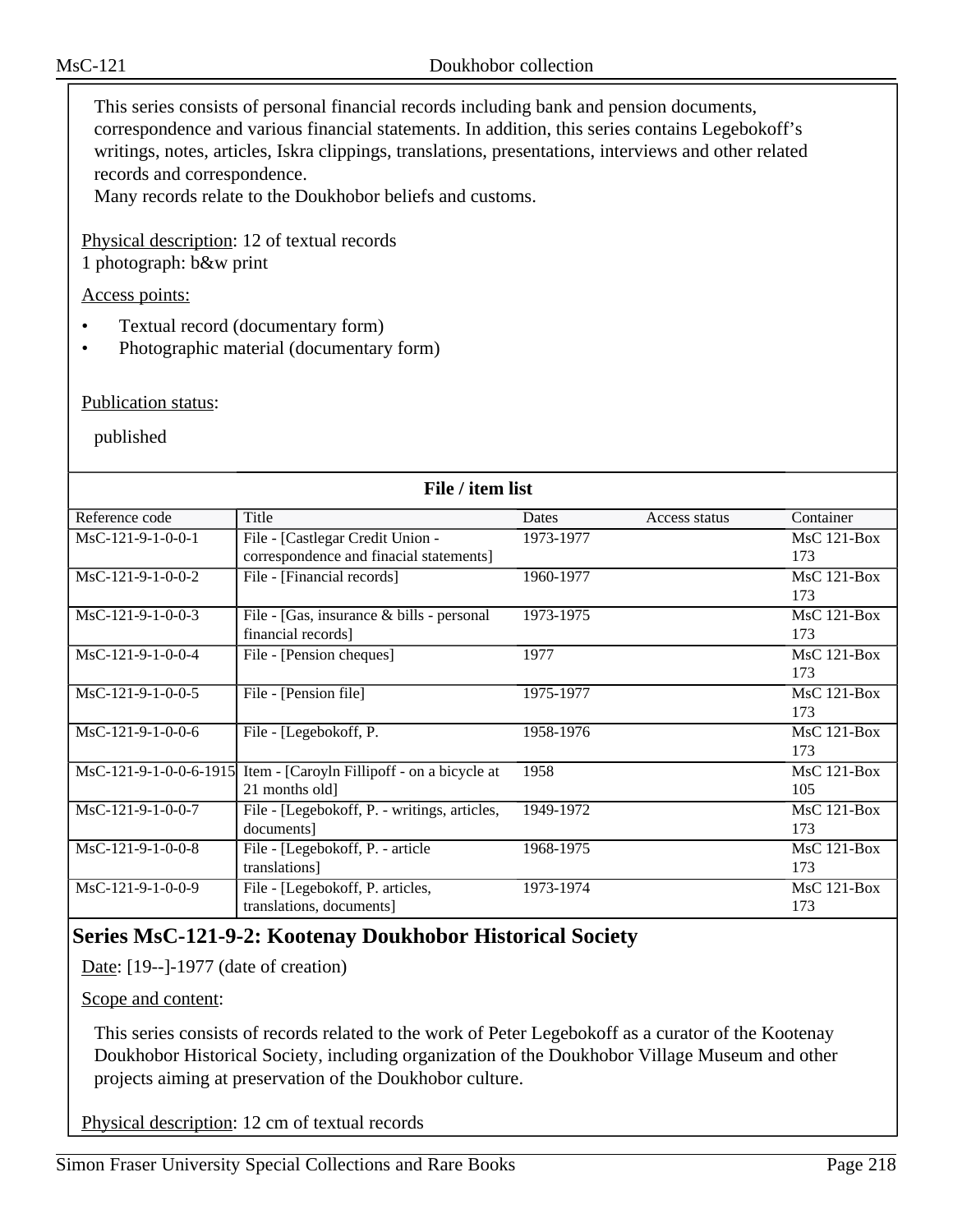This series consists of personal financial records including bank and pension documents, correspondence and various financial statements. In addition, this series contains Legebokoff's writings, notes, articles, Iskra clippings, translations, presentations, interviews and other related records and correspondence.

Many records relate to the Doukhobor beliefs and customs.

Physical description: 12 of textual records

1 photograph: b&w print

Access points:

- Textual record (documentary form)
- Photographic material (documentary form)

Publication status:

published

| File / item list    |                                                                    |           |               |                    |
|---------------------|--------------------------------------------------------------------|-----------|---------------|--------------------|
| Reference code      | Title                                                              | Dates     | Access status | Container          |
| $MsC-121-9-1-0-0-1$ | File - [Castlegar Credit Union -                                   | 1973-1977 |               | $MsC$ 121-Box      |
|                     | correspondence and finacial statements]                            |           |               | 173                |
| $MsC-121-9-1-0-0-2$ | File - [Financial records]                                         | 1960-1977 |               | $MsC$ 121-Box      |
|                     |                                                                    |           |               | 173                |
| $MsC-121-9-1-0-0-3$ | File - [Gas, insurance & bills - personal                          | 1973-1975 |               | $MsC$ 121-Box      |
|                     | financial records]                                                 |           |               | 173                |
| MsC-121-9-1-0-0-4   | File - [Pension cheques]                                           | 1977      |               | $MsC$ 121-Box      |
|                     |                                                                    |           |               | 173                |
| MsC-121-9-1-0-0-5   | File - [Pension file]                                              | 1975-1977 |               | MsC 121-Box        |
|                     |                                                                    |           |               | 173                |
| $MsC-121-9-1-0-0-6$ | File - [Legebokoff, P.                                             | 1958-1976 |               | $MsC$ 121-Box      |
|                     |                                                                    |           |               | 173                |
|                     | MsC-121-9-1-0-0-6-1915 Item - [Caroyln Fillipoff - on a bicycle at | 1958      |               | <b>MsC 121-Box</b> |
|                     | 21 months old]                                                     |           |               | 105                |
| $MsC-121-9-1-0-0-7$ | File - [Legebokoff, P. - writings, articles,                       | 1949-1972 |               | $MsC$ 121-Box      |
|                     | documents]                                                         |           |               | 173                |
| MsC-121-9-1-0-0-8   | File - [Legebokoff, P. - article                                   | 1968-1975 |               | MsC 121-Box        |
|                     | translations]                                                      |           |               | 173                |
| MsC-121-9-1-0-0-9   | File - [Legebokoff, P. articles,                                   | 1973-1974 |               | $MsC$ 121-Box      |
|                     | translations, documents]                                           |           |               | 173                |

# **Series MsC-121-9-2: Kootenay Doukhobor Historical Society**

Date: [19--]-1977 (date of creation)

Scope and content:

This series consists of records related to the work of Peter Legebokoff as a curator of the Kootenay Doukhobor Historical Society, including organization of the Doukhobor Village Museum and other projects aiming at preservation of the Doukhobor culture.

Physical description: 12 cm of textual records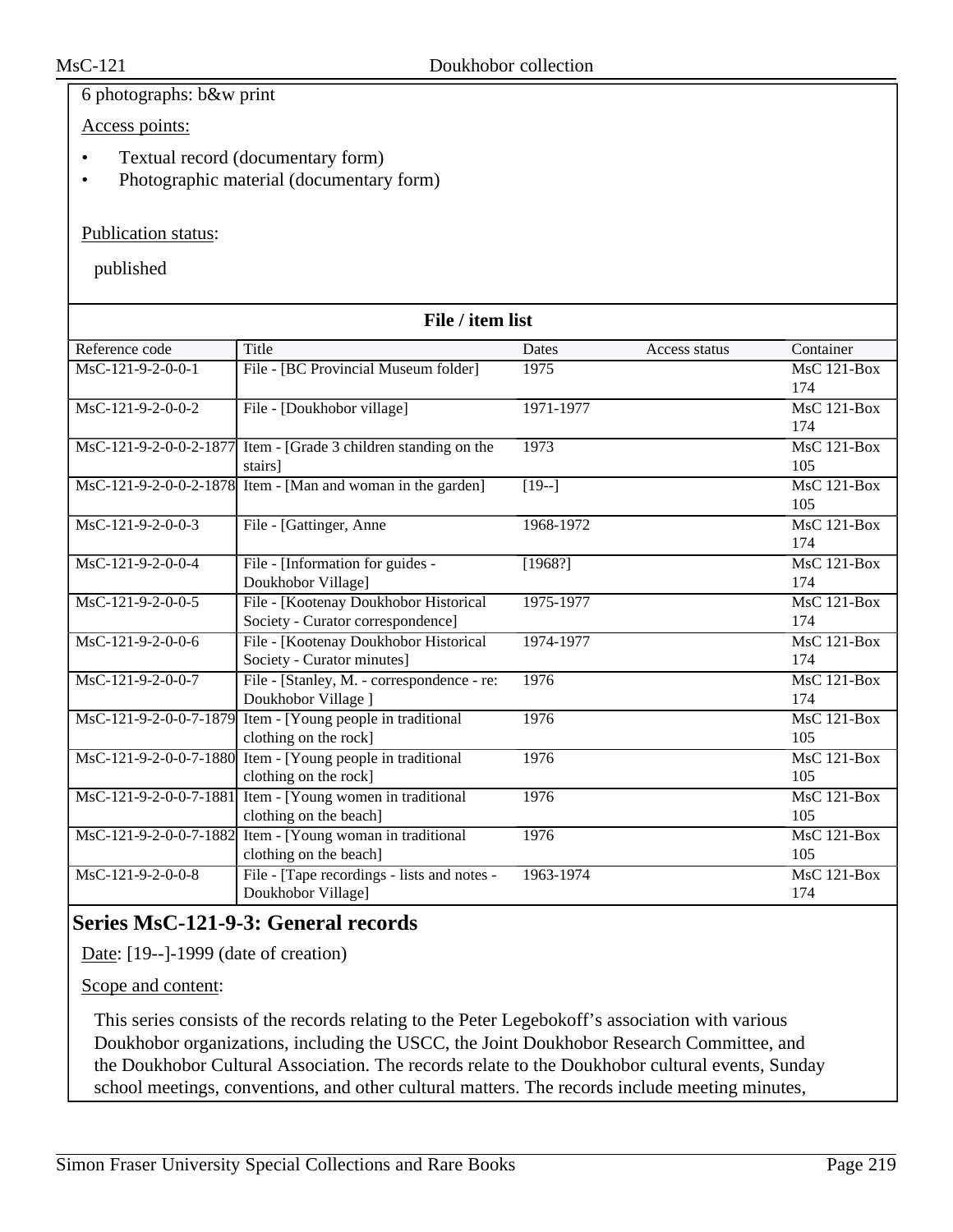## 6 photographs: b&w print

Access points:

- Textual record (documentary form)
- Photographic material (documentary form)

## Publication status:

published

| File / item list                      |                                                                 |               |               |                    |
|---------------------------------------|-----------------------------------------------------------------|---------------|---------------|--------------------|
| Reference code                        | Title                                                           | Dates         | Access status | Container          |
| MsC-121-9-2-0-0-1                     | File - [BC Provincial Museum folder]                            | 1975          |               | <b>MsC 121-Box</b> |
|                                       |                                                                 |               |               | 174                |
| MsC-121-9-2-0-0-2                     | File - [Doukhobor village]                                      | 1971-1977     |               | $MsC$ 121-Box      |
|                                       |                                                                 |               |               | 174                |
|                                       | MsC-121-9-2-0-0-2-1877 Item - [Grade 3 children standing on the | 1973          |               | $MsC$ 121-Box      |
|                                       | stairs]                                                         |               |               | 105                |
|                                       | MsC-121-9-2-0-0-2-1878 Item - [Man and woman in the garden]     | $\sqrt{19-1}$ |               | $MsC$ 121-Box      |
|                                       |                                                                 |               |               | 105                |
| MsC-121-9-2-0-0-3                     | File - [Gattinger, Anne                                         | 1968-1972     |               | <b>MsC 121-Box</b> |
|                                       |                                                                 |               |               | 174                |
| $\overline{\text{MsC-121-9-2-0-0-4}}$ | File - [Information for guides -                                | [1968!]       |               | $MsC$ 121-Box      |
|                                       | Doukhobor Village]                                              |               |               | 174                |
| MsC-121-9-2-0-0-5                     | File - [Kootenay Doukhobor Historical                           | 1975-1977     |               | $MsC$ 121-Box      |
|                                       | Society - Curator correspondence]                               |               |               | 174                |
| MsC-121-9-2-0-0-6                     | File - [Kootenay Doukhobor Historical                           | 1974-1977     |               | <b>MsC 121-Box</b> |
|                                       | Society - Curator minutes]                                      |               |               | 174                |
| MsC-121-9-2-0-0-7                     | File - [Stanley, M. - correspondence - re:                      | 1976          |               | $MsC$ 121-Box      |
|                                       | Doukhobor Village ]                                             |               |               | 174                |
| MsC-121-9-2-0-0-7-1879                | Item - [Young people in traditional                             | 1976          |               | <b>MsC 121-Box</b> |
|                                       | clothing on the rock]                                           |               |               | 105                |
|                                       | MsC-121-9-2-0-0-7-1880 Item - [Young people in traditional      | 1976          |               | <b>MsC 121-Box</b> |
|                                       | clothing on the rock]                                           |               |               | 105                |
| MsC-121-9-2-0-0-7-1881                | Item - [Young women in traditional                              | 1976          |               | $MsC$ 121-Box      |
|                                       | clothing on the beach]                                          |               |               | 105                |
|                                       | MsC-121-9-2-0-0-7-1882 Item - [Young woman in traditional       | 1976          |               | $MsC$ 121-Box      |
|                                       | clothing on the beach]                                          |               |               | 105                |
| MsC-121-9-2-0-0-8                     | File - [Tape recordings - lists and notes -                     | 1963-1974     |               | MsC 121-Box        |
|                                       | Doukhobor Village]                                              |               |               | 174                |

# **Series MsC-121-9-3: General records**

Date: [19--]-1999 (date of creation)

Scope and content:

This series consists of the records relating to the Peter Legebokoff's association with various Doukhobor organizations, including the USCC, the Joint Doukhobor Research Committee, and the Doukhobor Cultural Association. The records relate to the Doukhobor cultural events, Sunday school meetings, conventions, and other cultural matters. The records include meeting minutes,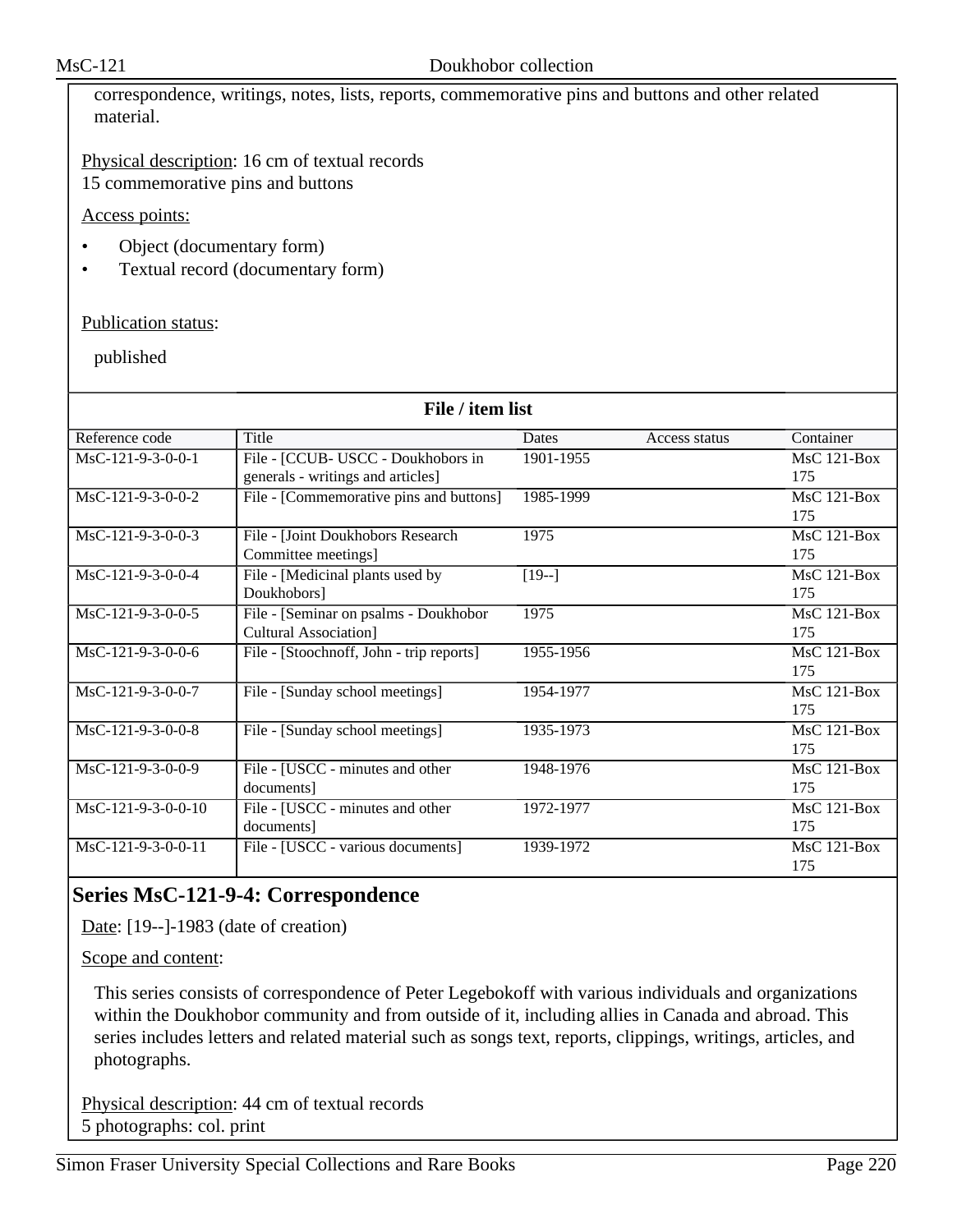correspondence, writings, notes, lists, reports, commemorative pins and buttons and other related material.

Physical description: 16 cm of textual records 15 commemorative pins and buttons

Access points:

- Object (documentary form)
- Textual record (documentary form)

## Publication status:

published

| File / item list    |                                          |           |               |                    |
|---------------------|------------------------------------------|-----------|---------------|--------------------|
| Reference code      | Title                                    | Dates     | Access status | Container          |
| $MsC-121-9-3-0-0-1$ | File - [CCUB- USCC - Doukhobors in       | 1901-1955 |               | $MsC$ 121-Box      |
|                     | generals - writings and articles]        |           |               | 175                |
| MsC-121-9-3-0-0-2   | File - [Commemorative pins and buttons]  | 1985-1999 |               | MsC 121-Box        |
|                     |                                          |           |               | 175                |
| $MsC-121-9-3-0-0-3$ | File - [Joint Doukhobors Research        | 1975      |               | $MsC$ 121-Box      |
|                     | Committee meetings]                      |           |               | 175                |
| $MsC-121-9-3-0-0-4$ | File - [Medicinal plants used by         | $[19-]$   |               | $MsC$ 121-Box      |
|                     | Doukhobors]                              |           |               | 175                |
| MsC-121-9-3-0-0-5   | File - [Seminar on psalms - Doukhobor    | 1975      |               | <b>MsC 121-Box</b> |
|                     | Cultural Association]                    |           |               | 175                |
| $MsC-121-9-3-0-0-6$ | File - [Stoochnoff, John - trip reports] | 1955-1956 |               | $MsC$ 121-Box      |
|                     |                                          |           |               | 175                |
| MsC-121-9-3-0-0-7   | File - [Sunday school meetings]          | 1954-1977 |               | MsC 121-Box        |
|                     |                                          |           |               | 175                |
| MsC-121-9-3-0-0-8   | File - [Sunday school meetings]          | 1935-1973 |               | <b>MsC 121-Box</b> |
|                     |                                          |           |               | 175                |
| MsC-121-9-3-0-0-9   | File - [USCC - minutes and other         | 1948-1976 |               | $MsC$ 121-Box      |
|                     | documents]                               |           |               | 175                |
| MsC-121-9-3-0-0-10  | File - [USCC - minutes and other         | 1972-1977 |               | MsC 121-Box        |
|                     | documents]                               |           |               | 175                |
| MsC-121-9-3-0-0-11  | File - [USCC - various documents]        | 1939-1972 |               | $MsC$ 121-Box      |
|                     |                                          |           |               | 175                |

# **Series MsC-121-9-4: Correspondence**

Date: [19--]-1983 (date of creation)

Scope and content:

This series consists of correspondence of Peter Legebokoff with various individuals and organizations within the Doukhobor community and from outside of it, including allies in Canada and abroad. This series includes letters and related material such as songs text, reports, clippings, writings, articles, and photographs.

Physical description: 44 cm of textual records 5 photographs: col. print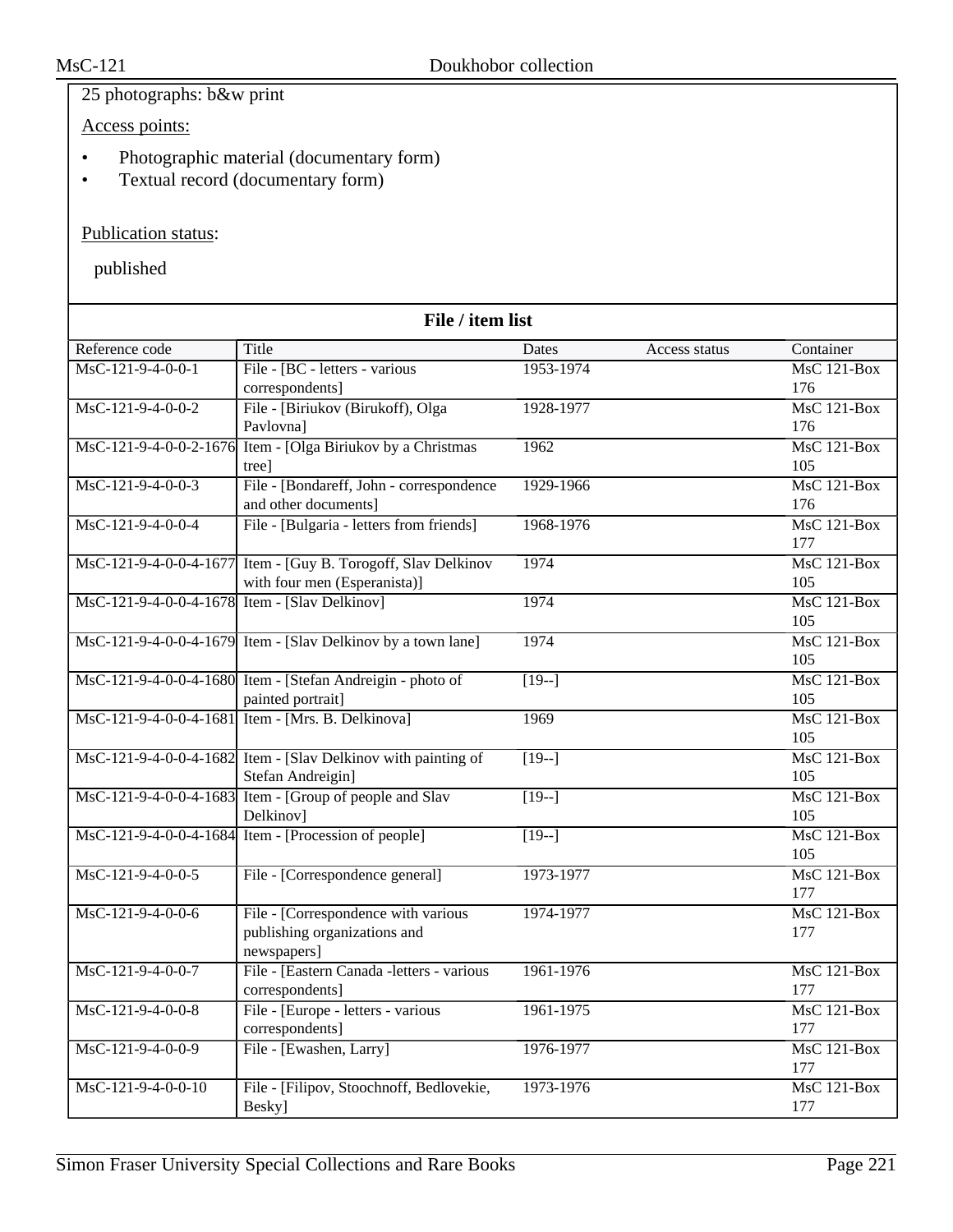## 25 photographs: b&w print

Access points:

- Photographic material (documentary form)
- Textual record (documentary form)

## Publication status:

| File / item list                              |                                                                             |                    |               |                      |
|-----------------------------------------------|-----------------------------------------------------------------------------|--------------------|---------------|----------------------|
| Reference code                                | Title                                                                       | Dates              | Access status | Container            |
| MsC-121-9-4-0-0-1                             | File - [BC - letters - various                                              | 1953-1974          |               | $MsC$ 121-Box        |
|                                               | correspondents]                                                             |                    |               | 176                  |
| $MsC-121-9-4-0-0-2$                           | File - [Biriukov (Birukoff), Olga                                           | 1928-1977          |               | $MsC$ 121-Box        |
|                                               | Pavlovna]                                                                   |                    |               | 176                  |
| MsC-121-9-4-0-0-2-1676                        | Item - [Olga Biriukov by a Christmas                                        | 1962               |               | $MsC$ 121-Box        |
|                                               | tree]                                                                       |                    |               | 105                  |
| $MsC-121-9-4-0-0-3$                           | File - [Bondareff, John - correspondence                                    | 1929-1966          |               | $MsC$ 121-Box        |
|                                               | and other documents]                                                        |                    |               | 176                  |
| MsC-121-9-4-0-0-4                             | File - [Bulgaria - letters from friends]                                    | 1968-1976          |               | $MsC$ 121-Box        |
|                                               |                                                                             |                    |               | 177                  |
|                                               | MsC-121-9-4-0-0-4-1677 Item - [Guy B. Torogoff, Slav Delkinov               | 1974               |               | <b>MsC 121-Box</b>   |
|                                               | with four men (Esperanista)]                                                |                    |               | 105                  |
| MsC-121-9-4-0-0-4-1678 Item - [Slav Delkinov] |                                                                             | 1974               |               | $MsC$ 121-Box        |
|                                               |                                                                             |                    |               | 105                  |
|                                               | MsC-121-9-4-0-0-4-1679 Item - [Slav Delkinov by a town lane]                | 1974               |               | $MsC$ 121-Box        |
|                                               |                                                                             |                    |               | 105                  |
|                                               | MsC-121-9-4-0-0-4-1680 Item - [Stefan Andreigin - photo of                  | $\overline{[19-]}$ |               | MsC 121-Box          |
|                                               | painted portrait]                                                           | 1969               |               | 105<br>$MsC$ 121-Box |
|                                               | MsC-121-9-4-0-0-4-1681 Item - [Mrs. B. Delkinova]                           |                    |               | 105                  |
|                                               | MsC-121-9-4-0-0-4-1682 Item - [Slav Delkinov with painting of               | $\sqrt{19-1}$      |               | MsC 121-Box          |
|                                               | Stefan Andreigin]                                                           |                    |               | 105                  |
|                                               | $\overline{\text{MsC-121-9-4-0-0-4-1683}}$ Item - [Group of people and Slav | $[19-]$            |               | $MsC$ 121-Box        |
|                                               | Delkinov]                                                                   |                    |               | 105                  |
|                                               | MsC-121-9-4-0-0-4-1684 Item - [Procession of people]                        | $\overline{[19-]}$ |               | <b>MsC 121-Box</b>   |
|                                               |                                                                             |                    |               | 105                  |
| MsC-121-9-4-0-0-5                             | File - [Correspondence general]                                             | 1973-1977          |               | MsC 121-Box          |
|                                               |                                                                             |                    |               | 177                  |
| MsC-121-9-4-0-0-6                             | File - [Correspondence with various]                                        | 1974-1977          |               | $MsC$ 121-Box        |
|                                               | publishing organizations and                                                |                    |               | 177                  |
|                                               | newspapers]                                                                 |                    |               |                      |
| MsC-121-9-4-0-0-7                             | File - [Eastern Canada -letters - various                                   | 1961-1976          |               | <b>MsC 121-Box</b>   |
|                                               | correspondents]                                                             |                    |               | 177                  |
| MsC-121-9-4-0-0-8                             | File - [Europe - letters - various                                          | 1961-1975          |               | MsC 121-Box          |
|                                               | correspondents]                                                             |                    |               | 177                  |
| MsC-121-9-4-0-0-9                             | File - [Ewashen, Larry]                                                     | 1976-1977          |               | MsC 121-Box          |
|                                               |                                                                             |                    |               | 177                  |
| $MsC-121-9-4-0-0-10$                          | File - [Filipov, Stoochnoff, Bedlovekie,                                    | 1973-1976          |               | $MsC$ 121-Box        |
|                                               | Besky]                                                                      |                    |               | 177                  |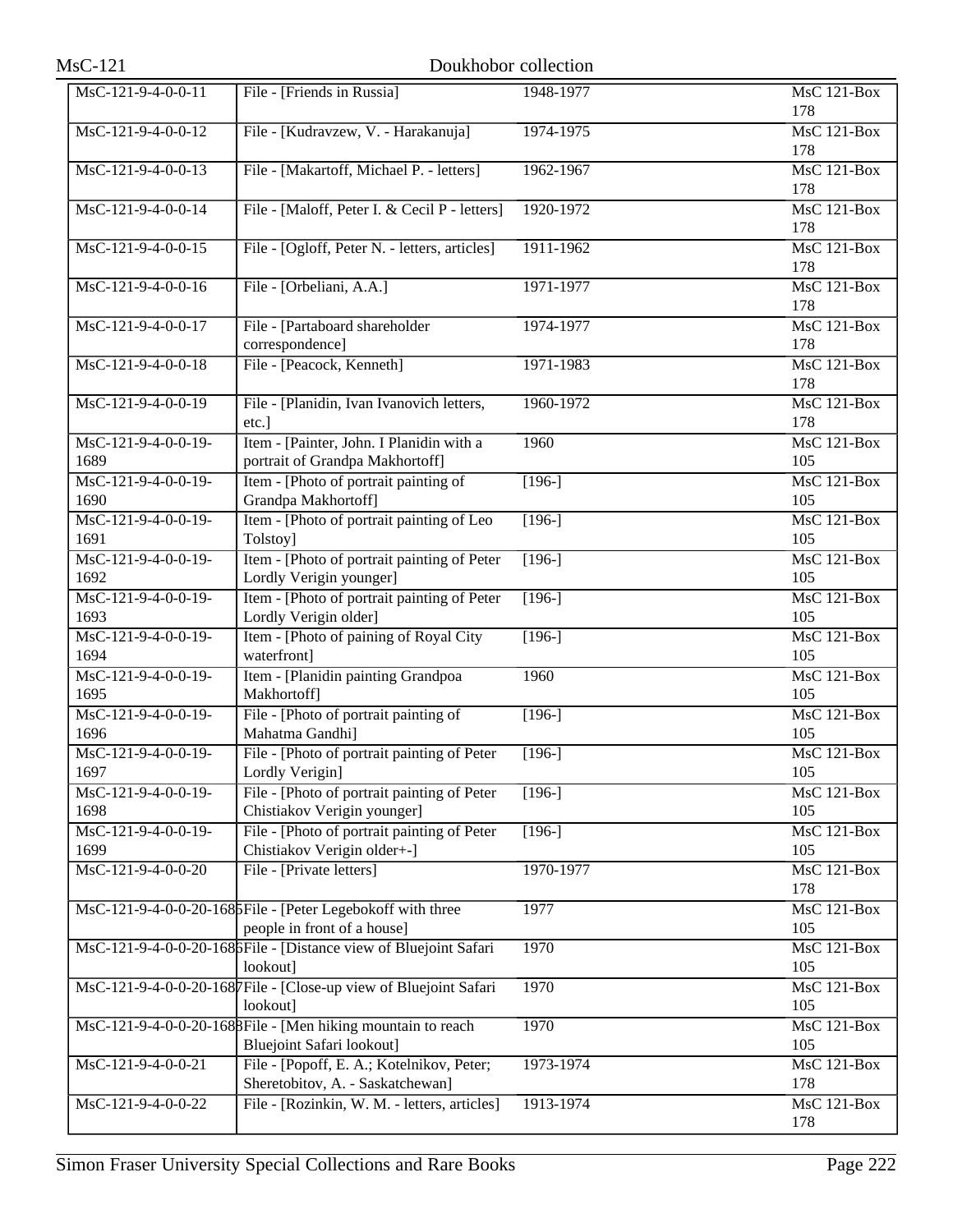| $MsC-121$                                       | Doukhobor collection                                                                            |           |                           |
|-------------------------------------------------|-------------------------------------------------------------------------------------------------|-----------|---------------------------|
| MsC-121-9-4-0-0-11                              | File - [Friends in Russia]                                                                      | 1948-1977 | <b>MsC 121-Box</b><br>178 |
| MsC-121-9-4-0-0-12                              | File - [Kudravzew, V. - Harakanuja]                                                             | 1974-1975 | MsC 121-Box<br>178        |
| MsC-121-9-4-0-0-13                              | File - [Makartoff, Michael P. - letters]                                                        | 1962-1967 | <b>MsC 121-Box</b><br>178 |
| MsC-121-9-4-0-0-14                              | File - [Maloff, Peter I. & Cecil P - letters]                                                   | 1920-1972 | <b>MsC 121-Box</b><br>178 |
| MsC-121-9-4-0-0-15                              | File - [Ogloff, Peter N. - letters, articles]                                                   | 1911-1962 | MsC 121-Box<br>178        |
| MsC-121-9-4-0-0-16                              | File - [Orbeliani, A.A.]                                                                        | 1971-1977 | $MsC$ 121-Box<br>178      |
| MsC-121-9-4-0-0-17                              | File - [Partaboard shareholder<br>correspondence]                                               | 1974-1977 | <b>MsC 121-Box</b><br>178 |
| MsC-121-9-4-0-0-18                              | File - [Peacock, Kenneth]                                                                       | 1971-1983 | MsC 121-Box<br>178        |
| $MsC-121-9-4-0-0-19$                            | File - [Planidin, Ivan Ivanovich letters,<br>etc.]                                              | 1960-1972 | MsC 121-Box<br>178        |
| MsC-121-9-4-0-0-19-<br>1689                     | Item - [Painter, John. I Planidin with a<br>portrait of Grandpa Makhortoff]                     | 1960      | <b>MsC 121-Box</b><br>105 |
| $MsC-121-9-4-0-0-19-$<br>1690                   | Item - [Photo of portrait painting of<br>Grandpa Makhortoff]                                    | $[196-]$  | MsC 121-Box<br>105        |
| $MsC-121-9-4-0-0-19-$<br>1691                   | Item - [Photo of portrait painting of Leo]<br>Tolstoy]                                          | $[196-]$  | $MsC$ 121-Box<br>105      |
| MsC-121-9-4-0-0-19-<br>1692                     | Item - [Photo of portrait painting of Peter<br>Lordly Verigin younger]                          | $[196-]$  | <b>MsC 121-Box</b><br>105 |
| MsC-121-9-4-0-0-19-<br>1693                     | Item - [Photo of portrait painting of Peter<br>Lordly Verigin older]                            | $[196-]$  | MsC 121-Box<br>105        |
| MsC-121-9-4-0-0-19-<br>1694                     | Item - [Photo of paining of Royal City<br>waterfront]                                           | $[196-]$  | MsC 121-Box<br>105        |
| MsC-121-9-4-0-0-19-<br>1695                     | Item - [Planidin painting Grandpoa<br>Makhortoff]                                               | 1960      | <b>MsC 121-Box</b><br>105 |
| $MsC-121-9-4-0-0-19-$<br>1696                   | File - [Photo of portrait painting of<br>Mahatma Gandhi]                                        | $[196-]$  | MsC 121-Box<br>105        |
| MsC-121-9-4-0-0-19-<br>1697                     | File - [Photo of portrait painting of Peter<br>Lordly Verigin]                                  | $[196-]$  | MsC 121-Box<br>105        |
| MsC-121-9-4-0-0-19-<br>1698                     | File - [Photo of portrait painting of Peter<br>Chistiakov Verigin younger]                      | $[196-]$  | MsC 121-Box<br>105        |
| $\overline{\text{MsC-121-9-4-0-0-19-}}$<br>1699 | File - [Photo of portrait painting of Peter<br>Chistiakov Verigin older+-1                      | $[196-]$  | <b>MsC 121-Box</b><br>105 |
| $\overline{\text{MsC-121-9-4-0-0-20}}$          | File - [Private letters]                                                                        | 1970-1977 | MsC 121-Box<br>178        |
|                                                 | MsC-121-9-4-0-0-20-168 File - [Peter Legebokoff with three<br>people in front of a house]       | 1977      | MsC 121-Box<br>105        |
|                                                 | MsC-121-9-4-0-0-20-168 File - [Distance view of Bluejoint Safari<br>lookout]                    | 1970      | <b>MsC 121-Box</b><br>105 |
|                                                 | MsC-121-9-4-0-0-20-1687 File - [Close-up view of Bluejoint Safari<br>lookout]                   | 1970      | <b>MsC 121-Box</b><br>105 |
|                                                 | MsC-121-9-4-0-0-20-1688File - [Men hiking mountain to reach<br><b>Bluejoint Safari lookout]</b> | 1970      | MsC 121-Box<br>105        |
| MsC-121-9-4-0-0-21                              | File - [Popoff, E. A.; Kotelnikov, Peter;<br>Sheretobitov, A. - Saskatchewan]                   | 1973-1974 | MsC 121-Box<br>178        |
| MsC-121-9-4-0-0-22                              | File - [Rozinkin, W. M. - letters, articles]                                                    | 1913-1974 | MsC 121-Box<br>178        |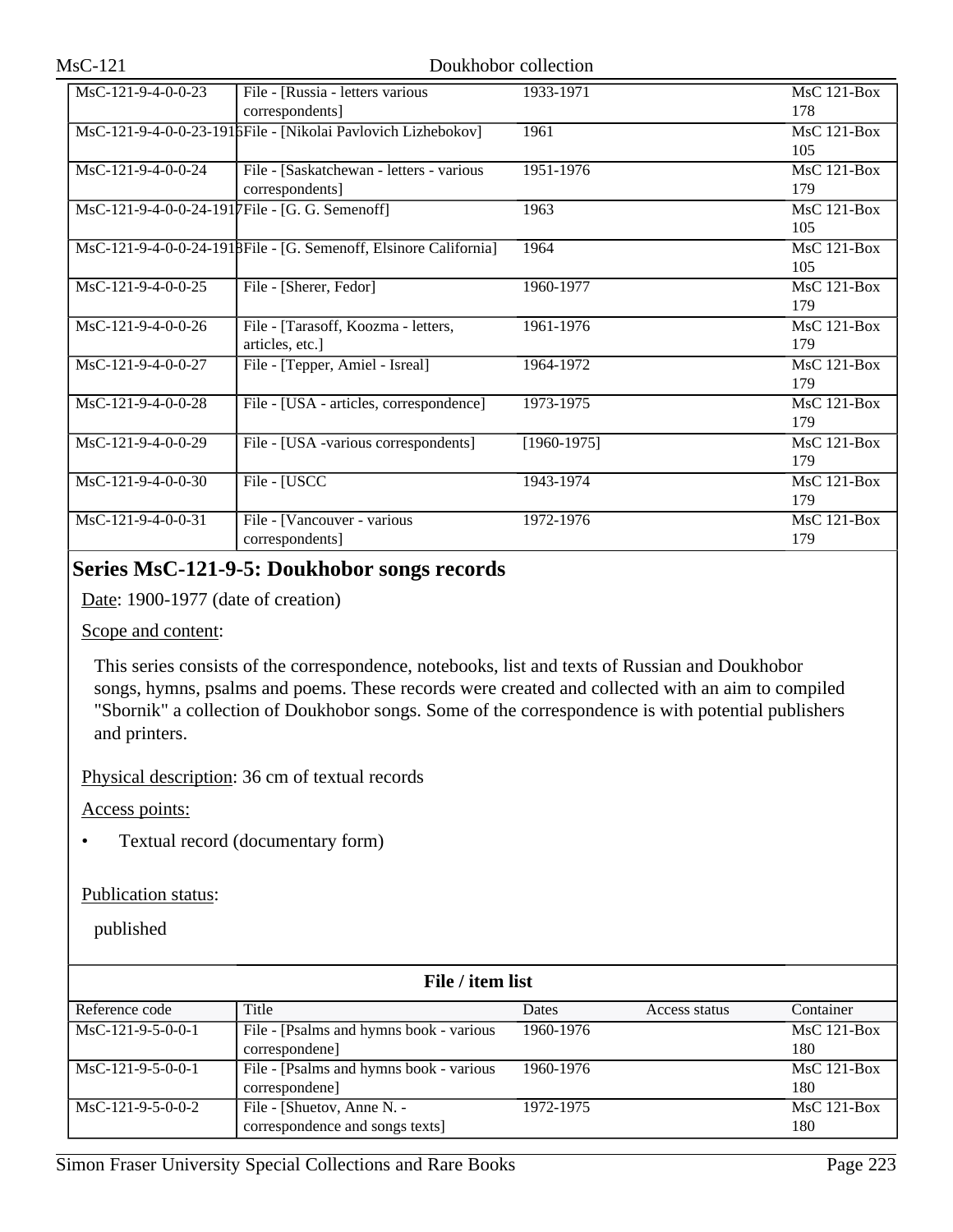| MsC-121-9-4-0-0-23                             | File - [Russia - letters various                                  | 1933-1971     | $MsC$ 121-Box      |
|------------------------------------------------|-------------------------------------------------------------------|---------------|--------------------|
|                                                | correspondents]                                                   |               | 178                |
|                                                | MsC-121-9-4-0-0-23-1916 File - [Nikolai Pavlovich Lizhebokov]     | 1961          | $MsC$ 121-Box      |
|                                                |                                                                   |               | 105                |
| MsC-121-9-4-0-0-24                             | File - [Saskatchewan - letters - various                          | 1951-1976     | $MsC$ 121-Box      |
|                                                | correspondents]                                                   |               | 179                |
| MsC-121-9-4-0-0-24-1917File - [G. G. Semenoff] |                                                                   | 1963          | $MsC$ 121-Box      |
|                                                |                                                                   |               | 105                |
|                                                | MsC-121-9-4-0-0-24-1918 File - [G. Semenoff, Elsinore California] | 1964          | MsC 121-Box        |
|                                                |                                                                   |               | 105                |
| $MsC-121-9-4-0-0-25$                           | File - [Sherer, Fedor]                                            | 1960-1977     | $MsC$ 121-Box      |
|                                                |                                                                   |               | 179                |
| MsC-121-9-4-0-0-26                             | File - [Tarasoff, Koozma - letters,                               | 1961-1976     | $MsC$ 121-Box      |
|                                                | articles, etc.]                                                   |               | 179                |
| MsC-121-9-4-0-0-27                             | File - [Tepper, Amiel - Isreal]                                   | 1964-1972     | $MsC$ 121-Box      |
|                                                |                                                                   |               | 179                |
| MsC-121-9-4-0-0-28                             | File - [USA - articles, correspondence]                           | 1973-1975     | $MsC$ 121-Box      |
|                                                |                                                                   |               | 179                |
| MsC-121-9-4-0-0-29                             | File - [USA -various correspondents]                              | $[1960-1975]$ | MsC 121-Box        |
|                                                |                                                                   |               | 179                |
| $MsC-121-9-4-0-0-30$                           | File - [USCC                                                      | 1943-1974     | <b>MsC 121-Box</b> |
|                                                |                                                                   |               | 179                |
| MsC-121-9-4-0-0-31                             | File - [Vancouver - various                                       | 1972-1976     | MsC 121-Box        |
|                                                | correspondents]                                                   |               | 179                |

## **Series MsC-121-9-5: Doukhobor songs records**

Date: 1900-1977 (date of creation)

### Scope and content:

This series consists of the correspondence, notebooks, list and texts of Russian and Doukhobor songs, hymns, psalms and poems. These records were created and collected with an aim to compiled "Sbornik" a collection of Doukhobor songs. Some of the correspondence is with potential publishers and printers.

Physical description: 36 cm of textual records

Access points:

• Textual record (documentary form)

## Publication status:

| File / item list    |                                          |           |               |               |  |
|---------------------|------------------------------------------|-----------|---------------|---------------|--|
| Reference code      | Title                                    | Dates     | Access status | Container     |  |
| $MsC-121-9-5-0-0-1$ | File - [Psalms and hymns book - various] | 1960-1976 |               | $MsC$ 121-Box |  |
|                     | correspondene]                           |           |               | 180           |  |
| $MsC-121-9-5-0-0-1$ | File - [Psalms and hymns book - various] | 1960-1976 |               | $MsC$ 121-Box |  |
|                     | correspondene]                           |           |               | 180           |  |
| $MsC-121-9-5-0-0-2$ | File - [Shuetov, Anne N. -               | 1972-1975 |               | $MsC$ 121-Box |  |
|                     | correspondence and songs texts]          |           |               | 180           |  |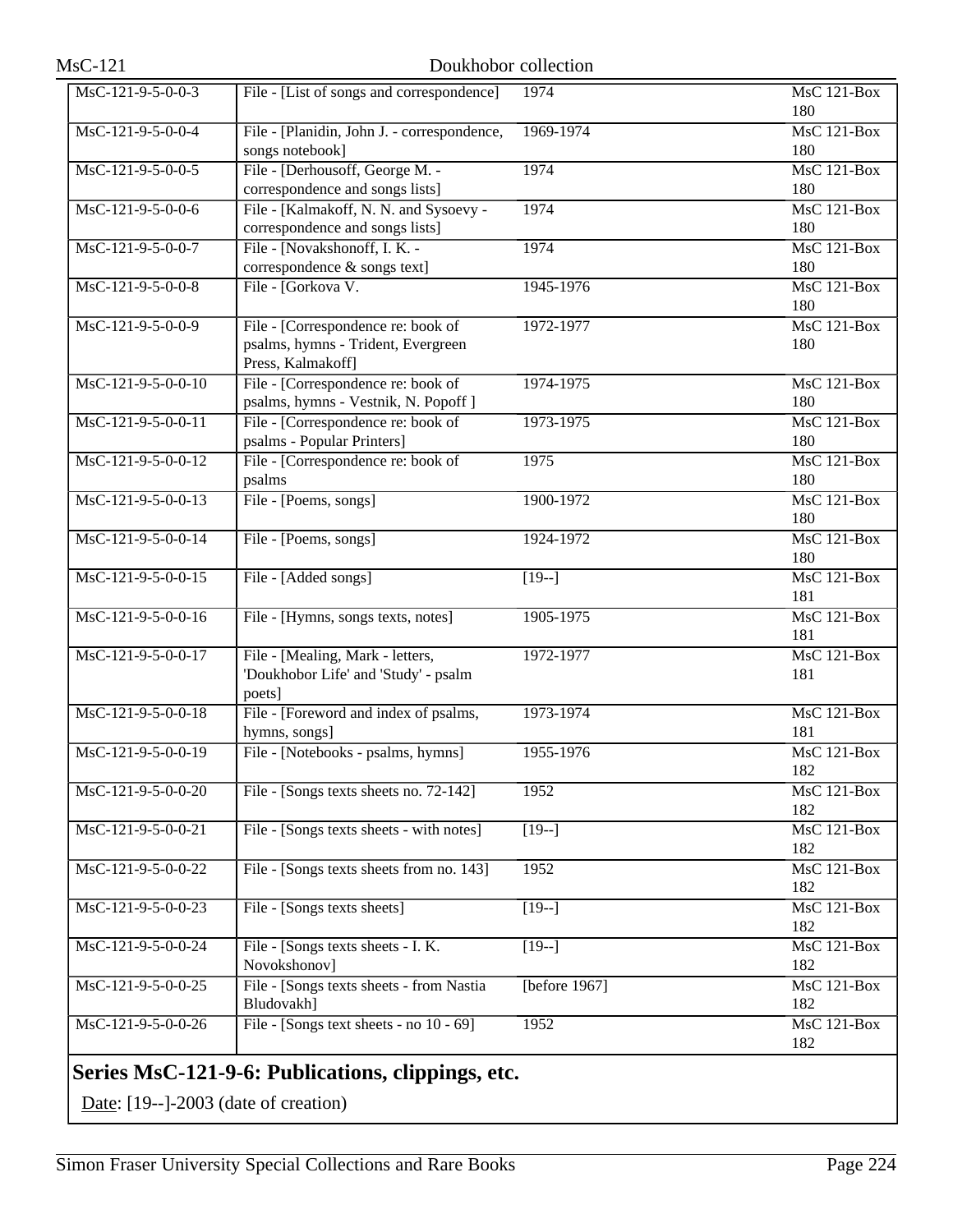| $MsC-121-9-5-0-0-3$  | File - [List of songs and correspondence]   | 1974               | <b>MsC 121-Box</b> |
|----------------------|---------------------------------------------|--------------------|--------------------|
|                      |                                             |                    | 180                |
| MsC-121-9-5-0-0-4    | File - [Planidin, John J. - correspondence, | 1969-1974          | MsC 121-Box        |
|                      | songs notebook]                             |                    | 180                |
| MsC-121-9-5-0-0-5    | File - [Derhousoff, George M. -             | 1974               | MsC 121-Box        |
|                      | correspondence and songs lists]             |                    | 180                |
| MsC-121-9-5-0-0-6    | File - [Kalmakoff, N. N. and Sysoevy -      | 1974               | <b>MsC 121-Box</b> |
|                      | correspondence and songs lists]             |                    | 180                |
| MsC-121-9-5-0-0-7    | File - [Novakshonoff, I. K. -               | 1974               | MsC 121-Box        |
|                      | correspondence & songs text]                |                    | 180                |
| MsC-121-9-5-0-0-8    | File - [Gorkova V.                          | 1945-1976          | $MsC$ 121-Box      |
|                      |                                             |                    | 180                |
| MsC-121-9-5-0-0-9    | File - [Correspondence re: book of          | 1972-1977          | <b>MsC 121-Box</b> |
|                      | psalms, hymns - Trident, Evergreen          |                    | 180                |
|                      | Press, Kalmakoff]                           |                    |                    |
| MsC-121-9-5-0-0-10   | File - [Correspondence re: book of          | 1974-1975          | <b>MsC 121-Box</b> |
|                      | psalms, hymns - Vestnik, N. Popoff ]        |                    | 180                |
|                      |                                             |                    |                    |
| MsC-121-9-5-0-0-11   | File - [Correspondence re: book of          | 1973-1975          | $MsC$ 121-Box      |
|                      | psalms - Popular Printers]                  |                    | 180                |
| MsC-121-9-5-0-0-12   | File - [Correspondence re: book of          | 1975               | MsC 121-Box        |
|                      | psalms                                      |                    | 180                |
| $MsC-121-9-5-0-0-13$ | File - [Poems, songs]                       | 1900-1972          | MsC 121-Box        |
|                      |                                             |                    | 180                |
| MsC-121-9-5-0-0-14   | File - [Poems, songs]                       | 1924-1972          | $MsC$ 121-Box      |
|                      |                                             |                    | 180                |
| MsC-121-9-5-0-0-15   | File - [Added songs]                        | $[19-]$            | <b>MsC 121-Box</b> |
|                      |                                             |                    | 181                |
| MsC-121-9-5-0-0-16   | File - [Hymns, songs texts, notes]          | 1905-1975          | MsC 121-Box        |
|                      |                                             |                    | 181                |
| MsC-121-9-5-0-0-17   | File - [Mealing, Mark - letters,            | 1972-1977          | MsC 121-Box        |
|                      | 'Doukhobor Life' and 'Study' - psalm        |                    | 181                |
|                      | poets]                                      |                    |                    |
| MsC-121-9-5-0-0-18   | File - [Foreword and index of psalms,       | 1973-1974          | MsC 121-Box        |
|                      | hymns, songs]                               |                    | 181                |
| MsC-121-9-5-0-0-19   | File - [Notebooks - psalms, hymns]          | 1955-1976          | MsC 121-Box        |
|                      |                                             |                    | 182                |
| MsC-121-9-5-0-0-20   | File - [Songs texts sheets no. 72-142]      | 1952               | <b>MsC 121-Box</b> |
|                      |                                             |                    | 182                |
| MsC-121-9-5-0-0-21   | File - [Songs texts sheets - with notes]    | $[19-]$            | MsC 121-Box        |
|                      |                                             |                    | 182                |
| MsC-121-9-5-0-0-22   | File - [Songs texts sheets from no. 143]    | 1952               | MsC 121-Box        |
|                      |                                             |                    | 182                |
|                      |                                             |                    |                    |
| MsC-121-9-5-0-0-23   | File - [Songs texts sheets]                 | $\overline{[19-]}$ | MsC 121-Box        |
|                      |                                             |                    | 182                |
| MsC-121-9-5-0-0-24   | File - [Songs texts sheets - I. K.          | $[19-]$            | MsC 121-Box        |
|                      | Novokshonov]                                |                    | 182                |
| MsC-121-9-5-0-0-25   | File - [Songs texts sheets - from Nastia    | [before $1967$ ]   | MsC 121-Box        |
|                      | Bludovakh]                                  |                    | 182                |
| MsC-121-9-5-0-0-26   | File - [Songs text sheets - no 10 - 69]     | 1952               | MsC 121-Box        |
|                      |                                             |                    | 182                |
|                      | $\sim$ n iii                                |                    |                    |

# **Series MsC-121-9-6: Publications, clippings, etc.**

Date: [19--]-2003 (date of creation)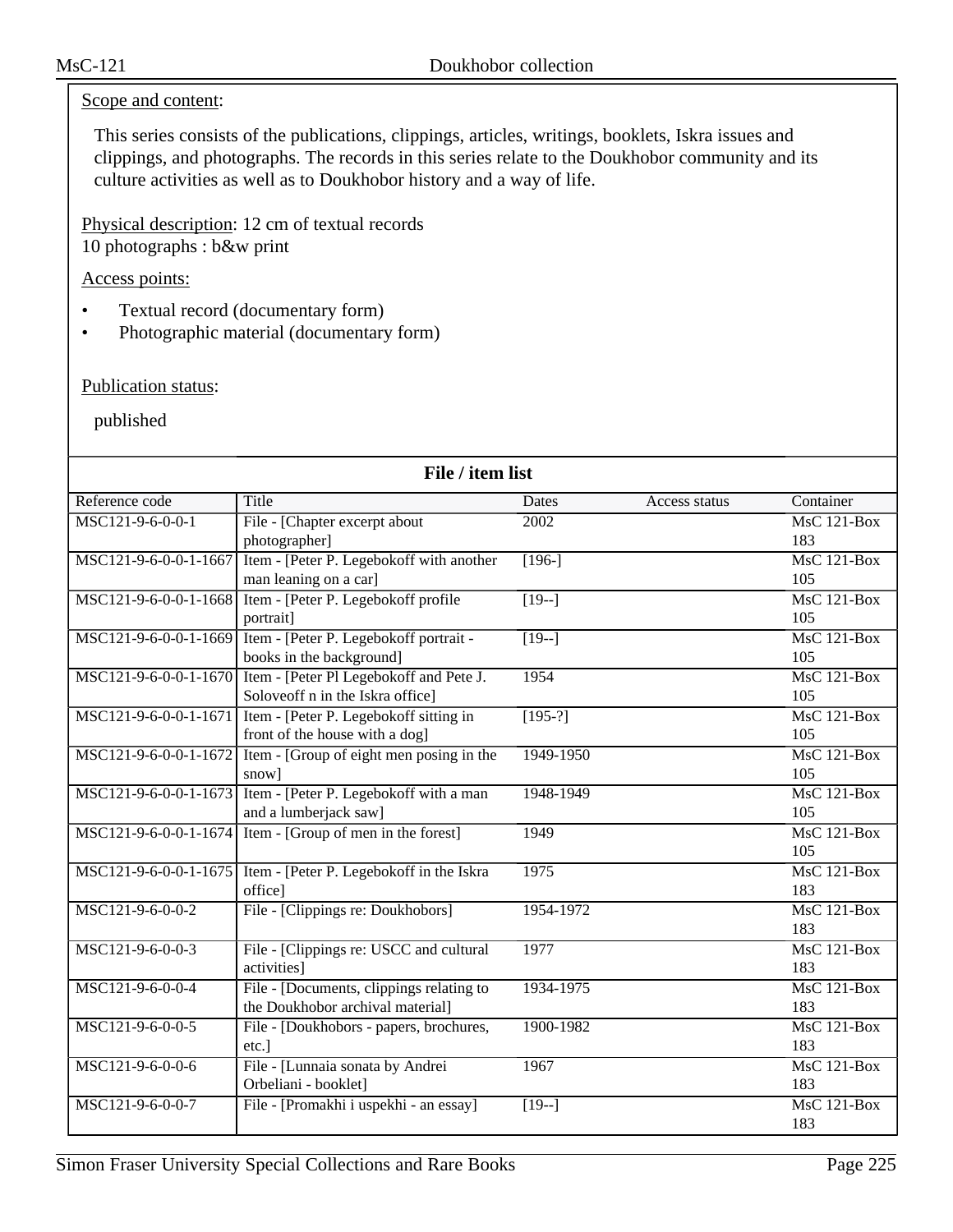## Scope and content:

This series consists of the publications, clippings, articles, writings, booklets, Iskra issues and clippings, and photographs. The records in this series relate to the Doukhobor community and its culture activities as well as to Doukhobor history and a way of life.

Physical description: 12 cm of textual records 10 photographs : b&w print

## Access points:

- Textual record (documentary form)
- Photographic material (documentary form)

### Publication status:

| File / item list      |                                                              |                   |               |                           |
|-----------------------|--------------------------------------------------------------|-------------------|---------------|---------------------------|
| Reference code        | Title                                                        | Dates             | Access status | Container                 |
| MSC121-9-6-0-0-1      | File - [Chapter excerpt about                                | 2002              |               | $MsC$ 121-Box             |
|                       | photographer]                                                |                   |               | 183                       |
| MSC121-9-6-0-0-1-1667 | Item - [Peter P. Legebokoff with another                     | $[196-]$          |               | $MsC$ 121-Box             |
|                       | man leaning on a car]                                        |                   |               | 105                       |
| MSC121-9-6-0-0-1-1668 | Item - [Peter P. Legebokoff profile                          | $\sqrt{19-1}$     |               | <b>MsC 121-Box</b>        |
|                       | portrait]                                                    |                   |               | 105                       |
| MSC121-9-6-0-0-1-1669 | Item - [Peter P. Legebokoff portrait -                       | $\sqrt{19-1}$     |               | $MsC$ 121-Box             |
|                       | books in the background]                                     |                   |               | 105                       |
| MSC121-9-6-0-0-1-1670 | Item - [Peter Pl Legebokoff and Pete J.                      | 1954              |               | $MsC$ 121-Box             |
|                       | Soloveoff n in the Iskra office]                             |                   |               | 105                       |
| MSC121-9-6-0-0-1-1671 | Item - [Peter P. Legebokoff sitting in                       | $[195-?]$         |               | MsC 121-Box               |
|                       | front of the house with a dog]                               |                   |               | 105                       |
| MSC121-9-6-0-0-1-1672 | Item - [Group of eight men posing in the                     | 1949-1950         |               | $MsC$ 121-Box             |
|                       | snow]                                                        |                   |               | 105                       |
|                       | MSC121-9-6-0-0-1-1673 Item - [Peter P. Legebokoff with a man | 1948-1949         |               | $MsC$ 121-Box             |
|                       | and a lumberjack saw]                                        |                   |               | 105                       |
| MSC121-9-6-0-0-1-1674 | Item - [Group of men in the forest]                          | 1949              |               | MsC 121-Box               |
|                       |                                                              |                   |               | 105                       |
| MSC121-9-6-0-0-1-1675 | Item - [Peter P. Legebokoff in the Iskra                     | 1975              |               | $MsC$ 121-Box             |
|                       | office]                                                      |                   |               | 183                       |
| MSC121-9-6-0-0-2      | File - [Clippings re: Doukhobors]                            | 1954-1972         |               | $MsC$ 121-Box             |
|                       |                                                              |                   |               | 183                       |
| MSC121-9-6-0-0-3      | File - [Clippings re: USCC and cultural                      | 1977              |               | <b>MsC 121-Box</b>        |
|                       | activities]                                                  |                   |               | 183                       |
| MSC121-9-6-0-0-4      | File - [Documents, clippings relating to                     | 1934-1975         |               | $MsC$ 121-Box             |
|                       | the Doukhobor archival material]                             |                   |               | 183                       |
| MSC121-9-6-0-0-5      | File - [Doukhobors - papers, brochures,                      | 1900-1982         |               | MsC 121-Box               |
|                       | etc.]                                                        |                   |               | 183<br><b>MsC 121-Box</b> |
| MSC121-9-6-0-0-6      | File - [Lunnaia sonata by Andrei<br>Orbeliani - booklet]     | 1967              |               | 183                       |
| MSC121-9-6-0-0-7      | File - [Promakhi i uspekhi - an essay]                       | $\overline{19-1}$ |               | $MsC$ 121-Box             |
|                       |                                                              |                   |               | 183                       |
|                       |                                                              |                   |               |                           |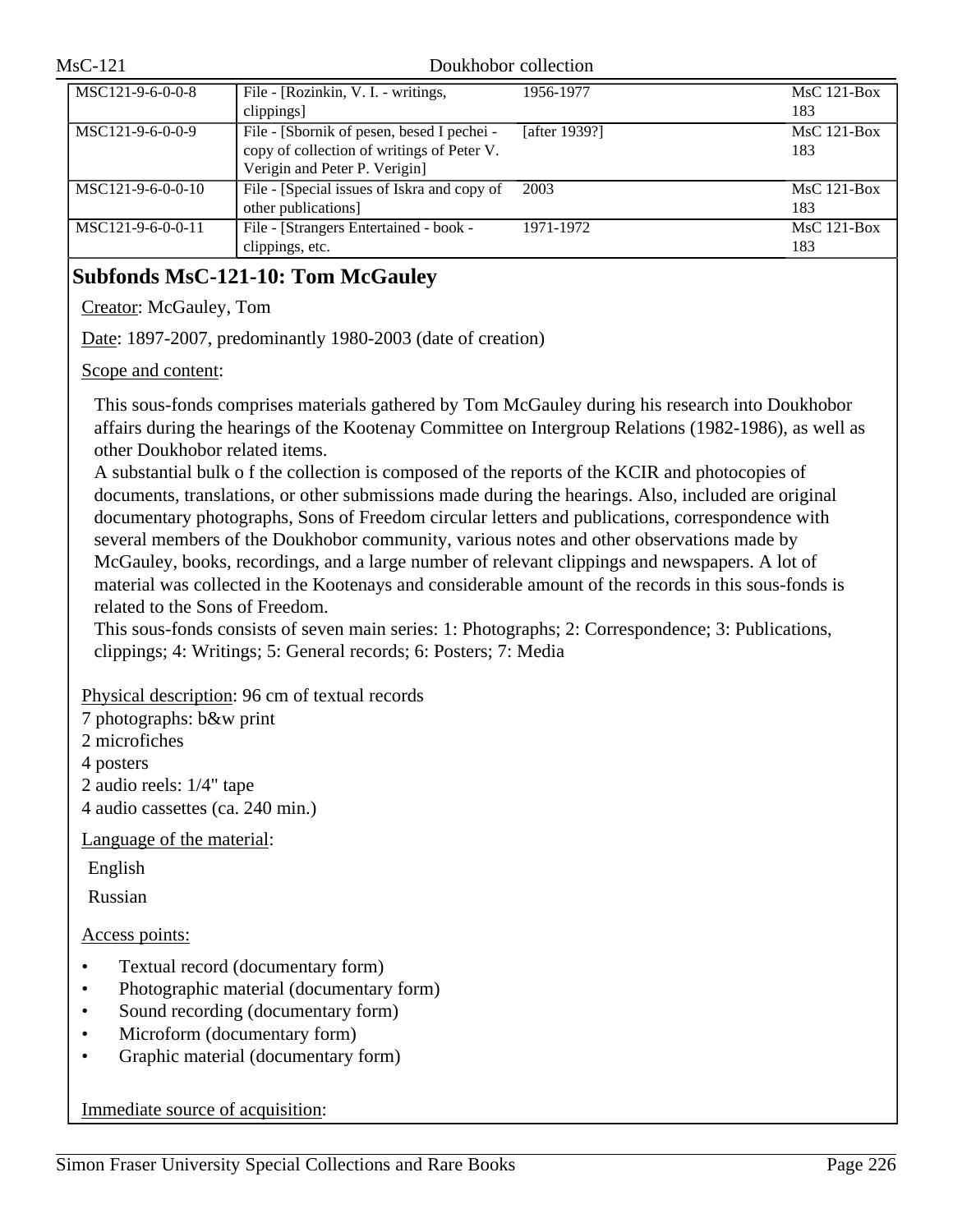| $MsC-121$           |                                             | Doukhobor collection |               |
|---------------------|---------------------------------------------|----------------------|---------------|
| MSC121-9-6-0-0-8    | File - [Rozinkin, V. I. - writings,         | 1956-1977            | $MsC$ 121-Box |
|                     | clippings]                                  |                      | 183           |
| MSC121-9-6-0-0-9    | File - [Sbornik of pesen, besed I pechei -  | [after 1939?]        | $MsC$ 121-Box |
|                     | copy of collection of writings of Peter V.  |                      | 183           |
|                     | Verigin and Peter P. Verigin]               |                      |               |
| $MSC121-9-6-0-0-10$ | File - [Special issues of Iskra and copy of | 2003                 | $MsC$ 121-Box |
|                     | other publications]                         |                      | 183           |
| $MSC121-9-6-0-0-11$ | File - [Strangers Entertained - book -      | 1971-1972            | $MsC$ 121-Box |
|                     | clippings, etc.                             |                      | 183           |

# **Subfonds MsC-121-10: Tom McGauley**

Creator: McGauley, Tom

Date: 1897-2007, predominantly 1980-2003 (date of creation)

Scope and content:

This sous-fonds comprises materials gathered by Tom McGauley during his research into Doukhobor affairs during the hearings of the Kootenay Committee on Intergroup Relations (1982-1986), as well as other Doukhobor related items.

A substantial bulk o f the collection is composed of the reports of the KCIR and photocopies of documents, translations, or other submissions made during the hearings. Also, included are original documentary photographs, Sons of Freedom circular letters and publications, correspondence with several members of the Doukhobor community, various notes and other observations made by McGauley, books, recordings, and a large number of relevant clippings and newspapers. A lot of material was collected in the Kootenays and considerable amount of the records in this sous-fonds is related to the Sons of Freedom.

This sous-fonds consists of seven main series: 1: Photographs; 2: Correspondence; 3: Publications, clippings; 4: Writings; 5: General records; 6: Posters; 7: Media

## Physical description: 96 cm of textual records

7 photographs: b&w print

2 microfiches

4 posters

2 audio reels: 1/4" tape

4 audio cassettes (ca. 240 min.)

Language of the material:

English

Russian

Access points:

- Textual record (documentary form)
- Photographic material (documentary form)
- Sound recording (documentary form)
- Microform (documentary form)
- Graphic material (documentary form)

Immediate source of acquisition: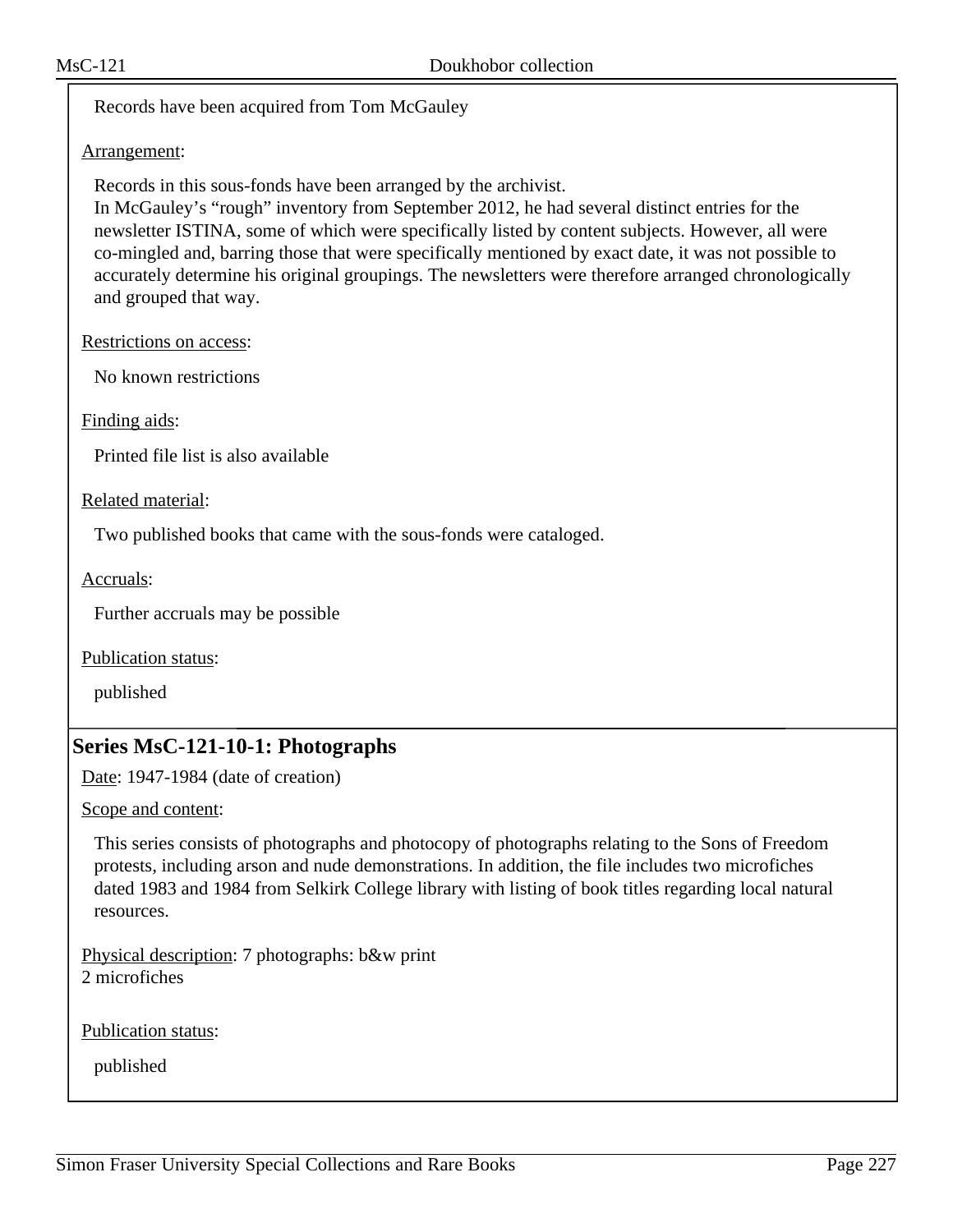Records have been acquired from Tom McGauley

## Arrangement:

Records in this sous-fonds have been arranged by the archivist.

In McGauley's "rough" inventory from September 2012, he had several distinct entries for the newsletter ISTINA, some of which were specifically listed by content subjects. However, all were co-mingled and, barring those that were specifically mentioned by exact date, it was not possible to accurately determine his original groupings. The newsletters were therefore arranged chronologically and grouped that way.

Restrictions on access:

No known restrictions

Finding aids:

Printed file list is also available

Related material:

Two published books that came with the sous-fonds were cataloged.

Accruals:

Further accruals may be possible

Publication status:

published

## **Series MsC-121-10-1: Photographs**

Date: 1947-1984 (date of creation)

Scope and content:

This series consists of photographs and photocopy of photographs relating to the Sons of Freedom protests, including arson and nude demonstrations. In addition, the file includes two microfiches dated 1983 and 1984 from Selkirk College library with listing of book titles regarding local natural resources.

Physical description: 7 photographs: b&w print 2 microfiches

Publication status: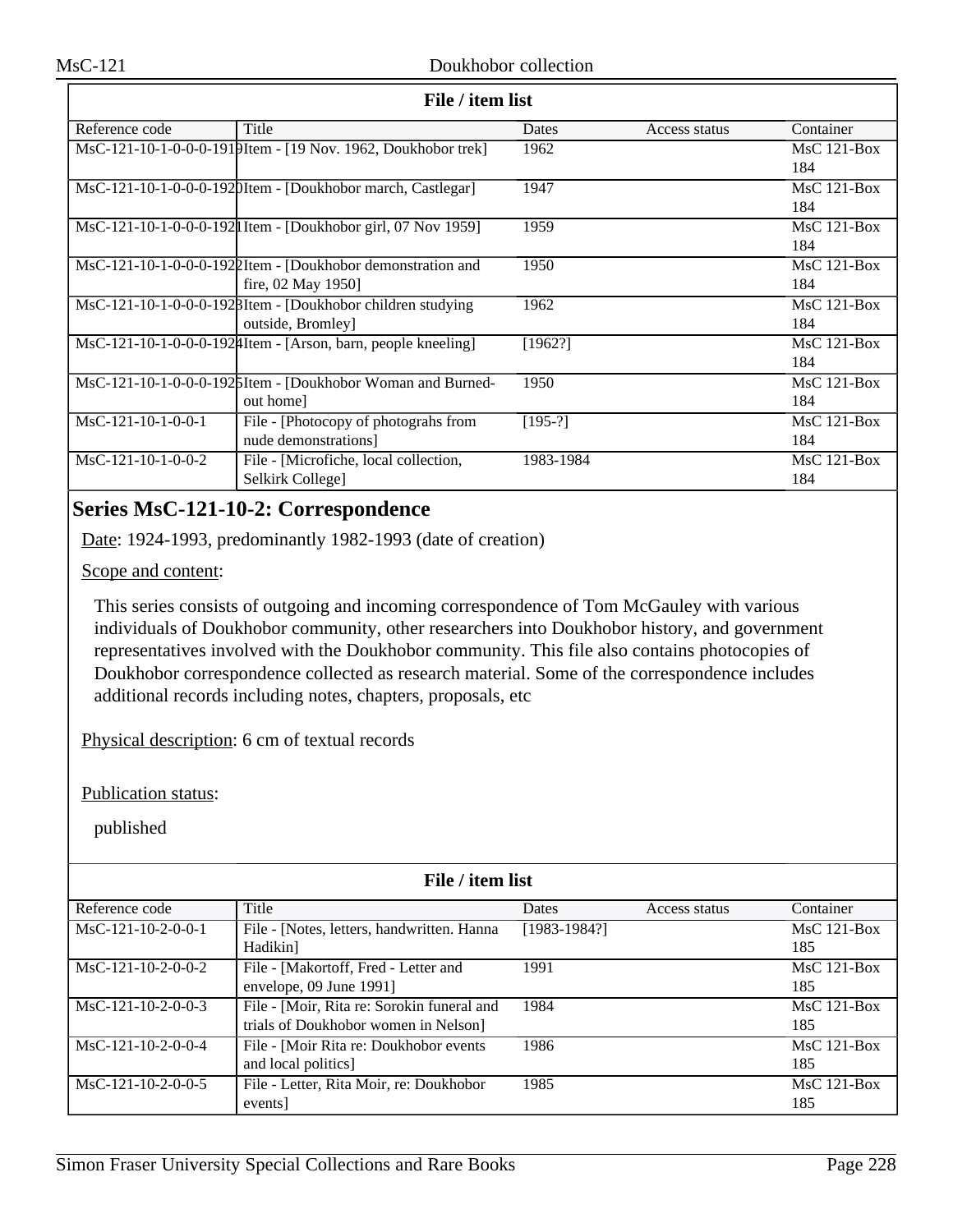| File / item list     |                                                              |           |               |               |
|----------------------|--------------------------------------------------------------|-----------|---------------|---------------|
| Reference code       | Title                                                        | Dates     | Access status | Container     |
|                      | MsC-121-10-1-0-0-0-1919Item - [19 Nov. 1962, Doukhobor trek] | 1962      |               | $MsC$ 121-Box |
|                      |                                                              |           |               | 184           |
|                      | MsC-121-10-1-0-0-0-1920Item - [Doukhobor march, Castlegar]   | 1947      |               | $MsC$ 121-Box |
|                      |                                                              |           |               | 184           |
|                      | MsC-121-10-1-0-0-0-1921 Item - [Doukhobor girl, 07 Nov 1959] | 1959      |               | $MsC$ 121-Box |
|                      |                                                              |           |               | 184           |
|                      | MsC-121-10-1-0-0-0-1922Item - [Doukhobor demonstration and   | 1950      |               | MsC 121-Box   |
|                      | fire, 02 May 1950]                                           |           |               | 184           |
|                      | MsC-121-10-1-0-0-0-1928Item - [Doukhobor children studying   | 1962      |               | $MsC$ 121-Box |
|                      | outside, Bromley                                             |           |               | 184           |
|                      | MsC-121-10-1-0-0-0-1924Item - [Arson, barn, people kneeling] | [1962!]   |               | $MsC$ 121-Box |
|                      |                                                              |           |               | 184           |
|                      | MsC-121-10-1-0-0-0-1925Item - [Doukhobor Woman and Burned-   | 1950      |               | $MsC$ 121-Box |
|                      | out home]                                                    |           |               | 184           |
| $MsC-121-10-1-0-0-1$ | File - [Photocopy of photograhs from                         | $[195-?]$ |               | $MsC$ 121-Box |
|                      | nude demonstrations]                                         |           |               | 184           |
| $MsC-121-10-1-0-0-2$ | File - [Microfiche, local collection,                        | 1983-1984 |               | $MsC$ 121-Box |
|                      | Selkirk College]                                             |           |               | 184           |

# **Series MsC-121-10-2: Correspondence**

Date: 1924-1993, predominantly 1982-1993 (date of creation)

Scope and content:

This series consists of outgoing and incoming correspondence of Tom McGauley with various individuals of Doukhobor community, other researchers into Doukhobor history, and government representatives involved with the Doukhobor community. This file also contains photocopies of Doukhobor correspondence collected as research material. Some of the correspondence includes additional records including notes, chapters, proposals, etc

Physical description: 6 cm of textual records

Publication status:

| File / item list     |                                            |                |               |               |  |
|----------------------|--------------------------------------------|----------------|---------------|---------------|--|
| Reference code       | Title                                      | <b>Dates</b>   | Access status | Container     |  |
| $MsC-121-10-2-0-0-1$ | File - [Notes, letters, handwritten. Hanna | $[1983-1984?]$ |               | $MsC$ 121-Box |  |
|                      | Hadikin]                                   |                |               | 185           |  |
| $MsC-121-10-2-0-0-2$ | File - [Makortoff, Fred - Letter and       | 1991           |               | $MsC$ 121-Box |  |
|                      | envelope, 09 June 1991]                    |                |               | 185           |  |
| $MsC-121-10-2-0-0-3$ | File - [Moir, Rita re: Sorokin funeral and | 1984           |               | $MsC$ 121-Box |  |
|                      | trials of Doukhobor women in Nelson]       |                |               | 185           |  |
| $MsC-121-10-2-0-0-4$ | File - [Moir Rita re: Doukhobor events     | 1986           |               | $MsC$ 121-Box |  |
|                      | and local politics]                        |                |               | 185           |  |
| $MsC-121-10-2-0-0-5$ | File - Letter, Rita Moir, re: Doukhobor    | 1985           |               | $MsC$ 121-Box |  |
|                      | events]                                    |                |               | 185           |  |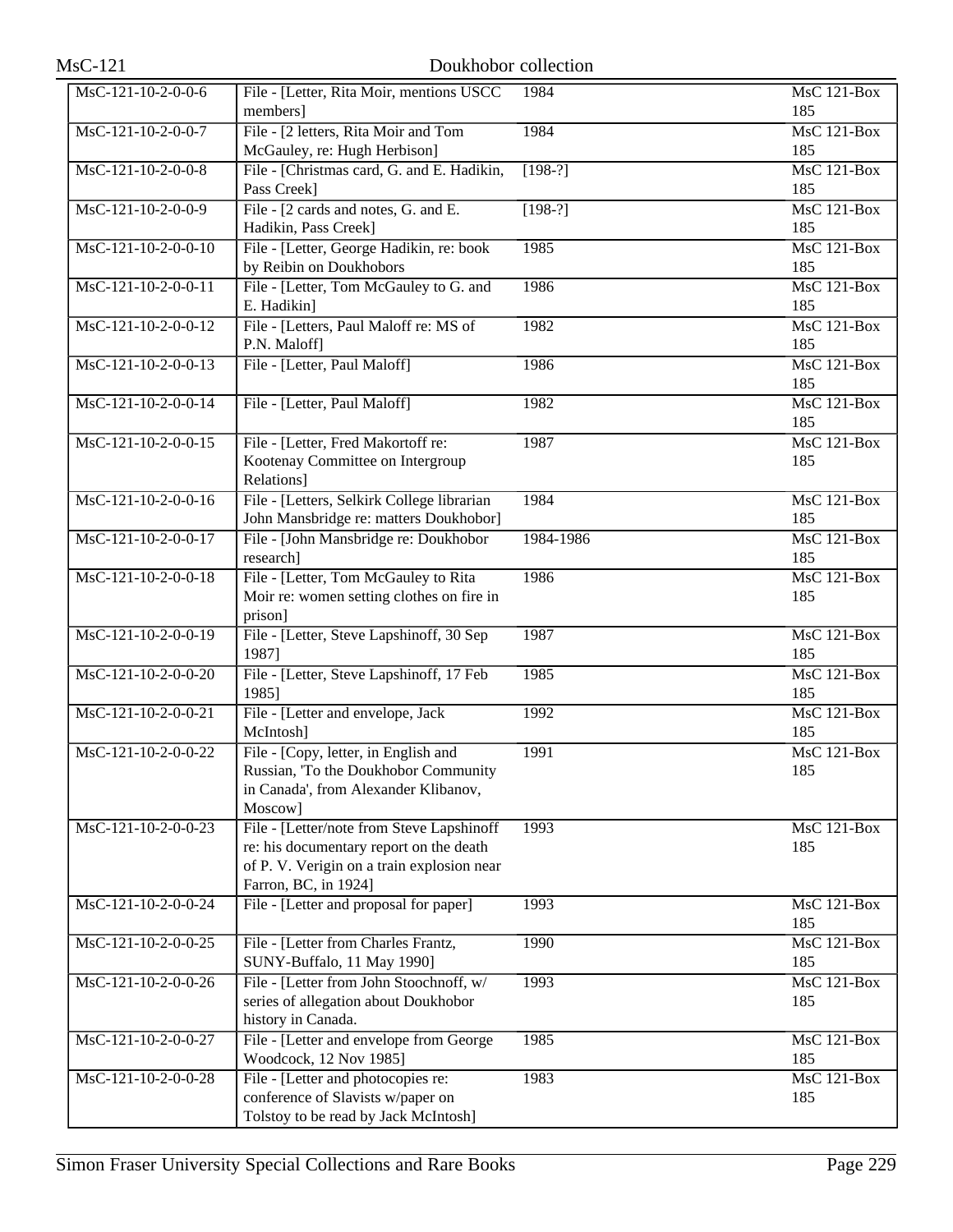| $MsC-121$             | Doukhobor collection                                                                                                                                       |           |                           |
|-----------------------|------------------------------------------------------------------------------------------------------------------------------------------------------------|-----------|---------------------------|
| MsC-121-10-2-0-0-6    | File - [Letter, Rita Moir, mentions USCC<br>members]                                                                                                       | 1984      | <b>MsC 121-Box</b><br>185 |
| MsC-121-10-2-0-0-7    | File - [2 letters, Rita Moir and Tom<br>McGauley, re: Hugh Herbison]                                                                                       | 1984      | $MsC$ 121-Box<br>185      |
| $MsC-121-10-2-0-0-8$  | File - [Christmas card, G. and E. Hadikin,<br>Pass Creek]                                                                                                  | $[198-?]$ | <b>MsC 121-Box</b><br>185 |
| MsC-121-10-2-0-0-9    | File - [2 cards and notes, G. and E.<br>Hadikin, Pass Creek]                                                                                               | $[198-?]$ | MsC 121-Box<br>185        |
| $MsC-121-10-2-0-0-10$ | File - [Letter, George Hadikin, re: book<br>by Reibin on Doukhobors                                                                                        | 1985      | MsC 121-Box<br>185        |
| MsC-121-10-2-0-0-11   | File - [Letter, Tom McGauley to G. and<br>E. Hadikin]                                                                                                      | 1986      | $MsC$ 121-Box<br>185      |
| MsC-121-10-2-0-0-12   | File - [Letters, Paul Maloff re: MS of<br>P.N. Maloff]                                                                                                     | 1982      | <b>MsC 121-Box</b><br>185 |
| $MsC-121-10-2-0-0-13$ | File - [Letter, Paul Maloff]                                                                                                                               | 1986      | $MsC$ 121-Box<br>185      |
| MsC-121-10-2-0-0-14   | File - [Letter, Paul Maloff]                                                                                                                               | 1982      | $MsC$ 121-Box<br>185      |
| MsC-121-10-2-0-0-15   | File - [Letter, Fred Makortoff re:<br>Kootenay Committee on Intergroup<br>Relations]                                                                       | 1987      | $MsC$ 121-Box<br>185      |
| $MsC-121-10-2-0-0-16$ | File - [Letters, Selkirk College librarian<br>John Mansbridge re: matters Doukhobor]                                                                       | 1984      | MsC 121-Box<br>185        |
| MsC-121-10-2-0-0-17   | File - [John Mansbridge re: Doukhobor<br>research]                                                                                                         | 1984-1986 | $MsC$ 121-Box<br>185      |
| MsC-121-10-2-0-0-18   | File - [Letter, Tom McGauley to Rita<br>Moir re: women setting clothes on fire in<br>prison]                                                               | 1986      | $MsC$ 121-Box<br>185      |
| $MsC-121-10-2-0-0-19$ | File - [Letter, Steve Lapshinoff, 30 Sep<br>1987]                                                                                                          | 1987      | MsC 121-Box<br>185        |
| $MsC-121-10-2-0-0-20$ | File - [Letter, Steve Lapshinoff, 17 Feb<br>1985]                                                                                                          | 1985      | <b>MsC 121-Box</b><br>185 |
| MsC-121-10-2-0-0-21   | File - [Letter and envelope, Jack<br>McIntosh]                                                                                                             | 1992      | MsC 121-Box<br>185        |
| MsC-121-10-2-0-0-22   | File - [Copy, letter, in English and<br>Russian, 'To the Doukhobor Community<br>in Canada', from Alexander Klibanov,<br>Moscow]                            | 1991      | <b>MsC 121-Box</b><br>185 |
| MsC-121-10-2-0-0-23   | File - [Letter/note from Steve Lapshinoff<br>re: his documentary report on the death<br>of P. V. Verigin on a train explosion near<br>Farron, BC, in 1924] | 1993      | <b>MsC 121-Box</b><br>185 |
| MsC-121-10-2-0-0-24   | File - [Letter and proposal for paper]                                                                                                                     | 1993      | <b>MsC 121-Box</b><br>185 |
| MsC-121-10-2-0-0-25   | File - [Letter from Charles Frantz,<br>SUNY-Buffalo, 11 May 1990]                                                                                          | 1990      | <b>MsC 121-Box</b><br>185 |
| MsC-121-10-2-0-0-26   | File - [Letter from John Stoochnoff, w/<br>series of allegation about Doukhobor<br>history in Canada.                                                      | 1993      | MsC 121-Box<br>185        |
| MsC-121-10-2-0-0-27   | File - [Letter and envelope from George<br>Woodcock, 12 Nov 1985]                                                                                          | 1985      | MsC 121-Box<br>185        |
| MsC-121-10-2-0-0-28   | File - [Letter and photocopies re:<br>conference of Slavists w/paper on<br>Tolstoy to be read by Jack McIntosh]                                            | 1983      | MsC 121-Box<br>185        |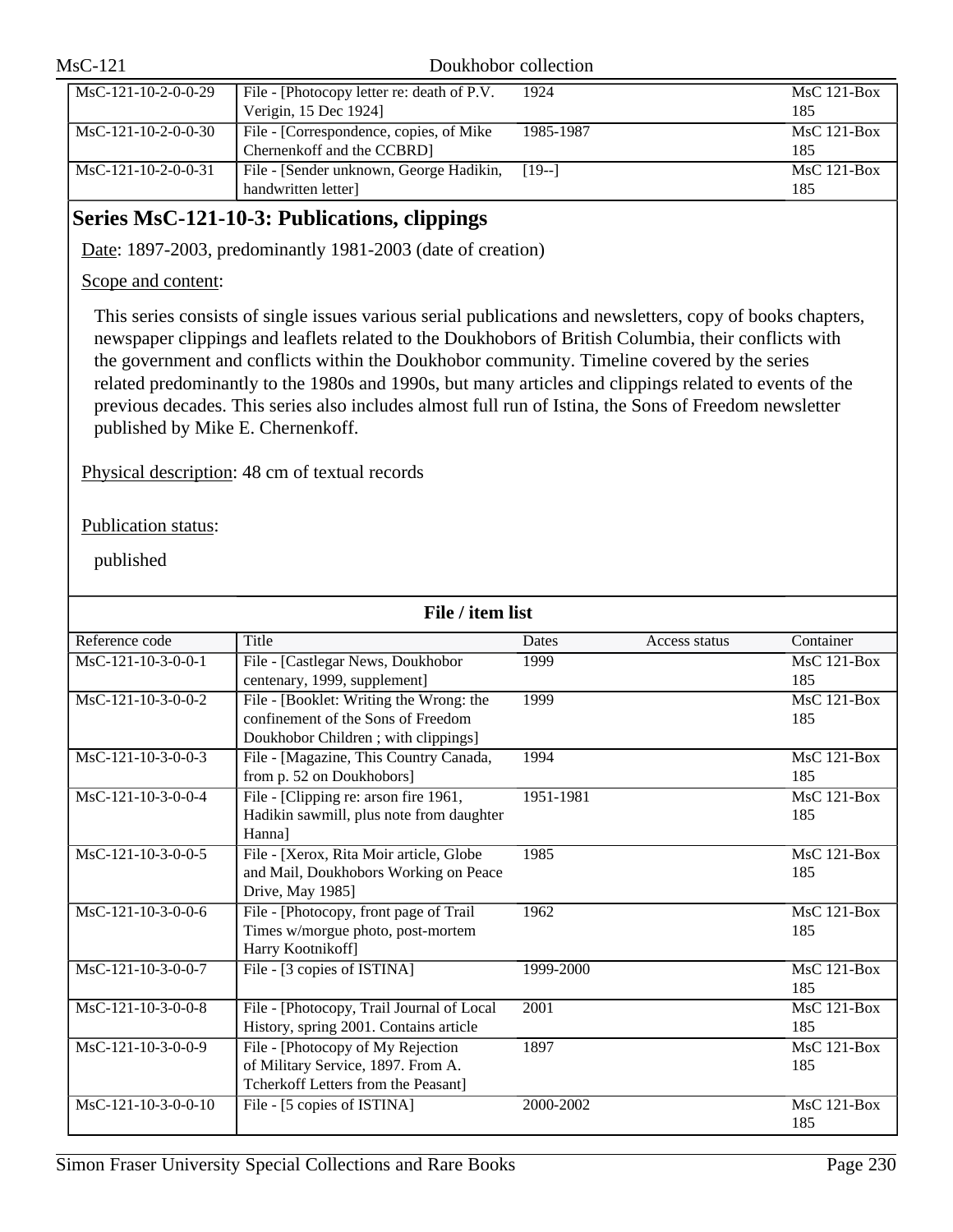| $MsC-121$             |                                                                       | Doukhobor collection |                      |
|-----------------------|-----------------------------------------------------------------------|----------------------|----------------------|
| MsC-121-10-2-0-0-29   | File - [Photocopy letter re: death of P.V.]<br>Verigin, 15 Dec 1924]  | 1924                 | $MsC$ 121-Box<br>185 |
| $MsC-121-10-2-0-0-30$ | File - [Correspondence, copies, of Mike<br>Chernenkoff and the CCBRD] | 1985-1987            | $MsC$ 121-Box<br>185 |
| $MsC-121-10-2-0-0-31$ | File - [Sender unknown, George Hadikin,<br>handwritten letter]        | $[19-1]$             | $MsC$ 121-Box<br>185 |

## **Series MsC-121-10-3: Publications, clippings**

Date: 1897-2003, predominantly 1981-2003 (date of creation)

## Scope and content:

This series consists of single issues various serial publications and newsletters, copy of books chapters, newspaper clippings and leaflets related to the Doukhobors of British Columbia, their conflicts with the government and conflicts within the Doukhobor community. Timeline covered by the series related predominantly to the 1980s and 1990s, but many articles and clippings related to events of the previous decades. This series also includes almost full run of Istina, the Sons of Freedom newsletter published by Mike E. Chernenkoff.

Physical description: 48 cm of textual records

Publication status:

| File / item list     |                                           |           |               |                                  |
|----------------------|-------------------------------------------|-----------|---------------|----------------------------------|
| Reference code       | Title                                     | Dates     | Access status | Container                        |
| $MsC-121-10-3-0-0-1$ | File - [Castlegar News, Doukhobor         | 1999      |               | $MsC$ 121-Box                    |
|                      | centenary, 1999, supplement]              |           |               | 185                              |
| MsC-121-10-3-0-0-2   | File - [Booklet: Writing the Wrong: the   | 1999      |               | $\overline{\text{Ms}}$ C 121-Box |
|                      | confinement of the Sons of Freedom        |           |               | 185                              |
|                      | Doukhobor Children; with clippings]       |           |               |                                  |
| MsC-121-10-3-0-0-3   | File - [Magazine, This Country Canada,    | 1994      |               | MsC 121-Box                      |
|                      | from p. 52 on Doukhobors]                 |           |               | 185                              |
| MsC-121-10-3-0-0-4   | File - [Clipping re: arson fire 1961,     | 1951-1981 |               | MsC 121-Box                      |
|                      | Hadikin sawmill, plus note from daughter  |           |               | 185                              |
|                      | Hanna]                                    |           |               |                                  |
| $MsC-121-10-3-0-0-5$ | File - [Xerox, Rita Moir article, Globe   | 1985      |               | <b>MsC 121-Box</b>               |
|                      | and Mail, Doukhobors Working on Peace     |           |               | 185                              |
|                      | Drive, May 1985]                          |           |               |                                  |
| MsC-121-10-3-0-0-6   | File - [Photocopy, front page of Trail    | 1962      |               | <b>MsC 121-Box</b>               |
|                      | Times w/morgue photo, post-mortem         |           |               | 185                              |
|                      | Harry Kootnikoff]                         |           |               |                                  |
| MsC-121-10-3-0-0-7   | File - [3 copies of ISTINA]               | 1999-2000 |               | $MsC$ 121-Box                    |
|                      |                                           |           |               | 185                              |
| $MsC-121-10-3-0-0-8$ | File - [Photocopy, Trail Journal of Local | 2001      |               | $MsC$ 121-Box                    |
|                      | History, spring 2001. Contains article    |           |               | 185                              |
| $MsC-121-10-3-0-0-9$ | File - [Photocopy of My Rejection         | 1897      |               | $MsC$ 121-Box                    |
|                      | of Military Service, 1897. From A.        |           |               | 185                              |
|                      | Tcherkoff Letters from the Peasant]       |           |               |                                  |
| MsC-121-10-3-0-0-10  | File - [5 copies of ISTINA]               | 2000-2002 |               | $MsC$ 121-Box                    |
|                      |                                           |           |               | 185                              |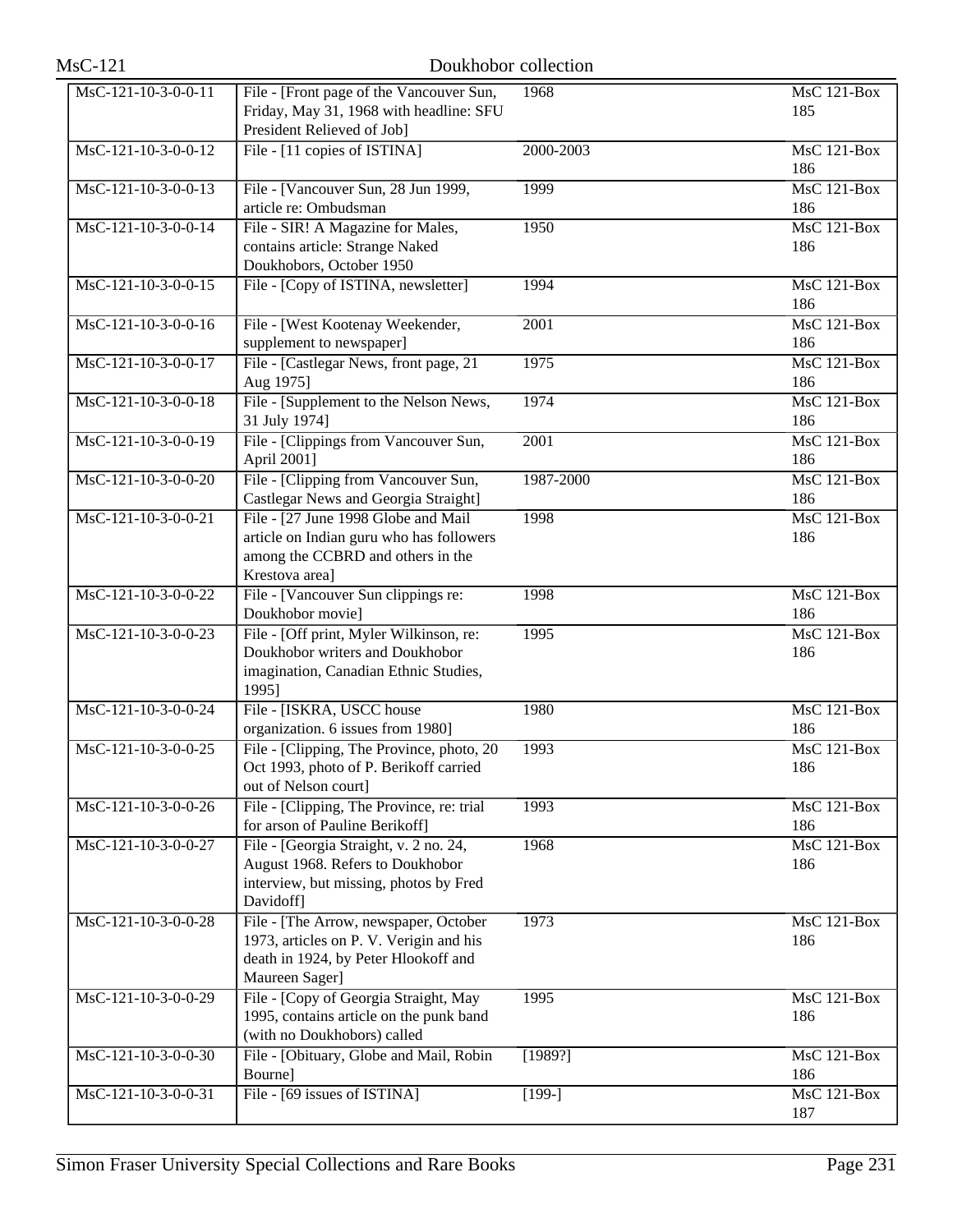| $MsC-121$             | Doukhobor collection                                                                                                                       |                   |                           |
|-----------------------|--------------------------------------------------------------------------------------------------------------------------------------------|-------------------|---------------------------|
| $MsC-121-10-3-0-0-11$ | File - [Front page of the Vancouver Sun,<br>Friday, May 31, 1968 with headline: SFU<br>President Relieved of Job]                          | 1968              | <b>MsC 121-Box</b><br>185 |
| MsC-121-10-3-0-0-12   | File - [11 copies of ISTINA]                                                                                                               | 2000-2003         | MsC 121-Box<br>186        |
| MsC-121-10-3-0-0-13   | File - [Vancouver Sun, 28 Jun 1999,<br>article re: Ombudsman                                                                               | 1999              | $MsC$ 121-Box<br>186      |
| MsC-121-10-3-0-0-14   | File - SIR! A Magazine for Males,<br>contains article: Strange Naked<br>Doukhobors, October 1950                                           | 1950              | <b>MsC 121-Box</b><br>186 |
| MsC-121-10-3-0-0-15   | File - [Copy of ISTINA, newsletter]                                                                                                        | 1994              | MsC 121-Box<br>186        |
| MsC-121-10-3-0-0-16   | File - [West Kootenay Weekender,<br>supplement to newspaper]                                                                               | $\overline{2001}$ | $MsC$ 121-Box<br>186      |
| MsC-121-10-3-0-0-17   | File - [Castlegar News, front page, 21<br>Aug 1975]                                                                                        | 1975              | <b>MsC 121-Box</b><br>186 |
| MsC-121-10-3-0-0-18   | File - [Supplement to the Nelson News,<br>31 July 1974]                                                                                    | 1974              | MsC 121-Box<br>186        |
| MsC-121-10-3-0-0-19   | File - [Clippings from Vancouver Sun,<br>April 2001]                                                                                       | $\overline{2001}$ | $MsC$ 121-Box<br>186      |
| MsC-121-10-3-0-0-20   | File - [Clipping from Vancouver Sun,<br>Castlegar News and Georgia Straight]                                                               | 1987-2000         | <b>MsC 121-Box</b><br>186 |
| MsC-121-10-3-0-0-21   | File - [27 June 1998 Globe and Mail<br>article on Indian guru who has followers<br>among the CCBRD and others in the<br>Krestova area]     | 1998              | $MsC$ 121-Box<br>186      |
| MsC-121-10-3-0-0-22   | File - [Vancouver Sun clippings re:<br>Doukhobor movie]                                                                                    | 1998              | $MsC$ 121-Box<br>186      |
| MsC-121-10-3-0-0-23   | File - [Off print, Myler Wilkinson, re:<br>Doukhobor writers and Doukhobor<br>imagination, Canadian Ethnic Studies,<br>1995]               | 1995              | $MsC$ 121-Box<br>186      |
| MsC-121-10-3-0-0-24   | File - [ISKRA, USCC house<br>organization. 6 issues from 1980]                                                                             | 1980              | MsC 121-Box<br>186        |
| $MsC-121-10-3-0-0-25$ | File - [Clipping, The Province, photo, 20<br>Oct 1993, photo of P. Berikoff carried<br>out of Nelson court]                                | 1993              | MsC 121-Box<br>186        |
| MsC-121-10-3-0-0-26   | File - [Clipping, The Province, re: trial<br>for arson of Pauline Berikoff]                                                                | 1993              | MsC 121-Box<br>186        |
| MsC-121-10-3-0-0-27   | File - [Georgia Straight, v. 2 no. 24,<br>August 1968. Refers to Doukhobor<br>interview, but missing, photos by Fred<br>Davidoff]          | 1968              | MsC 121-Box<br>186        |
| MsC-121-10-3-0-0-28   | File - [The Arrow, newspaper, October<br>1973, articles on P. V. Verigin and his<br>death in 1924, by Peter Hlookoff and<br>Maureen Sager] | 1973              | <b>MsC 121-Box</b><br>186 |
| MsC-121-10-3-0-0-29   | File - [Copy of Georgia Straight, May<br>1995, contains article on the punk band<br>(with no Doukhobors) called                            | 1995              | <b>MsC 121-Box</b><br>186 |
| MsC-121-10-3-0-0-30   | File - [Obituary, Globe and Mail, Robin<br>Bourne]                                                                                         | [1989?]           | MsC 121-Box<br>186        |
| MsC-121-10-3-0-0-31   | File - [69 issues of ISTINA]                                                                                                               | $[199-]$          | MsC 121-Box<br>187        |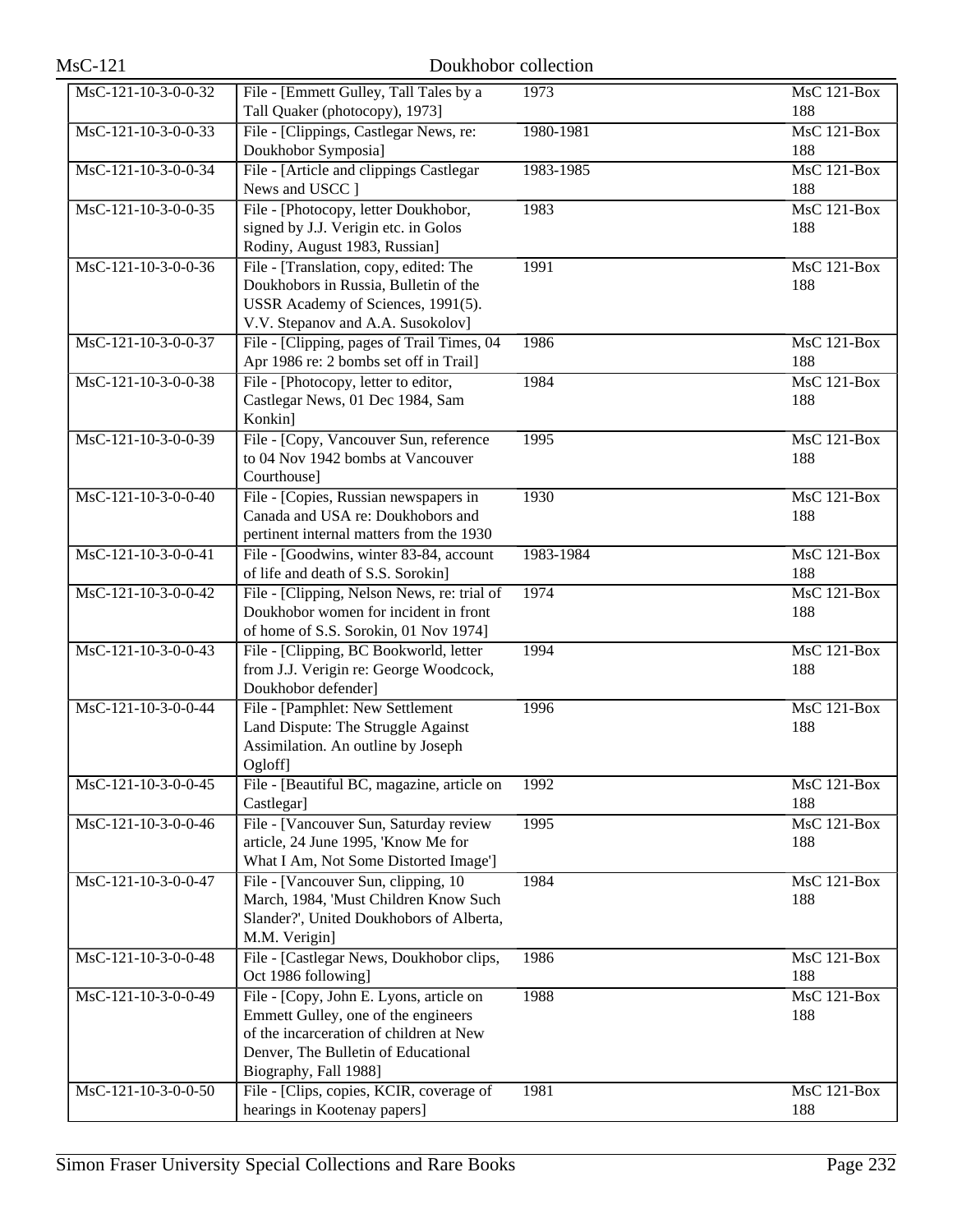| $MsC-121$                               | Doukhobor collection                                                             |           |                           |
|-----------------------------------------|----------------------------------------------------------------------------------|-----------|---------------------------|
| MsC-121-10-3-0-0-32                     | File - [Emmett Gulley, Tall Tales by a                                           | 1973      | <b>MsC 121-Box</b>        |
|                                         | Tall Quaker (photocopy), 1973]                                                   |           | 188                       |
| $MsC-121-10-3-0-0-33$                   | File - [Clippings, Castlegar News, re:                                           | 1980-1981 | <b>MsC 121-Box</b>        |
|                                         | Doukhobor Symposia]                                                              |           | 188                       |
| MsC-121-10-3-0-0-34                     | File - [Article and clippings Castlegar<br>News and USCC 1                       | 1983-1985 | <b>MsC 121-Box</b>        |
| MsC-121-10-3-0-0-35                     | File - [Photocopy, letter Doukhobor,                                             | 1983      | 188<br>MsC 121-Box        |
|                                         | signed by J.J. Verigin etc. in Golos                                             |           | 188                       |
|                                         | Rodiny, August 1983, Russian]                                                    |           |                           |
| $MsC-121-10-3-0-0-36$                   | File - [Translation, copy, edited: The                                           | 1991      | <b>MsC 121-Box</b>        |
|                                         | Doukhobors in Russia, Bulletin of the                                            |           | 188                       |
|                                         | USSR Academy of Sciences, 1991(5).                                               |           |                           |
|                                         | V.V. Stepanov and A.A. Susokolov]                                                |           |                           |
| MsC-121-10-3-0-0-37                     | File - [Clipping, pages of Trail Times, 04                                       | 1986      | <b>MsC 121-Box</b>        |
|                                         | Apr 1986 re: 2 bombs set off in Trail]                                           |           | 188                       |
| MsC-121-10-3-0-0-38                     | File - [Photocopy, letter to editor,                                             | 1984      | <b>MsC 121-Box</b>        |
|                                         | Castlegar News, 01 Dec 1984, Sam                                                 |           | 188                       |
|                                         | Konkin]                                                                          |           |                           |
| $MsC-121-10-3-0-0-39$                   | File - [Copy, Vancouver Sun, reference<br>to 04 Nov 1942 bombs at Vancouver      | 1995      | <b>MsC 121-Box</b><br>188 |
|                                         | Courthouse]                                                                      |           |                           |
| MsC-121-10-3-0-0-40                     | File - [Copies, Russian newspapers in                                            | 1930      | <b>MsC 121-Box</b>        |
|                                         | Canada and USA re: Doukhobors and                                                |           | 188                       |
|                                         | pertinent internal matters from the 1930                                         |           |                           |
| MsC-121-10-3-0-0-41                     | File - [Goodwins, winter 83-84, account                                          | 1983-1984 | MsC 121-Box               |
|                                         | of life and death of S.S. Sorokin]                                               |           | 188                       |
| $\overline{\text{MsC-121-10-3-0-0-42}}$ | File - [Clipping, Nelson News, re: trial of                                      | 1974      | MsC 121-Box               |
|                                         | Doukhobor women for incident in front                                            |           | 188                       |
|                                         | of home of S.S. Sorokin, 01 Nov 1974]                                            |           |                           |
| MsC-121-10-3-0-0-43                     | File - [Clipping, BC Bookworld, letter<br>from J.J. Verigin re: George Woodcock, | 1994      | $MsC$ 121-Box             |
|                                         | Doukhobor defender]                                                              |           | 188                       |
| MsC-121-10-3-0-0-44                     | File - [Pamphlet: New Settlement                                                 | 1996      | <b>MsC 121-Box</b>        |
|                                         | Land Dispute: The Struggle Against                                               |           | 188                       |
|                                         | Assimilation. An outline by Joseph                                               |           |                           |
|                                         | Ogloff]                                                                          |           |                           |
| MsC-121-10-3-0-0-45                     | File - [Beautiful BC, magazine, article on                                       | 1992      | MsC 121-Box               |
|                                         | Castlegar]                                                                       |           | 188                       |
| MsC-121-10-3-0-0-46                     | File - [Vancouver Sun, Saturday review                                           | 1995      | MsC 121-Box               |
|                                         | article, 24 June 1995, 'Know Me for                                              |           | 188                       |
|                                         | What I Am, Not Some Distorted Image']                                            |           |                           |
| MsC-121-10-3-0-0-47                     | File - [Vancouver Sun, clipping, 10<br>March, 1984, 'Must Children Know Such     | 1984      | <b>MsC 121-Box</b><br>188 |
|                                         | Slander?', United Doukhobors of Alberta,                                         |           |                           |
|                                         | M.M. Verigin]                                                                    |           |                           |
| MsC-121-10-3-0-0-48                     | File - [Castlegar News, Doukhobor clips,                                         | 1986      | MsC 121-Box               |
|                                         | Oct 1986 following]                                                              |           | 188                       |
| MsC-121-10-3-0-0-49                     | File - [Copy, John E. Lyons, article on                                          | 1988      | <b>MsC 121-Box</b>        |
|                                         | Emmett Gulley, one of the engineers                                              |           | 188                       |
|                                         | of the incarceration of children at New                                          |           |                           |
|                                         | Denver, The Bulletin of Educational                                              |           |                           |
|                                         | Biography, Fall 1988]                                                            |           |                           |
| MsC-121-10-3-0-0-50                     | File - [Clips, copies, KCIR, coverage of<br>hearings in Kootenay papers]         | 1981      | MsC 121-Box<br>188        |
|                                         |                                                                                  |           |                           |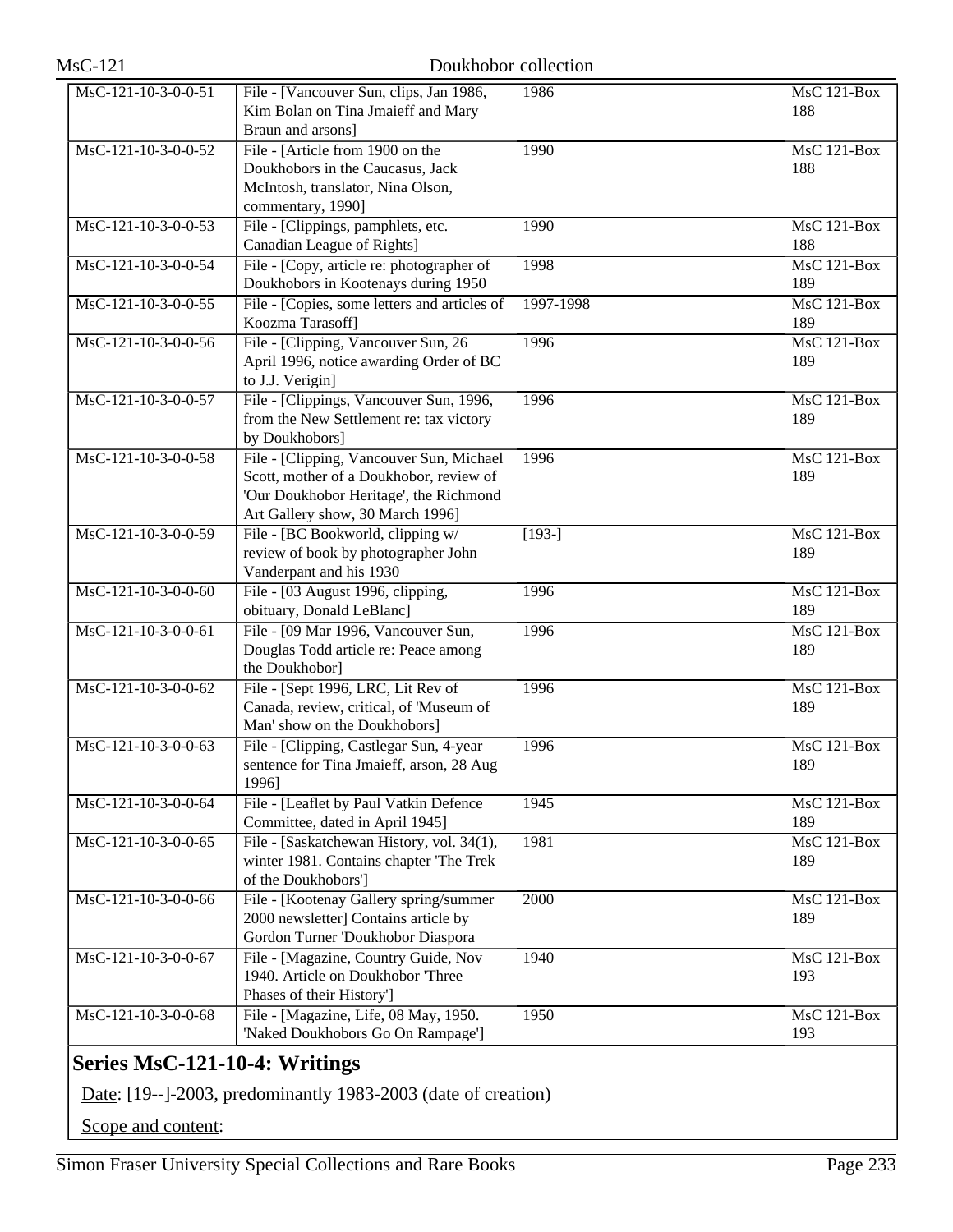| MsC-121-10-3-0-0-51 | File - [Vancouver Sun, clips, Jan 1986,      | 1986                | $MsC$ 121-Box      |
|---------------------|----------------------------------------------|---------------------|--------------------|
|                     | Kim Bolan on Tina Jmaieff and Mary           |                     | 188                |
|                     | Braun and arsons]                            |                     |                    |
| MsC-121-10-3-0-0-52 | File - [Article from 1900 on the             | 1990                | MsC 121-Box        |
|                     | Doukhobors in the Caucasus, Jack             |                     | 188                |
|                     |                                              |                     |                    |
|                     | McIntosh, translator, Nina Olson,            |                     |                    |
|                     | commentary, 1990]                            |                     |                    |
| MsC-121-10-3-0-0-53 | File - [Clippings, pamphlets, etc.           | 1990                | MsC 121-Box        |
|                     | Canadian League of Rights]                   |                     | 188                |
| MsC-121-10-3-0-0-54 | File - [Copy, article re: photographer of    | 1998                | MsC 121-Box        |
|                     | Doukhobors in Kootenays during 1950          |                     | 189                |
| MsC-121-10-3-0-0-55 | File - [Copies, some letters and articles of | 1997-1998           | MsC 121-Box        |
|                     | Koozma Tarasoff]                             |                     | 189                |
| MsC-121-10-3-0-0-56 | File - [Clipping, Vancouver Sun, 26          | 1996                | $MsC$ 121-Box      |
|                     | April 1996, notice awarding Order of BC      |                     | 189                |
|                     | to J.J. Verigin]                             |                     |                    |
| MsC-121-10-3-0-0-57 | File - [Clippings, Vancouver Sun, 1996,      | 1996                | MsC 121-Box        |
|                     | from the New Settlement re: tax victory      |                     | 189                |
|                     | by Doukhobors]                               |                     |                    |
| MsC-121-10-3-0-0-58 | File - [Clipping, Vancouver Sun, Michael     | 1996                | MsC 121-Box        |
|                     | Scott, mother of a Doukhobor, review of      |                     | 189                |
|                     | 'Our Doukhobor Heritage', the Richmond       |                     |                    |
|                     | Art Gallery show, 30 March 1996]             |                     |                    |
| MsC-121-10-3-0-0-59 | File - [BC Bookworld, clipping w/            | $\overline{[193-]}$ | MsC 121-Box        |
|                     | review of book by photographer John          |                     | 189                |
|                     | Vanderpant and his 1930                      |                     |                    |
| MsC-121-10-3-0-0-60 | File - [03 August 1996, clipping,            | 1996                | <b>MsC 121-Box</b> |
|                     | obituary, Donald LeBlanc]                    |                     | 189                |
| MsC-121-10-3-0-0-61 | File - [09 Mar 1996, Vancouver Sun,          | 1996                | MsC 121-Box        |
|                     | Douglas Todd article re: Peace among         |                     | 189                |
|                     | the Doukhobor]                               |                     |                    |
| MsC-121-10-3-0-0-62 | File - [Sept 1996, LRC, Lit Rev of           | 1996                | MsC 121-Box        |
|                     | Canada, review, critical, of 'Museum of      |                     | 189                |
|                     | Man' show on the Doukhobors]                 |                     |                    |
| MsC-121-10-3-0-0-63 | File - [Clipping, Castlegar Sun, 4-year      | 1996                | $MsC$ 121-Box      |
|                     | sentence for Tina Jmaieff, arson, 28 Aug     |                     | 189                |
|                     | 1996]                                        |                     |                    |
| MsC-121-10-3-0-0-64 | File - [Leaflet by Paul Vatkin Defence       | 1945                | MsC 121-Box        |
|                     | Committee, dated in April 1945]              |                     | 189                |
| MsC-121-10-3-0-0-65 | File - [Saskatchewan History, vol. 34(1),    | 1981                | $MsC$ 121-Box      |
|                     | winter 1981. Contains chapter 'The Trek      |                     | 189                |
|                     | of the Doukhobors']                          |                     |                    |
| MsC-121-10-3-0-0-66 | File - [Kootenay Gallery spring/summer       | 2000                | MsC 121-Box        |
|                     | 2000 newsletter] Contains article by         |                     | 189                |
|                     | Gordon Turner 'Doukhobor Diaspora            |                     |                    |
| MsC-121-10-3-0-0-67 | File - [Magazine, Country Guide, Nov         | 1940                | MsC 121-Box        |
|                     | 1940. Article on Doukhobor Three             |                     | 193                |
|                     | Phases of their History']                    |                     |                    |
| MsC-121-10-3-0-0-68 | File - [Magazine, Life, 08 May, 1950.        | 1950                | MsC 121-Box        |
|                     | 'Naked Doukhobors Go On Rampage']            |                     | 193                |
|                     |                                              |                     |                    |

# **Series MsC-121-10-4: Writings**

Date: [19--]-2003, predominantly 1983-2003 (date of creation)

Scope and content: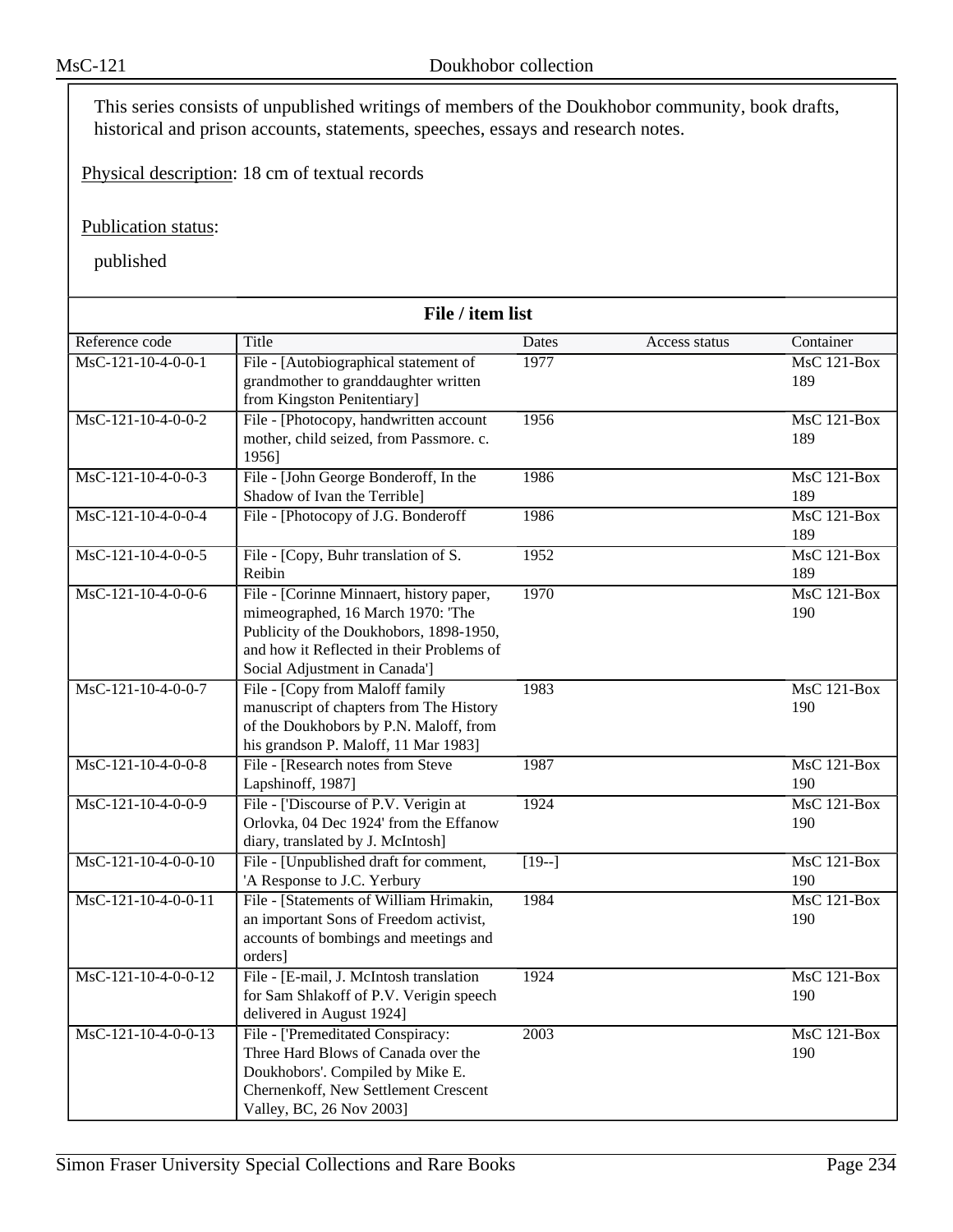This series consists of unpublished writings of members of the Doukhobor community, book drafts, historical and prison accounts, statements, speeches, essays and research notes.

Physical description: 18 cm of textual records

Publication status:

| File / item list      |                                                                                                                                                                                                        |         |               |                      |
|-----------------------|--------------------------------------------------------------------------------------------------------------------------------------------------------------------------------------------------------|---------|---------------|----------------------|
| Reference code        | Title                                                                                                                                                                                                  | Dates   | Access status | Container            |
| $MsC-121-10-4-0-0-1$  | File - [Autobiographical statement of<br>grandmother to granddaughter written<br>from Kingston Penitentiary]                                                                                           | 1977    |               | $MsC$ 121-Box<br>189 |
| MsC-121-10-4-0-0-2    | File - [Photocopy, handwritten account<br>mother, child seized, from Passmore. c.<br>1956]                                                                                                             | 1956    |               | $MsC$ 121-Box<br>189 |
| $MsC-121-10-4-0-0-3$  | File - [John George Bonderoff, In the<br>Shadow of Ivan the Terrible]                                                                                                                                  | 1986    |               | MsC 121-Box<br>189   |
| $MsC-121-10-4-0-0-4$  | File - [Photocopy of J.G. Bonderoff                                                                                                                                                                    | 1986    |               | $MsC$ 121-Box<br>189 |
| MsC-121-10-4-0-0-5    | File - [Copy, Buhr translation of S.<br>Reibin                                                                                                                                                         | 1952    |               | MsC 121-Box<br>189   |
| $MsC-121-10-4-0-0-6$  | File - [Corinne Minnaert, history paper,<br>mimeographed, 16 March 1970: 'The<br>Publicity of the Doukhobors, 1898-1950,<br>and how it Reflected in their Problems of<br>Social Adjustment in Canada'] | 1970    |               | MsC 121-Box<br>190   |
| MsC-121-10-4-0-0-7    | File - [Copy from Maloff family<br>manuscript of chapters from The History<br>of the Doukhobors by P.N. Maloff, from<br>his grandson P. Maloff, 11 Mar 1983]                                           | 1983    |               | $MsC$ 121-Box<br>190 |
| MsC-121-10-4-0-0-8    | File - [Research notes from Steve<br>Lapshinoff, 1987]                                                                                                                                                 | 1987    |               | $MsC$ 121-Box<br>190 |
| MsC-121-10-4-0-0-9    | File - ['Discourse of P.V. Verigin at<br>Orlovka, 04 Dec 1924' from the Effanow<br>diary, translated by J. McIntosh]                                                                                   | 1924    |               | MsC 121-Box<br>190   |
| $MsC-121-10-4-0-0-10$ | File - [Unpublished draft for comment,<br>'A Response to J.C. Yerbury                                                                                                                                  | $[19-]$ |               | $MsC$ 121-Box<br>190 |
| MsC-121-10-4-0-0-11   | File - [Statements of William Hrimakin,<br>an important Sons of Freedom activist,<br>accounts of bombings and meetings and<br>orders]                                                                  | 1984    |               | MsC 121-Box<br>190   |
| $MsC-121-10-4-0-0-12$ | File - [E-mail, J. McIntosh translation<br>for Sam Shlakoff of P.V. Verigin speech<br>delivered in August 1924]                                                                                        | 1924    |               | MsC 121-Box<br>190   |
| $MsC-121-10-4-0-0-13$ | File - ['Premeditated Conspiracy:<br>Three Hard Blows of Canada over the<br>Doukhobors'. Compiled by Mike E.<br>Chernenkoff, New Settlement Crescent<br>Valley, BC, 26 Nov 2003]                       | 2003    |               | MsC 121-Box<br>190   |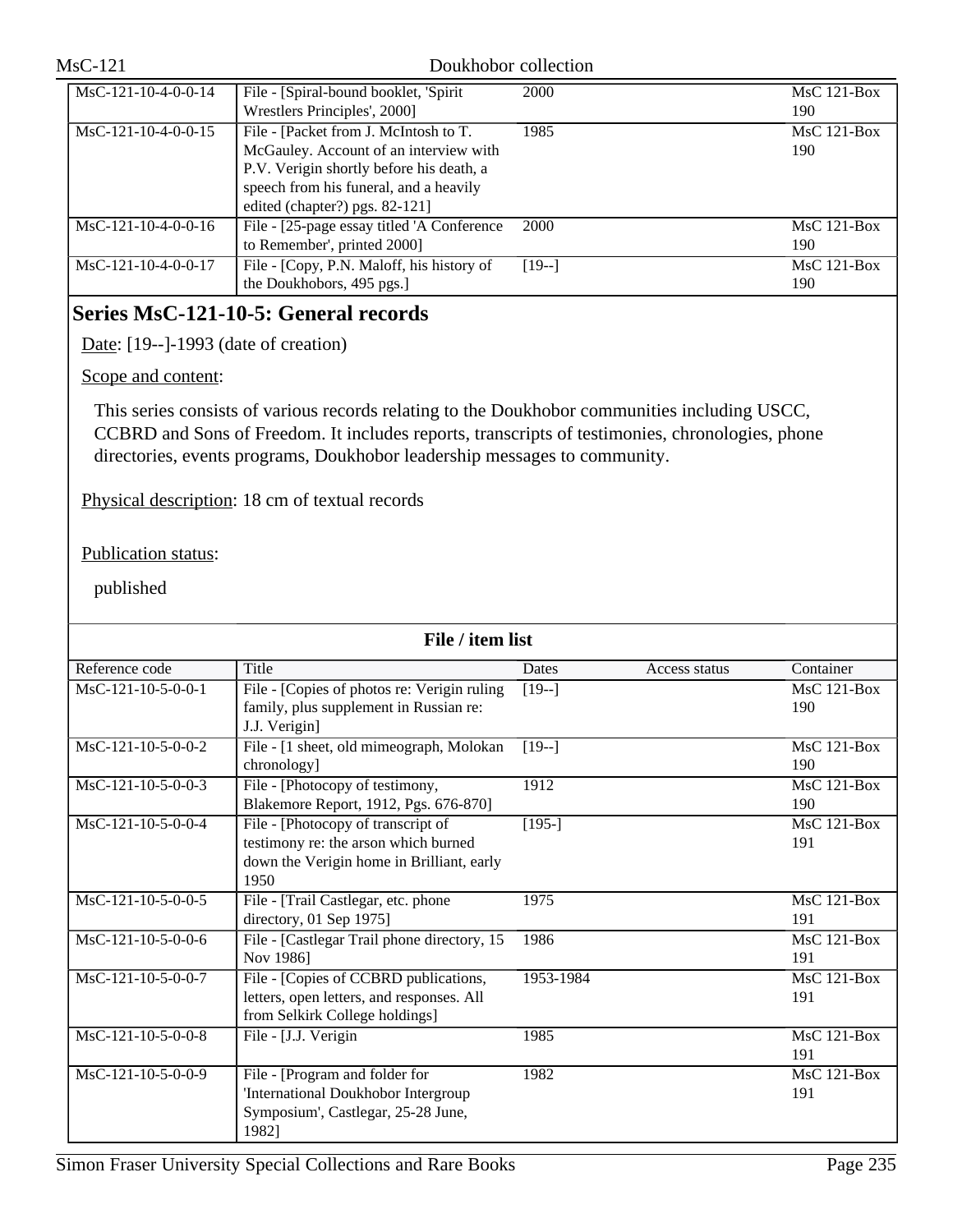| $MsC-121-10-4-0-0-14$ | File - [Spiral-bound booklet, 'Spirit<br>Wrestlers Principles', 2000]                                                                                                                                   | 2000    | $MsC$ 121-Box<br>190 |
|-----------------------|---------------------------------------------------------------------------------------------------------------------------------------------------------------------------------------------------------|---------|----------------------|
| $MsC-121-10-4-0-0-15$ | File - [Packet from J. McIntosh to T.<br>McGauley. Account of an interview with<br>P.V. Verigin shortly before his death, a<br>speech from his funeral, and a heavily<br>edited (chapter?) pgs. 82-121] | 1985    | $MsC$ 121-Box<br>190 |
| $MsC-121-10-4-0-0-16$ | File - [25-page essay titled 'A Conference<br>to Remember', printed 2000]                                                                                                                               | 2000    | $MsC$ 121-Box<br>190 |
| $MsC-121-10-4-0-0-17$ | File - [Copy, P.N. Maloff, his history of<br>the Doukhobors, 495 pgs.]                                                                                                                                  | $[19-]$ | $MsC$ 121-Box<br>190 |

# **Series MsC-121-10-5: General records**

Date: [19--]-1993 (date of creation)

### Scope and content:

This series consists of various records relating to the Doukhobor communities including USCC, CCBRD and Sons of Freedom. It includes reports, transcripts of testimonies, chronologies, phone directories, events programs, Doukhobor leadership messages to community.

Physical description: 18 cm of textual records

## Publication status:

| File / item list     |                                              |           |               |                                  |
|----------------------|----------------------------------------------|-----------|---------------|----------------------------------|
| Reference code       | Title                                        | Dates     | Access status | Container                        |
| $MsC-121-10-5-0-0-1$ | File - [Copies of photos re: Verigin ruling  | $[19-]$   |               | $\overline{\text{Ms}}$ C 121-Box |
|                      | family, plus supplement in Russian re:       |           |               | 190                              |
|                      | J.J. Verigin]                                |           |               |                                  |
| $MsC-121-10-5-0-0-2$ | File - [1 sheet, old mimeograph, Molokan     | $[19-]$   |               | $MsC$ 121-Box                    |
|                      | chronology]                                  |           |               | 190                              |
| $MsC-121-10-5-0-0-3$ | File - [Photocopy of testimony,              | 1912      |               | $MsC$ 121-Box                    |
|                      | Blakemore Report, 1912, Pgs. 676-870]        |           |               | 190                              |
| $MsC-121-10-5-0-0-4$ | File - [Photocopy of transcript of           | $[195-]$  |               | $MsC$ 121-Box                    |
|                      | testimony re: the arson which burned         |           |               | 191                              |
|                      | down the Verigin home in Brilliant, early    |           |               |                                  |
|                      | 1950                                         |           |               |                                  |
| $MsC-121-10-5-0-0-5$ | File - [Trail Castlegar, etc. phone          | 1975      |               | $MsC$ 121-Box                    |
|                      | directory, 01 Sep 1975]                      |           |               | 191                              |
| $MsC-121-10-5-0-0-6$ | File - [Castlegar Trail phone directory, 15] | 1986      |               | $MsC$ 121-Box                    |
|                      | Nov 1986]                                    |           |               | 191                              |
| MsC-121-10-5-0-0-7   | File - [Copies of CCBRD publications,        | 1953-1984 |               | $MsC$ 121-Box                    |
|                      | letters, open letters, and responses. All    |           |               | 191                              |
|                      | from Selkirk College holdings]               |           |               |                                  |
| MsC-121-10-5-0-0-8   | File - [J.J. Verigin                         | 1985      |               | $MsC$ 121-Box                    |
|                      |                                              |           |               | 191                              |
| MsC-121-10-5-0-0-9   | File - [Program and folder for               | 1982      |               | $MsC$ 121-Box                    |
|                      | 'International Doukhobor Intergroup          |           |               | 191                              |
|                      | Symposium', Castlegar, 25-28 June,           |           |               |                                  |
|                      | 1982]                                        |           |               |                                  |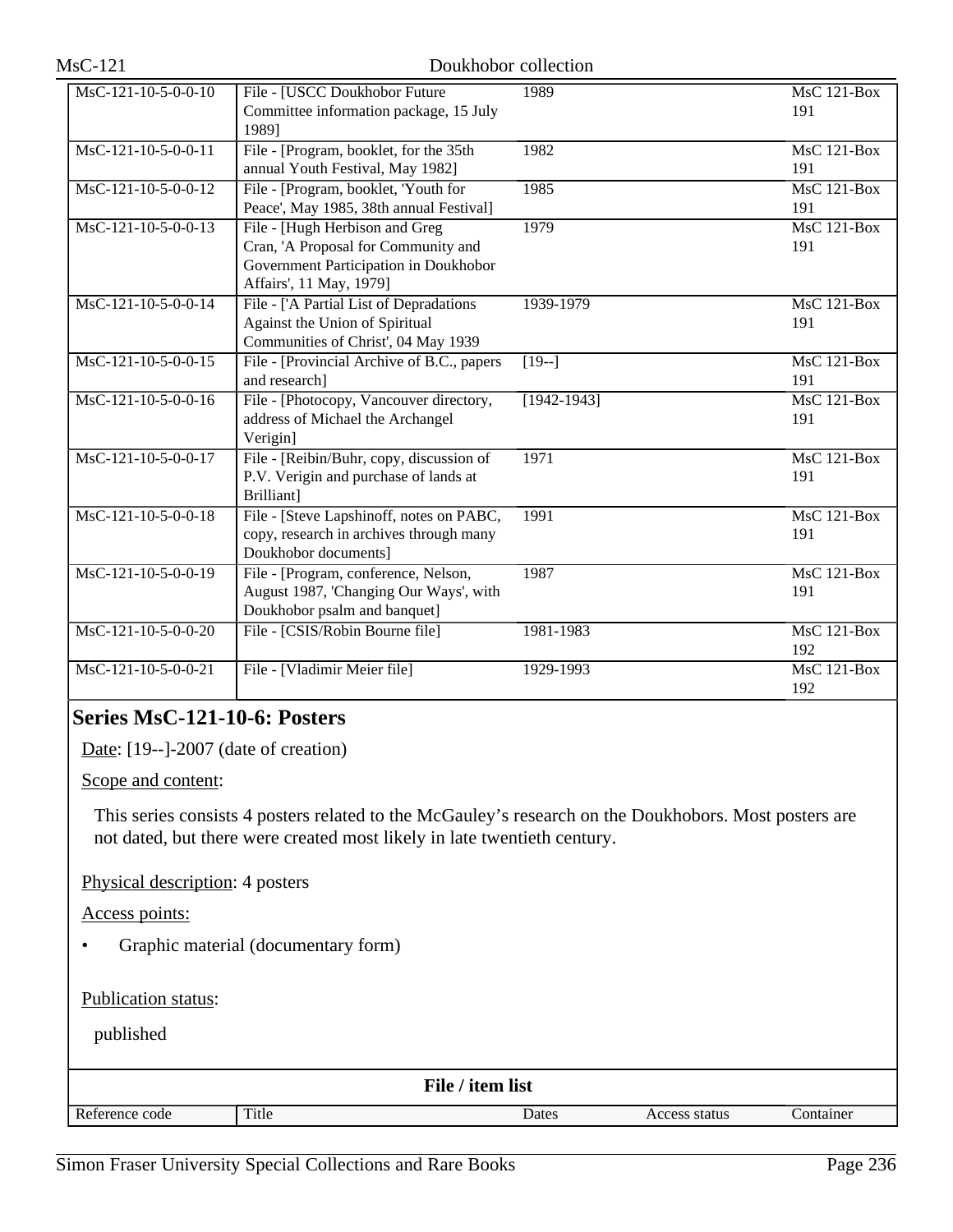| MsC-121-10-5-0-0-10   | File - [USCC Doukhobor Future               | 1989            | <b>MsC 121-Box</b>              |
|-----------------------|---------------------------------------------|-----------------|---------------------------------|
|                       | Committee information package, 15 July      |                 | 191                             |
|                       | 1989]                                       |                 |                                 |
| $MsC-121-10-5-0-0-11$ | File - [Program, booklet, for the 35th      | 1982            | $MsC$ 121-Box                   |
|                       | annual Youth Festival, May 1982]            |                 | 191                             |
| MsC-121-10-5-0-0-12   | File - [Program, booklet, 'Youth for        | 1985            | <b>MsC 121-Box</b>              |
|                       | Peace', May 1985, 38th annual Festival]     |                 | 191                             |
| MsC-121-10-5-0-0-13   | File - [Hugh Herbison and Greg]             | 1979            | $MsC$ 121-Box                   |
|                       | Cran, 'A Proposal for Community and         |                 | 191                             |
|                       | Government Participation in Doukhobor       |                 |                                 |
|                       | Affairs', 11 May, 1979]                     |                 |                                 |
| MsC-121-10-5-0-0-14   | File - ['A Partial List of Depradations     | 1939-1979       | <b>MsC 121-Box</b>              |
|                       | Against the Union of Spiritual              |                 | 191                             |
|                       | Communities of Christ', 04 May 1939         |                 |                                 |
| $MsC-121-10-5-0-0-15$ | File - [Provincial Archive of B.C., papers] | $\sqrt{19-1}$   | <b>MsC 121-Box</b>              |
|                       | and research]                               |                 | 191                             |
| MsC-121-10-5-0-0-16   | File - [Photocopy, Vancouver directory,     | $[1942 - 1943]$ | $MsC$ 121-Box                   |
|                       | address of Michael the Archangel            |                 | 191                             |
|                       | Verigin]                                    |                 |                                 |
| $MsC-121-10-5-0-0-17$ | File - [Reibin/Buhr, copy, discussion of    | 1971            | MsC 121-Box                     |
|                       | P.V. Verigin and purchase of lands at       |                 | 191                             |
|                       | Brilliant]                                  |                 |                                 |
| MsC-121-10-5-0-0-18   | File - [Steve Lapshinoff, notes on PABC,    | 1991            | $MsC$ 121-Box                   |
|                       | copy, research in archives through many     |                 | 191                             |
|                       | Doukhobor documents]                        |                 |                                 |
| MsC-121-10-5-0-0-19   | File - [Program, conference, Nelson,        | 1987            | $\overline{\text{MsC 121-Box}}$ |
|                       | August 1987, 'Changing Our Ways', with      |                 | 191                             |
|                       | Doukhobor psalm and banquet]                |                 |                                 |
| MsC-121-10-5-0-0-20   | File - [CSIS/Robin Bourne file]             | 1981-1983       | <b>MsC 121-Box</b>              |
|                       |                                             |                 | 192                             |
| MsC-121-10-5-0-0-21   | File - [Vladimir Meier file]                | 1929-1993       | <b>MsC 121-Box</b>              |
|                       |                                             |                 | 192                             |

# **Series MsC-121-10-6: Posters**

Date: [19--]-2007 (date of creation)

### Scope and content:

This series consists 4 posters related to the McGauley's research on the Doukhobors. Most posters are not dated, but there were created most likely in late twentieth century.

Physical description: 4 posters

Access points:

• Graphic material (documentary form)

Publication status:

| / item list<br>File |       |       |               |           |  |  |
|---------------------|-------|-------|---------------|-----------|--|--|
| Reference code      | Title | Dates | Access status | Container |  |  |